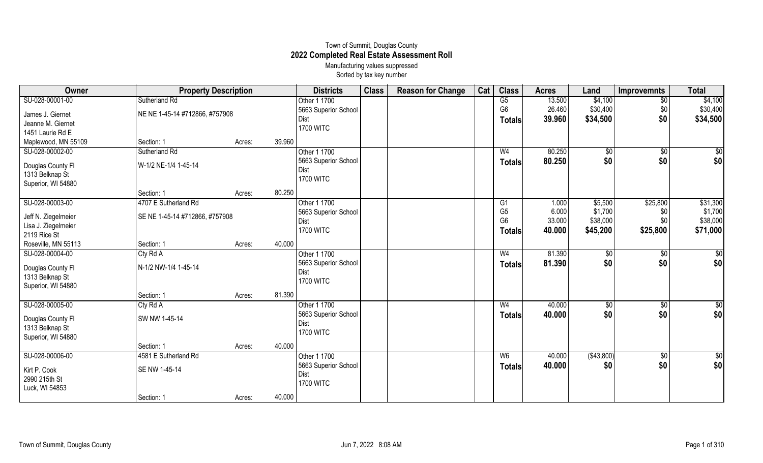## Town of Summit, Douglas County **2022 Completed Real Estate Assessment Roll** Manufacturing values suppressed

Sorted by tax key number

| Owner                                                      | <b>Property Description</b>    |        |        | <b>Districts</b>                                        | <b>Class</b> | <b>Reason for Change</b> | Cat | <b>Class</b>                                      | <b>Acres</b>              | Land                            | <b>Improvemnts</b>     | <b>Total</b>                    |
|------------------------------------------------------------|--------------------------------|--------|--------|---------------------------------------------------------|--------------|--------------------------|-----|---------------------------------------------------|---------------------------|---------------------------------|------------------------|---------------------------------|
| SU-028-00001-00                                            | Sutherland Rd                  |        |        | Other 1 1700                                            |              |                          |     | G5                                                | 13.500                    | \$4,100                         | $\sqrt{6}$             | \$4,100                         |
| James J. Giernet                                           | NE NE 1-45-14 #712866, #757908 |        |        | 5663 Superior School                                    |              |                          |     | G <sub>6</sub>                                    | 26.460                    | \$30,400                        | \$0                    | \$30,400                        |
| Jeanne M. Giernet                                          |                                |        |        | Dist                                                    |              |                          |     | Totals                                            | 39.960                    | \$34,500                        | \$0                    | \$34,500                        |
| 1451 Laurie Rd E                                           |                                |        |        | <b>1700 WITC</b>                                        |              |                          |     |                                                   |                           |                                 |                        |                                 |
| Maplewood, MN 55109                                        | Section: 1                     | Acres: | 39.960 |                                                         |              |                          |     |                                                   |                           |                                 |                        |                                 |
| SU-028-00002-00                                            | Sutherland Rd                  |        |        | Other 1 1700                                            |              |                          |     | W <sub>4</sub>                                    | 80.250                    | $\sqrt{$0}$                     | $\sqrt{6}$             | \$0                             |
| Douglas County FI<br>1313 Belknap St<br>Superior, WI 54880 | W-1/2 NE-1/4 1-45-14           |        |        | 5663 Superior School<br>Dist<br><b>1700 WITC</b>        |              |                          |     | <b>Totals</b>                                     | 80.250                    | \$0                             | \$0                    | \$0                             |
|                                                            | Section: 1                     | Acres: | 80.250 |                                                         |              |                          |     |                                                   |                           |                                 |                        |                                 |
| SU-028-00003-00                                            | 4707 E Sutherland Rd           |        |        | Other 1 1700                                            |              |                          |     | G1                                                | 1.000                     | \$5,500                         | \$25,800               | \$31,300                        |
| Jeff N. Ziegelmeier<br>Lisa J. Ziegelmeier<br>2119 Rice St | SE NE 1-45-14 #712866, #757908 |        |        | 5663 Superior School<br>Dist<br><b>1700 WITC</b>        |              |                          |     | G <sub>5</sub><br>G <sub>6</sub><br><b>Totals</b> | 6.000<br>33.000<br>40.000 | \$1,700<br>\$38,000<br>\$45,200 | \$0<br>\$0<br>\$25,800 | \$1,700<br>\$38,000<br>\$71,000 |
| Roseville, MN 55113                                        | Section: 1                     | Acres: | 40.000 |                                                         |              |                          |     |                                                   |                           |                                 |                        |                                 |
| SU-028-00004-00                                            | Cty Rd A                       |        |        | Other 1 1700                                            |              |                          |     | W <sub>4</sub>                                    | 81.390                    | $\frac{6}{3}$                   | \$0                    | \$0                             |
| Douglas County Fl<br>1313 Belknap St<br>Superior, WI 54880 | N-1/2 NW-1/4 1-45-14           |        |        | 5663 Superior School<br><b>Dist</b><br><b>1700 WITC</b> |              |                          |     | <b>Totals</b>                                     | 81.390                    | \$0                             | \$0                    | \$0                             |
|                                                            | Section: 1                     | Acres: | 81.390 |                                                         |              |                          |     |                                                   |                           |                                 |                        |                                 |
| SU-028-00005-00                                            | Cty Rd A                       |        |        | Other 1 1700                                            |              |                          |     | W <sub>4</sub>                                    | 40.000                    | \$0                             | \$0                    | \$0                             |
| Douglas County Fl<br>1313 Belknap St<br>Superior, WI 54880 | SW NW 1-45-14                  |        |        | 5663 Superior School<br><b>Dist</b><br><b>1700 WITC</b> |              |                          |     | <b>Totals</b>                                     | 40.000                    | \$0                             | \$0                    | \$0                             |
|                                                            | Section: 1                     | Acres: | 40.000 |                                                         |              |                          |     |                                                   |                           |                                 |                        |                                 |
| SU-028-00006-00                                            | 4581 E Sutherland Rd           |        |        | Other 1 1700                                            |              |                          |     | W <sub>6</sub>                                    | 40.000                    | (\$43,800)                      | \$0                    | $\overline{50}$                 |
| Kirt P. Cook<br>2990 215th St<br>Luck, WI 54853            | SE NW 1-45-14                  |        |        | 5663 Superior School<br>Dist<br><b>1700 WITC</b>        |              |                          |     | <b>Totals</b>                                     | 40.000                    | \$0                             | \$0                    | \$0                             |
|                                                            | Section: 1                     | Acres: | 40.000 |                                                         |              |                          |     |                                                   |                           |                                 |                        |                                 |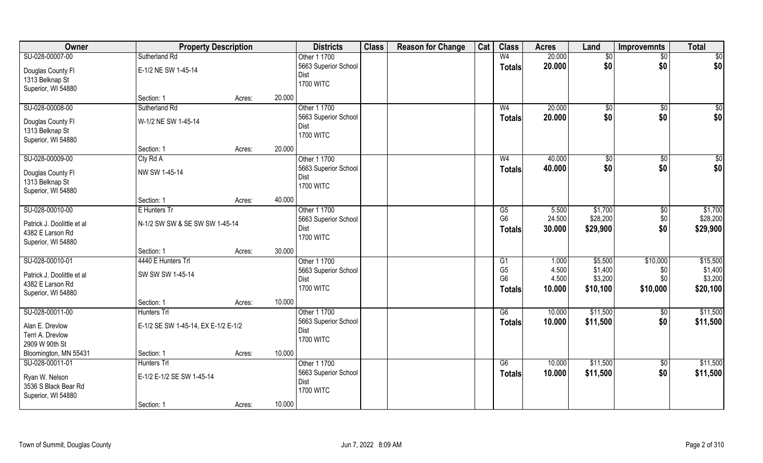| Owner                      | <b>Property Description</b>         |        |        | <b>Districts</b>         | <b>Class</b> | <b>Reason for Change</b> | Cat | <b>Class</b>    | <b>Acres</b> | Land     | <b>Improvemnts</b> | <b>Total</b>    |
|----------------------------|-------------------------------------|--------|--------|--------------------------|--------------|--------------------------|-----|-----------------|--------------|----------|--------------------|-----------------|
| SU-028-00007-00            | Sutherland Rd                       |        |        | Other 1 1700             |              |                          |     | W <sub>4</sub>  | 20.000       | \$0      | $\sqrt{$0}$        | $\overline{50}$ |
| Douglas County Fl          | E-1/2 NE SW 1-45-14                 |        |        | 5663 Superior School     |              |                          |     | Totals          | 20.000       | \$0      | \$0                | \$0             |
| 1313 Belknap St            |                                     |        |        | Dist                     |              |                          |     |                 |              |          |                    |                 |
| Superior, WI 54880         |                                     |        |        | <b>1700 WITC</b>         |              |                          |     |                 |              |          |                    |                 |
|                            | Section: 1                          | Acres: | 20.000 |                          |              |                          |     |                 |              |          |                    |                 |
| SU-028-00008-00            | Sutherland Rd                       |        |        | Other 1 1700             |              |                          |     | W <sub>4</sub>  | 20.000       | \$0      | \$0                | $\sqrt{50}$     |
| Douglas County Fl          | W-1/2 NE SW 1-45-14                 |        |        | 5663 Superior School     |              |                          |     | Totals          | 20.000       | \$0      | \$0                | \$0             |
| 1313 Belknap St            |                                     |        |        | Dist                     |              |                          |     |                 |              |          |                    |                 |
| Superior, WI 54880         |                                     |        |        | <b>1700 WITC</b>         |              |                          |     |                 |              |          |                    |                 |
|                            | Section: 1                          | Acres: | 20.000 |                          |              |                          |     |                 |              |          |                    |                 |
| SU-028-00009-00            | Cty Rd A                            |        |        | Other 1 1700             |              |                          |     | W <sub>4</sub>  | 40.000       | \$0      | \$0                | \$0             |
| Douglas County Fl          | NW SW 1-45-14                       |        |        | 5663 Superior School     |              |                          |     | <b>Totals</b>   | 40.000       | \$0      | \$0                | \$0             |
| 1313 Belknap St            |                                     |        |        | Dist                     |              |                          |     |                 |              |          |                    |                 |
| Superior, WI 54880         |                                     |        |        | <b>1700 WITC</b>         |              |                          |     |                 |              |          |                    |                 |
|                            | Section: 1                          | Acres: | 40.000 |                          |              |                          |     |                 |              |          |                    |                 |
| SU-028-00010-00            | E Hunters Tr                        |        |        | Other 1 1700             |              |                          |     | G5              | 5.500        | \$1,700  | \$0                | \$1,700         |
|                            |                                     |        |        | 5663 Superior School     |              |                          |     | G <sub>6</sub>  | 24.500       | \$28,200 | \$0                | \$28,200        |
| Patrick J. Doolittle et al | N-1/2 SW SW & SE SW SW 1-45-14      |        |        | Dist                     |              |                          |     | <b>Totals</b>   | 30.000       | \$29,900 | \$0                | \$29,900        |
| 4382 E Larson Rd           |                                     |        |        | <b>1700 WITC</b>         |              |                          |     |                 |              |          |                    |                 |
| Superior, WI 54880         | Section: 1                          | Acres: | 30.000 |                          |              |                          |     |                 |              |          |                    |                 |
| SU-028-00010-01            | 4440 E Hunters Trl                  |        |        | Other 1 1700             |              |                          |     | $\overline{G1}$ | 1.000        | \$5,500  | \$10,000           | \$15,500        |
|                            |                                     |        |        | 5663 Superior School     |              |                          |     | G <sub>5</sub>  | 4.500        | \$1,400  | \$0                | \$1,400         |
| Patrick J. Doolittle et al | SW SW SW 1-45-14                    |        |        | Dist                     |              |                          |     | G <sub>6</sub>  | 4.500        | \$3,200  | \$0                | \$3,200         |
| 4382 E Larson Rd           |                                     |        |        | <b>1700 WITC</b>         |              |                          |     | <b>Totals</b>   | 10.000       | \$10,100 | \$10,000           | \$20,100        |
| Superior, WI 54880         |                                     |        |        |                          |              |                          |     |                 |              |          |                    |                 |
|                            | Section: 1                          | Acres: | 10.000 |                          |              |                          |     |                 |              |          |                    |                 |
| SU-028-00011-00            | <b>Hunters Trl</b>                  |        |        | Other 1 1700             |              |                          |     | G6              | 10.000       | \$11,500 | \$0                | \$11,500        |
| Alan E. Drevlow            | E-1/2 SE SW 1-45-14, EX E-1/2 E-1/2 |        |        | 5663 Superior School     |              |                          |     | <b>Totals</b>   | 10.000       | \$11,500 | \$0                | \$11,500        |
| Terri A. Drevlow           |                                     |        |        | Dist<br><b>1700 WITC</b> |              |                          |     |                 |              |          |                    |                 |
| 2909 W 90th St             |                                     |        |        |                          |              |                          |     |                 |              |          |                    |                 |
| Bloomington, MN 55431      | Section: 1                          | Acres: | 10.000 |                          |              |                          |     |                 |              |          |                    |                 |
| SU-028-00011-01            | <b>Hunters Trl</b>                  |        |        | Other 1 1700             |              |                          |     | G6              | 10.000       | \$11,500 | $\sqrt{$0}$        | \$11,500        |
| Ryan W. Nelson             | E-1/2 E-1/2 SE SW 1-45-14           |        |        | 5663 Superior School     |              |                          |     | <b>Totals</b>   | 10.000       | \$11,500 | \$0                | \$11,500        |
| 3536 S Black Bear Rd       |                                     |        |        | Dist                     |              |                          |     |                 |              |          |                    |                 |
| Superior, WI 54880         |                                     |        |        | <b>1700 WITC</b>         |              |                          |     |                 |              |          |                    |                 |
|                            | Section: 1                          | Acres: | 10.000 |                          |              |                          |     |                 |              |          |                    |                 |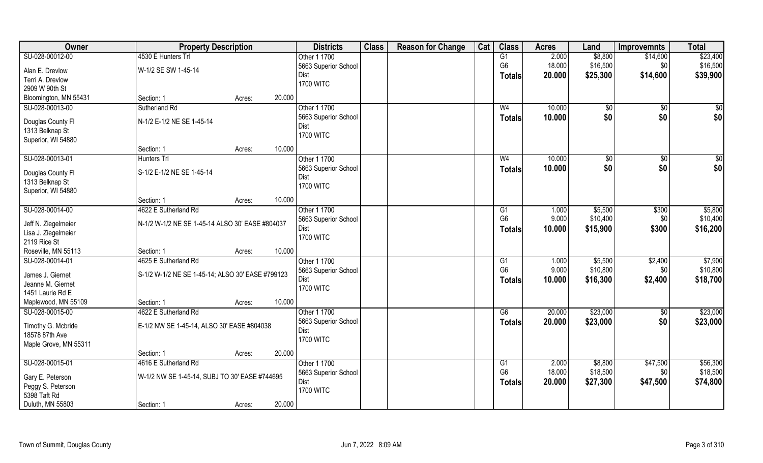| Owner                                | <b>Property Description</b>                      |        |        | <b>Districts</b>             | <b>Class</b> | <b>Reason for Change</b> | Cat | <b>Class</b>         | <b>Acres</b>   | Land                | <b>Improvemnts</b> | <b>Total</b>        |
|--------------------------------------|--------------------------------------------------|--------|--------|------------------------------|--------------|--------------------------|-----|----------------------|----------------|---------------------|--------------------|---------------------|
| SU-028-00012-00                      | 4530 E Hunters Trl                               |        |        | Other 1 1700                 |              |                          |     | G1                   | 2.000          | \$8,800             | \$14,600           | \$23,400            |
| Alan E. Drevlow                      | W-1/2 SE SW 1-45-14                              |        |        | 5663 Superior School         |              |                          |     | G <sub>6</sub>       | 18.000         | \$16,500            | \$0                | \$16,500            |
| Terri A. Drevlow                     |                                                  |        |        | Dist                         |              |                          |     | <b>Totals</b>        | 20.000         | \$25,300            | \$14,600           | \$39,900            |
| 2909 W 90th St                       |                                                  |        |        | <b>1700 WITC</b>             |              |                          |     |                      |                |                     |                    |                     |
| Bloomington, MN 55431                | Section: 1                                       | Acres: | 20.000 |                              |              |                          |     |                      |                |                     |                    |                     |
| SU-028-00013-00                      | Sutherland Rd                                    |        |        | Other 1 1700                 |              |                          |     | W <sub>4</sub>       | 10.000         | \$0                 | $\overline{50}$    | $\sqrt{50}$         |
| Douglas County Fl                    | N-1/2 E-1/2 NE SE 1-45-14                        |        |        | 5663 Superior School         |              |                          |     | <b>Totals</b>        | 10.000         | \$0                 | \$0                | \$0                 |
| 1313 Belknap St                      |                                                  |        |        | Dist                         |              |                          |     |                      |                |                     |                    |                     |
| Superior, WI 54880                   |                                                  |        |        | <b>1700 WITC</b>             |              |                          |     |                      |                |                     |                    |                     |
|                                      | Section: 1                                       | Acres: | 10.000 |                              |              |                          |     |                      |                |                     |                    |                     |
| SU-028-00013-01                      | Hunters Trl                                      |        |        | Other 1 1700                 |              |                          |     | W <sub>4</sub>       | 10.000         | $\sqrt[6]{3}$       | $\sqrt[6]{30}$     | \$0                 |
|                                      |                                                  |        |        | 5663 Superior School         |              |                          |     | <b>Totals</b>        | 10.000         | \$0                 | \$0                | \$0                 |
| Douglas County Fl<br>1313 Belknap St | S-1/2 E-1/2 NE SE 1-45-14                        |        |        | Dist                         |              |                          |     |                      |                |                     |                    |                     |
| Superior, WI 54880                   |                                                  |        |        | <b>1700 WITC</b>             |              |                          |     |                      |                |                     |                    |                     |
|                                      | Section: 1                                       | Acres: | 10.000 |                              |              |                          |     |                      |                |                     |                    |                     |
| SU-028-00014-00                      | 4622 E Sutherland Rd                             |        |        | Other 1 1700                 |              |                          |     | G <sub>1</sub>       | 1.000          | \$5,500             | \$300              | \$5,800             |
|                                      |                                                  |        |        | 5663 Superior School         |              |                          |     | G <sub>6</sub>       | 9.000          | \$10,400            | \$0                | \$10,400            |
| Jeff N. Ziegelmeier                  | N-1/2 W-1/2 NE SE 1-45-14 ALSO 30' EASE #804037  |        |        | Dist                         |              |                          |     | <b>Totals</b>        | 10.000         | \$15,900            | \$300              | \$16,200            |
| Lisa J. Ziegelmeier                  |                                                  |        |        | <b>1700 WITC</b>             |              |                          |     |                      |                |                     |                    |                     |
| 2119 Rice St                         |                                                  |        |        |                              |              |                          |     |                      |                |                     |                    |                     |
| Roseville, MN 55113                  | Section: 1                                       | Acres: | 10.000 |                              |              |                          |     |                      |                |                     |                    |                     |
| SU-028-00014-01                      | 4625 E Sutherland Rd                             |        |        | Other 1 1700                 |              |                          |     | G1<br>G <sub>6</sub> | 1.000<br>9.000 | \$5,500<br>\$10,800 | \$2,400<br>\$0     | \$7,900<br>\$10,800 |
| James J. Giernet                     | S-1/2 W-1/2 NE SE 1-45-14; ALSO 30' EASE #799123 |        |        | 5663 Superior School<br>Dist |              |                          |     |                      |                |                     |                    |                     |
| Jeanne M. Giernet                    |                                                  |        |        | <b>1700 WITC</b>             |              |                          |     | <b>Totals</b>        | 10.000         | \$16,300            | \$2,400            | \$18,700            |
| 1451 Laurie Rd E                     |                                                  |        |        |                              |              |                          |     |                      |                |                     |                    |                     |
| Maplewood, MN 55109                  | Section: 1                                       | Acres: | 10.000 |                              |              |                          |     |                      |                |                     |                    |                     |
| SU-028-00015-00                      | 4622 E Sutherland Rd                             |        |        | Other 1 1700                 |              |                          |     | G6                   | 20.000         | \$23,000            | \$0                | \$23,000            |
| Timothy G. Mcbride                   | E-1/2 NW SE 1-45-14, ALSO 30' EASE #804038       |        |        | 5663 Superior School         |              |                          |     | <b>Totals</b>        | 20,000         | \$23,000            | \$0                | \$23,000            |
| 18578 87th Ave                       |                                                  |        |        | Dist                         |              |                          |     |                      |                |                     |                    |                     |
| Maple Grove, MN 55311                |                                                  |        |        | <b>1700 WITC</b>             |              |                          |     |                      |                |                     |                    |                     |
|                                      | Section: 1                                       | Acres: | 20.000 |                              |              |                          |     |                      |                |                     |                    |                     |
| SU-028-00015-01                      | 4616 E Sutherland Rd                             |        |        | Other 1 1700                 |              |                          |     | G1                   | 2.000          | \$8,800             | \$47,500           | \$56,300            |
| Gary E. Peterson                     | W-1/2 NW SE 1-45-14, SUBJ TO 30' EASE #744695    |        |        | 5663 Superior School         |              |                          |     | G <sub>6</sub>       | 18.000         | \$18,500            | \$0                | \$18,500            |
| Peggy S. Peterson                    |                                                  |        |        | Dist                         |              |                          |     | <b>Totals</b>        | 20.000         | \$27,300            | \$47,500           | \$74,800            |
| 5398 Taft Rd                         |                                                  |        |        | <b>1700 WITC</b>             |              |                          |     |                      |                |                     |                    |                     |
| Duluth, MN 55803                     | Section: 1                                       | Acres: | 20.000 |                              |              |                          |     |                      |                |                     |                    |                     |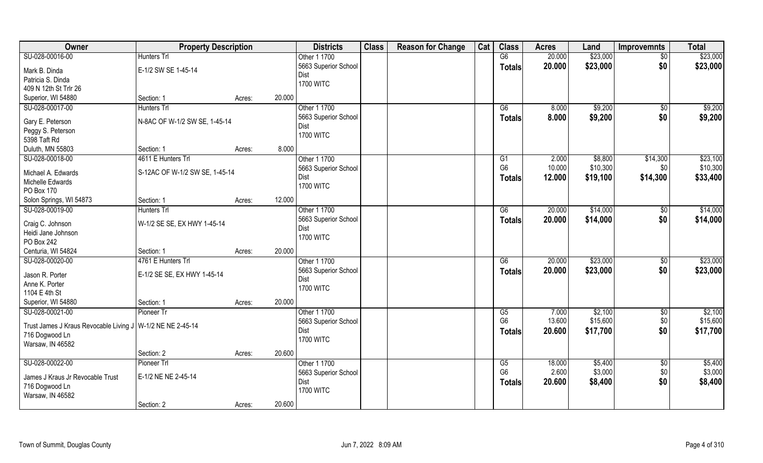| Owner                                                        | <b>Property Description</b>    |                  | <b>Districts</b>     | <b>Class</b> | <b>Reason for Change</b> | Cat | <b>Class</b>         | <b>Acres</b>    | Land               | <b>Improvemnts</b> | <b>Total</b>       |
|--------------------------------------------------------------|--------------------------------|------------------|----------------------|--------------|--------------------------|-----|----------------------|-----------------|--------------------|--------------------|--------------------|
| SU-028-00016-00                                              | <b>Hunters Trl</b>             |                  | Other 1 1700         |              |                          |     | G6                   | 20.000          | \$23,000           | $\sqrt{$0}$        | \$23,000           |
| Mark B. Dinda                                                | E-1/2 SW SE 1-45-14            |                  | 5663 Superior School |              |                          |     | <b>Totals</b>        | 20.000          | \$23,000           | \$0                | \$23,000           |
| Patricia S. Dinda                                            |                                |                  | Dist                 |              |                          |     |                      |                 |                    |                    |                    |
| 409 N 12th St Trlr 26                                        |                                |                  | <b>1700 WITC</b>     |              |                          |     |                      |                 |                    |                    |                    |
| Superior, WI 54880                                           | Section: 1                     | 20.000<br>Acres: |                      |              |                          |     |                      |                 |                    |                    |                    |
| SU-028-00017-00                                              | <b>Hunters Trl</b>             |                  | Other 1 1700         |              |                          |     | $\overline{G6}$      | 8.000           | \$9,200            | \$0                | \$9,200            |
|                                                              |                                |                  | 5663 Superior School |              |                          |     | <b>Totals</b>        | 8.000           | \$9,200            | \$0                | \$9,200            |
| Gary E. Peterson                                             | N-8AC OF W-1/2 SW SE, 1-45-14  |                  | Dist                 |              |                          |     |                      |                 |                    |                    |                    |
| Peggy S. Peterson                                            |                                |                  | <b>1700 WITC</b>     |              |                          |     |                      |                 |                    |                    |                    |
| 5398 Taft Rd                                                 |                                |                  |                      |              |                          |     |                      |                 |                    |                    |                    |
| Duluth, MN 55803                                             | Section: 1                     | 8.000<br>Acres:  |                      |              |                          |     |                      |                 |                    |                    |                    |
| SU-028-00018-00                                              | 4611 E Hunters Trl             |                  | Other 1 1700         |              |                          |     | G1                   | 2.000           | \$8,800            | \$14,300           | \$23,100           |
| Michael A. Edwards                                           | S-12AC OF W-1/2 SW SE, 1-45-14 |                  | 5663 Superior School |              |                          |     | G <sub>6</sub>       | 10.000          | \$10,300           | \$0                | \$10,300           |
| Michelle Edwards                                             |                                |                  | Dist                 |              |                          |     | <b>Totals</b>        | 12.000          | \$19,100           | \$14,300           | \$33,400           |
| PO Box 170                                                   |                                |                  | <b>1700 WITC</b>     |              |                          |     |                      |                 |                    |                    |                    |
| Solon Springs, WI 54873                                      | Section: 1                     | 12.000<br>Acres: |                      |              |                          |     |                      |                 |                    |                    |                    |
| SU-028-00019-00                                              | Hunters Trl                    |                  | Other 1 1700         |              |                          |     | G6                   | 20.000          | \$14,000           | \$0                | \$14,000           |
|                                                              |                                |                  | 5663 Superior School |              |                          |     | Totals               | 20.000          | \$14,000           | \$0                | \$14,000           |
| Craig C. Johnson                                             | W-1/2 SE SE, EX HWY 1-45-14    |                  | Dist                 |              |                          |     |                      |                 |                    |                    |                    |
| Heidi Jane Johnson                                           |                                |                  | <b>1700 WITC</b>     |              |                          |     |                      |                 |                    |                    |                    |
| PO Box 242                                                   |                                |                  |                      |              |                          |     |                      |                 |                    |                    |                    |
| Centuria, WI 54824                                           | Section: 1                     | 20.000<br>Acres: |                      |              |                          |     |                      |                 |                    |                    |                    |
| SU-028-00020-00                                              | 4761 E Hunters Trl             |                  | Other 1 1700         |              |                          |     | $\overline{G6}$      | 20.000          | \$23,000           | $\overline{50}$    | \$23,000           |
| Jason R. Porter                                              | E-1/2 SE SE, EX HWY 1-45-14    |                  | 5663 Superior School |              |                          |     | <b>Totals</b>        | 20.000          | \$23,000           | \$0                | \$23,000           |
| Anne K. Porter                                               |                                |                  | Dist                 |              |                          |     |                      |                 |                    |                    |                    |
| 1104 E 4th St                                                |                                |                  | <b>1700 WITC</b>     |              |                          |     |                      |                 |                    |                    |                    |
| Superior, WI 54880                                           | Section: 1                     | 20.000<br>Acres: |                      |              |                          |     |                      |                 |                    |                    |                    |
| SU-028-00021-00                                              | Pioneer Tr                     |                  | Other 1 1700         |              |                          |     | G5                   | 7.000           | \$2,100            | $\sqrt{$0}$        | \$2,100            |
|                                                              |                                |                  | 5663 Superior School |              |                          |     | G <sub>6</sub>       | 13.600          | \$15,600           | \$0                | \$15,600           |
| Trust James J Kraus Revocable Living J   W-1/2 NE NE 2-45-14 |                                |                  | Dist                 |              |                          |     | <b>Totals</b>        | 20.600          | \$17,700           | \$0                | \$17,700           |
| 716 Dogwood Ln                                               |                                |                  | <b>1700 WITC</b>     |              |                          |     |                      |                 |                    |                    |                    |
| Warsaw, IN 46582                                             |                                | 20.600           |                      |              |                          |     |                      |                 |                    |                    |                    |
|                                                              | Section: 2                     | Acres:           |                      |              |                          |     |                      |                 |                    |                    |                    |
| SU-028-00022-00                                              | Pioneer Trl                    |                  | Other 1 1700         |              |                          |     | G5<br>G <sub>6</sub> | 18.000<br>2.600 | \$5,400<br>\$3,000 | $\sqrt{$0}$        | \$5,400<br>\$3,000 |
| James J Kraus Jr Revocable Trust                             | E-1/2 NE NE 2-45-14            |                  | 5663 Superior School |              |                          |     |                      |                 |                    | \$0                |                    |
| 716 Dogwood Ln                                               |                                |                  | Dist                 |              |                          |     | Totals               | 20.600          | \$8,400            | \$0                | \$8,400            |
| Warsaw, IN 46582                                             |                                |                  | <b>1700 WITC</b>     |              |                          |     |                      |                 |                    |                    |                    |
|                                                              | Section: 2                     | 20.600<br>Acres: |                      |              |                          |     |                      |                 |                    |                    |                    |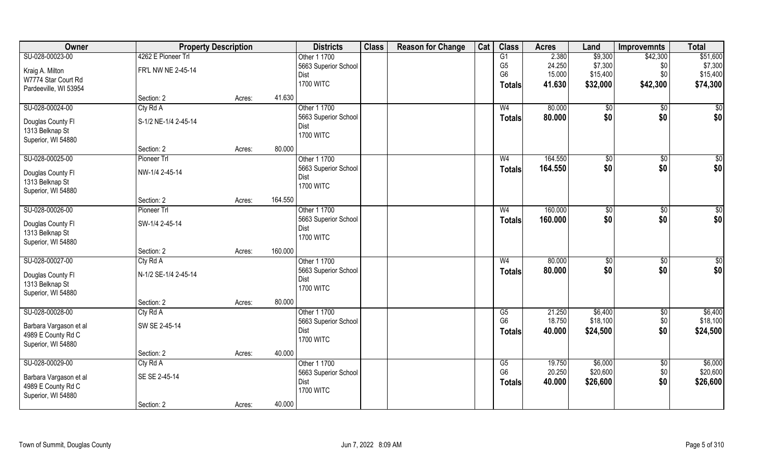| Owner                  | <b>Property Description</b> |        |         | <b>Districts</b>             | <b>Class</b> | <b>Reason for Change</b> | Cat | <b>Class</b>   | <b>Acres</b> | Land           | <b>Improvemnts</b> | <b>Total</b>    |
|------------------------|-----------------------------|--------|---------|------------------------------|--------------|--------------------------|-----|----------------|--------------|----------------|--------------------|-----------------|
| SU-028-00023-00        | 4262 E Pioneer Trl          |        |         | Other 1 1700                 |              |                          |     | G1             | 2.380        | \$9,300        | \$42,300           | \$51,600        |
| Kraig A. Milton        | FR'L NW NE 2-45-14          |        |         | 5663 Superior School         |              |                          |     | G <sub>5</sub> | 24.250       | \$7,300        | \$0                | \$7,300         |
| W7774 Star Court Rd    |                             |        |         | Dist                         |              |                          |     | G <sub>6</sub> | 15.000       | \$15,400       | \$0                | \$15,400        |
| Pardeeville, WI 53954  |                             |        |         | <b>1700 WITC</b>             |              |                          |     | <b>Totals</b>  | 41.630       | \$32,000       | \$42,300           | \$74,300        |
|                        | Section: 2                  | Acres: | 41.630  |                              |              |                          |     |                |              |                |                    |                 |
| SU-028-00024-00        | Cty Rd A                    |        |         | Other 1 1700                 |              |                          |     | W <sub>4</sub> | 80.000       | \$0            | $\sqrt{50}$        | \$0             |
|                        |                             |        |         | 5663 Superior School         |              |                          |     | <b>Totals</b>  | 80.000       | \$0            | \$0                | \$0             |
| Douglas County Fl      | S-1/2 NE-1/4 2-45-14        |        |         | Dist                         |              |                          |     |                |              |                |                    |                 |
| 1313 Belknap St        |                             |        |         | <b>1700 WITC</b>             |              |                          |     |                |              |                |                    |                 |
| Superior, WI 54880     |                             |        |         |                              |              |                          |     |                |              |                |                    |                 |
|                        | Section: 2                  | Acres: | 80.000  |                              |              |                          |     |                |              |                |                    |                 |
| SU-028-00025-00        | Pioneer Trl                 |        |         | Other 1 1700                 |              |                          |     | W <sub>4</sub> | 164.550      | \$0            | \$0                | $\overline{50}$ |
| Douglas County Fl      | NW-1/4 2-45-14              |        |         | 5663 Superior School         |              |                          |     | <b>Totals</b>  | 164.550      | \$0            | \$0                | \$0             |
| 1313 Belknap St        |                             |        |         | Dist                         |              |                          |     |                |              |                |                    |                 |
| Superior, WI 54880     |                             |        |         | <b>1700 WITC</b>             |              |                          |     |                |              |                |                    |                 |
|                        | Section: 2                  | Acres: | 164.550 |                              |              |                          |     |                |              |                |                    |                 |
| SU-028-00026-00        | Pioneer Trl                 |        |         | Other 1 1700                 |              |                          |     | W4             | 160.000      | $\frac{1}{20}$ | $\sqrt[6]{30}$     | \$0             |
|                        |                             |        |         | 5663 Superior School         |              |                          |     | <b>Totals</b>  | 160.000      | \$0            | \$0                | \$0             |
| Douglas County Fl      | SW-1/4 2-45-14              |        |         | Dist                         |              |                          |     |                |              |                |                    |                 |
| 1313 Belknap St        |                             |        |         | <b>1700 WITC</b>             |              |                          |     |                |              |                |                    |                 |
| Superior, WI 54880     | Section: 2                  |        | 160.000 |                              |              |                          |     |                |              |                |                    |                 |
| SU-028-00027-00        |                             | Acres: |         |                              |              |                          |     | W <sub>4</sub> | 80.000       |                |                    |                 |
|                        | Cty Rd A                    |        |         | Other 1 1700                 |              |                          |     |                |              | \$0            | $\sqrt[6]{30}$     | $\overline{50}$ |
| Douglas County Fl      | N-1/2 SE-1/4 2-45-14        |        |         | 5663 Superior School<br>Dist |              |                          |     | <b>Totals</b>  | 80.000       | \$0            | \$0                | \$0             |
| 1313 Belknap St        |                             |        |         | <b>1700 WITC</b>             |              |                          |     |                |              |                |                    |                 |
| Superior, WI 54880     |                             |        |         |                              |              |                          |     |                |              |                |                    |                 |
|                        | Section: 2                  | Acres: | 80.000  |                              |              |                          |     |                |              |                |                    |                 |
| SU-028-00028-00        | Cty Rd A                    |        |         | Other 1 1700                 |              |                          |     | G5             | 21.250       | \$6,400        | \$0                | \$6,400         |
| Barbara Vargason et al | SW SE 2-45-14               |        |         | 5663 Superior School         |              |                          |     | G <sub>6</sub> | 18.750       | \$18,100       | \$0                | \$18,100        |
| 4989 E County Rd C     |                             |        |         | Dist                         |              |                          |     | <b>Totals</b>  | 40.000       | \$24,500       | \$0                | \$24,500        |
| Superior, WI 54880     |                             |        |         | <b>1700 WITC</b>             |              |                          |     |                |              |                |                    |                 |
|                        | Section: 2                  | Acres: | 40.000  |                              |              |                          |     |                |              |                |                    |                 |
| SU-028-00029-00        | Cty Rd A                    |        |         | Other 1 1700                 |              |                          |     | G5             | 19.750       | \$6,000        | $\overline{30}$    | \$6,000         |
|                        |                             |        |         | 5663 Superior School         |              |                          |     | G <sub>6</sub> | 20.250       | \$20,600       | \$0                | \$20,600        |
| Barbara Vargason et al | SE SE 2-45-14               |        |         | Dist                         |              |                          |     | <b>Totals</b>  | 40.000       | \$26,600       | \$0                | \$26,600        |
| 4989 E County Rd C     |                             |        |         | <b>1700 WITC</b>             |              |                          |     |                |              |                |                    |                 |
| Superior, WI 54880     |                             |        |         |                              |              |                          |     |                |              |                |                    |                 |
|                        | Section: 2                  | Acres: | 40.000  |                              |              |                          |     |                |              |                |                    |                 |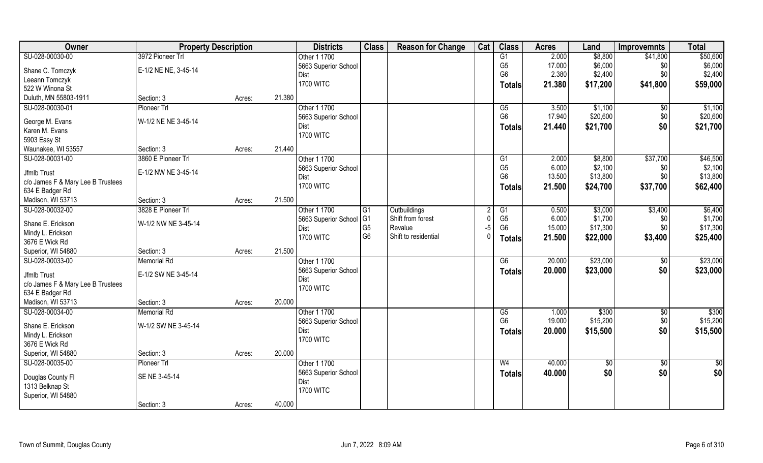| Owner                             | <b>Property Description</b> |        |        | <b>Districts</b>     | <b>Class</b>    | <b>Reason for Change</b> | Cat      | <b>Class</b>         | <b>Acres</b> | Land     | <b>Improvemnts</b> | <b>Total</b>  |
|-----------------------------------|-----------------------------|--------|--------|----------------------|-----------------|--------------------------|----------|----------------------|--------------|----------|--------------------|---------------|
| SU-028-00030-00                   | 3972 Pioneer Trl            |        |        | Other 1 1700         |                 |                          |          | G1                   | 2.000        | \$8,800  | \$41,800           | \$50,600      |
| Shane C. Tomczyk                  | E-1/2 NE NE, 3-45-14        |        |        | 5663 Superior School |                 |                          |          | G <sub>5</sub>       | 17.000       | \$6,000  | \$0                | \$6,000       |
| Leeann Tomczyk                    |                             |        |        | Dist                 |                 |                          |          | G <sub>6</sub>       | 2.380        | \$2,400  | \$0                | \$2,400       |
| 522 W Winona St                   |                             |        |        | <b>1700 WITC</b>     |                 |                          |          | Totals               | 21.380       | \$17,200 | \$41,800           | \$59,000      |
| Duluth, MN 55803-1911             | Section: 3                  | Acres: | 21.380 |                      |                 |                          |          |                      |              |          |                    |               |
| SU-028-00030-01                   | Pioneer Trl                 |        |        | Other 1 1700         |                 |                          |          | G5                   | 3.500        | \$1,100  | \$0                | \$1,100       |
|                                   |                             |        |        | 5663 Superior School |                 |                          |          | G <sub>6</sub>       | 17.940       | \$20,600 | \$0                | \$20,600      |
| George M. Evans                   | W-1/2 NE NE 3-45-14         |        |        | Dist                 |                 |                          |          |                      | 21.440       | \$21,700 | \$0                | \$21,700      |
| Karen M. Evans                    |                             |        |        | <b>1700 WITC</b>     |                 |                          |          | <b>Totals</b>        |              |          |                    |               |
| 5903 Easy St                      |                             |        |        |                      |                 |                          |          |                      |              |          |                    |               |
| Waunakee, WI 53557                | Section: 3                  | Acres: | 21.440 |                      |                 |                          |          |                      |              |          |                    |               |
| SU-028-00031-00                   | 3860 E Pioneer Trl          |        |        | Other 1 1700         |                 |                          |          | G1                   | 2.000        | \$8,800  | \$37,700           | \$46,500      |
| Jfmlb Trust                       | E-1/2 NW NE 3-45-14         |        |        | 5663 Superior School |                 |                          |          | G <sub>5</sub>       | 6.000        | \$2,100  | \$0                | \$2,100       |
| c/o James F & Mary Lee B Trustees |                             |        |        | Dist                 |                 |                          |          | G <sub>6</sub>       | 13.500       | \$13,800 | \$0                | \$13,800      |
| 634 E Badger Rd                   |                             |        |        | <b>1700 WITC</b>     |                 |                          |          | <b>Totals</b>        | 21.500       | \$24,700 | \$37,700           | \$62,400      |
| Madison, WI 53713                 | Section: 3                  | Acres: | 21.500 |                      |                 |                          |          |                      |              |          |                    |               |
| SU-028-00032-00                   | 3828 E Pioneer Trl          |        |        | Other 1 1700         | $\overline{G1}$ | Outbuildings             |          |                      | 0.500        | \$3,000  | \$3,400            | \$6,400       |
|                                   |                             |        |        | 5663 Superior School | G <sub>1</sub>  | Shift from forest        | $\Omega$ | G1<br>G <sub>5</sub> | 6.000        | \$1,700  | \$0                | \$1,700       |
| Shane E. Erickson                 | W-1/2 NW NE 3-45-14         |        |        | Dist                 | G <sub>5</sub>  | Revalue                  | $-5$     | G <sub>6</sub>       | 15.000       | \$17,300 | \$0                | \$17,300      |
| Mindy L. Erickson                 |                             |        |        | <b>1700 WITC</b>     | G <sub>6</sub>  | Shift to residential     | $\Omega$ |                      |              |          |                    |               |
| 3676 E Wick Rd                    |                             |        |        |                      |                 |                          |          | Totals               | 21.500       | \$22,000 | \$3,400            | \$25,400      |
| Superior, WI 54880                | Section: 3                  | Acres: | 21.500 |                      |                 |                          |          |                      |              |          |                    |               |
| SU-028-00033-00                   | <b>Memorial Rd</b>          |        |        | Other 1 1700         |                 |                          |          | G6                   | 20.000       | \$23,000 | \$0                | \$23,000      |
| Jfmlb Trust                       | E-1/2 SW NE 3-45-14         |        |        | 5663 Superior School |                 |                          |          | <b>Totals</b>        | 20.000       | \$23,000 | \$0                | \$23,000      |
| c/o James F & Mary Lee B Trustees |                             |        |        | Dist                 |                 |                          |          |                      |              |          |                    |               |
| 634 E Badger Rd                   |                             |        |        | <b>1700 WITC</b>     |                 |                          |          |                      |              |          |                    |               |
| Madison, WI 53713                 | Section: 3                  | Acres: | 20.000 |                      |                 |                          |          |                      |              |          |                    |               |
| SU-028-00034-00                   | <b>Memorial Rd</b>          |        |        | Other 1 1700         |                 |                          |          | G5                   | 1.000        | \$300    | $\sqrt{50}$        | \$300         |
|                                   |                             |        |        | 5663 Superior School |                 |                          |          | G <sub>6</sub>       | 19.000       | \$15,200 | \$0                | \$15,200      |
| Shane E. Erickson                 | W-1/2 SW NE 3-45-14         |        |        | Dist                 |                 |                          |          | <b>Totals</b>        | 20.000       | \$15,500 | \$0                | \$15,500      |
| Mindy L. Erickson                 |                             |        |        | <b>1700 WITC</b>     |                 |                          |          |                      |              |          |                    |               |
| 3676 E Wick Rd                    |                             |        |        |                      |                 |                          |          |                      |              |          |                    |               |
| Superior, WI 54880                | Section: 3                  | Acres: | 20.000 |                      |                 |                          |          |                      |              |          |                    |               |
| SU-028-00035-00                   | Pioneer Trl                 |        |        | Other 1 1700         |                 |                          |          | W <sub>4</sub>       | 40.000       | \$0      | $\overline{50}$    | $\frac{1}{2}$ |
| Douglas County Fl                 | SE NE 3-45-14               |        |        | 5663 Superior School |                 |                          |          | <b>Totals</b>        | 40.000       | \$0      | \$0                | \$0           |
| 1313 Belknap St                   |                             |        |        | Dist                 |                 |                          |          |                      |              |          |                    |               |
| Superior, WI 54880                |                             |        |        | <b>1700 WITC</b>     |                 |                          |          |                      |              |          |                    |               |
|                                   | Section: 3                  | Acres: | 40.000 |                      |                 |                          |          |                      |              |          |                    |               |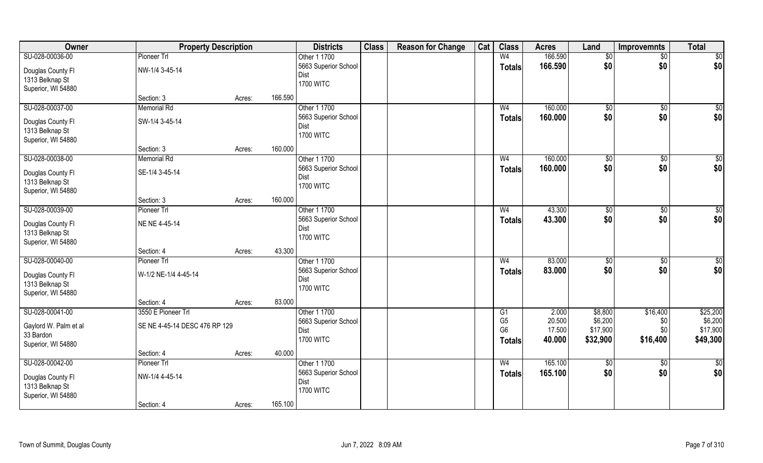| Owner                                | <b>Property Description</b>   |        |         | <b>Districts</b>     | <b>Class</b> | <b>Reason for Change</b> | Cat | <b>Class</b>   | <b>Acres</b> | Land        | <b>Improvemnts</b> | <b>Total</b>    |
|--------------------------------------|-------------------------------|--------|---------|----------------------|--------------|--------------------------|-----|----------------|--------------|-------------|--------------------|-----------------|
| SU-028-00036-00                      | Pioneer Trl                   |        |         | Other 1 1700         |              |                          |     | W <sub>4</sub> | 166.590      | $\sqrt{$0}$ | \$0                | \$0             |
| Douglas County Fl                    | NW-1/4 3-45-14                |        |         | 5663 Superior School |              |                          |     | <b>Totals</b>  | 166.590      | \$0         | \$0                | \$0             |
| 1313 Belknap St                      |                               |        |         | Dist                 |              |                          |     |                |              |             |                    |                 |
| Superior, WI 54880                   |                               |        |         | <b>1700 WITC</b>     |              |                          |     |                |              |             |                    |                 |
|                                      | Section: 3                    | Acres: | 166.590 |                      |              |                          |     |                |              |             |                    |                 |
| SU-028-00037-00                      | <b>Memorial Rd</b>            |        |         | Other 1 1700         |              |                          |     | W <sub>4</sub> | 160.000      | $\sqrt{$0}$ | \$0                | \$0             |
|                                      | SW-1/4 3-45-14                |        |         | 5663 Superior School |              |                          |     | <b>Totals</b>  | 160.000      | \$0         | \$0                | \$0             |
| Douglas County Fl<br>1313 Belknap St |                               |        |         | <b>Dist</b>          |              |                          |     |                |              |             |                    |                 |
| Superior, WI 54880                   |                               |        |         | <b>1700 WITC</b>     |              |                          |     |                |              |             |                    |                 |
|                                      | Section: 3                    | Acres: | 160.000 |                      |              |                          |     |                |              |             |                    |                 |
| SU-028-00038-00                      | <b>Memorial Rd</b>            |        |         | Other 1 1700         |              |                          |     | W <sub>4</sub> | 160.000      |             | \$0                | \$0             |
|                                      |                               |        |         | 5663 Superior School |              |                          |     |                |              | \$0<br>\$0  | \$0                |                 |
| Douglas County FI                    | SE-1/4 3-45-14                |        |         | Dist                 |              |                          |     | <b>Totals</b>  | 160.000      |             |                    | \$0             |
| 1313 Belknap St                      |                               |        |         | <b>1700 WITC</b>     |              |                          |     |                |              |             |                    |                 |
| Superior, WI 54880                   |                               |        |         |                      |              |                          |     |                |              |             |                    |                 |
|                                      | Section: 3                    | Acres: | 160.000 |                      |              |                          |     |                |              |             |                    |                 |
| SU-028-00039-00                      | Pioneer Trl                   |        |         | Other 1 1700         |              |                          |     | W <sub>4</sub> | 43.300       | \$0         | $\sqrt{50}$        | \$0             |
| Douglas County Fl                    | NE NE 4-45-14                 |        |         | 5663 Superior School |              |                          |     | <b>Totals</b>  | 43.300       | \$0         | \$0                | \$0             |
| 1313 Belknap St                      |                               |        |         | Dist                 |              |                          |     |                |              |             |                    |                 |
| Superior, WI 54880                   |                               |        |         | <b>1700 WITC</b>     |              |                          |     |                |              |             |                    |                 |
|                                      | Section: 4                    | Acres: | 43.300  |                      |              |                          |     |                |              |             |                    |                 |
| SU-028-00040-00                      | Pioneer Trl                   |        |         | Other 1 1700         |              |                          |     | W <sub>4</sub> | 83.000       | \$0         | $\overline{50}$    | $\overline{50}$ |
|                                      |                               |        |         | 5663 Superior School |              |                          |     | <b>Totals</b>  | 83.000       | \$0         | \$0                | \$0             |
| Douglas County Fl                    | W-1/2 NE-1/4 4-45-14          |        |         | <b>Dist</b>          |              |                          |     |                |              |             |                    |                 |
| 1313 Belknap St                      |                               |        |         | <b>1700 WITC</b>     |              |                          |     |                |              |             |                    |                 |
| Superior, WI 54880                   |                               |        |         |                      |              |                          |     |                |              |             |                    |                 |
|                                      | Section: 4                    | Acres: | 83.000  |                      |              |                          |     |                |              |             |                    |                 |
| SU-028-00041-00                      | 3550 E Pioneer Trl            |        |         | Other 1 1700         |              |                          |     | G1             | 2.000        | \$8,800     | \$16,400           | \$25,200        |
| Gaylord W. Palm et al                | SE NE 4-45-14 DESC 476 RP 129 |        |         | 5663 Superior School |              |                          |     | G <sub>5</sub> | 20.500       | \$6,200     | \$0                | \$6,200         |
| 33 Bardon                            |                               |        |         | <b>Dist</b>          |              |                          |     | G <sub>6</sub> | 17.500       | \$17,900    | \$0\$              | \$17,900        |
| Superior, WI 54880                   |                               |        |         | <b>1700 WITC</b>     |              |                          |     | <b>Totals</b>  | 40.000       | \$32,900    | \$16,400           | \$49,300        |
|                                      | Section: 4                    | Acres: | 40.000  |                      |              |                          |     |                |              |             |                    |                 |
| SU-028-00042-00                      | Pioneer Trl                   |        |         | Other 1 1700         |              |                          |     | W <sub>4</sub> | 165.100      | \$0         | $\overline{50}$    | $\frac{1}{2}$   |
|                                      |                               |        |         | 5663 Superior School |              |                          |     | <b>Totals</b>  | 165.100      | \$0         | \$0                | \$0             |
| Douglas County Fl                    | NW-1/4 4-45-14                |        |         | <b>Dist</b>          |              |                          |     |                |              |             |                    |                 |
| 1313 Belknap St                      |                               |        |         | <b>1700 WITC</b>     |              |                          |     |                |              |             |                    |                 |
| Superior, WI 54880                   |                               |        |         |                      |              |                          |     |                |              |             |                    |                 |
|                                      | Section: 4                    | Acres: | 165.100 |                      |              |                          |     |                |              |             |                    |                 |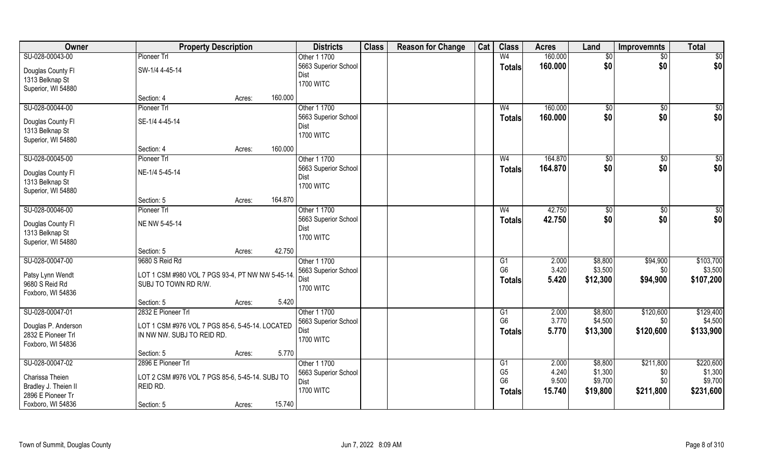| Owner                | <b>Property Description</b>                      |        |         | <b>Districts</b>         | <b>Class</b> | <b>Reason for Change</b> | Cat | <b>Class</b>         | <b>Acres</b>   | Land               | <b>Improvemnts</b> | <b>Total</b>         |
|----------------------|--------------------------------------------------|--------|---------|--------------------------|--------------|--------------------------|-----|----------------------|----------------|--------------------|--------------------|----------------------|
| SU-028-00043-00      | Pioneer Trl                                      |        |         | Other 1 1700             |              |                          |     | W <sub>4</sub>       | 160.000        | $\overline{50}$    | $\sqrt{$0}$        | $\overline{50}$      |
| Douglas County Fl    | SW-1/4 4-45-14                                   |        |         | 5663 Superior School     |              |                          |     | <b>Totals</b>        | 160.000        | \$0                | \$0                | \$0                  |
| 1313 Belknap St      |                                                  |        |         | Dist                     |              |                          |     |                      |                |                    |                    |                      |
| Superior, WI 54880   |                                                  |        |         | <b>1700 WITC</b>         |              |                          |     |                      |                |                    |                    |                      |
|                      | Section: 4                                       | Acres: | 160.000 |                          |              |                          |     |                      |                |                    |                    |                      |
| SU-028-00044-00      | Pioneer Trl                                      |        |         | Other 1 1700             |              |                          |     | W <sub>4</sub>       | 160.000        | \$0                | $\overline{60}$    | \$0                  |
|                      |                                                  |        |         | 5663 Superior School     |              |                          |     | Totals               | 160.000        | \$0                | \$0                | \$0                  |
| Douglas County Fl    | SE-1/4 4-45-14                                   |        |         | Dist                     |              |                          |     |                      |                |                    |                    |                      |
| 1313 Belknap St      |                                                  |        |         | <b>1700 WITC</b>         |              |                          |     |                      |                |                    |                    |                      |
| Superior, WI 54880   |                                                  |        |         |                          |              |                          |     |                      |                |                    |                    |                      |
|                      | Section: 4                                       | Acres: | 160.000 |                          |              |                          |     |                      |                |                    |                    |                      |
| SU-028-00045-00      | Pioneer Trl                                      |        |         | Other 1 1700             |              |                          |     | W <sub>4</sub>       | 164.870        | $\sqrt{50}$        | \$0                | $\sqrt{50}$          |
| Douglas County Fl    | NE-1/4 5-45-14                                   |        |         | 5663 Superior School     |              |                          |     | <b>Totals</b>        | 164.870        | \$0                | \$0                | \$0                  |
| 1313 Belknap St      |                                                  |        |         | Dist                     |              |                          |     |                      |                |                    |                    |                      |
| Superior, WI 54880   |                                                  |        |         | <b>1700 WITC</b>         |              |                          |     |                      |                |                    |                    |                      |
|                      | Section: 5                                       | Acres: | 164.870 |                          |              |                          |     |                      |                |                    |                    |                      |
| SU-028-00046-00      | Pioneer Trl                                      |        |         | Other 1 1700             |              |                          |     | W <sub>4</sub>       | 42.750         | \$0                | \$0                | $\sqrt{50}$          |
|                      |                                                  |        |         | 5663 Superior School     |              |                          |     | <b>Totals</b>        | 42.750         | \$0                | \$0                | \$0                  |
| Douglas County Fl    | NE NW 5-45-14                                    |        |         | Dist                     |              |                          |     |                      |                |                    |                    |                      |
| 1313 Belknap St      |                                                  |        |         | <b>1700 WITC</b>         |              |                          |     |                      |                |                    |                    |                      |
| Superior, WI 54880   |                                                  |        |         |                          |              |                          |     |                      |                |                    |                    |                      |
|                      | Section: 5                                       | Acres: | 42.750  |                          |              |                          |     |                      |                |                    |                    |                      |
| SU-028-00047-00      | 9680 S Reid Rd                                   |        |         | Other 1 1700             |              |                          |     | $\overline{G1}$      | 2.000          | \$8,800            | \$94,900           | \$103,700            |
| Patsy Lynn Wendt     | LOT 1 CSM #980 VOL 7 PGS 93-4, PT NW NW 5-45-14. |        |         | 5663 Superior School     |              |                          |     | G <sub>6</sub>       | 3.420          | \$3,500            | \$0                | \$3,500              |
| 9680 S Reid Rd       | SUBJ TO TOWN RD R/W.                             |        |         | <b>Dist</b>              |              |                          |     | <b>Totals</b>        | 5.420          | \$12,300           | \$94,900           | \$107,200            |
| Foxboro, WI 54836    |                                                  |        |         | <b>1700 WITC</b>         |              |                          |     |                      |                |                    |                    |                      |
|                      | Section: 5                                       | Acres: | 5.420   |                          |              |                          |     |                      |                |                    |                    |                      |
| SU-028-00047-01      | 2832 E Pioneer Trl                               |        |         | Other 1 1700             |              |                          |     | G1                   | 2.000          | \$8,800            | \$120,600          | \$129,400            |
|                      |                                                  |        |         | 5663 Superior School     |              |                          |     | G <sub>6</sub>       | 3.770          | \$4,500            | \$0                | \$4,500              |
| Douglas P. Anderson  | LOT 1 CSM #976 VOL 7 PGS 85-6, 5-45-14. LOCATED  |        |         | Dist                     |              |                          |     | Totals               | 5.770          | \$13,300           | \$120,600          | \$133,900            |
| 2832 E Pioneer Trl   | IN NW NW. SUBJ TO REID RD.                       |        |         | <b>1700 WITC</b>         |              |                          |     |                      |                |                    |                    |                      |
| Foxboro, WI 54836    |                                                  |        | 5.770   |                          |              |                          |     |                      |                |                    |                    |                      |
|                      | Section: 5                                       | Acres: |         |                          |              |                          |     |                      |                |                    |                    |                      |
| SU-028-00047-02      | 2896 E Pioneer Trl                               |        |         | Other 1 1700             |              |                          |     | G1<br>G <sub>5</sub> | 2.000<br>4.240 | \$8,800            | \$211,800          | \$220,600<br>\$1,300 |
| Charissa Theien      | LOT 2 CSM #976 VOL 7 PGS 85-6, 5-45-14. SUBJ TO  |        |         | 5663 Superior School     |              |                          |     | G <sub>6</sub>       | 9.500          | \$1,300<br>\$9,700 | \$0<br>\$0         | \$9,700              |
| Bradley J. Theien II | REID RD.                                         |        |         | Dist<br><b>1700 WITC</b> |              |                          |     |                      |                |                    |                    |                      |
| 2896 E Pioneer Tr    |                                                  |        |         |                          |              |                          |     | Totals               | 15.740         | \$19,800           | \$211,800          | \$231,600            |
| Foxboro, WI 54836    | Section: 5                                       | Acres: | 15.740  |                          |              |                          |     |                      |                |                    |                    |                      |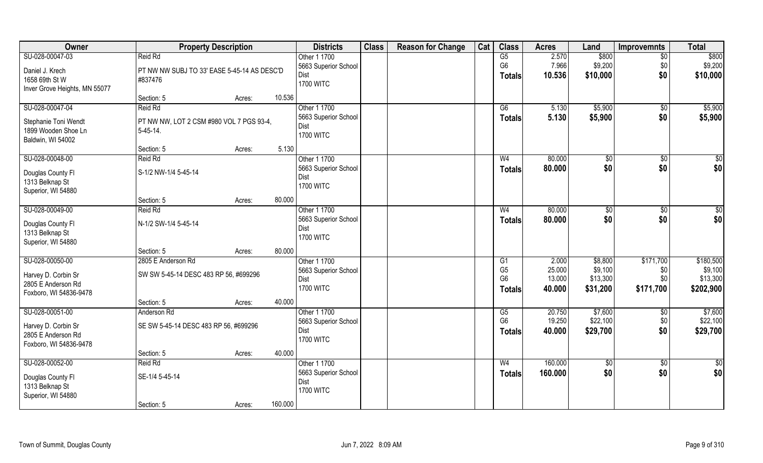| Owner                                                                                  | <b>Property Description</b>                                                     |        |         | <b>Districts</b>                                                        | <b>Class</b> | <b>Reason for Change</b> | Cat | <b>Class</b>                                     | <b>Acres</b>                        | Land                                       | <b>Improvemnts</b>                   | <b>Total</b>                                  |
|----------------------------------------------------------------------------------------|---------------------------------------------------------------------------------|--------|---------|-------------------------------------------------------------------------|--------------|--------------------------|-----|--------------------------------------------------|-------------------------------------|--------------------------------------------|--------------------------------------|-----------------------------------------------|
| SU-028-00047-03<br>Daniel J. Krech<br>1658 69th St W<br>Inver Grove Heights, MN 55077  | Reid Rd<br>PT NW NW SUBJ TO 33' EASE 5-45-14 AS DESC'D<br>#837476               |        |         | Other 1 1700<br>5663 Superior School<br><b>Dist</b><br><b>1700 WITC</b> |              |                          |     | G5<br>G <sub>6</sub><br><b>Totals</b>            | 2.570<br>7.966<br>10.536            | \$800<br>\$9,200<br>\$10,000               | $\sqrt{6}$<br>\$0<br>\$0             | \$800<br>\$9,200<br>\$10,000                  |
|                                                                                        | Section: 5                                                                      | Acres: | 10.536  |                                                                         |              |                          |     |                                                  |                                     |                                            |                                      |                                               |
| SU-028-00047-04<br>Stephanie Toni Wendt<br>1899 Wooden Shoe Ln<br>Baldwin, WI 54002    | Reid Rd<br>PT NW NW, LOT 2 CSM #980 VOL 7 PGS 93-4,<br>$5-45-14.$<br>Section: 5 | Acres: | 5.130   | Other 1 1700<br>5663 Superior School<br>Dist<br><b>1700 WITC</b>        |              |                          |     | G6<br><b>Totals</b>                              | 5.130<br>5.130                      | \$5,900<br>\$5,900                         | $\sqrt{$0}$<br>\$0                   | \$5,900<br>\$5,900                            |
| SU-028-00048-00                                                                        | Reid Rd                                                                         |        |         | Other 1 1700                                                            |              |                          |     | W <sub>4</sub>                                   | 80.000                              | \$0                                        | $\overline{50}$                      | $\sqrt{50}$                                   |
| Douglas County Fl<br>1313 Belknap St<br>Superior, WI 54880                             | S-1/2 NW-1/4 5-45-14                                                            |        |         | 5663 Superior School<br>Dist<br><b>1700 WITC</b>                        |              |                          |     | <b>Totals</b>                                    | 80.000                              | \$0                                        | \$0                                  | \$0                                           |
|                                                                                        | Section: 5                                                                      | Acres: | 80.000  |                                                                         |              |                          |     |                                                  |                                     |                                            |                                      |                                               |
| SU-028-00049-00<br>Douglas County Fl<br>1313 Belknap St<br>Superior, WI 54880          | Reid Rd<br>N-1/2 SW-1/4 5-45-14                                                 |        |         | Other 1 1700<br>5663 Superior School<br>Dist<br><b>1700 WITC</b>        |              |                          |     | W <sub>4</sub><br><b>Totals</b>                  | 80.000<br>80.000                    | \$0<br>\$0                                 | $\sqrt[6]{3}$<br>\$0                 | $\sqrt{50}$<br>\$0                            |
|                                                                                        | Section: 5                                                                      | Acres: | 80.000  |                                                                         |              |                          |     |                                                  |                                     |                                            |                                      |                                               |
| SU-028-00050-00<br>Harvey D. Corbin Sr<br>2805 E Anderson Rd<br>Foxboro, WI 54836-9478 | 2805 E Anderson Rd<br>SW SW 5-45-14 DESC 483 RP 56, #699296                     |        |         | Other 1 1700<br>5663 Superior School<br>Dist<br><b>1700 WITC</b>        |              |                          |     | G1<br>G <sub>5</sub><br>G <sub>6</sub><br>Totals | 2.000<br>25.000<br>13.000<br>40.000 | \$8,800<br>\$9,100<br>\$13,300<br>\$31,200 | \$171,700<br>\$0<br>\$0<br>\$171,700 | \$180,500<br>\$9,100<br>\$13,300<br>\$202,900 |
| SU-028-00051-00                                                                        | Section: 5<br>Anderson Rd                                                       | Acres: | 40.000  | Other 1 1700                                                            |              |                          |     | G5                                               | 20.750                              | \$7,600                                    |                                      | \$7,600                                       |
| Harvey D. Corbin Sr<br>2805 E Anderson Rd<br>Foxboro, WI 54836-9478                    | SE SW 5-45-14 DESC 483 RP 56, #699296                                           |        |         | 5663 Superior School<br>Dist<br><b>1700 WITC</b>                        |              |                          |     | G <sub>6</sub><br><b>Totals</b>                  | 19.250<br>40.000                    | \$22,100<br>\$29,700                       | $\sqrt{$0}$<br>\$0<br>\$0            | \$22,100<br>\$29,700                          |
|                                                                                        | Section: 5                                                                      | Acres: | 40.000  |                                                                         |              |                          |     |                                                  |                                     |                                            |                                      |                                               |
| SU-028-00052-00<br>Douglas County Fl<br>1313 Belknap St<br>Superior, WI 54880          | Reid Rd<br>SE-1/4 5-45-14<br>Section: 5                                         | Acres: | 160.000 | Other 1 1700<br>5663 Superior School<br>Dist<br><b>1700 WITC</b>        |              |                          |     | W <sub>4</sub><br><b>Totals</b>                  | 160.000<br>160.000                  | $\sqrt{50}$<br>\$0                         | $\sqrt{$0}$<br>\$0                   | $\overline{50}$<br>\$0                        |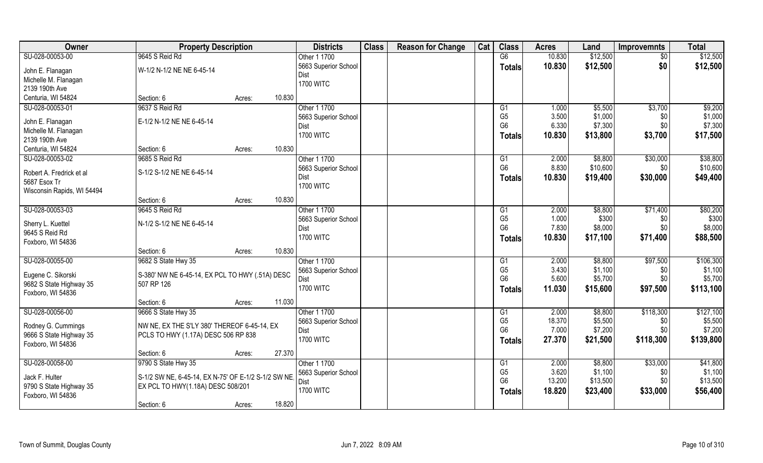| <b>Owner</b>               | <b>Property Description</b>                         |        | <b>Districts</b>     | <b>Class</b> | <b>Reason for Change</b> | Cat | <b>Class</b>                     | <b>Acres</b>   | Land               | <b>Improvemnts</b> | <b>Total</b>       |
|----------------------------|-----------------------------------------------------|--------|----------------------|--------------|--------------------------|-----|----------------------------------|----------------|--------------------|--------------------|--------------------|
| SU-028-00053-00            | 9645 S Reid Rd                                      |        | Other 1 1700         |              |                          |     | G6                               | 10.830         | \$12,500           | $\overline{50}$    | \$12,500           |
| John E. Flanagan           | W-1/2 N-1/2 NE NE 6-45-14                           |        | 5663 Superior School |              |                          |     | <b>Totals</b>                    | 10.830         | \$12,500           | \$0                | \$12,500           |
| Michelle M. Flanagan       |                                                     |        | Dist                 |              |                          |     |                                  |                |                    |                    |                    |
| 2139 190th Ave             |                                                     |        | <b>1700 WITC</b>     |              |                          |     |                                  |                |                    |                    |                    |
| Centuria, WI 54824         | Section: 6                                          | Acres: | 10.830               |              |                          |     |                                  |                |                    |                    |                    |
| SU-028-00053-01            | 9637 S Reid Rd                                      |        | Other 1 1700         |              |                          |     |                                  |                |                    |                    |                    |
|                            |                                                     |        |                      |              |                          |     | G1                               | 1.000          | \$5,500            | \$3,700            | \$9,200            |
| John E. Flanagan           | E-1/2 N-1/2 NE NE 6-45-14                           |        | 5663 Superior School |              |                          |     | G <sub>5</sub><br>G <sub>6</sub> | 3.500<br>6.330 | \$1,000<br>\$7,300 | \$0<br>\$0         | \$1,000<br>\$7,300 |
| Michelle M. Flanagan       |                                                     |        | Dist                 |              |                          |     |                                  |                |                    |                    |                    |
| 2139 190th Ave             |                                                     |        | <b>1700 WITC</b>     |              |                          |     | <b>Totals</b>                    | 10.830         | \$13,800           | \$3,700            | \$17,500           |
| Centuria, WI 54824         | Section: 6                                          | Acres: | 10.830               |              |                          |     |                                  |                |                    |                    |                    |
| SU-028-00053-02            | 9685 S Reid Rd                                      |        | Other 1 1700         |              |                          |     | G <sub>1</sub>                   | 2.000          | \$8,800            | \$30,000           | \$38,800           |
|                            |                                                     |        | 5663 Superior School |              |                          |     | G <sub>6</sub>                   | 8.830          | \$10,600           | \$0                | \$10,600           |
| Robert A. Fredrick et al   | S-1/2 S-1/2 NE NE 6-45-14                           |        | Dist                 |              |                          |     | <b>Totals</b>                    | 10.830         | \$19,400           | \$30,000           | \$49,400           |
| 5687 Esox Tr               |                                                     |        | <b>1700 WITC</b>     |              |                          |     |                                  |                |                    |                    |                    |
| Wisconsin Rapids, WI 54494 |                                                     |        |                      |              |                          |     |                                  |                |                    |                    |                    |
|                            | Section: 6                                          | Acres: | 10.830               |              |                          |     |                                  |                |                    |                    |                    |
| SU-028-00053-03            | 9645 S Reid Rd                                      |        | Other 1 1700         |              |                          |     | G1                               | 2.000          | \$8,800            | \$71,400           | \$80,200           |
| Sherry L. Kuettel          | N-1/2 S-1/2 NE NE 6-45-14                           |        | 5663 Superior School |              |                          |     | G <sub>5</sub>                   | 1.000          | \$300              | \$0                | \$300              |
| 9645 S Reid Rd             |                                                     |        | Dist                 |              |                          |     | G <sub>6</sub>                   | 7.830          | \$8,000            | \$0                | \$8,000            |
| Foxboro, WI 54836          |                                                     |        | <b>1700 WITC</b>     |              |                          |     | <b>Totals</b>                    | 10.830         | \$17,100           | \$71,400           | \$88,500           |
|                            | Section: 6                                          | Acres: | 10.830               |              |                          |     |                                  |                |                    |                    |                    |
| SU-028-00055-00            | 9682 S State Hwy 35                                 |        | Other 1 1700         |              |                          |     | G1                               | 2.000          | \$8,800            | \$97,500           | \$106,300          |
|                            |                                                     |        | 5663 Superior School |              |                          |     | G <sub>5</sub>                   | 3.430          | \$1,100            | \$0                | \$1,100            |
| Eugene C. Sikorski         | S-380' NW NE 6-45-14, EX PCL TO HWY (.51A) DESC     |        | Dist                 |              |                          |     | G <sub>6</sub>                   | 5.600          | \$5,700            | \$0                | \$5,700            |
| 9682 S State Highway 35    | 507 RP 126                                          |        | <b>1700 WITC</b>     |              |                          |     |                                  | 11.030         | \$15,600           | \$97,500           | \$113,100          |
| Foxboro, WI 54836          |                                                     |        |                      |              |                          |     | <b>Totals</b>                    |                |                    |                    |                    |
|                            | Section: 6                                          | Acres: | 11.030               |              |                          |     |                                  |                |                    |                    |                    |
| SU-028-00056-00            | 9666 S State Hwy 35                                 |        | Other 1 1700         |              |                          |     | G <sub>1</sub>                   | 2.000          | \$8,800            | \$118,300          | \$127,100          |
| Rodney G. Cummings         | NW NE, EX THE S'LY 380' THEREOF 6-45-14, EX         |        | 5663 Superior School |              |                          |     | G <sub>5</sub>                   | 18.370         | \$5,500            | \$0                | \$5,500            |
| 9666 S State Highway 35    | PCLS TO HWY (1.17A) DESC 506 RP 838                 |        | Dist                 |              |                          |     | G <sub>6</sub>                   | 7.000          | \$7,200            | \$0                | \$7,200            |
| Foxboro, WI 54836          |                                                     |        | <b>1700 WITC</b>     |              |                          |     | <b>Totals</b>                    | 27.370         | \$21,500           | \$118,300          | \$139,800          |
|                            | Section: 6                                          | Acres: | 27.370               |              |                          |     |                                  |                |                    |                    |                    |
| SU-028-00058-00            | 9790 S State Hwy 35                                 |        | Other 1 1700         |              |                          |     |                                  | 2.000          | \$8,800            | \$33,000           | \$41,800           |
|                            |                                                     |        | 5663 Superior School |              |                          |     | G <sub>1</sub><br>G <sub>5</sub> | 3.620          | \$1,100            | \$0                | \$1,100            |
| Jack F. Hulter             | S-1/2 SW NE, 6-45-14, EX N-75' OF E-1/2 S-1/2 SW NE |        |                      |              |                          |     | G <sub>6</sub>                   | 13.200         | \$13,500           | \$0                | \$13,500           |
| 9790 S State Highway 35    | EX PCL TO HWY(1.18A) DESC 508/201                   |        | Dist                 |              |                          |     |                                  |                |                    |                    |                    |
| Foxboro, WI 54836          |                                                     |        | <b>1700 WITC</b>     |              |                          |     | <b>Totals</b>                    | 18.820         | \$23,400           | \$33,000           | \$56,400           |
|                            | Section: 6                                          | Acres: | 18.820               |              |                          |     |                                  |                |                    |                    |                    |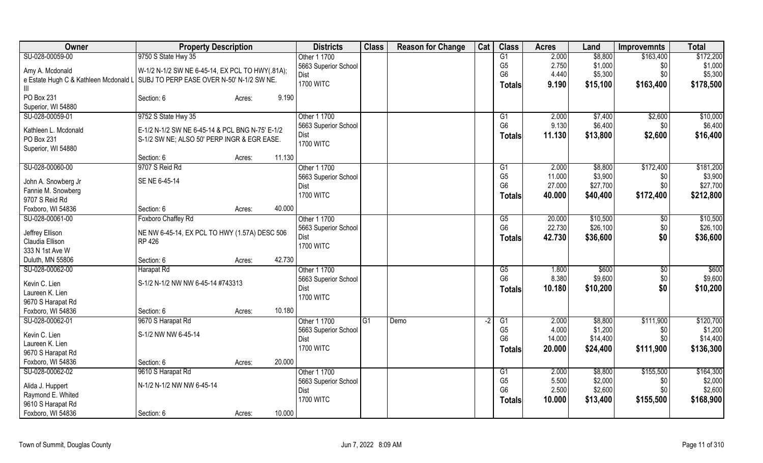| Owner                                                                           | <b>Property Description</b>                     |                  | <b>Districts</b>             | <b>Class</b> | <b>Reason for Change</b> | Cat  | <b>Class</b>                     | <b>Acres</b>     | Land                | <b>Improvemnts</b> | <b>Total</b>     |
|---------------------------------------------------------------------------------|-------------------------------------------------|------------------|------------------------------|--------------|--------------------------|------|----------------------------------|------------------|---------------------|--------------------|------------------|
| SU-028-00059-00                                                                 | 9750 S State Hwy 35                             |                  | Other 1 1700                 |              |                          |      | G1                               | 2.000            | \$8,800             | \$163,400          | \$172,200        |
| Amy A. Mcdonald                                                                 | W-1/2 N-1/2 SW NE 6-45-14, EX PCL TO HWY(.81A); |                  | 5663 Superior School         |              |                          |      | G <sub>5</sub>                   | 2.750            | \$1,000             | \$0                | \$1,000          |
| e Estate Hugh C & Kathleen Mcdonald L SUBJ TO PERP EASE OVER N-50' N-1/2 SW NE. |                                                 |                  | Dist                         |              |                          |      | G <sub>6</sub>                   | 4.440            | \$5,300             | \$0                | \$5,300          |
| Ш                                                                               |                                                 |                  | <b>1700 WITC</b>             |              |                          |      | <b>Totals</b>                    | 9.190            | \$15,100            | \$163,400          | \$178,500        |
| PO Box 231                                                                      | Section: 6                                      | 9.190<br>Acres:  |                              |              |                          |      |                                  |                  |                     |                    |                  |
| Superior, WI 54880                                                              |                                                 |                  |                              |              |                          |      |                                  |                  |                     |                    |                  |
| SU-028-00059-01                                                                 | 9752 S State Hwy 35                             |                  | Other 1 1700                 |              |                          |      | G1                               | 2.000            | \$7,400             | \$2,600            | \$10,000         |
|                                                                                 |                                                 |                  | 5663 Superior School         |              |                          |      | G <sub>6</sub>                   | 9.130            | \$6,400             | \$0                | \$6,400          |
| Kathleen L. Mcdonald                                                            | E-1/2 N-1/2 SW NE 6-45-14 & PCL BNG N-75' E-1/2 |                  | <b>Dist</b>                  |              |                          |      | <b>Totals</b>                    | 11.130           | \$13,800            | \$2,600            | \$16,400         |
| PO Box 231                                                                      | S-1/2 SW NE; ALSO 50' PERP INGR & EGR EASE.     |                  | <b>1700 WITC</b>             |              |                          |      |                                  |                  |                     |                    |                  |
| Superior, WI 54880                                                              |                                                 |                  |                              |              |                          |      |                                  |                  |                     |                    |                  |
|                                                                                 | Section: 6                                      | 11.130<br>Acres: |                              |              |                          |      |                                  |                  |                     |                    |                  |
| SU-028-00060-00                                                                 | 9707 S Reid Rd                                  |                  | Other 1 1700                 |              |                          |      | $\overline{G1}$                  | 2.000            | \$8,800             | \$172,400          | \$181,200        |
| John A. Snowberg Jr                                                             | SE NE 6-45-14                                   |                  | 5663 Superior School         |              |                          |      | G <sub>5</sub><br>G <sub>6</sub> | 11.000<br>27.000 | \$3,900<br>\$27,700 | \$0<br>\$0         | \$3,900          |
| Fannie M. Snowberg                                                              |                                                 |                  | Dist                         |              |                          |      |                                  |                  |                     |                    | \$27,700         |
| 9707 S Reid Rd                                                                  |                                                 |                  | <b>1700 WITC</b>             |              |                          |      | <b>Totals</b>                    | 40.000           | \$40,400            | \$172,400          | \$212,800        |
| Foxboro, WI 54836                                                               | Section: 6                                      | 40.000<br>Acres: |                              |              |                          |      |                                  |                  |                     |                    |                  |
| SU-028-00061-00                                                                 | Foxboro Chaffey Rd                              |                  | Other 1 1700                 |              |                          |      | G5                               | 20.000           | \$10,500            | \$0                | \$10,500         |
|                                                                                 |                                                 |                  | 5663 Superior School         |              |                          |      | G <sub>6</sub>                   | 22.730           | \$26,100            | \$0                | \$26,100         |
| Jeffrey Ellison                                                                 | NE NW 6-45-14, EX PCL TO HWY (1.57A) DESC 506   |                  | Dist                         |              |                          |      | <b>Totals</b>                    | 42.730           | \$36,600            | \$0                | \$36,600         |
| Claudia Ellison<br>333 N 1st Ave W                                              | RP 426                                          |                  | <b>1700 WITC</b>             |              |                          |      |                                  |                  |                     |                    |                  |
| Duluth, MN 55806                                                                |                                                 | 42.730           |                              |              |                          |      |                                  |                  |                     |                    |                  |
| SU-028-00062-00                                                                 | Section: 6                                      | Acres:           | Other 1 1700                 |              |                          |      |                                  |                  | \$600               |                    |                  |
|                                                                                 | Harapat Rd                                      |                  |                              |              |                          |      | G5<br>G <sub>6</sub>             | 1.800<br>8.380   | \$9,600             | \$0                | \$600<br>\$9,600 |
| Kevin C. Lien                                                                   | S-1/2 N-1/2 NW NW 6-45-14 #743313               |                  | 5663 Superior School<br>Dist |              |                          |      |                                  |                  |                     | \$0<br>\$0         |                  |
| Laureen K. Lien                                                                 |                                                 |                  | <b>1700 WITC</b>             |              |                          |      | <b>Totals</b>                    | 10.180           | \$10,200            |                    | \$10,200         |
| 9670 S Harapat Rd                                                               |                                                 |                  |                              |              |                          |      |                                  |                  |                     |                    |                  |
| Foxboro, WI 54836                                                               | Section: 6                                      | 10.180<br>Acres: |                              |              |                          |      |                                  |                  |                     |                    |                  |
| SU-028-00062-01                                                                 | 9670 S Harapat Rd                               |                  | Other 1 1700                 | G1           | Demo                     | $-2$ | G1                               | 2.000            | \$8,800             | \$111,900          | \$120,700        |
| Kevin C. Lien                                                                   | S-1/2 NW NW 6-45-14                             |                  | 5663 Superior School         |              |                          |      | G <sub>5</sub>                   | 4.000            | \$1,200             | \$0                | \$1,200          |
| Laureen K. Lien                                                                 |                                                 |                  | Dist                         |              |                          |      | G <sub>6</sub>                   | 14.000           | \$14,400            | \$0                | \$14,400         |
| 9670 S Harapat Rd                                                               |                                                 |                  | <b>1700 WITC</b>             |              |                          |      | <b>Totals</b>                    | 20.000           | \$24,400            | \$111,900          | \$136,300        |
| Foxboro, WI 54836                                                               | Section: 6                                      | 20.000<br>Acres: |                              |              |                          |      |                                  |                  |                     |                    |                  |
| SU-028-00062-02                                                                 | 9610 S Harapat Rd                               |                  | Other 1 1700                 |              |                          |      | G1                               | 2.000            | \$8,800             | \$155,500          | \$164,300        |
|                                                                                 |                                                 |                  | 5663 Superior School         |              |                          |      | G <sub>5</sub>                   | 5.500            | \$2,000             | \$0                | \$2,000          |
| Alida J. Huppert                                                                | N-1/2 N-1/2 NW NW 6-45-14                       |                  | Dist                         |              |                          |      | G <sub>6</sub>                   | 2.500            | \$2,600             | \$0                | \$2,600          |
| Raymond E. Whited                                                               |                                                 |                  | <b>1700 WITC</b>             |              |                          |      | <b>Totals</b>                    | 10.000           | \$13,400            | \$155,500          | \$168,900        |
| 9610 S Harapat Rd                                                               |                                                 |                  |                              |              |                          |      |                                  |                  |                     |                    |                  |
| Foxboro, WI 54836                                                               | Section: 6                                      | 10.000<br>Acres: |                              |              |                          |      |                                  |                  |                     |                    |                  |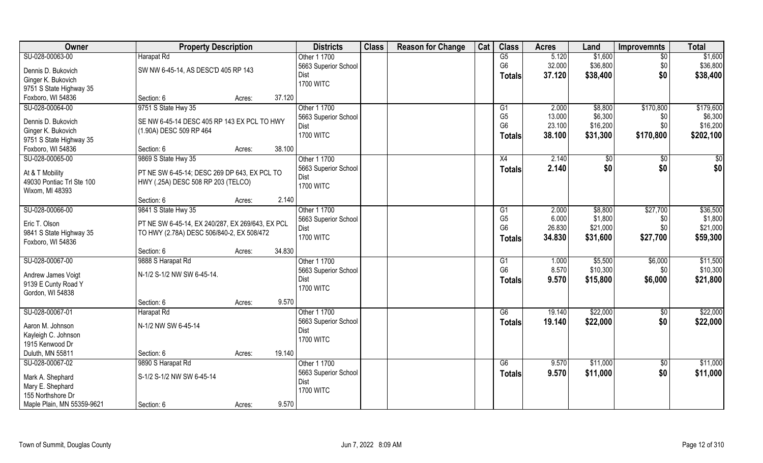| Owner                                     | <b>Property Description</b>                      |                  | <b>Districts</b>             | <b>Class</b> | <b>Reason for Change</b> | Cat | <b>Class</b>   | <b>Acres</b> | Land     | <b>Improvemnts</b> | <b>Total</b> |
|-------------------------------------------|--------------------------------------------------|------------------|------------------------------|--------------|--------------------------|-----|----------------|--------------|----------|--------------------|--------------|
| SU-028-00063-00                           | Harapat Rd                                       |                  | Other 1 1700                 |              |                          |     | G5             | 5.120        | \$1,600  | $\overline{30}$    | \$1,600      |
| Dennis D. Bukovich                        | SW NW 6-45-14, AS DESC'D 405 RP 143              |                  | 5663 Superior School         |              |                          |     | G <sub>6</sub> | 32.000       | \$36,800 | \$0                | \$36,800     |
| Ginger K. Bukovich                        |                                                  |                  | Dist                         |              |                          |     | <b>Totals</b>  | 37.120       | \$38,400 | \$0                | \$38,400     |
| 9751 S State Highway 35                   |                                                  |                  | <b>1700 WITC</b>             |              |                          |     |                |              |          |                    |              |
| Foxboro, WI 54836                         | Section: 6                                       | 37.120<br>Acres: |                              |              |                          |     |                |              |          |                    |              |
| SU-028-00064-00                           | 9751 S State Hwy 35                              |                  | Other 1 1700                 |              |                          |     | G1             | 2.000        | \$8,800  | \$170,800          | \$179,600    |
|                                           |                                                  |                  | 5663 Superior School         |              |                          |     | G <sub>5</sub> | 13.000       | \$6,300  | \$0                | \$6,300      |
| Dennis D. Bukovich                        | SE NW 6-45-14 DESC 405 RP 143 EX PCL TO HWY      |                  | Dist                         |              |                          |     | G <sub>6</sub> | 23.100       | \$16,200 | \$0                | \$16,200     |
| Ginger K. Bukovich                        | (1.90A) DESC 509 RP 464                          |                  | <b>1700 WITC</b>             |              |                          |     | <b>Totals</b>  | 38.100       | \$31,300 | \$170,800          | \$202,100    |
| 9751 S State Highway 35                   |                                                  |                  |                              |              |                          |     |                |              |          |                    |              |
| Foxboro, WI 54836                         | Section: 6                                       | Acres:           | 38.100                       |              |                          |     |                |              |          |                    |              |
| SU-028-00065-00                           | 9869 S State Hwy 35                              |                  | Other 1 1700                 |              |                          |     | X4             | 2.140        | \$0      | \$0                | \$0          |
| At & T Mobility                           | PT NE SW 6-45-14; DESC 269 DP 643, EX PCL TO     |                  | 5663 Superior School         |              |                          |     | <b>Totals</b>  | 2.140        | \$0      | \$0                | \$0          |
| 49030 Pontiac Trl Ste 100                 | HWY (.25A) DESC 508 RP 203 (TELCO)               |                  | Dist                         |              |                          |     |                |              |          |                    |              |
| Wixom, MI 48393                           |                                                  |                  | <b>1700 WITC</b>             |              |                          |     |                |              |          |                    |              |
|                                           | Section: 6                                       | Acres:           | 2.140                        |              |                          |     |                |              |          |                    |              |
| SU-028-00066-00                           | 9841 S State Hwy 35                              |                  | Other 1 1700                 |              |                          |     | G1             | 2.000        | \$8,800  | \$27,700           | \$36,500     |
|                                           |                                                  |                  | 5663 Superior School         |              |                          |     | G <sub>5</sub> | 6.000        | \$1,800  | \$0                | \$1,800      |
| Eric T. Olson                             | PT NE SW 6-45-14, EX 240/287, EX 269/643, EX PCL |                  | Dist                         |              |                          |     | G <sub>6</sub> | 26.830       | \$21,000 | \$0                | \$21,000     |
| 9841 S State Highway 35                   | TO HWY (2.78A) DESC 506/840-2, EX 508/472        |                  | <b>1700 WITC</b>             |              |                          |     |                | 34.830       | \$31,600 | \$27,700           | \$59,300     |
| Foxboro, WI 54836                         |                                                  |                  |                              |              |                          |     | <b>Totals</b>  |              |          |                    |              |
|                                           | Section: 6                                       | 34.830<br>Acres: |                              |              |                          |     |                |              |          |                    |              |
| SU-028-00067-00                           | 9888 S Harapat Rd                                |                  | Other 1 1700                 |              |                          |     | G1             | 1.000        | \$5,500  | \$6,000            | \$11,500     |
|                                           | N-1/2 S-1/2 NW SW 6-45-14.                       |                  | 5663 Superior School         |              |                          |     | G <sub>6</sub> | 8.570        | \$10,300 | \$0                | \$10,300     |
| Andrew James Voigt<br>9139 E Cunty Road Y |                                                  |                  | Dist                         |              |                          |     | <b>Totals</b>  | 9.570        | \$15,800 | \$6,000            | \$21,800     |
| Gordon, WI 54838                          |                                                  |                  | <b>1700 WITC</b>             |              |                          |     |                |              |          |                    |              |
|                                           | Section: 6                                       |                  | 9.570                        |              |                          |     |                |              |          |                    |              |
| SU-028-00067-01                           |                                                  | Acres:           | Other 1 1700                 |              |                          |     | G6             | 19.140       | \$22,000 |                    |              |
|                                           | Harapat Rd                                       |                  |                              |              |                          |     |                |              |          | \$0                | \$22,000     |
| Aaron M. Johnson                          | N-1/2 NW SW 6-45-14                              |                  | 5663 Superior School<br>Dist |              |                          |     | <b>Totals</b>  | 19.140       | \$22,000 | \$0                | \$22,000     |
| Kayleigh C. Johnson                       |                                                  |                  | <b>1700 WITC</b>             |              |                          |     |                |              |          |                    |              |
| 1915 Kenwood Dr                           |                                                  |                  |                              |              |                          |     |                |              |          |                    |              |
| Duluth, MN 55811                          | Section: 6                                       | 19.140<br>Acres: |                              |              |                          |     |                |              |          |                    |              |
| SU-028-00067-02                           | 9890 S Harapat Rd                                |                  | Other 1 1700                 |              |                          |     | G6             | 9.570        | \$11,000 | $\sqrt{$0}$        | \$11,000     |
|                                           |                                                  |                  | 5663 Superior School         |              |                          |     | <b>Totals</b>  | 9.570        | \$11,000 | \$0                | \$11,000     |
| Mark A. Shephard                          | S-1/2 S-1/2 NW SW 6-45-14                        |                  | Dist                         |              |                          |     |                |              |          |                    |              |
| Mary E. Shephard<br>155 Northshore Dr     |                                                  |                  | <b>1700 WITC</b>             |              |                          |     |                |              |          |                    |              |
|                                           |                                                  |                  | 9.570                        |              |                          |     |                |              |          |                    |              |
| Maple Plain, MN 55359-9621                | Section: 6                                       | Acres:           |                              |              |                          |     |                |              |          |                    |              |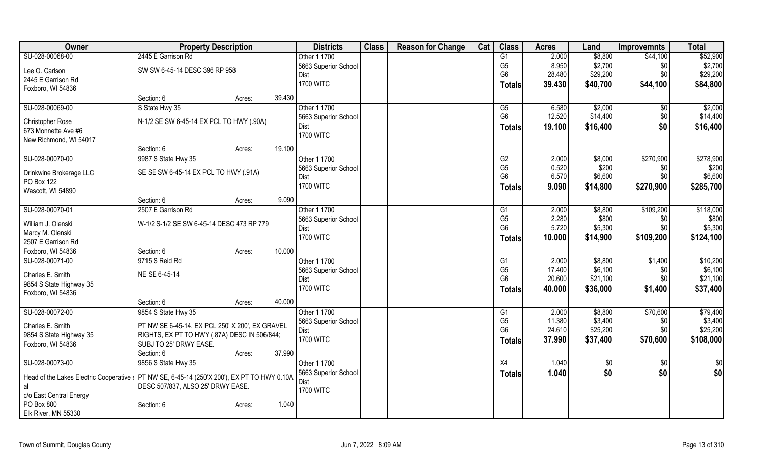| Owner                                        | <b>Property Description</b>                        |        |        | <b>Districts</b>     | <b>Class</b> | <b>Reason for Change</b> | Cat | <b>Class</b>    | <b>Acres</b> | Land     | <b>Improvemnts</b> | <b>Total</b> |
|----------------------------------------------|----------------------------------------------------|--------|--------|----------------------|--------------|--------------------------|-----|-----------------|--------------|----------|--------------------|--------------|
| SU-028-00068-00                              | 2445 E Garrison Rd                                 |        |        | Other 1 1700         |              |                          |     | G1              | 2.000        | \$8,800  | \$44,100           | \$52,900     |
| Lee O. Carlson                               | SW SW 6-45-14 DESC 396 RP 958                      |        |        | 5663 Superior School |              |                          |     | G <sub>5</sub>  | 8.950        | \$2,700  | \$0                | \$2,700      |
| 2445 E Garrison Rd                           |                                                    |        |        | Dist                 |              |                          |     | G <sub>6</sub>  | 28.480       | \$29,200 | \$0                | \$29,200     |
| Foxboro, WI 54836                            |                                                    |        |        | <b>1700 WITC</b>     |              |                          |     | Totals          | 39.430       | \$40,700 | \$44,100           | \$84,800     |
|                                              | Section: 6                                         | Acres: | 39.430 |                      |              |                          |     |                 |              |          |                    |              |
| SU-028-00069-00                              | S State Hwy 35                                     |        |        | Other 1 1700         |              |                          |     | G5              | 6.580        | \$2,000  | \$0                | \$2,000      |
|                                              | N-1/2 SE SW 6-45-14 EX PCL TO HWY (.90A)           |        |        | 5663 Superior School |              |                          |     | G <sub>6</sub>  | 12.520       | \$14,400 | \$0                | \$14,400     |
| Christopher Rose<br>673 Monnette Ave #6      |                                                    |        |        | Dist                 |              |                          |     | <b>Totals</b>   | 19.100       | \$16,400 | \$0                | \$16,400     |
| New Richmond, WI 54017                       |                                                    |        |        | <b>1700 WITC</b>     |              |                          |     |                 |              |          |                    |              |
|                                              | Section: 6                                         | Acres: | 19.100 |                      |              |                          |     |                 |              |          |                    |              |
| SU-028-00070-00                              | 9987 S State Hwy 35                                |        |        | Other 1 1700         |              |                          |     | G2              | 2.000        | \$8,000  | \$270,900          | \$278,900    |
|                                              |                                                    |        |        | 5663 Superior School |              |                          |     | G <sub>5</sub>  | 0.520        | \$200    | \$0                | \$200        |
| Drinkwine Brokerage LLC                      | SE SE SW 6-45-14 EX PCL TO HWY (.91A)              |        |        | Dist                 |              |                          |     | G <sub>6</sub>  | 6.570        | \$6,600  | \$0                | \$6,600      |
| PO Box 122                                   |                                                    |        |        | <b>1700 WITC</b>     |              |                          |     | <b>Totals</b>   | 9.090        | \$14,800 | \$270,900          | \$285,700    |
| Wascott, WI 54890                            |                                                    |        |        |                      |              |                          |     |                 |              |          |                    |              |
|                                              | Section: 6                                         | Acres: | 9.090  |                      |              |                          |     |                 |              |          |                    |              |
| SU-028-00070-01                              | 2507 E Garrison Rd                                 |        |        | Other 1 1700         |              |                          |     | G1              | 2.000        | \$8,800  | \$109,200          | \$118,000    |
| William J. Olenski                           | W-1/2 S-1/2 SE SW 6-45-14 DESC 473 RP 779          |        |        | 5663 Superior School |              |                          |     | G <sub>5</sub>  | 2.280        | \$800    | \$0                | \$800        |
| Marcy M. Olenski                             |                                                    |        |        | <b>Dist</b>          |              |                          |     | G <sub>6</sub>  | 5.720        | \$5,300  | \$0                | \$5,300      |
| 2507 E Garrison Rd                           |                                                    |        |        | <b>1700 WITC</b>     |              |                          |     | <b>Totals</b>   | 10.000       | \$14,900 | \$109,200          | \$124,100    |
| Foxboro, WI 54836                            | Section: 6                                         | Acres: | 10.000 |                      |              |                          |     |                 |              |          |                    |              |
| SU-028-00071-00                              | 9715 S Reid Rd                                     |        |        | Other 1 1700         |              |                          |     | G1              | 2.000        | \$8,800  | \$1,400            | \$10,200     |
| Charles E. Smith                             | NE SE 6-45-14                                      |        |        | 5663 Superior School |              |                          |     | G <sub>5</sub>  | 17.400       | \$6,100  | \$0                | \$6,100      |
|                                              |                                                    |        |        | Dist                 |              |                          |     | G <sub>6</sub>  | 20.600       | \$21,100 | \$0                | \$21,100     |
| 9854 S State Highway 35<br>Foxboro, WI 54836 |                                                    |        |        | <b>1700 WITC</b>     |              |                          |     | <b>Totals</b>   | 40.000       | \$36,000 | \$1,400            | \$37,400     |
|                                              | Section: 6                                         | Acres: | 40.000 |                      |              |                          |     |                 |              |          |                    |              |
| SU-028-00072-00                              | 9854 S State Hwy 35                                |        |        | Other 1 1700         |              |                          |     | G1              | 2.000        | \$8,800  | \$70,600           | \$79,400     |
|                                              |                                                    |        |        | 5663 Superior School |              |                          |     | G <sub>5</sub>  | 11.380       | \$3,400  | \$0                | \$3,400      |
| Charles E. Smith                             | PT NW SE 6-45-14, EX PCL 250' X 200', EX GRAVEL    |        |        | Dist                 |              |                          |     | G <sub>6</sub>  | 24.610       | \$25,200 | \$0                | \$25,200     |
| 9854 S State Highway 35                      | RIGHTS, EX PT TO HWY (.87A) DESC IN 506/844;       |        |        | <b>1700 WITC</b>     |              |                          |     | Totals          | 37.990       | \$37,400 | \$70,600           | \$108,000    |
| Foxboro, WI 54836                            | SUBJ TO 25' DRWY EASE.                             |        |        |                      |              |                          |     |                 |              |          |                    |              |
|                                              | Section: 6                                         | Acres: | 37.990 |                      |              |                          |     |                 |              |          |                    |              |
| SU-028-00073-00                              | 9856 S State Hwy 35                                |        |        | Other 1 1700         |              |                          |     | $\overline{X4}$ | 1.040        | \$0      | $\sqrt{6}$         | \$0          |
| Head of the Lakes Electric Cooperative       | PT NW SE, 6-45-14 (250'X 200'), EX PT TO HWY 0.10A |        |        | 5663 Superior School |              |                          |     | <b>Totals</b>   | 1.040        | \$0      | \$0                | \$0          |
| al                                           | DESC 507/837, ALSO 25' DRWY EASE.                  |        |        | Dist                 |              |                          |     |                 |              |          |                    |              |
| c/o East Central Energy                      |                                                    |        |        | <b>1700 WITC</b>     |              |                          |     |                 |              |          |                    |              |
| PO Box 800                                   | Section: 6                                         | Acres: | 1.040  |                      |              |                          |     |                 |              |          |                    |              |
| Elk River, MN 55330                          |                                                    |        |        |                      |              |                          |     |                 |              |          |                    |              |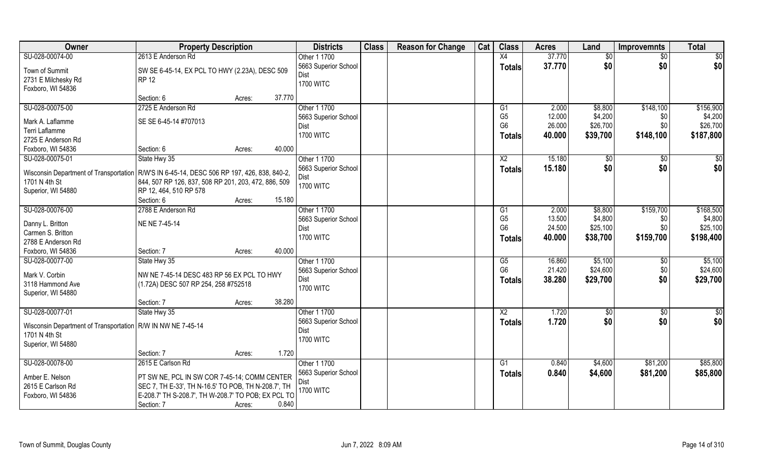| Owner                                                                                        | <b>Property Description</b>                          |        |        | <b>Districts</b>     | <b>Class</b> | <b>Reason for Change</b> | Cat | <b>Class</b>    | <b>Acres</b> | Land            | <b>Improvemnts</b> | <b>Total</b>    |
|----------------------------------------------------------------------------------------------|------------------------------------------------------|--------|--------|----------------------|--------------|--------------------------|-----|-----------------|--------------|-----------------|--------------------|-----------------|
| SU-028-00074-00                                                                              | 2613 E Anderson Rd                                   |        |        | Other 1 1700         |              |                          |     | X4              | 37.770       | $\overline{50}$ | $\overline{50}$    | \$0             |
| Town of Summit                                                                               | SW SE 6-45-14, EX PCL TO HWY (2.23A), DESC 509       |        |        | 5663 Superior School |              |                          |     | <b>Totals</b>   | 37.770       | \$0             | \$0                | \$0             |
| 2731 E Milchesky Rd                                                                          | <b>RP 12</b>                                         |        |        | Dist                 |              |                          |     |                 |              |                 |                    |                 |
| Foxboro, WI 54836                                                                            |                                                      |        |        | <b>1700 WITC</b>     |              |                          |     |                 |              |                 |                    |                 |
|                                                                                              | Section: 6                                           | Acres: | 37.770 |                      |              |                          |     |                 |              |                 |                    |                 |
| SU-028-00075-00                                                                              | 2725 E Anderson Rd                                   |        |        | Other 1 1700         |              |                          |     | G1              | 2.000        | \$8,800         | \$148,100          | \$156,900       |
| Mark A. Laflamme                                                                             | SE SE 6-45-14 #707013                                |        |        | 5663 Superior School |              |                          |     | G <sub>5</sub>  | 12.000       | \$4,200         | \$0                | \$4,200         |
| Terri Laflamme                                                                               |                                                      |        |        | Dist                 |              |                          |     | G <sub>6</sub>  | 26.000       | \$26,700        | \$0                | \$26,700        |
| 2725 E Anderson Rd                                                                           |                                                      |        |        | <b>1700 WITC</b>     |              |                          |     | <b>Totals</b>   | 40.000       | \$39,700        | \$148,100          | \$187,800       |
| Foxboro, WI 54836                                                                            | Section: 6                                           | Acres: | 40.000 |                      |              |                          |     |                 |              |                 |                    |                 |
| SU-028-00075-01                                                                              | State Hwy 35                                         |        |        | Other 1 1700         |              |                          |     | X <sub>2</sub>  | 15.180       | \$0             | \$0                | \$0             |
|                                                                                              |                                                      |        |        | 5663 Superior School |              |                          |     | <b>Totals</b>   | 15.180       | \$0             | \$0                | \$0             |
| Wisconsin Department of Transportation   R/W'S IN 6-45-14, DESC 506 RP 197, 426, 838, 840-2, |                                                      |        |        | Dist                 |              |                          |     |                 |              |                 |                    |                 |
| 1701 N 4th St                                                                                | 844, 507 RP 126, 837, 508 RP 201, 203, 472, 886, 509 |        |        | <b>1700 WITC</b>     |              |                          |     |                 |              |                 |                    |                 |
| Superior, WI 54880                                                                           | RP 12, 464, 510 RP 578                               |        |        |                      |              |                          |     |                 |              |                 |                    |                 |
|                                                                                              | Section: 6                                           | Acres: | 15.180 |                      |              |                          |     |                 |              |                 |                    |                 |
| SU-028-00076-00                                                                              | 2788 E Anderson Rd                                   |        |        | Other 1 1700         |              |                          |     | G1              | 2.000        | \$8,800         | \$159,700          | \$168,500       |
| Danny L. Britton                                                                             | NE NE 7-45-14                                        |        |        | 5663 Superior School |              |                          |     | G <sub>5</sub>  | 13.500       | \$4,800         | \$0                | \$4,800         |
| Carmen S. Britton                                                                            |                                                      |        |        | Dist                 |              |                          |     | G <sub>6</sub>  | 24.500       | \$25,100        | \$0                | \$25,100        |
| 2788 E Anderson Rd                                                                           |                                                      |        |        | <b>1700 WITC</b>     |              |                          |     | <b>Totals</b>   | 40.000       | \$38,700        | \$159,700          | \$198,400       |
| Foxboro, WI 54836                                                                            | Section: 7                                           | Acres: | 40.000 |                      |              |                          |     |                 |              |                 |                    |                 |
| SU-028-00077-00                                                                              | State Hwy 35                                         |        |        | Other 1 1700         |              |                          |     | G5              | 16.860       | \$5,100         | $\sqrt{6}$         | \$5,100         |
| Mark V. Corbin                                                                               | NW NE 7-45-14 DESC 483 RP 56 EX PCL TO HWY           |        |        | 5663 Superior School |              |                          |     | G <sub>6</sub>  | 21.420       | \$24,600        | \$0                | \$24,600        |
| 3118 Hammond Ave                                                                             | (1.72A) DESC 507 RP 254, 258 #752518                 |        |        | Dist                 |              |                          |     | Totals          | 38.280       | \$29,700        | \$0                | \$29,700        |
| Superior, WI 54880                                                                           |                                                      |        |        | <b>1700 WITC</b>     |              |                          |     |                 |              |                 |                    |                 |
|                                                                                              | Section: 7                                           | Acres: | 38.280 |                      |              |                          |     |                 |              |                 |                    |                 |
| SU-028-00077-01                                                                              | State Hwy 35                                         |        |        | Other 1 1700         |              |                          |     | $\overline{X2}$ | 1.720        | $\overline{50}$ | \$0                | $\overline{30}$ |
|                                                                                              |                                                      |        |        | 5663 Superior School |              |                          |     | <b>Totals</b>   | 1.720        | \$0             | \$0                | \$0             |
| Wisconsin Department of Transportation   R/W IN NW NE 7-45-14                                |                                                      |        |        | Dist                 |              |                          |     |                 |              |                 |                    |                 |
| 1701 N 4th St                                                                                |                                                      |        |        | <b>1700 WITC</b>     |              |                          |     |                 |              |                 |                    |                 |
| Superior, WI 54880                                                                           | Section: 7                                           |        | 1.720  |                      |              |                          |     |                 |              |                 |                    |                 |
| SU-028-00078-00                                                                              | 2615 E Carlson Rd                                    | Acres: |        | Other 1 1700         |              |                          |     | G1              | 0.840        | \$4,600         | \$81,200           | \$85,800        |
|                                                                                              |                                                      |        |        | 5663 Superior School |              |                          |     |                 | 0.840        |                 |                    |                 |
| Amber E. Nelson                                                                              | PT SW NE, PCL IN SW COR 7-45-14; COMM CENTER         |        |        | Dist                 |              |                          |     | <b>Totals</b>   |              | \$4,600         | \$81,200           | \$85,800        |
| 2615 E Carlson Rd                                                                            | SEC 7, TH E-33', TH N-16.5' TO POB, TH N-208.7', TH  |        |        | <b>1700 WITC</b>     |              |                          |     |                 |              |                 |                    |                 |
| Foxboro, WI 54836                                                                            | E-208.7' TH S-208.7', TH W-208.7' TO POB; EX PCL TO  |        |        |                      |              |                          |     |                 |              |                 |                    |                 |
|                                                                                              | Section: 7                                           | Acres: | 0.840  |                      |              |                          |     |                 |              |                 |                    |                 |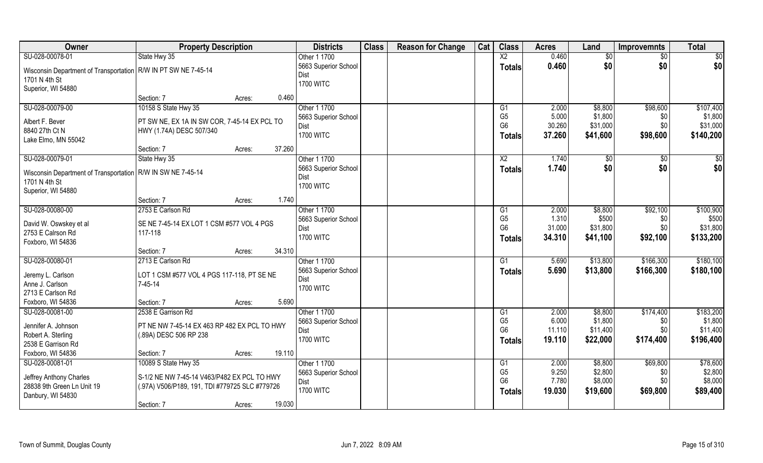| Owner                                                            | <b>Property Description</b>                          |        |        | <b>Districts</b>                    | <b>Class</b> | <b>Reason for Change</b> | Cat | <b>Class</b>           | <b>Acres</b>   | Land               | <b>Improvemnts</b> | <b>Total</b>         |
|------------------------------------------------------------------|------------------------------------------------------|--------|--------|-------------------------------------|--------------|--------------------------|-----|------------------------|----------------|--------------------|--------------------|----------------------|
| SU-028-00078-01                                                  | State Hwy 35                                         |        |        | Other 1 1700                        |              |                          |     | $\overline{X2}$        | 0.460          | $\overline{50}$    | $\sqrt{$0}$        | $\overline{50}$      |
| Wisconsin Department of Transportation   R/W IN PT SW NE 7-45-14 |                                                      |        |        | 5663 Superior School                |              |                          |     | <b>Totals</b>          | 0.460          | \$0                | \$0                | \$0                  |
| 1701 N 4th St                                                    |                                                      |        |        | Dist                                |              |                          |     |                        |                |                    |                    |                      |
| Superior, WI 54880                                               |                                                      |        |        | <b>1700 WITC</b>                    |              |                          |     |                        |                |                    |                    |                      |
|                                                                  | Section: 7                                           | Acres: | 0.460  |                                     |              |                          |     |                        |                |                    |                    |                      |
| SU-028-00079-00                                                  | 10158 S State Hwy 35                                 |        |        | Other 1 1700                        |              |                          |     | $\overline{G1}$        | 2.000          | \$8,800            | \$98,600           | \$107,400            |
| Albert F. Bever                                                  | PT SW NE, EX 1A IN SW COR, 7-45-14 EX PCL TO         |        |        | 5663 Superior School                |              |                          |     | G <sub>5</sub>         | 5.000          | \$1,800            | \$0                | \$1,800              |
| 8840 27th Ct N                                                   | HWY (1.74A) DESC 507/340                             |        |        | Dist                                |              |                          |     | G <sub>6</sub>         | 30.260         | \$31,000           | \$0                | \$31,000             |
| Lake Elmo, MN 55042                                              |                                                      |        |        | <b>1700 WITC</b>                    |              |                          |     | Totals                 | 37.260         | \$41,600           | \$98,600           | \$140,200            |
|                                                                  | Section: 7                                           | Acres: | 37.260 |                                     |              |                          |     |                        |                |                    |                    |                      |
| SU-028-00079-01                                                  | State Hwy 35                                         |        |        | Other 1 1700                        |              |                          |     | $\overline{\text{X2}}$ | 1.740          | \$0                | $\sqrt[6]{30}$     | \$0                  |
| Wisconsin Department of Transportation   R/W IN SW NE 7-45-14    |                                                      |        |        | 5663 Superior School                |              |                          |     | <b>Totals</b>          | 1.740          | \$0                | \$0                | \$0                  |
| 1701 N 4th St                                                    |                                                      |        |        | Dist                                |              |                          |     |                        |                |                    |                    |                      |
| Superior, WI 54880                                               |                                                      |        |        | <b>1700 WITC</b>                    |              |                          |     |                        |                |                    |                    |                      |
|                                                                  | Section: 7                                           | Acres: | 1.740  |                                     |              |                          |     |                        |                |                    |                    |                      |
| SU-028-00080-00                                                  | 2753 E Carlson Rd                                    |        |        | Other 1 1700                        |              |                          |     | G1                     | 2.000          | \$8,800            | \$92,100           | \$100,900            |
|                                                                  |                                                      |        |        | 5663 Superior School                |              |                          |     | G <sub>5</sub>         | 1.310          | \$500              | \$0                | \$500                |
| David W. Oswskey et al                                           | SE NE 7-45-14 EX LOT 1 CSM #577 VOL 4 PGS<br>117-118 |        |        | Dist                                |              |                          |     | G <sub>6</sub>         | 31.000         | \$31,800           | \$0                | \$31,800             |
| 2753 E Calrson Rd<br>Foxboro, WI 54836                           |                                                      |        |        | <b>1700 WITC</b>                    |              |                          |     | <b>Totals</b>          | 34.310         | \$41,100           | \$92,100           | \$133,200            |
|                                                                  | Section: 7                                           | Acres: | 34.310 |                                     |              |                          |     |                        |                |                    |                    |                      |
| SU-028-00080-01                                                  | 2713 E Carlson Rd                                    |        |        | Other 1 1700                        |              |                          |     | G1                     | 5.690          | \$13,800           | \$166,300          | \$180,100            |
|                                                                  |                                                      |        |        | 5663 Superior School                |              |                          |     | Totals                 | 5.690          | \$13,800           | \$166,300          | \$180,100            |
| Jeremy L. Carlson                                                | LOT 1 CSM #577 VOL 4 PGS 117-118, PT SE NE           |        |        | Dist                                |              |                          |     |                        |                |                    |                    |                      |
| Anne J. Carlson                                                  | $7 - 45 - 14$                                        |        |        | <b>1700 WITC</b>                    |              |                          |     |                        |                |                    |                    |                      |
| 2713 E Carlson Rd                                                |                                                      |        |        |                                     |              |                          |     |                        |                |                    |                    |                      |
| Foxboro, WI 54836                                                | Section: 7                                           | Acres: | 5.690  |                                     |              |                          |     |                        |                |                    |                    |                      |
| SU-028-00081-00                                                  | 2538 E Garrison Rd                                   |        |        | Other 1 1700                        |              |                          |     | G1<br>G <sub>5</sub>   | 2.000<br>6.000 | \$8,800<br>\$1,800 | \$174,400          | \$183,200<br>\$1,800 |
| Jennifer A. Johnson                                              | PT NE NW 7-45-14 EX 463 RP 482 EX PCL TO HWY         |        |        | 5663 Superior School<br><b>Dist</b> |              |                          |     | G <sub>6</sub>         | 11.110         | \$11,400           | \$0<br>\$0         | \$11,400             |
| Robert A. Sterling                                               | (.89A) DESC 506 RP 238                               |        |        | <b>1700 WITC</b>                    |              |                          |     | Totals                 | 19.110         | \$22,000           | \$174,400          | \$196,400            |
| 2538 E Garrison Rd                                               |                                                      |        |        |                                     |              |                          |     |                        |                |                    |                    |                      |
| Foxboro, WI 54836                                                | Section: 7                                           | Acres: | 19.110 |                                     |              |                          |     |                        |                |                    |                    |                      |
| SU-028-00081-01                                                  | 10089 S State Hwy 35                                 |        |        | Other 1 1700                        |              |                          |     | G1                     | 2.000          | \$8,800            | \$69,800           | \$78,600             |
| Jeffrey Anthony Charles                                          | S-1/2 NE NW 7-45-14 V463/P482 EX PCL TO HWY          |        |        | 5663 Superior School                |              |                          |     | G <sub>5</sub>         | 9.250          | \$2,800            | \$0                | \$2,800              |
| 28838 9th Green Ln Unit 19                                       | (.97A) V506/P189, 191, TDI #779725 SLC #779726       |        |        | Dist                                |              |                          |     | G <sub>6</sub>         | 7.780          | \$8,000            | \$0                | \$8,000              |
| Danbury, WI 54830                                                |                                                      |        |        | <b>1700 WITC</b>                    |              |                          |     | <b>Totals</b>          | 19.030         | \$19,600           | \$69,800           | \$89,400             |
|                                                                  | Section: 7                                           | Acres: | 19.030 |                                     |              |                          |     |                        |                |                    |                    |                      |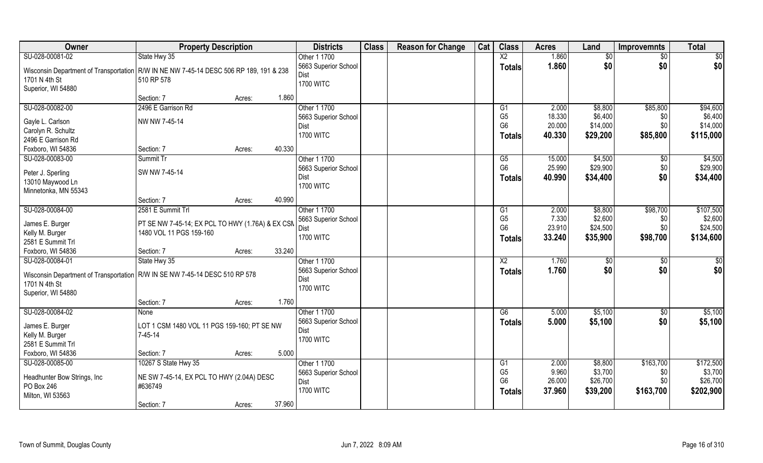| Owner                                                                                    | <b>Property Description</b>                      |        |        | <b>Districts</b>                    | <b>Class</b> | <b>Reason for Change</b> | Cat | <b>Class</b>           | <b>Acres</b> | Land     | <b>Improvemnts</b> | <b>Total</b>    |
|------------------------------------------------------------------------------------------|--------------------------------------------------|--------|--------|-------------------------------------|--------------|--------------------------|-----|------------------------|--------------|----------|--------------------|-----------------|
| SU-028-00081-02                                                                          | State Hwy 35                                     |        |        | Other 1 1700                        |              |                          |     | $\overline{X2}$        | 1.860        | \$0      | $\sqrt{$0}$        | $\overline{50}$ |
| Wisconsin Department of Transportation   R/W IN NE NW 7-45-14 DESC 506 RP 189, 191 & 238 |                                                  |        |        | 5663 Superior School                |              |                          |     | <b>Totals</b>          | 1.860        | \$0      | \$0                | \$0             |
| 1701 N 4th St                                                                            | 510 RP 578                                       |        |        | Dist                                |              |                          |     |                        |              |          |                    |                 |
| Superior, WI 54880                                                                       |                                                  |        |        | <b>1700 WITC</b>                    |              |                          |     |                        |              |          |                    |                 |
|                                                                                          | Section: 7                                       | Acres: | 1.860  |                                     |              |                          |     |                        |              |          |                    |                 |
| SU-028-00082-00                                                                          | 2496 E Garrison Rd                               |        |        | Other 1 1700                        |              |                          |     | G1                     | 2.000        | \$8,800  | \$85,800           | \$94,600        |
| Gayle L. Carlson                                                                         | NW NW 7-45-14                                    |        |        | 5663 Superior School                |              |                          |     | G <sub>5</sub>         | 18.330       | \$6,400  | \$0                | \$6,400         |
| Carolyn R. Schultz                                                                       |                                                  |        |        | <b>Dist</b>                         |              |                          |     | G <sub>6</sub>         | 20.000       | \$14,000 | \$0                | \$14,000        |
| 2496 E Garrison Rd                                                                       |                                                  |        |        | <b>1700 WITC</b>                    |              |                          |     | <b>Totals</b>          | 40.330       | \$29,200 | \$85,800           | \$115,000       |
| Foxboro, WI 54836                                                                        | Section: 7                                       | Acres: | 40.330 |                                     |              |                          |     |                        |              |          |                    |                 |
| SU-028-00083-00                                                                          | Summit Tr                                        |        |        | Other 1 1700                        |              |                          |     | G5                     | 15.000       | \$4,500  | $\sqrt[6]{30}$     | \$4,500         |
| Peter J. Sperling                                                                        | SW NW 7-45-14                                    |        |        | 5663 Superior School                |              |                          |     | G <sub>6</sub>         | 25.990       | \$29,900 | \$0                | \$29,900        |
| 13010 Maywood Ln                                                                         |                                                  |        |        | <b>Dist</b>                         |              |                          |     | <b>Totals</b>          | 40.990       | \$34,400 | \$0                | \$34,400        |
| Minnetonka, MN 55343                                                                     |                                                  |        |        | <b>1700 WITC</b>                    |              |                          |     |                        |              |          |                    |                 |
|                                                                                          | Section: 7                                       | Acres: | 40.990 |                                     |              |                          |     |                        |              |          |                    |                 |
| SU-028-00084-00                                                                          | 2581 E Summit Trl                                |        |        | Other 1 1700                        |              |                          |     | G1                     | 2.000        | \$8,800  | \$98,700           | \$107,500       |
|                                                                                          |                                                  |        |        | 5663 Superior School                |              |                          |     | G <sub>5</sub>         | 7.330        | \$2,600  | \$0                | \$2,600         |
| James E. Burger                                                                          | PT SE NW 7-45-14; EX PCL TO HWY (1.76A) & EX CSN |        |        | Dist                                |              |                          |     | G <sub>6</sub>         | 23.910       | \$24,500 | \$0                | \$24,500        |
| Kelly M. Burger                                                                          | 1480 VOL 11 PGS 159-160                          |        |        | <b>1700 WITC</b>                    |              |                          |     | <b>Totals</b>          | 33.240       | \$35,900 | \$98,700           | \$134,600       |
| 2581 E Summit Trl                                                                        |                                                  |        |        |                                     |              |                          |     |                        |              |          |                    |                 |
| Foxboro, WI 54836                                                                        | Section: 7                                       | Acres: | 33.240 |                                     |              |                          |     |                        |              |          |                    |                 |
| SU-028-00084-01                                                                          | State Hwy 35                                     |        |        | Other 1 1700                        |              |                          |     | $\overline{\text{X2}}$ | 1.760        | \$0      | $\sqrt[6]{30}$     | $\overline{50}$ |
| Wisconsin Department of Transportation   R/W IN SE NW 7-45-14 DESC 510 RP 578            |                                                  |        |        | 5663 Superior School<br><b>Dist</b> |              |                          |     | <b>Totals</b>          | 1.760        | \$0      | \$0                | \$0             |
| 1701 N 4th St                                                                            |                                                  |        |        | <b>1700 WITC</b>                    |              |                          |     |                        |              |          |                    |                 |
| Superior, WI 54880                                                                       |                                                  |        |        |                                     |              |                          |     |                        |              |          |                    |                 |
|                                                                                          | Section: 7                                       | Acres: | 1.760  |                                     |              |                          |     |                        |              |          |                    |                 |
| SU-028-00084-02                                                                          | <b>None</b>                                      |        |        | Other 1 1700                        |              |                          |     | G6                     | 5.000        | \$5,100  | $\overline{60}$    | \$5,100         |
| James E. Burger                                                                          | LOT 1 CSM 1480 VOL 11 PGS 159-160; PT SE NW      |        |        | 5663 Superior School                |              |                          |     | <b>Totals</b>          | 5.000        | \$5,100  | \$0                | \$5,100         |
| Kelly M. Burger                                                                          | $7-45-14$                                        |        |        | <b>Dist</b>                         |              |                          |     |                        |              |          |                    |                 |
| 2581 E Summit Trl                                                                        |                                                  |        |        | <b>1700 WITC</b>                    |              |                          |     |                        |              |          |                    |                 |
| Foxboro, WI 54836                                                                        | Section: 7                                       | Acres: | 5.000  |                                     |              |                          |     |                        |              |          |                    |                 |
| SU-028-00085-00                                                                          | 10267 S State Hwy 35                             |        |        | Other 1 1700                        |              |                          |     | G1                     | 2.000        | \$8,800  | \$163,700          | \$172,500       |
| Headhunter Bow Strings, Inc.                                                             | NE SW 7-45-14, EX PCL TO HWY (2.04A) DESC        |        |        | 5663 Superior School                |              |                          |     | G <sub>5</sub>         | 9.960        | \$3,700  | \$0                | \$3,700         |
| PO Box 246                                                                               | #636749                                          |        |        | <b>Dist</b>                         |              |                          |     | G <sub>6</sub>         | 26.000       | \$26,700 | \$0                | \$26,700        |
| Milton, WI 53563                                                                         |                                                  |        |        | <b>1700 WITC</b>                    |              |                          |     | <b>Totals</b>          | 37.960       | \$39,200 | \$163,700          | \$202,900       |
|                                                                                          | Section: 7                                       | Acres: | 37.960 |                                     |              |                          |     |                        |              |          |                    |                 |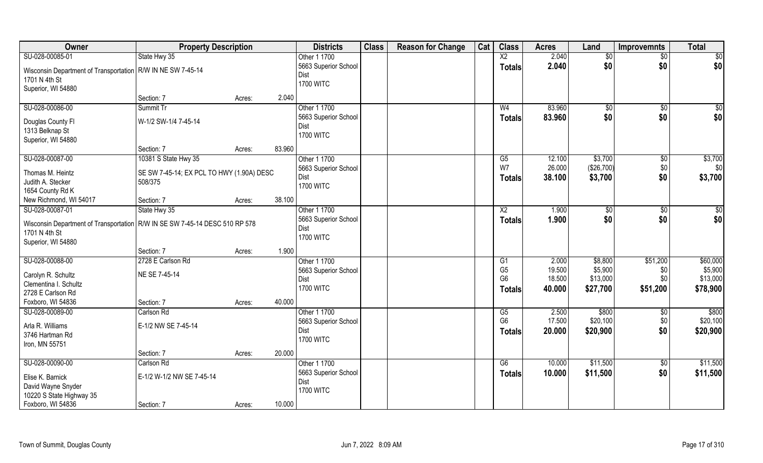| Owner                                                                         | <b>Property Description</b>               |        |        | <b>Districts</b>     | <b>Class</b> | <b>Reason for Change</b> | Cat | <b>Class</b>             | <b>Acres</b> | Land        | <b>Improvemnts</b> | <b>Total</b> |
|-------------------------------------------------------------------------------|-------------------------------------------|--------|--------|----------------------|--------------|--------------------------|-----|--------------------------|--------------|-------------|--------------------|--------------|
| SU-028-00085-01                                                               | State Hwy 35                              |        |        | Other 1 1700         |              |                          |     | $\overline{\mathsf{X2}}$ | 2.040        | \$0         | $\sqrt{6}$         | \$0          |
| Wisconsin Department of Transportation   R/W IN NE SW 7-45-14                 |                                           |        |        | 5663 Superior School |              |                          |     | <b>Totals</b>            | 2.040        | \$0         | \$0                | \$0          |
| 1701 N 4th St                                                                 |                                           |        |        | <b>Dist</b>          |              |                          |     |                          |              |             |                    |              |
| Superior, WI 54880                                                            |                                           |        |        | <b>1700 WITC</b>     |              |                          |     |                          |              |             |                    |              |
|                                                                               | Section: 7                                | Acres: | 2.040  |                      |              |                          |     |                          |              |             |                    |              |
| SU-028-00086-00                                                               | Summit Tr                                 |        |        | Other 1 1700         |              |                          |     | W <sub>4</sub>           | 83.960       | $\sqrt{$0}$ | \$0                | \$0          |
|                                                                               | W-1/2 SW-1/4 7-45-14                      |        |        | 5663 Superior School |              |                          |     | <b>Totals</b>            | 83.960       | \$0         | \$0                | \$0          |
| Douglas County Fl<br>1313 Belknap St                                          |                                           |        |        | <b>Dist</b>          |              |                          |     |                          |              |             |                    |              |
| Superior, WI 54880                                                            |                                           |        |        | <b>1700 WITC</b>     |              |                          |     |                          |              |             |                    |              |
|                                                                               | Section: 7                                | Acres: | 83.960 |                      |              |                          |     |                          |              |             |                    |              |
| SU-028-00087-00                                                               | 10381 S State Hwy 35                      |        |        | Other 1 1700         |              |                          |     | G5                       | 12.100       | \$3,700     | \$0                | \$3,700      |
|                                                                               |                                           |        |        | 5663 Superior School |              |                          |     | W7                       | 26.000       | (\$26,700)  | \$0                | \$0          |
| Thomas M. Heintz                                                              | SE SW 7-45-14; EX PCL TO HWY (1.90A) DESC |        |        | Dist                 |              |                          |     | Totals                   | 38.100       | \$3,700     | \$0                | \$3,700      |
| Judith A. Stecker                                                             | 508/375                                   |        |        | <b>1700 WITC</b>     |              |                          |     |                          |              |             |                    |              |
| 1654 County Rd K                                                              |                                           |        |        |                      |              |                          |     |                          |              |             |                    |              |
| New Richmond, WI 54017                                                        | Section: 7                                | Acres: | 38.100 |                      |              |                          |     |                          |              |             |                    |              |
| SU-028-00087-01                                                               | State Hwy 35                              |        |        | Other 1 1700         |              |                          |     | $\overline{X2}$          | 1.900        | \$0         | \$0                | \$0          |
| Wisconsin Department of Transportation   R/W IN SE SW 7-45-14 DESC 510 RP 578 |                                           |        |        | 5663 Superior School |              |                          |     | <b>Totals</b>            | 1.900        | \$0         | \$0                | \$0          |
| 1701 N 4th St                                                                 |                                           |        |        | Dist                 |              |                          |     |                          |              |             |                    |              |
| Superior, WI 54880                                                            |                                           |        |        | <b>1700 WITC</b>     |              |                          |     |                          |              |             |                    |              |
|                                                                               | Section: 7                                | Acres: | 1.900  |                      |              |                          |     |                          |              |             |                    |              |
| SU-028-00088-00                                                               | 2728 E Carlson Rd                         |        |        | Other 1 1700         |              |                          |     | $\overline{G1}$          | 2.000        | \$8,800     | \$51,200           | \$60,000     |
|                                                                               | NE SE 7-45-14                             |        |        | 5663 Superior School |              |                          |     | G <sub>5</sub>           | 19.500       | \$5,900     | \$0                | \$5,900      |
| Carolyn R. Schultz<br>Clementina I. Schultz                                   |                                           |        |        | <b>Dist</b>          |              |                          |     | G <sub>6</sub>           | 18.500       | \$13,000    | \$0                | \$13,000     |
| 2728 E Carlson Rd                                                             |                                           |        |        | <b>1700 WITC</b>     |              |                          |     | <b>Totals</b>            | 40.000       | \$27,700    | \$51,200           | \$78,900     |
| Foxboro, WI 54836                                                             | Section: 7                                | Acres: | 40.000 |                      |              |                          |     |                          |              |             |                    |              |
| SU-028-00089-00                                                               | Carlson Rd                                |        |        | Other 1 1700         |              |                          |     | G5                       | 2.500        | \$800       | $\overline{50}$    | \$800        |
|                                                                               |                                           |        |        | 5663 Superior School |              |                          |     | G <sub>6</sub>           | 17.500       | \$20,100    | \$0                | \$20,100     |
| Arla R. Williams                                                              | E-1/2 NW SE 7-45-14                       |        |        | <b>Dist</b>          |              |                          |     |                          | 20.000       | \$20,900    | \$0                | \$20,900     |
| 3746 Hartman Rd                                                               |                                           |        |        | <b>1700 WITC</b>     |              |                          |     | <b>Totals</b>            |              |             |                    |              |
| Iron, MN 55751                                                                |                                           |        |        |                      |              |                          |     |                          |              |             |                    |              |
|                                                                               | Section: 7                                | Acres: | 20.000 |                      |              |                          |     |                          |              |             |                    |              |
| SU-028-00090-00                                                               | Carlson Rd                                |        |        | Other 1 1700         |              |                          |     | G6                       | 10.000       | \$11,500    | $\sqrt{6}$         | \$11,500     |
| Elise K. Barnick                                                              | E-1/2 W-1/2 NW SE 7-45-14                 |        |        | 5663 Superior School |              |                          |     | <b>Totals</b>            | 10.000       | \$11,500    | \$0                | \$11,500     |
| David Wayne Snyder                                                            |                                           |        |        | <b>Dist</b>          |              |                          |     |                          |              |             |                    |              |
| 10220 S State Highway 35                                                      |                                           |        |        | <b>1700 WITC</b>     |              |                          |     |                          |              |             |                    |              |
| Foxboro, WI 54836                                                             | Section: 7                                | Acres: | 10.000 |                      |              |                          |     |                          |              |             |                    |              |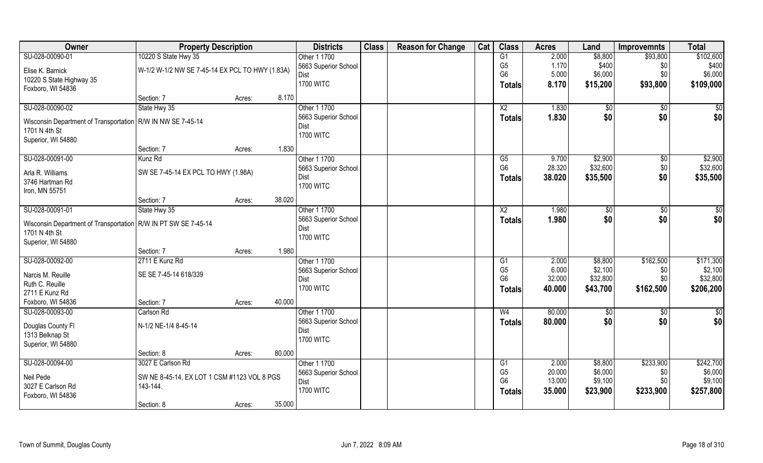| Owner                                                                          | <b>Property Description</b>                             |        |        | <b>Districts</b>                     | <b>Class</b> | <b>Reason for Change</b> | Cat | <b>Class</b>    | <b>Acres</b> | Land        | <b>Improvemnts</b> | <b>Total</b> |
|--------------------------------------------------------------------------------|---------------------------------------------------------|--------|--------|--------------------------------------|--------------|--------------------------|-----|-----------------|--------------|-------------|--------------------|--------------|
| SU-028-00090-01                                                                | 10220 S State Hwy 35                                    |        |        | Other 1 1700                         |              |                          |     | G1              | 2.000        | \$8,800     | \$93,800           | \$102,600    |
| Elise K. Barnick                                                               | W-1/2 W-1/2 NW SE 7-45-14 EX PCL TO HWY (1.83A)         |        |        | 5663 Superior School                 |              |                          |     | G <sub>5</sub>  | 1.170        | \$400       | \$0                | \$400        |
| 10220 S State Highway 35                                                       |                                                         |        |        | Dist                                 |              |                          |     | G <sub>6</sub>  | 5.000        | \$6,000     | \$0\$              | \$6,000      |
| Foxboro, WI 54836                                                              |                                                         |        |        | <b>1700 WITC</b>                     |              |                          |     | <b>Totals</b>   | 8.170        | \$15,200    | \$93,800           | \$109,000    |
|                                                                                | Section: 7                                              | Acres: | 8.170  |                                      |              |                          |     |                 |              |             |                    |              |
| SU-028-00090-02                                                                | State Hwy 35                                            |        |        | Other 1 1700                         |              |                          |     | $\overline{X2}$ | 1.830        | $\sqrt{$0}$ | $\sqrt{6}$         | \$0          |
|                                                                                |                                                         |        |        | 5663 Superior School                 |              |                          |     | <b>Totals</b>   | 1.830        | \$0         | \$0                | \$0          |
| Wisconsin Department of Transportation   R/W IN NW SE 7-45-14<br>1701 N 4th St |                                                         |        |        | Dist                                 |              |                          |     |                 |              |             |                    |              |
| Superior, WI 54880                                                             |                                                         |        |        | <b>1700 WITC</b>                     |              |                          |     |                 |              |             |                    |              |
|                                                                                | Section: 7                                              | Acres: | 1.830  |                                      |              |                          |     |                 |              |             |                    |              |
| SU-028-00091-00                                                                | Kunz Rd                                                 |        |        | Other 1 1700                         |              |                          |     | G5              | 9.700        | \$2,900     | \$0                | \$2,900      |
|                                                                                |                                                         |        |        | 5663 Superior School                 |              |                          |     | G <sub>6</sub>  | 28.320       | \$32,600    | \$0                | \$32,600     |
| Arla R. Williams                                                               | SW SE 7-45-14 EX PCL TO HWY (1.98A)                     |        |        | Dist                                 |              |                          |     | Totals          | 38.020       | \$35,500    | \$0                | \$35,500     |
| 3746 Hartman Rd                                                                |                                                         |        |        | <b>1700 WITC</b>                     |              |                          |     |                 |              |             |                    |              |
| Iron, MN 55751                                                                 |                                                         |        |        |                                      |              |                          |     |                 |              |             |                    |              |
|                                                                                | Section: 7                                              | Acres: | 38.020 |                                      |              |                          |     |                 |              |             |                    |              |
| SU-028-00091-01                                                                | State Hwy 35                                            |        |        | Other 1 1700<br>5663 Superior School |              |                          |     | X <sub>2</sub>  | 1.980        | \$0         | \$0                | \$0          |
| Wisconsin Department of Transportation   R/W IN PT SW SE 7-45-14               |                                                         |        |        | Dist                                 |              |                          |     | <b>Totals</b>   | 1.980        | \$0         | \$0                | \$0          |
| 1701 N 4th St                                                                  |                                                         |        |        | <b>1700 WITC</b>                     |              |                          |     |                 |              |             |                    |              |
| Superior, WI 54880                                                             |                                                         |        |        |                                      |              |                          |     |                 |              |             |                    |              |
|                                                                                | Section: 7                                              | Acres: | 1.980  |                                      |              |                          |     |                 |              |             |                    |              |
| SU-028-00092-00                                                                | 2711 E Kunz Rd                                          |        |        | Other 1 1700                         |              |                          |     | G1              | 2.000        | \$8,800     | \$162,500          | \$171,300    |
| Narcis M. Reuille                                                              | SE SE 7-45-14 618/339                                   |        |        | 5663 Superior School                 |              |                          |     | G <sub>5</sub>  | 6.000        | \$2,100     | \$0                | \$2,100      |
| Ruth C. Reuille                                                                |                                                         |        |        | Dist                                 |              |                          |     | G <sub>6</sub>  | 32.000       | \$32,800    | \$0                | \$32,800     |
| 2711 E Kunz Rd                                                                 |                                                         |        |        | <b>1700 WITC</b>                     |              |                          |     | <b>Totals</b>   | 40.000       | \$43,700    | \$162,500          | \$206,200    |
| Foxboro, WI 54836                                                              | Section: 7                                              | Acres: | 40.000 |                                      |              |                          |     |                 |              |             |                    |              |
| SU-028-00093-00                                                                | Carlson Rd                                              |        |        | Other 1 1700                         |              |                          |     | W <sub>4</sub>  | 80.000       | \$0         | \$0                | \$0          |
| Douglas County Fl                                                              | N-1/2 NE-1/4 8-45-14                                    |        |        | 5663 Superior School                 |              |                          |     | <b>Totals</b>   | 80.000       | \$0         | \$0                | \$0          |
| 1313 Belknap St                                                                |                                                         |        |        | Dist                                 |              |                          |     |                 |              |             |                    |              |
| Superior, WI 54880                                                             |                                                         |        |        | <b>1700 WITC</b>                     |              |                          |     |                 |              |             |                    |              |
|                                                                                | Section: 8                                              | Acres: | 80.000 |                                      |              |                          |     |                 |              |             |                    |              |
| SU-028-00094-00                                                                | 3027 E Carlson Rd                                       |        |        | Other 1 1700                         |              |                          |     | G1              | 2.000        | \$8,800     | \$233,900          | \$242,700    |
|                                                                                |                                                         |        |        | 5663 Superior School                 |              |                          |     | G <sub>5</sub>  | 20.000       | \$6,000     | \$0                | \$6,000      |
| Neil Pede<br>3027 E Carlson Rd                                                 | SW NE 8-45-14, EX LOT 1 CSM #1123 VOL 8 PGS<br>143-144. |        |        | Dist                                 |              |                          |     | G <sub>6</sub>  | 13.000       | \$9,100     | \$0                | \$9,100      |
| Foxboro, WI 54836                                                              |                                                         |        |        | <b>1700 WITC</b>                     |              |                          |     | Totals          | 35.000       | \$23,900    | \$233,900          | \$257,800    |
|                                                                                | Section: 8                                              | Acres: | 35.000 |                                      |              |                          |     |                 |              |             |                    |              |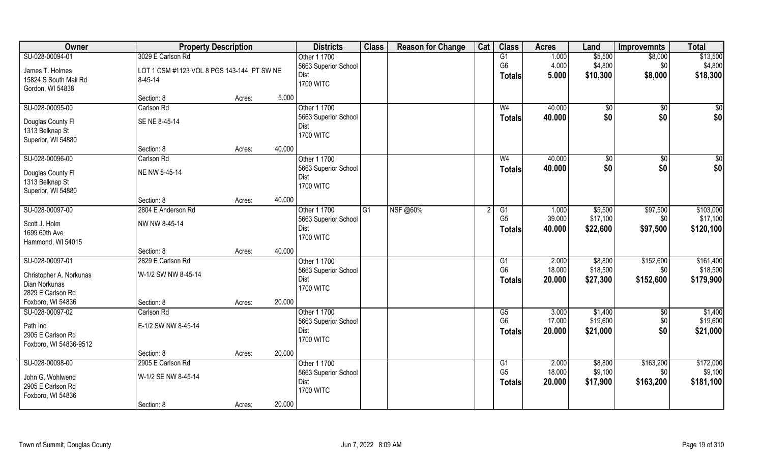| Owner                                 | <b>Property Description</b>                 |        | <b>Districts</b>     | <b>Class</b> | <b>Reason for Change</b> | Cat | <b>Class</b>   | <b>Acres</b> | Land           | <b>Improvemnts</b> | <b>Total</b> |
|---------------------------------------|---------------------------------------------|--------|----------------------|--------------|--------------------------|-----|----------------|--------------|----------------|--------------------|--------------|
| SU-028-00094-01                       | 3029 E Carlson Rd                           |        | Other 1 1700         |              |                          |     | G1             | 1.000        | \$5,500        | \$8,000            | \$13,500     |
| James T. Holmes                       | LOT 1 CSM #1123 VOL 8 PGS 143-144, PT SW NE |        | 5663 Superior School |              |                          |     | G <sub>6</sub> | 4.000        | \$4,800        | \$0                | \$4,800      |
| 15824 S South Mail Rd                 | $8 - 45 - 14$                               |        | <b>Dist</b>          |              |                          |     | <b>Totals</b>  | 5.000        | \$10,300       | \$8,000            | \$18,300     |
| Gordon, WI 54838                      |                                             |        | <b>1700 WITC</b>     |              |                          |     |                |              |                |                    |              |
|                                       | Section: 8                                  | Acres: | 5.000                |              |                          |     |                |              |                |                    |              |
| SU-028-00095-00                       | Carlson Rd                                  |        | Other 1 1700         |              |                          |     | W <sub>4</sub> | 40.000       | $\sqrt[6]{30}$ | $\sqrt{$0}$        | \$0          |
| Douglas County Fl                     | SE NE 8-45-14                               |        | 5663 Superior School |              |                          |     | <b>Totals</b>  | 40.000       | \$0            | \$0                | \$0          |
| 1313 Belknap St                       |                                             |        | Dist                 |              |                          |     |                |              |                |                    |              |
| Superior, WI 54880                    |                                             |        | <b>1700 WITC</b>     |              |                          |     |                |              |                |                    |              |
|                                       | Section: 8                                  | Acres: | 40.000               |              |                          |     |                |              |                |                    |              |
| SU-028-00096-00                       | Carlson Rd                                  |        | Other 1 1700         |              |                          |     | W <sub>4</sub> | 40.000       | $\sqrt[6]{}$   | $\sqrt{6}$         | \$0          |
|                                       |                                             |        | 5663 Superior School |              |                          |     | <b>Totals</b>  | 40.000       | \$0            | \$0                | \$0          |
| Douglas County Fl                     | NE NW 8-45-14                               |        | Dist                 |              |                          |     |                |              |                |                    |              |
| 1313 Belknap St                       |                                             |        | <b>1700 WITC</b>     |              |                          |     |                |              |                |                    |              |
| Superior, WI 54880                    | Section: 8                                  |        | 40.000               |              |                          |     |                |              |                |                    |              |
| SU-028-00097-00                       | 2804 E Anderson Rd                          | Acres: | Other 1 1700         | G1           | <b>NSF</b> @60%          |     | G1             | 1.000        | \$5,500        | \$97,500           | \$103,000    |
|                                       |                                             |        | 5663 Superior School |              |                          |     | G <sub>5</sub> | 39.000       | \$17,100       | \$0                | \$17,100     |
| Scott J. Holm                         | NW NW 8-45-14                               |        | Dist                 |              |                          |     |                | 40.000       | \$22,600       | \$97,500           | \$120,100    |
| 1699 60th Ave                         |                                             |        | <b>1700 WITC</b>     |              |                          |     | <b>Totals</b>  |              |                |                    |              |
| Hammond, WI 54015                     |                                             |        |                      |              |                          |     |                |              |                |                    |              |
|                                       | Section: 8                                  | Acres: | 40.000               |              |                          |     |                |              |                |                    |              |
| SU-028-00097-01                       | 2829 E Carlson Rd                           |        | Other 1 1700         |              |                          |     | G1             | 2.000        | \$8,800        | \$152,600          | \$161,400    |
| Christopher A. Norkunas               | W-1/2 SW NW 8-45-14                         |        | 5663 Superior School |              |                          |     | G <sub>6</sub> | 18.000       | \$18,500       | \$0                | \$18,500     |
| Dian Norkunas                         |                                             |        | Dist                 |              |                          |     | <b>Totals</b>  | 20.000       | \$27,300       | \$152,600          | \$179,900    |
| 2829 E Carlson Rd                     |                                             |        | <b>1700 WITC</b>     |              |                          |     |                |              |                |                    |              |
| Foxboro, WI 54836                     | Section: 8                                  | Acres: | 20.000               |              |                          |     |                |              |                |                    |              |
| SU-028-00097-02                       | Carlson Rd                                  |        | Other 1 1700         |              |                          |     | G5             | 3.000        | \$1,400        | \$0                | \$1,400      |
| Path Inc                              | E-1/2 SW NW 8-45-14                         |        | 5663 Superior School |              |                          |     | G <sub>6</sub> | 17.000       | \$19,600       | \$0                | \$19,600     |
| 2905 E Carlson Rd                     |                                             |        | Dist                 |              |                          |     | <b>Totals</b>  | 20.000       | \$21,000       | \$0                | \$21,000     |
| Foxboro, WI 54836-9512                |                                             |        | <b>1700 WITC</b>     |              |                          |     |                |              |                |                    |              |
|                                       | Section: 8                                  | Acres: | 20.000               |              |                          |     |                |              |                |                    |              |
| SU-028-00098-00                       | 2905 E Carlson Rd                           |        | Other 1 1700         |              |                          |     | G1             | 2.000        | \$8,800        | \$163,200          | \$172,000    |
|                                       |                                             |        | 5663 Superior School |              |                          |     | G <sub>5</sub> | 18.000       | \$9,100        | \$0                | \$9,100      |
| John G. Wohlwend<br>2905 E Carlson Rd | W-1/2 SE NW 8-45-14                         |        | Dist                 |              |                          |     | <b>Totals</b>  | 20.000       | \$17,900       | \$163,200          | \$181,100    |
|                                       |                                             |        | <b>1700 WITC</b>     |              |                          |     |                |              |                |                    |              |
| Foxboro, WI 54836                     | Section: 8                                  |        | 20.000               |              |                          |     |                |              |                |                    |              |
|                                       |                                             | Acres: |                      |              |                          |     |                |              |                |                    |              |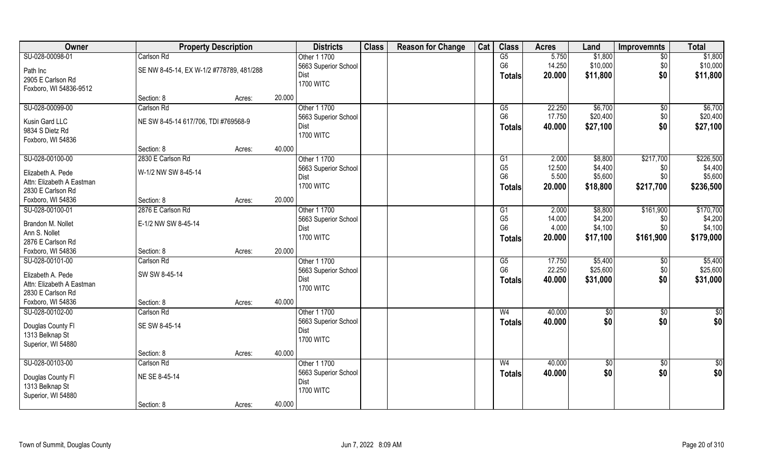| Owner                                | <b>Property Description</b>              |        |        | <b>Districts</b>             | <b>Class</b> | <b>Reason for Change</b> | Cat | <b>Class</b>   | <b>Acres</b> | Land                | <b>Improvemnts</b>    | <b>Total</b>        |
|--------------------------------------|------------------------------------------|--------|--------|------------------------------|--------------|--------------------------|-----|----------------|--------------|---------------------|-----------------------|---------------------|
| SU-028-00098-01                      | Carlson Rd                               |        |        | Other 1 1700                 |              |                          |     | G5             | 5.750        | \$1,800             | $\overline{50}$       | \$1,800             |
| Path Inc                             | SE NW 8-45-14, EX W-1/2 #778789, 481/288 |        |        | 5663 Superior School         |              |                          |     | G <sub>6</sub> | 14.250       | \$10,000            | \$0                   | \$10,000            |
| 2905 E Carlson Rd                    |                                          |        |        | Dist                         |              |                          |     | <b>Totals</b>  | 20.000       | \$11,800            | \$0                   | \$11,800            |
| Foxboro, WI 54836-9512               |                                          |        |        | <b>1700 WITC</b>             |              |                          |     |                |              |                     |                       |                     |
|                                      | Section: 8                               | Acres: | 20.000 |                              |              |                          |     |                |              |                     |                       |                     |
| SU-028-00099-00                      | Carlson Rd                               |        |        | Other 1 1700                 |              |                          |     | G5             | 22.250       | \$6,700             | $\sqrt{$0}$           | \$6,700             |
| Kusin Gard LLC                       | NE SW 8-45-14 617/706, TDI #769568-9     |        |        | 5663 Superior School         |              |                          |     | G <sub>6</sub> | 17.750       | \$20,400            | \$0                   | \$20,400            |
| 9834 S Dietz Rd                      |                                          |        |        | Dist                         |              |                          |     | <b>Totals</b>  | 40.000       | \$27,100            | \$0                   | \$27,100            |
| Foxboro, WI 54836                    |                                          |        |        | <b>1700 WITC</b>             |              |                          |     |                |              |                     |                       |                     |
|                                      | Section: 8                               | Acres: | 40.000 |                              |              |                          |     |                |              |                     |                       |                     |
| SU-028-00100-00                      | 2830 E Carlson Rd                        |        |        | Other 1 1700                 |              |                          |     | G1             | 2.000        | \$8,800             | \$217,700             | \$226,500           |
| Elizabeth A. Pede                    | W-1/2 NW SW 8-45-14                      |        |        | 5663 Superior School         |              |                          |     | G <sub>5</sub> | 12.500       | \$4,400             | \$0                   | \$4,400             |
| Attn: Elizabeth A Eastman            |                                          |        |        | Dist                         |              |                          |     | G <sub>6</sub> | 5.500        | \$5,600             | \$0                   | \$5,600             |
| 2830 E Carlson Rd                    |                                          |        |        | <b>1700 WITC</b>             |              |                          |     | <b>Totals</b>  | 20.000       | \$18,800            | \$217,700             | \$236,500           |
| Foxboro, WI 54836                    | Section: 8                               | Acres: | 20.000 |                              |              |                          |     |                |              |                     |                       |                     |
| SU-028-00100-01                      | 2876 E Carlson Rd                        |        |        | Other 1 1700                 |              |                          |     | G <sub>1</sub> | 2.000        | \$8,800             | \$161,900             | \$170,700           |
|                                      |                                          |        |        | 5663 Superior School         |              |                          |     | G <sub>5</sub> | 14.000       | \$4,200             | \$0                   | \$4,200             |
| Brandon M. Nollet                    | E-1/2 NW SW 8-45-14                      |        |        | Dist                         |              |                          |     | G <sub>6</sub> | 4.000        | \$4,100             | \$0                   | \$4,100             |
| Ann S. Nollet                        |                                          |        |        | <b>1700 WITC</b>             |              |                          |     | <b>Totals</b>  | 20.000       | \$17,100            | \$161,900             | \$179,000           |
| 2876 E Carlson Rd                    |                                          |        | 20.000 |                              |              |                          |     |                |              |                     |                       |                     |
| Foxboro, WI 54836<br>SU-028-00101-00 | Section: 8<br>Carlson Rd                 | Acres: |        |                              |              |                          |     | G5             | 17.750       |                     |                       |                     |
|                                      |                                          |        |        | Other 1 1700                 |              |                          |     | G <sub>6</sub> | 22.250       | \$5,400<br>\$25,600 | $\sqrt[6]{30}$<br>\$0 | \$5,400<br>\$25,600 |
| Elizabeth A. Pede                    | SW SW 8-45-14                            |        |        | 5663 Superior School<br>Dist |              |                          |     |                | 40.000       | \$31,000            | \$0                   | \$31,000            |
| Attn: Elizabeth A Eastman            |                                          |        |        | <b>1700 WITC</b>             |              |                          |     | <b>Totals</b>  |              |                     |                       |                     |
| 2830 E Carlson Rd                    |                                          |        |        |                              |              |                          |     |                |              |                     |                       |                     |
| Foxboro, WI 54836                    | Section: 8                               | Acres: | 40.000 |                              |              |                          |     |                |              |                     |                       |                     |
| SU-028-00102-00                      | Carlson Rd                               |        |        | Other 1 1700                 |              |                          |     | W <sub>4</sub> | 40.000       | \$0                 | \$0                   | $\overline{50}$     |
| Douglas County Fl                    | SE SW 8-45-14                            |        |        | 5663 Superior School         |              |                          |     | <b>Totals</b>  | 40.000       | \$0                 | \$0                   | \$0                 |
| 1313 Belknap St                      |                                          |        |        | Dist                         |              |                          |     |                |              |                     |                       |                     |
| Superior, WI 54880                   |                                          |        |        | <b>1700 WITC</b>             |              |                          |     |                |              |                     |                       |                     |
|                                      | Section: 8                               | Acres: | 40.000 |                              |              |                          |     |                |              |                     |                       |                     |
| SU-028-00103-00                      | Carlson Rd                               |        |        | Other 1 1700                 |              |                          |     | W <sub>4</sub> | 40.000       | $\sqrt{6}$          | $\sqrt{$0}$           | $\overline{50}$     |
| Douglas County Fl                    | NE SE 8-45-14                            |        |        | 5663 Superior School         |              |                          |     | <b>Totals</b>  | 40.000       | \$0                 | \$0                   | \$0                 |
| 1313 Belknap St                      |                                          |        |        | Dist                         |              |                          |     |                |              |                     |                       |                     |
| Superior, WI 54880                   |                                          |        |        | <b>1700 WITC</b>             |              |                          |     |                |              |                     |                       |                     |
|                                      | Section: 8                               | Acres: | 40.000 |                              |              |                          |     |                |              |                     |                       |                     |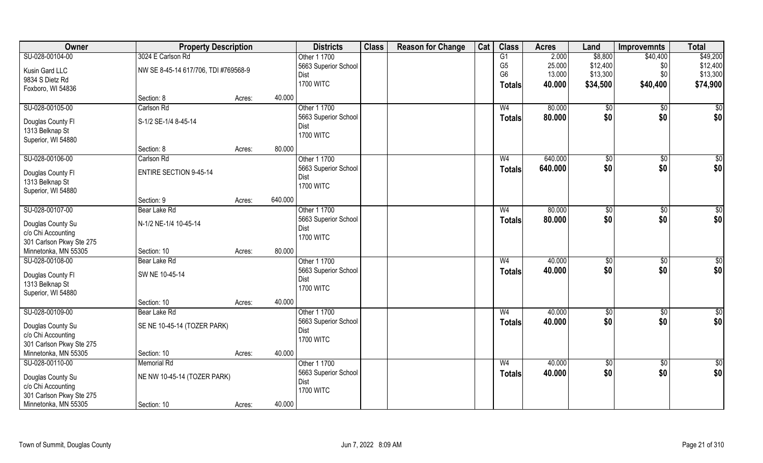| Owner                                 | <b>Property Description</b>          |        |         | <b>Districts</b>             | <b>Class</b> | <b>Reason for Change</b> | Cat | <b>Class</b>   | <b>Acres</b> | Land              | <b>Improvemnts</b> | <b>Total</b>    |
|---------------------------------------|--------------------------------------|--------|---------|------------------------------|--------------|--------------------------|-----|----------------|--------------|-------------------|--------------------|-----------------|
| SU-028-00104-00                       | 3024 E Carlson Rd                    |        |         | Other 1 1700                 |              |                          |     | G1             | 2.000        | \$8,800           | \$40,400           | \$49,200        |
| Kusin Gard LLC                        | NW SE 8-45-14 617/706, TDI #769568-9 |        |         | 5663 Superior School         |              |                          |     | G <sub>5</sub> | 25.000       | \$12,400          | \$0                | \$12,400        |
| 9834 S Dietz Rd                       |                                      |        |         | Dist                         |              |                          |     | G <sub>6</sub> | 13.000       | \$13,300          | \$0                | \$13,300        |
| Foxboro, WI 54836                     |                                      |        |         | <b>1700 WITC</b>             |              |                          |     | <b>Totals</b>  | 40.000       | \$34,500          | \$40,400           | \$74,900        |
|                                       | Section: 8                           | Acres: | 40.000  |                              |              |                          |     |                |              |                   |                    |                 |
| SU-028-00105-00                       | Carlson Rd                           |        |         | Other 1 1700                 |              |                          |     | W <sub>4</sub> | 80.000       | $\sqrt[6]{}$      | $\sqrt{6}$         | \$0             |
|                                       | S-1/2 SE-1/4 8-45-14                 |        |         | 5663 Superior School         |              |                          |     | <b>Totals</b>  | 80.000       | \$0               | \$0                | \$0             |
| Douglas County Fl                     |                                      |        |         | Dist                         |              |                          |     |                |              |                   |                    |                 |
| 1313 Belknap St<br>Superior, WI 54880 |                                      |        |         | <b>1700 WITC</b>             |              |                          |     |                |              |                   |                    |                 |
|                                       | Section: 8                           | Acres: | 80.000  |                              |              |                          |     |                |              |                   |                    |                 |
| SU-028-00106-00                       | Carlson Rd                           |        |         | Other 1 1700                 |              |                          |     | W <sub>4</sub> | 640.000      | \$0               | $\sqrt[6]{3}$      | \$0             |
|                                       |                                      |        |         | 5663 Superior School         |              |                          |     | <b>Totals</b>  | 640.000      | \$0               | \$0                | \$0             |
| Douglas County FI                     | <b>ENTIRE SECTION 9-45-14</b>        |        |         | Dist                         |              |                          |     |                |              |                   |                    |                 |
| 1313 Belknap St                       |                                      |        |         | <b>1700 WITC</b>             |              |                          |     |                |              |                   |                    |                 |
| Superior, WI 54880                    |                                      |        |         |                              |              |                          |     |                |              |                   |                    |                 |
|                                       | Section: 9                           | Acres: | 640.000 |                              |              |                          |     |                |              |                   |                    |                 |
| SU-028-00107-00                       | Bear Lake Rd                         |        |         | Other 1 1700                 |              |                          |     | W <sub>4</sub> | 80.000       | $\frac{1}{20}$    | \$0                | \$0             |
| Douglas County Su                     | N-1/2 NE-1/4 10-45-14                |        |         | 5663 Superior School         |              |                          |     | <b>Totals</b>  | 80.000       | \$0               | \$0                | \$0             |
| c/o Chi Accounting                    |                                      |        |         | Dist                         |              |                          |     |                |              |                   |                    |                 |
| 301 Carlson Pkwy Ste 275              |                                      |        |         | <b>1700 WITC</b>             |              |                          |     |                |              |                   |                    |                 |
| Minnetonka, MN 55305                  | Section: 10                          | Acres: | 80.000  |                              |              |                          |     |                |              |                   |                    |                 |
| SU-028-00108-00                       | Bear Lake Rd                         |        |         | Other 1 1700                 |              |                          |     | W <sub>4</sub> | 40.000       | \$0               | \$0                | \$0             |
|                                       |                                      |        |         | 5663 Superior School         |              |                          |     | <b>Totals</b>  | 40.000       | \$0               | \$0                | \$0             |
| Douglas County Fl                     | SW NE 10-45-14                       |        |         | Dist                         |              |                          |     |                |              |                   |                    |                 |
| 1313 Belknap St                       |                                      |        |         | <b>1700 WITC</b>             |              |                          |     |                |              |                   |                    |                 |
| Superior, WI 54880                    | Section: 10                          |        | 40.000  |                              |              |                          |     |                |              |                   |                    |                 |
| SU-028-00109-00                       | Bear Lake Rd                         | Acres: |         | Other 1 1700                 |              |                          |     | W <sub>4</sub> | 40.000       |                   |                    | $\overline{50}$ |
|                                       |                                      |        |         |                              |              |                          |     |                | 40.000       | $\sqrt{6}$<br>\$0 | \$0<br>\$0         | \$0             |
| Douglas County Su                     | SE NE 10-45-14 (TOZER PARK)          |        |         | 5663 Superior School<br>Dist |              |                          |     | <b>Totals</b>  |              |                   |                    |                 |
| c/o Chi Accounting                    |                                      |        |         | <b>1700 WITC</b>             |              |                          |     |                |              |                   |                    |                 |
| 301 Carlson Pkwy Ste 275              |                                      |        |         |                              |              |                          |     |                |              |                   |                    |                 |
| Minnetonka, MN 55305                  | Section: 10                          | Acres: | 40.000  |                              |              |                          |     |                |              |                   |                    |                 |
| SU-028-00110-00                       | <b>Memorial Rd</b>                   |        |         | Other 1 1700                 |              |                          |     | W <sub>4</sub> | 40.000       | $\overline{50}$   | $\sqrt{$0}$        | $\overline{50}$ |
| Douglas County Su                     | NE NW 10-45-14 (TOZER PARK)          |        |         | 5663 Superior School         |              |                          |     | <b>Totals</b>  | 40.000       | \$0               | \$0                | \$0             |
| c/o Chi Accounting                    |                                      |        |         | Dist                         |              |                          |     |                |              |                   |                    |                 |
| 301 Carlson Pkwy Ste 275              |                                      |        |         | <b>1700 WITC</b>             |              |                          |     |                |              |                   |                    |                 |
| Minnetonka, MN 55305                  | Section: 10                          | Acres: | 40.000  |                              |              |                          |     |                |              |                   |                    |                 |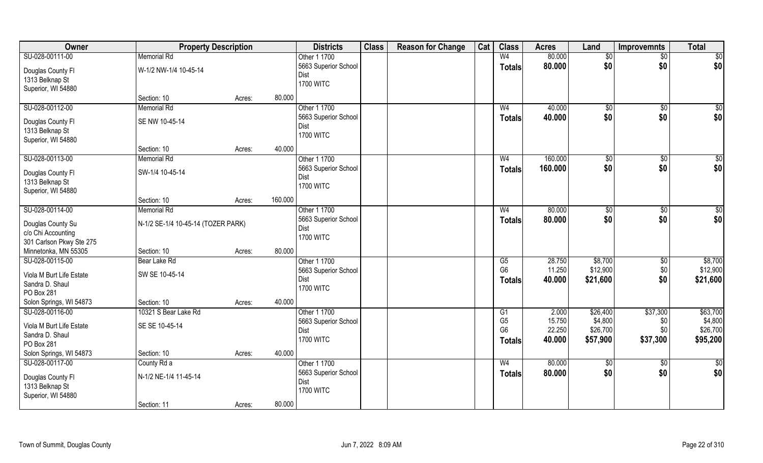| Owner                    | <b>Property Description</b>        |        |         | <b>Districts</b>     | <b>Class</b> | <b>Reason for Change</b> | Cat | <b>Class</b>           | <b>Acres</b> | Land        | <b>Improvemnts</b> | <b>Total</b>    |
|--------------------------|------------------------------------|--------|---------|----------------------|--------------|--------------------------|-----|------------------------|--------------|-------------|--------------------|-----------------|
| SU-028-00111-00          | <b>Memorial Rd</b>                 |        |         | Other 1 1700         |              |                          |     | W <sub>4</sub>         | 80.000       | \$0         | $\sqrt{$0}$        | $\overline{50}$ |
| Douglas County Fl        | W-1/2 NW-1/4 10-45-14              |        |         | 5663 Superior School |              |                          |     | Totals                 | 80.000       | \$0         | \$0                | \$0             |
| 1313 Belknap St          |                                    |        |         | Dist                 |              |                          |     |                        |              |             |                    |                 |
| Superior, WI 54880       |                                    |        |         | <b>1700 WITC</b>     |              |                          |     |                        |              |             |                    |                 |
|                          | Section: 10                        | Acres: | 80.000  |                      |              |                          |     |                        |              |             |                    |                 |
| SU-028-00112-00          | <b>Memorial Rd</b>                 |        |         | Other 1 1700         |              |                          |     | W <sub>4</sub>         | 40.000       | \$0         | \$0                | \$0             |
|                          |                                    |        |         | 5663 Superior School |              |                          |     | Totals                 | 40.000       | \$0         | \$0                | \$0             |
| Douglas County Fl        | SE NW 10-45-14                     |        |         | Dist                 |              |                          |     |                        |              |             |                    |                 |
| 1313 Belknap St          |                                    |        |         | <b>1700 WITC</b>     |              |                          |     |                        |              |             |                    |                 |
| Superior, WI 54880       |                                    |        |         |                      |              |                          |     |                        |              |             |                    |                 |
|                          | Section: 10                        | Acres: | 40.000  |                      |              |                          |     |                        |              |             |                    |                 |
| SU-028-00113-00          | <b>Memorial Rd</b>                 |        |         | Other 1 1700         |              |                          |     | W <sub>4</sub>         | 160.000      | \$0         | $\sqrt[6]{3}$      | \$0             |
| Douglas County Fl        | SW-1/4 10-45-14                    |        |         | 5663 Superior School |              |                          |     | <b>Totals</b>          | 160.000      | \$0         | \$0                | \$0             |
| 1313 Belknap St          |                                    |        |         | Dist                 |              |                          |     |                        |              |             |                    |                 |
| Superior, WI 54880       |                                    |        |         | <b>1700 WITC</b>     |              |                          |     |                        |              |             |                    |                 |
|                          | Section: 10                        | Acres: | 160.000 |                      |              |                          |     |                        |              |             |                    |                 |
| SU-028-00114-00          | <b>Memorial Rd</b>                 |        |         | Other 1 1700         |              |                          |     | W <sub>4</sub>         | 80.000       | \$0         | $\sqrt[6]{3}$      | $\sqrt{50}$     |
|                          |                                    |        |         | 5663 Superior School |              |                          |     | <b>Totals</b>          | 80.000       | \$0         | \$0                | \$0             |
| Douglas County Su        | N-1/2 SE-1/4 10-45-14 (TOZER PARK) |        |         | Dist                 |              |                          |     |                        |              |             |                    |                 |
| c/o Chi Accounting       |                                    |        |         | <b>1700 WITC</b>     |              |                          |     |                        |              |             |                    |                 |
| 301 Carlson Pkwy Ste 275 |                                    |        |         |                      |              |                          |     |                        |              |             |                    |                 |
| Minnetonka, MN 55305     | Section: 10                        | Acres: | 80.000  |                      |              |                          |     |                        |              |             |                    |                 |
| SU-028-00115-00          | Bear Lake Rd                       |        |         | Other 1 1700         |              |                          |     | $\overline{\text{G5}}$ | 28.750       | \$8,700     | $\overline{50}$    | \$8,700         |
| Viola M Burt Life Estate | SW SE 10-45-14                     |        |         | 5663 Superior School |              |                          |     | G <sub>6</sub>         | 11.250       | \$12,900    | \$0                | \$12,900        |
| Sandra D. Shaul          |                                    |        |         | Dist                 |              |                          |     | Totals                 | 40.000       | \$21,600    | \$0                | \$21,600        |
| PO Box 281               |                                    |        |         | <b>1700 WITC</b>     |              |                          |     |                        |              |             |                    |                 |
| Solon Springs, WI 54873  | Section: 10                        | Acres: | 40.000  |                      |              |                          |     |                        |              |             |                    |                 |
| SU-028-00116-00          | 10321 S Bear Lake Rd               |        |         | Other 1 1700         |              |                          |     | G1                     | 2.000        | \$26,400    | \$37,300           | \$63,700        |
| Viola M Burt Life Estate | SE SE 10-45-14                     |        |         | 5663 Superior School |              |                          |     | G <sub>5</sub>         | 15.750       | \$4,800     | \$0                | \$4,800         |
| Sandra D. Shaul          |                                    |        |         | Dist                 |              |                          |     | G <sub>6</sub>         | 22.250       | \$26,700    | \$0                | \$26,700        |
| PO Box 281               |                                    |        |         | <b>1700 WITC</b>     |              |                          |     | <b>Totals</b>          | 40.000       | \$57,900    | \$37,300           | \$95,200        |
| Solon Springs, WI 54873  | Section: 10                        | Acres: | 40.000  |                      |              |                          |     |                        |              |             |                    |                 |
| SU-028-00117-00          | County Rd a                        |        |         | Other 1 1700         |              |                          |     | W <sub>4</sub>         | 80.000       | $\sqrt{50}$ | $\sqrt{$0}$        | $\overline{50}$ |
|                          |                                    |        |         | 5663 Superior School |              |                          |     |                        | 80.000       | \$0         | \$0                | \$0             |
| Douglas County Fl        | N-1/2 NE-1/4 11-45-14              |        |         | Dist                 |              |                          |     | <b>Totals</b>          |              |             |                    |                 |
| 1313 Belknap St          |                                    |        |         | <b>1700 WITC</b>     |              |                          |     |                        |              |             |                    |                 |
| Superior, WI 54880       |                                    |        |         |                      |              |                          |     |                        |              |             |                    |                 |
|                          | Section: 11                        | Acres: | 80.000  |                      |              |                          |     |                        |              |             |                    |                 |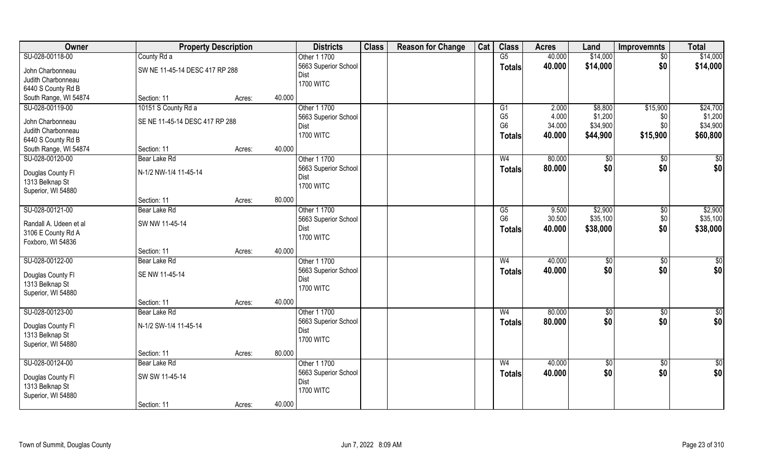| Owner                  | <b>Property Description</b>    |        |        | <b>Districts</b>     | <b>Class</b> | <b>Reason for Change</b> | Cat | <b>Class</b>   | <b>Acres</b> | Land            | <b>Improvemnts</b> | <b>Total</b>    |
|------------------------|--------------------------------|--------|--------|----------------------|--------------|--------------------------|-----|----------------|--------------|-----------------|--------------------|-----------------|
| SU-028-00118-00        | County Rd a                    |        |        | Other 1 1700         |              |                          |     | G5             | 40.000       | \$14,000        | $\overline{50}$    | \$14,000        |
| John Charbonneau       | SW NE 11-45-14 DESC 417 RP 288 |        |        | 5663 Superior School |              |                          |     | <b>Totals</b>  | 40.000       | \$14,000        | \$0                | \$14,000        |
| Judith Charbonneau     |                                |        |        | Dist                 |              |                          |     |                |              |                 |                    |                 |
| 6440 S County Rd B     |                                |        |        | <b>1700 WITC</b>     |              |                          |     |                |              |                 |                    |                 |
| South Range, WI 54874  | Section: 11                    | Acres: | 40.000 |                      |              |                          |     |                |              |                 |                    |                 |
| SU-028-00119-00        | 10151 S County Rd a            |        |        | Other 1 1700         |              |                          |     | G1             | 2.000        | \$8,800         | \$15,900           | \$24,700        |
| John Charbonneau       | SE NE 11-45-14 DESC 417 RP 288 |        |        | 5663 Superior School |              |                          |     | G <sub>5</sub> | 4.000        | \$1,200         | \$0                | \$1,200         |
| Judith Charbonneau     |                                |        |        | Dist                 |              |                          |     | G <sub>6</sub> | 34.000       | \$34,900        | \$0                | \$34,900        |
| 6440 S County Rd B     |                                |        |        | <b>1700 WITC</b>     |              |                          |     | <b>Totals</b>  | 40.000       | \$44,900        | \$15,900           | \$60,800        |
| South Range, WI 54874  | Section: 11                    | Acres: | 40.000 |                      |              |                          |     |                |              |                 |                    |                 |
| SU-028-00120-00        | Bear Lake Rd                   |        |        | Other 1 1700         |              |                          |     | W <sub>4</sub> | 80.000       | $\sqrt[6]{3}$   | \$0                | \$0             |
|                        |                                |        |        | 5663 Superior School |              |                          |     | <b>Totals</b>  | 80.000       | \$0             | \$0                | \$0             |
| Douglas County FI      | N-1/2 NW-1/4 11-45-14          |        |        | Dist                 |              |                          |     |                |              |                 |                    |                 |
| 1313 Belknap St        |                                |        |        | <b>1700 WITC</b>     |              |                          |     |                |              |                 |                    |                 |
| Superior, WI 54880     |                                |        |        |                      |              |                          |     |                |              |                 |                    |                 |
|                        | Section: 11                    | Acres: | 80.000 |                      |              |                          |     |                |              |                 |                    |                 |
| SU-028-00121-00        | Bear Lake Rd                   |        |        | Other 1 1700         |              |                          |     | G5             | 9.500        | \$2,900         | \$0                | \$2,900         |
| Randall A. Udeen et al | SW NW 11-45-14                 |        |        | 5663 Superior School |              |                          |     | G <sub>6</sub> | 30.500       | \$35,100        | \$0                | \$35,100        |
| 3106 E County Rd A     |                                |        |        | Dist                 |              |                          |     | <b>Totals</b>  | 40.000       | \$38,000        | \$0                | \$38,000        |
| Foxboro, WI 54836      |                                |        |        | <b>1700 WITC</b>     |              |                          |     |                |              |                 |                    |                 |
|                        | Section: 11                    | Acres: | 40.000 |                      |              |                          |     |                |              |                 |                    |                 |
| SU-028-00122-00        | Bear Lake Rd                   |        |        | Other 1 1700         |              |                          |     | W <sub>4</sub> | 40.000       | \$0             | \$0                | \$0             |
| Douglas County Fl      | SE NW 11-45-14                 |        |        | 5663 Superior School |              |                          |     | <b>Totals</b>  | 40.000       | \$0             | \$0                | \$0             |
| 1313 Belknap St        |                                |        |        | Dist                 |              |                          |     |                |              |                 |                    |                 |
| Superior, WI 54880     |                                |        |        | <b>1700 WITC</b>     |              |                          |     |                |              |                 |                    |                 |
|                        | Section: 11                    | Acres: | 40.000 |                      |              |                          |     |                |              |                 |                    |                 |
| SU-028-00123-00        | Bear Lake Rd                   |        |        | Other 1 1700         |              |                          |     | W <sub>4</sub> | 80.000       | $\sqrt{6}$      | \$0                | $\overline{50}$ |
| Douglas County Fl      | N-1/2 SW-1/4 11-45-14          |        |        | 5663 Superior School |              |                          |     | <b>Totals</b>  | 80.000       | \$0             | \$0                | \$0             |
| 1313 Belknap St        |                                |        |        | Dist                 |              |                          |     |                |              |                 |                    |                 |
| Superior, WI 54880     |                                |        |        | <b>1700 WITC</b>     |              |                          |     |                |              |                 |                    |                 |
|                        | Section: 11                    | Acres: | 80.000 |                      |              |                          |     |                |              |                 |                    |                 |
| SU-028-00124-00        | Bear Lake Rd                   |        |        | Other 1 1700         |              |                          |     | W <sub>4</sub> | 40.000       | $\overline{50}$ | $\sqrt{$0}$        | $\overline{50}$ |
|                        |                                |        |        | 5663 Superior School |              |                          |     | <b>Totals</b>  | 40.000       | \$0             | \$0                | \$0             |
| Douglas County Fl      | SW SW 11-45-14                 |        |        | Dist                 |              |                          |     |                |              |                 |                    |                 |
| 1313 Belknap St        |                                |        |        | <b>1700 WITC</b>     |              |                          |     |                |              |                 |                    |                 |
| Superior, WI 54880     |                                |        |        |                      |              |                          |     |                |              |                 |                    |                 |
|                        | Section: 11                    | Acres: | 40.000 |                      |              |                          |     |                |              |                 |                    |                 |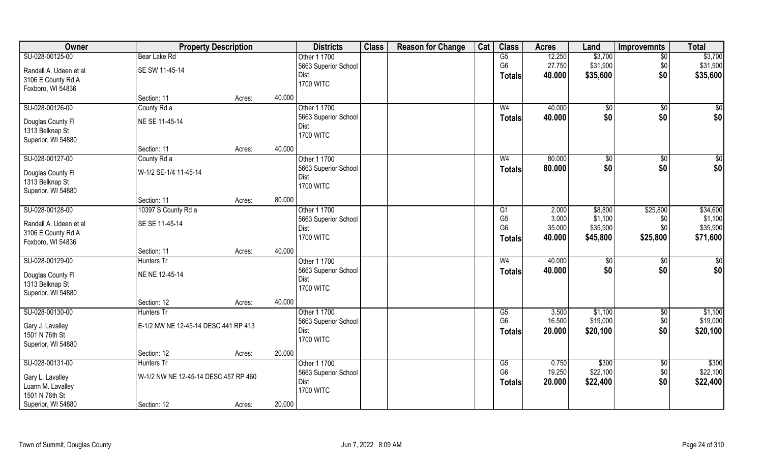| Owner                  | <b>Property Description</b>          |        |        | <b>Districts</b>     | <b>Class</b> | <b>Reason for Change</b> | Cat | <b>Class</b>   | <b>Acres</b> | Land     | <b>Improvemnts</b> | <b>Total</b>    |
|------------------------|--------------------------------------|--------|--------|----------------------|--------------|--------------------------|-----|----------------|--------------|----------|--------------------|-----------------|
| SU-028-00125-00        | Bear Lake Rd                         |        |        | Other 1 1700         |              |                          |     | G5             | 12.250       | \$3,700  | $\overline{50}$    | \$3,700         |
| Randall A. Udeen et al | SE SW 11-45-14                       |        |        | 5663 Superior School |              |                          |     | G <sub>6</sub> | 27.750       | \$31,900 | \$0                | \$31,900        |
| 3106 E County Rd A     |                                      |        |        | Dist                 |              |                          |     | <b>Totals</b>  | 40.000       | \$35,600 | \$0                | \$35,600        |
| Foxboro, WI 54836      |                                      |        |        | <b>1700 WITC</b>     |              |                          |     |                |              |          |                    |                 |
|                        | Section: 11                          | Acres: | 40.000 |                      |              |                          |     |                |              |          |                    |                 |
| SU-028-00126-00        | County Rd a                          |        |        | Other 1 1700         |              |                          |     | W <sub>4</sub> | 40.000       | \$0      | \$0                | $\sqrt{50}$     |
| Douglas County Fl      | NE SE 11-45-14                       |        |        | 5663 Superior School |              |                          |     | <b>Totals</b>  | 40.000       | \$0      | \$0                | \$0             |
| 1313 Belknap St        |                                      |        |        | Dist                 |              |                          |     |                |              |          |                    |                 |
| Superior, WI 54880     |                                      |        |        | <b>1700 WITC</b>     |              |                          |     |                |              |          |                    |                 |
|                        | Section: 11                          | Acres: | 40.000 |                      |              |                          |     |                |              |          |                    |                 |
| SU-028-00127-00        | County Rd a                          |        |        | Other 1 1700         |              |                          |     | W <sub>4</sub> | 80.000       | \$0      | \$0                | $\overline{50}$ |
|                        |                                      |        |        | 5663 Superior School |              |                          |     | <b>Totals</b>  | 80.000       | \$0      | \$0                | \$0             |
| Douglas County Fl      | W-1/2 SE-1/4 11-45-14                |        |        | Dist                 |              |                          |     |                |              |          |                    |                 |
| 1313 Belknap St        |                                      |        |        | <b>1700 WITC</b>     |              |                          |     |                |              |          |                    |                 |
| Superior, WI 54880     | Section: 11                          | Acres: | 80.000 |                      |              |                          |     |                |              |          |                    |                 |
| SU-028-00128-00        | 10397 S County Rd a                  |        |        | Other 1 1700         |              |                          |     | G1             | 2.000        | \$8,800  | \$25,800           | \$34,600        |
|                        |                                      |        |        | 5663 Superior School |              |                          |     | G <sub>5</sub> | 3.000        | \$1,100  | \$0                | \$1,100         |
| Randall A. Udeen et al | SE SE 11-45-14                       |        |        | Dist                 |              |                          |     | G <sub>6</sub> | 35.000       | \$35,900 | \$0                | \$35,900        |
| 3106 E County Rd A     |                                      |        |        | <b>1700 WITC</b>     |              |                          |     | <b>Totals</b>  | 40.000       | \$45,800 | \$25,800           | \$71,600        |
| Foxboro, WI 54836      |                                      |        |        |                      |              |                          |     |                |              |          |                    |                 |
|                        | Section: 11                          | Acres: | 40.000 |                      |              |                          |     |                |              |          |                    |                 |
| SU-028-00129-00        | <b>Hunters Tr</b>                    |        |        | Other 1 1700         |              |                          |     | W <sub>4</sub> | 40.000       | \$0      | $\sqrt[6]{30}$     | $\overline{50}$ |
| Douglas County Fl      | NE NE 12-45-14                       |        |        | 5663 Superior School |              |                          |     | <b>Totals</b>  | 40.000       | \$0      | \$0                | \$0             |
| 1313 Belknap St        |                                      |        |        | Dist                 |              |                          |     |                |              |          |                    |                 |
| Superior, WI 54880     |                                      |        |        | <b>1700 WITC</b>     |              |                          |     |                |              |          |                    |                 |
|                        | Section: 12                          | Acres: | 40.000 |                      |              |                          |     |                |              |          |                    |                 |
| SU-028-00130-00        | Hunters Tr                           |        |        | Other 1 1700         |              |                          |     | G5             | 3.500        | \$1,100  | \$0                | \$1,100         |
| Gary J. Lavalley       | E-1/2 NW NE 12-45-14 DESC 441 RP 413 |        |        | 5663 Superior School |              |                          |     | G <sub>6</sub> | 16.500       | \$19,000 | \$0                | \$19,000        |
| 1501 N 76th St         |                                      |        |        | Dist                 |              |                          |     | <b>Totals</b>  | 20.000       | \$20,100 | \$0                | \$20,100        |
| Superior, WI 54880     |                                      |        |        | <b>1700 WITC</b>     |              |                          |     |                |              |          |                    |                 |
|                        | Section: 12                          | Acres: | 20.000 |                      |              |                          |     |                |              |          |                    |                 |
| SU-028-00131-00        | Hunters Tr                           |        |        | Other 1 1700         |              |                          |     | G5             | 0.750        | \$300    | $\overline{30}$    | \$300           |
|                        |                                      |        |        | 5663 Superior School |              |                          |     | G <sub>6</sub> | 19.250       | \$22,100 | \$0                | \$22,100        |
| Gary L. Lavalley       | W-1/2 NW NE 12-45-14 DESC 457 RP 460 |        |        | Dist                 |              |                          |     | <b>Totals</b>  | 20.000       | \$22,400 | \$0                | \$22,400        |
| Luann M. Lavalley      |                                      |        |        | <b>1700 WITC</b>     |              |                          |     |                |              |          |                    |                 |
| 1501 N 76th St         |                                      |        |        |                      |              |                          |     |                |              |          |                    |                 |
| Superior, WI 54880     | Section: 12                          | Acres: | 20.000 |                      |              |                          |     |                |              |          |                    |                 |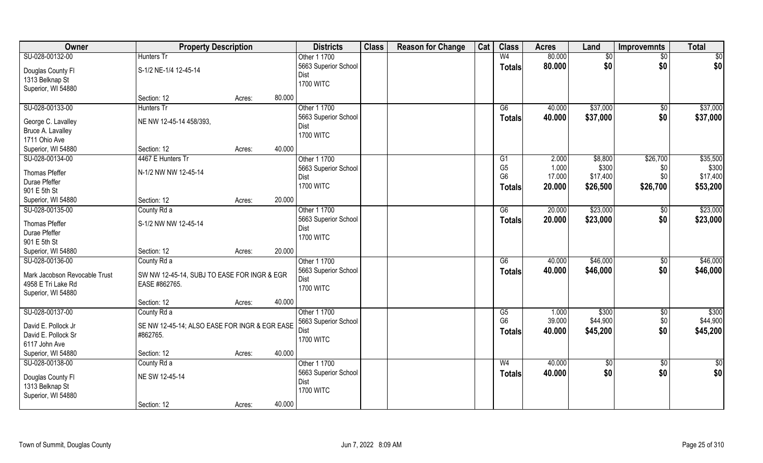| Owner                         | <b>Property Description</b>                   |        |        | <b>Districts</b>         | <b>Class</b> | <b>Reason for Change</b> | Cat | <b>Class</b>    | <b>Acres</b> | Land            | <b>Improvemnts</b> | <b>Total</b>  |
|-------------------------------|-----------------------------------------------|--------|--------|--------------------------|--------------|--------------------------|-----|-----------------|--------------|-----------------|--------------------|---------------|
| SU-028-00132-00               | Hunters Tr                                    |        |        | Other 1 1700             |              |                          |     | W <sub>4</sub>  | 80.000       | $\overline{50}$ | $\sqrt{6}$         | \$0           |
| Douglas County Fl             | S-1/2 NE-1/4 12-45-14                         |        |        | 5663 Superior School     |              |                          |     | <b>Totals</b>   | 80.000       | \$0             | \$0                | \$0           |
| 1313 Belknap St               |                                               |        |        | Dist                     |              |                          |     |                 |              |                 |                    |               |
| Superior, WI 54880            |                                               |        |        | <b>1700 WITC</b>         |              |                          |     |                 |              |                 |                    |               |
|                               | Section: 12                                   | Acres: | 80.000 |                          |              |                          |     |                 |              |                 |                    |               |
| SU-028-00133-00               | <b>Hunters Tr</b>                             |        |        | Other 1 1700             |              |                          |     | G6              | 40.000       | \$37,000        | \$0                | \$37,000      |
| George C. Lavalley            | NE NW 12-45-14 458/393,                       |        |        | 5663 Superior School     |              |                          |     | <b>Totals</b>   | 40.000       | \$37,000        | \$0                | \$37,000      |
| Bruce A. Lavalley             |                                               |        |        | Dist                     |              |                          |     |                 |              |                 |                    |               |
| 1711 Ohio Ave                 |                                               |        |        | <b>1700 WITC</b>         |              |                          |     |                 |              |                 |                    |               |
| Superior, WI 54880            | Section: 12                                   | Acres: | 40.000 |                          |              |                          |     |                 |              |                 |                    |               |
| SU-028-00134-00               | 4467 E Hunters Tr                             |        |        | Other 1 1700             |              |                          |     | G1              | 2.000        | \$8,800         | \$26,700           | \$35,500      |
|                               |                                               |        |        | 5663 Superior School     |              |                          |     | G <sub>5</sub>  | 1.000        | \$300           | \$0                | \$300         |
| Thomas Pfeffer                | N-1/2 NW NW 12-45-14                          |        |        | Dist                     |              |                          |     | G <sub>6</sub>  | 17.000       | \$17,400        | \$0                | \$17,400      |
| Durae Pfeffer                 |                                               |        |        | <b>1700 WITC</b>         |              |                          |     | <b>Totals</b>   | 20.000       | \$26,500        | \$26,700           | \$53,200      |
| 901 E 5th St                  |                                               |        |        |                          |              |                          |     |                 |              |                 |                    |               |
| Superior, WI 54880            | Section: 12                                   | Acres: | 20.000 |                          |              |                          |     |                 |              |                 |                    |               |
| SU-028-00135-00               | County Rd a                                   |        |        | Other 1 1700             |              |                          |     | G6              | 20.000       | \$23,000        | \$0                | \$23,000      |
| Thomas Pfeffer                | S-1/2 NW NW 12-45-14                          |        |        | 5663 Superior School     |              |                          |     | <b>Totals</b>   | 20.000       | \$23,000        | \$0                | \$23,000      |
| Durae Pfeffer                 |                                               |        |        | Dist                     |              |                          |     |                 |              |                 |                    |               |
| 901 E 5th St                  |                                               |        |        | <b>1700 WITC</b>         |              |                          |     |                 |              |                 |                    |               |
| Superior, WI 54880            | Section: 12                                   | Acres: | 20.000 |                          |              |                          |     |                 |              |                 |                    |               |
| SU-028-00136-00               | County Rd a                                   |        |        | Other 1 1700             |              |                          |     | $\overline{G6}$ | 40.000       | \$46,000        | $\overline{50}$    | \$46,000      |
| Mark Jacobson Revocable Trust | SW NW 12-45-14, SUBJ TO EASE FOR INGR & EGR   |        |        | 5663 Superior School     |              |                          |     | <b>Totals</b>   | 40.000       | \$46,000        | \$0                | \$46,000      |
| 4958 E Tri Lake Rd            | EASE #862765.                                 |        |        | Dist                     |              |                          |     |                 |              |                 |                    |               |
| Superior, WI 54880            |                                               |        |        | <b>1700 WITC</b>         |              |                          |     |                 |              |                 |                    |               |
|                               | Section: 12                                   | Acres: | 40.000 |                          |              |                          |     |                 |              |                 |                    |               |
| SU-028-00137-00               | County Rd a                                   |        |        | Other 1 1700             |              |                          |     | G5              | 1.000        | \$300           | $\overline{50}$    | \$300         |
|                               |                                               |        |        | 5663 Superior School     |              |                          |     | G <sub>6</sub>  | 39.000       | \$44,900        | $$0$$              | \$44,900      |
| David E. Pollock Jr           | SE NW 12-45-14; ALSO EASE FOR INGR & EGR EASE |        |        | Dist                     |              |                          |     | <b>Totals</b>   | 40.000       | \$45,200        | \$0                | \$45,200      |
| David E. Pollock Sr           | #862765.                                      |        |        | <b>1700 WITC</b>         |              |                          |     |                 |              |                 |                    |               |
| 6117 John Ave                 |                                               |        | 40.000 |                          |              |                          |     |                 |              |                 |                    |               |
| Superior, WI 54880            | Section: 12                                   | Acres: |        |                          |              |                          |     |                 |              |                 |                    |               |
| SU-028-00138-00               | County Rd a                                   |        |        | Other 1 1700             |              |                          |     | W <sub>4</sub>  | 40.000       | $\sqrt{6}$      | $\overline{50}$    | $\frac{1}{6}$ |
| Douglas County Fl             | NE SW 12-45-14                                |        |        | 5663 Superior School     |              |                          |     | <b>Totals</b>   | 40.000       | \$0             | \$0                | \$0           |
| 1313 Belknap St               |                                               |        |        | Dist<br><b>1700 WITC</b> |              |                          |     |                 |              |                 |                    |               |
| Superior, WI 54880            |                                               |        |        |                          |              |                          |     |                 |              |                 |                    |               |
|                               | Section: 12                                   | Acres: | 40.000 |                          |              |                          |     |                 |              |                 |                    |               |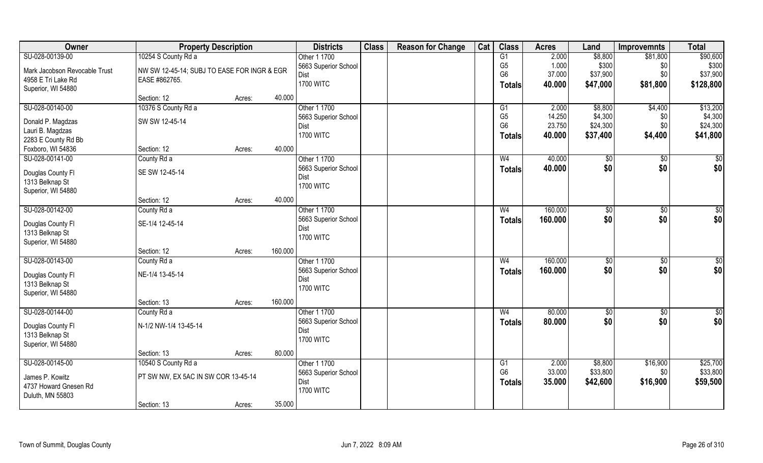| Owner                                | <b>Property Description</b>                 |        |         | <b>Districts</b>         | <b>Class</b> | <b>Reason for Change</b> | Cat | <b>Class</b>   | <b>Acres</b> | Land     | <b>Improvemnts</b> | <b>Total</b>    |
|--------------------------------------|---------------------------------------------|--------|---------|--------------------------|--------------|--------------------------|-----|----------------|--------------|----------|--------------------|-----------------|
| SU-028-00139-00                      | 10254 S County Rd a                         |        |         | Other 1 1700             |              |                          |     | G1             | 2.000        | \$8,800  | \$81,800           | \$90,600        |
| Mark Jacobson Revocable Trust        | NW SW 12-45-14; SUBJ TO EASE FOR INGR & EGR |        |         | 5663 Superior School     |              |                          |     | G <sub>5</sub> | 1.000        | \$300    | \$0                | \$300           |
| 4958 E Tri Lake Rd                   | EASE #862765.                               |        |         | <b>Dist</b>              |              |                          |     | G <sub>6</sub> | 37.000       | \$37,900 | \$0                | \$37,900        |
| Superior, WI 54880                   |                                             |        |         | <b>1700 WITC</b>         |              |                          |     | Totals         | 40.000       | \$47,000 | \$81,800           | \$128,800       |
|                                      | Section: 12                                 | Acres: | 40.000  |                          |              |                          |     |                |              |          |                    |                 |
| SU-028-00140-00                      | 10376 S County Rd a                         |        |         | Other 1 1700             |              |                          |     | G1             | 2.000        | \$8,800  | \$4,400            | \$13,200        |
|                                      |                                             |        |         | 5663 Superior School     |              |                          |     | G <sub>5</sub> | 14.250       | \$4,300  | \$0                | \$4,300         |
| Donald P. Magdzas                    | SW SW 12-45-14                              |        |         | Dist                     |              |                          |     | G <sub>6</sub> | 23.750       | \$24,300 | \$0                | \$24,300        |
| Lauri B. Magdzas                     |                                             |        |         | <b>1700 WITC</b>         |              |                          |     | <b>Totals</b>  | 40.000       | \$37,400 | \$4,400            | \$41,800        |
| 2283 E County Rd Bb                  |                                             |        | 40.000  |                          |              |                          |     |                |              |          |                    |                 |
| Foxboro, WI 54836                    | Section: 12                                 | Acres: |         |                          |              |                          |     |                |              |          |                    |                 |
| SU-028-00141-00                      | County Rd a                                 |        |         | Other 1 1700             |              |                          |     | W <sub>4</sub> | 40.000       | \$0      | $\sqrt{50}$        | $\sqrt{50}$     |
| Douglas County FI                    | SE SW 12-45-14                              |        |         | 5663 Superior School     |              |                          |     | <b>Totals</b>  | 40.000       | \$0      | \$0                | \$0             |
| 1313 Belknap St                      |                                             |        |         | Dist<br><b>1700 WITC</b> |              |                          |     |                |              |          |                    |                 |
| Superior, WI 54880                   |                                             |        |         |                          |              |                          |     |                |              |          |                    |                 |
|                                      | Section: 12                                 | Acres: | 40.000  |                          |              |                          |     |                |              |          |                    |                 |
| SU-028-00142-00                      | County Rd a                                 |        |         | Other 1 1700             |              |                          |     | W <sub>4</sub> | 160.000      | \$0      | $\sqrt[6]{3}$      | \$0             |
|                                      | SE-1/4 12-45-14                             |        |         | 5663 Superior School     |              |                          |     | <b>Totals</b>  | 160.000      | \$0      | \$0                | \$0             |
| Douglas County Fl<br>1313 Belknap St |                                             |        |         | Dist                     |              |                          |     |                |              |          |                    |                 |
| Superior, WI 54880                   |                                             |        |         | <b>1700 WITC</b>         |              |                          |     |                |              |          |                    |                 |
|                                      | Section: 12                                 | Acres: | 160.000 |                          |              |                          |     |                |              |          |                    |                 |
| SU-028-00143-00                      | County Rd a                                 |        |         | Other 1 1700             |              |                          |     | W <sub>4</sub> | 160.000      | \$0      | \$0                | $\overline{50}$ |
|                                      |                                             |        |         | 5663 Superior School     |              |                          |     |                | 160.000      | \$0      | \$0                | \$0             |
| Douglas County Fl                    | NE-1/4 13-45-14                             |        |         | Dist                     |              |                          |     | <b>Totals</b>  |              |          |                    |                 |
| 1313 Belknap St                      |                                             |        |         | <b>1700 WITC</b>         |              |                          |     |                |              |          |                    |                 |
| Superior, WI 54880                   |                                             |        |         |                          |              |                          |     |                |              |          |                    |                 |
|                                      | Section: 13                                 | Acres: | 160.000 |                          |              |                          |     |                |              |          |                    |                 |
| SU-028-00144-00                      | County Rd a                                 |        |         | Other 1 1700             |              |                          |     | W <sub>4</sub> | 80.000       | \$0      | \$0                | \$0             |
| Douglas County Fl                    | N-1/2 NW-1/4 13-45-14                       |        |         | 5663 Superior School     |              |                          |     | <b>Totals</b>  | 80.000       | \$0      | \$0                | \$0             |
| 1313 Belknap St                      |                                             |        |         | Dist                     |              |                          |     |                |              |          |                    |                 |
| Superior, WI 54880                   |                                             |        |         | <b>1700 WITC</b>         |              |                          |     |                |              |          |                    |                 |
|                                      | Section: 13                                 | Acres: | 80.000  |                          |              |                          |     |                |              |          |                    |                 |
| SU-028-00145-00                      | 10540 S County Rd a                         |        |         | Other 1 1700             |              |                          |     | G1             | 2.000        | \$8,800  | \$16,900           | \$25,700        |
|                                      |                                             |        |         | 5663 Superior School     |              |                          |     | G <sub>6</sub> | 33.000       | \$33,800 | \$0                | \$33,800        |
| James P. Kowitz                      | PT SW NW, EX 5AC IN SW COR 13-45-14         |        |         | Dist                     |              |                          |     | <b>Totals</b>  | 35.000       | \$42,600 | \$16,900           | \$59,500        |
| 4737 Howard Gnesen Rd                |                                             |        |         | <b>1700 WITC</b>         |              |                          |     |                |              |          |                    |                 |
| Duluth, MN 55803                     |                                             |        | 35.000  |                          |              |                          |     |                |              |          |                    |                 |
|                                      | Section: 13                                 | Acres: |         |                          |              |                          |     |                |              |          |                    |                 |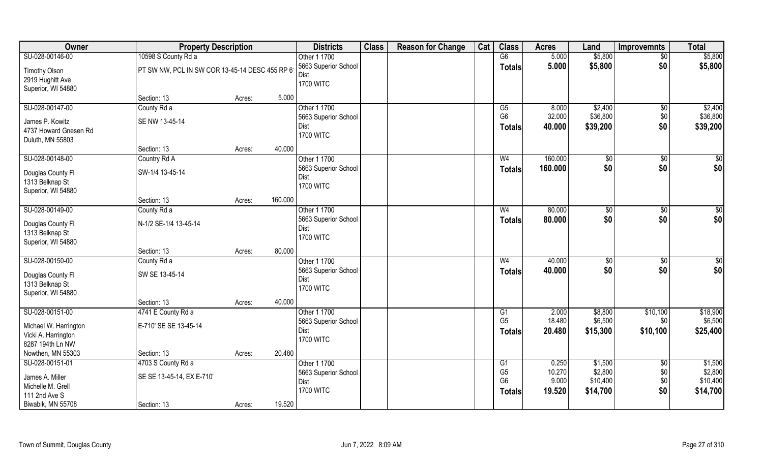| Owner                                                                               | <b>Property Description</b>                     |        |         | <b>Districts</b>                                                 | <b>Class</b> | <b>Reason for Change</b> | Cat | <b>Class</b>                                     | <b>Acres</b>                       | Land                                       | <b>Improvemnts</b>              | <b>Total</b>                               |
|-------------------------------------------------------------------------------------|-------------------------------------------------|--------|---------|------------------------------------------------------------------|--------------|--------------------------|-----|--------------------------------------------------|------------------------------------|--------------------------------------------|---------------------------------|--------------------------------------------|
| SU-028-00146-00                                                                     | 10598 S County Rd a                             |        |         | Other 1 1700                                                     |              |                          |     | G6                                               | 5.000                              | \$5,800                                    | $\overline{50}$                 | \$5,800                                    |
| <b>Timothy Olson</b><br>2919 Hughitt Ave<br>Superior, WI 54880                      | PT SW NW, PCL IN SW COR 13-45-14 DESC 455 RP 6  |        |         | 5663 Superior School<br>Dist<br><b>1700 WITC</b>                 |              |                          |     | <b>Totals</b>                                    | 5.000                              | \$5,800                                    | \$0                             | \$5,800                                    |
|                                                                                     | Section: 13                                     | Acres: | 5.000   |                                                                  |              |                          |     |                                                  |                                    |                                            |                                 |                                            |
| SU-028-00147-00                                                                     | County Rd a                                     |        |         | Other 1 1700                                                     |              |                          |     | G5                                               | 8.000                              | \$2,400                                    | \$0                             | \$2,400                                    |
| James P. Kowitz<br>4737 Howard Gnesen Rd<br>Duluth, MN 55803                        | SE NW 13-45-14                                  |        |         | 5663 Superior School<br>Dist<br><b>1700 WITC</b>                 |              |                          |     | G <sub>6</sub><br><b>Totals</b>                  | 32.000<br>40.000                   | \$36,800<br>\$39,200                       | \$0<br>\$0                      | \$36,800<br>\$39,200                       |
|                                                                                     | Section: 13                                     | Acres: | 40.000  |                                                                  |              |                          |     |                                                  |                                    |                                            |                                 |                                            |
| SU-028-00148-00                                                                     | Country Rd A                                    |        |         | Other 1 1700                                                     |              |                          |     | W <sub>4</sub>                                   | 160.000                            | \$0                                        | $\sqrt[6]{3}$                   | \$0                                        |
| Douglas County Fl<br>1313 Belknap St<br>Superior, WI 54880                          | SW-1/4 13-45-14                                 |        |         | 5663 Superior School<br>Dist<br><b>1700 WITC</b>                 |              |                          |     | <b>Totals</b>                                    | 160.000                            | \$0                                        | \$0                             | \$0                                        |
|                                                                                     | Section: 13                                     | Acres: | 160.000 |                                                                  |              |                          |     |                                                  |                                    |                                            |                                 |                                            |
| SU-028-00149-00                                                                     | County Rd a                                     |        |         | Other 1 1700                                                     |              |                          |     | W <sub>4</sub>                                   | 80.000                             | \$0                                        | $\sqrt[6]{3}$                   | \$0                                        |
| Douglas County Fl<br>1313 Belknap St<br>Superior, WI 54880                          | N-1/2 SE-1/4 13-45-14                           |        |         | 5663 Superior School<br>Dist<br><b>1700 WITC</b>                 |              |                          |     | <b>Totals</b>                                    | 80.000                             | \$0                                        | \$0                             | \$0                                        |
|                                                                                     | Section: 13                                     | Acres: | 80.000  |                                                                  |              |                          |     |                                                  |                                    |                                            |                                 |                                            |
| SU-028-00150-00                                                                     | County Rd a                                     |        |         | Other 1 1700                                                     |              |                          |     | W <sub>4</sub>                                   | 40.000                             | $\sqrt[6]{3}$                              | \$0                             | $\overline{50}$                            |
| Douglas County Fl<br>1313 Belknap St<br>Superior, WI 54880                          | SW SE 13-45-14                                  |        |         | 5663 Superior School<br>Dist<br><b>1700 WITC</b>                 |              |                          |     | <b>Totals</b>                                    | 40.000                             | \$0                                        | \$0                             | \$0                                        |
|                                                                                     | Section: 13                                     | Acres: | 40.000  |                                                                  |              |                          |     |                                                  |                                    |                                            |                                 |                                            |
| SU-028-00151-00<br>Michael W. Harrington<br>Vicki A. Harrington<br>8287 194th Ln NW | 4741 E County Rd a<br>E-710' SE SE 13-45-14     |        |         | Other 1 1700<br>5663 Superior School<br>Dist<br><b>1700 WITC</b> |              |                          |     | G1<br>G <sub>5</sub><br><b>Totals</b>            | 2.000<br>18.480<br>20.480          | \$8,800<br>\$6,500<br>\$15,300             | \$10,100<br>\$0<br>\$10,100     | \$18,900<br>\$6,500<br>\$25,400            |
| Nowthen, MN 55303                                                                   | Section: 13                                     | Acres: | 20.480  |                                                                  |              |                          |     |                                                  |                                    |                                            |                                 |                                            |
| SU-028-00151-01<br>James A. Miller<br>Michelle M. Grell<br>111 2nd Ave S            | 4703 S County Rd a<br>SE SE 13-45-14, EX E-710' |        |         | Other 1 1700<br>5663 Superior School<br>Dist<br><b>1700 WITC</b> |              |                          |     | G1<br>G <sub>5</sub><br>G <sub>6</sub><br>Totals | 0.250<br>10.270<br>9.000<br>19.520 | \$1,500<br>\$2,800<br>\$10,400<br>\$14,700 | $\sqrt{6}$<br>\$0<br>\$0<br>\$0 | \$1,500<br>\$2,800<br>\$10,400<br>\$14,700 |
| Biwabik, MN 55708                                                                   | Section: 13                                     | Acres: | 19.520  |                                                                  |              |                          |     |                                                  |                                    |                                            |                                 |                                            |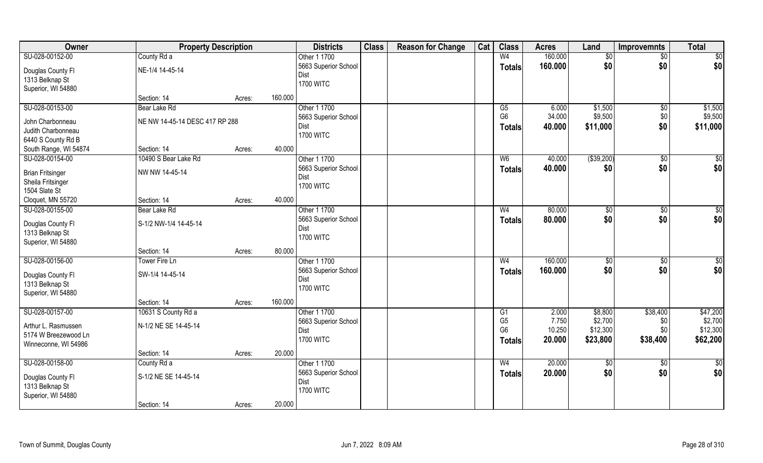| Owner                   | <b>Property Description</b>    |        |         | <b>Districts</b>     | <b>Class</b> | <b>Reason for Change</b> | Cat | <b>Class</b>   | <b>Acres</b> | Land        | <b>Improvemnts</b> | <b>Total</b>    |
|-------------------------|--------------------------------|--------|---------|----------------------|--------------|--------------------------|-----|----------------|--------------|-------------|--------------------|-----------------|
| SU-028-00152-00         | County Rd a                    |        |         | Other 1 1700         |              |                          |     | W <sub>4</sub> | 160.000      | \$0         | $\sqrt{$0}$        | $\overline{50}$ |
| Douglas County Fl       | NE-1/4 14-45-14                |        |         | 5663 Superior School |              |                          |     | <b>Totals</b>  | 160.000      | \$0         | \$0                | \$0             |
| 1313 Belknap St         |                                |        |         | Dist                 |              |                          |     |                |              |             |                    |                 |
| Superior, WI 54880      |                                |        |         | <b>1700 WITC</b>     |              |                          |     |                |              |             |                    |                 |
|                         | Section: 14                    | Acres: | 160.000 |                      |              |                          |     |                |              |             |                    |                 |
| SU-028-00153-00         | Bear Lake Rd                   |        |         | Other 1 1700         |              |                          |     | G5             | 6.000        | \$1,500     | \$0                | \$1,500         |
|                         | NE NW 14-45-14 DESC 417 RP 288 |        |         | 5663 Superior School |              |                          |     | G <sub>6</sub> | 34.000       | \$9,500     | \$0                | \$9,500         |
| John Charbonneau        |                                |        |         | Dist                 |              |                          |     | <b>Totals</b>  | 40.000       | \$11,000    | \$0                | \$11,000        |
| Judith Charbonneau      |                                |        |         | <b>1700 WITC</b>     |              |                          |     |                |              |             |                    |                 |
| 6440 S County Rd B      |                                |        | 40.000  |                      |              |                          |     |                |              |             |                    |                 |
| South Range, WI 54874   | Section: 14                    | Acres: |         |                      |              |                          |     |                |              |             |                    |                 |
| SU-028-00154-00         | 10490 S Bear Lake Rd           |        |         | Other 1 1700         |              |                          |     | W <sub>6</sub> | 40.000       | ( \$39,200) | \$0                | \$0             |
| <b>Brian Fritsinger</b> | NW NW 14-45-14                 |        |         | 5663 Superior School |              |                          |     | <b>Totals</b>  | 40.000       | \$0         | \$0                | \$0             |
| Sheila Fritsinger       |                                |        |         | Dist                 |              |                          |     |                |              |             |                    |                 |
| 1504 Slate St           |                                |        |         | <b>1700 WITC</b>     |              |                          |     |                |              |             |                    |                 |
| Cloquet, MN 55720       | Section: 14                    | Acres: | 40.000  |                      |              |                          |     |                |              |             |                    |                 |
| SU-028-00155-00         | Bear Lake Rd                   |        |         | Other 1 1700         |              |                          |     | W <sub>4</sub> | 80.000       | \$0         | \$0                | $\sqrt{50}$     |
|                         |                                |        |         | 5663 Superior School |              |                          |     | <b>Totals</b>  | 80.000       | \$0         | \$0                | \$0             |
| Douglas County Fl       | S-1/2 NW-1/4 14-45-14          |        |         | Dist                 |              |                          |     |                |              |             |                    |                 |
| 1313 Belknap St         |                                |        |         | <b>1700 WITC</b>     |              |                          |     |                |              |             |                    |                 |
| Superior, WI 54880      |                                |        |         |                      |              |                          |     |                |              |             |                    |                 |
|                         | Section: 14                    | Acres: | 80.000  |                      |              |                          |     |                |              |             |                    |                 |
| SU-028-00156-00         | Tower Fire Ln                  |        |         | Other 1 1700         |              |                          |     | W <sub>4</sub> | 160.000      | $\sqrt{50}$ | $\overline{50}$    | $\sqrt{50}$     |
| Douglas County Fl       | SW-1/4 14-45-14                |        |         | 5663 Superior School |              |                          |     | <b>Totals</b>  | 160.000      | \$0         | \$0                | \$0             |
| 1313 Belknap St         |                                |        |         | Dist                 |              |                          |     |                |              |             |                    |                 |
| Superior, WI 54880      |                                |        |         | <b>1700 WITC</b>     |              |                          |     |                |              |             |                    |                 |
|                         | Section: 14                    | Acres: | 160.000 |                      |              |                          |     |                |              |             |                    |                 |
| SU-028-00157-00         | 10631 S County Rd a            |        |         | Other 1 1700         |              |                          |     | G1             | 2.000        | \$8,800     | \$38,400           | \$47,200        |
| Arthur L. Rasmussen     | N-1/2 NE SE 14-45-14           |        |         | 5663 Superior School |              |                          |     | G <sub>5</sub> | 7.750        | \$2,700     | \$0                | \$2,700         |
| 5174 W Breezewood Ln    |                                |        |         | Dist                 |              |                          |     | G <sub>6</sub> | 10.250       | \$12,300    | \$0                | \$12,300        |
| Winneconne, WI 54986    |                                |        |         | <b>1700 WITC</b>     |              |                          |     | <b>Totals</b>  | 20.000       | \$23,800    | \$38,400           | \$62,200        |
|                         | Section: 14                    | Acres: | 20.000  |                      |              |                          |     |                |              |             |                    |                 |
| SU-028-00158-00         | County Rd a                    |        |         | Other 1 1700         |              |                          |     | W <sub>4</sub> | 20.000       | $\sqrt{50}$ | $\sqrt{$0}$        | $\overline{50}$ |
|                         |                                |        |         | 5663 Superior School |              |                          |     | <b>Totals</b>  | 20.000       | \$0         | \$0                | \$0             |
| Douglas County Fl       | S-1/2 NE SE 14-45-14           |        |         | Dist                 |              |                          |     |                |              |             |                    |                 |
| 1313 Belknap St         |                                |        |         | <b>1700 WITC</b>     |              |                          |     |                |              |             |                    |                 |
| Superior, WI 54880      |                                |        |         |                      |              |                          |     |                |              |             |                    |                 |
|                         | Section: 14                    | Acres: | 20.000  |                      |              |                          |     |                |              |             |                    |                 |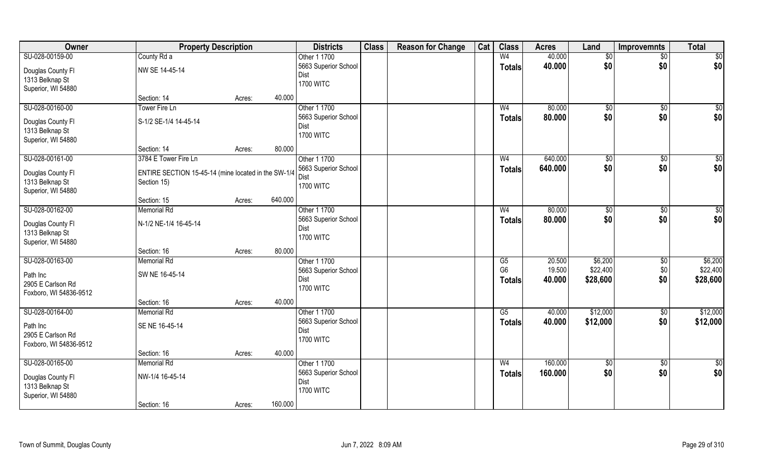| Owner                                | <b>Property Description</b>                         |        |         | <b>Districts</b>                | <b>Class</b> | <b>Reason for Change</b> | Cat | <b>Class</b>           | <b>Acres</b> | Land            | <b>Improvemnts</b> | <b>Total</b>     |
|--------------------------------------|-----------------------------------------------------|--------|---------|---------------------------------|--------------|--------------------------|-----|------------------------|--------------|-----------------|--------------------|------------------|
| SU-028-00159-00                      | County Rd a                                         |        |         | Other 1 1700                    |              |                          |     | W <sub>4</sub>         | 40.000       | $\sqrt{6}$      | $\overline{50}$    | $\sqrt{50}$      |
| Douglas County Fl                    | NW SE 14-45-14                                      |        |         | 5663 Superior School            |              |                          |     | <b>Totals</b>          | 40.000       | \$0             | \$0                | \$0              |
| 1313 Belknap St                      |                                                     |        |         | Dist                            |              |                          |     |                        |              |                 |                    |                  |
| Superior, WI 54880                   |                                                     |        |         | <b>1700 WITC</b>                |              |                          |     |                        |              |                 |                    |                  |
|                                      | Section: 14                                         | Acres: | 40.000  |                                 |              |                          |     |                        |              |                 |                    |                  |
| SU-028-00160-00                      | Tower Fire Ln                                       |        |         | Other 1 1700                    |              |                          |     | W <sub>4</sub>         | 80.000       | $\sqrt[6]{}$    | $\sqrt{50}$        | $\overline{\$0}$ |
|                                      |                                                     |        |         | 5663 Superior School            |              |                          |     | <b>Totals</b>          | 80.000       | \$0             | \$0                | \$0              |
| Douglas County Fl                    | S-1/2 SE-1/4 14-45-14                               |        |         | Dist                            |              |                          |     |                        |              |                 |                    |                  |
| 1313 Belknap St                      |                                                     |        |         | <b>1700 WITC</b>                |              |                          |     |                        |              |                 |                    |                  |
| Superior, WI 54880                   |                                                     |        |         |                                 |              |                          |     |                        |              |                 |                    |                  |
|                                      | Section: 14                                         | Acres: | 80.000  |                                 |              |                          |     |                        |              |                 |                    |                  |
| SU-028-00161-00                      | 3784 E Tower Fire Ln                                |        |         | Other 1 1700                    |              |                          |     | W <sub>4</sub>         | 640.000      | \$0             | \$0                | $\sqrt{50}$      |
| Douglas County Fl                    | ENTIRE SECTION 15-45-14 (mine located in the SW-1/4 |        |         | 5663 Superior School            |              |                          |     | <b>Totals</b>          | 640.000      | \$0             | \$0                | \$0              |
| 1313 Belknap St                      | Section 15)                                         |        |         | <b>Dist</b><br><b>1700 WITC</b> |              |                          |     |                        |              |                 |                    |                  |
| Superior, WI 54880                   |                                                     |        |         |                                 |              |                          |     |                        |              |                 |                    |                  |
|                                      | Section: 15                                         | Acres: | 640.000 |                                 |              |                          |     |                        |              |                 |                    |                  |
| SU-028-00162-00                      | <b>Memorial Rd</b>                                  |        |         | Other 1 1700                    |              |                          |     | W <sub>4</sub>         | 80.000       | $\sqrt[6]{3}$   | $\sqrt[6]{3}$      | \$0              |
|                                      | N-1/2 NE-1/4 16-45-14                               |        |         | 5663 Superior School            |              |                          |     | <b>Totals</b>          | 80.000       | \$0             | \$0                | \$0              |
| Douglas County Fl<br>1313 Belknap St |                                                     |        |         | Dist                            |              |                          |     |                        |              |                 |                    |                  |
| Superior, WI 54880                   |                                                     |        |         | <b>1700 WITC</b>                |              |                          |     |                        |              |                 |                    |                  |
|                                      | Section: 16                                         | Acres: | 80.000  |                                 |              |                          |     |                        |              |                 |                    |                  |
| SU-028-00163-00                      | <b>Memorial Rd</b>                                  |        |         | Other 1 1700                    |              |                          |     | $\overline{\text{G5}}$ | 20.500       | \$6,200         | \$0                | \$6,200          |
|                                      |                                                     |        |         | 5663 Superior School            |              |                          |     | G <sub>6</sub>         | 19.500       | \$22,400        | \$0                | \$22,400         |
| Path Inc                             | SW NE 16-45-14                                      |        |         | Dist                            |              |                          |     |                        | 40.000       | \$28,600        | \$0                | \$28,600         |
| 2905 E Carlson Rd                    |                                                     |        |         | <b>1700 WITC</b>                |              |                          |     | <b>Totals</b>          |              |                 |                    |                  |
| Foxboro, WI 54836-9512               |                                                     |        |         |                                 |              |                          |     |                        |              |                 |                    |                  |
|                                      | Section: 16                                         | Acres: | 40.000  |                                 |              |                          |     |                        |              |                 |                    |                  |
| SU-028-00164-00                      | <b>Memorial Rd</b>                                  |        |         | Other 1 1700                    |              |                          |     | G5                     | 40.000       | \$12,000        | \$0                | \$12,000         |
| Path Inc                             | SE NE 16-45-14                                      |        |         | 5663 Superior School            |              |                          |     | <b>Totals</b>          | 40.000       | \$12,000        | \$0                | \$12,000         |
| 2905 E Carlson Rd                    |                                                     |        |         | Dist                            |              |                          |     |                        |              |                 |                    |                  |
| Foxboro, WI 54836-9512               |                                                     |        |         | <b>1700 WITC</b>                |              |                          |     |                        |              |                 |                    |                  |
|                                      | Section: 16                                         | Acres: | 40.000  |                                 |              |                          |     |                        |              |                 |                    |                  |
| SU-028-00165-00                      | <b>Memorial Rd</b>                                  |        |         | Other 1 1700                    |              |                          |     | W <sub>4</sub>         | 160.000      | $\overline{50}$ | $\sqrt{6}$         | \$0              |
|                                      |                                                     |        |         | 5663 Superior School            |              |                          |     | <b>Totals</b>          | 160.000      | \$0             | \$0                | \$0              |
| Douglas County Fl                    | NW-1/4 16-45-14                                     |        |         | Dist                            |              |                          |     |                        |              |                 |                    |                  |
| 1313 Belknap St                      |                                                     |        |         | <b>1700 WITC</b>                |              |                          |     |                        |              |                 |                    |                  |
| Superior, WI 54880                   |                                                     |        |         |                                 |              |                          |     |                        |              |                 |                    |                  |
|                                      | Section: 16                                         | Acres: | 160.000 |                                 |              |                          |     |                        |              |                 |                    |                  |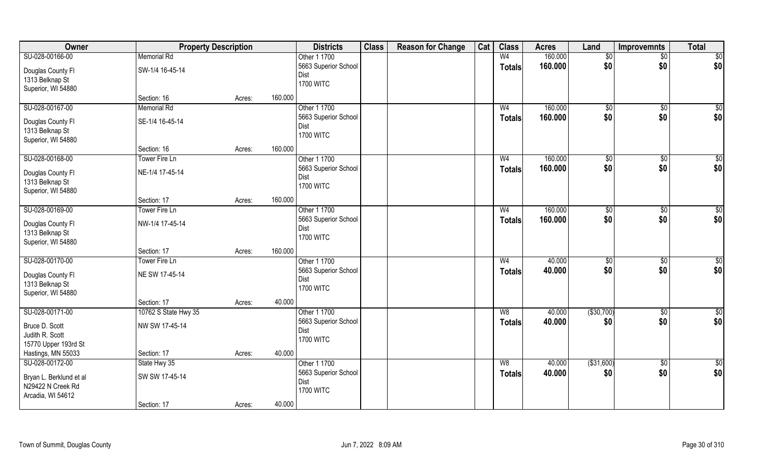| Owner                   |                      | <b>Property Description</b> |         | <b>Districts</b>     | <b>Class</b> | <b>Reason for Change</b> | Cat | <b>Class</b>   | <b>Acres</b> | Land           | <b>Improvemnts</b> | <b>Total</b>    |
|-------------------------|----------------------|-----------------------------|---------|----------------------|--------------|--------------------------|-----|----------------|--------------|----------------|--------------------|-----------------|
| SU-028-00166-00         | <b>Memorial Rd</b>   |                             |         | Other 1 1700         |              |                          |     | W <sub>4</sub> | 160.000      | $\sqrt{6}$     | $\overline{50}$    | $\sqrt{50}$     |
| Douglas County Fl       | SW-1/4 16-45-14      |                             |         | 5663 Superior School |              |                          |     | <b>Totals</b>  | 160.000      | \$0            | \$0                | \$0             |
| 1313 Belknap St         |                      |                             |         | Dist                 |              |                          |     |                |              |                |                    |                 |
| Superior, WI 54880      |                      |                             |         | <b>1700 WITC</b>     |              |                          |     |                |              |                |                    |                 |
|                         | Section: 16          | Acres:                      | 160.000 |                      |              |                          |     |                |              |                |                    |                 |
| SU-028-00167-00         | <b>Memorial Rd</b>   |                             |         | Other 1 1700         |              |                          |     | W <sub>4</sub> | 160.000      | \$0            | $\sqrt{50}$        | $\sqrt{50}$     |
|                         |                      |                             |         | 5663 Superior School |              |                          |     | <b>Totals</b>  | 160.000      | \$0            | \$0                | \$0             |
| Douglas County Fl       | SE-1/4 16-45-14      |                             |         | Dist                 |              |                          |     |                |              |                |                    |                 |
| 1313 Belknap St         |                      |                             |         | <b>1700 WITC</b>     |              |                          |     |                |              |                |                    |                 |
| Superior, WI 54880      | Section: 16          | Acres:                      | 160.000 |                      |              |                          |     |                |              |                |                    |                 |
| SU-028-00168-00         | Tower Fire Ln        |                             |         | Other 1 1700         |              |                          |     | W <sub>4</sub> | 160.000      | \$0            |                    | $\sqrt{50}$     |
|                         |                      |                             |         | 5663 Superior School |              |                          |     |                |              | \$0            | \$0<br>\$0         | \$0             |
| Douglas County Fl       | NE-1/4 17-45-14      |                             |         | Dist                 |              |                          |     | <b>Totals</b>  | 160.000      |                |                    |                 |
| 1313 Belknap St         |                      |                             |         | <b>1700 WITC</b>     |              |                          |     |                |              |                |                    |                 |
| Superior, WI 54880      |                      |                             |         |                      |              |                          |     |                |              |                |                    |                 |
|                         | Section: 17          | Acres:                      | 160.000 |                      |              |                          |     |                |              |                |                    |                 |
| SU-028-00169-00         | Tower Fire Ln        |                             |         | Other 1 1700         |              |                          |     | W <sub>4</sub> | 160.000      | $\frac{1}{20}$ | $\sqrt[6]{3}$      | \$0             |
| Douglas County Fl       | NW-1/4 17-45-14      |                             |         | 5663 Superior School |              |                          |     | <b>Totals</b>  | 160.000      | \$0            | \$0                | \$0             |
| 1313 Belknap St         |                      |                             |         | Dist                 |              |                          |     |                |              |                |                    |                 |
| Superior, WI 54880      |                      |                             |         | <b>1700 WITC</b>     |              |                          |     |                |              |                |                    |                 |
|                         | Section: 17          | Acres:                      | 160.000 |                      |              |                          |     |                |              |                |                    |                 |
| SU-028-00170-00         | Tower Fire Ln        |                             |         | Other 1 1700         |              |                          |     | W <sub>4</sub> | 40.000       | \$0            | \$0                | $\sqrt{50}$     |
|                         |                      |                             |         | 5663 Superior School |              |                          |     | <b>Totals</b>  | 40.000       | \$0            | \$0                | \$0             |
| Douglas County Fl       | NE SW 17-45-14       |                             |         | Dist                 |              |                          |     |                |              |                |                    |                 |
| 1313 Belknap St         |                      |                             |         | <b>1700 WITC</b>     |              |                          |     |                |              |                |                    |                 |
| Superior, WI 54880      |                      |                             |         |                      |              |                          |     |                |              |                |                    |                 |
|                         | Section: 17          | Acres:                      | 40.000  |                      |              |                          |     |                |              |                |                    |                 |
| SU-028-00171-00         | 10762 S State Hwy 35 |                             |         | Other 1 1700         |              |                          |     | W8             | 40.000       | ( \$30,700)    | \$0                | $\overline{50}$ |
| Bruce D. Scott          | NW SW 17-45-14       |                             |         | 5663 Superior School |              |                          |     | <b>Totals</b>  | 40.000       | \$0            | \$0                | \$0             |
| Judith R. Scott         |                      |                             |         | Dist                 |              |                          |     |                |              |                |                    |                 |
| 15770 Upper 193rd St    |                      |                             |         | <b>1700 WITC</b>     |              |                          |     |                |              |                |                    |                 |
| Hastings, MN 55033      | Section: 17          | Acres:                      | 40.000  |                      |              |                          |     |                |              |                |                    |                 |
| SU-028-00172-00         | State Hwy 35         |                             |         | Other 1 1700         |              |                          |     | W8             | 40.000       | ( \$31,600)    | $\sqrt{6}$         | \$0             |
|                         |                      |                             |         | 5663 Superior School |              |                          |     | <b>Totals</b>  | 40.000       | \$0            | \$0                | \$0             |
| Bryan L. Berklund et al | SW SW 17-45-14       |                             |         | Dist                 |              |                          |     |                |              |                |                    |                 |
| N29422 N Creek Rd       |                      |                             |         | <b>1700 WITC</b>     |              |                          |     |                |              |                |                    |                 |
| Arcadia, WI 54612       |                      |                             |         |                      |              |                          |     |                |              |                |                    |                 |
|                         | Section: 17          | Acres:                      | 40.000  |                      |              |                          |     |                |              |                |                    |                 |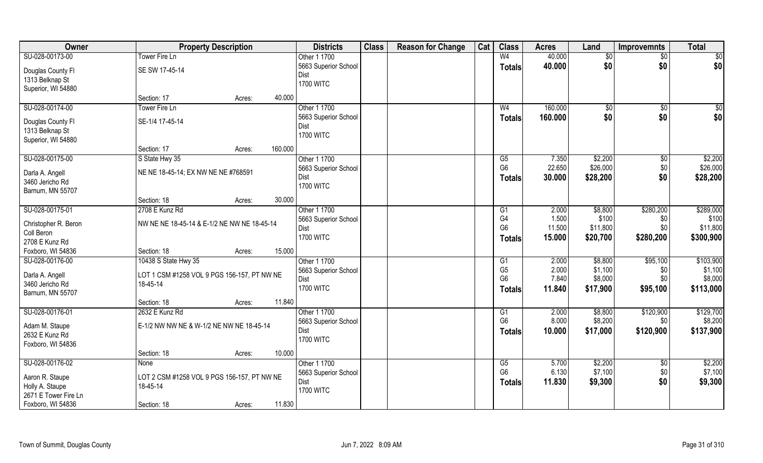| Owner                              | <b>Property Description</b>                 |        |         | <b>Districts</b>         | <b>Class</b> | <b>Reason for Change</b> | Cat | <b>Class</b>   | <b>Acres</b> | Land           | <b>Improvemnts</b> | <b>Total</b> |
|------------------------------------|---------------------------------------------|--------|---------|--------------------------|--------------|--------------------------|-----|----------------|--------------|----------------|--------------------|--------------|
| SU-028-00173-00                    | Tower Fire Ln                               |        |         | Other 1 1700             |              |                          |     | W <sub>4</sub> | 40.000       | \$0            | $\sqrt{$0}$        | \$0          |
| Douglas County Fl                  | SE SW 17-45-14                              |        |         | 5663 Superior School     |              |                          |     | <b>Totals</b>  | 40.000       | \$0            | \$0                | \$0          |
| 1313 Belknap St                    |                                             |        |         | Dist                     |              |                          |     |                |              |                |                    |              |
| Superior, WI 54880                 |                                             |        |         | <b>1700 WITC</b>         |              |                          |     |                |              |                |                    |              |
|                                    | Section: 17                                 | Acres: | 40.000  |                          |              |                          |     |                |              |                |                    |              |
| SU-028-00174-00                    | Tower Fire Ln                               |        |         | Other 1 1700             |              |                          |     | W <sub>4</sub> | 160.000      | $\sqrt[6]{30}$ | \$0                | \$0          |
| Douglas County Fl                  | SE-1/4 17-45-14                             |        |         | 5663 Superior School     |              |                          |     | <b>Totals</b>  | 160.000      | \$0            | \$0                | \$0          |
| 1313 Belknap St                    |                                             |        |         | Dist                     |              |                          |     |                |              |                |                    |              |
| Superior, WI 54880                 |                                             |        |         | <b>1700 WITC</b>         |              |                          |     |                |              |                |                    |              |
|                                    | Section: 17                                 | Acres: | 160.000 |                          |              |                          |     |                |              |                |                    |              |
| SU-028-00175-00                    | S State Hwy 35                              |        |         | Other 1 1700             |              |                          |     | G5             | 7.350        | \$2,200        | $\sqrt[6]{30}$     | \$2,200      |
|                                    | NE NE 18-45-14; EX NW NE NE #768591         |        |         | 5663 Superior School     |              |                          |     | G <sub>6</sub> | 22.650       | \$26,000       | \$0                | \$26,000     |
| Darla A. Angell<br>3460 Jericho Rd |                                             |        |         | Dist                     |              |                          |     | <b>Totals</b>  | 30.000       | \$28,200       | \$0                | \$28,200     |
| Barnum, MN 55707                   |                                             |        |         | <b>1700 WITC</b>         |              |                          |     |                |              |                |                    |              |
|                                    | Section: 18                                 | Acres: | 30.000  |                          |              |                          |     |                |              |                |                    |              |
| SU-028-00175-01                    | 2708 E Kunz Rd                              |        |         | Other 1 1700             |              |                          |     | G1             | 2.000        | \$8,800        | \$280,200          | \$289,000    |
|                                    |                                             |        |         | 5663 Superior School     |              |                          |     | G4             | 1.500        | \$100          | \$0                | \$100        |
| Christopher R. Beron               | NW NE NE 18-45-14 & E-1/2 NE NW NE 18-45-14 |        |         | Dist                     |              |                          |     | G <sub>6</sub> | 11.500       | \$11,800       | \$0\$              | \$11,800     |
| Coll Beron                         |                                             |        |         | <b>1700 WITC</b>         |              |                          |     | <b>Totals</b>  | 15.000       | \$20,700       | \$280,200          | \$300,900    |
| 2708 E Kunz Rd                     |                                             |        |         |                          |              |                          |     |                |              |                |                    |              |
| Foxboro, WI 54836                  | Section: 18                                 | Acres: | 15.000  |                          |              |                          |     |                |              |                |                    |              |
| SU-028-00176-00                    | 10438 S State Hwy 35                        |        |         | Other 1 1700             |              |                          |     | G1             | 2.000        | \$8,800        | \$95,100           | \$103,900    |
| Darla A. Angell                    | LOT 1 CSM #1258 VOL 9 PGS 156-157, PT NW NE |        |         | 5663 Superior School     |              |                          |     | G <sub>5</sub> | 2.000        | \$1,100        | \$0                | \$1,100      |
| 3460 Jericho Rd                    | 18-45-14                                    |        |         | Dist<br><b>1700 WITC</b> |              |                          |     | G <sub>6</sub> | 7.840        | \$8,000        | \$0\$              | \$8,000      |
| Barnum, MN 55707                   |                                             |        |         |                          |              |                          |     | Totals         | 11.840       | \$17,900       | \$95,100           | \$113,000    |
|                                    | Section: 18                                 | Acres: | 11.840  |                          |              |                          |     |                |              |                |                    |              |
| SU-028-00176-01                    | 2632 E Kunz Rd                              |        |         | Other 1 1700             |              |                          |     | G1             | 2.000        | \$8,800        | \$120,900          | \$129,700    |
| Adam M. Staupe                     | E-1/2 NW NW NE & W-1/2 NE NW NE 18-45-14    |        |         | 5663 Superior School     |              |                          |     | G <sub>6</sub> | 8.000        | \$8,200        | \$0                | \$8,200      |
| 2632 E Kunz Rd                     |                                             |        |         | Dist                     |              |                          |     | <b>Totals</b>  | 10.000       | \$17,000       | \$120,900          | \$137,900    |
| Foxboro, WI 54836                  |                                             |        |         | <b>1700 WITC</b>         |              |                          |     |                |              |                |                    |              |
|                                    | Section: 18                                 | Acres: | 10.000  |                          |              |                          |     |                |              |                |                    |              |
| SU-028-00176-02                    | None                                        |        |         | Other 1 1700             |              |                          |     | G5             | 5.700        | \$2,200        | $\sqrt{$0}$        | \$2,200      |
| Aaron R. Staupe                    | LOT 2 CSM #1258 VOL 9 PGS 156-157, PT NW NE |        |         | 5663 Superior School     |              |                          |     | G <sub>6</sub> | 6.130        | \$7,100        | \$0                | \$7,100      |
| Holly A. Staupe                    | 18-45-14                                    |        |         | Dist                     |              |                          |     | <b>Totals</b>  | 11.830       | \$9,300        | \$0                | \$9,300      |
| 2671 E Tower Fire Ln               |                                             |        |         | <b>1700 WITC</b>         |              |                          |     |                |              |                |                    |              |
| Foxboro, WI 54836                  | Section: 18                                 | Acres: | 11.830  |                          |              |                          |     |                |              |                |                    |              |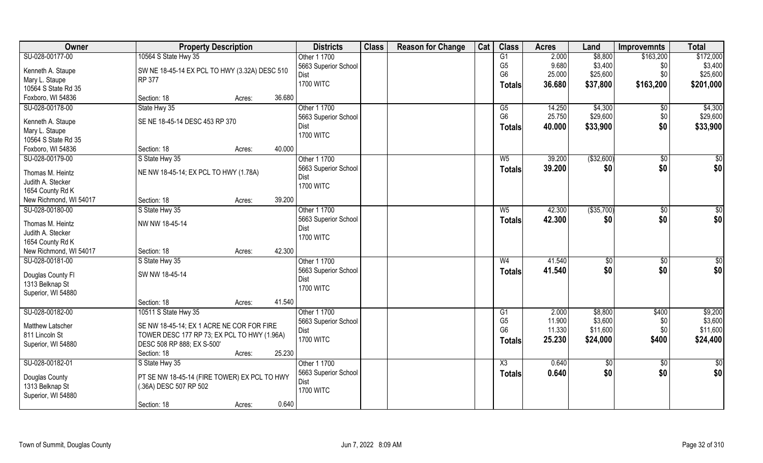| Owner                   | <b>Property Description</b>                                               |                  | <b>Districts</b>     | <b>Class</b> | <b>Reason for Change</b> | Cat | <b>Class</b>           | <b>Acres</b> | Land          | <b>Improvemnts</b> | <b>Total</b>    |
|-------------------------|---------------------------------------------------------------------------|------------------|----------------------|--------------|--------------------------|-----|------------------------|--------------|---------------|--------------------|-----------------|
| SU-028-00177-00         | 10564 S State Hwy 35                                                      |                  | Other 1 1700         |              |                          |     | G1                     | 2.000        | \$8,800       | \$163,200          | \$172,000       |
| Kenneth A. Staupe       | SW NE 18-45-14 EX PCL TO HWY (3.32A) DESC 510                             |                  | 5663 Superior School |              |                          |     | G <sub>5</sub>         | 9.680        | \$3,400       | \$0                | \$3,400         |
| Mary L. Staupe          | RP 377                                                                    |                  | Dist                 |              |                          |     | G <sub>6</sub>         | 25.000       | \$25,600      | \$0                | \$25,600        |
| 10564 S State Rd 35     |                                                                           |                  | <b>1700 WITC</b>     |              |                          |     | Totals                 | 36.680       | \$37,800      | \$163,200          | \$201,000       |
| Foxboro, WI 54836       | Section: 18                                                               | 36.680<br>Acres: |                      |              |                          |     |                        |              |               |                    |                 |
| SU-028-00178-00         | State Hwy 35                                                              |                  | Other 1 1700         |              |                          |     | G5                     | 14.250       | \$4,300       | $\overline{50}$    | \$4,300         |
|                         |                                                                           |                  | 5663 Superior School |              |                          |     | G <sub>6</sub>         | 25.750       | \$29,600      | \$0                | \$29,600        |
| Kenneth A. Staupe       | SE NE 18-45-14 DESC 453 RP 370                                            |                  | Dist                 |              |                          |     | Totals                 | 40.000       | \$33,900      | \$0                | \$33,900        |
| Mary L. Staupe          |                                                                           |                  | <b>1700 WITC</b>     |              |                          |     |                        |              |               |                    |                 |
| 10564 S State Rd 35     |                                                                           |                  |                      |              |                          |     |                        |              |               |                    |                 |
| Foxboro, WI 54836       | Section: 18                                                               | 40.000<br>Acres: |                      |              |                          |     |                        |              |               |                    |                 |
| SU-028-00179-00         | S State Hwy 35                                                            |                  | Other 1 1700         |              |                          |     | $W_5$                  | 39.200       | ( \$32,600)   | $\sqrt[6]{30}$     | \$0             |
| Thomas M. Heintz        | NE NW 18-45-14; EX PCL TO HWY (1.78A)                                     |                  | 5663 Superior School |              |                          |     | <b>Totals</b>          | 39.200       | \$0           | \$0                | \$0             |
| Judith A. Stecker       |                                                                           |                  | Dist                 |              |                          |     |                        |              |               |                    |                 |
| 1654 County Rd K        |                                                                           |                  | <b>1700 WITC</b>     |              |                          |     |                        |              |               |                    |                 |
| New Richmond, WI 54017  | Section: 18                                                               | 39.200<br>Acres: |                      |              |                          |     |                        |              |               |                    |                 |
| SU-028-00180-00         | S State Hwy 35                                                            |                  | Other 1 1700         |              |                          |     | W <sub>5</sub>         | 42.300       | ( \$35,700)   | $\sqrt[6]{3}$      | \$0             |
|                         |                                                                           |                  | 5663 Superior School |              |                          |     | <b>Totals</b>          | 42.300       | \$0           | \$0                | \$0             |
| Thomas M. Heintz        | NW NW 18-45-14                                                            |                  | Dist                 |              |                          |     |                        |              |               |                    |                 |
| Judith A. Stecker       |                                                                           |                  | <b>1700 WITC</b>     |              |                          |     |                        |              |               |                    |                 |
| 1654 County Rd K        |                                                                           |                  |                      |              |                          |     |                        |              |               |                    |                 |
| New Richmond, WI 54017  | Section: 18                                                               | 42.300<br>Acres: |                      |              |                          |     |                        |              |               |                    |                 |
| SU-028-00181-00         | S State Hwy 35                                                            |                  | Other 1 1700         |              |                          |     | W <sub>4</sub>         | 41.540       | $\sqrt[6]{3}$ | \$0                | $\overline{50}$ |
| Douglas County Fl       | SW NW 18-45-14                                                            |                  | 5663 Superior School |              |                          |     | <b>Totals</b>          | 41.540       | \$0           | \$0                | \$0             |
| 1313 Belknap St         |                                                                           |                  | Dist                 |              |                          |     |                        |              |               |                    |                 |
| Superior, WI 54880      |                                                                           |                  | <b>1700 WITC</b>     |              |                          |     |                        |              |               |                    |                 |
|                         | Section: 18                                                               | 41.540<br>Acres: |                      |              |                          |     |                        |              |               |                    |                 |
| SU-028-00182-00         | 10511 S State Hwy 35                                                      |                  | Other 1 1700         |              |                          |     | G1                     | 2.000        | \$8,800       | \$400              | \$9,200         |
|                         | SE NW 18-45-14; EX 1 ACRE NE COR FOR FIRE                                 |                  | 5663 Superior School |              |                          |     | G <sub>5</sub>         | 11.900       | \$3,600       | \$0                | \$3,600         |
| <b>Matthew Latscher</b> |                                                                           |                  | Dist                 |              |                          |     | G <sub>6</sub>         | 11.330       | \$11,600      | \$0                | \$11,600        |
| 811 Lincoln St          | TOWER DESC 177 RP 73; EX PCL TO HWY (1.96A)<br>DESC 508 RP 888; EX S-500' |                  | <b>1700 WITC</b>     |              |                          |     | <b>Totals</b>          | 25.230       | \$24,000      | \$400              | \$24,400        |
| Superior, WI 54880      |                                                                           |                  |                      |              |                          |     |                        |              |               |                    |                 |
|                         | Section: 18                                                               | 25.230<br>Acres: |                      |              |                          |     |                        |              |               |                    |                 |
| SU-028-00182-01         | S State Hwy 35                                                            |                  | Other 1 1700         |              |                          |     | $\overline{\text{X3}}$ | 0.640        | \$0           | $\sqrt{$0}$        | \$0             |
| Douglas County          | PT SE NW 18-45-14 (FIRE TOWER) EX PCL TO HWY                              |                  | 5663 Superior School |              |                          |     | <b>Totals</b>          | 0.640        | \$0           | \$0                | \$0             |
| 1313 Belknap St         | (.36A) DESC 507 RP 502                                                    |                  | Dist                 |              |                          |     |                        |              |               |                    |                 |
| Superior, WI 54880      |                                                                           |                  | <b>1700 WITC</b>     |              |                          |     |                        |              |               |                    |                 |
|                         | Section: 18                                                               | 0.640<br>Acres:  |                      |              |                          |     |                        |              |               |                    |                 |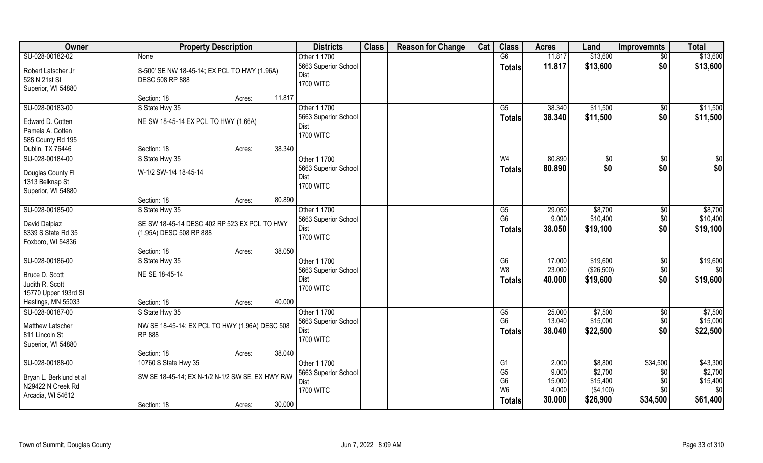| Owner                                | <b>Property Description</b>                      |                  | <b>Districts</b>         | <b>Class</b> | <b>Reason for Change</b> | Cat | <b>Class</b>    | <b>Acres</b> | Land          | <b>Improvemnts</b> | <b>Total</b> |
|--------------------------------------|--------------------------------------------------|------------------|--------------------------|--------------|--------------------------|-----|-----------------|--------------|---------------|--------------------|--------------|
| SU-028-00182-02                      | <b>None</b>                                      |                  | Other 1 1700             |              |                          |     | G6              | 11.817       | \$13,600      | $\overline{50}$    | \$13,600     |
| Robert Latscher Jr                   | S-500' SE NW 18-45-14; EX PCL TO HWY (1.96A)     |                  | 5663 Superior School     |              |                          |     | <b>Totals</b>   | 11.817       | \$13,600      | \$0                | \$13,600     |
| 528 N 21st St                        | DESC 508 RP 888                                  |                  | <b>Dist</b>              |              |                          |     |                 |              |               |                    |              |
| Superior, WI 54880                   |                                                  |                  | <b>1700 WITC</b>         |              |                          |     |                 |              |               |                    |              |
|                                      | Section: 18                                      | 11.817<br>Acres: |                          |              |                          |     |                 |              |               |                    |              |
| SU-028-00183-00                      | S State Hwy 35                                   |                  | Other 1 1700             |              |                          |     | $\overline{G5}$ | 38.340       | \$11,500      | $\overline{50}$    | \$11,500     |
| Edward D. Cotten                     | NE SW 18-45-14 EX PCL TO HWY (1.66A)             |                  | 5663 Superior School     |              |                          |     | Totals          | 38.340       | \$11,500      | \$0                | \$11,500     |
| Pamela A. Cotten                     |                                                  |                  | Dist                     |              |                          |     |                 |              |               |                    |              |
| 585 County Rd 195                    |                                                  |                  | <b>1700 WITC</b>         |              |                          |     |                 |              |               |                    |              |
| Dublin, TX 76446                     | Section: 18                                      | 38.340<br>Acres: |                          |              |                          |     |                 |              |               |                    |              |
| SU-028-00184-00                      | S State Hwy 35                                   |                  | Other 1 1700             |              |                          |     | W <sub>4</sub>  | 80.890       | $\sqrt[6]{3}$ | $\sqrt[6]{3}$      | \$0          |
|                                      | W-1/2 SW-1/4 18-45-14                            |                  | 5663 Superior School     |              |                          |     | <b>Totals</b>   | 80.890       | \$0           | \$0                | \$0          |
| Douglas County Fl<br>1313 Belknap St |                                                  |                  | Dist                     |              |                          |     |                 |              |               |                    |              |
| Superior, WI 54880                   |                                                  |                  | <b>1700 WITC</b>         |              |                          |     |                 |              |               |                    |              |
|                                      | Section: 18                                      | 80.890<br>Acres: |                          |              |                          |     |                 |              |               |                    |              |
| SU-028-00185-00                      | S State Hwy 35                                   |                  | Other 1 1700             |              |                          |     | G5              | 29.050       | \$8,700       | $\sqrt[6]{3}$      | \$8,700      |
|                                      |                                                  |                  | 5663 Superior School     |              |                          |     | G <sub>6</sub>  | 9.000        | \$10,400      | \$0                | \$10,400     |
| David Dalpiaz                        | SE SW 18-45-14 DESC 402 RP 523 EX PCL TO HWY     |                  | Dist                     |              |                          |     | <b>Totals</b>   | 38.050       | \$19,100      | \$0                | \$19,100     |
| 8339 S State Rd 35                   | (1.95A) DESC 508 RP 888                          |                  | <b>1700 WITC</b>         |              |                          |     |                 |              |               |                    |              |
| Foxboro, WI 54836                    |                                                  |                  |                          |              |                          |     |                 |              |               |                    |              |
|                                      | Section: 18                                      | 38.050<br>Acres: |                          |              |                          |     |                 |              |               |                    |              |
| SU-028-00186-00                      | S State Hwy 35                                   |                  | Other 1 1700             |              |                          |     | G6              | 17.000       | \$19,600      | $\sqrt[6]{3}$      | \$19,600     |
| Bruce D. Scott                       | NE SE 18-45-14                                   |                  | 5663 Superior School     |              |                          |     | W8              | 23.000       | (\$26,500)    | \$0                | \$0          |
| Judith R. Scott                      |                                                  |                  | Dist<br><b>1700 WITC</b> |              |                          |     | <b>Totals</b>   | 40.000       | \$19,600      | \$0                | \$19,600     |
| 15770 Upper 193rd St                 |                                                  |                  |                          |              |                          |     |                 |              |               |                    |              |
| Hastings, MN 55033                   | Section: 18                                      | 40.000<br>Acres: |                          |              |                          |     |                 |              |               |                    |              |
| SU-028-00187-00                      | S State Hwy 35                                   |                  | Other 1 1700             |              |                          |     | G5              | 25.000       | \$7,500       | \$0                | \$7,500      |
| Matthew Latscher                     | NW SE 18-45-14; EX PCL TO HWY (1.96A) DESC 508   |                  | 5663 Superior School     |              |                          |     | G <sub>6</sub>  | 13.040       | \$15,000      | \$0                | \$15,000     |
| 811 Lincoln St                       | RP 888                                           |                  | Dist                     |              |                          |     | <b>Totals</b>   | 38.040       | \$22,500      | \$0                | \$22,500     |
| Superior, WI 54880                   |                                                  |                  | <b>1700 WITC</b>         |              |                          |     |                 |              |               |                    |              |
|                                      | Section: 18                                      | 38.040<br>Acres: |                          |              |                          |     |                 |              |               |                    |              |
| SU-028-00188-00                      | 10760 S State Hwy 35                             |                  | Other 1 1700             |              |                          |     | G1              | 2.000        | \$8,800       | \$34,500           | \$43,300     |
| Bryan L. Berklund et al              | SW SE 18-45-14; EX N-1/2 N-1/2 SW SE, EX HWY R/W |                  | 5663 Superior School     |              |                          |     | G <sub>5</sub>  | 9.000        | \$2,700       | \$0                | \$2,700      |
| N29422 N Creek Rd                    |                                                  |                  | Dist                     |              |                          |     | G <sub>6</sub>  | 15.000       | \$15,400      | \$0                | \$15,400     |
| Arcadia, WI 54612                    |                                                  |                  | <b>1700 WITC</b>         |              |                          |     | W <sub>6</sub>  | 4.000        | ( \$4,100)    | \$0                | \$0          |
|                                      | Section: 18                                      | 30.000<br>Acres: |                          |              |                          |     | <b>Totals</b>   | 30.000       | \$26,900      | \$34,500           | \$61,400     |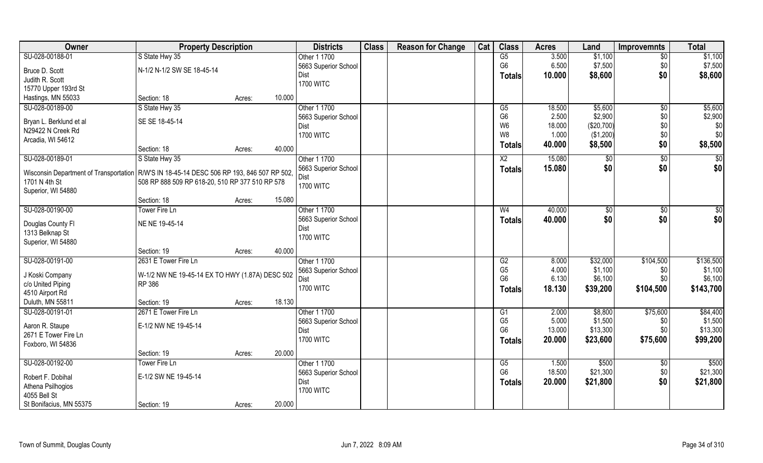| Owner                                                                                       | <b>Property Description</b>                     |                  | <b>Districts</b>         | <b>Class</b> | <b>Reason for Change</b> | Cat | <b>Class</b>         | <b>Acres</b>    | Land              | <b>Improvemnts</b> | <b>Total</b>      |
|---------------------------------------------------------------------------------------------|-------------------------------------------------|------------------|--------------------------|--------------|--------------------------|-----|----------------------|-----------------|-------------------|--------------------|-------------------|
| SU-028-00188-01                                                                             | S State Hwy 35                                  |                  | Other 1 1700             |              |                          |     | G5                   | 3.500           | \$1,100           | $\overline{50}$    | \$1,100           |
| Bruce D. Scott                                                                              | N-1/2 N-1/2 SW SE 18-45-14                      |                  | 5663 Superior School     |              |                          |     | G <sub>6</sub>       | 6.500           | \$7,500           | \$0                | \$7,500           |
| Judith R. Scott                                                                             |                                                 |                  | Dist                     |              |                          |     | <b>Totals</b>        | 10.000          | \$8,600           | \$0                | \$8,600           |
| 15770 Upper 193rd St                                                                        |                                                 |                  | <b>1700 WITC</b>         |              |                          |     |                      |                 |                   |                    |                   |
| Hastings, MN 55033                                                                          | Section: 18                                     | 10.000<br>Acres: |                          |              |                          |     |                      |                 |                   |                    |                   |
| SU-028-00189-00                                                                             | S State Hwy 35                                  |                  | Other 1 1700             |              |                          |     | $\overline{G5}$      | 18.500          | \$5,600           | \$0                | \$5,600           |
|                                                                                             |                                                 |                  | 5663 Superior School     |              |                          |     | G <sub>6</sub>       | 2.500           | \$2,900           | \$0                | \$2,900           |
| Bryan L. Berklund et al                                                                     | SE SE 18-45-14                                  |                  | Dist                     |              |                          |     | W <sub>6</sub>       | 18.000          | (\$20,700)        | \$0                | \$0               |
| N29422 N Creek Rd                                                                           |                                                 |                  | <b>1700 WITC</b>         |              |                          |     | W <sub>8</sub>       | 1.000           | (\$1,200)         | \$0                | \$0               |
| Arcadia, WI 54612                                                                           |                                                 |                  |                          |              |                          |     | <b>Totals</b>        | 40.000          | \$8,500           | \$0                | \$8,500           |
|                                                                                             | Section: 18                                     | 40.000<br>Acres: |                          |              |                          |     |                      |                 |                   |                    |                   |
| SU-028-00189-01                                                                             | S State Hwy 35                                  |                  | Other 1 1700             |              |                          |     | X <sub>2</sub>       | 15.080          | \$0               | \$0                | \$0               |
| Wisconsin Department of Transportation   R/W'S IN 18-45-14 DESC 506 RP 193, 846 507 RP 502, |                                                 |                  | 5663 Superior School     |              |                          |     | <b>Totals</b>        | 15.080          | \$0               | \$0                | \$0               |
| 1701 N 4th St                                                                               | 508 RP 888 509 RP 618-20, 510 RP 377 510 RP 578 |                  | <b>Dist</b>              |              |                          |     |                      |                 |                   |                    |                   |
| Superior, WI 54880                                                                          |                                                 |                  | <b>1700 WITC</b>         |              |                          |     |                      |                 |                   |                    |                   |
|                                                                                             | Section: 18                                     | 15.080<br>Acres: |                          |              |                          |     |                      |                 |                   |                    |                   |
| SU-028-00190-00                                                                             | Tower Fire Ln                                   |                  | Other 1 1700             |              |                          |     | W4                   | 40.000          | $\sqrt[6]{3}$     | \$0                | \$0               |
|                                                                                             |                                                 |                  | 5663 Superior School     |              |                          |     | <b>Totals</b>        | 40.000          | \$0               | \$0                | \$0               |
| Douglas County Fl                                                                           | NE NE 19-45-14                                  |                  | Dist                     |              |                          |     |                      |                 |                   |                    |                   |
| 1313 Belknap St                                                                             |                                                 |                  | <b>1700 WITC</b>         |              |                          |     |                      |                 |                   |                    |                   |
| Superior, WI 54880                                                                          |                                                 |                  |                          |              |                          |     |                      |                 |                   |                    |                   |
|                                                                                             | Section: 19                                     | 40.000<br>Acres: |                          |              |                          |     |                      |                 |                   |                    |                   |
| SU-028-00191-00                                                                             | 2631 E Tower Fire Ln                            |                  | Other 1 1700             |              |                          |     | G2                   | 8.000           | \$32,000          | \$104,500          | \$136,500         |
| J Koski Company                                                                             | W-1/2 NW NE 19-45-14 EX TO HWY (1.87A) DESC 502 |                  | 5663 Superior School     |              |                          |     | G <sub>5</sub>       | 4.000           | \$1,100           | \$0                | \$1,100           |
| c/o United Piping                                                                           | RP 386                                          |                  | <b>Dist</b>              |              |                          |     | G <sub>6</sub>       | 6.130           | \$6,100           | \$0                | \$6,100           |
| 4510 Airport Rd                                                                             |                                                 |                  | <b>1700 WITC</b>         |              |                          |     | Totals               | 18.130          | \$39,200          | \$104,500          | \$143,700         |
| Duluth, MN 55811                                                                            | Section: 19                                     | 18.130<br>Acres: |                          |              |                          |     |                      |                 |                   |                    |                   |
| SU-028-00191-01                                                                             | 2671 E Tower Fire Ln                            |                  | Other 1 1700             |              |                          |     | G1                   | 2.000           | \$8,800           | \$75,600           | \$84,400          |
|                                                                                             |                                                 |                  | 5663 Superior School     |              |                          |     | G <sub>5</sub>       | 5.000           | \$1,500           | \$0                | \$1,500           |
| Aaron R. Staupe                                                                             | E-1/2 NW NE 19-45-14                            |                  | Dist                     |              |                          |     | G <sub>6</sub>       | 13.000          | \$13,300          | \$0                | \$13,300          |
| 2671 E Tower Fire Ln                                                                        |                                                 |                  | <b>1700 WITC</b>         |              |                          |     | <b>Totals</b>        | 20.000          | \$23,600          | \$75,600           | \$99,200          |
| Foxboro, WI 54836                                                                           |                                                 | 20.000           |                          |              |                          |     |                      |                 |                   |                    |                   |
|                                                                                             | Section: 19                                     | Acres:           |                          |              |                          |     |                      |                 |                   |                    |                   |
| SU-028-00192-00                                                                             | Tower Fire Ln                                   |                  | Other 1 1700             |              |                          |     | G5<br>G <sub>6</sub> | 1.500<br>18.500 | \$500<br>\$21,300 | $\overline{30}$    | \$500<br>\$21,300 |
| Robert F. Dobihal                                                                           | E-1/2 SW NE 19-45-14                            |                  | 5663 Superior School     |              |                          |     |                      |                 |                   | \$0                |                   |
| Athena Psilhogios                                                                           |                                                 |                  | Dist<br><b>1700 WITC</b> |              |                          |     | <b>Totals</b>        | 20.000          | \$21,800          | \$0                | \$21,800          |
| 4055 Bell St                                                                                |                                                 |                  |                          |              |                          |     |                      |                 |                   |                    |                   |
| St Bonifacius, MN 55375                                                                     | Section: 19                                     | 20.000<br>Acres: |                          |              |                          |     |                      |                 |                   |                    |                   |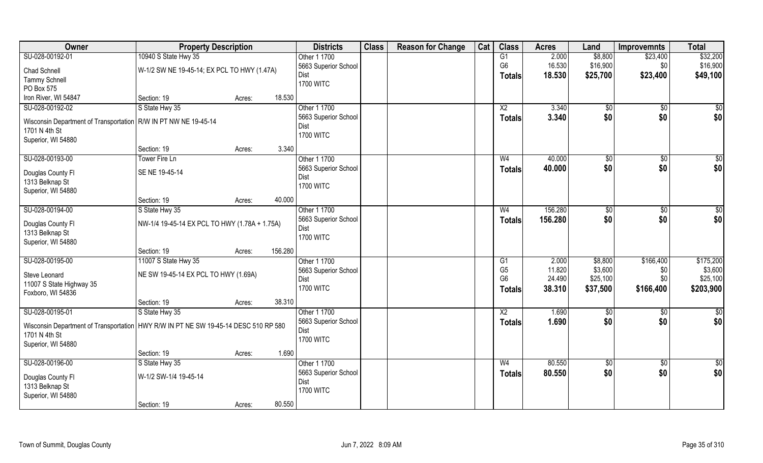| Owner                                                                                 | <b>Property Description</b>                   |                   | <b>Districts</b>     | <b>Class</b> | <b>Reason for Change</b> | Cat | <b>Class</b>    | <b>Acres</b> | Land            | <b>Improvemnts</b> | <b>Total</b>    |
|---------------------------------------------------------------------------------------|-----------------------------------------------|-------------------|----------------------|--------------|--------------------------|-----|-----------------|--------------|-----------------|--------------------|-----------------|
| SU-028-00192-01                                                                       | 10940 S State Hwy 35                          |                   | Other 1 1700         |              |                          |     | G1              | 2.000        | \$8,800         | \$23,400           | \$32,200        |
| <b>Chad Schnell</b>                                                                   | W-1/2 SW NE 19-45-14; EX PCL TO HWY (1.47A)   |                   | 5663 Superior School |              |                          |     | G <sub>6</sub>  | 16.530       | \$16,900        | \$0                | \$16,900        |
| <b>Tammy Schnell</b>                                                                  |                                               |                   | Dist                 |              |                          |     | <b>Totals</b>   | 18.530       | \$25,700        | \$23,400           | \$49,100        |
| PO Box 575                                                                            |                                               |                   | <b>1700 WITC</b>     |              |                          |     |                 |              |                 |                    |                 |
| Iron River, WI 54847                                                                  | Section: 19                                   | 18.530<br>Acres:  |                      |              |                          |     |                 |              |                 |                    |                 |
| SU-028-00192-02                                                                       | S State Hwy 35                                |                   | Other 1 1700         |              |                          |     | $\overline{X2}$ | 3.340        | $\sqrt[6]{}$    | $\overline{50}$    | \$0             |
|                                                                                       |                                               |                   | 5663 Superior School |              |                          |     | <b>Totals</b>   | 3.340        | \$0             | \$0                | \$0             |
| Wisconsin Department of Transportation                                                | R/W IN PT NW NE 19-45-14                      |                   | Dist                 |              |                          |     |                 |              |                 |                    |                 |
| 1701 N 4th St                                                                         |                                               |                   | <b>1700 WITC</b>     |              |                          |     |                 |              |                 |                    |                 |
| Superior, WI 54880                                                                    | Section: 19                                   | Acres:            | 3.340                |              |                          |     |                 |              |                 |                    |                 |
| SU-028-00193-00                                                                       | <b>Tower Fire Ln</b>                          |                   | Other 1 1700         |              |                          |     | W <sub>4</sub>  | 40.000       | \$0             | \$0                | $\overline{50}$ |
|                                                                                       |                                               |                   | 5663 Superior School |              |                          |     |                 | 40.000       | \$0             | \$0                | \$0             |
| Douglas County Fl                                                                     | SE NE 19-45-14                                |                   | Dist                 |              |                          |     | <b>Totals</b>   |              |                 |                    |                 |
| 1313 Belknap St                                                                       |                                               |                   | <b>1700 WITC</b>     |              |                          |     |                 |              |                 |                    |                 |
| Superior, WI 54880                                                                    |                                               |                   |                      |              |                          |     |                 |              |                 |                    |                 |
|                                                                                       | Section: 19                                   | 40.000<br>Acres:  |                      |              |                          |     |                 |              |                 |                    |                 |
| SU-028-00194-00                                                                       | S State Hwy 35                                |                   | Other 1 1700         |              |                          |     | W <sub>4</sub>  | 156.280      | $\frac{1}{20}$  | $\sqrt[6]{3}$      | \$0             |
| Douglas County Fl                                                                     | NW-1/4 19-45-14 EX PCL TO HWY (1.78A + 1.75A) |                   | 5663 Superior School |              |                          |     | <b>Totals</b>   | 156.280      | \$0             | \$0                | \$0             |
| 1313 Belknap St                                                                       |                                               |                   | Dist                 |              |                          |     |                 |              |                 |                    |                 |
| Superior, WI 54880                                                                    |                                               |                   | <b>1700 WITC</b>     |              |                          |     |                 |              |                 |                    |                 |
|                                                                                       | Section: 19                                   | 156.280<br>Acres: |                      |              |                          |     |                 |              |                 |                    |                 |
| SU-028-00195-00                                                                       | 11007 S State Hwy 35                          |                   | Other 1 1700         |              |                          |     | G1              | 2.000        | \$8,800         | \$166,400          | \$175,200       |
| Steve Leonard                                                                         | NE SW 19-45-14 EX PCL TO HWY (1.69A)          |                   | 5663 Superior School |              |                          |     | G <sub>5</sub>  | 11.820       | \$3,600         | \$0                | \$3,600         |
| 11007 S State Highway 35                                                              |                                               |                   | Dist                 |              |                          |     | G <sub>6</sub>  | 24.490       | \$25,100        | \$0                | \$25,100        |
| Foxboro, WI 54836                                                                     |                                               |                   | <b>1700 WITC</b>     |              |                          |     | Totals          | 38.310       | \$37,500        | \$166,400          | \$203,900       |
|                                                                                       | Section: 19                                   | 38.310<br>Acres:  |                      |              |                          |     |                 |              |                 |                    |                 |
| SU-028-00195-01                                                                       | S State Hwy 35                                |                   | Other 1 1700         |              |                          |     | $\overline{X2}$ | 1.690        | \$0             | \$0                | \$0             |
|                                                                                       |                                               |                   | 5663 Superior School |              |                          |     | <b>Totals</b>   | 1.690        | \$0             | \$0                | \$0             |
| Wisconsin Department of Transportation   HWY R/W IN PT NE SW 19-45-14 DESC 510 RP 580 |                                               |                   | Dist                 |              |                          |     |                 |              |                 |                    |                 |
| 1701 N 4th St                                                                         |                                               |                   | <b>1700 WITC</b>     |              |                          |     |                 |              |                 |                    |                 |
| Superior, WI 54880                                                                    | Section: 19                                   |                   | 1.690                |              |                          |     |                 |              |                 |                    |                 |
| SU-028-00196-00                                                                       | S State Hwy 35                                | Acres:            | Other 1 1700         |              |                          |     | W <sub>4</sub>  | 80.550       | $\overline{50}$ | $\sqrt{$0}$        | $\overline{50}$ |
|                                                                                       |                                               |                   | 5663 Superior School |              |                          |     |                 | 80.550       | \$0             | \$0                | \$0             |
| Douglas County Fl                                                                     | W-1/2 SW-1/4 19-45-14                         |                   | Dist                 |              |                          |     | <b>Totals</b>   |              |                 |                    |                 |
| 1313 Belknap St                                                                       |                                               |                   | <b>1700 WITC</b>     |              |                          |     |                 |              |                 |                    |                 |
| Superior, WI 54880                                                                    |                                               |                   |                      |              |                          |     |                 |              |                 |                    |                 |
|                                                                                       | Section: 19                                   | 80.550<br>Acres:  |                      |              |                          |     |                 |              |                 |                    |                 |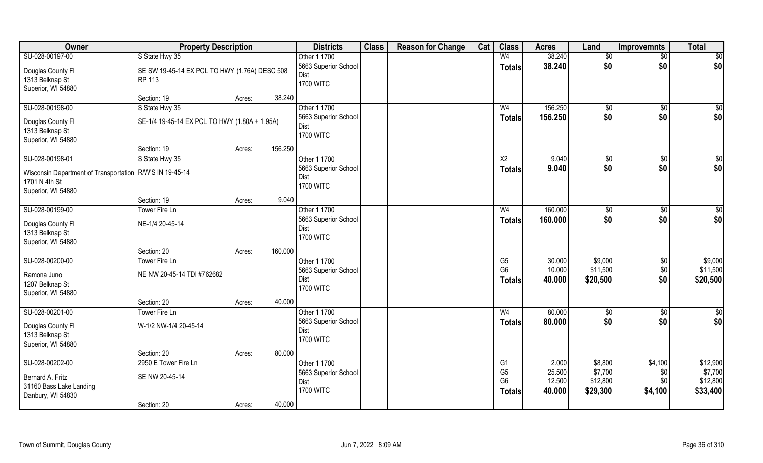| Owner                                                                       | <b>Property Description</b>                   |        |         | <b>Districts</b>     | <b>Class</b> | <b>Reason for Change</b> | Cat | <b>Class</b>           | <b>Acres</b> | Land        | <b>Improvemnts</b> | <b>Total</b>    |
|-----------------------------------------------------------------------------|-----------------------------------------------|--------|---------|----------------------|--------------|--------------------------|-----|------------------------|--------------|-------------|--------------------|-----------------|
| SU-028-00197-00                                                             | S State Hwy 35                                |        |         | Other 1 1700         |              |                          |     | W <sub>4</sub>         | 38.240       | \$0         | $\sqrt{$0}$        | $\overline{50}$ |
| Douglas County Fl                                                           | SE SW 19-45-14 EX PCL TO HWY (1.76A) DESC 508 |        |         | 5663 Superior School |              |                          |     | <b>Totals</b>          | 38.240       | \$0         | \$0                | \$0             |
| 1313 Belknap St                                                             | RP 113                                        |        |         | Dist                 |              |                          |     |                        |              |             |                    |                 |
| Superior, WI 54880                                                          |                                               |        |         | <b>1700 WITC</b>     |              |                          |     |                        |              |             |                    |                 |
|                                                                             | Section: 19                                   | Acres: | 38.240  |                      |              |                          |     |                        |              |             |                    |                 |
| SU-028-00198-00                                                             | S State Hwy 35                                |        |         | Other 1 1700         |              |                          |     | W <sub>4</sub>         | 156.250      | \$0         | $\overline{60}$    | \$0             |
| Douglas County Fl                                                           | SE-1/4 19-45-14 EX PCL TO HWY (1.80A + 1.95A) |        |         | 5663 Superior School |              |                          |     | Totals                 | 156.250      | \$0         | \$0                | \$0             |
| 1313 Belknap St                                                             |                                               |        |         | Dist                 |              |                          |     |                        |              |             |                    |                 |
| Superior, WI 54880                                                          |                                               |        |         | <b>1700 WITC</b>     |              |                          |     |                        |              |             |                    |                 |
|                                                                             | Section: 19                                   | Acres: | 156.250 |                      |              |                          |     |                        |              |             |                    |                 |
| SU-028-00198-01                                                             | S State Hwy 35                                |        |         | Other 1 1700         |              |                          |     | X <sub>2</sub>         | 9.040        | $\sqrt{50}$ | \$0                | $\sqrt{50}$     |
|                                                                             |                                               |        |         | 5663 Superior School |              |                          |     | <b>Totals</b>          | 9.040        | \$0         | \$0                | \$0             |
| Wisconsin Department of Transportation   R/W'S IN 19-45-14<br>1701 N 4th St |                                               |        |         | Dist                 |              |                          |     |                        |              |             |                    |                 |
| Superior, WI 54880                                                          |                                               |        |         | <b>1700 WITC</b>     |              |                          |     |                        |              |             |                    |                 |
|                                                                             | Section: 19                                   | Acres: | 9.040   |                      |              |                          |     |                        |              |             |                    |                 |
| SU-028-00199-00                                                             | Tower Fire Ln                                 |        |         | Other 1 1700         |              |                          |     | W <sub>4</sub>         | 160.000      | \$0         | $\overline{50}$    | $\sqrt{50}$     |
|                                                                             |                                               |        |         | 5663 Superior School |              |                          |     | <b>Totals</b>          | 160.000      | \$0         | \$0                | \$0             |
| Douglas County Fl                                                           | NE-1/4 20-45-14                               |        |         | Dist                 |              |                          |     |                        |              |             |                    |                 |
| 1313 Belknap St                                                             |                                               |        |         | <b>1700 WITC</b>     |              |                          |     |                        |              |             |                    |                 |
| Superior, WI 54880                                                          |                                               |        | 160.000 |                      |              |                          |     |                        |              |             |                    |                 |
| SU-028-00200-00                                                             | Section: 20<br>Tower Fire Ln                  | Acres: |         | Other 1 1700         |              |                          |     | $\overline{\text{G5}}$ | 30.000       | \$9,000     | $\overline{50}$    | \$9,000         |
|                                                                             |                                               |        |         | 5663 Superior School |              |                          |     | G <sub>6</sub>         | 10.000       | \$11,500    | \$0                | \$11,500        |
| Ramona Juno                                                                 | NE NW 20-45-14 TDI #762682                    |        |         | Dist                 |              |                          |     |                        | 40.000       | \$20,500    | \$0                | \$20,500        |
| 1207 Belknap St                                                             |                                               |        |         | <b>1700 WITC</b>     |              |                          |     | <b>Totals</b>          |              |             |                    |                 |
| Superior, WI 54880                                                          |                                               |        |         |                      |              |                          |     |                        |              |             |                    |                 |
|                                                                             | Section: 20                                   | Acres: | 40.000  |                      |              |                          |     |                        |              |             |                    |                 |
| SU-028-00201-00                                                             | Tower Fire Ln                                 |        |         | Other 1 1700         |              |                          |     | W <sub>4</sub>         | 80.000       | \$0         | $\sqrt{$0}$        | \$0             |
| Douglas County Fl                                                           | W-1/2 NW-1/4 20-45-14                         |        |         | 5663 Superior School |              |                          |     | <b>Totals</b>          | 80.000       | \$0         | \$0                | \$0             |
| 1313 Belknap St                                                             |                                               |        |         | Dist                 |              |                          |     |                        |              |             |                    |                 |
| Superior, WI 54880                                                          |                                               |        |         | <b>1700 WITC</b>     |              |                          |     |                        |              |             |                    |                 |
|                                                                             | Section: 20                                   | Acres: | 80.000  |                      |              |                          |     |                        |              |             |                    |                 |
| SU-028-00202-00                                                             | 2950 E Tower Fire Ln                          |        |         | Other 1 1700         |              |                          |     | G1                     | 2.000        | \$8,800     | \$4,100            | \$12,900        |
| Bernard A. Fritz                                                            | SE NW 20-45-14                                |        |         | 5663 Superior School |              |                          |     | G <sub>5</sub>         | 25.500       | \$7,700     | \$0                | \$7,700         |
| 31160 Bass Lake Landing                                                     |                                               |        |         | Dist                 |              |                          |     | G <sub>6</sub>         | 12.500       | \$12,800    | \$0                | \$12,800        |
| Danbury, WI 54830                                                           |                                               |        |         | <b>1700 WITC</b>     |              |                          |     | Totals                 | 40.000       | \$29,300    | \$4,100            | \$33,400        |
|                                                                             | Section: 20                                   | Acres: | 40.000  |                      |              |                          |     |                        |              |             |                    |                 |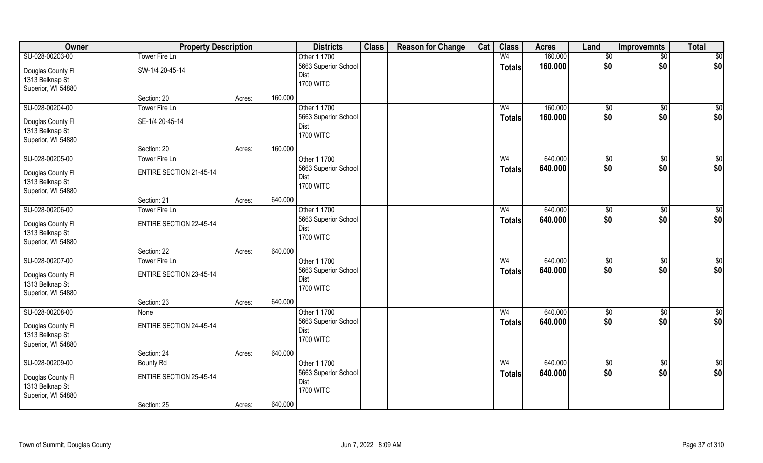| Owner                                | <b>Property Description</b>    |        |         | <b>Districts</b>     | <b>Class</b> | <b>Reason for Change</b> | Cat | <b>Class</b>   | <b>Acres</b> | Land            | Improvemnts     | <b>Total</b>    |
|--------------------------------------|--------------------------------|--------|---------|----------------------|--------------|--------------------------|-----|----------------|--------------|-----------------|-----------------|-----------------|
| SU-028-00203-00                      | Tower Fire Ln                  |        |         | Other 1 1700         |              |                          |     | W <sub>4</sub> | 160.000      | $\sqrt[6]{}$    | $\overline{50}$ | \$0             |
| Douglas County Fl                    | SW-1/4 20-45-14                |        |         | 5663 Superior School |              |                          |     | <b>Totals</b>  | 160,000      | \$0             | \$0             | \$0             |
| 1313 Belknap St                      |                                |        |         | Dist                 |              |                          |     |                |              |                 |                 |                 |
| Superior, WI 54880                   |                                |        |         | <b>1700 WITC</b>     |              |                          |     |                |              |                 |                 |                 |
|                                      | Section: 20                    | Acres: | 160.000 |                      |              |                          |     |                |              |                 |                 |                 |
| SU-028-00204-00                      | Tower Fire Ln                  |        |         | Other 1 1700         |              |                          |     | W <sub>4</sub> | 160.000      | \$0             | \$0             | $\sqrt{50}$     |
| Douglas County Fl                    | SE-1/4 20-45-14                |        |         | 5663 Superior School |              |                          |     | <b>Totals</b>  | 160.000      | \$0             | \$0             | \$0             |
| 1313 Belknap St                      |                                |        |         | Dist                 |              |                          |     |                |              |                 |                 |                 |
| Superior, WI 54880                   |                                |        |         | <b>1700 WITC</b>     |              |                          |     |                |              |                 |                 |                 |
|                                      | Section: 20                    | Acres: | 160.000 |                      |              |                          |     |                |              |                 |                 |                 |
| SU-028-00205-00                      | Tower Fire Ln                  |        |         | Other 1 1700         |              |                          |     | W <sub>4</sub> | 640.000      | \$0             | $\sqrt[6]{3}$   | \$0             |
| Douglas County FI                    | <b>ENTIRE SECTION 21-45-14</b> |        |         | 5663 Superior School |              |                          |     | <b>Totals</b>  | 640.000      | \$0             | \$0             | \$0             |
| 1313 Belknap St                      |                                |        |         | Dist                 |              |                          |     |                |              |                 |                 |                 |
| Superior, WI 54880                   |                                |        |         | <b>1700 WITC</b>     |              |                          |     |                |              |                 |                 |                 |
|                                      | Section: 21                    | Acres: | 640.000 |                      |              |                          |     |                |              |                 |                 |                 |
| SU-028-00206-00                      | Tower Fire Ln                  |        |         | Other 1 1700         |              |                          |     | W <sub>4</sub> | 640.000      | $\frac{1}{20}$  | \$0             | \$0             |
| Douglas County Fl                    | <b>ENTIRE SECTION 22-45-14</b> |        |         | 5663 Superior School |              |                          |     | <b>Totals</b>  | 640.000      | \$0             | \$0             | \$0             |
| 1313 Belknap St                      |                                |        |         | Dist                 |              |                          |     |                |              |                 |                 |                 |
| Superior, WI 54880                   |                                |        |         | <b>1700 WITC</b>     |              |                          |     |                |              |                 |                 |                 |
|                                      | Section: 22                    | Acres: | 640.000 |                      |              |                          |     |                |              |                 |                 |                 |
| SU-028-00207-00                      | Tower Fire Ln                  |        |         | Other 1 1700         |              |                          |     | W <sub>4</sub> | 640.000      | \$0             | \$0             | \$0             |
| Douglas County Fl                    | <b>ENTIRE SECTION 23-45-14</b> |        |         | 5663 Superior School |              |                          |     | <b>Totals</b>  | 640.000      | \$0             | \$0             | \$0             |
| 1313 Belknap St                      |                                |        |         | Dist                 |              |                          |     |                |              |                 |                 |                 |
| Superior, WI 54880                   |                                |        |         | <b>1700 WITC</b>     |              |                          |     |                |              |                 |                 |                 |
|                                      | Section: 23                    | Acres: | 640.000 |                      |              |                          |     |                |              |                 |                 |                 |
| SU-028-00208-00                      | None                           |        |         | Other 1 1700         |              |                          |     | W <sub>4</sub> | 640.000      | $\sqrt{6}$      | \$0             | $\overline{50}$ |
|                                      | <b>ENTIRE SECTION 24-45-14</b> |        |         | 5663 Superior School |              |                          |     | <b>Totals</b>  | 640.000      | \$0             | \$0             | \$0             |
| Douglas County Fl<br>1313 Belknap St |                                |        |         | Dist                 |              |                          |     |                |              |                 |                 |                 |
| Superior, WI 54880                   |                                |        |         | <b>1700 WITC</b>     |              |                          |     |                |              |                 |                 |                 |
|                                      | Section: 24                    | Acres: | 640.000 |                      |              |                          |     |                |              |                 |                 |                 |
| SU-028-00209-00                      | <b>Bounty Rd</b>               |        |         | Other 1 1700         |              |                          |     | W <sub>4</sub> | 640.000      | $\overline{50}$ | $\sqrt{$0}$     | $\overline{50}$ |
|                                      |                                |        |         | 5663 Superior School |              |                          |     | <b>Totals</b>  | 640.000      | \$0             | \$0             | \$0             |
| Douglas County Fl<br>1313 Belknap St | <b>ENTIRE SECTION 25-45-14</b> |        |         | Dist                 |              |                          |     |                |              |                 |                 |                 |
| Superior, WI 54880                   |                                |        |         | <b>1700 WITC</b>     |              |                          |     |                |              |                 |                 |                 |
|                                      | Section: 25                    | Acres: | 640.000 |                      |              |                          |     |                |              |                 |                 |                 |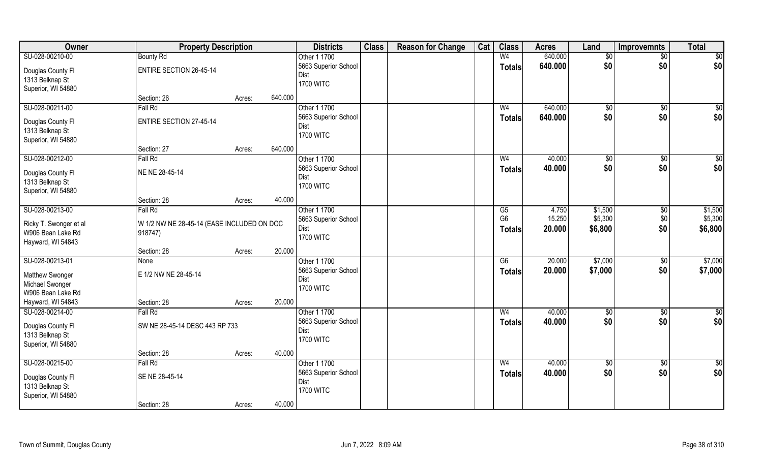| Owner                  | <b>Property Description</b>                |                   | <b>Districts</b>         | <b>Class</b> | <b>Reason for Change</b> | Cat | <b>Class</b>    | <b>Acres</b> | Land           | <b>Improvemnts</b> | <b>Total</b>     |
|------------------------|--------------------------------------------|-------------------|--------------------------|--------------|--------------------------|-----|-----------------|--------------|----------------|--------------------|------------------|
| SU-028-00210-00        | <b>Bounty Rd</b>                           |                   | Other 1 1700             |              |                          |     | W <sub>4</sub>  | 640.000      | $\sqrt[6]{}$   | $\overline{50}$    | \$0              |
| Douglas County Fl      | <b>ENTIRE SECTION 26-45-14</b>             |                   | 5663 Superior School     |              |                          |     | <b>Totals</b>   | 640.000      | \$0            | \$0                | \$0              |
| 1313 Belknap St        |                                            |                   | Dist                     |              |                          |     |                 |              |                |                    |                  |
| Superior, WI 54880     |                                            |                   | <b>1700 WITC</b>         |              |                          |     |                 |              |                |                    |                  |
|                        | Section: 26                                | 640.000<br>Acres: |                          |              |                          |     |                 |              |                |                    |                  |
| SU-028-00211-00        | Fall Rd                                    |                   | Other 1 1700             |              |                          |     | W <sub>4</sub>  | 640.000      | $\sqrt[6]{30}$ | $\sqrt{6}$         | $\overline{\$0}$ |
| Douglas County Fl      | <b>ENTIRE SECTION 27-45-14</b>             |                   | 5663 Superior School     |              |                          |     | <b>Totals</b>   | 640.000      | \$0            | \$0                | \$0              |
| 1313 Belknap St        |                                            |                   | Dist<br><b>1700 WITC</b> |              |                          |     |                 |              |                |                    |                  |
| Superior, WI 54880     |                                            |                   |                          |              |                          |     |                 |              |                |                    |                  |
|                        | Section: 27                                | 640.000<br>Acres: |                          |              |                          |     |                 |              |                |                    |                  |
| SU-028-00212-00        | Fall Rd                                    |                   | Other 1 1700             |              |                          |     | W <sub>4</sub>  | 40.000       | \$0            | $\sqrt[6]{3}$      | \$0              |
| Douglas County Fl      | NE NE 28-45-14                             |                   | 5663 Superior School     |              |                          |     | <b>Totals</b>   | 40.000       | \$0            | \$0                | \$0              |
| 1313 Belknap St        |                                            |                   | Dist<br><b>1700 WITC</b> |              |                          |     |                 |              |                |                    |                  |
| Superior, WI 54880     |                                            |                   |                          |              |                          |     |                 |              |                |                    |                  |
|                        | Section: 28                                | 40.000<br>Acres:  |                          |              |                          |     |                 |              |                |                    |                  |
| SU-028-00213-00        | Fall Rd                                    |                   | Other 1 1700             |              |                          |     | G5              | 4.750        | \$1,500        | \$0                | \$1,500          |
| Ricky T. Swonger et al | W 1/2 NW NE 28-45-14 (EASE INCLUDED ON DOC |                   | 5663 Superior School     |              |                          |     | G <sub>6</sub>  | 15.250       | \$5,300        | \$0                | \$5,300          |
| W906 Bean Lake Rd      | 918747)                                    |                   | Dist<br><b>1700 WITC</b> |              |                          |     | <b>Totals</b>   | 20.000       | \$6,800        | \$0                | \$6,800          |
| Hayward, WI 54843      |                                            |                   |                          |              |                          |     |                 |              |                |                    |                  |
|                        | Section: 28                                | 20.000<br>Acres:  |                          |              |                          |     |                 |              |                |                    |                  |
| SU-028-00213-01        | None                                       |                   | Other 1 1700             |              |                          |     | $\overline{G6}$ | 20.000       | \$7,000        | $\sqrt[6]{3}$      | \$7,000          |
| Matthew Swonger        | E 1/2 NW NE 28-45-14                       |                   | 5663 Superior School     |              |                          |     | <b>Totals</b>   | 20.000       | \$7,000        | \$0                | \$7,000          |
| Michael Swonger        |                                            |                   | Dist<br><b>1700 WITC</b> |              |                          |     |                 |              |                |                    |                  |
| W906 Bean Lake Rd      |                                            |                   |                          |              |                          |     |                 |              |                |                    |                  |
| Hayward, WI 54843      | Section: 28                                | 20.000<br>Acres:  |                          |              |                          |     |                 |              |                |                    |                  |
| SU-028-00214-00        | Fall Rd                                    |                   | Other 1 1700             |              |                          |     | W <sub>4</sub>  | 40.000       | \$0            | \$0                | \$0              |
| Douglas County Fl      | SW NE 28-45-14 DESC 443 RP 733             |                   | 5663 Superior School     |              |                          |     | <b>Totals</b>   | 40.000       | \$0            | \$0                | \$0              |
| 1313 Belknap St        |                                            |                   | Dist<br><b>1700 WITC</b> |              |                          |     |                 |              |                |                    |                  |
| Superior, WI 54880     |                                            |                   |                          |              |                          |     |                 |              |                |                    |                  |
|                        | Section: 28                                | 40.000<br>Acres:  |                          |              |                          |     |                 |              |                |                    |                  |
| SU-028-00215-00        | Fall Rd                                    |                   | Other 1 1700             |              |                          |     | W <sub>4</sub>  | 40.000       | $\sqrt{6}$     | $\sqrt{$0}$        | $\overline{50}$  |
| Douglas County Fl      | SE NE 28-45-14                             |                   | 5663 Superior School     |              |                          |     | <b>Totals</b>   | 40.000       | \$0            | \$0                | \$0              |
| 1313 Belknap St        |                                            |                   | Dist<br><b>1700 WITC</b> |              |                          |     |                 |              |                |                    |                  |
| Superior, WI 54880     |                                            |                   |                          |              |                          |     |                 |              |                |                    |                  |
|                        | Section: 28                                | 40.000<br>Acres:  |                          |              |                          |     |                 |              |                |                    |                  |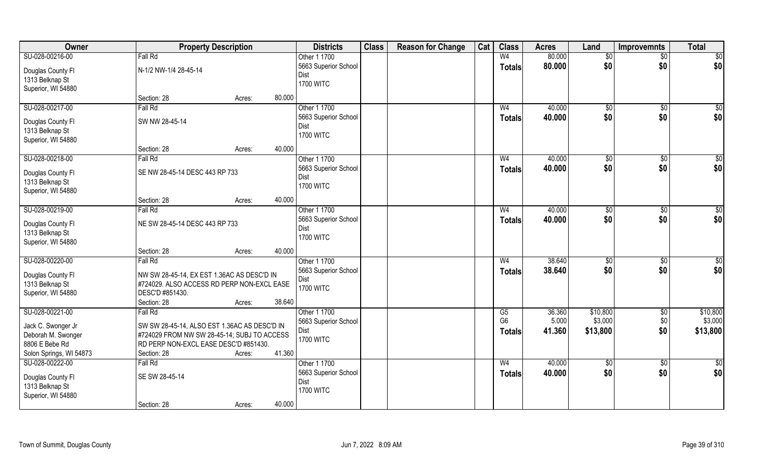| Owner                                | <b>Property Description</b>                  |        |        | <b>Districts</b>         | <b>Class</b> | <b>Reason for Change</b> | Cat | <b>Class</b>   | <b>Acres</b> | Land       | <b>Improvemnts</b> | <b>Total</b>    |
|--------------------------------------|----------------------------------------------|--------|--------|--------------------------|--------------|--------------------------|-----|----------------|--------------|------------|--------------------|-----------------|
| SU-028-00216-00                      | Fall Rd                                      |        |        | Other 1 1700             |              |                          |     | W <sub>4</sub> | 80.000       | \$0        | $\sqrt{$0}$        | $\overline{50}$ |
| Douglas County Fl                    | N-1/2 NW-1/4 28-45-14                        |        |        | 5663 Superior School     |              |                          |     | <b>Totals</b>  | 80.000       | \$0        | \$0                | \$0             |
| 1313 Belknap St                      |                                              |        |        | Dist                     |              |                          |     |                |              |            |                    |                 |
| Superior, WI 54880                   |                                              |        |        | <b>1700 WITC</b>         |              |                          |     |                |              |            |                    |                 |
|                                      | Section: 28                                  | Acres: | 80.000 |                          |              |                          |     |                |              |            |                    |                 |
| SU-028-00217-00                      | Fall Rd                                      |        |        | Other 1 1700             |              |                          |     | W <sub>4</sub> | 40.000       | \$0        | \$0                | \$0             |
|                                      | SW NW 28-45-14                               |        |        | 5663 Superior School     |              |                          |     | Totals         | 40.000       | \$0        | \$0                | \$0             |
| Douglas County Fl<br>1313 Belknap St |                                              |        |        | Dist                     |              |                          |     |                |              |            |                    |                 |
| Superior, WI 54880                   |                                              |        |        | <b>1700 WITC</b>         |              |                          |     |                |              |            |                    |                 |
|                                      | Section: 28                                  | Acres: | 40.000 |                          |              |                          |     |                |              |            |                    |                 |
| SU-028-00218-00                      | Fall Rd                                      |        |        | Other 1 1700             |              |                          |     | W <sub>4</sub> | 40.000       | \$0        | $\sqrt[6]{3}$      | \$0             |
|                                      |                                              |        |        | 5663 Superior School     |              |                          |     | <b>Totals</b>  | 40.000       | \$0        | \$0                | \$0             |
| Douglas County Fl                    | SE NW 28-45-14 DESC 443 RP 733               |        |        | Dist                     |              |                          |     |                |              |            |                    |                 |
| 1313 Belknap St                      |                                              |        |        | <b>1700 WITC</b>         |              |                          |     |                |              |            |                    |                 |
| Superior, WI 54880                   |                                              |        |        |                          |              |                          |     |                |              |            |                    |                 |
|                                      | Section: 28                                  | Acres: | 40.000 |                          |              |                          |     |                |              |            |                    |                 |
| SU-028-00219-00                      | Fall Rd                                      |        |        | Other 1 1700             |              |                          |     | W <sub>4</sub> | 40.000       | \$0        | $\sqrt[6]{3}$      | \$0             |
| Douglas County Fl                    | NE SW 28-45-14 DESC 443 RP 733               |        |        | 5663 Superior School     |              |                          |     | <b>Totals</b>  | 40.000       | \$0        | \$0                | \$0             |
| 1313 Belknap St                      |                                              |        |        | Dist                     |              |                          |     |                |              |            |                    |                 |
| Superior, WI 54880                   |                                              |        |        | <b>1700 WITC</b>         |              |                          |     |                |              |            |                    |                 |
|                                      | Section: 28                                  | Acres: | 40.000 |                          |              |                          |     |                |              |            |                    |                 |
| SU-028-00220-00                      | Fall Rd                                      |        |        | Other 1 1700             |              |                          |     | W <sub>4</sub> | 38.640       | \$0        | $\overline{50}$    | $\overline{50}$ |
| Douglas County Fl                    | NW SW 28-45-14, EX EST 1.36AC AS DESC'D IN   |        |        | 5663 Superior School     |              |                          |     | <b>Totals</b>  | 38.640       | \$0        | \$0                | \$0             |
| 1313 Belknap St                      | #724029. ALSO ACCESS RD PERP NON-EXCL EASE   |        |        | Dist                     |              |                          |     |                |              |            |                    |                 |
| Superior, WI 54880                   | DESC'D #851430.                              |        |        | <b>1700 WITC</b>         |              |                          |     |                |              |            |                    |                 |
|                                      | Section: 28                                  | Acres: | 38.640 |                          |              |                          |     |                |              |            |                    |                 |
| SU-028-00221-00                      | Fall Rd                                      |        |        | Other 1 1700             |              |                          |     | G5             | 36.360       | \$10,800   | $\sqrt{$0}$        | \$10,800        |
|                                      |                                              |        |        | 5663 Superior School     |              |                          |     | G <sub>6</sub> | 5.000        | \$3,000    | \$0                | \$3,000         |
| Jack C. Swonger Jr                   | SW SW 28-45-14, ALSO EST 1.36AC AS DESC'D IN |        |        | Dist                     |              |                          |     | <b>Totals</b>  | 41.360       | \$13,800   | \$0                | \$13,800        |
| Deborah M. Swonger                   | #724029 FROM NW SW 28-45-14; SUBJ TO ACCESS  |        |        | <b>1700 WITC</b>         |              |                          |     |                |              |            |                    |                 |
| 8806 E Bebe Rd                       | RD PERP NON-EXCL EASE DESC'D #851430.        |        |        |                          |              |                          |     |                |              |            |                    |                 |
| Solon Springs, WI 54873              | Section: 28                                  | Acres: | 41.360 |                          |              |                          |     |                |              |            |                    |                 |
| SU-028-00222-00                      | Fall Rd                                      |        |        | Other 1 1700             |              |                          |     | W <sub>4</sub> | 40.000       | $\sqrt{6}$ | $\sqrt{$0}$        | $\overline{50}$ |
| Douglas County Fl                    | SE SW 28-45-14                               |        |        | 5663 Superior School     |              |                          |     | <b>Totals</b>  | 40.000       | \$0        | \$0                | \$0             |
| 1313 Belknap St                      |                                              |        |        | Dist<br><b>1700 WITC</b> |              |                          |     |                |              |            |                    |                 |
| Superior, WI 54880                   |                                              |        |        |                          |              |                          |     |                |              |            |                    |                 |
|                                      | Section: 28                                  | Acres: | 40.000 |                          |              |                          |     |                |              |            |                    |                 |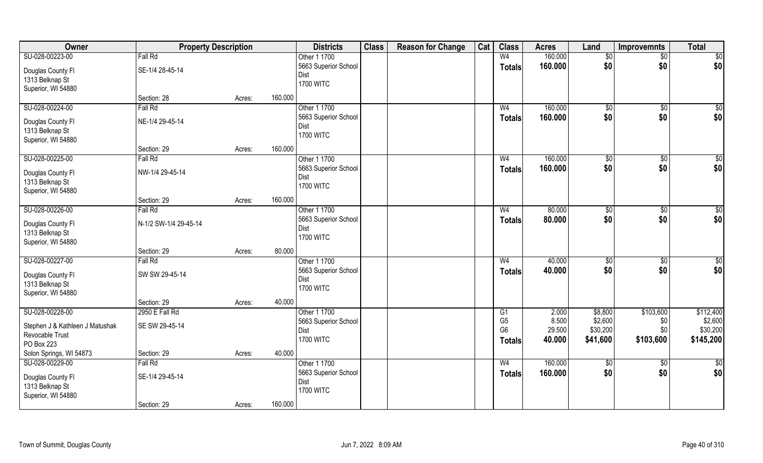| SU-028-00223-00<br>W <sub>4</sub><br>160.000<br>Fall Rd<br>Other 1 1700<br>$\sqrt{$0}$<br>\$0<br>\$0<br>\$0<br>160.000<br>5663 Superior School<br>Totals<br>SE-1/4 28-45-14<br>Douglas County Fl<br>Dist<br>1313 Belknap St | Owner | <b>Property Description</b> |                  | <b>Districts</b> | <b>Class</b> | <b>Reason for Change</b> | Cat | <b>Class</b> | <b>Acres</b> | Land | <b>Improvemnts</b> | <b>Total</b>    |
|-----------------------------------------------------------------------------------------------------------------------------------------------------------------------------------------------------------------------------|-------|-----------------------------|------------------|------------------|--------------|--------------------------|-----|--------------|--------------|------|--------------------|-----------------|
|                                                                                                                                                                                                                             |       |                             |                  |                  |              |                          |     |              |              |      |                    | $\overline{50}$ |
|                                                                                                                                                                                                                             |       |                             |                  |                  |              |                          |     |              |              |      |                    | \$0             |
|                                                                                                                                                                                                                             |       |                             |                  |                  |              |                          |     |              |              |      |                    |                 |
| Superior, WI 54880                                                                                                                                                                                                          |       |                             | <b>1700 WITC</b> |                  |              |                          |     |              |              |      |                    |                 |
| 160.000<br>Section: 28<br>Acres:                                                                                                                                                                                            |       |                             |                  |                  |              |                          |     |              |              |      |                    |                 |
| SU-028-00224-00<br>Other 1 1700<br>160.000<br>Fall Rd<br>W <sub>4</sub><br>\$0<br>\$0                                                                                                                                       |       |                             |                  |                  |              |                          |     |              |              |      |                    | \$0             |
| \$0<br>\$0<br>5663 Superior School<br>160.000<br>Totals<br>NE-1/4 29-45-14<br>Douglas County Fl                                                                                                                             |       |                             |                  |                  |              |                          |     |              |              |      |                    | \$0             |
| Dist<br>1313 Belknap St                                                                                                                                                                                                     |       |                             |                  |                  |              |                          |     |              |              |      |                    |                 |
| <b>1700 WITC</b><br>Superior, WI 54880                                                                                                                                                                                      |       |                             |                  |                  |              |                          |     |              |              |      |                    |                 |
| 160.000<br>Section: 29<br>Acres:                                                                                                                                                                                            |       |                             |                  |                  |              |                          |     |              |              |      |                    |                 |
| SU-028-00225-00<br>160.000<br>Fall Rd<br>Other 1 1700<br>W <sub>4</sub><br>\$0<br>\$0                                                                                                                                       |       |                             |                  |                  |              |                          |     |              |              |      |                    | \$0             |
| \$0<br>\$0<br>5663 Superior School<br>160.000<br><b>Totals</b>                                                                                                                                                              |       |                             |                  |                  |              |                          |     |              |              |      |                    | \$0             |
| NW-1/4 29-45-14<br>Douglas County Fl<br>Dist                                                                                                                                                                                |       |                             |                  |                  |              |                          |     |              |              |      |                    |                 |
| 1313 Belknap St<br><b>1700 WITC</b>                                                                                                                                                                                         |       |                             |                  |                  |              |                          |     |              |              |      |                    |                 |
| Superior, WI 54880<br>160.000<br>Section: 29<br>Acres:                                                                                                                                                                      |       |                             |                  |                  |              |                          |     |              |              |      |                    |                 |
| SU-028-00226-00<br>Other 1 1700<br>80.000<br>Fall Rd<br>\$0<br>W <sub>4</sub>                                                                                                                                               |       |                             |                  |                  |              |                          |     |              |              |      |                    | $\sqrt{50}$     |
| \$0<br>\$0<br>5663 Superior School<br>80.000<br>\$0                                                                                                                                                                         |       |                             |                  |                  |              |                          |     |              |              |      |                    |                 |
| <b>Totals</b><br>N-1/2 SW-1/4 29-45-14<br>Douglas County Fl<br>Dist                                                                                                                                                         |       |                             |                  |                  |              |                          |     |              |              |      |                    | \$0             |
| 1313 Belknap St<br><b>1700 WITC</b>                                                                                                                                                                                         |       |                             |                  |                  |              |                          |     |              |              |      |                    |                 |
| Superior, WI 54880                                                                                                                                                                                                          |       |                             |                  |                  |              |                          |     |              |              |      |                    |                 |
| 80.000<br>Section: 29<br>Acres:                                                                                                                                                                                             |       |                             |                  |                  |              |                          |     |              |              |      |                    |                 |
| SU-028-00227-00<br>40.000<br>Fall Rd<br>Other 1 1700<br>W <sub>4</sub><br>$\sqrt{50}$<br>$\overline{50}$                                                                                                                    |       |                             |                  |                  |              |                          |     |              |              |      |                    | $\sqrt{50}$     |
| 40.000<br>\$0<br>\$0<br>5663 Superior School<br><b>Totals</b><br>Douglas County Fl<br>SW SW 29-45-14                                                                                                                        |       |                             |                  |                  |              |                          |     |              |              |      |                    | \$0             |
| Dist<br>1313 Belknap St                                                                                                                                                                                                     |       |                             |                  |                  |              |                          |     |              |              |      |                    |                 |
| <b>1700 WITC</b><br>Superior, WI 54880                                                                                                                                                                                      |       |                             |                  |                  |              |                          |     |              |              |      |                    |                 |
| 40.000<br>Section: 29<br>Acres:                                                                                                                                                                                             |       |                             |                  |                  |              |                          |     |              |              |      |                    |                 |
| SU-028-00228-00<br>2950 E Fall Rd<br>Other 1 1700<br>\$8,800<br>\$103,600<br>2.000<br>G1                                                                                                                                    |       |                             |                  |                  |              |                          |     |              |              |      |                    | \$112,400       |
| G <sub>5</sub><br>8.500<br>\$2,600<br>\$0<br>5663 Superior School<br>Stephen J & Kathleen J Matushak<br>SE SW 29-45-14                                                                                                      |       |                             |                  |                  |              |                          |     |              |              |      |                    | \$2,600         |
| G <sub>6</sub><br>29.500<br>\$0<br>\$30,200<br>Dist<br>Revocable Trust                                                                                                                                                      |       |                             |                  |                  |              |                          |     |              |              |      |                    | \$30,200        |
| <b>1700 WITC</b><br>40.000<br>\$103,600<br>\$41,600<br>Totals<br>PO Box 223                                                                                                                                                 |       |                             |                  |                  |              |                          |     |              |              |      |                    | \$145,200       |
| Solon Springs, WI 54873<br>40.000<br>Section: 29<br>Acres:                                                                                                                                                                  |       |                             |                  |                  |              |                          |     |              |              |      |                    |                 |
| SU-028-00229-00<br>Other 1 1700<br>160.000<br>Fall Rd<br>W <sub>4</sub><br>$\sqrt{50}$<br>$\sqrt{$0}$                                                                                                                       |       |                             |                  |                  |              |                          |     |              |              |      |                    | $\overline{50}$ |
| 5663 Superior School<br>\$0<br>\$0<br>160.000<br><b>Totals</b><br>SE-1/4 29-45-14                                                                                                                                           |       |                             |                  |                  |              |                          |     |              |              |      |                    | \$0             |
| Douglas County Fl<br>Dist<br>1313 Belknap St                                                                                                                                                                                |       |                             |                  |                  |              |                          |     |              |              |      |                    |                 |
| <b>1700 WITC</b><br>Superior, WI 54880                                                                                                                                                                                      |       |                             |                  |                  |              |                          |     |              |              |      |                    |                 |
| 160.000<br>Section: 29<br>Acres:                                                                                                                                                                                            |       |                             |                  |                  |              |                          |     |              |              |      |                    |                 |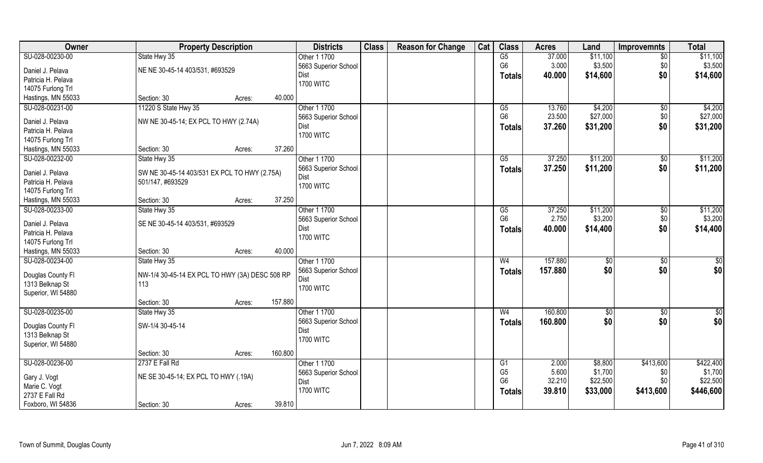| Owner              | <b>Property Description</b>                    | <b>Districts</b>             | <b>Class</b> | <b>Reason for Change</b> | Cat | <b>Class</b>    | <b>Acres</b> | Land       | <b>Improvemnts</b> | <b>Total</b>    |
|--------------------|------------------------------------------------|------------------------------|--------------|--------------------------|-----|-----------------|--------------|------------|--------------------|-----------------|
| SU-028-00230-00    | State Hwy 35                                   | Other 1 1700                 |              |                          |     | G5              | 37.000       | \$11,100   | $\overline{50}$    | \$11,100        |
| Daniel J. Pelava   | NE NE 30-45-14 403/531, #693529                | 5663 Superior School         |              |                          |     | G <sub>6</sub>  | 3.000        | \$3,500    | \$0                | \$3,500         |
| Patricia H. Pelava |                                                | Dist                         |              |                          |     | <b>Totals</b>   | 40.000       | \$14,600   | \$0                | \$14,600        |
| 14075 Furlong Trl  |                                                | <b>1700 WITC</b>             |              |                          |     |                 |              |            |                    |                 |
| Hastings, MN 55033 | 40.000<br>Section: 30<br>Acres:                |                              |              |                          |     |                 |              |            |                    |                 |
| SU-028-00231-00    | 11220 S State Hwy 35                           | Other 1 1700                 |              |                          |     | $\overline{G5}$ | 13.760       | \$4,200    | \$0                | \$4,200         |
|                    |                                                |                              |              |                          |     | G <sub>6</sub>  | 23.500       | \$27,000   |                    | \$27,000        |
| Daniel J. Pelava   | NW NE 30-45-14; EX PCL TO HWY (2.74A)          | 5663 Superior School<br>Dist |              |                          |     |                 |              |            | \$0                |                 |
| Patricia H. Pelava |                                                |                              |              |                          |     | <b>Totals</b>   | 37.260       | \$31,200   | \$0                | \$31,200        |
| 14075 Furlong Trl  |                                                | <b>1700 WITC</b>             |              |                          |     |                 |              |            |                    |                 |
| Hastings, MN 55033 | 37.260<br>Section: 30<br>Acres:                |                              |              |                          |     |                 |              |            |                    |                 |
| SU-028-00232-00    | State Hwy 35                                   | Other 1 1700                 |              |                          |     | $\overline{G5}$ | 37.250       | \$11,200   | $\sqrt[6]{3}$      | \$11,200        |
|                    |                                                | 5663 Superior School         |              |                          |     | <b>Totals</b>   | 37.250       | \$11,200   | \$0                | \$11,200        |
| Daniel J. Pelava   | SW NE 30-45-14 403/531 EX PCL TO HWY (2.75A)   | Dist                         |              |                          |     |                 |              |            |                    |                 |
| Patricia H. Pelava | 501/147, #693529                               | <b>1700 WITC</b>             |              |                          |     |                 |              |            |                    |                 |
| 14075 Furlong Trl  |                                                |                              |              |                          |     |                 |              |            |                    |                 |
| Hastings, MN 55033 | 37.250<br>Section: 30<br>Acres:                |                              |              |                          |     |                 |              |            |                    |                 |
| SU-028-00233-00    | State Hwy 35                                   | Other 1 1700                 |              |                          |     | G5              | 37.250       | \$11,200   | $\sqrt[6]{3}$      | \$11,200        |
| Daniel J. Pelava   | SE NE 30-45-14 403/531, #693529                | 5663 Superior School         |              |                          |     | G <sub>6</sub>  | 2.750        | \$3,200    | \$0                | \$3,200         |
| Patricia H. Pelava |                                                | Dist                         |              |                          |     | <b>Totals</b>   | 40.000       | \$14,400   | \$0                | \$14,400        |
| 14075 Furlong Trl  |                                                | <b>1700 WITC</b>             |              |                          |     |                 |              |            |                    |                 |
| Hastings, MN 55033 | Section: 30<br>40.000                          |                              |              |                          |     |                 |              |            |                    |                 |
| SU-028-00234-00    | Acres:                                         |                              |              |                          |     | W <sub>4</sub>  | 157.880      |            |                    |                 |
|                    | State Hwy 35                                   | Other 1 1700                 |              |                          |     |                 |              | \$0        | \$0                | $\overline{50}$ |
| Douglas County Fl  | NW-1/4 30-45-14 EX PCL TO HWY (3A) DESC 508 RP | 5663 Superior School         |              |                          |     | <b>Totals</b>   | 157.880      | \$0        | \$0                | \$0             |
| 1313 Belknap St    | 113                                            | Dist                         |              |                          |     |                 |              |            |                    |                 |
| Superior, WI 54880 |                                                | <b>1700 WITC</b>             |              |                          |     |                 |              |            |                    |                 |
|                    | 157.880<br>Section: 30<br>Acres:               |                              |              |                          |     |                 |              |            |                    |                 |
| SU-028-00235-00    | State Hwy 35                                   | Other 1 1700                 |              |                          |     | W <sub>4</sub>  | 160.800      | $\sqrt{6}$ | \$0                | $\frac{6}{3}$   |
|                    |                                                | 5663 Superior School         |              |                          |     | <b>Totals</b>   | 160.800      | \$0        | \$0                | \$0             |
| Douglas County Fl  | SW-1/4 30-45-14                                | Dist                         |              |                          |     |                 |              |            |                    |                 |
| 1313 Belknap St    |                                                | <b>1700 WITC</b>             |              |                          |     |                 |              |            |                    |                 |
| Superior, WI 54880 |                                                |                              |              |                          |     |                 |              |            |                    |                 |
|                    | 160.800<br>Section: 30<br>Acres:               |                              |              |                          |     |                 |              |            |                    |                 |
| SU-028-00236-00    | 2737 E Fall Rd                                 | Other 1 1700                 |              |                          |     | G1              | 2.000        | \$8,800    | \$413,600          | \$422,400       |
| Gary J. Vogt       | NE SE 30-45-14; EX PCL TO HWY (.19A)           | 5663 Superior School         |              |                          |     | G <sub>5</sub>  | 5.600        | \$1,700    | \$0                | \$1,700         |
| Marie C. Vogt      |                                                | Dist                         |              |                          |     | G <sub>6</sub>  | 32.210       | \$22,500   | \$0                | \$22,500        |
| 2737 E Fall Rd     |                                                | <b>1700 WITC</b>             |              |                          |     | <b>Totals</b>   | 39.810       | \$33,000   | \$413,600          | \$446,600       |
| Foxboro, WI 54836  | 39.810<br>Section: 30                          |                              |              |                          |     |                 |              |            |                    |                 |
|                    | Acres:                                         |                              |              |                          |     |                 |              |            |                    |                 |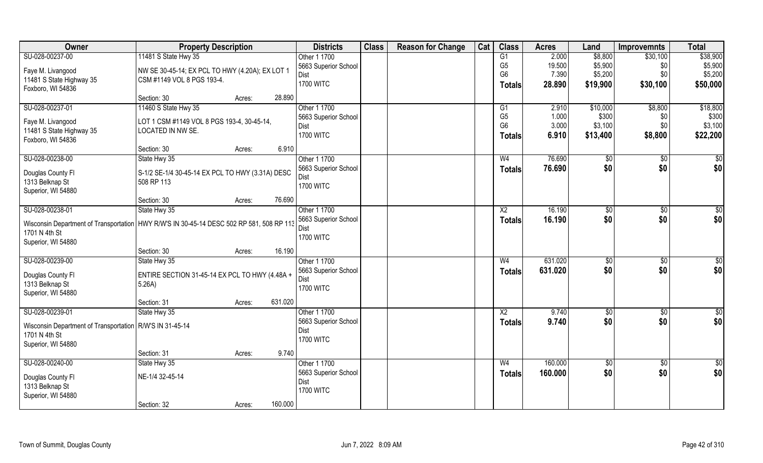| Owner                                                                                      | <b>Property Description</b>                                     |                   | <b>Districts</b>     | <b>Class</b> | <b>Reason for Change</b> | Cat | <b>Class</b>    | <b>Acres</b> | Land            | <b>Improvemnts</b> | <b>Total</b>    |
|--------------------------------------------------------------------------------------------|-----------------------------------------------------------------|-------------------|----------------------|--------------|--------------------------|-----|-----------------|--------------|-----------------|--------------------|-----------------|
| SU-028-00237-00                                                                            | 11481 S State Hwy 35                                            |                   | Other 1 1700         |              |                          |     | G1              | 2.000        | \$8,800         | \$30,100           | \$38,900        |
| Faye M. Livangood                                                                          | NW SE 30-45-14; EX PCL TO HWY (4.20A); EX LOT 1                 |                   | 5663 Superior School |              |                          |     | G <sub>5</sub>  | 19.500       | \$5,900         | \$0                | \$5,900         |
| 11481 S State Highway 35                                                                   | CSM #1149 VOL 8 PGS 193-4.                                      |                   | Dist                 |              |                          |     | G <sub>6</sub>  | 7.390        | \$5,200         | \$0                | \$5,200         |
| Foxboro, WI 54836                                                                          |                                                                 |                   | <b>1700 WITC</b>     |              |                          |     | Totals          | 28.890       | \$19,900        | \$30,100           | \$50,000        |
|                                                                                            | Section: 30                                                     | 28.890<br>Acres:  |                      |              |                          |     |                 |              |                 |                    |                 |
| SU-028-00237-01                                                                            | 11460 S State Hwy 35                                            |                   | Other 1 1700         |              |                          |     | G <sub>1</sub>  | 2.910        | \$10,000        | \$8,800            | \$18,800        |
|                                                                                            |                                                                 |                   | 5663 Superior School |              |                          |     | G <sub>5</sub>  | 1.000        | \$300           | \$0                | \$300           |
| Faye M. Livangood<br>11481 S State Highway 35                                              | LOT 1 CSM #1149 VOL 8 PGS 193-4, 30-45-14,<br>LOCATED IN NW SE. |                   | Dist                 |              |                          |     | G <sub>6</sub>  | 3.000        | \$3,100         | \$0                | \$3,100         |
| Foxboro, WI 54836                                                                          |                                                                 |                   | <b>1700 WITC</b>     |              |                          |     | <b>Totals</b>   | 6.910        | \$13,400        | \$8,800            | \$22,200        |
|                                                                                            | Section: 30                                                     | Acres:            | 6.910                |              |                          |     |                 |              |                 |                    |                 |
| SU-028-00238-00                                                                            | State Hwy 35                                                    |                   | Other 1 1700         |              |                          |     | W <sub>4</sub>  | 76.690       | \$0             | \$0                | \$0             |
|                                                                                            |                                                                 |                   | 5663 Superior School |              |                          |     | <b>Totals</b>   | 76.690       | \$0             | \$0                | \$0             |
| Douglas County FI<br>1313 Belknap St                                                       | S-1/2 SE-1/4 30-45-14 EX PCL TO HWY (3.31A) DESC<br>508 RP 113  |                   | Dist                 |              |                          |     |                 |              |                 |                    |                 |
| Superior, WI 54880                                                                         |                                                                 |                   | <b>1700 WITC</b>     |              |                          |     |                 |              |                 |                    |                 |
|                                                                                            | Section: 30                                                     | 76.690<br>Acres:  |                      |              |                          |     |                 |              |                 |                    |                 |
| SU-028-00238-01                                                                            | State Hwy 35                                                    |                   | Other 1 1700         |              |                          |     | X <sub>2</sub>  | 16.190       | \$0             | \$0                | \$0             |
|                                                                                            |                                                                 |                   | 5663 Superior School |              |                          |     | <b>Totals</b>   | 16.190       | \$0             | \$0                | \$0             |
| Wisconsin Department of Transportation   HWY R/W'S IN 30-45-14 DESC 502 RP 581, 508 RP 113 |                                                                 |                   | Dist                 |              |                          |     |                 |              |                 |                    |                 |
| 1701 N 4th St                                                                              |                                                                 |                   | <b>1700 WITC</b>     |              |                          |     |                 |              |                 |                    |                 |
| Superior, WI 54880                                                                         | Section: 30                                                     | 16.190<br>Acres:  |                      |              |                          |     |                 |              |                 |                    |                 |
| SU-028-00239-00                                                                            | State Hwy 35                                                    |                   | Other 1 1700         |              |                          |     | W <sub>4</sub>  | 631.020      | \$0             | \$0                | \$0             |
|                                                                                            |                                                                 |                   | 5663 Superior School |              |                          |     |                 | 631.020      | \$0             | \$0                | \$0             |
| Douglas County Fl                                                                          | ENTIRE SECTION 31-45-14 EX PCL TO HWY (4.48A +                  |                   | Dist                 |              |                          |     | <b>Totals</b>   |              |                 |                    |                 |
| 1313 Belknap St                                                                            | 5.26A)                                                          |                   | <b>1700 WITC</b>     |              |                          |     |                 |              |                 |                    |                 |
| Superior, WI 54880                                                                         |                                                                 |                   |                      |              |                          |     |                 |              |                 |                    |                 |
|                                                                                            | Section: 31                                                     | 631.020<br>Acres: |                      |              |                          |     |                 |              |                 |                    |                 |
| SU-028-00239-01                                                                            | State Hwy 35                                                    |                   | Other 1 1700         |              |                          |     | $\overline{X2}$ | 9.740        | \$0             | \$0                | \$0             |
| Wisconsin Department of Transportation   R/W'S IN 31-45-14                                 |                                                                 |                   | 5663 Superior School |              |                          |     | <b>Totals</b>   | 9.740        | \$0             | \$0                | \$0             |
| 1701 N 4th St                                                                              |                                                                 |                   | Dist                 |              |                          |     |                 |              |                 |                    |                 |
| Superior, WI 54880                                                                         |                                                                 |                   | <b>1700 WITC</b>     |              |                          |     |                 |              |                 |                    |                 |
|                                                                                            | Section: 31                                                     | Acres:            | 9.740                |              |                          |     |                 |              |                 |                    |                 |
| SU-028-00240-00                                                                            | State Hwy 35                                                    |                   | Other 1 1700         |              |                          |     | W <sub>4</sub>  | 160.000      | $\overline{50}$ | $\sqrt{$0}$        | $\overline{50}$ |
| Douglas County Fl                                                                          | NE-1/4 32-45-14                                                 |                   | 5663 Superior School |              |                          |     | <b>Totals</b>   | 160.000      | \$0             | \$0                | \$0             |
| 1313 Belknap St                                                                            |                                                                 |                   | Dist                 |              |                          |     |                 |              |                 |                    |                 |
| Superior, WI 54880                                                                         |                                                                 |                   | <b>1700 WITC</b>     |              |                          |     |                 |              |                 |                    |                 |
|                                                                                            | Section: 32                                                     | 160.000<br>Acres: |                      |              |                          |     |                 |              |                 |                    |                 |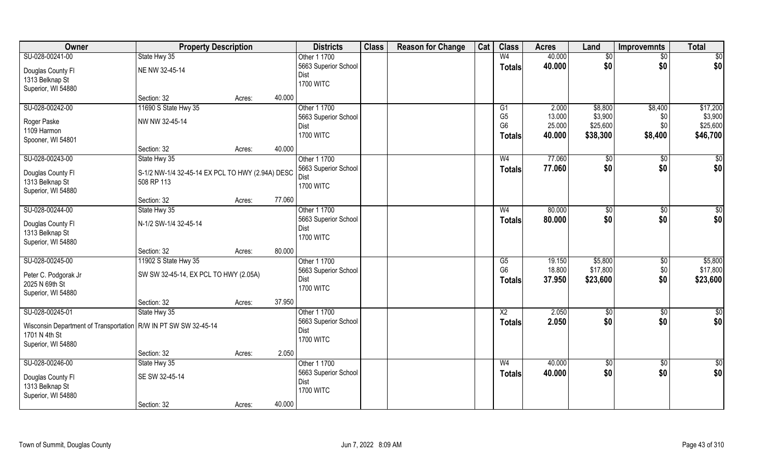| Owner                                                             | <b>Property Description</b>                      |        |        | <b>Districts</b>             | <b>Class</b> | <b>Reason for Change</b> | Cat | <b>Class</b>    | <b>Acres</b> | Land            | <b>Improvemnts</b> | <b>Total</b>    |
|-------------------------------------------------------------------|--------------------------------------------------|--------|--------|------------------------------|--------------|--------------------------|-----|-----------------|--------------|-----------------|--------------------|-----------------|
| SU-028-00241-00                                                   | State Hwy 35                                     |        |        | Other 1 1700                 |              |                          |     | W <sub>4</sub>  | 40.000       | $\sqrt{6}$      | $\overline{50}$    | \$0             |
| Douglas County Fl                                                 | NE NW 32-45-14                                   |        |        | 5663 Superior School         |              |                          |     | <b>Totals</b>   | 40.000       | \$0             | \$0                | \$0             |
| 1313 Belknap St                                                   |                                                  |        |        | Dist                         |              |                          |     |                 |              |                 |                    |                 |
| Superior, WI 54880                                                |                                                  |        |        | <b>1700 WITC</b>             |              |                          |     |                 |              |                 |                    |                 |
|                                                                   | Section: 32                                      | Acres: | 40.000 |                              |              |                          |     |                 |              |                 |                    |                 |
| SU-028-00242-00                                                   | 11690 S State Hwy 35                             |        |        | Other 1 1700                 |              |                          |     | G1              | 2.000        | \$8,800         | \$8,400            | \$17,200        |
|                                                                   | NW NW 32-45-14                                   |        |        | 5663 Superior School         |              |                          |     | G <sub>5</sub>  | 13.000       | \$3,900         | \$0                | \$3,900         |
| Roger Paske                                                       |                                                  |        |        | Dist                         |              |                          |     | G <sub>6</sub>  | 25.000       | \$25,600        | \$0                | \$25,600        |
| 1109 Harmon<br>Spooner, WI 54801                                  |                                                  |        |        | <b>1700 WITC</b>             |              |                          |     | <b>Totals</b>   | 40.000       | \$38,300        | \$8,400            | \$46,700        |
|                                                                   | Section: 32                                      | Acres: | 40.000 |                              |              |                          |     |                 |              |                 |                    |                 |
| SU-028-00243-00                                                   | State Hwy 35                                     |        |        | Other 1 1700                 |              |                          |     | W <sub>4</sub>  | 77.060       | \$0             | \$0                | \$0             |
|                                                                   |                                                  |        |        | 5663 Superior School         |              |                          |     |                 | 77.060       | \$0             | \$0                | \$0             |
| Douglas County Fl                                                 | S-1/2 NW-1/4 32-45-14 EX PCL TO HWY (2.94A) DESC |        |        | <b>Dist</b>                  |              |                          |     | <b>Totals</b>   |              |                 |                    |                 |
| 1313 Belknap St                                                   | 508 RP 113                                       |        |        | <b>1700 WITC</b>             |              |                          |     |                 |              |                 |                    |                 |
| Superior, WI 54880                                                |                                                  |        |        |                              |              |                          |     |                 |              |                 |                    |                 |
|                                                                   | Section: 32                                      | Acres: | 77.060 |                              |              |                          |     |                 |              |                 |                    |                 |
| SU-028-00244-00                                                   | State Hwy 35                                     |        |        | Other 1 1700                 |              |                          |     | W <sub>4</sub>  | 80.000       | $\sqrt[6]{3}$   | $\sqrt[6]{3}$      | \$0             |
| Douglas County Fl                                                 | N-1/2 SW-1/4 32-45-14                            |        |        | 5663 Superior School         |              |                          |     | <b>Totals</b>   | 80.000       | \$0             | \$0                | \$0             |
| 1313 Belknap St                                                   |                                                  |        |        | Dist                         |              |                          |     |                 |              |                 |                    |                 |
| Superior, WI 54880                                                |                                                  |        |        | <b>1700 WITC</b>             |              |                          |     |                 |              |                 |                    |                 |
|                                                                   | Section: 32                                      | Acres: | 80.000 |                              |              |                          |     |                 |              |                 |                    |                 |
| SU-028-00245-00                                                   | 11902 S State Hwy 35                             |        |        | Other 1 1700                 |              |                          |     | G5              | 19.150       | \$5,800         | \$0                | \$5,800         |
|                                                                   |                                                  |        |        | 5663 Superior School         |              |                          |     | G <sub>6</sub>  | 18.800       | \$17,800        | \$0                | \$17,800        |
| Peter C. Podgorak Jr<br>2025 N 69th St                            | SW SW 32-45-14, EX PCL TO HWY (2.05A)            |        |        | Dist                         |              |                          |     | Totals          | 37.950       | \$23,600        | \$0                | \$23,600        |
| Superior, WI 54880                                                |                                                  |        |        | <b>1700 WITC</b>             |              |                          |     |                 |              |                 |                    |                 |
|                                                                   | Section: 32                                      | Acres: | 37.950 |                              |              |                          |     |                 |              |                 |                    |                 |
| SU-028-00245-01                                                   | State Hwy 35                                     |        |        | Other 1 1700                 |              |                          |     | $\overline{X2}$ | 2.050        | \$0             | \$0                | \$0             |
|                                                                   |                                                  |        |        | 5663 Superior School         |              |                          |     | <b>Totals</b>   | 2.050        | \$0             | \$0                | \$0             |
| Wisconsin Department of Transportation   R/W IN PT SW SW 32-45-14 |                                                  |        |        | Dist                         |              |                          |     |                 |              |                 |                    |                 |
| 1701 N 4th St                                                     |                                                  |        |        | <b>1700 WITC</b>             |              |                          |     |                 |              |                 |                    |                 |
| Superior, WI 54880                                                |                                                  |        |        |                              |              |                          |     |                 |              |                 |                    |                 |
|                                                                   | Section: 32                                      | Acres: | 2.050  |                              |              |                          |     |                 |              |                 |                    |                 |
| SU-028-00246-00                                                   | State Hwy 35                                     |        |        | Other 1 1700                 |              |                          |     | W <sub>4</sub>  | 40.000       | $\overline{50}$ | $\overline{50}$    | $\overline{50}$ |
| Douglas County Fl                                                 | SE SW 32-45-14                                   |        |        | 5663 Superior School<br>Dist |              |                          |     | <b>Totals</b>   | 40.000       | \$0             | \$0                | \$0             |
| 1313 Belknap St                                                   |                                                  |        |        | <b>1700 WITC</b>             |              |                          |     |                 |              |                 |                    |                 |
| Superior, WI 54880                                                |                                                  |        |        |                              |              |                          |     |                 |              |                 |                    |                 |
|                                                                   | Section: 32                                      | Acres: | 40.000 |                              |              |                          |     |                 |              |                 |                    |                 |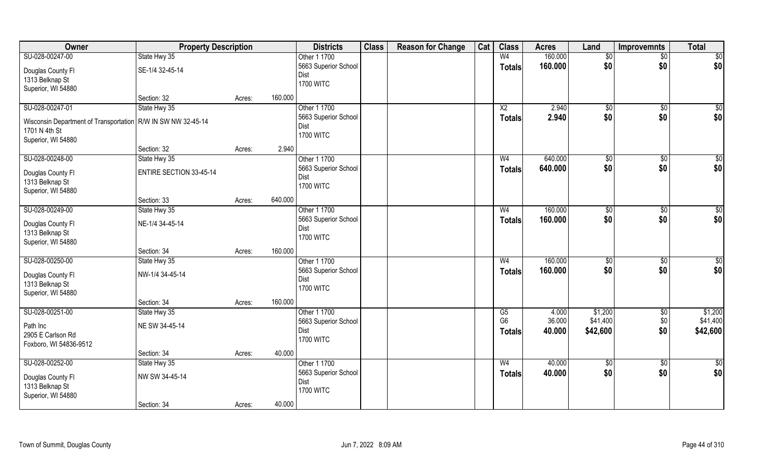| Owner                                                          | <b>Property Description</b>    |        |         | <b>Districts</b>         | <b>Class</b> | <b>Reason for Change</b> | Cat | <b>Class</b>    | <b>Acres</b> | Land            | <b>Improvemnts</b> | <b>Total</b>    |
|----------------------------------------------------------------|--------------------------------|--------|---------|--------------------------|--------------|--------------------------|-----|-----------------|--------------|-----------------|--------------------|-----------------|
| SU-028-00247-00                                                | State Hwy 35                   |        |         | Other 1 1700             |              |                          |     | W <sub>4</sub>  | 160.000      | \$0             | \$0                | \$0             |
| Douglas County Fl                                              | SE-1/4 32-45-14                |        |         | 5663 Superior School     |              |                          |     | <b>Totals</b>   | 160.000      | \$0             | \$0                | \$0             |
| 1313 Belknap St                                                |                                |        |         | Dist                     |              |                          |     |                 |              |                 |                    |                 |
| Superior, WI 54880                                             |                                |        |         | <b>1700 WITC</b>         |              |                          |     |                 |              |                 |                    |                 |
|                                                                | Section: 32                    | Acres: | 160.000 |                          |              |                          |     |                 |              |                 |                    |                 |
| SU-028-00247-01                                                | State Hwy 35                   |        |         | Other 1 1700             |              |                          |     | $\overline{X2}$ | 2.940        | \$0             | \$0                | $\sqrt{50}$     |
| Wisconsin Department of Transportation   R/W IN SW NW 32-45-14 |                                |        |         | 5663 Superior School     |              |                          |     | <b>Totals</b>   | 2.940        | \$0             | \$0                | \$0             |
| 1701 N 4th St                                                  |                                |        |         | Dist                     |              |                          |     |                 |              |                 |                    |                 |
| Superior, WI 54880                                             |                                |        |         | <b>1700 WITC</b>         |              |                          |     |                 |              |                 |                    |                 |
|                                                                | Section: 32                    | Acres: | 2.940   |                          |              |                          |     |                 |              |                 |                    |                 |
| SU-028-00248-00                                                | State Hwy 35                   |        |         | Other 1 1700             |              |                          |     | W <sub>4</sub>  | 640.000      | \$0             | \$0                | \$0             |
| Douglas County Fl                                              | <b>ENTIRE SECTION 33-45-14</b> |        |         | 5663 Superior School     |              |                          |     | <b>Totals</b>   | 640.000      | \$0             | \$0                | \$0             |
| 1313 Belknap St                                                |                                |        |         | Dist                     |              |                          |     |                 |              |                 |                    |                 |
| Superior, WI 54880                                             |                                |        |         | <b>1700 WITC</b>         |              |                          |     |                 |              |                 |                    |                 |
|                                                                | Section: 33                    | Acres: | 640.000 |                          |              |                          |     |                 |              |                 |                    |                 |
| SU-028-00249-00                                                | State Hwy 35                   |        |         | Other 1 1700             |              |                          |     | W <sub>4</sub>  | 160.000      | $\sqrt[6]{3}$   | \$0                | \$0             |
|                                                                |                                |        |         | 5663 Superior School     |              |                          |     | <b>Totals</b>   | 160.000      | \$0             | \$0                | \$0             |
| Douglas County Fl<br>1313 Belknap St                           | NE-1/4 34-45-14                |        |         | Dist                     |              |                          |     |                 |              |                 |                    |                 |
| Superior, WI 54880                                             |                                |        |         | <b>1700 WITC</b>         |              |                          |     |                 |              |                 |                    |                 |
|                                                                | Section: 34                    | Acres: | 160.000 |                          |              |                          |     |                 |              |                 |                    |                 |
| SU-028-00250-00                                                | State Hwy 35                   |        |         | Other 1 1700             |              |                          |     | W <sub>4</sub>  | 160.000      | \$0             | \$0                | $\overline{50}$ |
|                                                                |                                |        |         | 5663 Superior School     |              |                          |     | <b>Totals</b>   | 160.000      | \$0             | \$0                | \$0             |
| Douglas County Fl                                              | NW-1/4 34-45-14                |        |         | Dist                     |              |                          |     |                 |              |                 |                    |                 |
| 1313 Belknap St                                                |                                |        |         | <b>1700 WITC</b>         |              |                          |     |                 |              |                 |                    |                 |
| Superior, WI 54880                                             | Section: 34                    |        | 160.000 |                          |              |                          |     |                 |              |                 |                    |                 |
| SU-028-00251-00                                                | State Hwy 35                   | Acres: |         | Other 1 1700             |              |                          |     | G5              | 4.000        | \$1,200         | $\sqrt{$0}$        | \$1,200         |
|                                                                |                                |        |         | 5663 Superior School     |              |                          |     | G <sub>6</sub>  | 36.000       | \$41,400        | \$0                | \$41,400        |
| Path Inc                                                       | NE SW 34-45-14                 |        |         | Dist                     |              |                          |     | Totals          | 40.000       | \$42,600        | \$0                | \$42,600        |
| 2905 E Carlson Rd                                              |                                |        |         | <b>1700 WITC</b>         |              |                          |     |                 |              |                 |                    |                 |
| Foxboro, WI 54836-9512                                         |                                |        |         |                          |              |                          |     |                 |              |                 |                    |                 |
|                                                                | Section: 34                    | Acres: | 40.000  |                          |              |                          |     |                 |              |                 |                    |                 |
| SU-028-00252-00                                                | State Hwy 35                   |        |         | Other 1 1700             |              |                          |     | W <sub>4</sub>  | 40.000       | $\overline{50}$ | $\sqrt{6}$         | \$0             |
| Douglas County Fl                                              | NW SW 34-45-14                 |        |         | 5663 Superior School     |              |                          |     | <b>Totals</b>   | 40.000       | \$0             | \$0                | \$0             |
| 1313 Belknap St                                                |                                |        |         | Dist<br><b>1700 WITC</b> |              |                          |     |                 |              |                 |                    |                 |
| Superior, WI 54880                                             |                                |        |         |                          |              |                          |     |                 |              |                 |                    |                 |
|                                                                | Section: 34                    | Acres: | 40.000  |                          |              |                          |     |                 |              |                 |                    |                 |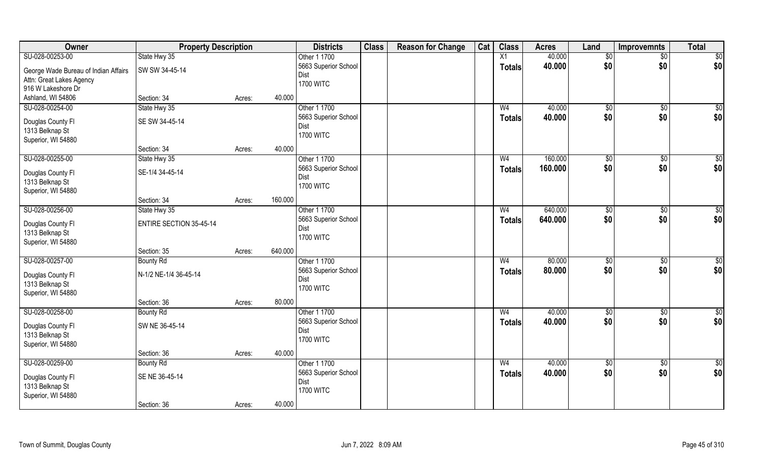| Owner                                | <b>Property Description</b>    |        |         | <b>Districts</b>             | <b>Class</b> | <b>Reason for Change</b> | Cat | <b>Class</b>   | <b>Acres</b> | Land           | <b>Improvemnts</b> | <b>Total</b>    |
|--------------------------------------|--------------------------------|--------|---------|------------------------------|--------------|--------------------------|-----|----------------|--------------|----------------|--------------------|-----------------|
| SU-028-00253-00                      | State Hwy 35                   |        |         | Other 1 1700                 |              |                          |     | X1             | 40.000       | $\sqrt{6}$     | $\overline{50}$    | $\overline{50}$ |
| George Wade Bureau of Indian Affairs | SW SW 34-45-14                 |        |         | 5663 Superior School         |              |                          |     | <b>Totals</b>  | 40.000       | \$0            | \$0                | \$0             |
| Attn: Great Lakes Agency             |                                |        |         | Dist                         |              |                          |     |                |              |                |                    |                 |
| 916 W Lakeshore Dr                   |                                |        |         | <b>1700 WITC</b>             |              |                          |     |                |              |                |                    |                 |
| Ashland, WI 54806                    | Section: 34                    | Acres: | 40.000  |                              |              |                          |     |                |              |                |                    |                 |
| SU-028-00254-00                      | State Hwy 35                   |        |         | Other 1 1700                 |              |                          |     | W <sub>4</sub> | 40.000       | \$0            | $\sqrt{50}$        | \$0             |
|                                      |                                |        |         | 5663 Superior School         |              |                          |     | <b>Totals</b>  | 40.000       | \$0            | \$0                | \$0             |
| Douglas County Fl                    | SE SW 34-45-14                 |        |         | Dist                         |              |                          |     |                |              |                |                    |                 |
| 1313 Belknap St                      |                                |        |         | <b>1700 WITC</b>             |              |                          |     |                |              |                |                    |                 |
| Superior, WI 54880                   |                                |        |         |                              |              |                          |     |                |              |                |                    |                 |
|                                      | Section: 34                    | Acres: | 40.000  |                              |              |                          |     |                |              |                |                    |                 |
| SU-028-00255-00                      | State Hwy 35                   |        |         | Other 1 1700                 |              |                          |     | W <sub>4</sub> | 160.000      | \$0            | \$0                | $\sqrt{50}$     |
| Douglas County Fl                    | SE-1/4 34-45-14                |        |         | 5663 Superior School         |              |                          |     | <b>Totals</b>  | 160.000      | \$0            | \$0                | \$0             |
| 1313 Belknap St                      |                                |        |         | Dist                         |              |                          |     |                |              |                |                    |                 |
| Superior, WI 54880                   |                                |        |         | <b>1700 WITC</b>             |              |                          |     |                |              |                |                    |                 |
|                                      | Section: 34                    | Acres: | 160.000 |                              |              |                          |     |                |              |                |                    |                 |
| SU-028-00256-00                      | State Hwy 35                   |        |         | Other 1 1700                 |              |                          |     | W <sub>4</sub> | 640.000      | $\frac{1}{20}$ | $\sqrt[6]{3}$      | \$0             |
|                                      |                                |        |         | 5663 Superior School         |              |                          |     | <b>Totals</b>  | 640.000      | \$0            | \$0                | \$0             |
| Douglas County Fl                    | <b>ENTIRE SECTION 35-45-14</b> |        |         | Dist                         |              |                          |     |                |              |                |                    |                 |
| 1313 Belknap St                      |                                |        |         | <b>1700 WITC</b>             |              |                          |     |                |              |                |                    |                 |
| Superior, WI 54880                   |                                |        | 640.000 |                              |              |                          |     |                |              |                |                    |                 |
|                                      | Section: 35                    | Acres: |         |                              |              |                          |     |                |              |                |                    |                 |
| SU-028-00257-00                      | <b>Bounty Rd</b>               |        |         | Other 1 1700                 |              |                          |     | W <sub>4</sub> | 80.000       | \$0            | \$0                | $\overline{50}$ |
| Douglas County Fl                    | N-1/2 NE-1/4 36-45-14          |        |         | 5663 Superior School<br>Dist |              |                          |     | <b>Totals</b>  | 80.000       | \$0            | \$0                | \$0             |
| 1313 Belknap St                      |                                |        |         | <b>1700 WITC</b>             |              |                          |     |                |              |                |                    |                 |
| Superior, WI 54880                   |                                |        |         |                              |              |                          |     |                |              |                |                    |                 |
|                                      | Section: 36                    | Acres: | 80.000  |                              |              |                          |     |                |              |                |                    |                 |
| SU-028-00258-00                      | <b>Bounty Rd</b>               |        |         | Other 1 1700                 |              |                          |     | W <sub>4</sub> | 40.000       | $\sqrt{6}$     | \$0                | $\overline{50}$ |
|                                      | SW NE 36-45-14                 |        |         | 5663 Superior School         |              |                          |     | <b>Totals</b>  | 40.000       | \$0            | \$0                | \$0             |
| Douglas County Fl<br>1313 Belknap St |                                |        |         | Dist                         |              |                          |     |                |              |                |                    |                 |
| Superior, WI 54880                   |                                |        |         | <b>1700 WITC</b>             |              |                          |     |                |              |                |                    |                 |
|                                      | Section: 36                    | Acres: | 40.000  |                              |              |                          |     |                |              |                |                    |                 |
| SU-028-00259-00                      | <b>Bounty Rd</b>               |        |         | Other 1 1700                 |              |                          |     | W <sub>4</sub> | 40.000       | $\sqrt{6}$     | $\sqrt{6}$         | $\overline{50}$ |
|                                      |                                |        |         | 5663 Superior School         |              |                          |     |                | 40.000       | \$0            | \$0                | \$0             |
| Douglas County Fl                    | SE NE 36-45-14                 |        |         | Dist                         |              |                          |     | <b>Totals</b>  |              |                |                    |                 |
| 1313 Belknap St                      |                                |        |         | <b>1700 WITC</b>             |              |                          |     |                |              |                |                    |                 |
| Superior, WI 54880                   |                                |        |         |                              |              |                          |     |                |              |                |                    |                 |
|                                      | Section: 36                    | Acres: | 40.000  |                              |              |                          |     |                |              |                |                    |                 |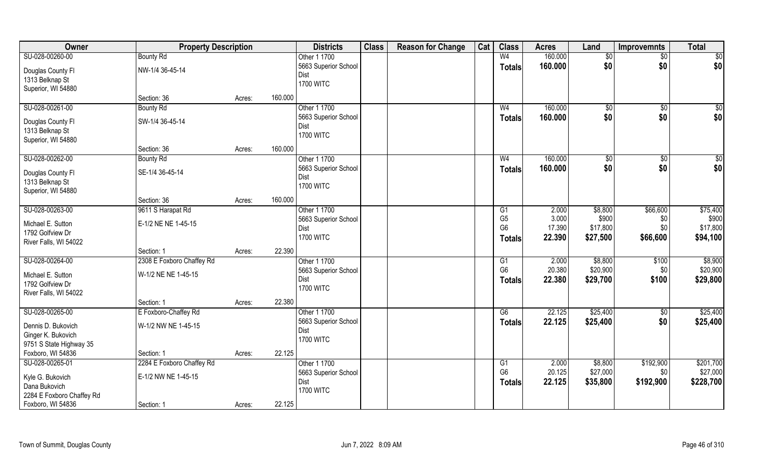| Owner                     | <b>Property Description</b> |        |         | <b>Districts</b>     | <b>Class</b> | <b>Reason for Change</b> | Cat | <b>Class</b>    | <b>Acres</b> | Land     | <b>Improvemnts</b> | <b>Total</b>    |
|---------------------------|-----------------------------|--------|---------|----------------------|--------------|--------------------------|-----|-----------------|--------------|----------|--------------------|-----------------|
| SU-028-00260-00           | <b>Bounty Rd</b>            |        |         | Other 1 1700         |              |                          |     | W <sub>4</sub>  | 160.000      | \$0      | $\sqrt{$0}$        | $\overline{50}$ |
| Douglas County Fl         | NW-1/4 36-45-14             |        |         | 5663 Superior School |              |                          |     | <b>Totals</b>   | 160,000      | \$0      | \$0                | \$0             |
| 1313 Belknap St           |                             |        |         | Dist                 |              |                          |     |                 |              |          |                    |                 |
| Superior, WI 54880        |                             |        |         | <b>1700 WITC</b>     |              |                          |     |                 |              |          |                    |                 |
|                           | Section: 36                 | Acres: | 160.000 |                      |              |                          |     |                 |              |          |                    |                 |
| SU-028-00261-00           | <b>Bounty Rd</b>            |        |         | Other 1 1700         |              |                          |     | W <sub>4</sub>  | 160.000      | \$0      | \$0                | \$0             |
| Douglas County Fl         | SW-1/4 36-45-14             |        |         | 5663 Superior School |              |                          |     | Totals          | 160.000      | \$0      | \$0                | \$0             |
| 1313 Belknap St           |                             |        |         | Dist                 |              |                          |     |                 |              |          |                    |                 |
| Superior, WI 54880        |                             |        |         | <b>1700 WITC</b>     |              |                          |     |                 |              |          |                    |                 |
|                           | Section: 36                 | Acres: | 160.000 |                      |              |                          |     |                 |              |          |                    |                 |
| SU-028-00262-00           | <b>Bounty Rd</b>            |        |         | Other 1 1700         |              |                          |     | W <sub>4</sub>  | 160.000      | \$0      | $\sqrt[6]{3}$      | \$0             |
|                           |                             |        |         | 5663 Superior School |              |                          |     | <b>Totals</b>   | 160.000      | \$0      | \$0                | \$0             |
| Douglas County Fl         | SE-1/4 36-45-14             |        |         | Dist                 |              |                          |     |                 |              |          |                    |                 |
| 1313 Belknap St           |                             |        |         | <b>1700 WITC</b>     |              |                          |     |                 |              |          |                    |                 |
| Superior, WI 54880        |                             |        |         |                      |              |                          |     |                 |              |          |                    |                 |
|                           | Section: 36                 | Acres: | 160.000 |                      |              |                          |     |                 |              |          |                    |                 |
| SU-028-00263-00           | 9611 S Harapat Rd           |        |         | Other 1 1700         |              |                          |     | G <sub>1</sub>  | 2.000        | \$8,800  | \$66,600           | \$75,400        |
| Michael E. Sutton         | E-1/2 NE NE 1-45-15         |        |         | 5663 Superior School |              |                          |     | G <sub>5</sub>  | 3.000        | \$900    | \$0                | \$900           |
| 1792 Golfview Dr          |                             |        |         | Dist                 |              |                          |     | G <sub>6</sub>  | 17.390       | \$17,800 | \$0                | \$17,800        |
| River Falls, WI 54022     |                             |        |         | <b>1700 WITC</b>     |              |                          |     | <b>Totals</b>   | 22.390       | \$27,500 | \$66,600           | \$94,100        |
|                           | Section: 1                  | Acres: | 22.390  |                      |              |                          |     |                 |              |          |                    |                 |
| SU-028-00264-00           | 2308 E Foxboro Chaffey Rd   |        |         | Other 1 1700         |              |                          |     | $\overline{G1}$ | 2.000        | \$8,800  | \$100              | \$8,900         |
| Michael E. Sutton         | W-1/2 NE NE 1-45-15         |        |         | 5663 Superior School |              |                          |     | G <sub>6</sub>  | 20.380       | \$20,900 | \$0                | \$20,900        |
| 1792 Golfview Dr          |                             |        |         | Dist                 |              |                          |     | <b>Totals</b>   | 22.380       | \$29,700 | \$100              | \$29,800        |
| River Falls, WI 54022     |                             |        |         | <b>1700 WITC</b>     |              |                          |     |                 |              |          |                    |                 |
|                           | Section: 1                  | Acres: | 22.380  |                      |              |                          |     |                 |              |          |                    |                 |
| SU-028-00265-00           | E Foxboro-Chaffey Rd        |        |         | Other 1 1700         |              |                          |     | G6              | 22.125       | \$25,400 | $\sqrt{$0}$        | \$25,400        |
| Dennis D. Bukovich        | W-1/2 NW NE 1-45-15         |        |         | 5663 Superior School |              |                          |     | <b>Totals</b>   | 22.125       | \$25,400 | \$0                | \$25,400        |
| Ginger K. Bukovich        |                             |        |         | Dist                 |              |                          |     |                 |              |          |                    |                 |
| 9751 S State Highway 35   |                             |        |         | <b>1700 WITC</b>     |              |                          |     |                 |              |          |                    |                 |
| Foxboro, WI 54836         | Section: 1                  | Acres: | 22.125  |                      |              |                          |     |                 |              |          |                    |                 |
| SU-028-00265-01           | 2284 E Foxboro Chaffey Rd   |        |         | Other 1 1700         |              |                          |     | G1              | 2.000        | \$8,800  | \$192,900          | \$201,700       |
|                           |                             |        |         | 5663 Superior School |              |                          |     | G <sub>6</sub>  | 20.125       | \$27,000 | \$0                | \$27,000        |
| Kyle G. Bukovich          | E-1/2 NW NE 1-45-15         |        |         | Dist                 |              |                          |     | <b>Totals</b>   | 22.125       | \$35,800 | \$192,900          | \$228,700       |
| Dana Bukovich             |                             |        |         | <b>1700 WITC</b>     |              |                          |     |                 |              |          |                    |                 |
| 2284 E Foxboro Chaffey Rd |                             |        |         |                      |              |                          |     |                 |              |          |                    |                 |
| Foxboro, WI 54836         | Section: 1                  | Acres: | 22.125  |                      |              |                          |     |                 |              |          |                    |                 |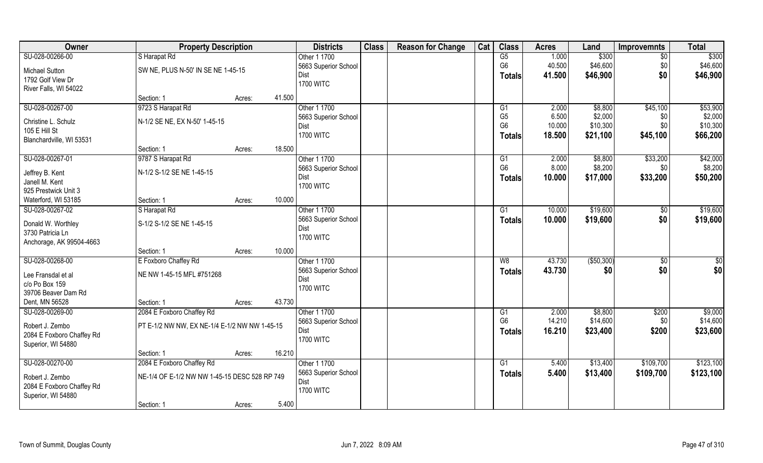| SU-028-00266-00<br>$\overline{G5}$<br>1.000<br>\$300<br>S Harapat Rd<br>$\overline{50}$<br>Other 1 1700<br>G <sub>6</sub><br>40.500<br>\$46,600<br>\$0<br>\$46,600<br>5663 Superior School<br>SW NE, PLUS N-50' IN SE NE 1-45-15<br><b>Michael Sutton</b><br>\$0<br>\$46,900<br>41.500<br>\$46,900<br>Dist<br><b>Totals</b><br>1792 Golf View Dr<br><b>1700 WITC</b><br>River Falls, WI 54022<br>41.500<br>Section: 1<br>Acres:<br>SU-028-00267-00<br>9723 S Harapat Rd<br>Other 1 1700<br>\$8,800<br>\$45,100<br>\$53,900<br>2.000<br>G1<br>G <sub>5</sub><br>\$2,000<br>6.500<br>5663 Superior School<br>\$0<br>N-1/2 SE NE, EX N-50' 1-45-15<br>Christine L. Schulz<br>G <sub>6</sub><br>\$10,300<br>10.000<br>\$10,300<br>\$0<br>Dist<br>105 E Hill St<br><b>1700 WITC</b><br>\$45,100<br>\$66,200<br>18.500<br>\$21,100<br><b>Totals</b><br>Blanchardville, WI 53531<br>18.500<br>Section: 1<br>Acres:<br>SU-028-00267-01<br>9787 S Harapat Rd<br>Other 1 1700<br>\$8,800<br>\$33,200<br>2.000<br>G1<br>G <sub>6</sub><br>8.000<br>\$8,200<br>\$8,200<br>\$0<br>5663 Superior School<br>N-1/2 S-1/2 SE NE 1-45-15<br>Jeffrey B. Kent<br>10.000<br>\$17,000<br>\$33,200<br>\$50,200<br>Dist<br>Totals<br>Janell M. Kent<br><b>1700 WITC</b> | Owner                | <b>Property Description</b> | <b>Districts</b> | <b>Class</b> | <b>Reason for Change</b> | Cat | <b>Class</b> | <b>Acres</b> | Land | <b>Improvemnts</b> | <b>Total</b> |
|-------------------------------------------------------------------------------------------------------------------------------------------------------------------------------------------------------------------------------------------------------------------------------------------------------------------------------------------------------------------------------------------------------------------------------------------------------------------------------------------------------------------------------------------------------------------------------------------------------------------------------------------------------------------------------------------------------------------------------------------------------------------------------------------------------------------------------------------------------------------------------------------------------------------------------------------------------------------------------------------------------------------------------------------------------------------------------------------------------------------------------------------------------------------------------------------------------------------------------------------------|----------------------|-----------------------------|------------------|--------------|--------------------------|-----|--------------|--------------|------|--------------------|--------------|
| \$2,000<br>\$42,000                                                                                                                                                                                                                                                                                                                                                                                                                                                                                                                                                                                                                                                                                                                                                                                                                                                                                                                                                                                                                                                                                                                                                                                                                             |                      |                             |                  |              |                          |     |              |              |      |                    | \$300        |
|                                                                                                                                                                                                                                                                                                                                                                                                                                                                                                                                                                                                                                                                                                                                                                                                                                                                                                                                                                                                                                                                                                                                                                                                                                                 |                      |                             |                  |              |                          |     |              |              |      |                    |              |
|                                                                                                                                                                                                                                                                                                                                                                                                                                                                                                                                                                                                                                                                                                                                                                                                                                                                                                                                                                                                                                                                                                                                                                                                                                                 |                      |                             |                  |              |                          |     |              |              |      |                    |              |
|                                                                                                                                                                                                                                                                                                                                                                                                                                                                                                                                                                                                                                                                                                                                                                                                                                                                                                                                                                                                                                                                                                                                                                                                                                                 |                      |                             |                  |              |                          |     |              |              |      |                    |              |
|                                                                                                                                                                                                                                                                                                                                                                                                                                                                                                                                                                                                                                                                                                                                                                                                                                                                                                                                                                                                                                                                                                                                                                                                                                                 |                      |                             |                  |              |                          |     |              |              |      |                    |              |
|                                                                                                                                                                                                                                                                                                                                                                                                                                                                                                                                                                                                                                                                                                                                                                                                                                                                                                                                                                                                                                                                                                                                                                                                                                                 |                      |                             |                  |              |                          |     |              |              |      |                    |              |
|                                                                                                                                                                                                                                                                                                                                                                                                                                                                                                                                                                                                                                                                                                                                                                                                                                                                                                                                                                                                                                                                                                                                                                                                                                                 |                      |                             |                  |              |                          |     |              |              |      |                    |              |
|                                                                                                                                                                                                                                                                                                                                                                                                                                                                                                                                                                                                                                                                                                                                                                                                                                                                                                                                                                                                                                                                                                                                                                                                                                                 |                      |                             |                  |              |                          |     |              |              |      |                    |              |
|                                                                                                                                                                                                                                                                                                                                                                                                                                                                                                                                                                                                                                                                                                                                                                                                                                                                                                                                                                                                                                                                                                                                                                                                                                                 |                      |                             |                  |              |                          |     |              |              |      |                    |              |
|                                                                                                                                                                                                                                                                                                                                                                                                                                                                                                                                                                                                                                                                                                                                                                                                                                                                                                                                                                                                                                                                                                                                                                                                                                                 |                      |                             |                  |              |                          |     |              |              |      |                    |              |
|                                                                                                                                                                                                                                                                                                                                                                                                                                                                                                                                                                                                                                                                                                                                                                                                                                                                                                                                                                                                                                                                                                                                                                                                                                                 |                      |                             |                  |              |                          |     |              |              |      |                    |              |
|                                                                                                                                                                                                                                                                                                                                                                                                                                                                                                                                                                                                                                                                                                                                                                                                                                                                                                                                                                                                                                                                                                                                                                                                                                                 |                      |                             |                  |              |                          |     |              |              |      |                    |              |
|                                                                                                                                                                                                                                                                                                                                                                                                                                                                                                                                                                                                                                                                                                                                                                                                                                                                                                                                                                                                                                                                                                                                                                                                                                                 |                      |                             |                  |              |                          |     |              |              |      |                    |              |
|                                                                                                                                                                                                                                                                                                                                                                                                                                                                                                                                                                                                                                                                                                                                                                                                                                                                                                                                                                                                                                                                                                                                                                                                                                                 |                      |                             |                  |              |                          |     |              |              |      |                    |              |
| 10.000                                                                                                                                                                                                                                                                                                                                                                                                                                                                                                                                                                                                                                                                                                                                                                                                                                                                                                                                                                                                                                                                                                                                                                                                                                          | 925 Prestwick Unit 3 |                             |                  |              |                          |     |              |              |      |                    |              |
| Waterford, WI 53185<br>Section: 1<br>Acres:                                                                                                                                                                                                                                                                                                                                                                                                                                                                                                                                                                                                                                                                                                                                                                                                                                                                                                                                                                                                                                                                                                                                                                                                     |                      |                             |                  |              |                          |     |              |              |      |                    |              |
| \$19,600<br>Other 1 1700<br>\$19,600<br>SU-028-00267-02<br>S Harapat Rd<br>10.000<br>G1<br>\$0                                                                                                                                                                                                                                                                                                                                                                                                                                                                                                                                                                                                                                                                                                                                                                                                                                                                                                                                                                                                                                                                                                                                                  |                      |                             |                  |              |                          |     |              |              |      |                    |              |
| \$0<br>5663 Superior School<br>10.000<br>\$19,600<br>\$19,600<br><b>Totals</b><br>S-1/2 S-1/2 SE NE 1-45-15<br>Donald W. Worthley                                                                                                                                                                                                                                                                                                                                                                                                                                                                                                                                                                                                                                                                                                                                                                                                                                                                                                                                                                                                                                                                                                               |                      |                             |                  |              |                          |     |              |              |      |                    |              |
| Dist<br>3730 Patricia Ln<br><b>1700 WITC</b>                                                                                                                                                                                                                                                                                                                                                                                                                                                                                                                                                                                                                                                                                                                                                                                                                                                                                                                                                                                                                                                                                                                                                                                                    |                      |                             |                  |              |                          |     |              |              |      |                    |              |
| Anchorage, AK 99504-4663                                                                                                                                                                                                                                                                                                                                                                                                                                                                                                                                                                                                                                                                                                                                                                                                                                                                                                                                                                                                                                                                                                                                                                                                                        |                      |                             |                  |              |                          |     |              |              |      |                    |              |
| 10.000<br>Section: 1<br>Acres:                                                                                                                                                                                                                                                                                                                                                                                                                                                                                                                                                                                                                                                                                                                                                                                                                                                                                                                                                                                                                                                                                                                                                                                                                  |                      |                             |                  |              |                          |     |              |              |      |                    |              |
| SU-028-00268-00<br>E Foxboro Chaffey Rd<br>43.730<br>( \$50, 300)<br>\$0<br>Other 1 1700<br>W8<br>$\sqrt[6]{30}$                                                                                                                                                                                                                                                                                                                                                                                                                                                                                                                                                                                                                                                                                                                                                                                                                                                                                                                                                                                                                                                                                                                                |                      |                             |                  |              |                          |     |              |              |      |                    |              |
| \$0<br>\$0<br>43.730<br>\$0<br>5663 Superior School<br><b>Totals</b><br>NE NW 1-45-15 MFL #751268<br>Lee Fransdal et al                                                                                                                                                                                                                                                                                                                                                                                                                                                                                                                                                                                                                                                                                                                                                                                                                                                                                                                                                                                                                                                                                                                         |                      |                             |                  |              |                          |     |              |              |      |                    |              |
| Dist<br>c/o Po Box 159                                                                                                                                                                                                                                                                                                                                                                                                                                                                                                                                                                                                                                                                                                                                                                                                                                                                                                                                                                                                                                                                                                                                                                                                                          |                      |                             |                  |              |                          |     |              |              |      |                    |              |
| <b>1700 WITC</b><br>39706 Beaver Dam Rd                                                                                                                                                                                                                                                                                                                                                                                                                                                                                                                                                                                                                                                                                                                                                                                                                                                                                                                                                                                                                                                                                                                                                                                                         |                      |                             |                  |              |                          |     |              |              |      |                    |              |
| Dent, MN 56528<br>43.730<br>Section: 1<br>Acres:                                                                                                                                                                                                                                                                                                                                                                                                                                                                                                                                                                                                                                                                                                                                                                                                                                                                                                                                                                                                                                                                                                                                                                                                |                      |                             |                  |              |                          |     |              |              |      |                    |              |
| SU-028-00269-00<br>2084 E Foxboro Chaffey Rd<br>Other 1 1700<br>\$8,800<br>\$200<br>\$9,000<br>2.000<br>G1                                                                                                                                                                                                                                                                                                                                                                                                                                                                                                                                                                                                                                                                                                                                                                                                                                                                                                                                                                                                                                                                                                                                      |                      |                             |                  |              |                          |     |              |              |      |                    |              |
| G <sub>6</sub><br>14.210<br>\$14,600<br>\$14,600<br>\$0<br>5663 Superior School<br>Robert J. Zembo<br>PT E-1/2 NW NW, EX NE-1/4 E-1/2 NW NW 1-45-15                                                                                                                                                                                                                                                                                                                                                                                                                                                                                                                                                                                                                                                                                                                                                                                                                                                                                                                                                                                                                                                                                             |                      |                             |                  |              |                          |     |              |              |      |                    |              |
| 16.210<br>\$23,400<br>\$200<br>\$23,600<br>Dist<br><b>Totals</b><br>2084 E Foxboro Chaffey Rd                                                                                                                                                                                                                                                                                                                                                                                                                                                                                                                                                                                                                                                                                                                                                                                                                                                                                                                                                                                                                                                                                                                                                   |                      |                             |                  |              |                          |     |              |              |      |                    |              |
| <b>1700 WITC</b><br>Superior, WI 54880                                                                                                                                                                                                                                                                                                                                                                                                                                                                                                                                                                                                                                                                                                                                                                                                                                                                                                                                                                                                                                                                                                                                                                                                          |                      |                             |                  |              |                          |     |              |              |      |                    |              |
| 16.210<br>Section: 1<br>Acres:                                                                                                                                                                                                                                                                                                                                                                                                                                                                                                                                                                                                                                                                                                                                                                                                                                                                                                                                                                                                                                                                                                                                                                                                                  |                      |                             |                  |              |                          |     |              |              |      |                    |              |
| SU-028-00270-00<br>2084 E Foxboro Chaffey Rd<br>Other 1 1700<br>\$13,400<br>\$109,700<br>\$123,100<br>$\overline{G1}$<br>5.400                                                                                                                                                                                                                                                                                                                                                                                                                                                                                                                                                                                                                                                                                                                                                                                                                                                                                                                                                                                                                                                                                                                  |                      |                             |                  |              |                          |     |              |              |      |                    |              |
| 5663 Superior School<br>5.400<br>\$13,400<br>\$109,700<br>\$123,100<br>Totals<br>NE-1/4 OF E-1/2 NW NW 1-45-15 DESC 528 RP 749                                                                                                                                                                                                                                                                                                                                                                                                                                                                                                                                                                                                                                                                                                                                                                                                                                                                                                                                                                                                                                                                                                                  |                      |                             |                  |              |                          |     |              |              |      |                    |              |
| Robert J. Zembo<br>Dist<br>2084 E Foxboro Chaffey Rd                                                                                                                                                                                                                                                                                                                                                                                                                                                                                                                                                                                                                                                                                                                                                                                                                                                                                                                                                                                                                                                                                                                                                                                            |                      |                             |                  |              |                          |     |              |              |      |                    |              |
| <b>1700 WITC</b><br>Superior, WI 54880                                                                                                                                                                                                                                                                                                                                                                                                                                                                                                                                                                                                                                                                                                                                                                                                                                                                                                                                                                                                                                                                                                                                                                                                          |                      |                             |                  |              |                          |     |              |              |      |                    |              |
| 5.400<br>Section: 1<br>Acres:                                                                                                                                                                                                                                                                                                                                                                                                                                                                                                                                                                                                                                                                                                                                                                                                                                                                                                                                                                                                                                                                                                                                                                                                                   |                      |                             |                  |              |                          |     |              |              |      |                    |              |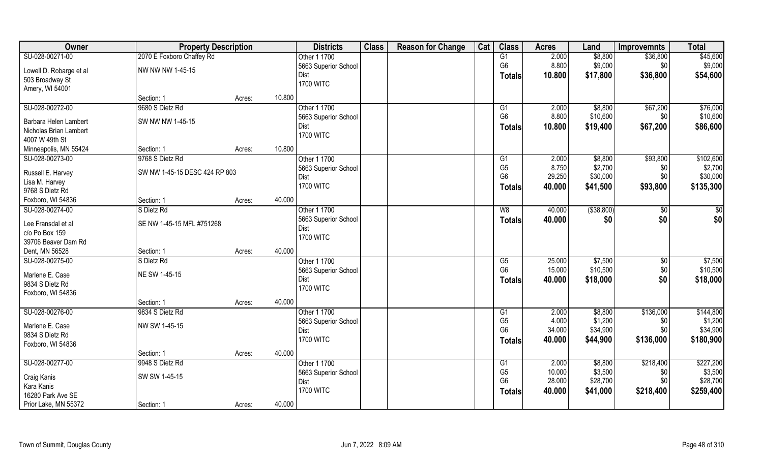| Owner                   | <b>Property Description</b>   |                  | <b>Districts</b>         | <b>Class</b> | <b>Reason for Change</b> | Cat | <b>Class</b>           | <b>Acres</b>   | Land               | <b>Improvemnts</b> | <b>Total</b>         |
|-------------------------|-------------------------------|------------------|--------------------------|--------------|--------------------------|-----|------------------------|----------------|--------------------|--------------------|----------------------|
| SU-028-00271-00         | 2070 E Foxboro Chaffey Rd     |                  | Other 1 1700             |              |                          |     | G1                     | 2.000          | \$8,800            | \$36,800           | \$45,600             |
| Lowell D. Robarge et al | NW NW NW 1-45-15              |                  | 5663 Superior School     |              |                          |     | G <sub>6</sub>         | 8.800          | \$9,000            | \$0                | \$9,000              |
| 503 Broadway St         |                               |                  | Dist                     |              |                          |     | <b>Totals</b>          | 10.800         | \$17,800           | \$36,800           | \$54,600             |
| Amery, WI 54001         |                               |                  | <b>1700 WITC</b>         |              |                          |     |                        |                |                    |                    |                      |
|                         | Section: 1                    | Acres:           | 10.800                   |              |                          |     |                        |                |                    |                    |                      |
| SU-028-00272-00         | 9680 S Dietz Rd               |                  | Other 1 1700             |              |                          |     | G1                     | 2.000          | \$8,800            | \$67,200           | \$76,000             |
|                         |                               |                  | 5663 Superior School     |              |                          |     | G <sub>6</sub>         | 8.800          | \$10,600           | \$0\$              | \$10,600             |
| Barbara Helen Lambert   | SW NW NW 1-45-15              |                  | Dist                     |              |                          |     | <b>Totals</b>          | 10.800         | \$19,400           | \$67,200           | \$86,600             |
| Nicholas Brian Lambert  |                               |                  | <b>1700 WITC</b>         |              |                          |     |                        |                |                    |                    |                      |
| 4007 W 49th St          |                               |                  |                          |              |                          |     |                        |                |                    |                    |                      |
| Minneapolis, MN 55424   | Section: 1                    | Acres:           | 10.800                   |              |                          |     |                        |                |                    |                    |                      |
| SU-028-00273-00         | 9768 S Dietz Rd               |                  | Other 1 1700             |              |                          |     | G1                     | 2.000          | \$8,800            | \$93,800           | \$102,600            |
| Russell E. Harvey       | SW NW 1-45-15 DESC 424 RP 803 |                  | 5663 Superior School     |              |                          |     | G <sub>5</sub>         | 8.750          | \$2,700            | \$0                | \$2,700              |
| Lisa M. Harvey          |                               |                  | Dist                     |              |                          |     | G <sub>6</sub>         | 29.250         | \$30,000           | \$0                | \$30,000             |
| 9768 S Dietz Rd         |                               |                  | <b>1700 WITC</b>         |              |                          |     | Totals                 | 40.000         | \$41,500           | \$93,800           | \$135,300            |
| Foxboro, WI 54836       | Section: 1                    | Acres:           | 40.000                   |              |                          |     |                        |                |                    |                    |                      |
| SU-028-00274-00         | S Dietz Rd                    |                  | Other 1 1700             |              |                          |     | W8                     | 40.000         | ( \$38, 800)       |                    | $\sqrt{50}$          |
|                         |                               |                  |                          |              |                          |     |                        |                |                    | \$0                |                      |
| Lee Fransdal et al      | SE NW 1-45-15 MFL #751268     |                  | 5663 Superior School     |              |                          |     | <b>Totals</b>          | 40.000         | \$0                | \$0                | \$0                  |
| c/o Po Box 159          |                               |                  | Dist<br><b>1700 WITC</b> |              |                          |     |                        |                |                    |                    |                      |
| 39706 Beaver Dam Rd     |                               |                  |                          |              |                          |     |                        |                |                    |                    |                      |
| Dent, MN 56528          | Section: 1                    | 40.000<br>Acres: |                          |              |                          |     |                        |                |                    |                    |                      |
| SU-028-00275-00         | S Dietz Rd                    |                  | Other 1 1700             |              |                          |     | $\overline{\text{G5}}$ | 25.000         | \$7,500            | \$0                | \$7,500              |
| Marlene E. Case         | NE SW 1-45-15                 |                  | 5663 Superior School     |              |                          |     | G <sub>6</sub>         | 15.000         | \$10,500           | \$0                | \$10,500             |
| 9834 S Dietz Rd         |                               |                  | Dist                     |              |                          |     | <b>Totals</b>          | 40.000         | \$18,000           | \$0                | \$18,000             |
| Foxboro, WI 54836       |                               |                  | <b>1700 WITC</b>         |              |                          |     |                        |                |                    |                    |                      |
|                         |                               |                  | 40.000                   |              |                          |     |                        |                |                    |                    |                      |
|                         | Section: 1                    | Acres:           |                          |              |                          |     |                        |                |                    |                    |                      |
| SU-028-00276-00         | 9834 S Dietz Rd               |                  | Other 1 1700             |              |                          |     | G1<br>G <sub>5</sub>   | 2.000<br>4.000 | \$8,800<br>\$1,200 | \$136,000          | \$144,800<br>\$1,200 |
| Marlene E. Case         | NW SW 1-45-15                 |                  | 5663 Superior School     |              |                          |     | G <sub>6</sub>         | 34.000         | \$34,900           | \$0<br>\$0         | \$34,900             |
| 9834 S Dietz Rd         |                               |                  | Dist<br><b>1700 WITC</b> |              |                          |     |                        |                |                    |                    |                      |
| Foxboro, WI 54836       |                               |                  |                          |              |                          |     | Totals                 | 40.000         | \$44,900           | \$136,000          | \$180,900            |
|                         | Section: 1                    | Acres:           | 40.000                   |              |                          |     |                        |                |                    |                    |                      |
| SU-028-00277-00         | 9948 S Dietz Rd               |                  | Other 1 1700             |              |                          |     | G1                     | 2.000          | \$8,800            | \$218,400          | \$227,200            |
|                         |                               |                  | 5663 Superior School     |              |                          |     | G <sub>5</sub>         | 10.000         | \$3,500            | \$0                | \$3,500              |
| Craig Kanis             | SW SW 1-45-15                 |                  | Dist                     |              |                          |     | G <sub>6</sub>         | 28.000         | \$28,700           | \$0                | \$28,700             |
| Kara Kanis              |                               |                  | <b>1700 WITC</b>         |              |                          |     | Totals                 | 40.000         | \$41,000           | \$218,400          | \$259,400            |
| 16280 Park Ave SE       |                               |                  |                          |              |                          |     |                        |                |                    |                    |                      |
| Prior Lake, MN 55372    | Section: 1                    | Acres:           | 40.000                   |              |                          |     |                        |                |                    |                    |                      |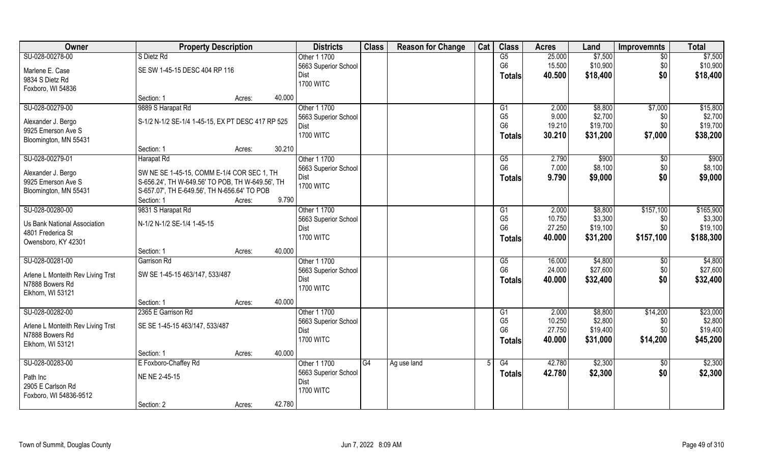| Owner                                    | <b>Property Description</b>                       |                  | <b>Districts</b>     | <b>Class</b> | <b>Reason for Change</b> | Cat | <b>Class</b>    | <b>Acres</b> | Land     | <b>Improvemnts</b> | <b>Total</b> |
|------------------------------------------|---------------------------------------------------|------------------|----------------------|--------------|--------------------------|-----|-----------------|--------------|----------|--------------------|--------------|
| SU-028-00278-00                          | S Dietz Rd                                        |                  | Other 1 1700         |              |                          |     | $\overline{G5}$ | 25.000       | \$7,500  | \$0                | \$7,500      |
| Marlene E. Case                          | SE SW 1-45-15 DESC 404 RP 116                     |                  | 5663 Superior School |              |                          |     | G <sub>6</sub>  | 15.500       | \$10,900 | \$0                | \$10,900     |
| 9834 S Dietz Rd                          |                                                   |                  | Dist                 |              |                          |     | <b>Totals</b>   | 40.500       | \$18,400 | \$0                | \$18,400     |
| Foxboro, WI 54836                        |                                                   |                  | <b>1700 WITC</b>     |              |                          |     |                 |              |          |                    |              |
|                                          | Section: 1                                        | 40.000<br>Acres: |                      |              |                          |     |                 |              |          |                    |              |
| SU-028-00279-00                          | 9889 S Harapat Rd                                 |                  | Other 1 1700         |              |                          |     | G1              | 2.000        | \$8,800  | \$7,000            | \$15,800     |
|                                          |                                                   |                  | 5663 Superior School |              |                          |     | G <sub>5</sub>  | 9.000        | \$2,700  | \$0                | \$2,700      |
| Alexander J. Bergo<br>9925 Emerson Ave S | S-1/2 N-1/2 SE-1/4 1-45-15, EX PT DESC 417 RP 525 |                  | Dist                 |              |                          |     | G <sub>6</sub>  | 19.210       | \$19,700 | \$0                | \$19,700     |
| Bloomington, MN 55431                    |                                                   |                  | <b>1700 WITC</b>     |              |                          |     | <b>Totals</b>   | 30.210       | \$31,200 | \$7,000            | \$38,200     |
|                                          | Section: 1                                        | 30.210<br>Acres: |                      |              |                          |     |                 |              |          |                    |              |
| SU-028-00279-01                          | Harapat Rd                                        |                  | Other 1 1700         |              |                          |     | G5              | 2.790        | \$900    | $\sqrt[6]{30}$     | \$900        |
|                                          |                                                   |                  | 5663 Superior School |              |                          |     | G <sub>6</sub>  | 7.000        | \$8,100  | \$0                | \$8,100      |
| Alexander J. Bergo                       | SW NE SE 1-45-15, COMM E-1/4 COR SEC 1, TH        |                  | Dist                 |              |                          |     | Totals          | 9.790        | \$9,000  | \$0                | \$9,000      |
| 9925 Emerson Ave S                       | S-656.24', TH W-649.56' TO POB, TH W-649.56', TH  |                  | <b>1700 WITC</b>     |              |                          |     |                 |              |          |                    |              |
| Bloomington, MN 55431                    | S-657.07', TH E-649.56', TH N-656.64' TO POB      |                  |                      |              |                          |     |                 |              |          |                    |              |
|                                          | Section: 1                                        | 9.790<br>Acres:  |                      |              |                          |     |                 |              |          |                    |              |
| SU-028-00280-00                          | 9831 S Harapat Rd                                 |                  | Other 1 1700         |              |                          |     | G <sub>1</sub>  | 2.000        | \$8,800  | \$157,100          | \$165,900    |
| Us Bank National Association             | N-1/2 N-1/2 SE-1/4 1-45-15                        |                  | 5663 Superior School |              |                          |     | G <sub>5</sub>  | 10.750       | \$3,300  | \$0                | \$3,300      |
| 4801 Frederica St                        |                                                   |                  | Dist                 |              |                          |     | G <sub>6</sub>  | 27.250       | \$19,100 | \$0                | \$19,100     |
| Owensboro, KY 42301                      |                                                   |                  | <b>1700 WITC</b>     |              |                          |     | <b>Totals</b>   | 40.000       | \$31,200 | \$157,100          | \$188,300    |
|                                          | Section: 1                                        | 40.000<br>Acres: |                      |              |                          |     |                 |              |          |                    |              |
| SU-028-00281-00                          | <b>Garrison Rd</b>                                |                  | Other 1 1700         |              |                          |     | G5              | 16.000       | \$4,800  | $\overline{50}$    | \$4,800      |
| Arlene L Monteith Rev Living Trst        | SW SE 1-45-15 463/147, 533/487                    |                  | 5663 Superior School |              |                          |     | G <sub>6</sub>  | 24.000       | \$27,600 | \$0                | \$27,600     |
| N7888 Bowers Rd                          |                                                   |                  | Dist                 |              |                          |     | <b>Totals</b>   | 40.000       | \$32,400 | \$0                | \$32,400     |
| Elkhorn, WI 53121                        |                                                   |                  | <b>1700 WITC</b>     |              |                          |     |                 |              |          |                    |              |
|                                          | Section: 1                                        | 40.000<br>Acres: |                      |              |                          |     |                 |              |          |                    |              |
| SU-028-00282-00                          | 2365 E Garrison Rd                                |                  | Other 1 1700         |              |                          |     | G1              | 2.000        | \$8,800  | \$14,200           | \$23,000     |
| Arlene L Monteith Rev Living Trst        | SE SE 1-45-15 463/147, 533/487                    |                  | 5663 Superior School |              |                          |     | G <sub>5</sub>  | 10.250       | \$2,800  | \$0                | \$2,800      |
| N7888 Bowers Rd                          |                                                   |                  | Dist                 |              |                          |     | G <sub>6</sub>  | 27.750       | \$19,400 | \$0                | \$19,400     |
| Elkhorn, WI 53121                        |                                                   |                  | <b>1700 WITC</b>     |              |                          |     | <b>Totals</b>   | 40.000       | \$31,000 | \$14,200           | \$45,200     |
|                                          | Section: 1                                        | 40.000<br>Acres: |                      |              |                          |     |                 |              |          |                    |              |
| SU-028-00283-00                          | E Foxboro-Chaffey Rd                              |                  | Other 1 1700         | G4           | Ag use land              |     | G4              | 42.780       | \$2,300  | $\overline{50}$    | \$2,300      |
|                                          | NE NE 2-45-15                                     |                  | 5663 Superior School |              |                          |     | <b>Totals</b>   | 42.780       | \$2,300  | \$0                | \$2,300      |
| Path Inc<br>2905 E Carlson Rd            |                                                   |                  | Dist                 |              |                          |     |                 |              |          |                    |              |
| Foxboro, WI 54836-9512                   |                                                   |                  | <b>1700 WITC</b>     |              |                          |     |                 |              |          |                    |              |
|                                          | Section: 2                                        | 42.780<br>Acres: |                      |              |                          |     |                 |              |          |                    |              |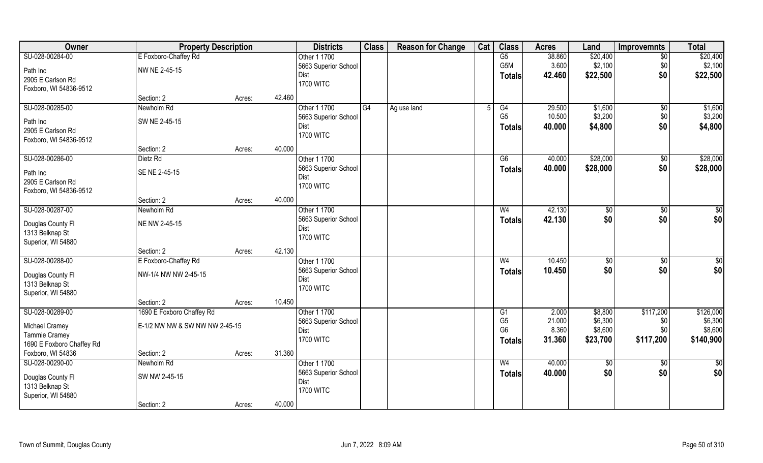| Owner                                | <b>Property Description</b>    |        |        | <b>Districts</b>         | <b>Class</b> | <b>Reason for Change</b> | Cat | <b>Class</b>   | <b>Acres</b> | Land            | <b>Improvemnts</b> | <b>Total</b>    |
|--------------------------------------|--------------------------------|--------|--------|--------------------------|--------------|--------------------------|-----|----------------|--------------|-----------------|--------------------|-----------------|
| SU-028-00284-00                      | E Foxboro-Chaffey Rd           |        |        | Other 1 1700             |              |                          |     | G5             | 38.860       | \$20,400        | $\overline{50}$    | \$20,400        |
| Path Inc                             | NW NE 2-45-15                  |        |        | 5663 Superior School     |              |                          |     | G5M            | 3.600        | \$2,100         | \$0                | \$2,100         |
| 2905 E Carlson Rd                    |                                |        |        | Dist                     |              |                          |     | <b>Totals</b>  | 42.460       | \$22,500        | \$0                | \$22,500        |
| Foxboro, WI 54836-9512               |                                |        |        | <b>1700 WITC</b>         |              |                          |     |                |              |                 |                    |                 |
|                                      | Section: 2                     | Acres: | 42.460 |                          |              |                          |     |                |              |                 |                    |                 |
| SU-028-00285-00                      | Newholm Rd                     |        |        | Other 1 1700             | G4           | Ag use land              |     | G4             | 29.500       | \$1,600         | \$0                | \$1,600         |
| Path Inc                             | SW NE 2-45-15                  |        |        | 5663 Superior School     |              |                          |     | G <sub>5</sub> | 10.500       | \$3,200         | \$0                | \$3,200         |
| 2905 E Carlson Rd                    |                                |        |        | Dist                     |              |                          |     | <b>Totals</b>  | 40.000       | \$4,800         | \$0                | \$4,800         |
| Foxboro, WI 54836-9512               |                                |        |        | <b>1700 WITC</b>         |              |                          |     |                |              |                 |                    |                 |
|                                      | Section: 2                     | Acres: | 40.000 |                          |              |                          |     |                |              |                 |                    |                 |
| SU-028-00286-00                      | Dietz Rd                       |        |        | Other 1 1700             |              |                          |     | G6             | 40.000       | \$28,000        | \$0                | \$28,000        |
|                                      |                                |        |        | 5663 Superior School     |              |                          |     | <b>Totals</b>  | 40.000       | \$28,000        | \$0                | \$28,000        |
| Path Inc                             | SE NE 2-45-15                  |        |        | Dist                     |              |                          |     |                |              |                 |                    |                 |
| 2905 E Carlson Rd                    |                                |        |        | <b>1700 WITC</b>         |              |                          |     |                |              |                 |                    |                 |
| Foxboro, WI 54836-9512               | Section: 2                     | Acres: | 40.000 |                          |              |                          |     |                |              |                 |                    |                 |
| SU-028-00287-00                      | Newholm Rd                     |        |        | Other 1 1700             |              |                          |     | W <sub>4</sub> | 42.130       | $\frac{1}{20}$  | \$0                | \$0             |
|                                      |                                |        |        | 5663 Superior School     |              |                          |     | <b>Totals</b>  | 42.130       | \$0             | \$0                | \$0             |
| Douglas County Fl                    | NE NW 2-45-15                  |        |        | Dist                     |              |                          |     |                |              |                 |                    |                 |
| 1313 Belknap St                      |                                |        |        | <b>1700 WITC</b>         |              |                          |     |                |              |                 |                    |                 |
| Superior, WI 54880                   |                                |        |        |                          |              |                          |     |                |              |                 |                    |                 |
|                                      | Section: 2                     | Acres: | 42.130 |                          |              |                          |     |                |              |                 |                    |                 |
| SU-028-00288-00                      | E Foxboro-Chaffey Rd           |        |        | Other 1 1700             |              |                          |     | W <sub>4</sub> | 10.450       | \$0             | \$0                | \$0             |
| Douglas County Fl                    | NW-1/4 NW NW 2-45-15           |        |        | 5663 Superior School     |              |                          |     | <b>Totals</b>  | 10.450       | \$0             | \$0                | \$0             |
| 1313 Belknap St                      |                                |        |        | Dist<br><b>1700 WITC</b> |              |                          |     |                |              |                 |                    |                 |
| Superior, WI 54880                   |                                |        |        |                          |              |                          |     |                |              |                 |                    |                 |
|                                      | Section: 2                     | Acres: | 10.450 |                          |              |                          |     |                |              |                 |                    |                 |
| SU-028-00289-00                      | 1690 E Foxboro Chaffey Rd      |        |        | Other 1 1700             |              |                          |     | G1             | 2.000        | \$8,800         | \$117,200          | \$126,000       |
| Michael Cramey                       | E-1/2 NW NW & SW NW NW 2-45-15 |        |        | 5663 Superior School     |              |                          |     | G <sub>5</sub> | 21.000       | \$6,300         | \$0                | \$6,300         |
| Tammie Cramey                        |                                |        |        | Dist                     |              |                          |     | G <sub>6</sub> | 8.360        | \$8,600         | \$0                | \$8,600         |
| 1690 E Foxboro Chaffey Rd            |                                |        |        | <b>1700 WITC</b>         |              |                          |     | <b>Totals</b>  | 31.360       | \$23,700        | \$117,200          | \$140,900       |
| Foxboro, WI 54836                    | Section: 2                     | Acres: | 31.360 |                          |              |                          |     |                |              |                 |                    |                 |
| SU-028-00290-00                      | Newholm Rd                     |        |        | Other 1 1700             |              |                          |     | W <sub>4</sub> | 40.000       | $\overline{50}$ | $\sqrt{$0}$        | $\overline{50}$ |
|                                      | SW NW 2-45-15                  |        |        | 5663 Superior School     |              |                          |     | <b>Totals</b>  | 40.000       | \$0             | \$0                | \$0             |
| Douglas County Fl<br>1313 Belknap St |                                |        |        | Dist                     |              |                          |     |                |              |                 |                    |                 |
| Superior, WI 54880                   |                                |        |        | <b>1700 WITC</b>         |              |                          |     |                |              |                 |                    |                 |
|                                      | Section: 2                     | Acres: | 40.000 |                          |              |                          |     |                |              |                 |                    |                 |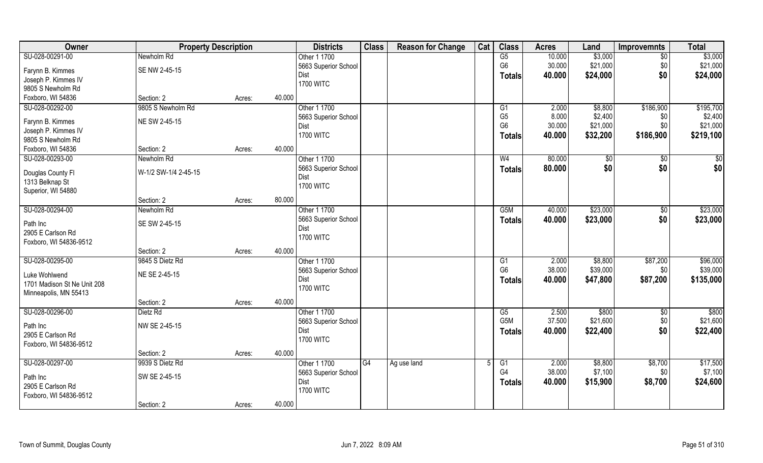| Owner                       | <b>Property Description</b> |        | <b>Districts</b>     | <b>Class</b> | <b>Reason for Change</b> | Cat | <b>Class</b>     | <b>Acres</b> | Land          | <b>Improvemnts</b> | <b>Total</b> |
|-----------------------------|-----------------------------|--------|----------------------|--------------|--------------------------|-----|------------------|--------------|---------------|--------------------|--------------|
| SU-028-00291-00             | Newholm Rd                  |        | Other 1 1700         |              |                          |     | G5               | 10.000       | \$3,000       | $\overline{50}$    | \$3,000      |
| Farynn B. Kimmes            | SE NW 2-45-15               |        | 5663 Superior School |              |                          |     | G <sub>6</sub>   | 30.000       | \$21,000      | \$0                | \$21,000     |
| Joseph P. Kimmes IV         |                             |        | Dist                 |              |                          |     | <b>Totals</b>    | 40.000       | \$24,000      | \$0                | \$24,000     |
| 9805 S Newholm Rd           |                             |        | <b>1700 WITC</b>     |              |                          |     |                  |              |               |                    |              |
| Foxboro, WI 54836           | Section: 2                  | Acres: | 40.000               |              |                          |     |                  |              |               |                    |              |
| SU-028-00292-00             | 9805 S Newholm Rd           |        | Other 1 1700         |              |                          |     | G1               | 2.000        | \$8,800       | \$186,900          | \$195,700    |
|                             |                             |        | 5663 Superior School |              |                          |     | G <sub>5</sub>   | 8.000        | \$2,400       | \$0                | \$2,400      |
| Farynn B. Kimmes            | NE SW 2-45-15               |        | Dist                 |              |                          |     | G <sub>6</sub>   | 30.000       | \$21,000      | \$0                | \$21,000     |
| Joseph P. Kimmes IV         |                             |        | <b>1700 WITC</b>     |              |                          |     | <b>Totals</b>    | 40.000       | \$32,200      | \$186,900          | \$219,100    |
| 9805 S Newholm Rd           |                             |        |                      |              |                          |     |                  |              |               |                    |              |
| Foxboro, WI 54836           | Section: 2                  | Acres: | 40.000               |              |                          |     |                  |              |               |                    |              |
| SU-028-00293-00             | Newholm Rd                  |        | Other 1 1700         |              |                          |     | W <sub>4</sub>   | 80.000       | $\sqrt[6]{3}$ | $\sqrt[6]{30}$     | \$0          |
| Douglas County Fl           | W-1/2 SW-1/4 2-45-15        |        | 5663 Superior School |              |                          |     | <b>Totals</b>    | 80.000       | \$0           | \$0                | \$0          |
| 1313 Belknap St             |                             |        | Dist                 |              |                          |     |                  |              |               |                    |              |
| Superior, WI 54880          |                             |        | <b>1700 WITC</b>     |              |                          |     |                  |              |               |                    |              |
|                             | Section: 2                  | Acres: | 80.000               |              |                          |     |                  |              |               |                    |              |
| SU-028-00294-00             | Newholm Rd                  |        | Other 1 1700         |              |                          |     | G <sub>5</sub> M | 40.000       | \$23,000      | \$0                | \$23,000     |
|                             |                             |        | 5663 Superior School |              |                          |     | <b>Totals</b>    | 40.000       | \$23,000      | \$0                | \$23,000     |
| Path Inc                    | SE SW 2-45-15               |        | Dist                 |              |                          |     |                  |              |               |                    |              |
| 2905 E Carlson Rd           |                             |        | <b>1700 WITC</b>     |              |                          |     |                  |              |               |                    |              |
| Foxboro, WI 54836-9512      |                             |        |                      |              |                          |     |                  |              |               |                    |              |
|                             | Section: 2                  | Acres: | 40.000               |              |                          |     |                  |              |               |                    |              |
| SU-028-00295-00             | 9845 S Dietz Rd             |        | Other 1 1700         |              |                          |     | G1               | 2.000        | \$8,800       | \$87,200           | \$96,000     |
| Luke Wohlwend               | NE SE 2-45-15               |        | 5663 Superior School |              |                          |     | G <sub>6</sub>   | 38.000       | \$39,000      | \$0                | \$39,000     |
| 1701 Madison St Ne Unit 208 |                             |        | Dist                 |              |                          |     | Totals           | 40.000       | \$47,800      | \$87,200           | \$135,000    |
| Minneapolis, MN 55413       |                             |        | <b>1700 WITC</b>     |              |                          |     |                  |              |               |                    |              |
|                             | Section: 2                  | Acres: | 40.000               |              |                          |     |                  |              |               |                    |              |
| SU-028-00296-00             | Dietz Rd                    |        | Other 1 1700         |              |                          |     | G5               | 2.500        | \$800         | \$0                | \$800        |
| Path Inc                    | NW SE 2-45-15               |        | 5663 Superior School |              |                          |     | G5M              | 37.500       | \$21,600      | \$0                | \$21,600     |
| 2905 E Carlson Rd           |                             |        | Dist                 |              |                          |     | <b>Totals</b>    | 40.000       | \$22,400      | \$0                | \$22,400     |
| Foxboro, WI 54836-9512      |                             |        | <b>1700 WITC</b>     |              |                          |     |                  |              |               |                    |              |
|                             | Section: 2                  | Acres: | 40.000               |              |                          |     |                  |              |               |                    |              |
| SU-028-00297-00             | 9939 S Dietz Rd             |        | Other 1 1700         | G4           | Ag use land              |     | G1               | 2.000        | \$8,800       | \$8,700            | \$17,500     |
|                             |                             |        | 5663 Superior School |              |                          |     | G <sub>4</sub>   | 38.000       | \$7,100       | \$0                | \$7,100      |
| Path Inc                    | SW SE 2-45-15               |        | Dist                 |              |                          |     | <b>Totals</b>    | 40.000       | \$15,900      | \$8,700            | \$24,600     |
| 2905 E Carlson Rd           |                             |        | <b>1700 WITC</b>     |              |                          |     |                  |              |               |                    |              |
| Foxboro, WI 54836-9512      |                             |        |                      |              |                          |     |                  |              |               |                    |              |
|                             | Section: 2                  | Acres: | 40.000               |              |                          |     |                  |              |               |                    |              |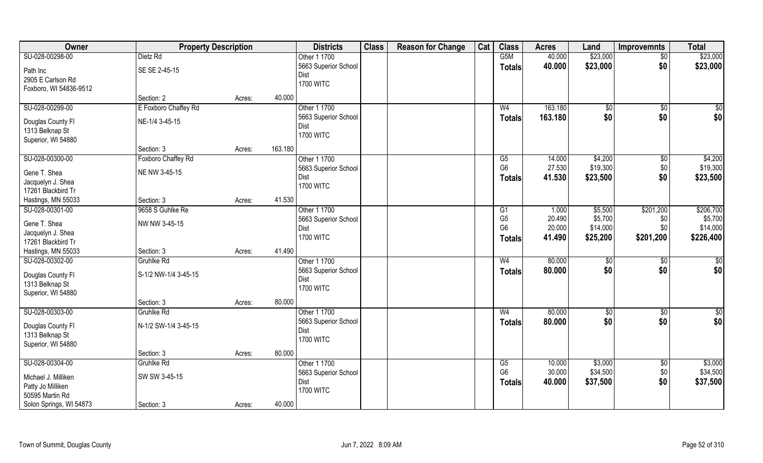| Owner                   | <b>Property Description</b> |        | <b>Districts</b>         | <b>Class</b> | <b>Reason for Change</b> | Cat | <b>Class</b>         | <b>Acres</b> | Land          | Improvemnts     | <b>Total</b>    |
|-------------------------|-----------------------------|--------|--------------------------|--------------|--------------------------|-----|----------------------|--------------|---------------|-----------------|-----------------|
| SU-028-00298-00         | Dietz Rd                    |        | Other 1 1700             |              |                          |     | G5M                  | 40.000       | \$23,000      | $\overline{50}$ | \$23,000        |
| Path Inc                | SE SE 2-45-15               |        | 5663 Superior School     |              |                          |     | <b>Totals</b>        | 40.000       | \$23,000      | \$0             | \$23,000        |
| 2905 E Carlson Rd       |                             |        | Dist                     |              |                          |     |                      |              |               |                 |                 |
| Foxboro, WI 54836-9512  |                             |        | <b>1700 WITC</b>         |              |                          |     |                      |              |               |                 |                 |
|                         | Section: 2                  | Acres: | 40.000                   |              |                          |     |                      |              |               |                 |                 |
| SU-028-00299-00         | E Foxboro Chaffey Rd        |        | Other 1 1700             |              |                          |     | W <sub>4</sub>       | 163.180      | \$0           | \$0             | $\sqrt{50}$     |
|                         |                             |        | 5663 Superior School     |              |                          |     | <b>Totals</b>        | 163.180      | \$0           | \$0             | \$0             |
| Douglas County Fl       | NE-1/4 3-45-15              |        | Dist                     |              |                          |     |                      |              |               |                 |                 |
| 1313 Belknap St         |                             |        | <b>1700 WITC</b>         |              |                          |     |                      |              |               |                 |                 |
| Superior, WI 54880      |                             |        |                          |              |                          |     |                      |              |               |                 |                 |
|                         | Section: 3                  | Acres: | 163.180                  |              |                          |     |                      |              |               |                 |                 |
| SU-028-00300-00         | Foxboro Chaffey Rd          |        | Other 1 1700             |              |                          |     | G5<br>G <sub>6</sub> | 14.000       | \$4,200       | $\sqrt[6]{3}$   | \$4,200         |
| Gene T. Shea            | NE NW 3-45-15               |        | 5663 Superior School     |              |                          |     |                      | 27.530       | \$19,300      | \$0             | \$19,300        |
| Jacquelyn J. Shea       |                             |        | Dist<br><b>1700 WITC</b> |              |                          |     | <b>Totals</b>        | 41.530       | \$23,500      | \$0             | \$23,500        |
| 17261 Blackbird Tr      |                             |        |                          |              |                          |     |                      |              |               |                 |                 |
| Hastings, MN 55033      | Section: 3                  | Acres: | 41.530                   |              |                          |     |                      |              |               |                 |                 |
| SU-028-00301-00         | 9658 S Guhlke Re            |        | Other 1 1700             |              |                          |     | G1                   | 1.000        | \$5,500       | \$201,200       | \$206,700       |
| Gene T. Shea            | NW NW 3-45-15               |        | 5663 Superior School     |              |                          |     | G <sub>5</sub>       | 20.490       | \$5,700       | \$0             | \$5,700         |
| Jacquelyn J. Shea       |                             |        | Dist                     |              |                          |     | G <sub>6</sub>       | 20.000       | \$14,000      | \$0             | \$14,000        |
| 17261 Blackbird Tr      |                             |        | <b>1700 WITC</b>         |              |                          |     | <b>Totals</b>        | 41.490       | \$25,200      | \$201,200       | \$226,400       |
| Hastings, MN 55033      | Section: 3                  | Acres: | 41.490                   |              |                          |     |                      |              |               |                 |                 |
| SU-028-00302-00         | <b>Gruhlke Rd</b>           |        | Other 1 1700             |              |                          |     | W <sub>4</sub>       | 80.000       | $\sqrt[6]{3}$ | \$0             | $\overline{50}$ |
|                         |                             |        | 5663 Superior School     |              |                          |     | <b>Totals</b>        | 80.000       | \$0           | \$0             | \$0             |
| Douglas County Fl       | S-1/2 NW-1/4 3-45-15        |        | Dist                     |              |                          |     |                      |              |               |                 |                 |
| 1313 Belknap St         |                             |        | <b>1700 WITC</b>         |              |                          |     |                      |              |               |                 |                 |
| Superior, WI 54880      |                             |        |                          |              |                          |     |                      |              |               |                 |                 |
|                         | Section: 3                  | Acres: | 80.000                   |              |                          |     |                      |              |               |                 |                 |
| SU-028-00303-00         | Gruhlke Rd                  |        | Other 1 1700             |              |                          |     | W <sub>4</sub>       | 80.000       | $\sqrt{6}$    | \$0             | $\frac{6}{3}$   |
| Douglas County Fl       | N-1/2 SW-1/4 3-45-15        |        | 5663 Superior School     |              |                          |     | <b>Totals</b>        | 80.000       | \$0           | \$0             | \$0             |
| 1313 Belknap St         |                             |        | Dist<br><b>1700 WITC</b> |              |                          |     |                      |              |               |                 |                 |
| Superior, WI 54880      |                             |        |                          |              |                          |     |                      |              |               |                 |                 |
|                         | Section: 3                  | Acres: | 80.000                   |              |                          |     |                      |              |               |                 |                 |
| SU-028-00304-00         | Gruhlke Rd                  |        | Other 1 1700             |              |                          |     | G5                   | 10.000       | \$3,000       | \$0             | \$3,000         |
| Michael J. Milliken     | SW SW 3-45-15               |        | 5663 Superior School     |              |                          |     | G <sub>6</sub>       | 30.000       | \$34,500      | \$0             | \$34,500        |
| Patty Jo Milliken       |                             |        | Dist                     |              |                          |     | <b>Totals</b>        | 40.000       | \$37,500      | \$0             | \$37,500        |
| 50595 Martin Rd         |                             |        | <b>1700 WITC</b>         |              |                          |     |                      |              |               |                 |                 |
| Solon Springs, WI 54873 | Section: 3                  | Acres: | 40.000                   |              |                          |     |                      |              |               |                 |                 |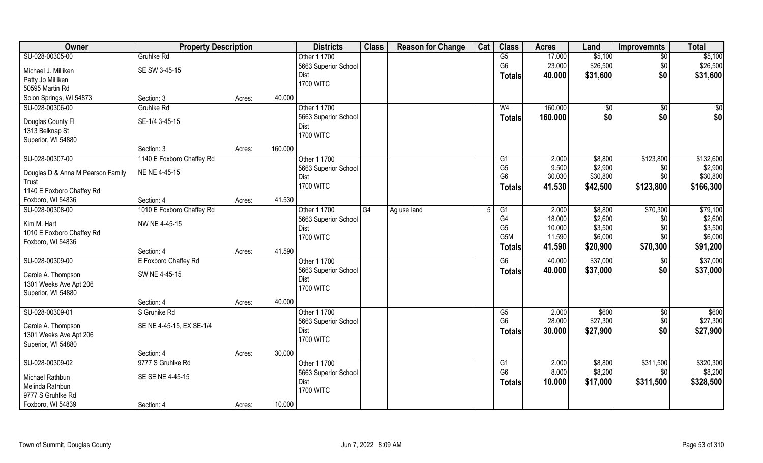| Owner                             | <b>Property Description</b> |                   | <b>Districts</b>             | <b>Class</b> | <b>Reason for Change</b> | Cat | <b>Class</b>    | <b>Acres</b> | Land     | <b>Improvemnts</b> | <b>Total</b> |
|-----------------------------------|-----------------------------|-------------------|------------------------------|--------------|--------------------------|-----|-----------------|--------------|----------|--------------------|--------------|
| SU-028-00305-00                   | Gruhlke Rd                  |                   | Other 1 1700                 |              |                          |     | G5              | 17.000       | \$5,100  | $\overline{50}$    | \$5,100      |
| Michael J. Milliken               | SE SW 3-45-15               |                   | 5663 Superior School         |              |                          |     | G <sub>6</sub>  | 23.000       | \$26,500 | \$0                | \$26,500     |
| Patty Jo Milliken                 |                             |                   | Dist                         |              |                          |     | <b>Totals</b>   | 40.000       | \$31,600 | \$0                | \$31,600     |
| 50595 Martin Rd                   |                             |                   | <b>1700 WITC</b>             |              |                          |     |                 |              |          |                    |              |
| Solon Springs, WI 54873           | Section: 3                  | 40.000<br>Acres:  |                              |              |                          |     |                 |              |          |                    |              |
| SU-028-00306-00                   | <b>Gruhlke Rd</b>           |                   | Other 1 1700                 |              |                          |     | W <sub>4</sub>  | 160.000      | \$0      | \$0                | \$0          |
|                                   |                             |                   |                              |              |                          |     |                 |              |          |                    |              |
| Douglas County Fl                 | SE-1/4 3-45-15              |                   | 5663 Superior School<br>Dist |              |                          |     | <b>Totals</b>   | 160.000      | \$0      | \$0                | \$0          |
| 1313 Belknap St                   |                             |                   | <b>1700 WITC</b>             |              |                          |     |                 |              |          |                    |              |
| Superior, WI 54880                |                             |                   |                              |              |                          |     |                 |              |          |                    |              |
|                                   | Section: 3                  | 160.000<br>Acres: |                              |              |                          |     |                 |              |          |                    |              |
| SU-028-00307-00                   | 1140 E Foxboro Chaffey Rd   |                   | Other 1 1700                 |              |                          |     | G1              | 2.000        | \$8,800  | \$123,800          | \$132,600    |
| Douglas D & Anna M Pearson Family | NE NE 4-45-15               |                   | 5663 Superior School         |              |                          |     | G <sub>5</sub>  | 9.500        | \$2,900  | \$0                | \$2,900      |
| Trust                             |                             |                   | Dist                         |              |                          |     | G <sub>6</sub>  | 30.030       | \$30,800 | \$0                | \$30,800     |
| 1140 E Foxboro Chaffey Rd         |                             |                   | <b>1700 WITC</b>             |              |                          |     | Totals          | 41.530       | \$42,500 | \$123,800          | \$166,300    |
| Foxboro, WI 54836                 | Section: 4                  | 41.530<br>Acres:  |                              |              |                          |     |                 |              |          |                    |              |
| SU-028-00308-00                   | 1010 E Foxboro Chaffey Rd   |                   | Other 1 1700                 | G4           | Ag use land              |     | G1              | 2.000        | \$8,800  | \$70,300           | \$79,100     |
|                                   |                             |                   | 5663 Superior School         |              |                          |     | G4              | 18.000       | \$2,600  | \$0                | \$2,600      |
| Kim M. Hart                       | NW NE 4-45-15               |                   | Dist                         |              |                          |     | G <sub>5</sub>  | 10.000       | \$3,500  | \$0                | \$3,500      |
| 1010 E Foxboro Chaffey Rd         |                             |                   | <b>1700 WITC</b>             |              |                          |     | G5M             | 11.590       | \$6,000  | \$0                | \$6,000      |
| Foxboro, WI 54836                 |                             |                   |                              |              |                          |     | <b>Totals</b>   | 41.590       | \$20,900 | \$70,300           | \$91,200     |
|                                   | Section: 4                  | 41.590<br>Acres:  |                              |              |                          |     |                 |              |          |                    |              |
| SU-028-00309-00                   | E Foxboro Chaffey Rd        |                   | Other 1 1700                 |              |                          |     | $\overline{G6}$ | 40.000       | \$37,000 | \$0                | \$37,000     |
| Carole A. Thompson                | SW NE 4-45-15               |                   | 5663 Superior School         |              |                          |     | <b>Totals</b>   | 40.000       | \$37,000 | \$0                | \$37,000     |
| 1301 Weeks Ave Apt 206            |                             |                   | Dist                         |              |                          |     |                 |              |          |                    |              |
| Superior, WI 54880                |                             |                   | <b>1700 WITC</b>             |              |                          |     |                 |              |          |                    |              |
|                                   | Section: 4                  | 40.000<br>Acres:  |                              |              |                          |     |                 |              |          |                    |              |
| SU-028-00309-01                   | S Gruhike Rd                |                   | Other 1 1700                 |              |                          |     | G5              | 2.000        | \$600    | \$0                | \$600        |
|                                   |                             |                   | 5663 Superior School         |              |                          |     | G <sub>6</sub>  | 28.000       | \$27,300 | \$0                | \$27,300     |
| Carole A. Thompson                | SE NE 4-45-15, EX SE-1/4    |                   | Dist                         |              |                          |     | <b>Totals</b>   | 30.000       | \$27,900 | \$0                | \$27,900     |
| 1301 Weeks Ave Apt 206            |                             |                   | <b>1700 WITC</b>             |              |                          |     |                 |              |          |                    |              |
| Superior, WI 54880                |                             |                   |                              |              |                          |     |                 |              |          |                    |              |
|                                   | Section: 4                  | 30.000<br>Acres:  |                              |              |                          |     |                 |              |          |                    |              |
| SU-028-00309-02                   | 9777 S Gruhlke Rd           |                   | Other 1 1700                 |              |                          |     | G1              | 2.000        | \$8,800  | \$311,500          | \$320,300    |
| Michael Rathbun                   | SE SE NE 4-45-15            |                   | 5663 Superior School         |              |                          |     | G <sub>6</sub>  | 8.000        | \$8,200  | \$0                | \$8,200      |
| Melinda Rathbun                   |                             |                   | Dist                         |              |                          |     | <b>Totals</b>   | 10.000       | \$17,000 | \$311,500          | \$328,500    |
| 9777 S Gruhlke Rd                 |                             |                   | <b>1700 WITC</b>             |              |                          |     |                 |              |          |                    |              |
| Foxboro, WI 54839                 | Section: 4                  | Acres:            | 10.000                       |              |                          |     |                 |              |          |                    |              |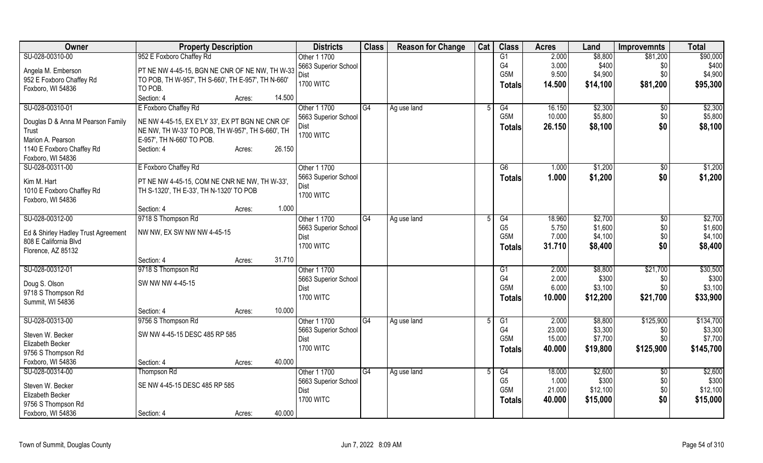| Owner                               | <b>Property Description</b>                        |                  | <b>Districts</b>     | <b>Class</b>    | <b>Reason for Change</b> | Cat | <b>Class</b>   | <b>Acres</b> | Land     | <b>Improvemnts</b> | <b>Total</b> |
|-------------------------------------|----------------------------------------------------|------------------|----------------------|-----------------|--------------------------|-----|----------------|--------------|----------|--------------------|--------------|
| SU-028-00310-00                     | 952 E Foxboro Chaffey Rd                           |                  | Other 1 1700         |                 |                          |     | G1             | 2.000        | \$8,800  | \$81,200           | \$90,000     |
| Angela M. Emberson                  | PT NE NW 4-45-15, BGN NE CNR OF NE NW, TH W-33     |                  | 5663 Superior School |                 |                          |     | G4             | 3.000        | \$400    | \$0                | \$400        |
| 952 E Foxboro Chaffey Rd            | TO POB, TH W-957', TH S-660', TH E-957', TH N-660' |                  | Dist                 |                 |                          |     | G5M            | 9.500        | \$4,900  | \$0                | \$4,900      |
| Foxboro, WI 54836                   | TO POB.                                            |                  | <b>1700 WITC</b>     |                 |                          |     | Totals         | 14.500       | \$14,100 | \$81,200           | \$95,300     |
|                                     | Section: 4                                         | 14.500<br>Acres: |                      |                 |                          |     |                |              |          |                    |              |
| SU-028-00310-01                     | E Foxboro Chaffey Rd                               |                  | Other 1 1700         | G4              | Ag use land              |     | G4             | 16.150       | \$2,300  | $\sqrt[6]{}$       | \$2,300      |
|                                     |                                                    |                  | 5663 Superior School |                 |                          |     | G5M            | 10.000       | \$5,800  | \$0                | \$5,800      |
| Douglas D & Anna M Pearson Family   | NE NW 4-45-15, EX E'LY 33', EX PT BGN NE CNR OF    |                  | Dist                 |                 |                          |     | <b>Totals</b>  | 26.150       | \$8,100  | \$0                | \$8,100      |
| Trust                               | NE NW, TH W-33' TO POB, TH W-957', TH S-660', TH   |                  | <b>1700 WITC</b>     |                 |                          |     |                |              |          |                    |              |
| Marion A. Pearson                   | E-957', TH N-660' TO POB.                          |                  |                      |                 |                          |     |                |              |          |                    |              |
| 1140 E Foxboro Chaffey Rd           | Section: 4                                         | 26.150<br>Acres: |                      |                 |                          |     |                |              |          |                    |              |
| Foxboro, WI 54836                   |                                                    |                  |                      |                 |                          |     |                |              |          |                    |              |
| SU-028-00311-00                     | E Foxboro Chaffey Rd                               |                  | Other 1 1700         |                 |                          |     | G6             | 1.000        | \$1,200  | $\sqrt{6}$         | \$1,200      |
| Kim M. Hart                         | PT NE NW 4-45-15, COM NE CNR NE NW, TH W-33',      |                  | 5663 Superior School |                 |                          |     | <b>Totals</b>  | 1.000        | \$1,200  | \$0                | \$1,200      |
| 1010 E Foxboro Chaffey Rd           | TH S-1320', TH E-33', TH N-1320' TO POB            |                  | Dist                 |                 |                          |     |                |              |          |                    |              |
| Foxboro, WI 54836                   |                                                    |                  | <b>1700 WITC</b>     |                 |                          |     |                |              |          |                    |              |
|                                     | Section: 4                                         | Acres:           | 1.000                |                 |                          |     |                |              |          |                    |              |
| SU-028-00312-00                     | 9718 S Thompson Rd                                 |                  | Other 1 1700         | G4              | Ag use land              |     | G4             | 18.960       | \$2,700  | $\sqrt[6]{3}$      | \$2,700      |
|                                     |                                                    |                  | 5663 Superior School |                 |                          |     | G <sub>5</sub> | 5.750        | \$1,600  | \$0                | \$1,600      |
| Ed & Shirley Hadley Trust Agreement | NW NW, EX SW NW NW 4-45-15                         |                  | <b>Dist</b>          |                 |                          |     | G5M            | 7.000        | \$4,100  | \$0                | \$4,100      |
| 808 E California Blvd               |                                                    |                  | <b>1700 WITC</b>     |                 |                          |     | <b>Totals</b>  | 31.710       | \$8,400  | \$0                | \$8,400      |
| Florence, AZ 85132                  |                                                    |                  |                      |                 |                          |     |                |              |          |                    |              |
|                                     | Section: 4                                         | 31.710<br>Acres: |                      |                 |                          |     |                |              |          |                    |              |
| SU-028-00312-01                     | 9718 S Thompson Rd                                 |                  | Other 1 1700         |                 |                          |     | G1             | 2.000        | \$8,800  | \$21,700           | \$30,500     |
| Doug S. Olson                       | SW NW NW 4-45-15                                   |                  | 5663 Superior School |                 |                          |     | G4             | 2.000        | \$300    | \$0                | \$300        |
| 9718 S Thompson Rd                  |                                                    |                  | <b>Dist</b>          |                 |                          |     | G5M            | 6.000        | \$3,100  | \$0\$              | \$3,100      |
| Summit, WI 54836                    |                                                    |                  | <b>1700 WITC</b>     |                 |                          |     | <b>Totals</b>  | 10.000       | \$12,200 | \$21,700           | \$33,900     |
|                                     | Section: 4                                         | 10.000<br>Acres: |                      |                 |                          |     |                |              |          |                    |              |
| SU-028-00313-00                     | 9756 S Thompson Rd                                 |                  | Other 1 1700         | G4              | Ag use land              |     | G1             | 2.000        | \$8,800  | \$125,900          | \$134,700    |
| Steven W. Becker                    | SW NW 4-45-15 DESC 485 RP 585                      |                  | 5663 Superior School |                 |                          |     | G <sub>4</sub> | 23.000       | \$3,300  | \$0                | \$3,300      |
| Elizabeth Becker                    |                                                    |                  | <b>Dist</b>          |                 |                          |     | G5M            | 15.000       | \$7,700  | \$0                | \$7,700      |
| 9756 S Thompson Rd                  |                                                    |                  | <b>1700 WITC</b>     |                 |                          |     | <b>Totals</b>  | 40.000       | \$19,800 | \$125,900          | \$145,700    |
| Foxboro, WI 54836                   | Section: 4                                         | 40.000<br>Acres: |                      |                 |                          |     |                |              |          |                    |              |
| SU-028-00314-00                     | Thompson Rd                                        |                  | Other 1 1700         | $\overline{G4}$ |                          |     | G4             | 18.000       | \$2,600  | $\overline{50}$    | \$2,600      |
|                                     |                                                    |                  | 5663 Superior School |                 | Ag use land              |     | G <sub>5</sub> | 1.000        | \$300    | \$0                | \$300        |
| Steven W. Becker                    | SE NW 4-45-15 DESC 485 RP 585                      |                  | <b>Dist</b>          |                 |                          |     | G5M            | 21.000       | \$12,100 | \$0                | \$12,100     |
| Elizabeth Becker                    |                                                    |                  | <b>1700 WITC</b>     |                 |                          |     |                | 40.000       |          | \$0                |              |
| 9756 S Thompson Rd                  |                                                    |                  |                      |                 |                          |     | <b>Totals</b>  |              | \$15,000 |                    | \$15,000     |
| Foxboro, WI 54836                   | Section: 4                                         | 40.000<br>Acres: |                      |                 |                          |     |                |              |          |                    |              |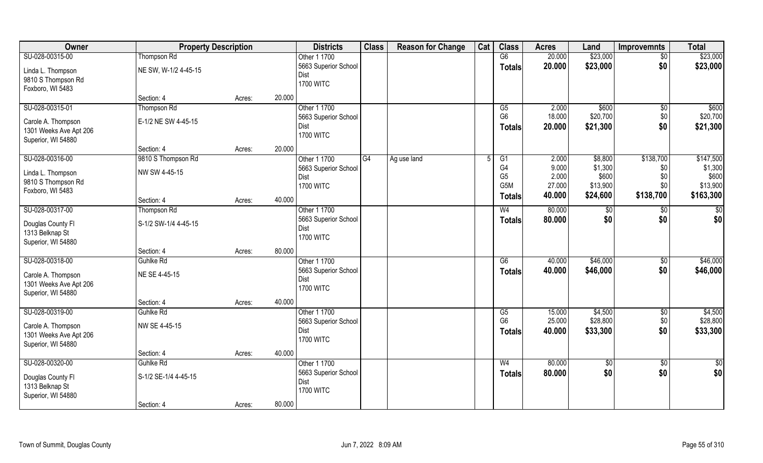| Owner                  | <b>Property Description</b> |        |        | <b>Districts</b>     | <b>Class</b> | <b>Reason for Change</b> | Cat | <b>Class</b>     | <b>Acres</b> | Land        | <b>Improvemnts</b> | <b>Total</b>    |
|------------------------|-----------------------------|--------|--------|----------------------|--------------|--------------------------|-----|------------------|--------------|-------------|--------------------|-----------------|
| SU-028-00315-00        | <b>Thompson Rd</b>          |        |        | Other 1 1700         |              |                          |     | $\overline{G6}$  | 20.000       | \$23,000    | $\sqrt{$0}$        | \$23,000        |
| Linda L. Thompson      | NE SW, W-1/2 4-45-15        |        |        | 5663 Superior School |              |                          |     | <b>Totals</b>    | 20.000       | \$23,000    | \$0                | \$23,000        |
| 9810 S Thompson Rd     |                             |        |        | Dist                 |              |                          |     |                  |              |             |                    |                 |
| Foxboro, WI 5483       |                             |        |        | <b>1700 WITC</b>     |              |                          |     |                  |              |             |                    |                 |
|                        | Section: 4                  | Acres: | 20.000 |                      |              |                          |     |                  |              |             |                    |                 |
| SU-028-00315-01        | Thompson Rd                 |        |        | Other 1 1700         |              |                          |     | G5               | 2.000        | \$600       | \$0                | \$600           |
| Carole A. Thompson     | E-1/2 NE SW 4-45-15         |        |        | 5663 Superior School |              |                          |     | G <sub>6</sub>   | 18.000       | \$20,700    | \$0                | \$20,700        |
| 1301 Weeks Ave Apt 206 |                             |        |        | <b>Dist</b>          |              |                          |     | <b>Totals</b>    | 20.000       | \$21,300    | \$0                | \$21,300        |
| Superior, WI 54880     |                             |        |        | <b>1700 WITC</b>     |              |                          |     |                  |              |             |                    |                 |
|                        | Section: 4                  | Acres: | 20.000 |                      |              |                          |     |                  |              |             |                    |                 |
| SU-028-00316-00        | 9810 S Thompson Rd          |        |        | Other 1 1700         | G4           | Ag use land              |     | G1               | 2.000        | \$8,800     | \$138,700          | \$147,500       |
| Linda L. Thompson      | NW SW 4-45-15               |        |        | 5663 Superior School |              |                          |     | G4               | 9.000        | \$1,300     | \$0                | \$1,300         |
| 9810 S Thompson Rd     |                             |        |        | Dist                 |              |                          |     | G <sub>5</sub>   | 2.000        | \$600       | \$0                | \$600           |
| Foxboro, WI 5483       |                             |        |        | <b>1700 WITC</b>     |              |                          |     | G <sub>5</sub> M | 27.000       | \$13,900    | \$0                | \$13,900        |
|                        | Section: 4                  | Acres: | 40.000 |                      |              |                          |     | <b>Totals</b>    | 40.000       | \$24,600    | \$138,700          | \$163,300       |
| SU-028-00317-00        | Thompson Rd                 |        |        | Other 1 1700         |              |                          |     | W <sub>4</sub>   | 80.000       | $ $ \$0     | \$0                | \$0             |
| Douglas County FI      | S-1/2 SW-1/4 4-45-15        |        |        | 5663 Superior School |              |                          |     | <b>Totals</b>    | 80.000       | \$0         | \$0                | \$0             |
| 1313 Belknap St        |                             |        |        | <b>Dist</b>          |              |                          |     |                  |              |             |                    |                 |
| Superior, WI 54880     |                             |        |        | <b>1700 WITC</b>     |              |                          |     |                  |              |             |                    |                 |
|                        | Section: 4                  | Acres: | 80.000 |                      |              |                          |     |                  |              |             |                    |                 |
| SU-028-00318-00        | Guhlke Rd                   |        |        | Other 1 1700         |              |                          |     | $\overline{G6}$  | 40.000       | \$46,000    | $\overline{50}$    | \$46,000        |
| Carole A. Thompson     | NE SE 4-45-15               |        |        | 5663 Superior School |              |                          |     | <b>Totals</b>    | 40.000       | \$46,000    | \$0                | \$46,000        |
| 1301 Weeks Ave Apt 206 |                             |        |        | <b>Dist</b>          |              |                          |     |                  |              |             |                    |                 |
| Superior, WI 54880     |                             |        |        | <b>1700 WITC</b>     |              |                          |     |                  |              |             |                    |                 |
|                        | Section: 4                  | Acres: | 40.000 |                      |              |                          |     |                  |              |             |                    |                 |
| SU-028-00319-00        | Guhlke Rd                   |        |        | Other 1 1700         |              |                          |     | G5               | 15.000       | \$4,500     | $\sqrt{$0}$        | \$4,500         |
| Carole A. Thompson     | NW SE 4-45-15               |        |        | 5663 Superior School |              |                          |     | G <sub>6</sub>   | 25.000       | \$28,800    | \$0                | \$28,800        |
| 1301 Weeks Ave Apt 206 |                             |        |        | Dist                 |              |                          |     | <b>Totals</b>    | 40.000       | \$33,300    | \$0                | \$33,300        |
| Superior, WI 54880     |                             |        |        | <b>1700 WITC</b>     |              |                          |     |                  |              |             |                    |                 |
|                        | Section: 4                  | Acres: | 40.000 |                      |              |                          |     |                  |              |             |                    |                 |
| SU-028-00320-00        | Guhlke Rd                   |        |        | Other 1 1700         |              |                          |     | W <sub>4</sub>   | 80.000       | $\sqrt{$0}$ | $\sqrt{$0}$        | $\overline{50}$ |
| Douglas County Fl      | S-1/2 SE-1/4 4-45-15        |        |        | 5663 Superior School |              |                          |     | <b>Totals</b>    | 80.000       | \$0         | \$0                | \$0             |
| 1313 Belknap St        |                             |        |        | <b>Dist</b>          |              |                          |     |                  |              |             |                    |                 |
| Superior, WI 54880     |                             |        |        | <b>1700 WITC</b>     |              |                          |     |                  |              |             |                    |                 |
|                        | Section: 4                  | Acres: | 80.000 |                      |              |                          |     |                  |              |             |                    |                 |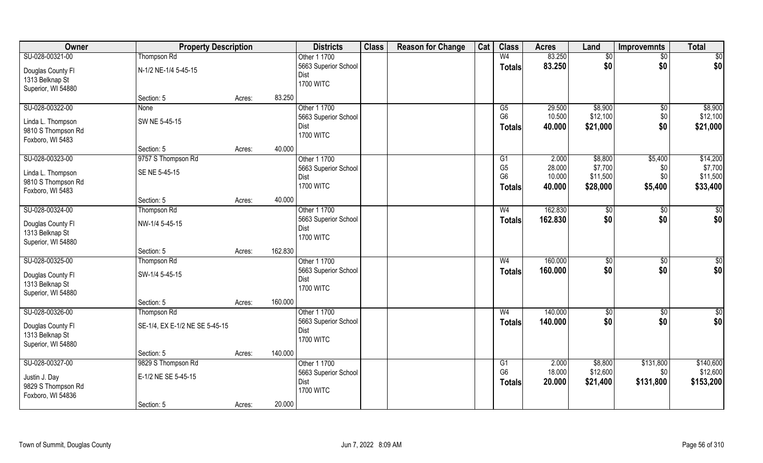| Owner              | <b>Property Description</b>    |        |         | <b>Districts</b>     | <b>Class</b> | <b>Reason for Change</b> | Cat | <b>Class</b>   | <b>Acres</b> | Land        | <b>Improvemnts</b> | <b>Total</b>    |
|--------------------|--------------------------------|--------|---------|----------------------|--------------|--------------------------|-----|----------------|--------------|-------------|--------------------|-----------------|
| SU-028-00321-00    | Thompson Rd                    |        |         | Other 1 1700         |              |                          |     | W <sub>4</sub> | 83.250       | \$0         | $\sqrt{$0}$        | $\overline{50}$ |
| Douglas County Fl  | N-1/2 NE-1/4 5-45-15           |        |         | 5663 Superior School |              |                          |     | <b>Totals</b>  | 83.250       | \$0         | \$0                | \$0             |
| 1313 Belknap St    |                                |        |         | Dist                 |              |                          |     |                |              |             |                    |                 |
| Superior, WI 54880 |                                |        |         | <b>1700 WITC</b>     |              |                          |     |                |              |             |                    |                 |
|                    | Section: 5                     | Acres: | 83.250  |                      |              |                          |     |                |              |             |                    |                 |
| SU-028-00322-00    | None                           |        |         | Other 1 1700         |              |                          |     | G5             | 29.500       | \$8,900     | \$0                | \$8,900         |
| Linda L. Thompson  | SW NE 5-45-15                  |        |         | 5663 Superior School |              |                          |     | G <sub>6</sub> | 10.500       | \$12,100    | \$0                | \$12,100        |
| 9810 S Thompson Rd |                                |        |         | Dist                 |              |                          |     | <b>Totals</b>  | 40.000       | \$21,000    | \$0                | \$21,000        |
| Foxboro, WI 5483   |                                |        |         | <b>1700 WITC</b>     |              |                          |     |                |              |             |                    |                 |
|                    | Section: 5                     | Acres: | 40.000  |                      |              |                          |     |                |              |             |                    |                 |
| SU-028-00323-00    | 9757 S Thompson Rd             |        |         | Other 1 1700         |              |                          |     | G1             | 2.000        | \$8,800     | \$5,400            | \$14,200        |
| Linda L. Thompson  | SE NE 5-45-15                  |        |         | 5663 Superior School |              |                          |     | G <sub>5</sub> | 28.000       | \$7,700     | \$0                | \$7,700         |
| 9810 S Thompson Rd |                                |        |         | Dist                 |              |                          |     | G <sub>6</sub> | 10.000       | \$11,500    | \$0                | \$11,500        |
| Foxboro, WI 5483   |                                |        |         | <b>1700 WITC</b>     |              |                          |     | Totals         | 40.000       | \$28,000    | \$5,400            | \$33,400        |
|                    | Section: 5                     | Acres: | 40.000  |                      |              |                          |     |                |              |             |                    |                 |
| SU-028-00324-00    | Thompson Rd                    |        |         | Other 1 1700         |              |                          |     | W <sub>4</sub> | 162.830      | \$0         | \$0                | \$0             |
| Douglas County Fl  | NW-1/4 5-45-15                 |        |         | 5663 Superior School |              |                          |     | <b>Totals</b>  | 162.830      | \$0         | \$0                | \$0             |
| 1313 Belknap St    |                                |        |         | Dist                 |              |                          |     |                |              |             |                    |                 |
| Superior, WI 54880 |                                |        |         | <b>1700 WITC</b>     |              |                          |     |                |              |             |                    |                 |
|                    | Section: 5                     | Acres: | 162.830 |                      |              |                          |     |                |              |             |                    |                 |
| SU-028-00325-00    | Thompson Rd                    |        |         | Other 1 1700         |              |                          |     | W <sub>4</sub> | 160.000      | $\sqrt{50}$ | $\overline{50}$    | $\sqrt{50}$     |
| Douglas County Fl  | SW-1/4 5-45-15                 |        |         | 5663 Superior School |              |                          |     | <b>Totals</b>  | 160.000      | \$0         | \$0                | \$0             |
| 1313 Belknap St    |                                |        |         | Dist                 |              |                          |     |                |              |             |                    |                 |
| Superior, WI 54880 |                                |        |         | <b>1700 WITC</b>     |              |                          |     |                |              |             |                    |                 |
|                    | Section: 5                     | Acres: | 160.000 |                      |              |                          |     |                |              |             |                    |                 |
| SU-028-00326-00    | Thompson Rd                    |        |         | Other 1 1700         |              |                          |     | W <sub>4</sub> | 140.000      | \$0         | $\sqrt{$0}$        | $\overline{50}$ |
| Douglas County Fl  | SE-1/4, EX E-1/2 NE SE 5-45-15 |        |         | 5663 Superior School |              |                          |     | <b>Totals</b>  | 140.000      | \$0         | \$0                | \$0             |
| 1313 Belknap St    |                                |        |         | Dist                 |              |                          |     |                |              |             |                    |                 |
| Superior, WI 54880 |                                |        |         | <b>1700 WITC</b>     |              |                          |     |                |              |             |                    |                 |
|                    | Section: 5                     | Acres: | 140.000 |                      |              |                          |     |                |              |             |                    |                 |
| SU-028-00327-00    | 9829 S Thompson Rd             |        |         | Other 1 1700         |              |                          |     | G1             | 2.000        | \$8,800     | \$131,800          | \$140,600       |
| Justin J. Day      | E-1/2 NE SE 5-45-15            |        |         | 5663 Superior School |              |                          |     | G <sub>6</sub> | 18.000       | \$12,600    | \$0                | \$12,600        |
| 9829 S Thompson Rd |                                |        |         | Dist                 |              |                          |     | <b>Totals</b>  | 20.000       | \$21,400    | \$131,800          | \$153,200       |
| Foxboro, WI 54836  |                                |        |         | <b>1700 WITC</b>     |              |                          |     |                |              |             |                    |                 |
|                    | Section: 5                     | Acres: | 20.000  |                      |              |                          |     |                |              |             |                    |                 |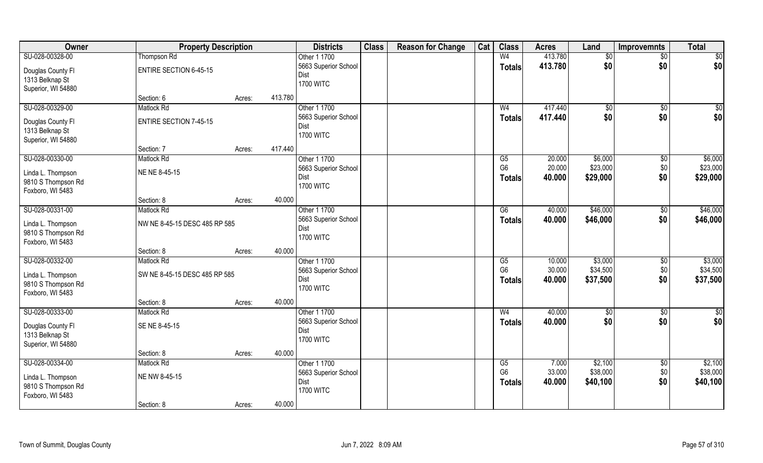| Owner              | <b>Property Description</b>   |        |         | <b>Districts</b>         | <b>Class</b> | <b>Reason for Change</b> | Cat | <b>Class</b>           | <b>Acres</b> | Land           | <b>Improvemnts</b> | <b>Total</b>    |
|--------------------|-------------------------------|--------|---------|--------------------------|--------------|--------------------------|-----|------------------------|--------------|----------------|--------------------|-----------------|
| SU-028-00328-00    | Thompson Rd                   |        |         | Other 1 1700             |              |                          |     | W <sub>4</sub>         | 413.780      | \$0            | $\frac{1}{30}$     | \$0             |
| Douglas County Fl  | <b>ENTIRE SECTION 6-45-15</b> |        |         | 5663 Superior School     |              |                          |     | <b>Totals</b>          | 413.780      | \$0            | \$0                | \$0             |
| 1313 Belknap St    |                               |        |         | Dist                     |              |                          |     |                        |              |                |                    |                 |
| Superior, WI 54880 |                               |        |         | <b>1700 WITC</b>         |              |                          |     |                        |              |                |                    |                 |
|                    | Section: 6                    | Acres: | 413.780 |                          |              |                          |     |                        |              |                |                    |                 |
| SU-028-00329-00    | <b>Matlock Rd</b>             |        |         | Other 1 1700             |              |                          |     | W <sub>4</sub>         | 417.440      | $\sqrt[6]{30}$ | \$0                | \$0             |
| Douglas County Fl  | <b>ENTIRE SECTION 7-45-15</b> |        |         | 5663 Superior School     |              |                          |     | <b>Totals</b>          | 417.440      | \$0            | \$0                | \$0             |
| 1313 Belknap St    |                               |        |         | Dist                     |              |                          |     |                        |              |                |                    |                 |
| Superior, WI 54880 |                               |        |         | <b>1700 WITC</b>         |              |                          |     |                        |              |                |                    |                 |
|                    | Section: 7                    | Acres: | 417.440 |                          |              |                          |     |                        |              |                |                    |                 |
| SU-028-00330-00    | <b>Matlock Rd</b>             |        |         | Other 1 1700             |              |                          |     | G5                     | 20.000       | \$6,000        | $\sqrt[6]{30}$     | \$6,000         |
| Linda L. Thompson  | NE NE 8-45-15                 |        |         | 5663 Superior School     |              |                          |     | G <sub>6</sub>         | 20.000       | \$23,000       | \$0                | \$23,000        |
| 9810 S Thompson Rd |                               |        |         | Dist                     |              |                          |     | <b>Totals</b>          | 40.000       | \$29,000       | \$0                | \$29,000        |
| Foxboro, WI 5483   |                               |        |         | <b>1700 WITC</b>         |              |                          |     |                        |              |                |                    |                 |
|                    | Section: 8                    | Acres: | 40.000  |                          |              |                          |     |                        |              |                |                    |                 |
| SU-028-00331-00    | <b>Matlock Rd</b>             |        |         | Other 1 1700             |              |                          |     | $\overline{G6}$        | 40.000       | \$46,000       | $\sqrt[6]{3}$      | \$46,000        |
|                    |                               |        |         | 5663 Superior School     |              |                          |     | <b>Totals</b>          | 40.000       | \$46,000       | \$0                | \$46,000        |
| Linda L. Thompson  | NW NE 8-45-15 DESC 485 RP 585 |        |         | Dist                     |              |                          |     |                        |              |                |                    |                 |
| 9810 S Thompson Rd |                               |        |         | <b>1700 WITC</b>         |              |                          |     |                        |              |                |                    |                 |
| Foxboro, WI 5483   | Section: 8                    | Acres: | 40.000  |                          |              |                          |     |                        |              |                |                    |                 |
| SU-028-00332-00    | <b>Matlock Rd</b>             |        |         | Other 1 1700             |              |                          |     | $\overline{\text{G5}}$ | 10.000       | \$3,000        | \$0                | \$3,000         |
|                    |                               |        |         | 5663 Superior School     |              |                          |     | G <sub>6</sub>         | 30.000       | \$34,500       | \$0                | \$34,500        |
| Linda L. Thompson  | SW NE 8-45-15 DESC 485 RP 585 |        |         | Dist                     |              |                          |     | <b>Totals</b>          | 40.000       | \$37,500       | \$0                | \$37,500        |
| 9810 S Thompson Rd |                               |        |         | <b>1700 WITC</b>         |              |                          |     |                        |              |                |                    |                 |
| Foxboro, WI 5483   |                               |        |         |                          |              |                          |     |                        |              |                |                    |                 |
|                    | Section: 8                    | Acres: | 40.000  |                          |              |                          |     |                        |              |                |                    |                 |
| SU-028-00333-00    | <b>Matlock Rd</b>             |        |         | Other 1 1700             |              |                          |     | W <sub>4</sub>         | 40.000       | \$0            | $\frac{6}{3}$      | $\overline{50}$ |
| Douglas County Fl  | SE NE 8-45-15                 |        |         | 5663 Superior School     |              |                          |     | <b>Totals</b>          | 40.000       | \$0            | \$0                | \$0             |
| 1313 Belknap St    |                               |        |         | Dist<br><b>1700 WITC</b> |              |                          |     |                        |              |                |                    |                 |
| Superior, WI 54880 |                               |        |         |                          |              |                          |     |                        |              |                |                    |                 |
|                    | Section: 8                    | Acres: | 40.000  |                          |              |                          |     |                        |              |                |                    |                 |
| SU-028-00334-00    | <b>Matlock Rd</b>             |        |         | Other 1 1700             |              |                          |     | G5                     | 7.000        | \$2,100        | $\sqrt{$0}$        | \$2,100         |
| Linda L. Thompson  | NE NW 8-45-15                 |        |         | 5663 Superior School     |              |                          |     | G <sub>6</sub>         | 33.000       | \$38,000       | \$0                | \$38,000        |
| 9810 S Thompson Rd |                               |        |         | Dist                     |              |                          |     | Totals                 | 40.000       | \$40,100       | \$0                | \$40,100        |
| Foxboro, WI 5483   |                               |        |         | <b>1700 WITC</b>         |              |                          |     |                        |              |                |                    |                 |
|                    | Section: 8                    | Acres: | 40.000  |                          |              |                          |     |                        |              |                |                    |                 |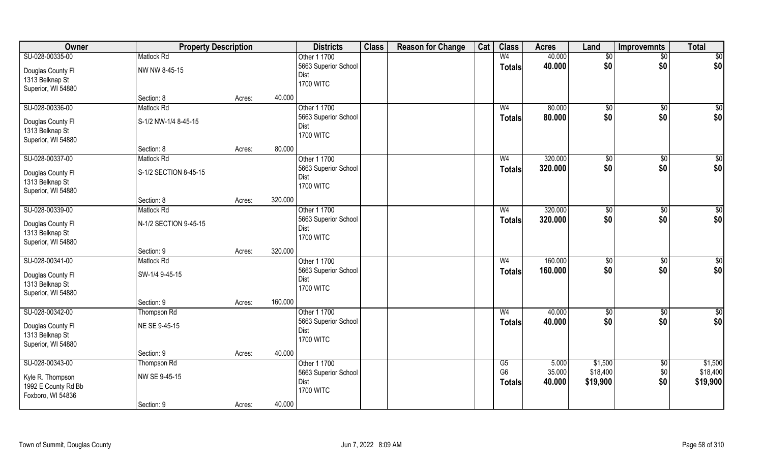| Owner                                                                           | <b>Property Description</b>                |                   | <b>Districts</b>                                                 | <b>Class</b> | <b>Reason for Change</b> | Cat | <b>Class</b>                          | <b>Acres</b>              | Land                            | Improvemnts           | <b>Total</b>                    |
|---------------------------------------------------------------------------------|--------------------------------------------|-------------------|------------------------------------------------------------------|--------------|--------------------------|-----|---------------------------------------|---------------------------|---------------------------------|-----------------------|---------------------------------|
| SU-028-00335-00                                                                 | <b>Matlock Rd</b>                          |                   | Other 1 1700                                                     |              |                          |     | W <sub>4</sub>                        | 40.000                    | \$0                             | $\overline{50}$       | \$0                             |
| Douglas County Fl<br>1313 Belknap St<br>Superior, WI 54880                      | NW NW 8-45-15                              |                   | 5663 Superior School<br>Dist<br><b>1700 WITC</b>                 |              |                          |     | <b>Totals</b>                         | 40.000                    | \$0                             | \$0                   | \$0                             |
|                                                                                 | Section: 8                                 | 40.000<br>Acres:  |                                                                  |              |                          |     |                                       |                           |                                 |                       |                                 |
| SU-028-00336-00<br>Douglas County Fl<br>1313 Belknap St<br>Superior, WI 54880   | <b>Matlock Rd</b><br>S-1/2 NW-1/4 8-45-15  |                   | Other 1 1700<br>5663 Superior School<br>Dist<br><b>1700 WITC</b> |              |                          |     | W <sub>4</sub><br><b>Totals</b>       | 80.000<br>80.000          | \$0<br>\$0                      | \$0<br>\$0            | $\sqrt{50}$<br>\$0              |
|                                                                                 | Section: 8                                 | 80.000<br>Acres:  |                                                                  |              |                          |     |                                       |                           |                                 |                       |                                 |
| SU-028-00337-00<br>Douglas County Fl<br>1313 Belknap St<br>Superior, WI 54880   | <b>Matlock Rd</b><br>S-1/2 SECTION 8-45-15 |                   | Other 1 1700<br>5663 Superior School<br>Dist<br><b>1700 WITC</b> |              |                          |     | W <sub>4</sub><br><b>Totals</b>       | 320.000<br>320.000        | $\sqrt[6]{3}$<br>\$0            | $\sqrt[6]{3}$<br>\$0  | \$0<br>\$0                      |
|                                                                                 | Section: 8                                 | 320.000<br>Acres: |                                                                  |              |                          |     |                                       |                           |                                 |                       |                                 |
| SU-028-00339-00<br>Douglas County Fl<br>1313 Belknap St<br>Superior, WI 54880   | <b>Matlock Rd</b><br>N-1/2 SECTION 9-45-15 |                   | Other 1 1700<br>5663 Superior School<br>Dist<br><b>1700 WITC</b> |              |                          |     | W <sub>4</sub><br><b>Totals</b>       | 320.000<br>320.000        | $\frac{1}{20}$<br>\$0           | $\frac{1}{2}$<br>\$0  | \$0<br>\$0                      |
|                                                                                 | Section: 9                                 | 320.000<br>Acres: |                                                                  |              |                          |     |                                       |                           |                                 |                       |                                 |
| SU-028-00341-00<br>Douglas County Fl<br>1313 Belknap St<br>Superior, WI 54880   | <b>Matlock Rd</b><br>SW-1/4 9-45-15        |                   | Other 1 1700<br>5663 Superior School<br>Dist<br><b>1700 WITC</b> |              |                          |     | W <sub>4</sub><br><b>Totals</b>       | 160.000<br>160.000        | \$0<br>\$0                      | $\sqrt[6]{30}$<br>\$0 | $\overline{50}$<br>\$0          |
|                                                                                 | Section: 9                                 | 160.000<br>Acres: |                                                                  |              |                          |     |                                       |                           |                                 |                       |                                 |
| SU-028-00342-00<br>Douglas County Fl<br>1313 Belknap St<br>Superior, WI 54880   | Thompson Rd<br>NE SE 9-45-15               |                   | Other 1 1700<br>5663 Superior School<br>Dist<br><b>1700 WITC</b> |              |                          |     | W <sub>4</sub><br><b>Totals</b>       | 40.000<br>40.000          | \$0<br>\$0                      | \$0<br>\$0            | $\overline{50}$<br>\$0          |
|                                                                                 | Section: 9                                 | 40.000<br>Acres:  |                                                                  |              |                          |     |                                       |                           |                                 |                       |                                 |
| SU-028-00343-00<br>Kyle R. Thompson<br>1992 E County Rd Bb<br>Foxboro, WI 54836 | Thompson Rd<br>NW SE 9-45-15<br>Section: 9 | 40.000<br>Acres:  | Other 1 1700<br>5663 Superior School<br>Dist<br><b>1700 WITC</b> |              |                          |     | G5<br>G <sub>6</sub><br><b>Totals</b> | 5.000<br>35.000<br>40.000 | \$1,500<br>\$18,400<br>\$19,900 | \$0<br>\$0<br>\$0     | \$1,500<br>\$18,400<br>\$19,900 |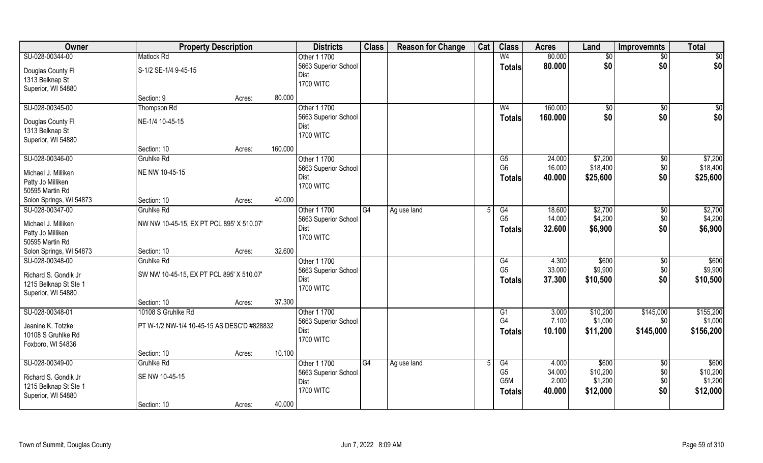| Owner                                         | <b>Property Description</b>                |        |         | <b>Districts</b>     | <b>Class</b> | <b>Reason for Change</b> | Cat | <b>Class</b>   | <b>Acres</b> | Land         | <b>Improvemnts</b> | <b>Total</b>    |
|-----------------------------------------------|--------------------------------------------|--------|---------|----------------------|--------------|--------------------------|-----|----------------|--------------|--------------|--------------------|-----------------|
| SU-028-00344-00                               | <b>Matlock Rd</b>                          |        |         | Other 1 1700         |              |                          |     | W <sub>4</sub> | 80.000       | $\sqrt[6]{}$ | \$0                | $\overline{50}$ |
| Douglas County Fl                             | S-1/2 SE-1/4 9-45-15                       |        |         | 5663 Superior School |              |                          |     | <b>Totals</b>  | 80,000       | \$0          | \$0                | \$0             |
| 1313 Belknap St                               |                                            |        |         | Dist                 |              |                          |     |                |              |              |                    |                 |
| Superior, WI 54880                            |                                            |        |         | <b>1700 WITC</b>     |              |                          |     |                |              |              |                    |                 |
|                                               | Section: 9                                 | Acres: | 80.000  |                      |              |                          |     |                |              |              |                    |                 |
| SU-028-00345-00                               | Thompson Rd                                |        |         | Other 1 1700         |              |                          |     | W <sub>4</sub> | 160.000      | $\sqrt[6]{}$ | $\sqrt{$0}$        | \$0             |
|                                               |                                            |        |         | 5663 Superior School |              |                          |     | <b>Totals</b>  | 160.000      | \$0          | \$0                | \$0             |
| Douglas County Fl                             | NE-1/4 10-45-15                            |        |         | Dist                 |              |                          |     |                |              |              |                    |                 |
| 1313 Belknap St                               |                                            |        |         | <b>1700 WITC</b>     |              |                          |     |                |              |              |                    |                 |
| Superior, WI 54880                            |                                            |        |         |                      |              |                          |     |                |              |              |                    |                 |
|                                               | Section: 10                                | Acres: | 160.000 |                      |              |                          |     |                |              |              |                    |                 |
| SU-028-00346-00                               | Gruhlke Rd                                 |        |         | Other 1 1700         |              |                          |     | G5             | 24.000       | \$7,200      | $\sqrt[6]{3}$      | \$7,200         |
| Michael J. Milliken                           | NE NW 10-45-15                             |        |         | 5663 Superior School |              |                          |     | G <sub>6</sub> | 16.000       | \$18,400     | \$0                | \$18,400        |
| Patty Jo Milliken                             |                                            |        |         | Dist                 |              |                          |     | <b>Totals</b>  | 40.000       | \$25,600     | \$0                | \$25,600        |
| 50595 Martin Rd                               |                                            |        |         | <b>1700 WITC</b>     |              |                          |     |                |              |              |                    |                 |
| Solon Springs, WI 54873                       | Section: 10                                | Acres: | 40.000  |                      |              |                          |     |                |              |              |                    |                 |
| SU-028-00347-00                               | Gruhlke Rd                                 |        |         | Other 1 1700         | G4           | Ag use land              |     | G4             | 18.600       | \$2,700      | $\sqrt[6]{3}$      | \$2,700         |
|                                               |                                            |        |         | 5663 Superior School |              |                          |     | G <sub>5</sub> | 14.000       | \$4,200      | \$0                | \$4,200         |
| Michael J. Milliken                           | NW NW 10-45-15, EX PT PCL 895' X 510.07'   |        |         | Dist                 |              |                          |     | <b>Totals</b>  | 32.600       | \$6,900      | \$0                | \$6,900         |
| Patty Jo Milliken                             |                                            |        |         | <b>1700 WITC</b>     |              |                          |     |                |              |              |                    |                 |
| 50595 Martin Rd                               |                                            |        |         |                      |              |                          |     |                |              |              |                    |                 |
| Solon Springs, WI 54873                       | Section: 10                                | Acres: | 32.600  |                      |              |                          |     |                |              |              |                    |                 |
| SU-028-00348-00                               | <b>Gruhlke Rd</b>                          |        |         | Other 1 1700         |              |                          |     | G4             | 4.300        | \$600        | $\sqrt[6]{30}$     | \$600           |
| Richard S. Gondik Jr                          | SW NW 10-45-15, EX PT PCL 895' X 510.07'   |        |         | 5663 Superior School |              |                          |     | G <sub>5</sub> | 33.000       | \$9,900      | \$0                | \$9,900         |
| 1215 Belknap St Ste 1                         |                                            |        |         | Dist                 |              |                          |     | Totals         | 37.300       | \$10,500     | \$0                | \$10,500        |
| Superior, WI 54880                            |                                            |        |         | <b>1700 WITC</b>     |              |                          |     |                |              |              |                    |                 |
|                                               | Section: 10                                | Acres: | 37.300  |                      |              |                          |     |                |              |              |                    |                 |
| SU-028-00348-01                               | 10108 S Gruhlke Rd                         |        |         | Other 1 1700         |              |                          |     | G1             | 3.000        | \$10,200     | \$145,000          | \$155,200       |
| Jeanine K. Totzke                             | PT W-1/2 NW-1/4 10-45-15 AS DESC'D #828832 |        |         | 5663 Superior School |              |                          |     | G4             | 7.100        | \$1,000      | \$0                | \$1,000         |
| 10108 S Gruhlke Rd                            |                                            |        |         | Dist                 |              |                          |     | <b>Totals</b>  | 10.100       | \$11,200     | \$145,000          | \$156,200       |
| Foxboro, WI 54836                             |                                            |        |         | <b>1700 WITC</b>     |              |                          |     |                |              |              |                    |                 |
|                                               | Section: 10                                | Acres: | 10.100  |                      |              |                          |     |                |              |              |                    |                 |
| SU-028-00349-00                               | Gruhlke Rd                                 |        |         | Other 1 1700         | G4           | Ag use land              |     | G4             | 4.000        | \$600        | $\sqrt{6}$         | \$600           |
|                                               | SE NW 10-45-15                             |        |         | 5663 Superior School |              |                          |     | G <sub>5</sub> | 34.000       | \$10,200     | \$0                | \$10,200        |
| Richard S. Gondik Jr<br>1215 Belknap St Ste 1 |                                            |        |         | Dist                 |              |                          |     | G5M            | 2.000        | \$1,200      | \$0                | \$1,200         |
|                                               |                                            |        |         | <b>1700 WITC</b>     |              |                          |     | <b>Totals</b>  | 40.000       | \$12,000     | \$0                | \$12,000        |
| Superior, WI 54880                            | Section: 10                                | Acres: | 40.000  |                      |              |                          |     |                |              |              |                    |                 |
|                                               |                                            |        |         |                      |              |                          |     |                |              |              |                    |                 |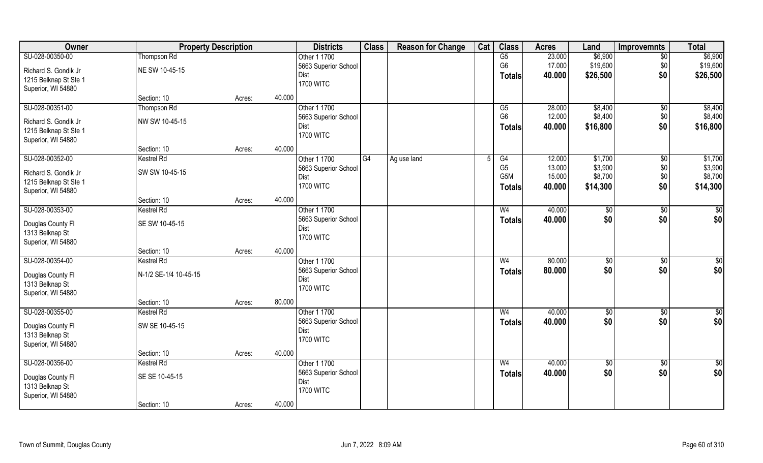| \$6,900<br>$\overline{\text{G5}}$<br>\$6,900<br>SU-028-00350-00<br>Other 1 1700<br>23.000<br><b>Thompson Rd</b><br>$\sqrt{6}$<br>G <sub>6</sub><br>17.000<br>\$19,600<br>\$0<br>\$19,600<br>5663 Superior School<br>NE SW 10-45-15<br>Richard S. Gondik Jr<br>\$0<br>\$26,500<br>Dist<br>40.000<br>\$26,500<br><b>Totals</b><br>1215 Belknap St Ste 1<br><b>1700 WITC</b><br>Superior, WI 54880<br>40.000<br>Section: 10<br>Acres:<br>Other 1 1700<br>\$8,400<br>\$8,400<br>SU-028-00351-00<br>Thompson Rd<br>G5<br>28.000<br>\$0<br>G <sub>6</sub><br>\$8,400<br>\$0<br>\$8,400<br>12.000<br>5663 Superior School<br>NW SW 10-45-15<br>Richard S. Gondik Jr<br>\$0<br>\$16,800<br>Dist<br>40.000<br>\$16,800<br><b>Totals</b><br>1215 Belknap St Ste 1<br><b>1700 WITC</b><br>Superior, WI 54880<br>40.000<br>Section: 10<br>Acres:<br>SU-028-00352-00<br>Other 1 1700<br>G4<br>G4<br>12.000<br>\$1,700<br>\$0<br><b>Kestrel Rd</b><br>Ag use land<br>G <sub>5</sub><br>\$3,900<br>\$0<br>13.000<br>5663 Superior School<br>SW SW 10-45-15<br>Richard S. Gondik Jr<br>G5M<br>\$8,700<br>\$0<br>15.000<br>Dist<br>1215 Belknap St Ste 1<br><b>1700 WITC</b><br>\$0<br>\$14,300<br>\$14,300<br>40.000<br>Totals<br>Superior, WI 54880<br>40.000<br>Section: 10<br>Acres:<br>SU-028-00353-00<br>Other 1 1700<br>40.000<br><b>Kestrel Rd</b><br>$\sqrt[6]{3}$<br>\$0<br>W <sub>4</sub><br>\$0<br>\$0<br>\$0<br>5663 Superior School<br>40.000<br>\$0<br>Totals<br>SE SW 10-45-15<br>Douglas County FI<br>Dist<br>1313 Belknap St<br><b>1700 WITC</b><br>Superior, WI 54880<br>40.000<br>Section: 10<br>Acres:<br>SU-028-00354-00<br>Other 1 1700<br>80.000<br><b>Kestrel Rd</b><br>W <sub>4</sub><br>\$0<br>\$0<br>\$0<br>80.000<br>\$0<br>\$0<br>5663 Superior School<br><b>Totals</b><br>N-1/2 SE-1/4 10-45-15<br>Douglas County FI<br>Dist<br>1313 Belknap St<br><b>1700 WITC</b><br>Superior, WI 54880<br>80.000<br>Section: 10<br>Acres:<br>SU-028-00355-00<br>Other 1 1700<br>W <sub>4</sub><br>40.000<br>$\sqrt{6}$<br><b>Kestrel Rd</b><br>\$0 | Owner | <b>Property Description</b> |  | <b>Districts</b>     | <b>Class</b> | <b>Reason for Change</b> | Cat | <b>Class</b>  | <b>Acres</b> | Land | <b>Improvemnts</b> | <b>Total</b> |
|-----------------------------------------------------------------------------------------------------------------------------------------------------------------------------------------------------------------------------------------------------------------------------------------------------------------------------------------------------------------------------------------------------------------------------------------------------------------------------------------------------------------------------------------------------------------------------------------------------------------------------------------------------------------------------------------------------------------------------------------------------------------------------------------------------------------------------------------------------------------------------------------------------------------------------------------------------------------------------------------------------------------------------------------------------------------------------------------------------------------------------------------------------------------------------------------------------------------------------------------------------------------------------------------------------------------------------------------------------------------------------------------------------------------------------------------------------------------------------------------------------------------------------------------------------------------------------------------------------------------------------------------------------------------------------------------------------------------------------------------------------------------------------------------------------------------------------------------------------------------------------------------------------------------------------------------------------------------------------------------------------------------------------------------------------|-------|-----------------------------|--|----------------------|--------------|--------------------------|-----|---------------|--------------|------|--------------------|--------------|
|                                                                                                                                                                                                                                                                                                                                                                                                                                                                                                                                                                                                                                                                                                                                                                                                                                                                                                                                                                                                                                                                                                                                                                                                                                                                                                                                                                                                                                                                                                                                                                                                                                                                                                                                                                                                                                                                                                                                                                                                                                                     |       |                             |  |                      |              |                          |     |               |              |      |                    |              |
|                                                                                                                                                                                                                                                                                                                                                                                                                                                                                                                                                                                                                                                                                                                                                                                                                                                                                                                                                                                                                                                                                                                                                                                                                                                                                                                                                                                                                                                                                                                                                                                                                                                                                                                                                                                                                                                                                                                                                                                                                                                     |       |                             |  |                      |              |                          |     |               |              |      |                    |              |
|                                                                                                                                                                                                                                                                                                                                                                                                                                                                                                                                                                                                                                                                                                                                                                                                                                                                                                                                                                                                                                                                                                                                                                                                                                                                                                                                                                                                                                                                                                                                                                                                                                                                                                                                                                                                                                                                                                                                                                                                                                                     |       |                             |  |                      |              |                          |     |               |              |      |                    |              |
|                                                                                                                                                                                                                                                                                                                                                                                                                                                                                                                                                                                                                                                                                                                                                                                                                                                                                                                                                                                                                                                                                                                                                                                                                                                                                                                                                                                                                                                                                                                                                                                                                                                                                                                                                                                                                                                                                                                                                                                                                                                     |       |                             |  |                      |              |                          |     |               |              |      |                    |              |
|                                                                                                                                                                                                                                                                                                                                                                                                                                                                                                                                                                                                                                                                                                                                                                                                                                                                                                                                                                                                                                                                                                                                                                                                                                                                                                                                                                                                                                                                                                                                                                                                                                                                                                                                                                                                                                                                                                                                                                                                                                                     |       |                             |  |                      |              |                          |     |               |              |      |                    |              |
| \$1,700<br>\$3,900<br>\$8,700<br>$\overline{50}$<br>$\overline{50}$                                                                                                                                                                                                                                                                                                                                                                                                                                                                                                                                                                                                                                                                                                                                                                                                                                                                                                                                                                                                                                                                                                                                                                                                                                                                                                                                                                                                                                                                                                                                                                                                                                                                                                                                                                                                                                                                                                                                                                                 |       |                             |  |                      |              |                          |     |               |              |      |                    |              |
|                                                                                                                                                                                                                                                                                                                                                                                                                                                                                                                                                                                                                                                                                                                                                                                                                                                                                                                                                                                                                                                                                                                                                                                                                                                                                                                                                                                                                                                                                                                                                                                                                                                                                                                                                                                                                                                                                                                                                                                                                                                     |       |                             |  |                      |              |                          |     |               |              |      |                    |              |
|                                                                                                                                                                                                                                                                                                                                                                                                                                                                                                                                                                                                                                                                                                                                                                                                                                                                                                                                                                                                                                                                                                                                                                                                                                                                                                                                                                                                                                                                                                                                                                                                                                                                                                                                                                                                                                                                                                                                                                                                                                                     |       |                             |  |                      |              |                          |     |               |              |      |                    |              |
|                                                                                                                                                                                                                                                                                                                                                                                                                                                                                                                                                                                                                                                                                                                                                                                                                                                                                                                                                                                                                                                                                                                                                                                                                                                                                                                                                                                                                                                                                                                                                                                                                                                                                                                                                                                                                                                                                                                                                                                                                                                     |       |                             |  |                      |              |                          |     |               |              |      |                    |              |
|                                                                                                                                                                                                                                                                                                                                                                                                                                                                                                                                                                                                                                                                                                                                                                                                                                                                                                                                                                                                                                                                                                                                                                                                                                                                                                                                                                                                                                                                                                                                                                                                                                                                                                                                                                                                                                                                                                                                                                                                                                                     |       |                             |  |                      |              |                          |     |               |              |      |                    |              |
|                                                                                                                                                                                                                                                                                                                                                                                                                                                                                                                                                                                                                                                                                                                                                                                                                                                                                                                                                                                                                                                                                                                                                                                                                                                                                                                                                                                                                                                                                                                                                                                                                                                                                                                                                                                                                                                                                                                                                                                                                                                     |       |                             |  |                      |              |                          |     |               |              |      |                    |              |
|                                                                                                                                                                                                                                                                                                                                                                                                                                                                                                                                                                                                                                                                                                                                                                                                                                                                                                                                                                                                                                                                                                                                                                                                                                                                                                                                                                                                                                                                                                                                                                                                                                                                                                                                                                                                                                                                                                                                                                                                                                                     |       |                             |  |                      |              |                          |     |               |              |      |                    |              |
|                                                                                                                                                                                                                                                                                                                                                                                                                                                                                                                                                                                                                                                                                                                                                                                                                                                                                                                                                                                                                                                                                                                                                                                                                                                                                                                                                                                                                                                                                                                                                                                                                                                                                                                                                                                                                                                                                                                                                                                                                                                     |       |                             |  |                      |              |                          |     |               |              |      |                    |              |
|                                                                                                                                                                                                                                                                                                                                                                                                                                                                                                                                                                                                                                                                                                                                                                                                                                                                                                                                                                                                                                                                                                                                                                                                                                                                                                                                                                                                                                                                                                                                                                                                                                                                                                                                                                                                                                                                                                                                                                                                                                                     |       |                             |  |                      |              |                          |     |               |              |      |                    |              |
|                                                                                                                                                                                                                                                                                                                                                                                                                                                                                                                                                                                                                                                                                                                                                                                                                                                                                                                                                                                                                                                                                                                                                                                                                                                                                                                                                                                                                                                                                                                                                                                                                                                                                                                                                                                                                                                                                                                                                                                                                                                     |       |                             |  |                      |              |                          |     |               |              |      |                    |              |
|                                                                                                                                                                                                                                                                                                                                                                                                                                                                                                                                                                                                                                                                                                                                                                                                                                                                                                                                                                                                                                                                                                                                                                                                                                                                                                                                                                                                                                                                                                                                                                                                                                                                                                                                                                                                                                                                                                                                                                                                                                                     |       |                             |  |                      |              |                          |     |               |              |      |                    |              |
|                                                                                                                                                                                                                                                                                                                                                                                                                                                                                                                                                                                                                                                                                                                                                                                                                                                                                                                                                                                                                                                                                                                                                                                                                                                                                                                                                                                                                                                                                                                                                                                                                                                                                                                                                                                                                                                                                                                                                                                                                                                     |       |                             |  |                      |              |                          |     |               |              |      |                    |              |
|                                                                                                                                                                                                                                                                                                                                                                                                                                                                                                                                                                                                                                                                                                                                                                                                                                                                                                                                                                                                                                                                                                                                                                                                                                                                                                                                                                                                                                                                                                                                                                                                                                                                                                                                                                                                                                                                                                                                                                                                                                                     |       |                             |  |                      |              |                          |     |               |              |      |                    |              |
|                                                                                                                                                                                                                                                                                                                                                                                                                                                                                                                                                                                                                                                                                                                                                                                                                                                                                                                                                                                                                                                                                                                                                                                                                                                                                                                                                                                                                                                                                                                                                                                                                                                                                                                                                                                                                                                                                                                                                                                                                                                     |       |                             |  |                      |              |                          |     |               |              |      |                    |              |
|                                                                                                                                                                                                                                                                                                                                                                                                                                                                                                                                                                                                                                                                                                                                                                                                                                                                                                                                                                                                                                                                                                                                                                                                                                                                                                                                                                                                                                                                                                                                                                                                                                                                                                                                                                                                                                                                                                                                                                                                                                                     |       |                             |  |                      |              |                          |     |               |              |      |                    |              |
|                                                                                                                                                                                                                                                                                                                                                                                                                                                                                                                                                                                                                                                                                                                                                                                                                                                                                                                                                                                                                                                                                                                                                                                                                                                                                                                                                                                                                                                                                                                                                                                                                                                                                                                                                                                                                                                                                                                                                                                                                                                     |       |                             |  |                      |              |                          |     |               |              |      |                    |              |
|                                                                                                                                                                                                                                                                                                                                                                                                                                                                                                                                                                                                                                                                                                                                                                                                                                                                                                                                                                                                                                                                                                                                                                                                                                                                                                                                                                                                                                                                                                                                                                                                                                                                                                                                                                                                                                                                                                                                                                                                                                                     |       |                             |  |                      |              |                          |     |               |              |      |                    |              |
|                                                                                                                                                                                                                                                                                                                                                                                                                                                                                                                                                                                                                                                                                                                                                                                                                                                                                                                                                                                                                                                                                                                                                                                                                                                                                                                                                                                                                                                                                                                                                                                                                                                                                                                                                                                                                                                                                                                                                                                                                                                     |       |                             |  |                      |              |                          |     |               |              |      |                    |              |
|                                                                                                                                                                                                                                                                                                                                                                                                                                                                                                                                                                                                                                                                                                                                                                                                                                                                                                                                                                                                                                                                                                                                                                                                                                                                                                                                                                                                                                                                                                                                                                                                                                                                                                                                                                                                                                                                                                                                                                                                                                                     |       |                             |  |                      |              |                          |     |               |              |      |                    |              |
|                                                                                                                                                                                                                                                                                                                                                                                                                                                                                                                                                                                                                                                                                                                                                                                                                                                                                                                                                                                                                                                                                                                                                                                                                                                                                                                                                                                                                                                                                                                                                                                                                                                                                                                                                                                                                                                                                                                                                                                                                                                     |       |                             |  |                      |              |                          |     |               |              |      |                    |              |
|                                                                                                                                                                                                                                                                                                                                                                                                                                                                                                                                                                                                                                                                                                                                                                                                                                                                                                                                                                                                                                                                                                                                                                                                                                                                                                                                                                                                                                                                                                                                                                                                                                                                                                                                                                                                                                                                                                                                                                                                                                                     |       |                             |  |                      |              |                          |     |               |              |      |                    |              |
| SW SE 10-45-15<br>Douglas County FI                                                                                                                                                                                                                                                                                                                                                                                                                                                                                                                                                                                                                                                                                                                                                                                                                                                                                                                                                                                                                                                                                                                                                                                                                                                                                                                                                                                                                                                                                                                                                                                                                                                                                                                                                                                                                                                                                                                                                                                                                 |       |                             |  | 5663 Superior School |              |                          |     | <b>Totals</b> | 40.000       | \$0  | \$0                | \$0          |
| Dist<br>1313 Belknap St                                                                                                                                                                                                                                                                                                                                                                                                                                                                                                                                                                                                                                                                                                                                                                                                                                                                                                                                                                                                                                                                                                                                                                                                                                                                                                                                                                                                                                                                                                                                                                                                                                                                                                                                                                                                                                                                                                                                                                                                                             |       |                             |  |                      |              |                          |     |               |              |      |                    |              |
| <b>1700 WITC</b><br>Superior, WI 54880                                                                                                                                                                                                                                                                                                                                                                                                                                                                                                                                                                                                                                                                                                                                                                                                                                                                                                                                                                                                                                                                                                                                                                                                                                                                                                                                                                                                                                                                                                                                                                                                                                                                                                                                                                                                                                                                                                                                                                                                              |       |                             |  |                      |              |                          |     |               |              |      |                    |              |
| 40.000<br>Section: 10<br>Acres:                                                                                                                                                                                                                                                                                                                                                                                                                                                                                                                                                                                                                                                                                                                                                                                                                                                                                                                                                                                                                                                                                                                                                                                                                                                                                                                                                                                                                                                                                                                                                                                                                                                                                                                                                                                                                                                                                                                                                                                                                     |       |                             |  |                      |              |                          |     |               |              |      |                    |              |
| SU-028-00356-00<br>Other 1 1700<br>40.000<br>Kestrel Rd<br>W <sub>4</sub><br>$\overline{50}$<br>$\sqrt{6}$<br>$\overline{50}$                                                                                                                                                                                                                                                                                                                                                                                                                                                                                                                                                                                                                                                                                                                                                                                                                                                                                                                                                                                                                                                                                                                                                                                                                                                                                                                                                                                                                                                                                                                                                                                                                                                                                                                                                                                                                                                                                                                       |       |                             |  |                      |              |                          |     |               |              |      |                    |              |
| \$0<br>\$0<br>\$0<br>5663 Superior School<br>40.000<br>Totals                                                                                                                                                                                                                                                                                                                                                                                                                                                                                                                                                                                                                                                                                                                                                                                                                                                                                                                                                                                                                                                                                                                                                                                                                                                                                                                                                                                                                                                                                                                                                                                                                                                                                                                                                                                                                                                                                                                                                                                       |       |                             |  |                      |              |                          |     |               |              |      |                    |              |
| SE SE 10-45-15<br>Douglas County Fl<br>Dist                                                                                                                                                                                                                                                                                                                                                                                                                                                                                                                                                                                                                                                                                                                                                                                                                                                                                                                                                                                                                                                                                                                                                                                                                                                                                                                                                                                                                                                                                                                                                                                                                                                                                                                                                                                                                                                                                                                                                                                                         |       |                             |  |                      |              |                          |     |               |              |      |                    |              |
| 1313 Belknap St<br><b>1700 WITC</b><br>Superior, WI 54880                                                                                                                                                                                                                                                                                                                                                                                                                                                                                                                                                                                                                                                                                                                                                                                                                                                                                                                                                                                                                                                                                                                                                                                                                                                                                                                                                                                                                                                                                                                                                                                                                                                                                                                                                                                                                                                                                                                                                                                           |       |                             |  |                      |              |                          |     |               |              |      |                    |              |
| 40.000<br>Section: 10<br>Acres:                                                                                                                                                                                                                                                                                                                                                                                                                                                                                                                                                                                                                                                                                                                                                                                                                                                                                                                                                                                                                                                                                                                                                                                                                                                                                                                                                                                                                                                                                                                                                                                                                                                                                                                                                                                                                                                                                                                                                                                                                     |       |                             |  |                      |              |                          |     |               |              |      |                    |              |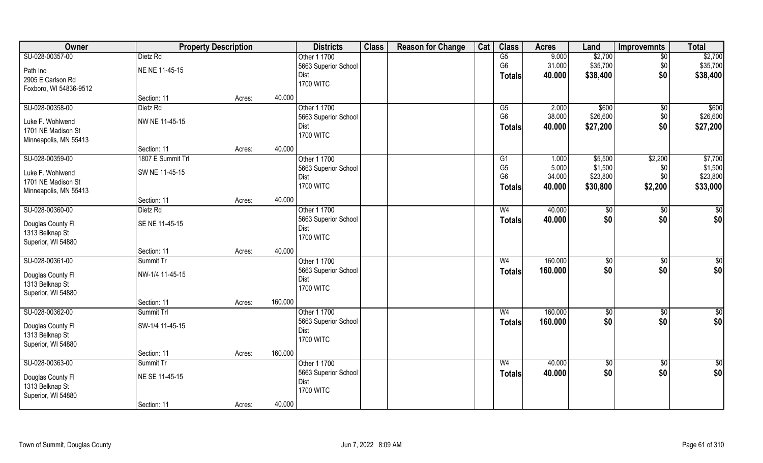| Owner                  |                   | <b>Property Description</b> |         | <b>Districts</b>             | <b>Class</b> | <b>Reason for Change</b> | Cat | <b>Class</b>           | <b>Acres</b> | Land            | <b>Improvemnts</b> | <b>Total</b>    |
|------------------------|-------------------|-----------------------------|---------|------------------------------|--------------|--------------------------|-----|------------------------|--------------|-----------------|--------------------|-----------------|
| SU-028-00357-00        | Dietz Rd          |                             |         | Other 1 1700                 |              |                          |     | $\overline{\text{G5}}$ | 9.000        | \$2,700         | $\sqrt{6}$         | \$2,700         |
| Path Inc               | NE NE 11-45-15    |                             |         | 5663 Superior School         |              |                          |     | G <sub>6</sub>         | 31.000       | \$35,700        | \$0                | \$35,700        |
| 2905 E Carlson Rd      |                   |                             |         | Dist                         |              |                          |     | <b>Totals</b>          | 40.000       | \$38,400        | \$0                | \$38,400        |
| Foxboro, WI 54836-9512 |                   |                             |         | <b>1700 WITC</b>             |              |                          |     |                        |              |                 |                    |                 |
|                        | Section: 11       | Acres:                      | 40.000  |                              |              |                          |     |                        |              |                 |                    |                 |
| SU-028-00358-00        | Dietz Rd          |                             |         | Other 1 1700                 |              |                          |     | G5                     | 2.000        | \$600           | \$0                | \$600           |
| Luke F. Wohlwend       | NW NE 11-45-15    |                             |         | 5663 Superior School         |              |                          |     | G <sub>6</sub>         | 38.000       | \$26,600        | \$0                | \$26,600        |
| 1701 NE Madison St     |                   |                             |         | Dist                         |              |                          |     | <b>Totals</b>          | 40.000       | \$27,200        | \$0                | \$27,200        |
| Minneapolis, MN 55413  |                   |                             |         | <b>1700 WITC</b>             |              |                          |     |                        |              |                 |                    |                 |
|                        | Section: 11       | Acres:                      | 40.000  |                              |              |                          |     |                        |              |                 |                    |                 |
| SU-028-00359-00        | 1807 E Summit Trl |                             |         | Other 1 1700                 |              |                          |     | G1                     | 1.000        | \$5,500         | \$2,200            | \$7,700         |
| Luke F. Wohlwend       | SW NE 11-45-15    |                             |         | 5663 Superior School         |              |                          |     | G <sub>5</sub>         | 5.000        | \$1,500         | \$0                | \$1,500         |
| 1701 NE Madison St     |                   |                             |         | Dist                         |              |                          |     | G <sub>6</sub>         | 34.000       | \$23,800        | \$0                | \$23,800        |
| Minneapolis, MN 55413  |                   |                             |         | <b>1700 WITC</b>             |              |                          |     | Totals                 | 40.000       | \$30,800        | \$2,200            | \$33,000        |
|                        | Section: 11       | Acres:                      | 40.000  |                              |              |                          |     |                        |              |                 |                    |                 |
| SU-028-00360-00        | Dietz Rd          |                             |         | Other 1 1700                 |              |                          |     | W <sub>4</sub>         | 40.000       | $\sqrt[6]{3}$   | \$0                | \$              |
|                        |                   |                             |         | 5663 Superior School         |              |                          |     | Totals                 | 40.000       | \$0             | \$0                | \$0             |
| Douglas County FI      | SE NE 11-45-15    |                             |         | Dist                         |              |                          |     |                        |              |                 |                    |                 |
| 1313 Belknap St        |                   |                             |         | <b>1700 WITC</b>             |              |                          |     |                        |              |                 |                    |                 |
| Superior, WI 54880     |                   |                             |         |                              |              |                          |     |                        |              |                 |                    |                 |
|                        | Section: 11       | Acres:                      | 40.000  |                              |              |                          |     |                        |              |                 |                    |                 |
| SU-028-00361-00        | Summit Tr         |                             |         | Other 1 1700                 |              |                          |     | W <sub>4</sub>         | 160.000      | \$0             | \$0                | $\overline{50}$ |
| Douglas County FI      | NW-1/4 11-45-15   |                             |         | 5663 Superior School<br>Dist |              |                          |     | <b>Totals</b>          | 160.000      | \$0             | \$0                | \$0             |
| 1313 Belknap St        |                   |                             |         | <b>1700 WITC</b>             |              |                          |     |                        |              |                 |                    |                 |
| Superior, WI 54880     |                   |                             |         |                              |              |                          |     |                        |              |                 |                    |                 |
|                        | Section: 11       | Acres:                      | 160.000 |                              |              |                          |     |                        |              |                 |                    |                 |
| SU-028-00362-00        | Summit Trl        |                             |         | Other 1 1700                 |              |                          |     | W <sub>4</sub>         | 160.000      | $\sqrt{6}$      | \$0                | $\overline{50}$ |
| Douglas County FI      | SW-1/4 11-45-15   |                             |         | 5663 Superior School         |              |                          |     | <b>Totals</b>          | 160.000      | \$0             | \$0                | \$0             |
| 1313 Belknap St        |                   |                             |         | Dist                         |              |                          |     |                        |              |                 |                    |                 |
| Superior, WI 54880     |                   |                             |         | <b>1700 WITC</b>             |              |                          |     |                        |              |                 |                    |                 |
|                        | Section: 11       | Acres:                      | 160.000 |                              |              |                          |     |                        |              |                 |                    |                 |
| SU-028-00363-00        | Summit Tr         |                             |         | Other 1 1700                 |              |                          |     | W <sub>4</sub>         | 40.000       | $\overline{50}$ | $\sqrt{6}$         | \$0             |
| Douglas County Fl      | NE SE 11-45-15    |                             |         | 5663 Superior School         |              |                          |     | Totals                 | 40.000       | \$0             | \$0                | \$0             |
| 1313 Belknap St        |                   |                             |         | Dist                         |              |                          |     |                        |              |                 |                    |                 |
| Superior, WI 54880     |                   |                             |         | <b>1700 WITC</b>             |              |                          |     |                        |              |                 |                    |                 |
|                        | Section: 11       | Acres:                      | 40.000  |                              |              |                          |     |                        |              |                 |                    |                 |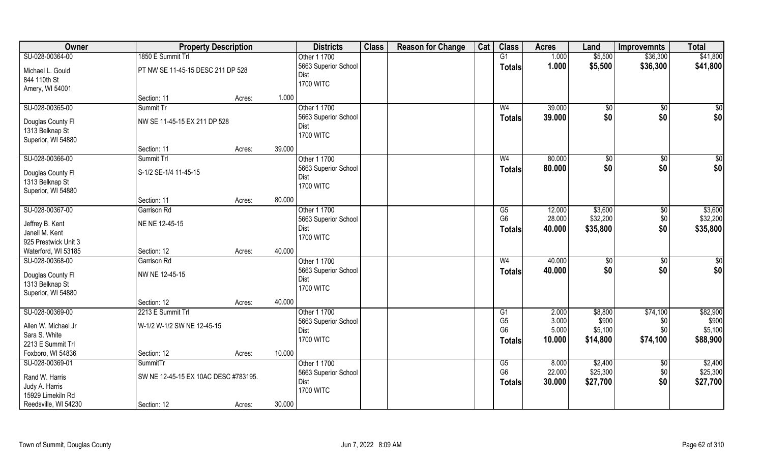| Owner                                | <b>Property Description</b>          |        |        | <b>Districts</b>     | <b>Class</b> | <b>Reason for Change</b> | Cat | <b>Class</b>   | <b>Acres</b> | Land          | <b>Improvemnts</b> | <b>Total</b>    |
|--------------------------------------|--------------------------------------|--------|--------|----------------------|--------------|--------------------------|-----|----------------|--------------|---------------|--------------------|-----------------|
| SU-028-00364-00                      | 1850 E Summit Trl                    |        |        | Other 1 1700         |              |                          |     | G1             | 1.000        | \$5,500       | \$36,300           | \$41,800        |
| Michael L. Gould                     | PT NW SE 11-45-15 DESC 211 DP 528    |        |        | 5663 Superior School |              |                          |     | <b>Totals</b>  | 1.000        | \$5,500       | \$36,300           | \$41,800        |
| 844 110th St                         |                                      |        |        | Dist                 |              |                          |     |                |              |               |                    |                 |
| Amery, WI 54001                      |                                      |        |        | <b>1700 WITC</b>     |              |                          |     |                |              |               |                    |                 |
|                                      | Section: 11                          | Acres: | 1.000  |                      |              |                          |     |                |              |               |                    |                 |
| SU-028-00365-00                      | Summit Tr                            |        |        | Other 1 1700         |              |                          |     | W <sub>4</sub> | 39.000       | \$0           | \$0                | $\sqrt{50}$     |
| Douglas County Fl                    | NW SE 11-45-15 EX 211 DP 528         |        |        | 5663 Superior School |              |                          |     | <b>Totals</b>  | 39.000       | \$0           | \$0                | \$0             |
| 1313 Belknap St                      |                                      |        |        | Dist                 |              |                          |     |                |              |               |                    |                 |
| Superior, WI 54880                   |                                      |        |        | <b>1700 WITC</b>     |              |                          |     |                |              |               |                    |                 |
|                                      | Section: 11                          | Acres: | 39.000 |                      |              |                          |     |                |              |               |                    |                 |
| SU-028-00366-00                      | Summit Trl                           |        |        | Other 1 1700         |              |                          |     | W <sub>4</sub> | 80.000       | \$0           | $\sqrt[6]{30}$     | $\overline{50}$ |
|                                      | S-1/2 SE-1/4 11-45-15                |        |        | 5663 Superior School |              |                          |     | <b>Totals</b>  | 80.000       | \$0           | \$0                | \$0             |
| Douglas County Fl<br>1313 Belknap St |                                      |        |        | Dist                 |              |                          |     |                |              |               |                    |                 |
| Superior, WI 54880                   |                                      |        |        | <b>1700 WITC</b>     |              |                          |     |                |              |               |                    |                 |
|                                      | Section: 11                          | Acres: | 80.000 |                      |              |                          |     |                |              |               |                    |                 |
| SU-028-00367-00                      | Garrison Rd                          |        |        | Other 1 1700         |              |                          |     | G5             | 12.000       | \$3,600       | $\sqrt[6]{3}$      | \$3,600         |
|                                      |                                      |        |        | 5663 Superior School |              |                          |     | G <sub>6</sub> | 28.000       | \$32,200      | \$0                | \$32,200        |
| Jeffrey B. Kent                      | NE NE 12-45-15                       |        |        | Dist                 |              |                          |     | <b>Totals</b>  | 40.000       | \$35,800      | \$0                | \$35,800        |
| Janell M. Kent                       |                                      |        |        | <b>1700 WITC</b>     |              |                          |     |                |              |               |                    |                 |
| 925 Prestwick Unit 3                 |                                      |        |        |                      |              |                          |     |                |              |               |                    |                 |
| Waterford, WI 53185                  | Section: 12                          | Acres: | 40.000 |                      |              |                          |     |                |              |               |                    |                 |
| SU-028-00368-00                      | <b>Garrison Rd</b>                   |        |        | Other 1 1700         |              |                          |     | W <sub>4</sub> | 40.000       | $\sqrt[6]{3}$ | \$0                | $\sqrt{50}$     |
| Douglas County Fl                    | NW NE 12-45-15                       |        |        | 5663 Superior School |              |                          |     | <b>Totals</b>  | 40.000       | \$0           | \$0                | \$0             |
| 1313 Belknap St                      |                                      |        |        | Dist                 |              |                          |     |                |              |               |                    |                 |
| Superior, WI 54880                   |                                      |        |        | <b>1700 WITC</b>     |              |                          |     |                |              |               |                    |                 |
|                                      | Section: 12                          | Acres: | 40.000 |                      |              |                          |     |                |              |               |                    |                 |
| SU-028-00369-00                      | 2213 E Summit Trl                    |        |        | Other 1 1700         |              |                          |     | G1             | 2.000        | \$8,800       | $\sqrt{$74,100}$   | \$82,900        |
| Allen W. Michael Jr                  | W-1/2 W-1/2 SW NE 12-45-15           |        |        | 5663 Superior School |              |                          |     | G <sub>5</sub> | 3.000        | \$900         | \$0                | \$900           |
| Sara S. White                        |                                      |        |        | Dist                 |              |                          |     | G <sub>6</sub> | 5.000        | \$5,100       | \$0                | \$5,100         |
| 2213 E Summit Trl                    |                                      |        |        | <b>1700 WITC</b>     |              |                          |     | <b>Totals</b>  | 10.000       | \$14,800      | \$74,100           | \$88,900        |
| Foxboro, WI 54836                    | Section: 12                          | Acres: | 10.000 |                      |              |                          |     |                |              |               |                    |                 |
| SU-028-00369-01                      | SummitTr                             |        |        | Other 1 1700         |              |                          |     | G5             | 8.000        | \$2,400       | $\sqrt{$0}$        | \$2,400         |
|                                      | SW NE 12-45-15 EX 10AC DESC #783195. |        |        | 5663 Superior School |              |                          |     | G <sub>6</sub> | 22.000       | \$25,300      | \$0                | \$25,300        |
| Rand W. Harris                       |                                      |        |        | Dist                 |              |                          |     | <b>Totals</b>  | 30.000       | \$27,700      | \$0                | \$27,700        |
| Judy A. Harris<br>15929 Limekiln Rd  |                                      |        |        | <b>1700 WITC</b>     |              |                          |     |                |              |               |                    |                 |
| Reedsville, WI 54230                 | Section: 12                          |        | 30.000 |                      |              |                          |     |                |              |               |                    |                 |
|                                      |                                      | Acres: |        |                      |              |                          |     |                |              |               |                    |                 |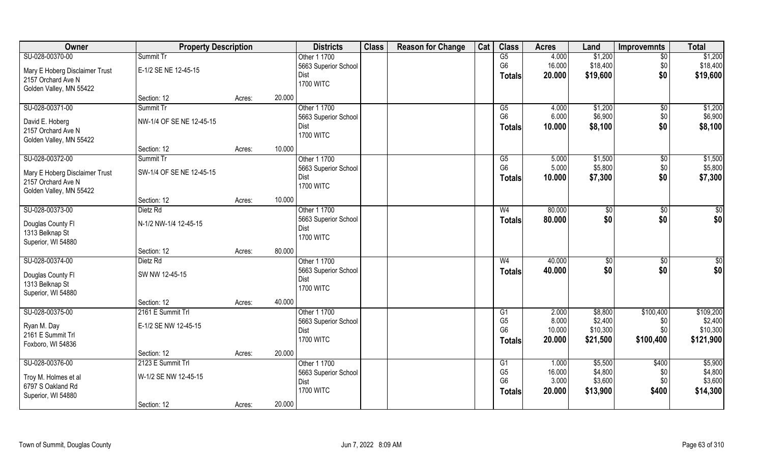| Owner                                | <b>Property Description</b> |        |        | <b>Districts</b>     | <b>Class</b> | <b>Reason for Change</b> | Cat | <b>Class</b>   | <b>Acres</b> | Land           | <b>Improvemnts</b> | <b>Total</b>    |
|--------------------------------------|-----------------------------|--------|--------|----------------------|--------------|--------------------------|-----|----------------|--------------|----------------|--------------------|-----------------|
| SU-028-00370-00                      | Summit Tr                   |        |        | Other 1 1700         |              |                          |     | G5             | 4.000        | \$1,200        | $\sqrt{6}$         | \$1,200         |
| Mary E Hoberg Disclaimer Trust       | E-1/2 SE NE 12-45-15        |        |        | 5663 Superior School |              |                          |     | G <sub>6</sub> | 16.000       | \$18,400       | \$0                | \$18,400        |
| 2157 Orchard Ave N                   |                             |        |        | Dist                 |              |                          |     | <b>Totals</b>  | 20.000       | \$19,600       | \$0                | \$19,600        |
| Golden Valley, MN 55422              |                             |        |        | <b>1700 WITC</b>     |              |                          |     |                |              |                |                    |                 |
|                                      | Section: 12                 | Acres: | 20.000 |                      |              |                          |     |                |              |                |                    |                 |
| SU-028-00371-00                      | Summit Tr                   |        |        | Other 1 1700         |              |                          |     | G5             | 4.000        | \$1,200        | \$0                | \$1,200         |
| David E. Hoberg                      | NW-1/4 OF SE NE 12-45-15    |        |        | 5663 Superior School |              |                          |     | G <sub>6</sub> | 6.000        | \$6,900        | \$0                | \$6,900         |
| 2157 Orchard Ave N                   |                             |        |        | Dist                 |              |                          |     | Totals         | 10.000       | \$8,100        | \$0                | \$8,100         |
| Golden Valley, MN 55422              |                             |        |        | <b>1700 WITC</b>     |              |                          |     |                |              |                |                    |                 |
|                                      | Section: 12                 | Acres: | 10.000 |                      |              |                          |     |                |              |                |                    |                 |
| SU-028-00372-00                      | Summit Tr                   |        |        | Other 1 1700         |              |                          |     | G5             | 5.000        | \$1,500        | \$0                | \$1,500         |
| Mary E Hoberg Disclaimer Trust       | SW-1/4 OF SE NE 12-45-15    |        |        | 5663 Superior School |              |                          |     | G <sub>6</sub> | 5.000        | \$5,800        | \$0                | \$5,800         |
| 2157 Orchard Ave N                   |                             |        |        | Dist                 |              |                          |     | Totals         | 10.000       | \$7,300        | \$0                | \$7,300         |
| Golden Valley, MN 55422              |                             |        |        | <b>1700 WITC</b>     |              |                          |     |                |              |                |                    |                 |
|                                      | Section: 12                 | Acres: | 10.000 |                      |              |                          |     |                |              |                |                    |                 |
| SU-028-00373-00                      | Dietz Rd                    |        |        | Other 1 1700         |              |                          |     | W <sub>4</sub> | 80.000       | \$0            | $\frac{1}{20}$     | \$0             |
|                                      |                             |        |        | 5663 Superior School |              |                          |     | <b>Totals</b>  | 80.000       | \$0            | \$0                | \$0             |
| Douglas County FI<br>1313 Belknap St | N-1/2 NW-1/4 12-45-15       |        |        | Dist                 |              |                          |     |                |              |                |                    |                 |
| Superior, WI 54880                   |                             |        |        | <b>1700 WITC</b>     |              |                          |     |                |              |                |                    |                 |
|                                      | Section: 12                 | Acres: | 80.000 |                      |              |                          |     |                |              |                |                    |                 |
| SU-028-00374-00                      | Dietz Rd                    |        |        | Other 1 1700         |              |                          |     | W <sub>4</sub> | 40.000       | $\sqrt[6]{30}$ | $\overline{50}$    | $\overline{50}$ |
|                                      |                             |        |        | 5663 Superior School |              |                          |     | <b>Totals</b>  | 40.000       | \$0            | \$0                | \$0             |
| Douglas County Fl                    | SW NW 12-45-15              |        |        | Dist                 |              |                          |     |                |              |                |                    |                 |
| 1313 Belknap St                      |                             |        |        | <b>1700 WITC</b>     |              |                          |     |                |              |                |                    |                 |
| Superior, WI 54880                   | Section: 12                 | Acres: | 40.000 |                      |              |                          |     |                |              |                |                    |                 |
| SU-028-00375-00                      | 2161 E Summit Trl           |        |        | Other 1 1700         |              |                          |     | G1             | 2.000        | \$8,800        | \$100,400          | \$109,200       |
|                                      |                             |        |        | 5663 Superior School |              |                          |     | G <sub>5</sub> | 8.000        | \$2,400        | \$0                | \$2,400         |
| Ryan M. Day                          | E-1/2 SE NW 12-45-15        |        |        | Dist                 |              |                          |     | G <sub>6</sub> | 10.000       | \$10,300       | \$0                | \$10,300        |
| 2161 E Summit Trl                    |                             |        |        | <b>1700 WITC</b>     |              |                          |     | <b>Totals</b>  | 20.000       | \$21,500       | \$100,400          | \$121,900       |
| Foxboro, WI 54836                    |                             |        |        |                      |              |                          |     |                |              |                |                    |                 |
|                                      | Section: 12                 | Acres: | 20.000 |                      |              |                          |     |                |              |                |                    |                 |
| SU-028-00376-00                      | 2123 E Summit Trl           |        |        | Other 1 1700         |              |                          |     | G1             | 1.000        | \$5,500        | \$400              | \$5,900         |
| Troy M. Holmes et al                 | W-1/2 SE NW 12-45-15        |        |        | 5663 Superior School |              |                          |     | G <sub>5</sub> | 16.000       | \$4,800        | \$0                | \$4,800         |
| 6797 S Oakland Rd                    |                             |        |        | Dist                 |              |                          |     | G <sub>6</sub> | 3.000        | \$3,600        | \$0                | \$3,600         |
| Superior, WI 54880                   |                             |        |        | <b>1700 WITC</b>     |              |                          |     | Totals         | 20.000       | \$13,900       | \$400              | \$14,300        |
|                                      | Section: 12                 | Acres: | 20.000 |                      |              |                          |     |                |              |                |                    |                 |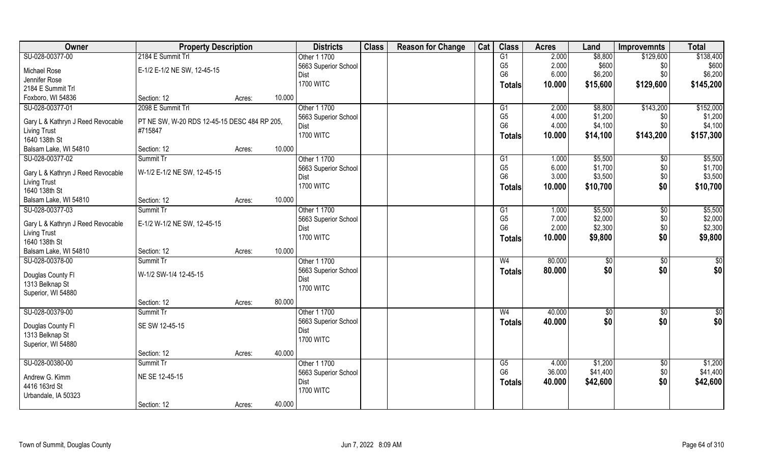| Owner                                | <b>Property Description</b>                             |                  | <b>Districts</b>     | <b>Class</b> | <b>Reason for Change</b> | Cat | <b>Class</b>   | <b>Acres</b> | Land     | <b>Improvemnts</b> | <b>Total</b>    |
|--------------------------------------|---------------------------------------------------------|------------------|----------------------|--------------|--------------------------|-----|----------------|--------------|----------|--------------------|-----------------|
| SU-028-00377-00                      | 2184 E Summit Trl                                       |                  | Other 1 1700         |              |                          |     | G1             | 2.000        | \$8,800  | \$129,600          | \$138,400       |
| Michael Rose                         | E-1/2 E-1/2 NE SW, 12-45-15                             |                  | 5663 Superior School |              |                          |     | G <sub>5</sub> | 2.000        | \$600    | \$0                | \$600           |
| Jennifer Rose                        |                                                         |                  | Dist                 |              |                          |     | G <sub>6</sub> | 6.000        | \$6,200  | \$0                | \$6,200         |
| 2184 E Summit Trl                    |                                                         |                  | <b>1700 WITC</b>     |              |                          |     | Totals         | 10.000       | \$15,600 | \$129,600          | \$145,200       |
| Foxboro, WI 54836                    | Section: 12                                             | 10.000<br>Acres: |                      |              |                          |     |                |              |          |                    |                 |
| SU-028-00377-01                      | 2098 E Summit Trl                                       |                  | Other 1 1700         |              |                          |     | G1             | 2.000        | \$8,800  | \$143,200          | \$152,000       |
|                                      |                                                         |                  | 5663 Superior School |              |                          |     | G <sub>5</sub> | 4.000        | \$1,200  | \$0                | \$1,200         |
| Gary L & Kathryn J Reed Revocable    | PT NE SW, W-20 RDS 12-45-15 DESC 484 RP 205,<br>#715847 |                  | Dist                 |              |                          |     | G <sub>6</sub> | 4.000        | \$4,100  | \$0                | \$4,100         |
| <b>Living Trust</b><br>1640 138th St |                                                         |                  | <b>1700 WITC</b>     |              |                          |     | <b>Totals</b>  | 10.000       | \$14,100 | \$143,200          | \$157,300       |
| Balsam Lake, WI 54810                | Section: 12                                             | 10.000<br>Acres: |                      |              |                          |     |                |              |          |                    |                 |
| SU-028-00377-02                      | Summit Tr                                               |                  | Other 1 1700         |              |                          |     | G1             | 1.000        | \$5,500  | $\sqrt[6]{30}$     | \$5,500         |
|                                      |                                                         |                  | 5663 Superior School |              |                          |     | G <sub>5</sub> | 6.000        | \$1,700  | \$0                | \$1,700         |
| Gary L & Kathryn J Reed Revocable    | W-1/2 E-1/2 NE SW, 12-45-15                             |                  | Dist                 |              |                          |     | G <sub>6</sub> | 3.000        | \$3,500  | \$0                | \$3,500         |
| <b>Living Trust</b>                  |                                                         |                  | <b>1700 WITC</b>     |              |                          |     | Totals         | 10.000       | \$10,700 | \$0                | \$10,700        |
| 1640 138th St                        |                                                         |                  |                      |              |                          |     |                |              |          |                    |                 |
| Balsam Lake, WI 54810                | Section: 12                                             | 10.000<br>Acres: |                      |              |                          |     |                |              |          |                    |                 |
| SU-028-00377-03                      | Summit Tr                                               |                  | Other 1 1700         |              |                          |     | G1             | 1.000        | \$5,500  | $\sqrt[6]{3}$      | \$5,500         |
| Gary L & Kathryn J Reed Revocable    | E-1/2 W-1/2 NE SW, 12-45-15                             |                  | 5663 Superior School |              |                          |     | G <sub>5</sub> | 7.000        | \$2,000  | \$0                | \$2,000         |
| <b>Living Trust</b>                  |                                                         |                  | Dist                 |              |                          |     | G <sub>6</sub> | 2.000        | \$2,300  | \$0                | \$2,300         |
| 1640 138th St                        |                                                         |                  | <b>1700 WITC</b>     |              |                          |     | <b>Totals</b>  | 10.000       | \$9,800  | \$0                | \$9,800         |
| Balsam Lake, WI 54810                | Section: 12                                             | 10.000<br>Acres: |                      |              |                          |     |                |              |          |                    |                 |
| SU-028-00378-00                      | Summit Tr                                               |                  | Other 1 1700         |              |                          |     | W <sub>4</sub> | 80.000       | \$0      | \$0                | $\overline{50}$ |
| Douglas County Fl                    | W-1/2 SW-1/4 12-45-15                                   |                  | 5663 Superior School |              |                          |     | <b>Totals</b>  | 80.000       | \$0      | \$0                | \$0             |
| 1313 Belknap St                      |                                                         |                  | Dist                 |              |                          |     |                |              |          |                    |                 |
| Superior, WI 54880                   |                                                         |                  | <b>1700 WITC</b>     |              |                          |     |                |              |          |                    |                 |
|                                      | Section: 12                                             | 80.000<br>Acres: |                      |              |                          |     |                |              |          |                    |                 |
| SU-028-00379-00                      | Summit Tr                                               |                  | Other 1 1700         |              |                          |     | W <sub>4</sub> | 40.000       | \$0      | \$0                | \$0             |
| Douglas County Fl                    | SE SW 12-45-15                                          |                  | 5663 Superior School |              |                          |     | <b>Totals</b>  | 40.000       | \$0      | \$0                | \$0             |
| 1313 Belknap St                      |                                                         |                  | Dist                 |              |                          |     |                |              |          |                    |                 |
| Superior, WI 54880                   |                                                         |                  | <b>1700 WITC</b>     |              |                          |     |                |              |          |                    |                 |
|                                      | Section: 12                                             | 40.000<br>Acres: |                      |              |                          |     |                |              |          |                    |                 |
| SU-028-00380-00                      | Summit Tr                                               |                  | Other 1 1700         |              |                          |     | G5             | 4.000        | \$1,200  | $\sqrt{$0}$        | \$1,200         |
|                                      |                                                         |                  | 5663 Superior School |              |                          |     | G <sub>6</sub> | 36.000       | \$41,400 | \$0                | \$41,400        |
| Andrew G. Kimm                       | NE SE 12-45-15                                          |                  | Dist                 |              |                          |     | <b>Totals</b>  | 40.000       | \$42,600 | \$0                | \$42,600        |
| 4416 163rd St                        |                                                         |                  | <b>1700 WITC</b>     |              |                          |     |                |              |          |                    |                 |
| Urbandale, IA 50323                  | Section: 12                                             | 40.000           |                      |              |                          |     |                |              |          |                    |                 |
|                                      |                                                         | Acres:           |                      |              |                          |     |                |              |          |                    |                 |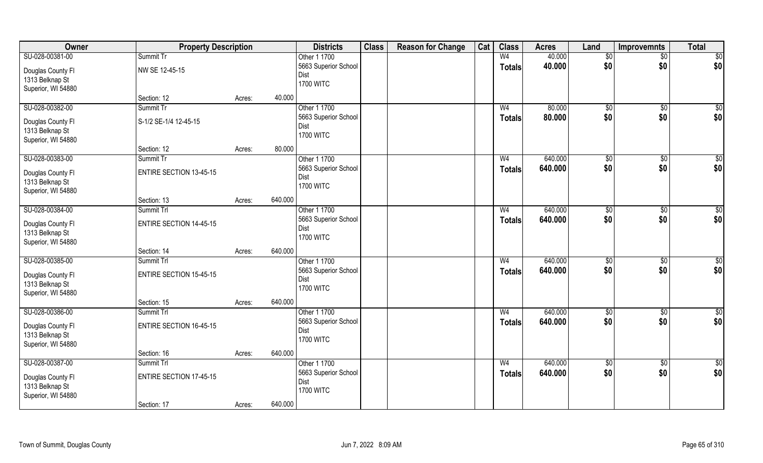| Owner                                                      | <b>Property Description</b>        |        | <b>Districts</b>                                 | <b>Class</b> | <b>Reason for Change</b> | Cat | <b>Class</b>                    | <b>Acres</b>     | Land            | Improvemnts     | <b>Total</b>    |
|------------------------------------------------------------|------------------------------------|--------|--------------------------------------------------|--------------|--------------------------|-----|---------------------------------|------------------|-----------------|-----------------|-----------------|
| SU-028-00381-00                                            | Summit Tr                          |        | Other 1 1700                                     |              |                          |     | W <sub>4</sub>                  | 40.000           | \$0             | $\overline{50}$ | \$0             |
| Douglas County Fl<br>1313 Belknap St<br>Superior, WI 54880 | NW SE 12-45-15                     |        | 5663 Superior School<br>Dist<br><b>1700 WITC</b> |              |                          |     | <b>Totals</b>                   | 40.000           | \$0             | \$0             | \$0             |
|                                                            | Section: 12                        | Acres: | 40.000                                           |              |                          |     |                                 |                  |                 |                 |                 |
| SU-028-00382-00<br>Douglas County Fl                       | Summit Tr<br>S-1/2 SE-1/4 12-45-15 |        | Other 1 1700<br>5663 Superior School             |              |                          |     | W <sub>4</sub><br><b>Totals</b> | 80.000<br>80.000 | \$0<br>\$0      | \$0<br>\$0      | \$0<br>\$0      |
| 1313 Belknap St<br>Superior, WI 54880                      |                                    |        | Dist<br><b>1700 WITC</b>                         |              |                          |     |                                 |                  |                 |                 |                 |
|                                                            | Section: 12                        | Acres: | 80.000                                           |              |                          |     |                                 |                  |                 |                 |                 |
| SU-028-00383-00                                            | Summit Tr                          |        | Other 1 1700                                     |              |                          |     | W <sub>4</sub>                  | 640.000          | \$0             | $\sqrt[6]{3}$   | \$0             |
| Douglas County FI<br>1313 Belknap St<br>Superior, WI 54880 | <b>ENTIRE SECTION 13-45-15</b>     |        | 5663 Superior School<br>Dist<br><b>1700 WITC</b> |              |                          |     | <b>Totals</b>                   | 640.000          | \$0             | \$0             | \$0             |
|                                                            | Section: 13                        | Acres: | 640.000                                          |              |                          |     |                                 |                  |                 |                 |                 |
| SU-028-00384-00                                            | Summit Trl                         |        | Other 1 1700                                     |              |                          |     | W <sub>4</sub>                  | 640.000          | $\frac{1}{20}$  | \$0             | \$0             |
| Douglas County Fl<br>1313 Belknap St<br>Superior, WI 54880 | <b>ENTIRE SECTION 14-45-15</b>     |        | 5663 Superior School<br>Dist<br><b>1700 WITC</b> |              |                          |     | <b>Totals</b>                   | 640.000          | \$0             | \$0             | \$0             |
|                                                            | Section: 14                        | Acres: | 640.000                                          |              |                          |     |                                 |                  |                 |                 |                 |
| SU-028-00385-00                                            | Summit Trl                         |        | Other 1 1700                                     |              |                          |     | W <sub>4</sub>                  | 640.000          | \$0             | \$0             | \$0             |
| Douglas County Fl<br>1313 Belknap St<br>Superior, WI 54880 | <b>ENTIRE SECTION 15-45-15</b>     |        | 5663 Superior School<br>Dist<br><b>1700 WITC</b> |              |                          |     | <b>Totals</b>                   | 640.000          | \$0             | \$0             | \$0             |
|                                                            | Section: 15                        | Acres: | 640.000                                          |              |                          |     |                                 |                  |                 |                 |                 |
| SU-028-00386-00                                            | Summit Trl                         |        | Other 1 1700                                     |              |                          |     | W <sub>4</sub>                  | 640.000          | $\sqrt{6}$      | \$0             | $\overline{50}$ |
| Douglas County Fl<br>1313 Belknap St<br>Superior, WI 54880 | ENTIRE SECTION 16-45-15            |        | 5663 Superior School<br>Dist<br><b>1700 WITC</b> |              |                          |     | <b>Totals</b>                   | 640.000          | \$0             | \$0             | \$0             |
|                                                            | Section: 16                        | Acres: | 640.000                                          |              |                          |     |                                 |                  |                 |                 |                 |
| SU-028-00387-00                                            | Summit Trl                         |        | Other 1 1700                                     |              |                          |     | W <sub>4</sub>                  | 640.000          | $\overline{50}$ | $\sqrt{$0}$     | $\overline{50}$ |
| Douglas County Fl<br>1313 Belknap St<br>Superior, WI 54880 | <b>ENTIRE SECTION 17-45-15</b>     |        | 5663 Superior School<br>Dist<br><b>1700 WITC</b> |              |                          |     | <b>Totals</b>                   | 640.000          | \$0             | \$0             | \$0             |
|                                                            | Section: 17                        | Acres: | 640.000                                          |              |                          |     |                                 |                  |                 |                 |                 |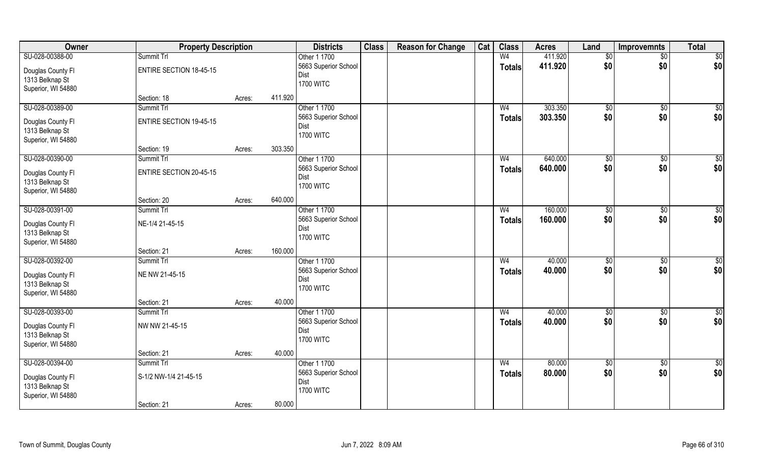| Owner              | <b>Property Description</b>    |        |         | <b>Districts</b>     | <b>Class</b> | <b>Reason for Change</b> | Cat | <b>Class</b>   | <b>Acres</b> | Land            | Improvemnts     | <b>Total</b>    |
|--------------------|--------------------------------|--------|---------|----------------------|--------------|--------------------------|-----|----------------|--------------|-----------------|-----------------|-----------------|
| SU-028-00388-00    | Summit Trl                     |        |         | Other 1 1700         |              |                          |     | W <sub>4</sub> | 411.920      | $\sqrt[6]{}$    | $\overline{50}$ | \$0             |
| Douglas County Fl  | <b>ENTIRE SECTION 18-45-15</b> |        |         | 5663 Superior School |              |                          |     | <b>Totals</b>  | 411.920      | \$0             | \$0             | \$0             |
| 1313 Belknap St    |                                |        |         | Dist                 |              |                          |     |                |              |                 |                 |                 |
| Superior, WI 54880 |                                |        |         | <b>1700 WITC</b>     |              |                          |     |                |              |                 |                 |                 |
|                    | Section: 18                    | Acres: | 411.920 |                      |              |                          |     |                |              |                 |                 |                 |
| SU-028-00389-00    | Summit Trl                     |        |         | Other 1 1700         |              |                          |     | W <sub>4</sub> | 303.350      | \$0             | \$0             | \$0             |
| Douglas County Fl  | <b>ENTIRE SECTION 19-45-15</b> |        |         | 5663 Superior School |              |                          |     | <b>Totals</b>  | 303.350      | \$0             | \$0             | \$0             |
| 1313 Belknap St    |                                |        |         | Dist                 |              |                          |     |                |              |                 |                 |                 |
| Superior, WI 54880 |                                |        |         | <b>1700 WITC</b>     |              |                          |     |                |              |                 |                 |                 |
|                    | Section: 19                    | Acres: | 303.350 |                      |              |                          |     |                |              |                 |                 |                 |
| SU-028-00390-00    | Summit Trl                     |        |         | Other 1 1700         |              |                          |     | W <sub>4</sub> | 640.000      | \$0             | $\sqrt[6]{3}$   | \$0             |
| Douglas County FI  | <b>ENTIRE SECTION 20-45-15</b> |        |         | 5663 Superior School |              |                          |     | <b>Totals</b>  | 640.000      | \$0             | \$0             | \$0             |
| 1313 Belknap St    |                                |        |         | Dist                 |              |                          |     |                |              |                 |                 |                 |
| Superior, WI 54880 |                                |        |         | <b>1700 WITC</b>     |              |                          |     |                |              |                 |                 |                 |
|                    | Section: 20                    | Acres: | 640.000 |                      |              |                          |     |                |              |                 |                 |                 |
| SU-028-00391-00    | Summit Trl                     |        |         | Other 1 1700         |              |                          |     | W <sub>4</sub> | 160.000      | $\frac{1}{20}$  | \$0             | \$0             |
| Douglas County Fl  | NE-1/4 21-45-15                |        |         | 5663 Superior School |              |                          |     | <b>Totals</b>  | 160.000      | \$0             | \$0             | \$0             |
| 1313 Belknap St    |                                |        |         | Dist                 |              |                          |     |                |              |                 |                 |                 |
| Superior, WI 54880 |                                |        |         | <b>1700 WITC</b>     |              |                          |     |                |              |                 |                 |                 |
|                    | Section: 21                    | Acres: | 160.000 |                      |              |                          |     |                |              |                 |                 |                 |
| SU-028-00392-00    | Summit Trl                     |        |         | Other 1 1700         |              |                          |     | W <sub>4</sub> | 40.000       | \$0             | \$0             | \$0             |
| Douglas County Fl  | NE NW 21-45-15                 |        |         | 5663 Superior School |              |                          |     | <b>Totals</b>  | 40.000       | \$0             | \$0             | \$0             |
| 1313 Belknap St    |                                |        |         | Dist                 |              |                          |     |                |              |                 |                 |                 |
| Superior, WI 54880 |                                |        |         | <b>1700 WITC</b>     |              |                          |     |                |              |                 |                 |                 |
|                    | Section: 21                    | Acres: | 40.000  |                      |              |                          |     |                |              |                 |                 |                 |
| SU-028-00393-00    | Summit Trl                     |        |         | Other 1 1700         |              |                          |     | W <sub>4</sub> | 40.000       | $\sqrt{6}$      | \$0             | $\overline{50}$ |
| Douglas County Fl  | NW NW 21-45-15                 |        |         | 5663 Superior School |              |                          |     | <b>Totals</b>  | 40.000       | \$0             | \$0             | \$0             |
| 1313 Belknap St    |                                |        |         | Dist                 |              |                          |     |                |              |                 |                 |                 |
| Superior, WI 54880 |                                |        |         | <b>1700 WITC</b>     |              |                          |     |                |              |                 |                 |                 |
|                    | Section: 21                    | Acres: | 40.000  |                      |              |                          |     |                |              |                 |                 |                 |
| SU-028-00394-00    | Summit Trl                     |        |         | Other 1 1700         |              |                          |     | W <sub>4</sub> | 80.000       | $\overline{50}$ | $\sqrt{$0}$     | $\overline{50}$ |
| Douglas County Fl  | S-1/2 NW-1/4 21-45-15          |        |         | 5663 Superior School |              |                          |     | <b>Totals</b>  | 80.000       | \$0             | \$0             | \$0             |
| 1313 Belknap St    |                                |        |         | Dist                 |              |                          |     |                |              |                 |                 |                 |
| Superior, WI 54880 |                                |        |         | <b>1700 WITC</b>     |              |                          |     |                |              |                 |                 |                 |
|                    | Section: 21                    | Acres: | 80.000  |                      |              |                          |     |                |              |                 |                 |                 |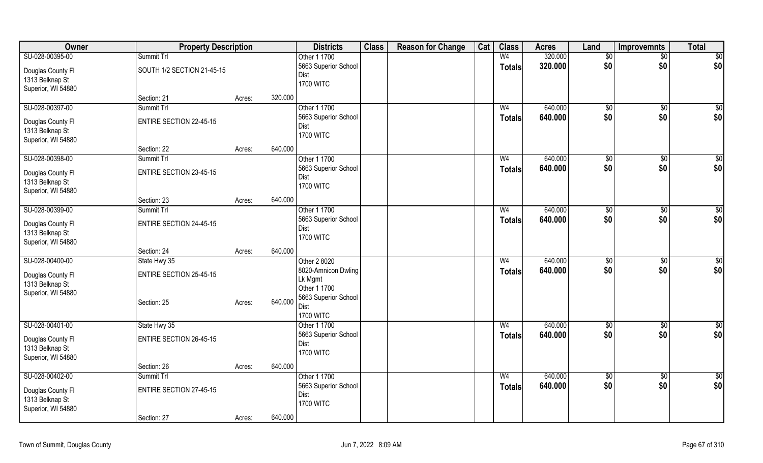| Owner              | <b>Property Description</b>    |                   | <b>Districts</b>                     | <b>Class</b> | <b>Reason for Change</b> | Cat | <b>Class</b>   | <b>Acres</b> | Land          | <b>Improvemnts</b> | <b>Total</b>     |
|--------------------|--------------------------------|-------------------|--------------------------------------|--------------|--------------------------|-----|----------------|--------------|---------------|--------------------|------------------|
| SU-028-00395-00    | Summit Trl                     |                   | Other 1 1700                         |              |                          |     | W <sub>4</sub> | 320.000      | \$0           | $\sqrt{$0}$        | $\sqrt{50}$      |
| Douglas County Fl  | SOUTH 1/2 SECTION 21-45-15     |                   | 5663 Superior School                 |              |                          |     | <b>Totals</b>  | 320.000      | \$0           | \$0                | \$0              |
| 1313 Belknap St    |                                |                   | Dist                                 |              |                          |     |                |              |               |                    |                  |
| Superior, WI 54880 |                                |                   | <b>1700 WITC</b>                     |              |                          |     |                |              |               |                    |                  |
|                    | Section: 21                    | 320.000<br>Acres: |                                      |              |                          |     |                |              |               |                    |                  |
| SU-028-00397-00    | Summit Trl                     |                   | Other 1 1700                         |              |                          |     | W <sub>4</sub> | 640.000      | \$0           | $\sqrt[6]{}$       | $\overline{50}$  |
| Douglas County Fl  | <b>ENTIRE SECTION 22-45-15</b> |                   | 5663 Superior School                 |              |                          |     | <b>Totals</b>  | 640.000      | \$0           | \$0                | \$0              |
| 1313 Belknap St    |                                |                   | Dist                                 |              |                          |     |                |              |               |                    |                  |
| Superior, WI 54880 |                                |                   | <b>1700 WITC</b>                     |              |                          |     |                |              |               |                    |                  |
|                    | Section: 22                    | 640.000<br>Acres: |                                      |              |                          |     |                |              |               |                    |                  |
| SU-028-00398-00    | Summit Trl                     |                   | Other 1 1700                         |              |                          |     | W <sub>4</sub> | 640.000      | \$0           | \$0                | $\overline{50}$  |
| Douglas County Fl  | <b>ENTIRE SECTION 23-45-15</b> |                   | 5663 Superior School                 |              |                          |     | <b>Totals</b>  | 640.000      | \$0           | \$0                | \$0              |
| 1313 Belknap St    |                                |                   | Dist                                 |              |                          |     |                |              |               |                    |                  |
| Superior, WI 54880 |                                |                   | <b>1700 WITC</b>                     |              |                          |     |                |              |               |                    |                  |
|                    | Section: 23                    | 640.000<br>Acres: |                                      |              |                          |     |                |              |               |                    |                  |
| SU-028-00399-00    | Summit Trl                     |                   | Other 1 1700                         |              |                          |     | W <sub>4</sub> | 640.000      | \$0           | $\sqrt[6]{3}$      | $\sqrt{50}$      |
| Douglas County Fl  | <b>ENTIRE SECTION 24-45-15</b> |                   | 5663 Superior School                 |              |                          |     | <b>Totals</b>  | 640.000      | \$0           | \$0                | \$0              |
| 1313 Belknap St    |                                |                   | Dist                                 |              |                          |     |                |              |               |                    |                  |
| Superior, WI 54880 |                                |                   | <b>1700 WITC</b>                     |              |                          |     |                |              |               |                    |                  |
|                    | Section: 24                    | 640.000<br>Acres: |                                      |              |                          |     |                |              |               |                    |                  |
| SU-028-00400-00    | State Hwy 35                   |                   | Other 2 8020                         |              |                          |     | W <sub>4</sub> | 640.000      | $\sqrt[6]{3}$ | $\sqrt[6]{3}$      | $\overline{50}$  |
| Douglas County Fl  | <b>ENTIRE SECTION 25-45-15</b> |                   | 8020-Amnicon Dwling                  |              |                          |     | <b>Totals</b>  | 640.000      | \$0           | \$0                | \$0              |
| 1313 Belknap St    |                                |                   | Lk Mgmt                              |              |                          |     |                |              |               |                    |                  |
| Superior, WI 54880 |                                |                   | Other 1 1700                         |              |                          |     |                |              |               |                    |                  |
|                    | Section: 25                    | 640.000<br>Acres: | 5663 Superior School                 |              |                          |     |                |              |               |                    |                  |
|                    |                                |                   | Dist<br><b>1700 WITC</b>             |              |                          |     |                |              |               |                    |                  |
| SU-028-00401-00    | State Hwy 35                   |                   | Other 1 1700                         |              |                          |     | W <sub>4</sub> | 640.000      | \$0           | $\sqrt[6]{}$       | $\overline{\$0}$ |
|                    |                                |                   | 5663 Superior School                 |              |                          |     | <b>Totals</b>  | 640.000      | \$0           | \$0                | \$0              |
| Douglas County Fl  | <b>ENTIRE SECTION 26-45-15</b> |                   | Dist                                 |              |                          |     |                |              |               |                    |                  |
| 1313 Belknap St    |                                |                   | <b>1700 WITC</b>                     |              |                          |     |                |              |               |                    |                  |
| Superior, WI 54880 |                                |                   |                                      |              |                          |     |                |              |               |                    |                  |
|                    | Section: 26                    | 640.000<br>Acres: |                                      |              |                          |     |                |              |               |                    |                  |
| SU-028-00402-00    | Summit Trl                     |                   | Other 1 1700<br>5663 Superior School |              |                          |     | W <sub>4</sub> | 640.000      | \$0<br>\$0    | \$0                | $\overline{50}$  |
| Douglas County Fl  | <b>ENTIRE SECTION 27-45-15</b> |                   | Dist                                 |              |                          |     | <b>Totals</b>  | 640.000      |               | \$0                | \$0              |
| 1313 Belknap St    |                                |                   | <b>1700 WITC</b>                     |              |                          |     |                |              |               |                    |                  |
| Superior, WI 54880 |                                |                   |                                      |              |                          |     |                |              |               |                    |                  |
|                    | Section: 27                    | 640.000<br>Acres: |                                      |              |                          |     |                |              |               |                    |                  |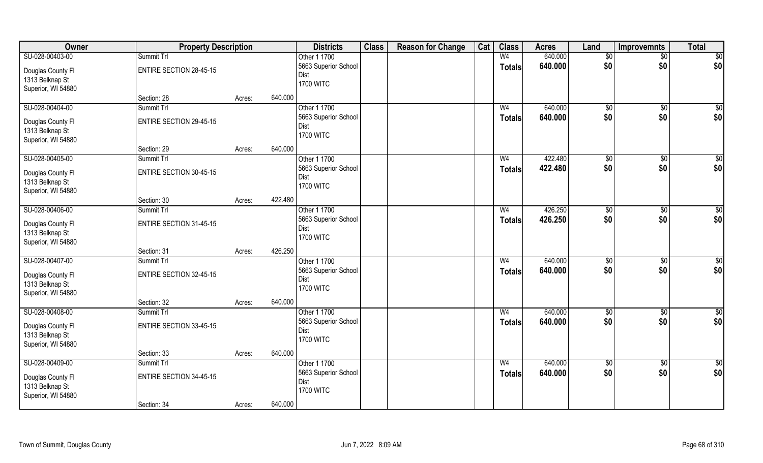| Owner              | <b>Property Description</b>    |        |         | <b>Districts</b>             | <b>Class</b> | <b>Reason for Change</b> | Cat | <b>Class</b>   | <b>Acres</b> | Land                 | <b>Improvemnts</b> | <b>Total</b>    |
|--------------------|--------------------------------|--------|---------|------------------------------|--------------|--------------------------|-----|----------------|--------------|----------------------|--------------------|-----------------|
| SU-028-00403-00    | Summit Trl                     |        |         | Other 1 1700                 |              |                          |     | W <sub>4</sub> | 640.000      | \$0                  | \$0                | \$0             |
| Douglas County Fl  | <b>ENTIRE SECTION 28-45-15</b> |        |         | 5663 Superior School         |              |                          |     | <b>Totals</b>  | 640.000      | \$0                  | \$0                | \$0             |
| 1313 Belknap St    |                                |        |         | Dist                         |              |                          |     |                |              |                      |                    |                 |
| Superior, WI 54880 |                                |        |         | <b>1700 WITC</b>             |              |                          |     |                |              |                      |                    |                 |
|                    | Section: 28                    | Acres: | 640.000 |                              |              |                          |     |                |              |                      |                    |                 |
| SU-028-00404-00    | Summit Trl                     |        |         | Other 1 1700                 |              |                          |     | W <sub>4</sub> | 640.000      | \$0                  | \$0                | $\sqrt{50}$     |
| Douglas County Fl  | <b>ENTIRE SECTION 29-45-15</b> |        |         | 5663 Superior School         |              |                          |     | <b>Totals</b>  | 640.000      | \$0                  | \$0                | \$0             |
| 1313 Belknap St    |                                |        |         | Dist                         |              |                          |     |                |              |                      |                    |                 |
| Superior, WI 54880 |                                |        |         | <b>1700 WITC</b>             |              |                          |     |                |              |                      |                    |                 |
|                    | Section: 29                    | Acres: | 640.000 |                              |              |                          |     |                |              |                      |                    |                 |
| SU-028-00405-00    | Summit Trl                     |        |         | Other 1 1700                 |              |                          |     | W <sub>4</sub> | 422.480      | \$0                  | \$0                | \$0             |
|                    |                                |        |         | 5663 Superior School         |              |                          |     | <b>Totals</b>  | 422.480      | \$0                  | \$0                | \$0             |
| Douglas County Fl  | <b>ENTIRE SECTION 30-45-15</b> |        |         | Dist                         |              |                          |     |                |              |                      |                    |                 |
| 1313 Belknap St    |                                |        |         | <b>1700 WITC</b>             |              |                          |     |                |              |                      |                    |                 |
| Superior, WI 54880 |                                |        | 422.480 |                              |              |                          |     |                |              |                      |                    |                 |
| SU-028-00406-00    | Section: 30<br>Summit Trl      | Acres: |         | Other 1 1700                 |              |                          |     | W <sub>4</sub> | 426.250      |                      |                    | \$0             |
|                    |                                |        |         | 5663 Superior School         |              |                          |     |                | 426.250      | $\sqrt[6]{3}$<br>\$0 | \$0<br>\$0         | \$0             |
| Douglas County Fl  | ENTIRE SECTION 31-45-15        |        |         | Dist                         |              |                          |     | <b>Totals</b>  |              |                      |                    |                 |
| 1313 Belknap St    |                                |        |         | <b>1700 WITC</b>             |              |                          |     |                |              |                      |                    |                 |
| Superior, WI 54880 |                                |        |         |                              |              |                          |     |                |              |                      |                    |                 |
|                    | Section: 31                    | Acres: | 426.250 |                              |              |                          |     |                |              |                      |                    |                 |
| SU-028-00407-00    | Summit Trl                     |        |         | Other 1 1700                 |              |                          |     | W <sub>4</sub> | 640.000      | \$0                  | \$0                | \$0             |
| Douglas County Fl  | <b>ENTIRE SECTION 32-45-15</b> |        |         | 5663 Superior School         |              |                          |     | <b>Totals</b>  | 640.000      | \$0                  | \$0                | \$0             |
| 1313 Belknap St    |                                |        |         | Dist                         |              |                          |     |                |              |                      |                    |                 |
| Superior, WI 54880 |                                |        |         | <b>1700 WITC</b>             |              |                          |     |                |              |                      |                    |                 |
|                    | Section: 32                    | Acres: | 640.000 |                              |              |                          |     |                |              |                      |                    |                 |
| SU-028-00408-00    | Summit Trl                     |        |         | Other 1 1700                 |              |                          |     | W <sub>4</sub> | 640.000      | $\sqrt{6}$           | \$0                | $\overline{50}$ |
|                    |                                |        |         | 5663 Superior School         |              |                          |     | <b>Totals</b>  | 640.000      | \$0                  | \$0                | \$0             |
| Douglas County Fl  | ENTIRE SECTION 33-45-15        |        |         | Dist                         |              |                          |     |                |              |                      |                    |                 |
| 1313 Belknap St    |                                |        |         | <b>1700 WITC</b>             |              |                          |     |                |              |                      |                    |                 |
| Superior, WI 54880 |                                |        | 640.000 |                              |              |                          |     |                |              |                      |                    |                 |
| SU-028-00409-00    | Section: 33<br>Summit Trl      | Acres: |         | Other 1 1700                 |              |                          |     | W <sub>4</sub> | 640.000      |                      |                    |                 |
|                    |                                |        |         |                              |              |                          |     |                |              | $\overline{50}$      | $\sqrt{6}$         | \$0             |
| Douglas County Fl  | <b>ENTIRE SECTION 34-45-15</b> |        |         | 5663 Superior School<br>Dist |              |                          |     | <b>Totals</b>  | 640.000      | \$0                  | \$0                | \$0             |
| 1313 Belknap St    |                                |        |         | <b>1700 WITC</b>             |              |                          |     |                |              |                      |                    |                 |
| Superior, WI 54880 |                                |        |         |                              |              |                          |     |                |              |                      |                    |                 |
|                    | Section: 34                    | Acres: | 640.000 |                              |              |                          |     |                |              |                      |                    |                 |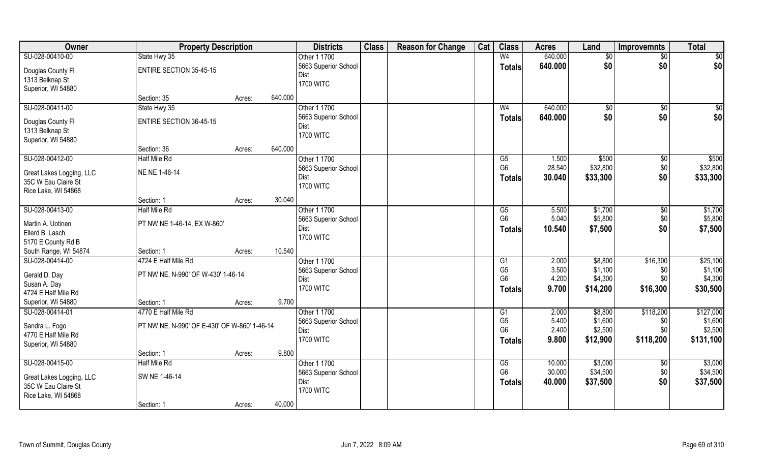| Owner                                 | <b>Property Description</b>                  |        |         | <b>Districts</b>             | <b>Class</b> | <b>Reason for Change</b> | Cat | <b>Class</b>         | <b>Acres</b>   | Land               | <b>Improvemnts</b> | <b>Total</b> |
|---------------------------------------|----------------------------------------------|--------|---------|------------------------------|--------------|--------------------------|-----|----------------------|----------------|--------------------|--------------------|--------------|
| SU-028-00410-00                       | State Hwy 35                                 |        |         | Other 1 1700                 |              |                          |     | W <sub>4</sub>       | 640.000        | $\sqrt{6}$         | \$0                | \$0          |
| Douglas County Fl                     | ENTIRE SECTION 35-45-15                      |        |         | 5663 Superior School         |              |                          |     | <b>Totals</b>        | 640.000        | \$0                | \$0                | \$0          |
| 1313 Belknap St                       |                                              |        |         | Dist                         |              |                          |     |                      |                |                    |                    |              |
| Superior, WI 54880                    |                                              |        |         | <b>1700 WITC</b>             |              |                          |     |                      |                |                    |                    |              |
|                                       | Section: 35                                  | Acres: | 640.000 |                              |              |                          |     |                      |                |                    |                    |              |
| SU-028-00411-00                       | State Hwy 35                                 |        |         | Other 1 1700                 |              |                          |     | W <sub>4</sub>       | 640.000        | $\sqrt[6]{}$       | $\sqrt{50}$        | \$0          |
| Douglas County Fl                     | <b>ENTIRE SECTION 36-45-15</b>               |        |         | 5663 Superior School         |              |                          |     | Totals               | 640.000        | \$0                | \$0                | \$0          |
| 1313 Belknap St                       |                                              |        |         | Dist                         |              |                          |     |                      |                |                    |                    |              |
| Superior, WI 54880                    |                                              |        |         | <b>1700 WITC</b>             |              |                          |     |                      |                |                    |                    |              |
|                                       | Section: 36                                  | Acres: | 640.000 |                              |              |                          |     |                      |                |                    |                    |              |
| SU-028-00412-00                       | Half Mile Rd                                 |        |         | Other 1 1700                 |              |                          |     | G5                   | 1.500          | \$500              | $\sqrt[6]{30}$     | \$500        |
|                                       |                                              |        |         | 5663 Superior School         |              |                          |     | G <sub>6</sub>       | 28.540         | \$32,800           | \$0                | \$32,800     |
| Great Lakes Logging, LLC              | NE NE 1-46-14                                |        |         | Dist                         |              |                          |     | <b>Totals</b>        | 30.040         | \$33,300           | \$0                | \$33,300     |
| 35C W Eau Claire St                   |                                              |        |         | <b>1700 WITC</b>             |              |                          |     |                      |                |                    |                    |              |
| Rice Lake, WI 54868                   |                                              |        |         |                              |              |                          |     |                      |                |                    |                    |              |
|                                       | Section: 1                                   | Acres: | 30.040  |                              |              |                          |     |                      |                |                    |                    |              |
| SU-028-00413-00                       | Half Mile Rd                                 |        |         | Other 1 1700                 |              |                          |     | G5<br>G <sub>6</sub> | 5.500<br>5.040 | \$1,700<br>\$5,800 | \$0                | \$1,700      |
| Martin A. Uotinen                     | PT NW NE 1-46-14, EX W-860'                  |        |         | 5663 Superior School<br>Dist |              |                          |     |                      |                |                    | \$0<br>\$0         | \$5,800      |
| Ellerd B. Lasch                       |                                              |        |         | <b>1700 WITC</b>             |              |                          |     | Totals               | 10.540         | \$7,500            |                    | \$7,500      |
| 5170 E County Rd B                    |                                              |        |         |                              |              |                          |     |                      |                |                    |                    |              |
| South Range, WI 54874                 | Section: 1                                   | Acres: | 10.540  |                              |              |                          |     |                      |                |                    |                    |              |
| SU-028-00414-00                       | 4724 E Half Mile Rd                          |        |         | Other 1 1700                 |              |                          |     | $\overline{G1}$      | 2.000          | \$8,800            | \$16,300           | \$25,100     |
| Gerald D. Day                         | PT NW NE, N-990' OF W-430' 1-46-14           |        |         | 5663 Superior School         |              |                          |     | G <sub>5</sub>       | 3.500          | \$1,100            | \$0                | \$1,100      |
| Susan A. Day                          |                                              |        |         | Dist                         |              |                          |     | G <sub>6</sub>       | 4.200          | \$4,300            | \$0                | \$4,300      |
| 4724 E Half Mile Rd                   |                                              |        |         | <b>1700 WITC</b>             |              |                          |     | <b>Totals</b>        | 9.700          | \$14,200           | \$16,300           | \$30,500     |
| Superior, WI 54880                    | Section: 1                                   | Acres: | 9.700   |                              |              |                          |     |                      |                |                    |                    |              |
| SU-028-00414-01                       | 4770 E Half Mile Rd                          |        |         | Other 1 1700                 |              |                          |     | G1                   | 2.000          | \$8,800            | \$118,200          | \$127,000    |
|                                       |                                              |        |         | 5663 Superior School         |              |                          |     | G <sub>5</sub>       | 5.400          | \$1,600            | \$0                | \$1,600      |
| Sandra L. Fogo<br>4770 E Half Mile Rd | PT NW NE, N-990' OF E-430' OF W-860' 1-46-14 |        |         | Dist                         |              |                          |     | G <sub>6</sub>       | 2.400          | \$2,500            | \$0                | \$2,500      |
| Superior, WI 54880                    |                                              |        |         | <b>1700 WITC</b>             |              |                          |     | <b>Totals</b>        | 9.800          | \$12,900           | \$118,200          | \$131,100    |
|                                       | Section: 1                                   | Acres: | 9.800   |                              |              |                          |     |                      |                |                    |                    |              |
| SU-028-00415-00                       | <b>Half Mile Rd</b>                          |        |         | Other 1 1700                 |              |                          |     | G5                   | 10.000         | \$3,000            | $\overline{30}$    | \$3,000      |
|                                       |                                              |        |         | 5663 Superior School         |              |                          |     | G <sub>6</sub>       | 30.000         | \$34,500           | \$0                | \$34,500     |
| Great Lakes Logging, LLC              | SW NE 1-46-14                                |        |         | Dist                         |              |                          |     | <b>Totals</b>        | 40.000         | \$37,500           | \$0                | \$37,500     |
| 35C W Eau Claire St                   |                                              |        |         | <b>1700 WITC</b>             |              |                          |     |                      |                |                    |                    |              |
| Rice Lake, WI 54868                   |                                              |        |         |                              |              |                          |     |                      |                |                    |                    |              |
|                                       | Section: 1                                   | Acres: | 40.000  |                              |              |                          |     |                      |                |                    |                    |              |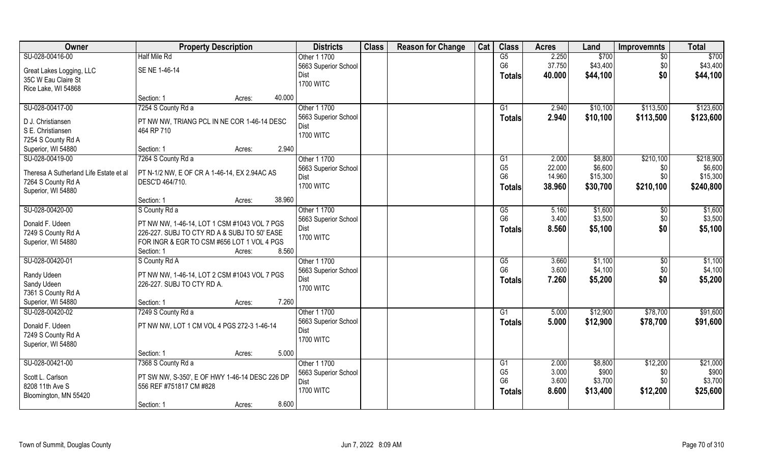| Owner                                  | <b>Property Description</b>                    | <b>Districts</b>     | <b>Class</b> | <b>Reason for Change</b> | Cat | <b>Class</b>           | <b>Acres</b> | Land     | <b>Improvemnts</b> | <b>Total</b> |
|----------------------------------------|------------------------------------------------|----------------------|--------------|--------------------------|-----|------------------------|--------------|----------|--------------------|--------------|
| SU-028-00416-00                        | Half Mile Rd                                   | Other 1 1700         |              |                          |     | G5                     | 2.250        | \$700    | $\overline{50}$    | \$700        |
| Great Lakes Logging, LLC               | SE NE 1-46-14                                  | 5663 Superior School |              |                          |     | G <sub>6</sub>         | 37.750       | \$43,400 | \$0                | \$43,400     |
| 35C W Eau Claire St                    |                                                | <b>Dist</b>          |              |                          |     | <b>Totals</b>          | 40.000       | \$44,100 | \$0                | \$44,100     |
| Rice Lake, WI 54868                    |                                                | <b>1700 WITC</b>     |              |                          |     |                        |              |          |                    |              |
|                                        | 40.000<br>Section: 1<br>Acres:                 |                      |              |                          |     |                        |              |          |                    |              |
| SU-028-00417-00                        | 7254 S County Rd a                             | Other 1 1700         |              |                          |     | G1                     | 2.940        | \$10,100 | \$113,500          | \$123,600    |
|                                        |                                                | 5663 Superior School |              |                          |     | <b>Totals</b>          | 2.940        | \$10,100 | \$113,500          | \$123,600    |
| D J. Christiansen                      | PT NW NW, TRIANG PCL IN NE COR 1-46-14 DESC    | Dist                 |              |                          |     |                        |              |          |                    |              |
| S E. Christiansen                      | 464 RP 710                                     | <b>1700 WITC</b>     |              |                          |     |                        |              |          |                    |              |
| 7254 S County Rd A                     |                                                |                      |              |                          |     |                        |              |          |                    |              |
| Superior, WI 54880                     | 2.940<br>Section: 1<br>Acres:                  |                      |              |                          |     |                        |              |          |                    |              |
| SU-028-00419-00                        | 7264 S County Rd a                             | Other 1 1700         |              |                          |     | G1                     | 2.000        | \$8,800  | \$210,100          | \$218,900    |
| Theresa A Sutherland Life Estate et al | PT N-1/2 NW, E OF CR A 1-46-14, EX 2.94AC AS   | 5663 Superior School |              |                          |     | G <sub>5</sub>         | 22.000       | \$6,600  | \$0                | \$6,600      |
| 7264 S County Rd A                     | DESC'D 464/710.                                | <b>Dist</b>          |              |                          |     | G <sub>6</sub>         | 14.960       | \$15,300 | \$0                | \$15,300     |
| Superior, WI 54880                     |                                                | <b>1700 WITC</b>     |              |                          |     | <b>Totals</b>          | 38.960       | \$30,700 | \$210,100          | \$240,800    |
|                                        | 38.960<br>Section: 1<br>Acres:                 |                      |              |                          |     |                        |              |          |                    |              |
| SU-028-00420-00                        | S County Rd a                                  | Other 1 1700         |              |                          |     | G5                     | 5.160        | \$1,600  | \$0                | \$1,600      |
|                                        |                                                | 5663 Superior School |              |                          |     | G <sub>6</sub>         | 3.400        | \$3,500  | \$0                | \$3,500      |
| Donald F. Udeen                        | PT NW NW, 1-46-14, LOT 1 CSM #1043 VOL 7 PGS   | Dist                 |              |                          |     | <b>Totals</b>          | 8.560        | \$5,100  | \$0                | \$5,100      |
| 7249 S County Rd A                     | 226-227. SUBJ TO CTY RD A & SUBJ TO 50' EASE   | <b>1700 WITC</b>     |              |                          |     |                        |              |          |                    |              |
| Superior, WI 54880                     | FOR INGR & EGR TO CSM #656 LOT 1 VOL 4 PGS     |                      |              |                          |     |                        |              |          |                    |              |
|                                        | 8.560<br>Section: 1<br>Acres:                  |                      |              |                          |     |                        |              |          |                    |              |
| SU-028-00420-01                        | S County Rd A                                  | Other 1 1700         |              |                          |     | $\overline{\text{G5}}$ | 3.660        | \$1,100  | \$0                | \$1,100      |
| Randy Udeen                            | PT NW NW, 1-46-14, LOT 2 CSM #1043 VOL 7 PGS   | 5663 Superior School |              |                          |     | G <sub>6</sub>         | 3.600        | \$4,100  | \$0                | \$4,100      |
| Sandy Udeen                            | 226-227. SUBJ TO CTY RD A.                     | <b>Dist</b>          |              |                          |     | <b>Totals</b>          | 7.260        | \$5,200  | \$0                | \$5,200      |
| 7361 S County Rd A                     |                                                | <b>1700 WITC</b>     |              |                          |     |                        |              |          |                    |              |
| Superior, WI 54880                     | 7.260<br>Section: 1<br>Acres:                  |                      |              |                          |     |                        |              |          |                    |              |
| SU-028-00420-02                        | 7249 S County Rd a                             | Other 1 1700         |              |                          |     | $\overline{G1}$        | 5.000        | \$12,900 | \$78,700           | \$91,600     |
| Donald F. Udeen                        | PT NW NW, LOT 1 CM VOL 4 PGS 272-3 1-46-14     | 5663 Superior School |              |                          |     | <b>Totals</b>          | 5.000        | \$12,900 | \$78,700           | \$91,600     |
| 7249 S County Rd A                     |                                                | <b>Dist</b>          |              |                          |     |                        |              |          |                    |              |
| Superior, WI 54880                     |                                                | <b>1700 WITC</b>     |              |                          |     |                        |              |          |                    |              |
|                                        | 5.000<br>Section: 1<br>Acres:                  |                      |              |                          |     |                        |              |          |                    |              |
| SU-028-00421-00                        | 7368 S County Rd a                             | Other 1 1700         |              |                          |     | G1                     | 2.000        | \$8,800  | \$12,200           | \$21,000     |
|                                        |                                                | 5663 Superior School |              |                          |     | G <sub>5</sub>         | 3.000        | \$900    | \$0                | \$900        |
| Scott L. Carlson                       | PT SW NW, S-350', E OF HWY 1-46-14 DESC 226 DP | <b>Dist</b>          |              |                          |     | G <sub>6</sub>         | 3.600        | \$3,700  | \$0                | \$3,700      |
| 8208 11th Ave S                        | 556 REF #751817 CM #828                        | <b>1700 WITC</b>     |              |                          |     |                        | 8.600        | \$13,400 | \$12,200           | \$25,600     |
| Bloomington, MN 55420                  |                                                |                      |              |                          |     | <b>Totals</b>          |              |          |                    |              |
|                                        | 8.600<br>Section: 1<br>Acres:                  |                      |              |                          |     |                        |              |          |                    |              |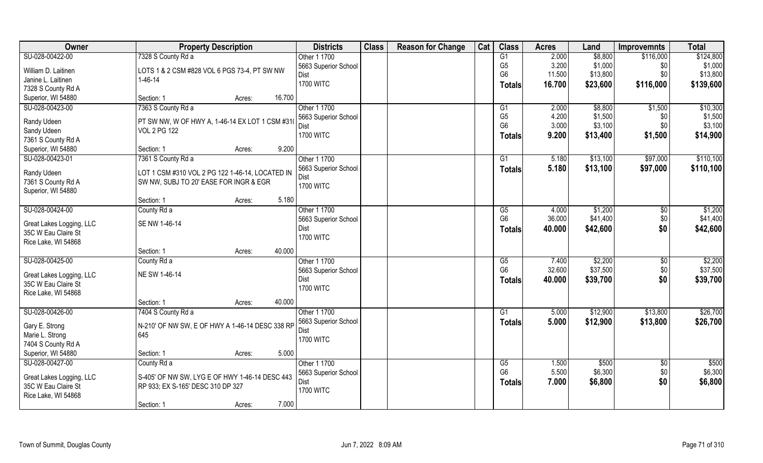| Owner                                           | <b>Property Description</b>                     | <b>Districts</b>                     | <b>Class</b> | <b>Reason for Change</b> | Cat | <b>Class</b>   | <b>Acres</b> | Land     | <b>Improvemnts</b> | <b>Total</b> |
|-------------------------------------------------|-------------------------------------------------|--------------------------------------|--------------|--------------------------|-----|----------------|--------------|----------|--------------------|--------------|
| SU-028-00422-00                                 | 7328 S County Rd a                              | Other 1 1700                         |              |                          |     | G1             | 2.000        | \$8,800  | \$116,000          | \$124,800    |
| William D. Laitinen                             | LOTS 1 & 2 CSM #828 VOL 6 PGS 73-4, PT SW NW    | 5663 Superior School                 |              |                          |     | G <sub>5</sub> | 3.200        | \$1,000  | \$0                | \$1,000      |
| Janine L. Laitinen                              | $1 - 46 - 14$                                   | Dist                                 |              |                          |     | G <sub>6</sub> | 11.500       | \$13,800 | \$0                | \$13,800     |
| 7328 S County Rd A                              |                                                 | <b>1700 WITC</b>                     |              |                          |     | <b>Totals</b>  | 16.700       | \$23,600 | \$116,000          | \$139,600    |
| Superior, WI 54880                              | 16.700<br>Section: 1<br>Acres:                  |                                      |              |                          |     |                |              |          |                    |              |
| SU-028-00423-00                                 | 7363 S County Rd a                              | Other 1 1700                         |              |                          |     | G <sub>1</sub> | 2.000        | \$8,800  | \$1,500            | \$10,300     |
|                                                 |                                                 | 5663 Superior School                 |              |                          |     | G <sub>5</sub> | 4.200        | \$1,500  | \$0                | \$1,500      |
| Randy Udeen                                     | PT SW NW, W OF HWY A, 1-46-14 EX LOT 1 CSM #310 | Dist                                 |              |                          |     | G <sub>6</sub> | 3.000        | \$3,100  | \$0                | \$3,100      |
| Sandy Udeen                                     | <b>VOL 2 PG 122</b>                             | <b>1700 WITC</b>                     |              |                          |     | <b>Totals</b>  | 9.200        | \$13,400 | \$1,500            | \$14,900     |
| 7361 S County Rd A                              | 9.200                                           |                                      |              |                          |     |                |              |          |                    |              |
| Superior, WI 54880                              | Section: 1<br>Acres:                            |                                      |              |                          |     |                |              |          |                    |              |
| SU-028-00423-01                                 | 7361 S County Rd a                              | Other 1 1700<br>5663 Superior School |              |                          |     | G <sub>1</sub> | 5.180        | \$13,100 | \$97,000           | \$110,100    |
| Randy Udeen                                     | LOT 1 CSM #310 VOL 2 PG 122 1-46-14, LOCATED IN | Dist                                 |              |                          |     | <b>Totals</b>  | 5.180        | \$13,100 | \$97,000           | \$110,100    |
| 7361 S County Rd A                              | SW NW, SUBJ TO 20' EASE FOR INGR & EGR          | <b>1700 WITC</b>                     |              |                          |     |                |              |          |                    |              |
| Superior, WI 54880                              |                                                 |                                      |              |                          |     |                |              |          |                    |              |
|                                                 | 5.180<br>Section: 1<br>Acres:                   |                                      |              |                          |     |                |              |          |                    |              |
| SU-028-00424-00                                 | County Rd a                                     | Other 1 1700                         |              |                          |     | G5             | 4.000        | \$1,200  | \$0                | \$1,200      |
| Great Lakes Logging, LLC                        | SE NW 1-46-14                                   | 5663 Superior School                 |              |                          |     | G <sub>6</sub> | 36.000       | \$41,400 | \$0                | \$41,400     |
| 35C W Eau Claire St                             |                                                 | Dist                                 |              |                          |     | <b>Totals</b>  | 40.000       | \$42,600 | \$0                | \$42,600     |
| Rice Lake, WI 54868                             |                                                 | <b>1700 WITC</b>                     |              |                          |     |                |              |          |                    |              |
|                                                 | Section: 1<br>40.000<br>Acres:                  |                                      |              |                          |     |                |              |          |                    |              |
| SU-028-00425-00                                 | County Rd a                                     | Other 1 1700                         |              |                          |     | G5             | 7.400        | \$2,200  | \$0                | \$2,200      |
|                                                 | NE SW 1-46-14                                   | 5663 Superior School                 |              |                          |     | G <sub>6</sub> | 32.600       | \$37,500 | \$0                | \$37,500     |
| Great Lakes Logging, LLC<br>35C W Eau Claire St |                                                 | Dist                                 |              |                          |     | <b>Totals</b>  | 40.000       | \$39,700 | \$0                | \$39,700     |
| Rice Lake, WI 54868                             |                                                 | <b>1700 WITC</b>                     |              |                          |     |                |              |          |                    |              |
|                                                 | 40.000<br>Section: 1<br>Acres:                  |                                      |              |                          |     |                |              |          |                    |              |
| SU-028-00426-00                                 | 7404 S County Rd a                              | Other 1 1700                         |              |                          |     | G1             | 5.000        | \$12,900 | \$13,800           | \$26,700     |
| Gary E. Strong                                  | N-210' OF NW SW, E OF HWY A 1-46-14 DESC 338 RP | 5663 Superior School                 |              |                          |     | <b>Totals</b>  | 5.000        | \$12,900 | \$13,800           | \$26,700     |
| Marie L. Strong                                 | 645                                             | Dist                                 |              |                          |     |                |              |          |                    |              |
| 7404 S County Rd A                              |                                                 | <b>1700 WITC</b>                     |              |                          |     |                |              |          |                    |              |
| Superior, WI 54880                              | 5.000<br>Section: 1<br>Acres:                   |                                      |              |                          |     |                |              |          |                    |              |
| SU-028-00427-00                                 | County Rd a                                     | Other 1 1700                         |              |                          |     | G5             | 1.500        | \$500    | $\sqrt{$0}$        | \$500        |
|                                                 |                                                 | 5663 Superior School                 |              |                          |     | G <sub>6</sub> | 5.500        | \$6,300  | \$0                | \$6,300      |
| Great Lakes Logging, LLC                        | S-405' OF NW SW, LYG E OF HWY 1-46-14 DESC 443  | Dist                                 |              |                          |     | <b>Totals</b>  | 7.000        | \$6,800  | \$0                | \$6,800      |
| 35C W Eau Claire St                             | RP 933; EX S-165' DESC 310 DP 327               | <b>1700 WITC</b>                     |              |                          |     |                |              |          |                    |              |
| Rice Lake, WI 54868                             |                                                 |                                      |              |                          |     |                |              |          |                    |              |
|                                                 | 7.000<br>Section: 1<br>Acres:                   |                                      |              |                          |     |                |              |          |                    |              |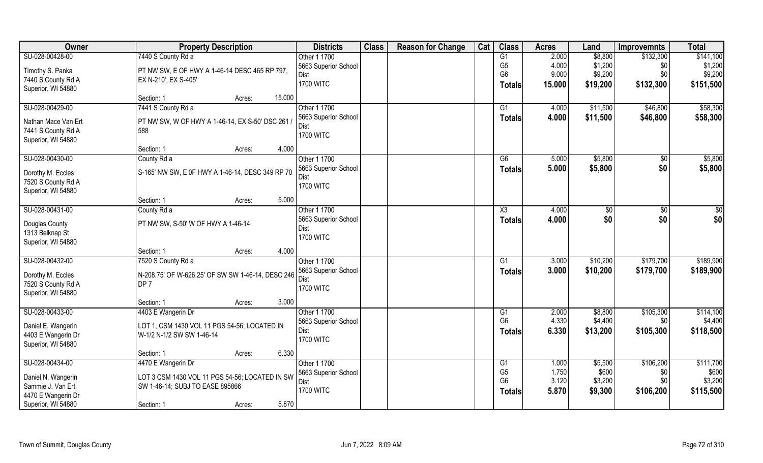| Owner               | <b>Property Description</b>                       | <b>Districts</b>     | <b>Class</b> | <b>Reason for Change</b> | Cat | <b>Class</b>    | <b>Acres</b> | Land     | <b>Improvemnts</b> | <b>Total</b> |
|---------------------|---------------------------------------------------|----------------------|--------------|--------------------------|-----|-----------------|--------------|----------|--------------------|--------------|
| SU-028-00428-00     | 7440 S County Rd a                                | Other 1 1700         |              |                          |     | G1              | 2.000        | \$8,800  | \$132,300          | \$141,100    |
| Timothy S. Panka    | PT NW SW, E OF HWY A 1-46-14 DESC 465 RP 797,     | 5663 Superior School |              |                          |     | G <sub>5</sub>  | 4.000        | \$1,200  | \$0                | \$1,200      |
| 7440 S County Rd A  | EX N-210', EX S-405'                              | Dist                 |              |                          |     | G <sub>6</sub>  | 9.000        | \$9,200  | \$0                | \$9,200      |
| Superior, WI 54880  |                                                   | <b>1700 WITC</b>     |              |                          |     | <b>Totals</b>   | 15.000       | \$19,200 | \$132,300          | \$151,500    |
|                     | 15.000<br>Section: 1<br>Acres:                    |                      |              |                          |     |                 |              |          |                    |              |
| SU-028-00429-00     | 7441 S County Rd a                                | Other 1 1700         |              |                          |     | G1              | 4.000        | \$11,500 | \$46,800           | \$58,300     |
| Nathan Mace Van Ert | PT NW SW, W OF HWY A 1-46-14, EX S-50' DSC 261    | 5663 Superior School |              |                          |     | <b>Totals</b>   | 4.000        | \$11,500 | \$46,800           | \$58,300     |
| 7441 S County Rd A  | 588                                               | Dist                 |              |                          |     |                 |              |          |                    |              |
| Superior, WI 54880  |                                                   | <b>1700 WITC</b>     |              |                          |     |                 |              |          |                    |              |
|                     | 4.000<br>Section: 1<br>Acres:                     |                      |              |                          |     |                 |              |          |                    |              |
| SU-028-00430-00     | County Rd a                                       | Other 1 1700         |              |                          |     | G6              | 5.000        | \$5,800  | \$0                | \$5,800      |
| Dorothy M. Eccles   | S-165' NW SW, E 0F HWY A 1-46-14, DESC 349 RP 70  | 5663 Superior School |              |                          |     | <b>Totals</b>   | 5.000        | \$5,800  | \$0                | \$5,800      |
| 7520 S County Rd A  |                                                   | Dist                 |              |                          |     |                 |              |          |                    |              |
| Superior, WI 54880  |                                                   | <b>1700 WITC</b>     |              |                          |     |                 |              |          |                    |              |
|                     | 5.000<br>Section: 1<br>Acres:                     |                      |              |                          |     |                 |              |          |                    |              |
| SU-028-00431-00     | County Rd a                                       | Other 1 1700         |              |                          |     | X3              | 4.000        | \$0      | \$0                | \$0          |
|                     |                                                   | 5663 Superior School |              |                          |     | <b>Totals</b>   | 4.000        | \$0      | \$0                | \$0          |
| Douglas County      | PT NW SW, S-50' W OF HWY A 1-46-14                | Dist                 |              |                          |     |                 |              |          |                    |              |
| 1313 Belknap St     |                                                   | <b>1700 WITC</b>     |              |                          |     |                 |              |          |                    |              |
| Superior, WI 54880  | 4.000<br>Section: 1                               |                      |              |                          |     |                 |              |          |                    |              |
| SU-028-00432-00     | Acres:<br>7520 S County Rd a                      | Other 1 1700         |              |                          |     | $\overline{G1}$ | 3.000        | \$10,200 | \$179,700          | \$189,900    |
|                     |                                                   | 5663 Superior School |              |                          |     |                 | 3.000        | \$10,200 | \$179,700          |              |
| Dorothy M. Eccles   | N-208.75' OF W-626.25' OF SW SW 1-46-14, DESC 246 | <b>Dist</b>          |              |                          |     | Totals          |              |          |                    | \$189,900    |
| 7520 S County Rd A  | DP <sub>7</sub>                                   | <b>1700 WITC</b>     |              |                          |     |                 |              |          |                    |              |
| Superior, WI 54880  |                                                   |                      |              |                          |     |                 |              |          |                    |              |
|                     | 3.000<br>Section: 1<br>Acres:                     |                      |              |                          |     |                 |              |          |                    |              |
| SU-028-00433-00     | 4403 E Wangerin Dr                                | Other 1 1700         |              |                          |     | G1              | 2.000        | \$8,800  | \$105,300          | \$114,100    |
| Daniel E. Wangerin  | LOT 1, CSM 1430 VOL 11 PGS 54-56; LOCATED IN      | 5663 Superior School |              |                          |     | G <sub>6</sub>  | 4.330        | \$4,400  | \$0                | \$4,400      |
| 4403 E Wangerin Dr  | W-1/2 N-1/2 SW SW 1-46-14                         | <b>Dist</b>          |              |                          |     | <b>Totals</b>   | 6.330        | \$13,200 | \$105,300          | \$118,500    |
| Superior, WI 54880  |                                                   | <b>1700 WITC</b>     |              |                          |     |                 |              |          |                    |              |
|                     | 6.330<br>Section: 1<br>Acres:                     |                      |              |                          |     |                 |              |          |                    |              |
| SU-028-00434-00     | 4470 E Wangerin Dr                                | Other 1 1700         |              |                          |     | G1              | 1.000        | \$5,500  | \$106,200          | \$111,700    |
| Daniel N. Wangerin  | LOT 3 CSM 1430 VOL 11 PGS 54-56; LOCATED IN SW    | 5663 Superior School |              |                          |     | G <sub>5</sub>  | 1.750        | \$600    | \$0                | \$600        |
| Sammie J. Van Ert   | SW 1-46-14; SUBJ TO EASE 895866                   | Dist                 |              |                          |     | G <sub>6</sub>  | 3.120        | \$3,200  | \$0                | \$3,200      |
| 4470 E Wangerin Dr  |                                                   | <b>1700 WITC</b>     |              |                          |     | <b>Totals</b>   | 5.870        | \$9,300  | \$106,200          | \$115,500    |
| Superior, WI 54880  | 5.870<br>Section: 1<br>Acres:                     |                      |              |                          |     |                 |              |          |                    |              |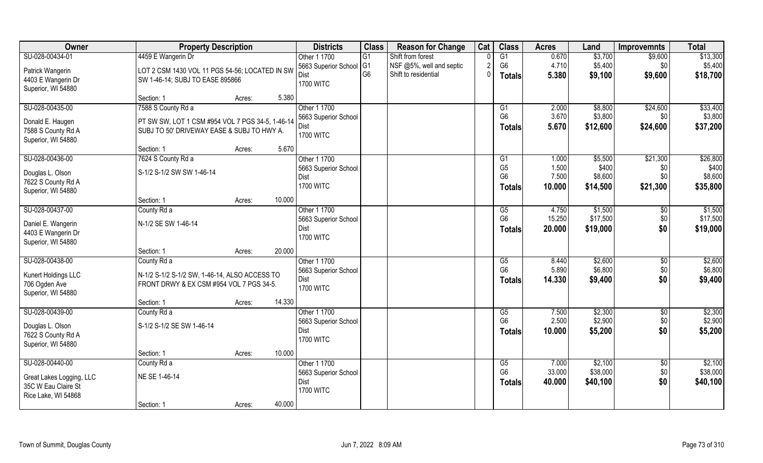| Owner                    | <b>Property Description</b>                      |        |        | <b>Districts</b>             | <b>Class</b>    | <b>Reason for Change</b> | Cat      | <b>Class</b>   | <b>Acres</b> | Land     | <b>Improvemnts</b> | <b>Total</b> |
|--------------------------|--------------------------------------------------|--------|--------|------------------------------|-----------------|--------------------------|----------|----------------|--------------|----------|--------------------|--------------|
| SU-028-00434-01          | 4459 E Wangerin Dr                               |        |        | Other 1 1700                 | $\overline{G1}$ | Shift from forest        |          | G1             | 0.670        | \$3,700  | \$9,600            | \$13,300     |
| Patrick Wangerin         | LOT 2 CSM 1430 VOL 11 PGS 54-56; LOCATED IN SW   |        |        | 5663 Superior School         | G <sub>1</sub>  | NSF @5%, well and septic | 2        | G <sub>6</sub> | 4.710        | \$5,400  | \$0                | \$5,400      |
| 4403 E Wangerin Dr       | SW 1-46-14; SUBJ TO EASE 895866                  |        |        | Dist                         | G <sub>6</sub>  | Shift to residential     | $\Omega$ | Totals         | 5.380        | \$9,100  | \$9,600            | \$18,700     |
| Superior, WI 54880       |                                                  |        |        | <b>1700 WITC</b>             |                 |                          |          |                |              |          |                    |              |
|                          | Section: 1                                       | Acres: | 5.380  |                              |                 |                          |          |                |              |          |                    |              |
| SU-028-00435-00          | 7588 S County Rd a                               |        |        | Other 1 1700                 |                 |                          |          | G1             | 2.000        | \$8,800  | \$24,600           | \$33,400     |
| Donald E. Haugen         | PT SW SW, LOT 1 CSM #954 VOL 7 PGS 34-5, 1-46-14 |        |        | 5663 Superior School         |                 |                          |          | G <sub>6</sub> | 3.670        | \$3,800  | \$0                | \$3,800      |
| 7588 S County Rd A       | SUBJ TO 50' DRIVEWAY EASE & SUBJ TO HWY A.       |        |        | Dist<br><b>1700 WITC</b>     |                 |                          |          | <b>Totals</b>  | 5.670        | \$12,600 | \$24,600           | \$37,200     |
| Superior, WI 54880       |                                                  |        |        |                              |                 |                          |          |                |              |          |                    |              |
|                          | Section: 1                                       | Acres: | 5.670  |                              |                 |                          |          |                |              |          |                    |              |
| SU-028-00436-00          | 7624 S County Rd a                               |        |        | Other 1 1700                 |                 |                          |          | G1             | 1.000        | \$5,500  | \$21,300           | \$26,800     |
| Douglas L. Olson         | S-1/2 S-1/2 SW SW 1-46-14                        |        |        | 5663 Superior School         |                 |                          |          | G <sub>5</sub> | 1.500        | \$400    | \$0                | \$400        |
| 7622 S County Rd A       |                                                  |        |        | Dist<br><b>1700 WITC</b>     |                 |                          |          | G <sub>6</sub> | 7.500        | \$8,600  | \$0                | \$8,600      |
| Superior, WI 54880       |                                                  |        |        |                              |                 |                          |          | <b>Totals</b>  | 10,000       | \$14,500 | \$21,300           | \$35,800     |
|                          | Section: 1                                       | Acres: | 10.000 |                              |                 |                          |          |                |              |          |                    |              |
| SU-028-00437-00          | County Rd a                                      |        |        | Other 1 1700                 |                 |                          |          | G5             | 4.750        | \$1,500  | $\sqrt[6]{}$       | \$1,500      |
| Daniel E. Wangerin       | N-1/2 SE SW 1-46-14                              |        |        | 5663 Superior School         |                 |                          |          | G <sub>6</sub> | 15.250       | \$17,500 | \$0                | \$17,500     |
| 4403 E Wangerin Dr       |                                                  |        |        | Dist<br><b>1700 WITC</b>     |                 |                          |          | <b>Totals</b>  | 20.000       | \$19,000 | \$0                | \$19,000     |
| Superior, WI 54880       |                                                  |        |        |                              |                 |                          |          |                |              |          |                    |              |
|                          | Section: 1                                       | Acres: | 20.000 |                              |                 |                          |          |                |              |          |                    |              |
| SU-028-00438-00          | County Rd a                                      |        |        | Other 1 1700                 |                 |                          |          | G5             | 8.440        | \$2,600  | $\sqrt[6]{3}$      | \$2,600      |
| Kunert Holdings LLC      | N-1/2 S-1/2 S-1/2 SW, 1-46-14, ALSO ACCESS TO    |        |        | 5663 Superior School         |                 |                          |          | G <sub>6</sub> | 5.890        | \$6,800  | \$0                | \$6,800      |
| 706 Ogden Ave            | FRONT DRWY & EX CSM #954 VOL 7 PGS 34-5.         |        |        | Dist<br><b>1700 WITC</b>     |                 |                          |          | Totals         | 14.330       | \$9,400  | \$0                | \$9,400      |
| Superior, WI 54880       |                                                  |        |        |                              |                 |                          |          |                |              |          |                    |              |
|                          | Section: 1                                       | Acres: | 14.330 |                              |                 |                          |          |                |              |          |                    |              |
| SU-028-00439-00          | County Rd a                                      |        |        | Other 1 1700                 |                 |                          |          | G5             | 7.500        | \$2,300  | \$0                | \$2,300      |
| Douglas L. Olson         | S-1/2 S-1/2 SE SW 1-46-14                        |        |        | 5663 Superior School         |                 |                          |          | G <sub>6</sub> | 2.500        | \$2,900  | \$0                | \$2,900      |
| 7622 S County Rd A       |                                                  |        |        | Dist<br><b>1700 WITC</b>     |                 |                          |          | <b>Totals</b>  | 10.000       | \$5,200  | \$0                | \$5,200      |
| Superior, WI 54880       |                                                  |        |        |                              |                 |                          |          |                |              |          |                    |              |
|                          | Section: 1                                       | Acres: | 10.000 |                              |                 |                          |          |                |              |          |                    |              |
| SU-028-00440-00          | County Rd a                                      |        |        | Other 1 1700                 |                 |                          |          | G5             | 7.000        | \$2,100  | $\sqrt{$0}$        | \$2,100      |
| Great Lakes Logging, LLC | NE SE 1-46-14                                    |        |        | 5663 Superior School<br>Dist |                 |                          |          | G <sub>6</sub> | 33.000       | \$38,000 | \$0                | \$38,000     |
| 35C W Eau Claire St      |                                                  |        |        | <b>1700 WITC</b>             |                 |                          |          | <b>Totals</b>  | 40.000       | \$40,100 | \$0                | \$40,100     |
| Rice Lake, WI 54868      |                                                  |        |        |                              |                 |                          |          |                |              |          |                    |              |
|                          | Section: 1                                       | Acres: | 40.000 |                              |                 |                          |          |                |              |          |                    |              |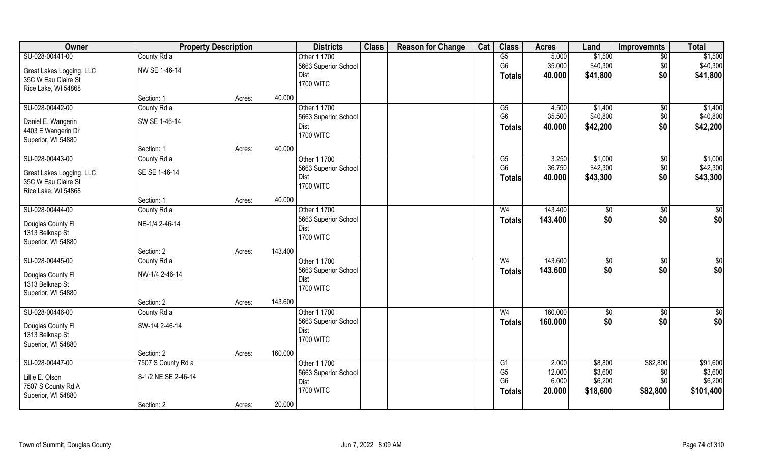| Owner                    |                     | <b>Property Description</b> |         | <b>Districts</b>         | <b>Class</b> | <b>Reason for Change</b> | Cat | <b>Class</b>           | <b>Acres</b> | Land       | <b>Improvemnts</b> | <b>Total</b>  |
|--------------------------|---------------------|-----------------------------|---------|--------------------------|--------------|--------------------------|-----|------------------------|--------------|------------|--------------------|---------------|
| SU-028-00441-00          | County Rd a         |                             |         | Other 1 1700             |              |                          |     | $\overline{\text{G5}}$ | 5.000        | \$1,500    | $\sqrt{6}$         | \$1,500       |
| Great Lakes Logging, LLC | NW SE 1-46-14       |                             |         | 5663 Superior School     |              |                          |     | G <sub>6</sub>         | 35.000       | \$40,300   | \$0                | \$40,300      |
| 35C W Eau Claire St      |                     |                             |         | Dist                     |              |                          |     | <b>Totals</b>          | 40.000       | \$41,800   | \$0                | \$41,800      |
| Rice Lake, WI 54868      |                     |                             |         | <b>1700 WITC</b>         |              |                          |     |                        |              |            |                    |               |
|                          | Section: 1          | Acres:                      | 40.000  |                          |              |                          |     |                        |              |            |                    |               |
| SU-028-00442-00          | County Rd a         |                             |         | Other 1 1700             |              |                          |     | G5                     | 4.500        | \$1,400    | \$0                | \$1,400       |
|                          |                     |                             |         | 5663 Superior School     |              |                          |     | G <sub>6</sub>         | 35.500       | \$40,800   | \$0                | \$40,800      |
| Daniel E. Wangerin       | SW SE 1-46-14       |                             |         | Dist                     |              |                          |     | Totals                 | 40.000       | \$42,200   | \$0                | \$42,200      |
| 4403 E Wangerin Dr       |                     |                             |         | <b>1700 WITC</b>         |              |                          |     |                        |              |            |                    |               |
| Superior, WI 54880       |                     |                             | 40.000  |                          |              |                          |     |                        |              |            |                    |               |
|                          | Section: 1          | Acres:                      |         |                          |              |                          |     |                        |              |            |                    |               |
| SU-028-00443-00          | County Rd a         |                             |         | Other 1 1700             |              |                          |     | G5                     | 3.250        | \$1,000    | \$0                | \$1,000       |
| Great Lakes Logging, LLC | SE SE 1-46-14       |                             |         | 5663 Superior School     |              |                          |     | G <sub>6</sub>         | 36.750       | \$42,300   | \$0                | \$42,300      |
| 35C W Eau Claire St      |                     |                             |         | Dist                     |              |                          |     | <b>Totals</b>          | 40.000       | \$43,300   | \$0                | \$43,300      |
| Rice Lake, WI 54868      |                     |                             |         | <b>1700 WITC</b>         |              |                          |     |                        |              |            |                    |               |
|                          | Section: 1          | Acres:                      | 40.000  |                          |              |                          |     |                        |              |            |                    |               |
| SU-028-00444-00          | County Rd a         |                             |         | Other 1 1700             |              |                          |     | W <sub>4</sub>         | 143.400      | \$0        | $\sqrt[6]{3}$      | \$0           |
|                          |                     |                             |         | 5663 Superior School     |              |                          |     | Totals                 | 143.400      | \$0        | \$0                | \$0           |
| Douglas County FI        | NE-1/4 2-46-14      |                             |         | Dist                     |              |                          |     |                        |              |            |                    |               |
| 1313 Belknap St          |                     |                             |         | <b>1700 WITC</b>         |              |                          |     |                        |              |            |                    |               |
| Superior, WI 54880       |                     |                             | 143.400 |                          |              |                          |     |                        |              |            |                    |               |
| SU-028-00445-00          | Section: 2          | Acres:                      |         |                          |              |                          |     |                        | 143.600      |            |                    |               |
|                          | County Rd a         |                             |         | Other 1 1700             |              |                          |     | W <sub>4</sub>         |              | \$0        | $\sqrt[6]{30}$     | $\sqrt{50}$   |
| Douglas County FI        | NW-1/4 2-46-14      |                             |         | 5663 Superior School     |              |                          |     | <b>Totals</b>          | 143.600      | \$0        | \$0                | \$0           |
| 1313 Belknap St          |                     |                             |         | Dist<br><b>1700 WITC</b> |              |                          |     |                        |              |            |                    |               |
| Superior, WI 54880       |                     |                             |         |                          |              |                          |     |                        |              |            |                    |               |
|                          | Section: 2          | Acres:                      | 143.600 |                          |              |                          |     |                        |              |            |                    |               |
| SU-028-00446-00          | County Rd a         |                             |         | Other 1 1700             |              |                          |     | W <sub>4</sub>         | 160.000      | $\sqrt{6}$ | \$0                | $\frac{6}{3}$ |
| Douglas County FI        | SW-1/4 2-46-14      |                             |         | 5663 Superior School     |              |                          |     | <b>Totals</b>          | 160.000      | \$0        | \$0                | \$0           |
| 1313 Belknap St          |                     |                             |         | Dist                     |              |                          |     |                        |              |            |                    |               |
| Superior, WI 54880       |                     |                             |         | <b>1700 WITC</b>         |              |                          |     |                        |              |            |                    |               |
|                          | Section: 2          | Acres:                      | 160.000 |                          |              |                          |     |                        |              |            |                    |               |
| SU-028-00447-00          | 7507 S County Rd a  |                             |         | Other 1 1700             |              |                          |     | G1                     | 2.000        | \$8,800    | \$82,800           | \$91,600      |
|                          |                     |                             |         | 5663 Superior School     |              |                          |     | G <sub>5</sub>         | 12.000       | \$3,600    | \$0                | \$3,600       |
| Lillie E. Olson          | S-1/2 NE SE 2-46-14 |                             |         | Dist                     |              |                          |     | G <sub>6</sub>         | 6.000        | \$6,200    | \$0                | \$6,200       |
| 7507 S County Rd A       |                     |                             |         | <b>1700 WITC</b>         |              |                          |     | Totals                 | 20.000       | \$18,600   | \$82,800           | \$101,400     |
| Superior, WI 54880       |                     |                             |         |                          |              |                          |     |                        |              |            |                    |               |
|                          | Section: 2          | Acres:                      | 20.000  |                          |              |                          |     |                        |              |            |                    |               |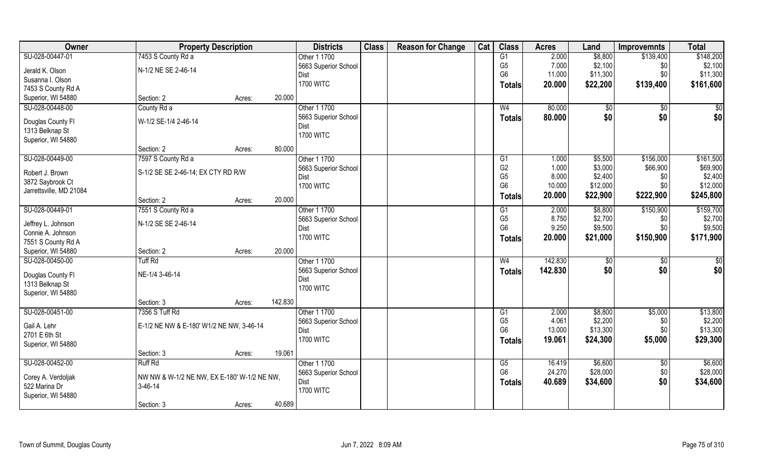| Owner                   | <b>Property Description</b>                 |        |         | <b>Districts</b>     | <b>Class</b> | <b>Reason for Change</b> | Cat | <b>Class</b>         | <b>Acres</b>     | Land            | <b>Improvemnts</b> | <b>Total</b>    |
|-------------------------|---------------------------------------------|--------|---------|----------------------|--------------|--------------------------|-----|----------------------|------------------|-----------------|--------------------|-----------------|
| SU-028-00447-01         | 7453 S County Rd a                          |        |         | Other 1 1700         |              |                          |     | G1                   | 2.000            | \$8,800         | \$139,400          | \$148,200       |
| Jerald K. Olson         | N-1/2 NE SE 2-46-14                         |        |         | 5663 Superior School |              |                          |     | G <sub>5</sub>       | 7.000            | \$2,100         | \$0                | \$2,100         |
| Susanna I. Olson        |                                             |        |         | Dist                 |              |                          |     | G <sub>6</sub>       | 11.000           | \$11,300        | \$0                | \$11,300        |
| 7453 S County Rd A      |                                             |        |         | <b>1700 WITC</b>     |              |                          |     | Totals               | 20.000           | \$22,200        | \$139,400          | \$161,600       |
| Superior, WI 54880      | Section: 2                                  |        | 20.000  |                      |              |                          |     |                      |                  |                 |                    |                 |
|                         |                                             | Acres: |         |                      |              |                          |     |                      |                  |                 |                    |                 |
| SU-028-00448-00         | County Rd a                                 |        |         | Other 1 1700         |              |                          |     | W <sub>4</sub>       | 80.000           | \$0             | \$0                | $\sqrt{50}$     |
| Douglas County Fl       | W-1/2 SE-1/4 2-46-14                        |        |         | 5663 Superior School |              |                          |     | Totals               | 80.000           | \$0             | \$0                | \$0             |
| 1313 Belknap St         |                                             |        |         | Dist                 |              |                          |     |                      |                  |                 |                    |                 |
| Superior, WI 54880      |                                             |        |         | <b>1700 WITC</b>     |              |                          |     |                      |                  |                 |                    |                 |
|                         | Section: 2                                  | Acres: | 80.000  |                      |              |                          |     |                      |                  |                 |                    |                 |
| SU-028-00449-00         | 7597 S County Rd a                          |        |         | Other 1 1700         |              |                          |     | G1                   | 1.000            | \$5,500         | \$156,000          | \$161,500       |
|                         |                                             |        |         | 5663 Superior School |              |                          |     | G <sub>2</sub>       | 1.000            | \$3,000         | \$66,900           | \$69,900        |
| Robert J. Brown         | S-1/2 SE SE 2-46-14; EX CTY RD R/W          |        |         | Dist                 |              |                          |     | G <sub>5</sub>       | 8.000            | \$2,400         | \$0                | \$2,400         |
| 3872 Saybrook Ct        |                                             |        |         | <b>1700 WITC</b>     |              |                          |     | G <sub>6</sub>       | 10.000           | \$12,000        | \$0                | \$12,000        |
| Jarrettsville, MD 21084 |                                             |        |         |                      |              |                          |     | Totals               | 20.000           | \$22,900        | \$222,900          | \$245,800       |
|                         | Section: 2                                  | Acres: | 20.000  |                      |              |                          |     |                      |                  |                 |                    |                 |
| SU-028-00449-01         | 7551 S County Rd a                          |        |         | Other 1 1700         |              |                          |     | G1                   | 2.000            | \$8,800         | \$150,900          | \$159,700       |
| Jeffrey L. Johnson      | N-1/2 SE SE 2-46-14                         |        |         | 5663 Superior School |              |                          |     | G <sub>5</sub>       | 8.750            | \$2,700         | \$0                | \$2,700         |
| Connie A. Johnson       |                                             |        |         | Dist                 |              |                          |     | G <sub>6</sub>       | 9.250            | \$9,500         | \$0                | \$9,500         |
| 7551 S County Rd A      |                                             |        |         | <b>1700 WITC</b>     |              |                          |     | <b>Totals</b>        | 20.000           | \$21,000        | \$150,900          | \$171,900       |
| Superior, WI 54880      | Section: 2                                  | Acres: | 20.000  |                      |              |                          |     |                      |                  |                 |                    |                 |
| SU-028-00450-00         | <b>Tuff Rd</b>                              |        |         | Other 1 1700         |              |                          |     | W <sub>4</sub>       | 142.830          | $\overline{50}$ | $\sqrt[6]{30}$     | $\overline{50}$ |
|                         |                                             |        |         | 5663 Superior School |              |                          |     | <b>Totals</b>        | 142.830          | \$0             | \$0                | \$0             |
| Douglas County Fl       | NE-1/4 3-46-14                              |        |         | Dist                 |              |                          |     |                      |                  |                 |                    |                 |
| 1313 Belknap St         |                                             |        |         | <b>1700 WITC</b>     |              |                          |     |                      |                  |                 |                    |                 |
| Superior, WI 54880      |                                             |        |         |                      |              |                          |     |                      |                  |                 |                    |                 |
|                         | Section: 3                                  | Acres: | 142.830 |                      |              |                          |     |                      |                  |                 |                    |                 |
| SU-028-00451-00         | 7356 S Tuff Rd                              |        |         | Other 1 1700         |              |                          |     | G1                   | 2.000            | \$8,800         | \$5,000            | \$13,800        |
| Gail A. Lehr            | E-1/2 NE NW & E-180' W1/2 NE NW, 3-46-14    |        |         | 5663 Superior School |              |                          |     | G <sub>5</sub>       | 4.061            | \$2,200         | \$0                | \$2,200         |
| 2701 E 6th St           |                                             |        |         | Dist                 |              |                          |     | G <sub>6</sub>       | 13.000           | \$13,300        | \$0                | \$13,300        |
|                         |                                             |        |         | <b>1700 WITC</b>     |              |                          |     | <b>Totals</b>        | 19.061           | \$24,300        | \$5,000            | \$29,300        |
| Superior, WI 54880      |                                             |        | 19.061  |                      |              |                          |     |                      |                  |                 |                    |                 |
|                         | Section: 3                                  | Acres: |         |                      |              |                          |     |                      |                  |                 |                    |                 |
| SU-028-00452-00         | <b>Ruff Rd</b>                              |        |         | Other 1 1700         |              |                          |     | G5<br>G <sub>6</sub> | 16.419<br>24.270 | \$6,600         | $\sqrt{6}$         | \$6,600         |
| Corey A. Verdoljak      | NW NW & W-1/2 NE NW, EX E-180' W-1/2 NE NW, |        |         | 5663 Superior School |              |                          |     |                      |                  | \$28,000        | \$0                | \$28,000        |
| 522 Marina Dr           | $3-46-14$                                   |        |         | Dist                 |              |                          |     | <b>Totals</b>        | 40.689           | \$34,600        | \$0                | \$34,600        |
| Superior, WI 54880      |                                             |        |         | <b>1700 WITC</b>     |              |                          |     |                      |                  |                 |                    |                 |
|                         | Section: 3                                  | Acres: | 40.689  |                      |              |                          |     |                      |                  |                 |                    |                 |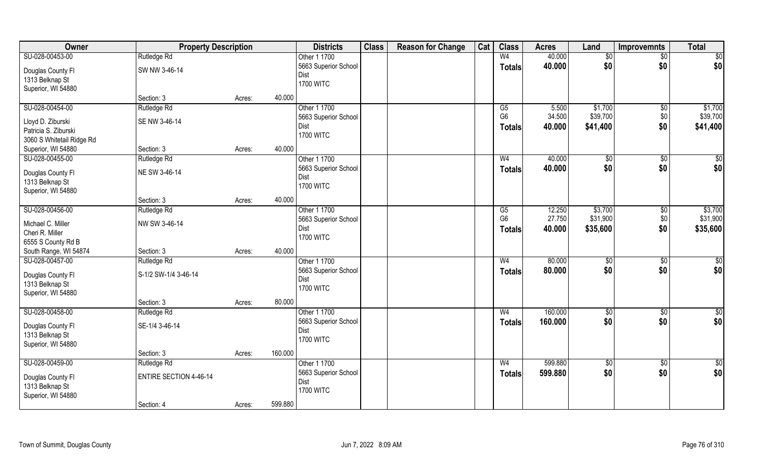| Owner                     | <b>Property Description</b>   |        |         | <b>Districts</b>     | <b>Class</b> | <b>Reason for Change</b> | Cat | <b>Class</b>   | <b>Acres</b> | Land            | <b>Improvemnts</b> | <b>Total</b>    |
|---------------------------|-------------------------------|--------|---------|----------------------|--------------|--------------------------|-----|----------------|--------------|-----------------|--------------------|-----------------|
| SU-028-00453-00           | Rutledge Rd                   |        |         | Other 1 1700         |              |                          |     | W <sub>4</sub> | 40.000       | \$0             | \$0                | \$0             |
| Douglas County Fl         | SW NW 3-46-14                 |        |         | 5663 Superior School |              |                          |     | <b>Totals</b>  | 40.000       | \$0             | \$0                | \$0             |
| 1313 Belknap St           |                               |        |         | Dist                 |              |                          |     |                |              |                 |                    |                 |
| Superior, WI 54880        |                               |        |         | <b>1700 WITC</b>     |              |                          |     |                |              |                 |                    |                 |
|                           | Section: 3                    | Acres: | 40.000  |                      |              |                          |     |                |              |                 |                    |                 |
| SU-028-00454-00           | Rutledge Rd                   |        |         | Other 1 1700         |              |                          |     | G5             | 5.500        | \$1,700         | \$0                | \$1,700         |
|                           |                               |        |         | 5663 Superior School |              |                          |     | G <sub>6</sub> | 34.500       | \$39,700        | \$0                | \$39,700        |
| Lloyd D. Ziburski         | SE NW 3-46-14                 |        |         | Dist                 |              |                          |     | <b>Totals</b>  | 40.000       | \$41,400        | \$0                | \$41,400        |
| Patricia S. Ziburski      |                               |        |         | <b>1700 WITC</b>     |              |                          |     |                |              |                 |                    |                 |
| 3060 S Whitetail Ridge Rd |                               |        |         |                      |              |                          |     |                |              |                 |                    |                 |
| Superior, WI 54880        | Section: 3                    | Acres: | 40.000  |                      |              |                          |     |                |              |                 |                    |                 |
| SU-028-00455-00           | Rutledge Rd                   |        |         | Other 1 1700         |              |                          |     | W <sub>4</sub> | 40.000       | \$0             | \$0                | \$0             |
| Douglas County Fl         | NE SW 3-46-14                 |        |         | 5663 Superior School |              |                          |     | <b>Totals</b>  | 40.000       | \$0             | \$0                | \$0             |
| 1313 Belknap St           |                               |        |         | Dist                 |              |                          |     |                |              |                 |                    |                 |
| Superior, WI 54880        |                               |        |         | <b>1700 WITC</b>     |              |                          |     |                |              |                 |                    |                 |
|                           | Section: 3                    | Acres: | 40.000  |                      |              |                          |     |                |              |                 |                    |                 |
| SU-028-00456-00           | Rutledge Rd                   |        |         | Other 1 1700         |              |                          |     | G5             | 12.250       | \$3,700         | \$0                | \$3,700         |
|                           |                               |        |         | 5663 Superior School |              |                          |     | G <sub>6</sub> | 27.750       | \$31,900        | \$0                | \$31,900        |
| Michael C. Miller         | NW SW 3-46-14                 |        |         | Dist                 |              |                          |     |                | 40.000       |                 | \$0                |                 |
| Cheri R. Miller           |                               |        |         | <b>1700 WITC</b>     |              |                          |     | <b>Totals</b>  |              | \$35,600        |                    | \$35,600        |
| 6555 S County Rd B        |                               |        |         |                      |              |                          |     |                |              |                 |                    |                 |
| South Range, WI 54874     | Section: 3                    | Acres: | 40.000  |                      |              |                          |     |                |              |                 |                    |                 |
| SU-028-00457-00           | Rutledge Rd                   |        |         | Other 1 1700         |              |                          |     | W <sub>4</sub> | 80.000       | \$0             | \$0                | $\overline{50}$ |
|                           | S-1/2 SW-1/4 3-46-14          |        |         | 5663 Superior School |              |                          |     | <b>Totals</b>  | 80.000       | \$0             | \$0                | \$0             |
| Douglas County Fl         |                               |        |         | Dist                 |              |                          |     |                |              |                 |                    |                 |
| 1313 Belknap St           |                               |        |         | <b>1700 WITC</b>     |              |                          |     |                |              |                 |                    |                 |
| Superior, WI 54880        | Section: 3                    |        | 80.000  |                      |              |                          |     |                |              |                 |                    |                 |
|                           |                               | Acres: |         |                      |              |                          |     |                |              |                 |                    |                 |
| SU-028-00458-00           | Rutledge Rd                   |        |         | Other 1 1700         |              |                          |     | W <sub>4</sub> | 160.000      | $\sqrt{6}$      | \$0                | $\overline{50}$ |
| Douglas County Fl         | SE-1/4 3-46-14                |        |         | 5663 Superior School |              |                          |     | <b>Totals</b>  | 160.000      | \$0             | \$0                | \$0             |
| 1313 Belknap St           |                               |        |         | Dist                 |              |                          |     |                |              |                 |                    |                 |
| Superior, WI 54880        |                               |        |         | <b>1700 WITC</b>     |              |                          |     |                |              |                 |                    |                 |
|                           | Section: 3                    | Acres: | 160.000 |                      |              |                          |     |                |              |                 |                    |                 |
| SU-028-00459-00           | Rutledge Rd                   |        |         | Other 1 1700         |              |                          |     | W <sub>4</sub> | 599.880      | $\overline{50}$ | $\sqrt{6}$         | $\overline{50}$ |
|                           |                               |        |         | 5663 Superior School |              |                          |     | <b>Totals</b>  | 599.880      | \$0             | \$0                | \$0             |
| Douglas County Fl         | <b>ENTIRE SECTION 4-46-14</b> |        |         | Dist                 |              |                          |     |                |              |                 |                    |                 |
| 1313 Belknap St           |                               |        |         | <b>1700 WITC</b>     |              |                          |     |                |              |                 |                    |                 |
| Superior, WI 54880        |                               |        |         |                      |              |                          |     |                |              |                 |                    |                 |
|                           | Section: 4                    | Acres: | 599.880 |                      |              |                          |     |                |              |                 |                    |                 |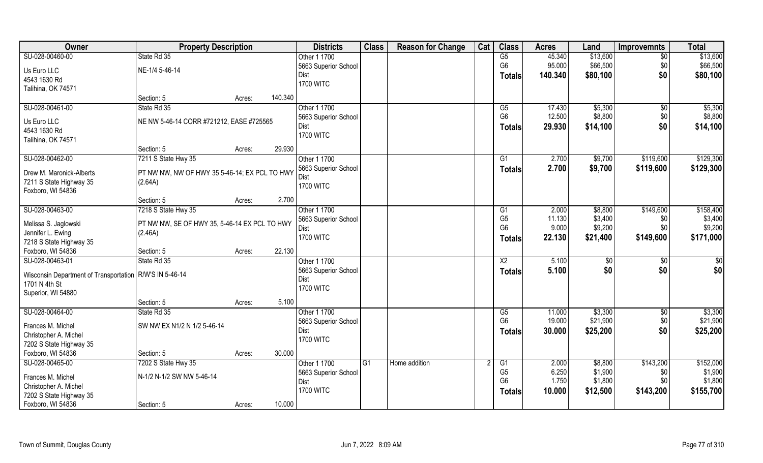| Owner                                                     | <b>Property Description</b>                   |                   | <b>Districts</b>             | <b>Class</b> | <b>Reason for Change</b> | Cat | <b>Class</b>    | <b>Acres</b> | Land         | <b>Improvemnts</b> | <b>Total</b>    |
|-----------------------------------------------------------|-----------------------------------------------|-------------------|------------------------------|--------------|--------------------------|-----|-----------------|--------------|--------------|--------------------|-----------------|
| SU-028-00460-00                                           | State Rd 35                                   |                   | Other 1 1700                 |              |                          |     | G5              | 45.340       | \$13,600     | $\overline{50}$    | \$13,600        |
| Us Euro LLC                                               | NE-1/4 5-46-14                                |                   | 5663 Superior School         |              |                          |     | G <sub>6</sub>  | 95.000       | \$66,500     | \$0                | \$66,500        |
| 4543 1630 Rd                                              |                                               |                   | Dist                         |              |                          |     | Totals          | 140.340      | \$80,100     | \$0                | \$80,100        |
| Talihina, OK 74571                                        |                                               |                   | <b>1700 WITC</b>             |              |                          |     |                 |              |              |                    |                 |
|                                                           | Section: 5                                    | 140.340<br>Acres: |                              |              |                          |     |                 |              |              |                    |                 |
| SU-028-00461-00                                           | State Rd 35                                   |                   | Other 1 1700                 |              |                          |     | $\overline{G5}$ | 17.430       | \$5,300      | $\overline{50}$    | \$5,300         |
|                                                           |                                               |                   | 5663 Superior School         |              |                          |     | G <sub>6</sub>  | 12.500       | \$8,800      | \$0                | \$8,800         |
| Us Euro LLC                                               | NE NW 5-46-14 CORR #721212, EASE #725565      |                   | Dist                         |              |                          |     | Totals          | 29.930       | \$14,100     | \$0                | \$14,100        |
| 4543 1630 Rd                                              |                                               |                   | <b>1700 WITC</b>             |              |                          |     |                 |              |              |                    |                 |
| Talihina, OK 74571                                        |                                               |                   |                              |              |                          |     |                 |              |              |                    |                 |
|                                                           | Section: 5                                    | 29.930<br>Acres:  |                              |              |                          |     |                 |              |              |                    |                 |
| SU-028-00462-00                                           | 7211 S State Hwy 35                           |                   | Other 1 1700                 |              |                          |     | G1              | 2.700        | \$9,700      | \$119,600          | \$129,300       |
| Drew M. Maronick-Alberts                                  | PT NW NW, NW OF HWY 35 5-46-14; EX PCL TO HWY |                   | 5663 Superior School         |              |                          |     | <b>Totals</b>   | 2.700        | \$9,700      | \$119,600          | \$129,300       |
| 7211 S State Highway 35                                   | (2.64A)                                       |                   | Dist                         |              |                          |     |                 |              |              |                    |                 |
| Foxboro, WI 54836                                         |                                               |                   | <b>1700 WITC</b>             |              |                          |     |                 |              |              |                    |                 |
|                                                           | Section: 5                                    | 2.700<br>Acres:   |                              |              |                          |     |                 |              |              |                    |                 |
| SU-028-00463-00                                           | 7218 S State Hwy 35                           |                   | Other 1 1700                 |              |                          |     | G1              | 2.000        | \$8,800      | \$149,600          | \$158,400       |
|                                                           |                                               |                   | 5663 Superior School         |              |                          |     | G <sub>5</sub>  | 11.130       | \$3,400      | \$0                | \$3,400         |
| Melissa S. Jaglowski                                      | PT NW NW, SE OF HWY 35, 5-46-14 EX PCL TO HWY |                   | Dist                         |              |                          |     | G <sub>6</sub>  | 9.000        | \$9,200      | \$0                | \$9,200         |
| Jennifer L. Ewing                                         | (2.46A)                                       |                   | <b>1700 WITC</b>             |              |                          |     | <b>Totals</b>   | 22.130       | \$21,400     | \$149,600          | \$171,000       |
| 7218 S State Highway 35                                   |                                               | 22.130            |                              |              |                          |     |                 |              |              |                    |                 |
| Foxboro, WI 54836<br>SU-028-00463-01                      | Section: 5<br>State Rd 35                     | Acres:            | Other 1 1700                 |              |                          |     | $\overline{X2}$ | 5.100        |              |                    | $\overline{50}$ |
|                                                           |                                               |                   |                              |              |                          |     |                 |              | $\sqrt[6]{}$ | \$0                |                 |
| Wisconsin Department of Transportation   R/W'S IN 5-46-14 |                                               |                   | 5663 Superior School<br>Dist |              |                          |     | <b>Totals</b>   | 5.100        | \$0          | \$0                | \$0             |
| 1701 N 4th St                                             |                                               |                   | <b>1700 WITC</b>             |              |                          |     |                 |              |              |                    |                 |
| Superior, WI 54880                                        |                                               |                   |                              |              |                          |     |                 |              |              |                    |                 |
|                                                           | Section: 5                                    | 5.100<br>Acres:   |                              |              |                          |     |                 |              |              |                    |                 |
| SU-028-00464-00                                           | State Rd 35                                   |                   | Other 1 1700                 |              |                          |     | G5              | 11.000       | \$3,300      | \$0                | \$3,300         |
| Frances M. Michel                                         | SW NW EX N1/2 N 1/2 5-46-14                   |                   | 5663 Superior School         |              |                          |     | G <sub>6</sub>  | 19.000       | \$21,900     | \$0                | \$21,900        |
| Christopher A. Michel                                     |                                               |                   | Dist                         |              |                          |     | <b>Totals</b>   | 30.000       | \$25,200     | \$0                | \$25,200        |
| 7202 S State Highway 35                                   |                                               |                   | <b>1700 WITC</b>             |              |                          |     |                 |              |              |                    |                 |
| Foxboro, WI 54836                                         | Section: 5                                    | 30.000<br>Acres:  |                              |              |                          |     |                 |              |              |                    |                 |
| SU-028-00465-00                                           | 7202 S State Hwy 35                           |                   | Other 1 1700                 | G1           | Home addition            |     | G1              | 2.000        | \$8,800      | \$143,200          | \$152,000       |
|                                                           |                                               |                   | 5663 Superior School         |              |                          |     | G <sub>5</sub>  | 6.250        | \$1,900      | \$0                | \$1,900         |
| Frances M. Michel                                         | N-1/2 N-1/2 SW NW 5-46-14                     |                   | Dist                         |              |                          |     | G <sub>6</sub>  | 1.750        | \$1,800      | \$0                | \$1,800         |
| Christopher A. Michel                                     |                                               |                   | <b>1700 WITC</b>             |              |                          |     | <b>Totals</b>   | 10.000       | \$12,500     | \$143,200          | \$155,700       |
| 7202 S State Highway 35                                   |                                               |                   |                              |              |                          |     |                 |              |              |                    |                 |
| Foxboro, WI 54836                                         | Section: 5                                    | 10.000<br>Acres:  |                              |              |                          |     |                 |              |              |                    |                 |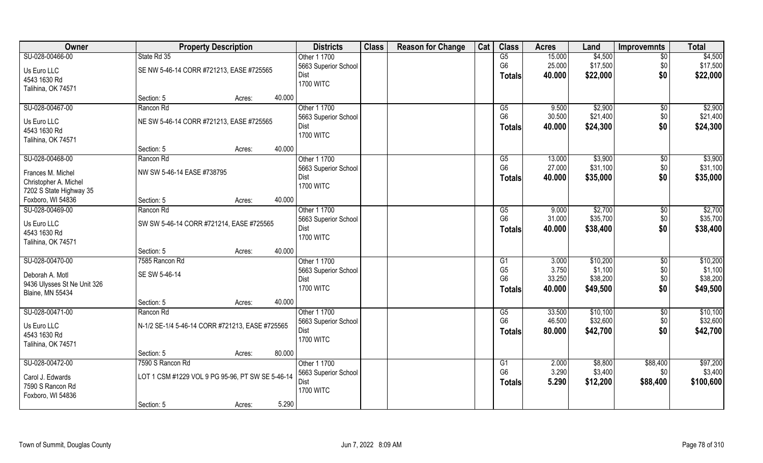| Owner                       | <b>Property Description</b>                      |        | <b>Districts</b>     | <b>Class</b> | <b>Reason for Change</b> | Cat | <b>Class</b>   | <b>Acres</b> | Land     | <b>Improvemnts</b> | <b>Total</b> |
|-----------------------------|--------------------------------------------------|--------|----------------------|--------------|--------------------------|-----|----------------|--------------|----------|--------------------|--------------|
| SU-028-00466-00             | State Rd 35                                      |        | Other 1 1700         |              |                          |     | G5             | 15.000       | \$4,500  | $\overline{50}$    | \$4,500      |
| Us Euro LLC                 | SE NW 5-46-14 CORR #721213, EASE #725565         |        | 5663 Superior School |              |                          |     | G <sub>6</sub> | 25.000       | \$17,500 | \$0                | \$17,500     |
| 4543 1630 Rd                |                                                  |        | <b>Dist</b>          |              |                          |     | <b>Totals</b>  | 40.000       | \$22,000 | \$0                | \$22,000     |
| Talihina, OK 74571          |                                                  |        | <b>1700 WITC</b>     |              |                          |     |                |              |          |                    |              |
|                             | Section: 5                                       | Acres: | 40.000               |              |                          |     |                |              |          |                    |              |
| SU-028-00467-00             | Rancon Rd                                        |        | Other 1 1700         |              |                          |     | G5             | 9.500        | \$2,900  | $\overline{50}$    | \$2,900      |
| Us Euro LLC                 | NE SW 5-46-14 CORR #721213, EASE #725565         |        | 5663 Superior School |              |                          |     | G <sub>6</sub> | 30.500       | \$21,400 | \$0                | \$21,400     |
| 4543 1630 Rd                |                                                  |        | Dist                 |              |                          |     | Totals         | 40.000       | \$24,300 | \$0                | \$24,300     |
| Talihina, OK 74571          |                                                  |        | <b>1700 WITC</b>     |              |                          |     |                |              |          |                    |              |
|                             | Section: 5                                       | Acres: | 40.000               |              |                          |     |                |              |          |                    |              |
| SU-028-00468-00             | Rancon Rd                                        |        | Other 1 1700         |              |                          |     | G5             | 13.000       | \$3,900  | $\sqrt[6]{3}$      | \$3,900      |
| Frances M. Michel           | NW SW 5-46-14 EASE #738795                       |        | 5663 Superior School |              |                          |     | G <sub>6</sub> | 27.000       | \$31,100 | \$0                | \$31,100     |
| Christopher A. Michel       |                                                  |        | Dist                 |              |                          |     | <b>Totals</b>  | 40.000       | \$35,000 | \$0                | \$35,000     |
| 7202 S State Highway 35     |                                                  |        | <b>1700 WITC</b>     |              |                          |     |                |              |          |                    |              |
| Foxboro, WI 54836           | Section: 5                                       | Acres: | 40.000               |              |                          |     |                |              |          |                    |              |
| SU-028-00469-00             | Rancon Rd                                        |        | Other 1 1700         |              |                          |     | G5             | 9.000        | \$2,700  | $\sqrt[6]{}$       | \$2,700      |
|                             |                                                  |        | 5663 Superior School |              |                          |     | G <sub>6</sub> | 31.000       | \$35,700 | \$0                | \$35,700     |
| Us Euro LLC                 | SW SW 5-46-14 CORR #721214, EASE #725565         |        | <b>Dist</b>          |              |                          |     | <b>Totals</b>  | 40.000       | \$38,400 | \$0                | \$38,400     |
| 4543 1630 Rd                |                                                  |        | <b>1700 WITC</b>     |              |                          |     |                |              |          |                    |              |
| Talihina, OK 74571          | Section: 5                                       | Acres: | 40.000               |              |                          |     |                |              |          |                    |              |
| SU-028-00470-00             | 7585 Rancon Rd                                   |        | Other 1 1700         |              |                          |     | G1             | 3.000        | \$10,200 | \$0                | \$10,200     |
|                             |                                                  |        | 5663 Superior School |              |                          |     | G <sub>5</sub> | 3.750        | \$1,100  | \$0                | \$1,100      |
| Deborah A. Motl             | SE SW 5-46-14                                    |        | Dist                 |              |                          |     | G <sub>6</sub> | 33.250       | \$38,200 | \$0                | \$38,200     |
| 9436 Ulysses St Ne Unit 326 |                                                  |        | <b>1700 WITC</b>     |              |                          |     | <b>Totals</b>  | 40.000       | \$49,500 | \$0                | \$49,500     |
| <b>Blaine, MN 55434</b>     |                                                  |        |                      |              |                          |     |                |              |          |                    |              |
|                             | Section: 5                                       | Acres: | 40.000               |              |                          |     |                |              |          |                    |              |
| SU-028-00471-00             | Rancon Rd                                        |        | Other 1 1700         |              |                          |     | G5             | 33.500       | \$10,100 | $\overline{50}$    | \$10,100     |
| Us Euro LLC                 | N-1/2 SE-1/4 5-46-14 CORR #721213, EASE #725565  |        | 5663 Superior School |              |                          |     | G <sub>6</sub> | 46.500       | \$32,600 | \$0                | \$32,600     |
| 4543 1630 Rd                |                                                  |        | Dist                 |              |                          |     | <b>Totals</b>  | 80.000       | \$42,700 | \$0                | \$42,700     |
| Talihina, OK 74571          |                                                  |        | <b>1700 WITC</b>     |              |                          |     |                |              |          |                    |              |
|                             | Section: 5                                       | Acres: | 80.000               |              |                          |     |                |              |          |                    |              |
| SU-028-00472-00             | 7590 S Rancon Rd                                 |        | Other 1 1700         |              |                          |     | G1             | 2.000        | \$8,800  | \$88,400           | \$97,200     |
| Carol J. Edwards            | LOT 1 CSM #1229 VOL 9 PG 95-96, PT SW SE 5-46-14 |        | 5663 Superior School |              |                          |     | G <sub>6</sub> | 3.290        | \$3,400  | \$0                | \$3,400      |
| 7590 S Rancon Rd            |                                                  |        | Dist                 |              |                          |     | <b>Totals</b>  | 5.290        | \$12,200 | \$88,400           | \$100,600    |
| Foxboro, WI 54836           |                                                  |        | <b>1700 WITC</b>     |              |                          |     |                |              |          |                    |              |
|                             | Section: 5                                       | Acres: | 5.290                |              |                          |     |                |              |          |                    |              |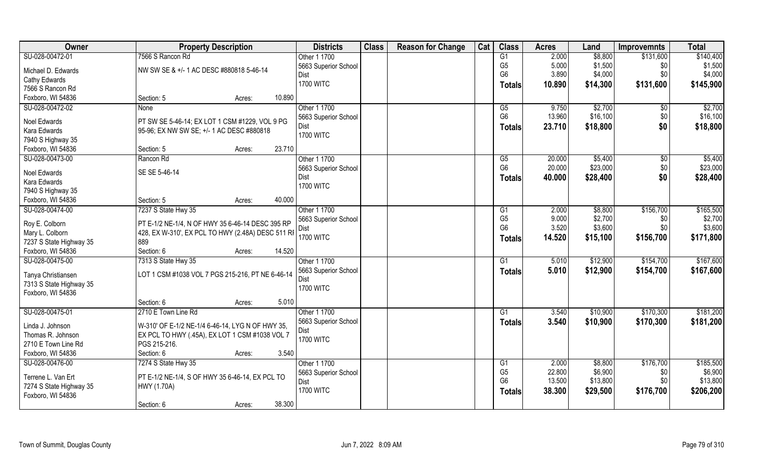| Owner                   | <b>Property Description</b>                       |        |        | <b>Districts</b>     | <b>Class</b> | <b>Reason for Change</b> | Cat | <b>Class</b>                     | <b>Acres</b>     | Land                | <b>Improvemnts</b> | <b>Total</b>        |
|-------------------------|---------------------------------------------------|--------|--------|----------------------|--------------|--------------------------|-----|----------------------------------|------------------|---------------------|--------------------|---------------------|
| SU-028-00472-01         | 7566 S Rancon Rd                                  |        |        | Other 1 1700         |              |                          |     | G1                               | 2.000            | \$8,800             | \$131,600          | \$140,400           |
| Michael D. Edwards      | NW SW SE & +/- 1 AC DESC #880818 5-46-14          |        |        | 5663 Superior School |              |                          |     | G <sub>5</sub>                   | 5.000            | \$1,500             | \$0                | \$1,500             |
| Cathy Edwards           |                                                   |        |        | Dist                 |              |                          |     | G <sub>6</sub>                   | 3.890            | \$4,000             | \$0                | \$4,000             |
| 7566 S Rancon Rd        |                                                   |        |        | <b>1700 WITC</b>     |              |                          |     | <b>Totals</b>                    | 10.890           | \$14,300            | \$131,600          | \$145,900           |
| Foxboro, WI 54836       | Section: 5                                        | Acres: | 10.890 |                      |              |                          |     |                                  |                  |                     |                    |                     |
| SU-028-00472-02         | None                                              |        |        | Other 1 1700         |              |                          |     | G5                               | 9.750            | \$2,700             | $\sqrt[6]{}$       | \$2,700             |
|                         |                                                   |        |        | 5663 Superior School |              |                          |     | G <sub>6</sub>                   | 13.960           | \$16,100            | \$0                | \$16,100            |
| Noel Edwards            | PT SW SE 5-46-14; EX LOT 1 CSM #1229, VOL 9 PG    |        |        | Dist                 |              |                          |     | Totals                           | 23.710           | \$18,800            | \$0                | \$18,800            |
| Kara Edwards            | 95-96; EX NW SW SE; +/- 1 AC DESC #880818         |        |        | <b>1700 WITC</b>     |              |                          |     |                                  |                  |                     |                    |                     |
| 7940 S Highway 35       |                                                   |        |        |                      |              |                          |     |                                  |                  |                     |                    |                     |
| Foxboro, WI 54836       | Section: 5                                        | Acres: | 23.710 |                      |              |                          |     |                                  |                  |                     |                    |                     |
| SU-028-00473-00         | Rancon Rd                                         |        |        | Other 1 1700         |              |                          |     | G5                               | 20.000           | \$5,400             | $\frac{6}{3}$      | \$5,400             |
| Noel Edwards            | SE SE 5-46-14                                     |        |        | 5663 Superior School |              |                          |     | G <sub>6</sub>                   | 20.000           | \$23,000            | \$0                | \$23,000            |
| Kara Edwards            |                                                   |        |        | Dist                 |              |                          |     | <b>Totals</b>                    | 40.000           | \$28,400            | \$0                | \$28,400            |
| 7940 S Highway 35       |                                                   |        |        | <b>1700 WITC</b>     |              |                          |     |                                  |                  |                     |                    |                     |
| Foxboro, WI 54836       | Section: 5                                        | Acres: | 40.000 |                      |              |                          |     |                                  |                  |                     |                    |                     |
| SU-028-00474-00         | 7237 S State Hwy 35                               |        |        | Other 1 1700         |              |                          |     | G1                               | 2.000            | \$8,800             | \$156,700          | \$165,500           |
|                         |                                                   |        |        | 5663 Superior School |              |                          |     | G <sub>5</sub>                   | 9.000            | \$2,700             | \$0                | \$2,700             |
| Roy E. Colborn          | PT E-1/2 NE-1/4, N OF HWY 35 6-46-14 DESC 395 RP  |        |        | Dist                 |              |                          |     | G <sub>6</sub>                   | 3.520            | \$3,600             | \$0                | \$3,600             |
| Mary L. Colborn         | 428, EX W-310', EX PCL TO HWY (2.48A) DESC 511 RF |        |        | <b>1700 WITC</b>     |              |                          |     | <b>Totals</b>                    | 14.520           | \$15,100            | \$156,700          | \$171,800           |
| 7237 S State Highway 35 | 889                                               |        |        |                      |              |                          |     |                                  |                  |                     |                    |                     |
| Foxboro, WI 54836       | Section: 6                                        | Acres: | 14.520 |                      |              |                          |     |                                  |                  |                     |                    |                     |
| SU-028-00475-00         | 7313 S State Hwy 35                               |        |        | Other 1 1700         |              |                          |     | $\overline{G1}$                  | 5.010            | \$12,900            | \$154,700          | \$167,600           |
| Tanya Christiansen      | LOT 1 CSM #1038 VOL 7 PGS 215-216, PT NE 6-46-14  |        |        | 5663 Superior School |              |                          |     | Totals                           | 5.010            | \$12,900            | \$154,700          | \$167,600           |
| 7313 S State Highway 35 |                                                   |        |        | Dist                 |              |                          |     |                                  |                  |                     |                    |                     |
| Foxboro, WI 54836       |                                                   |        |        | <b>1700 WITC</b>     |              |                          |     |                                  |                  |                     |                    |                     |
|                         | Section: 6                                        | Acres: | 5.010  |                      |              |                          |     |                                  |                  |                     |                    |                     |
| SU-028-00475-01         | 2710 E Town Line Rd                               |        |        | Other 1 1700         |              |                          |     | G1                               | 3.540            | \$10,900            | \$170,300          | \$181,200           |
|                         |                                                   |        |        | 5663 Superior School |              |                          |     | <b>Totals</b>                    | 3.540            | \$10,900            | \$170,300          | \$181,200           |
| Linda J. Johnson        | W-310' OF E-1/2 NE-1/4 6-46-14, LYG N OF HWY 35,  |        |        | Dist                 |              |                          |     |                                  |                  |                     |                    |                     |
| Thomas R. Johnson       | EX PCL TO HWY (.45A), EX LOT 1 CSM #1038 VOL 7    |        |        | <b>1700 WITC</b>     |              |                          |     |                                  |                  |                     |                    |                     |
| 2710 E Town Line Rd     | PGS 215-216.                                      |        |        |                      |              |                          |     |                                  |                  |                     |                    |                     |
| Foxboro, WI 54836       | Section: 6                                        | Acres: | 3.540  |                      |              |                          |     |                                  |                  |                     |                    |                     |
| SU-028-00476-00         | 7274 S State Hwy 35                               |        |        | Other 1 1700         |              |                          |     | G <sub>1</sub>                   | 2.000            | \$8,800             | \$176,700          | \$185,500           |
| Terrene L. Van Ert      | PT E-1/2 NE-1/4, S OF HWY 35 6-46-14, EX PCL TO   |        |        | 5663 Superior School |              |                          |     | G <sub>5</sub><br>G <sub>6</sub> | 22.800<br>13.500 | \$6,900<br>\$13,800 | \$0<br>\$0         | \$6,900<br>\$13,800 |
| 7274 S State Highway 35 | HWY (1.70A)                                       |        |        | Dist                 |              |                          |     |                                  |                  |                     |                    |                     |
| Foxboro, WI 54836       |                                                   |        |        | <b>1700 WITC</b>     |              |                          |     | <b>Totals</b>                    | 38.300           | \$29,500            | \$176,700          | \$206,200           |
|                         | Section: 6                                        | Acres: | 38.300 |                      |              |                          |     |                                  |                  |                     |                    |                     |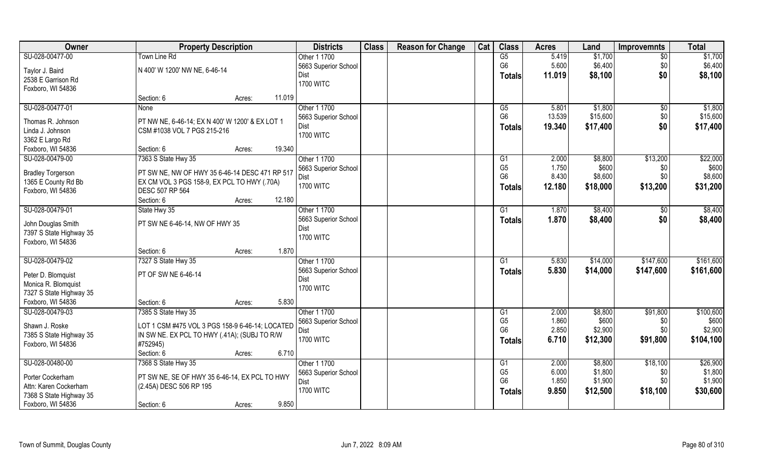| Owner                    | <b>Property Description</b>                     | <b>Districts</b>     | <b>Class</b> | <b>Reason for Change</b> | Cat | <b>Class</b>    | <b>Acres</b> | Land     | <b>Improvemnts</b> | <b>Total</b> |
|--------------------------|-------------------------------------------------|----------------------|--------------|--------------------------|-----|-----------------|--------------|----------|--------------------|--------------|
| SU-028-00477-00          | Town Line Rd                                    | Other 1 1700         |              |                          |     | G5              | 5.419        | \$1,700  | $\sqrt{$0}$        | \$1,700      |
| Taylor J. Baird          | N 400' W 1200' NW NE, 6-46-14                   | 5663 Superior School |              |                          |     | G <sub>6</sub>  | 5.600        | \$6,400  | \$0                | \$6,400      |
| 2538 E Garrison Rd       |                                                 | Dist                 |              |                          |     | <b>Totals</b>   | 11.019       | \$8,100  | \$0                | \$8,100      |
| Foxboro, WI 54836        |                                                 | <b>1700 WITC</b>     |              |                          |     |                 |              |          |                    |              |
|                          | 11.019<br>Section: 6<br>Acres:                  |                      |              |                          |     |                 |              |          |                    |              |
| SU-028-00477-01          | <b>None</b>                                     | Other 1 1700         |              |                          |     | G5              | 5.801        | \$1,800  | $\sqrt{$0}$        | \$1,800      |
| Thomas R. Johnson        | PT NW NE, 6-46-14; EX N 400' W 1200' & EX LOT 1 | 5663 Superior School |              |                          |     | G <sub>6</sub>  | 13.539       | \$15,600 | \$0                | \$15,600     |
| Linda J. Johnson         | CSM #1038 VOL 7 PGS 215-216                     | Dist                 |              |                          |     | <b>Totals</b>   | 19.340       | \$17,400 | \$0                | \$17,400     |
| 3362 E Largo Rd          |                                                 | <b>1700 WITC</b>     |              |                          |     |                 |              |          |                    |              |
| Foxboro, WI 54836        | 19.340<br>Section: 6<br>Acres:                  |                      |              |                          |     |                 |              |          |                    |              |
| SU-028-00479-00          | 7363 S State Hwy 35                             | Other 1 1700         |              |                          |     | G1              | 2.000        | \$8,800  | \$13,200           | \$22,000     |
|                          |                                                 | 5663 Superior School |              |                          |     | G <sub>5</sub>  | 1.750        | \$600    | \$0                | \$600        |
| <b>Bradley Torgerson</b> | PT SW NE, NW OF HWY 35 6-46-14 DESC 471 RP 517  | Dist                 |              |                          |     | G <sub>6</sub>  | 8.430        | \$8,600  | \$0                | \$8,600      |
| 1365 E County Rd Bb      | EX CM VOL 3 PGS 158-9, EX PCL TO HWY (.70A)     | <b>1700 WITC</b>     |              |                          |     | Totals          | 12.180       | \$18,000 | \$13,200           | \$31,200     |
| Foxboro, WI 54836        | DESC 507 RP 564                                 |                      |              |                          |     |                 |              |          |                    |              |
|                          | 12.180<br>Section: 6<br>Acres:                  |                      |              |                          |     |                 |              |          |                    |              |
| SU-028-00479-01          | State Hwy 35                                    | Other 1 1700         |              |                          |     | G1              | 1.870        | \$8,400  | \$0                | \$8,400      |
| John Douglas Smith       | PT SW NE 6-46-14, NW OF HWY 35                  | 5663 Superior School |              |                          |     | Totals          | 1.870        | \$8,400  | \$0                | \$8,400      |
| 7397 S State Highway 35  |                                                 | Dist                 |              |                          |     |                 |              |          |                    |              |
| Foxboro, WI 54836        |                                                 | <b>1700 WITC</b>     |              |                          |     |                 |              |          |                    |              |
|                          | 1.870<br>Section: 6<br>Acres:                   |                      |              |                          |     |                 |              |          |                    |              |
| SU-028-00479-02          | 7327 S State Hwy 35                             | Other 1 1700         |              |                          |     | $\overline{G1}$ | 5.830        | \$14,000 | \$147,600          | \$161,600    |
| Peter D. Blomquist       | PT OF SW NE 6-46-14                             | 5663 Superior School |              |                          |     | Totals          | 5.830        | \$14,000 | \$147,600          | \$161,600    |
| Monica R. Blomquist      |                                                 | Dist                 |              |                          |     |                 |              |          |                    |              |
| 7327 S State Highway 35  |                                                 | <b>1700 WITC</b>     |              |                          |     |                 |              |          |                    |              |
| Foxboro, WI 54836        | Section: 6<br>Acres:                            | 5.830                |              |                          |     |                 |              |          |                    |              |
| SU-028-00479-03          | 7385 S State Hwy 35                             | Other 1 1700         |              |                          |     | G1              | 2.000        | \$8,800  | \$91,800           | \$100,600    |
| Shawn J. Roske           | LOT 1 CSM #475 VOL 3 PGS 158-9 6-46-14; LOCATED | 5663 Superior School |              |                          |     | G <sub>5</sub>  | 1.860        | \$600    | \$0                | \$600        |
| 7385 S State Highway 35  | IN SW NE. EX PCL TO HWY (.41A); (SUBJ TO R/W    | Dist                 |              |                          |     | G <sub>6</sub>  | 2.850        | \$2,900  | \$0                | \$2,900      |
| Foxboro, WI 54836        | #752945)                                        | <b>1700 WITC</b>     |              |                          |     | Totals          | 6.710        | \$12,300 | \$91,800           | \$104,100    |
|                          | Section: 6<br>Acres:                            | 6.710                |              |                          |     |                 |              |          |                    |              |
| SU-028-00480-00          | 7368 S State Hwy 35                             | Other 1 1700         |              |                          |     | G1              | 2.000        | \$8,800  | \$18,100           | \$26,900     |
| Porter Cockerham         | PT SW NE, SE OF HWY 35 6-46-14, EX PCL TO HWY   | 5663 Superior School |              |                          |     | G <sub>5</sub>  | 6.000        | \$1,800  | \$0                | \$1,800      |
| Attn: Karen Cockerham    | (2.45A) DESC 506 RP 195                         | Dist                 |              |                          |     | G <sub>6</sub>  | 1.850        | \$1,900  | \$0                | \$1,900      |
| 7368 S State Highway 35  |                                                 | <b>1700 WITC</b>     |              |                          |     | Totals          | 9.850        | \$12,500 | \$18,100           | \$30,600     |
| Foxboro, WI 54836        | Section: 6<br>Acres:                            | 9.850                |              |                          |     |                 |              |          |                    |              |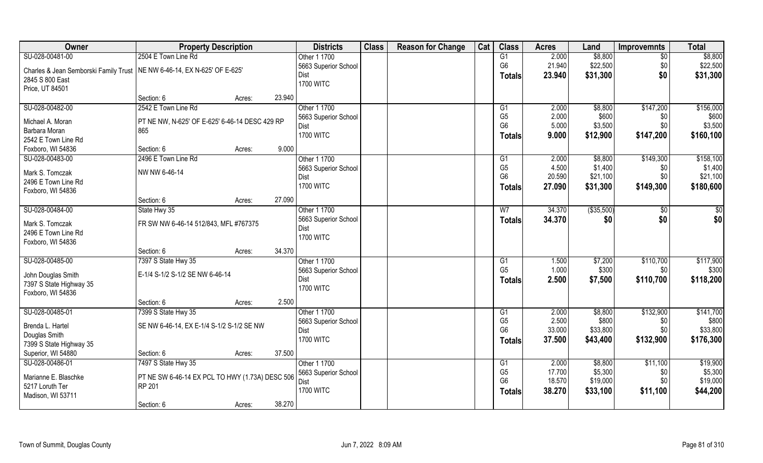| Owner                                                                      | <b>Property Description</b>                           |        |        | <b>Districts</b>     | <b>Class</b> | <b>Reason for Change</b> | Cat | <b>Class</b>    | <b>Acres</b> | Land        | <b>Improvemnts</b> | <b>Total</b> |
|----------------------------------------------------------------------------|-------------------------------------------------------|--------|--------|----------------------|--------------|--------------------------|-----|-----------------|--------------|-------------|--------------------|--------------|
| SU-028-00481-00                                                            | 2504 E Town Line Rd                                   |        |        | Other 1 1700         |              |                          |     | G1              | 2.000        | \$8,800     | $\overline{60}$    | \$8,800      |
| Charles & Jean Semborski Family Trust   NE NW 6-46-14, EX N-625' OF E-625' |                                                       |        |        | 5663 Superior School |              |                          |     | G <sub>6</sub>  | 21.940       | \$22,500    | \$0                | \$22,500     |
| 2845 S 800 East                                                            |                                                       |        |        | <b>Dist</b>          |              |                          |     | <b>Totals</b>   | 23.940       | \$31,300    | \$0                | \$31,300     |
| Price, UT 84501                                                            |                                                       |        |        | <b>1700 WITC</b>     |              |                          |     |                 |              |             |                    |              |
|                                                                            | Section: 6                                            | Acres: | 23.940 |                      |              |                          |     |                 |              |             |                    |              |
| SU-028-00482-00                                                            | 2542 E Town Line Rd                                   |        |        | Other 1 1700         |              |                          |     | $\overline{G1}$ | 2.000        | \$8,800     | \$147,200          | \$156,000    |
| Michael A. Moran                                                           |                                                       |        |        | 5663 Superior School |              |                          |     | G <sub>5</sub>  | 2.000        | \$600       | \$0                | \$600        |
| Barbara Moran                                                              | PT NE NW, N-625' OF E-625' 6-46-14 DESC 429 RP<br>865 |        |        | <b>Dist</b>          |              |                          |     | G <sub>6</sub>  | 5.000        | \$3,500     | \$0                | \$3,500      |
| 2542 E Town Line Rd                                                        |                                                       |        |        | <b>1700 WITC</b>     |              |                          |     | <b>Totals</b>   | 9.000        | \$12,900    | \$147,200          | \$160,100    |
| Foxboro, WI 54836                                                          | Section: 6                                            | Acres: | 9.000  |                      |              |                          |     |                 |              |             |                    |              |
| SU-028-00483-00                                                            | 2496 E Town Line Rd                                   |        |        | Other 1 1700         |              |                          |     | G1              | 2.000        | \$8,800     | \$149,300          | \$158,100    |
|                                                                            |                                                       |        |        | 5663 Superior School |              |                          |     | G <sub>5</sub>  | 4.500        | \$1,400     | \$0                | \$1,400      |
| Mark S. Tomczak                                                            | NW NW 6-46-14                                         |        |        | <b>Dist</b>          |              |                          |     | G <sub>6</sub>  | 20.590       | \$21,100    | \$0                | \$21,100     |
| 2496 E Town Line Rd                                                        |                                                       |        |        | <b>1700 WITC</b>     |              |                          |     | <b>Totals</b>   | 27.090       | \$31,300    | \$149,300          | \$180,600    |
| Foxboro, WI 54836                                                          |                                                       |        |        |                      |              |                          |     |                 |              |             |                    |              |
|                                                                            | Section: 6                                            | Acres: | 27.090 |                      |              |                          |     |                 |              |             |                    |              |
| SU-028-00484-00                                                            | State Hwy 35                                          |        |        | Other 1 1700         |              |                          |     | W <sub>7</sub>  | 34.370       | ( \$35,500) | $\sqrt{50}$        | \$0          |
| Mark S. Tomczak                                                            | FR SW NW 6-46-14 512/843, MFL #767375                 |        |        | 5663 Superior School |              |                          |     | <b>Totals</b>   | 34.370       | \$0         | \$0                | \$0          |
| 2496 E Town Line Rd                                                        |                                                       |        |        | <b>Dist</b>          |              |                          |     |                 |              |             |                    |              |
| Foxboro, WI 54836                                                          |                                                       |        |        | <b>1700 WITC</b>     |              |                          |     |                 |              |             |                    |              |
|                                                                            | Section: 6                                            | Acres: | 34.370 |                      |              |                          |     |                 |              |             |                    |              |
| SU-028-00485-00                                                            | 7397 S State Hwy 35                                   |        |        | Other 1 1700         |              |                          |     | G1              | 1.500        | \$7,200     | \$110,700          | \$117,900    |
|                                                                            | E-1/4 S-1/2 S-1/2 SE NW 6-46-14                       |        |        | 5663 Superior School |              |                          |     | G <sub>5</sub>  | 1.000        | \$300       | \$0                | \$300        |
| John Douglas Smith<br>7397 S State Highway 35                              |                                                       |        |        | <b>Dist</b>          |              |                          |     | <b>Totals</b>   | 2.500        | \$7,500     | \$110,700          | \$118,200    |
| Foxboro, WI 54836                                                          |                                                       |        |        | <b>1700 WITC</b>     |              |                          |     |                 |              |             |                    |              |
|                                                                            | Section: 6                                            | Acres: | 2.500  |                      |              |                          |     |                 |              |             |                    |              |
| SU-028-00485-01                                                            | 7399 S State Hwy 35                                   |        |        | Other 1 1700         |              |                          |     | G1              | 2.000        | \$8,800     | \$132,900          | \$141,700    |
|                                                                            |                                                       |        |        | 5663 Superior School |              |                          |     | G <sub>5</sub>  | 2.500        | \$800       | \$0                | \$800        |
| Brenda L. Hartel                                                           | SE NW 6-46-14, EX E-1/4 S-1/2 S-1/2 SE NW             |        |        | <b>Dist</b>          |              |                          |     | G <sub>6</sub>  | 33.000       | \$33,800    | \$0                | \$33,800     |
| Douglas Smith                                                              |                                                       |        |        | <b>1700 WITC</b>     |              |                          |     | <b>Totals</b>   | 37.500       | \$43,400    | \$132,900          | \$176,300    |
| 7399 S State Highway 35                                                    |                                                       |        |        |                      |              |                          |     |                 |              |             |                    |              |
| Superior, WI 54880                                                         | Section: 6                                            | Acres: | 37.500 |                      |              |                          |     |                 |              |             |                    |              |
| SU-028-00486-01                                                            | 7497 S State Hwy 35                                   |        |        | Other 1 1700         |              |                          |     | G1              | 2.000        | \$8,800     | \$11,100           | \$19,900     |
| Marianne E. Blaschke                                                       | PT NE SW 6-46-14 EX PCL TO HWY (1.73A) DESC 506       |        |        | 5663 Superior School |              |                          |     | G <sub>5</sub>  | 17.700       | \$5,300     | \$0                | \$5,300      |
| 5217 Loruth Ter                                                            | RP 201                                                |        |        | Dist                 |              |                          |     | G <sub>6</sub>  | 18.570       | \$19,000    | \$0                | \$19,000     |
| Madison, WI 53711                                                          |                                                       |        |        | <b>1700 WITC</b>     |              |                          |     | <b>Totals</b>   | 38.270       | \$33,100    | \$11,100           | \$44,200     |
|                                                                            | Section: 6                                            | Acres: | 38.270 |                      |              |                          |     |                 |              |             |                    |              |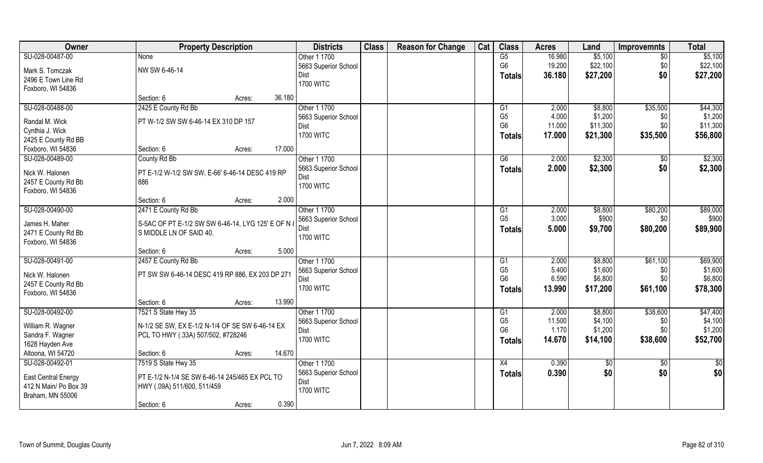| Owner                                  | <b>Property Description</b>                        |        |        | <b>Districts</b>     | <b>Class</b> | <b>Reason for Change</b> | Cat | <b>Class</b>    | <b>Acres</b> | Land     | <b>Improvemnts</b> | <b>Total</b> |
|----------------------------------------|----------------------------------------------------|--------|--------|----------------------|--------------|--------------------------|-----|-----------------|--------------|----------|--------------------|--------------|
| SU-028-00487-00                        | <b>None</b>                                        |        |        | Other 1 1700         |              |                          |     | G5              | 16.980       | \$5,100  | $\overline{50}$    | \$5,100      |
| Mark S. Tomczak                        | NW SW 6-46-14                                      |        |        | 5663 Superior School |              |                          |     | G <sub>6</sub>  | 19.200       | \$22,100 | \$0                | \$22,100     |
| 2496 E Town Line Rd                    |                                                    |        |        | Dist                 |              |                          |     | Totals          | 36.180       | \$27,200 | \$0                | \$27,200     |
| Foxboro, WI 54836                      |                                                    |        |        | <b>1700 WITC</b>     |              |                          |     |                 |              |          |                    |              |
|                                        | Section: 6                                         | Acres: | 36.180 |                      |              |                          |     |                 |              |          |                    |              |
| SU-028-00488-00                        | 2425 E County Rd Bb                                |        |        | Other 1 1700         |              |                          |     | G1              | 2.000        | \$8,800  | \$35,500           | \$44,300     |
|                                        | PT W-1/2 SW SW 6-46-14 EX 310 DP 157               |        |        | 5663 Superior School |              |                          |     | G <sub>5</sub>  | 4.000        | \$1,200  | \$0                | \$1,200      |
| Randal M. Wick                         |                                                    |        |        | Dist                 |              |                          |     | G <sub>6</sub>  | 11.000       | \$11,300 | \$0                | \$11,300     |
| Cynthia J. Wick<br>2425 E County Rd BB |                                                    |        |        | <b>1700 WITC</b>     |              |                          |     | <b>Totals</b>   | 17.000       | \$21,300 | \$35,500           | \$56,800     |
| Foxboro, WI 54836                      | Section: 6                                         | Acres: | 17.000 |                      |              |                          |     |                 |              |          |                    |              |
| SU-028-00489-00                        | County Rd Bb                                       |        |        | Other 1 1700         |              |                          |     | G6              | 2.000        | \$2,300  | $\sqrt[6]{30}$     | \$2,300      |
|                                        |                                                    |        |        | 5663 Superior School |              |                          |     |                 |              |          | \$0                |              |
| Nick W. Halonen                        | PT E-1/2 W-1/2 SW SW, E-66' 6-46-14 DESC 419 RP    |        |        | <b>Dist</b>          |              |                          |     | <b>Totals</b>   | 2.000        | \$2,300  |                    | \$2,300      |
| 2457 E County Rd Bb                    | 886                                                |        |        | <b>1700 WITC</b>     |              |                          |     |                 |              |          |                    |              |
| Foxboro, WI 54836                      |                                                    |        |        |                      |              |                          |     |                 |              |          |                    |              |
|                                        | Section: 6                                         | Acres: | 2.000  |                      |              |                          |     |                 |              |          |                    |              |
| SU-028-00490-00                        | 2471 E County Rd Bb                                |        |        | Other 1 1700         |              |                          |     | G1              | 2.000        | \$8,800  | \$80,200           | \$89,000     |
| James H. Maher                         | S-5AC OF PT E-1/2 SW SW 6-46-14, LYG 125' E OF N & |        |        | 5663 Superior School |              |                          |     | G <sub>5</sub>  | 3.000        | \$900    | \$0                | \$900        |
| 2471 E County Rd Bb                    | S MIDDLE LN OF SAID 40.                            |        |        | <b>Dist</b>          |              |                          |     | Totals          | 5.000        | \$9,700  | \$80,200           | \$89,900     |
| Foxboro, WI 54836                      |                                                    |        |        | <b>1700 WITC</b>     |              |                          |     |                 |              |          |                    |              |
|                                        | Section: 6                                         | Acres: | 5.000  |                      |              |                          |     |                 |              |          |                    |              |
| SU-028-00491-00                        | 2457 E County Rd Bb                                |        |        | Other 1 1700         |              |                          |     | $\overline{G1}$ | 2.000        | \$8,800  | \$61,100           | \$69,900     |
|                                        |                                                    |        |        | 5663 Superior School |              |                          |     | G <sub>5</sub>  | 5.400        | \$1,600  | \$0                | \$1,600      |
| Nick W. Halonen                        | PT SW SW 6-46-14 DESC 419 RP 886, EX 203 DP 271    |        |        | Dist                 |              |                          |     | G <sub>6</sub>  | 6.590        | \$6,800  | \$0                | \$6,800      |
| 2457 E County Rd Bb                    |                                                    |        |        | <b>1700 WITC</b>     |              |                          |     | Totals          | 13.990       | \$17,200 | \$61,100           | \$78,300     |
| Foxboro, WI 54836                      |                                                    |        |        |                      |              |                          |     |                 |              |          |                    |              |
|                                        | Section: 6                                         | Acres: | 13.990 |                      |              |                          |     |                 |              |          |                    |              |
| SU-028-00492-00                        | 7521 S State Hwy 35                                |        |        | Other 1 1700         |              |                          |     | G1              | 2.000        | \$8,800  | \$38,600           | \$47,400     |
| William R. Wagner                      | N-1/2 SE SW, EX E-1/2 N-1/4 OF SE SW 6-46-14 EX    |        |        | 5663 Superior School |              |                          |     | G <sub>5</sub>  | 11.500       | \$4,100  | \$0                | \$4,100      |
| Sandra F. Wagner                       | PCL TO HWY (.33A) 507/502, #728246                 |        |        | Dist                 |              |                          |     | G <sub>6</sub>  | 1.170        | \$1,200  | \$0                | \$1,200      |
| 1628 Hayden Ave                        |                                                    |        |        | <b>1700 WITC</b>     |              |                          |     | <b>Totals</b>   | 14.670       | \$14,100 | \$38,600           | \$52,700     |
| Altoona, WI 54720                      | Section: 6                                         | Acres: | 14.670 |                      |              |                          |     |                 |              |          |                    |              |
| SU-028-00492-01                        | 7519 S State Hwy 35                                |        |        | Other 1 1700         |              |                          |     | X4              | 0.390        | \$0      | $\overline{50}$    | \$0          |
|                                        |                                                    |        |        | 5663 Superior School |              |                          |     | Totals          | 0.390        | \$0      | \$0                | \$0          |
| <b>East Central Energy</b>             | PT E-1/2 N-1/4 SE SW 6-46-14 245/465 EX PCL TO     |        |        | Dist                 |              |                          |     |                 |              |          |                    |              |
| 412 N Main/ Po Box 39                  | HWY (.09A) 511/600, 511/459                        |        |        | <b>1700 WITC</b>     |              |                          |     |                 |              |          |                    |              |
| Braham, MN 55006                       |                                                    |        |        |                      |              |                          |     |                 |              |          |                    |              |
|                                        | Section: 6                                         | Acres: | 0.390  |                      |              |                          |     |                 |              |          |                    |              |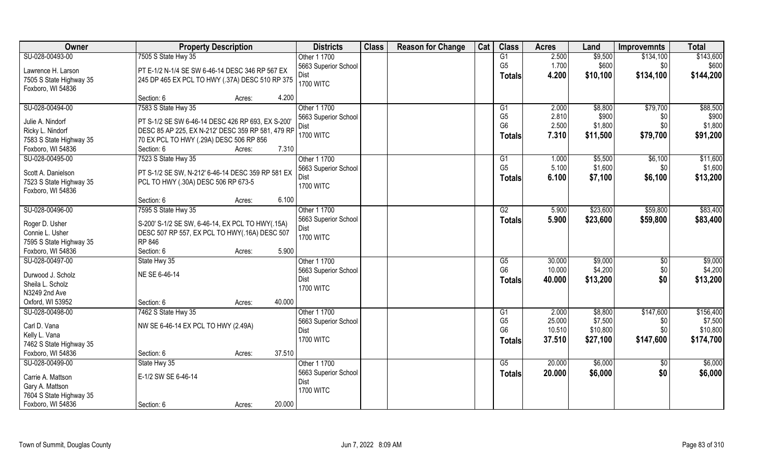| Owner                   | <b>Property Description</b>                       |        | <b>Districts</b>     | <b>Class</b> | <b>Reason for Change</b> | Cat | <b>Class</b>           | <b>Acres</b> | Land     | <b>Improvemnts</b> | <b>Total</b> |
|-------------------------|---------------------------------------------------|--------|----------------------|--------------|--------------------------|-----|------------------------|--------------|----------|--------------------|--------------|
| SU-028-00493-00         | 7505 S State Hwy 35                               |        | Other 1 1700         |              |                          |     | G1                     | 2.500        | \$9,500  | \$134,100          | \$143,600    |
| Lawrence H. Larson      | PT E-1/2 N-1/4 SE SW 6-46-14 DESC 346 RP 567 EX   |        | 5663 Superior School |              |                          |     | G <sub>5</sub>         | 1.700        | \$600    | \$0                | \$600        |
| 7505 S State Highway 35 | 245 DP 465 EX PCL TO HWY (.37A) DESC 510 RP 375   |        | Dist                 |              |                          |     | <b>Totals</b>          | 4.200        | \$10,100 | \$134,100          | \$144,200    |
| Foxboro, WI 54836       |                                                   |        | <b>1700 WITC</b>     |              |                          |     |                        |              |          |                    |              |
|                         | Section: 6                                        | Acres: | 4.200                |              |                          |     |                        |              |          |                    |              |
| SU-028-00494-00         | 7583 S State Hwy 35                               |        | Other 1 1700         |              |                          |     | G1                     | 2.000        | \$8,800  | \$79,700           | \$88,500     |
|                         |                                                   |        | 5663 Superior School |              |                          |     | G <sub>5</sub>         | 2.810        | \$900    | \$0                | \$900        |
| Julie A. Nindorf        | PT S-1/2 SE SW 6-46-14 DESC 426 RP 693, EX S-200' |        | Dist                 |              |                          |     | G <sub>6</sub>         | 2.500        | \$1,800  | \$0                | \$1,800      |
| Ricky L. Nindorf        | DESC 85 AP 225, EX N-212' DESC 359 RP 581, 479 RP |        | <b>1700 WITC</b>     |              |                          |     | Totals                 | 7.310        | \$11,500 | \$79,700           | \$91,200     |
| 7583 S State Highway 35 | 70 EX PCL TO HWY (.29A) DESC 506 RP 856           |        |                      |              |                          |     |                        |              |          |                    |              |
| Foxboro, WI 54836       | Section: 6                                        | Acres: | 7.310                |              |                          |     |                        |              |          |                    |              |
| SU-028-00495-00         | 7523 S State Hwy 35                               |        | Other 1 1700         |              |                          |     | G1                     | 1.000        | \$5,500  | \$6,100            | \$11,600     |
| Scott A. Danielson      | PT S-1/2 SE SW, N-212' 6-46-14 DESC 359 RP 581 EX |        | 5663 Superior School |              |                          |     | G <sub>5</sub>         | 5.100        | \$1,600  | \$0                | \$1,600      |
| 7523 S State Highway 35 | PCL TO HWY (.30A) DESC 506 RP 673-5               |        | Dist                 |              |                          |     | <b>Totals</b>          | 6.100        | \$7,100  | \$6,100            | \$13,200     |
| Foxboro, WI 54836       |                                                   |        | <b>1700 WITC</b>     |              |                          |     |                        |              |          |                    |              |
|                         | Section: 6                                        | Acres: | 6.100                |              |                          |     |                        |              |          |                    |              |
| SU-028-00496-00         | 7595 S State Hwy 35                               |        | Other 1 1700         |              |                          |     | G2                     | 5.900        | \$23,600 | \$59,800           | \$83,400     |
|                         |                                                   |        | 5663 Superior School |              |                          |     | Totals                 | 5.900        | \$23,600 | \$59,800           | \$83,400     |
| Roger D. Usher          | S-200' S-1/2 SE SW, 6-46-14, EX PCL TO HWY(.15A)  |        | Dist                 |              |                          |     |                        |              |          |                    |              |
| Connie L. Usher         | DESC 507 RP 557, EX PCL TO HWY(.16A) DESC 507     |        | <b>1700 WITC</b>     |              |                          |     |                        |              |          |                    |              |
| 7595 S State Highway 35 | RP 846                                            |        |                      |              |                          |     |                        |              |          |                    |              |
| Foxboro, WI 54836       | Section: 6                                        | Acres: | 5.900                |              |                          |     |                        |              |          |                    |              |
| SU-028-00497-00         | State Hwy 35                                      |        | Other 1 1700         |              |                          |     | $\overline{\text{G5}}$ | 30.000       | \$9,000  | \$0                | \$9,000      |
| Durwood J. Scholz       | NE SE 6-46-14                                     |        | 5663 Superior School |              |                          |     | G <sub>6</sub>         | 10.000       | \$4,200  | \$0                | \$4,200      |
| Sheila L. Scholz        |                                                   |        | Dist                 |              |                          |     | <b>Totals</b>          | 40.000       | \$13,200 | \$0                | \$13,200     |
| N3249 2nd Ave           |                                                   |        | <b>1700 WITC</b>     |              |                          |     |                        |              |          |                    |              |
| Oxford, WI 53952        | Section: 6                                        | Acres: | 40.000               |              |                          |     |                        |              |          |                    |              |
| SU-028-00498-00         | 7462 S State Hwy 35                               |        | Other 1 1700         |              |                          |     | G1                     | 2.000        | \$8,800  | \$147,600          | \$156,400    |
|                         |                                                   |        | 5663 Superior School |              |                          |     | G <sub>5</sub>         | 25.000       | \$7,500  | \$0                | \$7,500      |
| Carl D. Vana            | NW SE 6-46-14 EX PCL TO HWY (2.49A)               |        | Dist                 |              |                          |     | G <sub>6</sub>         | 10.510       | \$10,800 | \$0                | \$10,800     |
| Kelly L. Vana           |                                                   |        | <b>1700 WITC</b>     |              |                          |     | <b>Totals</b>          | 37.510       | \$27,100 | \$147,600          | \$174,700    |
| 7462 S State Highway 35 |                                                   |        |                      |              |                          |     |                        |              |          |                    |              |
| Foxboro, WI 54836       | Section: 6                                        | Acres: | 37.510               |              |                          |     |                        |              |          |                    |              |
| SU-028-00499-00         | State Hwy 35                                      |        | Other 1 1700         |              |                          |     | G5                     | 20.000       | \$6,000  | $\sqrt{$0}$        | \$6,000      |
| Carrie A. Mattson       | E-1/2 SW SE 6-46-14                               |        | 5663 Superior School |              |                          |     | <b>Totals</b>          | 20.000       | \$6,000  | \$0                | \$6,000      |
| Gary A. Mattson         |                                                   |        | Dist                 |              |                          |     |                        |              |          |                    |              |
| 7604 S State Highway 35 |                                                   |        | <b>1700 WITC</b>     |              |                          |     |                        |              |          |                    |              |
| Foxboro, WI 54836       | Section: 6                                        | Acres: | 20.000               |              |                          |     |                        |              |          |                    |              |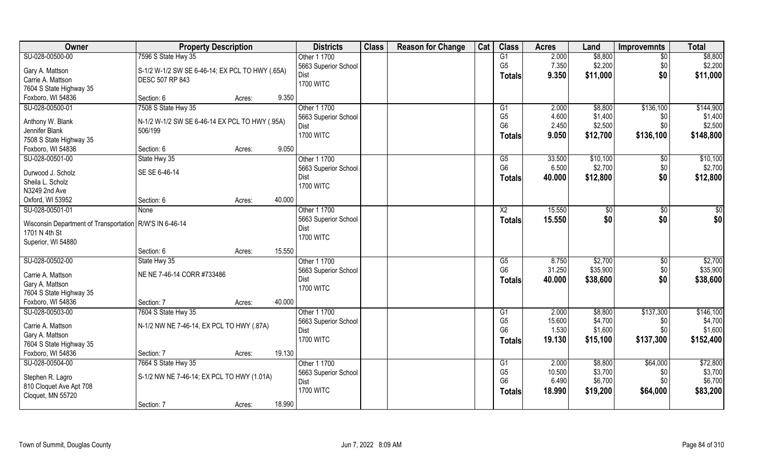| Owner<br><b>Class</b><br><b>Reason for Change</b><br>Cat<br><b>Class</b><br><b>Districts</b><br><b>Acres</b><br><b>Property Description</b><br>Land<br><b>Improvemnts</b> | <b>Total</b>         |
|---------------------------------------------------------------------------------------------------------------------------------------------------------------------------|----------------------|
| 7596 S State Hwy 35<br>SU-028-00500-00<br>G1<br>2.000<br>\$8,800<br>Other 1 1700<br>$\overline{50}$                                                                       | \$8,800              |
| G <sub>5</sub><br>7.350<br>\$2,200<br>\$0<br>5663 Superior School<br>Gary A. Mattson<br>S-1/2 W-1/2 SW SE 6-46-14; EX PCL TO HWY (.65A)                                   | \$2,200              |
| \$0<br>9.350<br>\$11,000<br>Dist<br><b>Totals</b><br>Carrie A. Mattson<br><b>DESC 507 RP 843</b>                                                                          | \$11,000             |
| <b>1700 WITC</b><br>7604 S State Highway 35                                                                                                                               |                      |
| Foxboro, WI 54836<br>9.350<br>Section: 6<br>Acres:                                                                                                                        |                      |
| SU-028-00500-01<br>7508 S State Hwy 35<br>Other 1 1700<br>\$8,800<br>\$136,100<br>G1<br>2.000                                                                             | \$144,900            |
| G <sub>5</sub><br>\$1,400<br>4.600<br>5663 Superior School<br>\$0                                                                                                         | \$1,400              |
| Anthony W. Blank<br>N-1/2 W-1/2 SW SE 6-46-14 EX PCL TO HWY (.95A)<br>2.450<br>G <sub>6</sub><br>\$2,500<br>\$0<br>Dist                                                   | \$2,500              |
| Jennifer Blank<br>506/199<br><b>1700 WITC</b><br>9.050<br>\$12,700<br>\$136,100<br><b>Totals</b>                                                                          | \$148,800            |
| 7508 S State Highway 35<br>Foxboro, WI 54836<br>9.050<br>Section: 6                                                                                                       |                      |
| Acres:<br>SU-028-00501-00<br>Other 1 1700<br>33.500<br>\$10,100<br>State Hwy 35<br>G5<br>$\sqrt[6]{30}$                                                                   | \$10,100             |
| G <sub>6</sub><br>\$2,700<br>\$0<br>6.500<br>5663 Superior School                                                                                                         | \$2,700              |
| SE SE 6-46-14<br>Durwood J. Scholz<br>\$0<br>40.000<br>\$12,800<br>Dist                                                                                                   | \$12,800             |
| <b>Totals</b><br>Sheila L. Scholz<br><b>1700 WITC</b>                                                                                                                     |                      |
| N3249 2nd Ave                                                                                                                                                             |                      |
| 40.000<br>Oxford, WI 53952<br>Section: 6<br>Acres:                                                                                                                        |                      |
| SU-028-00501-01<br>Other 1 1700<br>15.550<br>X <sub>2</sub><br>$\sqrt[6]{3}$<br>$\sqrt[6]{3}$<br>None                                                                     | \$0                  |
| \$0<br>15.550<br>\$0<br>5663 Superior School<br><b>Totals</b><br>Wisconsin Department of Transportation   R/W'S IN 6-46-14                                                | \$0                  |
| Dist<br>1701 N 4th St                                                                                                                                                     |                      |
| <b>1700 WITC</b><br>Superior, WI 54880                                                                                                                                    |                      |
| 15.550<br>Section: 6<br>Acres:                                                                                                                                            |                      |
| SU-028-00502-00<br>\$2,700<br>Other 1 1700<br>$\overline{\text{G5}}$<br>8.750<br>\$0<br>State Hwy 35                                                                      | \$2,700              |
| G <sub>6</sub><br>\$35,900<br>31.250<br>\$0<br>5663 Superior School                                                                                                       | \$35,900             |
| Carrie A. Mattson<br>NE NE 7-46-14 CORR #733486<br>\$0<br>\$38,600<br>Dist<br>40.000<br>Totals                                                                            | \$38,600             |
| Gary A. Mattson<br><b>1700 WITC</b>                                                                                                                                       |                      |
| 7604 S State Highway 35                                                                                                                                                   |                      |
| Foxboro, WI 54836<br>Section: 7<br>40.000<br>Acres:                                                                                                                       |                      |
| \$137,300<br>SU-028-00503-00<br>7604 S State Hwy 35<br>Other 1 1700<br>2.000<br>\$8,800<br>G1<br>G <sub>5</sub><br>\$4,700<br>15.600                                      | \$146,100<br>\$4,700 |
| \$0<br>5663 Superior School<br>Carrie A. Mattson<br>N-1/2 NW NE 7-46-14, EX PCL TO HWY (.87A)<br>G <sub>6</sub><br>1.530<br>\$1,600<br>\$0                                | \$1,600              |
| Dist<br>Gary A. Mattson<br><b>1700 WITC</b><br>\$137,300<br>19.130                                                                                                        | \$152,400            |
| \$15,100<br><b>Totals</b><br>7604 S State Highway 35                                                                                                                      |                      |
| Foxboro, WI 54836<br>19.130<br>Section: 7<br>Acres:                                                                                                                       |                      |
| SU-028-00504-00<br>7664 S State Hwy 35<br>Other 1 1700<br>\$8,800<br>\$64,000<br>G1<br>2.000                                                                              | \$72,800             |
| G <sub>5</sub><br>10.500<br>\$3,700<br>5663 Superior School<br>\$0<br>S-1/2 NW NE 7-46-14; EX PCL TO HWY (1.01A)<br>Stephen R. Lagro                                      | \$3,700              |
| G <sub>6</sub><br>6.490<br>\$6,700<br>\$0<br>Dist<br>810 Cloquet Ave Apt 708                                                                                              | \$6,700              |
| <b>1700 WITC</b><br>18.990<br>\$19,200<br>\$64,000<br><b>Totals</b><br>Cloquet, MN 55720                                                                                  | \$83,200             |
| 18.990<br>Section: 7<br>Acres:                                                                                                                                            |                      |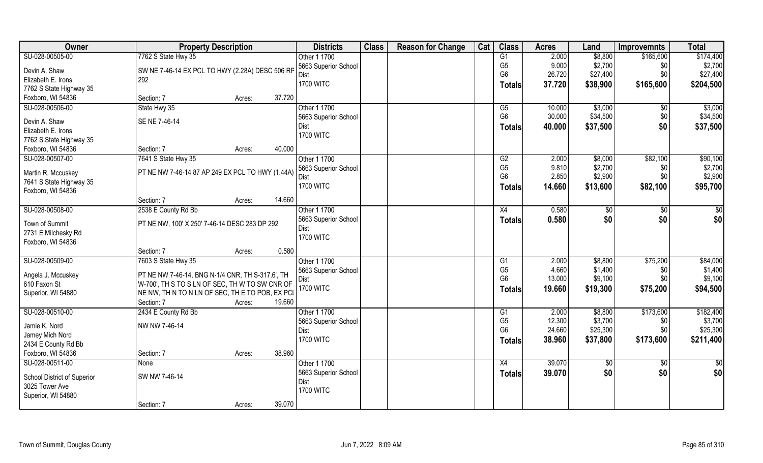| Owner                                        | <b>Property Description</b>                      |        |        | <b>Districts</b>     | <b>Class</b> | <b>Reason for Change</b> | Cat | <b>Class</b>   | <b>Acres</b>   | Land     | <b>Improvemnts</b> | <b>Total</b> |
|----------------------------------------------|--------------------------------------------------|--------|--------|----------------------|--------------|--------------------------|-----|----------------|----------------|----------|--------------------|--------------|
| SU-028-00505-00                              | 7762 S State Hwy 35                              |        |        | Other 1 1700         |              |                          |     | G1             | 2.000          | \$8,800  | \$165,600          | \$174,400    |
| Devin A. Shaw                                | SW NE 7-46-14 EX PCL TO HWY (2.28A) DESC 506 RF  |        |        | 5663 Superior School |              |                          |     | G <sub>5</sub> | 9.000          | \$2,700  | \$0                | \$2,700      |
| Elizabeth E. Irons                           | 292                                              |        |        | Dist                 |              |                          |     | G <sub>6</sub> | 26.720         | \$27,400 | \$0                | \$27,400     |
| 7762 S State Highway 35                      |                                                  |        |        | <b>1700 WITC</b>     |              |                          |     | <b>Totals</b>  | 37.720         | \$38,900 | \$165,600          | \$204,500    |
| Foxboro, WI 54836                            | Section: 7                                       | Acres: | 37.720 |                      |              |                          |     |                |                |          |                    |              |
| SU-028-00506-00                              | State Hwy 35                                     |        |        | Other 1 1700         |              |                          |     | G5             | 10.000         | \$3,000  | $\sqrt[6]{}$       | \$3,000      |
|                                              |                                                  |        |        | 5663 Superior School |              |                          |     | G <sub>6</sub> | 30.000         | \$34,500 | \$0                | \$34,500     |
| Devin A. Shaw                                | SE NE 7-46-14                                    |        |        | Dist                 |              |                          |     | Totals         | 40.000         | \$37,500 | \$0                | \$37,500     |
| Elizabeth E. Irons                           |                                                  |        |        | <b>1700 WITC</b>     |              |                          |     |                |                |          |                    |              |
| 7762 S State Highway 35<br>Foxboro, WI 54836 | Section: 7                                       |        | 40.000 |                      |              |                          |     |                |                |          |                    |              |
| SU-028-00507-00                              |                                                  | Acres: |        | Other 1 1700         |              |                          |     | G2             |                | \$8,000  | \$82,100           | \$90,100     |
|                                              | 7641 S State Hwy 35                              |        |        | 5663 Superior School |              |                          |     | G <sub>5</sub> | 2.000<br>9.810 | \$2,700  | \$0                | \$2,700      |
| Martin R. Mccuskey                           | PT NE NW 7-46-14 87 AP 249 EX PCL TO HWY (1.44A) |        |        | Dist                 |              |                          |     | G <sub>6</sub> | 2.850          | \$2,900  | \$0                | \$2,900      |
| 7641 S State Highway 35                      |                                                  |        |        | <b>1700 WITC</b>     |              |                          |     |                | 14.660         | \$13,600 | \$82,100           | \$95,700     |
| Foxboro, WI 54836                            |                                                  |        |        |                      |              |                          |     | <b>Totals</b>  |                |          |                    |              |
|                                              | Section: 7                                       | Acres: | 14.660 |                      |              |                          |     |                |                |          |                    |              |
| SU-028-00508-00                              | 2538 E County Rd Bb                              |        |        | Other 1 1700         |              |                          |     | X4             | 0.580          | \$0      | \$0                | \$0          |
| Town of Summit                               | PT NE NW, 100' X 250' 7-46-14 DESC 283 DP 292    |        |        | 5663 Superior School |              |                          |     | <b>Totals</b>  | 0.580          | \$0      | \$0                | \$0          |
| 2731 E Milchesky Rd                          |                                                  |        |        | Dist                 |              |                          |     |                |                |          |                    |              |
| Foxboro, WI 54836                            |                                                  |        |        | <b>1700 WITC</b>     |              |                          |     |                |                |          |                    |              |
|                                              | Section: 7                                       | Acres: | 0.580  |                      |              |                          |     |                |                |          |                    |              |
| SU-028-00509-00                              | 7603 S State Hwy 35                              |        |        | Other 1 1700         |              |                          |     | G1             | 2.000          | \$8,800  | \$75,200           | \$84,000     |
|                                              |                                                  |        |        | 5663 Superior School |              |                          |     | G <sub>5</sub> | 4.660          | \$1,400  | \$0                | \$1,400      |
| Angela J. Mccuskey                           | PT NE NW 7-46-14, BNG N-1/4 CNR, TH S-317.6', TH |        |        | Dist                 |              |                          |     | G <sub>6</sub> | 13.000         | \$9,100  | \$0                | \$9,100      |
| 610 Faxon St                                 | W-700', TH S TO S LN OF SEC, TH W TO SW CNR OF   |        |        | <b>1700 WITC</b>     |              |                          |     | <b>Totals</b>  | 19.660         | \$19,300 | \$75,200           | \$94,500     |
| Superior, WI 54880                           | NE NW, TH N TO N LN OF SEC, TH E TO POB, EX PCI  |        |        |                      |              |                          |     |                |                |          |                    |              |
|                                              | Section: 7                                       | Acres: | 19.660 |                      |              |                          |     |                |                |          |                    |              |
| SU-028-00510-00                              | 2434 E County Rd Bb                              |        |        | Other 1 1700         |              |                          |     | G1             | 2.000          | \$8,800  | \$173,600          | \$182,400    |
| Jamie K. Nord                                | NW NW 7-46-14                                    |        |        | 5663 Superior School |              |                          |     | G <sub>5</sub> | 12.300         | \$3,700  | \$0                | \$3,700      |
| Jamey Mich Nord                              |                                                  |        |        | <b>Dist</b>          |              |                          |     | G <sub>6</sub> | 24.660         | \$25,300 | \$0                | \$25,300     |
| 2434 E County Rd Bb                          |                                                  |        |        | <b>1700 WITC</b>     |              |                          |     | Totals         | 38.960         | \$37,800 | \$173,600          | \$211,400    |
| Foxboro, WI 54836                            | Section: 7                                       | Acres: | 38.960 |                      |              |                          |     |                |                |          |                    |              |
| SU-028-00511-00                              | None                                             |        |        | Other 1 1700         |              |                          |     | X4             | 39.070         | \$0      | $\sqrt{6}$         | $rac{1}{2}$  |
|                                              |                                                  |        |        | 5663 Superior School |              |                          |     | <b>Totals</b>  | 39.070         | \$0      | \$0                | \$0          |
| School District of Superior                  | SW NW 7-46-14                                    |        |        | <b>Dist</b>          |              |                          |     |                |                |          |                    |              |
| 3025 Tower Ave                               |                                                  |        |        | <b>1700 WITC</b>     |              |                          |     |                |                |          |                    |              |
| Superior, WI 54880                           |                                                  |        |        |                      |              |                          |     |                |                |          |                    |              |
|                                              | Section: 7                                       | Acres: | 39.070 |                      |              |                          |     |                |                |          |                    |              |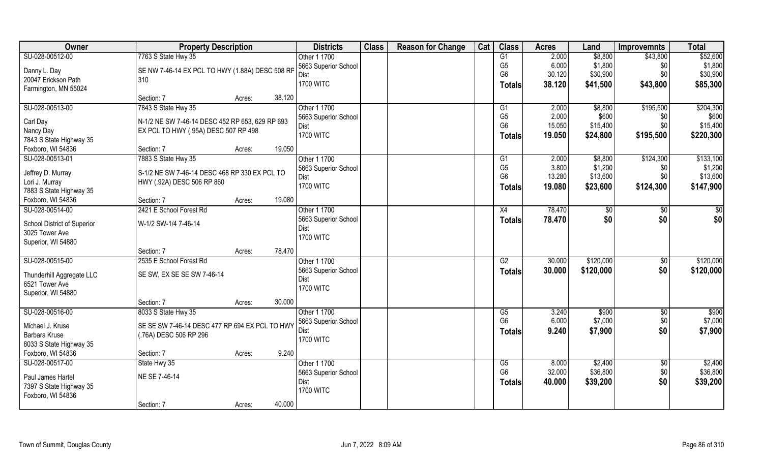| SU-028-00512-00<br>7763 S State Hwy 35<br>G1<br>\$8,800<br>\$52,600<br>Other 1 1700<br>2.000<br>\$43,800<br>6.000<br>\$1,800<br>\$1,800<br>G <sub>5</sub><br>5663 Superior School<br>\$0<br>SE NW 7-46-14 EX PCL TO HWY (1.88A) DESC 508 RP<br>Danny L. Day<br>G <sub>6</sub><br>\$30,900<br>30.120<br>\$30,900<br>\$0\$<br>Dist<br>20047 Erickson Path<br>310<br><b>1700 WITC</b><br>38.120<br>\$41,500<br>\$43,800<br>\$85,300<br><b>Totals</b><br>Farmington, MN 55024<br>38.120<br>Section: 7<br>Acres:<br>7843 S State Hwy 35<br>SU-028-00513-00<br>Other 1 1700<br>\$195,500<br>\$204,300<br>2.000<br>\$8,800<br>G1<br>G <sub>5</sub><br>2.000<br>\$600<br>\$600<br>5663 Superior School<br>\$0<br>Carl Day<br>N-1/2 NE SW 7-46-14 DESC 452 RP 653, 629 RP 693 |
|----------------------------------------------------------------------------------------------------------------------------------------------------------------------------------------------------------------------------------------------------------------------------------------------------------------------------------------------------------------------------------------------------------------------------------------------------------------------------------------------------------------------------------------------------------------------------------------------------------------------------------------------------------------------------------------------------------------------------------------------------------------------|
|                                                                                                                                                                                                                                                                                                                                                                                                                                                                                                                                                                                                                                                                                                                                                                      |
|                                                                                                                                                                                                                                                                                                                                                                                                                                                                                                                                                                                                                                                                                                                                                                      |
|                                                                                                                                                                                                                                                                                                                                                                                                                                                                                                                                                                                                                                                                                                                                                                      |
|                                                                                                                                                                                                                                                                                                                                                                                                                                                                                                                                                                                                                                                                                                                                                                      |
|                                                                                                                                                                                                                                                                                                                                                                                                                                                                                                                                                                                                                                                                                                                                                                      |
|                                                                                                                                                                                                                                                                                                                                                                                                                                                                                                                                                                                                                                                                                                                                                                      |
|                                                                                                                                                                                                                                                                                                                                                                                                                                                                                                                                                                                                                                                                                                                                                                      |
| G <sub>6</sub><br>\$15,400<br>15.050<br>\$15,400<br>\$0<br>Dist<br>Nancy Day<br>EX PCL TO HWY (.95A) DESC 507 RP 498                                                                                                                                                                                                                                                                                                                                                                                                                                                                                                                                                                                                                                                 |
| <b>1700 WITC</b><br>19.050<br>\$24,800<br>\$195,500<br>\$220,300<br>Totals<br>7843 S State Highway 35                                                                                                                                                                                                                                                                                                                                                                                                                                                                                                                                                                                                                                                                |
| 19.050<br>Foxboro, WI 54836<br>Section: 7<br>Acres:                                                                                                                                                                                                                                                                                                                                                                                                                                                                                                                                                                                                                                                                                                                  |
| 7883 S State Hwy 35<br>\$133,100<br>SU-028-00513-01<br>Other 1 1700<br>\$8,800<br>\$124,300<br>2.000<br>G1                                                                                                                                                                                                                                                                                                                                                                                                                                                                                                                                                                                                                                                           |
| G <sub>5</sub><br>\$1,200<br>3.800<br>\$1,200<br>5663 Superior School<br>\$0                                                                                                                                                                                                                                                                                                                                                                                                                                                                                                                                                                                                                                                                                         |
| S-1/2 NE SW 7-46-14 DESC 468 RP 330 EX PCL TO<br>Jeffrey D. Murray<br>G <sub>6</sub><br>13.280<br>\$13,600<br>\$13,600<br>\$0<br>Dist                                                                                                                                                                                                                                                                                                                                                                                                                                                                                                                                                                                                                                |
| Lori J. Murray<br>HWY (.92A) DESC 506 RP 860<br><b>1700 WITC</b><br>\$124,300<br>\$147,900<br>19.080<br>\$23,600<br><b>Totals</b><br>7883 S State Highway 35                                                                                                                                                                                                                                                                                                                                                                                                                                                                                                                                                                                                         |
| 19.080<br>Foxboro, WI 54836<br>Section: 7<br>Acres:                                                                                                                                                                                                                                                                                                                                                                                                                                                                                                                                                                                                                                                                                                                  |
| SU-028-00514-00<br>2421 E School Forest Rd<br>Other 1 1700<br>78.470<br>\$0<br>X4<br>$ $ \$0<br>\$0                                                                                                                                                                                                                                                                                                                                                                                                                                                                                                                                                                                                                                                                  |
| \$0 <br>5663 Superior School<br>78.470<br>\$0<br>\$0<br><b>Totals</b>                                                                                                                                                                                                                                                                                                                                                                                                                                                                                                                                                                                                                                                                                                |
| W-1/2 SW-1/4 7-46-14<br>School District of Superior<br>Dist                                                                                                                                                                                                                                                                                                                                                                                                                                                                                                                                                                                                                                                                                                          |
| 3025 Tower Ave<br><b>1700 WITC</b>                                                                                                                                                                                                                                                                                                                                                                                                                                                                                                                                                                                                                                                                                                                                   |
| Superior, WI 54880                                                                                                                                                                                                                                                                                                                                                                                                                                                                                                                                                                                                                                                                                                                                                   |
| 78.470<br>Section: 7<br>Acres:                                                                                                                                                                                                                                                                                                                                                                                                                                                                                                                                                                                                                                                                                                                                       |
| \$120,000<br>\$120,000<br>SU-028-00515-00<br>2535 E School Forest Rd<br>Other 1 1700<br>30.000<br>G2<br>$\sqrt[6]{3}$                                                                                                                                                                                                                                                                                                                                                                                                                                                                                                                                                                                                                                                |
| \$120,000<br>5663 Superior School<br>\$0<br>\$120,000<br>30,000<br><b>Totals</b><br>SE SW, EX SE SE SW 7-46-14<br>Thunderhill Aggregate LLC                                                                                                                                                                                                                                                                                                                                                                                                                                                                                                                                                                                                                          |
| Dist<br>6521 Tower Ave<br><b>1700 WITC</b>                                                                                                                                                                                                                                                                                                                                                                                                                                                                                                                                                                                                                                                                                                                           |
| Superior, WI 54880                                                                                                                                                                                                                                                                                                                                                                                                                                                                                                                                                                                                                                                                                                                                                   |
| 30.000<br>Section: 7<br>Acres:                                                                                                                                                                                                                                                                                                                                                                                                                                                                                                                                                                                                                                                                                                                                       |
| $\sqrt{$900}$<br>SU-028-00516-00<br>8033 S State Hwy 35<br>Other 1 1700<br>G5<br>3.240<br>\$900<br>$\sqrt{$0}$                                                                                                                                                                                                                                                                                                                                                                                                                                                                                                                                                                                                                                                       |
| G <sub>6</sub><br>\$0<br>\$7,000<br>6.000<br>\$7,000<br>5663 Superior School<br>Michael J. Kruse<br>SE SE SW 7-46-14 DESC 477 RP 694 EX PCL TO HWY                                                                                                                                                                                                                                                                                                                                                                                                                                                                                                                                                                                                                   |
| \$0<br>9.240<br>\$7,900<br>\$7,900<br>Dist<br><b>Totals</b><br>Barbara Kruse<br>(.76A) DESC 506 RP 296                                                                                                                                                                                                                                                                                                                                                                                                                                                                                                                                                                                                                                                               |
| <b>1700 WITC</b><br>8033 S State Highway 35                                                                                                                                                                                                                                                                                                                                                                                                                                                                                                                                                                                                                                                                                                                          |
| 9.240<br>Foxboro, WI 54836<br>Section: 7<br>Acres:                                                                                                                                                                                                                                                                                                                                                                                                                                                                                                                                                                                                                                                                                                                   |
| SU-028-00517-00<br>Other 1 1700<br>\$2,400<br>\$2,400<br>State Hwy 35<br>G5<br>8.000<br>$\sqrt[6]{}$                                                                                                                                                                                                                                                                                                                                                                                                                                                                                                                                                                                                                                                                 |
| G <sub>6</sub><br>32.000<br>\$36,800<br>\$36,800<br>\$0<br>5663 Superior School<br>NE SE 7-46-14                                                                                                                                                                                                                                                                                                                                                                                                                                                                                                                                                                                                                                                                     |
| Paul James Hartel<br>40.000<br>\$0<br>\$39,200<br>\$39,200<br>Dist<br><b>Totals</b><br>7397 S State Highway 35                                                                                                                                                                                                                                                                                                                                                                                                                                                                                                                                                                                                                                                       |
| <b>1700 WITC</b><br>Foxboro, WI 54836                                                                                                                                                                                                                                                                                                                                                                                                                                                                                                                                                                                                                                                                                                                                |
| 40.000<br>Section: 7<br>Acres:                                                                                                                                                                                                                                                                                                                                                                                                                                                                                                                                                                                                                                                                                                                                       |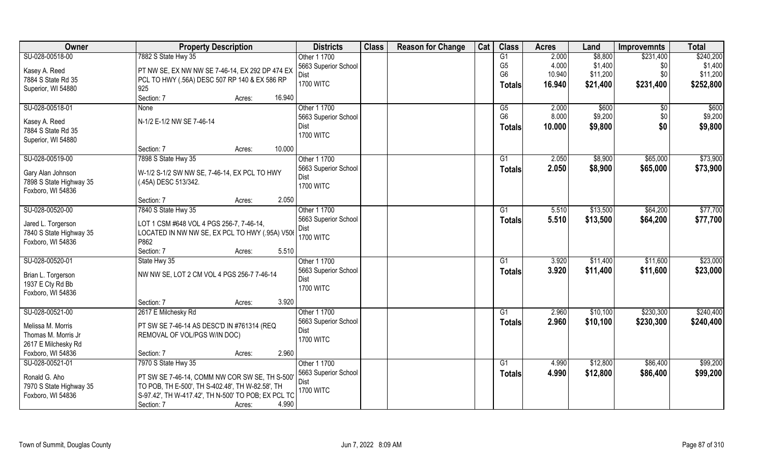| Owner                               | <b>Property Description</b>                                                | <b>Districts</b>         | <b>Class</b> | <b>Reason for Change</b> | Cat | <b>Class</b>    | <b>Acres</b> | Land     | <b>Improvemnts</b> | <b>Total</b> |
|-------------------------------------|----------------------------------------------------------------------------|--------------------------|--------------|--------------------------|-----|-----------------|--------------|----------|--------------------|--------------|
| SU-028-00518-00                     | 7882 S State Hwy 35                                                        | Other 1 1700             |              |                          |     | G1              | 2.000        | \$8,800  | \$231,400          | \$240,200    |
| Kasey A. Reed                       | PT NW SE, EX NW NW SE 7-46-14, EX 292 DP 474 EX                            | 5663 Superior School     |              |                          |     | G <sub>5</sub>  | 4.000        | \$1,400  | \$0                | \$1,400      |
| 7884 S State Rd 35                  | PCL TO HWY (.56A) DESC 507 RP 140 & EX 586 RP                              | Dist                     |              |                          |     | G <sub>6</sub>  | 10.940       | \$11,200 | \$0                | \$11,200     |
| Superior, WI 54880                  | 925                                                                        | <b>1700 WITC</b>         |              |                          |     | <b>Totals</b>   | 16.940       | \$21,400 | \$231,400          | \$252,800    |
|                                     | 16.940<br>Section: 7<br>Acres:                                             |                          |              |                          |     |                 |              |          |                    |              |
| SU-028-00518-01                     | <b>None</b>                                                                | Other 1 1700             |              |                          |     | $\overline{G5}$ | 2.000        | \$600    | \$0                | \$600        |
|                                     | N-1/2 E-1/2 NW SE 7-46-14                                                  | 5663 Superior School     |              |                          |     | G <sub>6</sub>  | 8.000        | \$9,200  | \$0                | \$9,200      |
| Kasey A. Reed<br>7884 S State Rd 35 |                                                                            | Dist                     |              |                          |     | <b>Totals</b>   | 10.000       | \$9,800  | \$0                | \$9,800      |
| Superior, WI 54880                  |                                                                            | <b>1700 WITC</b>         |              |                          |     |                 |              |          |                    |              |
|                                     | 10.000<br>Section: 7<br>Acres:                                             |                          |              |                          |     |                 |              |          |                    |              |
| SU-028-00519-00                     | 7898 S State Hwy 35                                                        | Other 1 1700             |              |                          |     | G1              | 2.050        | \$8,900  | \$65,000           | \$73,900     |
|                                     |                                                                            | 5663 Superior School     |              |                          |     | <b>Totals</b>   | 2.050        | \$8,900  | \$65,000           | \$73,900     |
| Gary Alan Johnson                   | W-1/2 S-1/2 SW NW SE, 7-46-14, EX PCL TO HWY                               | Dist                     |              |                          |     |                 |              |          |                    |              |
| 7898 S State Highway 35             | (.45A) DESC 513/342.                                                       | <b>1700 WITC</b>         |              |                          |     |                 |              |          |                    |              |
| Foxboro, WI 54836                   |                                                                            |                          |              |                          |     |                 |              |          |                    |              |
|                                     | 2.050<br>Section: 7<br>Acres:                                              |                          |              |                          |     |                 |              |          |                    |              |
| SU-028-00520-00                     | 7840 S State Hwy 35                                                        | Other 1 1700             |              |                          |     | G1              | 5.510        | \$13,500 | \$64,200           | \$77,700     |
| Jared L. Torgerson                  | LOT 1 CSM #648 VOL 4 PGS 256-7, 7-46-14,                                   | 5663 Superior School     |              |                          |     | Totals          | 5.510        | \$13,500 | \$64,200           | \$77,700     |
| 7840 S State Highway 35             | LOCATED IN NW NW SE, EX PCL TO HWY (.95A) V506                             | Dist<br><b>1700 WITC</b> |              |                          |     |                 |              |          |                    |              |
| Foxboro, WI 54836                   | P862                                                                       |                          |              |                          |     |                 |              |          |                    |              |
|                                     | Section: 7<br>5.510<br>Acres:                                              |                          |              |                          |     |                 |              |          |                    |              |
| SU-028-00520-01                     | State Hwy 35                                                               | Other 1 1700             |              |                          |     | G1              | 3.920        | \$11,400 | \$11,600           | \$23,000     |
| Brian L. Torgerson                  | NW NW SE, LOT 2 CM VOL 4 PGS 256-7 7-46-14                                 | 5663 Superior School     |              |                          |     | Totals          | 3.920        | \$11,400 | \$11,600           | \$23,000     |
| 1937 E Cty Rd Bb                    |                                                                            | Dist                     |              |                          |     |                 |              |          |                    |              |
| Foxboro, WI 54836                   |                                                                            | <b>1700 WITC</b>         |              |                          |     |                 |              |          |                    |              |
|                                     | 3.920<br>Section: 7<br>Acres:                                              |                          |              |                          |     |                 |              |          |                    |              |
| SU-028-00521-00                     | 2617 E Milchesky Rd                                                        | Other 1 1700             |              |                          |     | G1              | 2.960        | \$10,100 | \$230,300          | \$240,400    |
| Melissa M. Morris                   |                                                                            | 5663 Superior School     |              |                          |     | <b>Totals</b>   | 2.960        | \$10,100 | \$230,300          | \$240,400    |
| Thomas M. Morris Jr                 | PT SW SE 7-46-14 AS DESC'D IN #761314 (REQ<br>REMOVAL OF VOL/PGS W/IN DOC) | Dist                     |              |                          |     |                 |              |          |                    |              |
| 2617 E Milchesky Rd                 |                                                                            | <b>1700 WITC</b>         |              |                          |     |                 |              |          |                    |              |
| Foxboro, WI 54836                   | 2.960<br>Section: 7<br>Acres:                                              |                          |              |                          |     |                 |              |          |                    |              |
| SU-028-00521-01                     | 7970 S State Hwy 35                                                        | Other 1 1700             |              |                          |     | G1              | 4.990        | \$12,800 | \$86,400           | \$99,200     |
|                                     |                                                                            | 5663 Superior School     |              |                          |     | Totals          | 4.990        | \$12,800 | \$86,400           | \$99,200     |
| Ronald G. Aho                       | PT SW SE 7-46-14, COMM NW COR SW SE, TH S-500'                             | Dist                     |              |                          |     |                 |              |          |                    |              |
| 7970 S State Highway 35             | TO POB, TH E-500', TH S-402.48', TH W-82.58', TH                           | <b>1700 WITC</b>         |              |                          |     |                 |              |          |                    |              |
| Foxboro, WI 54836                   | S-97.42', TH W-417.42', TH N-500' TO POB; EX PCL TO                        |                          |              |                          |     |                 |              |          |                    |              |
|                                     | 4.990<br>Section: 7<br>Acres:                                              |                          |              |                          |     |                 |              |          |                    |              |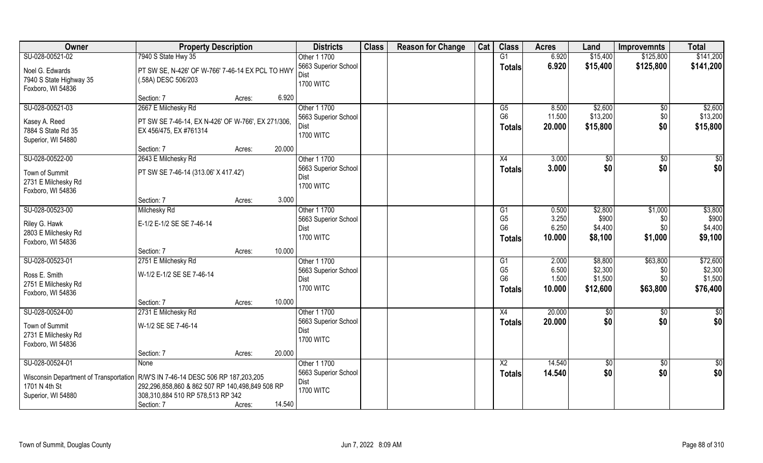| Owner                                                                           | <b>Property Description</b>                        |                  | <b>Districts</b>                | <b>Class</b> | <b>Reason for Change</b> | Cat | <b>Class</b>                     | <b>Acres</b>   | Land               | <b>Improvemnts</b> | <b>Total</b>       |
|---------------------------------------------------------------------------------|----------------------------------------------------|------------------|---------------------------------|--------------|--------------------------|-----|----------------------------------|----------------|--------------------|--------------------|--------------------|
| SU-028-00521-02                                                                 | 7940 S State Hwy 35                                |                  | Other 1 1700                    |              |                          |     | G1                               | 6.920          | \$15,400           | \$125,800          | \$141,200          |
| Noel G. Edwards                                                                 | PT SW SE, N-426' OF W-766' 7-46-14 EX PCL TO HWY   |                  | 5663 Superior School            |              |                          |     | <b>Totals</b>                    | 6.920          | \$15,400           | \$125,800          | \$141,200          |
| 7940 S State Highway 35                                                         | (.58A) DESC 506/203                                |                  | Dist                            |              |                          |     |                                  |                |                    |                    |                    |
| Foxboro, WI 54836                                                               |                                                    |                  | <b>1700 WITC</b>                |              |                          |     |                                  |                |                    |                    |                    |
|                                                                                 | Section: 7                                         | 6.920<br>Acres:  |                                 |              |                          |     |                                  |                |                    |                    |                    |
| SU-028-00521-03                                                                 | 2667 E Milchesky Rd                                |                  | Other 1 1700                    |              |                          |     | G5                               | 8.500          | \$2,600            | \$0                | \$2,600            |
| Kasey A. Reed                                                                   | PT SW SE 7-46-14, EX N-426' OF W-766', EX 271/306, |                  | 5663 Superior School            |              |                          |     | G <sub>6</sub>                   | 11.500         | \$13,200           | \$0                | \$13,200           |
| 7884 S State Rd 35                                                              | EX 456/475, EX #761314                             |                  | <b>Dist</b><br><b>1700 WITC</b> |              |                          |     | <b>Totals</b>                    | 20.000         | \$15,800           | \$0                | \$15,800           |
| Superior, WI 54880                                                              |                                                    |                  |                                 |              |                          |     |                                  |                |                    |                    |                    |
|                                                                                 | Section: 7                                         | 20.000<br>Acres: |                                 |              |                          |     |                                  |                |                    |                    |                    |
| SU-028-00522-00                                                                 | 2643 E Milchesky Rd                                |                  | Other 1 1700                    |              |                          |     | X4                               | 3.000          | \$0                | $\sqrt[6]{30}$     | \$0                |
| Town of Summit                                                                  | PT SW SE 7-46-14 (313.06' X 417.42')               |                  | 5663 Superior School            |              |                          |     | <b>Totals</b>                    | 3.000          | \$0                | \$0                | \$0                |
| 2731 E Milchesky Rd                                                             |                                                    |                  | Dist<br><b>1700 WITC</b>        |              |                          |     |                                  |                |                    |                    |                    |
| Foxboro, WI 54836                                                               |                                                    |                  |                                 |              |                          |     |                                  |                |                    |                    |                    |
|                                                                                 | Section: 7                                         | 3.000<br>Acres:  |                                 |              |                          |     |                                  |                |                    |                    |                    |
| SU-028-00523-00                                                                 | Milchesky Rd                                       |                  | Other 1 1700                    |              |                          |     | G1                               | 0.500          | \$2,800            | \$1,000            | \$3,800            |
| Riley G. Hawk                                                                   | E-1/2 E-1/2 SE SE 7-46-14                          |                  | 5663 Superior School            |              |                          |     | G <sub>5</sub>                   | 3.250<br>6.250 | \$900<br>\$4,400   | \$0<br>\$0         | \$900              |
| 2803 E Milchesky Rd                                                             |                                                    |                  | Dist<br><b>1700 WITC</b>        |              |                          |     | G <sub>6</sub>                   | 10.000         | \$8,100            | \$1,000            | \$4,400<br>\$9,100 |
| Foxboro, WI 54836                                                               |                                                    |                  |                                 |              |                          |     | <b>Totals</b>                    |                |                    |                    |                    |
|                                                                                 | Section: 7                                         | 10.000<br>Acres: |                                 |              |                          |     |                                  |                |                    |                    |                    |
| SU-028-00523-01                                                                 | 2751 E Milchesky Rd                                |                  | Other 1 1700                    |              |                          |     | G1                               | 2.000          | \$8,800            | \$63,800           | \$72,600           |
| Ross E. Smith                                                                   | W-1/2 E-1/2 SE SE 7-46-14                          |                  | 5663 Superior School            |              |                          |     | G <sub>5</sub><br>G <sub>6</sub> | 6.500<br>1.500 | \$2,300<br>\$1,500 | \$0<br>\$0         | \$2,300<br>\$1,500 |
| 2751 E Milchesky Rd                                                             |                                                    |                  | Dist<br><b>1700 WITC</b>        |              |                          |     | <b>Totals</b>                    | 10.000         | \$12,600           | \$63,800           | \$76,400           |
| Foxboro, WI 54836                                                               |                                                    |                  |                                 |              |                          |     |                                  |                |                    |                    |                    |
|                                                                                 | Section: 7                                         | 10.000<br>Acres: |                                 |              |                          |     |                                  |                |                    |                    |                    |
| SU-028-00524-00                                                                 | 2731 E Milchesky Rd                                |                  | Other 1 1700                    |              |                          |     | X4                               | 20.000         | \$0                | \$0                | $\frac{1}{2}$      |
| Town of Summit                                                                  | W-1/2 SE SE 7-46-14                                |                  | 5663 Superior School<br>Dist    |              |                          |     | <b>Totals</b>                    | 20.000         | \$0                | \$0                | \$0                |
| 2731 E Milchesky Rd                                                             |                                                    |                  | <b>1700 WITC</b>                |              |                          |     |                                  |                |                    |                    |                    |
| Foxboro, WI 54836                                                               |                                                    |                  |                                 |              |                          |     |                                  |                |                    |                    |                    |
|                                                                                 | Section: 7                                         | 20.000<br>Acres: |                                 |              |                          |     |                                  |                |                    |                    |                    |
| SU-028-00524-01                                                                 | None                                               |                  | Other 1 1700                    |              |                          |     | $\overline{X2}$                  | 14.540         | $\sqrt[6]{30}$     | $\sqrt[6]{}$       | $\overline{50}$    |
| Wisconsin Department of Transportation R/W'S IN 7-46-14 DESC 506 RP 187,203,205 |                                                    |                  | 5663 Superior School<br>Dist    |              |                          |     | <b>Totals</b>                    | 14.540         | \$0                | \$0                | \$0                |
| 1701 N 4th St                                                                   | 292,296,858,860 & 862 507 RP 140,498,849 508 RP    |                  | <b>1700 WITC</b>                |              |                          |     |                                  |                |                    |                    |                    |
| Superior, WI 54880                                                              | 308,310,884 510 RP 578,513 RP 342                  |                  |                                 |              |                          |     |                                  |                |                    |                    |                    |
|                                                                                 | Section: 7                                         | 14.540<br>Acres: |                                 |              |                          |     |                                  |                |                    |                    |                    |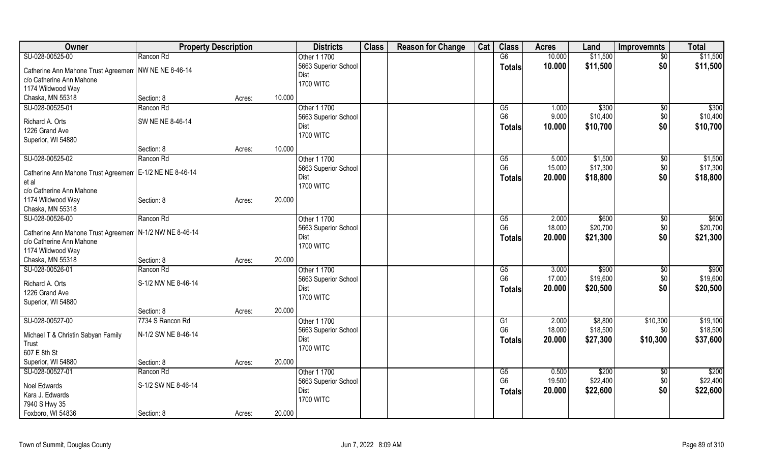| Owner                                                     |                     | <b>Property Description</b> |        | <b>Districts</b>         | <b>Class</b> | <b>Reason for Change</b> | Cat | <b>Class</b>    | <b>Acres</b> | Land     | <b>Improvemnts</b> | <b>Total</b> |
|-----------------------------------------------------------|---------------------|-----------------------------|--------|--------------------------|--------------|--------------------------|-----|-----------------|--------------|----------|--------------------|--------------|
| SU-028-00525-00                                           | Rancon Rd           |                             |        | Other 1 1700             |              |                          |     | $\overline{G6}$ | 10.000       | \$11,500 | $\sqrt{50}$        | \$11,500     |
| Catherine Ann Mahone Trust Agreemen   NW NE NE 8-46-14    |                     |                             |        | 5663 Superior School     |              |                          |     | <b>Totals</b>   | 10.000       | \$11,500 | \$0                | \$11,500     |
| c/o Catherine Ann Mahone                                  |                     |                             |        | Dist<br><b>1700 WITC</b> |              |                          |     |                 |              |          |                    |              |
| 1174 Wildwood Way                                         |                     |                             |        |                          |              |                          |     |                 |              |          |                    |              |
| Chaska, MN 55318                                          | Section: 8          | Acres:                      | 10.000 |                          |              |                          |     |                 |              |          |                    |              |
| SU-028-00525-01                                           | Rancon Rd           |                             |        | Other 1 1700             |              |                          |     | G5              | 1.000        | \$300    | $\sqrt[6]{}$       | \$300        |
| Richard A. Orts                                           | SW NE NE 8-46-14    |                             |        | 5663 Superior School     |              |                          |     | G <sub>6</sub>  | 9.000        | \$10,400 | $$0$$              | \$10,400     |
| 1226 Grand Ave                                            |                     |                             |        | Dist                     |              |                          |     | <b>Totals</b>   | 10.000       | \$10,700 | \$0                | \$10,700     |
| Superior, WI 54880                                        |                     |                             |        | <b>1700 WITC</b>         |              |                          |     |                 |              |          |                    |              |
|                                                           | Section: 8          | Acres:                      | 10.000 |                          |              |                          |     |                 |              |          |                    |              |
| SU-028-00525-02                                           | Rancon Rd           |                             |        | Other 1 1700             |              |                          |     | G5              | 5.000        | \$1,500  | $\sqrt[6]{30}$     | \$1,500      |
|                                                           |                     |                             |        | 5663 Superior School     |              |                          |     | G <sub>6</sub>  | 15.000       | \$17,300 | \$0                | \$17,300     |
| Catherine Ann Mahone Trust Agreemen   E-1/2 NE NE 8-46-14 |                     |                             |        | <b>Dist</b>              |              |                          |     | <b>Totals</b>   | 20.000       | \$18,800 | \$0                | \$18,800     |
| et al                                                     |                     |                             |        | <b>1700 WITC</b>         |              |                          |     |                 |              |          |                    |              |
| c/o Catherine Ann Mahone                                  |                     |                             |        |                          |              |                          |     |                 |              |          |                    |              |
| 1174 Wildwood Way                                         | Section: 8          | Acres:                      | 20.000 |                          |              |                          |     |                 |              |          |                    |              |
| Chaska, MN 55318                                          |                     |                             |        |                          |              |                          |     |                 |              |          |                    |              |
| SU-028-00526-00                                           | Rancon Rd           |                             |        | Other 1 1700             |              |                          |     | G5              | 2.000        | \$600    | $\sqrt[6]{3}$      | \$600        |
| Catherine Ann Mahone Trust Agreemen   N-1/2 NW NE 8-46-14 |                     |                             |        | 5663 Superior School     |              |                          |     | G <sub>6</sub>  | 18.000       | \$20,700 | $$0$$              | \$20,700     |
| c/o Catherine Ann Mahone                                  |                     |                             |        | Dist                     |              |                          |     | <b>Totals</b>   | 20.000       | \$21,300 | \$0                | \$21,300     |
| 1174 Wildwood Way                                         |                     |                             |        | <b>1700 WITC</b>         |              |                          |     |                 |              |          |                    |              |
| Chaska, MN 55318                                          | Section: 8          | Acres:                      | 20.000 |                          |              |                          |     |                 |              |          |                    |              |
| SU-028-00526-01                                           | Rancon Rd           |                             |        | Other 1 1700             |              |                          |     | G5              | 3.000        | \$900    | $\sqrt[6]{}$       | \$900        |
|                                                           |                     |                             |        | 5663 Superior School     |              |                          |     | G <sub>6</sub>  | 17.000       | \$19,600 | \$0                | \$19,600     |
| Richard A. Orts                                           | S-1/2 NW NE 8-46-14 |                             |        | <b>Dist</b>              |              |                          |     | <b>Totals</b>   | 20.000       | \$20,500 | \$0                | \$20,500     |
| 1226 Grand Ave                                            |                     |                             |        | <b>1700 WITC</b>         |              |                          |     |                 |              |          |                    |              |
| Superior, WI 54880                                        |                     |                             |        |                          |              |                          |     |                 |              |          |                    |              |
|                                                           | Section: 8          | Acres:                      | 20.000 |                          |              |                          |     |                 |              |          |                    |              |
| SU-028-00527-00                                           | 7734 S Rancon Rd    |                             |        | Other 1 1700             |              |                          |     | G1              | 2.000        | \$8,800  | \$10,300           | \$19,100     |
| Michael T & Christin Sabyan Family                        | N-1/2 SW NE 8-46-14 |                             |        | 5663 Superior School     |              |                          |     | G <sub>6</sub>  | 18.000       | \$18,500 | \$0                | \$18,500     |
| Trust                                                     |                     |                             |        | <b>Dist</b>              |              |                          |     | <b>Totals</b>   | 20.000       | \$27,300 | \$10,300           | \$37,600     |
| 607 E 8th St                                              |                     |                             |        | <b>1700 WITC</b>         |              |                          |     |                 |              |          |                    |              |
| Superior, WI 54880                                        | Section: 8          | Acres:                      | 20.000 |                          |              |                          |     |                 |              |          |                    |              |
| SU-028-00527-01                                           | Rancon Rd           |                             |        | Other 1 1700             |              |                          |     | G5              | 0.500        | \$200    | \$0                | \$200        |
|                                                           |                     |                             |        | 5663 Superior School     |              |                          |     | G <sub>6</sub>  | 19.500       | \$22,400 | \$0                | \$22,400     |
| <b>Noel Edwards</b>                                       | S-1/2 SW NE 8-46-14 |                             |        | Dist                     |              |                          |     | <b>Totals</b>   | 20.000       | \$22,600 | \$0                | \$22,600     |
| Kara J. Edwards                                           |                     |                             |        | <b>1700 WITC</b>         |              |                          |     |                 |              |          |                    |              |
| 7940 S Hwy 35                                             |                     |                             |        |                          |              |                          |     |                 |              |          |                    |              |
| Foxboro, WI 54836                                         | Section: 8          | Acres:                      | 20.000 |                          |              |                          |     |                 |              |          |                    |              |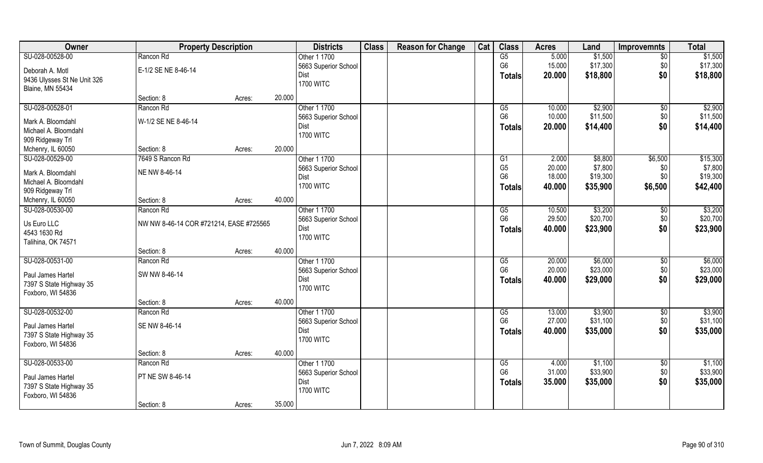| Owner                                     | <b>Property Description</b>             |        |        | <b>Districts</b>     | <b>Class</b> | <b>Reason for Change</b> | Cat | <b>Class</b>           | <b>Acres</b> | Land     | <b>Improvemnts</b> | <b>Total</b> |
|-------------------------------------------|-----------------------------------------|--------|--------|----------------------|--------------|--------------------------|-----|------------------------|--------------|----------|--------------------|--------------|
| SU-028-00528-00                           | Rancon Rd                               |        |        | Other 1 1700         |              |                          |     | G5                     | 5.000        | \$1,500  | $\overline{50}$    | \$1,500      |
| Deborah A. Motl                           | E-1/2 SE NE 8-46-14                     |        |        | 5663 Superior School |              |                          |     | G <sub>6</sub>         | 15.000       | \$17,300 | \$0                | \$17,300     |
| 9436 Ulysses St Ne Unit 326               |                                         |        |        | Dist                 |              |                          |     | <b>Totals</b>          | 20.000       | \$18,800 | \$0                | \$18,800     |
| <b>Blaine, MN 55434</b>                   |                                         |        |        | <b>1700 WITC</b>     |              |                          |     |                        |              |          |                    |              |
|                                           | Section: 8                              | Acres: | 20.000 |                      |              |                          |     |                        |              |          |                    |              |
| SU-028-00528-01                           | Rancon Rd                               |        |        | Other 1 1700         |              |                          |     | G5                     | 10.000       | \$2,900  | $\sqrt{$0}$        | \$2,900      |
| Mark A. Bloomdahl                         | W-1/2 SE NE 8-46-14                     |        |        | 5663 Superior School |              |                          |     | G <sub>6</sub>         | 10.000       | \$11,500 | \$0                | \$11,500     |
| Michael A. Bloomdahl                      |                                         |        |        | Dist                 |              |                          |     | <b>Totals</b>          | 20.000       | \$14,400 | \$0                | \$14,400     |
| 909 Ridgeway Trl                          |                                         |        |        | <b>1700 WITC</b>     |              |                          |     |                        |              |          |                    |              |
| Mchenry, IL 60050                         | Section: 8                              | Acres: | 20.000 |                      |              |                          |     |                        |              |          |                    |              |
| SU-028-00529-00                           | 7649 S Rancon Rd                        |        |        | Other 1 1700         |              |                          |     | G1                     | 2.000        | \$8,800  | \$6,500            | \$15,300     |
|                                           |                                         |        |        | 5663 Superior School |              |                          |     | G <sub>5</sub>         | 20.000       | \$7,800  | \$0                | \$7,800      |
| Mark A. Bloomdahl<br>Michael A. Bloomdahl | NE NW 8-46-14                           |        |        | Dist                 |              |                          |     | G <sub>6</sub>         | 18.000       | \$19,300 | \$0                | \$19,300     |
| 909 Ridgeway Trl                          |                                         |        |        | <b>1700 WITC</b>     |              |                          |     | Totals                 | 40.000       | \$35,900 | \$6,500            | \$42,400     |
| Mchenry, IL 60050                         | Section: 8                              | Acres: | 40.000 |                      |              |                          |     |                        |              |          |                    |              |
| SU-028-00530-00                           | Rancon Rd                               |        |        | Other 1 1700         |              |                          |     | G5                     | 10.500       | \$3,200  | \$0                | \$3,200      |
|                                           |                                         |        |        | 5663 Superior School |              |                          |     | G <sub>6</sub>         | 29.500       | \$20,700 | \$0                | \$20,700     |
| Us Euro LLC                               | NW NW 8-46-14 COR #721214, EASE #725565 |        |        | Dist                 |              |                          |     |                        | 40.000       | \$23,900 | \$0                | \$23,900     |
| 4543 1630 Rd                              |                                         |        |        | <b>1700 WITC</b>     |              |                          |     | <b>Totals</b>          |              |          |                    |              |
| Talihina, OK 74571                        |                                         |        |        |                      |              |                          |     |                        |              |          |                    |              |
|                                           | Section: 8                              | Acres: | 40.000 |                      |              |                          |     |                        |              |          |                    |              |
| SU-028-00531-00                           | Rancon Rd                               |        |        | Other 1 1700         |              |                          |     | $\overline{\text{G5}}$ | 20.000       | \$6,000  | $\overline{60}$    | \$6,000      |
| Paul James Hartel                         | SW NW 8-46-14                           |        |        | 5663 Superior School |              |                          |     | G <sub>6</sub>         | 20.000       | \$23,000 | \$0                | \$23,000     |
| 7397 S State Highway 35                   |                                         |        |        | Dist                 |              |                          |     | <b>Totals</b>          | 40.000       | \$29,000 | \$0                | \$29,000     |
| Foxboro, WI 54836                         |                                         |        |        | <b>1700 WITC</b>     |              |                          |     |                        |              |          |                    |              |
|                                           | Section: 8                              | Acres: | 40.000 |                      |              |                          |     |                        |              |          |                    |              |
| SU-028-00532-00                           | Rancon Rd                               |        |        | Other 1 1700         |              |                          |     | G5                     | 13.000       | \$3,900  | \$0                | \$3,900      |
| Paul James Hartel                         | SE NW 8-46-14                           |        |        | 5663 Superior School |              |                          |     | G <sub>6</sub>         | 27.000       | \$31,100 | \$0                | \$31,100     |
| 7397 S State Highway 35                   |                                         |        |        | Dist                 |              |                          |     | <b>Totals</b>          | 40.000       | \$35,000 | \$0                | \$35,000     |
| Foxboro, WI 54836                         |                                         |        |        | <b>1700 WITC</b>     |              |                          |     |                        |              |          |                    |              |
|                                           | Section: 8                              | Acres: | 40.000 |                      |              |                          |     |                        |              |          |                    |              |
| SU-028-00533-00                           | Rancon Rd                               |        |        | Other 1 1700         |              |                          |     | G5                     | 4.000        | \$1,100  | $\sqrt{$0}$        | \$1,100      |
| Paul James Hartel                         | PT NE SW 8-46-14                        |        |        | 5663 Superior School |              |                          |     | G <sub>6</sub>         | 31.000       | \$33,900 | \$0                | \$33,900     |
| 7397 S State Highway 35                   |                                         |        |        | Dist                 |              |                          |     | <b>Totals</b>          | 35.000       | \$35,000 | \$0                | \$35,000     |
| Foxboro, WI 54836                         |                                         |        |        | <b>1700 WITC</b>     |              |                          |     |                        |              |          |                    |              |
|                                           | Section: 8                              | Acres: | 35.000 |                      |              |                          |     |                        |              |          |                    |              |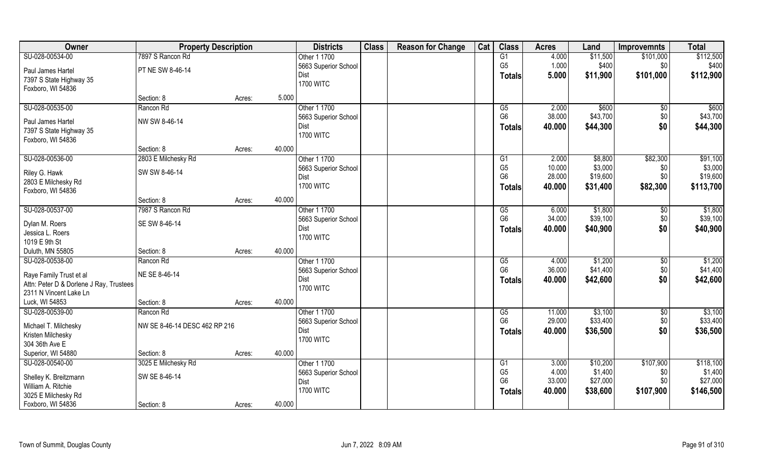| Owner                                                              | <b>Property Description</b>   |        | <b>Districts</b>     | <b>Class</b> | <b>Reason for Change</b> | Cat | <b>Class</b>           | <b>Acres</b> | Land     | <b>Improvemnts</b> | <b>Total</b> |
|--------------------------------------------------------------------|-------------------------------|--------|----------------------|--------------|--------------------------|-----|------------------------|--------------|----------|--------------------|--------------|
| SU-028-00534-00                                                    | 7897 S Rancon Rd              |        | Other 1 1700         |              |                          |     | G1                     | 4.000        | \$11,500 | \$101,000          | \$112,500    |
| Paul James Hartel                                                  | PT NE SW 8-46-14              |        | 5663 Superior School |              |                          |     | G <sub>5</sub>         | 1.000        | \$400    | \$0                | \$400        |
| 7397 S State Highway 35                                            |                               |        | Dist                 |              |                          |     | <b>Totals</b>          | 5.000        | \$11,900 | \$101,000          | \$112,900    |
| Foxboro, WI 54836                                                  |                               |        | <b>1700 WITC</b>     |              |                          |     |                        |              |          |                    |              |
|                                                                    | Section: 8                    | Acres: | 5.000                |              |                          |     |                        |              |          |                    |              |
| SU-028-00535-00                                                    | Rancon Rd                     |        | Other 1 1700         |              |                          |     | G5                     | 2.000        | \$600    | $\sqrt{6}$         | \$600        |
|                                                                    | NW SW 8-46-14                 |        | 5663 Superior School |              |                          |     | G <sub>6</sub>         | 38.000       | \$43,700 | \$0                | \$43,700     |
| Paul James Hartel                                                  |                               |        | Dist                 |              |                          |     | <b>Totals</b>          | 40.000       | \$44,300 | \$0                | \$44,300     |
| 7397 S State Highway 35<br>Foxboro, WI 54836                       |                               |        | <b>1700 WITC</b>     |              |                          |     |                        |              |          |                    |              |
|                                                                    | Section: 8                    | Acres: | 40.000               |              |                          |     |                        |              |          |                    |              |
| SU-028-00536-00                                                    | 2803 E Milchesky Rd           |        | Other 1 1700         |              |                          |     | G <sub>1</sub>         | 2.000        | \$8,800  | \$82,300           | \$91,100     |
|                                                                    |                               |        | 5663 Superior School |              |                          |     | G <sub>5</sub>         | 10.000       | \$3,000  | \$0                | \$3,000      |
| Riley G. Hawk                                                      | SW SW 8-46-14                 |        | Dist                 |              |                          |     | G <sub>6</sub>         | 28.000       | \$19,600 | \$0                | \$19,600     |
| 2803 E Milchesky Rd                                                |                               |        | <b>1700 WITC</b>     |              |                          |     | Totals                 | 40.000       | \$31,400 | \$82,300           | \$113,700    |
| Foxboro, WI 54836                                                  |                               |        |                      |              |                          |     |                        |              |          |                    |              |
|                                                                    | Section: 8                    | Acres: | 40.000               |              |                          |     |                        |              |          |                    |              |
| SU-028-00537-00                                                    | 7987 S Rancon Rd              |        | Other 1 1700         |              |                          |     | G5                     | 6.000        | \$1,800  | \$0                | \$1,800      |
| Dylan M. Roers                                                     | SE SW 8-46-14                 |        | 5663 Superior School |              |                          |     | G <sub>6</sub>         | 34.000       | \$39,100 | \$0                | \$39,100     |
| Jessica L. Roers                                                   |                               |        | Dist                 |              |                          |     | <b>Totals</b>          | 40.000       | \$40,900 | \$0                | \$40,900     |
| 1019 E 9th St                                                      |                               |        | <b>1700 WITC</b>     |              |                          |     |                        |              |          |                    |              |
| Duluth, MN 55805                                                   | Section: 8                    | Acres: | 40.000               |              |                          |     |                        |              |          |                    |              |
| SU-028-00538-00                                                    | Rancon Rd                     |        | Other 1 1700         |              |                          |     | $\overline{\text{G5}}$ | 4.000        | \$1,200  | $\overline{60}$    | \$1,200      |
|                                                                    | NE SE 8-46-14                 |        | 5663 Superior School |              |                          |     | G <sub>6</sub>         | 36.000       | \$41,400 | \$0                | \$41,400     |
| Raye Family Trust et al<br>Attn: Peter D & Dorlene J Ray, Trustees |                               |        | Dist                 |              |                          |     | <b>Totals</b>          | 40.000       | \$42,600 | \$0                | \$42,600     |
| 2311 N Vincent Lake Ln                                             |                               |        | <b>1700 WITC</b>     |              |                          |     |                        |              |          |                    |              |
| Luck, WI 54853                                                     | Section: 8                    | Acres: | 40.000               |              |                          |     |                        |              |          |                    |              |
| SU-028-00539-00                                                    | Rancon Rd                     |        | Other 1 1700         |              |                          |     | G5                     | 11.000       | \$3,100  | \$0                | \$3,100      |
|                                                                    |                               |        | 5663 Superior School |              |                          |     | G <sub>6</sub>         | 29.000       | \$33,400 | \$0                | \$33,400     |
| Michael T. Milchesky                                               | NW SE 8-46-14 DESC 462 RP 216 |        | Dist                 |              |                          |     | <b>Totals</b>          | 40.000       | \$36,500 | \$0                | \$36,500     |
| Kristen Milchesky                                                  |                               |        | <b>1700 WITC</b>     |              |                          |     |                        |              |          |                    |              |
| 304 36th Ave E                                                     |                               |        |                      |              |                          |     |                        |              |          |                    |              |
| Superior, WI 54880                                                 | Section: 8                    | Acres: | 40.000               |              |                          |     |                        |              |          |                    |              |
| SU-028-00540-00                                                    | 3025 E Milchesky Rd           |        | Other 1 1700         |              |                          |     | G1                     | 3.000        | \$10,200 | \$107,900          | \$118,100    |
| Shelley K. Breitzmann                                              | SW SE 8-46-14                 |        | 5663 Superior School |              |                          |     | G <sub>5</sub>         | 4.000        | \$1,400  | \$0                | \$1,400      |
| William A. Ritchie                                                 |                               |        | Dist                 |              |                          |     | G <sub>6</sub>         | 33.000       | \$27,000 | \$0                | \$27,000     |
| 3025 E Milchesky Rd                                                |                               |        | <b>1700 WITC</b>     |              |                          |     | Totals                 | 40.000       | \$38,600 | \$107,900          | \$146,500    |
| Foxboro, WI 54836                                                  | Section: 8                    | Acres: | 40.000               |              |                          |     |                        |              |          |                    |              |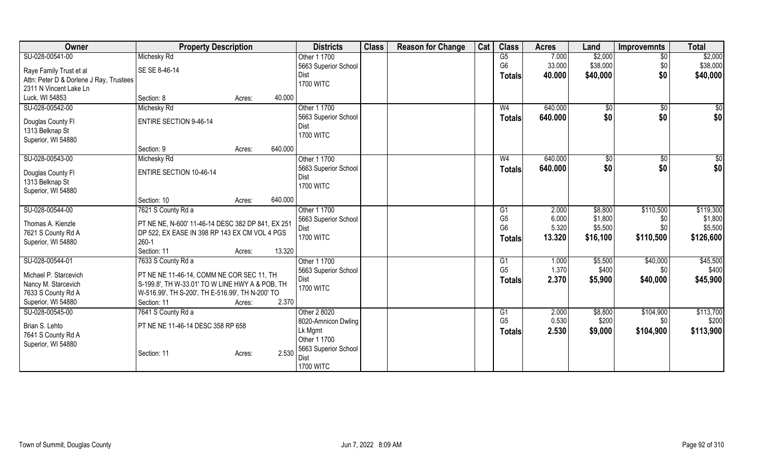| Michesky Rd<br>\$2,000<br>SU-028-00541-00<br>$\overline{G5}$<br>\$2,000<br>Other 1 1700<br>7.000<br>$\overline{50}$<br>G <sub>6</sub><br>33.000<br>\$38,000<br>\$0<br>\$38,000<br>5663 Superior School<br>SE SE 8-46-14<br>Raye Family Trust et al<br>\$40,000<br>\$0<br>\$40,000<br>Dist<br>40.000<br><b>Totals</b><br>Attn: Peter D & Dorlene J Ray, Trustees<br><b>1700 WITC</b><br>2311 N Vincent Lake Ln<br>Luck, WI 54853<br>Section: 8<br>40.000<br>Acres:<br>\$0<br>Other 1 1700<br>640.000<br>SU-028-00542-00<br>Michesky Rd<br>W <sub>4</sub><br>$\sqrt[6]{}$<br>\$0<br>\$0<br>\$0<br>\$0<br>5663 Superior School<br>640.000<br><b>Totals</b><br><b>ENTIRE SECTION 9-46-14</b><br>Douglas County FI<br>Dist<br>1313 Belknap St<br><b>1700 WITC</b><br>Superior, WI 54880<br>640.000<br>Section: 9<br>Acres:<br>SU-028-00543-00<br>Other 1 1700<br>640.000<br>\$0<br>Michesky Rd<br>\$0<br>W <sub>4</sub><br>\$0<br>\$0<br>\$0<br>\$0<br>5663 Superior School<br>640.000<br>Totals<br><b>ENTIRE SECTION 10-46-14</b><br>Douglas County FI<br>Dist<br>1313 Belknap St<br><b>1700 WITC</b><br>Superior, WI 54880<br>640.000<br>Section: 10<br>Acres:<br>SU-028-00544-00<br>Other 1 1700<br>2.000<br>\$8,800<br>\$110,500<br>7621 S County Rd a<br>G1<br>G <sub>5</sub><br>6.000<br>\$1,800<br>5663 Superior School<br>\$0<br>PT NE NE, N-600' 11-46-14 DESC 382 DP 841, EX 251<br>Thomas A. Kienzle<br>G <sub>6</sub><br>5.320<br>\$5,500<br>\$0<br>Dist<br>7621 S County Rd A<br>DP 522, EX EASE IN 398 RP 143 EX CM VOL 4 PGS<br><b>1700 WITC</b><br>\$126,600<br>13.320<br>\$110,500<br>\$16,100<br><b>Totals</b><br>$260 - 1$<br>Superior, WI 54880<br>Section: 11<br>13.320<br>Acres:<br>\$45,500<br>SU-028-00544-01<br>7633 S County Rd a<br>Other 1 1700<br>\$5,500<br>\$40,000<br>G1<br>1.000<br>G <sub>5</sub><br>1.370<br>\$400<br>\$0<br>5663 Superior School<br>Michael P. Starcevich<br>PT NE NE 11-46-14, COMM NE COR SEC 11, TH<br>2.370<br>\$5,900<br>\$40,000<br>\$45,900<br>Dist<br><b>Totals</b><br>Nancy M. Starcevich<br>S-199.8', TH W-33.01' TO W LINE HWY A & POB, TH<br><b>1700 WITC</b><br>7633 S County Rd A<br>W-516.99', TH S-200', TH E-516.99', TH N-200' TO<br>Superior, WI 54880<br>2.370<br>Section: 11<br>Acres:<br>SU-028-00545-00<br>7641 S County Rd a<br>Other 2 8020<br>\$8,800<br>\$104,900<br>G1<br>2.000<br>G <sub>5</sub><br>0.530<br>\$200<br>\$0<br>8020-Amnicon Dwling<br>Brian S. Lehto<br>PT NE NE 11-46-14 DESC 358 RP 658<br>2.530<br>\$104,900<br>Lk Mgmt<br>\$9,000<br><b>Totals</b><br>7641 S County Rd A<br>Other 1 1700<br>Superior, WI 54880<br>5663 Superior School | Owner | <b>Property Description</b>    | <b>Districts</b> | <b>Class</b> | <b>Reason for Change</b> | Cat | <b>Class</b> | <b>Acres</b> | Land | <b>Improvemnts</b> | <b>Total</b> |
|--------------------------------------------------------------------------------------------------------------------------------------------------------------------------------------------------------------------------------------------------------------------------------------------------------------------------------------------------------------------------------------------------------------------------------------------------------------------------------------------------------------------------------------------------------------------------------------------------------------------------------------------------------------------------------------------------------------------------------------------------------------------------------------------------------------------------------------------------------------------------------------------------------------------------------------------------------------------------------------------------------------------------------------------------------------------------------------------------------------------------------------------------------------------------------------------------------------------------------------------------------------------------------------------------------------------------------------------------------------------------------------------------------------------------------------------------------------------------------------------------------------------------------------------------------------------------------------------------------------------------------------------------------------------------------------------------------------------------------------------------------------------------------------------------------------------------------------------------------------------------------------------------------------------------------------------------------------------------------------------------------------------------------------------------------------------------------------------------------------------------------------------------------------------------------------------------------------------------------------------------------------------------------------------------------------------------------------------------------------------------------------------------------------------------------------------------------------------------------------------------------------------------------------------------------------------------------------------------------------------------------------|-------|--------------------------------|------------------|--------------|--------------------------|-----|--------------|--------------|------|--------------------|--------------|
|                                                                                                                                                                                                                                                                                                                                                                                                                                                                                                                                                                                                                                                                                                                                                                                                                                                                                                                                                                                                                                                                                                                                                                                                                                                                                                                                                                                                                                                                                                                                                                                                                                                                                                                                                                                                                                                                                                                                                                                                                                                                                                                                                                                                                                                                                                                                                                                                                                                                                                                                                                                                                                      |       |                                |                  |              |                          |     |              |              |      |                    |              |
|                                                                                                                                                                                                                                                                                                                                                                                                                                                                                                                                                                                                                                                                                                                                                                                                                                                                                                                                                                                                                                                                                                                                                                                                                                                                                                                                                                                                                                                                                                                                                                                                                                                                                                                                                                                                                                                                                                                                                                                                                                                                                                                                                                                                                                                                                                                                                                                                                                                                                                                                                                                                                                      |       |                                |                  |              |                          |     |              |              |      |                    |              |
| \$119,300<br>\$5,500<br>\$200                                                                                                                                                                                                                                                                                                                                                                                                                                                                                                                                                                                                                                                                                                                                                                                                                                                                                                                                                                                                                                                                                                                                                                                                                                                                                                                                                                                                                                                                                                                                                                                                                                                                                                                                                                                                                                                                                                                                                                                                                                                                                                                                                                                                                                                                                                                                                                                                                                                                                                                                                                                                        |       |                                |                  |              |                          |     |              |              |      |                    |              |
|                                                                                                                                                                                                                                                                                                                                                                                                                                                                                                                                                                                                                                                                                                                                                                                                                                                                                                                                                                                                                                                                                                                                                                                                                                                                                                                                                                                                                                                                                                                                                                                                                                                                                                                                                                                                                                                                                                                                                                                                                                                                                                                                                                                                                                                                                                                                                                                                                                                                                                                                                                                                                                      |       |                                |                  |              |                          |     |              |              |      |                    |              |
|                                                                                                                                                                                                                                                                                                                                                                                                                                                                                                                                                                                                                                                                                                                                                                                                                                                                                                                                                                                                                                                                                                                                                                                                                                                                                                                                                                                                                                                                                                                                                                                                                                                                                                                                                                                                                                                                                                                                                                                                                                                                                                                                                                                                                                                                                                                                                                                                                                                                                                                                                                                                                                      |       |                                |                  |              |                          |     |              |              |      |                    |              |
|                                                                                                                                                                                                                                                                                                                                                                                                                                                                                                                                                                                                                                                                                                                                                                                                                                                                                                                                                                                                                                                                                                                                                                                                                                                                                                                                                                                                                                                                                                                                                                                                                                                                                                                                                                                                                                                                                                                                                                                                                                                                                                                                                                                                                                                                                                                                                                                                                                                                                                                                                                                                                                      |       |                                |                  |              |                          |     |              |              |      |                    |              |
|                                                                                                                                                                                                                                                                                                                                                                                                                                                                                                                                                                                                                                                                                                                                                                                                                                                                                                                                                                                                                                                                                                                                                                                                                                                                                                                                                                                                                                                                                                                                                                                                                                                                                                                                                                                                                                                                                                                                                                                                                                                                                                                                                                                                                                                                                                                                                                                                                                                                                                                                                                                                                                      |       |                                |                  |              |                          |     |              |              |      |                    |              |
|                                                                                                                                                                                                                                                                                                                                                                                                                                                                                                                                                                                                                                                                                                                                                                                                                                                                                                                                                                                                                                                                                                                                                                                                                                                                                                                                                                                                                                                                                                                                                                                                                                                                                                                                                                                                                                                                                                                                                                                                                                                                                                                                                                                                                                                                                                                                                                                                                                                                                                                                                                                                                                      |       |                                |                  |              |                          |     |              |              |      |                    |              |
|                                                                                                                                                                                                                                                                                                                                                                                                                                                                                                                                                                                                                                                                                                                                                                                                                                                                                                                                                                                                                                                                                                                                                                                                                                                                                                                                                                                                                                                                                                                                                                                                                                                                                                                                                                                                                                                                                                                                                                                                                                                                                                                                                                                                                                                                                                                                                                                                                                                                                                                                                                                                                                      |       |                                |                  |              |                          |     |              |              |      |                    |              |
|                                                                                                                                                                                                                                                                                                                                                                                                                                                                                                                                                                                                                                                                                                                                                                                                                                                                                                                                                                                                                                                                                                                                                                                                                                                                                                                                                                                                                                                                                                                                                                                                                                                                                                                                                                                                                                                                                                                                                                                                                                                                                                                                                                                                                                                                                                                                                                                                                                                                                                                                                                                                                                      |       |                                |                  |              |                          |     |              |              |      |                    |              |
|                                                                                                                                                                                                                                                                                                                                                                                                                                                                                                                                                                                                                                                                                                                                                                                                                                                                                                                                                                                                                                                                                                                                                                                                                                                                                                                                                                                                                                                                                                                                                                                                                                                                                                                                                                                                                                                                                                                                                                                                                                                                                                                                                                                                                                                                                                                                                                                                                                                                                                                                                                                                                                      |       |                                |                  |              |                          |     |              |              |      |                    |              |
|                                                                                                                                                                                                                                                                                                                                                                                                                                                                                                                                                                                                                                                                                                                                                                                                                                                                                                                                                                                                                                                                                                                                                                                                                                                                                                                                                                                                                                                                                                                                                                                                                                                                                                                                                                                                                                                                                                                                                                                                                                                                                                                                                                                                                                                                                                                                                                                                                                                                                                                                                                                                                                      |       |                                |                  |              |                          |     |              |              |      |                    |              |
|                                                                                                                                                                                                                                                                                                                                                                                                                                                                                                                                                                                                                                                                                                                                                                                                                                                                                                                                                                                                                                                                                                                                                                                                                                                                                                                                                                                                                                                                                                                                                                                                                                                                                                                                                                                                                                                                                                                                                                                                                                                                                                                                                                                                                                                                                                                                                                                                                                                                                                                                                                                                                                      |       |                                |                  |              |                          |     |              |              |      |                    |              |
|                                                                                                                                                                                                                                                                                                                                                                                                                                                                                                                                                                                                                                                                                                                                                                                                                                                                                                                                                                                                                                                                                                                                                                                                                                                                                                                                                                                                                                                                                                                                                                                                                                                                                                                                                                                                                                                                                                                                                                                                                                                                                                                                                                                                                                                                                                                                                                                                                                                                                                                                                                                                                                      |       |                                |                  |              |                          |     |              |              |      |                    |              |
|                                                                                                                                                                                                                                                                                                                                                                                                                                                                                                                                                                                                                                                                                                                                                                                                                                                                                                                                                                                                                                                                                                                                                                                                                                                                                                                                                                                                                                                                                                                                                                                                                                                                                                                                                                                                                                                                                                                                                                                                                                                                                                                                                                                                                                                                                                                                                                                                                                                                                                                                                                                                                                      |       |                                |                  |              |                          |     |              |              |      |                    |              |
| \$1,800<br>\$400<br>\$113,700<br>\$113,900                                                                                                                                                                                                                                                                                                                                                                                                                                                                                                                                                                                                                                                                                                                                                                                                                                                                                                                                                                                                                                                                                                                                                                                                                                                                                                                                                                                                                                                                                                                                                                                                                                                                                                                                                                                                                                                                                                                                                                                                                                                                                                                                                                                                                                                                                                                                                                                                                                                                                                                                                                                           |       |                                |                  |              |                          |     |              |              |      |                    |              |
|                                                                                                                                                                                                                                                                                                                                                                                                                                                                                                                                                                                                                                                                                                                                                                                                                                                                                                                                                                                                                                                                                                                                                                                                                                                                                                                                                                                                                                                                                                                                                                                                                                                                                                                                                                                                                                                                                                                                                                                                                                                                                                                                                                                                                                                                                                                                                                                                                                                                                                                                                                                                                                      |       |                                |                  |              |                          |     |              |              |      |                    |              |
|                                                                                                                                                                                                                                                                                                                                                                                                                                                                                                                                                                                                                                                                                                                                                                                                                                                                                                                                                                                                                                                                                                                                                                                                                                                                                                                                                                                                                                                                                                                                                                                                                                                                                                                                                                                                                                                                                                                                                                                                                                                                                                                                                                                                                                                                                                                                                                                                                                                                                                                                                                                                                                      |       |                                |                  |              |                          |     |              |              |      |                    |              |
|                                                                                                                                                                                                                                                                                                                                                                                                                                                                                                                                                                                                                                                                                                                                                                                                                                                                                                                                                                                                                                                                                                                                                                                                                                                                                                                                                                                                                                                                                                                                                                                                                                                                                                                                                                                                                                                                                                                                                                                                                                                                                                                                                                                                                                                                                                                                                                                                                                                                                                                                                                                                                                      |       |                                |                  |              |                          |     |              |              |      |                    |              |
|                                                                                                                                                                                                                                                                                                                                                                                                                                                                                                                                                                                                                                                                                                                                                                                                                                                                                                                                                                                                                                                                                                                                                                                                                                                                                                                                                                                                                                                                                                                                                                                                                                                                                                                                                                                                                                                                                                                                                                                                                                                                                                                                                                                                                                                                                                                                                                                                                                                                                                                                                                                                                                      |       |                                |                  |              |                          |     |              |              |      |                    |              |
|                                                                                                                                                                                                                                                                                                                                                                                                                                                                                                                                                                                                                                                                                                                                                                                                                                                                                                                                                                                                                                                                                                                                                                                                                                                                                                                                                                                                                                                                                                                                                                                                                                                                                                                                                                                                                                                                                                                                                                                                                                                                                                                                                                                                                                                                                                                                                                                                                                                                                                                                                                                                                                      |       |                                |                  |              |                          |     |              |              |      |                    |              |
|                                                                                                                                                                                                                                                                                                                                                                                                                                                                                                                                                                                                                                                                                                                                                                                                                                                                                                                                                                                                                                                                                                                                                                                                                                                                                                                                                                                                                                                                                                                                                                                                                                                                                                                                                                                                                                                                                                                                                                                                                                                                                                                                                                                                                                                                                                                                                                                                                                                                                                                                                                                                                                      |       |                                |                  |              |                          |     |              |              |      |                    |              |
|                                                                                                                                                                                                                                                                                                                                                                                                                                                                                                                                                                                                                                                                                                                                                                                                                                                                                                                                                                                                                                                                                                                                                                                                                                                                                                                                                                                                                                                                                                                                                                                                                                                                                                                                                                                                                                                                                                                                                                                                                                                                                                                                                                                                                                                                                                                                                                                                                                                                                                                                                                                                                                      |       |                                |                  |              |                          |     |              |              |      |                    |              |
|                                                                                                                                                                                                                                                                                                                                                                                                                                                                                                                                                                                                                                                                                                                                                                                                                                                                                                                                                                                                                                                                                                                                                                                                                                                                                                                                                                                                                                                                                                                                                                                                                                                                                                                                                                                                                                                                                                                                                                                                                                                                                                                                                                                                                                                                                                                                                                                                                                                                                                                                                                                                                                      |       |                                |                  |              |                          |     |              |              |      |                    |              |
|                                                                                                                                                                                                                                                                                                                                                                                                                                                                                                                                                                                                                                                                                                                                                                                                                                                                                                                                                                                                                                                                                                                                                                                                                                                                                                                                                                                                                                                                                                                                                                                                                                                                                                                                                                                                                                                                                                                                                                                                                                                                                                                                                                                                                                                                                                                                                                                                                                                                                                                                                                                                                                      |       |                                |                  |              |                          |     |              |              |      |                    |              |
|                                                                                                                                                                                                                                                                                                                                                                                                                                                                                                                                                                                                                                                                                                                                                                                                                                                                                                                                                                                                                                                                                                                                                                                                                                                                                                                                                                                                                                                                                                                                                                                                                                                                                                                                                                                                                                                                                                                                                                                                                                                                                                                                                                                                                                                                                                                                                                                                                                                                                                                                                                                                                                      |       |                                |                  |              |                          |     |              |              |      |                    |              |
|                                                                                                                                                                                                                                                                                                                                                                                                                                                                                                                                                                                                                                                                                                                                                                                                                                                                                                                                                                                                                                                                                                                                                                                                                                                                                                                                                                                                                                                                                                                                                                                                                                                                                                                                                                                                                                                                                                                                                                                                                                                                                                                                                                                                                                                                                                                                                                                                                                                                                                                                                                                                                                      |       |                                |                  |              |                          |     |              |              |      |                    |              |
|                                                                                                                                                                                                                                                                                                                                                                                                                                                                                                                                                                                                                                                                                                                                                                                                                                                                                                                                                                                                                                                                                                                                                                                                                                                                                                                                                                                                                                                                                                                                                                                                                                                                                                                                                                                                                                                                                                                                                                                                                                                                                                                                                                                                                                                                                                                                                                                                                                                                                                                                                                                                                                      |       |                                |                  |              |                          |     |              |              |      |                    |              |
|                                                                                                                                                                                                                                                                                                                                                                                                                                                                                                                                                                                                                                                                                                                                                                                                                                                                                                                                                                                                                                                                                                                                                                                                                                                                                                                                                                                                                                                                                                                                                                                                                                                                                                                                                                                                                                                                                                                                                                                                                                                                                                                                                                                                                                                                                                                                                                                                                                                                                                                                                                                                                                      |       |                                |                  |              |                          |     |              |              |      |                    |              |
|                                                                                                                                                                                                                                                                                                                                                                                                                                                                                                                                                                                                                                                                                                                                                                                                                                                                                                                                                                                                                                                                                                                                                                                                                                                                                                                                                                                                                                                                                                                                                                                                                                                                                                                                                                                                                                                                                                                                                                                                                                                                                                                                                                                                                                                                                                                                                                                                                                                                                                                                                                                                                                      |       |                                |                  |              |                          |     |              |              |      |                    |              |
|                                                                                                                                                                                                                                                                                                                                                                                                                                                                                                                                                                                                                                                                                                                                                                                                                                                                                                                                                                                                                                                                                                                                                                                                                                                                                                                                                                                                                                                                                                                                                                                                                                                                                                                                                                                                                                                                                                                                                                                                                                                                                                                                                                                                                                                                                                                                                                                                                                                                                                                                                                                                                                      |       |                                |                  |              |                          |     |              |              |      |                    |              |
|                                                                                                                                                                                                                                                                                                                                                                                                                                                                                                                                                                                                                                                                                                                                                                                                                                                                                                                                                                                                                                                                                                                                                                                                                                                                                                                                                                                                                                                                                                                                                                                                                                                                                                                                                                                                                                                                                                                                                                                                                                                                                                                                                                                                                                                                                                                                                                                                                                                                                                                                                                                                                                      |       |                                |                  |              |                          |     |              |              |      |                    |              |
| Dist                                                                                                                                                                                                                                                                                                                                                                                                                                                                                                                                                                                                                                                                                                                                                                                                                                                                                                                                                                                                                                                                                                                                                                                                                                                                                                                                                                                                                                                                                                                                                                                                                                                                                                                                                                                                                                                                                                                                                                                                                                                                                                                                                                                                                                                                                                                                                                                                                                                                                                                                                                                                                                 |       | 2.530<br>Section: 11<br>Acres: |                  |              |                          |     |              |              |      |                    |              |
| <b>1700 WITC</b>                                                                                                                                                                                                                                                                                                                                                                                                                                                                                                                                                                                                                                                                                                                                                                                                                                                                                                                                                                                                                                                                                                                                                                                                                                                                                                                                                                                                                                                                                                                                                                                                                                                                                                                                                                                                                                                                                                                                                                                                                                                                                                                                                                                                                                                                                                                                                                                                                                                                                                                                                                                                                     |       |                                |                  |              |                          |     |              |              |      |                    |              |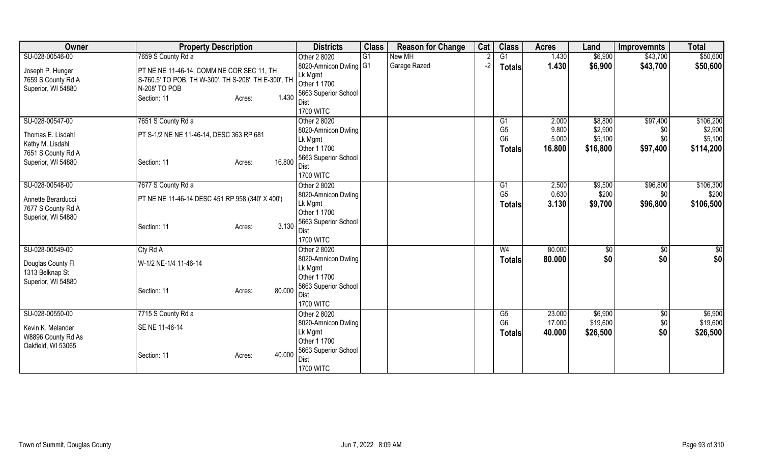| Owner                                                        | <b>Property Description</b>                                                                                        | <b>Districts</b>                                                          | <b>Class</b> | <b>Reason for Change</b> | Cat  | <b>Class</b>                                                        | <b>Acres</b>                      | Land                                      | <b>Improvemnts</b>                 | <b>Total</b>                                 |
|--------------------------------------------------------------|--------------------------------------------------------------------------------------------------------------------|---------------------------------------------------------------------------|--------------|--------------------------|------|---------------------------------------------------------------------|-----------------------------------|-------------------------------------------|------------------------------------|----------------------------------------------|
| SU-028-00546-00                                              | 7659 S County Rd a                                                                                                 | Other 2 8020                                                              | G1           | New MH                   |      | G1                                                                  | 1.430                             | \$6,900                                   | \$43,700                           | \$50,600                                     |
| Joseph P. Hunger<br>7659 S County Rd A<br>Superior, WI 54880 | PT NE NE 11-46-14, COMM NE COR SEC 11, TH<br>S-760.5' TO POB, TH W-300', TH S-208', TH E-300', TH<br>N-208' TO POB | 8020-Amnicon Dwling G1<br>Lk Mgmt<br>Other 1 1700<br>5663 Superior School |              | Garage Razed             | $-2$ | <b>Totals</b>                                                       | 1.430                             | \$6,900                                   | \$43,700                           | \$50,600                                     |
|                                                              | 1.430<br>Section: 11<br>Acres:                                                                                     | Dist<br><b>1700 WITC</b>                                                  |              |                          |      |                                                                     |                                   |                                           |                                    |                                              |
| SU-028-00547-00<br>Thomas E. Lisdahl<br>Kathy M. Lisdahl     | 7651 S County Rd a<br>PT S-1/2 NE NE 11-46-14, DESC 363 RP 681                                                     | Other 2 8020<br>8020-Amnicon Dwling<br>Lk Mgmt<br>Other 1 1700            |              |                          |      | G <sub>1</sub><br>G <sub>5</sub><br>G <sub>6</sub><br><b>Totals</b> | 2.000<br>9.800<br>5.000<br>16.800 | \$8,800<br>\$2,900<br>\$5,100<br>\$16,800 | \$97,400<br>\$0<br>\$0<br>\$97,400 | \$106,200<br>\$2,900<br>\$5,100<br>\$114,200 |
| 7651 S County Rd A<br>Superior, WI 54880                     | 16.800<br>Section: 11<br>Acres:                                                                                    | 5663 Superior School<br>Dist<br><b>1700 WITC</b>                          |              |                          |      |                                                                     |                                   |                                           |                                    |                                              |
| SU-028-00548-00                                              | 7677 S County Rd a                                                                                                 | Other 2 8020                                                              |              |                          |      | G1                                                                  | 2.500                             | \$9,500                                   | \$96,800                           | \$106,300                                    |
| Annette Berarducci<br>7677 S County Rd A                     | PT NE NE 11-46-14 DESC 451 RP 958 (340' X 400')                                                                    | 8020-Amnicon Dwling<br>Lk Mgmt<br>Other 1 1700                            |              |                          |      | G <sub>5</sub><br><b>Totals</b>                                     | 0.630<br>3.130                    | \$200<br>\$9,700                          | \$0<br>\$96,800                    | \$200<br>\$106,500                           |
| Superior, WI 54880                                           | 3.130<br>Section: 11<br>Acres:                                                                                     | 5663 Superior School<br>Dist<br><b>1700 WITC</b>                          |              |                          |      |                                                                     |                                   |                                           |                                    |                                              |
| SU-028-00549-00                                              | Cty Rd A                                                                                                           | Other 2 8020                                                              |              |                          |      | W <sub>4</sub>                                                      | 80.000                            | \$0                                       | $\frac{1}{30}$                     | \$0                                          |
| Douglas County FI<br>1313 Belknap St                         | W-1/2 NE-1/4 11-46-14                                                                                              | 8020-Amnicon Dwling<br>Lk Mgmt<br>Other 1 1700                            |              |                          |      | <b>Totals</b>                                                       | 80.000                            | \$0                                       | \$0                                | \$0                                          |
| Superior, WI 54880                                           | 80.000<br>Section: 11<br>Acres:                                                                                    | 5663 Superior School<br>Dist<br><b>1700 WITC</b>                          |              |                          |      |                                                                     |                                   |                                           |                                    |                                              |
| SU-028-00550-00                                              | 7715 S County Rd a                                                                                                 | Other 2 8020                                                              |              |                          |      | G5                                                                  | 23.000                            | \$6,900                                   | \$0                                | \$6,900                                      |
| Kevin K. Melander<br>W8896 County Rd As                      | SE NE 11-46-14                                                                                                     | 8020-Amnicon Dwling<br>Lk Mgmt<br>Other 1 1700                            |              |                          |      | G <sub>6</sub><br><b>Totals</b>                                     | 17.000<br>40.000                  | \$19,600<br>\$26,500                      | \$0<br>\$0                         | \$19,600<br>\$26,500                         |
| Oakfield, WI 53065                                           | 40.000<br>Section: 11<br>Acres:                                                                                    | 5663 Superior School<br>Dist<br><b>1700 WITC</b>                          |              |                          |      |                                                                     |                                   |                                           |                                    |                                              |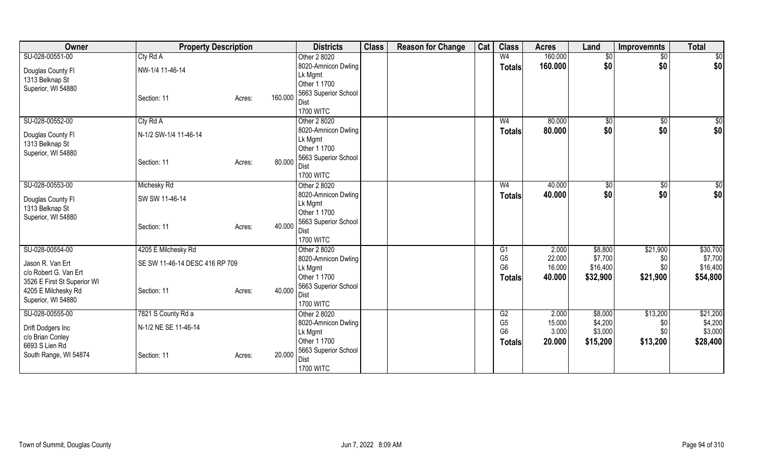| Owner                       | <b>Property Description</b>    |                   | <b>Districts</b>               | <b>Class</b> | <b>Reason for Change</b> | Cat | <b>Class</b>         | <b>Acres</b> | Land     | <b>Improvemnts</b> | <b>Total</b> |
|-----------------------------|--------------------------------|-------------------|--------------------------------|--------------|--------------------------|-----|----------------------|--------------|----------|--------------------|--------------|
| SU-028-00551-00             | Cty Rd A                       |                   | Other 2 8020                   |              |                          |     | W <sub>4</sub>       | 160.000      | \$0      | $\sqrt{$0}$        | $\sqrt{50}$  |
| Douglas County Fl           | NW-1/4 11-46-14                |                   | 8020-Amnicon Dwling            |              |                          |     | <b>Totals</b>        | 160.000      | \$0      | \$0                | \$0          |
| 1313 Belknap St             |                                |                   | Lk Mgmt                        |              |                          |     |                      |              |          |                    |              |
| Superior, WI 54880          |                                |                   | Other 1 1700                   |              |                          |     |                      |              |          |                    |              |
|                             | Section: 11                    | 160.000<br>Acres: | 5663 Superior School           |              |                          |     |                      |              |          |                    |              |
|                             |                                |                   | Dist                           |              |                          |     |                      |              |          |                    |              |
|                             |                                |                   | <b>1700 WITC</b>               |              |                          |     |                      |              |          |                    |              |
| SU-028-00552-00             | Cty Rd A                       |                   | Other 2 8020                   |              |                          |     | W <sub>4</sub>       | 80.000       | \$0      | $\frac{1}{6}$      | \$0          |
| Douglas County Fl           | N-1/2 SW-1/4 11-46-14          |                   | 8020-Amnicon Dwling            |              |                          |     | <b>Totals</b>        | 80.000       | \$0      | \$0                | \$0          |
| 1313 Belknap St             |                                |                   | Lk Mgmt                        |              |                          |     |                      |              |          |                    |              |
| Superior, WI 54880          |                                |                   | Other 1 1700                   |              |                          |     |                      |              |          |                    |              |
|                             | Section: 11                    | 80.000<br>Acres:  | 5663 Superior School           |              |                          |     |                      |              |          |                    |              |
|                             |                                |                   | Dist                           |              |                          |     |                      |              |          |                    |              |
|                             |                                |                   | <b>1700 WITC</b>               |              |                          |     |                      |              |          |                    |              |
| SU-028-00553-00             | Michesky Rd                    |                   | Other 2 8020                   |              |                          |     | W4                   | 40.000       | \$0      | $\sqrt[6]{3}$      | \$0          |
| Douglas County Fl           | SW SW 11-46-14                 |                   | 8020-Amnicon Dwling            |              |                          |     | <b>Totals</b>        | 40.000       | \$0      | \$0                | \$0          |
| 1313 Belknap St             |                                |                   | Lk Mgmt                        |              |                          |     |                      |              |          |                    |              |
| Superior, WI 54880          |                                |                   | Other 1 1700                   |              |                          |     |                      |              |          |                    |              |
|                             | Section: 11                    | 40.000<br>Acres:  | 5663 Superior School           |              |                          |     |                      |              |          |                    |              |
|                             |                                |                   | Dist<br><b>1700 WITC</b>       |              |                          |     |                      |              |          |                    |              |
| SU-028-00554-00             |                                |                   | Other 2 8020                   |              |                          |     |                      | 2.000        | \$8,800  | \$21,900           | \$30,700     |
|                             | 4205 E Milchesky Rd            |                   |                                |              |                          |     | G1<br>G <sub>5</sub> | 22.000       | \$7,700  |                    | \$7,700      |
| Jason R. Van Ert            | SE SW 11-46-14 DESC 416 RP 709 |                   | 8020-Amnicon Dwling<br>Lk Mgmt |              |                          |     | G <sub>6</sub>       | 16.000       | \$16,400 | \$0<br>\$0         | \$16,400     |
| c/o Robert G. Van Ert       |                                |                   | Other 1 1700                   |              |                          |     |                      | 40.000       |          |                    | \$54,800     |
| 3526 E First St Superior WI |                                |                   | 5663 Superior School           |              |                          |     | <b>Totals</b>        |              | \$32,900 | \$21,900           |              |
| 4205 E Milchesky Rd         | Section: 11                    | 40.000<br>Acres:  | Dist                           |              |                          |     |                      |              |          |                    |              |
| Superior, WI 54880          |                                |                   | <b>1700 WITC</b>               |              |                          |     |                      |              |          |                    |              |
| SU-028-00555-00             | 7821 S County Rd a             |                   | Other 2 8020                   |              |                          |     | G2                   | 2.000        | \$8,000  | \$13,200           | \$21,200     |
|                             |                                |                   | 8020-Amnicon Dwling            |              |                          |     | G <sub>5</sub>       | 15.000       | \$4,200  | \$0                | \$4,200      |
| Drift Dodgers Inc           | N-1/2 NE SE 11-46-14           |                   | Lk Mgmt                        |              |                          |     | G <sub>6</sub>       | 3.000        | \$3,000  | \$0                | \$3,000      |
| c/o Brian Conley            |                                |                   | Other 1 1700                   |              |                          |     | Totals               | 20.000       | \$15,200 | \$13,200           | \$28,400     |
| 6693 S Lien Rd              |                                |                   | 5663 Superior School           |              |                          |     |                      |              |          |                    |              |
| South Range, WI 54874       | Section: 11                    | 20.000<br>Acres:  | Dist                           |              |                          |     |                      |              |          |                    |              |
|                             |                                |                   | <b>1700 WITC</b>               |              |                          |     |                      |              |          |                    |              |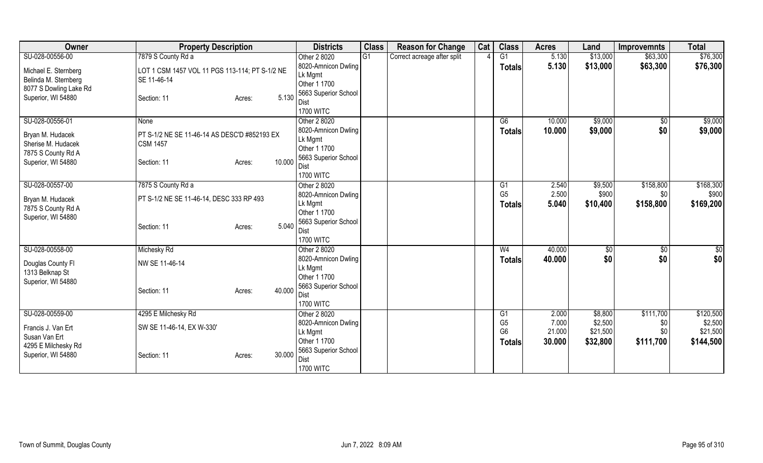| Owner                                  | <b>Property Description</b>                    |        | <b>Districts</b>             | <b>Class</b> | <b>Reason for Change</b>    | Cat | <b>Class</b>   | <b>Acres</b> | Land     | <b>Improvemnts</b> | <b>Total</b> |
|----------------------------------------|------------------------------------------------|--------|------------------------------|--------------|-----------------------------|-----|----------------|--------------|----------|--------------------|--------------|
| SU-028-00556-00                        | 7879 S County Rd a                             |        | Other 2 8020                 | G1           | Correct acreage after split |     | G1             | 5.130        | \$13,000 | \$63,300           | \$76,300     |
| Michael E. Sternberg                   | LOT 1 CSM 1457 VOL 11 PGS 113-114; PT S-1/2 NE |        | 8020-Amnicon Dwling          |              |                             |     | <b>Totals</b>  | 5.130        | \$13,000 | \$63,300           | \$76,300     |
| Belinda M. Sternberg                   | SE 11-46-14                                    |        | Lk Mgmt                      |              |                             |     |                |              |          |                    |              |
| 8077 S Dowling Lake Rd                 |                                                |        | Other 1 1700                 |              |                             |     |                |              |          |                    |              |
| Superior, WI 54880                     | Section: 11<br>Acres:                          | 5.130  | 5663 Superior School         |              |                             |     |                |              |          |                    |              |
|                                        |                                                |        | Dist<br><b>1700 WITC</b>     |              |                             |     |                |              |          |                    |              |
| SU-028-00556-01                        | None                                           |        | Other 2 8020                 |              |                             |     | G6             | 10.000       | \$9,000  | \$0                | \$9,000      |
|                                        |                                                |        | 8020-Amnicon Dwling          |              |                             |     |                | 10.000       | \$9,000  | \$0                | \$9,000      |
| Bryan M. Hudacek                       | PT S-1/2 NE SE 11-46-14 AS DESC'D #852193 EX   |        | Lk Mgmt                      |              |                             |     | <b>Totals</b>  |              |          |                    |              |
| Sherise M. Hudacek                     | <b>CSM 1457</b>                                |        | Other 1 1700                 |              |                             |     |                |              |          |                    |              |
| 7875 S County Rd A                     |                                                |        | 5663 Superior School         |              |                             |     |                |              |          |                    |              |
| Superior, WI 54880                     | Section: 11<br>Acres:                          | 10.000 | Dist                         |              |                             |     |                |              |          |                    |              |
|                                        |                                                |        | <b>1700 WITC</b>             |              |                             |     |                |              |          |                    |              |
| SU-028-00557-00                        | 7875 S County Rd a                             |        | Other 2 8020                 |              |                             |     | G1             | 2.540        | \$9,500  | \$158,800          | \$168,300    |
|                                        | PT S-1/2 NE SE 11-46-14, DESC 333 RP 493       |        | 8020-Amnicon Dwling          |              |                             |     | G <sub>5</sub> | 2.500        | \$900    | \$0                | \$900        |
| Bryan M. Hudacek<br>7875 S County Rd A |                                                |        | Lk Mgmt                      |              |                             |     | <b>Totals</b>  | 5.040        | \$10,400 | \$158,800          | \$169,200    |
| Superior, WI 54880                     |                                                |        | Other 1 1700                 |              |                             |     |                |              |          |                    |              |
|                                        | Section: 11<br>Acres:                          | 5.040  | 5663 Superior School         |              |                             |     |                |              |          |                    |              |
|                                        |                                                |        | Dist                         |              |                             |     |                |              |          |                    |              |
|                                        |                                                |        | <b>1700 WITC</b>             |              |                             |     |                |              |          |                    |              |
| SU-028-00558-00                        | Michesky Rd                                    |        | Other 2 8020                 |              |                             |     | W <sub>4</sub> | 40.000       | \$0      | \$0                | \$0          |
| Douglas County Fl                      | NW SE 11-46-14                                 |        | 8020-Amnicon Dwling          |              |                             |     | <b>Totals</b>  | 40.000       | \$0      | \$0                | \$0          |
| 1313 Belknap St                        |                                                |        | Lk Mgmt<br>Other 1 1700      |              |                             |     |                |              |          |                    |              |
| Superior, WI 54880                     |                                                |        |                              |              |                             |     |                |              |          |                    |              |
|                                        | Section: 11<br>Acres:                          | 40.000 | 5663 Superior School<br>Dist |              |                             |     |                |              |          |                    |              |
|                                        |                                                |        | <b>1700 WITC</b>             |              |                             |     |                |              |          |                    |              |
| SU-028-00559-00                        | 4295 E Milchesky Rd                            |        | Other 2 8020                 |              |                             |     | G1             | 2.000        | \$8,800  | \$111,700          | \$120,500    |
|                                        |                                                |        | 8020-Amnicon Dwling          |              |                             |     | G <sub>5</sub> | 7.000        | \$2,500  | \$0                | \$2,500      |
| Francis J. Van Ert                     | SW SE 11-46-14, EX W-330'                      |        | Lk Mgmt                      |              |                             |     | G <sub>6</sub> | 21.000       | \$21,500 | \$0                | \$21,500     |
| Susan Van Ert                          |                                                |        | Other 1 1700                 |              |                             |     | <b>Totals</b>  | 30.000       | \$32,800 | \$111,700          | \$144,500    |
| 4295 E Milchesky Rd                    |                                                |        | 5663 Superior School         |              |                             |     |                |              |          |                    |              |
| Superior, WI 54880                     | Section: 11<br>Acres:                          | 30.000 | Dist                         |              |                             |     |                |              |          |                    |              |
|                                        |                                                |        | <b>1700 WITC</b>             |              |                             |     |                |              |          |                    |              |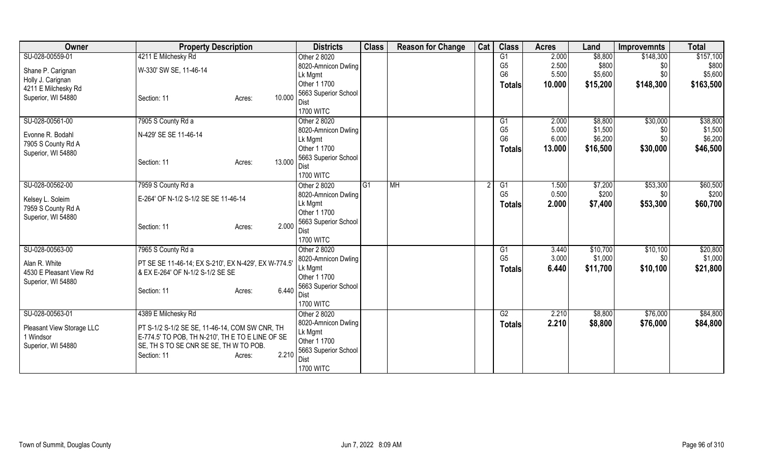| Owner                     | <b>Property Description</b>                          | <b>Districts</b>               | <b>Class</b> | <b>Reason for Change</b> | Cat | <b>Class</b>                     | <b>Acres</b>   | Land               | <b>Improvemnts</b> | <b>Total</b>       |
|---------------------------|------------------------------------------------------|--------------------------------|--------------|--------------------------|-----|----------------------------------|----------------|--------------------|--------------------|--------------------|
| SU-028-00559-01           | 4211 E Milchesky Rd                                  | Other 2 8020                   |              |                          |     | G1                               | 2.000          | \$8,800            | \$148,300          | \$157,100          |
| Shane P. Carignan         | W-330' SW SE, 11-46-14                               | 8020-Amnicon Dwling            |              |                          |     | G <sub>5</sub>                   | 2.500          | \$800              | \$0                | \$800              |
| Holly J. Carignan         |                                                      | Lk Mgmt                        |              |                          |     | G <sub>6</sub>                   | 5.500          | \$5,600            | \$0                | \$5,600            |
| 4211 E Milchesky Rd       |                                                      | Other 1 1700                   |              |                          |     | <b>Totals</b>                    | 10.000         | \$15,200           | \$148,300          | \$163,500          |
| Superior, WI 54880        | 10.000<br>Section: 11<br>Acres:                      | 5663 Superior School           |              |                          |     |                                  |                |                    |                    |                    |
|                           |                                                      | Dist                           |              |                          |     |                                  |                |                    |                    |                    |
|                           |                                                      | <b>1700 WITC</b>               |              |                          |     |                                  |                |                    |                    |                    |
| SU-028-00561-00           | 7905 S County Rd a                                   | Other 2 8020                   |              |                          |     | G <sub>1</sub><br>G <sub>5</sub> | 2.000<br>5.000 | \$8,800<br>\$1,500 | \$30,000           | \$38,800           |
| Evonne R. Bodahl          | N-429' SE SE 11-46-14                                | 8020-Amnicon Dwling            |              |                          |     | G <sub>6</sub>                   | 6.000          | \$6,200            | \$0<br>\$0         | \$1,500<br>\$6,200 |
| 7905 S County Rd A        |                                                      | Lk Mgmt<br>Other 1 1700        |              |                          |     |                                  | 13.000         |                    |                    |                    |
| Superior, WI 54880        |                                                      | 5663 Superior School           |              |                          |     | <b>Totals</b>                    |                | \$16,500           | \$30,000           | \$46,500           |
|                           | 13.000<br>Section: 11<br>Acres:                      | Dist                           |              |                          |     |                                  |                |                    |                    |                    |
|                           |                                                      | <b>1700 WITC</b>               |              |                          |     |                                  |                |                    |                    |                    |
| SU-028-00562-00           | 7959 S County Rd a                                   | Other 2 8020                   | IG1          | <b>MH</b>                |     | G1                               | 1.500          | \$7,200            | \$53,300           | \$60,500           |
|                           |                                                      | 8020-Amnicon Dwling            |              |                          |     | G <sub>5</sub>                   | 0.500          | \$200              | \$0                | \$200              |
| Kelsey L. Soleim          | E-264' OF N-1/2 S-1/2 SE SE 11-46-14                 | Lk Mgmt                        |              |                          |     | <b>Totals</b>                    | 2.000          | \$7,400            | \$53,300           | \$60,700           |
| 7959 S County Rd A        |                                                      | Other 1 1700                   |              |                          |     |                                  |                |                    |                    |                    |
| Superior, WI 54880        | 2.000                                                | 5663 Superior School           |              |                          |     |                                  |                |                    |                    |                    |
|                           | Section: 11<br>Acres:                                | Dist                           |              |                          |     |                                  |                |                    |                    |                    |
|                           |                                                      | <b>1700 WITC</b>               |              |                          |     |                                  |                |                    |                    |                    |
| SU-028-00563-00           | 7965 S County Rd a                                   | Other 2 8020                   |              |                          |     | G <sub>1</sub>                   | 3.440          | \$10,700           | \$10,100           | \$20,800           |
| Alan R. White             | PT SE SE 11-46-14; EX S-210', EX N-429', EX W-774.5' | 8020-Amnicon Dwling            |              |                          |     | G <sub>5</sub>                   | 3.000          | \$1,000            | \$0                | \$1,000            |
| 4530 E Pleasant View Rd   | & EX E-264' OF N-1/2 S-1/2 SE SE                     | Lk Mgmt                        |              |                          |     | Totals                           | 6.440          | \$11,700           | \$10,100           | \$21,800           |
| Superior, WI 54880        |                                                      | Other 1 1700                   |              |                          |     |                                  |                |                    |                    |                    |
|                           | 6.440<br>Section: 11<br>Acres:                       | 5663 Superior School           |              |                          |     |                                  |                |                    |                    |                    |
|                           |                                                      | Dist                           |              |                          |     |                                  |                |                    |                    |                    |
|                           |                                                      | <b>1700 WITC</b>               |              |                          |     |                                  |                |                    |                    |                    |
| SU-028-00563-01           | 4389 E Milchesky Rd                                  | Other 2 8020                   |              |                          |     | G2                               | 2.210          | \$8,800            | \$76,000           | \$84,800           |
| Pleasant View Storage LLC | PT S-1/2 S-1/2 SE SE, 11-46-14, COM SW CNR, TH       | 8020-Amnicon Dwling<br>Lk Mgmt |              |                          |     | <b>Totals</b>                    | 2.210          | \$8,800            | \$76,000           | \$84,800           |
| 1 Windsor                 | E-774.5' TO POB, TH N-210', TH E TO E LINE OF SE     | Other 1 1700                   |              |                          |     |                                  |                |                    |                    |                    |
| Superior, WI 54880        | SE, TH S TO SE CNR SE SE, TH W TO POB.               | 5663 Superior School           |              |                          |     |                                  |                |                    |                    |                    |
|                           | 2.210<br>Section: 11<br>Acres:                       | <b>Dist</b>                    |              |                          |     |                                  |                |                    |                    |                    |
|                           |                                                      | <b>1700 WITC</b>               |              |                          |     |                                  |                |                    |                    |                    |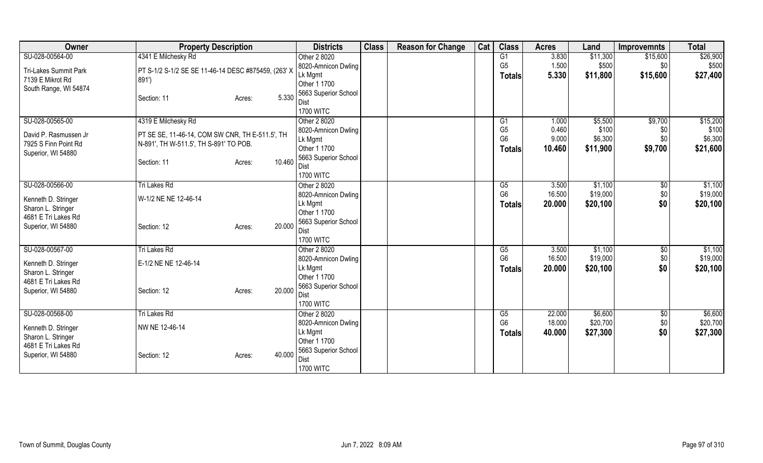| Owner                        | <b>Property Description</b>                         |                  | <b>Districts</b>     | <b>Class</b> | <b>Reason for Change</b> | Cat | <b>Class</b>   | <b>Acres</b> | Land     | <b>Improvemnts</b> | <b>Total</b> |
|------------------------------|-----------------------------------------------------|------------------|----------------------|--------------|--------------------------|-----|----------------|--------------|----------|--------------------|--------------|
| SU-028-00564-00              | 4341 E Milchesky Rd                                 |                  | Other 2 8020         |              |                          |     | G1             | 3.830        | \$11,300 | \$15,600           | \$26,900     |
| <b>Tri-Lakes Summit Park</b> | PT S-1/2 S-1/2 SE SE 11-46-14 DESC #875459, (263' X |                  | 8020-Amnicon Dwling  |              |                          |     | G <sub>5</sub> | 1.500        | \$500    | \$0                | \$500        |
| 7139 E Mikrot Rd             | 891')                                               |                  | Lk Mgmt              |              |                          |     | Totals         | 5.330        | \$11,800 | \$15,600           | \$27,400     |
| South Range, WI 54874        |                                                     |                  | Other 1 1700         |              |                          |     |                |              |          |                    |              |
|                              | Section: 11                                         | 5.330<br>Acres:  | 5663 Superior School |              |                          |     |                |              |          |                    |              |
|                              |                                                     |                  | Dist                 |              |                          |     |                |              |          |                    |              |
|                              |                                                     |                  | <b>1700 WITC</b>     |              |                          |     |                |              |          |                    |              |
| SU-028-00565-00              | 4319 E Milchesky Rd                                 |                  | Other 2 8020         |              |                          |     | G1             | 1.000        | \$5,500  | \$9,700            | \$15,200     |
| David P. Rasmussen Jr.       | PT SE SE, 11-46-14, COM SW CNR, TH E-511.5', TH     |                  | 8020-Amnicon Dwling  |              |                          |     | G <sub>5</sub> | 0.460        | \$100    | \$0                | \$100        |
| 7925 S Finn Point Rd         | N-891', TH W-511.5', TH S-891' TO POB.              |                  | Lk Mgmt              |              |                          |     | G <sub>6</sub> | 9.000        | \$6,300  | \$0                | \$6,300      |
| Superior, WI 54880           |                                                     |                  | Other 1 1700         |              |                          |     | <b>Totals</b>  | 10.460       | \$11,900 | \$9,700            | \$21,600     |
|                              | Section: 11                                         | 10.460<br>Acres: | 5663 Superior School |              |                          |     |                |              |          |                    |              |
|                              |                                                     |                  | Dist                 |              |                          |     |                |              |          |                    |              |
|                              |                                                     |                  | <b>1700 WITC</b>     |              |                          |     |                |              |          |                    |              |
| SU-028-00566-00              | Tri Lakes Rd                                        |                  | Other 2 8020         |              |                          |     | G5             | 3.500        | \$1,100  | \$0                | \$1,100      |
| Kenneth D. Stringer          | W-1/2 NE NE 12-46-14                                |                  | 8020-Amnicon Dwling  |              |                          |     | G <sub>6</sub> | 16.500       | \$19,000 | \$0                | \$19,000     |
| Sharon L. Stringer           |                                                     |                  | Lk Mgmt              |              |                          |     | Totals         | 20.000       | \$20,100 | \$0                | \$20,100     |
| 4681 E Tri Lakes Rd          |                                                     |                  | Other 1 1700         |              |                          |     |                |              |          |                    |              |
| Superior, WI 54880           | Section: 12                                         | 20.000<br>Acres: | 5663 Superior School |              |                          |     |                |              |          |                    |              |
|                              |                                                     |                  | <b>Dist</b>          |              |                          |     |                |              |          |                    |              |
|                              |                                                     |                  | <b>1700 WITC</b>     |              |                          |     |                |              |          |                    |              |
| SU-028-00567-00              | <b>Tri Lakes Rd</b>                                 |                  | Other 2 8020         |              |                          |     | G5             | 3.500        | \$1,100  | $\overline{50}$    | \$1,100      |
| Kenneth D. Stringer          | E-1/2 NE NE 12-46-14                                |                  | 8020-Amnicon Dwling  |              |                          |     | G <sub>6</sub> | 16.500       | \$19,000 | \$0                | \$19,000     |
| Sharon L. Stringer           |                                                     |                  | Lk Mgmt              |              |                          |     | <b>Totals</b>  | 20.000       | \$20,100 | \$0                | \$20,100     |
| 4681 E Tri Lakes Rd          |                                                     |                  | Other 1 1700         |              |                          |     |                |              |          |                    |              |
| Superior, WI 54880           | Section: 12                                         | 20.000<br>Acres: | 5663 Superior School |              |                          |     |                |              |          |                    |              |
|                              |                                                     |                  | Dist                 |              |                          |     |                |              |          |                    |              |
|                              |                                                     |                  | <b>1700 WITC</b>     |              |                          |     |                |              |          |                    |              |
| SU-028-00568-00              | <b>Tri Lakes Rd</b>                                 |                  | Other 2 8020         |              |                          |     | G5             | 22.000       | \$6,600  | \$0                | \$6,600      |
| Kenneth D. Stringer          | NW NE 12-46-14                                      |                  | 8020-Amnicon Dwling  |              |                          |     | G <sub>6</sub> | 18.000       | \$20,700 | \$0                | \$20,700     |
| Sharon L. Stringer           |                                                     |                  | Lk Mgmt              |              |                          |     | <b>Totals</b>  | 40.000       | \$27,300 | \$0                | \$27,300     |
| 4681 E Tri Lakes Rd          |                                                     |                  | Other 1 1700         |              |                          |     |                |              |          |                    |              |
| Superior, WI 54880           | Section: 12                                         | 40.000<br>Acres: | 5663 Superior School |              |                          |     |                |              |          |                    |              |
|                              |                                                     |                  | <b>Dist</b>          |              |                          |     |                |              |          |                    |              |
|                              |                                                     |                  | <b>1700 WITC</b>     |              |                          |     |                |              |          |                    |              |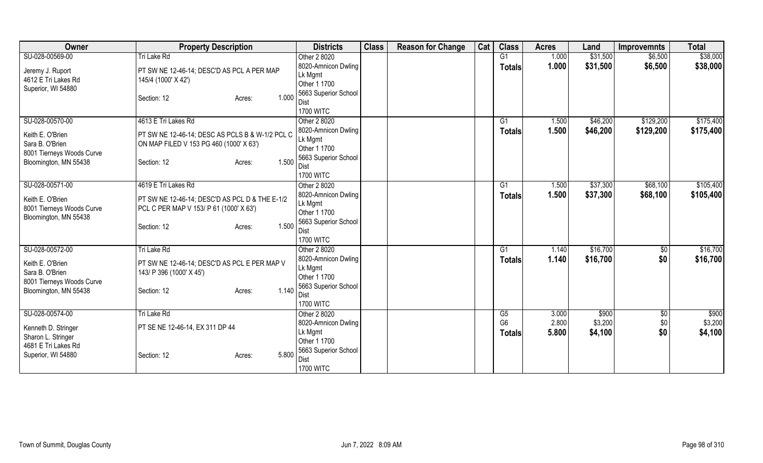| Owner                     | <b>Property Description</b>                     | <b>Districts</b>               | <b>Class</b> | <b>Reason for Change</b> | Cat | <b>Class</b>         | <b>Acres</b>   | Land             | <b>Improvemnts</b> | <b>Total</b>     |
|---------------------------|-------------------------------------------------|--------------------------------|--------------|--------------------------|-----|----------------------|----------------|------------------|--------------------|------------------|
| SU-028-00569-00           | Tri Lake Rd                                     | Other 2 8020                   |              |                          |     | G <sub>1</sub>       | 1.000          | \$31,500         | \$6,500            | \$38,000         |
| Jeremy J. Ruport          | PT SW NE 12-46-14; DESC'D AS PCL A PER MAP      | 8020-Amnicon Dwling            |              |                          |     | <b>Totals</b>        | 1.000          | \$31,500         | \$6,500            | \$38,000         |
| 4612 E Tri Lakes Rd       | 145/4 (1000' X 42')                             | Lk Mgmt                        |              |                          |     |                      |                |                  |                    |                  |
| Superior, WI 54880        |                                                 | Other 1 1700                   |              |                          |     |                      |                |                  |                    |                  |
|                           | 1.000<br>Section: 12<br>Acres:                  | 5663 Superior School           |              |                          |     |                      |                |                  |                    |                  |
|                           |                                                 | Dist                           |              |                          |     |                      |                |                  |                    |                  |
|                           |                                                 | <b>1700 WITC</b>               |              |                          |     |                      |                |                  |                    |                  |
| SU-028-00570-00           | 4613 E Tri Lakes Rd                             | Other 2 8020                   |              |                          |     | G <sub>1</sub>       | 1.500          | \$46,200         | \$129,200          | \$175,400        |
| Keith E. O'Brien          | PT SW NE 12-46-14; DESC AS PCLS B & W-1/2 PCL C | 8020-Amnicon Dwling            |              |                          |     | <b>Totals</b>        | 1.500          | \$46,200         | \$129,200          | \$175,400        |
| Sara B. O'Brien           | ON MAP FILED V 153 PG 460 (1000' X 63')         | Lk Mgmt<br>Other 1 1700        |              |                          |     |                      |                |                  |                    |                  |
| 8001 Tierneys Woods Curve |                                                 | 5663 Superior School           |              |                          |     |                      |                |                  |                    |                  |
| Bloomington, MN 55438     | 1.500<br>Section: 12<br>Acres:                  | Dist                           |              |                          |     |                      |                |                  |                    |                  |
|                           |                                                 | <b>1700 WITC</b>               |              |                          |     |                      |                |                  |                    |                  |
| SU-028-00571-00           | 4619 E Tri Lakes Rd                             | Other 2 8020                   |              |                          |     | G <sub>1</sub>       | 1.500          | \$37,300         | \$68,100           | \$105,400        |
|                           |                                                 | 8020-Amnicon Dwling            |              |                          |     | Totals               | 1.500          | \$37,300         | \$68,100           | \$105,400        |
| Keith E. O'Brien          | PT SW NE 12-46-14; DESC'D AS PCL D & THE E-1/2  | Lk Mgmt                        |              |                          |     |                      |                |                  |                    |                  |
| 8001 Tierneys Woods Curve | PCL C PER MAP V 153/ P 61 (1000' X 63')         | Other 1 1700                   |              |                          |     |                      |                |                  |                    |                  |
| Bloomington, MN 55438     |                                                 | 5663 Superior School           |              |                          |     |                      |                |                  |                    |                  |
|                           | 1.500<br>Section: 12<br>Acres:                  | Dist                           |              |                          |     |                      |                |                  |                    |                  |
|                           |                                                 | <b>1700 WITC</b>               |              |                          |     |                      |                |                  |                    |                  |
| SU-028-00572-00           | Tri Lake Rd                                     | Other 2 8020                   |              |                          |     | G1                   | 1.140          | \$16,700         | \$0                | \$16,700         |
| Keith E. O'Brien          | PT SW NE 12-46-14; DESC'D AS PCL E PER MAP V    | 8020-Amnicon Dwling            |              |                          |     | <b>Totals</b>        | 1.140          | \$16,700         | \$0                | \$16,700         |
| Sara B. O'Brien           | 143/ P 396 (1000' X 45')                        | Lk Mgmt                        |              |                          |     |                      |                |                  |                    |                  |
| 8001 Tierneys Woods Curve |                                                 | Other 1 1700                   |              |                          |     |                      |                |                  |                    |                  |
| Bloomington, MN 55438     | 1.140<br>Section: 12<br>Acres:                  | 5663 Superior School           |              |                          |     |                      |                |                  |                    |                  |
|                           |                                                 | Dist                           |              |                          |     |                      |                |                  |                    |                  |
|                           |                                                 | <b>1700 WITC</b>               |              |                          |     |                      |                |                  |                    |                  |
| SU-028-00574-00           | <b>Tri Lake Rd</b>                              | Other 2 8020                   |              |                          |     | G5<br>G <sub>6</sub> | 3.000<br>2.800 | \$900<br>\$3,200 | \$0<br>\$0         | \$900<br>\$3,200 |
| Kenneth D. Stringer       | PT SE NE 12-46-14, EX 311 DP 44                 | 8020-Amnicon Dwling<br>Lk Mgmt |              |                          |     |                      |                |                  |                    |                  |
| Sharon L. Stringer        |                                                 | Other 1 1700                   |              |                          |     | <b>Totals</b>        | 5.800          | \$4,100          | \$0                | \$4,100          |
| 4681 E Tri Lakes Rd       |                                                 | 5663 Superior School           |              |                          |     |                      |                |                  |                    |                  |
| Superior, WI 54880        | 5.800<br>Section: 12<br>Acres:                  | Dist                           |              |                          |     |                      |                |                  |                    |                  |
|                           |                                                 | <b>1700 WITC</b>               |              |                          |     |                      |                |                  |                    |                  |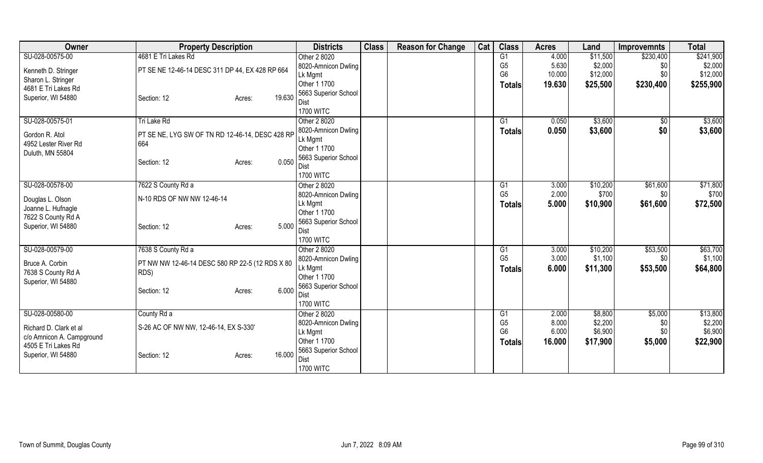| Owner                                            | <b>Property Description</b>                     |        | <b>Districts</b>               | <b>Class</b> | <b>Reason for Change</b> | Cat | <b>Class</b>         | <b>Acres</b>   | Land              | <b>Improvemnts</b> | <b>Total</b> |
|--------------------------------------------------|-------------------------------------------------|--------|--------------------------------|--------------|--------------------------|-----|----------------------|----------------|-------------------|--------------------|--------------|
| SU-028-00575-00                                  | 4681 E Tri Lakes Rd                             |        | Other 2 8020                   |              |                          |     | G <sub>1</sub>       | 4.000          | \$11,500          | \$230,400          | \$241,900    |
| Kenneth D. Stringer                              | PT SE NE 12-46-14 DESC 311 DP 44, EX 428 RP 664 |        | 8020-Amnicon Dwling            |              |                          |     | G <sub>5</sub>       | 5.630          | \$2,000           | \$0                | \$2,000      |
| Sharon L. Stringer                               |                                                 |        | Lk Mgmt                        |              |                          |     | G <sub>6</sub>       | 10.000         | \$12,000          | \$0                | \$12,000     |
| 4681 E Tri Lakes Rd                              |                                                 |        | Other 1 1700                   |              |                          |     | <b>Totals</b>        | 19.630         | \$25,500          | \$230,400          | \$255,900    |
| Superior, WI 54880                               | Section: 12<br>Acres:                           | 19.630 | 5663 Superior School           |              |                          |     |                      |                |                   |                    |              |
|                                                  |                                                 |        | Dist                           |              |                          |     |                      |                |                   |                    |              |
|                                                  |                                                 |        | <b>1700 WITC</b>               |              |                          |     |                      |                |                   |                    |              |
| SU-028-00575-01                                  | Tri Lake Rd                                     |        | Other 2 8020                   |              |                          |     | G1                   | 0.050          | \$3,600           | \$0                | \$3,600      |
| Gordon R. Atol                                   | PT SE NE, LYG SW OF TN RD 12-46-14, DESC 428 RP |        | 8020-Amnicon Dwling            |              |                          |     | <b>Totals</b>        | 0.050          | \$3,600           | \$0                | \$3,600      |
| 4952 Lester River Rd                             | 664                                             |        | Lk Mgmt                        |              |                          |     |                      |                |                   |                    |              |
| Duluth, MN 55804                                 |                                                 |        | Other 1 1700                   |              |                          |     |                      |                |                   |                    |              |
|                                                  | Section: 12<br>Acres:                           | 0.050  | 5663 Superior School           |              |                          |     |                      |                |                   |                    |              |
|                                                  |                                                 |        | <b>Dist</b>                    |              |                          |     |                      |                |                   |                    |              |
|                                                  |                                                 |        | <b>1700 WITC</b>               |              |                          |     |                      |                |                   |                    |              |
| SU-028-00578-00                                  | 7622 S County Rd a                              |        | Other 2 8020                   |              |                          |     | G1<br>G <sub>5</sub> | 3.000<br>2.000 | \$10,200<br>\$700 | \$61,600           | \$71,800     |
| Douglas L. Olson                                 | N-10 RDS OF NW NW 12-46-14                      |        | 8020-Amnicon Dwling<br>Lk Mgmt |              |                          |     |                      |                |                   | \$0                | \$700        |
| Joanne L. Hufnagle                               |                                                 |        | Other 1 1700                   |              |                          |     | <b>Totals</b>        | 5.000          | \$10,900          | \$61,600           | \$72,500     |
| 7622 S County Rd A                               |                                                 |        | 5663 Superior School           |              |                          |     |                      |                |                   |                    |              |
| Superior, WI 54880                               | Section: 12<br>Acres:                           | 5.000  | Dist                           |              |                          |     |                      |                |                   |                    |              |
|                                                  |                                                 |        | <b>1700 WITC</b>               |              |                          |     |                      |                |                   |                    |              |
| SU-028-00579-00                                  | 7638 S County Rd a                              |        | Other 2 8020                   |              |                          |     | G1                   | 3.000          | \$10,200          | \$53,500           | \$63,700     |
|                                                  |                                                 |        | 8020-Amnicon Dwling            |              |                          |     | G <sub>5</sub>       | 3.000          | \$1,100           | \$0                | \$1,100      |
| Bruce A. Corbin                                  | PT NW NW 12-46-14 DESC 580 RP 22-5 (12 RDS X 80 |        | Lk Mgmt                        |              |                          |     | <b>Totals</b>        | 6.000          | \$11,300          | \$53,500           | \$64,800     |
| 7638 S County Rd A                               | RDS)                                            |        | Other 1 1700                   |              |                          |     |                      |                |                   |                    |              |
| Superior, WI 54880                               |                                                 |        | 5663 Superior School           |              |                          |     |                      |                |                   |                    |              |
|                                                  | Section: 12<br>Acres:                           | 6.000  | Dist                           |              |                          |     |                      |                |                   |                    |              |
|                                                  |                                                 |        | <b>1700 WITC</b>               |              |                          |     |                      |                |                   |                    |              |
| SU-028-00580-00                                  | County Rd a                                     |        | Other 2 8020                   |              |                          |     | G1                   | 2.000          | \$8,800           | \$5,000            | \$13,800     |
|                                                  |                                                 |        | 8020-Amnicon Dwling            |              |                          |     | G <sub>5</sub>       | 8.000          | \$2,200           | \$0                | \$2,200      |
| Richard D. Clark et al                           | S-26 AC OF NW NW, 12-46-14, EX S-330'           |        | Lk Mgmt                        |              |                          |     | G <sub>6</sub>       | 6.000          | \$6,900           | \$0                | \$6,900      |
| c/o Amnicon A. Campground<br>4505 E Tri Lakes Rd |                                                 |        | Other 1 1700                   |              |                          |     | <b>Totals</b>        | 16.000         | \$17,900          | \$5,000            | \$22,900     |
| Superior, WI 54880                               |                                                 | 16.000 | 5663 Superior School           |              |                          |     |                      |                |                   |                    |              |
|                                                  | Section: 12<br>Acres:                           |        | Dist                           |              |                          |     |                      |                |                   |                    |              |
|                                                  |                                                 |        | <b>1700 WITC</b>               |              |                          |     |                      |                |                   |                    |              |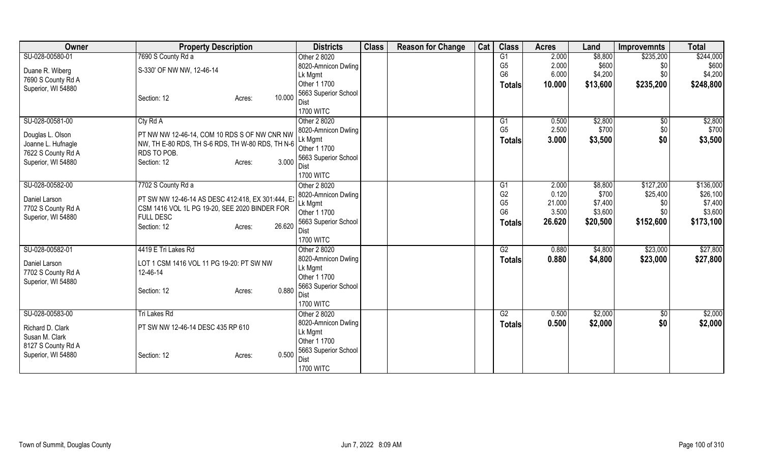| Owner              | <b>Property Description</b>                       | <b>Districts</b>        | <b>Class</b> | <b>Reason for Change</b> | Cat | <b>Class</b>         | <b>Acres</b>   | Land             | <b>Improvemnts</b> | <b>Total</b>          |
|--------------------|---------------------------------------------------|-------------------------|--------------|--------------------------|-----|----------------------|----------------|------------------|--------------------|-----------------------|
| SU-028-00580-01    | 7690 S County Rd a                                | Other 2 8020            |              |                          |     | G1                   | 2.000          | \$8,800          | \$235,200          | \$244,000             |
| Duane R. Wiberg    | S-330' OF NW NW, 12-46-14                         | 8020-Amnicon Dwling     |              |                          |     | G <sub>5</sub>       | 2.000          | \$600            | \$0                | \$600                 |
| 7690 S County Rd A |                                                   | Lk Mgmt                 |              |                          |     | G <sub>6</sub>       | 6.000          | \$4,200          | \$0                | \$4,200               |
| Superior, WI 54880 |                                                   | Other 1 1700            |              |                          |     | <b>Totals</b>        | 10.000         | \$13,600         | \$235,200          | \$248,800             |
|                    | 10.000<br>Section: 12<br>Acres:                   | 5663 Superior School    |              |                          |     |                      |                |                  |                    |                       |
|                    |                                                   | Dist                    |              |                          |     |                      |                |                  |                    |                       |
|                    |                                                   | <b>1700 WITC</b>        |              |                          |     |                      |                |                  |                    |                       |
| SU-028-00581-00    | Cty Rd A                                          | Other 2 8020            |              |                          |     | G1                   | 0.500          | \$2,800          | $\sqrt{6}$         | \$2,800               |
| Douglas L. Olson   | PT NW NW 12-46-14, COM 10 RDS S OF NW CNR NW      | 8020-Amnicon Dwling     |              |                          |     | G <sub>5</sub>       | 2.500          | \$700            | \$0                | \$700                 |
| Joanne L. Hufnagle | NW, TH E-80 RDS, TH S-6 RDS, TH W-80 RDS, TH N-6  | Lk Mgmt                 |              |                          |     | <b>Totals</b>        | 3.000          | \$3,500          | \$0                | \$3,500               |
| 7622 S County Rd A | RDS TO POB.                                       | Other 1 1700            |              |                          |     |                      |                |                  |                    |                       |
| Superior, WI 54880 | 3.000<br>Section: 12<br>Acres:                    | 5663 Superior School    |              |                          |     |                      |                |                  |                    |                       |
|                    |                                                   | Dist                    |              |                          |     |                      |                |                  |                    |                       |
|                    |                                                   | <b>1700 WITC</b>        |              |                          |     |                      |                |                  |                    |                       |
| SU-028-00582-00    | 7702 S County Rd a                                | Other 2 8020            |              |                          |     | G1<br>G <sub>2</sub> | 2.000<br>0.120 | \$8,800<br>\$700 | \$127,200          | \$136,000<br>\$26,100 |
| Daniel Larson      | PT SW NW 12-46-14 AS DESC 412:418, EX 301:444, EX | 8020-Amnicon Dwling     |              |                          |     | G <sub>5</sub>       | 21.000         | \$7,400          | \$25,400<br>\$0    | \$7,400               |
| 7702 S County Rd A | CSM 1416 VOL 1L PG 19-20, SEE 2020 BINDER FOR     | Lk Mgmt<br>Other 1 1700 |              |                          |     | G <sub>6</sub>       | 3.500          | \$3,600          | \$0                | \$3,600               |
| Superior, WI 54880 | <b>FULL DESC</b>                                  | 5663 Superior School    |              |                          |     |                      | 26.620         | \$20,500         | \$152,600          | \$173,100             |
|                    | 26.620<br>Section: 12<br>Acres:                   | Dist                    |              |                          |     | <b>Totals</b>        |                |                  |                    |                       |
|                    |                                                   | <b>1700 WITC</b>        |              |                          |     |                      |                |                  |                    |                       |
| SU-028-00582-01    | 4419 E Tri Lakes Rd                               | Other 2 8020            |              |                          |     | G2                   | 0.880          | \$4,800          | \$23,000           | \$27,800              |
|                    |                                                   | 8020-Amnicon Dwling     |              |                          |     | <b>Totals</b>        | 0.880          | \$4,800          | \$23,000           | \$27,800              |
| Daniel Larson      | LOT 1 CSM 1416 VOL 11 PG 19-20: PT SW NW          | Lk Mgmt                 |              |                          |     |                      |                |                  |                    |                       |
| 7702 S County Rd A | 12-46-14                                          | Other 1 1700            |              |                          |     |                      |                |                  |                    |                       |
| Superior, WI 54880 |                                                   | 5663 Superior School    |              |                          |     |                      |                |                  |                    |                       |
|                    | 0.880<br>Section: 12<br>Acres:                    | Dist                    |              |                          |     |                      |                |                  |                    |                       |
|                    |                                                   | <b>1700 WITC</b>        |              |                          |     |                      |                |                  |                    |                       |
| SU-028-00583-00    | Tri Lakes Rd                                      | Other 2 8020            |              |                          |     | G2                   | 0.500          | \$2,000          | \$0                | \$2,000               |
|                    |                                                   | 8020-Amnicon Dwling     |              |                          |     | <b>Totals</b>        | 0.500          | \$2,000          | \$0                | \$2,000               |
| Richard D. Clark   | PT SW NW 12-46-14 DESC 435 RP 610                 | Lk Mgmt                 |              |                          |     |                      |                |                  |                    |                       |
| Susan M. Clark     |                                                   | Other 1 1700            |              |                          |     |                      |                |                  |                    |                       |
| 8127 S County Rd A |                                                   | 5663 Superior School    |              |                          |     |                      |                |                  |                    |                       |
| Superior, WI 54880 | 0.500<br>Section: 12<br>Acres:                    | Dist                    |              |                          |     |                      |                |                  |                    |                       |
|                    |                                                   | <b>1700 WITC</b>        |              |                          |     |                      |                |                  |                    |                       |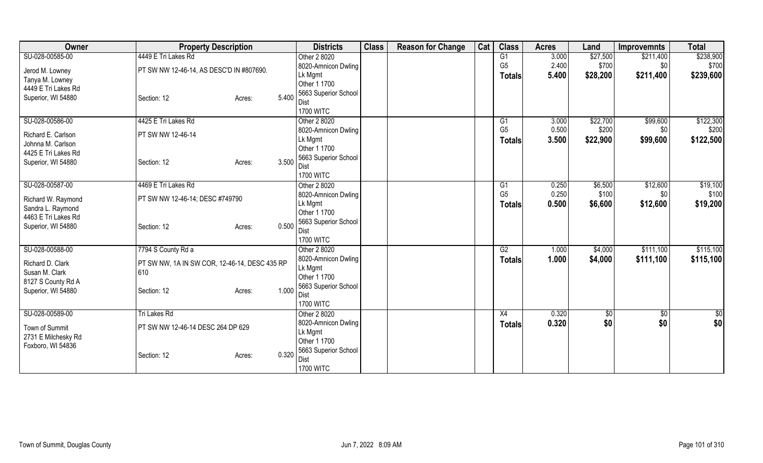| Owner               | <b>Property Description</b>                   |               | <b>Districts</b>     | <b>Class</b> | <b>Reason for Change</b> | Cat | <b>Class</b>   | <b>Acres</b> | Land     | <b>Improvemnts</b> | <b>Total</b> |
|---------------------|-----------------------------------------------|---------------|----------------------|--------------|--------------------------|-----|----------------|--------------|----------|--------------------|--------------|
| SU-028-00585-00     | 4449 E Tri Lakes Rd                           |               | Other 2 8020         |              |                          |     | G1             | 3.000        | \$27,500 | \$211,400          | \$238,900    |
| Jerod M. Lowney     | PT SW NW 12-46-14, AS DESC'D IN #807690.      |               | 8020-Amnicon Dwling  |              |                          |     | G <sub>5</sub> | 2.400        | \$700    | \$0                | \$700        |
| Tanya M. Lowney     |                                               | Lk Mgmt       |                      |              |                          |     | <b>Totals</b>  | 5.400        | \$28,200 | \$211,400          | \$239,600    |
| 4449 E Tri Lakes Rd |                                               |               | Other 1 1700         |              |                          |     |                |              |          |                    |              |
| Superior, WI 54880  | Section: 12<br>Acres:                         | 5.400         | 5663 Superior School |              |                          |     |                |              |          |                    |              |
|                     |                                               | Dist          |                      |              |                          |     |                |              |          |                    |              |
|                     |                                               |               | <b>1700 WITC</b>     |              |                          |     |                |              |          |                    |              |
| SU-028-00586-00     | 4425 E Tri Lakes Rd                           |               | Other 2 8020         |              |                          |     | G1             | 3.000        | \$22,700 | \$99,600           | \$122,300    |
| Richard E. Carlson  | PT SW NW 12-46-14                             |               | 8020-Amnicon Dwling  |              |                          |     | G <sub>5</sub> | 0.500        | \$200    | \$0                | \$200        |
| Johnna M. Carlson   |                                               | Lk Mgmt       |                      |              |                          |     | <b>Totals</b>  | 3.500        | \$22,900 | \$99,600           | \$122,500    |
| 4425 E Tri Lakes Rd |                                               |               | Other 1 1700         |              |                          |     |                |              |          |                    |              |
| Superior, WI 54880  | Section: 12<br>Acres:                         | 3.500         | 5663 Superior School |              |                          |     |                |              |          |                    |              |
|                     |                                               | Dist          | <b>1700 WITC</b>     |              |                          |     |                |              |          |                    |              |
| SU-028-00587-00     | 4469 E Tri Lakes Rd                           |               | Other 2 8020         |              |                          |     | G1             | 0.250        | \$6,500  | \$12,600           | \$19,100     |
|                     |                                               |               | 8020-Amnicon Dwling  |              |                          |     | G <sub>5</sub> | 0.250        | \$100    | \$0                | \$100        |
| Richard W. Raymond  | PT SW NW 12-46-14; DESC #749790               | Lk Mgmt       |                      |              |                          |     |                | 0.500        | \$6,600  | \$12,600           | \$19,200     |
| Sandra L. Raymond   |                                               |               | Other 1 1700         |              |                          |     | Totals         |              |          |                    |              |
| 4463 E Tri Lakes Rd |                                               |               | 5663 Superior School |              |                          |     |                |              |          |                    |              |
| Superior, WI 54880  | Section: 12<br>Acres:                         | 0.500<br>Dist |                      |              |                          |     |                |              |          |                    |              |
|                     |                                               |               | <b>1700 WITC</b>     |              |                          |     |                |              |          |                    |              |
| SU-028-00588-00     | 7794 S County Rd a                            |               | Other 2 8020         |              |                          |     | G2             | 1.000        | \$4,000  | \$111,100          | \$115,100    |
|                     |                                               |               | 8020-Amnicon Dwling  |              |                          |     | Totals         | 1.000        | \$4,000  | \$111,100          | \$115,100    |
| Richard D. Clark    | PT SW NW, 1A IN SW COR, 12-46-14, DESC 435 RP | Lk Mgmt       |                      |              |                          |     |                |              |          |                    |              |
| Susan M. Clark      | 610                                           |               | Other 1 1700         |              |                          |     |                |              |          |                    |              |
| 8127 S County Rd A  |                                               | 1.000         | 5663 Superior School |              |                          |     |                |              |          |                    |              |
| Superior, WI 54880  | Section: 12<br>Acres:                         | <b>Dist</b>   |                      |              |                          |     |                |              |          |                    |              |
|                     |                                               |               | <b>1700 WITC</b>     |              |                          |     |                |              |          |                    |              |
| SU-028-00589-00     | <b>Tri Lakes Rd</b>                           |               | Other 2 8020         |              |                          |     | X4             | 0.320        | \$0      | \$0                | \$0          |
| Town of Summit      | PT SW NW 12-46-14 DESC 264 DP 629             |               | 8020-Amnicon Dwling  |              |                          |     | <b>Totals</b>  | 0.320        | \$0      | \$0                | \$0          |
| 2731 E Milchesky Rd |                                               | Lk Mgmt       |                      |              |                          |     |                |              |          |                    |              |
| Foxboro, WI 54836   |                                               |               | Other 1 1700         |              |                          |     |                |              |          |                    |              |
|                     | Section: 12<br>Acres:                         | 0.320         | 5663 Superior School |              |                          |     |                |              |          |                    |              |
|                     |                                               | Dist          |                      |              |                          |     |                |              |          |                    |              |
|                     |                                               |               | <b>1700 WITC</b>     |              |                          |     |                |              |          |                    |              |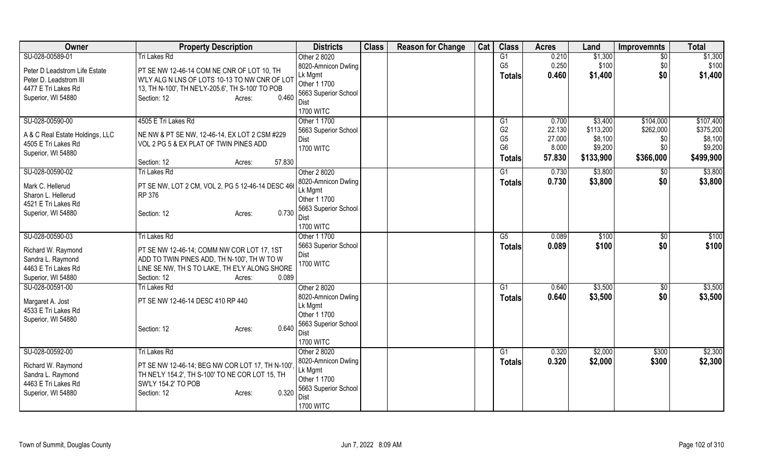| Owner                                    | <b>Property Description</b>                                                                  | <b>Districts</b>        | <b>Class</b> | <b>Reason for Change</b> | Cat | <b>Class</b>           | <b>Acres</b> | Land      | <b>Improvemnts</b> | <b>Total</b> |
|------------------------------------------|----------------------------------------------------------------------------------------------|-------------------------|--------------|--------------------------|-----|------------------------|--------------|-----------|--------------------|--------------|
| SU-028-00589-01                          | <b>Tri Lakes Rd</b>                                                                          | Other 2 8020            |              |                          |     | G1                     | 0.210        | \$1,300   | $\overline{50}$    | \$1,300      |
| Peter D Leadstrom Life Estate            | PT SE NW 12-46-14 COM NE CNR OF LOT 10, TH                                                   | 8020-Amnicon Dwling     |              |                          |     | G <sub>5</sub>         | 0.250        | \$100     | \$0                | \$100        |
| Peter D. Leadstrom III                   | W'LY ALG N LNS OF LOTS 10-13 TO NW CNR OF LOT                                                | Lk Mgmt                 |              |                          |     | <b>Totals</b>          | 0.460        | \$1,400   | \$0                | \$1,400      |
| 4477 E Tri Lakes Rd                      | 13, TH N-100', TH NE'LY-205.6', TH S-100' TO POB                                             | Other 1 1700            |              |                          |     |                        |              |           |                    |              |
| Superior, WI 54880                       | Section: 12<br>0.460<br>Acres:                                                               | 5663 Superior School    |              |                          |     |                        |              |           |                    |              |
|                                          |                                                                                              | Dist                    |              |                          |     |                        |              |           |                    |              |
|                                          |                                                                                              | <b>1700 WITC</b>        |              |                          |     |                        |              |           |                    |              |
| SU-028-00590-00                          | 4505 E Tri Lakes Rd                                                                          | Other 1 1700            |              |                          |     | G1                     | 0.700        | \$3,400   | \$104,000          | \$107,400    |
| A & C Real Estate Holdings, LLC          | NE NW & PT SE NW, 12-46-14, EX LOT 2 CSM #229                                                | 5663 Superior School    |              |                          |     | G <sub>2</sub>         | 22.130       | \$113,200 | \$262,000          | \$375,200    |
| 4505 E Tri Lakes Rd                      | VOL 2 PG 5 & EX PLAT OF TWIN PINES ADD                                                       | Dist                    |              |                          |     | G <sub>5</sub>         | 27.000       | \$8,100   | \$0                | \$8,100      |
| Superior, WI 54880                       |                                                                                              | <b>1700 WITC</b>        |              |                          |     | G <sub>6</sub>         | 8.000        | \$9,200   | \$0                | \$9,200      |
|                                          | 57.830<br>Section: 12<br>Acres:                                                              |                         |              |                          |     | Totals                 | 57.830       | \$133,900 | \$366,000          | \$499,900    |
| SU-028-00590-02                          | <b>Tri Lakes Rd</b>                                                                          | Other 2 8020            |              |                          |     | G1                     | 0.730        | \$3,800   | \$0                | \$3,800      |
|                                          |                                                                                              | 8020-Amnicon Dwling     |              |                          |     | Totals                 | 0.730        | \$3,800   | \$0                | \$3,800      |
| Mark C. Hellerud                         | PT SE NW, LOT 2 CM, VOL 2, PG 5 12-46-14 DESC 466                                            | Lk Mgmt                 |              |                          |     |                        |              |           |                    |              |
| Sharon L. Hellerud                       | RP 376                                                                                       | Other 1 1700            |              |                          |     |                        |              |           |                    |              |
| 4521 E Tri Lakes Rd                      |                                                                                              | 5663 Superior School    |              |                          |     |                        |              |           |                    |              |
| Superior, WI 54880                       | 0.730<br>Section: 12<br>Acres:                                                               | Dist                    |              |                          |     |                        |              |           |                    |              |
|                                          |                                                                                              | <b>1700 WITC</b>        |              |                          |     |                        |              |           |                    |              |
| SU-028-00590-03                          | <b>Tri Lakes Rd</b>                                                                          | Other 1 1700            |              |                          |     | $\overline{\text{G5}}$ | 0.089        | \$100     | $\sqrt{6}$         | \$100        |
|                                          |                                                                                              | 5663 Superior School    |              |                          |     | <b>Totals</b>          | 0.089        | \$100     | \$0                | \$100        |
| Richard W. Raymond                       | PT SE NW 12-46-14; COMM NW COR LOT 17, 1ST                                                   | Dist                    |              |                          |     |                        |              |           |                    |              |
| Sandra L. Raymond<br>4463 E Tri Lakes Rd | ADD TO TWIN PINES ADD, TH N-100', TH W TO W<br>LINE SE NW, TH S TO LAKE, TH E'LY ALONG SHORE | <b>1700 WITC</b>        |              |                          |     |                        |              |           |                    |              |
| Superior, WI 54880                       | 0.089<br>Section: 12                                                                         |                         |              |                          |     |                        |              |           |                    |              |
|                                          | Acres:                                                                                       |                         |              |                          |     |                        |              |           |                    |              |
| SU-028-00591-00                          | <b>Tri Lakes Rd</b>                                                                          | Other 2 8020            |              |                          |     | G1                     | 0.640        | \$3,500   | \$0                | \$3,500      |
| Margaret A. Jost                         | PT SE NW 12-46-14 DESC 410 RP 440                                                            | 8020-Amnicon Dwling     |              |                          |     | <b>Totals</b>          | 0.640        | \$3,500   | \$0                | \$3,500      |
| 4533 E Tri Lakes Rd                      |                                                                                              | Lk Mgmt<br>Other 1 1700 |              |                          |     |                        |              |           |                    |              |
| Superior, WI 54880                       |                                                                                              | 5663 Superior School    |              |                          |     |                        |              |           |                    |              |
|                                          | 0.640<br>Section: 12<br>Acres:                                                               | Dist                    |              |                          |     |                        |              |           |                    |              |
|                                          |                                                                                              | <b>1700 WITC</b>        |              |                          |     |                        |              |           |                    |              |
| SU-028-00592-00                          | <b>Tri Lakes Rd</b>                                                                          | Other 2 8020            |              |                          |     | G1                     | 0.320        | \$2,000   | \$300              | \$2,300      |
|                                          |                                                                                              | 8020-Amnicon Dwling     |              |                          |     |                        |              |           |                    |              |
| Richard W. Raymond                       | PT SE NW 12-46-14; BEG NW COR LOT 17, TH N-100',                                             | Lk Mgmt                 |              |                          |     | <b>Totals</b>          | 0.320        | \$2,000   | \$300              | \$2,300      |
| Sandra L. Raymond                        | TH NE'LY 154.2', TH S-100' TO NE COR LOT 15, TH                                              | Other 1 1700            |              |                          |     |                        |              |           |                    |              |
| 4463 E Tri Lakes Rd                      | SW'LY 154.2' TO POB                                                                          | 5663 Superior School    |              |                          |     |                        |              |           |                    |              |
| Superior, WI 54880                       | 0.320<br>Section: 12<br>Acres:                                                               | Dist                    |              |                          |     |                        |              |           |                    |              |
|                                          |                                                                                              | <b>1700 WITC</b>        |              |                          |     |                        |              |           |                    |              |
|                                          |                                                                                              |                         |              |                          |     |                        |              |           |                    |              |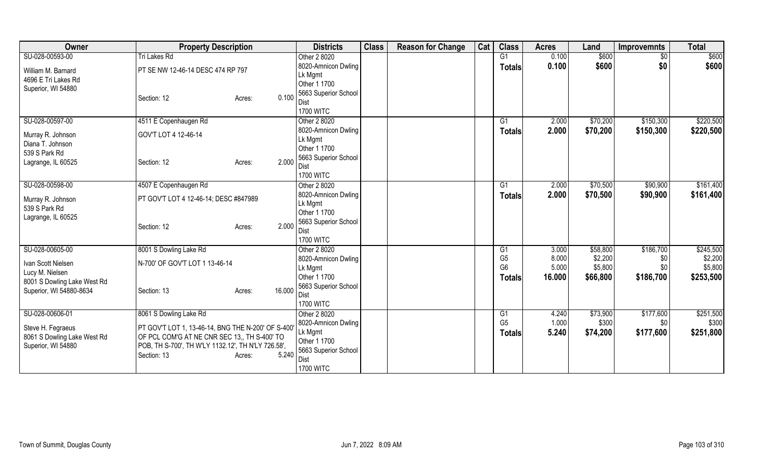| Owner                                                                  | <b>Property Description</b>                                                                                                                                            |                  | <b>Districts</b>                                                                                   | <b>Class</b> | <b>Reason for Change</b> | Cat | <b>Class</b>                     | <b>Acres</b>   | Land               | <b>Improvemnts</b> | <b>Total</b>       |
|------------------------------------------------------------------------|------------------------------------------------------------------------------------------------------------------------------------------------------------------------|------------------|----------------------------------------------------------------------------------------------------|--------------|--------------------------|-----|----------------------------------|----------------|--------------------|--------------------|--------------------|
| SU-028-00593-00                                                        | <b>Tri Lakes Rd</b>                                                                                                                                                    |                  | Other 2 8020                                                                                       |              |                          |     | G1                               | 0.100          | \$600              | $\sqrt{6}$         | \$600              |
| William M. Barnard<br>4696 E Tri Lakes Rd                              | PT SE NW 12-46-14 DESC 474 RP 797                                                                                                                                      |                  | 8020-Amnicon Dwling<br>Lk Mgmt                                                                     |              |                          |     | <b>Totals</b>                    | 0.100          | \$600              | \$0                | \$600              |
| Superior, WI 54880                                                     | Section: 12                                                                                                                                                            | 0.100<br>Acres:  | Other 1 1700<br>5663 Superior School<br>Dist<br><b>1700 WITC</b>                                   |              |                          |     |                                  |                |                    |                    |                    |
| SU-028-00597-00                                                        | 4511 E Copenhaugen Rd                                                                                                                                                  |                  | Other 2 8020                                                                                       |              |                          |     | G1                               | 2.000          | \$70,200           | \$150,300          | \$220,500          |
| Murray R. Johnson<br>Diana T. Johnson                                  | GOV'T LOT 4 12-46-14                                                                                                                                                   |                  | 8020-Amnicon Dwling<br>Lk Mgmt<br>Other 1 1700                                                     |              |                          |     | <b>Totals</b>                    | 2.000          | \$70,200           | \$150,300          | \$220,500          |
| 539 S Park Rd<br>Lagrange, IL 60525                                    | Section: 12                                                                                                                                                            | 2.000<br>Acres:  | 5663 Superior School<br>Dist<br><b>1700 WITC</b>                                                   |              |                          |     |                                  |                |                    |                    |                    |
| SU-028-00598-00                                                        | 4507 E Copenhaugen Rd                                                                                                                                                  |                  | Other 2 8020                                                                                       |              |                          |     | G1                               | 2.000          | \$70,500           | \$90,900           | \$161,400          |
| Murray R. Johnson<br>539 S Park Rd                                     | PT GOV'T LOT 4 12-46-14; DESC #847989                                                                                                                                  |                  | 8020-Amnicon Dwling<br>Lk Mgmt<br>Other 1 1700                                                     |              |                          |     | Totals                           | 2.000          | \$70,500           | \$90,900           | \$161,400          |
| Lagrange, IL 60525                                                     | Section: 12                                                                                                                                                            | 2.000<br>Acres:  | 5663 Superior School<br>Dist<br><b>1700 WITC</b>                                                   |              |                          |     |                                  |                |                    |                    |                    |
| SU-028-00605-00                                                        | 8001 S Dowling Lake Rd                                                                                                                                                 |                  | Other 2 8020                                                                                       |              |                          |     | G1                               | 3.000          | \$58,800           | \$186,700          | \$245,500          |
| Ivan Scott Nielsen<br>Lucy M. Nielsen                                  | N-700' OF GOV'T LOT 1 13-46-14                                                                                                                                         |                  | 8020-Amnicon Dwling<br>Lk Mgmt                                                                     |              |                          |     | G <sub>5</sub><br>G <sub>6</sub> | 8.000<br>5.000 | \$2,200<br>\$5,800 | \$0<br>\$0         | \$2,200<br>\$5,800 |
| 8001 S Dowling Lake West Rd<br>Superior, WI 54880-8634                 | Section: 13                                                                                                                                                            | 16.000<br>Acres: | Other 1 1700<br>5663 Superior School<br>Dist<br><b>1700 WITC</b>                                   |              |                          |     | <b>Totals</b>                    | 16,000         | \$66,800           | \$186,700          | \$253,500          |
| SU-028-00606-01                                                        | 8061 S Dowling Lake Rd                                                                                                                                                 |                  | Other 2 8020                                                                                       |              |                          |     | G1                               | 4.240          | \$73,900           | \$177,600          | \$251,500          |
| Steve H. Fegraeus<br>8061 S Dowling Lake West Rd<br>Superior, WI 54880 | PT GOV'T LOT 1, 13-46-14, BNG THE N-200' OF S-400'<br>OF PCL COM'G AT NE CNR SEC 13, TH S-400' TO<br>POB, TH S-700', TH W'LY 1132.12', TH N'LY 726.58',<br>Section: 13 | 5.240<br>Acres:  | 8020-Amnicon Dwling<br>Lk Mgmt<br>Other 1 1700<br>5663 Superior School<br>Dist<br><b>1700 WITC</b> |              |                          |     | G <sub>5</sub><br>Totals         | 1.000<br>5.240 | \$300<br>\$74,200  | \$0<br>\$177,600   | \$300<br>\$251,800 |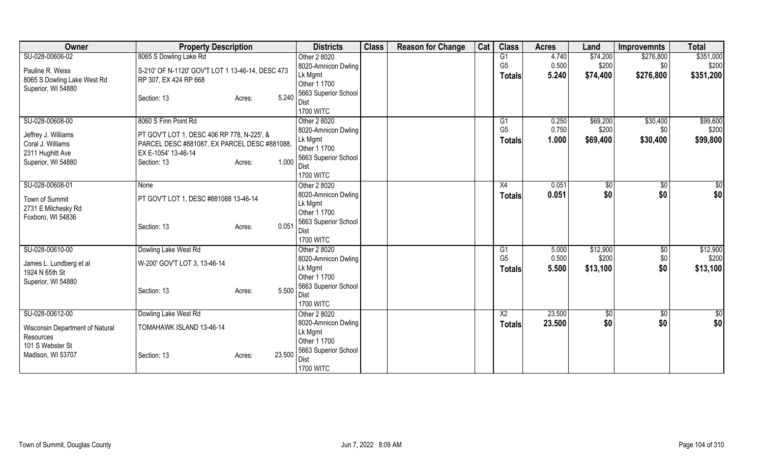| Owner                           | <b>Property Description</b>                      |                  | <b>Districts</b>                     | <b>Class</b> | <b>Reason for Change</b> | Cat | <b>Class</b>   | <b>Acres</b> | Land     | <b>Improvemnts</b> | <b>Total</b> |
|---------------------------------|--------------------------------------------------|------------------|--------------------------------------|--------------|--------------------------|-----|----------------|--------------|----------|--------------------|--------------|
| SU-028-00606-02                 | 8065 S Dowling Lake Rd                           |                  | Other 2 8020                         |              |                          |     | G1             | 4.740        | \$74,200 | \$276,800          | \$351,000    |
| Pauline R. Weiss                | S-210' OF N-1120' GOV'T LOT 1 13-46-14, DESC 473 |                  | 8020-Amnicon Dwling                  |              |                          |     | G <sub>5</sub> | 0.500        | \$200    | \$0                | \$200        |
| 8065 S Dowling Lake West Rd     | RP 307, EX 424 RP 668                            |                  | Lk Mgmt                              |              |                          |     | <b>Totals</b>  | 5.240        | \$74,400 | \$276,800          | \$351,200    |
| Superior, WI 54880              |                                                  |                  | Other 1 1700                         |              |                          |     |                |              |          |                    |              |
|                                 | Section: 13                                      | 5.240<br>Acres:  | 5663 Superior School                 |              |                          |     |                |              |          |                    |              |
|                                 |                                                  |                  | Dist                                 |              |                          |     |                |              |          |                    |              |
|                                 |                                                  |                  | <b>1700 WITC</b>                     |              |                          |     |                |              |          |                    |              |
| SU-028-00608-00                 | 8060 S Finn Point Rd                             |                  | Other 2 8020                         |              |                          |     | G1             | 0.250        | \$69,200 | \$30,400           | \$99,600     |
| Jeffrey J. Williams             | PT GOV'T LOT 1, DESC 406 RP 778, N-225', &       |                  | 8020-Amnicon Dwling                  |              |                          |     | G <sub>5</sub> | 0.750        | \$200    | \$0                | \$200        |
| Coral J. Williams               | PARCEL DESC #881087, EX PARCEL DESC #881088,     |                  | Lk Mgmt<br>Other 1 1700              |              |                          |     | <b>Totals</b>  | 1.000        | \$69,400 | \$30,400           | \$99,800     |
| 2311 Hughitt Ave                | EX E-1054' 13-46-14                              |                  | 5663 Superior School                 |              |                          |     |                |              |          |                    |              |
| Superior, WI 54880              | Section: 13                                      | 1.000<br>Acres:  | Dist                                 |              |                          |     |                |              |          |                    |              |
|                                 |                                                  |                  | <b>1700 WITC</b>                     |              |                          |     |                |              |          |                    |              |
| SU-028-00608-01                 | None                                             |                  | Other 2 8020                         |              |                          |     | X4             | 0.051        | \$0      | $\sqrt[6]{3}$      | \$0          |
|                                 |                                                  |                  | 8020-Amnicon Dwling                  |              |                          |     | <b>Totals</b>  | 0.051        | \$0      | \$0                | \$0          |
| Town of Summit                  | PT GOV'T LOT 1, DESC #881088 13-46-14            |                  | Lk Mgmt                              |              |                          |     |                |              |          |                    |              |
| 2731 E Milchesky Rd             |                                                  |                  | Other 1 1700                         |              |                          |     |                |              |          |                    |              |
| Foxboro, WI 54836               |                                                  |                  | 5663 Superior School                 |              |                          |     |                |              |          |                    |              |
|                                 | Section: 13                                      | 0.051<br>Acres:  | Dist                                 |              |                          |     |                |              |          |                    |              |
|                                 |                                                  |                  | <b>1700 WITC</b>                     |              |                          |     |                |              |          |                    |              |
| SU-028-00610-00                 | Dowling Lake West Rd                             |                  | Other 2 8020                         |              |                          |     | G1             | 5.000        | \$12,900 | $\sqrt{6}$         | \$12,900     |
| James L. Lundberg et al         | W-200' GOV'T LOT 3, 13-46-14                     |                  | 8020-Amnicon Dwling                  |              |                          |     | G <sub>5</sub> | 0.500        | \$200    | \$0                | \$200        |
| 1924 N 65th St                  |                                                  |                  | Lk Mgmt                              |              |                          |     | <b>Totals</b>  | 5.500        | \$13,100 | \$0                | \$13,100     |
| Superior, WI 54880              |                                                  |                  | Other 1 1700                         |              |                          |     |                |              |          |                    |              |
|                                 | Section: 13                                      | 5.500<br>Acres:  | 5663 Superior School                 |              |                          |     |                |              |          |                    |              |
|                                 |                                                  |                  | Dist                                 |              |                          |     |                |              |          |                    |              |
|                                 |                                                  |                  | <b>1700 WITC</b>                     |              |                          |     |                |              |          |                    |              |
| SU-028-00612-00                 | Dowling Lake West Rd                             |                  | Other 2 8020                         |              |                          |     | X <sub>2</sub> | 23.500       | \$0      | \$0                | \$0          |
| Wisconsin Department of Natural | TOMAHAWK ISLAND 13-46-14                         |                  | 8020-Amnicon Dwling                  |              |                          |     | <b>Totals</b>  | 23.500       | \$0      | \$0                | \$0          |
| Resources                       |                                                  |                  | Lk Mgmt                              |              |                          |     |                |              |          |                    |              |
| 101 S Webster St                |                                                  |                  | Other 1 1700<br>5663 Superior School |              |                          |     |                |              |          |                    |              |
| Madison, WI 53707               | Section: 13                                      | 23.500<br>Acres: | Dist                                 |              |                          |     |                |              |          |                    |              |
|                                 |                                                  |                  | <b>1700 WITC</b>                     |              |                          |     |                |              |          |                    |              |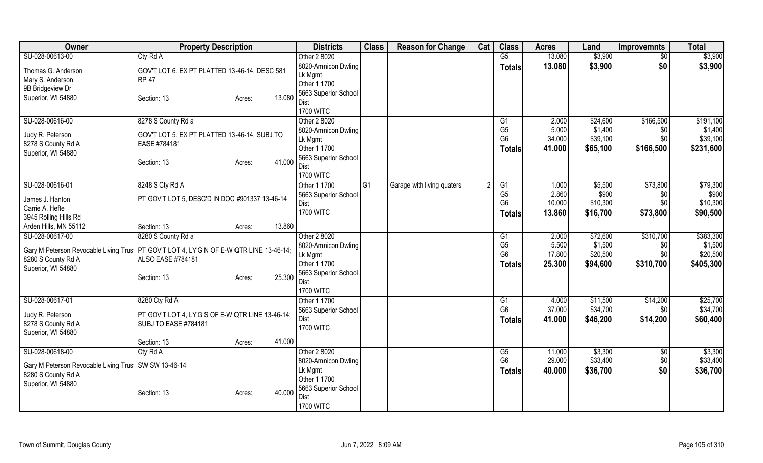| Owner                                                                                    | <b>Property Description</b>                      |                  | <b>Districts</b>     | <b>Class</b>   | <b>Reason for Change</b>   | Cat | <b>Class</b>    | <b>Acres</b> | Land     | <b>Improvemnts</b> | <b>Total</b> |
|------------------------------------------------------------------------------------------|--------------------------------------------------|------------------|----------------------|----------------|----------------------------|-----|-----------------|--------------|----------|--------------------|--------------|
| SU-028-00613-00                                                                          | Cty Rd A                                         |                  | Other 2 8020         |                |                            |     | $\overline{G5}$ | 13.080       | \$3,900  | $\overline{50}$    | \$3,900      |
| Thomas G. Anderson                                                                       | GOV'T LOT 6, EX PT PLATTED 13-46-14, DESC 581    |                  | 8020-Amnicon Dwling  |                |                            |     | <b>Totals</b>   | 13.080       | \$3,900  | \$0                | \$3,900      |
| Mary S. Anderson                                                                         | <b>RP 47</b>                                     |                  | Lk Mgmt              |                |                            |     |                 |              |          |                    |              |
| 9B Bridgeview Dr                                                                         |                                                  |                  | Other 1 1700         |                |                            |     |                 |              |          |                    |              |
| Superior, WI 54880                                                                       |                                                  | 13.080           | 5663 Superior School |                |                            |     |                 |              |          |                    |              |
|                                                                                          | Section: 13                                      | Acres:           | Dist                 |                |                            |     |                 |              |          |                    |              |
|                                                                                          |                                                  |                  | <b>1700 WITC</b>     |                |                            |     |                 |              |          |                    |              |
| SU-028-00616-00                                                                          | 8278 S County Rd a                               |                  | Other 2 8020         |                |                            |     | G1              | 2.000        | \$24,600 | \$166,500          | \$191,100    |
|                                                                                          |                                                  |                  | 8020-Amnicon Dwling  |                |                            |     | G <sub>5</sub>  | 5.000        | \$1,400  | \$0                | \$1,400      |
| Judy R. Peterson                                                                         | GOV'T LOT 5, EX PT PLATTED 13-46-14, SUBJ TO     |                  | Lk Mgmt              |                |                            |     | G <sub>6</sub>  | 34.000       | \$39,100 | \$0                | \$39,100     |
| 8278 S County Rd A                                                                       | EASE #784181                                     |                  | Other 1 1700         |                |                            |     | Totals          | 41.000       | \$65,100 | \$166,500          | \$231,600    |
| Superior, WI 54880                                                                       |                                                  |                  | 5663 Superior School |                |                            |     |                 |              |          |                    |              |
|                                                                                          | Section: 13                                      | 41.000<br>Acres: | Dist                 |                |                            |     |                 |              |          |                    |              |
|                                                                                          |                                                  |                  | <b>1700 WITC</b>     |                |                            |     |                 |              |          |                    |              |
| SU-028-00616-01                                                                          | 8248 S Cty Rd A                                  |                  | Other 1 1700         | G <sub>1</sub> | Garage with living quaters |     | G1              | 1.000        | \$5,500  | \$73,800           | \$79,300     |
|                                                                                          |                                                  |                  | 5663 Superior School |                |                            |     | G <sub>5</sub>  | 2.860        | \$900    | \$0                | \$900        |
| James J. Hanton                                                                          | PT GOV'T LOT 5, DESC'D IN DOC #901337 13-46-14   |                  | Dist                 |                |                            |     | G <sub>6</sub>  | 10.000       | \$10,300 | \$0                | \$10,300     |
| Carrie A. Hefte                                                                          |                                                  |                  | <b>1700 WITC</b>     |                |                            |     | <b>Totals</b>   | 13.860       | \$16,700 | \$73,800           | \$90,500     |
| 3945 Rolling Hills Rd                                                                    |                                                  |                  |                      |                |                            |     |                 |              |          |                    |              |
| Arden Hills, MN 55112                                                                    | Section: 13                                      | 13.860<br>Acres: |                      |                |                            |     |                 |              |          |                    |              |
| SU-028-00617-00                                                                          | 8280 S County Rd a                               |                  | Other 2 8020         |                |                            |     | G1              | 2.000        | \$72,600 | \$310,700          | \$383,300    |
| Gary M Peterson Revocable Living Trus   PT GOV'T LOT 4, LY'G N OF E-W QTR LINE 13-46-14; |                                                  |                  | 8020-Amnicon Dwling  |                |                            |     | G <sub>5</sub>  | 5.500        | \$1,500  | \$0                | \$1,500      |
| 8280 S County Rd A                                                                       | ALSO EASE #784181                                |                  | Lk Mgmt              |                |                            |     | G <sub>6</sub>  | 17.800       | \$20,500 | \$0                | \$20,500     |
| Superior, WI 54880                                                                       |                                                  |                  | Other 1 1700         |                |                            |     | <b>Totals</b>   | 25.300       | \$94,600 | \$310,700          | \$405,300    |
|                                                                                          | Section: 13                                      | 25.300<br>Acres: | 5663 Superior School |                |                            |     |                 |              |          |                    |              |
|                                                                                          |                                                  |                  | Dist                 |                |                            |     |                 |              |          |                    |              |
|                                                                                          |                                                  |                  | <b>1700 WITC</b>     |                |                            |     |                 |              |          |                    |              |
| SU-028-00617-01                                                                          | 8280 Cty Rd A                                    |                  | Other 1 1700         |                |                            |     | G1              | 4.000        | \$11,500 | \$14,200           | \$25,700     |
| Judy R. Peterson                                                                         | PT GOV'T LOT 4, LY'G S OF E-W QTR LINE 13-46-14; |                  | 5663 Superior School |                |                            |     | G <sub>6</sub>  | 37.000       | \$34,700 | \$0                | \$34,700     |
|                                                                                          |                                                  |                  | Dist                 |                |                            |     | <b>Totals</b>   | 41.000       | \$46,200 | \$14,200           | \$60,400     |
| 8278 S County Rd A                                                                       | <b>SUBJ TO EASE #784181</b>                      |                  | <b>1700 WITC</b>     |                |                            |     |                 |              |          |                    |              |
| Superior, WI 54880                                                                       |                                                  | 41.000           |                      |                |                            |     |                 |              |          |                    |              |
|                                                                                          | Section: 13                                      | Acres:           |                      |                |                            |     |                 |              |          |                    |              |
| SU-028-00618-00                                                                          | Cty Rd A                                         |                  | Other 2 8020         |                |                            |     | G5              | 11.000       | \$3,300  | \$0                | \$3,300      |
| Gary M Peterson Revocable Living Trus   SW SW 13-46-14                                   |                                                  |                  | 8020-Amnicon Dwling  |                |                            |     | G <sub>6</sub>  | 29.000       | \$33,400 | \$0                | \$33,400     |
| 8280 S County Rd A                                                                       |                                                  |                  | Lk Mgmt              |                |                            |     | <b>Totals</b>   | 40.000       | \$36,700 | \$0                | \$36,700     |
| Superior, WI 54880                                                                       |                                                  |                  | Other 1 1700         |                |                            |     |                 |              |          |                    |              |
|                                                                                          | Section: 13                                      | 40.000<br>Acres: | 5663 Superior School |                |                            |     |                 |              |          |                    |              |
|                                                                                          |                                                  |                  | Dist                 |                |                            |     |                 |              |          |                    |              |
|                                                                                          |                                                  |                  | <b>1700 WITC</b>     |                |                            |     |                 |              |          |                    |              |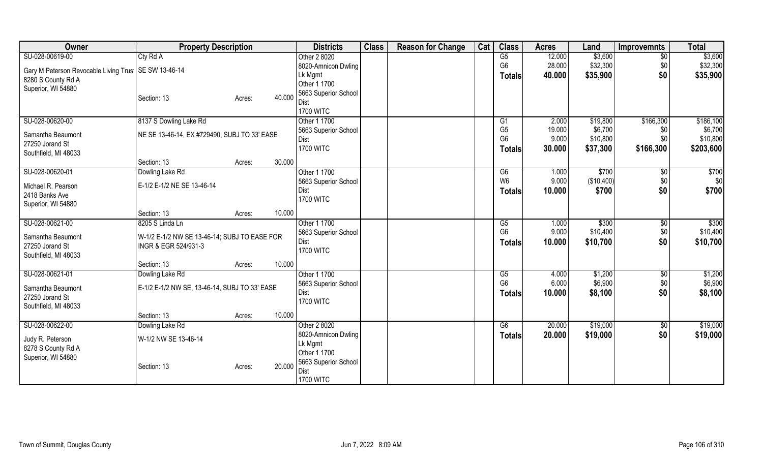| Owner                                                  | <b>Property Description</b>                   |        |        | <b>Districts</b>     | <b>Class</b> | <b>Reason for Change</b> | Cat | <b>Class</b>   | <b>Acres</b> | Land       | <b>Improvemnts</b> | <b>Total</b> |
|--------------------------------------------------------|-----------------------------------------------|--------|--------|----------------------|--------------|--------------------------|-----|----------------|--------------|------------|--------------------|--------------|
| SU-028-00619-00                                        | Cty Rd A                                      |        |        | Other 2 8020         |              |                          |     | G5             | 12.000       | \$3,600    | $\overline{50}$    | \$3,600      |
| Gary M Peterson Revocable Living Trus   SE SW 13-46-14 |                                               |        |        | 8020-Amnicon Dwling  |              |                          |     | G <sub>6</sub> | 28.000       | \$32,300   | \$0                | \$32,300     |
| 8280 S County Rd A                                     |                                               |        |        | Lk Mgmt              |              |                          |     | Totals         | 40.000       | \$35,900   | \$0                | \$35,900     |
| Superior, WI 54880                                     |                                               |        |        | Other 1 1700         |              |                          |     |                |              |            |                    |              |
|                                                        | Section: 13                                   | Acres: | 40.000 | 5663 Superior School |              |                          |     |                |              |            |                    |              |
|                                                        |                                               |        |        | Dist                 |              |                          |     |                |              |            |                    |              |
|                                                        |                                               |        |        | <b>1700 WITC</b>     |              |                          |     |                |              |            |                    |              |
| SU-028-00620-00                                        | 8137 S Dowling Lake Rd                        |        |        | Other 1 1700         |              |                          |     | G1             | 2.000        | \$19,800   | \$166,300          | \$186,100    |
| Samantha Beaumont                                      | NE SE 13-46-14, EX #729490, SUBJ TO 33' EASE  |        |        | 5663 Superior School |              |                          |     | G <sub>5</sub> | 19.000       | \$6,700    | \$0                | \$6,700      |
| 27250 Jorand St                                        |                                               |        |        | Dist                 |              |                          |     | G <sub>6</sub> | 9.000        | \$10,800   | \$0                | \$10,800     |
| Southfield, MI 48033                                   |                                               |        |        | <b>1700 WITC</b>     |              |                          |     | Totals         | 30.000       | \$37,300   | \$166,300          | \$203,600    |
|                                                        | Section: 13                                   | Acres: | 30.000 |                      |              |                          |     |                |              |            |                    |              |
| SU-028-00620-01                                        | Dowling Lake Rd                               |        |        | Other 1 1700         |              |                          |     | G6             | 1.000        | \$700      | $\overline{50}$    | \$700        |
| Michael R. Pearson                                     | E-1/2 E-1/2 NE SE 13-46-14                    |        |        | 5663 Superior School |              |                          |     | W <sub>6</sub> | 9.000        | (\$10,400) | \$0                | \$0          |
| 2418 Banks Ave                                         |                                               |        |        | Dist                 |              |                          |     | <b>Totals</b>  | 10.000       | \$700      | \$0                | \$700        |
| Superior, WI 54880                                     |                                               |        |        | <b>1700 WITC</b>     |              |                          |     |                |              |            |                    |              |
|                                                        | Section: 13                                   | Acres: | 10.000 |                      |              |                          |     |                |              |            |                    |              |
| SU-028-00621-00                                        | 8205 S Linda Ln                               |        |        | Other 1 1700         |              |                          |     | G5             | 1.000        | \$300      | $\overline{50}$    | \$300        |
|                                                        |                                               |        |        | 5663 Superior School |              |                          |     | G <sub>6</sub> | 9.000        | \$10,400   | \$0                | \$10,400     |
| Samantha Beaumont                                      | W-1/2 E-1/2 NW SE 13-46-14; SUBJ TO EASE FOR  |        |        | Dist                 |              |                          |     | <b>Totals</b>  | 10.000       | \$10,700   | \$0                | \$10,700     |
| 27250 Jorand St                                        | INGR & EGR 524/931-3                          |        |        | <b>1700 WITC</b>     |              |                          |     |                |              |            |                    |              |
| Southfield, MI 48033                                   |                                               |        |        |                      |              |                          |     |                |              |            |                    |              |
|                                                        | Section: 13                                   | Acres: | 10.000 |                      |              |                          |     |                |              |            |                    |              |
| SU-028-00621-01                                        | Dowling Lake Rd                               |        |        | Other 1 1700         |              |                          |     | G5             | 4.000        | \$1,200    | $\sqrt{6}$         | \$1,200      |
| Samantha Beaumont                                      | E-1/2 E-1/2 NW SE, 13-46-14, SUBJ TO 33' EASE |        |        | 5663 Superior School |              |                          |     | G <sub>6</sub> | 6.000        | \$6,900    | \$0                | \$6,900      |
| 27250 Jorand St                                        |                                               |        |        | Dist                 |              |                          |     | <b>Totals</b>  | 10.000       | \$8,100    | \$0                | \$8,100      |
| Southfield, MI 48033                                   |                                               |        |        | <b>1700 WITC</b>     |              |                          |     |                |              |            |                    |              |
|                                                        | Section: 13                                   | Acres: | 10.000 |                      |              |                          |     |                |              |            |                    |              |
| SU-028-00622-00                                        | Dowling Lake Rd                               |        |        | Other 2 8020         |              |                          |     | G6             | 20.000       | \$19,000   | $\sqrt[6]{30}$     | \$19,000     |
|                                                        |                                               |        |        | 8020-Amnicon Dwling  |              |                          |     | <b>Totals</b>  | 20.000       | \$19,000   | \$0                | \$19,000     |
| Judy R. Peterson<br>8278 S County Rd A                 | W-1/2 NW SE 13-46-14                          |        |        | Lk Mgmt              |              |                          |     |                |              |            |                    |              |
|                                                        |                                               |        |        | Other 1 1700         |              |                          |     |                |              |            |                    |              |
| Superior, WI 54880                                     | Section: 13                                   | Acres: | 20.000 | 5663 Superior School |              |                          |     |                |              |            |                    |              |
|                                                        |                                               |        |        | Dist                 |              |                          |     |                |              |            |                    |              |
|                                                        |                                               |        |        | <b>1700 WITC</b>     |              |                          |     |                |              |            |                    |              |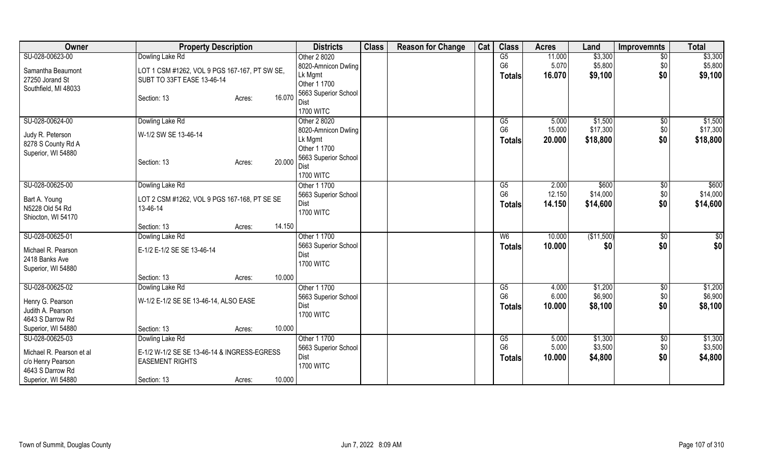| Owner                    | <b>Property Description</b>                   | <b>Districts</b>               | <b>Class</b> | <b>Reason for Change</b> | Cat | <b>Class</b>   | <b>Acres</b> | Land       | <b>Improvemnts</b> | <b>Total</b>    |
|--------------------------|-----------------------------------------------|--------------------------------|--------------|--------------------------|-----|----------------|--------------|------------|--------------------|-----------------|
| SU-028-00623-00          | Dowling Lake Rd                               | Other 2 8020                   |              |                          |     | G5             | 11.000       | \$3,300    | $\overline{50}$    | \$3,300         |
| Samantha Beaumont        | LOT 1 CSM #1262, VOL 9 PGS 167-167, PT SW SE, | 8020-Amnicon Dwling            |              |                          |     | G <sub>6</sub> | 5.070        | \$5,800    | \$0                | \$5,800         |
| 27250 Jorand St          | SUBT TO 33FT EASE 13-46-14                    | Lk Mgmt                        |              |                          |     | Totals         | 16.070       | \$9,100    | \$0                | \$9,100         |
| Southfield, MI 48033     |                                               | Other 1 1700                   |              |                          |     |                |              |            |                    |                 |
|                          | Section: 13<br>Acres:                         | 5663 Superior School<br>16.070 |              |                          |     |                |              |            |                    |                 |
|                          |                                               | Dist                           |              |                          |     |                |              |            |                    |                 |
|                          |                                               | <b>1700 WITC</b>               |              |                          |     |                |              |            |                    |                 |
| SU-028-00624-00          | Dowling Lake Rd                               | Other 2 8020                   |              |                          |     | G5             | 5.000        | \$1,500    | \$0                | \$1,500         |
| Judy R. Peterson         | W-1/2 SW SE 13-46-14                          | 8020-Amnicon Dwling            |              |                          |     | G <sub>6</sub> | 15.000       | \$17,300   | \$0                | \$17,300        |
| 8278 S County Rd A       |                                               | Lk Mgmt                        |              |                          |     | Totals         | 20.000       | \$18,800   | \$0                | \$18,800        |
| Superior, WI 54880       |                                               | Other 1 1700                   |              |                          |     |                |              |            |                    |                 |
|                          | Section: 13<br>Acres:                         | 5663 Superior School<br>20.000 |              |                          |     |                |              |            |                    |                 |
|                          |                                               | Dist                           |              |                          |     |                |              |            |                    |                 |
|                          |                                               | <b>1700 WITC</b>               |              |                          |     |                |              |            |                    |                 |
| SU-028-00625-00          | Dowling Lake Rd                               | Other 1 1700                   |              |                          |     | G5             | 2.000        | \$600      | \$0                | \$600           |
| Bart A. Young            | LOT 2 CSM #1262, VOL 9 PGS 167-168, PT SE SE  | 5663 Superior School           |              |                          |     | G <sub>6</sub> | 12.150       | \$14,000   | \$0                | \$14,000        |
| N5228 Old 54 Rd          | 13-46-14                                      | Dist                           |              |                          |     | <b>Totals</b>  | 14.150       | \$14,600   | \$0                | \$14,600        |
| Shiocton, WI 54170       |                                               | <b>1700 WITC</b>               |              |                          |     |                |              |            |                    |                 |
|                          | Section: 13<br>Acres:                         | 14.150                         |              |                          |     |                |              |            |                    |                 |
| SU-028-00625-01          | Dowling Lake Rd                               | Other 1 1700                   |              |                          |     | W6             | 10.000       | (\$11,500) | \$0                | $\overline{50}$ |
| Michael R. Pearson       | E-1/2 E-1/2 SE SE 13-46-14                    | 5663 Superior School           |              |                          |     | Totals         | 10.000       | \$0        | \$0                | \$0             |
| 2418 Banks Ave           |                                               | Dist                           |              |                          |     |                |              |            |                    |                 |
| Superior, WI 54880       |                                               | <b>1700 WITC</b>               |              |                          |     |                |              |            |                    |                 |
|                          | Section: 13<br>Acres:                         | 10.000                         |              |                          |     |                |              |            |                    |                 |
| SU-028-00625-02          | Dowling Lake Rd                               | Other 1 1700                   |              |                          |     | G5             | 4.000        | \$1,200    | \$0                | \$1,200         |
|                          |                                               | 5663 Superior School           |              |                          |     | G <sub>6</sub> | 6.000        | \$6,900    | \$0                | \$6,900         |
| Henry G. Pearson         | W-1/2 E-1/2 SE SE 13-46-14, ALSO EASE         | Dist                           |              |                          |     | <b>Totals</b>  | 10.000       | \$8,100    | \$0                | \$8,100         |
| Judith A. Pearson        |                                               | <b>1700 WITC</b>               |              |                          |     |                |              |            |                    |                 |
| 4643 S Darrow Rd         |                                               |                                |              |                          |     |                |              |            |                    |                 |
| Superior, WI 54880       | Section: 13<br>Acres:                         | 10.000                         |              |                          |     |                |              |            |                    |                 |
| SU-028-00625-03          | Dowling Lake Rd                               | Other 1 1700                   |              |                          |     | G5             | 5.000        | \$1,300    | \$0                | \$1,300         |
| Michael R. Pearson et al | E-1/2 W-1/2 SE SE 13-46-14 & INGRESS-EGRESS   | 5663 Superior School           |              |                          |     | G <sub>6</sub> | 5.000        | \$3,500    | \$0                | \$3,500         |
| c/o Henry Pearson        | <b>EASEMENT RIGHTS</b>                        | Dist                           |              |                          |     | <b>Totals</b>  | 10.000       | \$4,800    | \$0                | \$4,800         |
| 4643 S Darrow Rd         |                                               | <b>1700 WITC</b>               |              |                          |     |                |              |            |                    |                 |
| Superior, WI 54880       | Section: 13<br>Acres:                         | 10.000                         |              |                          |     |                |              |            |                    |                 |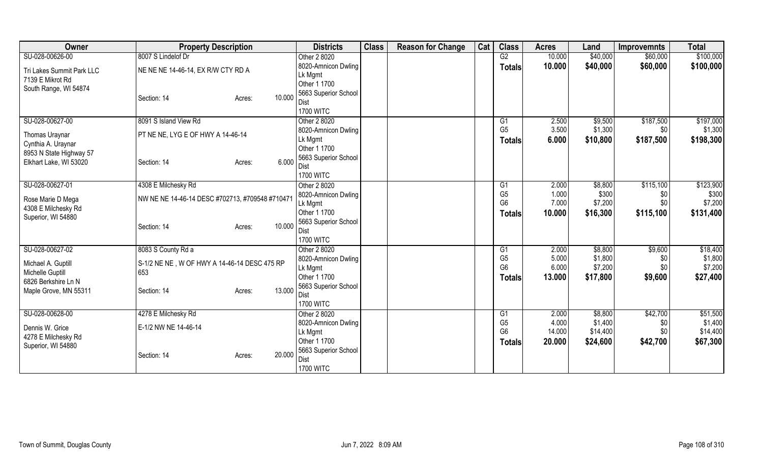| Owner                     | <b>Property Description</b>                     | <b>Districts</b>         | <b>Class</b> | <b>Reason for Change</b> | Cat | <b>Class</b>   | <b>Acres</b> | Land     | <b>Improvemnts</b> | <b>Total</b> |
|---------------------------|-------------------------------------------------|--------------------------|--------------|--------------------------|-----|----------------|--------------|----------|--------------------|--------------|
| SU-028-00626-00           | 8007 S Lindelof Dr                              | Other 2 8020             |              |                          |     | G2             | 10.000       | \$40,000 | \$60,000           | \$100,000    |
| Tri Lakes Summit Park LLC | NE NE NE 14-46-14, EX R/W CTY RD A              | 8020-Amnicon Dwling      |              |                          |     | Totals         | 10.000       | \$40,000 | \$60,000           | \$100,000    |
| 7139 E Mikrot Rd          |                                                 | Lk Mgmt                  |              |                          |     |                |              |          |                    |              |
| South Range, WI 54874     |                                                 | Other 1 1700             |              |                          |     |                |              |          |                    |              |
|                           | 10.000<br>Section: 14<br>Acres:                 | 5663 Superior School     |              |                          |     |                |              |          |                    |              |
|                           |                                                 | Dist                     |              |                          |     |                |              |          |                    |              |
|                           |                                                 | <b>1700 WITC</b>         |              |                          |     |                |              |          |                    |              |
| SU-028-00627-00           | 8091 S Island View Rd                           | Other 2 8020             |              |                          |     | G1             | 2.500        | \$9,500  | \$187,500          | \$197,000    |
| Thomas Uraynar            | PT NE NE, LYG E OF HWY A 14-46-14               | 8020-Amnicon Dwling      |              |                          |     | G <sub>5</sub> | 3.500        | \$1,300  | \$0                | \$1,300      |
| Cynthia A. Uraynar        |                                                 | Lk Mgmt                  |              |                          |     | <b>Totals</b>  | 6.000        | \$10,800 | \$187,500          | \$198,300    |
| 8953 N State Highway 57   |                                                 | Other 1 1700             |              |                          |     |                |              |          |                    |              |
| Elkhart Lake, WI 53020    | 6.000<br>Section: 14<br>Acres:                  | 5663 Superior School     |              |                          |     |                |              |          |                    |              |
|                           |                                                 | Dist<br><b>1700 WITC</b> |              |                          |     |                |              |          |                    |              |
| SU-028-00627-01           | 4308 E Milchesky Rd                             | Other 2 8020             |              |                          |     | G1             | 2.000        | \$8,800  | \$115,100          | \$123,900    |
|                           |                                                 | 8020-Amnicon Dwling      |              |                          |     | G <sub>5</sub> | 1.000        | \$300    | \$0                | \$300        |
| Rose Marie D Mega         | NW NE NE 14-46-14 DESC #702713, #709548 #710471 | Lk Mgmt                  |              |                          |     | G <sub>6</sub> | 7.000        | \$7,200  | \$0                | \$7,200      |
| 4308 E Milchesky Rd       |                                                 | Other 1 1700             |              |                          |     | <b>Totals</b>  | 10.000       | \$16,300 | \$115,100          | \$131,400    |
| Superior, WI 54880        |                                                 | 5663 Superior School     |              |                          |     |                |              |          |                    |              |
|                           | 10.000<br>Section: 14<br>Acres:                 | Dist                     |              |                          |     |                |              |          |                    |              |
|                           |                                                 | <b>1700 WITC</b>         |              |                          |     |                |              |          |                    |              |
| SU-028-00627-02           | 8083 S County Rd a                              | Other 2 8020             |              |                          |     | G1             | 2.000        | \$8,800  | \$9,600            | \$18,400     |
|                           |                                                 | 8020-Amnicon Dwling      |              |                          |     | G <sub>5</sub> | 5.000        | \$1,800  | \$0                | \$1,800      |
| Michael A. Guptill        | S-1/2 NE NE, W OF HWY A 14-46-14 DESC 475 RP    | Lk Mgmt                  |              |                          |     | G <sub>6</sub> | 6.000        | \$7,200  | \$0                | \$7,200      |
| Michelle Guptill          | 653                                             | Other 1 1700             |              |                          |     | <b>Totals</b>  | 13.000       | \$17,800 | \$9,600            | \$27,400     |
| 6826 Berkshire Ln N       |                                                 | 5663 Superior School     |              |                          |     |                |              |          |                    |              |
| Maple Grove, MN 55311     | 13.000<br>Section: 14<br>Acres:                 | Dist                     |              |                          |     |                |              |          |                    |              |
|                           |                                                 | <b>1700 WITC</b>         |              |                          |     |                |              |          |                    |              |
| SU-028-00628-00           | 4278 E Milchesky Rd                             | Other 2 8020             |              |                          |     | G1             | 2.000        | \$8,800  | \$42,700           | \$51,500     |
| Dennis W. Grice           | E-1/2 NW NE 14-46-14                            | 8020-Amnicon Dwling      |              |                          |     | G <sub>5</sub> | 4.000        | \$1,400  | \$0                | \$1,400      |
| 4278 E Milchesky Rd       |                                                 | Lk Mgmt                  |              |                          |     | G <sub>6</sub> | 14.000       | \$14,400 | \$0\$              | \$14,400     |
| Superior, WI 54880        |                                                 | Other 1 1700             |              |                          |     | Totals         | 20.000       | \$24,600 | \$42,700           | \$67,300     |
|                           | 20.000<br>Section: 14<br>Acres:                 | 5663 Superior School     |              |                          |     |                |              |          |                    |              |
|                           |                                                 | Dist                     |              |                          |     |                |              |          |                    |              |
|                           |                                                 | <b>1700 WITC</b>         |              |                          |     |                |              |          |                    |              |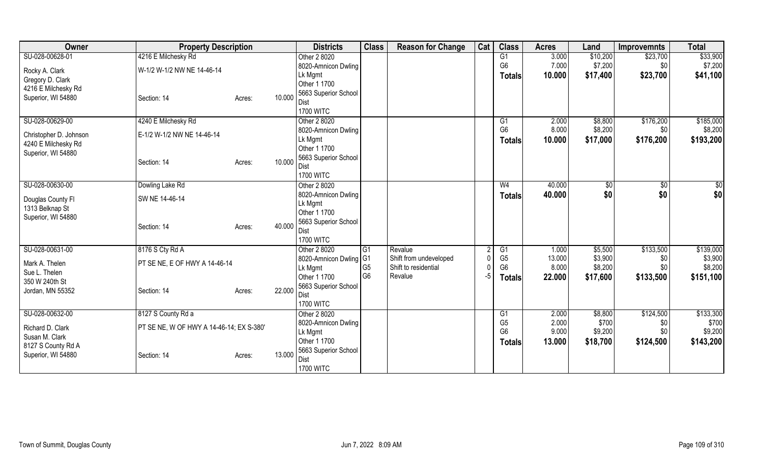| Owner                           | <b>Property Description</b>              | <b>Districts</b> | <b>Class</b>                 | <b>Reason for Change</b> | Cat                    | <b>Class</b> | <b>Acres</b>   | Land   | <b>Improvemnts</b> | <b>Total</b> |           |
|---------------------------------|------------------------------------------|------------------|------------------------------|--------------------------|------------------------|--------------|----------------|--------|--------------------|--------------|-----------|
| SU-028-00628-01                 | 4216 E Milchesky Rd                      |                  | Other 2 8020                 |                          |                        |              | G1             | 3.000  | \$10,200           | \$23,700     | \$33,900  |
| Rocky A. Clark                  | W-1/2 W-1/2 NW NE 14-46-14               |                  | 8020-Amnicon Dwling          |                          |                        |              | G <sub>6</sub> | 7.000  | \$7,200            | \$0          | \$7,200   |
| Gregory D. Clark                |                                          |                  | Lk Mgmt                      |                          |                        |              | Totals         | 10.000 | \$17,400           | \$23,700     | \$41,100  |
| 4216 E Milchesky Rd             |                                          |                  | Other 1 1700                 |                          |                        |              |                |        |                    |              |           |
| Superior, WI 54880              | Section: 14                              | 10.000<br>Acres: | 5663 Superior School         |                          |                        |              |                |        |                    |              |           |
|                                 |                                          |                  | Dist                         |                          |                        |              |                |        |                    |              |           |
|                                 |                                          |                  | <b>1700 WITC</b>             |                          |                        |              |                |        |                    |              |           |
| SU-028-00629-00                 | 4240 E Milchesky Rd                      |                  | Other 2 8020                 |                          |                        |              | G1             | 2.000  | \$8,800            | \$176,200    | \$185,000 |
| Christopher D. Johnson          | E-1/2 W-1/2 NW NE 14-46-14               |                  | 8020-Amnicon Dwling          |                          |                        |              | G <sub>6</sub> | 8.000  | \$8,200            | \$0          | \$8,200   |
| 4240 E Milchesky Rd             |                                          |                  | Lk Mgmt                      |                          |                        |              | <b>Totals</b>  | 10.000 | \$17,000           | \$176,200    | \$193,200 |
| Superior, WI 54880              |                                          |                  | Other 1 1700                 |                          |                        |              |                |        |                    |              |           |
|                                 | Section: 14                              | 10.000<br>Acres: | 5663 Superior School<br>Dist |                          |                        |              |                |        |                    |              |           |
|                                 |                                          |                  | <b>1700 WITC</b>             |                          |                        |              |                |        |                    |              |           |
| SU-028-00630-00                 | Dowling Lake Rd                          |                  | Other 2 8020                 |                          |                        |              | W <sub>4</sub> | 40.000 | \$0                | \$0          | \$0       |
|                                 |                                          |                  | 8020-Amnicon Dwling          |                          |                        |              |                | 40.000 | \$0                | \$0          | \$0       |
| Douglas County Fl               | SW NE 14-46-14                           |                  | Lk Mgmt                      |                          |                        |              | <b>Totals</b>  |        |                    |              |           |
| 1313 Belknap St                 |                                          |                  | Other 1 1700                 |                          |                        |              |                |        |                    |              |           |
| Superior, WI 54880              |                                          |                  | 5663 Superior School         |                          |                        |              |                |        |                    |              |           |
|                                 | Section: 14                              | 40.000<br>Acres: | <b>Dist</b>                  |                          |                        |              |                |        |                    |              |           |
|                                 |                                          |                  | <b>1700 WITC</b>             |                          |                        |              |                |        |                    |              |           |
| SU-028-00631-00                 | 8176 S Cty Rd A                          |                  | Other 2 8020                 | l G1                     | Revalue                |              | G1             | 1.000  | \$5,500            | \$133,500    | \$139,000 |
|                                 | PT SE NE, E OF HWY A 14-46-14            |                  | 8020-Amnicon Dwling G1       |                          | Shift from undeveloped |              | G <sub>5</sub> | 13.000 | \$3,900            | \$0          | \$3,900   |
| Mark A. Thelen<br>Sue L. Thelen |                                          |                  | Lk Mgmt                      | G <sub>5</sub>           | Shift to residential   |              | G <sub>6</sub> | 8.000  | \$8,200            | \$0          | \$8,200   |
| 350 W 240th St                  |                                          |                  | Other 1 1700                 | G <sub>6</sub>           | Revalue                | -5           | <b>Totals</b>  | 22.000 | \$17,600           | \$133,500    | \$151,100 |
| Jordan, MN 55352                | Section: 14                              | 22.000<br>Acres: | 5663 Superior School         |                          |                        |              |                |        |                    |              |           |
|                                 |                                          |                  | Dist                         |                          |                        |              |                |        |                    |              |           |
|                                 |                                          |                  | <b>1700 WITC</b>             |                          |                        |              |                |        |                    |              |           |
| SU-028-00632-00                 | 8127 S County Rd a                       |                  | Other 2 8020                 |                          |                        |              | G1             | 2.000  | \$8,800            | \$124,500    | \$133,300 |
| Richard D. Clark                | PT SE NE, W OF HWY A 14-46-14; EX S-380' |                  | 8020-Amnicon Dwling          |                          |                        |              | G <sub>5</sub> | 2.000  | \$700              | \$0          | \$700     |
| Susan M. Clark                  |                                          |                  | Lk Mgmt                      |                          |                        |              | G <sub>6</sub> | 9.000  | \$9,200            | \$0          | \$9,200   |
| 8127 S County Rd A              |                                          |                  | Other 1 1700                 |                          |                        |              | Totals         | 13.000 | \$18,700           | \$124,500    | \$143,200 |
| Superior, WI 54880              | Section: 14                              | 13.000<br>Acres: | 5663 Superior School         |                          |                        |              |                |        |                    |              |           |
|                                 |                                          |                  | <b>Dist</b>                  |                          |                        |              |                |        |                    |              |           |
|                                 |                                          |                  | <b>1700 WITC</b>             |                          |                        |              |                |        |                    |              |           |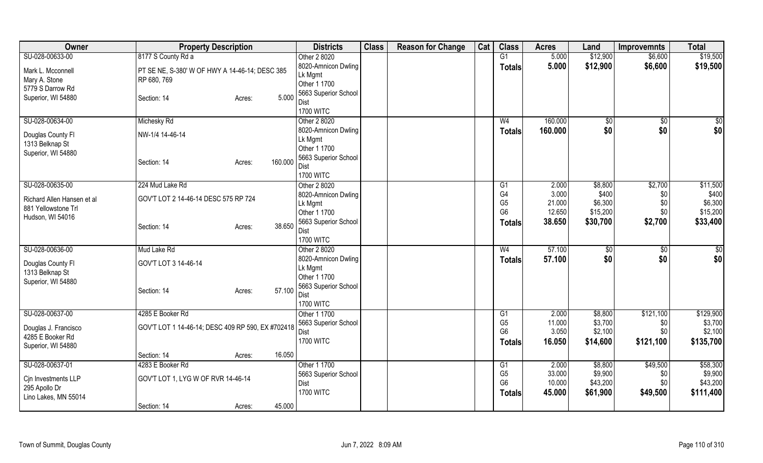| Owner                      | <b>Property Description</b>                       |        | <b>Districts</b> | <b>Class</b>                        | <b>Reason for Change</b> | Cat | <b>Class</b> | <b>Acres</b>   | Land    | <b>Improvemnts</b> | <b>Total</b>       |           |
|----------------------------|---------------------------------------------------|--------|------------------|-------------------------------------|--------------------------|-----|--------------|----------------|---------|--------------------|--------------------|-----------|
| SU-028-00633-00            | 8177 S County Rd a                                |        |                  | Other 2 8020                        |                          |     |              | G1             | 5.000   | \$12,900           | \$6,600            | \$19,500  |
| Mark L. Mcconnell          | PT SE NE, S-380' W OF HWY A 14-46-14; DESC 385    |        |                  | 8020-Amnicon Dwling                 |                          |     |              | <b>Totals</b>  | 5.000   | \$12,900           | \$6,600            | \$19,500  |
| Mary A. Stone              | RP 680, 769                                       |        |                  | Lk Mgmt                             |                          |     |              |                |         |                    |                    |           |
| 5779 S Darrow Rd           |                                                   |        |                  | Other 1 1700                        |                          |     |              |                |         |                    |                    |           |
| Superior, WI 54880         | Section: 14                                       | Acres: | 5.000            | 5663 Superior School                |                          |     |              |                |         |                    |                    |           |
|                            |                                                   |        |                  | Dist                                |                          |     |              |                |         |                    |                    |           |
|                            |                                                   |        |                  | <b>1700 WITC</b>                    |                          |     |              |                |         |                    |                    |           |
| SU-028-00634-00            | Michesky Rd                                       |        |                  | Other 2 8020                        |                          |     |              | W <sub>4</sub> | 160.000 | \$0                | \$0                | \$0       |
| Douglas County FI          | NW-1/4 14-46-14                                   |        |                  | 8020-Amnicon Dwling                 |                          |     |              | <b>Totals</b>  | 160.000 | \$0                | \$0                | \$0       |
| 1313 Belknap St            |                                                   |        |                  | Lk Mgmt                             |                          |     |              |                |         |                    |                    |           |
| Superior, WI 54880         |                                                   |        |                  | Other 1 1700                        |                          |     |              |                |         |                    |                    |           |
|                            | Section: 14                                       | Acres: | 160.000          | 5663 Superior School                |                          |     |              |                |         |                    |                    |           |
|                            |                                                   |        |                  | Dist                                |                          |     |              |                |         |                    |                    |           |
|                            |                                                   |        |                  | <b>1700 WITC</b>                    |                          |     |              |                |         |                    |                    |           |
| SU-028-00635-00            | 224 Mud Lake Rd                                   |        |                  | Other 2 8020                        |                          |     |              | G1             | 2.000   | \$8,800            | \$2,700            | \$11,500  |
| Richard Allen Hansen et al | GOV'T LOT 2 14-46-14 DESC 575 RP 724              |        |                  | 8020-Amnicon Dwling                 |                          |     |              | G <sub>4</sub> | 3.000   | \$400              | \$0                | \$400     |
| 881 Yellowstone Trl        |                                                   |        |                  | Lk Mgmt                             |                          |     |              | G <sub>5</sub> | 21.000  | \$6,300            | \$0                | \$6,300   |
| Hudson, WI 54016           |                                                   |        |                  | Other 1 1700                        |                          |     |              | G <sub>6</sub> | 12.650  | \$15,200           | \$0                | \$15,200  |
|                            | Section: 14                                       | Acres: | 38.650           | 5663 Superior School                |                          |     |              | <b>Totals</b>  | 38.650  | \$30,700           | \$2,700            | \$33,400  |
|                            |                                                   |        |                  | <b>Dist</b><br><b>1700 WITC</b>     |                          |     |              |                |         |                    |                    |           |
|                            |                                                   |        |                  |                                     |                          |     |              |                |         |                    |                    |           |
| SU-028-00636-00            | Mud Lake Rd                                       |        |                  | Other 2 8020<br>8020-Amnicon Dwling |                          |     |              | W <sub>4</sub> | 57.100  | \$0                | $\sqrt{$0}$<br>\$0 | \$0       |
| Douglas County Fl          | GOV'T LOT 3 14-46-14                              |        |                  |                                     |                          |     |              | <b>Totals</b>  | 57.100  | \$0                |                    | \$0       |
| 1313 Belknap St            |                                                   |        |                  | Lk Mgmt<br>Other 1 1700             |                          |     |              |                |         |                    |                    |           |
| Superior, WI 54880         |                                                   |        |                  | 5663 Superior School                |                          |     |              |                |         |                    |                    |           |
|                            | Section: 14                                       | Acres: | 57.100           | Dist                                |                          |     |              |                |         |                    |                    |           |
|                            |                                                   |        |                  | <b>1700 WITC</b>                    |                          |     |              |                |         |                    |                    |           |
| SU-028-00637-00            | 4285 E Booker Rd                                  |        |                  | Other 1 1700                        |                          |     |              | G1             | 2.000   | \$8,800            | \$121,100          | \$129,900 |
|                            |                                                   |        |                  | 5663 Superior School                |                          |     |              | G <sub>5</sub> | 11.000  | \$3,700            | \$0                | \$3,700   |
| Douglas J. Francisco       | GOV'T LOT 1 14-46-14; DESC 409 RP 590, EX #702418 |        |                  | Dist                                |                          |     |              | G <sub>6</sub> | 3.050   | \$2,100            | \$0                | \$2,100   |
| 4285 E Booker Rd           |                                                   |        |                  | <b>1700 WITC</b>                    |                          |     |              | <b>Totals</b>  | 16.050  | \$14,600           | \$121,100          | \$135,700 |
| Superior, WI 54880         |                                                   |        |                  |                                     |                          |     |              |                |         |                    |                    |           |
|                            | Section: 14                                       | Acres: | 16.050           |                                     |                          |     |              |                |         |                    |                    |           |
| SU-028-00637-01            | 4283 E Booker Rd                                  |        |                  | Other 1 1700                        |                          |     |              | G1             | 2.000   | \$8,800            | \$49,500           | \$58,300  |
| Cin Investments LLP        | GOV'T LOT 1, LYG W OF RVR 14-46-14                |        |                  | 5663 Superior School                |                          |     |              | G <sub>5</sub> | 33.000  | \$9,900            | \$0                | \$9,900   |
| 295 Apollo Dr              |                                                   |        |                  | <b>Dist</b>                         |                          |     |              | G <sub>6</sub> | 10.000  | \$43,200           | \$0                | \$43,200  |
| Lino Lakes, MN 55014       |                                                   |        |                  | <b>1700 WITC</b>                    |                          |     |              | <b>Totals</b>  | 45.000  | \$61,900           | \$49,500           | \$111,400 |
|                            | Section: 14                                       | Acres: | 45.000           |                                     |                          |     |              |                |         |                    |                    |           |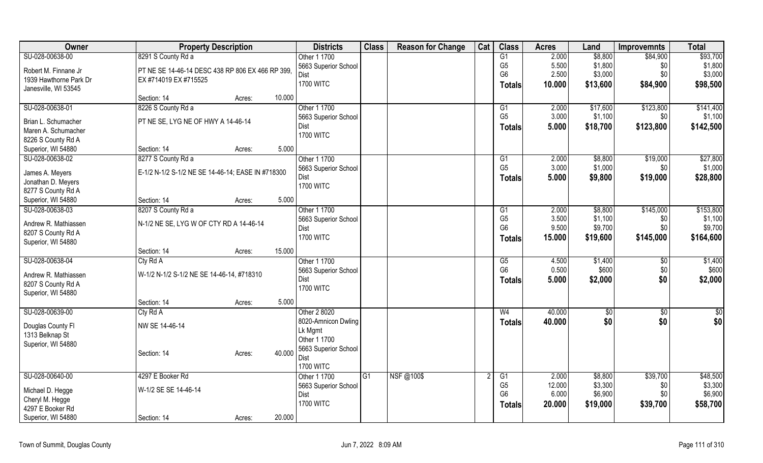| Owner                                    | <b>Property Description</b>                       |                  | <b>Districts</b>     | <b>Class</b> | <b>Reason for Change</b> | Cat | <b>Class</b>   | <b>Acres</b> | Land     | <b>Improvemnts</b> | <b>Total</b>  |
|------------------------------------------|---------------------------------------------------|------------------|----------------------|--------------|--------------------------|-----|----------------|--------------|----------|--------------------|---------------|
| SU-028-00638-00                          | 8291 S County Rd a                                |                  | Other 1 1700         |              |                          |     | G1             | 2.000        | \$8,800  | \$84,900           | \$93,700      |
| Robert M. Finnane Jr                     | PT NE SE 14-46-14 DESC 438 RP 806 EX 466 RP 399,  |                  | 5663 Superior School |              |                          |     | G <sub>5</sub> | 5.500        | \$1,800  | \$0                | \$1,800       |
| 1939 Hawthorne Park Dr                   | EX #714019 EX #715525                             |                  | Dist                 |              |                          |     | G <sub>6</sub> | 2.500        | \$3,000  | \$0                | \$3,000       |
| Janesville, WI 53545                     |                                                   |                  | <b>1700 WITC</b>     |              |                          |     | <b>Totals</b>  | 10.000       | \$13,600 | \$84,900           | \$98,500      |
|                                          | Section: 14                                       | 10.000<br>Acres: |                      |              |                          |     |                |              |          |                    |               |
| SU-028-00638-01                          | 8226 S County Rd a                                |                  | Other 1 1700         |              |                          |     | G1             | 2.000        | \$17,600 | \$123,800          | \$141,400     |
| Brian L. Schumacher                      | PT NE SE, LYG NE OF HWY A 14-46-14                |                  | 5663 Superior School |              |                          |     | G <sub>5</sub> | 3.000        | \$1,100  | \$0                | \$1,100       |
| Maren A. Schumacher                      |                                                   |                  | Dist                 |              |                          |     | <b>Totals</b>  | 5.000        | \$18,700 | \$123,800          | \$142,500     |
| 8226 S County Rd A                       |                                                   |                  | <b>1700 WITC</b>     |              |                          |     |                |              |          |                    |               |
| Superior, WI 54880                       | Section: 14                                       | 5.000<br>Acres:  |                      |              |                          |     |                |              |          |                    |               |
| SU-028-00638-02                          | 8277 S County Rd a                                |                  | Other 1 1700         |              |                          |     | G1             | 2.000        | \$8,800  | \$19,000           | \$27,800      |
| James A. Meyers                          | E-1/2 N-1/2 S-1/2 NE SE 14-46-14; EASE IN #718300 |                  | 5663 Superior School |              |                          |     | G <sub>5</sub> | 3.000        | \$1,000  | \$0                | \$1,000       |
| Jonathan D. Meyers                       |                                                   |                  | Dist                 |              |                          |     | <b>Totals</b>  | 5.000        | \$9,800  | \$19,000           | \$28,800      |
| 8277 S County Rd A                       |                                                   |                  | <b>1700 WITC</b>     |              |                          |     |                |              |          |                    |               |
| Superior, WI 54880                       | Section: 14                                       | 5.000<br>Acres:  |                      |              |                          |     |                |              |          |                    |               |
| SU-028-00638-03                          | 8207 S County Rd a                                |                  | Other 1 1700         |              |                          |     | G1             | 2.000        | \$8,800  | \$145,000          | \$153,800     |
|                                          |                                                   |                  | 5663 Superior School |              |                          |     | G <sub>5</sub> | 3.500        | \$1,100  | \$0                | \$1,100       |
| Andrew R. Mathiassen                     | N-1/2 NE SE, LYG W OF CTY RD A 14-46-14           |                  | Dist                 |              |                          |     | G <sub>6</sub> | 9.500        | \$9,700  | \$0                | \$9,700       |
| 8207 S County Rd A<br>Superior, WI 54880 |                                                   |                  | <b>1700 WITC</b>     |              |                          |     | <b>Totals</b>  | 15.000       | \$19,600 | \$145,000          | \$164,600     |
|                                          | Section: 14                                       | 15.000<br>Acres: |                      |              |                          |     |                |              |          |                    |               |
| SU-028-00638-04                          | Cty Rd A                                          |                  | Other 1 1700         |              |                          |     | G5             | 4.500        | \$1,400  | \$0                | \$1,400       |
|                                          |                                                   |                  | 5663 Superior School |              |                          |     | G <sub>6</sub> | 0.500        | \$600    | \$0                | \$600         |
| Andrew R. Mathiassen                     | W-1/2 N-1/2 S-1/2 NE SE 14-46-14, #718310         |                  | Dist                 |              |                          |     | <b>Totals</b>  | 5.000        | \$2,000  | \$0                | \$2,000       |
| 8207 S County Rd A                       |                                                   |                  | <b>1700 WITC</b>     |              |                          |     |                |              |          |                    |               |
| Superior, WI 54880                       | Section: 14                                       | 5.000<br>Acres:  |                      |              |                          |     |                |              |          |                    |               |
| SU-028-00639-00                          | Cty Rd A                                          |                  | Other 2 8020         |              |                          |     | W <sub>4</sub> | 40.000       | \$0      | \$0                | $\frac{6}{3}$ |
|                                          |                                                   |                  | 8020-Amnicon Dwling  |              |                          |     | <b>Totals</b>  | 40.000       | \$0      | \$0                | \$0           |
| Douglas County Fl                        | NW SE 14-46-14                                    |                  | Lk Mgmt              |              |                          |     |                |              |          |                    |               |
| 1313 Belknap St                          |                                                   |                  | Other 1 1700         |              |                          |     |                |              |          |                    |               |
| Superior, WI 54880                       |                                                   | 40.000           | 5663 Superior School |              |                          |     |                |              |          |                    |               |
|                                          | Section: 14                                       | Acres:           | Dist                 |              |                          |     |                |              |          |                    |               |
|                                          |                                                   |                  | <b>1700 WITC</b>     |              |                          |     |                |              |          |                    |               |
| SU-028-00640-00                          | 4297 E Booker Rd                                  |                  | Other 1 1700         | G1           | NSF@100\$                |     | G1             | 2.000        | \$8,800  | \$39,700           | \$48,500      |
| Michael D. Hegge                         | W-1/2 SE SE 14-46-14                              |                  | 5663 Superior School |              |                          |     | G <sub>5</sub> | 12.000       | \$3,300  | \$0                | \$3,300       |
| Cheryl M. Hegge                          |                                                   |                  | Dist                 |              |                          |     | G <sub>6</sub> | 6.000        | \$6,900  | \$0                | \$6,900       |
| 4297 E Booker Rd                         |                                                   |                  | <b>1700 WITC</b>     |              |                          |     | <b>Totals</b>  | 20.000       | \$19,000 | \$39,700           | \$58,700      |
| Superior, WI 54880                       | Section: 14                                       | 20.000<br>Acres: |                      |              |                          |     |                |              |          |                    |               |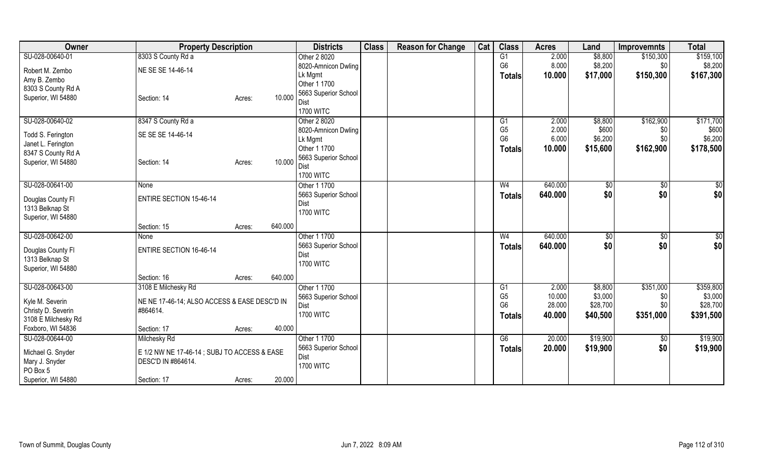| Owner               | <b>Property Description</b>                  |                   | <b>Districts</b>     | <b>Class</b> | <b>Reason for Change</b> | Cat | <b>Class</b>   | <b>Acres</b> | Land           | <b>Improvemnts</b> | <b>Total</b> |
|---------------------|----------------------------------------------|-------------------|----------------------|--------------|--------------------------|-----|----------------|--------------|----------------|--------------------|--------------|
| SU-028-00640-01     | 8303 S County Rd a                           |                   | Other 2 8020         |              |                          |     | G1             | 2.000        | \$8,800        | \$150,300          | \$159,100    |
| Robert M. Zembo     | NE SE SE 14-46-14                            |                   | 8020-Amnicon Dwling  |              |                          |     | G <sub>6</sub> | 8.000        | \$8,200        | \$0                | \$8,200      |
| Amy B. Zembo        |                                              |                   | Lk Mgmt              |              |                          |     | <b>Totals</b>  | 10.000       | \$17,000       | \$150,300          | \$167,300    |
| 8303 S County Rd A  |                                              |                   | Other 1 1700         |              |                          |     |                |              |                |                    |              |
| Superior, WI 54880  | Section: 14                                  | 10.000            | 5663 Superior School |              |                          |     |                |              |                |                    |              |
|                     |                                              | Acres:            | Dist                 |              |                          |     |                |              |                |                    |              |
|                     |                                              |                   | <b>1700 WITC</b>     |              |                          |     |                |              |                |                    |              |
| SU-028-00640-02     | 8347 S County Rd a                           |                   | Other 2 8020         |              |                          |     | G1             | 2.000        | \$8,800        | \$162,900          | \$171,700    |
| Todd S. Ferington   | SE SE SE 14-46-14                            |                   | 8020-Amnicon Dwling  |              |                          |     | G <sub>5</sub> | 2.000        | \$600          | \$0                | \$600        |
| Janet L. Ferington  |                                              |                   | Lk Mgmt              |              |                          |     | G <sub>6</sub> | 6.000        | \$6,200        | \$0                | \$6,200      |
| 8347 S County Rd A  |                                              |                   | Other 1 1700         |              |                          |     | <b>Totals</b>  | 10.000       | \$15,600       | \$162,900          | \$178,500    |
| Superior, WI 54880  | Section: 14                                  | 10.000<br>Acres:  | 5663 Superior School |              |                          |     |                |              |                |                    |              |
|                     |                                              |                   | Dist                 |              |                          |     |                |              |                |                    |              |
|                     |                                              |                   | <b>1700 WITC</b>     |              |                          |     |                |              |                |                    |              |
| SU-028-00641-00     | None                                         |                   | Other 1 1700         |              |                          |     | W <sub>4</sub> | 640.000      | $\sqrt[6]{3}$  | $\sqrt[6]{3}$      | \$0          |
| Douglas County Fl   | <b>ENTIRE SECTION 15-46-14</b>               |                   | 5663 Superior School |              |                          |     | <b>Totals</b>  | 640.000      | \$0            | \$0                | \$0          |
| 1313 Belknap St     |                                              |                   | Dist                 |              |                          |     |                |              |                |                    |              |
| Superior, WI 54880  |                                              |                   | <b>1700 WITC</b>     |              |                          |     |                |              |                |                    |              |
|                     | Section: 15                                  | 640.000<br>Acres: |                      |              |                          |     |                |              |                |                    |              |
| SU-028-00642-00     | None                                         |                   | Other 1 1700         |              |                          |     | W <sub>4</sub> | 640.000      | $\sqrt[6]{30}$ | $\overline{50}$    | \$0          |
|                     |                                              |                   | 5663 Superior School |              |                          |     | <b>Totals</b>  | 640.000      | \$0            | \$0                | \$0          |
| Douglas County Fl   | <b>ENTIRE SECTION 16-46-14</b>               |                   | Dist                 |              |                          |     |                |              |                |                    |              |
| 1313 Belknap St     |                                              |                   | <b>1700 WITC</b>     |              |                          |     |                |              |                |                    |              |
| Superior, WI 54880  |                                              |                   |                      |              |                          |     |                |              |                |                    |              |
|                     | Section: 16                                  | 640.000<br>Acres: |                      |              |                          |     |                |              |                |                    |              |
| SU-028-00643-00     | 3108 E Milchesky Rd                          |                   | Other 1 1700         |              |                          |     | G1             | 2.000        | \$8,800        | \$351,000          | \$359,800    |
| Kyle M. Severin     | NE NE 17-46-14; ALSO ACCESS & EASE DESC'D IN |                   | 5663 Superior School |              |                          |     | G <sub>5</sub> | 10.000       | \$3,000        | \$0                | \$3,000      |
| Christy D. Severin  | #864614.                                     |                   | Dist                 |              |                          |     | G <sub>6</sub> | 28.000       | \$28,700       | \$0                | \$28,700     |
| 3108 E Milchesky Rd |                                              |                   | <b>1700 WITC</b>     |              |                          |     | <b>Totals</b>  | 40.000       | \$40,500       | \$351,000          | \$391,500    |
| Foxboro, WI 54836   | Section: 17                                  | 40.000<br>Acres:  |                      |              |                          |     |                |              |                |                    |              |
| SU-028-00644-00     | Milchesky Rd                                 |                   | Other 1 1700         |              |                          |     | G6             | 20.000       | \$19,900       | \$0                | \$19,900     |
|                     |                                              |                   | 5663 Superior School |              |                          |     | <b>Totals</b>  | 20.000       | \$19,900       | \$0                | \$19,900     |
| Michael G. Snyder   | E 1/2 NW NE 17-46-14 ; SUBJ TO ACCESS & EASE |                   | Dist                 |              |                          |     |                |              |                |                    |              |
| Mary J. Snyder      | DESC'D IN #864614.                           |                   | <b>1700 WITC</b>     |              |                          |     |                |              |                |                    |              |
| PO Box 5            |                                              |                   |                      |              |                          |     |                |              |                |                    |              |
| Superior, WI 54880  | Section: 17                                  | 20.000<br>Acres:  |                      |              |                          |     |                |              |                |                    |              |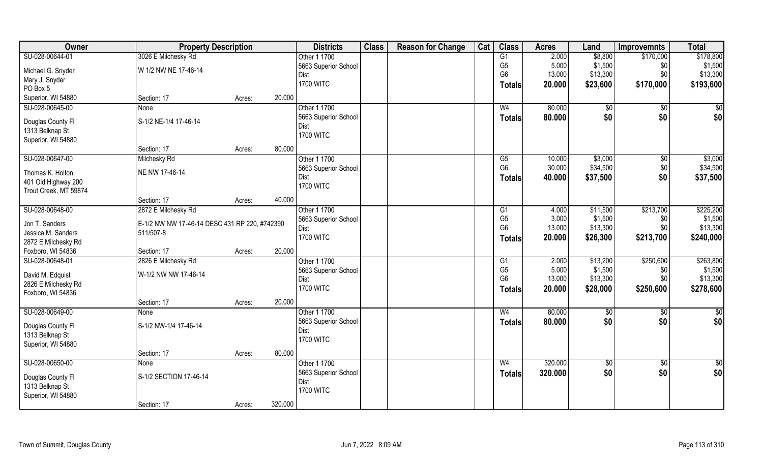| Owner                 | <b>Property Description</b>                   |        |         | <b>Districts</b>     | <b>Class</b> | <b>Reason for Change</b> | Cat | <b>Class</b>    | <b>Acres</b> | Land         | <b>Improvemnts</b> | <b>Total</b>    |
|-----------------------|-----------------------------------------------|--------|---------|----------------------|--------------|--------------------------|-----|-----------------|--------------|--------------|--------------------|-----------------|
| SU-028-00644-01       | 3026 E Milchesky Rd                           |        |         | Other 1 1700         |              |                          |     | G1              | 2.000        | \$8,800      | \$170,000          | \$178,800       |
| Michael G. Snyder     | W 1/2 NW NE 17-46-14                          |        |         | 5663 Superior School |              |                          |     | G <sub>5</sub>  | 5.000        | \$1,500      | \$0                | \$1,500         |
| Mary J. Snyder        |                                               |        |         | Dist                 |              |                          |     | G <sub>6</sub>  | 13.000       | \$13,300     | \$0                | \$13,300        |
| PO Box 5              |                                               |        |         | <b>1700 WITC</b>     |              |                          |     | Totals          | 20.000       | \$23,600     | \$170,000          | \$193,600       |
| Superior, WI 54880    | Section: 17                                   | Acres: | 20.000  |                      |              |                          |     |                 |              |              |                    |                 |
| SU-028-00645-00       | <b>None</b>                                   |        |         | Other 1 1700         |              |                          |     | W <sub>4</sub>  | 80.000       | $\sqrt[6]{}$ | $\sqrt{$0}$        | $\sqrt{50}$     |
|                       |                                               |        |         | 5663 Superior School |              |                          |     | Totals          | 80.000       | \$0          | \$0                | \$0             |
| Douglas County Fl     | S-1/2 NE-1/4 17-46-14                         |        |         | Dist                 |              |                          |     |                 |              |              |                    |                 |
| 1313 Belknap St       |                                               |        |         | <b>1700 WITC</b>     |              |                          |     |                 |              |              |                    |                 |
| Superior, WI 54880    |                                               |        |         |                      |              |                          |     |                 |              |              |                    |                 |
|                       | Section: 17                                   | Acres: | 80.000  |                      |              |                          |     |                 |              |              |                    |                 |
| SU-028-00647-00       | Milchesky Rd                                  |        |         | Other 1 1700         |              |                          |     | G5              | 10.000       | \$3,000      | $\sqrt[6]{3}$      | \$3,000         |
| Thomas K. Holton      | NE NW 17-46-14                                |        |         | 5663 Superior School |              |                          |     | G <sub>6</sub>  | 30.000       | \$34,500     | \$0                | \$34,500        |
| 401 Old Highway 200   |                                               |        |         | Dist                 |              |                          |     | Totals          | 40.000       | \$37,500     | \$0                | \$37,500        |
| Trout Creek, MT 59874 |                                               |        |         | <b>1700 WITC</b>     |              |                          |     |                 |              |              |                    |                 |
|                       | Section: 17                                   | Acres: | 40.000  |                      |              |                          |     |                 |              |              |                    |                 |
| SU-028-00648-00       | 2872 E Milchesky Rd                           |        |         | Other 1 1700         |              |                          |     | G <sub>1</sub>  | 4.000        | \$11,500     | \$213,700          | \$225,200       |
|                       |                                               |        |         | 5663 Superior School |              |                          |     | G <sub>5</sub>  | 3.000        | \$1,500      | \$0                | \$1,500         |
| Jon T. Sanders        | E-1/2 NW NW 17-46-14 DESC 431 RP 220, #742390 |        |         | Dist                 |              |                          |     | G <sub>6</sub>  | 13.000       | \$13,300     | \$0                | \$13,300        |
| Jessica M. Sanders    | 511/507-8                                     |        |         | <b>1700 WITC</b>     |              |                          |     | <b>Totals</b>   | 20.000       | \$26,300     | \$213,700          | \$240,000       |
| 2872 E Milchesky Rd   |                                               |        |         |                      |              |                          |     |                 |              |              |                    |                 |
| Foxboro, WI 54836     | Section: 17                                   | Acres: | 20.000  |                      |              |                          |     |                 |              |              |                    |                 |
| SU-028-00648-01       | 2826 E Milchesky Rd                           |        |         | Other 1 1700         |              |                          |     | $\overline{G1}$ | 2.000        | \$13,200     | \$250,600          | \$263,800       |
| David M. Edquist      | W-1/2 NW NW 17-46-14                          |        |         | 5663 Superior School |              |                          |     | G <sub>5</sub>  | 5.000        | \$1,500      | \$0                | \$1,500         |
| 2826 E Milchesky Rd   |                                               |        |         | Dist                 |              |                          |     | G <sub>6</sub>  | 13.000       | \$13,300     | \$0\$              | \$13,300        |
| Foxboro, WI 54836     |                                               |        |         | <b>1700 WITC</b>     |              |                          |     | <b>Totals</b>   | 20.000       | \$28,000     | \$250,600          | \$278,600       |
|                       | Section: 17                                   | Acres: | 20.000  |                      |              |                          |     |                 |              |              |                    |                 |
| SU-028-00649-00       | None                                          |        |         | Other 1 1700         |              |                          |     | W <sub>4</sub>  | 80.000       | \$0          | \$0                | \$0             |
|                       |                                               |        |         | 5663 Superior School |              |                          |     | <b>Totals</b>   | 80.000       | \$0          | \$0                | \$0             |
| Douglas County Fl     | S-1/2 NW-1/4 17-46-14                         |        |         | Dist                 |              |                          |     |                 |              |              |                    |                 |
| 1313 Belknap St       |                                               |        |         | <b>1700 WITC</b>     |              |                          |     |                 |              |              |                    |                 |
| Superior, WI 54880    |                                               |        |         |                      |              |                          |     |                 |              |              |                    |                 |
|                       | Section: 17                                   | Acres: | 80.000  |                      |              |                          |     |                 |              |              |                    |                 |
| SU-028-00650-00       | <b>None</b>                                   |        |         | Other 1 1700         |              |                          |     | W <sub>4</sub>  | 320.000      | $\sqrt{50}$  | $\sqrt{$0}$        | $\overline{50}$ |
| Douglas County Fl     | S-1/2 SECTION 17-46-14                        |        |         | 5663 Superior School |              |                          |     | <b>Totals</b>   | 320.000      | \$0          | \$0                | \$0             |
| 1313 Belknap St       |                                               |        |         | Dist                 |              |                          |     |                 |              |              |                    |                 |
| Superior, WI 54880    |                                               |        |         | <b>1700 WITC</b>     |              |                          |     |                 |              |              |                    |                 |
|                       | Section: 17                                   | Acres: | 320.000 |                      |              |                          |     |                 |              |              |                    |                 |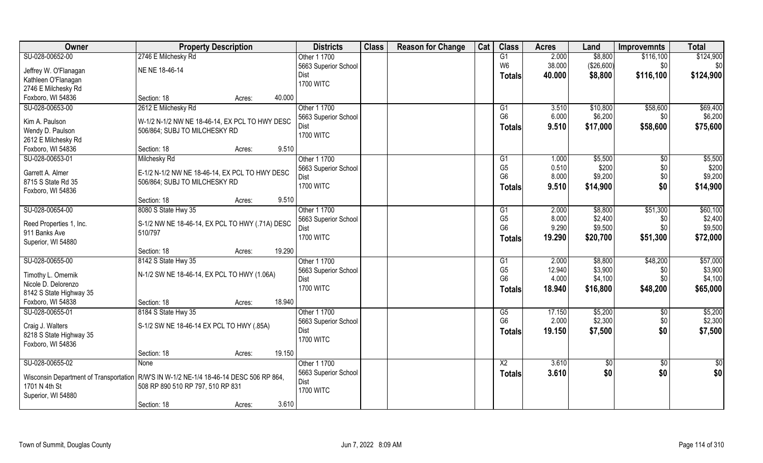| Owner                                                                                    | <b>Property Description</b>                     |                  | <b>Districts</b>     | <b>Class</b> | <b>Reason for Change</b> | Cat | <b>Class</b>    | <b>Acres</b> | Land       | <b>Improvemnts</b> | <b>Total</b> |
|------------------------------------------------------------------------------------------|-------------------------------------------------|------------------|----------------------|--------------|--------------------------|-----|-----------------|--------------|------------|--------------------|--------------|
| SU-028-00652-00                                                                          | 2746 E Milchesky Rd                             |                  | Other 1 1700         |              |                          |     | G1              | 2.000        | \$8,800    | \$116,100          | \$124,900    |
| Jeffrey W. O'Flanagan                                                                    | NE NE 18-46-14                                  |                  | 5663 Superior School |              |                          |     | W <sub>6</sub>  | 38.000       | (\$26,600) | \$0                | \$0          |
| Kathleen O'Flanagan                                                                      |                                                 |                  | Dist                 |              |                          |     | <b>Totals</b>   | 40.000       | \$8,800    | \$116,100          | \$124,900    |
| 2746 E Milchesky Rd                                                                      |                                                 |                  | <b>1700 WITC</b>     |              |                          |     |                 |              |            |                    |              |
| Foxboro, WI 54836                                                                        | Section: 18                                     | 40.000<br>Acres: |                      |              |                          |     |                 |              |            |                    |              |
| SU-028-00653-00                                                                          | 2612 E Milchesky Rd                             |                  | Other 1 1700         |              |                          |     | G1              | 3.510        | \$10,800   | \$58,600           | \$69,400     |
|                                                                                          |                                                 |                  | 5663 Superior School |              |                          |     | G <sub>6</sub>  | 6.000        | \$6,200    | \$0                | \$6,200      |
| Kim A. Paulson<br>Wendy D. Paulson                                                       | W-1/2 N-1/2 NW NE 18-46-14, EX PCL TO HWY DESC  |                  | Dist                 |              |                          |     | Totals          | 9.510        | \$17,000   | \$58,600           | \$75,600     |
| 2612 E Milchesky Rd                                                                      | 506/864; SUBJ TO MILCHESKY RD                   |                  | <b>1700 WITC</b>     |              |                          |     |                 |              |            |                    |              |
| Foxboro, WI 54836                                                                        | Section: 18                                     | 9.510<br>Acres:  |                      |              |                          |     |                 |              |            |                    |              |
| SU-028-00653-01                                                                          | Milchesky Rd                                    |                  | Other 1 1700         |              |                          |     | G1              | 1.000        | \$5,500    | $\sqrt[6]{}$       | \$5,500      |
|                                                                                          |                                                 |                  | 5663 Superior School |              |                          |     | G <sub>5</sub>  | 0.510        | \$200      | \$0                | \$200        |
| Garrett A. Almer                                                                         | E-1/2 N-1/2 NW NE 18-46-14, EX PCL TO HWY DESC  |                  | Dist                 |              |                          |     | G <sub>6</sub>  | 8.000        | \$9,200    | \$0                | \$9,200      |
| 8715 S State Rd 35                                                                       | 506/864; SUBJ TO MILCHESKY RD                   |                  | <b>1700 WITC</b>     |              |                          |     | Totals          | 9.510        | \$14,900   | \$0                | \$14,900     |
| Foxboro, WI 54836                                                                        |                                                 |                  |                      |              |                          |     |                 |              |            |                    |              |
|                                                                                          | Section: 18                                     | 9.510<br>Acres:  |                      |              |                          |     |                 |              |            |                    |              |
| SU-028-00654-00                                                                          | 8080 S State Hwy 35                             |                  | Other 1 1700         |              |                          |     | G1              | 2.000        | \$8,800    | \$51,300           | \$60,100     |
| Reed Properties 1, Inc.                                                                  | S-1/2 NW NE 18-46-14, EX PCL TO HWY (.71A) DESC |                  | 5663 Superior School |              |                          |     | G <sub>5</sub>  | 8.000        | \$2,400    | \$0                | \$2,400      |
| 911 Banks Ave                                                                            | 510/797                                         |                  | Dist                 |              |                          |     | G <sub>6</sub>  | 9.290        | \$9,500    | \$0                | \$9,500      |
| Superior, WI 54880                                                                       |                                                 |                  | <b>1700 WITC</b>     |              |                          |     | <b>Totals</b>   | 19.290       | \$20,700   | \$51,300           | \$72,000     |
|                                                                                          | Section: 18                                     | 19.290<br>Acres: |                      |              |                          |     |                 |              |            |                    |              |
| SU-028-00655-00                                                                          | 8142 S State Hwy 35                             |                  | Other 1 1700         |              |                          |     | G1              | 2.000        | \$8,800    | \$48,200           | \$57,000     |
| Timothy L. Omernik                                                                       | N-1/2 SW NE 18-46-14, EX PCL TO HWY (1.06A)     |                  | 5663 Superior School |              |                          |     | G <sub>5</sub>  | 12.940       | \$3,900    | \$0                | \$3,900      |
| Nicole D. Delorenzo                                                                      |                                                 |                  | Dist                 |              |                          |     | G <sub>6</sub>  | 4.000        | \$4,100    | \$0                | \$4,100      |
| 8142 S State Highway 35                                                                  |                                                 |                  | <b>1700 WITC</b>     |              |                          |     | <b>Totals</b>   | 18.940       | \$16,800   | \$48,200           | \$65,000     |
| Foxboro, WI 54838                                                                        | Section: 18                                     | 18.940<br>Acres: |                      |              |                          |     |                 |              |            |                    |              |
| SU-028-00655-01                                                                          | 8184 S State Hwy 35                             |                  | Other 1 1700         |              |                          |     | G5              | 17.150       | \$5,200    | \$0                | \$5,200      |
|                                                                                          |                                                 |                  | 5663 Superior School |              |                          |     | G <sub>6</sub>  | 2.000        | \$2,300    | \$0                | \$2,300      |
| Craig J. Walters                                                                         | S-1/2 SW NE 18-46-14 EX PCL TO HWY (.85A)       |                  | Dist                 |              |                          |     | <b>Totals</b>   | 19.150       | \$7,500    | \$0                | \$7,500      |
| 8218 S State Highway 35                                                                  |                                                 |                  | <b>1700 WITC</b>     |              |                          |     |                 |              |            |                    |              |
| Foxboro, WI 54836                                                                        |                                                 |                  |                      |              |                          |     |                 |              |            |                    |              |
|                                                                                          | Section: 18                                     | 19.150<br>Acres: |                      |              |                          |     |                 |              |            |                    |              |
| SU-028-00655-02                                                                          | None                                            |                  | Other 1 1700         |              |                          |     | $\overline{X2}$ | 3.610        | \$0        | $\sqrt{6}$         | \$0          |
| Wisconsin Department of Transportation   R/W'S IN W-1/2 NE-1/4 18-46-14 DESC 506 RP 864, |                                                 |                  | 5663 Superior School |              |                          |     | Totals          | 3.610        | \$0        | \$0                | \$0          |
| 1701 N 4th St                                                                            | 508 RP 890 510 RP 797, 510 RP 831               |                  | Dist                 |              |                          |     |                 |              |            |                    |              |
| Superior, WI 54880                                                                       |                                                 |                  | <b>1700 WITC</b>     |              |                          |     |                 |              |            |                    |              |
|                                                                                          | Section: 18                                     | 3.610<br>Acres:  |                      |              |                          |     |                 |              |            |                    |              |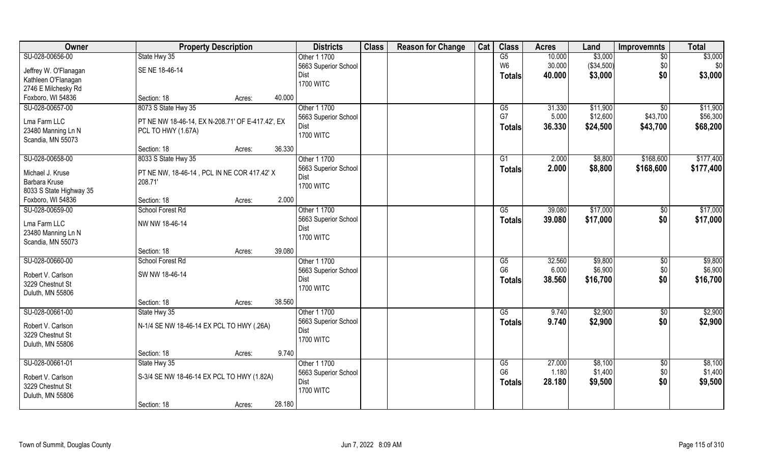| Owner                                | <b>Property Description</b>                      | <b>Districts</b>     | <b>Class</b> | <b>Reason for Change</b> | Cat | <b>Class</b>         | <b>Acres</b> | Land       | <b>Improvemnts</b>     | <b>Total</b>       |
|--------------------------------------|--------------------------------------------------|----------------------|--------------|--------------------------|-----|----------------------|--------------|------------|------------------------|--------------------|
| SU-028-00656-00                      | State Hwy 35                                     | Other 1 1700         |              |                          |     | G5                   | 10.000       | \$3,000    | $\overline{50}$        | \$3,000            |
| Jeffrey W. O'Flanagan                | SE NE 18-46-14                                   | 5663 Superior School |              |                          |     | W <sub>6</sub>       | 30.000       | (\$34,500) | \$0                    | \$0                |
| Kathleen O'Flanagan                  |                                                  | Dist                 |              |                          |     | <b>Totals</b>        | 40.000       | \$3,000    | \$0                    | \$3,000            |
| 2746 E Milchesky Rd                  |                                                  | <b>1700 WITC</b>     |              |                          |     |                      |              |            |                        |                    |
| Foxboro, WI 54836                    | Section: 18<br>Acres:                            | 40.000               |              |                          |     |                      |              |            |                        |                    |
| SU-028-00657-00                      | 8073 S State Hwy 35                              | Other 1 1700         |              |                          |     | G5                   | 31.330       | \$11,900   | \$0                    | \$11,900           |
|                                      |                                                  | 5663 Superior School |              |                          |     | G7                   | 5.000        | \$12,600   | \$43,700               | \$56,300           |
| Lma Farm LLC                         | PT NE NW 18-46-14, EX N-208.71' OF E-417.42', EX | Dist                 |              |                          |     | <b>Totals</b>        | 36.330       | \$24,500   | \$43,700               | \$68,200           |
| 23480 Manning Ln N                   | PCL TO HWY (1.67A)                               | <b>1700 WITC</b>     |              |                          |     |                      |              |            |                        |                    |
| Scandia, MN 55073                    |                                                  |                      |              |                          |     |                      |              |            |                        |                    |
|                                      | Section: 18<br>Acres:                            | 36.330               |              |                          |     |                      |              |            |                        |                    |
| SU-028-00658-00                      | 8033 S State Hwy 35                              | Other 1 1700         |              |                          |     | G1                   | 2.000        | \$8,800    | \$168,600              | \$177,400          |
| Michael J. Kruse                     | PT NE NW, 18-46-14, PCL IN NE COR 417.42' X      | 5663 Superior School |              |                          |     | <b>Totals</b>        | 2.000        | \$8,800    | \$168,600              | \$177,400          |
| Barbara Kruse                        | 208.71'                                          | Dist                 |              |                          |     |                      |              |            |                        |                    |
| 8033 S State Highway 35              |                                                  | <b>1700 WITC</b>     |              |                          |     |                      |              |            |                        |                    |
| Foxboro, WI 54836                    | Section: 18<br>Acres:                            | 2.000                |              |                          |     |                      |              |            |                        |                    |
| SU-028-00659-00                      | School Forest Rd                                 | Other 1 1700         |              |                          |     | G5                   | 39.080       | \$17,000   | \$0                    | \$17,000           |
|                                      |                                                  | 5663 Superior School |              |                          |     | <b>Totals</b>        | 39.080       | \$17,000   | \$0                    | \$17,000           |
| Lma Farm LLC                         | NW NW 18-46-14                                   | Dist                 |              |                          |     |                      |              |            |                        |                    |
| 23480 Manning Ln N                   |                                                  | <b>1700 WITC</b>     |              |                          |     |                      |              |            |                        |                    |
| Scandia, MN 55073                    |                                                  |                      |              |                          |     |                      |              |            |                        |                    |
|                                      | Section: 18<br>Acres:                            | 39.080               |              |                          |     |                      |              |            |                        |                    |
| SU-028-00660-00                      | School Forest Rd                                 | Other 1 1700         |              |                          |     | G5                   | 32.560       | \$9,800    | $\sqrt[6]{30}$         | \$9,800            |
| Robert V. Carlson                    | SW NW 18-46-14                                   | 5663 Superior School |              |                          |     | G <sub>6</sub>       | 6.000        | \$6,900    | \$0                    | \$6,900            |
| 3229 Chestnut St                     |                                                  | Dist                 |              |                          |     | <b>Totals</b>        | 38.560       | \$16,700   | \$0                    | \$16,700           |
| Duluth, MN 55806                     |                                                  | <b>1700 WITC</b>     |              |                          |     |                      |              |            |                        |                    |
|                                      | Section: 18<br>Acres:                            | 38.560               |              |                          |     |                      |              |            |                        |                    |
| SU-028-00661-00                      | State Hwy 35                                     | Other 1 1700         |              |                          |     | G5                   | 9.740        | \$2,900    | \$0                    | \$2,900            |
| Robert V. Carlson                    |                                                  | 5663 Superior School |              |                          |     | <b>Totals</b>        | 9.740        | \$2,900    | \$0                    | \$2,900            |
|                                      | N-1/4 SE NW 18-46-14 EX PCL TO HWY (.26A)        | Dist                 |              |                          |     |                      |              |            |                        |                    |
| 3229 Chestnut St<br>Duluth, MN 55806 |                                                  | <b>1700 WITC</b>     |              |                          |     |                      |              |            |                        |                    |
|                                      | Section: 18                                      | 9.740                |              |                          |     |                      |              |            |                        |                    |
| SU-028-00661-01                      | Acres:                                           | Other 1 1700         |              |                          |     |                      | 27.000       | \$8,100    |                        |                    |
|                                      | State Hwy 35                                     | 5663 Superior School |              |                          |     | G5<br>G <sub>6</sub> | 1.180        | \$1,400    | $\overline{50}$<br>\$0 | \$8,100<br>\$1,400 |
| Robert V. Carlson                    | S-3/4 SE NW 18-46-14 EX PCL TO HWY (1.82A)       | Dist                 |              |                          |     |                      |              |            |                        |                    |
| 3229 Chestnut St                     |                                                  | <b>1700 WITC</b>     |              |                          |     | <b>Totals</b>        | 28.180       | \$9,500    | \$0                    | \$9,500            |
| Duluth, MN 55806                     |                                                  |                      |              |                          |     |                      |              |            |                        |                    |
|                                      | Section: 18<br>Acres:                            | 28.180               |              |                          |     |                      |              |            |                        |                    |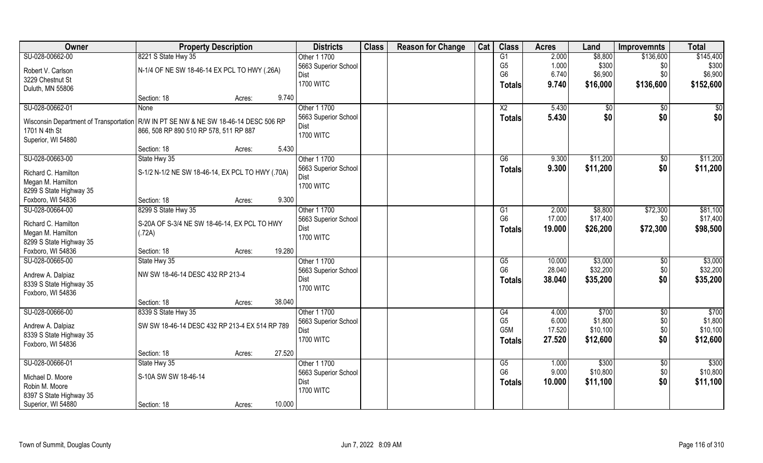| Owner                                  | <b>Property Description</b>                      | <b>Districts</b> | <b>Class</b>             | <b>Reason for Change</b> | Cat | <b>Class</b> | <b>Acres</b>     | Land   | <b>Improvemnts</b> | <b>Total</b>   |                   |
|----------------------------------------|--------------------------------------------------|------------------|--------------------------|--------------------------|-----|--------------|------------------|--------|--------------------|----------------|-------------------|
| SU-028-00662-00                        | 8221 S State Hwy 35                              |                  | Other 1 1700             |                          |     |              | G1               | 2.000  | \$8,800            | \$136,600      | \$145,400         |
| Robert V. Carlson                      | N-1/4 OF NE SW 18-46-14 EX PCL TO HWY (.26A)     |                  | 5663 Superior School     |                          |     |              | G <sub>5</sub>   | 1.000  | \$300              | \$0            | \$300             |
| 3229 Chestnut St                       |                                                  |                  | Dist                     |                          |     |              | G <sub>6</sub>   | 6.740  | \$6,900            | \$0            | \$6,900           |
| Duluth, MN 55806                       |                                                  |                  | <b>1700 WITC</b>         |                          |     |              | <b>Totals</b>    | 9.740  | \$16,000           | \$136,600      | \$152,600         |
|                                        | Section: 18                                      | Acres:           | 9.740                    |                          |     |              |                  |        |                    |                |                   |
| SU-028-00662-01                        | <b>None</b>                                      |                  | Other 1 1700             |                          |     |              | $\overline{X2}$  | 5.430  | \$0                | $\sqrt{$0}$    | \$0               |
|                                        |                                                  |                  | 5663 Superior School     |                          |     |              | <b>Totals</b>    | 5.430  | \$0                | \$0            | \$0               |
| Wisconsin Department of Transportation | R/W IN PT SE NW & NE SW 18-46-14 DESC 506 RP     |                  | Dist                     |                          |     |              |                  |        |                    |                |                   |
| 1701 N 4th St                          | 866, 508 RP 890 510 RP 578, 511 RP 887           |                  | <b>1700 WITC</b>         |                          |     |              |                  |        |                    |                |                   |
| Superior, WI 54880                     |                                                  |                  |                          |                          |     |              |                  |        |                    |                |                   |
|                                        | Section: 18                                      | Acres:           | 5.430                    |                          |     |              |                  |        |                    |                |                   |
| SU-028-00663-00                        | State Hwy 35                                     |                  | Other 1 1700             |                          |     |              | G6               | 9.300  | \$11,200           | $\sqrt[6]{30}$ | \$11,200          |
| Richard C. Hamilton                    | S-1/2 N-1/2 NE SW 18-46-14, EX PCL TO HWY (.70A) |                  | 5663 Superior School     |                          |     |              | <b>Totals</b>    | 9.300  | \$11,200           | \$0            | \$11,200          |
| Megan M. Hamilton                      |                                                  |                  | Dist<br><b>1700 WITC</b> |                          |     |              |                  |        |                    |                |                   |
| 8299 S State Highway 35                |                                                  |                  |                          |                          |     |              |                  |        |                    |                |                   |
| Foxboro, WI 54836                      | Section: 18                                      | Acres:           | 9.300                    |                          |     |              |                  |        |                    |                |                   |
| SU-028-00664-00                        | 8299 S State Hwy 35                              |                  | Other 1 1700             |                          |     |              | G1               | 2.000  | \$8,800            | \$72,300       | \$81,100          |
| Richard C. Hamilton                    | S-20A OF S-3/4 NE SW 18-46-14, EX PCL TO HWY     |                  | 5663 Superior School     |                          |     |              | G <sub>6</sub>   | 17.000 | \$17,400           | \$0            | \$17,400          |
| Megan M. Hamilton                      | (.72A)                                           |                  | Dist                     |                          |     |              | <b>Totals</b>    | 19.000 | \$26,200           | \$72,300       | \$98,500          |
| 8299 S State Highway 35                |                                                  |                  | <b>1700 WITC</b>         |                          |     |              |                  |        |                    |                |                   |
| Foxboro, WI 54836                      | Section: 18                                      | Acres:           | 19.280                   |                          |     |              |                  |        |                    |                |                   |
| SU-028-00665-00                        | State Hwy 35                                     |                  | Other 1 1700             |                          |     |              | G5               | 10.000 | \$3,000            | $\sqrt[6]{3}$  | \$3,000           |
|                                        |                                                  |                  | 5663 Superior School     |                          |     |              | G <sub>6</sub>   | 28.040 | \$32,200           | \$0            | \$32,200          |
| Andrew A. Dalpiaz                      | NW SW 18-46-14 DESC 432 RP 213-4                 |                  | Dist                     |                          |     |              | <b>Totals</b>    | 38.040 | \$35,200           | \$0            | \$35,200          |
| 8339 S State Highway 35                |                                                  |                  | <b>1700 WITC</b>         |                          |     |              |                  |        |                    |                |                   |
| Foxboro, WI 54836                      |                                                  |                  |                          |                          |     |              |                  |        |                    |                |                   |
|                                        | Section: 18                                      | Acres:           | 38.040                   |                          |     |              |                  |        |                    |                |                   |
| SU-028-00666-00                        | 8339 S State Hwy 35                              |                  | Other 1 1700             |                          |     |              | G4               | 4.000  | \$700              | $\sqrt{$0}$    | $\overline{$700}$ |
| Andrew A. Dalpiaz                      | SW SW 18-46-14 DESC 432 RP 213-4 EX 514 RP 789   |                  | 5663 Superior School     |                          |     |              | G <sub>5</sub>   | 6.000  | \$1,800            | \$0            | \$1,800           |
| 8339 S State Highway 35                |                                                  |                  | Dist                     |                          |     |              | G <sub>5</sub> M | 17.520 | \$10,100           | \$0            | \$10,100          |
| Foxboro, WI 54836                      |                                                  |                  | <b>1700 WITC</b>         |                          |     |              | Totals           | 27.520 | \$12,600           | \$0            | \$12,600          |
|                                        | Section: 18                                      | Acres:           | 27.520                   |                          |     |              |                  |        |                    |                |                   |
| SU-028-00666-01                        | State Hwy 35                                     |                  | Other 1 1700             |                          |     |              | G5               | 1.000  | \$300              | $\sqrt[6]{}$   | $\overline{$300}$ |
| Michael D. Moore                       | S-10A SW SW 18-46-14                             |                  | 5663 Superior School     |                          |     |              | G <sub>6</sub>   | 9.000  | \$10,800           | \$0            | \$10,800          |
| Robin M. Moore                         |                                                  |                  | Dist                     |                          |     |              | <b>Totals</b>    | 10.000 | \$11,100           | \$0            | \$11,100          |
| 8397 S State Highway 35                |                                                  |                  | <b>1700 WITC</b>         |                          |     |              |                  |        |                    |                |                   |
| Superior, WI 54880                     | Section: 18                                      | Acres:           | 10.000                   |                          |     |              |                  |        |                    |                |                   |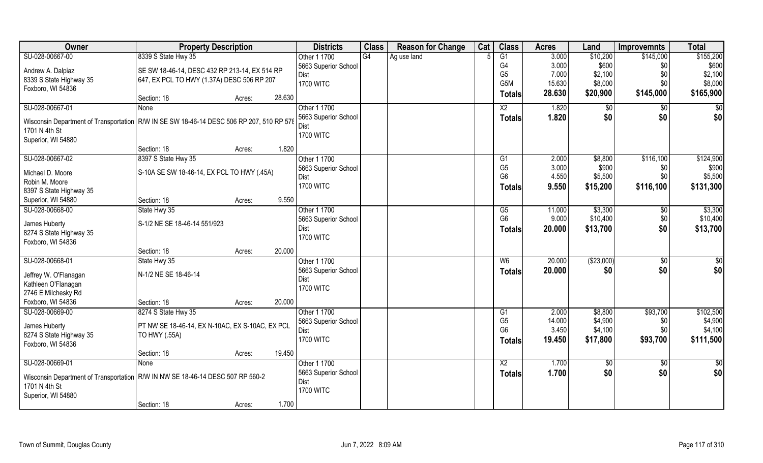| <b>Owner</b>                                                                               | <b>Property Description</b>                     |        | <b>Districts</b>         | <b>Class</b> | <b>Reason for Change</b> | Cat | <b>Class</b>                     | <b>Acres</b>    | Land       | <b>Improvemnts</b> | <b>Total</b>       |
|--------------------------------------------------------------------------------------------|-------------------------------------------------|--------|--------------------------|--------------|--------------------------|-----|----------------------------------|-----------------|------------|--------------------|--------------------|
| SU-028-00667-00                                                                            | 8339 S State Hwy 35                             |        | Other 1 1700             | G4           | Ag use land              |     | G1                               | 3.000           | \$10,200   | \$145,000          | \$155,200          |
| Andrew A. Dalpiaz                                                                          | SE SW 18-46-14, DESC 432 RP 213-14, EX 514 RP   |        | 5663 Superior School     |              |                          |     | G4                               | 3.000           | \$600      | \$0                | \$600              |
| 8339 S State Highway 35                                                                    | 647, EX PCL TO HWY (1.37A) DESC 506 RP 207      |        | Dist                     |              |                          |     | G <sub>5</sub>                   | 7.000           | \$2,100    | \$0                | \$2,100            |
| Foxboro, WI 54836                                                                          |                                                 |        | <b>1700 WITC</b>         |              |                          |     | G <sub>5</sub> M                 | 15.630          | \$8,000    | \$0                | \$8,000            |
|                                                                                            | Section: 18                                     | Acres: | 28.630                   |              |                          |     | Totals                           | 28.630          | \$20,900   | \$145,000          | \$165,900          |
| SU-028-00667-01                                                                            | <b>None</b>                                     |        | Other 1 1700             |              |                          |     | $\overline{X2}$                  | 1.820           | \$0        | $\sqrt{$0}$        | $\overline{50}$    |
| Wisconsin Department of Transportation   R/W IN SE SW 18-46-14 DESC 506 RP 207, 510 RP 578 |                                                 |        | 5663 Superior School     |              |                          |     | Totals                           | 1.820           | \$0        | \$0                | \$0                |
| 1701 N 4th St                                                                              |                                                 |        | Dist                     |              |                          |     |                                  |                 |            |                    |                    |
| Superior, WI 54880                                                                         |                                                 |        | <b>1700 WITC</b>         |              |                          |     |                                  |                 |            |                    |                    |
|                                                                                            | Section: 18                                     | Acres: | 1.820                    |              |                          |     |                                  |                 |            |                    |                    |
| SU-028-00667-02                                                                            | 8397 S State Hwy 35                             |        | Other 1 1700             |              |                          |     | G1                               | 2.000           | \$8,800    | \$116,100          | \$124,900          |
| Michael D. Moore                                                                           | S-10A SE SW 18-46-14, EX PCL TO HWY (.45A)      |        | 5663 Superior School     |              |                          |     | G <sub>5</sub>                   | 3.000           | \$900      | \$0                | \$900              |
| Robin M. Moore                                                                             |                                                 |        | Dist                     |              |                          |     | G <sub>6</sub>                   | 4.550           | \$5,500    | \$0                | \$5,500            |
| 8397 S State Highway 35                                                                    |                                                 |        | <b>1700 WITC</b>         |              |                          |     | Totals                           | 9.550           | \$15,200   | \$116,100          | \$131,300          |
| Superior, WI 54880                                                                         | Section: 18                                     | Acres: | 9.550                    |              |                          |     |                                  |                 |            |                    |                    |
| SU-028-00668-00                                                                            | State Hwy 35                                    |        | Other 1 1700             |              |                          |     | G5                               | 11.000          | \$3,300    | \$0                | \$3,300            |
|                                                                                            |                                                 |        | 5663 Superior School     |              |                          |     | G <sub>6</sub>                   | 9.000           | \$10,400   | \$0                | \$10,400           |
| James Huberty                                                                              | S-1/2 NE SE 18-46-14 551/923                    |        | Dist                     |              |                          |     | <b>Totals</b>                    | 20.000          | \$13,700   | \$0                | \$13,700           |
| 8274 S State Highway 35                                                                    |                                                 |        | <b>1700 WITC</b>         |              |                          |     |                                  |                 |            |                    |                    |
| Foxboro, WI 54836                                                                          | Section: 18                                     | Acres: | 20.000                   |              |                          |     |                                  |                 |            |                    |                    |
| SU-028-00668-01                                                                            | State Hwy 35                                    |        | Other 1 1700             |              |                          |     | $W_6$                            | 20.000          | (\$23,000) | $\overline{50}$    | $\overline{50}$    |
|                                                                                            |                                                 |        | 5663 Superior School     |              |                          |     |                                  | 20.000          | \$0        | \$0                | \$0                |
| Jeffrey W. O'Flanagan                                                                      | N-1/2 NE SE 18-46-14                            |        | Dist                     |              |                          |     | <b>Totals</b>                    |                 |            |                    |                    |
| Kathleen O'Flanagan                                                                        |                                                 |        | <b>1700 WITC</b>         |              |                          |     |                                  |                 |            |                    |                    |
| 2746 E Milchesky Rd                                                                        |                                                 |        |                          |              |                          |     |                                  |                 |            |                    |                    |
| Foxboro, WI 54836                                                                          | Section: 18                                     | Acres: | 20.000                   |              |                          |     |                                  |                 |            |                    |                    |
| SU-028-00669-00                                                                            | 8274 S State Hwy 35                             |        | Other 1 1700             |              |                          |     | G1                               | 2.000           | \$8,800    | \$93,700           | \$102,500          |
| James Huberty                                                                              | PT NW SE 18-46-14, EX N-10AC, EX S-10AC, EX PCL |        | 5663 Superior School     |              |                          |     | G <sub>5</sub><br>G <sub>6</sub> | 14.000<br>3.450 | \$4,900    | \$0                | \$4,900<br>\$4,100 |
| 8274 S State Highway 35                                                                    | TO HWY (.55A)                                   |        | Dist<br><b>1700 WITC</b> |              |                          |     |                                  |                 | \$4,100    | \$0                |                    |
| Foxboro, WI 54836                                                                          |                                                 |        |                          |              |                          |     | <b>Totals</b>                    | 19.450          | \$17,800   | \$93,700           | \$111,500          |
|                                                                                            | Section: 18                                     | Acres: | 19.450                   |              |                          |     |                                  |                 |            |                    |                    |
| SU-028-00669-01                                                                            | None                                            |        | Other 1 1700             |              |                          |     | $\overline{X2}$                  | 1.700           | $\sqrt{6}$ | $\sqrt{6}$         | $rac{1}{2}$        |
| Wisconsin Department of Transportation   R/W IN NW SE 18-46-14 DESC 507 RP 560-2           |                                                 |        | 5663 Superior School     |              |                          |     | <b>Totals</b>                    | 1.700           | \$0        | \$0                | \$0                |
| 1701 N 4th St                                                                              |                                                 |        | Dist                     |              |                          |     |                                  |                 |            |                    |                    |
| Superior, WI 54880                                                                         |                                                 |        | <b>1700 WITC</b>         |              |                          |     |                                  |                 |            |                    |                    |
|                                                                                            | Section: 18                                     | Acres: | 1.700                    |              |                          |     |                                  |                 |            |                    |                    |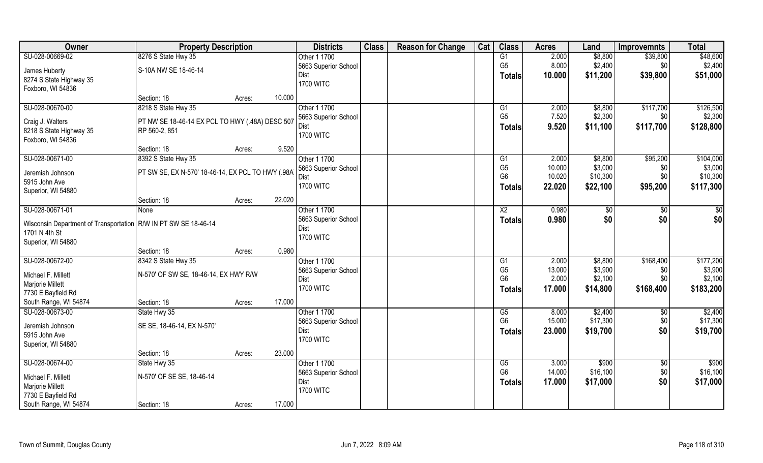| Owner                                                             | <b>Property Description</b>                       |        |        | <b>Districts</b>     | <b>Class</b> | <b>Reason for Change</b> | Cat | <b>Class</b>   | <b>Acres</b> | Land     | <b>Improvemnts</b> | <b>Total</b> |
|-------------------------------------------------------------------|---------------------------------------------------|--------|--------|----------------------|--------------|--------------------------|-----|----------------|--------------|----------|--------------------|--------------|
| SU-028-00669-02                                                   | 8276 S State Hwy 35                               |        |        | Other 1 1700         |              |                          |     | G1             | 2.000        | \$8,800  | \$39,800           | \$48,600     |
| James Huberty                                                     | S-10A NW SE 18-46-14                              |        |        | 5663 Superior School |              |                          |     | G <sub>5</sub> | 8.000        | \$2,400  | \$0                | \$2,400      |
| 8274 S State Highway 35                                           |                                                   |        |        | Dist                 |              |                          |     | <b>Totals</b>  | 10.000       | \$11,200 | \$39,800           | \$51,000     |
| Foxboro, WI 54836                                                 |                                                   |        |        | <b>1700 WITC</b>     |              |                          |     |                |              |          |                    |              |
|                                                                   | Section: 18                                       | Acres: | 10.000 |                      |              |                          |     |                |              |          |                    |              |
| SU-028-00670-00                                                   | 8218 S State Hwy 35                               |        |        | Other 1 1700         |              |                          |     | G1             | 2.000        | \$8,800  | \$117,700          | \$126,500    |
| Craig J. Walters                                                  | PT NW SE 18-46-14 EX PCL TO HWY (.48A) DESC 507   |        |        | 5663 Superior School |              |                          |     | G <sub>5</sub> | 7.520        | \$2,300  | \$0                | \$2,300      |
| 8218 S State Highway 35                                           | RP 560-2, 851                                     |        |        | Dist                 |              |                          |     | <b>Totals</b>  | 9.520        | \$11,100 | \$117,700          | \$128,800    |
| Foxboro, WI 54836                                                 |                                                   |        |        | <b>1700 WITC</b>     |              |                          |     |                |              |          |                    |              |
|                                                                   | Section: 18                                       | Acres: | 9.520  |                      |              |                          |     |                |              |          |                    |              |
| SU-028-00671-00                                                   | 8392 S State Hwy 35                               |        |        | Other 1 1700         |              |                          |     | G1             | 2.000        | \$8,800  | \$95,200           | \$104,000    |
| Jeremiah Johnson                                                  | PT SW SE, EX N-570' 18-46-14, EX PCL TO HWY (.98A |        |        | 5663 Superior School |              |                          |     | G <sub>5</sub> | 10.000       | \$3,000  | \$0                | \$3,000      |
| 5915 John Ave                                                     |                                                   |        |        | Dist                 |              |                          |     | G <sub>6</sub> | 10.020       | \$10,300 | \$0                | \$10,300     |
| Superior, WI 54880                                                |                                                   |        |        | <b>1700 WITC</b>     |              |                          |     | <b>Totals</b>  | 22.020       | \$22,100 | \$95,200           | \$117,300    |
|                                                                   | Section: 18                                       | Acres: | 22.020 |                      |              |                          |     |                |              |          |                    |              |
| SU-028-00671-01                                                   | None                                              |        |        | Other 1 1700         |              |                          |     | X <sub>2</sub> | 0.980        | \$0      | \$0                | \$0          |
| Wisconsin Department of Transportation   R/W IN PT SW SE 18-46-14 |                                                   |        |        | 5663 Superior School |              |                          |     | <b>Totals</b>  | 0.980        | \$0      | \$0                | \$0          |
| 1701 N 4th St                                                     |                                                   |        |        | Dist                 |              |                          |     |                |              |          |                    |              |
| Superior, WI 54880                                                |                                                   |        |        | <b>1700 WITC</b>     |              |                          |     |                |              |          |                    |              |
|                                                                   | Section: 18                                       | Acres: | 0.980  |                      |              |                          |     |                |              |          |                    |              |
| SU-028-00672-00                                                   | 8342 S State Hwy 35                               |        |        | Other 1 1700         |              |                          |     | G1             | 2.000        | \$8,800  | \$168,400          | \$177,200    |
|                                                                   |                                                   |        |        | 5663 Superior School |              |                          |     | G <sub>5</sub> | 13.000       | \$3,900  | \$0                | \$3,900      |
| Michael F. Millett                                                | N-570' OF SW SE, 18-46-14, EX HWY R/W             |        |        | Dist                 |              |                          |     | G <sub>6</sub> | 2.000        | \$2,100  | \$0                | \$2,100      |
| Marjorie Millett<br>7730 E Bayfield Rd                            |                                                   |        |        | <b>1700 WITC</b>     |              |                          |     | <b>Totals</b>  | 17.000       | \$14,800 | \$168,400          | \$183,200    |
| South Range, WI 54874                                             | Section: 18                                       | Acres: | 17.000 |                      |              |                          |     |                |              |          |                    |              |
| SU-028-00673-00                                                   | State Hwy 35                                      |        |        | Other 1 1700         |              |                          |     | G5             | 8.000        | \$2,400  | $\sqrt{6}$         | \$2,400      |
|                                                                   |                                                   |        |        | 5663 Superior School |              |                          |     | G <sub>6</sub> | 15.000       | \$17,300 | \$0                | \$17,300     |
| Jeremiah Johnson                                                  | SE SE, 18-46-14, EX N-570'                        |        |        | Dist                 |              |                          |     | <b>Totals</b>  | 23.000       | \$19,700 | \$0                | \$19,700     |
| 5915 John Ave                                                     |                                                   |        |        | <b>1700 WITC</b>     |              |                          |     |                |              |          |                    |              |
| Superior, WI 54880                                                |                                                   |        |        |                      |              |                          |     |                |              |          |                    |              |
|                                                                   | Section: 18                                       | Acres: | 23.000 |                      |              |                          |     |                |              |          |                    |              |
| SU-028-00674-00                                                   | State Hwy 35                                      |        |        | Other 1 1700         |              |                          |     | G5             | 3.000        | \$900    | $\sqrt[6]{}$       | \$900        |
| Michael F. Millett                                                | N-570' OF SE SE, 18-46-14                         |        |        | 5663 Superior School |              |                          |     | G <sub>6</sub> | 14.000       | \$16,100 | \$0                | \$16,100     |
| Marjorie Millett                                                  |                                                   |        |        | Dist                 |              |                          |     | <b>Totals</b>  | 17.000       | \$17,000 | \$0                | \$17,000     |
| 7730 E Bayfield Rd                                                |                                                   |        |        | <b>1700 WITC</b>     |              |                          |     |                |              |          |                    |              |
| South Range, WI 54874                                             | Section: 18                                       | Acres: | 17.000 |                      |              |                          |     |                |              |          |                    |              |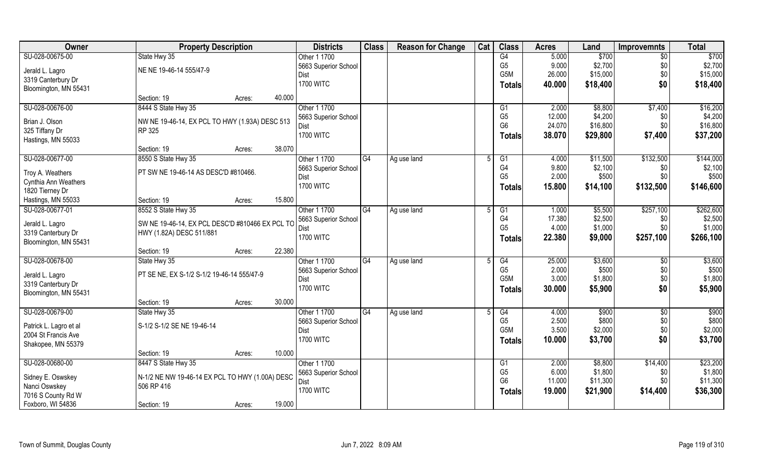| Owner                  | <b>Property Description</b>                     | <b>Districts</b> | <b>Class</b>                 | <b>Reason for Change</b> | Cat         | <b>Class</b> | <b>Acres</b>                      | Land            | <b>Improvemnts</b> | <b>Total</b>    |                  |
|------------------------|-------------------------------------------------|------------------|------------------------------|--------------------------|-------------|--------------|-----------------------------------|-----------------|--------------------|-----------------|------------------|
| SU-028-00675-00        | State Hwy 35                                    |                  | Other 1 1700                 |                          |             |              | G4                                | 5.000           | \$700              | $\overline{50}$ | \$700            |
| Jerald L. Lagro        | NE NE 19-46-14 555/47-9                         |                  | 5663 Superior School         |                          |             |              | G <sub>5</sub>                    | 9.000           | \$2,700            | \$0             | \$2,700          |
| 3319 Canterbury Dr     |                                                 |                  | Dist                         |                          |             |              | G5M                               | 26.000          | \$15,000           | \$0             | \$15,000         |
| Bloomington, MN 55431  |                                                 |                  | <b>1700 WITC</b>             |                          |             |              | <b>Totals</b>                     | 40.000          | \$18,400           | \$0             | \$18,400         |
|                        | Section: 19                                     | 40.000<br>Acres: |                              |                          |             |              |                                   |                 |                    |                 |                  |
| SU-028-00676-00        | 8444 S State Hwy 35                             |                  | Other 1 1700                 |                          |             |              | G1                                | 2.000           | \$8,800            | \$7,400         | \$16,200         |
| Brian J. Olson         | NW NE 19-46-14, EX PCL TO HWY (1.93A) DESC 513  |                  | 5663 Superior School         |                          |             |              | G <sub>5</sub>                    | 12.000          | \$4,200            | \$0             | \$4,200          |
| 325 Tiffany Dr         | RP 325                                          |                  | Dist                         |                          |             |              | G <sub>6</sub>                    | 24.070          | \$16,800           | \$0             | \$16,800         |
| Hastings, MN 55033     |                                                 |                  | <b>1700 WITC</b>             |                          |             |              | <b>Totals</b>                     | 38.070          | \$29,800           | \$7,400         | \$37,200         |
|                        | Section: 19                                     | 38.070<br>Acres: |                              |                          |             |              |                                   |                 |                    |                 |                  |
| SU-028-00677-00        | 8550 S State Hwy 35                             |                  | Other 1 1700                 | G4                       | Ag use land | -5           | G <sub>1</sub>                    | 4.000           | \$11,500           | \$132,500       | \$144,000        |
| Troy A. Weathers       | PT SW NE 19-46-14 AS DESC'D #810466.            |                  | 5663 Superior School         |                          |             |              | G <sub>4</sub>                    | 9.800           | \$2,100            | \$0             | \$2,100          |
| Cynthia Ann Weathers   |                                                 |                  | Dist                         |                          |             |              | G <sub>5</sub>                    | 2.000           | \$500              | \$0             | \$500            |
| 1820 Tierney Dr        |                                                 |                  | <b>1700 WITC</b>             |                          |             |              | Totals                            | 15.800          | \$14,100           | \$132,500       | \$146,600        |
| Hastings, MN 55033     | Section: 19                                     | 15.800<br>Acres: |                              |                          |             |              |                                   |                 |                    |                 |                  |
| SU-028-00677-01        | 8552 S State Hwy 35                             |                  | Other 1 1700                 | G4                       | Ag use land |              | G1                                | 1.000           | \$5,500            | \$257,100       | \$262,600        |
|                        |                                                 |                  | 5663 Superior School         |                          |             |              | G4                                | 17.380          | \$2,500            | \$0             | \$2,500          |
| Jerald L. Lagro        | SW NE 19-46-14, EX PCL DESC'D #810466 EX PCL TO |                  | <b>Dist</b>                  |                          |             |              | G <sub>5</sub>                    | 4.000           | \$1,000            | \$0             | \$1,000          |
| 3319 Canterbury Dr     | HWY (1.82A) DESC 511/881                        |                  | <b>1700 WITC</b>             |                          |             |              | <b>Totals</b>                     | 22.380          | \$9,000            | \$257,100       | \$266,100        |
| Bloomington, MN 55431  |                                                 | 22.380           |                              |                          |             |              |                                   |                 |                    |                 |                  |
| SU-028-00678-00        | Section: 19                                     | Acres:           |                              | $\overline{G4}$          |             |              |                                   |                 |                    |                 |                  |
|                        | State Hwy 35                                    |                  | Other 1 1700                 |                          | Ag use land |              | $\overline{G4}$<br>G <sub>5</sub> | 25.000<br>2.000 | \$3,600<br>\$500   | \$0<br>\$0      | \$3,600<br>\$500 |
| Jerald L. Lagro        | PT SE NE, EX S-1/2 S-1/2 19-46-14 555/47-9      |                  | 5663 Superior School<br>Dist |                          |             |              | G <sub>5</sub> M                  | 3.000           | \$1,800            | \$0             | \$1,800          |
| 3319 Canterbury Dr     |                                                 |                  | <b>1700 WITC</b>             |                          |             |              |                                   | 30.000          | \$5,900            | \$0             | \$5,900          |
| Bloomington, MN 55431  |                                                 |                  |                              |                          |             |              | <b>Totals</b>                     |                 |                    |                 |                  |
|                        | Section: 19                                     | 30.000<br>Acres: |                              |                          |             |              |                                   |                 |                    |                 |                  |
| SU-028-00679-00        | State Hwy 35                                    |                  | Other 1 1700                 | G4                       | Ag use land |              | G4                                | 4.000           | \$900              | \$0             | \$900            |
| Patrick L. Lagro et al | S-1/2 S-1/2 SE NE 19-46-14                      |                  | 5663 Superior School         |                          |             |              | G <sub>5</sub>                    | 2.500           | \$800              | \$0             | \$800            |
| 2004 St Francis Ave    |                                                 |                  | Dist                         |                          |             |              | G <sub>5</sub> M                  | 3.500           | \$2,000            | \$0             | \$2,000          |
| Shakopee, MN 55379     |                                                 |                  | <b>1700 WITC</b>             |                          |             |              | Totals                            | 10.000          | \$3,700            | \$0             | \$3,700          |
|                        | Section: 19                                     | 10.000<br>Acres: |                              |                          |             |              |                                   |                 |                    |                 |                  |
| SU-028-00680-00        | 8447 S State Hwy 35                             |                  | Other 1 1700                 |                          |             |              | G <sub>1</sub>                    | 2.000           | \$8,800            | \$14,400        | \$23,200         |
| Sidney E. Oswskey      | N-1/2 NE NW 19-46-14 EX PCL TO HWY (1.00A) DESC |                  | 5663 Superior School         |                          |             |              | G <sub>5</sub>                    | 6.000           | \$1,800            | \$0             | \$1,800          |
| Nanci Oswskey          | 506 RP 416                                      |                  | Dist                         |                          |             |              | G <sub>6</sub>                    | 11.000          | \$11,300           | \$0             | \$11,300         |
| 7016 S County Rd W     |                                                 |                  | <b>1700 WITC</b>             |                          |             |              | Totals                            | 19.000          | \$21,900           | \$14,400        | \$36,300         |
| Foxboro, WI 54836      | Section: 19                                     | 19.000<br>Acres: |                              |                          |             |              |                                   |                 |                    |                 |                  |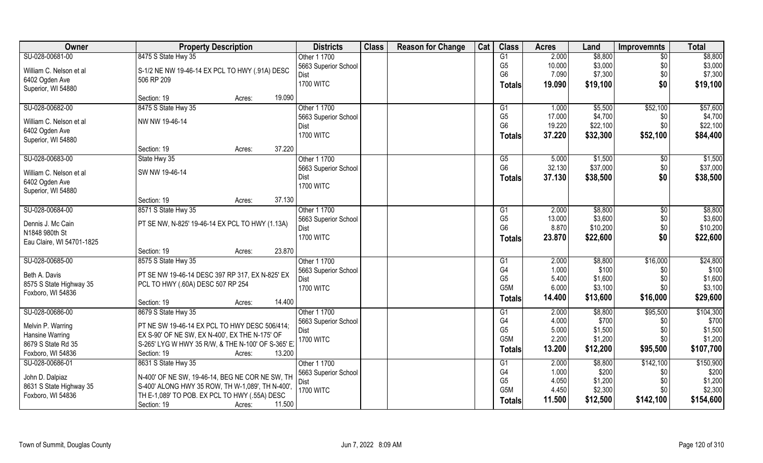| Owner                                      | <b>Property Description</b>                                                                         |        | <b>Districts</b> | <b>Class</b>                 | <b>Reason for Change</b> | Cat | <b>Class</b> | <b>Acres</b>     | Land           | <b>Improvemnts</b> | <b>Total</b>  |                   |
|--------------------------------------------|-----------------------------------------------------------------------------------------------------|--------|------------------|------------------------------|--------------------------|-----|--------------|------------------|----------------|--------------------|---------------|-------------------|
| SU-028-00681-00                            | 8475 S State Hwy 35                                                                                 |        |                  | Other 1 1700                 |                          |     |              | G1               | 2.000          | \$8,800            | $\sqrt{6}$    | \$8,800           |
| William C. Nelson et al                    | S-1/2 NE NW 19-46-14 EX PCL TO HWY (.91A) DESC                                                      |        |                  | 5663 Superior School         |                          |     |              | G <sub>5</sub>   | 10.000         | \$3,000            | \$0           | \$3,000           |
| 6402 Ogden Ave                             | 506 RP 209                                                                                          |        |                  | Dist                         |                          |     |              | G <sub>6</sub>   | 7.090          | \$7,300            | \$0           | \$7,300           |
| Superior, WI 54880                         |                                                                                                     |        |                  | <b>1700 WITC</b>             |                          |     |              | <b>Totals</b>    | 19.090         | \$19,100           | \$0           | \$19,100          |
|                                            | Section: 19                                                                                         | Acres: | 19.090           |                              |                          |     |              |                  |                |                    |               |                   |
| SU-028-00682-00                            | 8475 S State Hwy 35                                                                                 |        |                  | Other 1 1700                 |                          |     |              | G1               | 1.000          | \$5,500            | \$52,100      | \$57,600          |
| William C. Nelson et al                    | NW NW 19-46-14                                                                                      |        |                  | 5663 Superior School         |                          |     |              | G <sub>5</sub>   | 17.000         | \$4,700            | \$0           | \$4,700           |
| 6402 Ogden Ave                             |                                                                                                     |        |                  | Dist                         |                          |     |              | G <sub>6</sub>   | 19.220         | \$22,100           | \$0           | \$22,100          |
| Superior, WI 54880                         |                                                                                                     |        |                  | <b>1700 WITC</b>             |                          |     |              | <b>Totals</b>    | 37.220         | \$32,300           | \$52,100      | \$84,400          |
|                                            | Section: 19                                                                                         | Acres: | 37.220           |                              |                          |     |              |                  |                |                    |               |                   |
| SU-028-00683-00                            | State Hwy 35                                                                                        |        |                  | Other 1 1700                 |                          |     |              | G5               | 5.000          | \$1,500            | \$0           | \$1,500           |
| William C. Nelson et al                    | SW NW 19-46-14                                                                                      |        |                  | 5663 Superior School         |                          |     |              | G <sub>6</sub>   | 32.130         | \$37,000           | \$0           | \$37,000          |
| 6402 Ogden Ave                             |                                                                                                     |        |                  | Dist                         |                          |     |              | Totals           | 37.130         | \$38,500           | \$0           | \$38,500          |
| Superior, WI 54880                         |                                                                                                     |        |                  | <b>1700 WITC</b>             |                          |     |              |                  |                |                    |               |                   |
|                                            | Section: 19                                                                                         | Acres: | 37.130           |                              |                          |     |              |                  |                |                    |               |                   |
| SU-028-00684-00                            | 8571 S State Hwy 35                                                                                 |        |                  | Other 1 1700                 |                          |     |              | G1               | 2.000          | \$8,800            | $\sqrt[6]{3}$ | \$8,800           |
|                                            |                                                                                                     |        |                  | 5663 Superior School         |                          |     |              | G <sub>5</sub>   | 13.000         | \$3,600            | \$0           | \$3,600           |
| Dennis J. Mc Cain                          | PT SE NW, N-825' 19-46-14 EX PCL TO HWY (1.13A)                                                     |        |                  | Dist                         |                          |     |              | G <sub>6</sub>   | 8.870          | \$10,200           | \$0           | \$10,200          |
| N1848 980th St                             |                                                                                                     |        |                  | <b>1700 WITC</b>             |                          |     |              | <b>Totals</b>    | 23.870         | \$22,600           | \$0           | \$22,600          |
| Eau Claire, WI 54701-1825                  |                                                                                                     |        |                  |                              |                          |     |              |                  |                |                    |               |                   |
|                                            | Section: 19                                                                                         | Acres: | 23.870           |                              |                          |     |              |                  |                |                    |               |                   |
| SU-028-00685-00                            | 8575 S State Hwy 35                                                                                 |        |                  | Other 1 1700                 |                          |     |              | G1<br>G4         | 2.000<br>1.000 | \$8,800<br>\$100   | \$16,000      | \$24,800<br>\$100 |
| Beth A. Davis                              | PT SE NW 19-46-14 DESC 397 RP 317, EX N-825' EX                                                     |        |                  | 5663 Superior School<br>Dist |                          |     |              | G <sub>5</sub>   | 5.400          | \$1,600            | \$0<br>\$0    | \$1,600           |
| 8575 S State Highway 35                    | PCL TO HWY (.60A) DESC 507 RP 254                                                                   |        |                  | <b>1700 WITC</b>             |                          |     |              | G <sub>5</sub> M | 6.000          | \$3,100            | \$0           | \$3,100           |
| Foxboro, WI 54836                          |                                                                                                     |        |                  |                              |                          |     |              | <b>Totals</b>    | 14.400         | \$13,600           | \$16,000      | \$29,600          |
|                                            | Section: 19                                                                                         | Acres: | 14.400           |                              |                          |     |              |                  |                |                    |               |                   |
| SU-028-00686-00                            | 8679 S State Hwy 35                                                                                 |        |                  | Other 1 1700                 |                          |     |              | G1               | 2.000          | \$8,800            | \$95,500      | \$104,300         |
| Melvin P. Warring                          | PT NE SW 19-46-14 EX PCL TO HWY DESC 506/414;                                                       |        |                  | 5663 Superior School         |                          |     |              | G <sub>4</sub>   | 4.000          | \$700              | \$0           | \$700             |
| Hansine Warring                            | EX S-90' OF NE SW, EX N-400', EX THE N-175' OF                                                      |        |                  | Dist                         |                          |     |              | G <sub>5</sub>   | 5.000          | \$1,500            | \$0           | \$1,500           |
| 8679 S State Rd 35                         | S-265' LYG W HWY 35 R/W, & THE N-100' OF S-365' E.                                                  |        |                  | <b>1700 WITC</b>             |                          |     |              | G <sub>5</sub> M | 2.200          | \$1,200            | \$0           | \$1,200           |
| Foxboro, WI 54836                          | Section: 19                                                                                         | Acres: | 13.200           |                              |                          |     |              | <b>Totals</b>    | 13.200         | \$12,200           | \$95,500      | \$107,700         |
| SU-028-00686-01                            | 8631 S State Hwy 35                                                                                 |        |                  | Other 1 1700                 |                          |     |              | G1               | 2.000          | \$8,800            | \$142,100     | \$150,900         |
|                                            |                                                                                                     |        |                  | 5663 Superior School         |                          |     |              | G4               | 1.000          | \$200              | \$0           | \$200             |
| John D. Dalpiaz<br>8631 S State Highway 35 | N-400' OF NE SW, 19-46-14, BEG NE COR NE SW, TH<br>S-400' ALONG HWY 35 ROW, TH W-1,089', TH N-400', |        |                  | Dist                         |                          |     |              | G <sub>5</sub>   | 4.050          | \$1,200            | \$0           | \$1,200           |
| Foxboro, WI 54836                          | TH E-1,089' TO POB. EX PCL TO HWY (.55A) DESC                                                       |        |                  | <b>1700 WITC</b>             |                          |     |              | G <sub>5</sub> M | 4.450          | \$2,300            | \$0           | \$2,300           |
|                                            | Section: 19                                                                                         | Acres: | 11.500           |                              |                          |     |              | <b>Totals</b>    | 11.500         | \$12,500           | \$142,100     | \$154,600         |
|                                            |                                                                                                     |        |                  |                              |                          |     |              |                  |                |                    |               |                   |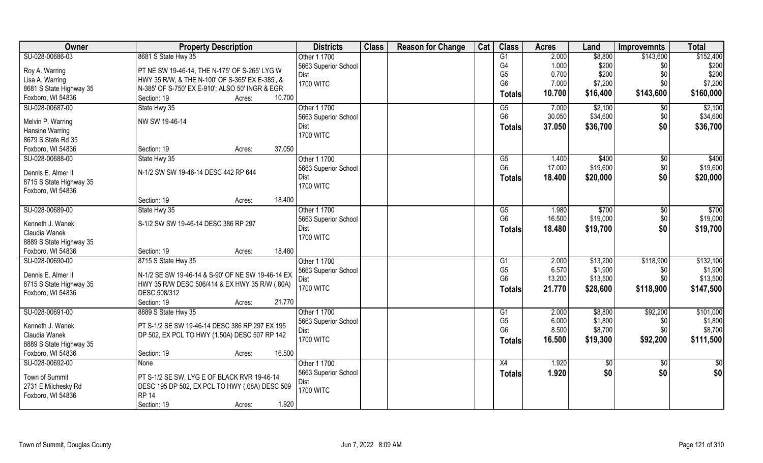| Owner                             | <b>Property Description</b>                       | <b>Districts</b>     | <b>Class</b> | <b>Reason for Change</b> | Cat | <b>Class</b>    | <b>Acres</b> | Land     | <b>Improvemnts</b> | <b>Total</b> |
|-----------------------------------|---------------------------------------------------|----------------------|--------------|--------------------------|-----|-----------------|--------------|----------|--------------------|--------------|
| SU-028-00686-03                   | 8681 S State Hwy 35                               | Other 1 1700         |              |                          |     | G1              | 2.000        | \$8,800  | \$143,600          | \$152,400    |
| Roy A. Warring                    | PT NE SW 19-46-14, THE N-175' OF S-265' LYG W     | 5663 Superior School |              |                          |     | G4              | 1.000        | \$200    | \$0                | \$200        |
| Lisa A. Warring                   | HWY 35 R/W, & THE N-100' OF S-365' EX E-385', &   | Dist                 |              |                          |     | G <sub>5</sub>  | 0.700        | \$200    | \$0                | \$200        |
| 8681 S State Highway 35           | N-385' OF S-750' EX E-910'; ALSO 50' INGR & EGR   | <b>1700 WITC</b>     |              |                          |     | G <sub>6</sub>  | 7.000        | \$7,200  | \$0                | \$7,200      |
| Foxboro, WI 54836                 | 10.700<br>Section: 19<br>Acres:                   |                      |              |                          |     | <b>Totals</b>   | 10.700       | \$16,400 | \$143,600          | \$160,000    |
| SU-028-00687-00                   | State Hwy 35                                      | Other 1 1700         |              |                          |     | G5              | 7.000        | \$2,100  | $\sqrt[6]{30}$     | \$2,100      |
|                                   |                                                   | 5663 Superior School |              |                          |     | G <sub>6</sub>  | 30.050       | \$34,600 | \$0                | \$34,600     |
| Melvin P. Warring                 | NW SW 19-46-14                                    | Dist                 |              |                          |     | <b>Totals</b>   | 37.050       | \$36,700 | \$0                | \$36,700     |
| <b>Hansine Warring</b>            |                                                   | <b>1700 WITC</b>     |              |                          |     |                 |              |          |                    |              |
| 8679 S State Rd 35                |                                                   |                      |              |                          |     |                 |              |          |                    |              |
| Foxboro, WI 54836                 | 37.050<br>Section: 19<br>Acres:                   |                      |              |                          |     |                 |              |          |                    |              |
| SU-028-00688-00                   | State Hwy 35                                      | Other 1 1700         |              |                          |     | G5              | 1.400        | \$400    | \$0                | \$400        |
| Dennis E. Almer II                | N-1/2 SW SW 19-46-14 DESC 442 RP 644              | 5663 Superior School |              |                          |     | G <sub>6</sub>  | 17.000       | \$19,600 | \$0                | \$19,600     |
| 8715 S State Highway 35           |                                                   | Dist                 |              |                          |     | Totals          | 18.400       | \$20,000 | \$0                | \$20,000     |
| Foxboro, WI 54836                 |                                                   | <b>1700 WITC</b>     |              |                          |     |                 |              |          |                    |              |
|                                   | 18.400<br>Section: 19<br>Acres:                   |                      |              |                          |     |                 |              |          |                    |              |
| SU-028-00689-00                   | State Hwy 35                                      | Other 1 1700         |              |                          |     | G5              | 1.980        | \$700    | \$0                | \$700        |
|                                   |                                                   | 5663 Superior School |              |                          |     | G <sub>6</sub>  | 16.500       | \$19,000 | \$0                | \$19,000     |
| Kenneth J. Wanek<br>Claudia Wanek | S-1/2 SW SW 19-46-14 DESC 386 RP 297              | Dist                 |              |                          |     | <b>Totals</b>   | 18.480       | \$19,700 | \$0                | \$19,700     |
| 8889 S State Highway 35           |                                                   | <b>1700 WITC</b>     |              |                          |     |                 |              |          |                    |              |
| Foxboro, WI 54836                 | 18.480<br>Section: 19<br>Acres:                   |                      |              |                          |     |                 |              |          |                    |              |
| SU-028-00690-00                   | 8715 S State Hwy 35                               | Other 1 1700         |              |                          |     | $\overline{G1}$ | 2.000        | \$13,200 | \$118,900          | \$132,100    |
|                                   |                                                   | 5663 Superior School |              |                          |     | G <sub>5</sub>  | 6.570        | \$1,900  | \$0                | \$1,900      |
| Dennis E. Almer II                | N-1/2 SE SW 19-46-14 & S-90' OF NE SW 19-46-14 EX | Dist                 |              |                          |     | G <sub>6</sub>  | 13.200       | \$13,500 | \$0                | \$13,500     |
| 8715 S State Highway 35           | HWY 35 R/W DESC 506/414 & EX HWY 35 R/W (.80A)    | <b>1700 WITC</b>     |              |                          |     | <b>Totals</b>   | 21.770       | \$28,600 | \$118,900          | \$147,500    |
| Foxboro, WI 54836                 | DESC 508/312                                      |                      |              |                          |     |                 |              |          |                    |              |
|                                   | Section: 19<br>21.770<br>Acres:                   |                      |              |                          |     |                 |              |          |                    |              |
| SU-028-00691-00                   | 8889 S State Hwy 35                               | Other 1 1700         |              |                          |     | G1              | 2.000        | \$8,800  | \$92,200           | \$101,000    |
| Kenneth J. Wanek                  | PT S-1/2 SE SW 19-46-14 DESC 386 RP 297 EX 195    | 5663 Superior School |              |                          |     | G <sub>5</sub>  | 6.000        | \$1,800  | \$0                | \$1,800      |
| Claudia Wanek                     | DP 502, EX PCL TO HWY (1.50A) DESC 507 RP 142     | Dist                 |              |                          |     | G <sub>6</sub>  | 8.500        | \$8,700  | \$0                | \$8,700      |
| 8889 S State Highway 35           |                                                   | <b>1700 WITC</b>     |              |                          |     | <b>Totals</b>   | 16.500       | \$19,300 | \$92,200           | \$111,500    |
| Foxboro, WI 54836                 | 16.500<br>Section: 19<br>Acres:                   |                      |              |                          |     |                 |              |          |                    |              |
| SU-028-00692-00                   | None                                              | Other 1 1700         |              |                          |     | X4              | 1.920        | \$0      | $\sqrt{6}$         | $rac{1}{2}$  |
|                                   |                                                   | 5663 Superior School |              |                          |     | <b>Totals</b>   | 1.920        | \$0      | \$0                | \$0          |
| Town of Summit                    | PT S-1/2 SE SW, LYG E OF BLACK RVR 19-46-14       | Dist                 |              |                          |     |                 |              |          |                    |              |
| 2731 E Milchesky Rd               | DESC 195 DP 502, EX PCL TO HWY (.08A) DESC 509    | <b>1700 WITC</b>     |              |                          |     |                 |              |          |                    |              |
| Foxboro, WI 54836                 | <b>RP 14</b>                                      |                      |              |                          |     |                 |              |          |                    |              |
|                                   | 1.920<br>Section: 19<br>Acres:                    |                      |              |                          |     |                 |              |          |                    |              |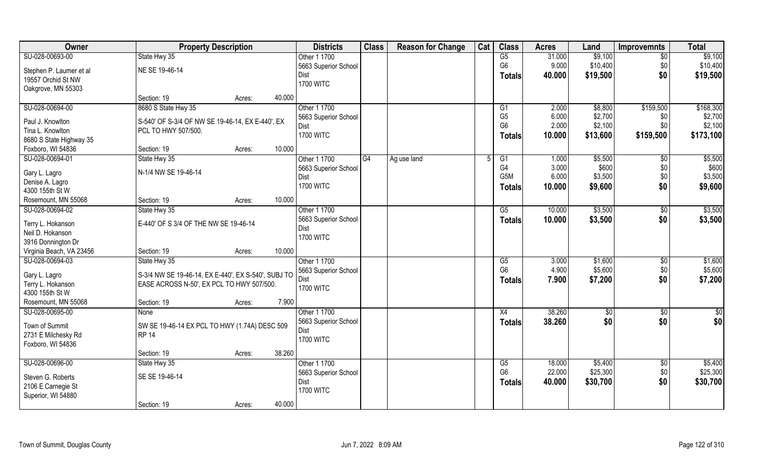| Owner                                | <b>Property Description</b>                                             |                  | <b>Districts</b>     | <b>Class</b> | <b>Reason for Change</b> | Cat | <b>Class</b>           | <b>Acres</b> | Land     | <b>Improvemnts</b> | <b>Total</b>    |
|--------------------------------------|-------------------------------------------------------------------------|------------------|----------------------|--------------|--------------------------|-----|------------------------|--------------|----------|--------------------|-----------------|
| SU-028-00693-00                      | State Hwy 35                                                            |                  | Other 1 1700         |              |                          |     | G5                     | 31.000       | \$9,100  | $\overline{30}$    | \$9,100         |
| Stephen P. Laumer et al              | NE SE 19-46-14                                                          |                  | 5663 Superior School |              |                          |     | G <sub>6</sub>         | 9.000        | \$10,400 | \$0                | \$10,400        |
| 19557 Orchid St NW                   |                                                                         |                  | Dist                 |              |                          |     | <b>Totals</b>          | 40.000       | \$19,500 | \$0                | \$19,500        |
| Oakgrove, MN 55303                   |                                                                         |                  | <b>1700 WITC</b>     |              |                          |     |                        |              |          |                    |                 |
|                                      | Section: 19                                                             | 40.000<br>Acres: |                      |              |                          |     |                        |              |          |                    |                 |
| SU-028-00694-00                      | 8680 S State Hwy 35                                                     |                  | Other 1 1700         |              |                          |     | G1                     | 2.000        | \$8,800  | \$159,500          | \$168,300       |
| Paul J. Knowlton                     |                                                                         |                  | 5663 Superior School |              |                          |     | G <sub>5</sub>         | 6.000        | \$2,700  | \$0                | \$2,700         |
| Tina L. Knowlton                     | S-540' OF S-3/4 OF NW SE 19-46-14, EX E-440', EX<br>PCL TO HWY 507/500. |                  | Dist                 |              |                          |     | G <sub>6</sub>         | 2.000        | \$2,100  | \$0                | \$2,100         |
| 8680 S State Highway 35              |                                                                         |                  | <b>1700 WITC</b>     |              |                          |     | <b>Totals</b>          | 10.000       | \$13,600 | \$159,500          | \$173,100       |
| Foxboro, WI 54836                    | Section: 19                                                             | 10.000<br>Acres: |                      |              |                          |     |                        |              |          |                    |                 |
| SU-028-00694-01                      | State Hwy 35                                                            |                  | Other 1 1700         | G4           | Ag use land              | .5  | G1                     | 1.000        | \$5,500  | \$0                | \$5,500         |
|                                      |                                                                         |                  | 5663 Superior School |              |                          |     | G4                     | 3.000        | \$600    | \$0                | \$600           |
| Gary L. Lagro                        | N-1/4 NW SE 19-46-14                                                    |                  | Dist                 |              |                          |     | G <sub>5</sub> M       | 6.000        | \$3,500  | \$0                | \$3,500         |
| Denise A. Lagro                      |                                                                         |                  | <b>1700 WITC</b>     |              |                          |     | Totals                 | 10.000       | \$9,600  | \$0                | \$9,600         |
| 4300 155th St W                      |                                                                         |                  |                      |              |                          |     |                        |              |          |                    |                 |
| Rosemount, MN 55068                  | Section: 19                                                             | 10.000<br>Acres: |                      |              |                          |     |                        |              |          |                    |                 |
| SU-028-00694-02                      | State Hwy 35                                                            |                  | Other 1 1700         |              |                          |     | G5                     | 10.000       | \$3,500  | \$0                | \$3,500         |
| Terry L. Hokanson                    | E-440' OF S 3/4 OF THE NW SE 19-46-14                                   |                  | 5663 Superior School |              |                          |     | <b>Totals</b>          | 10.000       | \$3,500  | \$0                | \$3,500         |
| Neil D. Hokanson                     |                                                                         |                  | Dist                 |              |                          |     |                        |              |          |                    |                 |
| 3916 Donnington Dr                   |                                                                         |                  | <b>1700 WITC</b>     |              |                          |     |                        |              |          |                    |                 |
| Virginia Beach, VA 23456             | Section: 19                                                             | 10.000<br>Acres: |                      |              |                          |     |                        |              |          |                    |                 |
| SU-028-00694-03                      | State Hwy 35                                                            |                  | Other 1 1700         |              |                          |     | $\overline{\text{G5}}$ | 3.000        | \$1,600  | \$0                | \$1,600         |
|                                      |                                                                         |                  | 5663 Superior School |              |                          |     | G <sub>6</sub>         | 4.900        | \$5,600  | \$0                | \$5,600         |
| Gary L. Lagro                        | S-3/4 NW SE 19-46-14, EX E-440', EX S-540', SUBJ TO                     |                  | Dist                 |              |                          |     | <b>Totals</b>          | 7.900        | \$7,200  | \$0                | \$7,200         |
| Terry L. Hokanson<br>4300 155th St W | EASE ACROSS N-50', EX PCL TO HWY 507/500.                               |                  | <b>1700 WITC</b>     |              |                          |     |                        |              |          |                    |                 |
| Rosemount, MN 55068                  | Section: 19                                                             | 7.900<br>Acres:  |                      |              |                          |     |                        |              |          |                    |                 |
| SU-028-00695-00                      | None                                                                    |                  | Other 1 1700         |              |                          |     | X4                     | 38.260       | \$0      | \$0                | $\overline{50}$ |
|                                      |                                                                         |                  | 5663 Superior School |              |                          |     |                        | 38.260       | \$0      | \$0                | \$0             |
| Town of Summit                       | SW SE 19-46-14 EX PCL TO HWY (1.74A) DESC 509                           |                  | Dist                 |              |                          |     | <b>Totals</b>          |              |          |                    |                 |
| 2731 E Milchesky Rd                  | <b>RP 14</b>                                                            |                  | <b>1700 WITC</b>     |              |                          |     |                        |              |          |                    |                 |
| Foxboro, WI 54836                    |                                                                         |                  |                      |              |                          |     |                        |              |          |                    |                 |
|                                      | Section: 19                                                             | 38.260<br>Acres: |                      |              |                          |     |                        |              |          |                    |                 |
| SU-028-00696-00                      | State Hwy 35                                                            |                  | Other 1 1700         |              |                          |     | G5                     | 18.000       | \$5,400  | $\overline{50}$    | \$5,400         |
| Steven G. Roberts                    | SE SE 19-46-14                                                          |                  | 5663 Superior School |              |                          |     | G <sub>6</sub>         | 22.000       | \$25,300 | \$0                | \$25,300        |
| 2106 E Carnegie St                   |                                                                         |                  | Dist                 |              |                          |     | <b>Totals</b>          | 40.000       | \$30,700 | \$0                | \$30,700        |
| Superior, WI 54880                   |                                                                         |                  | <b>1700 WITC</b>     |              |                          |     |                        |              |          |                    |                 |
|                                      | Section: 19                                                             | 40.000<br>Acres: |                      |              |                          |     |                        |              |          |                    |                 |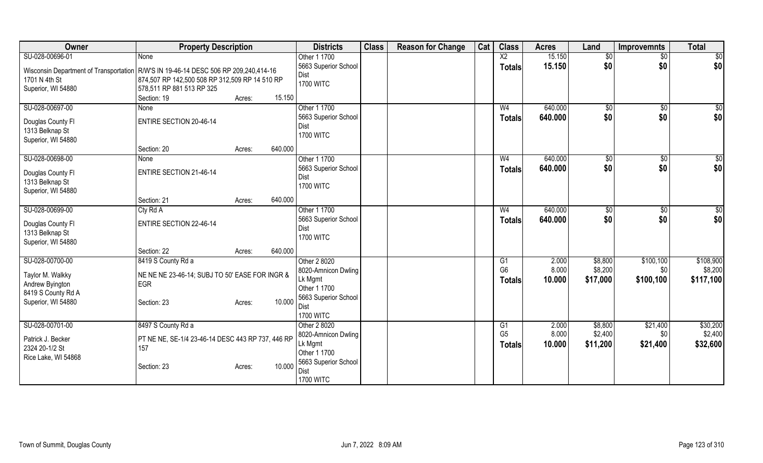| Owner                                                                                              | <b>Property Description</b>                                                                                                                                                                                     | <b>Districts</b>                                                                                                   | <b>Class</b> | <b>Reason for Change</b> | Cat | <b>Class</b>                          | <b>Acres</b>             | Land                           | <b>Improvemnts</b>            | <b>Total</b>                      |
|----------------------------------------------------------------------------------------------------|-----------------------------------------------------------------------------------------------------------------------------------------------------------------------------------------------------------------|--------------------------------------------------------------------------------------------------------------------|--------------|--------------------------|-----|---------------------------------------|--------------------------|--------------------------------|-------------------------------|-----------------------------------|
| SU-028-00696-01<br>1701 N 4th St<br>Superior, WI 54880                                             | None<br>Wisconsin Department of Transportation   R/W'S IN 19-46-14 DESC 506 RP 209,240,414-16<br>874,507 RP 142,500 508 RP 312,509 RP 14 510 RP<br>578,511 RP 881 513 RP 325<br>Section: 19<br>15.150<br>Acres: | Other 1 1700<br>5663 Superior School<br>Dist<br><b>1700 WITC</b>                                                   |              |                          |     | $\overline{X2}$<br>Totals             | 15.150<br>15.150         | $\overline{50}$<br>\$0         | $\overline{50}$<br>\$0        | $\overline{50}$<br>\$0            |
| SU-028-00697-00<br>Douglas County FI<br>1313 Belknap St<br>Superior, WI 54880                      | None<br><b>ENTIRE SECTION 20-46-14</b><br>640.000<br>Section: 20<br>Acres:                                                                                                                                      | Other 1 1700<br>5663 Superior School<br>Dist<br><b>1700 WITC</b>                                                   |              |                          |     | W <sub>4</sub><br><b>Totals</b>       | 640.000<br>640.000       | \$0<br>\$0                     | \$0<br>\$0                    | \$0<br>\$0                        |
| SU-028-00698-00<br>Douglas County FI<br>1313 Belknap St<br>Superior, WI 54880                      | None<br><b>ENTIRE SECTION 21-46-14</b><br>640.000<br>Section: 21<br>Acres:                                                                                                                                      | Other 1 1700<br>5663 Superior School<br>Dist<br><b>1700 WITC</b>                                                   |              |                          |     | W <sub>4</sub><br>Totals              | 640.000<br>640.000       | \$0<br>\$0                     | \$0<br>\$0                    | $\sqrt{50}$<br>\$0                |
| SU-028-00699-00<br>Douglas County FI<br>1313 Belknap St<br>Superior, WI 54880                      | Cty Rd A<br><b>ENTIRE SECTION 22-46-14</b><br>640.000<br>Section: 22<br>Acres:                                                                                                                                  | Other 1 1700<br>5663 Superior School<br>Dist<br><b>1700 WITC</b>                                                   |              |                          |     | W <sub>4</sub><br>Totals              | 640.000<br>640.000       | \$<br>\$0                      | $\sqrt[6]{30}$<br>\$0         | \$0<br>\$0                        |
| SU-028-00700-00<br>Taylor M. Walkky<br>Andrew Byington<br>8419 S County Rd A<br>Superior, WI 54880 | 8419 S County Rd a<br>NE NE NE 23-46-14; SUBJ TO 50' EASE FOR INGR &<br><b>EGR</b><br>10.000<br>Section: 23<br>Acres:                                                                                           | Other 2 8020<br>8020-Amnicon Dwling<br>Lk Mgmt<br>Other 1 1700<br>5663 Superior School<br>Dist<br><b>1700 WITC</b> |              |                          |     | G1<br>G <sub>6</sub><br><b>Totals</b> | 2.000<br>8.000<br>10.000 | \$8,800<br>\$8,200<br>\$17,000 | \$100,100<br>\$0<br>\$100,100 | \$108,900<br>\$8,200<br>\$117,100 |
| SU-028-00701-00<br>Patrick J. Becker<br>2324 20-1/2 St<br>Rice Lake, WI 54868                      | 8497 S County Rd a<br>PT NE NE, SE-1/4 23-46-14 DESC 443 RP 737, 446 RP<br>157<br>10.000<br>Section: 23<br>Acres:                                                                                               | Other 2 8020<br>8020-Amnicon Dwling<br>Lk Mgmt<br>Other 1 1700<br>5663 Superior School<br>Dist<br><b>1700 WITC</b> |              |                          |     | G1<br>G <sub>5</sub><br><b>Totals</b> | 2.000<br>8.000<br>10.000 | \$8,800<br>\$2,400<br>\$11,200 | \$21,400<br>\$0<br>\$21,400   | \$30,200<br>\$2,400<br>\$32,600   |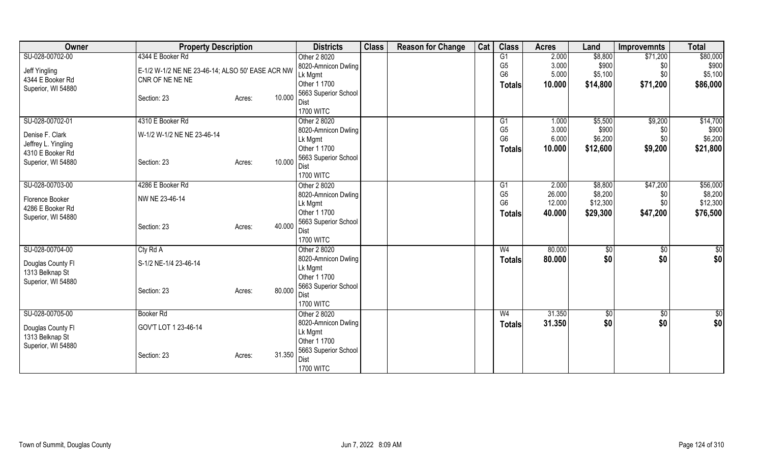| <b>Owner</b>        | <b>Property Description</b>                      |        |        | <b>Districts</b>         | <b>Class</b> | <b>Reason for Change</b> | Cat | <b>Class</b>   | <b>Acres</b> | Land        | <b>Improvemnts</b> | <b>Total</b>  |
|---------------------|--------------------------------------------------|--------|--------|--------------------------|--------------|--------------------------|-----|----------------|--------------|-------------|--------------------|---------------|
| SU-028-00702-00     | 4344 E Booker Rd                                 |        |        | Other 2 8020             |              |                          |     | G1             | 2.000        | \$8,800     | \$71,200           | \$80,000      |
| Jeff Yingling       | E-1/2 W-1/2 NE NE 23-46-14; ALSO 50' EASE ACR NW |        |        | 8020-Amnicon Dwling      |              |                          |     | G <sub>5</sub> | 3.000        | \$900       | \$0                | \$900         |
| 4344 E Booker Rd    | CNR OF NE NE NE                                  |        |        | Lk Mgmt                  |              |                          |     | G <sub>6</sub> | 5.000        | \$5,100     | \$0                | \$5,100       |
| Superior, WI 54880  |                                                  |        |        | Other 1 1700             |              |                          |     | <b>Totals</b>  | 10.000       | \$14,800    | \$71,200           | \$86,000      |
|                     | Section: 23                                      | Acres: | 10.000 | 5663 Superior School     |              |                          |     |                |              |             |                    |               |
|                     |                                                  |        |        | Dist                     |              |                          |     |                |              |             |                    |               |
|                     |                                                  |        |        | <b>1700 WITC</b>         |              |                          |     |                |              |             |                    |               |
| SU-028-00702-01     | 4310 E Booker Rd                                 |        |        | Other 2 8020             |              |                          |     | G1             | 1.000        | \$5,500     | \$9,200            | \$14,700      |
| Denise F. Clark     | W-1/2 W-1/2 NE NE 23-46-14                       |        |        | 8020-Amnicon Dwling      |              |                          |     | G <sub>5</sub> | 3.000        | \$900       | \$0                | \$900         |
| Jeffrey L. Yingling |                                                  |        |        | Lk Mgmt                  |              |                          |     | G <sub>6</sub> | 6.000        | \$6,200     | \$0                | \$6,200       |
| 4310 E Booker Rd    |                                                  |        |        | Other 1 1700             |              |                          |     | Totals         | 10.000       | \$12,600    | \$9,200            | \$21,800      |
| Superior, WI 54880  | Section: 23                                      | Acres: | 10.000 | 5663 Superior School     |              |                          |     |                |              |             |                    |               |
|                     |                                                  |        |        | Dist<br><b>1700 WITC</b> |              |                          |     |                |              |             |                    |               |
| SU-028-00703-00     | 4286 E Booker Rd                                 |        |        | Other 2 8020             |              |                          |     | G1             | 2.000        | \$8,800     | \$47,200           | \$56,000      |
|                     |                                                  |        |        | 8020-Amnicon Dwling      |              |                          |     | G <sub>5</sub> | 26.000       | \$8,200     | \$0                | \$8,200       |
| Florence Booker     | NW NE 23-46-14                                   |        |        | Lk Mgmt                  |              |                          |     | G <sub>6</sub> | 12.000       | \$12,300    | \$0                | \$12,300      |
| 4286 E Booker Rd    |                                                  |        |        | Other 1 1700             |              |                          |     | Totals         | 40.000       | \$29,300    | \$47,200           | \$76,500      |
| Superior, WI 54880  |                                                  |        |        | 5663 Superior School     |              |                          |     |                |              |             |                    |               |
|                     | Section: 23                                      | Acres: | 40.000 | Dist                     |              |                          |     |                |              |             |                    |               |
|                     |                                                  |        |        | <b>1700 WITC</b>         |              |                          |     |                |              |             |                    |               |
| SU-028-00704-00     | Cty Rd A                                         |        |        | Other 2 8020             |              |                          |     | W <sub>4</sub> | 80.000       | $\sqrt{$0}$ | $\overline{50}$    | \$0           |
| Douglas County Fl   | S-1/2 NE-1/4 23-46-14                            |        |        | 8020-Amnicon Dwling      |              |                          |     | <b>Totals</b>  | 80.000       | \$0         | \$0                | \$0           |
| 1313 Belknap St     |                                                  |        |        | Lk Mgmt                  |              |                          |     |                |              |             |                    |               |
| Superior, WI 54880  |                                                  |        |        | Other 1 1700             |              |                          |     |                |              |             |                    |               |
|                     | Section: 23                                      | Acres: | 80.000 | 5663 Superior School     |              |                          |     |                |              |             |                    |               |
|                     |                                                  |        |        | Dist                     |              |                          |     |                |              |             |                    |               |
|                     |                                                  |        |        | <b>1700 WITC</b>         |              |                          |     |                |              |             |                    |               |
| SU-028-00705-00     | <b>Booker Rd</b>                                 |        |        | Other 2 8020             |              |                          |     | W <sub>4</sub> | 31.350       | \$0         | \$0                | $\frac{1}{2}$ |
| Douglas County Fl   | GOV'T LOT 1 23-46-14                             |        |        | 8020-Amnicon Dwling      |              |                          |     | <b>Totals</b>  | 31.350       | \$0         | \$0                | \$0           |
| 1313 Belknap St     |                                                  |        |        | Lk Mgmt                  |              |                          |     |                |              |             |                    |               |
| Superior, WI 54880  |                                                  |        |        | Other 1 1700             |              |                          |     |                |              |             |                    |               |
|                     | Section: 23                                      | Acres: | 31.350 | 5663 Superior School     |              |                          |     |                |              |             |                    |               |
|                     |                                                  |        |        | Dist                     |              |                          |     |                |              |             |                    |               |
|                     |                                                  |        |        | <b>1700 WITC</b>         |              |                          |     |                |              |             |                    |               |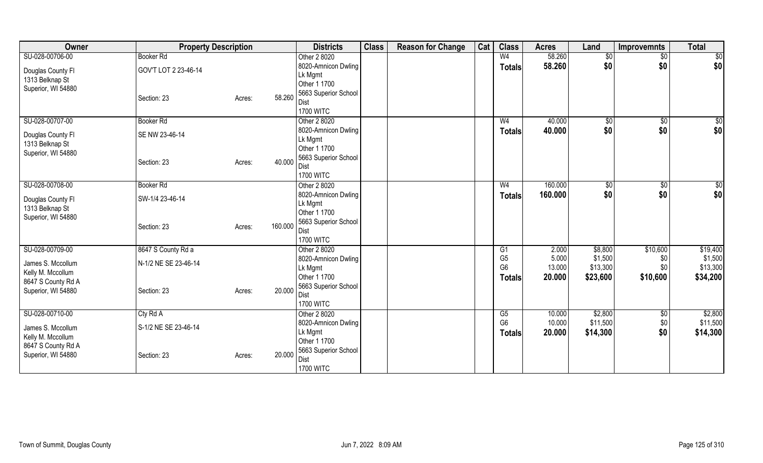| Owner              |                      | <b>Property Description</b> |         | <b>Districts</b>             | <b>Class</b> | <b>Reason for Change</b> | Cat | <b>Class</b>   | <b>Acres</b> | Land     | <b>Improvemnts</b> | <b>Total</b> |
|--------------------|----------------------|-----------------------------|---------|------------------------------|--------------|--------------------------|-----|----------------|--------------|----------|--------------------|--------------|
| SU-028-00706-00    | <b>Booker Rd</b>     |                             |         | Other 2 8020                 |              |                          |     | W <sub>4</sub> | 58.260       | \$0      | \$0                | \$0          |
| Douglas County Fl  | GOV'T LOT 2 23-46-14 |                             |         | 8020-Amnicon Dwling          |              |                          |     | <b>Totals</b>  | 58.260       | \$0      | \$0                | \$0          |
| 1313 Belknap St    |                      |                             |         | Lk Mgmt                      |              |                          |     |                |              |          |                    |              |
| Superior, WI 54880 |                      |                             |         | Other 1 1700                 |              |                          |     |                |              |          |                    |              |
|                    | Section: 23          | Acres:                      | 58.260  | 5663 Superior School         |              |                          |     |                |              |          |                    |              |
|                    |                      |                             |         | Dist                         |              |                          |     |                |              |          |                    |              |
|                    |                      |                             |         | <b>1700 WITC</b>             |              |                          |     |                |              |          |                    |              |
| SU-028-00707-00    | <b>Booker Rd</b>     |                             |         | Other 2 8020                 |              |                          |     | W <sub>4</sub> | 40.000       | \$0      | \$0                | \$0          |
| Douglas County Fl  | SE NW 23-46-14       |                             |         | 8020-Amnicon Dwling          |              |                          |     | <b>Totals</b>  | 40.000       | \$0      | \$0                | \$0          |
| 1313 Belknap St    |                      |                             |         | Lk Mgmt                      |              |                          |     |                |              |          |                    |              |
| Superior, WI 54880 |                      |                             |         | Other 1 1700                 |              |                          |     |                |              |          |                    |              |
|                    | Section: 23          | Acres:                      | 40.000  | 5663 Superior School<br>Dist |              |                          |     |                |              |          |                    |              |
|                    |                      |                             |         | <b>1700 WITC</b>             |              |                          |     |                |              |          |                    |              |
| SU-028-00708-00    | <b>Booker Rd</b>     |                             |         | Other 2 8020                 |              |                          |     | W <sub>4</sub> | 160.000      | \$0      | $\frac{1}{20}$     | \$0          |
|                    |                      |                             |         | 8020-Amnicon Dwling          |              |                          |     |                | 160.000      | \$0      | \$0                | \$0          |
| Douglas County Fl  | SW-1/4 23-46-14      |                             |         | Lk Mgmt                      |              |                          |     | <b>Totals</b>  |              |          |                    |              |
| 1313 Belknap St    |                      |                             |         | Other 1 1700                 |              |                          |     |                |              |          |                    |              |
| Superior, WI 54880 |                      |                             |         | 5663 Superior School         |              |                          |     |                |              |          |                    |              |
|                    | Section: 23          | Acres:                      | 160.000 | Dist                         |              |                          |     |                |              |          |                    |              |
|                    |                      |                             |         | <b>1700 WITC</b>             |              |                          |     |                |              |          |                    |              |
| SU-028-00709-00    | 8647 S County Rd a   |                             |         | Other 2 8020                 |              |                          |     | G1             | 2.000        | \$8,800  | \$10,600           | \$19,400     |
| James S. Mccollum  | N-1/2 NE SE 23-46-14 |                             |         | 8020-Amnicon Dwling          |              |                          |     | G <sub>5</sub> | 5.000        | \$1,500  | \$0                | \$1,500      |
| Kelly M. Mccollum  |                      |                             |         | Lk Mgmt                      |              |                          |     | G <sub>6</sub> | 13.000       | \$13,300 | \$0                | \$13,300     |
| 8647 S County Rd A |                      |                             |         | Other 1 1700                 |              |                          |     | <b>Totals</b>  | 20.000       | \$23,600 | \$10,600           | \$34,200     |
| Superior, WI 54880 | Section: 23          | Acres:                      | 20.000  | 5663 Superior School         |              |                          |     |                |              |          |                    |              |
|                    |                      |                             |         | Dist                         |              |                          |     |                |              |          |                    |              |
|                    |                      |                             |         | <b>1700 WITC</b>             |              |                          |     |                |              |          |                    |              |
| SU-028-00710-00    | Cty Rd A             |                             |         | Other 2 8020                 |              |                          |     | G5             | 10.000       | \$2,800  | \$0                | \$2,800      |
| James S. Mccollum  | S-1/2 NE SE 23-46-14 |                             |         | 8020-Amnicon Dwling          |              |                          |     | G <sub>6</sub> | 10.000       | \$11,500 | \$0                | \$11,500     |
| Kelly M. Mccollum  |                      |                             |         | Lk Mgmt                      |              |                          |     | <b>Totals</b>  | 20.000       | \$14,300 | \$0                | \$14,300     |
| 8647 S County Rd A |                      |                             |         | Other 1 1700                 |              |                          |     |                |              |          |                    |              |
| Superior, WI 54880 | Section: 23          | Acres:                      | 20.000  | 5663 Superior School         |              |                          |     |                |              |          |                    |              |
|                    |                      |                             |         | Dist                         |              |                          |     |                |              |          |                    |              |
|                    |                      |                             |         | <b>1700 WITC</b>             |              |                          |     |                |              |          |                    |              |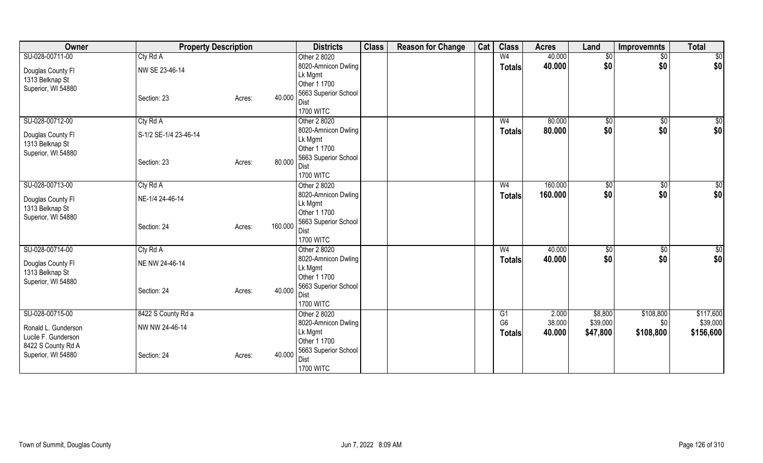| Owner                                |                       | <b>Property Description</b> |         | <b>Districts</b>             | <b>Class</b> | <b>Reason for Change</b> | Cat | <b>Class</b>   | <b>Acres</b> | Land     | <b>Improvemnts</b> | <b>Total</b> |
|--------------------------------------|-----------------------|-----------------------------|---------|------------------------------|--------------|--------------------------|-----|----------------|--------------|----------|--------------------|--------------|
| SU-028-00711-00                      | Cty Rd A              |                             |         | Other 2 8020                 |              |                          |     | W <sub>4</sub> | 40.000       | \$0      | $\sqrt{$0}$        | \$0          |
| Douglas County Fl                    | NW SE 23-46-14        |                             |         | 8020-Amnicon Dwling          |              |                          |     | Totals         | 40.000       | \$0      | \$0                | \$0          |
| 1313 Belknap St                      |                       |                             |         | Lk Mgmt                      |              |                          |     |                |              |          |                    |              |
| Superior, WI 54880                   |                       |                             |         | Other 1 1700                 |              |                          |     |                |              |          |                    |              |
|                                      | Section: 23           | Acres:                      | 40.000  | 5663 Superior School         |              |                          |     |                |              |          |                    |              |
|                                      |                       |                             |         | Dist                         |              |                          |     |                |              |          |                    |              |
|                                      |                       |                             |         | <b>1700 WITC</b>             |              |                          |     |                |              |          |                    |              |
| SU-028-00712-00                      | Cty Rd A              |                             |         | Other 2 8020                 |              |                          |     | W <sub>4</sub> | 80.000       | \$0      | $\sqrt{6}$         | \$0          |
| Douglas County Fl                    | S-1/2 SE-1/4 23-46-14 |                             |         | 8020-Amnicon Dwling          |              |                          |     | <b>Totals</b>  | 80.000       | \$0      | \$0                | \$0          |
| 1313 Belknap St                      |                       |                             |         | Lk Mgmt                      |              |                          |     |                |              |          |                    |              |
| Superior, WI 54880                   |                       |                             |         | Other 1 1700                 |              |                          |     |                |              |          |                    |              |
|                                      | Section: 23           | Acres:                      | 80.000  | 5663 Superior School<br>Dist |              |                          |     |                |              |          |                    |              |
|                                      |                       |                             |         | <b>1700 WITC</b>             |              |                          |     |                |              |          |                    |              |
| SU-028-00713-00                      | Cty Rd A              |                             |         | Other 2 8020                 |              |                          |     | W4             | 160.000      | \$0      | $\sqrt[6]{3}$      | \$0          |
|                                      |                       |                             |         | 8020-Amnicon Dwling          |              |                          |     |                | 160.000      | \$0      | \$0                | \$0          |
| Douglas County Fl                    | NE-1/4 24-46-14       |                             |         | Lk Mgmt                      |              |                          |     | <b>Totals</b>  |              |          |                    |              |
| 1313 Belknap St                      |                       |                             |         | Other 1 1700                 |              |                          |     |                |              |          |                    |              |
| Superior, WI 54880                   |                       |                             |         | 5663 Superior School         |              |                          |     |                |              |          |                    |              |
|                                      | Section: 24           | Acres:                      | 160.000 | Dist                         |              |                          |     |                |              |          |                    |              |
|                                      |                       |                             |         | <b>1700 WITC</b>             |              |                          |     |                |              |          |                    |              |
| SU-028-00714-00                      | Cty Rd A              |                             |         | Other 2 8020                 |              |                          |     | W <sub>4</sub> | 40.000       | \$0      | $\frac{1}{2}$      | \$0          |
|                                      | NE NW 24-46-14        |                             |         | 8020-Amnicon Dwling          |              |                          |     | <b>Totals</b>  | 40.000       | \$0      | \$0                | \$0          |
| Douglas County Fl<br>1313 Belknap St |                       |                             |         | Lk Mgmt                      |              |                          |     |                |              |          |                    |              |
| Superior, WI 54880                   |                       |                             |         | Other 1 1700                 |              |                          |     |                |              |          |                    |              |
|                                      | Section: 24           | Acres:                      | 40.000  | 5663 Superior School         |              |                          |     |                |              |          |                    |              |
|                                      |                       |                             |         | Dist                         |              |                          |     |                |              |          |                    |              |
|                                      |                       |                             |         | <b>1700 WITC</b>             |              |                          |     |                |              |          |                    |              |
| SU-028-00715-00                      | 8422 S County Rd a    |                             |         | Other 2 8020                 |              |                          |     | G1             | 2.000        | \$8,800  | \$108,800          | \$117,600    |
| Ronald L. Gunderson                  | NW NW 24-46-14        |                             |         | 8020-Amnicon Dwling          |              |                          |     | G <sub>6</sub> | 38.000       | \$39,000 | \$0                | \$39,000     |
| Lucile F. Gunderson                  |                       |                             |         | Lk Mgmt                      |              |                          |     | <b>Totals</b>  | 40.000       | \$47,800 | \$108,800          | \$156,600    |
| 8422 S County Rd A                   |                       |                             |         | Other 1 1700                 |              |                          |     |                |              |          |                    |              |
| Superior, WI 54880                   | Section: 24           | Acres:                      | 40.000  | 5663 Superior School         |              |                          |     |                |              |          |                    |              |
|                                      |                       |                             |         | Dist                         |              |                          |     |                |              |          |                    |              |
|                                      |                       |                             |         | <b>1700 WITC</b>             |              |                          |     |                |              |          |                    |              |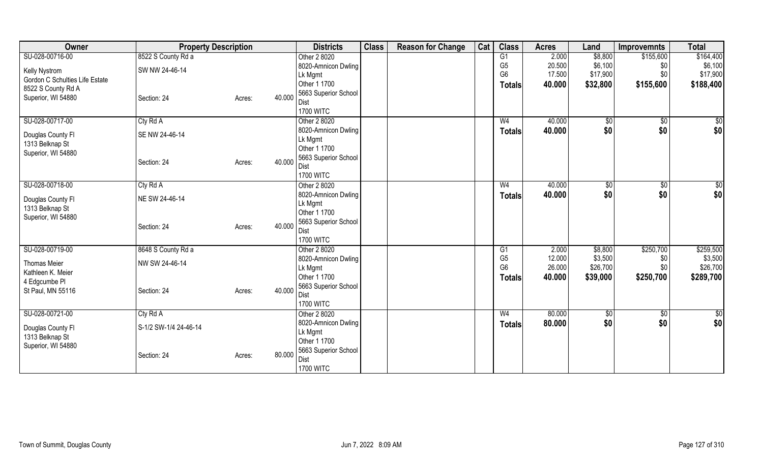| Owner                          |                       | <b>Property Description</b> |        | <b>Districts</b>                    | <b>Class</b> | <b>Reason for Change</b> | Cat | <b>Class</b>   | <b>Acres</b> | Land          | <b>Improvemnts</b> | <b>Total</b>    |
|--------------------------------|-----------------------|-----------------------------|--------|-------------------------------------|--------------|--------------------------|-----|----------------|--------------|---------------|--------------------|-----------------|
| SU-028-00716-00                | 8522 S County Rd a    |                             |        | Other 2 8020                        |              |                          |     | G1             | 2.000        | \$8,800       | \$155,600          | \$164,400       |
| Kelly Nystrom                  | SW NW 24-46-14        |                             |        | 8020-Amnicon Dwling                 |              |                          |     | G <sub>5</sub> | 20.500       | \$6,100       | \$0                | \$6,100         |
| Gordon C Schulties Life Estate |                       |                             |        | Lk Mgmt                             |              |                          |     | G <sub>6</sub> | 17.500       | \$17,900      | \$0                | \$17,900        |
| 8522 S County Rd A             |                       |                             |        | Other 1 1700                        |              |                          |     | <b>Totals</b>  | 40.000       | \$32,800      | \$155,600          | \$188,400       |
| Superior, WI 54880             | Section: 24           | Acres:                      | 40.000 | 5663 Superior School                |              |                          |     |                |              |               |                    |                 |
|                                |                       |                             |        | Dist                                |              |                          |     |                |              |               |                    |                 |
|                                |                       |                             |        | <b>1700 WITC</b>                    |              |                          |     |                |              |               |                    |                 |
| SU-028-00717-00                | Cty Rd A              |                             |        | Other 2 8020                        |              |                          |     | W <sub>4</sub> | 40.000       | \$0           | $\overline{60}$    | $\overline{50}$ |
| Douglas County Fl              | SE NW 24-46-14        |                             |        | 8020-Amnicon Dwling                 |              |                          |     | <b>Totals</b>  | 40.000       | \$0           | \$0                | \$0             |
| 1313 Belknap St                |                       |                             |        | Lk Mgmt                             |              |                          |     |                |              |               |                    |                 |
| Superior, WI 54880             |                       |                             |        | Other 1 1700                        |              |                          |     |                |              |               |                    |                 |
|                                | Section: 24           | Acres:                      | 40.000 | 5663 Superior School<br><b>Dist</b> |              |                          |     |                |              |               |                    |                 |
|                                |                       |                             |        | <b>1700 WITC</b>                    |              |                          |     |                |              |               |                    |                 |
| SU-028-00718-00                | Cty Rd A              |                             |        | Other 2 8020                        |              |                          |     | W4             | 40.000       | $\sqrt[6]{3}$ | $\frac{1}{20}$     | \$0             |
|                                |                       |                             |        | 8020-Amnicon Dwling                 |              |                          |     |                | 40.000       | \$0           | \$0                | \$0             |
| Douglas County Fl              | NE SW 24-46-14        |                             |        | Lk Mgmt                             |              |                          |     | <b>Totals</b>  |              |               |                    |                 |
| 1313 Belknap St                |                       |                             |        | Other 1 1700                        |              |                          |     |                |              |               |                    |                 |
| Superior, WI 54880             |                       |                             |        | 5663 Superior School                |              |                          |     |                |              |               |                    |                 |
|                                | Section: 24           | Acres:                      | 40.000 | Dist                                |              |                          |     |                |              |               |                    |                 |
|                                |                       |                             |        | <b>1700 WITC</b>                    |              |                          |     |                |              |               |                    |                 |
| SU-028-00719-00                | 8648 S County Rd a    |                             |        | Other 2 8020                        |              |                          |     | G1             | 2.000        | \$8,800       | \$250,700          | \$259,500       |
| <b>Thomas Meier</b>            | NW SW 24-46-14        |                             |        | 8020-Amnicon Dwling                 |              |                          |     | G <sub>5</sub> | 12.000       | \$3,500       | \$0                | \$3,500         |
| Kathleen K. Meier              |                       |                             |        | Lk Mgmt                             |              |                          |     | G <sub>6</sub> | 26.000       | \$26,700      | \$0                | \$26,700        |
| 4 Edgcumbe PI                  |                       |                             |        | Other 1 1700                        |              |                          |     | <b>Totals</b>  | 40.000       | \$39,000      | \$250,700          | \$289,700       |
| St Paul, MN 55116              | Section: 24           | Acres:                      | 40.000 | 5663 Superior School                |              |                          |     |                |              |               |                    |                 |
|                                |                       |                             |        | <b>Dist</b>                         |              |                          |     |                |              |               |                    |                 |
|                                |                       |                             |        | <b>1700 WITC</b>                    |              |                          |     |                |              |               |                    |                 |
| SU-028-00721-00                | Cty Rd A              |                             |        | Other 2 8020                        |              |                          |     | W <sub>4</sub> | 80.000       | \$0           | \$0                | \$0             |
| Douglas County Fl              | S-1/2 SW-1/4 24-46-14 |                             |        | 8020-Amnicon Dwling                 |              |                          |     | Totals         | 80.000       | \$0           | \$0                | \$0             |
| 1313 Belknap St                |                       |                             |        | Lk Mgmt                             |              |                          |     |                |              |               |                    |                 |
| Superior, WI 54880             |                       |                             |        | Other 1 1700                        |              |                          |     |                |              |               |                    |                 |
|                                | Section: 24           | Acres:                      | 80.000 | 5663 Superior School                |              |                          |     |                |              |               |                    |                 |
|                                |                       |                             |        | <b>Dist</b>                         |              |                          |     |                |              |               |                    |                 |
|                                |                       |                             |        | <b>1700 WITC</b>                    |              |                          |     |                |              |               |                    |                 |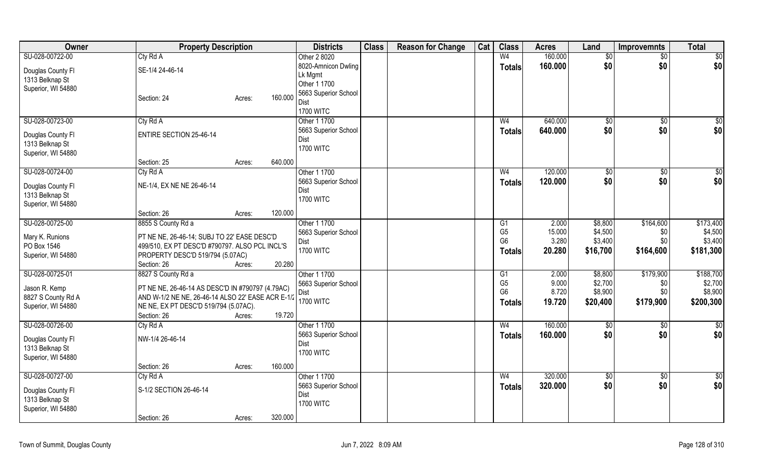| Owner              | <b>Property Description</b>                       |         | <b>Districts</b>     | <b>Class</b> | <b>Reason for Change</b> | Cat | <b>Class</b>    | <b>Acres</b>   | Land            | <b>Improvemnts</b> | <b>Total</b>  |
|--------------------|---------------------------------------------------|---------|----------------------|--------------|--------------------------|-----|-----------------|----------------|-----------------|--------------------|---------------|
| SU-028-00722-00    | Cty Rd A                                          |         | Other 2 8020         |              |                          |     | W <sub>4</sub>  | 160.000        | \$0             | $\overline{50}$    | \$0           |
| Douglas County FI  | SE-1/4 24-46-14                                   |         | 8020-Amnicon Dwling  |              |                          |     | <b>Totals</b>   | 160.000        | \$0             | \$0                | \$0           |
| 1313 Belknap St    |                                                   |         | Lk Mgmt              |              |                          |     |                 |                |                 |                    |               |
| Superior, WI 54880 |                                                   |         | Other 1 1700         |              |                          |     |                 |                |                 |                    |               |
|                    | Section: 24<br>Acres:                             | 160.000 | 5663 Superior School |              |                          |     |                 |                |                 |                    |               |
|                    |                                                   |         | Dist                 |              |                          |     |                 |                |                 |                    |               |
|                    |                                                   |         | <b>1700 WITC</b>     |              |                          |     |                 |                |                 |                    |               |
| SU-028-00723-00    | Cty Rd A                                          |         | Other 1 1700         |              |                          |     | W <sub>4</sub>  | 640.000        | \$0             | $\sqrt{6}$         | $\frac{6}{3}$ |
| Douglas County FI  | <b>ENTIRE SECTION 25-46-14</b>                    |         | 5663 Superior School |              |                          |     | Totals          | 640.000        | \$0             | \$0                | \$0           |
| 1313 Belknap St    |                                                   |         | Dist                 |              |                          |     |                 |                |                 |                    |               |
| Superior, WI 54880 |                                                   |         | <b>1700 WITC</b>     |              |                          |     |                 |                |                 |                    |               |
|                    | Section: 25<br>Acres:                             | 640.000 |                      |              |                          |     |                 |                |                 |                    |               |
| SU-028-00724-00    | Cty Rd A                                          |         | Other 1 1700         |              |                          |     | W <sub>4</sub>  | 120.000        | $\overline{50}$ | $\overline{50}$    | $\frac{1}{2}$ |
| Douglas County Fl  | NE-1/4, EX NE NE 26-46-14                         |         | 5663 Superior School |              |                          |     | Totals          | 120.000        | \$0             | \$0                | \$0           |
| 1313 Belknap St    |                                                   |         | Dist                 |              |                          |     |                 |                |                 |                    |               |
| Superior, WI 54880 |                                                   |         | <b>1700 WITC</b>     |              |                          |     |                 |                |                 |                    |               |
|                    | Section: 26<br>Acres:                             | 120.000 |                      |              |                          |     |                 |                |                 |                    |               |
| SU-028-00725-00    | 8855 S County Rd a                                |         | Other 1 1700         |              |                          |     | G1              | 2.000          | \$8,800         | \$164,600          | \$173,400     |
|                    |                                                   |         | 5663 Superior School |              |                          |     | G <sub>5</sub>  | 15.000         | \$4,500         | \$0                | \$4,500       |
| Mary K. Runions    | PT NE NE, 26-46-14; SUBJ TO 22' EASE DESC'D       |         | Dist                 |              |                          |     | G <sub>6</sub>  | 3.280          | \$3,400         | \$0                | \$3,400       |
| PO Box 1546        | 499/510, EX PT DESC'D #790797. ALSO PCL INCL'S    |         | <b>1700 WITC</b>     |              |                          |     | <b>Totals</b>   | 20.280         | \$16,700        | \$164,600          | \$181,300     |
| Superior, WI 54880 | PROPERTY DESC'D 519/794 (5.07AC)                  |         |                      |              |                          |     |                 |                |                 |                    |               |
|                    | Section: 26<br>Acres:                             | 20.280  |                      |              |                          |     |                 |                |                 |                    |               |
| SU-028-00725-01    | 8827 S County Rd a                                |         | Other 1 1700         |              |                          |     | $\overline{G1}$ | 2.000          | \$8,800         | \$179,900          | \$188,700     |
| Jason R. Kemp      | PT NE NE, 26-46-14 AS DESC'D IN #790797 (4.79AC)  |         | 5663 Superior School |              |                          |     | G <sub>5</sub>  | 9.000<br>8.720 | \$2,700         | \$0                | \$2,700       |
| 8827 S County Rd A | AND W-1/2 NE NE, 26-46-14 ALSO 22' EASE ACR E-1/2 |         | Dist                 |              |                          |     | G <sub>6</sub>  |                | \$8,900         | \$0                | \$8,900       |
| Superior, WI 54880 | NE NE, EX PT DESC'D 519/794 (5.07AC).             |         | <b>1700 WITC</b>     |              |                          |     | <b>Totals</b>   | 19.720         | \$20,400        | \$179,900          | \$200,300     |
|                    | Section: 26<br>Acres:                             | 19.720  |                      |              |                          |     |                 |                |                 |                    |               |
| SU-028-00726-00    | CtyRdA                                            |         | Other 1 1700         |              |                          |     | W <sub>4</sub>  | 160.000        | \$0             | \$0                | \$0           |
| Douglas County Fl  | NW-1/4 26-46-14                                   |         | 5663 Superior School |              |                          |     | <b>Totals</b>   | 160.000        | \$0             | \$0                | \$0           |
| 1313 Belknap St    |                                                   |         | Dist                 |              |                          |     |                 |                |                 |                    |               |
| Superior, WI 54880 |                                                   |         | <b>1700 WITC</b>     |              |                          |     |                 |                |                 |                    |               |
|                    | Section: 26<br>Acres:                             | 160.000 |                      |              |                          |     |                 |                |                 |                    |               |
| SU-028-00727-00    | Cty Rd A                                          |         | Other 1 1700         |              |                          |     | W <sub>4</sub>  | 320.000        | \$0             | \$0                | \$0           |
|                    |                                                   |         | 5663 Superior School |              |                          |     | <b>Totals</b>   | 320.000        | \$0             | \$0                | \$0           |
| Douglas County Fl  | S-1/2 SECTION 26-46-14                            |         | Dist                 |              |                          |     |                 |                |                 |                    |               |
| 1313 Belknap St    |                                                   |         | <b>1700 WITC</b>     |              |                          |     |                 |                |                 |                    |               |
| Superior, WI 54880 |                                                   |         |                      |              |                          |     |                 |                |                 |                    |               |
|                    | Section: 26<br>Acres:                             | 320.000 |                      |              |                          |     |                 |                |                 |                    |               |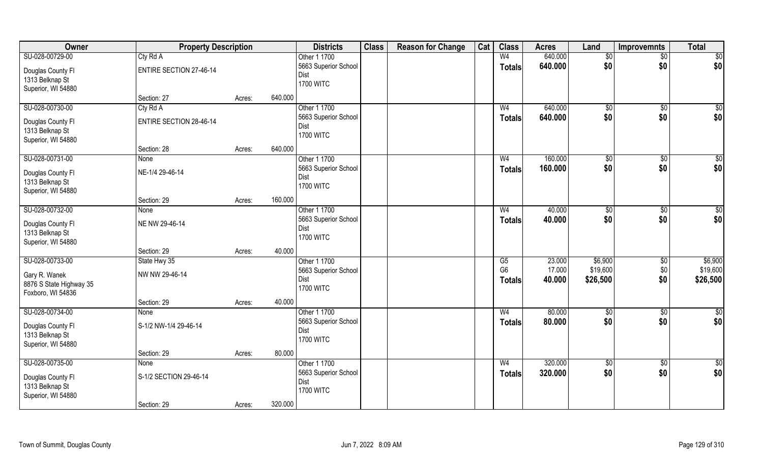| Owner                                | <b>Property Description</b>    |        |         | <b>Districts</b>             | <b>Class</b> | <b>Reason for Change</b> | Cat | <b>Class</b>           | <b>Acres</b> | Land            | <b>Improvemnts</b> | <b>Total</b>    |
|--------------------------------------|--------------------------------|--------|---------|------------------------------|--------------|--------------------------|-----|------------------------|--------------|-----------------|--------------------|-----------------|
| SU-028-00729-00                      | Cty Rd A                       |        |         | Other 1 1700                 |              |                          |     | W <sub>4</sub>         | 640.000      | \$0             | \$0                | \$0             |
| Douglas County Fl                    | <b>ENTIRE SECTION 27-46-14</b> |        |         | 5663 Superior School         |              |                          |     | <b>Totals</b>          | 640.000      | \$0             | \$0                | \$0             |
| 1313 Belknap St                      |                                |        |         | Dist                         |              |                          |     |                        |              |                 |                    |                 |
| Superior, WI 54880                   |                                |        |         | <b>1700 WITC</b>             |              |                          |     |                        |              |                 |                    |                 |
|                                      | Section: 27                    | Acres: | 640.000 |                              |              |                          |     |                        |              |                 |                    |                 |
| SU-028-00730-00                      | Cty Rd A                       |        |         | Other 1 1700                 |              |                          |     | W <sub>4</sub>         | 640.000      | \$0             | \$0                | $\sqrt{50}$     |
| Douglas County Fl                    | <b>ENTIRE SECTION 28-46-14</b> |        |         | 5663 Superior School         |              |                          |     | <b>Totals</b>          | 640.000      | \$0             | \$0                | \$0             |
| 1313 Belknap St                      |                                |        |         | Dist                         |              |                          |     |                        |              |                 |                    |                 |
| Superior, WI 54880                   |                                |        |         | <b>1700 WITC</b>             |              |                          |     |                        |              |                 |                    |                 |
|                                      | Section: 28                    | Acres: | 640.000 |                              |              |                          |     |                        |              |                 |                    |                 |
| SU-028-00731-00                      | None                           |        |         | Other 1 1700                 |              |                          |     | W <sub>4</sub>         | 160.000      | \$0             | \$0                | \$0             |
| Douglas County Fl                    | NE-1/4 29-46-14                |        |         | 5663 Superior School         |              |                          |     | <b>Totals</b>          | 160.000      | \$0             | \$0                | \$0             |
| 1313 Belknap St                      |                                |        |         | Dist                         |              |                          |     |                        |              |                 |                    |                 |
| Superior, WI 54880                   |                                |        |         | <b>1700 WITC</b>             |              |                          |     |                        |              |                 |                    |                 |
|                                      | Section: 29                    | Acres: | 160.000 |                              |              |                          |     |                        |              |                 |                    |                 |
| SU-028-00732-00                      | None                           |        |         | Other 1 1700                 |              |                          |     | W <sub>4</sub>         | 40.000       | $\sqrt[6]{3}$   | \$0                | \$0             |
|                                      | NE NW 29-46-14                 |        |         | 5663 Superior School         |              |                          |     | <b>Totals</b>          | 40.000       | \$0             | \$0                | \$0             |
| Douglas County Fl<br>1313 Belknap St |                                |        |         | Dist                         |              |                          |     |                        |              |                 |                    |                 |
| Superior, WI 54880                   |                                |        |         | <b>1700 WITC</b>             |              |                          |     |                        |              |                 |                    |                 |
|                                      | Section: 29                    | Acres: | 40.000  |                              |              |                          |     |                        |              |                 |                    |                 |
| SU-028-00733-00                      | State Hwy 35                   |        |         | Other 1 1700                 |              |                          |     | $\overline{\text{G5}}$ | 23.000       | \$6,900         | \$0                | \$6,900         |
|                                      |                                |        |         | 5663 Superior School         |              |                          |     | G <sub>6</sub>         | 17.000       | \$19,600        | \$0                | \$19,600        |
| Gary R. Wanek                        | NW NW 29-46-14                 |        |         | Dist                         |              |                          |     | <b>Totals</b>          | 40.000       | \$26,500        | \$0                | \$26,500        |
| 8876 S State Highway 35              |                                |        |         | <b>1700 WITC</b>             |              |                          |     |                        |              |                 |                    |                 |
| Foxboro, WI 54836                    |                                |        |         |                              |              |                          |     |                        |              |                 |                    |                 |
|                                      | Section: 29                    | Acres: | 40.000  |                              |              |                          |     |                        |              |                 |                    |                 |
| SU-028-00734-00                      | <b>None</b>                    |        |         | Other 1 1700                 |              |                          |     | W <sub>4</sub>         | 80.000       | $\sqrt{6}$      | \$0                | $\overline{50}$ |
| Douglas County Fl                    | S-1/2 NW-1/4 29-46-14          |        |         | 5663 Superior School<br>Dist |              |                          |     | <b>Totals</b>          | 80.000       | \$0             | \$0                | \$0             |
| 1313 Belknap St                      |                                |        |         | <b>1700 WITC</b>             |              |                          |     |                        |              |                 |                    |                 |
| Superior, WI 54880                   |                                |        |         |                              |              |                          |     |                        |              |                 |                    |                 |
|                                      | Section: 29                    | Acres: | 80.000  |                              |              |                          |     |                        |              |                 |                    |                 |
| SU-028-00735-00                      | <b>None</b>                    |        |         | Other 1 1700                 |              |                          |     | W <sub>4</sub>         | 320.000      | $\overline{50}$ | $\sqrt{6}$         | \$0             |
| Douglas County Fl                    | S-1/2 SECTION 29-46-14         |        |         | 5663 Superior School         |              |                          |     | <b>Totals</b>          | 320.000      | \$0             | \$0                | \$0             |
| 1313 Belknap St                      |                                |        |         | Dist                         |              |                          |     |                        |              |                 |                    |                 |
| Superior, WI 54880                   |                                |        |         | <b>1700 WITC</b>             |              |                          |     |                        |              |                 |                    |                 |
|                                      | Section: 29                    | Acres: | 320.000 |                              |              |                          |     |                        |              |                 |                    |                 |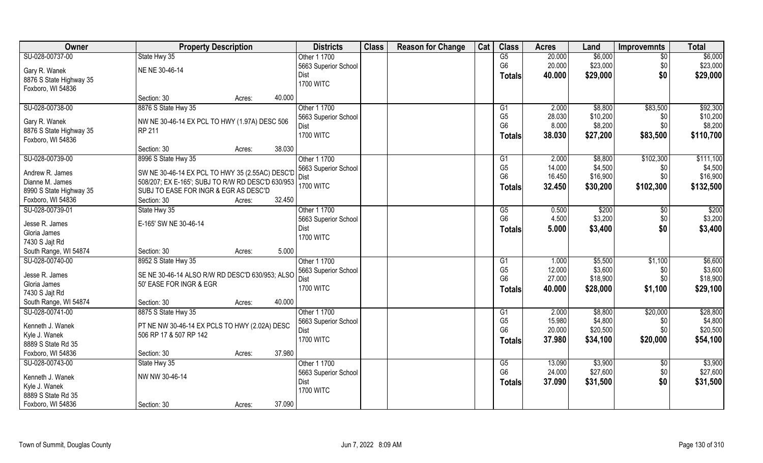| Owner                   | <b>Property Description</b>                             | <b>Districts</b> | <b>Class</b>         | <b>Reason for Change</b> | Cat | <b>Class</b> | <b>Acres</b>    | Land   | <b>Improvemnts</b> | <b>Total</b> |                   |
|-------------------------|---------------------------------------------------------|------------------|----------------------|--------------------------|-----|--------------|-----------------|--------|--------------------|--------------|-------------------|
| SU-028-00737-00         | State Hwy 35                                            |                  | Other 1 1700         |                          |     |              | $\overline{G5}$ | 20.000 | \$6,000            | \$0          | \$6,000           |
| Gary R. Wanek           | NE NE 30-46-14                                          |                  | 5663 Superior School |                          |     |              | G <sub>6</sub>  | 20.000 | \$23,000           | \$0          | \$23,000          |
| 8876 S State Highway 35 |                                                         |                  | Dist                 |                          |     |              | <b>Totals</b>   | 40.000 | \$29,000           | \$0          | \$29,000          |
| Foxboro, WI 54836       |                                                         |                  | <b>1700 WITC</b>     |                          |     |              |                 |        |                    |              |                   |
|                         | Section: 30                                             | 40.000<br>Acres: |                      |                          |     |              |                 |        |                    |              |                   |
| SU-028-00738-00         | 8876 S State Hwy 35                                     |                  | Other 1 1700         |                          |     |              | G1              | 2.000  | \$8,800            | \$83,500     | \$92,300          |
|                         |                                                         |                  | 5663 Superior School |                          |     |              | G <sub>5</sub>  | 28.030 | \$10,200           | \$0          | \$10,200          |
| Gary R. Wanek           | NW NE 30-46-14 EX PCL TO HWY (1.97A) DESC 506<br>RP 211 |                  | Dist                 |                          |     |              | G <sub>6</sub>  | 8.000  | \$8,200            | \$0          | \$8,200           |
| 8876 S State Highway 35 |                                                         |                  | <b>1700 WITC</b>     |                          |     |              | <b>Totals</b>   | 38.030 | \$27,200           | \$83,500     | \$110,700         |
| Foxboro, WI 54836       | Section: 30                                             | 38.030<br>Acres: |                      |                          |     |              |                 |        |                    |              |                   |
| SU-028-00739-00         | 8996 S State Hwy 35                                     |                  | Other 1 1700         |                          |     |              | G <sub>1</sub>  | 2.000  | \$8,800            | \$102,300    | \$111,100         |
|                         |                                                         |                  | 5663 Superior School |                          |     |              | G <sub>5</sub>  | 14.000 | \$4,500            | \$0          | \$4,500           |
| Andrew R. James         | SW NE 30-46-14 EX PCL TO HWY 35 (2.55AC) DESC'D         |                  | Dist                 |                          |     |              | G <sub>6</sub>  | 16.450 | \$16,900           | \$0          | \$16,900          |
| Dianne M. James         | 508/207; EX E-165'; SUBJ TO R/W RD DESC'D 630/953       |                  | <b>1700 WITC</b>     |                          |     |              |                 | 32.450 | \$30,200           | \$102,300    | \$132,500         |
| 8990 S State Highway 35 | SUBJ TO EASE FOR INGR & EGR AS DESC'D                   |                  |                      |                          |     |              | Totals          |        |                    |              |                   |
| Foxboro, WI 54836       | Section: 30                                             | 32.450<br>Acres: |                      |                          |     |              |                 |        |                    |              |                   |
| SU-028-00739-01         | State Hwy 35                                            |                  | Other 1 1700         |                          |     |              | G5              | 0.500  | \$200              | \$0          | $\overline{$200}$ |
| Jesse R. James          | E-165' SW NE 30-46-14                                   |                  | 5663 Superior School |                          |     |              | G <sub>6</sub>  | 4.500  | \$3,200            | \$0          | \$3,200           |
| Gloria James            |                                                         |                  | Dist                 |                          |     |              | <b>Totals</b>   | 5.000  | \$3,400            | \$0          | \$3,400           |
| 7430 S Jajt Rd          |                                                         |                  | <b>1700 WITC</b>     |                          |     |              |                 |        |                    |              |                   |
| South Range, WI 54874   | Section: 30                                             | 5.000<br>Acres:  |                      |                          |     |              |                 |        |                    |              |                   |
| SU-028-00740-00         | 8952 S State Hwy 35                                     |                  | Other 1 1700         |                          |     |              | G1              | 1.000  | \$5,500            | \$1,100      | \$6,600           |
|                         |                                                         |                  | 5663 Superior School |                          |     |              | G <sub>5</sub>  | 12.000 | \$3,600            | \$0          | \$3,600           |
| Jesse R. James          | SE NE 30-46-14 ALSO R/W RD DESC'D 630/953; ALSO         |                  | <b>Dist</b>          |                          |     |              | G <sub>6</sub>  | 27.000 | \$18,900           | \$0          | \$18,900          |
| Gloria James            | 50' EASE FOR INGR & EGR                                 |                  | <b>1700 WITC</b>     |                          |     |              | <b>Totals</b>   | 40.000 | \$28,000           | \$1,100      | \$29,100          |
| 7430 S Jajt Rd          |                                                         |                  |                      |                          |     |              |                 |        |                    |              |                   |
| South Range, WI 54874   | Section: 30                                             | 40.000<br>Acres: |                      |                          |     |              |                 |        |                    |              |                   |
| SU-028-00741-00         | 8875 S State Hwy 35                                     |                  | Other 1 1700         |                          |     |              | G1              | 2.000  | \$8,800            | \$20,000     | \$28,800          |
| Kenneth J. Wanek        | PT NE NW 30-46-14 EX PCLS TO HWY (2.02A) DESC           |                  | 5663 Superior School |                          |     |              | G <sub>5</sub>  | 15.980 | \$4,800            | \$0          | \$4,800           |
| Kyle J. Wanek           | 506 RP 17 & 507 RP 142                                  |                  | Dist                 |                          |     |              | G <sub>6</sub>  | 20.000 | \$20,500           | \$0          | \$20,500          |
| 8889 S State Rd 35      |                                                         |                  | <b>1700 WITC</b>     |                          |     |              | <b>Totals</b>   | 37.980 | \$34,100           | \$20,000     | \$54,100          |
| Foxboro, WI 54836       | Section: 30                                             | 37.980<br>Acres: |                      |                          |     |              |                 |        |                    |              |                   |
| SU-028-00743-00         | State Hwy 35                                            |                  | Other 1 1700         |                          |     |              | G5              | 13.090 | \$3,900            | $\sqrt{6}$   | \$3,900           |
|                         |                                                         |                  | 5663 Superior School |                          |     |              | G <sub>6</sub>  | 24.000 | \$27,600           | \$0          | \$27,600          |
| Kenneth J. Wanek        | NW NW 30-46-14                                          |                  | Dist                 |                          |     |              | <b>Totals</b>   | 37.090 | \$31,500           | \$0          | \$31,500          |
| Kyle J. Wanek           |                                                         |                  | <b>1700 WITC</b>     |                          |     |              |                 |        |                    |              |                   |
| 8889 S State Rd 35      |                                                         |                  |                      |                          |     |              |                 |        |                    |              |                   |
| Foxboro, WI 54836       | Section: 30                                             | 37.090<br>Acres: |                      |                          |     |              |                 |        |                    |              |                   |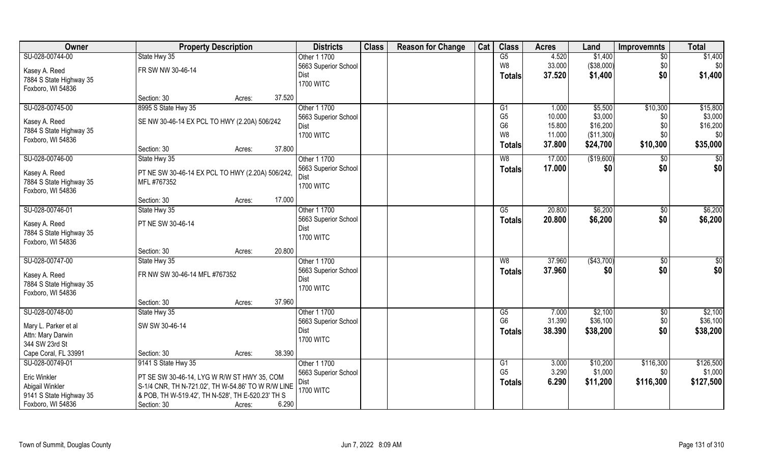| Owner                   | <b>Property Description</b>                        | <b>Districts</b> | <b>Class</b>         | <b>Reason for Change</b> | Cat | <b>Class</b> | <b>Acres</b>    | Land   | <b>Improvemnts</b> | <b>Total</b>   |           |
|-------------------------|----------------------------------------------------|------------------|----------------------|--------------------------|-----|--------------|-----------------|--------|--------------------|----------------|-----------|
| SU-028-00744-00         | State Hwy 35                                       |                  | Other 1 1700         |                          |     |              | $\overline{G5}$ | 4.520  | \$1,400            | \$0            | \$1,400   |
| Kasey A. Reed           | FR SW NW 30-46-14                                  |                  | 5663 Superior School |                          |     |              | W8              | 33.000 | (\$38,000)         | \$0            | \$0]      |
| 7884 S State Highway 35 |                                                    |                  | Dist                 |                          |     |              | <b>Totals</b>   | 37.520 | \$1,400            | \$0            | \$1,400   |
| Foxboro, WI 54836       |                                                    |                  | <b>1700 WITC</b>     |                          |     |              |                 |        |                    |                |           |
|                         | Section: 30                                        | Acres:           | 37.520               |                          |     |              |                 |        |                    |                |           |
| SU-028-00745-00         | 8995 S State Hwy 35                                |                  | Other 1 1700         |                          |     |              | G1              | 1.000  | \$5,500            | \$10,300       | \$15,800  |
| Kasey A. Reed           | SE NW 30-46-14 EX PCL TO HWY (2.20A) 506/242       |                  | 5663 Superior School |                          |     |              | G <sub>5</sub>  | 10.000 | \$3,000            | \$0            | \$3,000   |
| 7884 S State Highway 35 |                                                    |                  | Dist                 |                          |     |              | G <sub>6</sub>  | 15.800 | \$16,200           | \$0            | \$16,200  |
| Foxboro, WI 54836       |                                                    |                  | <b>1700 WITC</b>     |                          |     |              | W <sub>8</sub>  | 11.000 | (\$11,300)         | \$0            | \$0       |
|                         | Section: 30                                        | Acres:           | 37.800               |                          |     |              | <b>Totals</b>   | 37.800 | \$24,700           | \$10,300       | \$35,000  |
| SU-028-00746-00         | State Hwy 35                                       |                  | Other 1 1700         |                          |     |              | W8              | 17.000 | (\$19,600)         | \$0            | \$0       |
| Kasey A. Reed           | PT NE SW 30-46-14 EX PCL TO HWY (2.20A) 506/242,   |                  | 5663 Superior School |                          |     |              | <b>Totals</b>   | 17.000 | \$0                | \$0            | \$0       |
| 7884 S State Highway 35 | MFL #767352                                        |                  | Dist                 |                          |     |              |                 |        |                    |                |           |
| Foxboro, WI 54836       |                                                    |                  | <b>1700 WITC</b>     |                          |     |              |                 |        |                    |                |           |
|                         | Section: 30                                        | Acres:           | 17.000               |                          |     |              |                 |        |                    |                |           |
| SU-028-00746-01         | State Hwy 35                                       |                  | Other 1 1700         |                          |     |              | G5              | 20.800 | \$6,200            | \$0            | \$6,200   |
| Kasey A. Reed           | PT NE SW 30-46-14                                  |                  | 5663 Superior School |                          |     |              | <b>Totals</b>   | 20.800 | \$6,200            | \$0            | \$6,200   |
| 7884 S State Highway 35 |                                                    |                  | Dist                 |                          |     |              |                 |        |                    |                |           |
| Foxboro, WI 54836       |                                                    |                  | <b>1700 WITC</b>     |                          |     |              |                 |        |                    |                |           |
|                         | Section: 30                                        | Acres:           | 20.800               |                          |     |              |                 |        |                    |                |           |
| SU-028-00747-00         | State Hwy 35                                       |                  | Other 1 1700         |                          |     |              | W8              | 37.960 | ( \$43,700)        | $\sqrt[6]{30}$ | \$        |
| Kasey A. Reed           | FR NW SW 30-46-14 MFL #767352                      |                  | 5663 Superior School |                          |     |              | <b>Totals</b>   | 37.960 | \$0                | \$0            | \$0       |
| 7884 S State Highway 35 |                                                    |                  | Dist                 |                          |     |              |                 |        |                    |                |           |
| Foxboro, WI 54836       |                                                    |                  | <b>1700 WITC</b>     |                          |     |              |                 |        |                    |                |           |
|                         | Section: 30                                        | Acres:           | 37.960               |                          |     |              |                 |        |                    |                |           |
| SU-028-00748-00         | State Hwy 35                                       |                  | Other 1 1700         |                          |     |              | G5              | 7.000  | \$2,100            | $\sqrt{$0}$    | \$2,100   |
| Mary L. Parker et al    | SW SW 30-46-14                                     |                  | 5663 Superior School |                          |     |              | G <sub>6</sub>  | 31.390 | \$36,100           | \$0            | \$36,100  |
| Attn: Mary Darwin       |                                                    |                  | Dist                 |                          |     |              | Totals          | 38.390 | \$38,200           | \$0            | \$38,200  |
| 344 SW 23rd St          |                                                    |                  | <b>1700 WITC</b>     |                          |     |              |                 |        |                    |                |           |
| Cape Coral, FL 33991    | Section: 30                                        | Acres:           | 38.390               |                          |     |              |                 |        |                    |                |           |
| SU-028-00749-01         | 9141 S State Hwy 35                                |                  | Other 1 1700         |                          |     |              | G <sub>1</sub>  | 3.000  | \$10,200           | \$116,300      | \$126,500 |
| Eric Winkler            | PT SE SW 30-46-14, LYG W R/W ST HWY 35, COM        |                  | 5663 Superior School |                          |     |              | G <sub>5</sub>  | 3.290  | \$1,000            | \$0            | \$1,000   |
| Abigail Winkler         | S-1/4 CNR, TH N-721.02', TH W-54.86' TO W R/W LINE |                  | Dist                 |                          |     |              | Totals          | 6.290  | \$11,200           | \$116,300      | \$127,500 |
| 9141 S State Highway 35 | & POB, TH W-519.42', TH N-528', TH E-520.23' TH S  |                  | <b>1700 WITC</b>     |                          |     |              |                 |        |                    |                |           |
| Foxboro, WI 54836       | Section: 30                                        | Acres:           | 6.290                |                          |     |              |                 |        |                    |                |           |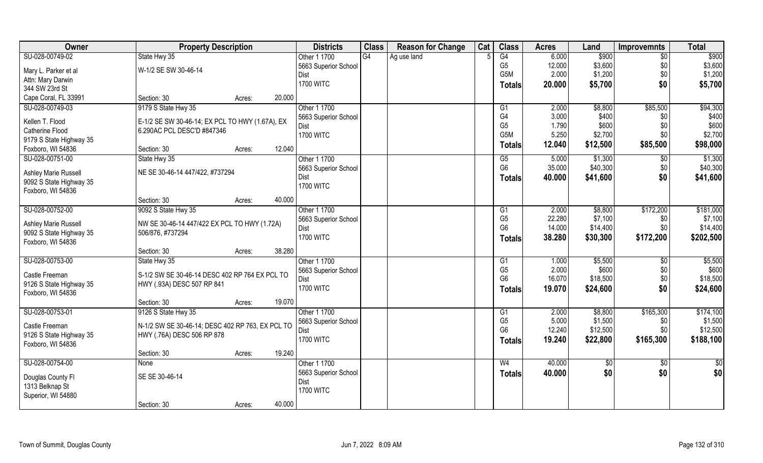| Owner                       | <b>Property Description</b>                      |        |        | <b>Districts</b>     | <b>Class</b> | <b>Reason for Change</b> | Cat | <b>Class</b>     | <b>Acres</b> | Land     | <b>Improvemnts</b> | <b>Total</b>    |
|-----------------------------|--------------------------------------------------|--------|--------|----------------------|--------------|--------------------------|-----|------------------|--------------|----------|--------------------|-----------------|
| SU-028-00749-02             | State Hwy 35                                     |        |        | Other 1 1700         | G4           | Ag use land              |     | G4               | 6.000        | \$900    | $\overline{50}$    | \$900           |
| Mary L. Parker et al        | W-1/2 SE SW 30-46-14                             |        |        | 5663 Superior School |              |                          |     | G <sub>5</sub>   | 12.000       | \$3,600  | \$0                | \$3,600         |
| Attn: Mary Darwin           |                                                  |        |        | Dist                 |              |                          |     | G <sub>5</sub> M | 2.000        | \$1,200  | \$0                | \$1,200         |
| 344 SW 23rd St              |                                                  |        |        | <b>1700 WITC</b>     |              |                          |     | Totals           | 20.000       | \$5,700  | \$0                | \$5,700         |
| Cape Coral, FL 33991        | Section: 30                                      | Acres: | 20.000 |                      |              |                          |     |                  |              |          |                    |                 |
| SU-028-00749-03             | 9179 S State Hwy 35                              |        |        | Other 1 1700         |              |                          |     | G1               | 2.000        | \$8,800  | \$85,500           | \$94,300        |
|                             |                                                  |        |        | 5663 Superior School |              |                          |     | G4               | 3.000        | \$400    | \$0                | \$400           |
| Kellen T. Flood             | E-1/2 SE SW 30-46-14; EX PCL TO HWY (1.67A), EX  |        |        | Dist                 |              |                          |     | G <sub>5</sub>   | 1.790        | \$600    | \$0                | \$600           |
| <b>Catherine Flood</b>      | 6.290AC PCL DESC'D #847346                       |        |        | <b>1700 WITC</b>     |              |                          |     | G5M              | 5.250        | \$2,700  | \$0                | \$2,700         |
| 9179 S State Highway 35     |                                                  |        |        |                      |              |                          |     | Totals           | 12.040       | \$12,500 | \$85,500           | \$98,000        |
| Foxboro, WI 54836           | Section: 30                                      | Acres: | 12.040 |                      |              |                          |     |                  |              |          |                    |                 |
| SU-028-00751-00             | State Hwy 35                                     |        |        | Other 1 1700         |              |                          |     | G5               | 5.000        | \$1,300  | \$0                | \$1,300         |
| <b>Ashley Marie Russell</b> | NE SE 30-46-14 447/422, #737294                  |        |        | 5663 Superior School |              |                          |     | G <sub>6</sub>   | 35.000       | \$40,300 | \$0                | \$40,300        |
| 9092 S State Highway 35     |                                                  |        |        | Dist                 |              |                          |     | Totals           | 40.000       | \$41,600 | \$0                | \$41,600        |
| Foxboro, WI 54836           |                                                  |        |        | <b>1700 WITC</b>     |              |                          |     |                  |              |          |                    |                 |
|                             | Section: 30                                      | Acres: | 40.000 |                      |              |                          |     |                  |              |          |                    |                 |
| SU-028-00752-00             | 9092 S State Hwy 35                              |        |        | Other 1 1700         |              |                          |     | G <sub>1</sub>   | 2.000        | \$8,800  | \$172,200          | \$181,000       |
|                             |                                                  |        |        | 5663 Superior School |              |                          |     | G <sub>5</sub>   | 22.280       | \$7,100  | \$0                | \$7,100         |
| <b>Ashley Marie Russell</b> | NW SE 30-46-14 447/422 EX PCL TO HWY (1.72A)     |        |        | Dist                 |              |                          |     | G <sub>6</sub>   | 14.000       | \$14,400 | \$0                | \$14,400        |
| 9092 S State Highway 35     | 506/876, #737294                                 |        |        | <b>1700 WITC</b>     |              |                          |     | Totals           | 38.280       | \$30,300 | \$172,200          | \$202,500       |
| Foxboro, WI 54836           |                                                  |        |        |                      |              |                          |     |                  |              |          |                    |                 |
|                             | Section: 30                                      | Acres: | 38.280 |                      |              |                          |     |                  |              |          |                    |                 |
| SU-028-00753-00             | State Hwy 35                                     |        |        | Other 1 1700         |              |                          |     | G1               | 1.000        | \$5,500  | $\overline{60}$    | \$5,500         |
| Castle Freeman              | S-1/2 SW SE 30-46-14 DESC 402 RP 764 EX PCL TO   |        |        | 5663 Superior School |              |                          |     | G <sub>5</sub>   | 2.000        | \$600    | \$0                | \$600           |
| 9126 S State Highway 35     | HWY (.93A) DESC 507 RP 841                       |        |        | Dist                 |              |                          |     | G <sub>6</sub>   | 16.070       | \$18,500 | \$0                | \$18,500        |
| Foxboro, WI 54836           |                                                  |        |        | <b>1700 WITC</b>     |              |                          |     | <b>Totals</b>    | 19.070       | \$24,600 | \$0                | \$24,600        |
|                             | Section: 30                                      | Acres: | 19.070 |                      |              |                          |     |                  |              |          |                    |                 |
| SU-028-00753-01             | 9126 S State Hwy 35                              |        |        | Other 1 1700         |              |                          |     | G1               | 2.000        | \$8,800  | \$165,300          | \$174,100       |
| Castle Freeman              | N-1/2 SW SE 30-46-14; DESC 402 RP 763, EX PCL TO |        |        | 5663 Superior School |              |                          |     | G <sub>5</sub>   | 5.000        | \$1,500  | \$0                | \$1,500         |
| 9126 S State Highway 35     | HWY (.76A) DESC 506 RP 878                       |        |        | <b>Dist</b>          |              |                          |     | G <sub>6</sub>   | 12.240       | \$12,500 | \$0                | \$12,500        |
| Foxboro, WI 54836           |                                                  |        |        | <b>1700 WITC</b>     |              |                          |     | <b>Totals</b>    | 19.240       | \$22,800 | \$165,300          | \$188,100       |
|                             | Section: 30                                      | Acres: | 19.240 |                      |              |                          |     |                  |              |          |                    |                 |
| SU-028-00754-00             | <b>None</b>                                      |        |        | Other 1 1700         |              |                          |     | W <sub>4</sub>   | 40.000       | \$0      | $\sqrt{$0}$        | $\overline{50}$ |
|                             |                                                  |        |        | 5663 Superior School |              |                          |     | <b>Totals</b>    | 40.000       | \$0      | \$0                | \$0             |
| Douglas County Fl           | SE SE 30-46-14                                   |        |        | Dist                 |              |                          |     |                  |              |          |                    |                 |
| 1313 Belknap St             |                                                  |        |        | <b>1700 WITC</b>     |              |                          |     |                  |              |          |                    |                 |
| Superior, WI 54880          |                                                  |        |        |                      |              |                          |     |                  |              |          |                    |                 |
|                             | Section: 30                                      | Acres: | 40.000 |                      |              |                          |     |                  |              |          |                    |                 |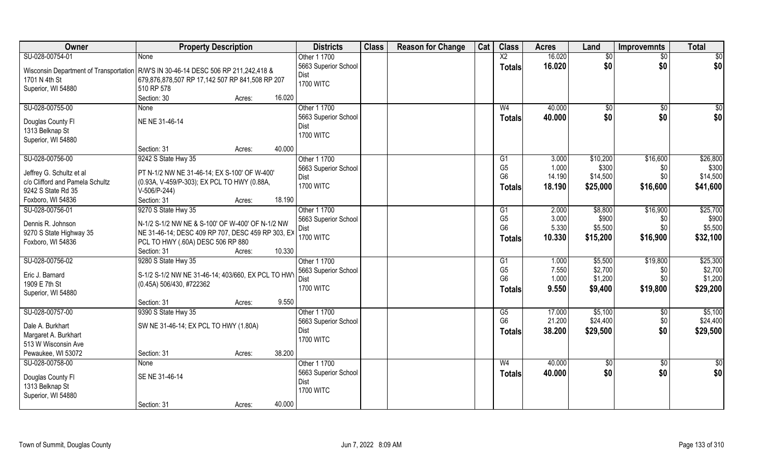| Owner                                                                                | <b>Property Description</b>                                 |        |        | <b>Districts</b>     | <b>Class</b> | <b>Reason for Change</b> | Cat | <b>Class</b>   | <b>Acres</b> | Land        | <b>Improvemnts</b> | <b>Total</b>    |
|--------------------------------------------------------------------------------------|-------------------------------------------------------------|--------|--------|----------------------|--------------|--------------------------|-----|----------------|--------------|-------------|--------------------|-----------------|
| SU-028-00754-01                                                                      | <b>None</b>                                                 |        |        | Other 1 1700         |              |                          |     | X <sub>2</sub> | 16.020       | \$0         | $\sqrt{$0}$        | $\overline{50}$ |
| Wisconsin Department of Transportation   R/W'S IN 30-46-14 DESC 506 RP 211,242,418 & |                                                             |        |        | 5663 Superior School |              |                          |     | <b>Totals</b>  | 16.020       | \$0         | \$0                | \$0             |
| 1701 N 4th St                                                                        | 679,876,878,507 RP 17,142 507 RP 841,508 RP 207             |        |        | Dist                 |              |                          |     |                |              |             |                    |                 |
| Superior, WI 54880                                                                   | 510 RP 578                                                  |        |        | <b>1700 WITC</b>     |              |                          |     |                |              |             |                    |                 |
|                                                                                      | Section: 30                                                 | Acres: | 16.020 |                      |              |                          |     |                |              |             |                    |                 |
| SU-028-00755-00                                                                      | None                                                        |        |        | Other 1 1700         |              |                          |     | W <sub>4</sub> | 40.000       | $\sqrt{50}$ | \$0                | \$0             |
| Douglas County FI                                                                    | NE NE 31-46-14                                              |        |        | 5663 Superior School |              |                          |     | Totals         | 40.000       | \$0         | \$0                | \$0             |
| 1313 Belknap St                                                                      |                                                             |        |        | <b>Dist</b>          |              |                          |     |                |              |             |                    |                 |
| Superior, WI 54880                                                                   |                                                             |        |        | <b>1700 WITC</b>     |              |                          |     |                |              |             |                    |                 |
|                                                                                      | Section: 31                                                 | Acres: | 40.000 |                      |              |                          |     |                |              |             |                    |                 |
| SU-028-00756-00                                                                      | 9242 S State Hwy 35                                         |        |        | Other 1 1700         |              |                          |     | G1             | 3.000        | \$10,200    | \$16,600           | \$26,800        |
|                                                                                      |                                                             |        |        | 5663 Superior School |              |                          |     | G <sub>5</sub> | 1.000        | \$300       | \$0                | \$300           |
| Jeffrey G. Schultz et al                                                             | PT N-1/2 NW NE 31-46-14; EX S-100' OF W-400'                |        |        | Dist                 |              |                          |     | G <sub>6</sub> | 14.190       | \$14,500    | \$0                | \$14,500        |
| c/o Clifford and Pamela Schultz<br>9242 S State Rd 35                                | (0.93A, V-459/P-303); EX PCL TO HWY (0.88A,<br>V-506/P-244) |        |        | <b>1700 WITC</b>     |              |                          |     | Totals         | 18.190       | \$25,000    | \$16,600           | \$41,600        |
| Foxboro, WI 54836                                                                    | Section: 31                                                 | Acres: | 18.190 |                      |              |                          |     |                |              |             |                    |                 |
| SU-028-00756-01                                                                      | 9270 S State Hwy 35                                         |        |        | Other 1 1700         |              |                          |     | G1             | 2.000        | \$8,800     | \$16,900           | \$25,700        |
|                                                                                      |                                                             |        |        | 5663 Superior School |              |                          |     | G <sub>5</sub> | 3.000        | \$900       | \$0                | \$900           |
| Dennis R. Johnson                                                                    | N-1/2 S-1/2 NW NE & S-100' OF W-400' OF N-1/2 NW            |        |        | Dist                 |              |                          |     | G <sub>6</sub> | 5.330        | \$5,500     | \$0                | \$5,500         |
| 9270 S State Highway 35                                                              | NE 31-46-14; DESC 409 RP 707, DESC 459 RP 303, EX           |        |        | <b>1700 WITC</b>     |              |                          |     | <b>Totals</b>  | 10.330       | \$15,200    | \$16,900           | \$32,100        |
| Foxboro, WI 54836                                                                    | PCL TO HWY (.60A) DESC 506 RP 880                           |        |        |                      |              |                          |     |                |              |             |                    |                 |
|                                                                                      | Section: 31                                                 | Acres: | 10.330 |                      |              |                          |     |                |              |             |                    |                 |
| SU-028-00756-02                                                                      | 9280 S State Hwy 35                                         |        |        | Other 1 1700         |              |                          |     | G1             | 1.000        | \$5,500     | \$19,800           | \$25,300        |
| Eric J. Barnard                                                                      | S-1/2 S-1/2 NW NE 31-46-14; 403/660, EX PCL TO HW           |        |        | 5663 Superior School |              |                          |     | G <sub>5</sub> | 7.550        | \$2,700     | \$0                | \$2,700         |
| 1909 E 7th St                                                                        | (0.45A) 506/430, #722362                                    |        |        | Dist                 |              |                          |     | G <sub>6</sub> | 1.000        | \$1,200     | \$0                | \$1,200         |
| Superior, WI 54880                                                                   |                                                             |        |        | <b>1700 WITC</b>     |              |                          |     | <b>Totals</b>  | 9.550        | \$9,400     | \$19,800           | \$29,200        |
|                                                                                      | Section: 31                                                 | Acres: | 9.550  |                      |              |                          |     |                |              |             |                    |                 |
| SU-028-00757-00                                                                      | 9390 S State Hwy 35                                         |        |        | Other 1 1700         |              |                          |     | G5             | 17.000       | \$5,100     | \$0                | \$5,100         |
| Dale A. Burkhart                                                                     | SW NE 31-46-14; EX PCL TO HWY (1.80A)                       |        |        | 5663 Superior School |              |                          |     | G <sub>6</sub> | 21.200       | \$24,400    | \$0                | \$24,400        |
| Margaret A. Burkhart                                                                 |                                                             |        |        | <b>Dist</b>          |              |                          |     | <b>Totals</b>  | 38.200       | \$29,500    | \$0                | \$29,500        |
| 513 W Wisconsin Ave                                                                  |                                                             |        |        | <b>1700 WITC</b>     |              |                          |     |                |              |             |                    |                 |
| Pewaukee, WI 53072                                                                   | Section: 31                                                 | Acres: | 38.200 |                      |              |                          |     |                |              |             |                    |                 |
| SU-028-00758-00                                                                      | None                                                        |        |        | Other 1 1700         |              |                          |     | W <sub>4</sub> | 40.000       | \$0         | $\sqrt{$0}$        | $\overline{50}$ |
|                                                                                      |                                                             |        |        | 5663 Superior School |              |                          |     | <b>Totals</b>  | 40.000       | \$0         | \$0                | \$0             |
| Douglas County Fl<br>1313 Belknap St                                                 | SE NE 31-46-14                                              |        |        | <b>Dist</b>          |              |                          |     |                |              |             |                    |                 |
| Superior, WI 54880                                                                   |                                                             |        |        | <b>1700 WITC</b>     |              |                          |     |                |              |             |                    |                 |
|                                                                                      | Section: 31                                                 | Acres: | 40.000 |                      |              |                          |     |                |              |             |                    |                 |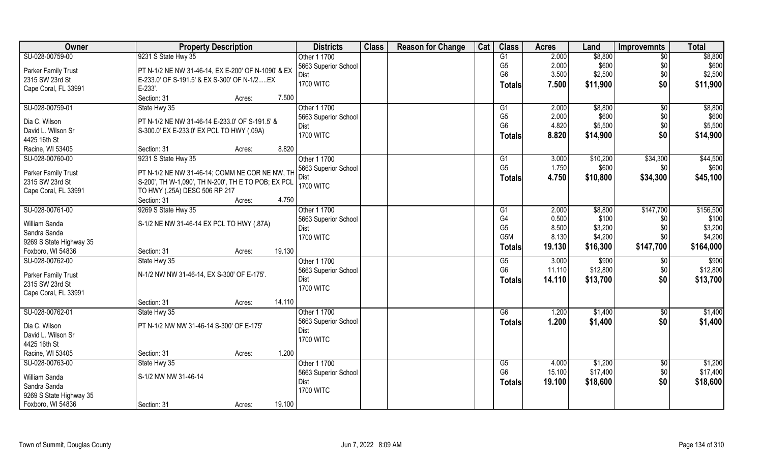| Owner                                | <b>Property Description</b>                         | <b>Districts</b>         | <b>Class</b> | <b>Reason for Change</b> | Cat | <b>Class</b>         | <b>Acres</b>    | Land              | <b>Improvemnts</b>     | <b>Total</b> |
|--------------------------------------|-----------------------------------------------------|--------------------------|--------------|--------------------------|-----|----------------------|-----------------|-------------------|------------------------|--------------|
| SU-028-00759-00                      | 9231 S State Hwy 35                                 | Other 1 1700             |              |                          |     | G1                   | 2.000           | \$8,800           | $\overline{50}$        | \$8,800      |
| Parker Family Trust                  | PT N-1/2 NE NW 31-46-14, EX E-200' OF N-1090' & EX  | 5663 Superior School     |              |                          |     | G <sub>5</sub>       | 2.000           | \$600             | \$0                    | \$600        |
| 2315 SW 23rd St                      | E-233.0' OF S-191.5' & EX S-300' OF N-1/2 EX        | Dist                     |              |                          |     | G <sub>6</sub>       | 3.500           | \$2,500           | \$0                    | \$2,500      |
| Cape Coral, FL 33991                 | E-233'.                                             | <b>1700 WITC</b>         |              |                          |     | Totals               | 7.500           | \$11,900          | \$0                    | \$11,900     |
|                                      | Section: 31<br>Acres:                               | 7.500                    |              |                          |     |                      |                 |                   |                        |              |
| SU-028-00759-01                      | State Hwy 35                                        | Other 1 1700             |              |                          |     | G1                   | 2.000           | \$8,800           | $\overline{50}$        | \$8,800      |
|                                      |                                                     | 5663 Superior School     |              |                          |     | G <sub>5</sub>       | 2.000           | \$600             | \$0                    | \$600        |
| Dia C. Wilson                        | PT N-1/2 NE NW 31-46-14 E-233.0' OF S-191.5' &      | Dist                     |              |                          |     | G <sub>6</sub>       | 4.820           | \$5,500           | \$0                    | \$5,500      |
| David L. Wilson Sr                   | S-300.0' EX E-233.0' EX PCL TO HWY (.09A)           | <b>1700 WITC</b>         |              |                          |     | <b>Totals</b>        | 8.820           | \$14,900          | \$0                    | \$14,900     |
| 4425 16th St                         |                                                     |                          |              |                          |     |                      |                 |                   |                        |              |
| Racine, WI 53405                     | Section: 31<br>Acres:                               | 8.820                    |              |                          |     |                      |                 |                   |                        |              |
| SU-028-00760-00                      | 9231 S State Hwy 35                                 | Other 1 1700             |              |                          |     | G <sub>1</sub>       | 3.000           | \$10,200          | \$34,300               | \$44,500     |
| Parker Family Trust                  | PT N-1/2 NE NW 31-46-14; COMM NE COR NE NW, TH      | 5663 Superior School     |              |                          |     | G <sub>5</sub>       | 1.750           | \$600             | \$0                    | \$600        |
| 2315 SW 23rd St                      | S-200', TH W-1,090', TH N-200', TH E TO POB; EX PCL | Dist                     |              |                          |     | <b>Totals</b>        | 4.750           | \$10,800          | \$34,300               | \$45,100     |
| Cape Coral, FL 33991                 | TO HWY (.25A) DESC 506 RP 217                       | <b>1700 WITC</b>         |              |                          |     |                      |                 |                   |                        |              |
|                                      | Section: 31<br>Acres:                               | 4.750                    |              |                          |     |                      |                 |                   |                        |              |
| SU-028-00761-00                      | 9269 S State Hwy 35                                 | Other 1 1700             |              |                          |     | G <sub>1</sub>       | 2.000           | \$8,800           | \$147,700              | \$156,500    |
|                                      |                                                     | 5663 Superior School     |              |                          |     | G <sub>4</sub>       | 0.500           | \$100             | \$0                    | \$100        |
| William Sanda                        | S-1/2 NE NW 31-46-14 EX PCL TO HWY (.87A)           | Dist                     |              |                          |     | G <sub>5</sub>       | 8.500           | \$3,200           | \$0                    | \$3,200      |
| Sandra Sanda                         |                                                     | <b>1700 WITC</b>         |              |                          |     | G <sub>5</sub> M     | 8.130           | \$4,200           | \$0                    | \$4,200      |
| 9269 S State Highway 35              | Section: 31                                         | 19.130                   |              |                          |     | <b>Totals</b>        | 19.130          | \$16,300          | \$147,700              | \$164,000    |
| Foxboro, WI 54836<br>SU-028-00762-00 | Acres:                                              |                          |              |                          |     |                      |                 |                   |                        | \$900        |
|                                      | State Hwy 35                                        | Other 1 1700             |              |                          |     | G5<br>G <sub>6</sub> | 3.000<br>11.110 | \$900<br>\$12,800 | $\overline{50}$<br>\$0 | \$12,800     |
| Parker Family Trust                  | N-1/2 NW NW 31-46-14, EX S-300' OF E-175'.          | 5663 Superior School     |              |                          |     |                      |                 |                   |                        |              |
| 2315 SW 23rd St                      |                                                     | Dist<br><b>1700 WITC</b> |              |                          |     | <b>Totals</b>        | 14.110          | \$13,700          | \$0                    | \$13,700     |
| Cape Coral, FL 33991                 |                                                     |                          |              |                          |     |                      |                 |                   |                        |              |
|                                      | Section: 31<br>Acres:                               | 14.110                   |              |                          |     |                      |                 |                   |                        |              |
| SU-028-00762-01                      | State Hwy 35                                        | Other 1 1700             |              |                          |     | G6                   | 1.200           | \$1,400           | \$0                    | \$1,400      |
| Dia C. Wilson                        | PT N-1/2 NW NW 31-46-14 S-300' OF E-175'            | 5663 Superior School     |              |                          |     | <b>Totals</b>        | 1.200           | \$1,400           | \$0                    | \$1,400      |
| David L. Wilson Sr                   |                                                     | <b>Dist</b>              |              |                          |     |                      |                 |                   |                        |              |
| 4425 16th St                         |                                                     | <b>1700 WITC</b>         |              |                          |     |                      |                 |                   |                        |              |
| Racine, WI 53405                     | Section: 31<br>Acres:                               | 1.200                    |              |                          |     |                      |                 |                   |                        |              |
| SU-028-00763-00                      | State Hwy 35                                        | Other 1 1700             |              |                          |     | G5                   | 4.000           | \$1,200           | $\sqrt{6}$             | \$1,200      |
|                                      |                                                     | 5663 Superior School     |              |                          |     | G <sub>6</sub>       | 15.100          | \$17,400          | \$0                    | \$17,400     |
| William Sanda                        | S-1/2 NW NW 31-46-14                                | Dist                     |              |                          |     | <b>Totals</b>        | 19.100          | \$18,600          | \$0                    | \$18,600     |
| Sandra Sanda                         |                                                     | <b>1700 WITC</b>         |              |                          |     |                      |                 |                   |                        |              |
| 9269 S State Highway 35              |                                                     |                          |              |                          |     |                      |                 |                   |                        |              |
| Foxboro, WI 54836                    | Section: 31<br>Acres:                               | 19.100                   |              |                          |     |                      |                 |                   |                        |              |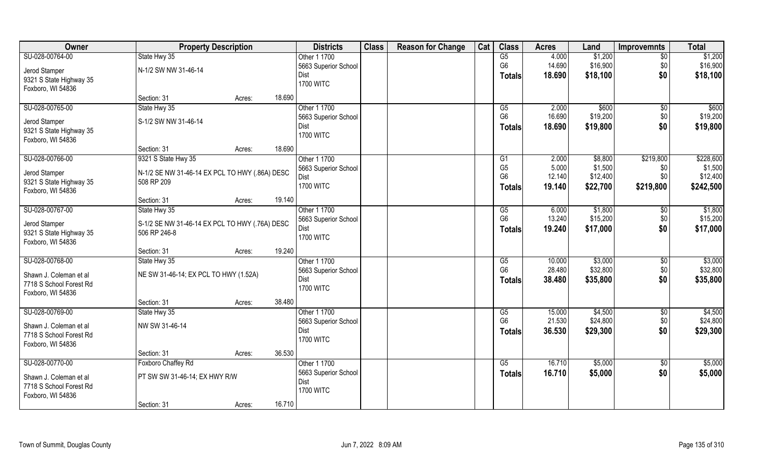| Owner                   | <b>Property Description</b>                    |        | <b>Districts</b>     | <b>Class</b> | <b>Reason for Change</b> | Cat | <b>Class</b>    | <b>Acres</b> | Land     | <b>Improvemnts</b> | <b>Total</b> |
|-------------------------|------------------------------------------------|--------|----------------------|--------------|--------------------------|-----|-----------------|--------------|----------|--------------------|--------------|
| SU-028-00764-00         | State Hwy 35                                   |        | Other 1 1700         |              |                          |     | $\overline{G5}$ | 4.000        | \$1,200  | $\overline{50}$    | \$1,200      |
| Jerod Stamper           | N-1/2 SW NW 31-46-14                           |        | 5663 Superior School |              |                          |     | G <sub>6</sub>  | 14.690       | \$16,900 | \$0                | \$16,900     |
| 9321 S State Highway 35 |                                                |        | Dist                 |              |                          |     | <b>Totals</b>   | 18.690       | \$18,100 | \$0                | \$18,100     |
| Foxboro, WI 54836       |                                                |        | <b>1700 WITC</b>     |              |                          |     |                 |              |          |                    |              |
|                         | Section: 31                                    | Acres: | 18.690               |              |                          |     |                 |              |          |                    |              |
| SU-028-00765-00         | State Hwy 35                                   |        | Other 1 1700         |              |                          |     | G5              | 2.000        | \$600    | $\overline{50}$    | \$600        |
| Jerod Stamper           | S-1/2 SW NW 31-46-14                           |        | 5663 Superior School |              |                          |     | G <sub>6</sub>  | 16.690       | \$19,200 | \$0                | \$19,200     |
| 9321 S State Highway 35 |                                                |        | Dist                 |              |                          |     | <b>Totals</b>   | 18.690       | \$19,800 | \$0                | \$19,800     |
| Foxboro, WI 54836       |                                                |        | <b>1700 WITC</b>     |              |                          |     |                 |              |          |                    |              |
|                         | Section: 31                                    | Acres: | 18.690               |              |                          |     |                 |              |          |                    |              |
| SU-028-00766-00         | 9321 S State Hwy 35                            |        | Other 1 1700         |              |                          |     | G1              | 2.000        | \$8,800  | \$219,800          | \$228,600    |
| Jerod Stamper           | N-1/2 SE NW 31-46-14 EX PCL TO HWY (.86A) DESC |        | 5663 Superior School |              |                          |     | G <sub>5</sub>  | 5.000        | \$1,500  | \$0                | \$1,500      |
| 9321 S State Highway 35 | 508 RP 209                                     |        | Dist                 |              |                          |     | G <sub>6</sub>  | 12.140       | \$12,400 | \$0                | \$12,400     |
| Foxboro, WI 54836       |                                                |        | <b>1700 WITC</b>     |              |                          |     | Totals          | 19.140       | \$22,700 | \$219,800          | \$242,500    |
|                         | Section: 31                                    | Acres: | 19.140               |              |                          |     |                 |              |          |                    |              |
| SU-028-00767-00         | State Hwy 35                                   |        | Other 1 1700         |              |                          |     | G5              | 6.000        | \$1,800  | \$0                | \$1,800      |
| Jerod Stamper           | S-1/2 SE NW 31-46-14 EX PCL TO HWY (.76A) DESC |        | 5663 Superior School |              |                          |     | G <sub>6</sub>  | 13.240       | \$15,200 | \$0                | \$15,200     |
| 9321 S State Highway 35 | 506 RP 246-8                                   |        | Dist                 |              |                          |     | <b>Totals</b>   | 19.240       | \$17,000 | \$0                | \$17,000     |
| Foxboro, WI 54836       |                                                |        | <b>1700 WITC</b>     |              |                          |     |                 |              |          |                    |              |
|                         | Section: 31                                    | Acres: | 19.240               |              |                          |     |                 |              |          |                    |              |
| SU-028-00768-00         | State Hwy 35                                   |        | Other 1 1700         |              |                          |     | G5              | 10.000       | \$3,000  | $\sqrt[6]{30}$     | \$3,000      |
| Shawn J. Coleman et al  | NE SW 31-46-14; EX PCL TO HWY (1.52A)          |        | 5663 Superior School |              |                          |     | G <sub>6</sub>  | 28.480       | \$32,800 | \$0                | \$32,800     |
| 7718 S School Forest Rd |                                                |        | Dist                 |              |                          |     | Totals          | 38.480       | \$35,800 | \$0                | \$35,800     |
| Foxboro, WI 54836       |                                                |        | <b>1700 WITC</b>     |              |                          |     |                 |              |          |                    |              |
|                         | Section: 31                                    | Acres: | 38.480               |              |                          |     |                 |              |          |                    |              |
| SU-028-00769-00         | State Hwy 35                                   |        | Other 1 1700         |              |                          |     | G5              | 15.000       | \$4,500  | \$0                | \$4,500      |
| Shawn J. Coleman et al  | NW SW 31-46-14                                 |        | 5663 Superior School |              |                          |     | G <sub>6</sub>  | 21.530       | \$24,800 | \$0                | \$24,800     |
| 7718 S School Forest Rd |                                                |        | Dist                 |              |                          |     | <b>Totals</b>   | 36.530       | \$29,300 | \$0                | \$29,300     |
| Foxboro, WI 54836       |                                                |        | <b>1700 WITC</b>     |              |                          |     |                 |              |          |                    |              |
|                         | Section: 31                                    | Acres: | 36.530               |              |                          |     |                 |              |          |                    |              |
| SU-028-00770-00         | Foxboro Chaffey Rd                             |        | Other 1 1700         |              |                          |     | G5              | 16.710       | \$5,000  | $\sqrt{$0}$        | \$5,000      |
| Shawn J. Coleman et al  | PT SW SW 31-46-14; EX HWY R/W                  |        | 5663 Superior School |              |                          |     | Totals          | 16.710       | \$5,000  | \$0                | \$5,000      |
| 7718 S School Forest Rd |                                                |        | Dist                 |              |                          |     |                 |              |          |                    |              |
| Foxboro, WI 54836       |                                                |        | <b>1700 WITC</b>     |              |                          |     |                 |              |          |                    |              |
|                         | Section: 31                                    | Acres: | 16.710               |              |                          |     |                 |              |          |                    |              |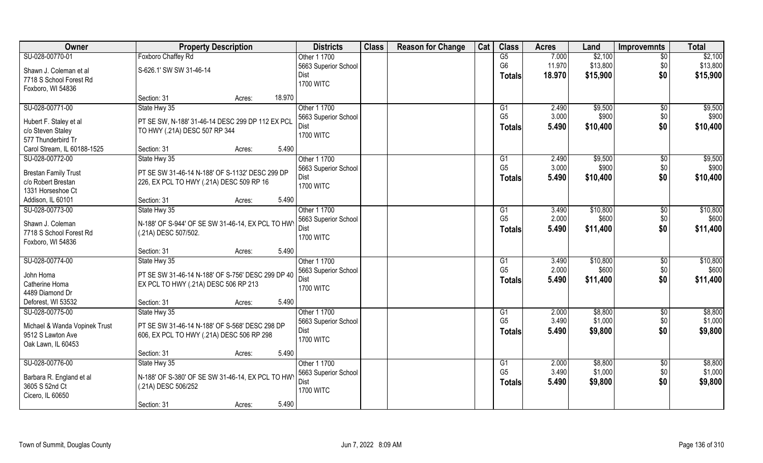| Owner                                   | <b>Property Description</b>                       | <b>Districts</b>     | <b>Class</b> | <b>Reason for Change</b> | Cat | <b>Class</b>    | <b>Acres</b> | Land     | <b>Improvemnts</b> | <b>Total</b> |
|-----------------------------------------|---------------------------------------------------|----------------------|--------------|--------------------------|-----|-----------------|--------------|----------|--------------------|--------------|
| SU-028-00770-01                         | Foxboro Chaffey Rd                                | Other 1 1700         |              |                          |     | G5              | 7.000        | \$2,100  | $\overline{30}$    | \$2,100      |
| Shawn J. Coleman et al                  | S-626.1' SW SW 31-46-14                           | 5663 Superior School |              |                          |     | G <sub>6</sub>  | 11.970       | \$13,800 | \$0                | \$13,800     |
| 7718 S School Forest Rd                 |                                                   | Dist                 |              |                          |     | <b>Totals</b>   | 18.970       | \$15,900 | \$0                | \$15,900     |
| Foxboro, WI 54836                       |                                                   | <b>1700 WITC</b>     |              |                          |     |                 |              |          |                    |              |
|                                         | Section: 31<br>Acres:                             | 18.970               |              |                          |     |                 |              |          |                    |              |
| SU-028-00771-00                         | State Hwy 35                                      | Other 1 1700         |              |                          |     | $\overline{G1}$ | 2.490        | \$9,500  | $\overline{50}$    | \$9,500      |
|                                         |                                                   | 5663 Superior School |              |                          |     | G <sub>5</sub>  | 3.000        | \$900    | \$0                | \$900        |
| Hubert F. Staley et al                  | PT SE SW, N-188' 31-46-14 DESC 299 DP 112 EX PCL  | Dist                 |              |                          |     | <b>Totals</b>   | 5.490        | \$10,400 | \$0                | \$10,400     |
| c/o Steven Staley<br>577 Thunderbird Tr | TO HWY (.21A) DESC 507 RP 344                     | <b>1700 WITC</b>     |              |                          |     |                 |              |          |                    |              |
| Carol Stream, IL 60188-1525             | Section: 31<br>Acres:                             | 5.490                |              |                          |     |                 |              |          |                    |              |
| SU-028-00772-00                         | State Hwy 35                                      | Other 1 1700         |              |                          |     | G1              | 2.490        | \$9,500  | \$0                | \$9,500      |
|                                         |                                                   | 5663 Superior School |              |                          |     | G <sub>5</sub>  | 3.000        | \$900    | \$0                | \$900        |
| <b>Brestan Family Trust</b>             | PT SE SW 31-46-14 N-188' OF S-1132' DESC 299 DP   | Dist                 |              |                          |     | <b>Totals</b>   | 5.490        | \$10,400 | \$0                | \$10,400     |
| c/o Robert Brestan                      | 226, EX PCL TO HWY (.21A) DESC 509 RP 16          | <b>1700 WITC</b>     |              |                          |     |                 |              |          |                    |              |
| 1331 Horseshoe Ct                       |                                                   |                      |              |                          |     |                 |              |          |                    |              |
| Addison, IL 60101                       | Section: 31<br>Acres:                             | 5.490                |              |                          |     |                 |              |          |                    |              |
| SU-028-00773-00                         | State Hwy 35                                      | Other 1 1700         |              |                          |     | G1              | 3.490        | \$10,800 | \$0                | \$10,800     |
| Shawn J. Coleman                        | N-188' OF S-944' OF SE SW 31-46-14, EX PCL TO HWY | 5663 Superior School |              |                          |     | G <sub>5</sub>  | 2.000        | \$600    | \$0                | \$600        |
| 7718 S School Forest Rd                 | (.21A) DESC 507/502.                              | Dist                 |              |                          |     | <b>Totals</b>   | 5.490        | \$11,400 | \$0                | \$11,400     |
| Foxboro, WI 54836                       |                                                   | <b>1700 WITC</b>     |              |                          |     |                 |              |          |                    |              |
|                                         | Section: 31<br>Acres:                             | 5.490                |              |                          |     |                 |              |          |                    |              |
| SU-028-00774-00                         | State Hwy 35                                      | Other 1 1700         |              |                          |     | G1              | 3.490        | \$10,800 | \$0                | \$10,800     |
| John Homa                               | PT SE SW 31-46-14 N-188' OF S-756' DESC 299 DP 40 | 5663 Superior School |              |                          |     | G <sub>5</sub>  | 2.000        | \$600    | \$0                | \$600        |
| Catherine Homa                          | EX PCL TO HWY (.21A) DESC 506 RP 213              | Dist                 |              |                          |     | <b>Totals</b>   | 5.490        | \$11,400 | \$0                | \$11,400     |
| 4489 Diamond Dr                         |                                                   | <b>1700 WITC</b>     |              |                          |     |                 |              |          |                    |              |
| Deforest, WI 53532                      | Section: 31<br>Acres:                             | 5.490                |              |                          |     |                 |              |          |                    |              |
| SU-028-00775-00                         | State Hwy 35                                      | Other 1 1700         |              |                          |     | G1              | 2.000        | \$8,800  | \$0                | \$8,800      |
|                                         |                                                   | 5663 Superior School |              |                          |     | G <sub>5</sub>  | 3.490        | \$1,000  | \$0                | \$1,000      |
| Michael & Wanda Vopinek Trust           | PT SE SW 31-46-14 N-188' OF S-568' DESC 298 DP    | Dist                 |              |                          |     | <b>Totals</b>   | 5.490        | \$9,800  | \$0                | \$9,800      |
| 9512 S Lawton Ave                       | 606, EX PCL TO HWY (.21A) DESC 506 RP 298         | <b>1700 WITC</b>     |              |                          |     |                 |              |          |                    |              |
| Oak Lawn, IL 60453                      |                                                   |                      |              |                          |     |                 |              |          |                    |              |
|                                         | Section: 31<br>Acres:                             | 5.490                |              |                          |     |                 |              |          |                    |              |
| SU-028-00776-00                         | State Hwy 35                                      | Other 1 1700         |              |                          |     | G1              | 2.000        | \$8,800  | $\sqrt{6}$         | \$8,800      |
| Barbara R. England et al                | N-188' OF S-380' OF SE SW 31-46-14, EX PCL TO HWY | 5663 Superior School |              |                          |     | G <sub>5</sub>  | 3.490        | \$1,000  | \$0                | \$1,000      |
| 3605 S 52nd Ct                          | (.21A) DESC 506/252                               | Dist                 |              |                          |     | <b>Totals</b>   | 5.490        | \$9,800  | \$0                | \$9,800      |
| Cicero, IL 60650                        |                                                   | <b>1700 WITC</b>     |              |                          |     |                 |              |          |                    |              |
|                                         | Section: 31<br>Acres:                             | 5.490                |              |                          |     |                 |              |          |                    |              |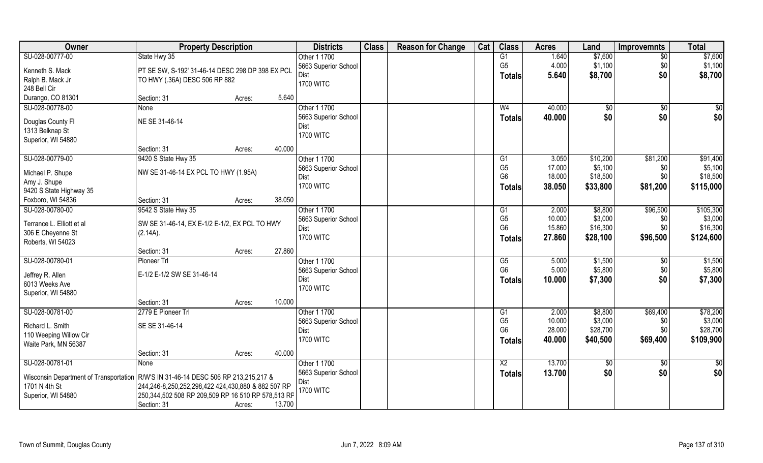| Owner                                  | <b>Property Description</b>                                                                              |                  | <b>Districts</b>     | <b>Class</b> | <b>Reason for Change</b> | Cat | <b>Class</b>           | <b>Acres</b> | Land     | <b>Improvemnts</b> | <b>Total</b> |
|----------------------------------------|----------------------------------------------------------------------------------------------------------|------------------|----------------------|--------------|--------------------------|-----|------------------------|--------------|----------|--------------------|--------------|
| SU-028-00777-00                        | State Hwy 35                                                                                             |                  | Other 1 1700         |              |                          |     | G1                     | 1.640        | \$7,600  | $\overline{50}$    | \$7,600      |
| Kenneth S. Mack                        | PT SE SW, S-192' 31-46-14 DESC 298 DP 398 EX PCL                                                         |                  | 5663 Superior School |              |                          |     | G <sub>5</sub>         | 4.000        | \$1,100  | \$0                | \$1,100      |
| Ralph B. Mack Jr                       | TO HWY (.36A) DESC 506 RP 882                                                                            |                  | Dist                 |              |                          |     | Totals                 | 5.640        | \$8,700  | \$0                | \$8,700      |
| 248 Bell Cir                           |                                                                                                          |                  | <b>1700 WITC</b>     |              |                          |     |                        |              |          |                    |              |
| Durango, CO 81301                      | Section: 31                                                                                              | 5.640<br>Acres:  |                      |              |                          |     |                        |              |          |                    |              |
| SU-028-00778-00                        | <b>None</b>                                                                                              |                  | Other 1 1700         |              |                          |     | W <sub>4</sub>         | 40.000       | \$0      | $\overline{50}$    | $\sqrt{50}$  |
|                                        |                                                                                                          |                  | 5663 Superior School |              |                          |     | <b>Totals</b>          | 40.000       | \$0      | \$0                | \$0          |
| Douglas County Fl                      | NE SE 31-46-14                                                                                           |                  | Dist                 |              |                          |     |                        |              |          |                    |              |
| 1313 Belknap St                        |                                                                                                          |                  | <b>1700 WITC</b>     |              |                          |     |                        |              |          |                    |              |
| Superior, WI 54880                     |                                                                                                          |                  |                      |              |                          |     |                        |              |          |                    |              |
|                                        | Section: 31                                                                                              | 40.000<br>Acres: |                      |              |                          |     |                        |              |          |                    |              |
| SU-028-00779-00                        | 9420 S State Hwy 35                                                                                      |                  | Other 1 1700         |              |                          |     | G1                     | 3.050        | \$10,200 | \$81,200           | \$91,400     |
| Michael P. Shupe                       | NW SE 31-46-14 EX PCL TO HWY (1.95A)                                                                     |                  | 5663 Superior School |              |                          |     | G <sub>5</sub>         | 17.000       | \$5,100  | \$0                | \$5,100      |
| Amy J. Shupe                           |                                                                                                          |                  | Dist                 |              |                          |     | G <sub>6</sub>         | 18.000       | \$18,500 | \$0                | \$18,500     |
| 9420 S State Highway 35                |                                                                                                          |                  | <b>1700 WITC</b>     |              |                          |     | Totals                 | 38.050       | \$33,800 | \$81,200           | \$115,000    |
| Foxboro, WI 54836                      | Section: 31                                                                                              | 38.050<br>Acres: |                      |              |                          |     |                        |              |          |                    |              |
| SU-028-00780-00                        | 9542 S State Hwy 35                                                                                      |                  | Other 1 1700         |              |                          |     | G1                     | 2.000        | \$8,800  | \$96,500           | \$105,300    |
|                                        |                                                                                                          |                  | 5663 Superior School |              |                          |     | G <sub>5</sub>         | 10.000       | \$3,000  | \$0                | \$3,000      |
| Terrance L. Elliott et al              | SW SE 31-46-14, EX E-1/2 E-1/2, EX PCL TO HWY                                                            |                  | Dist                 |              |                          |     | G <sub>6</sub>         | 15.860       | \$16,300 | \$0                | \$16,300     |
| 306 E Cheyenne St<br>Roberts, WI 54023 | (2.14A).                                                                                                 |                  | <b>1700 WITC</b>     |              |                          |     | <b>Totals</b>          | 27.860       | \$28,100 | \$96,500           | \$124,600    |
|                                        | Section: 31                                                                                              | 27.860<br>Acres: |                      |              |                          |     |                        |              |          |                    |              |
| SU-028-00780-01                        | Pioneer Trl                                                                                              |                  | Other 1 1700         |              |                          |     | $\overline{\text{G5}}$ | 5.000        | \$1,500  | \$0                | \$1,500      |
|                                        |                                                                                                          |                  | 5663 Superior School |              |                          |     | G <sub>6</sub>         | 5.000        | \$5,800  | \$0                | \$5,800      |
| Jeffrey R. Allen                       | E-1/2 E-1/2 SW SE 31-46-14                                                                               |                  | Dist                 |              |                          |     |                        | 10.000       | \$7,300  | \$0                | \$7,300      |
| 6013 Weeks Ave                         |                                                                                                          |                  | <b>1700 WITC</b>     |              |                          |     | <b>Totals</b>          |              |          |                    |              |
| Superior, WI 54880                     |                                                                                                          |                  |                      |              |                          |     |                        |              |          |                    |              |
|                                        | Section: 31                                                                                              | 10.000<br>Acres: |                      |              |                          |     |                        |              |          |                    |              |
| SU-028-00781-00                        | 2779 E Pioneer Trl                                                                                       |                  | Other 1 1700         |              |                          |     | G1                     | 2.000        | \$8,800  | \$69,400           | \$78,200     |
| Richard L. Smith                       | SE SE 31-46-14                                                                                           |                  | 5663 Superior School |              |                          |     | G <sub>5</sub>         | 10.000       | \$3,000  | \$0                | \$3,000      |
| 110 Weeping Willow Cir                 |                                                                                                          |                  | Dist                 |              |                          |     | G <sub>6</sub>         | 28.000       | \$28,700 | \$0                | \$28,700     |
| Waite Park, MN 56387                   |                                                                                                          |                  | <b>1700 WITC</b>     |              |                          |     | Totals                 | 40.000       | \$40,500 | \$69,400           | \$109,900    |
|                                        | Section: 31                                                                                              | 40.000<br>Acres: |                      |              |                          |     |                        |              |          |                    |              |
| SU-028-00781-01                        | None                                                                                                     |                  | Other 1 1700         |              |                          |     | $\overline{X2}$        | 13.700       | \$0      | $\sqrt[6]{}$       | \$0          |
|                                        |                                                                                                          |                  | 5663 Superior School |              |                          |     | <b>Totals</b>          | 13.700       | \$0      | \$0                | \$0          |
| Wisconsin Department of Transportation | R/W'S IN 31-46-14 DESC 506 RP 213,215,217 &                                                              |                  | Dist                 |              |                          |     |                        |              |          |                    |              |
| 1701 N 4th St                          | 244,246-8,250,252,298,422 424,430,880 & 882 507 RP<br>250,344,502 508 RP 209,509 RP 16 510 RP 578,513 RP |                  | <b>1700 WITC</b>     |              |                          |     |                        |              |          |                    |              |
| Superior, WI 54880                     |                                                                                                          | 13.700           |                      |              |                          |     |                        |              |          |                    |              |
|                                        | Section: 31                                                                                              | Acres:           |                      |              |                          |     |                        |              |          |                    |              |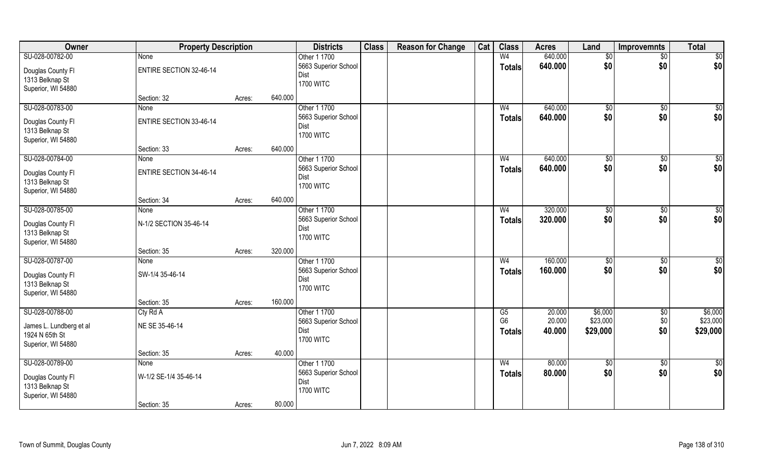| Owner                   | <b>Property Description</b>    |        |         | <b>Districts</b>     | <b>Class</b> | <b>Reason for Change</b> | Cat | <b>Class</b>   | <b>Acres</b> | Land            | <b>Improvemnts</b> | <b>Total</b>    |
|-------------------------|--------------------------------|--------|---------|----------------------|--------------|--------------------------|-----|----------------|--------------|-----------------|--------------------|-----------------|
| SU-028-00782-00         | None                           |        |         | Other 1 1700         |              |                          |     | W <sub>4</sub> | 640.000      | \$0             | \$0                | \$0             |
| Douglas County Fl       | <b>ENTIRE SECTION 32-46-14</b> |        |         | 5663 Superior School |              |                          |     | <b>Totals</b>  | 640.000      | \$0             | \$0                | \$0             |
| 1313 Belknap St         |                                |        |         | Dist                 |              |                          |     |                |              |                 |                    |                 |
| Superior, WI 54880      |                                |        |         | <b>1700 WITC</b>     |              |                          |     |                |              |                 |                    |                 |
|                         | Section: 32                    | Acres: | 640.000 |                      |              |                          |     |                |              |                 |                    |                 |
| SU-028-00783-00         | None                           |        |         | Other 1 1700         |              |                          |     | W <sub>4</sub> | 640.000      | \$0             | \$0                | $\sqrt{50}$     |
| Douglas County Fl       | <b>ENTIRE SECTION 33-46-14</b> |        |         | 5663 Superior School |              |                          |     | <b>Totals</b>  | 640.000      | \$0             | \$0                | \$0             |
| 1313 Belknap St         |                                |        |         | Dist                 |              |                          |     |                |              |                 |                    |                 |
| Superior, WI 54880      |                                |        |         | <b>1700 WITC</b>     |              |                          |     |                |              |                 |                    |                 |
|                         | Section: 33                    | Acres: | 640.000 |                      |              |                          |     |                |              |                 |                    |                 |
| SU-028-00784-00         | None                           |        |         | Other 1 1700         |              |                          |     | W <sub>4</sub> | 640.000      | \$0             | \$0                | \$0             |
| Douglas County Fl       | <b>ENTIRE SECTION 34-46-14</b> |        |         | 5663 Superior School |              |                          |     | <b>Totals</b>  | 640.000      | \$0             | \$0                | \$0             |
| 1313 Belknap St         |                                |        |         | Dist                 |              |                          |     |                |              |                 |                    |                 |
| Superior, WI 54880      |                                |        |         | <b>1700 WITC</b>     |              |                          |     |                |              |                 |                    |                 |
|                         | Section: 34                    | Acres: | 640.000 |                      |              |                          |     |                |              |                 |                    |                 |
| SU-028-00785-00         | None                           |        |         | Other 1 1700         |              |                          |     | W <sub>4</sub> | 320.000      | $\sqrt[6]{3}$   | \$0                | \$0             |
| Douglas County Fl       | N-1/2 SECTION 35-46-14         |        |         | 5663 Superior School |              |                          |     | <b>Totals</b>  | 320.000      | \$0             | \$0                | \$0             |
| 1313 Belknap St         |                                |        |         | Dist                 |              |                          |     |                |              |                 |                    |                 |
| Superior, WI 54880      |                                |        |         | <b>1700 WITC</b>     |              |                          |     |                |              |                 |                    |                 |
|                         | Section: 35                    | Acres: | 320.000 |                      |              |                          |     |                |              |                 |                    |                 |
| SU-028-00787-00         | <b>None</b>                    |        |         | Other 1 1700         |              |                          |     | W <sub>4</sub> | 160.000      | \$0             | \$0                | $\overline{50}$ |
| Douglas County Fl       | SW-1/4 35-46-14                |        |         | 5663 Superior School |              |                          |     | <b>Totals</b>  | 160.000      | \$0             | \$0                | \$0             |
| 1313 Belknap St         |                                |        |         | Dist                 |              |                          |     |                |              |                 |                    |                 |
| Superior, WI 54880      |                                |        |         | <b>1700 WITC</b>     |              |                          |     |                |              |                 |                    |                 |
|                         | Section: 35                    | Acres: | 160.000 |                      |              |                          |     |                |              |                 |                    |                 |
| SU-028-00788-00         | Cty Rd A                       |        |         | Other 1 1700         |              |                          |     | G5             | 20.000       | \$6,000         | $\sqrt{$0}$        | \$6,000         |
| James L. Lundberg et al | NE SE 35-46-14                 |        |         | 5663 Superior School |              |                          |     | G <sub>6</sub> | 20.000       | \$23,000        | \$0                | \$23,000        |
| 1924 N 65th St          |                                |        |         | Dist                 |              |                          |     | Totals         | 40.000       | \$29,000        | \$0                | \$29,000        |
| Superior, WI 54880      |                                |        |         | <b>1700 WITC</b>     |              |                          |     |                |              |                 |                    |                 |
|                         | Section: 35                    | Acres: | 40.000  |                      |              |                          |     |                |              |                 |                    |                 |
| SU-028-00789-00         | <b>None</b>                    |        |         | Other 1 1700         |              |                          |     | W <sub>4</sub> | 80.000       | $\overline{50}$ | $\sqrt{6}$         | \$0             |
| Douglas County Fl       | W-1/2 SE-1/4 35-46-14          |        |         | 5663 Superior School |              |                          |     | <b>Totals</b>  | 80.000       | \$0             | \$0                | \$0             |
| 1313 Belknap St         |                                |        |         | Dist                 |              |                          |     |                |              |                 |                    |                 |
| Superior, WI 54880      |                                |        |         | <b>1700 WITC</b>     |              |                          |     |                |              |                 |                    |                 |
|                         | Section: 35                    | Acres: | 80.000  |                      |              |                          |     |                |              |                 |                    |                 |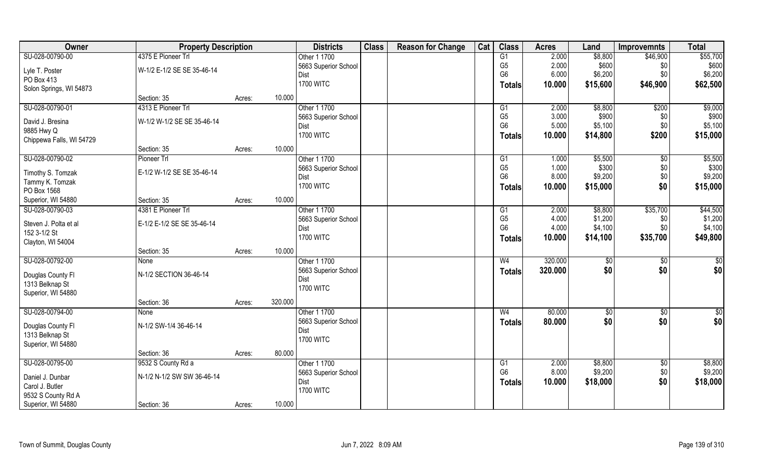| 4375 E Pioneer Trl<br>\$8,800<br>SU-028-00790-00<br>Other 1 1700<br>G1<br>2.000<br>\$46,900                         | \$55,700        |
|---------------------------------------------------------------------------------------------------------------------|-----------------|
|                                                                                                                     |                 |
| G <sub>5</sub><br>2.000<br>\$600<br>5663 Superior School<br>\$0<br>W-1/2 E-1/2 SE SE 35-46-14<br>Lyle T. Poster     | \$600           |
| G <sub>6</sub><br>6.000<br>\$6,200<br>\$0<br>Dist<br>PO Box 413                                                     | \$6,200         |
| <b>1700 WITC</b><br>\$46,900<br>10.000<br>\$15,600<br>Totals<br>Solon Springs, WI 54873                             | \$62,500        |
| 10.000<br>Section: 35<br>Acres:                                                                                     |                 |
| SU-028-00790-01<br>4313 E Pioneer Trl<br>Other 1 1700<br>\$8,800<br>\$200<br>2.000<br>G1                            | \$9,000         |
| G <sub>5</sub><br>3.000<br>\$900<br>5663 Superior School<br>\$0<br>W-1/2 W-1/2 SE SE 35-46-14<br>David J. Bresina   | \$900           |
| G <sub>6</sub><br>\$5,100<br>5.000<br>\$0<br>Dist<br>9885 Hwy Q                                                     | \$5,100         |
| <b>1700 WITC</b><br>\$200<br>10.000<br>\$14,800<br><b>Totals</b><br>Chippewa Falls, WI 54729                        | \$15,000        |
| 10.000<br>Section: 35<br>Acres:                                                                                     |                 |
| SU-028-00790-02<br>Other 1 1700<br>\$5,500<br>Pioneer Trl<br>G1<br>1.000<br>$\sqrt[6]{30}$                          | \$5,500         |
| G <sub>5</sub><br>\$300<br>1.000<br>\$0<br>5663 Superior School                                                     | \$300           |
| E-1/2 W-1/2 SE SE 35-46-14<br>Timothy S. Tomzak<br>G <sub>6</sub><br>8.000<br>\$9,200<br>\$0<br>Dist                | \$9,200         |
| Tammy K. Tomzak<br><b>1700 WITC</b><br>\$0<br>10.000<br>\$15,000<br>Totals<br>PO Box 1568                           | \$15,000        |
| 10.000<br>Superior, WI 54880<br>Section: 35<br>Acres:                                                               |                 |
| 4381 E Pioneer Trl<br>Other 1 1700<br>\$8,800<br>\$35,700<br>SU-028-00790-03<br>2.000<br>G1                         | \$44,500        |
| G <sub>5</sub><br>4.000<br>\$1,200<br>5663 Superior School<br>\$0                                                   | \$1,200         |
| Steven J. Polta et al<br>E-1/2 E-1/2 SE SE 35-46-14<br>G <sub>6</sub><br>4.000<br>\$4,100<br>\$0<br>Dist            | \$4,100         |
| 152 3-1/2 St<br><b>1700 WITC</b><br>10.000<br>\$14,100<br>\$35,700<br><b>Totals</b>                                 | \$49,800        |
| Clayton, WI 54004                                                                                                   |                 |
| 10.000<br>Section: 35<br>Acres:                                                                                     |                 |
| 320.000<br>SU-028-00792-00<br>Other 1 1700<br>W <sub>4</sub><br>$\sqrt[6]{3}$<br>None<br>\$0                        | $\overline{50}$ |
| \$0<br>\$0<br>5663 Superior School<br>320.000<br><b>Totals</b><br>N-1/2 SECTION 36-46-14<br>Douglas County Fl       | \$0             |
| Dist<br>1313 Belknap St                                                                                             |                 |
| <b>1700 WITC</b><br>Superior, WI 54880                                                                              |                 |
| 320.000<br>Section: 36<br>Acres:                                                                                    |                 |
| SU-028-00794-00<br>Other 1 1700<br>80.000<br>$\sqrt{6}$<br>W <sub>4</sub><br>\$0<br>None                            | $\frac{6}{3}$   |
| \$0<br>\$0<br>80.000<br>5663 Superior School<br><b>Totals</b><br>N-1/2 SW-1/4 36-46-14<br>Douglas County Fl         | \$0             |
| Dist<br>1313 Belknap St                                                                                             |                 |
| <b>1700 WITC</b><br>Superior, WI 54880                                                                              |                 |
| 80.000<br>Section: 36<br>Acres:                                                                                     |                 |
| SU-028-00795-00<br>9532 S County Rd a<br>Other 1 1700<br>2.000<br>\$8,800<br>G1<br>\$0                              | \$8,800         |
| G <sub>6</sub><br>\$9,200<br>8.000<br>\$0<br>5663 Superior School<br>N-1/2 N-1/2 SW SW 36-46-14<br>Daniel J. Dunbar | \$9,200         |
| \$0<br>10.000<br>Dist<br>\$18,000<br><b>Totals</b><br>Carol J. Butler                                               | \$18,000        |
| <b>1700 WITC</b><br>9532 S County Rd A                                                                              |                 |
| 10.000<br>Superior, WI 54880<br>Section: 36<br>Acres:                                                               |                 |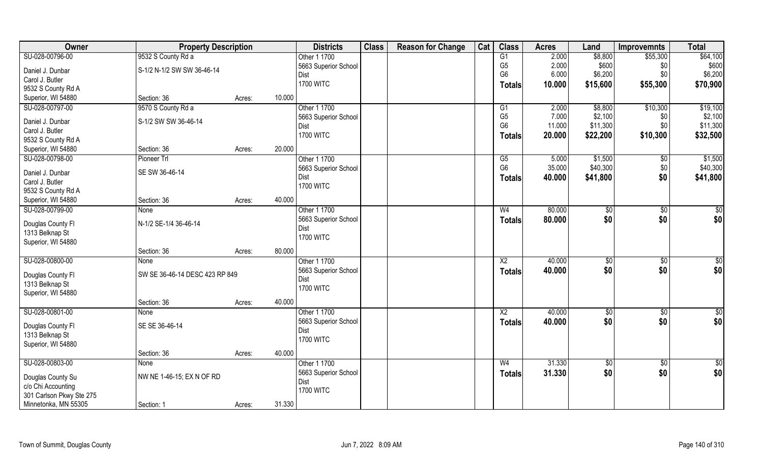| Owner                    | <b>Property Description</b>    |        |        | <b>Districts</b>                    | <b>Class</b> | <b>Reason for Change</b> | Cat | <b>Class</b>         | <b>Acres</b>    | Land                | <b>Improvemnts</b> | <b>Total</b>        |
|--------------------------|--------------------------------|--------|--------|-------------------------------------|--------------|--------------------------|-----|----------------------|-----------------|---------------------|--------------------|---------------------|
| SU-028-00796-00          | 9532 S County Rd a             |        |        | Other 1 1700                        |              |                          |     | G1                   | 2.000           | \$8,800             | \$55,300           | \$64,100            |
| Daniel J. Dunbar         | S-1/2 N-1/2 SW SW 36-46-14     |        |        | 5663 Superior School                |              |                          |     | G <sub>5</sub>       | 2.000           | \$600               | \$0                | \$600               |
| Carol J. Butler          |                                |        |        | Dist                                |              |                          |     | G <sub>6</sub>       | 6.000           | \$6,200             | \$0                | \$6,200             |
| 9532 S County Rd A       |                                |        |        | <b>1700 WITC</b>                    |              |                          |     | <b>Totals</b>        | 10.000          | \$15,600            | \$55,300           | \$70,900            |
| Superior, WI 54880       | Section: 36                    | Acres: | 10.000 |                                     |              |                          |     |                      |                 |                     |                    |                     |
| SU-028-00797-00          | 9570 S County Rd a             |        |        | Other 1 1700                        |              |                          |     | G1                   | 2.000           | \$8,800             | \$10,300           | \$19,100            |
|                          |                                |        |        | 5663 Superior School                |              |                          |     | G <sub>5</sub>       | 7.000           | \$2,100             | \$0                | \$2,100             |
| Daniel J. Dunbar         | S-1/2 SW SW 36-46-14           |        |        | Dist                                |              |                          |     | G <sub>6</sub>       | 11.000          | \$11,300            | \$0                | \$11,300            |
| Carol J. Butler          |                                |        |        | <b>1700 WITC</b>                    |              |                          |     | Totals               | 20.000          | \$22,200            | \$10,300           | \$32,500            |
| 9532 S County Rd A       |                                |        | 20.000 |                                     |              |                          |     |                      |                 |                     |                    |                     |
| Superior, WI 54880       | Section: 36                    | Acres: |        |                                     |              |                          |     |                      |                 |                     |                    |                     |
| SU-028-00798-00          | Pioneer Trl                    |        |        | Other 1 1700                        |              |                          |     | G5<br>G <sub>6</sub> | 5.000<br>35.000 | \$1,500<br>\$40,300 | \$0<br>\$0         | \$1,500<br>\$40,300 |
| Daniel J. Dunbar         | SE SW 36-46-14                 |        |        | 5663 Superior School<br>Dist        |              |                          |     |                      | 40.000          | \$41,800            | \$0                | \$41,800            |
| Carol J. Butler          |                                |        |        | <b>1700 WITC</b>                    |              |                          |     | <b>Totals</b>        |                 |                     |                    |                     |
| 9532 S County Rd A       |                                |        |        |                                     |              |                          |     |                      |                 |                     |                    |                     |
| Superior, WI 54880       | Section: 36                    | Acres: | 40.000 |                                     |              |                          |     |                      |                 |                     |                    |                     |
| SU-028-00799-00          | None                           |        |        | Other 1 1700                        |              |                          |     | W <sub>4</sub>       | 80.000          | \$0                 | $\sqrt[6]{3}$      | $\sqrt{50}$         |
| Douglas County Fl        | N-1/2 SE-1/4 36-46-14          |        |        | 5663 Superior School                |              |                          |     | <b>Totals</b>        | 80.000          | \$0                 | \$0                | \$0                 |
| 1313 Belknap St          |                                |        |        | Dist                                |              |                          |     |                      |                 |                     |                    |                     |
| Superior, WI 54880       |                                |        |        | <b>1700 WITC</b>                    |              |                          |     |                      |                 |                     |                    |                     |
|                          | Section: 36                    | Acres: | 80.000 |                                     |              |                          |     |                      |                 |                     |                    |                     |
| SU-028-00800-00          | None                           |        |        | Other 1 1700                        |              |                          |     | $\overline{X2}$      | 40.000          | $\sqrt{50}$         | \$0                | $\sqrt{50}$         |
|                          |                                |        |        | 5663 Superior School                |              |                          |     | Totals               | 40.000          | \$0                 | \$0                | \$0                 |
| Douglas County Fl        | SW SE 36-46-14 DESC 423 RP 849 |        |        | <b>Dist</b>                         |              |                          |     |                      |                 |                     |                    |                     |
| 1313 Belknap St          |                                |        |        | <b>1700 WITC</b>                    |              |                          |     |                      |                 |                     |                    |                     |
| Superior, WI 54880       |                                |        | 40.000 |                                     |              |                          |     |                      |                 |                     |                    |                     |
| SU-028-00801-00          | Section: 36                    | Acres: |        |                                     |              |                          |     | $\overline{X2}$      | 40.000          |                     |                    |                     |
|                          | None                           |        |        | Other 1 1700                        |              |                          |     |                      |                 | \$0                 | $\sqrt{$0}$        | \$0                 |
| Douglas County Fl        | SE SE 36-46-14                 |        |        | 5663 Superior School<br><b>Dist</b> |              |                          |     | <b>Totals</b>        | 40.000          | \$0                 | \$0                | \$0                 |
| 1313 Belknap St          |                                |        |        | <b>1700 WITC</b>                    |              |                          |     |                      |                 |                     |                    |                     |
| Superior, WI 54880       |                                |        |        |                                     |              |                          |     |                      |                 |                     |                    |                     |
|                          | Section: 36                    | Acres: | 40.000 |                                     |              |                          |     |                      |                 |                     |                    |                     |
| SU-028-00803-00          | None                           |        |        | Other 1 1700                        |              |                          |     | W <sub>4</sub>       | 31.330          | $\sqrt{60}$         | $\overline{60}$    | \$0                 |
| Douglas County Su        | NW NE 1-46-15; EX N OF RD      |        |        | 5663 Superior School                |              |                          |     | <b>Totals</b>        | 31.330          | \$0                 | \$0                | \$0                 |
| c/o Chi Accounting       |                                |        |        | Dist                                |              |                          |     |                      |                 |                     |                    |                     |
| 301 Carlson Pkwy Ste 275 |                                |        |        | <b>1700 WITC</b>                    |              |                          |     |                      |                 |                     |                    |                     |
| Minnetonka, MN 55305     | Section: 1                     | Acres: | 31.330 |                                     |              |                          |     |                      |                 |                     |                    |                     |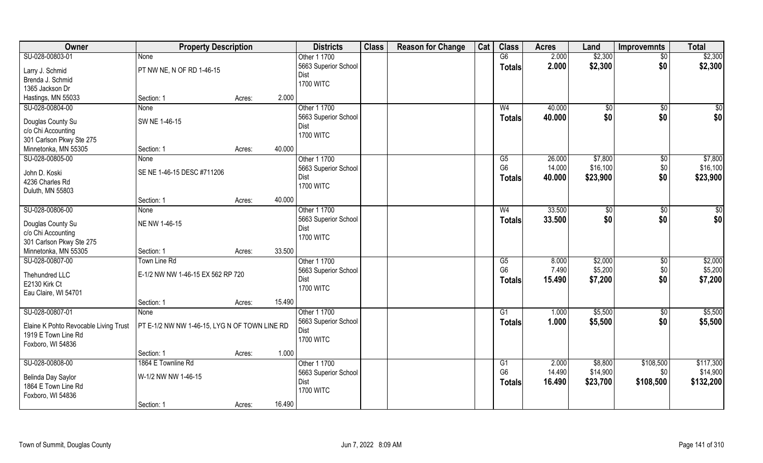| Owner                                   | <b>Property Description</b>                   |        |        | <b>Districts</b>     | <b>Class</b> | <b>Reason for Change</b> | Cat | <b>Class</b>           | <b>Acres</b> | Land     | Improvemnts     | <b>Total</b> |
|-----------------------------------------|-----------------------------------------------|--------|--------|----------------------|--------------|--------------------------|-----|------------------------|--------------|----------|-----------------|--------------|
| SU-028-00803-01                         | <b>None</b>                                   |        |        | Other 1 1700         |              |                          |     | G6                     | 2.000        | \$2,300  | $\overline{50}$ | \$2,300      |
| Larry J. Schmid                         | PT NW NE, N OF RD 1-46-15                     |        |        | 5663 Superior School |              |                          |     | <b>Totals</b>          | 2.000        | \$2,300  | \$0             | \$2,300      |
| Brenda J. Schmid                        |                                               |        |        | Dist                 |              |                          |     |                        |              |          |                 |              |
| 1365 Jackson Dr                         |                                               |        |        | <b>1700 WITC</b>     |              |                          |     |                        |              |          |                 |              |
| Hastings, MN 55033                      | Section: 1                                    | Acres: | 2.000  |                      |              |                          |     |                        |              |          |                 |              |
| SU-028-00804-00                         | <b>None</b>                                   |        |        | Other 1 1700         |              |                          |     | W <sub>4</sub>         | 40.000       | \$0      | \$0             | $\sqrt{50}$  |
|                                         | SW NE 1-46-15                                 |        |        | 5663 Superior School |              |                          |     | Totals                 | 40.000       | \$0      | \$0             | \$0          |
| Douglas County Su<br>c/o Chi Accounting |                                               |        |        | Dist                 |              |                          |     |                        |              |          |                 |              |
| 301 Carlson Pkwy Ste 275                |                                               |        |        | <b>1700 WITC</b>     |              |                          |     |                        |              |          |                 |              |
| Minnetonka, MN 55305                    | Section: 1                                    | Acres: | 40.000 |                      |              |                          |     |                        |              |          |                 |              |
| SU-028-00805-00                         | <b>None</b>                                   |        |        | Other 1 1700         |              |                          |     | G5                     | 26.000       | \$7,800  | $\sqrt[6]{3}$   | \$7,800      |
|                                         |                                               |        |        | 5663 Superior School |              |                          |     | G <sub>6</sub>         | 14.000       | \$16,100 | \$0             | \$16,100     |
| John D. Koski                           | SE NE 1-46-15 DESC #711206                    |        |        | Dist                 |              |                          |     | <b>Totals</b>          | 40.000       | \$23,900 | \$0             | \$23,900     |
| 4236 Charles Rd                         |                                               |        |        | <b>1700 WITC</b>     |              |                          |     |                        |              |          |                 |              |
| Duluth, MN 55803                        |                                               |        |        |                      |              |                          |     |                        |              |          |                 |              |
|                                         | Section: 1                                    | Acres: | 40.000 |                      |              |                          |     |                        |              |          |                 |              |
| SU-028-00806-00                         | None                                          |        |        | Other 1 1700         |              |                          |     | W <sub>4</sub>         | 33.500       | \$0      | \$0             | \$           |
| Douglas County Su                       | NE NW 1-46-15                                 |        |        | 5663 Superior School |              |                          |     | <b>Totals</b>          | 33.500       | \$0      | \$0             | \$0          |
| c/o Chi Accounting                      |                                               |        |        | Dist                 |              |                          |     |                        |              |          |                 |              |
| 301 Carlson Pkwy Ste 275                |                                               |        |        | <b>1700 WITC</b>     |              |                          |     |                        |              |          |                 |              |
| Minnetonka, MN 55305                    | Section: 1                                    | Acres: | 33.500 |                      |              |                          |     |                        |              |          |                 |              |
| SU-028-00807-00                         | Town Line Rd                                  |        |        | Other 1 1700         |              |                          |     | $\overline{\text{G5}}$ | 8.000        | \$2,000  | \$0             | \$2,000      |
|                                         |                                               |        |        | 5663 Superior School |              |                          |     | G <sub>6</sub>         | 7.490        | \$5,200  | \$0             | \$5,200      |
| Thehundred LLC<br>E2130 Kirk Ct         | E-1/2 NW NW 1-46-15 EX 562 RP 720             |        |        | Dist                 |              |                          |     | <b>Totals</b>          | 15.490       | \$7,200  | \$0             | \$7,200      |
| Eau Claire, WI 54701                    |                                               |        |        | <b>1700 WITC</b>     |              |                          |     |                        |              |          |                 |              |
|                                         | Section: 1                                    | Acres: | 15.490 |                      |              |                          |     |                        |              |          |                 |              |
| SU-028-00807-01                         | <b>None</b>                                   |        |        | Other 1 1700         |              |                          |     | G1                     | 1.000        | \$5,500  | \$0             | \$5,500      |
|                                         |                                               |        |        | 5663 Superior School |              |                          |     | <b>Totals</b>          | 1.000        | \$5,500  | \$0             | \$5,500      |
| Elaine K Pohto Revocable Living Trust   | PT E-1/2 NW NW 1-46-15, LYG N OF TOWN LINE RD |        |        | Dist                 |              |                          |     |                        |              |          |                 |              |
| 1919 E Town Line Rd                     |                                               |        |        | <b>1700 WITC</b>     |              |                          |     |                        |              |          |                 |              |
| Foxboro, WI 54836                       |                                               |        |        |                      |              |                          |     |                        |              |          |                 |              |
|                                         | Section: 1                                    | Acres: | 1.000  |                      |              |                          |     |                        |              |          |                 |              |
| SU-028-00808-00                         | 1864 E Townline Rd                            |        |        | Other 1 1700         |              |                          |     | $\overline{G1}$        | 2.000        | \$8,800  | \$108,500       | \$117,300    |
| Belinda Day Saylor                      | W-1/2 NW NW 1-46-15                           |        |        | 5663 Superior School |              |                          |     | G <sub>6</sub>         | 14.490       | \$14,900 | \$0             | \$14,900     |
| 1864 E Town Line Rd                     |                                               |        |        | Dist                 |              |                          |     | <b>Totals</b>          | 16.490       | \$23,700 | \$108,500       | \$132,200    |
| Foxboro, WI 54836                       |                                               |        |        | <b>1700 WITC</b>     |              |                          |     |                        |              |          |                 |              |
|                                         | Section: 1                                    | Acres: | 16.490 |                      |              |                          |     |                        |              |          |                 |              |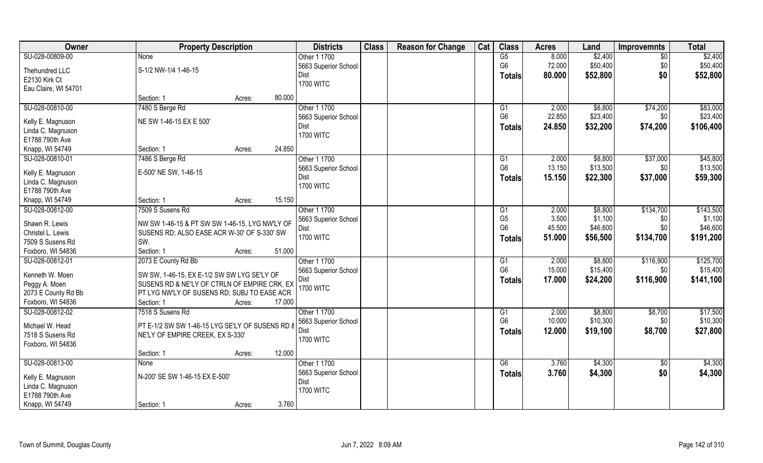| \$2,400<br>SU-028-00809-00<br>G5<br>8.000<br>\$2,400<br>Other 1 1700<br>$\overline{50}$<br>None<br>G <sub>6</sub><br>72.000<br>\$50,400<br>\$0<br>\$50,400<br>5663 Superior School<br>S-1/2 NW-1/4 1-46-15<br>Thehundred LLC<br>\$52,800<br>\$0<br>Dist<br>80.000<br>\$52,800<br><b>Totals</b><br>E2130 Kirk Ct<br><b>1700 WITC</b><br>Eau Claire, WI 54701<br>80.000<br>Section: 1<br>Acres:<br>7480 S Berge Rd<br>\$74,200<br>\$83,000<br>SU-028-00810-00<br>Other 1 1700<br>2.000<br>\$8,800<br>G1<br>G <sub>6</sub><br>22.850<br>\$23,400<br>5663 Superior School<br>\$0<br>NE SW 1-46-15 EX E 500'<br>Kelly E. Magnuson<br>\$74,200<br>24.850<br>\$32,200<br>\$106,400<br>Dist<br><b>Totals</b><br>Linda C. Magnuson<br><b>1700 WITC</b><br>E1788 790th Ave<br>Knapp, WI 54749<br>24.850<br>Section: 1<br>Acres:<br>\$45,800<br>SU-028-00810-01<br>7486 S Berge Rd<br>Other 1 1700<br>\$8,800<br>\$37,000<br>G1<br>2.000<br>G <sub>6</sub><br>\$13,500<br>13.150<br>\$13,500<br>\$0<br>5663 Superior School<br>E-500' NE SW, 1-46-15<br>Kelly E. Magnuson<br>\$37,000<br>\$59,300<br>15.150<br>\$22,300<br>Dist<br><b>Totals</b><br>Linda C. Magnuson |
|------------------------------------------------------------------------------------------------------------------------------------------------------------------------------------------------------------------------------------------------------------------------------------------------------------------------------------------------------------------------------------------------------------------------------------------------------------------------------------------------------------------------------------------------------------------------------------------------------------------------------------------------------------------------------------------------------------------------------------------------------------------------------------------------------------------------------------------------------------------------------------------------------------------------------------------------------------------------------------------------------------------------------------------------------------------------------------------------------------------------------------------------------------|
|                                                                                                                                                                                                                                                                                                                                                                                                                                                                                                                                                                                                                                                                                                                                                                                                                                                                                                                                                                                                                                                                                                                                                            |
|                                                                                                                                                                                                                                                                                                                                                                                                                                                                                                                                                                                                                                                                                                                                                                                                                                                                                                                                                                                                                                                                                                                                                            |
| \$23,400                                                                                                                                                                                                                                                                                                                                                                                                                                                                                                                                                                                                                                                                                                                                                                                                                                                                                                                                                                                                                                                                                                                                                   |
|                                                                                                                                                                                                                                                                                                                                                                                                                                                                                                                                                                                                                                                                                                                                                                                                                                                                                                                                                                                                                                                                                                                                                            |
|                                                                                                                                                                                                                                                                                                                                                                                                                                                                                                                                                                                                                                                                                                                                                                                                                                                                                                                                                                                                                                                                                                                                                            |
|                                                                                                                                                                                                                                                                                                                                                                                                                                                                                                                                                                                                                                                                                                                                                                                                                                                                                                                                                                                                                                                                                                                                                            |
|                                                                                                                                                                                                                                                                                                                                                                                                                                                                                                                                                                                                                                                                                                                                                                                                                                                                                                                                                                                                                                                                                                                                                            |
|                                                                                                                                                                                                                                                                                                                                                                                                                                                                                                                                                                                                                                                                                                                                                                                                                                                                                                                                                                                                                                                                                                                                                            |
|                                                                                                                                                                                                                                                                                                                                                                                                                                                                                                                                                                                                                                                                                                                                                                                                                                                                                                                                                                                                                                                                                                                                                            |
|                                                                                                                                                                                                                                                                                                                                                                                                                                                                                                                                                                                                                                                                                                                                                                                                                                                                                                                                                                                                                                                                                                                                                            |
|                                                                                                                                                                                                                                                                                                                                                                                                                                                                                                                                                                                                                                                                                                                                                                                                                                                                                                                                                                                                                                                                                                                                                            |
|                                                                                                                                                                                                                                                                                                                                                                                                                                                                                                                                                                                                                                                                                                                                                                                                                                                                                                                                                                                                                                                                                                                                                            |
|                                                                                                                                                                                                                                                                                                                                                                                                                                                                                                                                                                                                                                                                                                                                                                                                                                                                                                                                                                                                                                                                                                                                                            |
|                                                                                                                                                                                                                                                                                                                                                                                                                                                                                                                                                                                                                                                                                                                                                                                                                                                                                                                                                                                                                                                                                                                                                            |
| <b>1700 WITC</b><br>E1788 790th Ave                                                                                                                                                                                                                                                                                                                                                                                                                                                                                                                                                                                                                                                                                                                                                                                                                                                                                                                                                                                                                                                                                                                        |
| 15.150<br>Knapp, WI 54749<br>Section: 1<br>Acres:                                                                                                                                                                                                                                                                                                                                                                                                                                                                                                                                                                                                                                                                                                                                                                                                                                                                                                                                                                                                                                                                                                          |
| 7509 S Susens Rd<br>Other 1 1700<br>\$134,700<br>\$143,500<br>SU-028-00812-00<br>2.000<br>\$8,800<br>G1                                                                                                                                                                                                                                                                                                                                                                                                                                                                                                                                                                                                                                                                                                                                                                                                                                                                                                                                                                                                                                                    |
| G <sub>5</sub><br>3.500<br>\$1,100<br>\$1,100<br>5663 Superior School<br>\$0                                                                                                                                                                                                                                                                                                                                                                                                                                                                                                                                                                                                                                                                                                                                                                                                                                                                                                                                                                                                                                                                               |
| Shawn R. Lewis<br>NW SW 1-46-15 & PT SW SW 1-46-15, LYG NW'LY OF<br>G <sub>6</sub><br>45.500<br>\$46,600<br>\$46,600<br>\$0<br>Dist                                                                                                                                                                                                                                                                                                                                                                                                                                                                                                                                                                                                                                                                                                                                                                                                                                                                                                                                                                                                                        |
| Christel L. Lewis<br>SUSENS RD; ALSO EASE ACR W-30' OF S-330' SW<br><b>1700 WITC</b><br>\$134,700<br>51.000<br>\$56,500<br>\$191,200<br><b>Totals</b>                                                                                                                                                                                                                                                                                                                                                                                                                                                                                                                                                                                                                                                                                                                                                                                                                                                                                                                                                                                                      |
| 7509 S Susens Rd<br>SW.                                                                                                                                                                                                                                                                                                                                                                                                                                                                                                                                                                                                                                                                                                                                                                                                                                                                                                                                                                                                                                                                                                                                    |
| Foxboro, WI 54836<br>Section: 1<br>51.000<br>Acres:                                                                                                                                                                                                                                                                                                                                                                                                                                                                                                                                                                                                                                                                                                                                                                                                                                                                                                                                                                                                                                                                                                        |
| SU-028-00812-01<br>Other 1 1700<br>\$116,900<br>\$125,700<br>2073 E County Rd Bb<br>2.000<br>\$8,800<br>G1                                                                                                                                                                                                                                                                                                                                                                                                                                                                                                                                                                                                                                                                                                                                                                                                                                                                                                                                                                                                                                                 |
| G <sub>6</sub><br>\$15,400<br>\$15,400<br>15.000<br>5663 Superior School<br>\$0<br>Kenneth W. Moen<br>SW SW, 1-46-15, EX E-1/2 SW SW LYG SE'LY OF                                                                                                                                                                                                                                                                                                                                                                                                                                                                                                                                                                                                                                                                                                                                                                                                                                                                                                                                                                                                          |
| \$24,200<br>\$116,900<br>17.000<br>\$141,100<br>Dist<br><b>Totals</b><br>Peggy A. Moen<br>SUSENS RD & NE'LY OF CTRLN OF EMPIRE CRK, EX                                                                                                                                                                                                                                                                                                                                                                                                                                                                                                                                                                                                                                                                                                                                                                                                                                                                                                                                                                                                                     |
| <b>1700 WITC</b><br>2073 E County Rd Bb<br>PT LYG NW'LY OF SUSENS RD; SUBJ TO EASE ACR                                                                                                                                                                                                                                                                                                                                                                                                                                                                                                                                                                                                                                                                                                                                                                                                                                                                                                                                                                                                                                                                     |
| Foxboro, WI 54836<br>Section: 1<br>17.000<br>Acres:                                                                                                                                                                                                                                                                                                                                                                                                                                                                                                                                                                                                                                                                                                                                                                                                                                                                                                                                                                                                                                                                                                        |
| SU-028-00812-02<br>Other 1 1700<br>\$17,500<br>7518 S Susens Rd<br>2.000<br>\$8,800<br>\$8,700<br>G1                                                                                                                                                                                                                                                                                                                                                                                                                                                                                                                                                                                                                                                                                                                                                                                                                                                                                                                                                                                                                                                       |
| G <sub>6</sub><br>10.000<br>\$10,300<br>\$10,300<br>\$0<br>5663 Superior School                                                                                                                                                                                                                                                                                                                                                                                                                                                                                                                                                                                                                                                                                                                                                                                                                                                                                                                                                                                                                                                                            |
| PT E-1/2 SW SW 1-46-15 LYG SE'LY OF SUSENS RD 8<br>Michael W. Head<br>\$19,100<br>\$8,700<br>Dist<br>12.000<br>\$27,800                                                                                                                                                                                                                                                                                                                                                                                                                                                                                                                                                                                                                                                                                                                                                                                                                                                                                                                                                                                                                                    |
| <b>Totals</b><br>7518 S Susens Rd<br>NE'LY OF EMPIRE CREEK, EX S-330'<br><b>1700 WITC</b>                                                                                                                                                                                                                                                                                                                                                                                                                                                                                                                                                                                                                                                                                                                                                                                                                                                                                                                                                                                                                                                                  |
| Foxboro, WI 54836                                                                                                                                                                                                                                                                                                                                                                                                                                                                                                                                                                                                                                                                                                                                                                                                                                                                                                                                                                                                                                                                                                                                          |
| 12.000<br>Section: 1<br>Acres:                                                                                                                                                                                                                                                                                                                                                                                                                                                                                                                                                                                                                                                                                                                                                                                                                                                                                                                                                                                                                                                                                                                             |
| SU-028-00813-00<br>Other 1 1700<br>\$4,300<br>\$4,300<br>G6<br>3.760<br>$\overline{50}$<br><b>None</b>                                                                                                                                                                                                                                                                                                                                                                                                                                                                                                                                                                                                                                                                                                                                                                                                                                                                                                                                                                                                                                                     |
| 5663 Superior School<br>\$0<br>\$4,300<br>3.760<br>\$4,300<br><b>Totals</b><br>N-200' SE SW 1-46-15 EX E-500'<br>Kelly E. Magnuson                                                                                                                                                                                                                                                                                                                                                                                                                                                                                                                                                                                                                                                                                                                                                                                                                                                                                                                                                                                                                         |
| Dist<br>Linda C. Magnuson                                                                                                                                                                                                                                                                                                                                                                                                                                                                                                                                                                                                                                                                                                                                                                                                                                                                                                                                                                                                                                                                                                                                  |
| <b>1700 WITC</b><br>E1788 790th Ave                                                                                                                                                                                                                                                                                                                                                                                                                                                                                                                                                                                                                                                                                                                                                                                                                                                                                                                                                                                                                                                                                                                        |
| Knapp, WI 54749<br>3.760<br>Section: 1<br>Acres:                                                                                                                                                                                                                                                                                                                                                                                                                                                                                                                                                                                                                                                                                                                                                                                                                                                                                                                                                                                                                                                                                                           |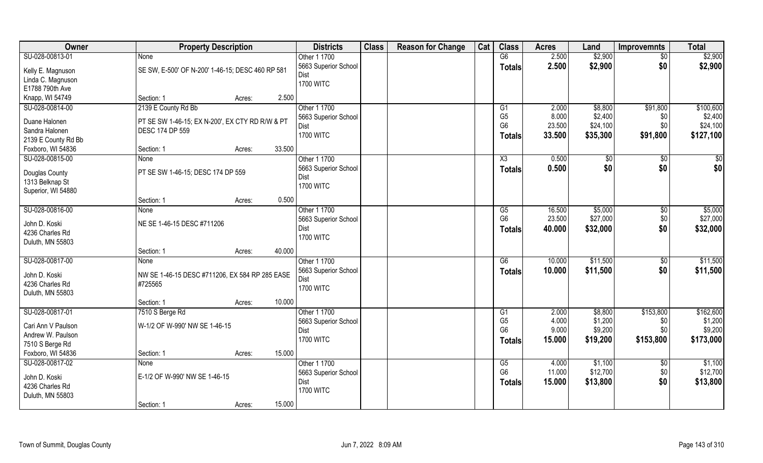| Owner               | <b>Property Description</b>                      |                  | <b>Districts</b>             | <b>Class</b> | <b>Reason for Change</b> | Cat | <b>Class</b>         | <b>Acres</b>   | Land               | <b>Improvemnts</b> | <b>Total</b>         |
|---------------------|--------------------------------------------------|------------------|------------------------------|--------------|--------------------------|-----|----------------------|----------------|--------------------|--------------------|----------------------|
| SU-028-00813-01     | <b>None</b>                                      |                  | Other 1 1700                 |              |                          |     | G6                   | 2.500          | \$2,900            | $\overline{50}$    | \$2,900              |
| Kelly E. Magnuson   | SE SW, E-500' OF N-200' 1-46-15; DESC 460 RP 581 |                  | 5663 Superior School         |              |                          |     | <b>Totals</b>        | 2.500          | \$2,900            | \$0                | \$2,900              |
| Linda C. Magnuson   |                                                  |                  | Dist                         |              |                          |     |                      |                |                    |                    |                      |
| E1788 790th Ave     |                                                  |                  | <b>1700 WITC</b>             |              |                          |     |                      |                |                    |                    |                      |
| Knapp, WI 54749     | Section: 1                                       | 2.500<br>Acres:  |                              |              |                          |     |                      |                |                    |                    |                      |
| SU-028-00814-00     | 2139 E County Rd Bb                              |                  | Other 1 1700                 |              |                          |     | G1                   | 2.000          | \$8,800            | \$91,800           | \$100,600            |
| Duane Halonen       | PT SE SW 1-46-15; EX N-200', EX CTY RD R/W & PT  |                  | 5663 Superior School         |              |                          |     | G <sub>5</sub>       | 8.000          | \$2,400            | \$0                | \$2,400              |
| Sandra Halonen      | DESC 174 DP 559                                  |                  | Dist                         |              |                          |     | G <sub>6</sub>       | 23.500         | \$24,100           | \$0                | \$24,100             |
| 2139 E County Rd Bb |                                                  |                  | <b>1700 WITC</b>             |              |                          |     | <b>Totals</b>        | 33.500         | \$35,300           | \$91,800           | \$127,100            |
| Foxboro, WI 54836   | Section: 1                                       | 33.500<br>Acres: |                              |              |                          |     |                      |                |                    |                    |                      |
| SU-028-00815-00     | None                                             |                  | Other 1 1700                 |              |                          |     | X3                   | 0.500          | $\sqrt{6}$         | $\sqrt[6]{30}$     | \$0                  |
| Douglas County      | PT SE SW 1-46-15; DESC 174 DP 559                |                  | 5663 Superior School         |              |                          |     | <b>Totals</b>        | 0.500          | \$0                | \$0                | \$0                  |
| 1313 Belknap St     |                                                  |                  | Dist                         |              |                          |     |                      |                |                    |                    |                      |
| Superior, WI 54880  |                                                  |                  | <b>1700 WITC</b>             |              |                          |     |                      |                |                    |                    |                      |
|                     | Section: 1                                       | 0.500<br>Acres:  |                              |              |                          |     |                      |                |                    |                    |                      |
| SU-028-00816-00     | None                                             |                  | Other 1 1700                 |              |                          |     | G5                   | 16.500         | \$5,000            | $\sqrt[6]{3}$      | \$5,000              |
| John D. Koski       | NE SE 1-46-15 DESC #711206                       |                  | 5663 Superior School         |              |                          |     | G <sub>6</sub>       | 23.500         | \$27,000           | \$0                | \$27,000             |
| 4236 Charles Rd     |                                                  |                  | Dist                         |              |                          |     | <b>Totals</b>        | 40.000         | \$32,000           | \$0                | \$32,000             |
| Duluth, MN 55803    |                                                  |                  | <b>1700 WITC</b>             |              |                          |     |                      |                |                    |                    |                      |
|                     | Section: 1                                       | 40.000<br>Acres: |                              |              |                          |     |                      |                |                    |                    |                      |
| SU-028-00817-00     | None                                             |                  | Other 1 1700                 |              |                          |     | $\overline{G6}$      | 10.000         | \$11,500           | \$0                | \$11,500             |
|                     |                                                  |                  | 5663 Superior School         |              |                          |     | <b>Totals</b>        | 10.000         | \$11,500           | \$0                | \$11,500             |
| John D. Koski       | NW SE 1-46-15 DESC #711206, EX 584 RP 285 EASE   |                  | Dist                         |              |                          |     |                      |                |                    |                    |                      |
| 4236 Charles Rd     | #725565                                          |                  | <b>1700 WITC</b>             |              |                          |     |                      |                |                    |                    |                      |
| Duluth, MN 55803    |                                                  |                  |                              |              |                          |     |                      |                |                    |                    |                      |
|                     | Section: 1                                       | 10.000<br>Acres: |                              |              |                          |     |                      |                |                    |                    |                      |
| SU-028-00817-01     | 7510 S Berge Rd                                  |                  | Other 1 1700                 |              |                          |     | G1<br>G <sub>5</sub> | 2.000<br>4.000 | \$8,800<br>\$1,200 | \$153,800<br>\$0   | \$162,600<br>\$1,200 |
| Cari Ann V Paulson  | W-1/2 OF W-990' NW SE 1-46-15                    |                  | 5663 Superior School<br>Dist |              |                          |     | G <sub>6</sub>       | 9.000          | \$9,200            | \$0                | \$9,200              |
| Andrew W. Paulson   |                                                  |                  | <b>1700 WITC</b>             |              |                          |     |                      | 15.000         | \$19,200           | \$153,800          | \$173,000            |
| 7510 S Berge Rd     |                                                  |                  |                              |              |                          |     | <b>Totals</b>        |                |                    |                    |                      |
| Foxboro, WI 54836   | Section: 1                                       | 15.000<br>Acres: |                              |              |                          |     |                      |                |                    |                    |                      |
| SU-028-00817-02     | None                                             |                  | Other 1 1700                 |              |                          |     | G5                   | 4.000          | \$1,100            | $\sqrt{$0}$        | \$1,100              |
| John D. Koski       | E-1/2 OF W-990' NW SE 1-46-15                    |                  | 5663 Superior School         |              |                          |     | G <sub>6</sub>       | 11.000         | \$12,700           | \$0                | \$12,700             |
| 4236 Charles Rd     |                                                  |                  | Dist                         |              |                          |     | <b>Totals</b>        | 15.000         | \$13,800           | \$0                | \$13,800             |
| Duluth, MN 55803    |                                                  |                  | <b>1700 WITC</b>             |              |                          |     |                      |                |                    |                    |                      |
|                     | Section: 1                                       | 15.000<br>Acres: |                              |              |                          |     |                      |                |                    |                    |                      |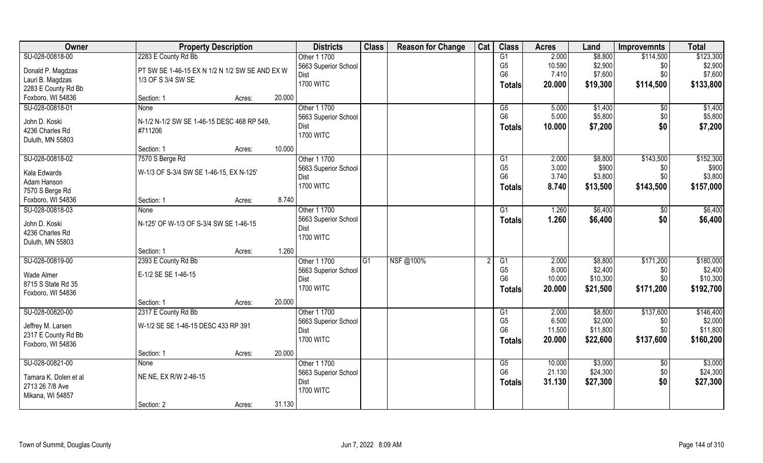| SU-028-00818-00<br>2283 E County Rd Bb<br>Other 1 1700<br>G1<br>2.000<br>\$8,800<br>\$114,500<br>G <sub>5</sub><br>\$2,900<br>\$2,900<br>10.590<br>\$0<br>5663 Superior School<br>PT SW SE 1-46-15 EX N 1/2 N 1/2 SW SE AND EX W<br>Donald P. Magdzas<br>G <sub>6</sub><br>7.410<br>\$7,600<br>\$0<br>Dist<br>Lauri B. Magdzas<br>1/3 OF S 3/4 SW SE<br><b>1700 WITC</b><br>\$133,800<br>20.000<br>\$19,300<br>\$114,500<br>Totals<br>2283 E County Rd Bb<br>20.000<br>Foxboro, WI 54836<br>Section: 1<br>Acres:<br>SU-028-00818-01<br>Other 1 1700<br>\$1,400<br>G5<br>5.000<br>\$1,400<br>$\overline{50}$<br><b>None</b><br>G <sub>6</sub><br>5.000<br>\$5,800<br>\$0<br>\$5,800<br>5663 Superior School<br>John D. Koski<br>N-1/2 N-1/2 SW SE 1-46-15 DESC 468 RP 549,<br>\$0<br>10.000<br>\$7,200<br>\$7,200<br>Dist<br>Totals<br>4236 Charles Rd<br>#711206<br><b>1700 WITC</b><br>Duluth, MN 55803<br>10.000<br>Section: 1<br>Acres:<br>SU-028-00818-02<br>7570 S Berge Rd<br>Other 1 1700<br>\$8,800<br>\$143,500<br>G1<br>2.000<br>G <sub>5</sub><br>3.000<br>\$900<br>5663 Superior School<br>\$0<br>W-1/3 OF S-3/4 SW SE 1-46-15, EX N-125'<br>Kala Edwards<br>G <sub>6</sub><br>\$0<br>\$3,800<br>3.740<br>\$3,800<br>Dist<br>Adam Hanson<br><b>1700 WITC</b><br>\$143,500<br>\$157,000<br>8.740<br>\$13,500<br>Totals<br>7570 S Berge Rd<br>8.740<br>Foxboro, WI 54836<br>Section: 1<br>Acres:<br>Other 1 1700<br>\$6,400<br>\$6,400<br>SU-028-00818-03<br>1.260<br>G1<br>None<br>\$0<br>5663 Superior School<br>\$0<br>\$6,400<br>1.260<br>\$6,400<br><b>Totals</b><br>John D. Koski<br>N-125' OF W-1/3 OF S-3/4 SW SE 1-46-15<br>Dist<br>4236 Charles Rd<br><b>1700 WITC</b><br>Duluth, MN 55803<br>1.260<br>Section: 1<br>Acres:<br>SU-028-00819-00<br>NSF@100%<br>2.000<br>\$171,200<br>\$180,000<br>2393 E County Rd Bb<br>Other 1 1700<br>$\overline{G1}$<br>$\overline{G1}$<br>\$8,800<br>G <sub>5</sub><br>8.000<br>\$2,400<br>\$0<br>5663 Superior School<br>E-1/2 SE SE 1-46-15<br>Wade Almer<br>G <sub>6</sub><br>10.000<br>\$10,300<br>\$0<br>Dist<br>8715 S State Rd 35<br>20.000<br>\$171,200<br>\$192,700<br><b>1700 WITC</b><br>\$21,500<br>Totals<br>Foxboro, WI 54836<br>20.000<br>Section: 1<br>Acres:<br>\$137,600<br>SU-028-00820-00<br>2317 E County Rd Bb<br>Other 1 1700<br>2.000<br>\$8,800<br>G1<br>G <sub>5</sub><br>6.500<br>\$2,000<br>\$2,000<br>\$0<br>5663 Superior School<br>W-1/2 SE SE 1-46-15 DESC 433 RP 391<br>Jeffrey M. Larsen<br>G <sub>6</sub><br>11.500<br>\$11,800<br>\$0<br>Dist<br>2317 E County Rd Bb<br><b>1700 WITC</b><br>\$22,600<br>\$137,600<br>\$160,200<br>20.000<br>Totals<br>Foxboro, WI 54836<br>20.000<br>Section: 1<br>Acres:<br>SU-028-00821-00<br>\$3,000<br>\$3,000<br>Other 1 1700<br>10.000<br>G5<br>$\sqrt{$0}$<br><b>None</b><br>G <sub>6</sub><br>21.130<br>\$24,300<br>\$24,300<br>\$0<br>5663 Superior School<br>NE NE, EX R/W 2-46-15<br>Tamara K. Dolen et al<br>\$0<br>\$27,300<br>31.130<br>\$27,300<br>Dist<br><b>Totals</b><br>2713 26 7/8 Ave | Owner | <b>Property Description</b> | <b>Districts</b> | <b>Class</b> | <b>Reason for Change</b> | Cat | <b>Class</b> | <b>Acres</b> | Land | <b>Improvemnts</b> | <b>Total</b> |
|----------------------------------------------------------------------------------------------------------------------------------------------------------------------------------------------------------------------------------------------------------------------------------------------------------------------------------------------------------------------------------------------------------------------------------------------------------------------------------------------------------------------------------------------------------------------------------------------------------------------------------------------------------------------------------------------------------------------------------------------------------------------------------------------------------------------------------------------------------------------------------------------------------------------------------------------------------------------------------------------------------------------------------------------------------------------------------------------------------------------------------------------------------------------------------------------------------------------------------------------------------------------------------------------------------------------------------------------------------------------------------------------------------------------------------------------------------------------------------------------------------------------------------------------------------------------------------------------------------------------------------------------------------------------------------------------------------------------------------------------------------------------------------------------------------------------------------------------------------------------------------------------------------------------------------------------------------------------------------------------------------------------------------------------------------------------------------------------------------------------------------------------------------------------------------------------------------------------------------------------------------------------------------------------------------------------------------------------------------------------------------------------------------------------------------------------------------------------------------------------------------------------------------------------------------------------------------------------------------------------------------------------------------------------------------------------------------------------------------------------------------------------------------------------------------------------------------------------------------------------------------------------------------------------------------------------------------------------------------------------------------------------------------------|-------|-----------------------------|------------------|--------------|--------------------------|-----|--------------|--------------|------|--------------------|--------------|
| \$7,600<br>\$152,300<br>\$900<br>\$10,300<br>\$146,400<br>\$11,800                                                                                                                                                                                                                                                                                                                                                                                                                                                                                                                                                                                                                                                                                                                                                                                                                                                                                                                                                                                                                                                                                                                                                                                                                                                                                                                                                                                                                                                                                                                                                                                                                                                                                                                                                                                                                                                                                                                                                                                                                                                                                                                                                                                                                                                                                                                                                                                                                                                                                                                                                                                                                                                                                                                                                                                                                                                                                                                                                                     |       |                             |                  |              |                          |     |              |              |      |                    | \$123,300    |
|                                                                                                                                                                                                                                                                                                                                                                                                                                                                                                                                                                                                                                                                                                                                                                                                                                                                                                                                                                                                                                                                                                                                                                                                                                                                                                                                                                                                                                                                                                                                                                                                                                                                                                                                                                                                                                                                                                                                                                                                                                                                                                                                                                                                                                                                                                                                                                                                                                                                                                                                                                                                                                                                                                                                                                                                                                                                                                                                                                                                                                        |       |                             |                  |              |                          |     |              |              |      |                    |              |
|                                                                                                                                                                                                                                                                                                                                                                                                                                                                                                                                                                                                                                                                                                                                                                                                                                                                                                                                                                                                                                                                                                                                                                                                                                                                                                                                                                                                                                                                                                                                                                                                                                                                                                                                                                                                                                                                                                                                                                                                                                                                                                                                                                                                                                                                                                                                                                                                                                                                                                                                                                                                                                                                                                                                                                                                                                                                                                                                                                                                                                        |       |                             |                  |              |                          |     |              |              |      |                    |              |
|                                                                                                                                                                                                                                                                                                                                                                                                                                                                                                                                                                                                                                                                                                                                                                                                                                                                                                                                                                                                                                                                                                                                                                                                                                                                                                                                                                                                                                                                                                                                                                                                                                                                                                                                                                                                                                                                                                                                                                                                                                                                                                                                                                                                                                                                                                                                                                                                                                                                                                                                                                                                                                                                                                                                                                                                                                                                                                                                                                                                                                        |       |                             |                  |              |                          |     |              |              |      |                    |              |
|                                                                                                                                                                                                                                                                                                                                                                                                                                                                                                                                                                                                                                                                                                                                                                                                                                                                                                                                                                                                                                                                                                                                                                                                                                                                                                                                                                                                                                                                                                                                                                                                                                                                                                                                                                                                                                                                                                                                                                                                                                                                                                                                                                                                                                                                                                                                                                                                                                                                                                                                                                                                                                                                                                                                                                                                                                                                                                                                                                                                                                        |       |                             |                  |              |                          |     |              |              |      |                    |              |
| \$2,400                                                                                                                                                                                                                                                                                                                                                                                                                                                                                                                                                                                                                                                                                                                                                                                                                                                                                                                                                                                                                                                                                                                                                                                                                                                                                                                                                                                                                                                                                                                                                                                                                                                                                                                                                                                                                                                                                                                                                                                                                                                                                                                                                                                                                                                                                                                                                                                                                                                                                                                                                                                                                                                                                                                                                                                                                                                                                                                                                                                                                                |       |                             |                  |              |                          |     |              |              |      |                    |              |
|                                                                                                                                                                                                                                                                                                                                                                                                                                                                                                                                                                                                                                                                                                                                                                                                                                                                                                                                                                                                                                                                                                                                                                                                                                                                                                                                                                                                                                                                                                                                                                                                                                                                                                                                                                                                                                                                                                                                                                                                                                                                                                                                                                                                                                                                                                                                                                                                                                                                                                                                                                                                                                                                                                                                                                                                                                                                                                                                                                                                                                        |       |                             |                  |              |                          |     |              |              |      |                    |              |
|                                                                                                                                                                                                                                                                                                                                                                                                                                                                                                                                                                                                                                                                                                                                                                                                                                                                                                                                                                                                                                                                                                                                                                                                                                                                                                                                                                                                                                                                                                                                                                                                                                                                                                                                                                                                                                                                                                                                                                                                                                                                                                                                                                                                                                                                                                                                                                                                                                                                                                                                                                                                                                                                                                                                                                                                                                                                                                                                                                                                                                        |       |                             |                  |              |                          |     |              |              |      |                    |              |
|                                                                                                                                                                                                                                                                                                                                                                                                                                                                                                                                                                                                                                                                                                                                                                                                                                                                                                                                                                                                                                                                                                                                                                                                                                                                                                                                                                                                                                                                                                                                                                                                                                                                                                                                                                                                                                                                                                                                                                                                                                                                                                                                                                                                                                                                                                                                                                                                                                                                                                                                                                                                                                                                                                                                                                                                                                                                                                                                                                                                                                        |       |                             |                  |              |                          |     |              |              |      |                    |              |
|                                                                                                                                                                                                                                                                                                                                                                                                                                                                                                                                                                                                                                                                                                                                                                                                                                                                                                                                                                                                                                                                                                                                                                                                                                                                                                                                                                                                                                                                                                                                                                                                                                                                                                                                                                                                                                                                                                                                                                                                                                                                                                                                                                                                                                                                                                                                                                                                                                                                                                                                                                                                                                                                                                                                                                                                                                                                                                                                                                                                                                        |       |                             |                  |              |                          |     |              |              |      |                    |              |
|                                                                                                                                                                                                                                                                                                                                                                                                                                                                                                                                                                                                                                                                                                                                                                                                                                                                                                                                                                                                                                                                                                                                                                                                                                                                                                                                                                                                                                                                                                                                                                                                                                                                                                                                                                                                                                                                                                                                                                                                                                                                                                                                                                                                                                                                                                                                                                                                                                                                                                                                                                                                                                                                                                                                                                                                                                                                                                                                                                                                                                        |       |                             |                  |              |                          |     |              |              |      |                    |              |
|                                                                                                                                                                                                                                                                                                                                                                                                                                                                                                                                                                                                                                                                                                                                                                                                                                                                                                                                                                                                                                                                                                                                                                                                                                                                                                                                                                                                                                                                                                                                                                                                                                                                                                                                                                                                                                                                                                                                                                                                                                                                                                                                                                                                                                                                                                                                                                                                                                                                                                                                                                                                                                                                                                                                                                                                                                                                                                                                                                                                                                        |       |                             |                  |              |                          |     |              |              |      |                    |              |
|                                                                                                                                                                                                                                                                                                                                                                                                                                                                                                                                                                                                                                                                                                                                                                                                                                                                                                                                                                                                                                                                                                                                                                                                                                                                                                                                                                                                                                                                                                                                                                                                                                                                                                                                                                                                                                                                                                                                                                                                                                                                                                                                                                                                                                                                                                                                                                                                                                                                                                                                                                                                                                                                                                                                                                                                                                                                                                                                                                                                                                        |       |                             |                  |              |                          |     |              |              |      |                    |              |
|                                                                                                                                                                                                                                                                                                                                                                                                                                                                                                                                                                                                                                                                                                                                                                                                                                                                                                                                                                                                                                                                                                                                                                                                                                                                                                                                                                                                                                                                                                                                                                                                                                                                                                                                                                                                                                                                                                                                                                                                                                                                                                                                                                                                                                                                                                                                                                                                                                                                                                                                                                                                                                                                                                                                                                                                                                                                                                                                                                                                                                        |       |                             |                  |              |                          |     |              |              |      |                    |              |
|                                                                                                                                                                                                                                                                                                                                                                                                                                                                                                                                                                                                                                                                                                                                                                                                                                                                                                                                                                                                                                                                                                                                                                                                                                                                                                                                                                                                                                                                                                                                                                                                                                                                                                                                                                                                                                                                                                                                                                                                                                                                                                                                                                                                                                                                                                                                                                                                                                                                                                                                                                                                                                                                                                                                                                                                                                                                                                                                                                                                                                        |       |                             |                  |              |                          |     |              |              |      |                    |              |
|                                                                                                                                                                                                                                                                                                                                                                                                                                                                                                                                                                                                                                                                                                                                                                                                                                                                                                                                                                                                                                                                                                                                                                                                                                                                                                                                                                                                                                                                                                                                                                                                                                                                                                                                                                                                                                                                                                                                                                                                                                                                                                                                                                                                                                                                                                                                                                                                                                                                                                                                                                                                                                                                                                                                                                                                                                                                                                                                                                                                                                        |       |                             |                  |              |                          |     |              |              |      |                    |              |
|                                                                                                                                                                                                                                                                                                                                                                                                                                                                                                                                                                                                                                                                                                                                                                                                                                                                                                                                                                                                                                                                                                                                                                                                                                                                                                                                                                                                                                                                                                                                                                                                                                                                                                                                                                                                                                                                                                                                                                                                                                                                                                                                                                                                                                                                                                                                                                                                                                                                                                                                                                                                                                                                                                                                                                                                                                                                                                                                                                                                                                        |       |                             |                  |              |                          |     |              |              |      |                    |              |
|                                                                                                                                                                                                                                                                                                                                                                                                                                                                                                                                                                                                                                                                                                                                                                                                                                                                                                                                                                                                                                                                                                                                                                                                                                                                                                                                                                                                                                                                                                                                                                                                                                                                                                                                                                                                                                                                                                                                                                                                                                                                                                                                                                                                                                                                                                                                                                                                                                                                                                                                                                                                                                                                                                                                                                                                                                                                                                                                                                                                                                        |       |                             |                  |              |                          |     |              |              |      |                    |              |
|                                                                                                                                                                                                                                                                                                                                                                                                                                                                                                                                                                                                                                                                                                                                                                                                                                                                                                                                                                                                                                                                                                                                                                                                                                                                                                                                                                                                                                                                                                                                                                                                                                                                                                                                                                                                                                                                                                                                                                                                                                                                                                                                                                                                                                                                                                                                                                                                                                                                                                                                                                                                                                                                                                                                                                                                                                                                                                                                                                                                                                        |       |                             |                  |              |                          |     |              |              |      |                    |              |
|                                                                                                                                                                                                                                                                                                                                                                                                                                                                                                                                                                                                                                                                                                                                                                                                                                                                                                                                                                                                                                                                                                                                                                                                                                                                                                                                                                                                                                                                                                                                                                                                                                                                                                                                                                                                                                                                                                                                                                                                                                                                                                                                                                                                                                                                                                                                                                                                                                                                                                                                                                                                                                                                                                                                                                                                                                                                                                                                                                                                                                        |       |                             |                  |              |                          |     |              |              |      |                    |              |
|                                                                                                                                                                                                                                                                                                                                                                                                                                                                                                                                                                                                                                                                                                                                                                                                                                                                                                                                                                                                                                                                                                                                                                                                                                                                                                                                                                                                                                                                                                                                                                                                                                                                                                                                                                                                                                                                                                                                                                                                                                                                                                                                                                                                                                                                                                                                                                                                                                                                                                                                                                                                                                                                                                                                                                                                                                                                                                                                                                                                                                        |       |                             |                  |              |                          |     |              |              |      |                    |              |
|                                                                                                                                                                                                                                                                                                                                                                                                                                                                                                                                                                                                                                                                                                                                                                                                                                                                                                                                                                                                                                                                                                                                                                                                                                                                                                                                                                                                                                                                                                                                                                                                                                                                                                                                                                                                                                                                                                                                                                                                                                                                                                                                                                                                                                                                                                                                                                                                                                                                                                                                                                                                                                                                                                                                                                                                                                                                                                                                                                                                                                        |       |                             |                  |              |                          |     |              |              |      |                    |              |
|                                                                                                                                                                                                                                                                                                                                                                                                                                                                                                                                                                                                                                                                                                                                                                                                                                                                                                                                                                                                                                                                                                                                                                                                                                                                                                                                                                                                                                                                                                                                                                                                                                                                                                                                                                                                                                                                                                                                                                                                                                                                                                                                                                                                                                                                                                                                                                                                                                                                                                                                                                                                                                                                                                                                                                                                                                                                                                                                                                                                                                        |       |                             |                  |              |                          |     |              |              |      |                    |              |
|                                                                                                                                                                                                                                                                                                                                                                                                                                                                                                                                                                                                                                                                                                                                                                                                                                                                                                                                                                                                                                                                                                                                                                                                                                                                                                                                                                                                                                                                                                                                                                                                                                                                                                                                                                                                                                                                                                                                                                                                                                                                                                                                                                                                                                                                                                                                                                                                                                                                                                                                                                                                                                                                                                                                                                                                                                                                                                                                                                                                                                        |       |                             |                  |              |                          |     |              |              |      |                    |              |
|                                                                                                                                                                                                                                                                                                                                                                                                                                                                                                                                                                                                                                                                                                                                                                                                                                                                                                                                                                                                                                                                                                                                                                                                                                                                                                                                                                                                                                                                                                                                                                                                                                                                                                                                                                                                                                                                                                                                                                                                                                                                                                                                                                                                                                                                                                                                                                                                                                                                                                                                                                                                                                                                                                                                                                                                                                                                                                                                                                                                                                        |       |                             |                  |              |                          |     |              |              |      |                    |              |
|                                                                                                                                                                                                                                                                                                                                                                                                                                                                                                                                                                                                                                                                                                                                                                                                                                                                                                                                                                                                                                                                                                                                                                                                                                                                                                                                                                                                                                                                                                                                                                                                                                                                                                                                                                                                                                                                                                                                                                                                                                                                                                                                                                                                                                                                                                                                                                                                                                                                                                                                                                                                                                                                                                                                                                                                                                                                                                                                                                                                                                        |       |                             |                  |              |                          |     |              |              |      |                    |              |
|                                                                                                                                                                                                                                                                                                                                                                                                                                                                                                                                                                                                                                                                                                                                                                                                                                                                                                                                                                                                                                                                                                                                                                                                                                                                                                                                                                                                                                                                                                                                                                                                                                                                                                                                                                                                                                                                                                                                                                                                                                                                                                                                                                                                                                                                                                                                                                                                                                                                                                                                                                                                                                                                                                                                                                                                                                                                                                                                                                                                                                        |       |                             |                  |              |                          |     |              |              |      |                    |              |
|                                                                                                                                                                                                                                                                                                                                                                                                                                                                                                                                                                                                                                                                                                                                                                                                                                                                                                                                                                                                                                                                                                                                                                                                                                                                                                                                                                                                                                                                                                                                                                                                                                                                                                                                                                                                                                                                                                                                                                                                                                                                                                                                                                                                                                                                                                                                                                                                                                                                                                                                                                                                                                                                                                                                                                                                                                                                                                                                                                                                                                        |       |                             |                  |              |                          |     |              |              |      |                    |              |
|                                                                                                                                                                                                                                                                                                                                                                                                                                                                                                                                                                                                                                                                                                                                                                                                                                                                                                                                                                                                                                                                                                                                                                                                                                                                                                                                                                                                                                                                                                                                                                                                                                                                                                                                                                                                                                                                                                                                                                                                                                                                                                                                                                                                                                                                                                                                                                                                                                                                                                                                                                                                                                                                                                                                                                                                                                                                                                                                                                                                                                        |       |                             |                  |              |                          |     |              |              |      |                    |              |
|                                                                                                                                                                                                                                                                                                                                                                                                                                                                                                                                                                                                                                                                                                                                                                                                                                                                                                                                                                                                                                                                                                                                                                                                                                                                                                                                                                                                                                                                                                                                                                                                                                                                                                                                                                                                                                                                                                                                                                                                                                                                                                                                                                                                                                                                                                                                                                                                                                                                                                                                                                                                                                                                                                                                                                                                                                                                                                                                                                                                                                        |       |                             |                  |              |                          |     |              |              |      |                    |              |
|                                                                                                                                                                                                                                                                                                                                                                                                                                                                                                                                                                                                                                                                                                                                                                                                                                                                                                                                                                                                                                                                                                                                                                                                                                                                                                                                                                                                                                                                                                                                                                                                                                                                                                                                                                                                                                                                                                                                                                                                                                                                                                                                                                                                                                                                                                                                                                                                                                                                                                                                                                                                                                                                                                                                                                                                                                                                                                                                                                                                                                        |       |                             |                  |              |                          |     |              |              |      |                    |              |
|                                                                                                                                                                                                                                                                                                                                                                                                                                                                                                                                                                                                                                                                                                                                                                                                                                                                                                                                                                                                                                                                                                                                                                                                                                                                                                                                                                                                                                                                                                                                                                                                                                                                                                                                                                                                                                                                                                                                                                                                                                                                                                                                                                                                                                                                                                                                                                                                                                                                                                                                                                                                                                                                                                                                                                                                                                                                                                                                                                                                                                        |       |                             |                  |              |                          |     |              |              |      |                    |              |
|                                                                                                                                                                                                                                                                                                                                                                                                                                                                                                                                                                                                                                                                                                                                                                                                                                                                                                                                                                                                                                                                                                                                                                                                                                                                                                                                                                                                                                                                                                                                                                                                                                                                                                                                                                                                                                                                                                                                                                                                                                                                                                                                                                                                                                                                                                                                                                                                                                                                                                                                                                                                                                                                                                                                                                                                                                                                                                                                                                                                                                        |       |                             |                  |              |                          |     |              |              |      |                    |              |
|                                                                                                                                                                                                                                                                                                                                                                                                                                                                                                                                                                                                                                                                                                                                                                                                                                                                                                                                                                                                                                                                                                                                                                                                                                                                                                                                                                                                                                                                                                                                                                                                                                                                                                                                                                                                                                                                                                                                                                                                                                                                                                                                                                                                                                                                                                                                                                                                                                                                                                                                                                                                                                                                                                                                                                                                                                                                                                                                                                                                                                        |       |                             |                  |              |                          |     |              |              |      |                    |              |
|                                                                                                                                                                                                                                                                                                                                                                                                                                                                                                                                                                                                                                                                                                                                                                                                                                                                                                                                                                                                                                                                                                                                                                                                                                                                                                                                                                                                                                                                                                                                                                                                                                                                                                                                                                                                                                                                                                                                                                                                                                                                                                                                                                                                                                                                                                                                                                                                                                                                                                                                                                                                                                                                                                                                                                                                                                                                                                                                                                                                                                        |       |                             |                  |              |                          |     |              |              |      |                    |              |
| Mikana, WI 54857                                                                                                                                                                                                                                                                                                                                                                                                                                                                                                                                                                                                                                                                                                                                                                                                                                                                                                                                                                                                                                                                                                                                                                                                                                                                                                                                                                                                                                                                                                                                                                                                                                                                                                                                                                                                                                                                                                                                                                                                                                                                                                                                                                                                                                                                                                                                                                                                                                                                                                                                                                                                                                                                                                                                                                                                                                                                                                                                                                                                                       |       |                             | <b>1700 WITC</b> |              |                          |     |              |              |      |                    |              |
| 31.130<br>Section: 2<br>Acres:                                                                                                                                                                                                                                                                                                                                                                                                                                                                                                                                                                                                                                                                                                                                                                                                                                                                                                                                                                                                                                                                                                                                                                                                                                                                                                                                                                                                                                                                                                                                                                                                                                                                                                                                                                                                                                                                                                                                                                                                                                                                                                                                                                                                                                                                                                                                                                                                                                                                                                                                                                                                                                                                                                                                                                                                                                                                                                                                                                                                         |       |                             |                  |              |                          |     |              |              |      |                    |              |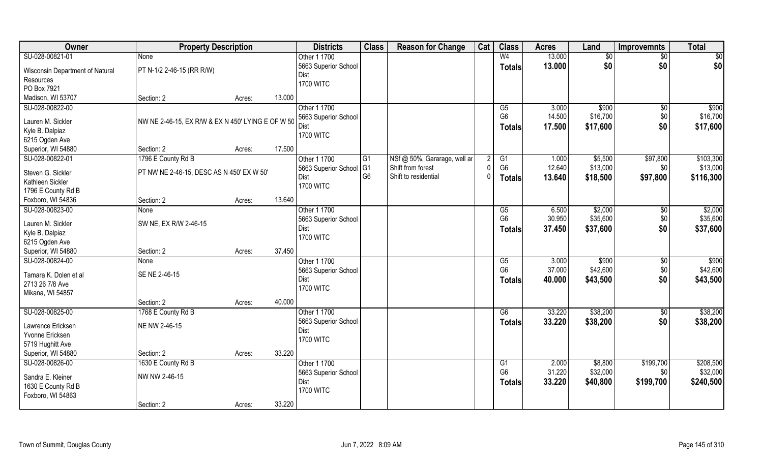| Owner                               | <b>Property Description</b>                       |        |        | <b>Districts</b>         | <b>Class</b>   | <b>Reason for Change</b>     | Cat       | <b>Class</b>           | <b>Acres</b> | Land     | <b>Improvemnts</b> | <b>Total</b>    |
|-------------------------------------|---------------------------------------------------|--------|--------|--------------------------|----------------|------------------------------|-----------|------------------------|--------------|----------|--------------------|-----------------|
| SU-028-00821-01                     | None                                              |        |        | Other 1 1700             |                |                              |           | W <sub>4</sub>         | 13.000       | \$0      | $\sqrt{$0}$        | $\overline{50}$ |
| Wisconsin Department of Natural     | PT N-1/2 2-46-15 (RR R/W)                         |        |        | 5663 Superior School     |                |                              |           | <b>Totals</b>          | 13.000       | \$0      | \$0                | \$0             |
| Resources                           |                                                   |        |        | Dist                     |                |                              |           |                        |              |          |                    |                 |
| PO Box 7921                         |                                                   |        |        | <b>1700 WITC</b>         |                |                              |           |                        |              |          |                    |                 |
| Madison, WI 53707                   | Section: 2                                        | Acres: | 13.000 |                          |                |                              |           |                        |              |          |                    |                 |
| SU-028-00822-00                     |                                                   |        |        | Other 1 1700             |                |                              |           | G5                     | 3.000        | \$900    |                    | \$900           |
|                                     |                                                   |        |        |                          |                |                              |           | G <sub>6</sub>         |              |          | \$0                |                 |
| Lauren M. Sickler                   | NW NE 2-46-15, EX R/W & EX N 450' LYING E OF W 50 |        |        | 5663 Superior School     |                |                              |           |                        | 14.500       | \$16,700 | \$0                | \$16,700        |
| Kyle B. Dalpiaz                     |                                                   |        |        | Dist<br><b>1700 WITC</b> |                |                              |           | Totals                 | 17.500       | \$17,600 | \$0                | \$17,600        |
| 6215 Ogden Ave                      |                                                   |        |        |                          |                |                              |           |                        |              |          |                    |                 |
| Superior, WI 54880                  | Section: 2                                        | Acres: | 17.500 |                          |                |                              |           |                        |              |          |                    |                 |
| SU-028-00822-01                     | 1796 E County Rd B                                |        |        | Other 1 1700             | G1             | NSf @ 50%, Gararage, well ar |           | G1                     | 1.000        | \$5,500  | \$97,800           | \$103,300       |
|                                     |                                                   |        |        | 5663 Superior School     | G <sub>1</sub> | Shift from forest            |           | G <sub>6</sub>         | 12.640       | \$13,000 | \$0                | \$13,000        |
| Steven G. Sickler                   | PT NW NE 2-46-15, DESC AS N 450' EX W 50'         |        |        | Dist                     | G <sub>6</sub> | Shift to residential         | $\bigcap$ | <b>Totals</b>          | 13.640       | \$18,500 | \$97,800           | \$116,300       |
| Kathleen Sickler                    |                                                   |        |        | <b>1700 WITC</b>         |                |                              |           |                        |              |          |                    |                 |
| 1796 E County Rd B                  |                                                   |        | 13.640 |                          |                |                              |           |                        |              |          |                    |                 |
| Foxboro, WI 54836                   | Section: 2                                        | Acres: |        |                          |                |                              |           |                        |              |          |                    |                 |
| SU-028-00823-00                     | None                                              |        |        | Other 1 1700             |                |                              |           | G5                     | 6.500        | \$2,000  | $\sqrt[6]{3}$      | \$2,000         |
| Lauren M. Sickler                   | SW NE, EX R/W 2-46-15                             |        |        | 5663 Superior School     |                |                              |           | G <sub>6</sub>         | 30.950       | \$35,600 | \$0                | \$35,600        |
| Kyle B. Dalpiaz                     |                                                   |        |        | Dist                     |                |                              |           | <b>Totals</b>          | 37.450       | \$37,600 | \$0                | \$37,600        |
| 6215 Ogden Ave                      |                                                   |        |        | <b>1700 WITC</b>         |                |                              |           |                        |              |          |                    |                 |
| Superior, WI 54880                  | Section: 2                                        | Acres: | 37.450 |                          |                |                              |           |                        |              |          |                    |                 |
| SU-028-00824-00                     | None                                              |        |        | Other 1 1700             |                |                              |           | $\overline{\text{G5}}$ | 3.000        | \$900    | $\overline{50}$    | \$900           |
| Tamara K. Dolen et al               | SE NE 2-46-15                                     |        |        | 5663 Superior School     |                |                              |           | G <sub>6</sub>         | 37.000       | \$42,600 | \$0                | \$42,600        |
|                                     |                                                   |        |        | Dist                     |                |                              |           | Totals                 | 40.000       | \$43,500 | \$0                | \$43,500        |
| 2713 26 7/8 Ave<br>Mikana, WI 54857 |                                                   |        |        | <b>1700 WITC</b>         |                |                              |           |                        |              |          |                    |                 |
|                                     | Section: 2                                        |        | 40.000 |                          |                |                              |           |                        |              |          |                    |                 |
|                                     |                                                   | Acres: |        |                          |                |                              |           |                        |              | \$38,200 |                    | \$38,200        |
| SU-028-00825-00                     | 1768 E County Rd B                                |        |        | Other 1 1700             |                |                              |           | G6                     | 33.220       |          | $\sqrt{$0}$        |                 |
| Lawrence Ericksen                   | NE NW 2-46-15                                     |        |        | 5663 Superior School     |                |                              |           | <b>Totals</b>          | 33.220       | \$38,200 | \$0                | \$38,200        |
| Yvonne Ericksen                     |                                                   |        |        | Dist<br><b>1700 WITC</b> |                |                              |           |                        |              |          |                    |                 |
| 5719 Hughitt Ave                    |                                                   |        |        |                          |                |                              |           |                        |              |          |                    |                 |
| Superior, WI 54880                  | Section: 2                                        | Acres: | 33.220 |                          |                |                              |           |                        |              |          |                    |                 |
| SU-028-00826-00                     | 1630 E County Rd B                                |        |        | Other 1 1700             |                |                              |           | G1                     | 2.000        | \$8,800  | \$199,700          | \$208,500       |
|                                     | NW NW 2-46-15                                     |        |        | 5663 Superior School     |                |                              |           | G <sub>6</sub>         | 31.220       | \$32,000 | \$0                | \$32,000        |
| Sandra E. Kleiner                   |                                                   |        |        | Dist                     |                |                              |           | <b>Totals</b>          | 33.220       | \$40,800 | \$199,700          | \$240,500       |
| 1630 E County Rd B                  |                                                   |        |        | <b>1700 WITC</b>         |                |                              |           |                        |              |          |                    |                 |
| Foxboro, WI 54863                   |                                                   |        |        |                          |                |                              |           |                        |              |          |                    |                 |
|                                     | Section: 2                                        | Acres: | 33.220 |                          |                |                              |           |                        |              |          |                    |                 |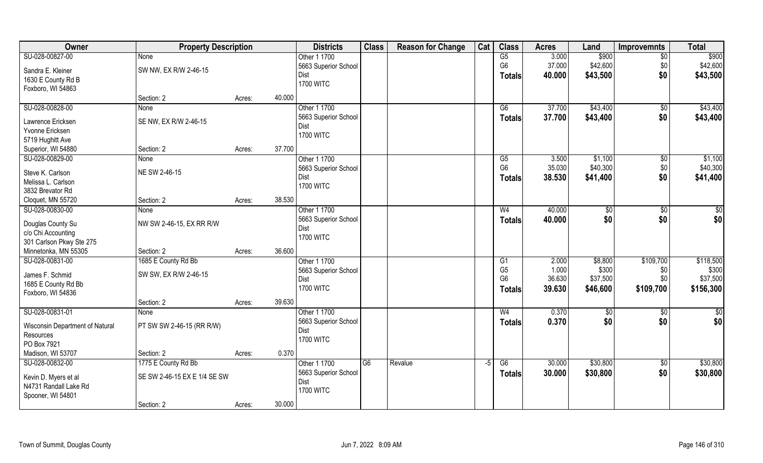| Owner                           | <b>Property Description</b>  |                  | <b>Districts</b>     | <b>Class</b>   | <b>Reason for Change</b> | Cat  | <b>Class</b>    | <b>Acres</b> | Land     | <b>Improvemnts</b> | <b>Total</b> |
|---------------------------------|------------------------------|------------------|----------------------|----------------|--------------------------|------|-----------------|--------------|----------|--------------------|--------------|
| SU-028-00827-00                 | <b>None</b>                  |                  | Other 1 1700         |                |                          |      | $\overline{G5}$ | 3.000        | \$900    | $\overline{50}$    | \$900        |
| Sandra E. Kleiner               | SW NW, EX R/W 2-46-15        |                  | 5663 Superior School |                |                          |      | G <sub>6</sub>  | 37.000       | \$42,600 | \$0                | \$42,600     |
| 1630 E County Rd B              |                              |                  | Dist                 |                |                          |      | Totals          | 40.000       | \$43,500 | \$0                | \$43,500     |
| Foxboro, WI 54863               |                              |                  | <b>1700 WITC</b>     |                |                          |      |                 |              |          |                    |              |
|                                 | Section: 2                   | 40.000<br>Acres: |                      |                |                          |      |                 |              |          |                    |              |
| SU-028-00828-00                 | <b>None</b>                  |                  | Other 1 1700         |                |                          |      | G6              | 37.700       | \$43,400 | \$0                | \$43,400     |
|                                 |                              |                  | 5663 Superior School |                |                          |      | Totals          | 37.700       | \$43,400 | \$0                | \$43,400     |
| Lawrence Ericksen               | SE NW, EX R/W 2-46-15        |                  | Dist                 |                |                          |      |                 |              |          |                    |              |
| Yvonne Ericksen                 |                              |                  | <b>1700 WITC</b>     |                |                          |      |                 |              |          |                    |              |
| 5719 Hughitt Ave                |                              |                  |                      |                |                          |      |                 |              |          |                    |              |
| Superior, WI 54880              | Section: 2                   | 37.700<br>Acres: |                      |                |                          |      |                 |              |          |                    |              |
| SU-028-00829-00                 | None                         |                  | Other 1 1700         |                |                          |      | G5              | 3.500        | \$1,100  | \$0                | \$1,100      |
| Steve K. Carlson                | NE SW 2-46-15                |                  | 5663 Superior School |                |                          |      | G <sub>6</sub>  | 35.030       | \$40,300 | \$0                | \$40,300     |
| Melissa L. Carlson              |                              |                  | Dist                 |                |                          |      | <b>Totals</b>   | 38.530       | \$41,400 | \$0                | \$41,400     |
| 3832 Brevator Rd                |                              |                  | <b>1700 WITC</b>     |                |                          |      |                 |              |          |                    |              |
| Cloquet, MN 55720               | Section: 2                   | 38.530<br>Acres: |                      |                |                          |      |                 |              |          |                    |              |
| SU-028-00830-00                 | None                         |                  | Other 1 1700         |                |                          |      | W <sub>4</sub>  | 40.000       | \$0      | \$0                | $\sqrt{50}$  |
|                                 |                              |                  | 5663 Superior School |                |                          |      | <b>Totals</b>   | 40.000       | \$0      | \$0                | \$0          |
| Douglas County Su               | NW SW 2-46-15, EX RR R/W     |                  | Dist                 |                |                          |      |                 |              |          |                    |              |
| c/o Chi Accounting              |                              |                  | <b>1700 WITC</b>     |                |                          |      |                 |              |          |                    |              |
| 301 Carlson Pkwy Ste 275        |                              |                  |                      |                |                          |      |                 |              |          |                    |              |
| Minnetonka, MN 55305            | Section: 2                   | 36.600<br>Acres: |                      |                |                          |      |                 |              |          |                    |              |
| SU-028-00831-00                 | 1685 E County Rd Bb          |                  | Other 1 1700         |                |                          |      | $\overline{G1}$ | 2.000        | \$8,800  | \$109,700          | \$118,500    |
| James F. Schmid                 | SW SW, EX R/W 2-46-15        |                  | 5663 Superior School |                |                          |      | G <sub>5</sub>  | 1.000        | \$300    | \$0                | \$300        |
| 1685 E County Rd Bb             |                              |                  | Dist                 |                |                          |      | G <sub>6</sub>  | 36.630       | \$37,500 | \$0                | \$37,500     |
| Foxboro, WI 54836               |                              |                  | <b>1700 WITC</b>     |                |                          |      | Totals          | 39.630       | \$46,600 | \$109,700          | \$156,300    |
|                                 | Section: 2                   | 39.630<br>Acres: |                      |                |                          |      |                 |              |          |                    |              |
| SU-028-00831-01                 | None                         |                  | Other 1 1700         |                |                          |      | W <sub>4</sub>  | 0.370        | \$0      | $\sqrt{6}$         | \$0          |
|                                 |                              |                  | 5663 Superior School |                |                          |      | <b>Totals</b>   | 0.370        | \$0      | \$0                | \$0          |
| Wisconsin Department of Natural | PT SW SW 2-46-15 (RR R/W)    |                  | Dist                 |                |                          |      |                 |              |          |                    |              |
| Resources                       |                              |                  | <b>1700 WITC</b>     |                |                          |      |                 |              |          |                    |              |
| PO Box 7921                     |                              |                  |                      |                |                          |      |                 |              |          |                    |              |
| Madison, WI 53707               | Section: 2                   | 0.370<br>Acres:  |                      |                |                          |      |                 |              |          |                    |              |
| SU-028-00832-00                 | 1775 E County Rd Bb          |                  | Other 1 1700         | G <sub>6</sub> | Revalue                  | $-5$ | G6              | 30.000       | \$30,800 | \$0                | \$30,800     |
| Kevin D. Myers et al            | SE SW 2-46-15 EX E 1/4 SE SW |                  | 5663 Superior School |                |                          |      | Totals          | 30.000       | \$30,800 | \$0                | \$30,800     |
| N4731 Randall Lake Rd           |                              |                  | Dist                 |                |                          |      |                 |              |          |                    |              |
| Spooner, WI 54801               |                              |                  | <b>1700 WITC</b>     |                |                          |      |                 |              |          |                    |              |
|                                 | Section: 2                   | 30.000<br>Acres: |                      |                |                          |      |                 |              |          |                    |              |
|                                 |                              |                  |                      |                |                          |      |                 |              |          |                    |              |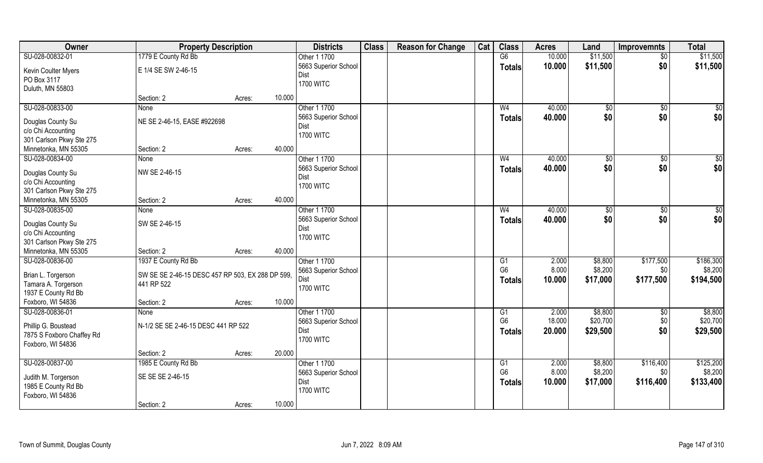| Owner                     | <b>Property Description</b>                      |        |        | <b>Districts</b>                    | <b>Class</b> | <b>Reason for Change</b> | Cat | <b>Class</b>         | <b>Acres</b>    | Land                | <b>Improvemnts</b> | <b>Total</b>        |
|---------------------------|--------------------------------------------------|--------|--------|-------------------------------------|--------------|--------------------------|-----|----------------------|-----------------|---------------------|--------------------|---------------------|
| SU-028-00832-01           | 1779 E County Rd Bb                              |        |        | Other 1 1700                        |              |                          |     | G6                   | 10.000          | \$11,500            | $\overline{50}$    | \$11,500            |
| Kevin Coulter Myers       | E 1/4 SE SW 2-46-15                              |        |        | 5663 Superior School                |              |                          |     | <b>Totals</b>        | 10.000          | \$11,500            | \$0                | \$11,500            |
| PO Box 3117               |                                                  |        |        | <b>Dist</b>                         |              |                          |     |                      |                 |                     |                    |                     |
| Duluth, MN 55803          |                                                  |        |        | <b>1700 WITC</b>                    |              |                          |     |                      |                 |                     |                    |                     |
|                           | Section: 2                                       | Acres: | 10.000 |                                     |              |                          |     |                      |                 |                     |                    |                     |
| SU-028-00833-00           | <b>None</b>                                      |        |        | Other 1 1700                        |              |                          |     | W <sub>4</sub>       | 40.000          | \$0                 | \$0                | $\sqrt{50}$         |
| Douglas County Su         | NE SE 2-46-15, EASE #922698                      |        |        | 5663 Superior School                |              |                          |     | Totals               | 40.000          | \$0                 | \$0                | \$0                 |
| c/o Chi Accounting        |                                                  |        |        | Dist                                |              |                          |     |                      |                 |                     |                    |                     |
| 301 Carlson Pkwy Ste 275  |                                                  |        |        | <b>1700 WITC</b>                    |              |                          |     |                      |                 |                     |                    |                     |
| Minnetonka, MN 55305      | Section: 2                                       | Acres: | 40.000 |                                     |              |                          |     |                      |                 |                     |                    |                     |
| SU-028-00834-00           | None                                             |        |        | Other 1 1700                        |              |                          |     | W <sub>4</sub>       | 40.000          | $\sqrt[6]{3}$       | $\sqrt[6]{3}$      | \$0                 |
| Douglas County Su         | NW SE 2-46-15                                    |        |        | 5663 Superior School                |              |                          |     | <b>Totals</b>        | 40.000          | \$0                 | \$0                | \$0                 |
| c/o Chi Accounting        |                                                  |        |        | Dist                                |              |                          |     |                      |                 |                     |                    |                     |
| 301 Carlson Pkwy Ste 275  |                                                  |        |        | <b>1700 WITC</b>                    |              |                          |     |                      |                 |                     |                    |                     |
| Minnetonka, MN 55305      | Section: 2                                       | Acres: | 40.000 |                                     |              |                          |     |                      |                 |                     |                    |                     |
| SU-028-00835-00           | None                                             |        |        | Other 1 1700                        |              |                          |     | W <sub>4</sub>       | 40.000          | \$0                 | \$0                | \$                  |
| Douglas County Su         | SW SE 2-46-15                                    |        |        | 5663 Superior School                |              |                          |     | <b>Totals</b>        | 40.000          | \$0                 | \$0                | \$0                 |
| c/o Chi Accounting        |                                                  |        |        | Dist                                |              |                          |     |                      |                 |                     |                    |                     |
| 301 Carlson Pkwy Ste 275  |                                                  |        |        | <b>1700 WITC</b>                    |              |                          |     |                      |                 |                     |                    |                     |
| Minnetonka, MN 55305      | Section: 2                                       | Acres: | 40.000 |                                     |              |                          |     |                      |                 |                     |                    |                     |
| SU-028-00836-00           | 1937 E County Rd Bb                              |        |        | Other 1 1700                        |              |                          |     | G1                   | 2.000           | \$8,800             | \$177,500          | \$186,300           |
|                           |                                                  |        |        | 5663 Superior School                |              |                          |     | G <sub>6</sub>       | 8.000           | \$8,200             | \$0                | \$8,200             |
| Brian L. Torgerson        | SW SE SE 2-46-15 DESC 457 RP 503, EX 288 DP 599, |        |        | Dist                                |              |                          |     | <b>Totals</b>        | 10.000          | \$17,000            | \$177,500          | \$194,500           |
| Tamara A. Torgerson       | 441 RP 522                                       |        |        | <b>1700 WITC</b>                    |              |                          |     |                      |                 |                     |                    |                     |
| 1937 E County Rd Bb       |                                                  |        |        |                                     |              |                          |     |                      |                 |                     |                    |                     |
| Foxboro, WI 54836         | Section: 2                                       | Acres: | 10.000 |                                     |              |                          |     |                      |                 |                     |                    |                     |
| SU-028-00836-01           | None                                             |        |        | Other 1 1700                        |              |                          |     | G1<br>G <sub>6</sub> | 2.000<br>18.000 | \$8,800<br>\$20,700 | \$0<br>\$0         | \$8,800<br>\$20,700 |
| Phillip G. Boustead       | N-1/2 SE SE 2-46-15 DESC 441 RP 522              |        |        | 5663 Superior School<br><b>Dist</b> |              |                          |     |                      |                 |                     | \$0                |                     |
| 7875 S Foxboro Chaffey Rd |                                                  |        |        | <b>1700 WITC</b>                    |              |                          |     | <b>Totals</b>        | 20.000          | \$29,500            |                    | \$29,500            |
| Foxboro, WI 54836         |                                                  |        |        |                                     |              |                          |     |                      |                 |                     |                    |                     |
|                           | Section: 2                                       | Acres: | 20.000 |                                     |              |                          |     |                      |                 |                     |                    |                     |
| SU-028-00837-00           | 1985 E County Rd Bb                              |        |        | Other 1 1700                        |              |                          |     | G1                   | 2.000           | \$8,800             | \$116,400          | \$125,200           |
| Judith M. Torgerson       | SE SE SE 2-46-15                                 |        |        | 5663 Superior School                |              |                          |     | G <sub>6</sub>       | 8.000           | \$8,200             | \$0                | \$8,200             |
| 1985 E County Rd Bb       |                                                  |        |        | Dist                                |              |                          |     | <b>Totals</b>        | 10.000          | \$17,000            | \$116,400          | \$133,400           |
| Foxboro, WI 54836         |                                                  |        |        | <b>1700 WITC</b>                    |              |                          |     |                      |                 |                     |                    |                     |
|                           | Section: 2                                       | Acres: | 10.000 |                                     |              |                          |     |                      |                 |                     |                    |                     |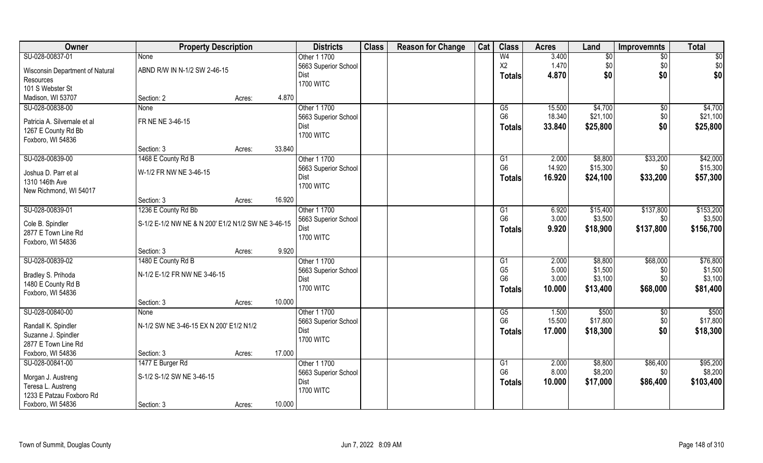| Owner                           | <b>Property Description</b>                        |        |        | <b>Districts</b>             | <b>Class</b> | <b>Reason for Change</b> | Cat | <b>Class</b>    | <b>Acres</b> | Land     | <b>Improvemnts</b> | <b>Total</b> |
|---------------------------------|----------------------------------------------------|--------|--------|------------------------------|--------------|--------------------------|-----|-----------------|--------------|----------|--------------------|--------------|
| SU-028-00837-01                 | <b>None</b>                                        |        |        | Other 1 1700                 |              |                          |     | W <sub>4</sub>  | 3.400        | \$0      | $\overline{50}$    | \$0          |
| Wisconsin Department of Natural | ABND R/W IN N-1/2 SW 2-46-15                       |        |        | 5663 Superior School         |              |                          |     | X2              | 1.470        | \$0      | \$0                | \$0          |
| Resources                       |                                                    |        |        | Dist                         |              |                          |     | Totals          | 4.870        | \$0      | \$0                | \$0          |
| 101 S Webster St                |                                                    |        |        | <b>1700 WITC</b>             |              |                          |     |                 |              |          |                    |              |
| Madison, WI 53707               | Section: 2                                         | Acres: | 4.870  |                              |              |                          |     |                 |              |          |                    |              |
| SU-028-00838-00                 | <b>None</b>                                        |        |        | Other 1 1700                 |              |                          |     | G5              | 15.500       | \$4,700  | \$0                | \$4,700      |
|                                 |                                                    |        |        | 5663 Superior School         |              |                          |     | G <sub>6</sub>  | 18.340       | \$21,100 | \$0                | \$21,100     |
| Patricia A. Silvernale et al    | FR NE NE 3-46-15                                   |        |        | Dist                         |              |                          |     | Totals          | 33.840       | \$25,800 | \$0                | \$25,800     |
| 1267 E County Rd Bb             |                                                    |        |        | <b>1700 WITC</b>             |              |                          |     |                 |              |          |                    |              |
| Foxboro, WI 54836               |                                                    |        | 33.840 |                              |              |                          |     |                 |              |          |                    |              |
|                                 | Section: 3                                         | Acres: |        |                              |              |                          |     |                 |              |          |                    |              |
| SU-028-00839-00                 | 1468 E County Rd B                                 |        |        | Other 1 1700                 |              |                          |     | G1              | 2.000        | \$8,800  | \$33,200           | \$42,000     |
| Joshua D. Parr et al            | W-1/2 FR NW NE 3-46-15                             |        |        | 5663 Superior School         |              |                          |     | G <sub>6</sub>  | 14.920       | \$15,300 | \$0                | \$15,300     |
| 1310 146th Ave                  |                                                    |        |        | Dist                         |              |                          |     | <b>Totals</b>   | 16.920       | \$24,100 | \$33,200           | \$57,300     |
| New Richmond, WI 54017          |                                                    |        |        | <b>1700 WITC</b>             |              |                          |     |                 |              |          |                    |              |
|                                 | Section: 3                                         | Acres: | 16.920 |                              |              |                          |     |                 |              |          |                    |              |
| SU-028-00839-01                 | 1236 E County Rd Bb                                |        |        | Other 1 1700                 |              |                          |     | G1              | 6.920        | \$15,400 | \$137,800          | \$153,200    |
|                                 |                                                    |        |        | 5663 Superior School         |              |                          |     | G <sub>6</sub>  | 3.000        | \$3,500  | \$0                | \$3,500      |
| Cole B. Spindler                | S-1/2 E-1/2 NW NE & N 200' E1/2 N1/2 SW NE 3-46-15 |        |        | Dist                         |              |                          |     | <b>Totals</b>   | 9.920        | \$18,900 | \$137,800          | \$156,700    |
| 2877 E Town Line Rd             |                                                    |        |        | <b>1700 WITC</b>             |              |                          |     |                 |              |          |                    |              |
| Foxboro, WI 54836               |                                                    |        | 9.920  |                              |              |                          |     |                 |              |          |                    |              |
| SU-028-00839-02                 | Section: 3<br>1480 E County Rd B                   | Acres: |        | Other 1 1700                 |              |                          |     | $\overline{G1}$ | 2.000        | \$8,800  | \$68,000           | \$76,800     |
|                                 |                                                    |        |        |                              |              |                          |     | G <sub>5</sub>  | 5.000        | \$1,500  | \$0                | \$1,500      |
| Bradley S. Prihoda              | N-1/2 E-1/2 FR NW NE 3-46-15                       |        |        | 5663 Superior School<br>Dist |              |                          |     | G <sub>6</sub>  | 3.000        | \$3,100  | \$0                | \$3,100      |
| 1480 E County Rd B              |                                                    |        |        | <b>1700 WITC</b>             |              |                          |     |                 | 10.000       |          | \$68,000           | \$81,400     |
| Foxboro, WI 54836               |                                                    |        |        |                              |              |                          |     | Totals          |              | \$13,400 |                    |              |
|                                 | Section: 3                                         | Acres: | 10.000 |                              |              |                          |     |                 |              |          |                    |              |
| SU-028-00840-00                 | None                                               |        |        | Other 1 1700                 |              |                          |     | G5              | 1.500        | \$500    | \$0                | \$500        |
| Randall K. Spindler             | N-1/2 SW NE 3-46-15 EX N 200' E1/2 N1/2            |        |        | 5663 Superior School         |              |                          |     | G <sub>6</sub>  | 15.500       | \$17,800 | \$0                | \$17,800     |
| Suzanne J. Spindler             |                                                    |        |        | Dist                         |              |                          |     | <b>Totals</b>   | 17.000       | \$18,300 | \$0                | \$18,300     |
| 2877 E Town Line Rd             |                                                    |        |        | <b>1700 WITC</b>             |              |                          |     |                 |              |          |                    |              |
| Foxboro, WI 54836               | Section: 3                                         | Acres: | 17.000 |                              |              |                          |     |                 |              |          |                    |              |
| SU-028-00841-00                 | 1477 E Burger Rd                                   |        |        | Other 1 1700                 |              |                          |     | G1              | 2.000        | \$8,800  | \$86,400           | \$95,200     |
|                                 |                                                    |        |        | 5663 Superior School         |              |                          |     | G <sub>6</sub>  | 8.000        | \$8,200  | \$0                | \$8,200      |
| Morgan J. Austreng              | S-1/2 S-1/2 SW NE 3-46-15                          |        |        | Dist                         |              |                          |     | <b>Totals</b>   | 10.000       | \$17,000 | \$86,400           | \$103,400    |
| Teresa L. Austreng              |                                                    |        |        | <b>1700 WITC</b>             |              |                          |     |                 |              |          |                    |              |
| 1233 E Patzau Foxboro Rd        |                                                    |        |        |                              |              |                          |     |                 |              |          |                    |              |
| Foxboro, WI 54836               | Section: 3                                         | Acres: | 10.000 |                              |              |                          |     |                 |              |          |                    |              |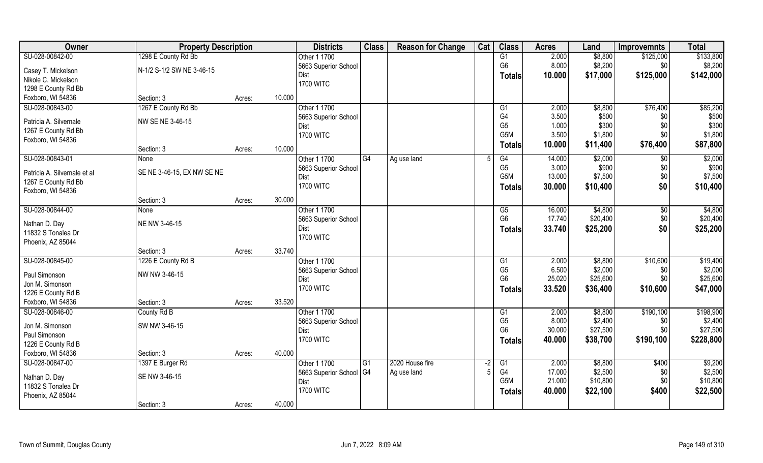| Owner                               | <b>Property Description</b> |                  | <b>Districts</b>        | <b>Class</b>    | <b>Reason for Change</b> | Cat  | <b>Class</b>                       | <b>Acres</b> | Land     | <b>Improvemnts</b> | <b>Total</b> |
|-------------------------------------|-----------------------------|------------------|-------------------------|-----------------|--------------------------|------|------------------------------------|--------------|----------|--------------------|--------------|
| SU-028-00842-00                     | 1298 E County Rd Bb         |                  | Other 1 1700            |                 |                          |      | G1                                 | 2.000        | \$8,800  | \$125,000          | \$133,800    |
| Casey T. Mickelson                  | N-1/2 S-1/2 SW NE 3-46-15   |                  | 5663 Superior School    |                 |                          |      | G <sub>6</sub>                     | 8.000        | \$8,200  | \$0                | \$8,200      |
| Nikole C. Mickelson                 |                             |                  | Dist                    |                 |                          |      | <b>Totals</b>                      | 10.000       | \$17,000 | \$125,000          | \$142,000    |
| 1298 E County Rd Bb                 |                             |                  | <b>1700 WITC</b>        |                 |                          |      |                                    |              |          |                    |              |
| Foxboro, WI 54836                   | Section: 3                  | 10.000<br>Acres: |                         |                 |                          |      |                                    |              |          |                    |              |
| SU-028-00843-00                     | 1267 E County Rd Bb         |                  | Other 1 1700            |                 |                          |      | G1                                 | 2.000        | \$8,800  | \$76,400           | \$85,200     |
|                                     |                             |                  | 5663 Superior School    |                 |                          |      | G4                                 | 3.500        | \$500    | \$0                | \$500        |
| Patricia A. Silvernale              | NW SE NE 3-46-15            |                  | Dist                    |                 |                          |      | G <sub>5</sub>                     | 1.000        | \$300    | \$0                | \$300        |
| 1267 E County Rd Bb                 |                             |                  | <b>1700 WITC</b>        |                 |                          |      | G5M                                | 3.500        | \$1,800  | \$0                | \$1,800      |
| Foxboro, WI 54836                   |                             |                  |                         |                 |                          |      | <b>Totals</b>                      | 10.000       | \$11,400 | \$76,400           | \$87,800     |
|                                     | Section: 3                  | 10.000<br>Acres: |                         |                 |                          |      |                                    |              |          |                    |              |
| SU-028-00843-01                     | None                        |                  | Other 1 1700            | G4              | Ag use land              | .5   | G4                                 | 14.000       | \$2,000  | \$0                | \$2,000      |
| Patricia A. Silvernale et al        | SE NE 3-46-15, EX NW SE NE  |                  | 5663 Superior School    |                 |                          |      | G <sub>5</sub><br>G <sub>5</sub> M | 3.000        | \$900    | \$0                | \$900        |
| 1267 E County Rd Bb                 |                             |                  | Dist                    |                 |                          |      |                                    | 13.000       | \$7,500  | \$0                | \$7,500      |
| Foxboro, WI 54836                   |                             |                  | <b>1700 WITC</b>        |                 |                          |      | <b>Totals</b>                      | 30.000       | \$10,400 | \$0                | \$10,400     |
|                                     | Section: 3                  | 30.000<br>Acres: |                         |                 |                          |      |                                    |              |          |                    |              |
| SU-028-00844-00                     | None                        |                  | Other 1 1700            |                 |                          |      | G5                                 | 16.000       | \$4,800  | $\sqrt[6]{3}$      | \$4,800      |
|                                     | NE NW 3-46-15               |                  | 5663 Superior School    |                 |                          |      | G <sub>6</sub>                     | 17.740       | \$20,400 | \$0                | \$20,400     |
| Nathan D. Day<br>11832 S Tonalea Dr |                             |                  | Dist                    |                 |                          |      | <b>Totals</b>                      | 33.740       | \$25,200 | \$0                | \$25,200     |
| Phoenix, AZ 85044                   |                             |                  | <b>1700 WITC</b>        |                 |                          |      |                                    |              |          |                    |              |
|                                     | Section: 3                  | 33.740<br>Acres: |                         |                 |                          |      |                                    |              |          |                    |              |
| SU-028-00845-00                     | 1226 E County Rd B          |                  | Other 1 1700            |                 |                          |      | G1                                 | 2.000        | \$8,800  | \$10,600           | \$19,400     |
|                                     |                             |                  | 5663 Superior School    |                 |                          |      | G <sub>5</sub>                     | 6.500        | \$2,000  | \$0                | \$2,000      |
| Paul Simonson                       | NW NW 3-46-15               |                  | Dist                    |                 |                          |      | G <sub>6</sub>                     | 25.020       | \$25,600 | \$0                | \$25,600     |
| Jon M. Simonson                     |                             |                  | <b>1700 WITC</b>        |                 |                          |      |                                    | 33.520       | \$36,400 | \$10,600           | \$47,000     |
| 1226 E County Rd B                  |                             |                  |                         |                 |                          |      | <b>Totals</b>                      |              |          |                    |              |
| Foxboro, WI 54836                   | Section: 3                  | 33.520<br>Acres: |                         |                 |                          |      |                                    |              |          |                    |              |
| SU-028-00846-00                     | County Rd B                 |                  | Other 1 1700            |                 |                          |      | G1                                 | 2.000        | \$8,800  | \$190,100          | \$198,900    |
| Jon M. Simonson                     | SW NW 3-46-15               |                  | 5663 Superior School    |                 |                          |      | G <sub>5</sub>                     | 8.000        | \$2,400  | \$0                | \$2,400      |
| Paul Simonson                       |                             |                  | Dist                    |                 |                          |      | G <sub>6</sub>                     | 30.000       | \$27,500 | \$0                | \$27,500     |
| 1226 E County Rd B                  |                             |                  | <b>1700 WITC</b>        |                 |                          |      | <b>Totals</b>                      | 40.000       | \$38,700 | \$190,100          | \$228,800    |
| Foxboro, WI 54836                   | Section: 3                  | 40.000<br>Acres: |                         |                 |                          |      |                                    |              |          |                    |              |
| SU-028-00847-00                     | 1397 E Burger Rd            |                  | Other 1 1700            | $\overline{G1}$ | 2020 House fire          | $-2$ | G1                                 | 2.000        | \$8,800  | \$400              | \$9,200      |
|                                     |                             |                  | 5663 Superior School G4 |                 | Ag use land              |      | G <sub>4</sub>                     | 17.000       | \$2,500  | \$0                | \$2,500      |
| Nathan D. Day                       | SE NW 3-46-15               |                  | Dist                    |                 |                          |      | G5M                                | 21.000       | \$10,800 | \$0                | \$10,800     |
| 11832 S Tonalea Dr                  |                             |                  | <b>1700 WITC</b>        |                 |                          |      | <b>Totals</b>                      | 40.000       | \$22,100 | \$400              | \$22,500     |
| Phoenix, AZ 85044                   |                             |                  |                         |                 |                          |      |                                    |              |          |                    |              |
|                                     | Section: 3                  | 40.000<br>Acres: |                         |                 |                          |      |                                    |              |          |                    |              |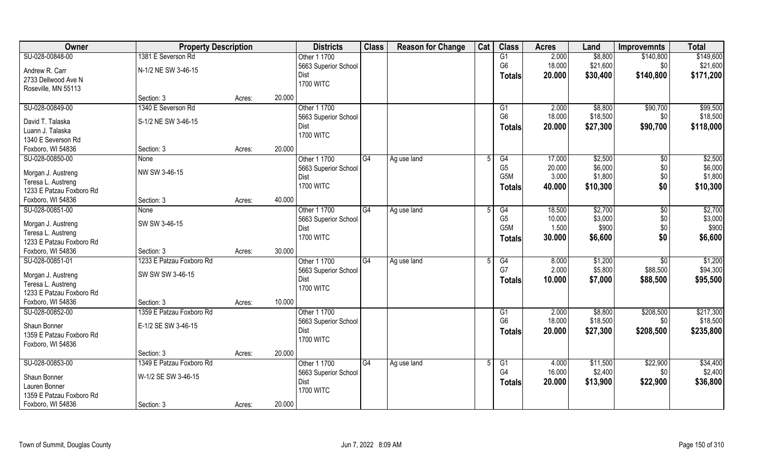| Owner                    | <b>Property Description</b> |                  | <b>Districts</b>             | <b>Class</b> | <b>Reason for Change</b> | Cat | <b>Class</b>   | <b>Acres</b> | Land     | <b>Improvemnts</b> | <b>Total</b> |
|--------------------------|-----------------------------|------------------|------------------------------|--------------|--------------------------|-----|----------------|--------------|----------|--------------------|--------------|
| SU-028-00848-00          | 1381 E Severson Rd          |                  | Other 1 1700                 |              |                          |     | G1             | 2.000        | \$8,800  | \$140,800          | \$149,600    |
| Andrew R. Carr           | N-1/2 NE SW 3-46-15         |                  | 5663 Superior School         |              |                          |     | G <sub>6</sub> | 18.000       | \$21,600 | \$0                | \$21,600     |
| 2733 Dellwood Ave N      |                             |                  | Dist                         |              |                          |     | <b>Totals</b>  | 20.000       | \$30,400 | \$140,800          | \$171,200    |
| Roseville, MN 55113      |                             |                  | <b>1700 WITC</b>             |              |                          |     |                |              |          |                    |              |
|                          | Section: 3                  | 20.000<br>Acres: |                              |              |                          |     |                |              |          |                    |              |
| SU-028-00849-00          | 1340 E Severson Rd          |                  | Other 1 1700                 |              |                          |     | G1             | 2.000        | \$8,800  | \$90,700           | \$99,500     |
|                          |                             |                  | 5663 Superior School         |              |                          |     | G <sub>6</sub> | 18.000       | \$18,500 | \$0                | \$18,500     |
| David T. Talaska         | S-1/2 NE SW 3-46-15         |                  | Dist                         |              |                          |     | <b>Totals</b>  | 20.000       | \$27,300 | \$90,700           | \$118,000    |
| Luann J. Talaska         |                             |                  | <b>1700 WITC</b>             |              |                          |     |                |              |          |                    |              |
| 1340 E Severson Rd       |                             |                  |                              |              |                          |     |                |              |          |                    |              |
| Foxboro, WI 54836        | Section: 3                  | 20.000<br>Acres: |                              |              |                          |     |                |              |          |                    |              |
| SU-028-00850-00          | None                        |                  | Other 1 1700                 | G4           | Ag use land              | 5   | G4             | 17.000       | \$2,500  | $\sqrt[6]{30}$     | \$2,500      |
| Morgan J. Austreng       | NW SW 3-46-15               |                  | 5663 Superior School         |              |                          |     | G <sub>5</sub> | 20.000       | \$6,000  | \$0                | \$6,000      |
| Teresa L. Austreng       |                             |                  | Dist                         |              |                          |     | G5M            | 3.000        | \$1,800  | \$0                | \$1,800      |
| 1233 E Patzau Foxboro Rd |                             |                  | <b>1700 WITC</b>             |              |                          |     | Totals         | 40.000       | \$10,300 | \$0                | \$10,300     |
| Foxboro, WI 54836        | Section: 3                  | 40.000<br>Acres: |                              |              |                          |     |                |              |          |                    |              |
| SU-028-00851-00          | None                        |                  | Other 1 1700                 | G4           | Ag use land              |     | G4             | 18.500       | \$2,700  | $\sqrt[6]{}$       | \$2,700      |
|                          |                             |                  | 5663 Superior School         |              |                          |     | G <sub>5</sub> | 10.000       | \$3,000  | \$0                | \$3,000      |
| Morgan J. Austreng       | SW SW 3-46-15               |                  | Dist                         |              |                          |     | G5M            | 1.500        | \$900    | \$0                | \$900        |
| Teresa L. Austreng       |                             |                  | <b>1700 WITC</b>             |              |                          |     | <b>Totals</b>  | 30.000       | \$6,600  | \$0                | \$6,600      |
| 1233 E Patzau Foxboro Rd |                             |                  |                              |              |                          |     |                |              |          |                    |              |
| Foxboro, WI 54836        | Section: 3                  | 30.000<br>Acres: |                              |              |                          |     |                |              |          |                    |              |
| SU-028-00851-01          | 1233 E Patzau Foxboro Rd    |                  | Other 1 1700                 | G4           | Ag use land              | .5  | G4             | 8.000        | \$1,200  | \$0                | \$1,200      |
| Morgan J. Austreng       | SW SW SW 3-46-15            |                  | 5663 Superior School         |              |                          |     | G7             | 2.000        | \$5,800  | \$88,500           | \$94,300     |
| Teresa L. Austreng       |                             |                  | Dist                         |              |                          |     | Totals         | 10.000       | \$7,000  | \$88,500           | \$95,500     |
| 1233 E Patzau Foxboro Rd |                             |                  | <b>1700 WITC</b>             |              |                          |     |                |              |          |                    |              |
| Foxboro, WI 54836        | Section: 3                  | 10.000<br>Acres: |                              |              |                          |     |                |              |          |                    |              |
| SU-028-00852-00          | 1359 E Patzau Foxboro Rd    |                  | Other 1 1700                 |              |                          |     | G1             | 2.000        | \$8,800  | \$208,500          | \$217,300    |
| Shaun Bonner             | E-1/2 SE SW 3-46-15         |                  | 5663 Superior School         |              |                          |     | G <sub>6</sub> | 18.000       | \$18,500 | \$0                | \$18,500     |
| 1359 E Patzau Foxboro Rd |                             |                  | Dist                         |              |                          |     | <b>Totals</b>  | 20.000       | \$27,300 | \$208,500          | \$235,800    |
|                          |                             |                  | <b>1700 WITC</b>             |              |                          |     |                |              |          |                    |              |
| Foxboro, WI 54836        | Section: 3                  | 20.000<br>Acres: |                              |              |                          |     |                |              |          |                    |              |
| SU-028-00853-00          | 1349 E Patzau Foxboro Rd    |                  | Other 1 1700                 | G4           | Ag use land              |     | G1             | 4.000        | \$11,500 | \$22,900           | \$34,400     |
|                          |                             |                  |                              |              |                          |     | G4             | 16.000       | \$2,400  | \$0                | \$2,400      |
| Shaun Bonner             | W-1/2 SE SW 3-46-15         |                  | 5663 Superior School<br>Dist |              |                          |     |                | 20.000       |          | \$22,900           | \$36,800     |
| Lauren Bonner            |                             |                  | <b>1700 WITC</b>             |              |                          |     | <b>Totals</b>  |              | \$13,900 |                    |              |
| 1359 E Patzau Foxboro Rd |                             |                  |                              |              |                          |     |                |              |          |                    |              |
| Foxboro, WI 54836        | Section: 3                  | Acres:           | 20.000                       |              |                          |     |                |              |          |                    |              |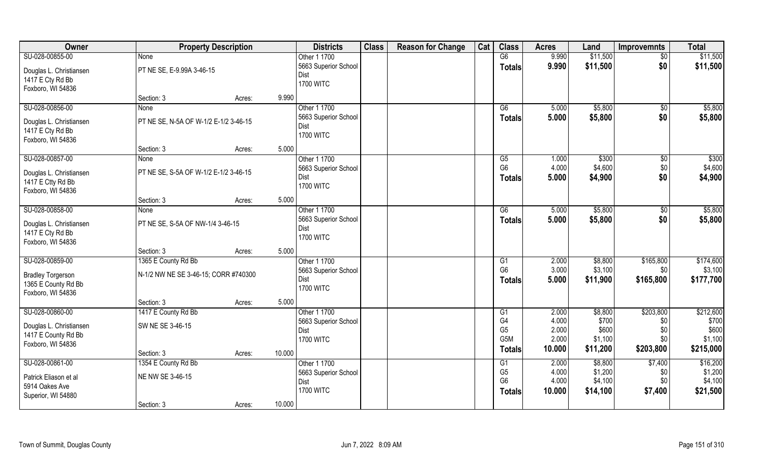| Owner                    | <b>Property Description</b>           |        |        | <b>Districts</b>     | <b>Class</b> | <b>Reason for Change</b> | Cat | <b>Class</b>     | <b>Acres</b> | Land     | <b>Improvemnts</b> | <b>Total</b> |
|--------------------------|---------------------------------------|--------|--------|----------------------|--------------|--------------------------|-----|------------------|--------------|----------|--------------------|--------------|
| SU-028-00855-00          | <b>None</b>                           |        |        | Other 1 1700         |              |                          |     | G6               | 9.990        | \$11,500 | $\sqrt{50}$        | \$11,500     |
| Douglas L. Christiansen  | PT NE SE, E-9.99A 3-46-15             |        |        | 5663 Superior School |              |                          |     | <b>Totals</b>    | 9.990        | \$11,500 | \$0                | \$11,500     |
| 1417 E Cty Rd Bb         |                                       |        |        | <b>Dist</b>          |              |                          |     |                  |              |          |                    |              |
| Foxboro, WI 54836        |                                       |        |        | <b>1700 WITC</b>     |              |                          |     |                  |              |          |                    |              |
|                          | Section: 3                            | Acres: | 9.990  |                      |              |                          |     |                  |              |          |                    |              |
| SU-028-00856-00          | <b>None</b>                           |        |        | Other 1 1700         |              |                          |     | G6               | 5.000        | \$5,800  | \$0                | \$5,800      |
| Douglas L. Christiansen  | PT NE SE, N-5A OF W-1/2 E-1/2 3-46-15 |        |        | 5663 Superior School |              |                          |     | <b>Totals</b>    | 5.000        | \$5,800  | \$0                | \$5,800      |
| 1417 E Cty Rd Bb         |                                       |        |        | <b>Dist</b>          |              |                          |     |                  |              |          |                    |              |
| Foxboro, WI 54836        |                                       |        |        | <b>1700 WITC</b>     |              |                          |     |                  |              |          |                    |              |
|                          | Section: 3                            | Acres: | 5.000  |                      |              |                          |     |                  |              |          |                    |              |
| SU-028-00857-00          | <b>None</b>                           |        |        | Other 1 1700         |              |                          |     | G5               | 1.000        | \$300    | \$0                | \$300        |
| Douglas L. Christiansen  | PT NE SE, S-5A OF W-1/2 E-1/2 3-46-15 |        |        | 5663 Superior School |              |                          |     | G <sub>6</sub>   | 4.000        | \$4,600  | \$0                | \$4,600      |
| 1417 E Ctty Rd Bb        |                                       |        |        | <b>Dist</b>          |              |                          |     | <b>Totals</b>    | 5.000        | \$4,900  | \$0                | \$4,900      |
| Foxboro, WI 54836        |                                       |        |        | <b>1700 WITC</b>     |              |                          |     |                  |              |          |                    |              |
|                          | Section: 3                            | Acres: | 5.000  |                      |              |                          |     |                  |              |          |                    |              |
| SU-028-00858-00          | None                                  |        |        | Other 1 1700         |              |                          |     | G6               | 5.000        | \$5,800  | \$0                | \$5,800      |
| Douglas L. Christiansen  | PT NE SE, S-5A OF NW-1/4 3-46-15      |        |        | 5663 Superior School |              |                          |     | <b>Totals</b>    | 5.000        | \$5,800  | \$0                | \$5,800      |
| 1417 E Cty Rd Bb         |                                       |        |        | Dist                 |              |                          |     |                  |              |          |                    |              |
| Foxboro, WI 54836        |                                       |        |        | <b>1700 WITC</b>     |              |                          |     |                  |              |          |                    |              |
|                          | Section: 3                            | Acres: | 5.000  |                      |              |                          |     |                  |              |          |                    |              |
| SU-028-00859-00          | 1365 E County Rd Bb                   |        |        | Other 1 1700         |              |                          |     | G1               | 2.000        | \$8,800  | \$165,800          | \$174,600    |
| <b>Bradley Torgerson</b> | N-1/2 NW NE SE 3-46-15; CORR #740300  |        |        | 5663 Superior School |              |                          |     | G <sub>6</sub>   | 3.000        | \$3,100  | \$0                | \$3,100      |
| 1365 E County Rd Bb      |                                       |        |        | <b>Dist</b>          |              |                          |     | <b>Totals</b>    | 5.000        | \$11,900 | \$165,800          | \$177,700    |
| Foxboro, WI 54836        |                                       |        |        | <b>1700 WITC</b>     |              |                          |     |                  |              |          |                    |              |
|                          | Section: 3                            | Acres: | 5.000  |                      |              |                          |     |                  |              |          |                    |              |
| SU-028-00860-00          | 1417 E County Rd Bb                   |        |        | Other 1 1700         |              |                          |     | G1               | 2.000        | \$8,800  | \$203,800          | \$212,600    |
| Douglas L. Christiansen  | SW NE SE 3-46-15                      |        |        | 5663 Superior School |              |                          |     | G <sub>4</sub>   | 4.000        | \$700    | \$0                | \$700        |
| 1417 E County Rd Bb      |                                       |        |        | <b>Dist</b>          |              |                          |     | G <sub>5</sub>   | 2.000        | \$600    | \$0                | \$600        |
| Foxboro, WI 54836        |                                       |        |        | <b>1700 WITC</b>     |              |                          |     | G <sub>5</sub> M | 2.000        | \$1,100  | \$0                | \$1,100      |
|                          | Section: 3                            | Acres: | 10.000 |                      |              |                          |     | Totals           | 10.000       | \$11,200 | \$203,800          | \$215,000    |
| SU-028-00861-00          | 1354 E County Rd Bb                   |        |        | Other 1 1700         |              |                          |     | G1               | 2.000        | \$8,800  | \$7,400            | \$16,200     |
| Patrick Eliason et al    | NE NW SE 3-46-15                      |        |        | 5663 Superior School |              |                          |     | G <sub>5</sub>   | 4.000        | \$1,200  | \$0                | \$1,200      |
| 5914 Oakes Ave           |                                       |        |        | <b>Dist</b>          |              |                          |     | G <sub>6</sub>   | 4.000        | \$4,100  | \$0                | \$4,100      |
| Superior, WI 54880       |                                       |        |        | <b>1700 WITC</b>     |              |                          |     | <b>Totals</b>    | 10.000       | \$14,100 | \$7,400            | \$21,500     |
|                          | Section: 3                            | Acres: | 10.000 |                      |              |                          |     |                  |              |          |                    |              |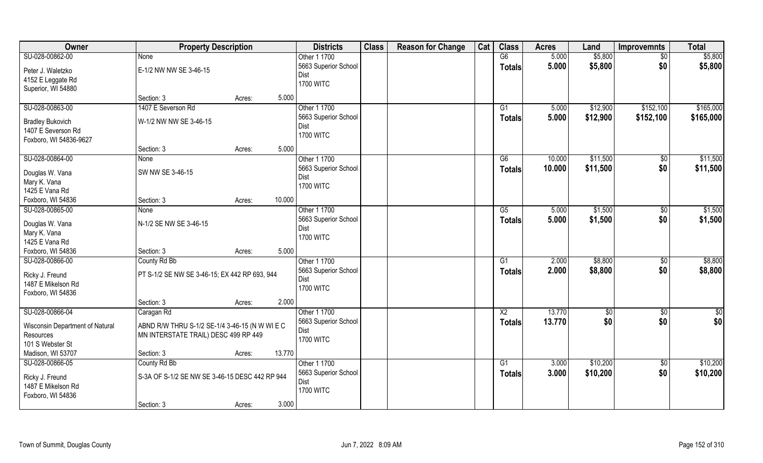| Owner                                         | <b>Property Description</b>                    |        |        | <b>Districts</b>     | <b>Class</b> | <b>Reason for Change</b> | Cat | <b>Class</b>   | <b>Acres</b> | Land     | Improvemnts     | <b>Total</b> |
|-----------------------------------------------|------------------------------------------------|--------|--------|----------------------|--------------|--------------------------|-----|----------------|--------------|----------|-----------------|--------------|
| SU-028-00862-00                               | <b>None</b>                                    |        |        | Other 1 1700         |              |                          |     | G6             | 5.000        | \$5,800  | $\overline{50}$ | \$5,800      |
| Peter J. Waletzko                             | E-1/2 NW NW SE 3-46-15                         |        |        | 5663 Superior School |              |                          |     | <b>Totals</b>  | 5.000        | \$5,800  | \$0             | \$5,800      |
| 4152 E Leggate Rd                             |                                                |        |        | <b>Dist</b>          |              |                          |     |                |              |          |                 |              |
| Superior, WI 54880                            |                                                |        |        | <b>1700 WITC</b>     |              |                          |     |                |              |          |                 |              |
|                                               | Section: 3                                     | Acres: | 5.000  |                      |              |                          |     |                |              |          |                 |              |
| SU-028-00863-00                               | 1407 E Severson Rd                             |        |        | Other 1 1700         |              |                          |     | G1             | 5.000        | \$12,900 | \$152,100       | \$165,000    |
|                                               | W-1/2 NW NW SE 3-46-15                         |        |        | 5663 Superior School |              |                          |     | <b>Totals</b>  | 5.000        | \$12,900 | \$152,100       | \$165,000    |
| <b>Bradley Bukovich</b><br>1407 E Severson Rd |                                                |        |        | Dist                 |              |                          |     |                |              |          |                 |              |
| Foxboro, WI 54836-9627                        |                                                |        |        | <b>1700 WITC</b>     |              |                          |     |                |              |          |                 |              |
|                                               | Section: 3                                     | Acres: | 5.000  |                      |              |                          |     |                |              |          |                 |              |
| SU-028-00864-00                               | <b>None</b>                                    |        |        | Other 1 1700         |              |                          |     | G6             | 10.000       | \$11,500 | $\sqrt[6]{3}$   | \$11,500     |
|                                               |                                                |        |        | 5663 Superior School |              |                          |     | <b>Totals</b>  | 10.000       | \$11,500 | \$0             | \$11,500     |
| Douglas W. Vana                               | SW NW SE 3-46-15                               |        |        | Dist                 |              |                          |     |                |              |          |                 |              |
| Mary K. Vana                                  |                                                |        |        | <b>1700 WITC</b>     |              |                          |     |                |              |          |                 |              |
| 1425 E Vana Rd                                |                                                |        |        |                      |              |                          |     |                |              |          |                 |              |
| Foxboro, WI 54836                             | Section: 3                                     | Acres: | 10.000 |                      |              |                          |     |                |              |          |                 |              |
| SU-028-00865-00                               | None                                           |        |        | Other 1 1700         |              |                          |     | G5             | 5.000        | \$1,500  | \$0             | \$1,500      |
| Douglas W. Vana                               | N-1/2 SE NW SE 3-46-15                         |        |        | 5663 Superior School |              |                          |     | <b>Totals</b>  | 5.000        | \$1,500  | \$0             | \$1,500      |
| Mary K. Vana                                  |                                                |        |        | Dist                 |              |                          |     |                |              |          |                 |              |
| 1425 E Vana Rd                                |                                                |        |        | <b>1700 WITC</b>     |              |                          |     |                |              |          |                 |              |
| Foxboro, WI 54836                             | Section: 3                                     | Acres: | 5.000  |                      |              |                          |     |                |              |          |                 |              |
| SU-028-00866-00                               | County Rd Bb                                   |        |        | Other 1 1700         |              |                          |     | G1             | 2.000        | \$8,800  | $\sqrt[6]{30}$  | \$8,800      |
| Ricky J. Freund                               | PT S-1/2 SE NW SE 3-46-15; EX 442 RP 693, 944  |        |        | 5663 Superior School |              |                          |     | <b>Totals</b>  | 2.000        | \$8,800  | \$0             | \$8,800      |
| 1487 E Mikelson Rd                            |                                                |        |        | Dist                 |              |                          |     |                |              |          |                 |              |
| Foxboro, WI 54836                             |                                                |        |        | <b>1700 WITC</b>     |              |                          |     |                |              |          |                 |              |
|                                               | Section: 3                                     | Acres: | 2.000  |                      |              |                          |     |                |              |          |                 |              |
| SU-028-00866-04                               | Caragan Rd                                     |        |        | Other 1 1700         |              |                          |     | X <sub>2</sub> | 13.770       | \$0      | \$0             | \$0          |
| Wisconsin Department of Natural               | ABND R/W THRU S-1/2 SE-1/4 3-46-15 (N W WI E C |        |        | 5663 Superior School |              |                          |     | <b>Totals</b>  | 13.770       | \$0      | \$0             | \$0          |
| Resources                                     | MN INTERSTATE TRAIL) DESC 499 RP 449           |        |        | Dist                 |              |                          |     |                |              |          |                 |              |
| 101 S Webster St                              |                                                |        |        | <b>1700 WITC</b>     |              |                          |     |                |              |          |                 |              |
| Madison, WI 53707                             | Section: 3                                     | Acres: | 13.770 |                      |              |                          |     |                |              |          |                 |              |
| SU-028-00866-05                               | County Rd Bb                                   |        |        | Other 1 1700         |              |                          |     | G1             | 3.000        | \$10,200 | $\sqrt{$0}$     | \$10,200     |
|                                               |                                                |        |        | 5663 Superior School |              |                          |     | <b>Totals</b>  | 3.000        | \$10,200 | \$0             | \$10,200     |
| Ricky J. Freund                               | S-3A OF S-1/2 SE NW SE 3-46-15 DESC 442 RP 944 |        |        | Dist                 |              |                          |     |                |              |          |                 |              |
| 1487 E Mikelson Rd                            |                                                |        |        | <b>1700 WITC</b>     |              |                          |     |                |              |          |                 |              |
| Foxboro, WI 54836                             |                                                |        |        |                      |              |                          |     |                |              |          |                 |              |
|                                               | Section: 3                                     | Acres: | 3.000  |                      |              |                          |     |                |              |          |                 |              |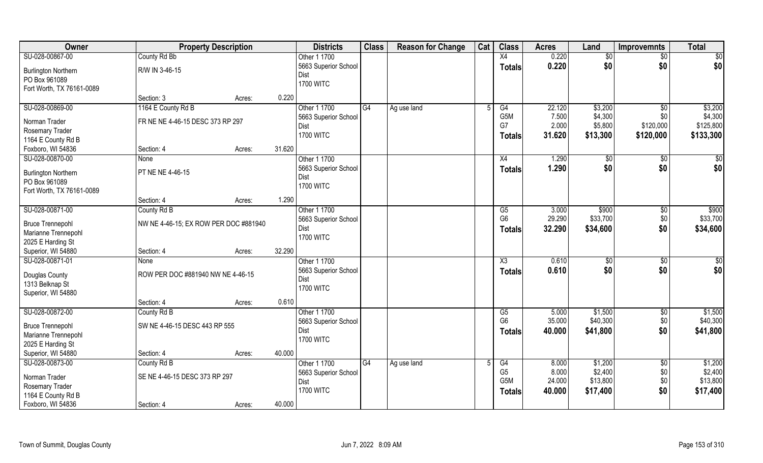| SU-028-00867-00<br>County Rd Bb<br>X4<br>0.220<br>\$0<br>Other 1 1700<br>\$0<br>$\sqrt{$0}$<br>\$0<br>\$0 <br>0.220<br>\$0<br>5663 Superior School<br><b>Totals</b><br>R/W IN 3-46-15<br><b>Burlington Northern</b><br>Dist<br>PO Box 961089<br><b>1700 WITC</b><br>Fort Worth, TX 76161-0089<br>0.220<br>Section: 3<br>Acres:<br>1164 E County Rd B<br>SU-028-00869-00<br>Other 1 1700<br>G4<br>22.120<br>\$3,200<br>\$0<br>Ag use land<br>G4<br>G <sub>5</sub> M<br>\$4,300<br>7.500<br>\$0<br>5663 Superior School<br>FR NE NE 4-46-15 DESC 373 RP 297<br>Norman Trader<br>2.000<br>G7<br>\$120,000<br>\$5,800<br>Dist<br>Rosemary Trader<br><b>1700 WITC</b><br>31.620<br>\$120,000<br>\$13,300<br><b>Totals</b><br>1164 E County Rd B<br>31.620<br>Foxboro, WI 54836<br>Section: 4<br>Acres:<br>Other 1 1700<br>SU-028-00870-00<br>1.290<br>\$0<br>$\sqrt[6]{30}$<br>None<br>X4<br>\$0<br>\$0<br>5663 Superior School<br>1.290<br>Totals<br>PT NE NE 4-46-15<br><b>Burlington Northern</b><br>Dist<br>PO Box 961089<br><b>1700 WITC</b><br>Fort Worth, TX 76161-0089<br>1.290<br>Section: 4<br>Acres:<br>SU-028-00871-00<br>Other 1 1700<br>\$900<br>County Rd B<br>G5<br>3.000<br>$\sqrt[6]{3}$<br>G <sub>6</sub><br>29.290<br>\$33,700<br>\$0<br>5663 Superior School<br><b>Bruce Trennepohl</b><br>NW NE 4-46-15; EX ROW PER DOC #881940<br>\$0<br>32.290<br>\$34,600<br>Dist<br><b>Totals</b><br>Marianne Trennepohl<br><b>1700 WITC</b><br>2025 E Harding St<br>Superior, WI 54880<br>32.290<br>Section: 4<br>Acres:<br>SU-028-00871-01<br>Other 1 1700<br>0.610<br>\$0<br>X3<br>\$0<br>None<br>\$0<br>0.610<br>\$0<br>5663 Superior School<br><b>Totals</b><br>ROW PER DOC #881940 NW NE 4-46-15<br>Douglas County<br>Dist<br>1313 Belknap St<br><b>1700 WITC</b><br>Superior, WI 54880 |
|----------------------------------------------------------------------------------------------------------------------------------------------------------------------------------------------------------------------------------------------------------------------------------------------------------------------------------------------------------------------------------------------------------------------------------------------------------------------------------------------------------------------------------------------------------------------------------------------------------------------------------------------------------------------------------------------------------------------------------------------------------------------------------------------------------------------------------------------------------------------------------------------------------------------------------------------------------------------------------------------------------------------------------------------------------------------------------------------------------------------------------------------------------------------------------------------------------------------------------------------------------------------------------------------------------------------------------------------------------------------------------------------------------------------------------------------------------------------------------------------------------------------------------------------------------------------------------------------------------------------------------------------------------------------------------------------------------------------------------------------------------------------------------------------------|
|                                                                                                                                                                                                                                                                                                                                                                                                                                                                                                                                                                                                                                                                                                                                                                                                                                                                                                                                                                                                                                                                                                                                                                                                                                                                                                                                                                                                                                                                                                                                                                                                                                                                                                                                                                                                    |
| \$3,200                                                                                                                                                                                                                                                                                                                                                                                                                                                                                                                                                                                                                                                                                                                                                                                                                                                                                                                                                                                                                                                                                                                                                                                                                                                                                                                                                                                                                                                                                                                                                                                                                                                                                                                                                                                            |
|                                                                                                                                                                                                                                                                                                                                                                                                                                                                                                                                                                                                                                                                                                                                                                                                                                                                                                                                                                                                                                                                                                                                                                                                                                                                                                                                                                                                                                                                                                                                                                                                                                                                                                                                                                                                    |
|                                                                                                                                                                                                                                                                                                                                                                                                                                                                                                                                                                                                                                                                                                                                                                                                                                                                                                                                                                                                                                                                                                                                                                                                                                                                                                                                                                                                                                                                                                                                                                                                                                                                                                                                                                                                    |
|                                                                                                                                                                                                                                                                                                                                                                                                                                                                                                                                                                                                                                                                                                                                                                                                                                                                                                                                                                                                                                                                                                                                                                                                                                                                                                                                                                                                                                                                                                                                                                                                                                                                                                                                                                                                    |
| \$4,300<br>\$125,800<br>\$133,300<br>$\sqrt{50}$<br>\$0 <br>\$900<br>\$33,700<br>\$34,600<br>$\overline{50}$<br>\$0                                                                                                                                                                                                                                                                                                                                                                                                                                                                                                                                                                                                                                                                                                                                                                                                                                                                                                                                                                                                                                                                                                                                                                                                                                                                                                                                                                                                                                                                                                                                                                                                                                                                                |
|                                                                                                                                                                                                                                                                                                                                                                                                                                                                                                                                                                                                                                                                                                                                                                                                                                                                                                                                                                                                                                                                                                                                                                                                                                                                                                                                                                                                                                                                                                                                                                                                                                                                                                                                                                                                    |
|                                                                                                                                                                                                                                                                                                                                                                                                                                                                                                                                                                                                                                                                                                                                                                                                                                                                                                                                                                                                                                                                                                                                                                                                                                                                                                                                                                                                                                                                                                                                                                                                                                                                                                                                                                                                    |
|                                                                                                                                                                                                                                                                                                                                                                                                                                                                                                                                                                                                                                                                                                                                                                                                                                                                                                                                                                                                                                                                                                                                                                                                                                                                                                                                                                                                                                                                                                                                                                                                                                                                                                                                                                                                    |
|                                                                                                                                                                                                                                                                                                                                                                                                                                                                                                                                                                                                                                                                                                                                                                                                                                                                                                                                                                                                                                                                                                                                                                                                                                                                                                                                                                                                                                                                                                                                                                                                                                                                                                                                                                                                    |
|                                                                                                                                                                                                                                                                                                                                                                                                                                                                                                                                                                                                                                                                                                                                                                                                                                                                                                                                                                                                                                                                                                                                                                                                                                                                                                                                                                                                                                                                                                                                                                                                                                                                                                                                                                                                    |
|                                                                                                                                                                                                                                                                                                                                                                                                                                                                                                                                                                                                                                                                                                                                                                                                                                                                                                                                                                                                                                                                                                                                                                                                                                                                                                                                                                                                                                                                                                                                                                                                                                                                                                                                                                                                    |
|                                                                                                                                                                                                                                                                                                                                                                                                                                                                                                                                                                                                                                                                                                                                                                                                                                                                                                                                                                                                                                                                                                                                                                                                                                                                                                                                                                                                                                                                                                                                                                                                                                                                                                                                                                                                    |
|                                                                                                                                                                                                                                                                                                                                                                                                                                                                                                                                                                                                                                                                                                                                                                                                                                                                                                                                                                                                                                                                                                                                                                                                                                                                                                                                                                                                                                                                                                                                                                                                                                                                                                                                                                                                    |
|                                                                                                                                                                                                                                                                                                                                                                                                                                                                                                                                                                                                                                                                                                                                                                                                                                                                                                                                                                                                                                                                                                                                                                                                                                                                                                                                                                                                                                                                                                                                                                                                                                                                                                                                                                                                    |
|                                                                                                                                                                                                                                                                                                                                                                                                                                                                                                                                                                                                                                                                                                                                                                                                                                                                                                                                                                                                                                                                                                                                                                                                                                                                                                                                                                                                                                                                                                                                                                                                                                                                                                                                                                                                    |
|                                                                                                                                                                                                                                                                                                                                                                                                                                                                                                                                                                                                                                                                                                                                                                                                                                                                                                                                                                                                                                                                                                                                                                                                                                                                                                                                                                                                                                                                                                                                                                                                                                                                                                                                                                                                    |
|                                                                                                                                                                                                                                                                                                                                                                                                                                                                                                                                                                                                                                                                                                                                                                                                                                                                                                                                                                                                                                                                                                                                                                                                                                                                                                                                                                                                                                                                                                                                                                                                                                                                                                                                                                                                    |
|                                                                                                                                                                                                                                                                                                                                                                                                                                                                                                                                                                                                                                                                                                                                                                                                                                                                                                                                                                                                                                                                                                                                                                                                                                                                                                                                                                                                                                                                                                                                                                                                                                                                                                                                                                                                    |
|                                                                                                                                                                                                                                                                                                                                                                                                                                                                                                                                                                                                                                                                                                                                                                                                                                                                                                                                                                                                                                                                                                                                                                                                                                                                                                                                                                                                                                                                                                                                                                                                                                                                                                                                                                                                    |
|                                                                                                                                                                                                                                                                                                                                                                                                                                                                                                                                                                                                                                                                                                                                                                                                                                                                                                                                                                                                                                                                                                                                                                                                                                                                                                                                                                                                                                                                                                                                                                                                                                                                                                                                                                                                    |
|                                                                                                                                                                                                                                                                                                                                                                                                                                                                                                                                                                                                                                                                                                                                                                                                                                                                                                                                                                                                                                                                                                                                                                                                                                                                                                                                                                                                                                                                                                                                                                                                                                                                                                                                                                                                    |
|                                                                                                                                                                                                                                                                                                                                                                                                                                                                                                                                                                                                                                                                                                                                                                                                                                                                                                                                                                                                                                                                                                                                                                                                                                                                                                                                                                                                                                                                                                                                                                                                                                                                                                                                                                                                    |
|                                                                                                                                                                                                                                                                                                                                                                                                                                                                                                                                                                                                                                                                                                                                                                                                                                                                                                                                                                                                                                                                                                                                                                                                                                                                                                                                                                                                                                                                                                                                                                                                                                                                                                                                                                                                    |
|                                                                                                                                                                                                                                                                                                                                                                                                                                                                                                                                                                                                                                                                                                                                                                                                                                                                                                                                                                                                                                                                                                                                                                                                                                                                                                                                                                                                                                                                                                                                                                                                                                                                                                                                                                                                    |
| 0.610<br>Section: 4<br>Acres:                                                                                                                                                                                                                                                                                                                                                                                                                                                                                                                                                                                                                                                                                                                                                                                                                                                                                                                                                                                                                                                                                                                                                                                                                                                                                                                                                                                                                                                                                                                                                                                                                                                                                                                                                                      |
| \$1,500<br>SU-028-00872-00<br>Other 1 1700<br>G5<br>5.000<br>\$1,500<br>$\sqrt{$0}$<br>County Rd B                                                                                                                                                                                                                                                                                                                                                                                                                                                                                                                                                                                                                                                                                                                                                                                                                                                                                                                                                                                                                                                                                                                                                                                                                                                                                                                                                                                                                                                                                                                                                                                                                                                                                                 |
| G <sub>6</sub><br>\$0<br>\$40,300<br>35.000<br>\$40,300<br>5663 Superior School<br>SW NE 4-46-15 DESC 443 RP 555<br><b>Bruce Trennepohl</b>                                                                                                                                                                                                                                                                                                                                                                                                                                                                                                                                                                                                                                                                                                                                                                                                                                                                                                                                                                                                                                                                                                                                                                                                                                                                                                                                                                                                                                                                                                                                                                                                                                                        |
| \$0<br>Dist<br>40.000<br>\$41,800<br>\$41,800<br><b>Totals</b><br>Marianne Trennepohl                                                                                                                                                                                                                                                                                                                                                                                                                                                                                                                                                                                                                                                                                                                                                                                                                                                                                                                                                                                                                                                                                                                                                                                                                                                                                                                                                                                                                                                                                                                                                                                                                                                                                                              |
| <b>1700 WITC</b><br>2025 E Harding St                                                                                                                                                                                                                                                                                                                                                                                                                                                                                                                                                                                                                                                                                                                                                                                                                                                                                                                                                                                                                                                                                                                                                                                                                                                                                                                                                                                                                                                                                                                                                                                                                                                                                                                                                              |
| Superior, WI 54880<br>40.000<br>Section: 4<br>Acres:                                                                                                                                                                                                                                                                                                                                                                                                                                                                                                                                                                                                                                                                                                                                                                                                                                                                                                                                                                                                                                                                                                                                                                                                                                                                                                                                                                                                                                                                                                                                                                                                                                                                                                                                               |
| SU-028-00873-00<br>County Rd B<br>Other 1 1700<br>G4<br>8.000<br>\$1,200<br>$\overline{50}$<br>\$1,200<br>G4<br>Ag use land                                                                                                                                                                                                                                                                                                                                                                                                                                                                                                                                                                                                                                                                                                                                                                                                                                                                                                                                                                                                                                                                                                                                                                                                                                                                                                                                                                                                                                                                                                                                                                                                                                                                        |
| G <sub>5</sub><br>\$2,400<br>8.000<br>\$2,400<br>\$0<br>5663 Superior School<br>SE NE 4-46-15 DESC 373 RP 297                                                                                                                                                                                                                                                                                                                                                                                                                                                                                                                                                                                                                                                                                                                                                                                                                                                                                                                                                                                                                                                                                                                                                                                                                                                                                                                                                                                                                                                                                                                                                                                                                                                                                      |
| Norman Trader<br>G <sub>5</sub> M<br>24.000<br>\$13,800<br>\$0<br>\$13,800<br>Dist<br>Rosemary Trader                                                                                                                                                                                                                                                                                                                                                                                                                                                                                                                                                                                                                                                                                                                                                                                                                                                                                                                                                                                                                                                                                                                                                                                                                                                                                                                                                                                                                                                                                                                                                                                                                                                                                              |
| \$0<br><b>1700 WITC</b><br>\$17,400<br>40.000<br>\$17,400<br><b>Totals</b><br>1164 E County Rd B                                                                                                                                                                                                                                                                                                                                                                                                                                                                                                                                                                                                                                                                                                                                                                                                                                                                                                                                                                                                                                                                                                                                                                                                                                                                                                                                                                                                                                                                                                                                                                                                                                                                                                   |
| Foxboro, WI 54836<br>40.000<br>Section: 4<br>Acres:                                                                                                                                                                                                                                                                                                                                                                                                                                                                                                                                                                                                                                                                                                                                                                                                                                                                                                                                                                                                                                                                                                                                                                                                                                                                                                                                                                                                                                                                                                                                                                                                                                                                                                                                                |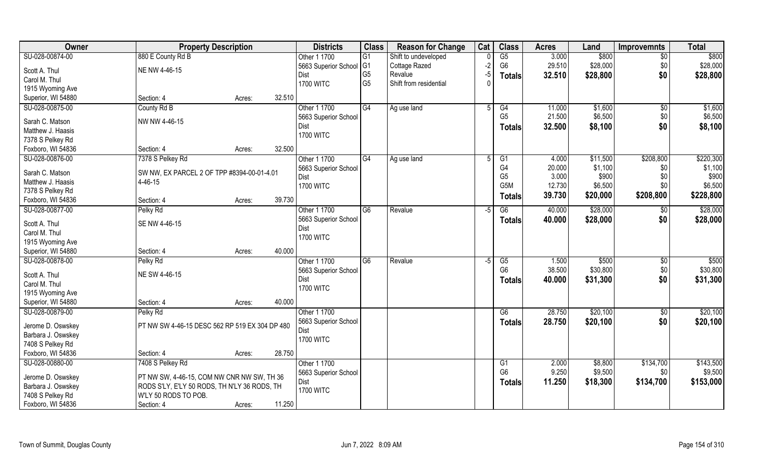| Owner              | <b>Property Description</b>                    |        | <b>Districts</b>     | <b>Class</b>    | <b>Reason for Change</b> | Cat  | <b>Class</b>           | <b>Acres</b> | Land     | <b>Improvemnts</b> | <b>Total</b> |
|--------------------|------------------------------------------------|--------|----------------------|-----------------|--------------------------|------|------------------------|--------------|----------|--------------------|--------------|
| SU-028-00874-00    | 880 E County Rd B                              |        | Other 1 1700         | $\overline{G1}$ | Shift to undeveloped     |      | G5                     | 3.000        | \$800    | $\overline{50}$    | \$800        |
| Scott A. Thul      | NE NW 4-46-15                                  |        | 5663 Superior School | G <sub>1</sub>  | Cottage Razed            | $-2$ | G <sub>6</sub>         | 29.510       | \$28,000 | \$0                | \$28,000     |
| Carol M. Thul      |                                                |        | Dist                 | G <sub>5</sub>  | Revalue                  | $-5$ | <b>Totals</b>          | 32.510       | \$28,800 | \$0                | \$28,800     |
| 1915 Wyoming Ave   |                                                |        | <b>1700 WITC</b>     | G <sub>5</sub>  | Shift from residential   |      |                        |              |          |                    |              |
| Superior, WI 54880 | Section: 4<br>Acres:                           | 32.510 |                      |                 |                          |      |                        |              |          |                    |              |
| SU-028-00875-00    | County Rd B                                    |        | Other 1 1700         | G4              | Ag use land              | 5    | G4                     | 11.000       | \$1,600  | $\overline{50}$    | \$1,600      |
|                    |                                                |        | 5663 Superior School |                 |                          |      | G <sub>5</sub>         | 21.500       | \$6,500  | \$0                | \$6,500      |
| Sarah C. Matson    | NW NW 4-46-15                                  |        | Dist                 |                 |                          |      |                        | 32.500       | \$8,100  | \$0                | \$8,100      |
| Matthew J. Haasis  |                                                |        | <b>1700 WITC</b>     |                 |                          |      | <b>Totals</b>          |              |          |                    |              |
| 7378 S Pelkey Rd   |                                                |        |                      |                 |                          |      |                        |              |          |                    |              |
| Foxboro, WI 54836  | Section: 4<br>Acres:                           | 32.500 |                      |                 |                          |      |                        |              |          |                    |              |
| SU-028-00876-00    | 7378 S Pelkey Rd                               |        | Other 1 1700         | G4              | Ag use land              | 5    | G1                     | 4.000        | \$11,500 | \$208,800          | \$220,300    |
| Sarah C. Matson    | SW NW, EX PARCEL 2 OF TPP #8394-00-01-4.01     |        | 5663 Superior School |                 |                          |      | G <sub>4</sub>         | 20.000       | \$1,100  | \$0                | \$1,100      |
| Matthew J. Haasis  | 4-46-15                                        |        | Dist                 |                 |                          |      | G <sub>5</sub>         | 3.000        | \$900    | \$0                | \$900        |
|                    |                                                |        | <b>1700 WITC</b>     |                 |                          |      | G5M                    | 12.730       | \$6,500  | \$0                | \$6,500      |
| 7378 S Pelkey Rd   | Section: 4                                     | 39.730 |                      |                 |                          |      | <b>Totals</b>          | 39.730       | \$20,000 | \$208,800          | \$228,800    |
| Foxboro, WI 54836  | Acres:                                         |        |                      | $\overline{G6}$ |                          |      |                        |              |          |                    |              |
| SU-028-00877-00    | Pelky Rd                                       |        | Other 1 1700         |                 | Revalue                  | -5   | $\overline{G6}$        | 40.000       | \$28,000 | \$0                | \$28,000     |
| Scott A. Thul      | SE NW 4-46-15                                  |        | 5663 Superior School |                 |                          |      | <b>Totals</b>          | 40.000       | \$28,000 | \$0                | \$28,000     |
| Carol M. Thul      |                                                |        | Dist                 |                 |                          |      |                        |              |          |                    |              |
| 1915 Wyoming Ave   |                                                |        | <b>1700 WITC</b>     |                 |                          |      |                        |              |          |                    |              |
| Superior, WI 54880 | Section: 4<br>Acres:                           | 40.000 |                      |                 |                          |      |                        |              |          |                    |              |
| SU-028-00878-00    | Pelky Rd                                       |        | Other 1 1700         | $\overline{G6}$ | Revalue                  | $-5$ | $\overline{\text{G5}}$ | 1.500        | \$500    | \$0                | \$500        |
|                    |                                                |        | 5663 Superior School |                 |                          |      | G <sub>6</sub>         | 38.500       | \$30,800 | \$0                | \$30,800     |
| Scott A. Thul      | NE SW 4-46-15                                  |        | Dist                 |                 |                          |      | Totals                 | 40.000       | \$31,300 | \$0                | \$31,300     |
| Carol M. Thul      |                                                |        | <b>1700 WITC</b>     |                 |                          |      |                        |              |          |                    |              |
| 1915 Wyoming Ave   |                                                |        |                      |                 |                          |      |                        |              |          |                    |              |
| Superior, WI 54880 | Section: 4<br>Acres:                           | 40.000 |                      |                 |                          |      |                        |              |          |                    |              |
| SU-028-00879-00    | Pelky Rd                                       |        | Other 1 1700         |                 |                          |      | G6                     | 28.750       | \$20,100 | \$0                | \$20,100     |
| Jerome D. Oswskey  | PT NW SW 4-46-15 DESC 562 RP 519 EX 304 DP 480 |        | 5663 Superior School |                 |                          |      | <b>Totals</b>          | 28.750       | \$20,100 | \$0                | \$20,100     |
| Barbara J. Oswskey |                                                |        | Dist                 |                 |                          |      |                        |              |          |                    |              |
| 7408 S Pelkey Rd   |                                                |        | <b>1700 WITC</b>     |                 |                          |      |                        |              |          |                    |              |
| Foxboro, WI 54836  | Section: 4<br>Acres:                           | 28.750 |                      |                 |                          |      |                        |              |          |                    |              |
| SU-028-00880-00    | 7408 S Pelkey Rd                               |        | Other 1 1700         |                 |                          |      | G1                     | 2.000        | \$8,800  | \$134,700          | \$143,500    |
|                    |                                                |        | 5663 Superior School |                 |                          |      | G <sub>6</sub>         | 9.250        | \$9,500  | \$0                | \$9,500      |
| Jerome D. Oswskey  | PT NW SW, 4-46-15, COM NW CNR NW SW, TH 36     |        | Dist                 |                 |                          |      | <b>Totals</b>          | 11.250       | \$18,300 | \$134,700          | \$153,000    |
| Barbara J. Oswskey | RODS S'LY, E'LY 50 RODS, TH N'LY 36 RODS, TH   |        | <b>1700 WITC</b>     |                 |                          |      |                        |              |          |                    |              |
| 7408 S Pelkey Rd   | W'LY 50 RODS TO POB.                           |        |                      |                 |                          |      |                        |              |          |                    |              |
| Foxboro, WI 54836  | Section: 4<br>Acres:                           | 11.250 |                      |                 |                          |      |                        |              |          |                    |              |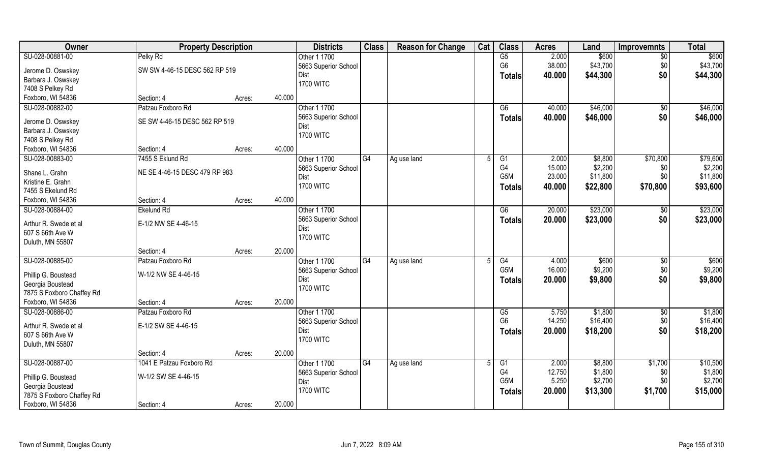| Owner                                     | <b>Property Description</b>   |                  | <b>Districts</b>         | <b>Class</b> | <b>Reason for Change</b> | Cat | <b>Class</b>                     | <b>Acres</b>    | Land               | <b>Improvemnts</b> | <b>Total</b>        |
|-------------------------------------------|-------------------------------|------------------|--------------------------|--------------|--------------------------|-----|----------------------------------|-----------------|--------------------|--------------------|---------------------|
| SU-028-00881-00                           | Pelky Rd                      |                  | Other 1 1700             |              |                          |     | G5                               | 2.000           | \$600              | $\overline{50}$    | \$600               |
| Jerome D. Oswskey                         | SW SW 4-46-15 DESC 562 RP 519 |                  | 5663 Superior School     |              |                          |     | G <sub>6</sub>                   | 38.000          | \$43,700           | \$0                | \$43,700            |
| Barbara J. Oswskey                        |                               |                  | Dist                     |              |                          |     | <b>Totals</b>                    | 40.000          | \$44,300           | \$0                | \$44,300            |
| 7408 S Pelkey Rd                          |                               |                  | <b>1700 WITC</b>         |              |                          |     |                                  |                 |                    |                    |                     |
| Foxboro, WI 54836                         | Section: 4                    | 40.000<br>Acres: |                          |              |                          |     |                                  |                 |                    |                    |                     |
| SU-028-00882-00                           | Patzau Foxboro Rd             |                  | Other 1 1700             |              |                          |     | G6                               | 40.000          | \$46,000           | $\sqrt{$0}$        | \$46,000            |
|                                           |                               |                  | 5663 Superior School     |              |                          |     | <b>Totals</b>                    | 40.000          | \$46,000           | \$0                | \$46,000            |
| Jerome D. Oswskey                         | SE SW 4-46-15 DESC 562 RP 519 |                  | Dist                     |              |                          |     |                                  |                 |                    |                    |                     |
| Barbara J. Oswskey                        |                               |                  | <b>1700 WITC</b>         |              |                          |     |                                  |                 |                    |                    |                     |
| 7408 S Pelkey Rd<br>Foxboro, WI 54836     | Section: 4                    | 40.000           |                          |              |                          |     |                                  |                 |                    |                    |                     |
|                                           |                               | Acres:           | Other 1 1700             |              |                          |     |                                  |                 |                    |                    |                     |
| SU-028-00883-00                           | 7455 S Eklund Rd              |                  |                          | G4           | Ag use land              | 5   | G <sub>1</sub><br>G <sub>4</sub> | 2.000<br>15.000 | \$8,800<br>\$2,200 | \$70,800           | \$79,600<br>\$2,200 |
| Shane L. Grahn                            | NE SE 4-46-15 DESC 479 RP 983 |                  | 5663 Superior School     |              |                          |     | G <sub>5</sub> M                 | 23.000          | \$11,800           | \$0<br>\$0         | \$11,800            |
| Kristine E. Grahn                         |                               |                  | Dist<br><b>1700 WITC</b> |              |                          |     |                                  |                 |                    |                    |                     |
| 7455 S Ekelund Rd                         |                               |                  |                          |              |                          |     | <b>Totals</b>                    | 40.000          | \$22,800           | \$70,800           | \$93,600            |
| Foxboro, WI 54836                         | Section: 4                    | 40.000<br>Acres: |                          |              |                          |     |                                  |                 |                    |                    |                     |
| SU-028-00884-00                           | <b>Ekelund Rd</b>             |                  | Other 1 1700             |              |                          |     | G6                               | 20.000          | \$23,000           | \$0                | \$23,000            |
|                                           | E-1/2 NW SE 4-46-15           |                  | 5663 Superior School     |              |                          |     | <b>Totals</b>                    | 20.000          | \$23,000           | \$0                | \$23,000            |
| Arthur R. Swede et al<br>607 S 66th Ave W |                               |                  | Dist                     |              |                          |     |                                  |                 |                    |                    |                     |
| Duluth, MN 55807                          |                               |                  | <b>1700 WITC</b>         |              |                          |     |                                  |                 |                    |                    |                     |
|                                           | Section: 4                    | 20.000<br>Acres: |                          |              |                          |     |                                  |                 |                    |                    |                     |
| SU-028-00885-00                           | Patzau Foxboro Rd             |                  | Other 1 1700             | G4           | Ag use land              |     | $\overline{G4}$                  | 4.000           | \$600              | $\sqrt[6]{30}$     | \$600               |
|                                           |                               |                  | 5663 Superior School     |              |                          |     | G <sub>5</sub> M                 | 16.000          | \$9,200            | \$0                | \$9,200             |
| Phillip G. Boustead                       | W-1/2 NW SE 4-46-15           |                  | <b>Dist</b>              |              |                          |     |                                  | 20.000          | \$9,800            | \$0                | \$9,800             |
| Georgia Boustead                          |                               |                  | <b>1700 WITC</b>         |              |                          |     | <b>Totals</b>                    |                 |                    |                    |                     |
| 7875 S Foxboro Chaffey Rd                 |                               |                  |                          |              |                          |     |                                  |                 |                    |                    |                     |
| Foxboro, WI 54836                         | Section: 4                    | 20.000<br>Acres: |                          |              |                          |     |                                  |                 |                    |                    |                     |
| SU-028-00886-00                           | Patzau Foxboro Rd             |                  | Other 1 1700             |              |                          |     | G5                               | 5.750           | \$1,800            | $\sqrt{$0}$        | \$1,800             |
| Arthur R. Swede et al                     | E-1/2 SW SE 4-46-15           |                  | 5663 Superior School     |              |                          |     | G <sub>6</sub>                   | 14.250          | \$16,400           | \$0                | \$16,400            |
| 607 S 66th Ave W                          |                               |                  | Dist                     |              |                          |     | <b>Totals</b>                    | 20.000          | \$18,200           | \$0                | \$18,200            |
| Duluth, MN 55807                          |                               |                  | <b>1700 WITC</b>         |              |                          |     |                                  |                 |                    |                    |                     |
|                                           | Section: 4                    | 20.000<br>Acres: |                          |              |                          |     |                                  |                 |                    |                    |                     |
| SU-028-00887-00                           | 1041 E Patzau Foxboro Rd      |                  | Other 1 1700             | G4           | Ag use land              |     | G1                               | 2.000           | \$8,800            | \$1,700            | \$10,500            |
|                                           |                               |                  | 5663 Superior School     |              |                          |     | G <sub>4</sub>                   | 12.750          | \$1,800            | \$0                | \$1,800             |
| Phillip G. Boustead                       | W-1/2 SW SE 4-46-15           |                  | Dist                     |              |                          |     | G <sub>5</sub> M                 | 5.250           | \$2,700            | \$0                | \$2,700             |
| Georgia Boustead                          |                               |                  | <b>1700 WITC</b>         |              |                          |     | <b>Totals</b>                    | 20.000          | \$13,300           | \$1,700            | \$15,000            |
| 7875 S Foxboro Chaffey Rd                 |                               |                  |                          |              |                          |     |                                  |                 |                    |                    |                     |
| Foxboro, WI 54836                         | Section: 4                    | 20.000<br>Acres: |                          |              |                          |     |                                  |                 |                    |                    |                     |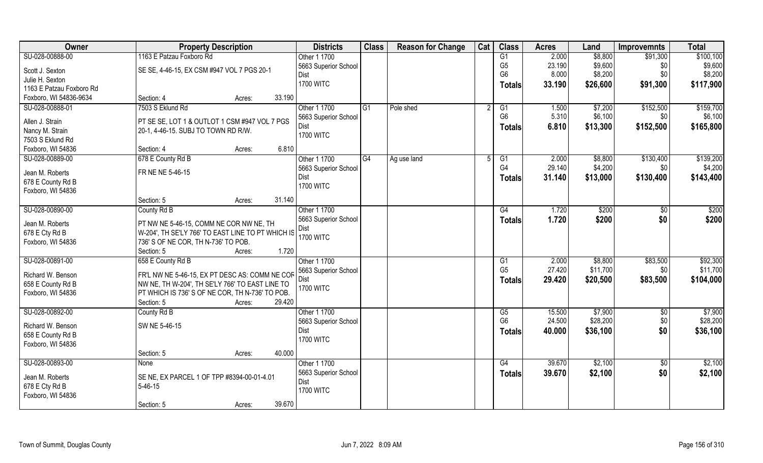| Owner                    | <b>Property Description</b>                       |                  | <b>Districts</b>         | <b>Class</b> | <b>Reason for Change</b> | Cat | <b>Class</b>         | <b>Acres</b>     | Land                | <b>Improvemnts</b>     | <b>Total</b>        |
|--------------------------|---------------------------------------------------|------------------|--------------------------|--------------|--------------------------|-----|----------------------|------------------|---------------------|------------------------|---------------------|
| SU-028-00888-00          | 1163 E Patzau Foxboro Rd                          |                  | Other 1 1700             |              |                          |     | G1                   | 2.000            | \$8,800             | \$91,300               | \$100,100           |
| Scott J. Sexton          | SE SE, 4-46-15, EX CSM #947 VOL 7 PGS 20-1        |                  | 5663 Superior School     |              |                          |     | G <sub>5</sub>       | 23.190           | \$9,600             | \$0                    | \$9,600             |
| Julie H. Sexton          |                                                   |                  | Dist                     |              |                          |     | G <sub>6</sub>       | 8.000            | \$8,200             | \$0\$                  | \$8,200             |
| 1163 E Patzau Foxboro Rd |                                                   |                  | <b>1700 WITC</b>         |              |                          |     | <b>Totals</b>        | 33.190           | \$26,600            | \$91,300               | \$117,900           |
| Foxboro, WI 54836-9634   | Section: 4                                        | 33.190<br>Acres: |                          |              |                          |     |                      |                  |                     |                        |                     |
| SU-028-00888-01          | 7503 S Eklund Rd                                  |                  | Other 1 1700             | G1           | Pole shed                |     | G1                   | 1.500            | \$7,200             | \$152,500              | \$159,700           |
|                          |                                                   |                  | 5663 Superior School     |              |                          |     | G <sub>6</sub>       | 5.310            | \$6,100             | \$0                    | \$6,100             |
| Allen J. Strain          | PT SE SE, LOT 1 & OUTLOT 1 CSM #947 VOL 7 PGS     |                  | Dist                     |              |                          |     | <b>Totals</b>        | 6.810            | \$13,300            | \$152,500              | \$165,800           |
| Nancy M. Strain          | 20-1, 4-46-15. SUBJ TO TOWN RD R/W.               |                  | <b>1700 WITC</b>         |              |                          |     |                      |                  |                     |                        |                     |
| 7503 S Eklund Rd         |                                                   |                  |                          |              |                          |     |                      |                  |                     |                        |                     |
| Foxboro, WI 54836        | Section: 4                                        | 6.810<br>Acres:  |                          |              |                          |     |                      |                  |                     |                        |                     |
| SU-028-00889-00          | 678 E County Rd B                                 |                  | Other 1 1700             | G4           | Ag use land              | 5   | G1                   | 2.000            | \$8,800             | \$130,400              | \$139,200           |
| Jean M. Roberts          | FR NE NE 5-46-15                                  |                  | 5663 Superior School     |              |                          |     | G <sub>4</sub>       | 29.140           | \$4,200             | \$0                    | \$4,200             |
| 678 E County Rd B        |                                                   |                  | Dist                     |              |                          |     | <b>Totals</b>        | 31.140           | \$13,000            | \$130,400              | \$143,400           |
| Foxboro, WI 54836        |                                                   |                  | <b>1700 WITC</b>         |              |                          |     |                      |                  |                     |                        |                     |
|                          | Section: 5                                        | 31.140<br>Acres: |                          |              |                          |     |                      |                  |                     |                        |                     |
| SU-028-00890-00          | County Rd B                                       |                  | Other 1 1700             |              |                          |     | G4                   | 1.720            | \$200               | \$0                    | \$200               |
|                          |                                                   |                  | 5663 Superior School     |              |                          |     |                      | 1.720            | \$200               | \$0                    | \$200               |
| Jean M. Roberts          | PT NW NE 5-46-15, COMM NE COR NW NE, TH           |                  | Dist                     |              |                          |     | <b>Totals</b>        |                  |                     |                        |                     |
| 678 E Cty Rd B           | W-204', TH SE'LY 766' TO EAST LINE TO PT WHICH IS |                  | <b>1700 WITC</b>         |              |                          |     |                      |                  |                     |                        |                     |
| Foxboro, WI 54836        | 736' S OF NE COR, TH N-736' TO POB.               |                  |                          |              |                          |     |                      |                  |                     |                        |                     |
|                          | Section: 5                                        | 1.720<br>Acres:  |                          |              |                          |     |                      |                  |                     |                        |                     |
| SU-028-00891-00          | 658 E County Rd B                                 |                  | Other 1 1700             |              |                          |     | G1                   | 2.000            | \$8,800             | \$83,500               | \$92,300            |
| Richard W. Benson        | FR'L NW NE 5-46-15, EX PT DESC AS: COMM NE COR    |                  | 5663 Superior School     |              |                          |     | G <sub>5</sub>       | 27.420           | \$11,700            | \$0                    | \$11,700            |
| 658 E County Rd B        | NW NE, TH W-204', TH SE'LY 766' TO EAST LINE TO   |                  | <b>Dist</b>              |              |                          |     | <b>Totals</b>        | 29.420           | \$20,500            | \$83,500               | \$104,000           |
|                          | PT WHICH IS 736' S OF NE COR, TH N-736' TO POB.   |                  | <b>1700 WITC</b>         |              |                          |     |                      |                  |                     |                        |                     |
| Foxboro, WI 54836        | Section: 5                                        | 29.420           |                          |              |                          |     |                      |                  |                     |                        |                     |
|                          |                                                   | Acres:           |                          |              |                          |     |                      |                  |                     |                        |                     |
| SU-028-00892-00          | County Rd B                                       |                  | Other 1 1700             |              |                          |     | G5<br>G <sub>6</sub> | 15.500<br>24.500 | \$7,900<br>\$28,200 | $\overline{50}$<br>\$0 | \$7,900<br>\$28,200 |
| Richard W. Benson        | SW NE 5-46-15                                     |                  | 5663 Superior School     |              |                          |     |                      |                  |                     |                        |                     |
| 658 E County Rd B        |                                                   |                  | Dist<br><b>1700 WITC</b> |              |                          |     | <b>Totals</b>        | 40.000           | \$36,100            | \$0                    | \$36,100            |
| Foxboro, WI 54836        |                                                   |                  |                          |              |                          |     |                      |                  |                     |                        |                     |
|                          | Section: 5                                        | 40.000<br>Acres: |                          |              |                          |     |                      |                  |                     |                        |                     |
| SU-028-00893-00          | None                                              |                  | Other 1 1700             |              |                          |     | G4                   | 39.670           | \$2,100             | $\sqrt{6}$             | \$2,100             |
|                          |                                                   |                  | 5663 Superior School     |              |                          |     | <b>Totals</b>        | 39.670           | \$2,100             | \$0                    | \$2,100             |
| Jean M. Roberts          | SE NE, EX PARCEL 1 OF TPP #8394-00-01-4.01        |                  | Dist                     |              |                          |     |                      |                  |                     |                        |                     |
| 678 E Cty Rd B           | $5 - 46 - 15$                                     |                  | <b>1700 WITC</b>         |              |                          |     |                      |                  |                     |                        |                     |
| Foxboro, WI 54836        |                                                   |                  |                          |              |                          |     |                      |                  |                     |                        |                     |
|                          | Section: 5                                        | 39.670<br>Acres: |                          |              |                          |     |                      |                  |                     |                        |                     |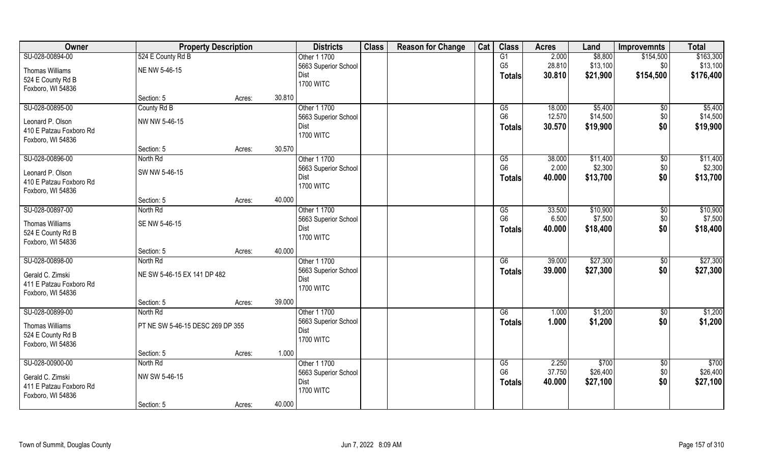| Owner                   | <b>Property Description</b>      |        | <b>Districts</b>     | <b>Class</b> | <b>Reason for Change</b> | Cat | <b>Class</b>    | <b>Acres</b> | Land     | <b>Improvemnts</b> | <b>Total</b> |
|-------------------------|----------------------------------|--------|----------------------|--------------|--------------------------|-----|-----------------|--------------|----------|--------------------|--------------|
| SU-028-00894-00         | 524 E County Rd B                |        | Other 1 1700         |              |                          |     | G1              | 2.000        | \$8,800  | \$154,500          | \$163,300    |
| Thomas Williams         | NE NW 5-46-15                    |        | 5663 Superior School |              |                          |     | G <sub>5</sub>  | 28.810       | \$13,100 | \$0                | \$13,100     |
| 524 E County Rd B       |                                  |        | Dist                 |              |                          |     | <b>Totals</b>   | 30.810       | \$21,900 | \$154,500          | \$176,400    |
| Foxboro, WI 54836       |                                  |        | <b>1700 WITC</b>     |              |                          |     |                 |              |          |                    |              |
|                         | Section: 5                       | Acres: | 30.810               |              |                          |     |                 |              |          |                    |              |
| SU-028-00895-00         | County Rd B                      |        | Other 1 1700         |              |                          |     | G5              | 18.000       | \$5,400  | $\overline{50}$    | \$5,400      |
| Leonard P. Olson        | NW NW 5-46-15                    |        | 5663 Superior School |              |                          |     | G <sub>6</sub>  | 12.570       | \$14,500 | \$0                | \$14,500     |
| 410 E Patzau Foxboro Rd |                                  |        | Dist                 |              |                          |     | <b>Totals</b>   | 30.570       | \$19,900 | \$0                | \$19,900     |
| Foxboro, WI 54836       |                                  |        | <b>1700 WITC</b>     |              |                          |     |                 |              |          |                    |              |
|                         | Section: 5                       | Acres: | 30.570               |              |                          |     |                 |              |          |                    |              |
| SU-028-00896-00         | North Rd                         |        | Other 1 1700         |              |                          |     | G5              | 38.000       | \$11,400 | $\sqrt[6]{3}$      | \$11,400     |
| Leonard P. Olson        | SW NW 5-46-15                    |        | 5663 Superior School |              |                          |     | G <sub>6</sub>  | 2.000        | \$2,300  | \$0                | \$2,300      |
| 410 E Patzau Foxboro Rd |                                  |        | Dist                 |              |                          |     | <b>Totals</b>   | 40.000       | \$13,700 | \$0                | \$13,700     |
| Foxboro, WI 54836       |                                  |        | <b>1700 WITC</b>     |              |                          |     |                 |              |          |                    |              |
|                         | Section: 5                       | Acres: | 40.000               |              |                          |     |                 |              |          |                    |              |
| SU-028-00897-00         | North Rd                         |        | Other 1 1700         |              |                          |     | G5              | 33.500       | \$10,900 | \$0                | \$10,900     |
| <b>Thomas Williams</b>  | SE NW 5-46-15                    |        | 5663 Superior School |              |                          |     | G <sub>6</sub>  | 6.500        | \$7,500  | \$0                | \$7,500      |
| 524 E County Rd B       |                                  |        | Dist                 |              |                          |     | <b>Totals</b>   | 40.000       | \$18,400 | \$0                | \$18,400     |
| Foxboro, WI 54836       |                                  |        | <b>1700 WITC</b>     |              |                          |     |                 |              |          |                    |              |
|                         | Section: 5                       | Acres: | 40.000               |              |                          |     |                 |              |          |                    |              |
| SU-028-00898-00         | North Rd                         |        | Other 1 1700         |              |                          |     | $\overline{G6}$ | 39.000       | \$27,300 | $\sqrt[6]{30}$     | \$27,300     |
| Gerald C. Zimski        | NE SW 5-46-15 EX 141 DP 482      |        | 5663 Superior School |              |                          |     | <b>Totals</b>   | 39.000       | \$27,300 | \$0                | \$27,300     |
| 411 E Patzau Foxboro Rd |                                  |        | Dist                 |              |                          |     |                 |              |          |                    |              |
| Foxboro, WI 54836       |                                  |        | <b>1700 WITC</b>     |              |                          |     |                 |              |          |                    |              |
|                         | Section: 5                       | Acres: | 39.000               |              |                          |     |                 |              |          |                    |              |
| SU-028-00899-00         | North Rd                         |        | Other 1 1700         |              |                          |     | G6              | 1.000        | \$1,200  | \$0                | \$1,200      |
| Thomas Williams         | PT NE SW 5-46-15 DESC 269 DP 355 |        | 5663 Superior School |              |                          |     | <b>Totals</b>   | 1.000        | \$1,200  | \$0                | \$1,200      |
| 524 E County Rd B       |                                  |        | Dist                 |              |                          |     |                 |              |          |                    |              |
| Foxboro, WI 54836       |                                  |        | <b>1700 WITC</b>     |              |                          |     |                 |              |          |                    |              |
|                         | Section: 5                       | Acres: | 1.000                |              |                          |     |                 |              |          |                    |              |
| SU-028-00900-00         | North Rd                         |        | Other 1 1700         |              |                          |     | G5              | 2.250        | \$700    | $\sqrt{$0}$        | \$700        |
| Gerald C. Zimski        | NW SW 5-46-15                    |        | 5663 Superior School |              |                          |     | G <sub>6</sub>  | 37.750       | \$26,400 | \$0                | \$26,400     |
| 411 E Patzau Foxboro Rd |                                  |        | Dist                 |              |                          |     | <b>Totals</b>   | 40.000       | \$27,100 | \$0                | \$27,100     |
| Foxboro, WI 54836       |                                  |        | <b>1700 WITC</b>     |              |                          |     |                 |              |          |                    |              |
|                         | Section: 5                       | Acres: | 40.000               |              |                          |     |                 |              |          |                    |              |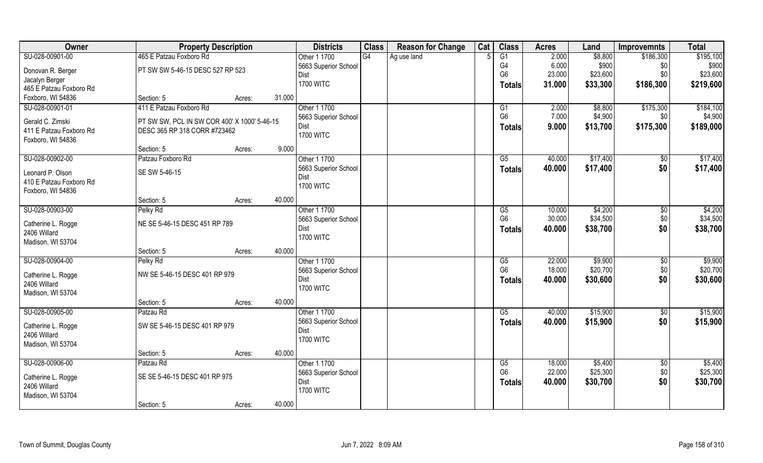| Owner                              | <b>Property Description</b>                  |        |        | <b>Districts</b>     | <b>Class</b> | <b>Reason for Change</b> | Cat | <b>Class</b>   | <b>Acres</b> | Land     | <b>Improvemnts</b>  | <b>Total</b> |
|------------------------------------|----------------------------------------------|--------|--------|----------------------|--------------|--------------------------|-----|----------------|--------------|----------|---------------------|--------------|
| SU-028-00901-00                    | 465 E Patzau Foxboro Rd                      |        |        | Other 1 1700         | G4           | Ag use land              |     | G1             | 2.000        | \$8,800  | \$186,300           | \$195,100    |
| Donovan R. Berger                  | PT SW SW 5-46-15 DESC 527 RP 523             |        |        | 5663 Superior School |              |                          |     | G4             | 6.000        | \$900    | \$0                 | \$900        |
| Jacalyn Berger                     |                                              |        |        | Dist                 |              |                          |     | G <sub>6</sub> | 23.000       | \$23,600 | \$0                 | \$23,600     |
| 465 E Patzau Foxboro Rd            |                                              |        |        | <b>1700 WITC</b>     |              |                          |     | <b>Totals</b>  | 31.000       | \$33,300 | \$186,300           | \$219,600    |
| Foxboro, WI 54836                  | Section: 5                                   | Acres: | 31.000 |                      |              |                          |     |                |              |          |                     |              |
| SU-028-00901-01                    | 411 E Patzau Foxboro Rd                      |        |        | Other 1 1700         |              |                          |     | G1             | 2.000        | \$8,800  | \$175,300           | \$184,100    |
|                                    |                                              |        |        | 5663 Superior School |              |                          |     | G <sub>6</sub> | 7.000        | \$4,900  | \$0                 | \$4,900      |
| Gerald C. Zimski                   | PT SW SW, PCL IN SW COR 400' X 1000' 5-46-15 |        |        | Dist                 |              |                          |     | <b>Totals</b>  | 9.000        | \$13,700 | \$175,300           | \$189,000    |
| 411 E Patzau Foxboro Rd            | DESC 365 RP 318 CORR #723462                 |        |        | <b>1700 WITC</b>     |              |                          |     |                |              |          |                     |              |
| Foxboro, WI 54836                  |                                              |        |        |                      |              |                          |     |                |              |          |                     |              |
|                                    | Section: 5                                   | Acres: | 9.000  |                      |              |                          |     |                |              |          |                     |              |
| SU-028-00902-00                    | Patzau Foxboro Rd                            |        |        | Other 1 1700         |              |                          |     | G5             | 40.000       | \$17,400 | \$0                 | \$17,400     |
| Leonard P. Olson                   | SE SW 5-46-15                                |        |        | 5663 Superior School |              |                          |     | <b>Totals</b>  | 40.000       | \$17,400 | \$0                 | \$17,400     |
| 410 E Patzau Foxboro Rd            |                                              |        |        | Dist                 |              |                          |     |                |              |          |                     |              |
| Foxboro, WI 54836                  |                                              |        |        | <b>1700 WITC</b>     |              |                          |     |                |              |          |                     |              |
|                                    | Section: 5                                   | Acres: | 40.000 |                      |              |                          |     |                |              |          |                     |              |
| SU-028-00903-00                    | Pelky Rd                                     |        |        | Other 1 1700         |              |                          |     | G5             | 10.000       | \$4,200  | \$0                 | \$4,200      |
|                                    |                                              |        |        | 5663 Superior School |              |                          |     | G <sub>6</sub> | 30.000       | \$34,500 | \$0                 | \$34,500     |
| Catherine L. Rogge                 | NE SE 5-46-15 DESC 451 RP 789                |        |        | Dist                 |              |                          |     | <b>Totals</b>  | 40.000       | \$38,700 | \$0                 | \$38,700     |
| 2406 Willard                       |                                              |        |        | <b>1700 WITC</b>     |              |                          |     |                |              |          |                     |              |
| Madison, WI 53704                  |                                              |        |        |                      |              |                          |     |                |              |          |                     |              |
|                                    | Section: 5                                   | Acres: | 40.000 |                      |              |                          |     |                |              |          |                     |              |
| SU-028-00904-00                    | Pelky Rd                                     |        |        | Other 1 1700         |              |                          |     | G5             | 22.000       | \$9,900  | $\sqrt[6]{3}$       | \$9,900      |
| Catherine L. Rogge                 | NW SE 5-46-15 DESC 401 RP 979                |        |        | 5663 Superior School |              |                          |     | G <sub>6</sub> | 18.000       | \$20,700 | \$0                 | \$20,700     |
| 2406 Willard                       |                                              |        |        | Dist                 |              |                          |     | <b>Totals</b>  | 40.000       | \$30,600 | \$0                 | \$30,600     |
| Madison, WI 53704                  |                                              |        |        | <b>1700 WITC</b>     |              |                          |     |                |              |          |                     |              |
|                                    | Section: 5                                   | Acres: | 40.000 |                      |              |                          |     |                |              |          |                     |              |
| SU-028-00905-00                    | Patzau Rd                                    |        |        | Other 1 1700         |              |                          |     | G5             | 40.000       | \$15,900 | $\overline{50}$     | \$15,900     |
|                                    | SW SE 5-46-15 DESC 401 RP 979                |        |        | 5663 Superior School |              |                          |     | <b>Totals</b>  | 40.000       | \$15,900 | \$0                 | \$15,900     |
| Catherine L. Rogge<br>2406 Willard |                                              |        |        | Dist                 |              |                          |     |                |              |          |                     |              |
| Madison, WI 53704                  |                                              |        |        | <b>1700 WITC</b>     |              |                          |     |                |              |          |                     |              |
|                                    | Section: 5                                   |        | 40.000 |                      |              |                          |     |                |              |          |                     |              |
| SU-028-00906-00                    | Patzau Rd                                    | Acres: |        | Other 1 1700         |              |                          |     | G5             | 18.000       | \$5,400  |                     | \$5,400      |
|                                    |                                              |        |        | 5663 Superior School |              |                          |     | G <sub>6</sub> | 22.000       | \$25,300 | $\sqrt[6]{}$<br>\$0 | \$25,300     |
| Catherine L. Rogge                 | SE SE 5-46-15 DESC 401 RP 975                |        |        | Dist                 |              |                          |     |                |              |          |                     |              |
| 2406 Willard                       |                                              |        |        | <b>1700 WITC</b>     |              |                          |     | <b>Totals</b>  | 40.000       | \$30,700 | \$0                 | \$30,700     |
| Madison, WI 53704                  |                                              |        |        |                      |              |                          |     |                |              |          |                     |              |
|                                    | Section: 5                                   | Acres: | 40.000 |                      |              |                          |     |                |              |          |                     |              |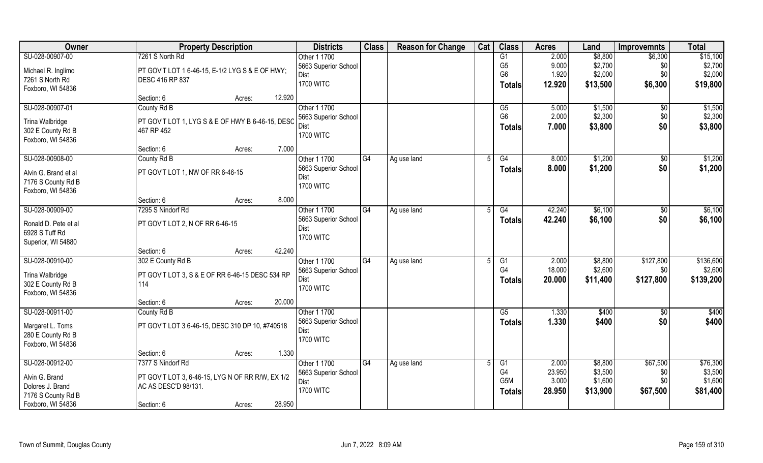| Owner                                  | <b>Property Description</b>                      | <b>Districts</b>     | <b>Class</b> | <b>Reason for Change</b> | Cat | <b>Class</b>     | <b>Acres</b> | Land     | <b>Improvemnts</b> | <b>Total</b> |
|----------------------------------------|--------------------------------------------------|----------------------|--------------|--------------------------|-----|------------------|--------------|----------|--------------------|--------------|
| SU-028-00907-00                        | 7261 S North Rd                                  | Other 1 1700         |              |                          |     | G1               | 2.000        | \$8,800  | \$6,300            | \$15,100     |
| Michael R. Inglimo                     | PT GOV'T LOT 1 6-46-15, E-1/2 LYG S & E OF HWY;  | 5663 Superior School |              |                          |     | G <sub>5</sub>   | 9.000        | \$2,700  | \$0                | \$2,700      |
| 7261 S North Rd                        | DESC 416 RP 837                                  | Dist                 |              |                          |     | G <sub>6</sub>   | 1.920        | \$2,000  | \$0                | \$2,000      |
| Foxboro, WI 54836                      |                                                  | <b>1700 WITC</b>     |              |                          |     | <b>Totals</b>    | 12.920       | \$13,500 | \$6,300            | \$19,800     |
|                                        | 12.920<br>Section: 6<br>Acres:                   |                      |              |                          |     |                  |              |          |                    |              |
| SU-028-00907-01                        | County Rd B                                      | Other 1 1700         |              |                          |     | $\overline{G5}$  | 5.000        | \$1,500  | $\overline{50}$    | \$1,500      |
|                                        |                                                  | 5663 Superior School |              |                          |     | G <sub>6</sub>   | 2.000        | \$2,300  | \$0                | \$2,300      |
| Trina Walbridge                        | PT GOV'T LOT 1, LYG S & E OF HWY B 6-46-15, DESC | Dist                 |              |                          |     | <b>Totals</b>    | 7.000        | \$3,800  | \$0                | \$3,800      |
| 302 E County Rd B                      | 467 RP 452                                       | <b>1700 WITC</b>     |              |                          |     |                  |              |          |                    |              |
| Foxboro, WI 54836                      | 7.000<br>Section: 6<br>Acres:                    |                      |              |                          |     |                  |              |          |                    |              |
| SU-028-00908-00                        | County Rd B                                      | Other 1 1700         | G4           | Ag use land              | .5  | G4               | 8.000        | \$1,200  | \$0                | \$1,200      |
|                                        |                                                  | 5663 Superior School |              |                          |     |                  | 8.000        | \$1,200  | \$0                |              |
| Alvin G. Brand et al                   | PT GOV'T LOT 1, NW OF RR 6-46-15                 | Dist                 |              |                          |     | <b>Totals</b>    |              |          |                    | \$1,200      |
| 7176 S County Rd B                     |                                                  | <b>1700 WITC</b>     |              |                          |     |                  |              |          |                    |              |
| Foxboro, WI 54836                      |                                                  |                      |              |                          |     |                  |              |          |                    |              |
|                                        | 8.000<br>Section: 6<br>Acres:                    |                      |              |                          |     |                  |              |          |                    |              |
| SU-028-00909-00                        | 7295 S Nindorf Rd                                | Other 1 1700         | G4           | Ag use land              |     | G4               | 42.240       | \$6,100  | $\sqrt[6]{3}$      | \$6,100      |
| Ronald D. Pete et al                   | PT GOV'T LOT 2, N OF RR 6-46-15                  | 5663 Superior School |              |                          |     | <b>Totals</b>    | 42.240       | \$6,100  | \$0                | \$6,100      |
| 6928 S Tuff Rd                         |                                                  | Dist                 |              |                          |     |                  |              |          |                    |              |
| Superior, WI 54880                     |                                                  | <b>1700 WITC</b>     |              |                          |     |                  |              |          |                    |              |
|                                        | 42.240<br>Section: 6<br>Acres:                   |                      |              |                          |     |                  |              |          |                    |              |
| SU-028-00910-00                        | 302 E County Rd B                                | Other 1 1700         | G4           | Ag use land              |     | G1               | 2.000        | \$8,800  | \$127,800          | \$136,600    |
|                                        |                                                  | 5663 Superior School |              |                          |     | G4               | 18.000       | \$2,600  | \$0                | \$2,600      |
| Trina Walbridge                        | PT GOV'T LOT 3, S & E OF RR 6-46-15 DESC 534 RP  | Dist                 |              |                          |     | <b>Totals</b>    | 20.000       | \$11,400 | \$127,800          | \$139,200    |
| 302 E County Rd B<br>Foxboro, WI 54836 | 114                                              | <b>1700 WITC</b>     |              |                          |     |                  |              |          |                    |              |
|                                        | 20.000<br>Section: 6<br>Acres:                   |                      |              |                          |     |                  |              |          |                    |              |
| SU-028-00911-00                        | County Rd B                                      | Other 1 1700         |              |                          |     | G5               | 1.330        | \$400    | \$0                | \$400        |
|                                        |                                                  | 5663 Superior School |              |                          |     |                  | 1.330        | \$400    | \$0                | \$400        |
| Margaret L. Toms                       | PT GOV'T LOT 3 6-46-15, DESC 310 DP 10, #740518  | Dist                 |              |                          |     | <b>Totals</b>    |              |          |                    |              |
| 280 E County Rd B                      |                                                  | <b>1700 WITC</b>     |              |                          |     |                  |              |          |                    |              |
| Foxboro, WI 54836                      |                                                  |                      |              |                          |     |                  |              |          |                    |              |
|                                        | 1.330<br>Section: 6<br>Acres:                    |                      |              |                          |     |                  |              |          |                    |              |
| SU-028-00912-00                        | 7377 S Nindorf Rd                                | Other 1 1700         | G4           | Ag use land              |     | G1               | 2.000        | \$8,800  | \$67,500           | \$76,300     |
| Alvin G. Brand                         | PT GOV'T LOT 3, 6-46-15, LYG N OF RR R/W, EX 1/2 | 5663 Superior School |              |                          |     | G4               | 23.950       | \$3,500  | \$0                | \$3,500      |
| Dolores J. Brand                       | AC AS DESC'D 98/131                              | Dist                 |              |                          |     | G <sub>5</sub> M | 3.000        | \$1,600  | \$0                | \$1,600      |
| 7176 S County Rd B                     |                                                  | <b>1700 WITC</b>     |              |                          |     | <b>Totals</b>    | 28.950       | \$13,900 | \$67,500           | \$81,400     |
| Foxboro, WI 54836                      | 28.950<br>Section: 6<br>Acres:                   |                      |              |                          |     |                  |              |          |                    |              |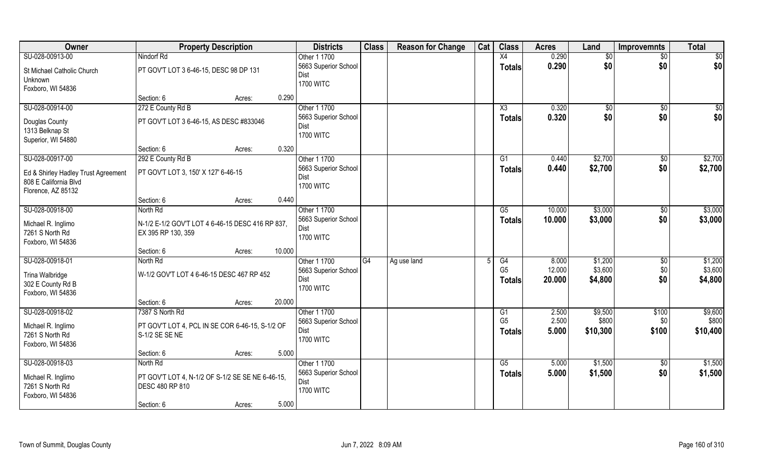| Owner                                 | <b>Property Description</b>                                         |        |        | <b>Districts</b>     | <b>Class</b> | <b>Reason for Change</b> | Cat | <b>Class</b>   | <b>Acres</b> | Land            | <b>Improvemnts</b> | <b>Total</b> |
|---------------------------------------|---------------------------------------------------------------------|--------|--------|----------------------|--------------|--------------------------|-----|----------------|--------------|-----------------|--------------------|--------------|
| SU-028-00913-00                       | Nindorf Rd                                                          |        |        | Other 1 1700         |              |                          |     | X4             | 0.290        | $\overline{50}$ | \$0                | $\sqrt{50}$  |
| St Michael Catholic Church            | PT GOV'T LOT 3 6-46-15, DESC 98 DP 131                              |        |        | 5663 Superior School |              |                          |     | <b>Totals</b>  | 0.290        | \$0             | \$0                | \$0          |
| Unknown                               |                                                                     |        |        | Dist                 |              |                          |     |                |              |                 |                    |              |
| Foxboro, WI 54836                     |                                                                     |        |        | <b>1700 WITC</b>     |              |                          |     |                |              |                 |                    |              |
|                                       | Section: 6                                                          | Acres: | 0.290  |                      |              |                          |     |                |              |                 |                    |              |
| SU-028-00914-00                       | 272 E County Rd B                                                   |        |        | Other 1 1700         |              |                          |     | X3             | 0.320        | $\sqrt[6]{}$    | $\sqrt{6}$         | \$0          |
| Douglas County                        | PT GOV'T LOT 3 6-46-15, AS DESC #833046                             |        |        | 5663 Superior School |              |                          |     | Totals         | 0.320        | \$0             | \$0                | \$0          |
| 1313 Belknap St                       |                                                                     |        |        | Dist                 |              |                          |     |                |              |                 |                    |              |
| Superior, WI 54880                    |                                                                     |        |        | <b>1700 WITC</b>     |              |                          |     |                |              |                 |                    |              |
|                                       | Section: 6                                                          | Acres: | 0.320  |                      |              |                          |     |                |              |                 |                    |              |
| SU-028-00917-00                       | 292 E County Rd B                                                   |        |        | Other 1 1700         |              |                          |     | G1             | 0.440        | \$2,700         | $\sqrt[6]{30}$     | \$2,700      |
| Ed & Shirley Hadley Trust Agreement   | PT GOV'T LOT 3, 150' X 127' 6-46-15                                 |        |        | 5663 Superior School |              |                          |     | Totals         | 0.440        | \$2,700         | \$0                | \$2,700      |
| 808 E California Blvd                 |                                                                     |        |        | Dist                 |              |                          |     |                |              |                 |                    |              |
| Florence, AZ 85132                    |                                                                     |        |        | <b>1700 WITC</b>     |              |                          |     |                |              |                 |                    |              |
|                                       | Section: 6                                                          | Acres: | 0.440  |                      |              |                          |     |                |              |                 |                    |              |
| SU-028-00918-00                       | North Rd                                                            |        |        | Other 1 1700         |              |                          |     | G5             | 10.000       | \$3,000         | $\sqrt[6]{30}$     | \$3,000      |
| Michael R. Inglimo                    | N-1/2 E-1/2 GOV'T LOT 4 6-46-15 DESC 416 RP 837,                    |        |        | 5663 Superior School |              |                          |     | <b>Totals</b>  | 10.000       | \$3,000         | \$0                | \$3,000      |
| 7261 S North Rd                       | EX 395 RP 130, 359                                                  |        |        | Dist                 |              |                          |     |                |              |                 |                    |              |
| Foxboro, WI 54836                     |                                                                     |        |        | <b>1700 WITC</b>     |              |                          |     |                |              |                 |                    |              |
|                                       | Section: 6                                                          | Acres: | 10.000 |                      |              |                          |     |                |              |                 |                    |              |
| SU-028-00918-01                       | North Rd                                                            |        |        | Other 1 1700         | G4           | Ag use land              |     | G4             | 8.000        | \$1,200         | \$0                | \$1,200      |
|                                       | W-1/2 GOV'T LOT 4 6-46-15 DESC 467 RP 452                           |        |        | 5663 Superior School |              |                          |     | G <sub>5</sub> | 12.000       | \$3,600         | \$0                | \$3,600      |
| Trina Walbridge<br>302 E County Rd B  |                                                                     |        |        | Dist                 |              |                          |     | <b>Totals</b>  | 20.000       | \$4,800         | \$0                | \$4,800      |
| Foxboro, WI 54836                     |                                                                     |        |        | <b>1700 WITC</b>     |              |                          |     |                |              |                 |                    |              |
|                                       | Section: 6                                                          | Acres: | 20.000 |                      |              |                          |     |                |              |                 |                    |              |
| SU-028-00918-02                       | 7387 S North Rd                                                     |        |        | Other 1 1700         |              |                          |     | G1             | 2.500        | \$9,500         | \$100              | \$9,600      |
| Michael R. Inglimo                    | PT GOV'T LOT 4, PCL IN SE COR 6-46-15, S-1/2 OF                     |        |        | 5663 Superior School |              |                          |     | G <sub>5</sub> | 2.500        | \$800           | \$0                | \$800        |
| 7261 S North Rd                       | S-1/2 SE SE NE                                                      |        |        | Dist                 |              |                          |     | <b>Totals</b>  | 5.000        | \$10,300        | \$100              | \$10,400     |
| Foxboro, WI 54836                     |                                                                     |        |        | <b>1700 WITC</b>     |              |                          |     |                |              |                 |                    |              |
|                                       | Section: 6                                                          | Acres: | 5.000  |                      |              |                          |     |                |              |                 |                    |              |
| SU-028-00918-03                       | North Rd                                                            |        |        | Other 1 1700         |              |                          |     | G5             | 5.000        | \$1,500         | \$0                | \$1,500      |
|                                       |                                                                     |        |        | 5663 Superior School |              |                          |     | Totals         | 5.000        | \$1,500         | \$0                | \$1,500      |
| Michael R. Inglimo<br>7261 S North Rd | PT GOV'T LOT 4, N-1/2 OF S-1/2 SE SE NE 6-46-15,<br>DESC 480 RP 810 |        |        | Dist                 |              |                          |     |                |              |                 |                    |              |
| Foxboro, WI 54836                     |                                                                     |        |        | <b>1700 WITC</b>     |              |                          |     |                |              |                 |                    |              |
|                                       | Section: 6                                                          | Acres: | 5.000  |                      |              |                          |     |                |              |                 |                    |              |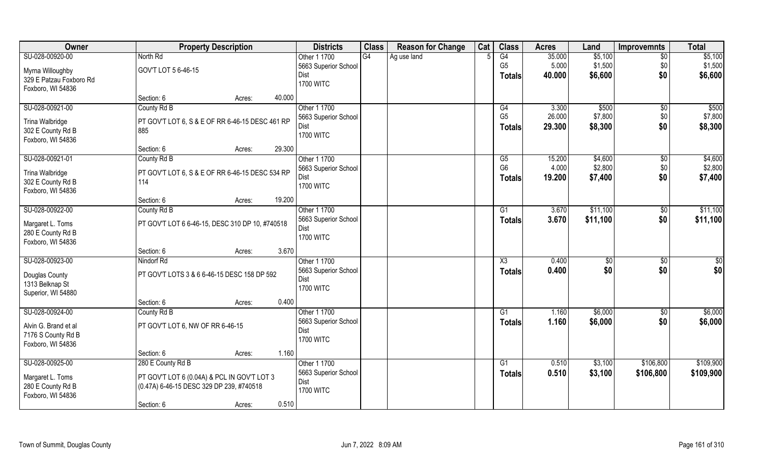| Owner                   | <b>Property Description</b>                     | <b>Districts</b>     | <b>Class</b> | <b>Reason for Change</b> | Cat | <b>Class</b>           | <b>Acres</b> | Land          | <b>Improvemnts</b> | <b>Total</b>    |
|-------------------------|-------------------------------------------------|----------------------|--------------|--------------------------|-----|------------------------|--------------|---------------|--------------------|-----------------|
| SU-028-00920-00         | North Rd                                        | Other 1 1700         | G4           | Ag use land              |     | G4                     | 35.000       | \$5,100       | $\overline{30}$    | \$5,100         |
| Myrna Willoughby        | GOV'T LOT 5 6-46-15                             | 5663 Superior School |              |                          |     | G <sub>5</sub>         | 5.000        | \$1,500       | \$0                | \$1,500         |
| 329 E Patzau Foxboro Rd |                                                 | Dist                 |              |                          |     | <b>Totals</b>          | 40.000       | \$6,600       | \$0                | \$6,600         |
| Foxboro, WI 54836       |                                                 | <b>1700 WITC</b>     |              |                          |     |                        |              |               |                    |                 |
|                         | 40.000<br>Section: 6<br>Acres:                  |                      |              |                          |     |                        |              |               |                    |                 |
| SU-028-00921-00         | County Rd B                                     | Other 1 1700         |              |                          |     | G4                     | 3.300        | \$500         | \$0                | \$500           |
| Trina Walbridge         | PT GOV'T LOT 6, S & E OF RR 6-46-15 DESC 461 RP | 5663 Superior School |              |                          |     | G <sub>5</sub>         | 26.000       | \$7,800       | \$0                | \$7,800         |
| 302 E County Rd B       | 885                                             | Dist                 |              |                          |     | Totals                 | 29.300       | \$8,300       | \$0                | \$8,300         |
| Foxboro, WI 54836       |                                                 | <b>1700 WITC</b>     |              |                          |     |                        |              |               |                    |                 |
|                         | 29.300<br>Section: 6<br>Acres:                  |                      |              |                          |     |                        |              |               |                    |                 |
| SU-028-00921-01         | County Rd B                                     | Other 1 1700         |              |                          |     | G5                     | 15.200       | \$4,600       | $\sqrt[6]{3}$      | \$4,600         |
| Trina Walbridge         | PT GOV'T LOT 6, S & E OF RR 6-46-15 DESC 534 RP | 5663 Superior School |              |                          |     | G <sub>6</sub>         | 4.000        | \$2,800       | \$0                | \$2,800         |
| 302 E County Rd B       | 114                                             | Dist                 |              |                          |     | <b>Totals</b>          | 19.200       | \$7,400       | \$0                | \$7,400         |
| Foxboro, WI 54836       |                                                 | <b>1700 WITC</b>     |              |                          |     |                        |              |               |                    |                 |
|                         | 19.200<br>Section: 6<br>Acres:                  |                      |              |                          |     |                        |              |               |                    |                 |
| SU-028-00922-00         | County Rd B                                     | Other 1 1700         |              |                          |     | G1                     | 3.670        | \$11,100      | $\sqrt[6]{3}$      | \$11,100        |
| Margaret L. Toms        | PT GOV'T LOT 6 6-46-15, DESC 310 DP 10, #740518 | 5663 Superior School |              |                          |     | <b>Totals</b>          | 3.670        | \$11,100      | \$0                | \$11,100        |
| 280 E County Rd B       |                                                 | Dist                 |              |                          |     |                        |              |               |                    |                 |
| Foxboro, WI 54836       |                                                 | <b>1700 WITC</b>     |              |                          |     |                        |              |               |                    |                 |
|                         | 3.670<br>Section: 6<br>Acres:                   |                      |              |                          |     |                        |              |               |                    |                 |
| SU-028-00923-00         | Nindorf Rd                                      | Other 1 1700         |              |                          |     | $\overline{\text{X3}}$ | 0.400        | $\sqrt[6]{3}$ | \$0                | $\overline{50}$ |
| Douglas County          | PT GOV'T LOTS 3 & 6 6-46-15 DESC 158 DP 592     | 5663 Superior School |              |                          |     | <b>Totals</b>          | 0.400        | \$0           | \$0                | \$0             |
| 1313 Belknap St         |                                                 | Dist                 |              |                          |     |                        |              |               |                    |                 |
| Superior, WI 54880      |                                                 | <b>1700 WITC</b>     |              |                          |     |                        |              |               |                    |                 |
|                         | 0.400<br>Section: 6<br>Acres:                   |                      |              |                          |     |                        |              |               |                    |                 |
| SU-028-00924-00         | County Rd B                                     | Other 1 1700         |              |                          |     | G1                     | 1.160        | \$6,000       | \$0                | \$6,000         |
| Alvin G. Brand et al    | PT GOV'T LOT 6, NW OF RR 6-46-15                | 5663 Superior School |              |                          |     | <b>Totals</b>          | 1.160        | \$6,000       | \$0                | \$6,000         |
| 7176 S County Rd B      |                                                 | Dist                 |              |                          |     |                        |              |               |                    |                 |
| Foxboro, WI 54836       |                                                 | <b>1700 WITC</b>     |              |                          |     |                        |              |               |                    |                 |
|                         | 1.160<br>Section: 6<br>Acres:                   |                      |              |                          |     |                        |              |               |                    |                 |
| SU-028-00925-00         | 280 E County Rd B                               | Other 1 1700         |              |                          |     | G1                     | 0.510        | \$3,100       | \$106,800          | \$109,900       |
| Margaret L. Toms        | PT GOV'T LOT 6 (0.04A) & PCL IN GOV'T LOT 3     | 5663 Superior School |              |                          |     | Totals                 | 0.510        | \$3,100       | \$106,800          | \$109,900       |
| 280 E County Rd B       | (0.47A) 6-46-15 DESC 329 DP 239, #740518        | Dist                 |              |                          |     |                        |              |               |                    |                 |
| Foxboro, WI 54836       |                                                 | <b>1700 WITC</b>     |              |                          |     |                        |              |               |                    |                 |
|                         | 0.510<br>Section: 6<br>Acres:                   |                      |              |                          |     |                        |              |               |                    |                 |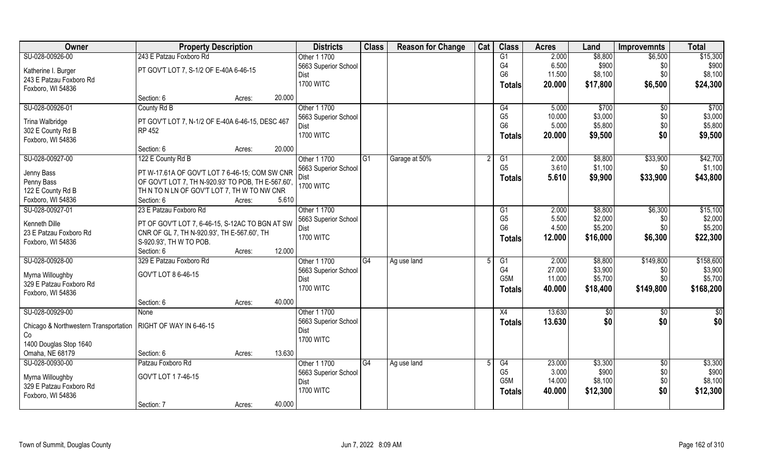| Owner                                                           | <b>Property Description</b>                                                                         |                  | <b>Districts</b>     | <b>Class</b> | <b>Reason for Change</b> | Cat | <b>Class</b>     | <b>Acres</b> | Land     | <b>Improvemnts</b> | <b>Total</b> |
|-----------------------------------------------------------------|-----------------------------------------------------------------------------------------------------|------------------|----------------------|--------------|--------------------------|-----|------------------|--------------|----------|--------------------|--------------|
| SU-028-00926-00                                                 | 243 E Patzau Foxboro Rd                                                                             |                  | Other 1 1700         |              |                          |     | G1               | 2.000        | \$8,800  | \$6,500            | \$15,300     |
| Katherine I. Burger                                             | PT GOV'T LOT 7, S-1/2 OF E-40A 6-46-15                                                              |                  | 5663 Superior School |              |                          |     | G4               | 6.500        | \$900    | \$0                | \$900        |
| 243 E Patzau Foxboro Rd                                         |                                                                                                     |                  | Dist                 |              |                          |     | G <sub>6</sub>   | 11.500       | \$8,100  | \$0                | \$8,100      |
| Foxboro, WI 54836                                               |                                                                                                     |                  | <b>1700 WITC</b>     |              |                          |     | <b>Totals</b>    | 20.000       | \$17,800 | \$6,500            | \$24,300     |
|                                                                 | Section: 6                                                                                          | 20.000<br>Acres: |                      |              |                          |     |                  |              |          |                    |              |
| SU-028-00926-01                                                 | County Rd B                                                                                         |                  | Other 1 1700         |              |                          |     | G4               | 5.000        | \$700    | $\sqrt[6]{}$       | \$700        |
| Trina Walbridge                                                 | PT GOV'T LOT 7, N-1/2 OF E-40A 6-46-15, DESC 467                                                    |                  | 5663 Superior School |              |                          |     | G <sub>5</sub>   | 10.000       | \$3,000  | \$0                | \$3,000      |
| 302 E County Rd B                                               | <b>RP 452</b>                                                                                       |                  | Dist                 |              |                          |     | G <sub>6</sub>   | 5.000        | \$5,800  | \$0                | \$5,800      |
| Foxboro, WI 54836                                               |                                                                                                     |                  | <b>1700 WITC</b>     |              |                          |     | <b>Totals</b>    | 20.000       | \$9,500  | \$0                | \$9,500      |
|                                                                 | Section: 6                                                                                          | 20.000<br>Acres: |                      |              |                          |     |                  |              |          |                    |              |
| SU-028-00927-00                                                 | 122 E County Rd B                                                                                   |                  | Other 1 1700         | G1           | Garage at 50%            |     | G1               | 2.000        | \$8,800  | \$33,900           | \$42,700     |
|                                                                 |                                                                                                     |                  | 5663 Superior School |              |                          |     | G <sub>5</sub>   | 3.610        | \$1,100  | \$0                | \$1,100      |
| Jenny Bass<br>Penny Bass                                        | PT W-17.61A OF GOV'T LOT 7 6-46-15; COM SW CNR<br>OF GOV'T LOT 7, TH N-920.93' TO POB, TH E-567.60' |                  | Dist                 |              |                          |     | <b>Totals</b>    | 5.610        | \$9,900  | \$33,900           | \$43,800     |
| 122 E County Rd B                                               | TH N TO N LN OF GOV'T LOT 7, TH W TO NW CNR                                                         |                  | <b>1700 WITC</b>     |              |                          |     |                  |              |          |                    |              |
| Foxboro, WI 54836                                               | Section: 6                                                                                          | 5.610<br>Acres:  |                      |              |                          |     |                  |              |          |                    |              |
| SU-028-00927-01                                                 | 23 E Patzau Foxboro Rd                                                                              |                  | Other 1 1700         |              |                          |     | G1               | 2.000        | \$8,800  | \$6,300            | \$15,100     |
|                                                                 |                                                                                                     |                  | 5663 Superior School |              |                          |     | G <sub>5</sub>   | 5.500        | \$2,000  | \$0                | \$2,000      |
| Kenneth Dille                                                   | PT OF GOV'T LOT 7, 6-46-15, S-12AC TO BGN AT SW                                                     |                  | Dist                 |              |                          |     | G <sub>6</sub>   | 4.500        | \$5,200  | \$0                | \$5,200      |
| 23 E Patzau Foxboro Rd                                          | CNR OF GL 7, TH N-920.93', TH E-567.60', TH                                                         |                  | <b>1700 WITC</b>     |              |                          |     | <b>Totals</b>    | 12.000       | \$16,000 | \$6,300            | \$22,300     |
| Foxboro, WI 54836                                               | S-920.93', TH W TO POB.                                                                             |                  |                      |              |                          |     |                  |              |          |                    |              |
|                                                                 | Section: 6                                                                                          | 12.000<br>Acres: |                      |              |                          |     |                  |              |          |                    |              |
| SU-028-00928-00                                                 | 329 E Patzau Foxboro Rd                                                                             |                  | Other 1 1700         | G4           | Ag use land              |     | $\overline{G1}$  | 2.000        | \$8,800  | \$149,800          | \$158,600    |
| Myrna Willoughby                                                | GOV'T LOT 8 6-46-15                                                                                 |                  | 5663 Superior School |              |                          |     | G <sub>4</sub>   | 27.000       | \$3,900  | \$0                | \$3,900      |
| 329 E Patzau Foxboro Rd                                         |                                                                                                     |                  | Dist                 |              |                          |     | G <sub>5</sub> M | 11.000       | \$5,700  | \$0                | \$5,700      |
| Foxboro, WI 54836                                               |                                                                                                     |                  | <b>1700 WITC</b>     |              |                          |     | <b>Totals</b>    | 40.000       | \$18,400 | \$149,800          | \$168,200    |
|                                                                 | Section: 6                                                                                          | 40.000<br>Acres: |                      |              |                          |     |                  |              |          |                    |              |
| SU-028-00929-00                                                 | None                                                                                                |                  | Other 1 1700         |              |                          |     | X4               | 13.630       | \$0      | \$0                | \$0          |
| Chicago & Northwestern Transportation   RIGHT OF WAY IN 6-46-15 |                                                                                                     |                  | 5663 Superior School |              |                          |     | <b>Totals</b>    | 13.630       | \$0      | \$0                | \$0          |
| Co                                                              |                                                                                                     |                  | Dist                 |              |                          |     |                  |              |          |                    |              |
| 1400 Douglas Stop 1640                                          |                                                                                                     |                  | <b>1700 WITC</b>     |              |                          |     |                  |              |          |                    |              |
| Omaha, NE 68179                                                 | Section: 6                                                                                          | 13.630<br>Acres: |                      |              |                          |     |                  |              |          |                    |              |
| SU-028-00930-00                                                 | Patzau Foxboro Rd                                                                                   |                  | Other 1 1700         | G4           | Ag use land              |     | G4               | 23.000       | \$3,300  | $\sqrt{6}$         | \$3,300      |
| Myrna Willoughby                                                | GOV'T LOT 17-46-15                                                                                  |                  | 5663 Superior School |              |                          |     | G <sub>5</sub>   | 3.000        | \$900    | \$0                | \$900        |
| 329 E Patzau Foxboro Rd                                         |                                                                                                     |                  | Dist                 |              |                          |     | G <sub>5</sub> M | 14.000       | \$8,100  | $$0$$              | \$8,100      |
| Foxboro, WI 54836                                               |                                                                                                     |                  | <b>1700 WITC</b>     |              |                          |     | <b>Totals</b>    | 40.000       | \$12,300 | \$0                | \$12,300     |
|                                                                 | Section: 7                                                                                          | 40.000<br>Acres: |                      |              |                          |     |                  |              |          |                    |              |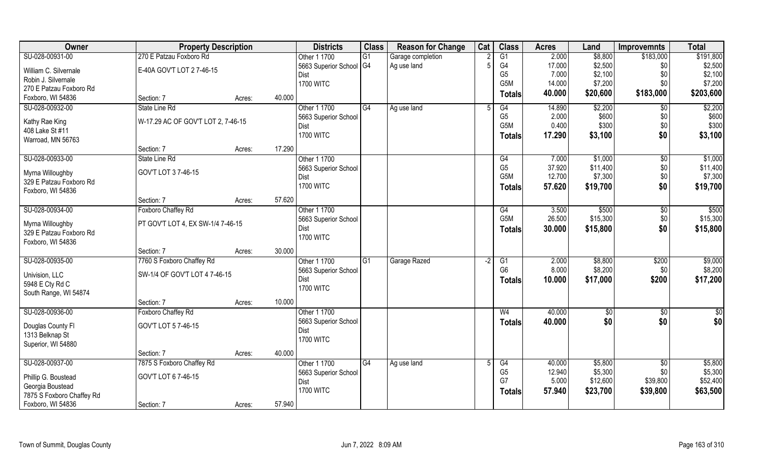| G1<br>2.000<br>\$191,800<br>SU-028-00931-00<br>270 E Patzau Foxboro Rd<br>\$8,800<br>\$183,000<br>Other 1 1700<br>G1<br>Garage completion<br>5663 Superior School G4<br>G4<br>17.000<br>\$2,500<br>\$2,500<br>Ag use land<br>\$0<br>William C. Silvernale<br>E-40A GOV'T LOT 27-46-15<br>G <sub>5</sub><br>7.000<br>\$2,100<br>\$0<br>Dist<br>Robin J. Silvernale<br>G <sub>5</sub> M<br>14.000<br>\$7,200<br>\$0<br><b>1700 WITC</b><br>270 E Patzau Foxboro Rd<br>\$183,000<br>\$203,600<br>40.000<br>\$20,600<br>Totals<br>Foxboro, WI 54836<br>40.000<br>Section: 7<br>Acres:<br>SU-028-00932-00<br>Other 1 1700<br>G4<br>14.890<br>\$2,200<br>State Line Rd<br>G4<br>$\overline{50}$<br>Ag use land<br>G <sub>5</sub><br>\$600<br>2.000<br>\$0<br>5663 Superior School<br>W-17.29 AC OF GOV'T LOT 2, 7-46-15<br>Kathy Rae King<br>G <sub>5</sub> M<br>0.400<br>\$300<br>\$0<br><b>Dist</b><br>408 Lake St #11<br>\$0<br><b>1700 WITC</b><br>17.290<br>\$3,100<br><b>Totals</b><br>Warroad, MN 56763<br>17.290<br>Section: 7<br>Acres:<br>SU-028-00933-00<br>State Line Rd<br>Other 1 1700<br>7.000<br>\$1,000<br>\$0<br>G4<br>G <sub>5</sub><br>37.920<br>\$11,400<br>\$0<br>5663 Superior School<br>GOV'T LOT 37-46-15<br>Myrna Willoughby<br>G <sub>5</sub> M<br>12.700<br>\$7,300<br>\$0<br>Dist<br>329 E Patzau Foxboro Rd<br><b>1700 WITC</b><br>\$0<br>\$19,700<br>57.620<br>\$19,700<br>Totals<br>Foxboro, WI 54836<br>57.620<br>Section: 7<br>Acres:<br>SU-028-00934-00<br>Foxboro Chaffey Rd<br>Other 1 1700<br>3.500<br>\$500<br>G4<br>$\sqrt[6]{3}$<br>G5M<br>26.500<br>\$15,300<br>\$0<br>5663 Superior School<br>PT GOV'T LOT 4, EX SW-1/4 7-46-15<br>Myrna Willoughby<br>\$0<br>30.000<br>\$15,800<br>\$15,800<br>Dist<br><b>Totals</b><br>329 E Patzau Foxboro Rd<br><b>1700 WITC</b><br>Foxboro, WI 54836<br>30.000<br>Section: 7<br>Acres:<br>SU-028-00935-00<br>7760 S Foxboro Chaffey Rd<br>2.000<br>\$8,800<br>\$200<br>Other 1 1700<br>$\overline{G1}$<br>Garage Razed<br>$\overline{G1}$<br>$-2$<br>G <sub>6</sub><br>8.000<br>\$8,200<br>\$0<br>5663 Superior School<br>SW-1/4 OF GOV'T LOT 4 7-46-15<br>Univision, LLC<br>\$200<br>Dist<br>10.000<br>\$17,000<br>Totals<br>5948 E Cty Rd C<br><b>1700 WITC</b><br>South Range, WI 54874<br>10.000<br>Section: 7<br>Acres:<br>SU-028-00936-00<br>Other 1 1700<br>W <sub>4</sub><br>40.000<br>$\sqrt{$0}$<br>Foxboro Chaffey Rd<br>\$0<br>\$0<br>\$0<br>40.000<br>5663 Superior School<br><b>Totals</b><br>Douglas County Fl<br>GOV'T LOT 57-46-15<br>Dist<br>1313 Belknap St<br><b>1700 WITC</b><br>Superior, WI 54880<br>40.000<br>Section: 7<br>Acres:<br>SU-028-00937-00<br>7875 S Foxboro Chaffey Rd<br>Other 1 1700<br>G4<br>\$5,800<br>G4<br>40.000<br>$\sqrt{6}$<br>Ag use land<br>G <sub>5</sub><br>12.940<br>\$5,300<br>\$0<br>5663 Superior School<br>GOV'T LOT 6 7-46-15<br>Phillip G. Boustead<br>G7<br>5.000<br>\$12,600<br>\$39,800<br>Dist<br>Georgia Boustead | Owner | <b>Property Description</b> |  | <b>Districts</b> | <b>Class</b> | <b>Reason for Change</b> | Cat | <b>Class</b>  | <b>Acres</b> | Land     | <b>Improvemnts</b> | <b>Total</b> |
|-----------------------------------------------------------------------------------------------------------------------------------------------------------------------------------------------------------------------------------------------------------------------------------------------------------------------------------------------------------------------------------------------------------------------------------------------------------------------------------------------------------------------------------------------------------------------------------------------------------------------------------------------------------------------------------------------------------------------------------------------------------------------------------------------------------------------------------------------------------------------------------------------------------------------------------------------------------------------------------------------------------------------------------------------------------------------------------------------------------------------------------------------------------------------------------------------------------------------------------------------------------------------------------------------------------------------------------------------------------------------------------------------------------------------------------------------------------------------------------------------------------------------------------------------------------------------------------------------------------------------------------------------------------------------------------------------------------------------------------------------------------------------------------------------------------------------------------------------------------------------------------------------------------------------------------------------------------------------------------------------------------------------------------------------------------------------------------------------------------------------------------------------------------------------------------------------------------------------------------------------------------------------------------------------------------------------------------------------------------------------------------------------------------------------------------------------------------------------------------------------------------------------------------------------------------------------------------------------------------------------------------------------------------------------------------------------------------------------------------------------------------------------------------------------------------------------------------------------------------------------------------------------------------------------------------------------------------|-------|-----------------------------|--|------------------|--------------|--------------------------|-----|---------------|--------------|----------|--------------------|--------------|
| \$2,100<br>\$7,200<br>\$2,200                                                                                                                                                                                                                                                                                                                                                                                                                                                                                                                                                                                                                                                                                                                                                                                                                                                                                                                                                                                                                                                                                                                                                                                                                                                                                                                                                                                                                                                                                                                                                                                                                                                                                                                                                                                                                                                                                                                                                                                                                                                                                                                                                                                                                                                                                                                                                                                                                                                                                                                                                                                                                                                                                                                                                                                                                                                                                                                             |       |                             |  |                  |              |                          |     |               |              |          |                    |              |
|                                                                                                                                                                                                                                                                                                                                                                                                                                                                                                                                                                                                                                                                                                                                                                                                                                                                                                                                                                                                                                                                                                                                                                                                                                                                                                                                                                                                                                                                                                                                                                                                                                                                                                                                                                                                                                                                                                                                                                                                                                                                                                                                                                                                                                                                                                                                                                                                                                                                                                                                                                                                                                                                                                                                                                                                                                                                                                                                                           |       |                             |  |                  |              |                          |     |               |              |          |                    |              |
|                                                                                                                                                                                                                                                                                                                                                                                                                                                                                                                                                                                                                                                                                                                                                                                                                                                                                                                                                                                                                                                                                                                                                                                                                                                                                                                                                                                                                                                                                                                                                                                                                                                                                                                                                                                                                                                                                                                                                                                                                                                                                                                                                                                                                                                                                                                                                                                                                                                                                                                                                                                                                                                                                                                                                                                                                                                                                                                                                           |       |                             |  |                  |              |                          |     |               |              |          |                    |              |
|                                                                                                                                                                                                                                                                                                                                                                                                                                                                                                                                                                                                                                                                                                                                                                                                                                                                                                                                                                                                                                                                                                                                                                                                                                                                                                                                                                                                                                                                                                                                                                                                                                                                                                                                                                                                                                                                                                                                                                                                                                                                                                                                                                                                                                                                                                                                                                                                                                                                                                                                                                                                                                                                                                                                                                                                                                                                                                                                                           |       |                             |  |                  |              |                          |     |               |              |          |                    |              |
|                                                                                                                                                                                                                                                                                                                                                                                                                                                                                                                                                                                                                                                                                                                                                                                                                                                                                                                                                                                                                                                                                                                                                                                                                                                                                                                                                                                                                                                                                                                                                                                                                                                                                                                                                                                                                                                                                                                                                                                                                                                                                                                                                                                                                                                                                                                                                                                                                                                                                                                                                                                                                                                                                                                                                                                                                                                                                                                                                           |       |                             |  |                  |              |                          |     |               |              |          |                    |              |
| \$600<br>\$300<br>\$3,100<br>\$1,000<br>\$11,400<br>\$7,300<br>\$500<br>\$15,300<br>\$9,000<br>\$8,200<br>\$17,200<br>\$0<br>\$0 <br>\$5,800<br>\$5,300<br>\$52,400                                                                                                                                                                                                                                                                                                                                                                                                                                                                                                                                                                                                                                                                                                                                                                                                                                                                                                                                                                                                                                                                                                                                                                                                                                                                                                                                                                                                                                                                                                                                                                                                                                                                                                                                                                                                                                                                                                                                                                                                                                                                                                                                                                                                                                                                                                                                                                                                                                                                                                                                                                                                                                                                                                                                                                                       |       |                             |  |                  |              |                          |     |               |              |          |                    |              |
|                                                                                                                                                                                                                                                                                                                                                                                                                                                                                                                                                                                                                                                                                                                                                                                                                                                                                                                                                                                                                                                                                                                                                                                                                                                                                                                                                                                                                                                                                                                                                                                                                                                                                                                                                                                                                                                                                                                                                                                                                                                                                                                                                                                                                                                                                                                                                                                                                                                                                                                                                                                                                                                                                                                                                                                                                                                                                                                                                           |       |                             |  |                  |              |                          |     |               |              |          |                    |              |
|                                                                                                                                                                                                                                                                                                                                                                                                                                                                                                                                                                                                                                                                                                                                                                                                                                                                                                                                                                                                                                                                                                                                                                                                                                                                                                                                                                                                                                                                                                                                                                                                                                                                                                                                                                                                                                                                                                                                                                                                                                                                                                                                                                                                                                                                                                                                                                                                                                                                                                                                                                                                                                                                                                                                                                                                                                                                                                                                                           |       |                             |  |                  |              |                          |     |               |              |          |                    |              |
|                                                                                                                                                                                                                                                                                                                                                                                                                                                                                                                                                                                                                                                                                                                                                                                                                                                                                                                                                                                                                                                                                                                                                                                                                                                                                                                                                                                                                                                                                                                                                                                                                                                                                                                                                                                                                                                                                                                                                                                                                                                                                                                                                                                                                                                                                                                                                                                                                                                                                                                                                                                                                                                                                                                                                                                                                                                                                                                                                           |       |                             |  |                  |              |                          |     |               |              |          |                    |              |
|                                                                                                                                                                                                                                                                                                                                                                                                                                                                                                                                                                                                                                                                                                                                                                                                                                                                                                                                                                                                                                                                                                                                                                                                                                                                                                                                                                                                                                                                                                                                                                                                                                                                                                                                                                                                                                                                                                                                                                                                                                                                                                                                                                                                                                                                                                                                                                                                                                                                                                                                                                                                                                                                                                                                                                                                                                                                                                                                                           |       |                             |  |                  |              |                          |     |               |              |          |                    |              |
|                                                                                                                                                                                                                                                                                                                                                                                                                                                                                                                                                                                                                                                                                                                                                                                                                                                                                                                                                                                                                                                                                                                                                                                                                                                                                                                                                                                                                                                                                                                                                                                                                                                                                                                                                                                                                                                                                                                                                                                                                                                                                                                                                                                                                                                                                                                                                                                                                                                                                                                                                                                                                                                                                                                                                                                                                                                                                                                                                           |       |                             |  |                  |              |                          |     |               |              |          |                    |              |
|                                                                                                                                                                                                                                                                                                                                                                                                                                                                                                                                                                                                                                                                                                                                                                                                                                                                                                                                                                                                                                                                                                                                                                                                                                                                                                                                                                                                                                                                                                                                                                                                                                                                                                                                                                                                                                                                                                                                                                                                                                                                                                                                                                                                                                                                                                                                                                                                                                                                                                                                                                                                                                                                                                                                                                                                                                                                                                                                                           |       |                             |  |                  |              |                          |     |               |              |          |                    |              |
|                                                                                                                                                                                                                                                                                                                                                                                                                                                                                                                                                                                                                                                                                                                                                                                                                                                                                                                                                                                                                                                                                                                                                                                                                                                                                                                                                                                                                                                                                                                                                                                                                                                                                                                                                                                                                                                                                                                                                                                                                                                                                                                                                                                                                                                                                                                                                                                                                                                                                                                                                                                                                                                                                                                                                                                                                                                                                                                                                           |       |                             |  |                  |              |                          |     |               |              |          |                    |              |
|                                                                                                                                                                                                                                                                                                                                                                                                                                                                                                                                                                                                                                                                                                                                                                                                                                                                                                                                                                                                                                                                                                                                                                                                                                                                                                                                                                                                                                                                                                                                                                                                                                                                                                                                                                                                                                                                                                                                                                                                                                                                                                                                                                                                                                                                                                                                                                                                                                                                                                                                                                                                                                                                                                                                                                                                                                                                                                                                                           |       |                             |  |                  |              |                          |     |               |              |          |                    |              |
|                                                                                                                                                                                                                                                                                                                                                                                                                                                                                                                                                                                                                                                                                                                                                                                                                                                                                                                                                                                                                                                                                                                                                                                                                                                                                                                                                                                                                                                                                                                                                                                                                                                                                                                                                                                                                                                                                                                                                                                                                                                                                                                                                                                                                                                                                                                                                                                                                                                                                                                                                                                                                                                                                                                                                                                                                                                                                                                                                           |       |                             |  |                  |              |                          |     |               |              |          |                    |              |
|                                                                                                                                                                                                                                                                                                                                                                                                                                                                                                                                                                                                                                                                                                                                                                                                                                                                                                                                                                                                                                                                                                                                                                                                                                                                                                                                                                                                                                                                                                                                                                                                                                                                                                                                                                                                                                                                                                                                                                                                                                                                                                                                                                                                                                                                                                                                                                                                                                                                                                                                                                                                                                                                                                                                                                                                                                                                                                                                                           |       |                             |  |                  |              |                          |     |               |              |          |                    |              |
|                                                                                                                                                                                                                                                                                                                                                                                                                                                                                                                                                                                                                                                                                                                                                                                                                                                                                                                                                                                                                                                                                                                                                                                                                                                                                                                                                                                                                                                                                                                                                                                                                                                                                                                                                                                                                                                                                                                                                                                                                                                                                                                                                                                                                                                                                                                                                                                                                                                                                                                                                                                                                                                                                                                                                                                                                                                                                                                                                           |       |                             |  |                  |              |                          |     |               |              |          |                    |              |
|                                                                                                                                                                                                                                                                                                                                                                                                                                                                                                                                                                                                                                                                                                                                                                                                                                                                                                                                                                                                                                                                                                                                                                                                                                                                                                                                                                                                                                                                                                                                                                                                                                                                                                                                                                                                                                                                                                                                                                                                                                                                                                                                                                                                                                                                                                                                                                                                                                                                                                                                                                                                                                                                                                                                                                                                                                                                                                                                                           |       |                             |  |                  |              |                          |     |               |              |          |                    |              |
|                                                                                                                                                                                                                                                                                                                                                                                                                                                                                                                                                                                                                                                                                                                                                                                                                                                                                                                                                                                                                                                                                                                                                                                                                                                                                                                                                                                                                                                                                                                                                                                                                                                                                                                                                                                                                                                                                                                                                                                                                                                                                                                                                                                                                                                                                                                                                                                                                                                                                                                                                                                                                                                                                                                                                                                                                                                                                                                                                           |       |                             |  |                  |              |                          |     |               |              |          |                    |              |
|                                                                                                                                                                                                                                                                                                                                                                                                                                                                                                                                                                                                                                                                                                                                                                                                                                                                                                                                                                                                                                                                                                                                                                                                                                                                                                                                                                                                                                                                                                                                                                                                                                                                                                                                                                                                                                                                                                                                                                                                                                                                                                                                                                                                                                                                                                                                                                                                                                                                                                                                                                                                                                                                                                                                                                                                                                                                                                                                                           |       |                             |  |                  |              |                          |     |               |              |          |                    |              |
|                                                                                                                                                                                                                                                                                                                                                                                                                                                                                                                                                                                                                                                                                                                                                                                                                                                                                                                                                                                                                                                                                                                                                                                                                                                                                                                                                                                                                                                                                                                                                                                                                                                                                                                                                                                                                                                                                                                                                                                                                                                                                                                                                                                                                                                                                                                                                                                                                                                                                                                                                                                                                                                                                                                                                                                                                                                                                                                                                           |       |                             |  |                  |              |                          |     |               |              |          |                    |              |
|                                                                                                                                                                                                                                                                                                                                                                                                                                                                                                                                                                                                                                                                                                                                                                                                                                                                                                                                                                                                                                                                                                                                                                                                                                                                                                                                                                                                                                                                                                                                                                                                                                                                                                                                                                                                                                                                                                                                                                                                                                                                                                                                                                                                                                                                                                                                                                                                                                                                                                                                                                                                                                                                                                                                                                                                                                                                                                                                                           |       |                             |  |                  |              |                          |     |               |              |          |                    |              |
|                                                                                                                                                                                                                                                                                                                                                                                                                                                                                                                                                                                                                                                                                                                                                                                                                                                                                                                                                                                                                                                                                                                                                                                                                                                                                                                                                                                                                                                                                                                                                                                                                                                                                                                                                                                                                                                                                                                                                                                                                                                                                                                                                                                                                                                                                                                                                                                                                                                                                                                                                                                                                                                                                                                                                                                                                                                                                                                                                           |       |                             |  |                  |              |                          |     |               |              |          |                    |              |
|                                                                                                                                                                                                                                                                                                                                                                                                                                                                                                                                                                                                                                                                                                                                                                                                                                                                                                                                                                                                                                                                                                                                                                                                                                                                                                                                                                                                                                                                                                                                                                                                                                                                                                                                                                                                                                                                                                                                                                                                                                                                                                                                                                                                                                                                                                                                                                                                                                                                                                                                                                                                                                                                                                                                                                                                                                                                                                                                                           |       |                             |  |                  |              |                          |     |               |              |          |                    |              |
|                                                                                                                                                                                                                                                                                                                                                                                                                                                                                                                                                                                                                                                                                                                                                                                                                                                                                                                                                                                                                                                                                                                                                                                                                                                                                                                                                                                                                                                                                                                                                                                                                                                                                                                                                                                                                                                                                                                                                                                                                                                                                                                                                                                                                                                                                                                                                                                                                                                                                                                                                                                                                                                                                                                                                                                                                                                                                                                                                           |       |                             |  |                  |              |                          |     |               |              |          |                    |              |
|                                                                                                                                                                                                                                                                                                                                                                                                                                                                                                                                                                                                                                                                                                                                                                                                                                                                                                                                                                                                                                                                                                                                                                                                                                                                                                                                                                                                                                                                                                                                                                                                                                                                                                                                                                                                                                                                                                                                                                                                                                                                                                                                                                                                                                                                                                                                                                                                                                                                                                                                                                                                                                                                                                                                                                                                                                                                                                                                                           |       |                             |  |                  |              |                          |     |               |              |          |                    |              |
|                                                                                                                                                                                                                                                                                                                                                                                                                                                                                                                                                                                                                                                                                                                                                                                                                                                                                                                                                                                                                                                                                                                                                                                                                                                                                                                                                                                                                                                                                                                                                                                                                                                                                                                                                                                                                                                                                                                                                                                                                                                                                                                                                                                                                                                                                                                                                                                                                                                                                                                                                                                                                                                                                                                                                                                                                                                                                                                                                           |       |                             |  |                  |              |                          |     |               |              |          |                    |              |
|                                                                                                                                                                                                                                                                                                                                                                                                                                                                                                                                                                                                                                                                                                                                                                                                                                                                                                                                                                                                                                                                                                                                                                                                                                                                                                                                                                                                                                                                                                                                                                                                                                                                                                                                                                                                                                                                                                                                                                                                                                                                                                                                                                                                                                                                                                                                                                                                                                                                                                                                                                                                                                                                                                                                                                                                                                                                                                                                                           |       |                             |  |                  |              |                          |     |               |              |          |                    |              |
|                                                                                                                                                                                                                                                                                                                                                                                                                                                                                                                                                                                                                                                                                                                                                                                                                                                                                                                                                                                                                                                                                                                                                                                                                                                                                                                                                                                                                                                                                                                                                                                                                                                                                                                                                                                                                                                                                                                                                                                                                                                                                                                                                                                                                                                                                                                                                                                                                                                                                                                                                                                                                                                                                                                                                                                                                                                                                                                                                           |       |                             |  |                  |              |                          |     |               |              |          |                    |              |
|                                                                                                                                                                                                                                                                                                                                                                                                                                                                                                                                                                                                                                                                                                                                                                                                                                                                                                                                                                                                                                                                                                                                                                                                                                                                                                                                                                                                                                                                                                                                                                                                                                                                                                                                                                                                                                                                                                                                                                                                                                                                                                                                                                                                                                                                                                                                                                                                                                                                                                                                                                                                                                                                                                                                                                                                                                                                                                                                                           |       |                             |  |                  |              |                          |     |               |              |          |                    |              |
|                                                                                                                                                                                                                                                                                                                                                                                                                                                                                                                                                                                                                                                                                                                                                                                                                                                                                                                                                                                                                                                                                                                                                                                                                                                                                                                                                                                                                                                                                                                                                                                                                                                                                                                                                                                                                                                                                                                                                                                                                                                                                                                                                                                                                                                                                                                                                                                                                                                                                                                                                                                                                                                                                                                                                                                                                                                                                                                                                           |       |                             |  |                  |              |                          |     |               |              |          |                    |              |
|                                                                                                                                                                                                                                                                                                                                                                                                                                                                                                                                                                                                                                                                                                                                                                                                                                                                                                                                                                                                                                                                                                                                                                                                                                                                                                                                                                                                                                                                                                                                                                                                                                                                                                                                                                                                                                                                                                                                                                                                                                                                                                                                                                                                                                                                                                                                                                                                                                                                                                                                                                                                                                                                                                                                                                                                                                                                                                                                                           |       |                             |  |                  |              |                          |     |               |              |          |                    |              |
|                                                                                                                                                                                                                                                                                                                                                                                                                                                                                                                                                                                                                                                                                                                                                                                                                                                                                                                                                                                                                                                                                                                                                                                                                                                                                                                                                                                                                                                                                                                                                                                                                                                                                                                                                                                                                                                                                                                                                                                                                                                                                                                                                                                                                                                                                                                                                                                                                                                                                                                                                                                                                                                                                                                                                                                                                                                                                                                                                           |       |                             |  |                  |              |                          |     |               |              |          |                    |              |
|                                                                                                                                                                                                                                                                                                                                                                                                                                                                                                                                                                                                                                                                                                                                                                                                                                                                                                                                                                                                                                                                                                                                                                                                                                                                                                                                                                                                                                                                                                                                                                                                                                                                                                                                                                                                                                                                                                                                                                                                                                                                                                                                                                                                                                                                                                                                                                                                                                                                                                                                                                                                                                                                                                                                                                                                                                                                                                                                                           |       |                             |  |                  |              |                          |     |               |              |          |                    |              |
| 7875 S Foxboro Chaffey Rd                                                                                                                                                                                                                                                                                                                                                                                                                                                                                                                                                                                                                                                                                                                                                                                                                                                                                                                                                                                                                                                                                                                                                                                                                                                                                                                                                                                                                                                                                                                                                                                                                                                                                                                                                                                                                                                                                                                                                                                                                                                                                                                                                                                                                                                                                                                                                                                                                                                                                                                                                                                                                                                                                                                                                                                                                                                                                                                                 |       |                             |  | <b>1700 WITC</b> |              |                          |     | <b>Totals</b> | 57.940       | \$23,700 | \$39,800           | \$63,500     |
| 57.940<br>Foxboro, WI 54836<br>Section: 7<br>Acres:                                                                                                                                                                                                                                                                                                                                                                                                                                                                                                                                                                                                                                                                                                                                                                                                                                                                                                                                                                                                                                                                                                                                                                                                                                                                                                                                                                                                                                                                                                                                                                                                                                                                                                                                                                                                                                                                                                                                                                                                                                                                                                                                                                                                                                                                                                                                                                                                                                                                                                                                                                                                                                                                                                                                                                                                                                                                                                       |       |                             |  |                  |              |                          |     |               |              |          |                    |              |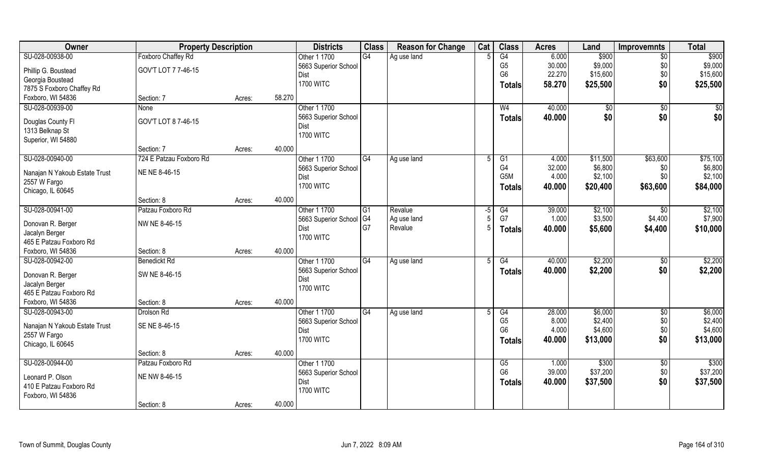| Owner                                     | <b>Property Description</b> |        |        | <b>Districts</b>             | <b>Class</b> | <b>Reason for Change</b> | Cat | <b>Class</b>          | <b>Acres</b> | Land     | <b>Improvemnts</b> | <b>Total</b> |
|-------------------------------------------|-----------------------------|--------|--------|------------------------------|--------------|--------------------------|-----|-----------------------|--------------|----------|--------------------|--------------|
| SU-028-00938-00                           | <b>Foxboro Chaffey Rd</b>   |        |        | Other 1 1700                 | G4           | Ag use land              |     | G4                    | 6.000        | \$900    | $\overline{50}$    | \$900        |
| Phillip G. Boustead                       | GOV'T LOT 7 7-46-15         |        |        | 5663 Superior School         |              |                          |     | G <sub>5</sub>        | 30.000       | \$9,000  | \$0                | \$9,000      |
| Georgia Boustead                          |                             |        |        | Dist                         |              |                          |     | G <sub>6</sub>        | 22.270       | \$15,600 | \$0                | \$15,600     |
| 7875 S Foxboro Chaffey Rd                 |                             |        |        | <b>1700 WITC</b>             |              |                          |     | Totals                | 58.270       | \$25,500 | \$0                | \$25,500     |
| Foxboro, WI 54836                         | Section: 7                  | Acres: | 58.270 |                              |              |                          |     |                       |              |          |                    |              |
| SU-028-00939-00                           | <b>None</b>                 |        |        | Other 1 1700                 |              |                          |     | W <sub>4</sub>        | 40.000       | \$0      | \$0                | \$0          |
|                                           |                             |        |        | 5663 Superior School         |              |                          |     | <b>Totals</b>         | 40.000       | \$0      | \$0                | \$0          |
| Douglas County Fl                         | GOV'T LOT 8 7-46-15         |        |        | Dist                         |              |                          |     |                       |              |          |                    |              |
| 1313 Belknap St                           |                             |        |        | <b>1700 WITC</b>             |              |                          |     |                       |              |          |                    |              |
| Superior, WI 54880                        |                             |        |        |                              |              |                          |     |                       |              |          |                    |              |
|                                           | Section: 7                  | Acres: | 40.000 |                              |              |                          |     |                       |              |          |                    |              |
| SU-028-00940-00                           | 724 E Patzau Foxboro Rd     |        |        | Other 1 1700                 | G4           | Ag use land              | 5   | G1                    | 4.000        | \$11,500 | \$63,600           | \$75,100     |
| Nanajan N Yakoub Estate Trust             | NE NE 8-46-15               |        |        | 5663 Superior School         |              |                          |     | G <sub>4</sub><br>G5M | 32.000       | \$6,800  | \$0<br>\$0         | \$6,800      |
| 2557 W Fargo                              |                             |        |        | Dist                         |              |                          |     |                       | 4.000        | \$2,100  |                    | \$2,100      |
| Chicago, IL 60645                         |                             |        |        | <b>1700 WITC</b>             |              |                          |     | <b>Totals</b>         | 40.000       | \$20,400 | \$63,600           | \$84,000     |
|                                           | Section: 8                  | Acres: | 40.000 |                              |              |                          |     |                       |              |          |                    |              |
| SU-028-00941-00                           | Patzau Foxboro Rd           |        |        | Other 1 1700                 | G1           | Revalue                  | -5  | G4                    | 39.000       | \$2,100  | -\$0               | \$2,100      |
|                                           | NW NE 8-46-15               |        |        | 5663 Superior School         | G4           | Ag use land              |     | G7                    | 1.000        | \$3,500  | \$4,400            | \$7,900      |
| Donovan R. Berger                         |                             |        |        | Dist                         | G7           | Revalue                  |     | Totals                | 40.000       | \$5,600  | \$4,400            | \$10,000     |
| Jacalyn Berger<br>465 E Patzau Foxboro Rd |                             |        |        | <b>1700 WITC</b>             |              |                          |     |                       |              |          |                    |              |
| Foxboro, WI 54836                         | Section: 8                  |        | 40.000 |                              |              |                          |     |                       |              |          |                    |              |
| SU-028-00942-00                           | <b>Benedickt Rd</b>         | Acres: |        | Other 1 1700                 | G4           | Ag use land              |     | $\overline{G4}$       | 40.000       | \$2,200  | \$0                | \$2,200      |
|                                           |                             |        |        |                              |              |                          |     |                       |              |          |                    |              |
| Donovan R. Berger                         | SW NE 8-46-15               |        |        | 5663 Superior School<br>Dist |              |                          |     | Totals                | 40.000       | \$2,200  | \$0                | \$2,200      |
| Jacalyn Berger                            |                             |        |        | <b>1700 WITC</b>             |              |                          |     |                       |              |          |                    |              |
| 465 E Patzau Foxboro Rd                   |                             |        |        |                              |              |                          |     |                       |              |          |                    |              |
| Foxboro, WI 54836                         | Section: 8                  | Acres: | 40.000 |                              |              |                          |     |                       |              |          |                    |              |
| SU-028-00943-00                           | Drolson Rd                  |        |        | Other 1 1700                 | G4           | Ag use land              |     | G4                    | 28.000       | \$6,000  | $\overline{50}$    | \$6,000      |
| Nanajan N Yakoub Estate Trust             | SE NE 8-46-15               |        |        | 5663 Superior School         |              |                          |     | G <sub>5</sub>        | 8.000        | \$2,400  | \$0                | \$2,400      |
| 2557 W Fargo                              |                             |        |        | Dist                         |              |                          |     | G <sub>6</sub>        | 4.000        | \$4,600  | \$0                | \$4,600      |
| Chicago, IL 60645                         |                             |        |        | <b>1700 WITC</b>             |              |                          |     | Totals                | 40.000       | \$13,000 | \$0                | \$13,000     |
|                                           | Section: 8                  | Acres: | 40.000 |                              |              |                          |     |                       |              |          |                    |              |
| SU-028-00944-00                           | Patzau Foxboro Rd           |        |        | Other 1 1700                 |              |                          |     | G5                    | 1.000        | \$300    | $\overline{30}$    | \$300        |
|                                           |                             |        |        | 5663 Superior School         |              |                          |     | G <sub>6</sub>        | 39.000       | \$37,200 | \$0                | \$37,200     |
| Leonard P. Olson                          | NE NW 8-46-15               |        |        | Dist                         |              |                          |     | <b>Totals</b>         | 40.000       | \$37,500 | \$0                | \$37,500     |
| 410 E Patzau Foxboro Rd                   |                             |        |        | <b>1700 WITC</b>             |              |                          |     |                       |              |          |                    |              |
| Foxboro, WI 54836                         |                             |        |        |                              |              |                          |     |                       |              |          |                    |              |
|                                           | Section: 8                  | Acres: | 40.000 |                              |              |                          |     |                       |              |          |                    |              |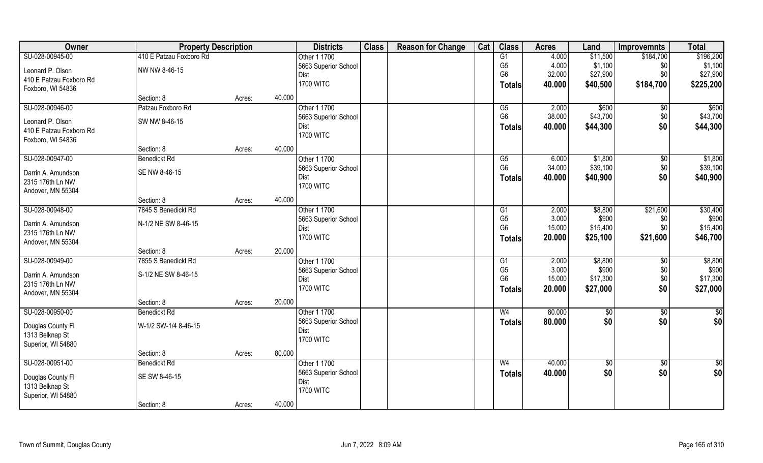| Owner                                  | <b>Property Description</b>       |        |        | <b>Districts</b>                    | <b>Class</b> | <b>Reason for Change</b> | Cat | <b>Class</b>   | <b>Acres</b> | Land        | <b>Improvemnts</b> | <b>Total</b>  |
|----------------------------------------|-----------------------------------|--------|--------|-------------------------------------|--------------|--------------------------|-----|----------------|--------------|-------------|--------------------|---------------|
| SU-028-00945-00                        | 410 E Patzau Foxboro Rd           |        |        | Other 1 1700                        |              |                          |     | G1             | 4.000        | \$11,500    | \$184,700          | \$196,200     |
| Leonard P. Olson                       | NW NW 8-46-15                     |        |        | 5663 Superior School                |              |                          |     | G <sub>5</sub> | 4.000        | \$1,100     | \$0                | \$1,100       |
| 410 E Patzau Foxboro Rd                |                                   |        |        | <b>Dist</b>                         |              |                          |     | G <sub>6</sub> | 32.000       | \$27,900    | \$0                | \$27,900      |
| Foxboro, WI 54836                      |                                   |        |        | <b>1700 WITC</b>                    |              |                          |     | <b>Totals</b>  | 40.000       | \$40,500    | \$184,700          | \$225,200     |
|                                        | Section: 8                        | Acres: | 40.000 |                                     |              |                          |     |                |              |             |                    |               |
| SU-028-00946-00                        | Patzau Foxboro Rd                 |        |        | Other 1 1700                        |              |                          |     | G5             | 2.000        | \$600       | $\sqrt[6]{}$       | \$600         |
| Leonard P. Olson                       | SW NW 8-46-15                     |        |        | 5663 Superior School                |              |                          |     | G <sub>6</sub> | 38.000       | \$43,700    | \$0                | \$43,700      |
| 410 E Patzau Foxboro Rd                |                                   |        |        | <b>Dist</b>                         |              |                          |     | <b>Totals</b>  | 40.000       | \$44,300    | \$0                | \$44,300      |
| Foxboro, WI 54836                      |                                   |        |        | <b>1700 WITC</b>                    |              |                          |     |                |              |             |                    |               |
|                                        | Section: 8                        | Acres: | 40.000 |                                     |              |                          |     |                |              |             |                    |               |
| SU-028-00947-00                        | <b>Benedickt Rd</b>               |        |        | Other 1 1700                        |              |                          |     | G5             | 6.000        | \$1,800     | \$0                | \$1,800       |
|                                        | SE NW 8-46-15                     |        |        | 5663 Superior School                |              |                          |     | G <sub>6</sub> | 34.000       | \$39,100    | \$0                | \$39,100      |
| Darrin A. Amundson<br>2315 176th Ln NW |                                   |        |        | Dist                                |              |                          |     | <b>Totals</b>  | 40.000       | \$40,900    | \$0                | \$40,900      |
| Andover, MN 55304                      |                                   |        |        | <b>1700 WITC</b>                    |              |                          |     |                |              |             |                    |               |
|                                        | Section: 8                        | Acres: | 40.000 |                                     |              |                          |     |                |              |             |                    |               |
| SU-028-00948-00                        | 7845 S Benedickt Rd               |        |        | Other 1 1700                        |              |                          |     | G <sub>1</sub> | 2.000        | \$8,800     | \$21,600           | \$30,400      |
|                                        |                                   |        |        | 5663 Superior School                |              |                          |     | G <sub>5</sub> | 3.000        | \$900       | \$0                | \$900         |
| Darrin A. Amundson                     | N-1/2 NE SW 8-46-15               |        |        | Dist                                |              |                          |     | G <sub>6</sub> | 15.000       | \$15,400    | \$0                | \$15,400      |
| 2315 176th Ln NW                       |                                   |        |        | <b>1700 WITC</b>                    |              |                          |     | <b>Totals</b>  | 20.000       | \$25,100    | \$21,600           | \$46,700      |
| Andover, MN 55304                      |                                   |        | 20.000 |                                     |              |                          |     |                |              |             |                    |               |
| SU-028-00949-00                        | Section: 8<br>7855 S Benedickt Rd | Acres: |        | Other 1 1700                        |              |                          |     | G1             | 2.000        | \$8,800     |                    | \$8,800       |
|                                        |                                   |        |        |                                     |              |                          |     | G <sub>5</sub> | 3.000        | \$900       | \$0<br>\$0         | \$900         |
| Darrin A. Amundson                     | S-1/2 NE SW 8-46-15               |        |        | 5663 Superior School<br><b>Dist</b> |              |                          |     | G <sub>6</sub> | 15.000       | \$17,300    | \$0                | \$17,300      |
| 2315 176th Ln NW                       |                                   |        |        | <b>1700 WITC</b>                    |              |                          |     | <b>Totals</b>  | 20.000       | \$27,000    | \$0                | \$27,000      |
| Andover, MN 55304                      |                                   |        |        |                                     |              |                          |     |                |              |             |                    |               |
|                                        | Section: 8                        | Acres: | 20.000 |                                     |              |                          |     |                |              |             |                    |               |
| SU-028-00950-00                        | Benedickt Rd                      |        |        | Other 1 1700                        |              |                          |     | W <sub>4</sub> | 80.000       | \$0         | $\sqrt{50}$        | $\frac{6}{3}$ |
| Douglas County Fl                      | W-1/2 SW-1/4 8-46-15              |        |        | 5663 Superior School                |              |                          |     | <b>Totals</b>  | 80.000       | \$0         | \$0                | \$0           |
| 1313 Belknap St                        |                                   |        |        | <b>Dist</b>                         |              |                          |     |                |              |             |                    |               |
| Superior, WI 54880                     |                                   |        |        | <b>1700 WITC</b>                    |              |                          |     |                |              |             |                    |               |
|                                        | Section: 8                        | Acres: | 80.000 |                                     |              |                          |     |                |              |             |                    |               |
| SU-028-00951-00                        | <b>Benedickt Rd</b>               |        |        | Other 1 1700                        |              |                          |     | W <sub>4</sub> | 40.000       | $\sqrt{$0}$ | $\overline{50}$    | $\frac{1}{6}$ |
| Douglas County Fl                      | SE SW 8-46-15                     |        |        | 5663 Superior School                |              |                          |     | <b>Totals</b>  | 40.000       | \$0         | \$0                | \$0           |
| 1313 Belknap St                        |                                   |        |        | <b>Dist</b>                         |              |                          |     |                |              |             |                    |               |
| Superior, WI 54880                     |                                   |        |        | <b>1700 WITC</b>                    |              |                          |     |                |              |             |                    |               |
|                                        | Section: 8                        | Acres: | 40.000 |                                     |              |                          |     |                |              |             |                    |               |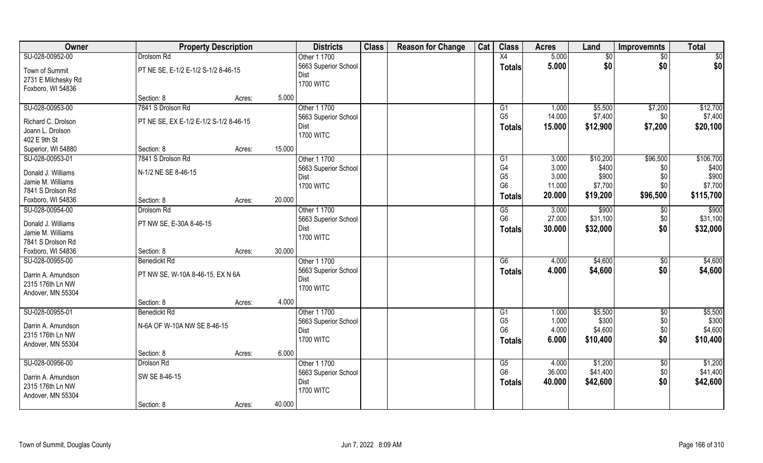| Owner               | <b>Property Description</b>            |        | <b>Districts</b>     | <b>Class</b> | <b>Reason for Change</b> | Cat | <b>Class</b>    | <b>Acres</b> | Land     | <b>Improvemnts</b> | <b>Total</b>      |
|---------------------|----------------------------------------|--------|----------------------|--------------|--------------------------|-----|-----------------|--------------|----------|--------------------|-------------------|
| SU-028-00952-00     | Drolsom Rd                             |        | Other 1 1700         |              |                          |     | X4              | 5.000        | \$0      | $\sqrt{$0}$        | \$0               |
| Town of Summit      | PT NE SE, E-1/2 E-1/2 S-1/2 8-46-15    |        | 5663 Superior School |              |                          |     | <b>Totals</b>   | 5.000        | \$0      | \$0                | \$0               |
| 2731 E Milchesky Rd |                                        |        | Dist                 |              |                          |     |                 |              |          |                    |                   |
| Foxboro, WI 54836   |                                        |        | <b>1700 WITC</b>     |              |                          |     |                 |              |          |                    |                   |
|                     | Section: 8                             | Acres: | 5.000                |              |                          |     |                 |              |          |                    |                   |
| SU-028-00953-00     | 7841 S Drolson Rd                      |        | Other 1 1700         |              |                          |     | G1              | 1.000        | \$5,500  | \$7,200            | \$12,700          |
|                     |                                        |        | 5663 Superior School |              |                          |     | G <sub>5</sub>  | 14.000       | \$7,400  | \$0                | \$7,400           |
| Richard C. Drolson  | PT NE SE, EX E-1/2 E-1/2 S-1/2 8-46-15 |        | Dist                 |              |                          |     | <b>Totals</b>   | 15.000       | \$12,900 | \$7,200            | \$20,100          |
| Joann L. Drolson    |                                        |        | <b>1700 WITC</b>     |              |                          |     |                 |              |          |                    |                   |
| 402 E 9th St        |                                        |        |                      |              |                          |     |                 |              |          |                    |                   |
| Superior, WI 54880  | Section: 8                             | Acres: | 15.000               |              |                          |     |                 |              |          |                    |                   |
| SU-028-00953-01     | 7841 S Drolson Rd                      |        | Other 1 1700         |              |                          |     | G1              | 3.000        | \$10,200 | \$96,500           | \$106,700         |
| Donald J. Williams  | N-1/2 NE SE 8-46-15                    |        | 5663 Superior School |              |                          |     | G <sub>4</sub>  | 3.000        | \$400    | \$0                | \$400             |
| Jamie M. Williams   |                                        |        | Dist                 |              |                          |     | G <sub>5</sub>  | 3.000        | \$900    | \$0                | \$900             |
| 7841 S Drolson Rd   |                                        |        | <b>1700 WITC</b>     |              |                          |     | G <sub>6</sub>  | 11.000       | \$7,700  | \$0                | \$7,700           |
| Foxboro, WI 54836   | Section: 8                             | Acres: | 20.000               |              |                          |     | <b>Totals</b>   | 20.000       | \$19,200 | \$96,500           | \$115,700         |
| SU-028-00954-00     | Drolsom Rd                             |        | Other 1 1700         |              |                          |     | G5              | 3.000        | \$900    | \$0                | $\overline{$900}$ |
|                     |                                        |        | 5663 Superior School |              |                          |     | G <sub>6</sub>  | 27.000       | \$31,100 | \$0                | \$31,100          |
| Donald J. Williams  | PT NW SE, E-30A 8-46-15                |        | Dist                 |              |                          |     | <b>Totals</b>   | 30.000       | \$32,000 | \$0                | \$32,000          |
| Jamie M. Williams   |                                        |        | <b>1700 WITC</b>     |              |                          |     |                 |              |          |                    |                   |
| 7841 S Drolson Rd   |                                        |        |                      |              |                          |     |                 |              |          |                    |                   |
| Foxboro, WI 54836   | Section: 8                             | Acres: | 30.000               |              |                          |     |                 |              |          |                    |                   |
| SU-028-00955-00     | <b>Benedickt Rd</b>                    |        | Other 1 1700         |              |                          |     | $\overline{G6}$ | 4.000        | \$4,600  | $\sqrt[6]{3}$      | \$4,600           |
| Darrin A. Amundson  | PT NW SE, W-10A 8-46-15, EX N 6A       |        | 5663 Superior School |              |                          |     | Totals          | 4.000        | \$4,600  | \$0                | \$4,600           |
| 2315 176th Ln NW    |                                        |        | Dist                 |              |                          |     |                 |              |          |                    |                   |
| Andover, MN 55304   |                                        |        | <b>1700 WITC</b>     |              |                          |     |                 |              |          |                    |                   |
|                     | Section: 8                             | Acres: | 4.000                |              |                          |     |                 |              |          |                    |                   |
| SU-028-00955-01     | <b>Benedickt Rd</b>                    |        | Other 1 1700         |              |                          |     | G1              | 1.000        | \$5,500  | $\sqrt{$0}$        | \$5,500           |
|                     |                                        |        | 5663 Superior School |              |                          |     | G <sub>5</sub>  | 1.000        | \$300    | \$0                | \$300             |
| Darrin A. Amundson  | N-6A OF W-10A NW SE 8-46-15            |        | Dist                 |              |                          |     | G <sub>6</sub>  | 4.000        | \$4,600  | \$0                | \$4,600           |
| 2315 176th Ln NW    |                                        |        | <b>1700 WITC</b>     |              |                          |     | Totals          | 6.000        | \$10,400 | \$0                | \$10,400          |
| Andover, MN 55304   |                                        |        |                      |              |                          |     |                 |              |          |                    |                   |
|                     | Section: 8                             | Acres: | 6.000                |              |                          |     |                 |              |          |                    |                   |
| SU-028-00956-00     | Drolson Rd                             |        | Other 1 1700         |              |                          |     | G5              | 4.000        | \$1,200  | $\sqrt{$0}$        | \$1,200           |
| Darrin A. Amundson  | SW SE 8-46-15                          |        | 5663 Superior School |              |                          |     | G <sub>6</sub>  | 36.000       | \$41,400 | \$0                | \$41,400          |
| 2315 176th Ln NW    |                                        |        | Dist                 |              |                          |     | <b>Totals</b>   | 40.000       | \$42,600 | \$0                | \$42,600          |
| Andover, MN 55304   |                                        |        | <b>1700 WITC</b>     |              |                          |     |                 |              |          |                    |                   |
|                     | Section: 8                             | Acres: | 40.000               |              |                          |     |                 |              |          |                    |                   |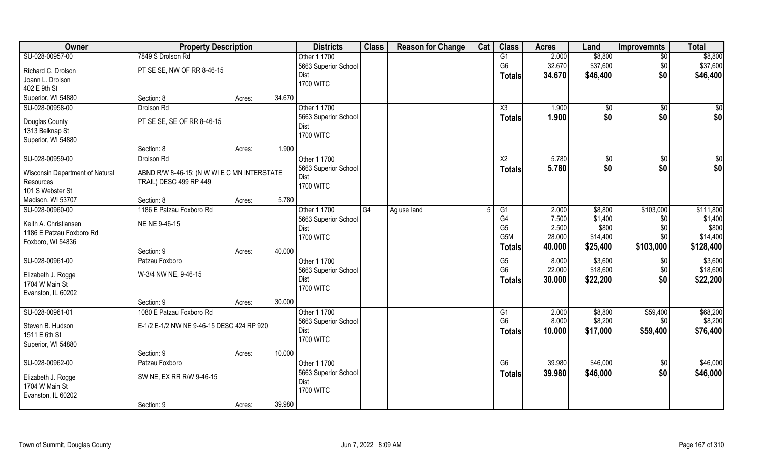| Owner                                | <b>Property Description</b>                 |                  | <b>Districts</b>             | <b>Class</b>   | <b>Reason for Change</b> | Cat | <b>Class</b>     | <b>Acres</b> | Land          | <b>Improvemnts</b> | <b>Total</b> |
|--------------------------------------|---------------------------------------------|------------------|------------------------------|----------------|--------------------------|-----|------------------|--------------|---------------|--------------------|--------------|
| SU-028-00957-00                      | 7849 S Drolson Rd                           |                  | Other 1 1700                 |                |                          |     | G1               | 2.000        | \$8,800       | $\overline{50}$    | \$8,800      |
| Richard C. Drolson                   | PT SE SE, NW OF RR 8-46-15                  |                  | 5663 Superior School         |                |                          |     | G <sub>6</sub>   | 32.670       | \$37,600      | \$0                | \$37,600     |
| Joann L. Drolson                     |                                             |                  | Dist                         |                |                          |     | <b>Totals</b>    | 34.670       | \$46,400      | \$0                | \$46,400     |
| 402 E 9th St                         |                                             |                  | <b>1700 WITC</b>             |                |                          |     |                  |              |               |                    |              |
| Superior, WI 54880                   | Section: 8                                  | 34.670<br>Acres: |                              |                |                          |     |                  |              |               |                    |              |
| SU-028-00958-00                      | Drolson Rd                                  |                  | Other 1 1700                 |                |                          |     | X3               | 1.900        | \$0           | $\sqrt{$0}$        | $\sqrt{50}$  |
|                                      |                                             |                  | 5663 Superior School         |                |                          |     | Totals           | 1.900        | \$0           | \$0                | \$0          |
| Douglas County                       | PT SE SE, SE OF RR 8-46-15                  |                  | Dist                         |                |                          |     |                  |              |               |                    |              |
| 1313 Belknap St                      |                                             |                  | <b>1700 WITC</b>             |                |                          |     |                  |              |               |                    |              |
| Superior, WI 54880                   | Section: 8                                  | 1.900<br>Acres:  |                              |                |                          |     |                  |              |               |                    |              |
| SU-028-00959-00                      | Drolson Rd                                  |                  | Other 1 1700                 |                |                          |     | X <sub>2</sub>   | 5.780        | $\sqrt[6]{3}$ | \$0                | \$0          |
|                                      |                                             |                  | 5663 Superior School         |                |                          |     |                  | 5.780        | \$0           | \$0                | \$0          |
| Wisconsin Department of Natural      | ABND R/W 8-46-15; (N W WI E C MN INTERSTATE |                  | Dist                         |                |                          |     | <b>Totals</b>    |              |               |                    |              |
| Resources                            | TRAIL) DESC 499 RP 449                      |                  | <b>1700 WITC</b>             |                |                          |     |                  |              |               |                    |              |
| 101 S Webster St                     |                                             |                  |                              |                |                          |     |                  |              |               |                    |              |
| Madison, WI 53707                    | Section: 8                                  | 5.780<br>Acres:  |                              |                |                          |     |                  |              |               |                    |              |
| SU-028-00960-00                      | 1186 E Patzau Foxboro Rd                    |                  | Other 1 1700                 | G <sub>4</sub> | Ag use land              |     | G <sub>1</sub>   | 2.000        | \$8,800       | \$103,000          | \$111,800    |
| Keith A. Christiansen                | NE NE 9-46-15                               |                  | 5663 Superior School         |                |                          |     | G4               | 7.500        | \$1,400       | \$0                | \$1,400      |
| 1186 E Patzau Foxboro Rd             |                                             |                  | Dist                         |                |                          |     | G <sub>5</sub>   | 2.500        | \$800         | \$0                | \$800        |
| Foxboro, WI 54836                    |                                             |                  | <b>1700 WITC</b>             |                |                          |     | G <sub>5</sub> M | 28.000       | \$14,400      | \$0                | \$14,400     |
|                                      | Section: 9                                  | 40.000<br>Acres: |                              |                |                          |     | <b>Totals</b>    | 40.000       | \$25,400      | \$103,000          | \$128,400    |
| SU-028-00961-00                      | Patzau Foxboro                              |                  | Other 1 1700                 |                |                          |     | G5               | 8.000        | \$3,600       | \$0                | \$3,600      |
|                                      | W-3/4 NW NE, 9-46-15                        |                  | 5663 Superior School         |                |                          |     | G <sub>6</sub>   | 22.000       | \$18,600      | \$0                | \$18,600     |
| Elizabeth J. Rogge<br>1704 W Main St |                                             |                  | Dist                         |                |                          |     | <b>Totals</b>    | 30.000       | \$22,200      | \$0                | \$22,200     |
| Evanston, IL 60202                   |                                             |                  | <b>1700 WITC</b>             |                |                          |     |                  |              |               |                    |              |
|                                      | Section: 9                                  | 30.000<br>Acres: |                              |                |                          |     |                  |              |               |                    |              |
| SU-028-00961-01                      | 1080 E Patzau Foxboro Rd                    |                  | Other 1 1700                 |                |                          |     | G1               | 2.000        | \$8,800       | \$59,400           | \$68,200     |
|                                      |                                             |                  | 5663 Superior School         |                |                          |     | G <sub>6</sub>   | 8.000        | \$8,200       | \$0                | \$8,200      |
| Steven B. Hudson                     | E-1/2 E-1/2 NW NE 9-46-15 DESC 424 RP 920   |                  | Dist                         |                |                          |     | <b>Totals</b>    | 10.000       | \$17,000      | \$59,400           | \$76,400     |
| 1511 E 6th St                        |                                             |                  | <b>1700 WITC</b>             |                |                          |     |                  |              |               |                    |              |
| Superior, WI 54880                   |                                             | 10.000           |                              |                |                          |     |                  |              |               |                    |              |
| SU-028-00962-00                      | Section: 9<br>Patzau Foxboro                | Acres:           | Other 1 1700                 |                |                          |     | G6               | 39.980       | \$46,000      |                    | \$46,000     |
|                                      |                                             |                  |                              |                |                          |     |                  |              |               | $\overline{50}$    |              |
| Elizabeth J. Rogge                   | SW NE, EX RR R/W 9-46-15                    |                  | 5663 Superior School<br>Dist |                |                          |     | <b>Totals</b>    | 39.980       | \$46,000      | \$0                | \$46,000     |
| 1704 W Main St                       |                                             |                  | <b>1700 WITC</b>             |                |                          |     |                  |              |               |                    |              |
| Evanston, IL 60202                   |                                             |                  |                              |                |                          |     |                  |              |               |                    |              |
|                                      | Section: 9                                  | 39.980<br>Acres: |                              |                |                          |     |                  |              |               |                    |              |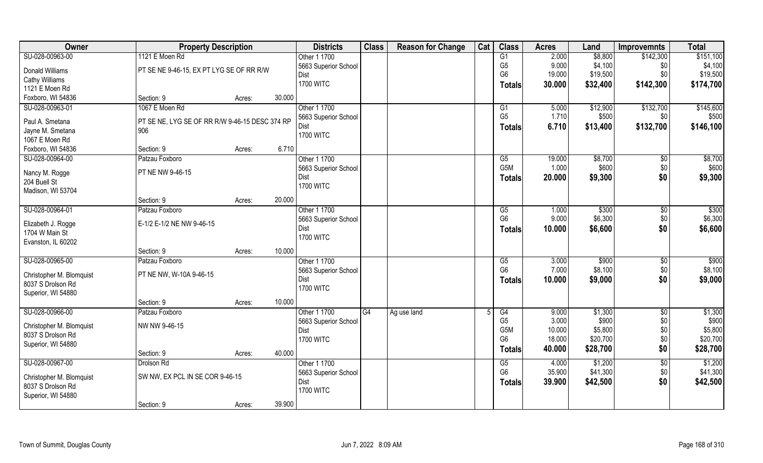| Owner                                         | <b>Property Description</b>                           |        |        | <b>Districts</b>     | <b>Class</b> | <b>Reason for Change</b> | Cat | <b>Class</b>     | <b>Acres</b> | Land     | <b>Improvemnts</b> | <b>Total</b> |
|-----------------------------------------------|-------------------------------------------------------|--------|--------|----------------------|--------------|--------------------------|-----|------------------|--------------|----------|--------------------|--------------|
| SU-028-00963-00                               | 1121 E Moen Rd                                        |        |        | Other 1 1700         |              |                          |     | G1               | 2.000        | \$8,800  | \$142,300          | \$151,100    |
| Donald Williams                               | PT SE NE 9-46-15, EX PT LYG SE OF RR R/W              |        |        | 5663 Superior School |              |                          |     | G <sub>5</sub>   | 9.000        | \$4,100  | \$0                | \$4,100      |
| <b>Cathy Williams</b>                         |                                                       |        |        | Dist                 |              |                          |     | G <sub>6</sub>   | 19.000       | \$19,500 | \$0                | \$19,500     |
| 1121 E Moen Rd                                |                                                       |        |        | <b>1700 WITC</b>     |              |                          |     | <b>Totals</b>    | 30.000       | \$32,400 | \$142,300          | \$174,700    |
| Foxboro, WI 54836                             | Section: 9                                            | Acres: | 30.000 |                      |              |                          |     |                  |              |          |                    |              |
| SU-028-00963-01                               | 1067 E Moen Rd                                        |        |        | Other 1 1700         |              |                          |     | G1               | 5.000        | \$12,900 | \$132,700          | \$145,600    |
|                                               |                                                       |        |        | 5663 Superior School |              |                          |     | G <sub>5</sub>   | 1.710        | \$500    | \$0                | \$500        |
| Paul A. Smetana<br>Jayne M. Smetana           | PT SE NE, LYG SE OF RR R/W 9-46-15 DESC 374 RP<br>906 |        |        | Dist                 |              |                          |     | <b>Totals</b>    | 6.710        | \$13,400 | \$132,700          | \$146,100    |
| 1067 E Moen Rd                                |                                                       |        |        | <b>1700 WITC</b>     |              |                          |     |                  |              |          |                    |              |
| Foxboro, WI 54836                             | Section: 9                                            | Acres: | 6.710  |                      |              |                          |     |                  |              |          |                    |              |
| SU-028-00964-00                               | Patzau Foxboro                                        |        |        | Other 1 1700         |              |                          |     | G5               | 19.000       | \$8,700  | \$0                | \$8,700      |
|                                               |                                                       |        |        | 5663 Superior School |              |                          |     | G <sub>5</sub> M | 1.000        | \$600    | \$0                | \$600        |
| Nancy M. Rogge                                | PT NE NW 9-46-15                                      |        |        | Dist                 |              |                          |     | <b>Totals</b>    | 20.000       | \$9,300  | \$0                | \$9,300      |
| 204 Buell St                                  |                                                       |        |        | <b>1700 WITC</b>     |              |                          |     |                  |              |          |                    |              |
| Madison, WI 53704                             |                                                       |        |        |                      |              |                          |     |                  |              |          |                    |              |
|                                               | Section: 9                                            | Acres: | 20.000 |                      |              |                          |     |                  |              |          |                    |              |
| SU-028-00964-01                               | Patzau Foxboro                                        |        |        | Other 1 1700         |              |                          |     | G5               | 1.000        | \$300    | \$0                | \$300        |
| Elizabeth J. Rogge                            | E-1/2 E-1/2 NE NW 9-46-15                             |        |        | 5663 Superior School |              |                          |     | G <sub>6</sub>   | 9.000        | \$6,300  | \$0                | \$6,300      |
| 1704 W Main St                                |                                                       |        |        | Dist                 |              |                          |     | <b>Totals</b>    | 10.000       | \$6,600  | \$0                | \$6,600      |
| Evanston, IL 60202                            |                                                       |        |        | <b>1700 WITC</b>     |              |                          |     |                  |              |          |                    |              |
|                                               | Section: 9                                            | Acres: | 10.000 |                      |              |                          |     |                  |              |          |                    |              |
| SU-028-00965-00                               | Patzau Foxboro                                        |        |        | Other 1 1700         |              |                          |     | G5               | 3.000        | \$900    | $\sqrt[6]{}$       | \$900        |
|                                               |                                                       |        |        | 5663 Superior School |              |                          |     | G <sub>6</sub>   | 7.000        | \$8,100  | \$0                | \$8,100      |
| Christopher M. Blomquist<br>8037 S Drolson Rd | PT NE NW, W-10A 9-46-15                               |        |        | Dist                 |              |                          |     | <b>Totals</b>    | 10.000       | \$9,000  | \$0                | \$9,000      |
| Superior, WI 54880                            |                                                       |        |        | <b>1700 WITC</b>     |              |                          |     |                  |              |          |                    |              |
|                                               | Section: 9                                            | Acres: | 10.000 |                      |              |                          |     |                  |              |          |                    |              |
| SU-028-00966-00                               | Patzau Foxboro                                        |        |        | Other 1 1700         | G4           | Ag use land              |     | G4               | 9.000        | \$1,300  | $\overline{50}$    | \$1,300      |
|                                               |                                                       |        |        | 5663 Superior School |              |                          |     | G <sub>5</sub>   | 3.000        | \$900    | \$0\$              | \$900        |
| Christopher M. Blomquist                      | NW NW 9-46-15                                         |        |        | Dist                 |              |                          |     | G <sub>5</sub> M | 10.000       | \$5,800  | \$0                | \$5,800      |
| 8037 S Drolson Rd                             |                                                       |        |        | <b>1700 WITC</b>     |              |                          |     | G <sub>6</sub>   | 18.000       | \$20,700 | \$0                | \$20,700     |
| Superior, WI 54880                            |                                                       |        |        |                      |              |                          |     | <b>Totals</b>    | 40.000       | \$28,700 | \$0                | \$28,700     |
|                                               | Section: 9                                            | Acres: | 40.000 |                      |              |                          |     |                  |              |          |                    |              |
| SU-028-00967-00                               | Drolson Rd                                            |        |        | Other 1 1700         |              |                          |     | G5               | 4.000        | \$1,200  | $\overline{60}$    | \$1,200      |
| Christopher M. Blomquist                      | SW NW, EX PCL IN SE COR 9-46-15                       |        |        | 5663 Superior School |              |                          |     | G <sub>6</sub>   | 35.900       | \$41,300 | \$0                | \$41,300     |
| 8037 S Drolson Rd                             |                                                       |        |        | Dist                 |              |                          |     | <b>Totals</b>    | 39.900       | \$42,500 | \$0                | \$42,500     |
| Superior, WI 54880                            |                                                       |        |        | <b>1700 WITC</b>     |              |                          |     |                  |              |          |                    |              |
|                                               | Section: 9                                            | Acres: | 39.900 |                      |              |                          |     |                  |              |          |                    |              |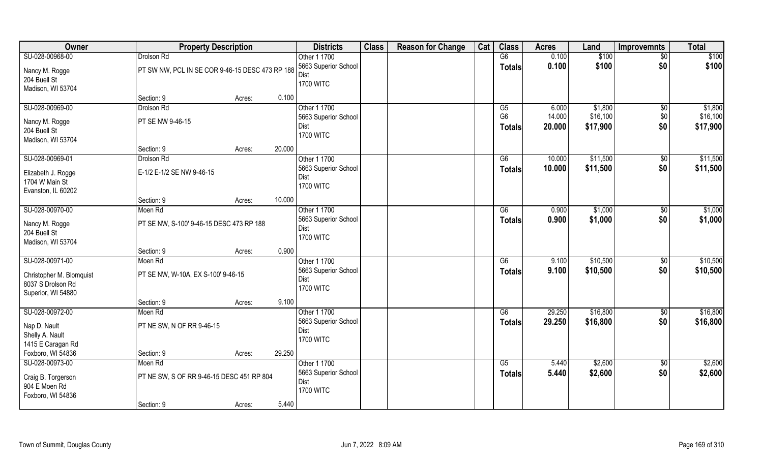| Owner                          | <b>Property Description</b>                     |                  | <b>Districts</b>                     | <b>Class</b> | <b>Reason for Change</b> | Cat | <b>Class</b>    | <b>Acres</b> | Land     | Improvemnts | <b>Total</b> |
|--------------------------------|-------------------------------------------------|------------------|--------------------------------------|--------------|--------------------------|-----|-----------------|--------------|----------|-------------|--------------|
| SU-028-00968-00                | Drolson Rd                                      |                  | Other 1 1700                         |              |                          |     | G6              | 0.100        | \$100    | \$0         | \$100        |
| Nancy M. Rogge                 | PT SW NW, PCL IN SE COR 9-46-15 DESC 473 RP 188 |                  | 5663 Superior School<br>Dist         |              |                          |     | <b>Totals</b>   | 0.100        | \$100    | \$0         | \$100        |
| 204 Buell St                   |                                                 |                  | <b>1700 WITC</b>                     |              |                          |     |                 |              |          |             |              |
| Madison, WI 53704              |                                                 |                  |                                      |              |                          |     |                 |              |          |             |              |
|                                | Section: 9                                      | Acres:           | 0.100                                |              |                          |     |                 |              |          |             |              |
| SU-028-00969-00                | Drolson Rd                                      |                  | Other 1 1700                         |              |                          |     | G5              | 6.000        | \$1,800  | $\sqrt{6}$  | \$1,800      |
| Nancy M. Rogge                 | PT SE NW 9-46-15                                |                  | 5663 Superior School                 |              |                          |     | G <sub>6</sub>  | 14.000       | \$16,100 | \$0         | \$16,100     |
| 204 Buell St                   |                                                 |                  | Dist                                 |              |                          |     | <b>Totals</b>   | 20.000       | \$17,900 | \$0         | \$17,900     |
| Madison, WI 53704              |                                                 |                  | <b>1700 WITC</b>                     |              |                          |     |                 |              |          |             |              |
|                                | Section: 9                                      | 20.000<br>Acres: |                                      |              |                          |     |                 |              |          |             |              |
| SU-028-00969-01                | Drolson Rd                                      |                  | Other 1 1700                         |              |                          |     | G6              | 10.000       | \$11,500 | \$0         | \$11,500     |
| Elizabeth J. Rogge             | E-1/2 E-1/2 SE NW 9-46-15                       |                  | 5663 Superior School                 |              |                          |     | <b>Totals</b>   | 10.000       | \$11,500 | \$0         | \$11,500     |
| 1704 W Main St                 |                                                 |                  | Dist                                 |              |                          |     |                 |              |          |             |              |
| Evanston, IL 60202             |                                                 |                  | <b>1700 WITC</b>                     |              |                          |     |                 |              |          |             |              |
|                                | Section: 9                                      | 10.000<br>Acres: |                                      |              |                          |     |                 |              |          |             |              |
| SU-028-00970-00                | Moen Rd                                         |                  | Other 1 1700                         |              |                          |     | G6              | 0.900        | \$1,000  | \$0         | \$1,000      |
|                                |                                                 |                  | 5663 Superior School                 |              |                          |     | <b>Totals</b>   | 0.900        | \$1,000  | \$0         | \$1,000      |
| Nancy M. Rogge<br>204 Buell St | PT SE NW, S-100' 9-46-15 DESC 473 RP 188        |                  | Dist                                 |              |                          |     |                 |              |          |             |              |
| Madison, WI 53704              |                                                 |                  | <b>1700 WITC</b>                     |              |                          |     |                 |              |          |             |              |
|                                | Section: 9                                      | Acres:           | 0.900                                |              |                          |     |                 |              |          |             |              |
| SU-028-00971-00                | Moen Rd                                         |                  | Other 1 1700                         |              |                          |     | $\overline{G6}$ | 9.100        | \$10,500 | \$0         | \$10,500     |
|                                |                                                 |                  | 5663 Superior School                 |              |                          |     | <b>Totals</b>   | 9.100        | \$10,500 | \$0         | \$10,500     |
| Christopher M. Blomquist       | PT SE NW, W-10A, EX S-100' 9-46-15              |                  | Dist                                 |              |                          |     |                 |              |          |             |              |
| 8037 S Drolson Rd              |                                                 |                  | <b>1700 WITC</b>                     |              |                          |     |                 |              |          |             |              |
| Superior, WI 54880             |                                                 |                  |                                      |              |                          |     |                 |              |          |             |              |
|                                | Section: 9                                      | Acres:           | 9.100                                |              |                          |     |                 |              |          |             |              |
| SU-028-00972-00                | Moen Rd                                         |                  | Other 1 1700<br>5663 Superior School |              |                          |     | G6              | 29.250       | \$16,800 | \$0<br>\$0  | \$16,800     |
| Nap D. Nault                   | PT NE SW, N OF RR 9-46-15                       |                  | Dist                                 |              |                          |     | <b>Totals</b>   | 29.250       | \$16,800 |             | \$16,800     |
| Shelly A. Nault                |                                                 |                  | <b>1700 WITC</b>                     |              |                          |     |                 |              |          |             |              |
| 1415 E Caragan Rd              |                                                 |                  |                                      |              |                          |     |                 |              |          |             |              |
| Foxboro, WI 54836              | Section: 9                                      | 29.250<br>Acres: |                                      |              |                          |     |                 |              |          |             |              |
| SU-028-00973-00                | Moen Rd                                         |                  | Other 1 1700                         |              |                          |     | G5              | 5.440        | \$2,600  | $\sqrt{$0}$ | \$2,600      |
| Craig B. Torgerson             | PT NE SW, S OF RR 9-46-15 DESC 451 RP 804       |                  | 5663 Superior School                 |              |                          |     | <b>Totals</b>   | 5.440        | \$2,600  | \$0         | \$2,600      |
| 904 E Moen Rd                  |                                                 |                  | Dist                                 |              |                          |     |                 |              |          |             |              |
| Foxboro, WI 54836              |                                                 |                  | <b>1700 WITC</b>                     |              |                          |     |                 |              |          |             |              |
|                                | Section: 9                                      | Acres:           | 5.440                                |              |                          |     |                 |              |          |             |              |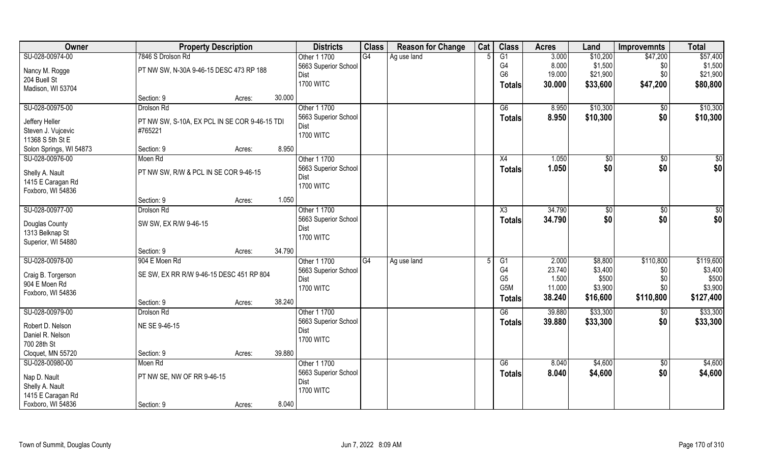| Owner                   |                                               | <b>Property Description</b> |        |                      | <b>Class</b>    | <b>Reason for Change</b> | Cat | <b>Class</b>     | <b>Acres</b> | Land        | <b>Improvemnts</b> | <b>Total</b> |
|-------------------------|-----------------------------------------------|-----------------------------|--------|----------------------|-----------------|--------------------------|-----|------------------|--------------|-------------|--------------------|--------------|
| SU-028-00974-00         | 7846 S Drolson Rd                             |                             |        | Other 1 1700         | G4              | Ag use land              |     | G1               | 3.000        | \$10,200    | \$47,200           | \$57,400     |
| Nancy M. Rogge          | PT NW SW, N-30A 9-46-15 DESC 473 RP 188       |                             |        | 5663 Superior School |                 |                          |     | G4               | 8.000        | \$1,500     | \$0                | \$1,500      |
| 204 Buell St            |                                               |                             |        | <b>Dist</b>          |                 |                          |     | G <sub>6</sub>   | 19.000       | \$21,900    | \$0                | \$21,900     |
| Madison, WI 53704       |                                               |                             |        | <b>1700 WITC</b>     |                 |                          |     | Totals           | 30.000       | \$33,600    | \$47,200           | \$80,800     |
|                         | Section: 9                                    | Acres:                      | 30.000 |                      |                 |                          |     |                  |              |             |                    |              |
| SU-028-00975-00         | Drolson Rd                                    |                             |        | Other 1 1700         |                 |                          |     | G6               | 8.950        | \$10,300    | \$0                | \$10,300     |
| Jeffery Heller          | PT NW SW, S-10A, EX PCL IN SE COR 9-46-15 TDI |                             |        | 5663 Superior School |                 |                          |     | Totals           | 8.950        | \$10,300    | \$0                | \$10,300     |
| Steven J. Vujcevic      | #765221                                       |                             |        | Dist                 |                 |                          |     |                  |              |             |                    |              |
| 11368 S 5th St E        |                                               |                             |        | <b>1700 WITC</b>     |                 |                          |     |                  |              |             |                    |              |
| Solon Springs, WI 54873 | Section: 9                                    | Acres:                      | 8.950  |                      |                 |                          |     |                  |              |             |                    |              |
| SU-028-00976-00         | Moen Rd                                       |                             |        | Other 1 1700         |                 |                          |     | X4               | 1.050        | $\sqrt{50}$ | \$0                | $\sqrt{50}$  |
| Shelly A. Nault         | PT NW SW, R/W & PCL IN SE COR 9-46-15         |                             |        | 5663 Superior School |                 |                          |     | <b>Totals</b>    | 1.050        | \$0         | \$0                | \$0          |
| 1415 E Caragan Rd       |                                               |                             |        | Dist                 |                 |                          |     |                  |              |             |                    |              |
| Foxboro, WI 54836       |                                               |                             |        | <b>1700 WITC</b>     |                 |                          |     |                  |              |             |                    |              |
|                         | Section: 9                                    | Acres:                      | 1.050  |                      |                 |                          |     |                  |              |             |                    |              |
| SU-028-00977-00         | Drolson Rd                                    |                             |        | Other 1 1700         |                 |                          |     | X3               | 34.790       | \$0         | $\sqrt[6]{3}$      | $\sqrt{50}$  |
|                         |                                               |                             |        | 5663 Superior School |                 |                          |     | <b>Totals</b>    | 34.790       | \$0         | \$0                | \$0          |
| Douglas County          | SW SW, EX R/W 9-46-15                         |                             |        | Dist                 |                 |                          |     |                  |              |             |                    |              |
| 1313 Belknap St         |                                               |                             |        | <b>1700 WITC</b>     |                 |                          |     |                  |              |             |                    |              |
| Superior, WI 54880      | Section: 9                                    |                             | 34.790 |                      |                 |                          |     |                  |              |             |                    |              |
| SU-028-00978-00         | 904 E Moen Rd                                 | Acres:                      |        | Other 1 1700         | $\overline{G4}$ | Ag use land              |     | $\overline{G1}$  | 2.000        | \$8,800     | \$110,800          | \$119,600    |
|                         |                                               |                             |        | 5663 Superior School |                 |                          |     | G4               | 23.740       | \$3,400     | \$0                | \$3,400      |
| Craig B. Torgerson      | SE SW, EX RR R/W 9-46-15 DESC 451 RP 804      |                             |        | Dist                 |                 |                          |     | G <sub>5</sub>   | 1.500        | \$500       | \$0                | \$500        |
| 904 E Moen Rd           |                                               |                             |        | <b>1700 WITC</b>     |                 |                          |     | G <sub>5</sub> M | 11.000       | \$3,900     | \$0\$              | \$3,900      |
| Foxboro, WI 54836       |                                               |                             |        |                      |                 |                          |     | <b>Totals</b>    | 38.240       | \$16,600    | \$110,800          | \$127,400    |
|                         | Section: 9                                    | Acres:                      | 38.240 |                      |                 |                          |     |                  |              |             |                    |              |
| SU-028-00979-00         | Drolson Rd                                    |                             |        | Other 1 1700         |                 |                          |     | G6               | 39.880       | \$33,300    | \$0                | \$33,300     |
| Robert D. Nelson        | NE SE 9-46-15                                 |                             |        | 5663 Superior School |                 |                          |     | <b>Totals</b>    | 39.880       | \$33,300    | \$0                | \$33,300     |
| Daniel R. Nelson        |                                               |                             |        | Dist                 |                 |                          |     |                  |              |             |                    |              |
| 700 28th St             |                                               |                             |        | <b>1700 WITC</b>     |                 |                          |     |                  |              |             |                    |              |
| Cloquet, MN 55720       | Section: 9                                    | Acres:                      | 39.880 |                      |                 |                          |     |                  |              |             |                    |              |
| SU-028-00980-00         | Moen Rd                                       |                             |        | Other 1 1700         |                 |                          |     | G6               | 8.040        | \$4,600     | $\sqrt{$0}$        | \$4,600      |
| Nap D. Nault            | PT NW SE, NW OF RR 9-46-15                    |                             |        | 5663 Superior School |                 |                          |     | <b>Totals</b>    | 8.040        | \$4,600     | \$0                | \$4,600      |
| Shelly A. Nault         |                                               |                             |        | Dist                 |                 |                          |     |                  |              |             |                    |              |
| 1415 E Caragan Rd       |                                               |                             |        | <b>1700 WITC</b>     |                 |                          |     |                  |              |             |                    |              |
| Foxboro, WI 54836       | Section: 9                                    | Acres:                      | 8.040  |                      |                 |                          |     |                  |              |             |                    |              |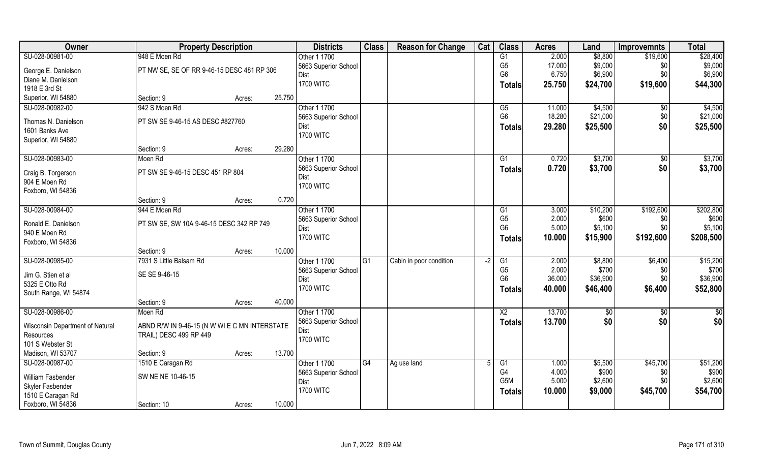| Owner                           | <b>Property Description</b>                   |        |        | <b>Districts</b>             | <b>Class</b>    | <b>Reason for Change</b> | Cat  | <b>Class</b>     | <b>Acres</b> | Land     | <b>Improvemnts</b> | <b>Total</b> |
|---------------------------------|-----------------------------------------------|--------|--------|------------------------------|-----------------|--------------------------|------|------------------|--------------|----------|--------------------|--------------|
| SU-028-00981-00                 | 948 E Moen Rd                                 |        |        | Other 1 1700                 |                 |                          |      | G1               | 2.000        | \$8,800  | \$19,600           | \$28,400     |
| George E. Danielson             | PT NW SE, SE OF RR 9-46-15 DESC 481 RP 306    |        |        | 5663 Superior School         |                 |                          |      | G <sub>5</sub>   | 17.000       | \$9,000  | \$0                | \$9,000      |
| Diane M. Danielson              |                                               |        |        | Dist                         |                 |                          |      | G <sub>6</sub>   | 6.750        | \$6,900  | \$0                | \$6,900      |
| 1918 E 3rd St                   |                                               |        |        | <b>1700 WITC</b>             |                 |                          |      | <b>Totals</b>    | 25.750       | \$24,700 | \$19,600           | \$44,300     |
| Superior, WI 54880              | Section: 9                                    | Acres: | 25.750 |                              |                 |                          |      |                  |              |          |                    |              |
| SU-028-00982-00                 | 942 S Moen Rd                                 |        |        | Other 1 1700                 |                 |                          |      | G5               | 11.000       | \$4,500  | $\sqrt{$0}$        | \$4,500      |
|                                 |                                               |        |        | 5663 Superior School         |                 |                          |      | G <sub>6</sub>   | 18.280       | \$21,000 | \$0                | \$21,000     |
| Thomas N. Danielson             | PT SW SE 9-46-15 AS DESC #827760              |        |        | Dist                         |                 |                          |      | Totals           | 29.280       | \$25,500 | \$0                | \$25,500     |
| 1601 Banks Ave                  |                                               |        |        | <b>1700 WITC</b>             |                 |                          |      |                  |              |          |                    |              |
| Superior, WI 54880              |                                               |        |        |                              |                 |                          |      |                  |              |          |                    |              |
|                                 | Section: 9                                    | Acres: | 29.280 |                              |                 |                          |      |                  |              |          |                    |              |
| SU-028-00983-00                 | Moen Rd                                       |        |        | Other 1 1700                 |                 |                          |      | G1               | 0.720        | \$3,700  | $\sqrt[6]{30}$     | \$3,700      |
| Craig B. Torgerson              | PT SW SE 9-46-15 DESC 451 RP 804              |        |        | 5663 Superior School<br>Dist |                 |                          |      | <b>Totals</b>    | 0.720        | \$3,700  | \$0                | \$3,700      |
| 904 E Moen Rd                   |                                               |        |        | <b>1700 WITC</b>             |                 |                          |      |                  |              |          |                    |              |
| Foxboro, WI 54836               |                                               |        |        |                              |                 |                          |      |                  |              |          |                    |              |
|                                 | Section: 9                                    | Acres: | 0.720  |                              |                 |                          |      |                  |              |          |                    |              |
| SU-028-00984-00                 | 944 E Moen Rd                                 |        |        | Other 1 1700                 |                 |                          |      | G1               | 3.000        | \$10,200 | \$192,600          | \$202,800    |
| Ronald E. Danielson             | PT SW SE, SW 10A 9-46-15 DESC 342 RP 749      |        |        | 5663 Superior School         |                 |                          |      | G <sub>5</sub>   | 2.000        | \$600    | \$0                | \$600        |
| 940 E Moen Rd                   |                                               |        |        | Dist                         |                 |                          |      | G <sub>6</sub>   | 5.000        | \$5,100  | \$0                | \$5,100      |
| Foxboro, WI 54836               |                                               |        |        | <b>1700 WITC</b>             |                 |                          |      | <b>Totals</b>    | 10.000       | \$15,900 | \$192,600          | \$208,500    |
|                                 | Section: 9                                    | Acres: | 10.000 |                              |                 |                          |      |                  |              |          |                    |              |
| SU-028-00985-00                 | 7931 S Little Balsam Rd                       |        |        | Other 1 1700                 | $\overline{G1}$ | Cabin in poor condition  | $-2$ | $\overline{G1}$  | 2.000        | \$8,800  | \$6,400            | \$15,200     |
|                                 |                                               |        |        | 5663 Superior School         |                 |                          |      | G <sub>5</sub>   | 2.000        | \$700    | \$0                | \$700        |
| Jim G. Stien et al              | SE SE 9-46-15                                 |        |        | Dist                         |                 |                          |      | G <sub>6</sub>   | 36.000       | \$36,900 | \$0                | \$36,900     |
| 5325 E Otto Rd                  |                                               |        |        | <b>1700 WITC</b>             |                 |                          |      | <b>Totals</b>    | 40.000       | \$46,400 | \$6,400            | \$52,800     |
| South Range, WI 54874           |                                               |        | 40.000 |                              |                 |                          |      |                  |              |          |                    |              |
| SU-028-00986-00                 | Section: 9                                    | Acres: |        | Other 1 1700                 |                 |                          |      |                  |              |          |                    |              |
|                                 | Moen Rd                                       |        |        |                              |                 |                          |      | $\overline{X2}$  | 13.700       | \$0      | $\overline{30}$    | \$0          |
| Wisconsin Department of Natural | ABND R/W IN 9-46-15 (N W WI E C MN INTERSTATE |        |        | 5663 Superior School<br>Dist |                 |                          |      | <b>Totals</b>    | 13.700       | \$0      | \$0                | \$0          |
| Resources                       | TRAIL) DESC 499 RP 449                        |        |        | <b>1700 WITC</b>             |                 |                          |      |                  |              |          |                    |              |
| 101 S Webster St                |                                               |        |        |                              |                 |                          |      |                  |              |          |                    |              |
| Madison, WI 53707               | Section: 9                                    | Acres: | 13.700 |                              |                 |                          |      |                  |              |          |                    |              |
| SU-028-00987-00                 | 1510 E Caragan Rd                             |        |        | Other 1 1700                 | G4              | Ag use land              |      | G1               | 1.000        | \$5,500  | \$45,700           | \$51,200     |
| William Fasbender               | SW NE NE 10-46-15                             |        |        | 5663 Superior School         |                 |                          |      | G4               | 4.000        | \$900    | \$0                | \$900        |
| Skyler Fasbender                |                                               |        |        | Dist                         |                 |                          |      | G <sub>5</sub> M | 5.000        | \$2,600  | \$0                | \$2,600      |
| 1510 E Caragan Rd               |                                               |        |        | <b>1700 WITC</b>             |                 |                          |      | Totals           | 10.000       | \$9,000  | \$45,700           | \$54,700     |
| Foxboro, WI 54836               | Section: 10                                   | Acres: | 10.000 |                              |                 |                          |      |                  |              |          |                    |              |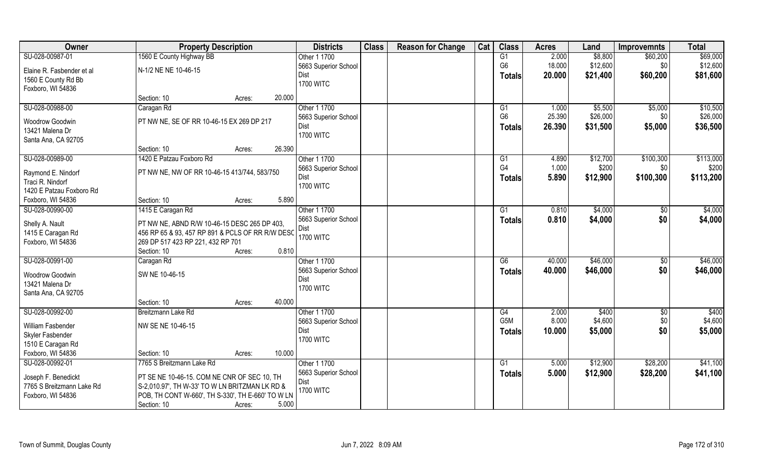| Owner                     | <b>Property Description</b>                       |        |        | <b>Districts</b>     | <b>Class</b> | <b>Reason for Change</b> | Cat | <b>Class</b>     | <b>Acres</b> | Land     | <b>Improvemnts</b> | <b>Total</b> |
|---------------------------|---------------------------------------------------|--------|--------|----------------------|--------------|--------------------------|-----|------------------|--------------|----------|--------------------|--------------|
| SU-028-00987-01           | 1560 E County Highway BB                          |        |        | Other 1 1700         |              |                          |     | G1               | 2.000        | \$8,800  | \$60,200           | \$69,000     |
| Elaine R. Fasbender et al | N-1/2 NE NE 10-46-15                              |        |        | 5663 Superior School |              |                          |     | G <sub>6</sub>   | 18.000       | \$12,600 | \$0                | \$12,600     |
| 1560 E County Rd Bb       |                                                   |        |        | Dist                 |              |                          |     | <b>Totals</b>    | 20.000       | \$21,400 | \$60,200           | \$81,600     |
| Foxboro, WI 54836         |                                                   |        |        | <b>1700 WITC</b>     |              |                          |     |                  |              |          |                    |              |
|                           | Section: 10                                       | Acres: | 20.000 |                      |              |                          |     |                  |              |          |                    |              |
| SU-028-00988-00           | Caragan Rd                                        |        |        | Other 1 1700         |              |                          |     | $\overline{G1}$  | 1.000        | \$5,500  | \$5,000            | \$10,500     |
| Woodrow Goodwin           | PT NW NE, SE OF RR 10-46-15 EX 269 DP 217         |        |        | 5663 Superior School |              |                          |     | G <sub>6</sub>   | 25.390       | \$26,000 | \$0                | \$26,000     |
| 13421 Malena Dr           |                                                   |        |        | Dist                 |              |                          |     | <b>Totals</b>    | 26.390       | \$31,500 | \$5,000            | \$36,500     |
| Santa Ana, CA 92705       |                                                   |        |        | <b>1700 WITC</b>     |              |                          |     |                  |              |          |                    |              |
|                           | Section: 10                                       | Acres: | 26.390 |                      |              |                          |     |                  |              |          |                    |              |
| SU-028-00989-00           | 1420 E Patzau Foxboro Rd                          |        |        | Other 1 1700         |              |                          |     | G1               | 4.890        | \$12,700 | \$100,300          | \$113,000    |
|                           |                                                   |        |        | 5663 Superior School |              |                          |     | G4               | 1.000        | \$200    | \$0                | \$200        |
| Raymond E. Nindorf        | PT NW NE, NW OF RR 10-46-15 413/744, 583/750      |        |        | Dist                 |              |                          |     | <b>Totals</b>    | 5.890        | \$12,900 | \$100,300          | \$113,200    |
| Traci R. Nindorf          |                                                   |        |        | <b>1700 WITC</b>     |              |                          |     |                  |              |          |                    |              |
| 1420 E Patzau Foxboro Rd  |                                                   |        |        |                      |              |                          |     |                  |              |          |                    |              |
| Foxboro, WI 54836         | Section: 10                                       | Acres: | 5.890  |                      |              |                          |     |                  |              |          |                    |              |
| SU-028-00990-00           | 1415 E Caragan Rd                                 |        |        | Other 1 1700         |              |                          |     | G1               | 0.810        | \$4,000  | \$0                | \$4,000      |
| Shelly A. Nault           | PT NW NE, ABND R/W 10-46-15 DESC 265 DP 403,      |        |        | 5663 Superior School |              |                          |     | <b>Totals</b>    | 0.810        | \$4,000  | \$0                | \$4,000      |
| 1415 E Caragan Rd         | 456 RP 65 & 93, 457 RP 891 & PCLS OF RR R/W DESC  |        |        | Dist                 |              |                          |     |                  |              |          |                    |              |
| Foxboro, WI 54836         | 269 DP 517 423 RP 221, 432 RP 701                 |        |        | <b>1700 WITC</b>     |              |                          |     |                  |              |          |                    |              |
|                           | Section: 10                                       | Acres: | 0.810  |                      |              |                          |     |                  |              |          |                    |              |
| SU-028-00991-00           | Caragan Rd                                        |        |        | Other 1 1700         |              |                          |     | G6               | 40.000       | \$46,000 | $\sqrt[6]{3}$      | \$46,000     |
| Woodrow Goodwin           | SW NE 10-46-15                                    |        |        | 5663 Superior School |              |                          |     | <b>Totals</b>    | 40.000       | \$46,000 | \$0                | \$46,000     |
| 13421 Malena Dr           |                                                   |        |        | Dist                 |              |                          |     |                  |              |          |                    |              |
| Santa Ana, CA 92705       |                                                   |        |        | <b>1700 WITC</b>     |              |                          |     |                  |              |          |                    |              |
|                           | Section: 10                                       | Acres: | 40.000 |                      |              |                          |     |                  |              |          |                    |              |
| SU-028-00992-00           | Breitzmann Lake Rd                                |        |        | Other 1 1700         |              |                          |     | G4               | 2.000        | \$400    | \$0                | \$400        |
|                           |                                                   |        |        | 5663 Superior School |              |                          |     | G <sub>5</sub> M | 8.000        | \$4,600  | \$0                | \$4,600      |
| William Fasbender         | NW SE NE 10-46-15                                 |        |        | Dist                 |              |                          |     | Totals           | 10.000       | \$5,000  | \$0                | \$5,000      |
| Skyler Fasbender          |                                                   |        |        | <b>1700 WITC</b>     |              |                          |     |                  |              |          |                    |              |
| 1510 E Caragan Rd         |                                                   |        |        |                      |              |                          |     |                  |              |          |                    |              |
| Foxboro, WI 54836         | Section: 10                                       | Acres: | 10.000 |                      |              |                          |     |                  |              |          |                    |              |
| SU-028-00992-01           | 7765 S Breitzmann Lake Rd                         |        |        | Other 1 1700         |              |                          |     | G1               | 5.000        | \$12,900 | \$28,200           | \$41,100     |
| Joseph F. Benedickt       | PT SE NE 10-46-15. COM NE CNR OF SEC 10, TH       |        |        | 5663 Superior School |              |                          |     | Totals           | 5.000        | \$12,900 | \$28,200           | \$41,100     |
| 7765 S Breitzmann Lake Rd | S-2,010.97', TH W-33' TO W LN BRITZMAN LK RD &    |        |        | Dist                 |              |                          |     |                  |              |          |                    |              |
| Foxboro, WI 54836         | POB, TH CONT W-660', TH S-330', TH E-660' TO W LN |        |        | <b>1700 WITC</b>     |              |                          |     |                  |              |          |                    |              |
|                           | Section: 10                                       | Acres: | 5.000  |                      |              |                          |     |                  |              |          |                    |              |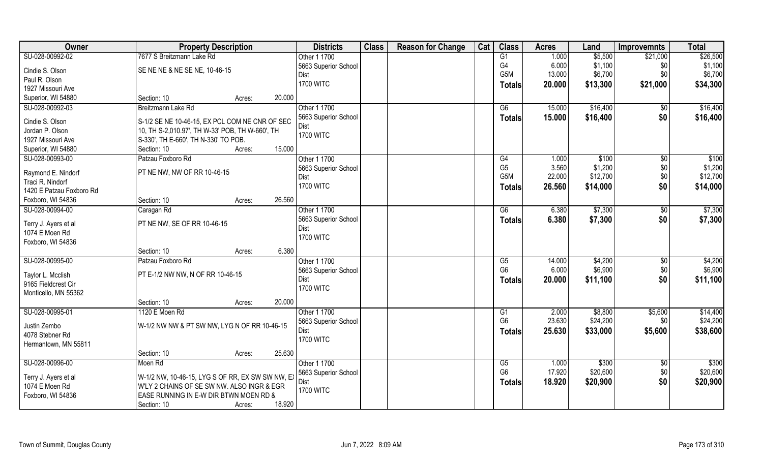| Owner                    | <b>Property Description</b>                      |        | <b>Districts</b>         | <b>Class</b> | <b>Reason for Change</b> | Cat | <b>Class</b>         | <b>Acres</b> | Land     | <b>Improvemnts</b> | <b>Total</b>      |
|--------------------------|--------------------------------------------------|--------|--------------------------|--------------|--------------------------|-----|----------------------|--------------|----------|--------------------|-------------------|
| SU-028-00992-02          | 7677 S Breitzmann Lake Rd                        |        | Other 1 1700             |              |                          |     | G1                   | 1.000        | \$5,500  | \$21,000           | \$26,500          |
| Cindie S. Olson          | SE NE NE & NE SE NE, 10-46-15                    |        | 5663 Superior School     |              |                          |     | G4                   | 6.000        | \$1,100  | \$0                | \$1,100           |
| Paul R. Olson            |                                                  |        | Dist                     |              |                          |     | G <sub>5</sub> M     | 13.000       | \$6,700  | \$0                | \$6,700           |
| 1927 Missouri Ave        |                                                  |        | <b>1700 WITC</b>         |              |                          |     | <b>Totals</b>        | 20.000       | \$13,300 | \$21,000           | \$34,300          |
| Superior, WI 54880       | Section: 10<br>Acres:                            | 20.000 |                          |              |                          |     |                      |              |          |                    |                   |
| SU-028-00992-03          | Breitzmann Lake Rd                               |        | Other 1 1700             |              |                          |     | G6                   | 15.000       | \$16,400 | $\overline{50}$    | \$16,400          |
|                          |                                                  |        | 5663 Superior School     |              |                          |     |                      |              |          |                    |                   |
| Cindie S. Olson          | S-1/2 SE NE 10-46-15, EX PCL COM NE CNR OF SEC   |        |                          |              |                          |     | Totals               | 15.000       | \$16,400 | \$0                | \$16,400          |
| Jordan P. Olson          | 10, TH S-2,010.97', TH W-33' POB, TH W-660', TH  |        | Dist<br><b>1700 WITC</b> |              |                          |     |                      |              |          |                    |                   |
| 1927 Missouri Ave        | S-330', TH E-660', TH N-330' TO POB.             |        |                          |              |                          |     |                      |              |          |                    |                   |
| Superior, WI 54880       | Section: 10<br>Acres:                            | 15.000 |                          |              |                          |     |                      |              |          |                    |                   |
| SU-028-00993-00          | Patzau Foxboro Rd                                |        | Other 1 1700             |              |                          |     | G4                   | 1.000        | \$100    | $\sqrt[6]{30}$     | \$100             |
|                          |                                                  |        | 5663 Superior School     |              |                          |     | G <sub>5</sub>       | 3.560        | \$1,200  | \$0                | \$1,200           |
| Raymond E. Nindorf       | PT NE NW, NW OF RR 10-46-15                      |        | Dist                     |              |                          |     | G <sub>5</sub> M     | 22.000       | \$12,700 | \$0                | \$12,700          |
| Traci R. Nindorf         |                                                  |        | <b>1700 WITC</b>         |              |                          |     | <b>Totals</b>        | 26.560       | \$14,000 | \$0                | \$14,000          |
| 1420 E Patzau Foxboro Rd |                                                  | 26.560 |                          |              |                          |     |                      |              |          |                    |                   |
| Foxboro, WI 54836        | Section: 10<br>Acres:                            |        |                          |              |                          |     |                      |              |          |                    |                   |
| SU-028-00994-00          | Caragan Rd                                       |        | Other 1 1700             |              |                          |     | G6                   | 6.380        | \$7,300  | \$0                | \$7,300           |
| Terry J. Ayers et al     | PT NE NW, SE OF RR 10-46-15                      |        | 5663 Superior School     |              |                          |     | <b>Totals</b>        | 6.380        | \$7,300  | \$0                | \$7,300           |
| 1074 E Moen Rd           |                                                  |        | Dist                     |              |                          |     |                      |              |          |                    |                   |
| Foxboro, WI 54836        |                                                  |        | <b>1700 WITC</b>         |              |                          |     |                      |              |          |                    |                   |
|                          | Section: 10<br>Acres:                            | 6.380  |                          |              |                          |     |                      |              |          |                    |                   |
| SU-028-00995-00          | Patzau Foxboro Rd                                |        | Other 1 1700             |              |                          |     | G5                   | 14.000       | \$4,200  | $\sqrt[6]{3}$      | \$4,200           |
|                          |                                                  |        | 5663 Superior School     |              |                          |     | G <sub>6</sub>       | 6.000        | \$6,900  | \$0                | \$6,900           |
| Taylor L. Mcclish        | PT E-1/2 NW NW, N OF RR 10-46-15                 |        | Dist                     |              |                          |     | <b>Totals</b>        | 20.000       | \$11,100 | \$0                | \$11,100          |
| 9165 Fieldcrest Cir      |                                                  |        | <b>1700 WITC</b>         |              |                          |     |                      |              |          |                    |                   |
| Monticello, MN 55362     |                                                  |        |                          |              |                          |     |                      |              |          |                    |                   |
|                          | Section: 10<br>Acres:                            | 20.000 |                          |              |                          |     |                      |              |          |                    |                   |
| SU-028-00995-01          | 1120 E Moen Rd                                   |        | Other 1 1700             |              |                          |     | G1<br>G <sub>6</sub> | 2.000        | \$8,800  | \$5,600            | \$14,400          |
| Justin Zembo             | W-1/2 NW NW & PT SW NW, LYG N OF RR 10-46-15     |        | 5663 Superior School     |              |                          |     |                      | 23.630       | \$24,200 | \$0                | \$24,200          |
| 4078 Stebner Rd          |                                                  |        | Dist                     |              |                          |     | <b>Totals</b>        | 25.630       | \$33,000 | \$5,600            | \$38,600          |
| Hermantown, MN 55811     |                                                  |        | <b>1700 WITC</b>         |              |                          |     |                      |              |          |                    |                   |
|                          | Section: 10<br>Acres:                            | 25.630 |                          |              |                          |     |                      |              |          |                    |                   |
| SU-028-00996-00          | Moen Rd                                          |        | Other 1 1700             |              |                          |     | G5                   | 1.000        | \$300    | $\sqrt{$0}$        | $\overline{$300}$ |
|                          |                                                  |        | 5663 Superior School     |              |                          |     | G <sub>6</sub>       | 17.920       | \$20,600 | \$0                | \$20,600          |
| Terry J. Ayers et al     | W-1/2 NW, 10-46-15, LYG S OF RR, EX SW SW NW, EX |        | Dist                     |              |                          |     | Totals               | 18.920       | \$20,900 | \$0                | \$20,900          |
| 1074 E Moen Rd           | W'LY 2 CHAINS OF SE SW NW. ALSO INGR & EGR       |        | <b>1700 WITC</b>         |              |                          |     |                      |              |          |                    |                   |
| Foxboro, WI 54836        | EASE RUNNING IN E-W DIR BTWN MOEN RD &           |        |                          |              |                          |     |                      |              |          |                    |                   |
|                          | Section: 10<br>Acres:                            | 18.920 |                          |              |                          |     |                      |              |          |                    |                   |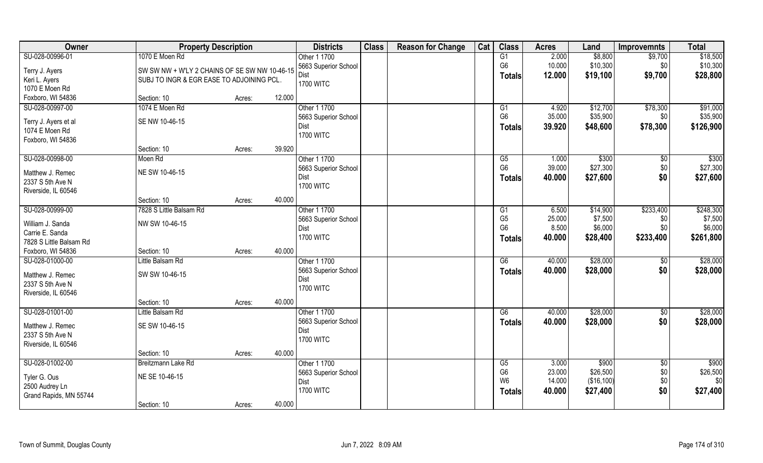| Owner                                      | <b>Property Description</b>                   |        |        | <b>Districts</b>     | <b>Class</b> | <b>Reason for Change</b> | Cat | <b>Class</b>    | <b>Acres</b> | Land       | <b>Improvemnts</b> | <b>Total</b> |
|--------------------------------------------|-----------------------------------------------|--------|--------|----------------------|--------------|--------------------------|-----|-----------------|--------------|------------|--------------------|--------------|
| SU-028-00996-01                            | 1070 E Moen Rd                                |        |        | Other 1 1700         |              |                          |     | G1              | 2.000        | \$8,800    | \$9,700            | \$18,500     |
| Terry J. Ayers                             | SW SW NW + W'LY 2 CHAINS OF SE SW NW 10-46-15 |        |        | 5663 Superior School |              |                          |     | G <sub>6</sub>  | 10.000       | \$10,300   | \$0                | \$10,300     |
| Keri L. Ayers                              | SUBJ TO INGR & EGR EASE TO ADJOINING PCL.     |        |        | Dist                 |              |                          |     | <b>Totals</b>   | 12.000       | \$19,100   | \$9,700            | \$28,800     |
| 1070 E Moen Rd                             |                                               |        |        | <b>1700 WITC</b>     |              |                          |     |                 |              |            |                    |              |
| Foxboro, WI 54836                          | Section: 10                                   | Acres: | 12.000 |                      |              |                          |     |                 |              |            |                    |              |
| SU-028-00997-00                            | 1074 E Moen Rd                                |        |        | Other 1 1700         |              |                          |     | G1              | 4.920        | \$12,700   | \$78,300           | \$91,000     |
| Terry J. Ayers et al                       | SE NW 10-46-15                                |        |        | 5663 Superior School |              |                          |     | G <sub>6</sub>  | 35.000       | \$35,900   | \$0                | \$35,900     |
| 1074 E Moen Rd                             |                                               |        |        | Dist                 |              |                          |     | <b>Totals</b>   | 39.920       | \$48,600   | \$78,300           | \$126,900    |
| Foxboro, WI 54836                          |                                               |        |        | <b>1700 WITC</b>     |              |                          |     |                 |              |            |                    |              |
|                                            | Section: 10                                   | Acres: | 39.920 |                      |              |                          |     |                 |              |            |                    |              |
| SU-028-00998-00                            | Moen Rd                                       |        |        | Other 1 1700         |              |                          |     | G5              | 1.000        | \$300      | \$0                | \$300        |
| Matthew J. Remec                           | NE SW 10-46-15                                |        |        | 5663 Superior School |              |                          |     | G <sub>6</sub>  | 39.000       | \$27,300   | \$0                | \$27,300     |
| 2337 S 5th Ave N                           |                                               |        |        | Dist                 |              |                          |     | <b>Totals</b>   | 40.000       | \$27,600   | \$0                | \$27,600     |
| Riverside, IL 60546                        |                                               |        |        | <b>1700 WITC</b>     |              |                          |     |                 |              |            |                    |              |
|                                            | Section: 10                                   | Acres: | 40.000 |                      |              |                          |     |                 |              |            |                    |              |
| SU-028-00999-00                            | 7828 S Little Balsam Rd                       |        |        | Other 1 1700         |              |                          |     | G <sub>1</sub>  | 6.500        | \$14,900   | \$233,400          | \$248,300    |
|                                            |                                               |        |        | 5663 Superior School |              |                          |     | G <sub>5</sub>  | 25.000       | \$7,500    | \$0                | \$7,500      |
| William J. Sanda                           | NW SW 10-46-15                                |        |        | Dist                 |              |                          |     | G <sub>6</sub>  | 8.500        | \$6,000    | \$0                | \$6,000      |
| Carrie E. Sanda<br>7828 S Little Balsam Rd |                                               |        |        | <b>1700 WITC</b>     |              |                          |     | <b>Totals</b>   | 40.000       | \$28,400   | \$233,400          | \$261,800    |
| Foxboro, WI 54836                          | Section: 10                                   | Acres: | 40.000 |                      |              |                          |     |                 |              |            |                    |              |
| SU-028-01000-00                            | Little Balsam Rd                              |        |        | Other 1 1700         |              |                          |     | $\overline{G6}$ | 40.000       | \$28,000   | \$0                | \$28,000     |
|                                            |                                               |        |        | 5663 Superior School |              |                          |     |                 | 40.000       | \$28,000   | \$0                | \$28,000     |
| Matthew J. Remec                           | SW SW 10-46-15                                |        |        | Dist                 |              |                          |     | <b>Totals</b>   |              |            |                    |              |
| 2337 S 5th Ave N                           |                                               |        |        | <b>1700 WITC</b>     |              |                          |     |                 |              |            |                    |              |
| Riverside, IL 60546                        |                                               |        |        |                      |              |                          |     |                 |              |            |                    |              |
|                                            | Section: 10                                   | Acres: | 40.000 |                      |              |                          |     |                 |              |            |                    |              |
| SU-028-01001-00                            | Little Balsam Rd                              |        |        | Other 1 1700         |              |                          |     | G6              | 40.000       | \$28,000   | \$0                | \$28,000     |
| Matthew J. Remec                           | SE SW 10-46-15                                |        |        | 5663 Superior School |              |                          |     | <b>Totals</b>   | 40.000       | \$28,000   | \$0                | \$28,000     |
| 2337 S 5th Ave N                           |                                               |        |        | Dist                 |              |                          |     |                 |              |            |                    |              |
| Riverside, IL 60546                        |                                               |        |        | <b>1700 WITC</b>     |              |                          |     |                 |              |            |                    |              |
|                                            | Section: 10                                   | Acres: | 40.000 |                      |              |                          |     |                 |              |            |                    |              |
| SU-028-01002-00                            | Breitzmann Lake Rd                            |        |        | Other 1 1700         |              |                          |     | G5              | 3.000        | \$900      | $\sqrt{$0}$        | \$900        |
| Tyler G. Ous                               | NE SE 10-46-15                                |        |        | 5663 Superior School |              |                          |     | G <sub>6</sub>  | 23.000       | \$26,500   | \$0                | \$26,500     |
| 2500 Audrey Ln                             |                                               |        |        | Dist                 |              |                          |     | W <sub>6</sub>  | 14.000       | (\$16,100) | \$0                | \$0          |
| Grand Rapids, MN 55744                     |                                               |        |        | <b>1700 WITC</b>     |              |                          |     | <b>Totals</b>   | 40.000       | \$27,400   | \$0                | \$27,400     |
|                                            | Section: 10                                   | Acres: | 40.000 |                      |              |                          |     |                 |              |            |                    |              |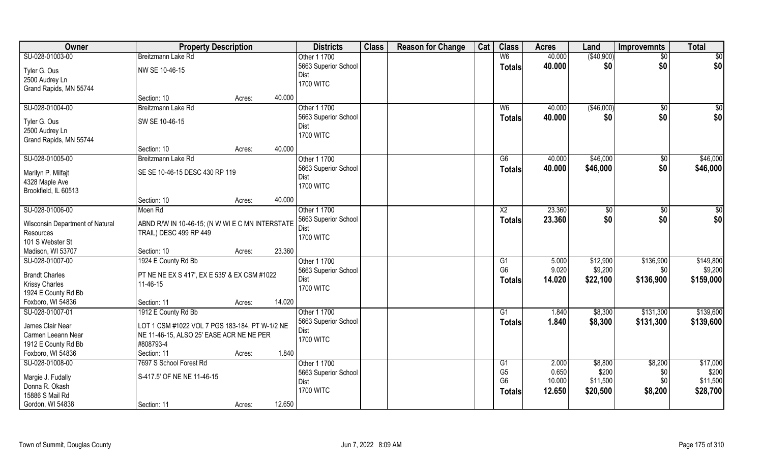| Owner                           | <b>Property Description</b>                     |        |        | <b>Districts</b>     | <b>Class</b> | <b>Reason for Change</b> | Cat | <b>Class</b>   | <b>Acres</b> | Land        | <b>Improvemnts</b> | <b>Total</b> |
|---------------------------------|-------------------------------------------------|--------|--------|----------------------|--------------|--------------------------|-----|----------------|--------------|-------------|--------------------|--------------|
| SU-028-01003-00                 | Breitzmann Lake Rd                              |        |        | Other 1 1700         |              |                          |     | W6             | 40.000       | (\$40,900)  | $\overline{50}$    | \$0          |
| Tyler G. Ous                    | NW SE 10-46-15                                  |        |        | 5663 Superior School |              |                          |     | <b>Totals</b>  | 40.000       | \$0         | \$0                | \$0          |
| 2500 Audrey Ln                  |                                                 |        |        | Dist                 |              |                          |     |                |              |             |                    |              |
| Grand Rapids, MN 55744          |                                                 |        |        | <b>1700 WITC</b>     |              |                          |     |                |              |             |                    |              |
|                                 | Section: 10                                     | Acres: | 40.000 |                      |              |                          |     |                |              |             |                    |              |
| SU-028-01004-00                 | Breitzmann Lake Rd                              |        |        | Other 1 1700         |              |                          |     | W6             | 40.000       | ( \$46,000) | $\sqrt{6}$         | \$0          |
| Tyler G. Ous                    | SW SE 10-46-15                                  |        |        | 5663 Superior School |              |                          |     | <b>Totals</b>  | 40.000       | \$0         | \$0                | \$0          |
| 2500 Audrey Ln                  |                                                 |        |        | Dist                 |              |                          |     |                |              |             |                    |              |
| Grand Rapids, MN 55744          |                                                 |        |        | <b>1700 WITC</b>     |              |                          |     |                |              |             |                    |              |
|                                 | Section: 10                                     | Acres: | 40.000 |                      |              |                          |     |                |              |             |                    |              |
| SU-028-01005-00                 | Breitzmann Lake Rd                              |        |        | Other 1 1700         |              |                          |     | G6             | 40.000       | \$46,000    | \$0                | \$46,000     |
|                                 |                                                 |        |        | 5663 Superior School |              |                          |     | <b>Totals</b>  | 40.000       | \$46,000    | \$0                | \$46,000     |
| Marilyn P. Milfajt              | SE SE 10-46-15 DESC 430 RP 119                  |        |        | Dist                 |              |                          |     |                |              |             |                    |              |
| 4328 Maple Ave                  |                                                 |        |        | <b>1700 WITC</b>     |              |                          |     |                |              |             |                    |              |
| Brookfield, IL 60513            |                                                 |        |        |                      |              |                          |     |                |              |             |                    |              |
|                                 | Section: 10                                     | Acres: | 40.000 |                      |              |                          |     |                |              |             |                    |              |
| SU-028-01006-00                 | Moen Rd                                         |        |        | Other 1 1700         |              |                          |     | X <sub>2</sub> | 23.360       | \$0         | \$0                | \$0          |
| Wisconsin Department of Natural | ABND R/W IN 10-46-15; (N W WI E C MN INTERSTATE |        |        | 5663 Superior School |              |                          |     | <b>Totals</b>  | 23.360       | \$0         | \$0                | \$0          |
| Resources                       | TRAIL) DESC 499 RP 449                          |        |        | Dist                 |              |                          |     |                |              |             |                    |              |
| 101 S Webster St                |                                                 |        |        | <b>1700 WITC</b>     |              |                          |     |                |              |             |                    |              |
| Madison, WI 53707               | Section: 10                                     | Acres: | 23.360 |                      |              |                          |     |                |              |             |                    |              |
| SU-028-01007-00                 | 1924 E County Rd Bb                             |        |        | Other 1 1700         |              |                          |     | G1             | 5.000        | \$12,900    | \$136,900          | \$149,800    |
| <b>Brandt Charles</b>           | PT NE NE EX S 417', EX E 535' & EX CSM #1022    |        |        | 5663 Superior School |              |                          |     | G <sub>6</sub> | 9.020        | \$9,200     | \$0                | \$9,200      |
| <b>Krissy Charles</b>           | 11-46-15                                        |        |        | Dist                 |              |                          |     | Totals         | 14.020       | \$22,100    | \$136,900          | \$159,000    |
| 1924 E County Rd Bb             |                                                 |        |        | <b>1700 WITC</b>     |              |                          |     |                |              |             |                    |              |
| Foxboro, WI 54836               | Section: 11                                     | Acres: | 14.020 |                      |              |                          |     |                |              |             |                    |              |
| SU-028-01007-01                 | 1912 E County Rd Bb                             |        |        | Other 1 1700         |              |                          |     | G1             | 1.840        | \$8,300     | \$131,300          | \$139,600    |
|                                 |                                                 |        |        | 5663 Superior School |              |                          |     | <b>Totals</b>  | 1.840        | \$8,300     | \$131,300          | \$139,600    |
| James Clair Near                | LOT 1 CSM #1022 VOL 7 PGS 183-184, PT W-1/2 NE  |        |        | Dist                 |              |                          |     |                |              |             |                    |              |
| Carmen Leeann Near              | NE 11-46-15, ALSO 25' EASE ACR NE NE PER        |        |        | <b>1700 WITC</b>     |              |                          |     |                |              |             |                    |              |
| 1912 E County Rd Bb             | #808793-4                                       |        |        |                      |              |                          |     |                |              |             |                    |              |
| Foxboro, WI 54836               | Section: 11                                     | Acres: | 1.840  |                      |              |                          |     |                |              |             |                    |              |
| SU-028-01008-00                 | 7697 S School Forest Rd                         |        |        | Other 1 1700         |              |                          |     | G1             | 2.000        | \$8,800     | \$8,200            | \$17,000     |
| Margie J. Fudally               | S-417.5' OF NE NE 11-46-15                      |        |        | 5663 Superior School |              |                          |     | G <sub>5</sub> | 0.650        | \$200       | \$0                | \$200        |
| Donna R. Okash                  |                                                 |        |        | Dist                 |              |                          |     | G <sub>6</sub> | 10.000       | \$11,500    | \$0                | \$11,500     |
| 15886 S Mail Rd                 |                                                 |        |        | <b>1700 WITC</b>     |              |                          |     | <b>Totals</b>  | 12.650       | \$20,500    | \$8,200            | \$28,700     |
| Gordon, WI 54838                | Section: 11                                     | Acres: | 12.650 |                      |              |                          |     |                |              |             |                    |              |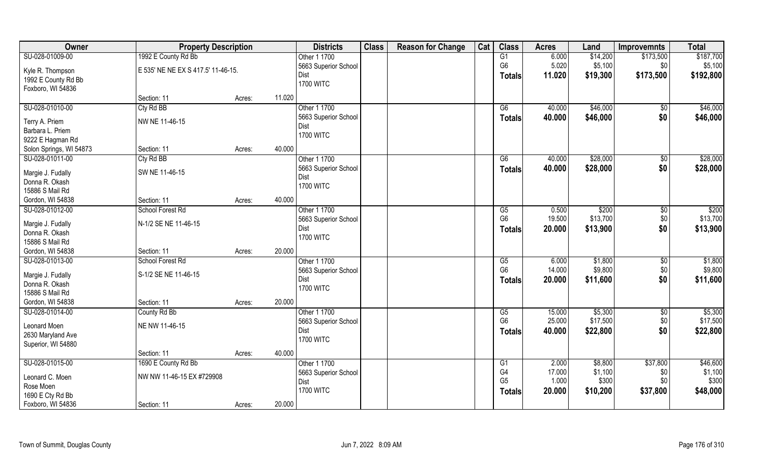| Owner                   | <b>Property Description</b>        |                  | <b>Districts</b>             | <b>Class</b> | <b>Reason for Change</b> | Cat | <b>Class</b>           | <b>Acres</b>    | Land               | <b>Improvemnts</b> | <b>Total</b>        |
|-------------------------|------------------------------------|------------------|------------------------------|--------------|--------------------------|-----|------------------------|-----------------|--------------------|--------------------|---------------------|
| SU-028-01009-00         | 1992 E County Rd Bb                |                  | Other 1 1700                 |              |                          |     | G1                     | 6.000           | \$14,200           | \$173,500          | \$187,700           |
| Kyle R. Thompson        | E 535' NE NE EX S 417.5' 11-46-15. |                  | 5663 Superior School         |              |                          |     | G <sub>6</sub>         | 5.020           | \$5,100            | \$0                | \$5,100             |
| 1992 E County Rd Bb     |                                    |                  | Dist                         |              |                          |     | <b>Totals</b>          | 11.020          | \$19,300           | \$173,500          | \$192,800           |
| Foxboro, WI 54836       |                                    |                  | <b>1700 WITC</b>             |              |                          |     |                        |                 |                    |                    |                     |
|                         | Section: 11                        | 11.020<br>Acres: |                              |              |                          |     |                        |                 |                    |                    |                     |
| SU-028-01010-00         | Cty Rd BB                          |                  | Other 1 1700                 |              |                          |     | G6                     | 40.000          | \$46,000           | $\sqrt[6]{}$       | \$46,000            |
|                         |                                    |                  | 5663 Superior School         |              |                          |     | <b>Totals</b>          | 40.000          | \$46,000           | \$0                | \$46,000            |
| Terry A. Priem          | NW NE 11-46-15                     |                  | Dist                         |              |                          |     |                        |                 |                    |                    |                     |
| Barbara L. Priem        |                                    |                  | <b>1700 WITC</b>             |              |                          |     |                        |                 |                    |                    |                     |
| 9222 E Hagman Rd        |                                    |                  |                              |              |                          |     |                        |                 |                    |                    |                     |
| Solon Springs, WI 54873 | Section: 11                        | 40.000<br>Acres: |                              |              |                          |     |                        |                 |                    |                    |                     |
| SU-028-01011-00         | Cty Rd BB                          |                  | Other 1 1700                 |              |                          |     | G6                     | 40.000          | \$28,000           | \$0                | \$28,000            |
| Margie J. Fudally       | SW NE 11-46-15                     |                  | 5663 Superior School         |              |                          |     | <b>Totals</b>          | 40.000          | \$28,000           | \$0                | \$28,000            |
| Donna R. Okash          |                                    |                  | Dist                         |              |                          |     |                        |                 |                    |                    |                     |
| 15886 S Mail Rd         |                                    |                  | <b>1700 WITC</b>             |              |                          |     |                        |                 |                    |                    |                     |
| Gordon, WI 54838        | Section: 11                        | 40.000<br>Acres: |                              |              |                          |     |                        |                 |                    |                    |                     |
| SU-028-01012-00         | School Forest Rd                   |                  | Other 1 1700                 |              |                          |     | G5                     | 0.500           | \$200              | \$0                | $\overline{$200}$   |
|                         |                                    |                  | 5663 Superior School         |              |                          |     | G <sub>6</sub>         | 19.500          | \$13,700           | \$0                | \$13,700            |
| Margie J. Fudally       | N-1/2 SE NE 11-46-15               |                  | Dist                         |              |                          |     | Totals                 | 20.000          | \$13,900           | \$0                | \$13,900            |
| Donna R. Okash          |                                    |                  | <b>1700 WITC</b>             |              |                          |     |                        |                 |                    |                    |                     |
| 15886 S Mail Rd         |                                    |                  |                              |              |                          |     |                        |                 |                    |                    |                     |
| Gordon, WI 54838        | Section: 11                        | 20,000<br>Acres: |                              |              |                          |     |                        |                 |                    |                    |                     |
| SU-028-01013-00         | School Forest Rd                   |                  | Other 1 1700                 |              |                          |     | $\overline{\text{G5}}$ | 6.000           | \$1,800            | \$0                | \$1,800             |
| Margie J. Fudally       | S-1/2 SE NE 11-46-15               |                  | 5663 Superior School         |              |                          |     | G <sub>6</sub>         | 14.000          | \$9,800            | \$0                | \$9,800             |
| Donna R. Okash          |                                    |                  | Dist                         |              |                          |     | <b>Totals</b>          | 20.000          | \$11,600           | \$0                | \$11,600            |
| 15886 S Mail Rd         |                                    |                  | <b>1700 WITC</b>             |              |                          |     |                        |                 |                    |                    |                     |
| Gordon, WI 54838        | Section: 11                        | 20.000<br>Acres: |                              |              |                          |     |                        |                 |                    |                    |                     |
| SU-028-01014-00         | County Rd Bb                       |                  | Other 1 1700                 |              |                          |     | G5                     | 15.000          | \$5,300            | \$0                | \$5,300             |
| Leonard Moen            | NE NW 11-46-15                     |                  | 5663 Superior School         |              |                          |     | G <sub>6</sub>         | 25.000          | \$17,500           | \$0                | \$17,500            |
| 2630 Maryland Ave       |                                    |                  | Dist                         |              |                          |     | <b>Totals</b>          | 40.000          | \$22,800           | \$0                | \$22,800            |
|                         |                                    |                  | <b>1700 WITC</b>             |              |                          |     |                        |                 |                    |                    |                     |
| Superior, WI 54880      | Section: 11                        | 40.000           |                              |              |                          |     |                        |                 |                    |                    |                     |
|                         |                                    | Acres:           | Other 1 1700                 |              |                          |     |                        |                 |                    |                    |                     |
| SU-028-01015-00         | 1690 E County Rd Bb                |                  |                              |              |                          |     | G1<br>G4               | 2.000<br>17.000 | \$8,800<br>\$1,100 | \$37,800           | \$46,600<br>\$1,100 |
| Leonard C. Moen         | NW NW 11-46-15 EX #729908          |                  | 5663 Superior School<br>Dist |              |                          |     | G <sub>5</sub>         | 1.000           | \$300              | \$0<br>\$0         | \$300               |
| Rose Moen               |                                    |                  | <b>1700 WITC</b>             |              |                          |     |                        | 20.000          |                    |                    |                     |
| 1690 E Cty Rd Bb        |                                    |                  |                              |              |                          |     | Totals                 |                 | \$10,200           | \$37,800           | \$48,000            |
| Foxboro, WI 54836       | Section: 11                        | 20.000<br>Acres: |                              |              |                          |     |                        |                 |                    |                    |                     |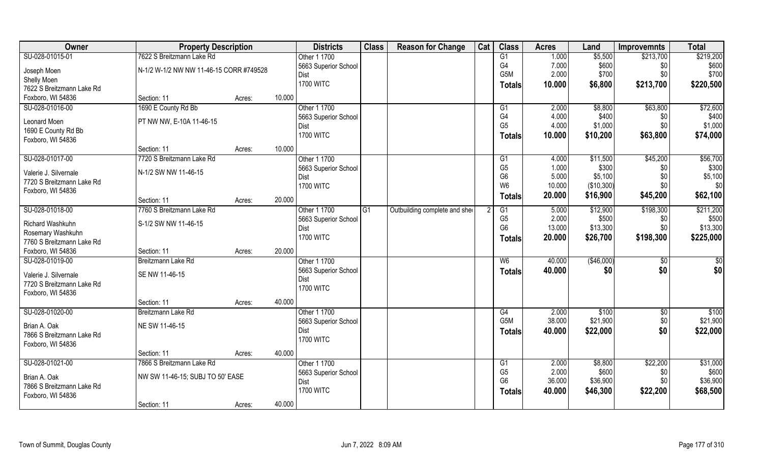| Owner                                 | <b>Property Description</b>             |        | <b>Districts</b> | <b>Class</b>                 | <b>Reason for Change</b> | Cat                           | <b>Class</b> | <b>Acres</b>         | Land           | <b>Improvemnts</b> | <b>Total</b>    |                   |
|---------------------------------------|-----------------------------------------|--------|------------------|------------------------------|--------------------------|-------------------------------|--------------|----------------------|----------------|--------------------|-----------------|-------------------|
| SU-028-01015-01                       | 7622 S Breitzmann Lake Rd               |        |                  | Other 1 1700                 |                          |                               |              | G1                   | 1.000          | \$5,500            | \$213,700       | \$219,200         |
| Joseph Moen                           | N-1/2 W-1/2 NW NW 11-46-15 CORR #749528 |        |                  | 5663 Superior School         |                          |                               |              | G <sub>4</sub>       | 7.000          | \$600              | \$0             | \$600             |
| Shelly Moen                           |                                         |        |                  | Dist                         |                          |                               |              | G <sub>5</sub> M     | 2.000          | \$700              | \$0\$           | \$700             |
| 7622 S Breitzmann Lake Rd             |                                         |        |                  | <b>1700 WITC</b>             |                          |                               |              | <b>Totals</b>        | 10.000         | \$6,800            | \$213,700       | \$220,500         |
| Foxboro, WI 54836                     | Section: 11                             | Acres: | 10.000           |                              |                          |                               |              |                      |                |                    |                 |                   |
| SU-028-01016-00                       | 1690 E County Rd Bb                     |        |                  | Other 1 1700                 |                          |                               |              | G1                   | 2.000          | \$8,800            | \$63,800        | \$72,600          |
|                                       |                                         |        |                  | 5663 Superior School         |                          |                               |              | G4                   | 4.000          | \$400              | \$0             | \$400             |
| Leonard Moen                          | PT NW NW, E-10A 11-46-15                |        |                  | Dist                         |                          |                               |              | G <sub>5</sub>       | 4.000          | \$1,000            | \$0             | \$1,000           |
| 1690 E County Rd Bb                   |                                         |        |                  | <b>1700 WITC</b>             |                          |                               |              | <b>Totals</b>        | 10.000         | \$10,200           | \$63,800        | \$74,000          |
| Foxboro, WI 54836                     | Section: 11                             |        | 10.000           |                              |                          |                               |              |                      |                |                    |                 |                   |
|                                       |                                         | Acres: |                  |                              |                          |                               |              |                      |                |                    |                 |                   |
| SU-028-01017-00                       | 7720 S Breitzmann Lake Rd               |        |                  | Other 1 1700                 |                          |                               |              | G1<br>G <sub>5</sub> | 4.000<br>1.000 | \$11,500<br>\$300  | \$45,200        | \$56,700<br>\$300 |
| Valerie J. Silvernale                 | N-1/2 SW NW 11-46-15                    |        |                  | 5663 Superior School         |                          |                               |              | G <sub>6</sub>       | 5.000          | \$5,100            | \$0<br>\$0      | \$5,100           |
| 7720 S Breitzmann Lake Rd             |                                         |        |                  | Dist<br><b>1700 WITC</b>     |                          |                               |              | W <sub>6</sub>       | 10.000         | (\$10,300)         | \$0             | \$0               |
| Foxboro, WI 54836                     |                                         |        |                  |                              |                          |                               |              |                      | 20.000         |                    |                 | \$62,100          |
|                                       | Section: 11                             | Acres: | 20.000           |                              |                          |                               |              | <b>Totals</b>        |                | \$16,900           | \$45,200        |                   |
| SU-028-01018-00                       | 7760 S Breitzmann Lake Rd               |        |                  | Other 1 1700                 | G1                       | Outbuilding complete and shee |              | G1                   | 5.000          | \$12,900           | \$198,300       | \$211,200         |
|                                       | S-1/2 SW NW 11-46-15                    |        |                  | 5663 Superior School         |                          |                               |              | G <sub>5</sub>       | 2.000          | \$500              | \$0             | \$500             |
| Richard Washkuhn<br>Rosemary Washkuhn |                                         |        |                  | Dist                         |                          |                               |              | G <sub>6</sub>       | 13.000         | \$13,300           | \$0             | \$13,300          |
| 7760 S Breitzmann Lake Rd             |                                         |        |                  | <b>1700 WITC</b>             |                          |                               |              | <b>Totals</b>        | 20.000         | \$26,700           | \$198,300       | \$225,000         |
| Foxboro, WI 54836                     | Section: 11                             | Acres: | 20.000           |                              |                          |                               |              |                      |                |                    |                 |                   |
| SU-028-01019-00                       | Breitzmann Lake Rd                      |        |                  | Other 1 1700                 |                          |                               |              | W <sub>6</sub>       | 40.000         | (\$46,000)         | $\sqrt[6]{}$    | $\frac{6}{3}$     |
|                                       |                                         |        |                  |                              |                          |                               |              |                      | 40.000         | \$0                | \$0             |                   |
| Valerie J. Silvernale                 | SE NW 11-46-15                          |        |                  | 5663 Superior School<br>Dist |                          |                               |              | <b>Totals</b>        |                |                    |                 | \$0               |
| 7720 S Breitzmann Lake Rd             |                                         |        |                  | <b>1700 WITC</b>             |                          |                               |              |                      |                |                    |                 |                   |
| Foxboro, WI 54836                     |                                         |        |                  |                              |                          |                               |              |                      |                |                    |                 |                   |
|                                       | Section: 11                             | Acres: | 40.000           |                              |                          |                               |              |                      |                |                    |                 |                   |
| SU-028-01020-00                       | Breitzmann Lake Rd                      |        |                  | Other 1 1700                 |                          |                               |              | G4                   | 2.000          | \$100              | $\overline{50}$ | \$100             |
| Brian A. Oak                          | NE SW 11-46-15                          |        |                  | 5663 Superior School         |                          |                               |              | G <sub>5</sub> M     | 38.000         | \$21,900           | $$0$$           | \$21,900          |
| 7866 S Breitzmann Lake Rd             |                                         |        |                  | Dist                         |                          |                               |              | <b>Totals</b>        | 40.000         | \$22,000           | \$0             | \$22,000          |
| Foxboro, WI 54836                     |                                         |        |                  | <b>1700 WITC</b>             |                          |                               |              |                      |                |                    |                 |                   |
|                                       | Section: 11                             | Acres: | 40.000           |                              |                          |                               |              |                      |                |                    |                 |                   |
| SU-028-01021-00                       | 7866 S Breitzmann Lake Rd               |        |                  | Other 1 1700                 |                          |                               |              | G1                   | 2.000          | \$8,800            | \$22,200        | \$31,000          |
|                                       |                                         |        |                  | 5663 Superior School         |                          |                               |              | G <sub>5</sub>       | 2.000          | \$600              | \$0             | \$600             |
| Brian A. Oak                          | NW SW 11-46-15; SUBJ TO 50' EASE        |        |                  | Dist                         |                          |                               |              | G <sub>6</sub>       | 36.000         | \$36,900           | \$0             | \$36,900          |
| 7866 S Breitzmann Lake Rd             |                                         |        |                  | <b>1700 WITC</b>             |                          |                               |              | <b>Totals</b>        | 40.000         | \$46,300           | \$22,200        | \$68,500          |
| Foxboro, WI 54836                     |                                         |        |                  |                              |                          |                               |              |                      |                |                    |                 |                   |
|                                       | Section: 11                             | Acres: | 40.000           |                              |                          |                               |              |                      |                |                    |                 |                   |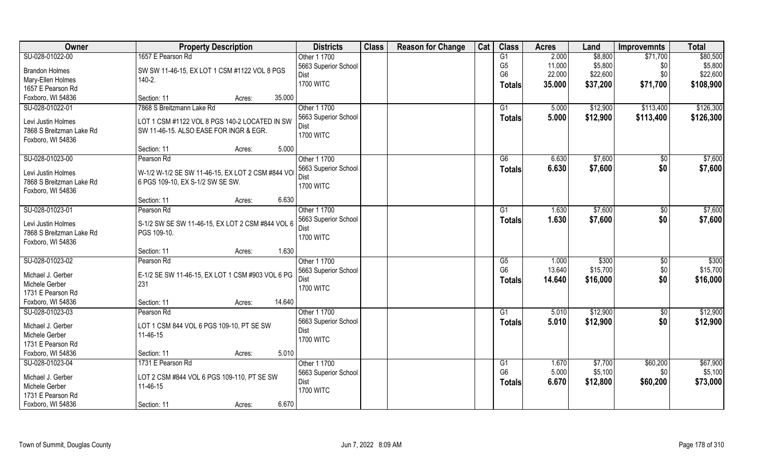| Owner                    | <b>Property Description</b>                      | <b>Districts</b>     | <b>Class</b> | <b>Reason for Change</b> | Cat | <b>Class</b>    | <b>Acres</b> | Land     | <b>Improvemnts</b> | <b>Total</b>      |
|--------------------------|--------------------------------------------------|----------------------|--------------|--------------------------|-----|-----------------|--------------|----------|--------------------|-------------------|
| SU-028-01022-00          | 1657 E Pearson Rd                                | Other 1 1700         |              |                          |     | G1              | 2.000        | \$8,800  | \$71,700           | \$80,500          |
| <b>Brandon Holmes</b>    | SW SW 11-46-15, EX LOT 1 CSM #1122 VOL 8 PGS     | 5663 Superior School |              |                          |     | G <sub>5</sub>  | 11.000       | \$5,800  | \$0                | \$5,800           |
| Mary-Ellen Holmes        | $140 - 2.$                                       | Dist                 |              |                          |     | G <sub>6</sub>  | 22.000       | \$22,600 | \$0                | \$22,600          |
| 1657 E Pearson Rd        |                                                  | <b>1700 WITC</b>     |              |                          |     | <b>Totals</b>   | 35.000       | \$37,200 | \$71,700           | \$108,900         |
| Foxboro, WI 54836        | 35.000<br>Section: 11<br>Acres:                  |                      |              |                          |     |                 |              |          |                    |                   |
| SU-028-01022-01          | 7868 S Breitzmann Lake Rd                        | Other 1 1700         |              |                          |     | $\overline{G1}$ | 5.000        | \$12,900 | \$113,400          | \$126,300         |
|                          |                                                  | 5663 Superior School |              |                          |     |                 | 5.000        | \$12,900 | \$113,400          | \$126,300         |
| Levi Justin Holmes       | LOT 1 CSM #1122 VOL 8 PGS 140-2 LOCATED IN SW    | Dist                 |              |                          |     | <b>Totals</b>   |              |          |                    |                   |
| 7868 S Breitzman Lake Rd | SW 11-46-15. ALSO EASE FOR INGR & EGR.           | <b>1700 WITC</b>     |              |                          |     |                 |              |          |                    |                   |
| Foxboro, WI 54836        |                                                  |                      |              |                          |     |                 |              |          |                    |                   |
|                          | 5.000<br>Section: 11<br>Acres:                   |                      |              |                          |     |                 |              |          |                    |                   |
| SU-028-01023-00          | Pearson Rd                                       | Other 1 1700         |              |                          |     | G6              | 6.630        | \$7,600  | $\sqrt[6]{30}$     | \$7,600           |
| Levi Justin Holmes       | W-1/2 W-1/2 SE SW 11-46-15, EX LOT 2 CSM #844 VO | 5663 Superior School |              |                          |     | <b>Totals</b>   | 6.630        | \$7,600  | \$0                | \$7,600           |
| 7868 S Breitzman Lake Rd | 6 PGS 109-10, EX S-1/2 SW SE SW.                 | Dist                 |              |                          |     |                 |              |          |                    |                   |
| Foxboro, WI 54836        |                                                  | <b>1700 WITC</b>     |              |                          |     |                 |              |          |                    |                   |
|                          | 6.630<br>Section: 11<br>Acres:                   |                      |              |                          |     |                 |              |          |                    |                   |
| SU-028-01023-01          | Pearson Rd                                       | Other 1 1700         |              |                          |     | G1              | 1.630        | \$7,600  | $\sqrt[6]{3}$      | \$7,600           |
|                          |                                                  | 5663 Superior School |              |                          |     |                 |              |          |                    |                   |
| Levi Justin Holmes       | S-1/2 SW SE SW 11-46-15, EX LOT 2 CSM #844 VOL 6 | Dist                 |              |                          |     | <b>Totals</b>   | 1.630        | \$7,600  | \$0                | \$7,600           |
| 7868 S Breitzman Lake Rd | PGS 109-10.                                      | <b>1700 WITC</b>     |              |                          |     |                 |              |          |                    |                   |
| Foxboro, WI 54836        |                                                  |                      |              |                          |     |                 |              |          |                    |                   |
|                          | 1.630<br>Section: 11<br>Acres:                   |                      |              |                          |     |                 |              |          |                    |                   |
| SU-028-01023-02          | Pearson Rd                                       | Other 1 1700         |              |                          |     | G5              | 1.000        | \$300    | $\sqrt[6]{3}$      | $\overline{$300}$ |
| Michael J. Gerber        | E-1/2 SE SW 11-46-15, EX LOT 1 CSM #903 VOL 6 PG | 5663 Superior School |              |                          |     | G <sub>6</sub>  | 13.640       | \$15,700 | \$0                | \$15,700          |
| Michele Gerber           | 231                                              | Dist                 |              |                          |     | Totals          | 14.640       | \$16,000 | \$0                | \$16,000          |
| 1731 E Pearson Rd        |                                                  | <b>1700 WITC</b>     |              |                          |     |                 |              |          |                    |                   |
| Foxboro, WI 54836        | 14.640<br>Section: 11<br>Acres:                  |                      |              |                          |     |                 |              |          |                    |                   |
| SU-028-01023-03          | Pearson Rd                                       | Other 1 1700         |              |                          |     | G1              | 5.010        | \$12,900 | $\sqrt{6}$         | \$12,900          |
|                          |                                                  | 5663 Superior School |              |                          |     |                 | 5.010        | \$12,900 | \$0                | \$12,900          |
| Michael J. Gerber        | LOT 1 CSM 844 VOL 6 PGS 109-10, PT SE SW         | Dist                 |              |                          |     | <b>Totals</b>   |              |          |                    |                   |
| Michele Gerber           | 11-46-15                                         | <b>1700 WITC</b>     |              |                          |     |                 |              |          |                    |                   |
| 1731 E Pearson Rd        |                                                  |                      |              |                          |     |                 |              |          |                    |                   |
| Foxboro, WI 54836        | 5.010<br>Section: 11<br>Acres:                   |                      |              |                          |     |                 |              |          |                    |                   |
| SU-028-01023-04          | 1731 E Pearson Rd                                | Other 1 1700         |              |                          |     | G1              | 1.670        | \$7,700  | \$60,200           | \$67,900          |
| Michael J. Gerber        | LOT 2 CSM #844 VOL 6 PGS 109-110, PT SE SW       | 5663 Superior School |              |                          |     | G <sub>6</sub>  | 5.000        | \$5,100  | \$0                | \$5,100           |
| Michele Gerber           | 11-46-15                                         | Dist                 |              |                          |     | Totals          | 6.670        | \$12,800 | \$60,200           | \$73,000          |
| 1731 E Pearson Rd        |                                                  | <b>1700 WITC</b>     |              |                          |     |                 |              |          |                    |                   |
| Foxboro, WI 54836        | 6.670<br>Section: 11<br>Acres:                   |                      |              |                          |     |                 |              |          |                    |                   |
|                          |                                                  |                      |              |                          |     |                 |              |          |                    |                   |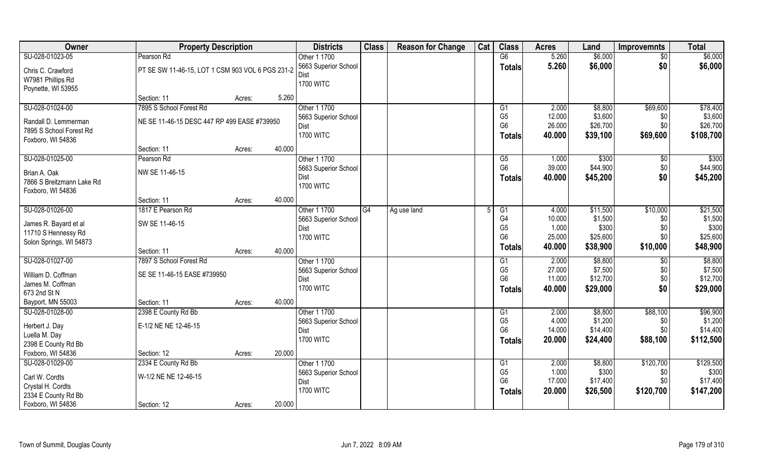| <b>Owner</b>                             | <b>Property Description</b>                      |        |        | <b>Districts</b>     | <b>Class</b> | <b>Reason for Change</b> | Cat | <b>Class</b>         | <b>Acres</b> | Land     | <b>Improvemnts</b> | <b>Total</b> |
|------------------------------------------|--------------------------------------------------|--------|--------|----------------------|--------------|--------------------------|-----|----------------------|--------------|----------|--------------------|--------------|
| SU-028-01023-05                          | Pearson Rd                                       |        |        | Other 1 1700         |              |                          |     | G6                   | 5.260        | \$6,000  | \$0                | \$6,000      |
| Chris C. Crawford                        | PT SE SW 11-46-15, LOT 1 CSM 903 VOL 6 PGS 231-2 |        |        | 5663 Superior School |              |                          |     | <b>Totals</b>        | 5.260        | \$6,000  | \$0                | \$6,000      |
| W7981 Phillips Rd                        |                                                  |        |        | Dist                 |              |                          |     |                      |              |          |                    |              |
| Poynette, WI 53955                       |                                                  |        |        | <b>1700 WITC</b>     |              |                          |     |                      |              |          |                    |              |
|                                          | Section: 11                                      | Acres: | 5.260  |                      |              |                          |     |                      |              |          |                    |              |
| SU-028-01024-00                          | 7895 S School Forest Rd                          |        |        | Other 1 1700         |              |                          |     | G <sub>1</sub>       | 2.000        | \$8,800  | \$69,600           | \$78,400     |
| Randall D. Lemmerman                     | NE SE 11-46-15 DESC 447 RP 499 EASE #739950      |        |        | 5663 Superior School |              |                          |     | G <sub>5</sub>       | 12.000       | \$3,600  | \$0                | \$3,600      |
| 7895 S School Forest Rd                  |                                                  |        |        | Dist                 |              |                          |     | G <sub>6</sub>       | 26.000       | \$26,700 | \$0                | \$26,700     |
| Foxboro, WI 54836                        |                                                  |        |        | <b>1700 WITC</b>     |              |                          |     | <b>Totals</b>        | 40.000       | \$39,100 | \$69,600           | \$108,700    |
|                                          | Section: 11                                      | Acres: | 40.000 |                      |              |                          |     |                      |              |          |                    |              |
| SU-028-01025-00                          | Pearson Rd                                       |        |        | Other 1 1700         |              |                          |     | G5                   | 1.000        | \$300    | \$0                | \$300        |
| Brian A. Oak                             | NW SE 11-46-15                                   |        |        | 5663 Superior School |              |                          |     | G <sub>6</sub>       | 39.000       | \$44,900 | \$0                | \$44,900     |
| 7866 S Breitzmann Lake Rd                |                                                  |        |        | Dist                 |              |                          |     | <b>Totals</b>        | 40.000       | \$45,200 | \$0                | \$45,200     |
| Foxboro, WI 54836                        |                                                  |        |        | <b>1700 WITC</b>     |              |                          |     |                      |              |          |                    |              |
|                                          | Section: 11                                      | Acres: | 40.000 |                      |              |                          |     |                      |              |          |                    |              |
| SU-028-01026-00                          | 1817 E Pearson Rd                                |        |        | Other 1 1700         | G4           | Ag use land              |     | G1                   | 4.000        | \$11,500 | \$10,000           | \$21,500     |
| James R. Bayard et al                    | SW SE 11-46-15                                   |        |        | 5663 Superior School |              |                          |     | G4                   | 10.000       | \$1,500  | \$0                | \$1,500      |
| 11710 S Hennessy Rd                      |                                                  |        |        | Dist                 |              |                          |     | G <sub>5</sub>       | 1.000        | \$300    | \$0                | \$300        |
| Solon Springs, WI 54873                  |                                                  |        |        | <b>1700 WITC</b>     |              |                          |     | G <sub>6</sub>       | 25.000       | \$25,600 | \$0                | \$25,600     |
|                                          | Section: 11                                      | Acres: | 40.000 |                      |              |                          |     | <b>Totals</b>        | 40.000       | \$38,900 | \$10,000           | \$48,900     |
| SU-028-01027-00                          | 7897 S School Forest Rd                          |        |        | Other 1 1700         |              |                          |     | G1                   | 2.000        | \$8,800  | \$0                | \$8,800      |
| William D. Coffman                       | SE SE 11-46-15 EASE #739950                      |        |        | 5663 Superior School |              |                          |     | G <sub>5</sub>       | 27.000       | \$7,500  | \$0                | \$7,500      |
| James M. Coffman                         |                                                  |        |        | Dist                 |              |                          |     | G <sub>6</sub>       | 11.000       | \$12,700 | \$0                | \$12,700     |
| 673 2nd St N                             |                                                  |        |        | <b>1700 WITC</b>     |              |                          |     | <b>Totals</b>        | 40.000       | \$29,000 | \$0                | \$29,000     |
| Bayport, MN 55003                        | Section: 11                                      | Acres: | 40.000 |                      |              |                          |     |                      |              |          |                    |              |
| SU-028-01028-00                          | 2398 E County Rd Bb                              |        |        | Other 1 1700         |              |                          |     | G1                   | 2.000        | \$8,800  | \$88,100           | \$96,900     |
|                                          |                                                  |        |        | 5663 Superior School |              |                          |     | G <sub>5</sub>       | 4.000        | \$1,200  | \$0                | \$1,200      |
| Herbert J. Day                           | E-1/2 NE NE 12-46-15                             |        |        | Dist                 |              |                          |     | G <sub>6</sub>       | 14.000       | \$14,400 | \$0                | \$14,400     |
| Luella M. Day                            |                                                  |        |        | <b>1700 WITC</b>     |              |                          |     | <b>Totals</b>        | 20.000       | \$24,400 | \$88,100           | \$112,500    |
| 2398 E County Rd Bb<br>Foxboro, WI 54836 |                                                  |        | 20.000 |                      |              |                          |     |                      |              |          |                    |              |
| SU-028-01029-00                          | Section: 12<br>2334 E County Rd Bb               | Acres: |        | Other 1 1700         |              |                          |     |                      | 2.000        | \$8,800  | \$120,700          | \$129,500    |
|                                          |                                                  |        |        | 5663 Superior School |              |                          |     | G1<br>G <sub>5</sub> | 1.000        | \$300    | \$0                | \$300        |
| Carl W. Cordts                           | W-1/2 NE NE 12-46-15                             |        |        | Dist                 |              |                          |     | G <sub>6</sub>       | 17.000       | \$17,400 | \$0                | \$17,400     |
| Crystal H. Cordts                        |                                                  |        |        | <b>1700 WITC</b>     |              |                          |     |                      | 20.000       | \$26,500 | \$120,700          | \$147,200    |
| 2334 E County Rd Bb                      |                                                  |        |        |                      |              |                          |     | Totals               |              |          |                    |              |
| Foxboro, WI 54836                        | Section: 12                                      | Acres: | 20.000 |                      |              |                          |     |                      |              |          |                    |              |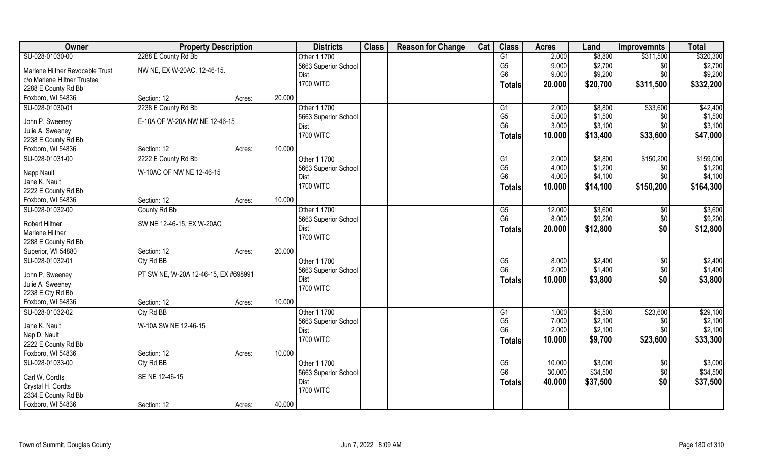| Owner                           | <b>Property Description</b>          |                  | <b>Districts</b>     | <b>Class</b> | <b>Reason for Change</b> | Cat | <b>Class</b>           | <b>Acres</b> | Land     | <b>Improvemnts</b> | <b>Total</b> |
|---------------------------------|--------------------------------------|------------------|----------------------|--------------|--------------------------|-----|------------------------|--------------|----------|--------------------|--------------|
| SU-028-01030-00                 | 2288 E County Rd Bb                  |                  | Other 1 1700         |              |                          |     | G1                     | 2.000        | \$8,800  | \$311,500          | \$320,300    |
| Marlene Hiltner Revocable Trust | NW NE, EX W-20AC, 12-46-15.          |                  | 5663 Superior School |              |                          |     | G <sub>5</sub>         | 9.000        | \$2,700  | \$0                | \$2,700      |
| c/o Marlene Hiltner Trustee     |                                      |                  | Dist                 |              |                          |     | G <sub>6</sub>         | 9.000        | \$9,200  | \$0                | \$9,200      |
| 2288 E County Rd Bb             |                                      |                  | <b>1700 WITC</b>     |              |                          |     | Totals                 | 20.000       | \$20,700 | \$311,500          | \$332,200    |
| Foxboro, WI 54836               | Section: 12                          | 20.000           |                      |              |                          |     |                        |              |          |                    |              |
|                                 |                                      | Acres:           |                      |              |                          |     |                        |              |          |                    |              |
| SU-028-01030-01                 | 2238 E County Rd Bb                  |                  | Other 1 1700         |              |                          |     | G1                     | 2.000        | \$8,800  | \$33,600           | \$42,400     |
| John P. Sweeney                 | E-10A OF W-20A NW NE 12-46-15        |                  | 5663 Superior School |              |                          |     | G <sub>5</sub>         | 5.000        | \$1,500  | \$0                | \$1,500      |
| Julie A. Sweeney                |                                      |                  | Dist                 |              |                          |     | G <sub>6</sub>         | 3.000        | \$3,100  | \$0                | \$3,100      |
| 2238 E County Rd Bb             |                                      |                  | <b>1700 WITC</b>     |              |                          |     | Totals                 | 10.000       | \$13,400 | \$33,600           | \$47,000     |
| Foxboro, WI 54836               | Section: 12                          | 10.000<br>Acres: |                      |              |                          |     |                        |              |          |                    |              |
| SU-028-01031-00                 | 2222 E County Rd Bb                  |                  | Other 1 1700         |              |                          |     | G1                     | 2.000        | \$8,800  | \$150,200          | \$159,000    |
|                                 | W-10AC OF NW NE 12-46-15             |                  | 5663 Superior School |              |                          |     | G <sub>5</sub>         | 4.000        | \$1,200  | \$0                | \$1,200      |
| Napp Nault                      |                                      |                  | Dist                 |              |                          |     | G <sub>6</sub>         | 4.000        | \$4,100  | \$0                | \$4,100      |
| Jane K. Nault                   |                                      |                  | <b>1700 WITC</b>     |              |                          |     | Totals                 | 10.000       | \$14,100 | \$150,200          | \$164,300    |
| 2222 E County Rd Bb             |                                      |                  |                      |              |                          |     |                        |              |          |                    |              |
| Foxboro, WI 54836               | Section: 12                          | 10.000<br>Acres: |                      |              |                          |     |                        |              |          |                    |              |
| SU-028-01032-00                 | County Rd Bb                         |                  | Other 1 1700         |              |                          |     | G5                     | 12.000       | \$3,600  | \$0                | \$3,600      |
| Robert Hiltner                  | SW NE 12-46-15, EX W-20AC            |                  | 5663 Superior School |              |                          |     | G <sub>6</sub>         | 8.000        | \$9,200  | \$0                | \$9,200      |
| Marlene Hiltner                 |                                      |                  | Dist                 |              |                          |     | <b>Totals</b>          | 20.000       | \$12,800 | \$0                | \$12,800     |
| 2288 E County Rd Bb             |                                      |                  | <b>1700 WITC</b>     |              |                          |     |                        |              |          |                    |              |
| Superior, WI 54880              | Section: 12                          | 20.000<br>Acres: |                      |              |                          |     |                        |              |          |                    |              |
| SU-028-01032-01                 | Cty Rd BB                            |                  | Other 1 1700         |              |                          |     | $\overline{\text{G5}}$ | 8.000        | \$2,400  | $\overline{60}$    | \$2,400      |
|                                 |                                      |                  | 5663 Superior School |              |                          |     | G <sub>6</sub>         | 2.000        | \$1,400  | \$0                | \$1,400      |
| John P. Sweeney                 | PT SW NE, W-20A 12-46-15, EX #698991 |                  | Dist                 |              |                          |     | <b>Totals</b>          | 10.000       | \$3,800  | \$0                | \$3,800      |
| Julie A. Sweeney                |                                      |                  | <b>1700 WITC</b>     |              |                          |     |                        |              |          |                    |              |
| 2238 E Cty Rd Bb                |                                      |                  |                      |              |                          |     |                        |              |          |                    |              |
| Foxboro, WI 54836               | Section: 12                          | 10.000<br>Acres: |                      |              |                          |     |                        |              |          |                    |              |
| SU-028-01032-02                 | Cty Rd BB                            |                  | Other 1 1700         |              |                          |     | G1                     | 1.000        | \$5,500  | \$23,600           | \$29,100     |
| Jane K. Nault                   | W-10A SW NE 12-46-15                 |                  | 5663 Superior School |              |                          |     | G <sub>5</sub>         | 7.000        | \$2,100  | \$0                | \$2,100      |
| Nap D. Nault                    |                                      |                  | Dist                 |              |                          |     | G <sub>6</sub>         | 2.000        | \$2,100  | \$0                | \$2,100      |
| 2222 E County Rd Bb             |                                      |                  | <b>1700 WITC</b>     |              |                          |     | <b>Totals</b>          | 10.000       | \$9,700  | \$23,600           | \$33,300     |
| Foxboro, WI 54836               | Section: 12                          | 10.000<br>Acres: |                      |              |                          |     |                        |              |          |                    |              |
| SU-028-01033-00                 | Cty Rd BB                            |                  | Other 1 1700         |              |                          |     | G5                     | 10.000       | \$3,000  | $\sqrt{6}$         | \$3,000      |
|                                 |                                      |                  | 5663 Superior School |              |                          |     | G <sub>6</sub>         | 30.000       | \$34,500 | \$0                | \$34,500     |
| Carl W. Cordts                  | SE NE 12-46-15                       |                  | Dist                 |              |                          |     | <b>Totals</b>          | 40.000       | \$37,500 | \$0                | \$37,500     |
| Crystal H. Cordts               |                                      |                  | <b>1700 WITC</b>     |              |                          |     |                        |              |          |                    |              |
| 2334 E County Rd Bb             |                                      |                  |                      |              |                          |     |                        |              |          |                    |              |
| Foxboro, WI 54836               | Section: 12                          | 40.000<br>Acres: |                      |              |                          |     |                        |              |          |                    |              |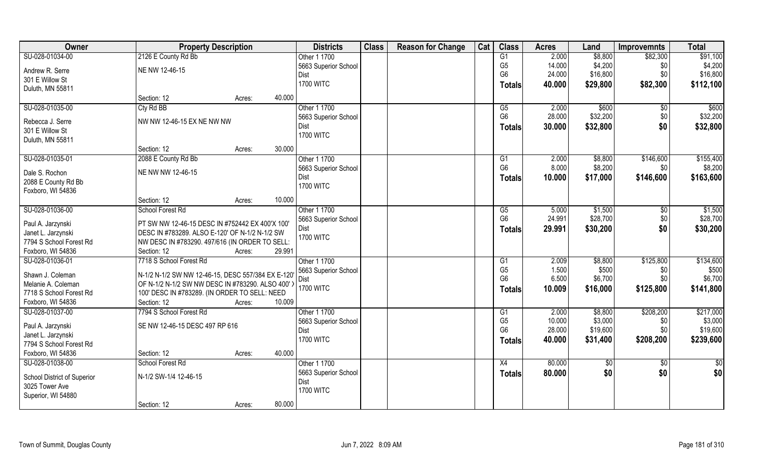| Owner                               | <b>Property Description</b>                       |        |        | <b>Districts</b>     | <b>Class</b> | <b>Reason for Change</b> | Cat | <b>Class</b>   | <b>Acres</b> | Land       | <b>Improvemnts</b> | <b>Total</b> |
|-------------------------------------|---------------------------------------------------|--------|--------|----------------------|--------------|--------------------------|-----|----------------|--------------|------------|--------------------|--------------|
| SU-028-01034-00                     | 2126 E County Rd Bb                               |        |        | Other 1 1700         |              |                          |     | G1             | 2.000        | \$8,800    | \$82,300           | \$91,100     |
| Andrew R. Serre                     | NE NW 12-46-15                                    |        |        | 5663 Superior School |              |                          |     | G <sub>5</sub> | 14.000       | \$4,200    | \$0                | \$4,200      |
| 301 E Willow St                     |                                                   |        |        | Dist                 |              |                          |     | G <sub>6</sub> | 24.000       | \$16,800   | \$0                | \$16,800     |
| Duluth, MN 55811                    |                                                   |        |        | <b>1700 WITC</b>     |              |                          |     | Totals         | 40.000       | \$29,800   | \$82,300           | \$112,100    |
|                                     | Section: 12                                       | Acres: | 40.000 |                      |              |                          |     |                |              |            |                    |              |
| SU-028-01035-00                     | Cty Rd BB                                         |        |        | Other 1 1700         |              |                          |     | G5             | 2.000        | \$600      | $\sqrt[6]{}$       | \$600        |
|                                     | NW NW 12-46-15 EX NE NW NW                        |        |        | 5663 Superior School |              |                          |     | G <sub>6</sub> | 28.000       | \$32,200   | \$0                | \$32,200     |
| Rebecca J. Serre<br>301 E Willow St |                                                   |        |        | Dist                 |              |                          |     | <b>Totals</b>  | 30.000       | \$32,800   | \$0                | \$32,800     |
| Duluth, MN 55811                    |                                                   |        |        | <b>1700 WITC</b>     |              |                          |     |                |              |            |                    |              |
|                                     | Section: 12                                       | Acres: | 30.000 |                      |              |                          |     |                |              |            |                    |              |
| SU-028-01035-01                     | 2088 E County Rd Bb                               |        |        | Other 1 1700         |              |                          |     | G1             | 2.000        | \$8,800    | \$146,600          | \$155,400    |
|                                     |                                                   |        |        | 5663 Superior School |              |                          |     | G <sub>6</sub> | 8.000        | \$8,200    | \$0                | \$8,200      |
| Dale S. Rochon                      | NE NW NW 12-46-15                                 |        |        | Dist                 |              |                          |     |                | 10.000       | \$17,000   | \$146,600          | \$163,600    |
| 2088 E County Rd Bb                 |                                                   |        |        | <b>1700 WITC</b>     |              |                          |     | <b>Totals</b>  |              |            |                    |              |
| Foxboro, WI 54836                   |                                                   |        |        |                      |              |                          |     |                |              |            |                    |              |
|                                     | Section: 12                                       | Acres: | 10.000 |                      |              |                          |     |                |              |            |                    |              |
| SU-028-01036-00                     | School Forest Rd                                  |        |        | Other 1 1700         |              |                          |     | G5             | 5.000        | \$1,500    | \$0                | \$1,500      |
| Paul A. Jarzynski                   | PT SW NW 12-46-15 DESC IN #752442 EX 400'X 100'   |        |        | 5663 Superior School |              |                          |     | G <sub>6</sub> | 24.991       | \$28,700   | \$0                | \$28,700     |
| Janet L. Jarzynski                  | DESC IN #783289. ALSO E-120' OF N-1/2 N-1/2 SW    |        |        | Dist                 |              |                          |     | <b>Totals</b>  | 29.991       | \$30,200   | \$0                | \$30,200     |
| 7794 S School Forest Rd             | NW DESC IN #783290. 497/616 (IN ORDER TO SELL:    |        |        | <b>1700 WITC</b>     |              |                          |     |                |              |            |                    |              |
| Foxboro, WI 54836                   | Section: 12                                       | Acres: | 29.991 |                      |              |                          |     |                |              |            |                    |              |
| SU-028-01036-01                     | 7718 S School Forest Rd                           |        |        | Other 1 1700         |              |                          |     | G1             | 2.009        | \$8,800    | \$125,800          | \$134,600    |
|                                     |                                                   |        |        | 5663 Superior School |              |                          |     | G <sub>5</sub> | 1.500        | \$500      | \$0                | \$500        |
| Shawn J. Coleman                    | N-1/2 N-1/2 SW NW 12-46-15, DESC 557/384 EX E-120 |        |        | Dist                 |              |                          |     | G <sub>6</sub> | 6.500        | \$6,700    | \$0                | \$6,700      |
| Melanie A. Coleman                  | OF N-1/2 N-1/2 SW NW DESC IN #783290. ALSO 400' > |        |        | <b>1700 WITC</b>     |              |                          |     | <b>Totals</b>  | 10.009       | \$16,000   | \$125,800          | \$141,800    |
| 7718 S School Forest Rd             | 100' DESC IN #783289. (IN ORDER TO SELL: NEED     |        |        |                      |              |                          |     |                |              |            |                    |              |
| Foxboro, WI 54836                   | Section: 12                                       | Acres: | 10.009 |                      |              |                          |     |                |              |            |                    |              |
| SU-028-01037-00                     | 7794 S School Forest Rd                           |        |        | Other 1 1700         |              |                          |     | G1             | 2.000        | \$8,800    | \$208,200          | \$217,000    |
| Paul A. Jarzynski                   | SE NW 12-46-15 DESC 497 RP 616                    |        |        | 5663 Superior School |              |                          |     | G <sub>5</sub> | 10.000       | \$3,000    | \$0                | \$3,000      |
| Janet L. Jarzynski                  |                                                   |        |        | Dist                 |              |                          |     | G <sub>6</sub> | 28.000       | \$19,600   | \$0                | \$19,600     |
| 7794 S School Forest Rd             |                                                   |        |        | <b>1700 WITC</b>     |              |                          |     | <b>Totals</b>  | 40.000       | \$31,400   | \$208,200          | \$239,600    |
| Foxboro, WI 54836                   | Section: 12                                       | Acres: | 40.000 |                      |              |                          |     |                |              |            |                    |              |
| SU-028-01038-00                     | School Forest Rd                                  |        |        | Other 1 1700         |              |                          |     | X4             | 80.000       | $\sqrt{6}$ | $\sqrt{6}$         | $rac{1}{2}$  |
|                                     |                                                   |        |        | 5663 Superior School |              |                          |     | <b>Totals</b>  | 80.000       | \$0        | \$0                | \$0          |
| School District of Superior         | N-1/2 SW-1/4 12-46-15                             |        |        | Dist                 |              |                          |     |                |              |            |                    |              |
| 3025 Tower Ave                      |                                                   |        |        | <b>1700 WITC</b>     |              |                          |     |                |              |            |                    |              |
| Superior, WI 54880                  |                                                   |        |        |                      |              |                          |     |                |              |            |                    |              |
|                                     | Section: 12                                       | Acres: | 80.000 |                      |              |                          |     |                |              |            |                    |              |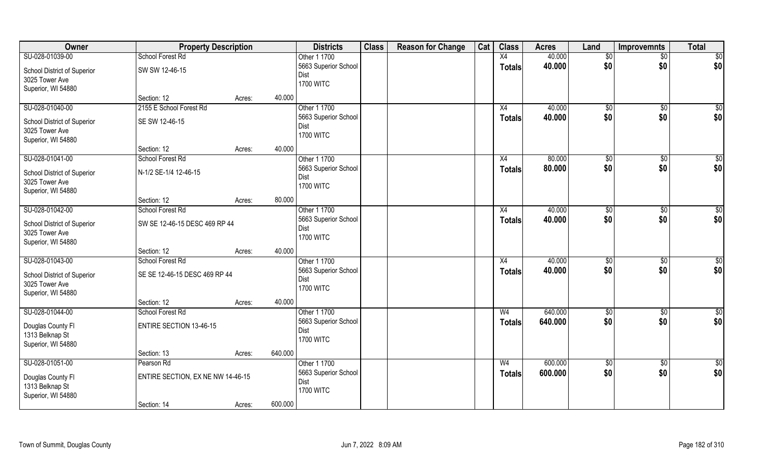| SU-028-01039-00<br>40.000<br>School Forest Rd<br>Other 1 1700<br>X4<br>\$0<br>$\overline{50}$<br>\$0<br>\$0<br>40.000<br>5663 Superior School<br><b>Totals</b><br>SW SW 12-46-15<br>School District of Superior<br>Dist | \$0<br>\$0      |
|-------------------------------------------------------------------------------------------------------------------------------------------------------------------------------------------------------------------------|-----------------|
|                                                                                                                                                                                                                         |                 |
|                                                                                                                                                                                                                         |                 |
| 3025 Tower Ave                                                                                                                                                                                                          |                 |
| <b>1700 WITC</b><br>Superior, WI 54880                                                                                                                                                                                  |                 |
| 40.000<br>Section: 12<br>Acres:                                                                                                                                                                                         |                 |
| SU-028-01040-00<br>Other 1 1700<br>2155 E School Forest Rd<br>40.000<br>\$0<br>\$0<br>X4                                                                                                                                | $\sqrt{50}$     |
| \$0<br>\$0<br>5663 Superior School<br>40.000<br>Totals<br>SE SW 12-46-15<br>School District of Superior                                                                                                                 | \$0             |
| Dist<br>3025 Tower Ave                                                                                                                                                                                                  |                 |
| <b>1700 WITC</b><br>Superior, WI 54880                                                                                                                                                                                  |                 |
| Section: 12<br>40.000<br>Acres:                                                                                                                                                                                         |                 |
| Other 1 1700<br>SU-028-01041-00<br>80.000<br>\$0<br>\$0<br>School Forest Rd<br>X4                                                                                                                                       | \$0             |
| \$0<br>\$0<br>5663 Superior School<br>80.000<br>Totals<br>N-1/2 SE-1/4 12-46-15<br>School District of Superior                                                                                                          | \$0             |
| Dist<br>3025 Tower Ave                                                                                                                                                                                                  |                 |
| <b>1700 WITC</b><br>Superior, WI 54880                                                                                                                                                                                  |                 |
| 80.000<br>Section: 12<br>Acres:                                                                                                                                                                                         |                 |
| SU-028-01042-00<br>Other 1 1700<br>40.000<br>School Forest Rd<br>$\sqrt[6]{3}$<br>X4<br>\$0                                                                                                                             | \$0             |
| \$0<br>\$0<br>5663 Superior School<br>40.000<br><b>Totals</b><br>SW SE 12-46-15 DESC 469 RP 44<br>School District of Superior                                                                                           | \$0             |
| Dist<br>3025 Tower Ave                                                                                                                                                                                                  |                 |
| <b>1700 WITC</b><br>Superior, WI 54880                                                                                                                                                                                  |                 |
| 40.000<br>Section: 12<br>Acres:                                                                                                                                                                                         |                 |
| SU-028-01043-00<br>Other 1 1700<br>40.000<br>School Forest Rd<br>$\overline{X4}$<br>\$0<br>\$0                                                                                                                          | \$0             |
| 40.000<br>\$0<br>\$0<br>5663 Superior School<br><b>Totals</b><br>SE SE 12-46-15 DESC 469 RP 44<br>School District of Superior                                                                                           | \$0             |
| Dist<br>3025 Tower Ave                                                                                                                                                                                                  |                 |
| <b>1700 WITC</b><br>Superior, WI 54880                                                                                                                                                                                  |                 |
| 40.000<br>Section: 12<br>Acres:                                                                                                                                                                                         |                 |
| SU-028-01044-00<br>Other 1 1700<br>640.000<br>School Forest Rd<br>W <sub>4</sub><br>$\sqrt{6}$<br>\$0                                                                                                                   | $\overline{50}$ |
| \$0<br>\$0<br>5663 Superior School<br>640.000<br><b>Totals</b><br><b>ENTIRE SECTION 13-46-15</b>                                                                                                                        | \$0             |
| Douglas County FI<br>Dist<br>1313 Belknap St                                                                                                                                                                            |                 |
| <b>1700 WITC</b><br>Superior, WI 54880                                                                                                                                                                                  |                 |
| 640.000<br>Section: 13<br>Acres:                                                                                                                                                                                        |                 |
| SU-028-01051-00<br>Other 1 1700<br>600.000<br>Pearson Rd<br>W <sub>4</sub><br>$\overline{50}$<br>$\sqrt{6}$                                                                                                             | $\overline{50}$ |
| \$0<br>5663 Superior School<br>\$0<br>600.000<br><b>Totals</b>                                                                                                                                                          | \$0             |
| ENTIRE SECTION, EX NE NW 14-46-15<br>Douglas County Fl<br>Dist<br>1313 Belknap St                                                                                                                                       |                 |
| <b>1700 WITC</b><br>Superior, WI 54880                                                                                                                                                                                  |                 |
| 600.000<br>Section: 14<br>Acres:                                                                                                                                                                                        |                 |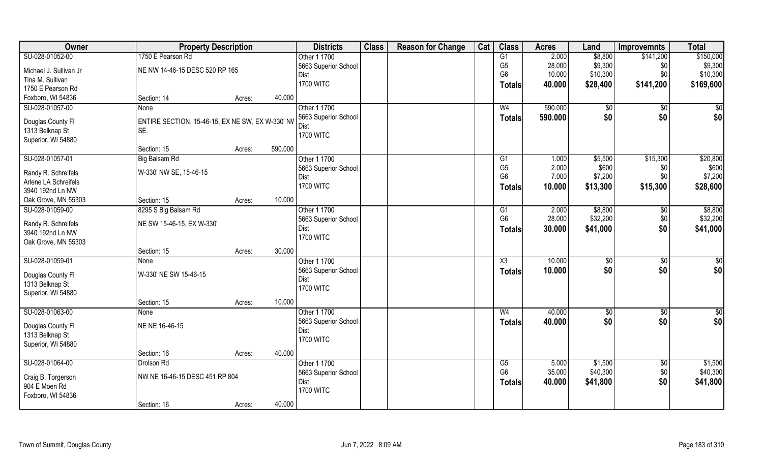| Owner                                       | <b>Property Description</b>                      |        | <b>Districts</b>             | <b>Class</b> | <b>Reason for Change</b> | Cat | <b>Class</b>           | <b>Acres</b> | Land          | <b>Improvemnts</b> | <b>Total</b>         |
|---------------------------------------------|--------------------------------------------------|--------|------------------------------|--------------|--------------------------|-----|------------------------|--------------|---------------|--------------------|----------------------|
| SU-028-01052-00                             | 1750 E Pearson Rd                                |        | Other 1 1700                 |              |                          |     | G1                     | 2.000        | \$8,800       | \$141,200          | \$150,000            |
| Michael J. Sullivan Jr                      | NE NW 14-46-15 DESC 520 RP 165                   |        | 5663 Superior School         |              |                          |     | G <sub>5</sub>         | 28.000       | \$9,300       | \$0                | \$9,300              |
| Tina M. Sullivan                            |                                                  |        | Dist                         |              |                          |     | G <sub>6</sub>         | 10.000       | \$10,300      | \$0                | \$10,300             |
| 1750 E Pearson Rd                           |                                                  |        | <b>1700 WITC</b>             |              |                          |     | Totals                 | 40.000       | \$28,400      | \$141,200          | \$169,600            |
| Foxboro, WI 54836                           | Section: 14                                      | Acres: | 40.000                       |              |                          |     |                        |              |               |                    |                      |
| SU-028-01057-00                             | <b>None</b>                                      |        | Other 1 1700                 |              |                          |     | W <sub>4</sub>         | 590.000      | \$0           | $\overline{50}$    | \$0                  |
|                                             |                                                  |        |                              |              |                          |     |                        |              |               |                    |                      |
| Douglas County Fl                           | ENTIRE SECTION, 15-46-15, EX NE SW, EX W-330' NV |        | 5663 Superior School<br>Dist |              |                          |     | <b>Totals</b>          | 590.000      | \$0           | \$0                | \$0                  |
| 1313 Belknap St                             | SE.                                              |        | <b>1700 WITC</b>             |              |                          |     |                        |              |               |                    |                      |
| Superior, WI 54880                          |                                                  |        |                              |              |                          |     |                        |              |               |                    |                      |
|                                             | Section: 15                                      | Acres: | 590.000                      |              |                          |     |                        |              |               |                    |                      |
| SU-028-01057-01                             | Big Balsam Rd                                    |        | Other 1 1700                 |              |                          |     | G1                     | 1.000        | \$5,500       | \$15,300           | \$20,800             |
|                                             | W-330' NW SE, 15-46-15                           |        | 5663 Superior School         |              |                          |     | G <sub>5</sub>         | 2.000        | \$600         | \$0                | \$600                |
| Randy R. Schreifels<br>Arlene LA Schreifels |                                                  |        | Dist                         |              |                          |     | G <sub>6</sub>         | 7.000        | \$7,200       | \$0                | \$7,200              |
| 3940 192nd Ln NW                            |                                                  |        | <b>1700 WITC</b>             |              |                          |     | <b>Totals</b>          | 10.000       | \$13,300      | \$15,300           | \$28,600             |
| Oak Grove, MN 55303                         | Section: 15                                      |        | 10.000                       |              |                          |     |                        |              |               |                    |                      |
| SU-028-01059-00                             |                                                  | Acres: |                              |              |                          |     |                        |              |               |                    |                      |
|                                             | 8295 S Big Balsam Rd                             |        | Other 1 1700                 |              |                          |     | G1<br>G <sub>6</sub>   | 2.000        | \$8,800       | \$0                | \$8,800              |
| Randy R. Schreifels                         | NE SW 15-46-15, EX W-330'                        |        | 5663 Superior School         |              |                          |     |                        | 28.000       | \$32,200      | \$0                | \$32,200             |
| 3940 192nd Ln NW                            |                                                  |        | Dist                         |              |                          |     | <b>Totals</b>          | 30.000       | \$41,000      | \$0                | \$41,000             |
| Oak Grove, MN 55303                         |                                                  |        | <b>1700 WITC</b>             |              |                          |     |                        |              |               |                    |                      |
|                                             | Section: 15                                      | Acres: | 30.000                       |              |                          |     |                        |              |               |                    |                      |
| SU-028-01059-01                             | None                                             |        | Other 1 1700                 |              |                          |     | $\overline{\text{X3}}$ | 10.000       | $\sqrt[6]{3}$ | \$0                | $\sqrt{50}$          |
|                                             | W-330' NE SW 15-46-15                            |        | 5663 Superior School         |              |                          |     | <b>Totals</b>          | 10.000       | \$0           | \$0                | \$0                  |
| Douglas County Fl<br>1313 Belknap St        |                                                  |        | Dist                         |              |                          |     |                        |              |               |                    |                      |
| Superior, WI 54880                          |                                                  |        | <b>1700 WITC</b>             |              |                          |     |                        |              |               |                    |                      |
|                                             | Section: 15                                      |        | 10.000                       |              |                          |     |                        |              |               |                    |                      |
|                                             |                                                  | Acres: |                              |              |                          |     |                        |              |               |                    |                      |
| SU-028-01063-00                             | None                                             |        | Other 1 1700                 |              |                          |     | W <sub>4</sub>         | 40.000       | $\sqrt{6}$    | \$0<br>\$0         | $\frac{6}{3}$<br>\$0 |
| Douglas County Fl                           | NE NE 16-46-15                                   |        | 5663 Superior School         |              |                          |     | <b>Totals</b>          | 40.000       | \$0           |                    |                      |
| 1313 Belknap St                             |                                                  |        | Dist<br><b>1700 WITC</b>     |              |                          |     |                        |              |               |                    |                      |
| Superior, WI 54880                          |                                                  |        |                              |              |                          |     |                        |              |               |                    |                      |
|                                             | Section: 16                                      | Acres: | 40.000                       |              |                          |     |                        |              |               |                    |                      |
| SU-028-01064-00                             | Drolson Rd                                       |        | Other 1 1700                 |              |                          |     | G5                     | 5.000        | \$1,500       | \$0                | \$1,500              |
|                                             | NW NE 16-46-15 DESC 451 RP 804                   |        | 5663 Superior School         |              |                          |     | G <sub>6</sub>         | 35.000       | \$40,300      | \$0                | \$40,300             |
| Craig B. Torgerson                          |                                                  |        | Dist                         |              |                          |     | <b>Totals</b>          | 40.000       | \$41,800      | \$0                | \$41,800             |
| 904 E Moen Rd                               |                                                  |        | <b>1700 WITC</b>             |              |                          |     |                        |              |               |                    |                      |
| Foxboro, WI 54836                           |                                                  |        |                              |              |                          |     |                        |              |               |                    |                      |
|                                             | Section: 16                                      | Acres: | 40.000                       |              |                          |     |                        |              |               |                    |                      |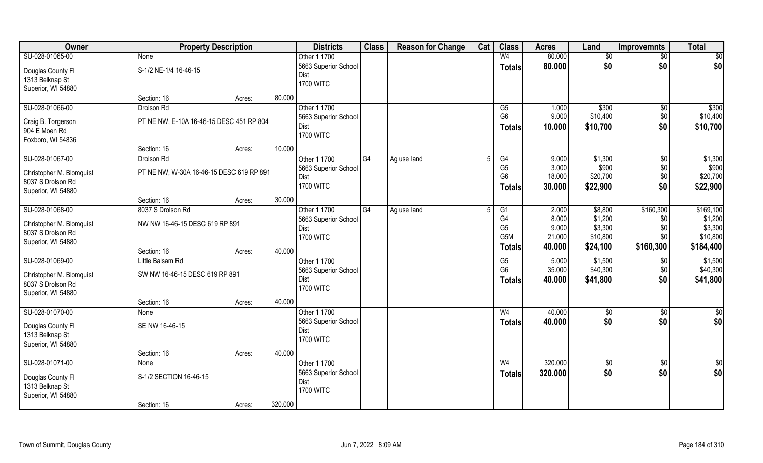| Owner                                | <b>Property Description</b>              |        |         | <b>Districts</b>         | <b>Class</b> | <b>Reason for Change</b> | Cat | <b>Class</b>          | <b>Acres</b>    | Land                | <b>Improvemnts</b> | <b>Total</b>        |
|--------------------------------------|------------------------------------------|--------|---------|--------------------------|--------------|--------------------------|-----|-----------------------|-----------------|---------------------|--------------------|---------------------|
| SU-028-01065-00                      | <b>None</b>                              |        |         | Other 1 1700             |              |                          |     | W <sub>4</sub>        | 80.000          | $\sqrt{6}$          | $\overline{50}$    | \$0                 |
| Douglas County Fl                    | S-1/2 NE-1/4 16-46-15                    |        |         | 5663 Superior School     |              |                          |     | <b>Totals</b>         | 80.000          | \$0                 | \$0                | \$0                 |
| 1313 Belknap St                      |                                          |        |         | Dist                     |              |                          |     |                       |                 |                     |                    |                     |
| Superior, WI 54880                   |                                          |        |         | <b>1700 WITC</b>         |              |                          |     |                       |                 |                     |                    |                     |
|                                      | Section: 16                              | Acres: | 80.000  |                          |              |                          |     |                       |                 |                     |                    |                     |
| SU-028-01066-00                      | Drolson Rd                               |        |         | Other 1 1700             |              |                          |     | $\overline{G5}$       | 1.000           | \$300               | \$0                | \$300               |
|                                      | PT NE NW, E-10A 16-46-15 DESC 451 RP 804 |        |         | 5663 Superior School     |              |                          |     | G <sub>6</sub>        | 9.000           | \$10,400            | \$0                | \$10,400            |
| Craig B. Torgerson<br>904 E Moen Rd  |                                          |        |         | Dist                     |              |                          |     | <b>Totals</b>         | 10.000          | \$10,700            | \$0                | \$10,700            |
| Foxboro, WI 54836                    |                                          |        |         | <b>1700 WITC</b>         |              |                          |     |                       |                 |                     |                    |                     |
|                                      | Section: 16                              | Acres: | 10.000  |                          |              |                          |     |                       |                 |                     |                    |                     |
| SU-028-01067-00                      | Drolson Rd                               |        |         | Other 1 1700             | G4           | Ag use land              | 5   | G4                    | 9.000           | \$1,300             | $\sqrt[6]{30}$     | \$1,300             |
|                                      |                                          |        |         | 5663 Superior School     |              |                          |     | G <sub>5</sub>        | 3.000           | \$900               | \$0                | \$900               |
| Christopher M. Blomquist             | PT NE NW, W-30A 16-46-15 DESC 619 RP 891 |        |         | Dist                     |              |                          |     | G <sub>6</sub>        | 18.000          | \$20,700            | \$0                | \$20,700            |
| 8037 S Drolson Rd                    |                                          |        |         | <b>1700 WITC</b>         |              |                          |     | <b>Totals</b>         | 30.000          | \$22,900            | \$0                | \$22,900            |
| Superior, WI 54880                   |                                          |        |         |                          |              |                          |     |                       |                 |                     |                    |                     |
|                                      | Section: 16                              | Acres: | 30.000  |                          |              |                          |     |                       |                 |                     |                    |                     |
| SU-028-01068-00                      | 8037 S Drolson Rd                        |        |         | Other 1 1700             | G4           | Ag use land              |     | G1                    | 2.000           | \$8,800             | \$160,300          | \$169,100           |
| Christopher M. Blomquist             | NW NW 16-46-15 DESC 619 RP 891           |        |         | 5663 Superior School     |              |                          |     | G <sub>4</sub>        | 8.000           | \$1,200             | \$0                | \$1,200             |
| 8037 S Drolson Rd                    |                                          |        |         | Dist<br><b>1700 WITC</b> |              |                          |     | G <sub>5</sub><br>G5M | 9.000<br>21.000 | \$3,300<br>\$10,800 | \$0<br>\$0         | \$3,300<br>\$10,800 |
| Superior, WI 54880                   |                                          |        |         |                          |              |                          |     |                       |                 |                     |                    |                     |
|                                      | Section: 16                              | Acres: | 40.000  |                          |              |                          |     | <b>Totals</b>         | 40.000          | \$24,100            | \$160,300          | \$184,400           |
| SU-028-01069-00                      | Little Balsam Rd                         |        |         | Other 1 1700             |              |                          |     | G5                    | 5.000           | \$1,500             | $\overline{50}$    | \$1,500             |
| Christopher M. Blomquist             | SW NW 16-46-15 DESC 619 RP 891           |        |         | 5663 Superior School     |              |                          |     | G <sub>6</sub>        | 35.000          | \$40,300            | \$0                | \$40,300            |
| 8037 S Drolson Rd                    |                                          |        |         | Dist                     |              |                          |     | Totals                | 40.000          | \$41,800            | \$0                | \$41,800            |
| Superior, WI 54880                   |                                          |        |         | <b>1700 WITC</b>         |              |                          |     |                       |                 |                     |                    |                     |
|                                      | Section: 16                              | Acres: | 40.000  |                          |              |                          |     |                       |                 |                     |                    |                     |
| SU-028-01070-00                      | None                                     |        |         | Other 1 1700             |              |                          |     | W <sub>4</sub>        | 40.000          | \$0                 | \$0                | $\frac{6}{3}$       |
|                                      | SE NW 16-46-15                           |        |         | 5663 Superior School     |              |                          |     | <b>Totals</b>         | 40.000          | \$0                 | \$0                | \$0                 |
| Douglas County Fl<br>1313 Belknap St |                                          |        |         | Dist                     |              |                          |     |                       |                 |                     |                    |                     |
| Superior, WI 54880                   |                                          |        |         | <b>1700 WITC</b>         |              |                          |     |                       |                 |                     |                    |                     |
|                                      | Section: 16                              | Acres: | 40.000  |                          |              |                          |     |                       |                 |                     |                    |                     |
| SU-028-01071-00                      | None                                     |        |         | Other 1 1700             |              |                          |     | W <sub>4</sub>        | 320.000         | \$0                 | \$0                | \$0                 |
|                                      |                                          |        |         | 5663 Superior School     |              |                          |     | <b>Totals</b>         | 320.000         | \$0                 | \$0                | \$0                 |
| Douglas County Fl                    | S-1/2 SECTION 16-46-15                   |        |         | Dist                     |              |                          |     |                       |                 |                     |                    |                     |
| 1313 Belknap St                      |                                          |        |         | <b>1700 WITC</b>         |              |                          |     |                       |                 |                     |                    |                     |
| Superior, WI 54880                   |                                          |        |         |                          |              |                          |     |                       |                 |                     |                    |                     |
|                                      | Section: 16                              | Acres: | 320.000 |                          |              |                          |     |                       |                 |                     |                    |                     |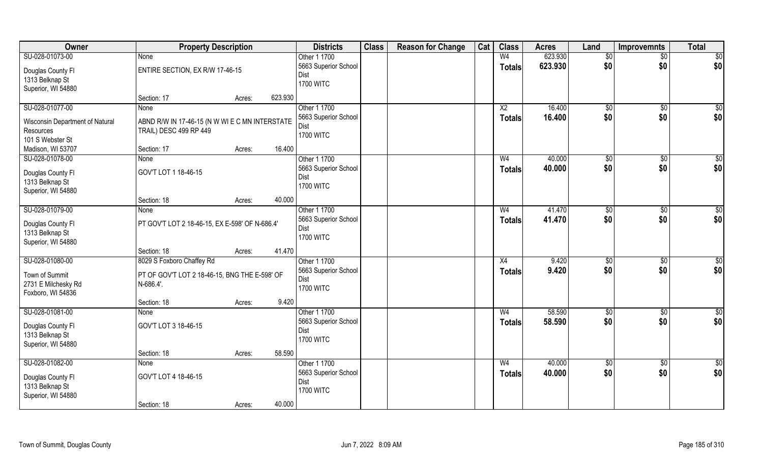| Owner                                    | <b>Property Description</b>                                |                   | <b>Districts</b>     | <b>Class</b> | <b>Reason for Change</b> | Cat | <b>Class</b>           | <b>Acres</b> | Land            | Improvemnts     | <b>Total</b>     |
|------------------------------------------|------------------------------------------------------------|-------------------|----------------------|--------------|--------------------------|-----|------------------------|--------------|-----------------|-----------------|------------------|
| SU-028-01073-00                          | None                                                       |                   | Other 1 1700         |              |                          |     | W <sub>4</sub>         | 623.930      | $\sqrt[6]{}$    | $\overline{50}$ | \$0              |
| Douglas County Fl                        | ENTIRE SECTION, EX R/W 17-46-15                            |                   | 5663 Superior School |              |                          |     | <b>Totals</b>          | 623.930      | \$0             | \$0             | \$0              |
| 1313 Belknap St                          |                                                            |                   | Dist                 |              |                          |     |                        |              |                 |                 |                  |
| Superior, WI 54880                       |                                                            |                   | <b>1700 WITC</b>     |              |                          |     |                        |              |                 |                 |                  |
|                                          | Section: 17                                                | 623.930<br>Acres: |                      |              |                          |     |                        |              |                 |                 |                  |
| SU-028-01077-00                          | <b>None</b>                                                |                   | Other 1 1700         |              |                          |     | $\overline{\text{X2}}$ | 16.400       | \$0             | \$0             | $\overline{\$0}$ |
| Wisconsin Department of Natural          | ABND R/W IN 17-46-15 (N W WI E C MN INTERSTATE             |                   | 5663 Superior School |              |                          |     | <b>Totals</b>          | 16.400       | \$0             | \$0             | \$0              |
| Resources                                | TRAIL) DESC 499 RP 449                                     |                   | Dist                 |              |                          |     |                        |              |                 |                 |                  |
| 101 S Webster St                         |                                                            |                   | <b>1700 WITC</b>     |              |                          |     |                        |              |                 |                 |                  |
| Madison, WI 53707                        | Section: 17                                                | 16.400<br>Acres:  |                      |              |                          |     |                        |              |                 |                 |                  |
| SU-028-01078-00                          | None                                                       |                   | Other 1 1700         |              |                          |     | W <sub>4</sub>         | 40.000       | $\sqrt[6]{3}$   | $\sqrt[6]{3}$   | \$0              |
| Douglas County FI                        | GOV'T LOT 1 18-46-15                                       |                   | 5663 Superior School |              |                          |     | <b>Totals</b>          | 40.000       | \$0             | \$0             | \$0              |
| 1313 Belknap St                          |                                                            |                   | Dist                 |              |                          |     |                        |              |                 |                 |                  |
| Superior, WI 54880                       |                                                            |                   | <b>1700 WITC</b>     |              |                          |     |                        |              |                 |                 |                  |
|                                          | Section: 18                                                | 40.000<br>Acres:  |                      |              |                          |     |                        |              |                 |                 |                  |
| SU-028-01079-00                          | None                                                       |                   | Other 1 1700         |              |                          |     | W <sub>4</sub>         | 41.470       | $\frac{1}{20}$  | \$0             | \$0              |
| Douglas County Fl                        | PT GOV'T LOT 2 18-46-15, EX E-598' OF N-686.4'             |                   | 5663 Superior School |              |                          |     | <b>Totals</b>          | 41.470       | \$0             | \$0             | \$0              |
| 1313 Belknap St                          |                                                            |                   | Dist                 |              |                          |     |                        |              |                 |                 |                  |
| Superior, WI 54880                       |                                                            |                   | <b>1700 WITC</b>     |              |                          |     |                        |              |                 |                 |                  |
|                                          | Section: 18                                                | 41.470<br>Acres:  |                      |              |                          |     |                        |              |                 |                 |                  |
| SU-028-01080-00                          | 8029 S Foxboro Chaffey Rd                                  |                   | Other 1 1700         |              |                          |     | $\overline{X4}$        | 9.420        | \$0             | \$0             | \$0              |
|                                          |                                                            |                   | 5663 Superior School |              |                          |     | <b>Totals</b>          | 9.420        | \$0             | \$0             | \$0              |
| Town of Summit                           | PT OF GOV'T LOT 2 18-46-15, BNG THE E-598' OF<br>N-686.4'. |                   | Dist                 |              |                          |     |                        |              |                 |                 |                  |
| 2731 E Milchesky Rd<br>Foxboro, WI 54836 |                                                            |                   | <b>1700 WITC</b>     |              |                          |     |                        |              |                 |                 |                  |
|                                          | Section: 18                                                | 9.420<br>Acres:   |                      |              |                          |     |                        |              |                 |                 |                  |
| SU-028-01081-00                          | None                                                       |                   | Other 1 1700         |              |                          |     | W <sub>4</sub>         | 58.590       | $\overline{60}$ | \$0             | $\overline{50}$  |
|                                          |                                                            |                   | 5663 Superior School |              |                          |     | <b>Totals</b>          | 58.590       | \$0             | \$0             | \$0              |
| Douglas County Fl                        | GOV'T LOT 3 18-46-15                                       |                   | Dist                 |              |                          |     |                        |              |                 |                 |                  |
| 1313 Belknap St                          |                                                            |                   | <b>1700 WITC</b>     |              |                          |     |                        |              |                 |                 |                  |
| Superior, WI 54880                       | Section: 18                                                | 58.590<br>Acres:  |                      |              |                          |     |                        |              |                 |                 |                  |
| SU-028-01082-00                          | <b>None</b>                                                |                   | Other 1 1700         |              |                          |     | W <sub>4</sub>         | 40.000       | $\overline{50}$ | $\sqrt{$0}$     | $\overline{50}$  |
|                                          |                                                            |                   | 5663 Superior School |              |                          |     | <b>Totals</b>          | 40.000       | \$0             | \$0             | \$0              |
| Douglas County Fl                        | GOV'T LOT 4 18-46-15                                       |                   | Dist                 |              |                          |     |                        |              |                 |                 |                  |
| 1313 Belknap St                          |                                                            |                   | <b>1700 WITC</b>     |              |                          |     |                        |              |                 |                 |                  |
| Superior, WI 54880                       |                                                            |                   |                      |              |                          |     |                        |              |                 |                 |                  |
|                                          | Section: 18                                                | 40.000<br>Acres:  |                      |              |                          |     |                        |              |                 |                 |                  |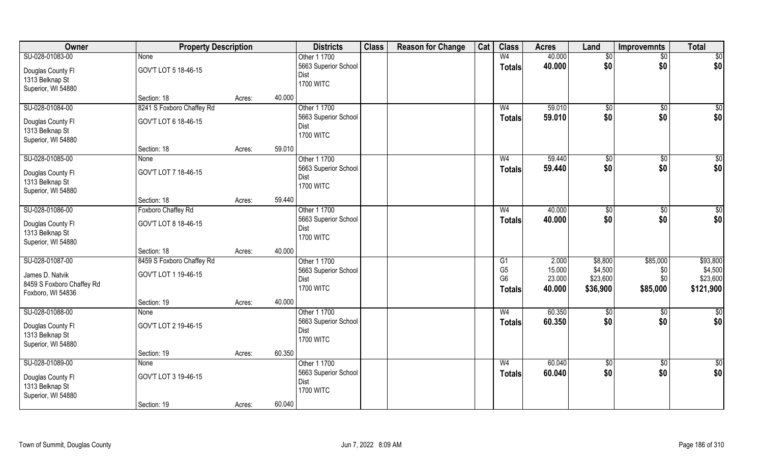| Owner                                | <b>Property Description</b> |        |        | <b>Districts</b>     | <b>Class</b> | <b>Reason for Change</b> | Cat | <b>Class</b>   | <b>Acres</b> | Land         | <b>Improvemnts</b> | <b>Total</b>    |
|--------------------------------------|-----------------------------|--------|--------|----------------------|--------------|--------------------------|-----|----------------|--------------|--------------|--------------------|-----------------|
| SU-028-01083-00                      | None                        |        |        | Other 1 1700         |              |                          |     | W <sub>4</sub> | 40.000       | \$0          | $\sqrt{$0}$        | $\sqrt{50}$     |
| Douglas County Fl                    | GOV'T LOT 5 18-46-15        |        |        | 5663 Superior School |              |                          |     | <b>Totals</b>  | 40.000       | \$0          | \$0                | \$0             |
| 1313 Belknap St                      |                             |        |        | Dist                 |              |                          |     |                |              |              |                    |                 |
| Superior, WI 54880                   |                             |        |        | <b>1700 WITC</b>     |              |                          |     |                |              |              |                    |                 |
|                                      | Section: 18                 | Acres: | 40.000 |                      |              |                          |     |                |              |              |                    |                 |
| SU-028-01084-00                      | 8241 S Foxboro Chaffey Rd   |        |        | Other 1 1700         |              |                          |     | W <sub>4</sub> | 59.010       | $\sqrt[6]{}$ | \$0                | \$0             |
| Douglas County Fl                    | GOV'T LOT 6 18-46-15        |        |        | 5663 Superior School |              |                          |     | Totals         | 59.010       | \$0          | \$0                | \$0             |
| 1313 Belknap St                      |                             |        |        | Dist                 |              |                          |     |                |              |              |                    |                 |
| Superior, WI 54880                   |                             |        |        | <b>1700 WITC</b>     |              |                          |     |                |              |              |                    |                 |
|                                      | Section: 18                 | Acres: | 59.010 |                      |              |                          |     |                |              |              |                    |                 |
| SU-028-01085-00                      | None                        |        |        | Other 1 1700         |              |                          |     | W <sub>4</sub> | 59.440       | $\sqrt{50}$  | $\overline{50}$    | $\sqrt{50}$     |
| Douglas County Fl                    | GOV'T LOT 7 18-46-15        |        |        | 5663 Superior School |              |                          |     | <b>Totals</b>  | 59.440       | \$0          | \$0                | \$0             |
| 1313 Belknap St                      |                             |        |        | Dist                 |              |                          |     |                |              |              |                    |                 |
| Superior, WI 54880                   |                             |        |        | <b>1700 WITC</b>     |              |                          |     |                |              |              |                    |                 |
|                                      | Section: 18                 | Acres: | 59.440 |                      |              |                          |     |                |              |              |                    |                 |
| SU-028-01086-00                      | Foxboro Chaffey Rd          |        |        | Other 1 1700         |              |                          |     | W <sub>4</sub> | 40.000       | \$0          | $\sqrt[6]{3}$      | \$0             |
|                                      | GOV'T LOT 8 18-46-15        |        |        | 5663 Superior School |              |                          |     | <b>Totals</b>  | 40.000       | \$0          | \$0                | \$0             |
| Douglas County Fl<br>1313 Belknap St |                             |        |        | Dist                 |              |                          |     |                |              |              |                    |                 |
| Superior, WI 54880                   |                             |        |        | <b>1700 WITC</b>     |              |                          |     |                |              |              |                    |                 |
|                                      | Section: 18                 | Acres: | 40.000 |                      |              |                          |     |                |              |              |                    |                 |
| SU-028-01087-00                      | 8459 S Foxboro Chaffey Rd   |        |        | Other 1 1700         |              |                          |     | G1             | 2.000        | \$8,800      | \$85,000           | \$93,800        |
|                                      |                             |        |        | 5663 Superior School |              |                          |     | G <sub>5</sub> | 15.000       | \$4,500      | \$0                | \$4,500         |
| James D. Natvik                      | GOV'T LOT 1 19-46-15        |        |        | Dist                 |              |                          |     | G <sub>6</sub> | 23.000       | \$23,600     | \$0                | \$23,600        |
| 8459 S Foxboro Chaffey Rd            |                             |        |        | <b>1700 WITC</b>     |              |                          |     | <b>Totals</b>  | 40.000       | \$36,900     | \$85,000           | \$121,900       |
| Foxboro, WI 54836                    |                             |        | 40.000 |                      |              |                          |     |                |              |              |                    |                 |
| SU-028-01088-00                      | Section: 19                 | Acres: |        | Other 1 1700         |              |                          |     | W <sub>4</sub> | 60.350       |              |                    | $\overline{50}$ |
|                                      | None                        |        |        | 5663 Superior School |              |                          |     |                | 60.350       | \$0<br>\$0   | \$0<br>\$0         | \$0             |
| Douglas County Fl                    | GOV'T LOT 2 19-46-15        |        |        | Dist                 |              |                          |     | <b>Totals</b>  |              |              |                    |                 |
| 1313 Belknap St                      |                             |        |        | <b>1700 WITC</b>     |              |                          |     |                |              |              |                    |                 |
| Superior, WI 54880                   |                             |        |        |                      |              |                          |     |                |              |              |                    |                 |
|                                      | Section: 19                 | Acres: | 60.350 |                      |              |                          |     |                |              |              |                    |                 |
| SU-028-01089-00                      | <b>None</b>                 |        |        | Other 1 1700         |              |                          |     | W <sub>4</sub> | 60.040       | $\sqrt{6}$   | $\overline{60}$    | \$0             |
| Douglas County Fl                    | GOV'T LOT 3 19-46-15        |        |        | 5663 Superior School |              |                          |     | <b>Totals</b>  | 60.040       | \$0          | \$0                | \$0             |
| 1313 Belknap St                      |                             |        |        | Dist                 |              |                          |     |                |              |              |                    |                 |
| Superior, WI 54880                   |                             |        |        | <b>1700 WITC</b>     |              |                          |     |                |              |              |                    |                 |
|                                      | Section: 19                 | Acres: | 60.040 |                      |              |                          |     |                |              |              |                    |                 |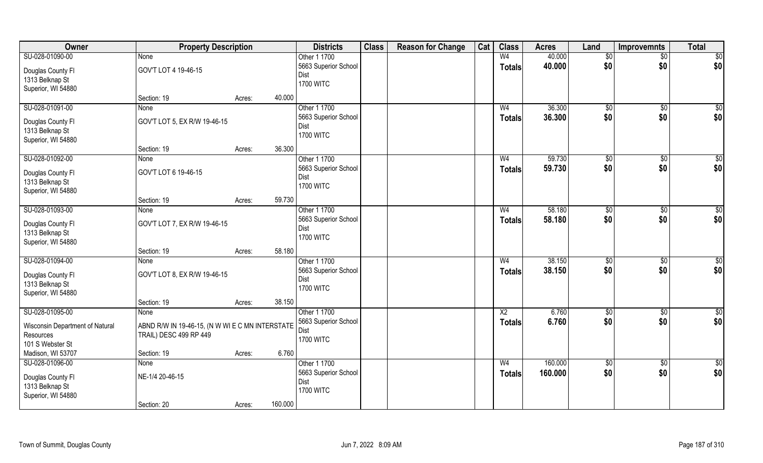| Owner                                | <b>Property Description</b>                     |                   | <b>Districts</b>     | <b>Class</b> | <b>Reason for Change</b> | Cat | <b>Class</b>    | <b>Acres</b> | Land            | Improvemnts     | <b>Total</b>    |
|--------------------------------------|-------------------------------------------------|-------------------|----------------------|--------------|--------------------------|-----|-----------------|--------------|-----------------|-----------------|-----------------|
| SU-028-01090-00                      | None                                            |                   | Other 1 1700         |              |                          |     | W <sub>4</sub>  | 40.000       | $\sqrt[6]{}$    | $\overline{50}$ | \$0             |
| Douglas County Fl                    | GOV'T LOT 4 19-46-15                            |                   | 5663 Superior School |              |                          |     | <b>Totals</b>   | 40.000       | \$0             | \$0             | \$0             |
| 1313 Belknap St                      |                                                 |                   | Dist                 |              |                          |     |                 |              |                 |                 |                 |
| Superior, WI 54880                   |                                                 |                   | <b>1700 WITC</b>     |              |                          |     |                 |              |                 |                 |                 |
|                                      | Section: 19                                     | 40.000<br>Acres:  |                      |              |                          |     |                 |              |                 |                 |                 |
| SU-028-01091-00                      | <b>None</b>                                     |                   | Other 1 1700         |              |                          |     | W <sub>4</sub>  | 36.300       | \$0             | \$0             | \$0             |
| Douglas County Fl                    | GOV'T LOT 5, EX R/W 19-46-15                    |                   | 5663 Superior School |              |                          |     | <b>Totals</b>   | 36.300       | \$0             | \$0             | \$0             |
| 1313 Belknap St                      |                                                 |                   | Dist                 |              |                          |     |                 |              |                 |                 |                 |
| Superior, WI 54880                   |                                                 |                   | <b>1700 WITC</b>     |              |                          |     |                 |              |                 |                 |                 |
|                                      | Section: 19                                     | 36.300<br>Acres:  |                      |              |                          |     |                 |              |                 |                 |                 |
| SU-028-01092-00                      | None                                            |                   | Other 1 1700         |              |                          |     | W <sub>4</sub>  | 59.730       | \$0             | $\sqrt[6]{3}$   | \$0             |
| Douglas County FI                    | GOV'T LOT 6 19-46-15                            |                   | 5663 Superior School |              |                          |     | <b>Totals</b>   | 59.730       | \$0             | \$0             | \$0             |
| 1313 Belknap St                      |                                                 |                   | Dist                 |              |                          |     |                 |              |                 |                 |                 |
| Superior, WI 54880                   |                                                 |                   | <b>1700 WITC</b>     |              |                          |     |                 |              |                 |                 |                 |
|                                      | Section: 19                                     | 59.730<br>Acres:  |                      |              |                          |     |                 |              |                 |                 |                 |
| SU-028-01093-00                      | None                                            |                   | Other 1 1700         |              |                          |     | W <sub>4</sub>  | 58.180       | $\frac{1}{20}$  | \$0             | \$0             |
| Douglas County Fl                    | GOV'T LOT 7, EX R/W 19-46-15                    |                   | 5663 Superior School |              |                          |     | <b>Totals</b>   | 58.180       | \$0             | \$0             | \$0             |
| 1313 Belknap St                      |                                                 |                   | Dist                 |              |                          |     |                 |              |                 |                 |                 |
| Superior, WI 54880                   |                                                 |                   | <b>1700 WITC</b>     |              |                          |     |                 |              |                 |                 |                 |
|                                      | Section: 19                                     | 58.180<br>Acres:  |                      |              |                          |     |                 |              |                 |                 |                 |
| SU-028-01094-00                      | <b>None</b>                                     |                   | Other 1 1700         |              |                          |     | W <sub>4</sub>  | 38.150       | \$0             | \$0             | \$0             |
|                                      | GOV'T LOT 8, EX R/W 19-46-15                    |                   | 5663 Superior School |              |                          |     | <b>Totals</b>   | 38.150       | \$0             | \$0             | \$0             |
| Douglas County Fl<br>1313 Belknap St |                                                 |                   | Dist                 |              |                          |     |                 |              |                 |                 |                 |
| Superior, WI 54880                   |                                                 |                   | <b>1700 WITC</b>     |              |                          |     |                 |              |                 |                 |                 |
|                                      | Section: 19                                     | 38.150<br>Acres:  |                      |              |                          |     |                 |              |                 |                 |                 |
| SU-028-01095-00                      | None                                            |                   | Other 1 1700         |              |                          |     | $\overline{X2}$ | 6.760        | $\sqrt{6}$      | \$0             | $\overline{50}$ |
|                                      |                                                 |                   | 5663 Superior School |              |                          |     | <b>Totals</b>   | 6.760        | \$0             | \$0             | \$0             |
| Wisconsin Department of Natural      | ABND R/W IN 19-46-15, (N W WI E C MN INTERSTATE |                   | Dist                 |              |                          |     |                 |              |                 |                 |                 |
| Resources<br>101 S Webster St        | TRAIL) DESC 499 RP 449                          |                   | <b>1700 WITC</b>     |              |                          |     |                 |              |                 |                 |                 |
| Madison, WI 53707                    | Section: 19                                     | 6.760<br>Acres:   |                      |              |                          |     |                 |              |                 |                 |                 |
| SU-028-01096-00                      | <b>None</b>                                     |                   | Other 1 1700         |              |                          |     | W <sub>4</sub>  | 160.000      | $\overline{50}$ | $\sqrt{$0}$     | $\overline{50}$ |
|                                      |                                                 |                   | 5663 Superior School |              |                          |     | <b>Totals</b>   | 160.000      | \$0             | \$0             | \$0             |
| Douglas County Fl                    | NE-1/4 20-46-15                                 |                   | Dist                 |              |                          |     |                 |              |                 |                 |                 |
| 1313 Belknap St                      |                                                 |                   | <b>1700 WITC</b>     |              |                          |     |                 |              |                 |                 |                 |
| Superior, WI 54880                   |                                                 |                   |                      |              |                          |     |                 |              |                 |                 |                 |
|                                      | Section: 20                                     | 160.000<br>Acres: |                      |              |                          |     |                 |              |                 |                 |                 |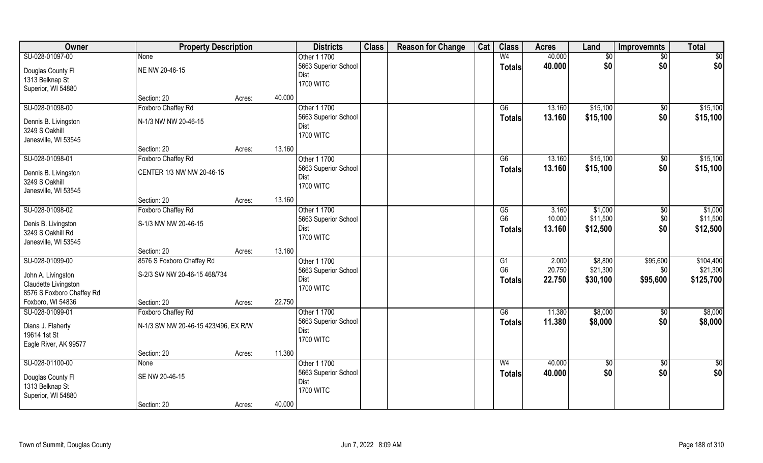| Owner                                    | <b>Property Description</b>          |        | <b>Districts</b>             | <b>Class</b> | <b>Reason for Change</b> | Cat | <b>Class</b>    | <b>Acres</b> | Land        | <b>Improvemnts</b> | <b>Total</b>    |
|------------------------------------------|--------------------------------------|--------|------------------------------|--------------|--------------------------|-----|-----------------|--------------|-------------|--------------------|-----------------|
| SU-028-01097-00                          | None                                 |        | Other 1 1700                 |              |                          |     | W <sub>4</sub>  | 40.000       | \$0         | $\sqrt{$0}$        | $\overline{50}$ |
| Douglas County Fl                        | NE NW 20-46-15                       |        | 5663 Superior School         |              |                          |     | <b>Totals</b>   | 40.000       | \$0         | \$0                | \$0             |
| 1313 Belknap St                          |                                      |        | Dist                         |              |                          |     |                 |              |             |                    |                 |
| Superior, WI 54880                       |                                      |        | <b>1700 WITC</b>             |              |                          |     |                 |              |             |                    |                 |
|                                          | Section: 20                          | Acres: | 40.000                       |              |                          |     |                 |              |             |                    |                 |
| SU-028-01098-00                          | Foxboro Chaffey Rd                   |        | Other 1 1700                 |              |                          |     | $\overline{G6}$ | 13.160       | \$15,100    | \$0                | \$15,100        |
| Dennis B. Livingston                     | N-1/3 NW NW 20-46-15                 |        | 5663 Superior School         |              |                          |     | Totals          | 13.160       | \$15,100    | \$0                | \$15,100        |
| 3249 S Oakhill                           |                                      |        | Dist                         |              |                          |     |                 |              |             |                    |                 |
| Janesville, WI 53545                     |                                      |        | <b>1700 WITC</b>             |              |                          |     |                 |              |             |                    |                 |
|                                          | Section: 20                          | Acres: | 13.160                       |              |                          |     |                 |              |             |                    |                 |
| SU-028-01098-01                          | Foxboro Chaffey Rd                   |        | Other 1 1700                 |              |                          |     | G6              | 13.160       | \$15,100    | $\sqrt[6]{3}$      | \$15,100        |
| Dennis B. Livingston                     | CENTER 1/3 NW NW 20-46-15            |        | 5663 Superior School         |              |                          |     | <b>Totals</b>   | 13.160       | \$15,100    | \$0                | \$15,100        |
| 3249 S Oakhill                           |                                      |        | Dist                         |              |                          |     |                 |              |             |                    |                 |
| Janesville, WI 53545                     |                                      |        | <b>1700 WITC</b>             |              |                          |     |                 |              |             |                    |                 |
|                                          | Section: 20                          | Acres: | 13.160                       |              |                          |     |                 |              |             |                    |                 |
| SU-028-01098-02                          | Foxboro Chaffey Rd                   |        | Other 1 1700                 |              |                          |     | G5              | 3.160        | \$1,000     | \$0                | \$1,000         |
|                                          | S-1/3 NW NW 20-46-15                 |        | 5663 Superior School         |              |                          |     | G <sub>6</sub>  | 10.000       | \$11,500    | \$0                | \$11,500        |
| Denis B. Livingston<br>3249 S Oakhill Rd |                                      |        | Dist                         |              |                          |     | <b>Totals</b>   | 13.160       | \$12,500    | \$0                | \$12,500        |
| Janesville, WI 53545                     |                                      |        | <b>1700 WITC</b>             |              |                          |     |                 |              |             |                    |                 |
|                                          | Section: 20                          | Acres: | 13.160                       |              |                          |     |                 |              |             |                    |                 |
| SU-028-01099-00                          | 8576 S Foxboro Chaffey Rd            |        | Other 1 1700                 |              |                          |     | $\overline{G1}$ | 2.000        | \$8,800     | \$95,600           | \$104,400       |
|                                          |                                      |        | 5663 Superior School         |              |                          |     | G <sub>6</sub>  | 20.750       | \$21,300    | \$0                | \$21,300        |
| John A. Livingston                       | S-2/3 SW NW 20-46-15 468/734         |        | Dist                         |              |                          |     | <b>Totals</b>   | 22.750       | \$30,100    | \$95,600           | \$125,700       |
| Claudette Livingston                     |                                      |        | <b>1700 WITC</b>             |              |                          |     |                 |              |             |                    |                 |
| 8576 S Foxboro Chaffey Rd                |                                      |        |                              |              |                          |     |                 |              |             |                    |                 |
| Foxboro, WI 54836                        | Section: 20                          | Acres: | 22.750                       |              |                          |     |                 |              |             |                    |                 |
| SU-028-01099-01                          | Foxboro Chaffey Rd                   |        | Other 1 1700                 |              |                          |     | G6              | 11.380       | \$8,000     | $\sqrt{$0}$        | \$8,000         |
| Diana J. Flaherty                        | N-1/3 SW NW 20-46-15 423/496, EX R/W |        | 5663 Superior School<br>Dist |              |                          |     | <b>Totals</b>   | 11.380       | \$8,000     | \$0                | \$8,000         |
| 19614 1st St                             |                                      |        | <b>1700 WITC</b>             |              |                          |     |                 |              |             |                    |                 |
| Eagle River, AK 99577                    |                                      |        |                              |              |                          |     |                 |              |             |                    |                 |
|                                          | Section: 20                          | Acres: | 11.380                       |              |                          |     |                 |              |             |                    |                 |
| SU-028-01100-00                          | <b>None</b>                          |        | Other 1 1700                 |              |                          |     | W <sub>4</sub>  | 40.000       | $\sqrt{50}$ | $\overline{60}$    | $\overline{50}$ |
| Douglas County Fl                        | SE NW 20-46-15                       |        | 5663 Superior School         |              |                          |     | <b>Totals</b>   | 40.000       | \$0         | \$0                | \$0             |
| 1313 Belknap St                          |                                      |        | Dist                         |              |                          |     |                 |              |             |                    |                 |
| Superior, WI 54880                       |                                      |        | <b>1700 WITC</b>             |              |                          |     |                 |              |             |                    |                 |
|                                          | Section: 20                          | Acres: | 40.000                       |              |                          |     |                 |              |             |                    |                 |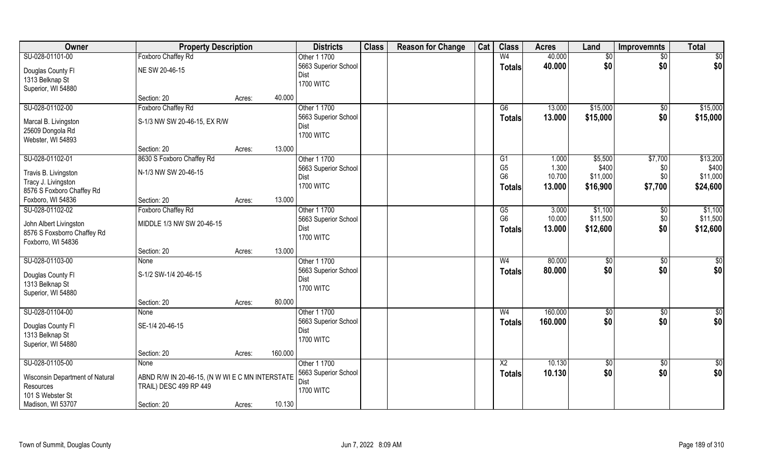| 40.000<br>SU-028-01101-00<br>Foxboro Chaffey Rd<br>W <sub>4</sub><br>Other 1 1700<br>$\overline{60}$<br>$\overline{50}$<br>\$0<br>40.000<br>\$0<br>5663 Superior School<br><b>Totals</b><br>NE SW 20-46-15<br>Douglas County Fl<br>Dist | \$0<br>\$0       |
|-----------------------------------------------------------------------------------------------------------------------------------------------------------------------------------------------------------------------------------------|------------------|
|                                                                                                                                                                                                                                         |                  |
|                                                                                                                                                                                                                                         |                  |
| 1313 Belknap St                                                                                                                                                                                                                         |                  |
| <b>1700 WITC</b><br>Superior, WI 54880                                                                                                                                                                                                  |                  |
| 40.000<br>Section: 20<br>Acres:                                                                                                                                                                                                         |                  |
| SU-028-01102-00<br>Foxboro Chaffey Rd<br>Other 1 1700<br>\$15,000<br>G6<br>13.000<br>\$0                                                                                                                                                | \$15,000         |
| \$15,000<br>\$0<br>5663 Superior School<br>13.000<br><b>Totals</b><br>S-1/3 NW SW 20-46-15, EX R/W<br>Marcal B. Livingston                                                                                                              | \$15,000         |
| Dist<br>25609 Dongola Rd                                                                                                                                                                                                                |                  |
| <b>1700 WITC</b><br>Webster, WI 54893                                                                                                                                                                                                   |                  |
| 13.000<br>Section: 20<br>Acres:                                                                                                                                                                                                         |                  |
| SU-028-01102-01<br>8630 S Foxboro Chaffey Rd<br>Other 1 1700<br>\$5,500<br>\$7,700<br>G1<br>1.000                                                                                                                                       | \$13,200         |
| G <sub>5</sub><br>1.300<br>\$400<br>5663 Superior School<br>\$0                                                                                                                                                                         | \$400            |
| N-1/3 NW SW 20-46-15<br>Travis B. Livingston<br>G <sub>6</sub><br>10.700<br>\$11,000<br>\$0<br>Dist                                                                                                                                     | \$11,000         |
| Tracy J. Livingston<br><b>1700 WITC</b><br>\$7,700<br>13.000<br>\$16,900<br>Totals<br>8576 S Foxboro Chaffey Rd                                                                                                                         | \$24,600         |
| 13.000<br>Foxboro, WI 54836<br>Section: 20<br>Acres:                                                                                                                                                                                    |                  |
| SU-028-01102-02<br>Other 1 1700<br>Foxboro Chaffey Rd<br>3.000<br>\$1,100<br>G5<br>\$0                                                                                                                                                  | \$1,100          |
| G <sub>6</sub><br>\$11,500<br>10.000<br>\$0<br>5663 Superior School                                                                                                                                                                     | \$11,500         |
| MIDDLE 1/3 NW SW 20-46-15<br>John Albert Livingston<br>\$0<br>13.000<br>\$12,600<br>Dist                                                                                                                                                | \$12,600         |
| <b>Totals</b><br>8576 S Foxsborro Chaffey Rd<br><b>1700 WITC</b>                                                                                                                                                                        |                  |
| Foxborro, WI 54836                                                                                                                                                                                                                      |                  |
| 13.000<br>Section: 20<br>Acres:                                                                                                                                                                                                         |                  |
| SU-028-01103-00<br>80.000<br>Other 1 1700<br>W <sub>4</sub><br>$\sqrt[6]{3}$<br>\$0<br>None                                                                                                                                             | $\sqrt{50}$      |
| \$0<br>\$0<br>5663 Superior School<br>80.000<br><b>Totals</b><br>S-1/2 SW-1/4 20-46-15<br>Douglas County Fl                                                                                                                             | \$0              |
| Dist<br>1313 Belknap St                                                                                                                                                                                                                 |                  |
| <b>1700 WITC</b><br>Superior, WI 54880                                                                                                                                                                                                  |                  |
| 80.000<br>Section: 20<br>Acres:                                                                                                                                                                                                         |                  |
| 160.000<br>SU-028-01104-00<br>Other 1 1700<br>$\sqrt{6}$<br>W <sub>4</sub><br>\$0<br>None                                                                                                                                               | \$0              |
| \$0<br>\$0<br>160.000<br>5663 Superior School<br><b>Totals</b><br>SE-1/4 20-46-15<br>Douglas County Fl                                                                                                                                  | \$0              |
| Dist<br>1313 Belknap St                                                                                                                                                                                                                 |                  |
| <b>1700 WITC</b><br>Superior, WI 54880                                                                                                                                                                                                  |                  |
| 160.000<br>Section: 20<br>Acres:                                                                                                                                                                                                        |                  |
| SU-028-01105-00<br>Other 1 1700<br>10.130<br>$\overline{X2}$<br>\$0<br>\$0<br>None                                                                                                                                                      | $\overline{\$0}$ |
| \$0<br>5663 Superior School<br>\$0<br>10.130<br><b>Totals</b>                                                                                                                                                                           | \$0              |
| ABND R/W IN 20-46-15, (N W WI E C MN INTERSTATE<br>Wisconsin Department of Natural<br>Dist<br>Resources<br>TRAIL) DESC 499 RP 449                                                                                                       |                  |
| <b>1700 WITC</b><br>101 S Webster St                                                                                                                                                                                                    |                  |
| 10.130<br>Madison, WI 53707<br>Section: 20<br>Acres:                                                                                                                                                                                    |                  |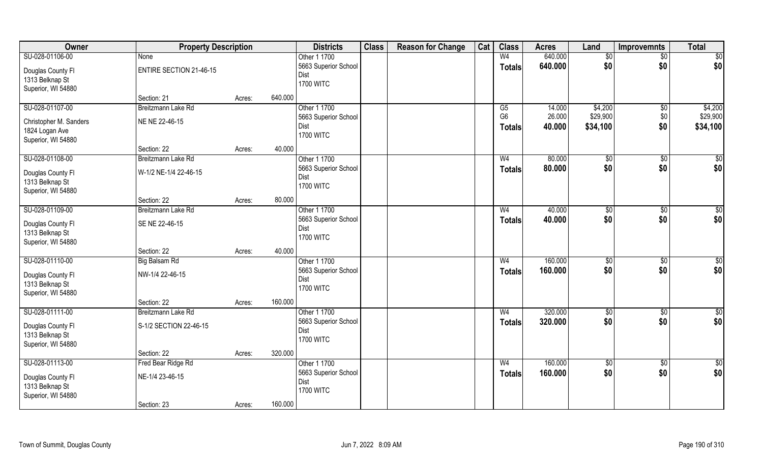| Owner                                 | <b>Property Description</b>    |        |         | <b>Districts</b>     | <b>Class</b> | <b>Reason for Change</b> | Cat | <b>Class</b>   | <b>Acres</b> | Land            | <b>Improvemnts</b> | <b>Total</b>    |
|---------------------------------------|--------------------------------|--------|---------|----------------------|--------------|--------------------------|-----|----------------|--------------|-----------------|--------------------|-----------------|
| SU-028-01106-00                       | None                           |        |         | Other 1 1700         |              |                          |     | W <sub>4</sub> | 640.000      | $\overline{50}$ | $\sqrt{$0}$        | $\overline{50}$ |
| Douglas County Fl                     | <b>ENTIRE SECTION 21-46-15</b> |        |         | 5663 Superior School |              |                          |     | Totals         | 640.000      | \$0             | \$0                | \$0             |
| 1313 Belknap St                       |                                |        |         | Dist                 |              |                          |     |                |              |                 |                    |                 |
| Superior, WI 54880                    |                                |        |         | <b>1700 WITC</b>     |              |                          |     |                |              |                 |                    |                 |
|                                       | Section: 21                    | Acres: | 640.000 |                      |              |                          |     |                |              |                 |                    |                 |
| SU-028-01107-00                       | Breitzmann Lake Rd             |        |         | Other 1 1700         |              |                          |     | G5             | 14.000       | \$4,200         | \$0                | \$4,200         |
| Christopher M. Sanders                | NE NE 22-46-15                 |        |         | 5663 Superior School |              |                          |     | G <sub>6</sub> | 26.000       | \$29,900        | \$0                | \$29,900        |
| 1824 Logan Ave                        |                                |        |         | Dist                 |              |                          |     | Totals         | 40.000       | \$34,100        | \$0                | \$34,100        |
| Superior, WI 54880                    |                                |        |         | <b>1700 WITC</b>     |              |                          |     |                |              |                 |                    |                 |
|                                       | Section: 22                    | Acres: | 40.000  |                      |              |                          |     |                |              |                 |                    |                 |
| SU-028-01108-00                       | Breitzmann Lake Rd             |        |         | Other 1 1700         |              |                          |     | W <sub>4</sub> | 80.000       | \$0             | \$0                | \$0             |
| Douglas County Fl                     | W-1/2 NE-1/4 22-46-15          |        |         | 5663 Superior School |              |                          |     | <b>Totals</b>  | 80.000       | \$0             | \$0                | \$0             |
| 1313 Belknap St                       |                                |        |         | Dist                 |              |                          |     |                |              |                 |                    |                 |
| Superior, WI 54880                    |                                |        |         | <b>1700 WITC</b>     |              |                          |     |                |              |                 |                    |                 |
|                                       | Section: 22                    | Acres: | 80.000  |                      |              |                          |     |                |              |                 |                    |                 |
| SU-028-01109-00                       | Breitzmann Lake Rd             |        |         | Other 1 1700         |              |                          |     | W <sub>4</sub> | 40.000       | \$0             | \$0                | \$0             |
|                                       |                                |        |         | 5663 Superior School |              |                          |     | <b>Totals</b>  | 40.000       | \$0             | \$0                | \$0             |
| Douglas County Fl                     | SE NE 22-46-15                 |        |         | Dist                 |              |                          |     |                |              |                 |                    |                 |
| 1313 Belknap St<br>Superior, WI 54880 |                                |        |         | <b>1700 WITC</b>     |              |                          |     |                |              |                 |                    |                 |
|                                       | Section: 22                    | Acres: | 40.000  |                      |              |                          |     |                |              |                 |                    |                 |
| SU-028-01110-00                       | <b>Big Balsam Rd</b>           |        |         | Other 1 1700         |              |                          |     | W <sub>4</sub> | 160.000      | $\sqrt{50}$     | $\overline{50}$    | $\sqrt{50}$     |
|                                       |                                |        |         | 5663 Superior School |              |                          |     | <b>Totals</b>  | 160.000      | \$0             | \$0                | \$0             |
| Douglas County Fl                     | NW-1/4 22-46-15                |        |         | Dist                 |              |                          |     |                |              |                 |                    |                 |
| 1313 Belknap St                       |                                |        |         | <b>1700 WITC</b>     |              |                          |     |                |              |                 |                    |                 |
| Superior, WI 54880                    |                                |        |         |                      |              |                          |     |                |              |                 |                    |                 |
|                                       | Section: 22                    | Acres: | 160.000 |                      |              |                          |     |                |              |                 |                    |                 |
| SU-028-01111-00                       | Breitzmann Lake Rd             |        |         | Other 1 1700         |              |                          |     | W <sub>4</sub> | 320.000      | \$0             | $\sqrt{$0}$        | $\overline{50}$ |
| Douglas County Fl                     | S-1/2 SECTION 22-46-15         |        |         | 5663 Superior School |              |                          |     | <b>Totals</b>  | 320.000      | \$0             | \$0                | \$0             |
| 1313 Belknap St                       |                                |        |         | Dist                 |              |                          |     |                |              |                 |                    |                 |
| Superior, WI 54880                    |                                |        |         | <b>1700 WITC</b>     |              |                          |     |                |              |                 |                    |                 |
|                                       | Section: 22                    | Acres: | 320.000 |                      |              |                          |     |                |              |                 |                    |                 |
| SU-028-01113-00                       | Fred Bear Ridge Rd             |        |         | Other 1 1700         |              |                          |     | W <sub>4</sub> | 160.000      | $\sqrt{50}$     | $\overline{60}$    | \$0             |
| Douglas County Fl                     | NE-1/4 23-46-15                |        |         | 5663 Superior School |              |                          |     | <b>Totals</b>  | 160.000      | \$0             | \$0                | \$0             |
| 1313 Belknap St                       |                                |        |         | Dist                 |              |                          |     |                |              |                 |                    |                 |
| Superior, WI 54880                    |                                |        |         | <b>1700 WITC</b>     |              |                          |     |                |              |                 |                    |                 |
|                                       | Section: 23                    | Acres: | 160.000 |                      |              |                          |     |                |              |                 |                    |                 |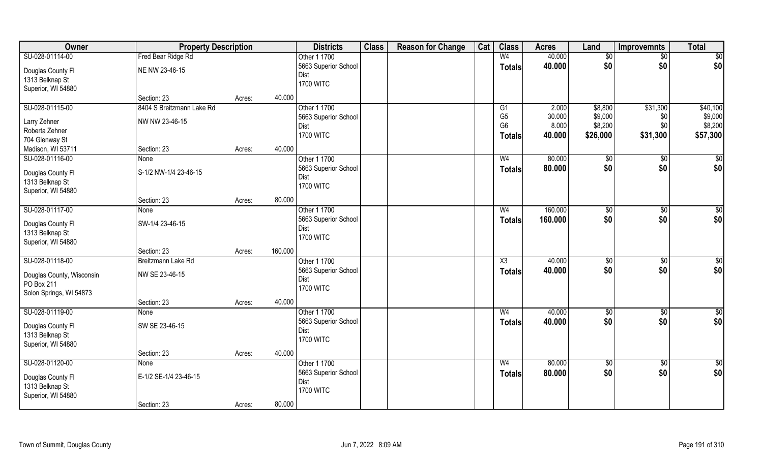| Owner                                | <b>Property Description</b> |        |         | <b>Districts</b>             | <b>Class</b> | <b>Reason for Change</b> | Cat | <b>Class</b>        | <b>Acres</b> | Land        | Improvemnts     | <b>Total</b>    |
|--------------------------------------|-----------------------------|--------|---------|------------------------------|--------------|--------------------------|-----|---------------------|--------------|-------------|-----------------|-----------------|
| SU-028-01114-00                      | Fred Bear Ridge Rd          |        |         | Other 1 1700                 |              |                          |     | W <sub>4</sub>      | 40.000       | $\sqrt{$0}$ | $\sqrt{$0}$     | $\overline{50}$ |
| Douglas County Fl                    | NE NW 23-46-15              |        |         | 5663 Superior School         |              |                          |     | Totals              | 40.000       | \$0         | \$0             | \$0             |
| 1313 Belknap St                      |                             |        |         | Dist                         |              |                          |     |                     |              |             |                 |                 |
| Superior, WI 54880                   |                             |        |         | <b>1700 WITC</b>             |              |                          |     |                     |              |             |                 |                 |
|                                      | Section: 23                 | Acres: | 40.000  |                              |              |                          |     |                     |              |             |                 |                 |
| SU-028-01115-00                      | 8404 S Breitzmann Lake Rd   |        |         | Other 1 1700                 |              |                          |     | G1                  | 2.000        | \$8,800     | \$31,300        | \$40,100        |
| Larry Zehner                         | NW NW 23-46-15              |        |         | 5663 Superior School         |              |                          |     | G <sub>5</sub>      | 30.000       | \$9,000     | \$0             | \$9,000         |
| Roberta Zehner                       |                             |        |         | Dist                         |              |                          |     | G <sub>6</sub>      | 8.000        | \$8,200     | \$0             | \$8,200         |
| 704 Glenway St                       |                             |        |         | <b>1700 WITC</b>             |              |                          |     | Totals              | 40.000       | \$26,000    | \$31,300        | \$57,300        |
| Madison, WI 53711                    | Section: 23                 | Acres: | 40.000  |                              |              |                          |     |                     |              |             |                 |                 |
| SU-028-01116-00                      | None                        |        |         | Other 1 1700                 |              |                          |     | W <sub>4</sub>      | 80.000       | \$0         | \$0             | \$0             |
|                                      | S-1/2 NW-1/4 23-46-15       |        |         | 5663 Superior School         |              |                          |     | <b>Totals</b>       | 80.000       | \$0         | \$0             | \$0             |
| Douglas County Fl<br>1313 Belknap St |                             |        |         | Dist                         |              |                          |     |                     |              |             |                 |                 |
| Superior, WI 54880                   |                             |        |         | <b>1700 WITC</b>             |              |                          |     |                     |              |             |                 |                 |
|                                      | Section: 23                 | Acres: | 80.000  |                              |              |                          |     |                     |              |             |                 |                 |
| SU-028-01117-00                      | None                        |        |         | Other 1 1700                 |              |                          |     | W <sub>4</sub>      | 160.000      | \$0         | \$0             | \$0             |
|                                      |                             |        |         | 5663 Superior School         |              |                          |     | <b>Totals</b>       | 160.000      | \$0         | \$0             | \$0             |
| Douglas County Fl                    | SW-1/4 23-46-15             |        |         | Dist                         |              |                          |     |                     |              |             |                 |                 |
| 1313 Belknap St                      |                             |        |         | <b>1700 WITC</b>             |              |                          |     |                     |              |             |                 |                 |
| Superior, WI 54880                   | Section: 23                 | Acres: | 160.000 |                              |              |                          |     |                     |              |             |                 |                 |
| SU-028-01118-00                      | Breitzmann Lake Rd          |        |         | Other 1 1700                 |              |                          |     | $\overline{\chi_3}$ | 40.000       | $\sqrt{50}$ | $\overline{50}$ | $\sqrt{50}$     |
|                                      |                             |        |         |                              |              |                          |     |                     | 40.000       | \$0         |                 |                 |
| Douglas County, Wisconsin            | NW SE 23-46-15              |        |         | 5663 Superior School<br>Dist |              |                          |     | <b>Totals</b>       |              |             | \$0             | \$0             |
| PO Box 211                           |                             |        |         | <b>1700 WITC</b>             |              |                          |     |                     |              |             |                 |                 |
| Solon Springs, WI 54873              |                             |        |         |                              |              |                          |     |                     |              |             |                 |                 |
|                                      | Section: 23                 | Acres: | 40.000  |                              |              |                          |     |                     |              |             |                 |                 |
| SU-028-01119-00                      | None                        |        |         | Other 1 1700                 |              |                          |     | W <sub>4</sub>      | 40.000       | \$0         | $\sqrt{$0}$     | \$0             |
| Douglas County Fl                    | SW SE 23-46-15              |        |         | 5663 Superior School         |              |                          |     | <b>Totals</b>       | 40.000       | \$0         | \$0             | \$0             |
| 1313 Belknap St                      |                             |        |         | Dist                         |              |                          |     |                     |              |             |                 |                 |
| Superior, WI 54880                   |                             |        |         | <b>1700 WITC</b>             |              |                          |     |                     |              |             |                 |                 |
|                                      | Section: 23                 | Acres: | 40.000  |                              |              |                          |     |                     |              |             |                 |                 |
| SU-028-01120-00                      | <b>None</b>                 |        |         | Other 1 1700                 |              |                          |     | W <sub>4</sub>      | 80.000       | $\sqrt{60}$ | $\overline{60}$ | \$0             |
| Douglas County Fl                    | E-1/2 SE-1/4 23-46-15       |        |         | 5663 Superior School         |              |                          |     | <b>Totals</b>       | 80.000       | \$0         | \$0             | \$0             |
| 1313 Belknap St                      |                             |        |         | Dist                         |              |                          |     |                     |              |             |                 |                 |
| Superior, WI 54880                   |                             |        |         | <b>1700 WITC</b>             |              |                          |     |                     |              |             |                 |                 |
|                                      | Section: 23                 | Acres: | 80.000  |                              |              |                          |     |                     |              |             |                 |                 |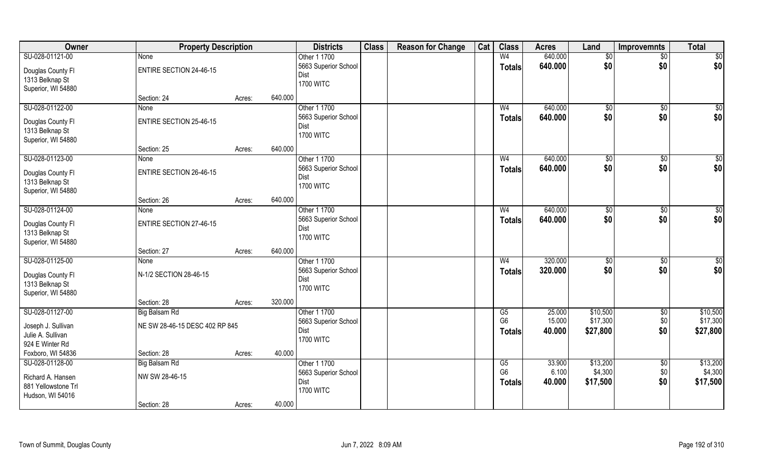| Owner               | <b>Property Description</b>    |        |         | <b>Districts</b>         | <b>Class</b> | <b>Reason for Change</b> | Cat | <b>Class</b>   | <b>Acres</b> | Land           | Improvemnts     | <b>Total</b> |
|---------------------|--------------------------------|--------|---------|--------------------------|--------------|--------------------------|-----|----------------|--------------|----------------|-----------------|--------------|
| SU-028-01121-00     | None                           |        |         | Other 1 1700             |              |                          |     | W <sub>4</sub> | 640.000      | $\sqrt[6]{}$   | $\overline{50}$ | \$0          |
| Douglas County Fl   | <b>ENTIRE SECTION 24-46-15</b> |        |         | 5663 Superior School     |              |                          |     | <b>Totals</b>  | 640.000      | \$0            | \$0             | \$0          |
| 1313 Belknap St     |                                |        |         | Dist                     |              |                          |     |                |              |                |                 |              |
| Superior, WI 54880  |                                |        |         | <b>1700 WITC</b>         |              |                          |     |                |              |                |                 |              |
|                     | Section: 24                    | Acres: | 640.000 |                          |              |                          |     |                |              |                |                 |              |
| SU-028-01122-00     | <b>None</b>                    |        |         | Other 1 1700             |              |                          |     | W <sub>4</sub> | 640.000      | \$0            | \$0             | $\sqrt{50}$  |
| Douglas County Fl   | <b>ENTIRE SECTION 25-46-15</b> |        |         | 5663 Superior School     |              |                          |     | <b>Totals</b>  | 640.000      | \$0            | \$0             | \$0          |
| 1313 Belknap St     |                                |        |         | Dist<br><b>1700 WITC</b> |              |                          |     |                |              |                |                 |              |
| Superior, WI 54880  |                                |        |         |                          |              |                          |     |                |              |                |                 |              |
|                     | Section: 25                    | Acres: | 640.000 |                          |              |                          |     |                |              |                |                 |              |
| SU-028-01123-00     | None                           |        |         | Other 1 1700             |              |                          |     | W <sub>4</sub> | 640.000      | $\sqrt[6]{3}$  | $\sqrt[6]{3}$   | \$0          |
| Douglas County FI   | <b>ENTIRE SECTION 26-46-15</b> |        |         | 5663 Superior School     |              |                          |     | <b>Totals</b>  | 640.000      | \$0            | \$0             | \$0          |
| 1313 Belknap St     |                                |        |         | Dist                     |              |                          |     |                |              |                |                 |              |
| Superior, WI 54880  |                                |        |         | <b>1700 WITC</b>         |              |                          |     |                |              |                |                 |              |
|                     | Section: 26                    | Acres: | 640.000 |                          |              |                          |     |                |              |                |                 |              |
| SU-028-01124-00     | None                           |        |         | Other 1 1700             |              |                          |     | W <sub>4</sub> | 640.000      | $\frac{1}{20}$ | \$0             | \$0          |
| Douglas County Fl   | <b>ENTIRE SECTION 27-46-15</b> |        |         | 5663 Superior School     |              |                          |     | <b>Totals</b>  | 640.000      | \$0            | \$0             | \$0          |
| 1313 Belknap St     |                                |        |         | Dist                     |              |                          |     |                |              |                |                 |              |
| Superior, WI 54880  |                                |        |         | <b>1700 WITC</b>         |              |                          |     |                |              |                |                 |              |
|                     | Section: 27                    | Acres: | 640.000 |                          |              |                          |     |                |              |                |                 |              |
| SU-028-01125-00     | None                           |        |         | Other 1 1700             |              |                          |     | W <sub>4</sub> | 320.000      | \$0            | \$0             | \$0          |
| Douglas County Fl   | N-1/2 SECTION 28-46-15         |        |         | 5663 Superior School     |              |                          |     | <b>Totals</b>  | 320.000      | \$0            | \$0             | \$0          |
| 1313 Belknap St     |                                |        |         | Dist                     |              |                          |     |                |              |                |                 |              |
| Superior, WI 54880  |                                |        |         | <b>1700 WITC</b>         |              |                          |     |                |              |                |                 |              |
|                     | Section: 28                    | Acres: | 320.000 |                          |              |                          |     |                |              |                |                 |              |
| SU-028-01127-00     | <b>Big Balsam Rd</b>           |        |         | Other 1 1700             |              |                          |     | G5             | 25.000       | \$10,500       | $\sqrt{$0}$     | \$10,500     |
| Joseph J. Sullivan  | NE SW 28-46-15 DESC 402 RP 845 |        |         | 5663 Superior School     |              |                          |     | G <sub>6</sub> | 15.000       | \$17,300       | \$0             | \$17,300     |
| Julie A. Sullivan   |                                |        |         | Dist<br><b>1700 WITC</b> |              |                          |     | Totals         | 40.000       | \$27,800       | \$0             | \$27,800     |
| 924 E Winter Rd     |                                |        |         |                          |              |                          |     |                |              |                |                 |              |
| Foxboro, WI 54836   | Section: 28                    | Acres: | 40.000  |                          |              |                          |     |                |              |                |                 |              |
| SU-028-01128-00     | Big Balsam Rd                  |        |         | Other 1 1700             |              |                          |     | G5             | 33.900       | \$13,200       | $\sqrt{$0}$     | \$13,200     |
| Richard A. Hansen   | NW SW 28-46-15                 |        |         | 5663 Superior School     |              |                          |     | G <sub>6</sub> | 6.100        | \$4,300        | \$0             | \$4,300      |
| 881 Yellowstone Trl |                                |        |         | Dist                     |              |                          |     | <b>Totals</b>  | 40.000       | \$17,500       | \$0             | \$17,500     |
| Hudson, WI 54016    |                                |        |         | <b>1700 WITC</b>         |              |                          |     |                |              |                |                 |              |
|                     | Section: 28                    | Acres: | 40.000  |                          |              |                          |     |                |              |                |                 |              |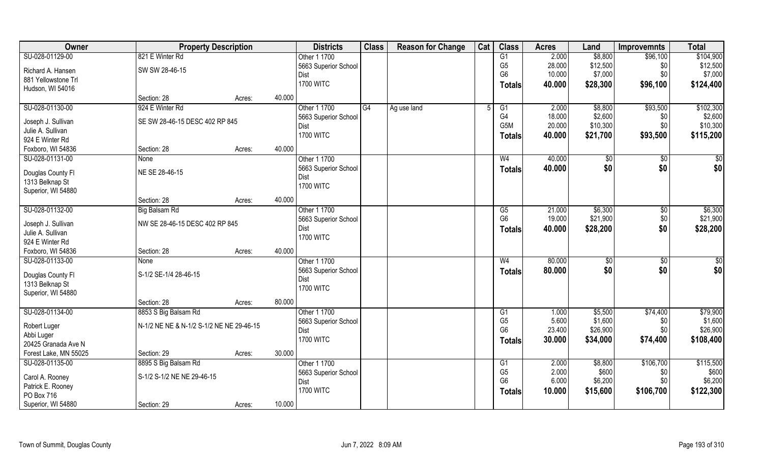| Owner                 | <b>Property Description</b>              |        |        | <b>Districts</b>     | <b>Class</b> | <b>Reason for Change</b> | Cat | <b>Class</b>     | <b>Acres</b> | Land     | <b>Improvemnts</b> | <b>Total</b>    |
|-----------------------|------------------------------------------|--------|--------|----------------------|--------------|--------------------------|-----|------------------|--------------|----------|--------------------|-----------------|
| SU-028-01129-00       | 821 E Winter Rd                          |        |        | Other 1 1700         |              |                          |     | G1               | 2.000        | \$8,800  | \$96,100           | \$104,900       |
| Richard A. Hansen     | SW SW 28-46-15                           |        |        | 5663 Superior School |              |                          |     | G <sub>5</sub>   | 28.000       | \$12,500 | \$0                | \$12,500        |
| 881 Yellowstone Trl   |                                          |        |        | Dist                 |              |                          |     | G <sub>6</sub>   | 10.000       | \$7,000  | \$0                | \$7,000         |
| Hudson, WI 54016      |                                          |        |        | <b>1700 WITC</b>     |              |                          |     | Totals           | 40.000       | \$28,300 | \$96,100           | \$124,400       |
|                       | Section: 28                              | Acres: | 40.000 |                      |              |                          |     |                  |              |          |                    |                 |
| SU-028-01130-00       | 924 E Winter Rd                          |        |        | Other 1 1700         | G4           | Ag use land              |     | G1               | 2.000        | \$8,800  | \$93,500           | \$102,300       |
| Joseph J. Sullivan    | SE SW 28-46-15 DESC 402 RP 845           |        |        | 5663 Superior School |              |                          |     | G4               | 18.000       | \$2,600  | \$0                | \$2,600         |
| Julie A. Sullivan     |                                          |        |        | <b>Dist</b>          |              |                          |     | G <sub>5</sub> M | 20.000       | \$10,300 | \$0                | \$10,300        |
| 924 E Winter Rd       |                                          |        |        | <b>1700 WITC</b>     |              |                          |     | Totals           | 40.000       | \$21,700 | \$93,500           | \$115,200       |
| Foxboro, WI 54836     | Section: 28                              | Acres: | 40.000 |                      |              |                          |     |                  |              |          |                    |                 |
| SU-028-01131-00       | None                                     |        |        | Other 1 1700         |              |                          |     | W <sub>4</sub>   | 40.000       | \$0      | $\sqrt[6]{30}$     | \$0             |
|                       |                                          |        |        | 5663 Superior School |              |                          |     | <b>Totals</b>    | 40.000       | \$0      | \$0                | \$0             |
| Douglas County Fl     | NE SE 28-46-15                           |        |        | Dist                 |              |                          |     |                  |              |          |                    |                 |
| 1313 Belknap St       |                                          |        |        | <b>1700 WITC</b>     |              |                          |     |                  |              |          |                    |                 |
| Superior, WI 54880    |                                          |        |        |                      |              |                          |     |                  |              |          |                    |                 |
|                       | Section: 28                              | Acres: | 40.000 |                      |              |                          |     |                  |              |          |                    |                 |
| SU-028-01132-00       | Big Balsam Rd                            |        |        | Other 1 1700         |              |                          |     | G5               | 21.000       | \$6,300  | $\sqrt[6]{3}$      | \$6,300         |
| Joseph J. Sullivan    | NW SE 28-46-15 DESC 402 RP 845           |        |        | 5663 Superior School |              |                          |     | G <sub>6</sub>   | 19.000       | \$21,900 | \$0                | \$21,900        |
| Julie A. Sullivan     |                                          |        |        | Dist                 |              |                          |     | <b>Totals</b>    | 40.000       | \$28,200 | \$0                | \$28,200        |
| 924 E Winter Rd       |                                          |        |        | <b>1700 WITC</b>     |              |                          |     |                  |              |          |                    |                 |
| Foxboro, WI 54836     | Section: 28                              | Acres: | 40.000 |                      |              |                          |     |                  |              |          |                    |                 |
| SU-028-01133-00       | None                                     |        |        | Other 1 1700         |              |                          |     | W <sub>4</sub>   | 80.000       | \$0      | $\sqrt[6]{3}$      | $\overline{50}$ |
| Douglas County Fl     | S-1/2 SE-1/4 28-46-15                    |        |        | 5663 Superior School |              |                          |     | Totals           | 80,000       | \$0      | \$0                | \$0             |
| 1313 Belknap St       |                                          |        |        | Dist                 |              |                          |     |                  |              |          |                    |                 |
| Superior, WI 54880    |                                          |        |        | <b>1700 WITC</b>     |              |                          |     |                  |              |          |                    |                 |
|                       | Section: 28                              | Acres: | 80.000 |                      |              |                          |     |                  |              |          |                    |                 |
| SU-028-01134-00       | 8853 S Big Balsam Rd                     |        |        | Other 1 1700         |              |                          |     | G1               | 1.000        | \$5,500  | \$74,400           | \$79,900        |
| Robert Luger          | N-1/2 NE NE & N-1/2 S-1/2 NE NE 29-46-15 |        |        | 5663 Superior School |              |                          |     | G <sub>5</sub>   | 5.600        | \$1,600  | \$0                | \$1,600         |
| Abbi Luger            |                                          |        |        | Dist                 |              |                          |     | G <sub>6</sub>   | 23.400       | \$26,900 | \$0                | \$26,900        |
| 20425 Granada Ave N   |                                          |        |        | <b>1700 WITC</b>     |              |                          |     | Totals           | 30.000       | \$34,000 | \$74,400           | \$108,400       |
| Forest Lake, MN 55025 | Section: 29                              | Acres: | 30.000 |                      |              |                          |     |                  |              |          |                    |                 |
| SU-028-01135-00       | 8895 S Big Balsam Rd                     |        |        | Other 1 1700         |              |                          |     | G1               | 2.000        | \$8,800  | \$106,700          | \$115,500       |
|                       |                                          |        |        | 5663 Superior School |              |                          |     | G <sub>5</sub>   | 2.000        | \$600    | \$0                | \$600           |
| Carol A. Rooney       | S-1/2 S-1/2 NE NE 29-46-15               |        |        | Dist                 |              |                          |     | G <sub>6</sub>   | 6.000        | \$6,200  | \$0                | \$6,200         |
| Patrick E. Rooney     |                                          |        |        | <b>1700 WITC</b>     |              |                          |     | Totals           | 10.000       | \$15,600 | \$106,700          | \$122,300       |
| PO Box 716            |                                          |        |        |                      |              |                          |     |                  |              |          |                    |                 |
| Superior, WI 54880    | Section: 29                              | Acres: | 10.000 |                      |              |                          |     |                  |              |          |                    |                 |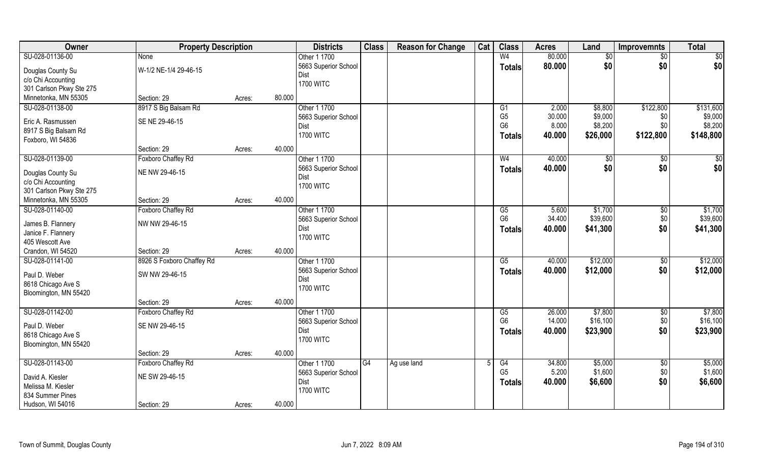| Owner                    | <b>Property Description</b> |                  | <b>Districts</b>     | <b>Class</b> | <b>Reason for Change</b> | Cat | <b>Class</b>         | <b>Acres</b>    | Land               | Improvemnts     | <b>Total</b>       |
|--------------------------|-----------------------------|------------------|----------------------|--------------|--------------------------|-----|----------------------|-----------------|--------------------|-----------------|--------------------|
| SU-028-01136-00          | None                        |                  | Other 1 1700         |              |                          |     | W <sub>4</sub>       | 80.000          | $\overline{50}$    | $\overline{50}$ | \$0                |
| Douglas County Su        | W-1/2 NE-1/4 29-46-15       |                  | 5663 Superior School |              |                          |     | <b>Totals</b>        | 80.000          | \$0                | \$0             | \$0                |
| c/o Chi Accounting       |                             |                  | Dist                 |              |                          |     |                      |                 |                    |                 |                    |
| 301 Carlson Pkwy Ste 275 |                             |                  | <b>1700 WITC</b>     |              |                          |     |                      |                 |                    |                 |                    |
| Minnetonka, MN 55305     | Section: 29                 | 80.000<br>Acres: |                      |              |                          |     |                      |                 |                    |                 |                    |
| SU-028-01138-00          | 8917 S Big Balsam Rd        |                  | Other 1 1700         |              |                          |     |                      | 2.000           | \$8,800            | \$122,800       | \$131,600          |
|                          |                             |                  |                      |              |                          |     | G1<br>G <sub>5</sub> |                 |                    |                 |                    |
| Eric A. Rasmussen        | SE NE 29-46-15              |                  | 5663 Superior School |              |                          |     | G <sub>6</sub>       | 30.000<br>8.000 | \$9,000<br>\$8,200 | \$0<br>\$0      | \$9,000<br>\$8,200 |
| 8917 S Big Balsam Rd     |                             |                  | Dist                 |              |                          |     |                      |                 |                    |                 |                    |
| Foxboro, WI 54836        |                             |                  | <b>1700 WITC</b>     |              |                          |     | <b>Totals</b>        | 40.000          | \$26,000           | \$122,800       | \$148,800          |
|                          | Section: 29                 | 40.000<br>Acres: |                      |              |                          |     |                      |                 |                    |                 |                    |
| SU-028-01139-00          | Foxboro Chaffey Rd          |                  | Other 1 1700         |              |                          |     | W <sub>4</sub>       | 40.000          | $\sqrt[6]{3}$      | $\sqrt[6]{30}$  | \$0                |
|                          | NE NW 29-46-15              |                  | 5663 Superior School |              |                          |     | <b>Totals</b>        | 40.000          | \$0                | \$0             | \$0                |
| Douglas County Su        |                             |                  | Dist                 |              |                          |     |                      |                 |                    |                 |                    |
| c/o Chi Accounting       |                             |                  | <b>1700 WITC</b>     |              |                          |     |                      |                 |                    |                 |                    |
| 301 Carlson Pkwy Ste 275 |                             | 40.000           |                      |              |                          |     |                      |                 |                    |                 |                    |
| Minnetonka, MN 55305     | Section: 29                 | Acres:           |                      |              |                          |     |                      |                 |                    |                 |                    |
| SU-028-01140-00          | Foxboro Chaffey Rd          |                  | Other 1 1700         |              |                          |     | G5                   | 5.600           | \$1,700            | \$0             | \$1,700            |
| James B. Flannery        | NW NW 29-46-15              |                  | 5663 Superior School |              |                          |     | G <sub>6</sub>       | 34.400          | \$39,600           | \$0             | \$39,600           |
| Janice F. Flannery       |                             |                  | Dist                 |              |                          |     | <b>Totals</b>        | 40.000          | \$41,300           | \$0             | \$41,300           |
| 405 Wescott Ave          |                             |                  | <b>1700 WITC</b>     |              |                          |     |                      |                 |                    |                 |                    |
| Crandon, WI 54520        | Section: 29                 | 40.000<br>Acres: |                      |              |                          |     |                      |                 |                    |                 |                    |
| SU-028-01141-00          | 8926 S Foxboro Chaffey Rd   |                  | Other 1 1700         |              |                          |     | $\overline{G5}$      | 40.000          | \$12,000           | $\sqrt[6]{30}$  | \$12,000           |
|                          |                             |                  | 5663 Superior School |              |                          |     | <b>Totals</b>        | 40.000          | \$12,000           | \$0             | \$12,000           |
| Paul D. Weber            | SW NW 29-46-15              |                  | Dist                 |              |                          |     |                      |                 |                    |                 |                    |
| 8618 Chicago Ave S       |                             |                  | <b>1700 WITC</b>     |              |                          |     |                      |                 |                    |                 |                    |
| Bloomington, MN 55420    |                             |                  |                      |              |                          |     |                      |                 |                    |                 |                    |
|                          | Section: 29                 | 40.000<br>Acres: |                      |              |                          |     |                      |                 |                    |                 |                    |
| SU-028-01142-00          | <b>Foxboro Chaffey Rd</b>   |                  | Other 1 1700         |              |                          |     | G5                   | 26.000          | \$7,800            | \$0             | \$7,800            |
| Paul D. Weber            | SE NW 29-46-15              |                  | 5663 Superior School |              |                          |     | G <sub>6</sub>       | 14.000          | \$16,100           | \$0             | \$16,100           |
| 8618 Chicago Ave S       |                             |                  | Dist                 |              |                          |     | <b>Totals</b>        | 40.000          | \$23,900           | \$0             | \$23,900           |
| Bloomington, MN 55420    |                             |                  | <b>1700 WITC</b>     |              |                          |     |                      |                 |                    |                 |                    |
|                          | Section: 29                 | 40.000<br>Acres: |                      |              |                          |     |                      |                 |                    |                 |                    |
| SU-028-01143-00          | Foxboro Chaffey Rd          |                  | Other 1 1700         | G4           | Ag use land              |     | G4                   | 34.800          | \$5,000            | $\sqrt{6}$      | \$5,000            |
|                          |                             |                  | 5663 Superior School |              |                          |     | G <sub>5</sub>       | 5.200           | \$1,600            | \$0             | \$1,600            |
| David A. Kiesler         | NE SW 29-46-15              |                  | Dist                 |              |                          |     | <b>Totals</b>        | 40.000          | \$6,600            | \$0             | \$6,600            |
| Melissa M. Kiesler       |                             |                  | <b>1700 WITC</b>     |              |                          |     |                      |                 |                    |                 |                    |
| 834 Summer Pines         |                             |                  |                      |              |                          |     |                      |                 |                    |                 |                    |
| Hudson, WI 54016         | Section: 29                 | 40.000<br>Acres: |                      |              |                          |     |                      |                 |                    |                 |                    |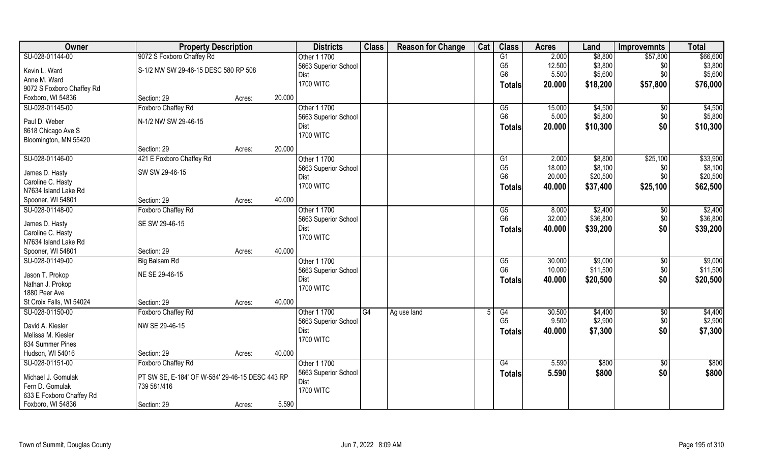| Owner                     | <b>Property Description</b>                     |        |        | <b>Districts</b>             | <b>Class</b> | <b>Reason for Change</b> | Cat | <b>Class</b>                             | <b>Acres</b>     | Land                | <b>Improvemnts</b> | <b>Total</b>        |
|---------------------------|-------------------------------------------------|--------|--------|------------------------------|--------------|--------------------------|-----|------------------------------------------|------------------|---------------------|--------------------|---------------------|
| SU-028-01144-00           | 9072 S Foxboro Chaffey Rd                       |        |        | Other 1 1700                 |              |                          |     | G1                                       | 2.000            | \$8,800             | \$57,800           | \$66,600            |
| Kevin L. Ward             | S-1/2 NW SW 29-46-15 DESC 580 RP 508            |        |        | 5663 Superior School         |              |                          |     | G <sub>5</sub>                           | 12.500           | \$3,800             | \$0                | \$3,800             |
| Anne M. Ward              |                                                 |        |        | Dist                         |              |                          |     | G <sub>6</sub>                           | 5.500            | \$5,600             | \$0                | \$5,600             |
| 9072 S Foxboro Chaffey Rd |                                                 |        |        | <b>1700 WITC</b>             |              |                          |     | <b>Totals</b>                            | 20.000           | \$18,200            | \$57,800           | \$76,000            |
| Foxboro, WI 54836         | Section: 29                                     | Acres: | 20.000 |                              |              |                          |     |                                          |                  |                     |                    |                     |
| SU-028-01145-00           | Foxboro Chaffey Rd                              |        |        | Other 1 1700                 |              |                          |     | G5                                       | 15.000           | \$4,500             | $\sqrt{$0}$        | \$4,500             |
| Paul D. Weber             | N-1/2 NW SW 29-46-15                            |        |        | 5663 Superior School         |              |                          |     | G <sub>6</sub>                           | 5.000            | \$5,800             | \$0                | \$5,800             |
| 8618 Chicago Ave S        |                                                 |        |        | Dist                         |              |                          |     | <b>Totals</b>                            | 20.000           | \$10,300            | \$0                | \$10,300            |
| Bloomington, MN 55420     |                                                 |        |        | <b>1700 WITC</b>             |              |                          |     |                                          |                  |                     |                    |                     |
|                           | Section: 29                                     | Acres: | 20.000 |                              |              |                          |     |                                          |                  |                     |                    |                     |
| SU-028-01146-00           | 421 E Foxboro Chaffey Rd                        |        |        | Other 1 1700                 |              |                          |     | G1                                       | 2.000            | \$8,800             | \$25,100           | \$33,900            |
| James D. Hasty            | SW SW 29-46-15                                  |        |        | 5663 Superior School         |              |                          |     | G <sub>5</sub>                           | 18.000           | \$8,100             | \$0                | \$8,100             |
| Caroline C. Hasty         |                                                 |        |        | Dist                         |              |                          |     | G <sub>6</sub>                           | 20.000           | \$20,500            | \$0                | \$20,500            |
| N7634 Island Lake Rd      |                                                 |        |        | <b>1700 WITC</b>             |              |                          |     | <b>Totals</b>                            | 40.000           | \$37,400            | \$25,100           | \$62,500            |
| Spooner, WI 54801         | Section: 29                                     | Acres: | 40.000 |                              |              |                          |     |                                          |                  |                     |                    |                     |
| SU-028-01148-00           | Foxboro Chaffey Rd                              |        |        | Other 1 1700                 |              |                          |     | G5                                       | 8.000            | \$2,400             | \$0                | \$2,400             |
|                           |                                                 |        |        | 5663 Superior School         |              |                          |     | G <sub>6</sub>                           | 32.000           | \$36,800            | \$0                | \$36,800            |
| James D. Hasty            | SE SW 29-46-15                                  |        |        | Dist                         |              |                          |     | <b>Totals</b>                            | 40.000           | \$39,200            | \$0                | \$39,200            |
| Caroline C. Hasty         |                                                 |        |        | <b>1700 WITC</b>             |              |                          |     |                                          |                  |                     |                    |                     |
| N7634 Island Lake Rd      |                                                 |        |        |                              |              |                          |     |                                          |                  |                     |                    |                     |
| Spooner, WI 54801         | Section: 29                                     | Acres: | 40.000 |                              |              |                          |     |                                          |                  |                     |                    |                     |
| SU-028-01149-00           | <b>Big Balsam Rd</b>                            |        |        | Other 1 1700                 |              |                          |     | $\overline{\text{G5}}$<br>G <sub>6</sub> | 30.000<br>10.000 | \$9,000<br>\$11,500 | \$0                | \$9,000<br>\$11,500 |
| Jason T. Prokop           | NE SE 29-46-15                                  |        |        | 5663 Superior School<br>Dist |              |                          |     |                                          |                  |                     | \$0<br>\$0         |                     |
| Nathan J. Prokop          |                                                 |        |        | <b>1700 WITC</b>             |              |                          |     | <b>Totals</b>                            | 40.000           | \$20,500            |                    | \$20,500            |
| 1880 Peer Ave             |                                                 |        |        |                              |              |                          |     |                                          |                  |                     |                    |                     |
| St Croix Falls, WI 54024  | Section: 29                                     | Acres: | 40.000 |                              |              |                          |     |                                          |                  |                     |                    |                     |
| SU-028-01150-00           | Foxboro Chaffey Rd                              |        |        | Other 1 1700                 | G4           | Ag use land              |     | G4                                       | 30.500           | \$4,400             | $\overline{60}$    | \$4,400             |
| David A. Kiesler          | NW SE 29-46-15                                  |        |        | 5663 Superior School         |              |                          |     | G <sub>5</sub>                           | 9.500            | \$2,900             | \$0                | \$2,900             |
| Melissa M. Kiesler        |                                                 |        |        | Dist                         |              |                          |     | <b>Totals</b>                            | 40.000           | \$7,300             | \$0                | \$7,300             |
| 834 Summer Pines          |                                                 |        |        | <b>1700 WITC</b>             |              |                          |     |                                          |                  |                     |                    |                     |
| Hudson, WI 54016          | Section: 29                                     | Acres: | 40.000 |                              |              |                          |     |                                          |                  |                     |                    |                     |
| SU-028-01151-00           | Foxboro Chaffey Rd                              |        |        | Other 1 1700                 |              |                          |     | G4                                       | 5.590            | \$800               | \$0                | \$800               |
| Michael J. Gomulak        | PT SW SE, E-184' OF W-584' 29-46-15 DESC 443 RP |        |        | 5663 Superior School         |              |                          |     | <b>Totals</b>                            | 5.590            | \$800               | \$0                | \$800               |
| Fern D. Gomulak           | 739 581/416                                     |        |        | Dist                         |              |                          |     |                                          |                  |                     |                    |                     |
| 633 E Foxboro Chaffey Rd  |                                                 |        |        | <b>1700 WITC</b>             |              |                          |     |                                          |                  |                     |                    |                     |
| Foxboro, WI 54836         | Section: 29                                     | Acres: | 5.590  |                              |              |                          |     |                                          |                  |                     |                    |                     |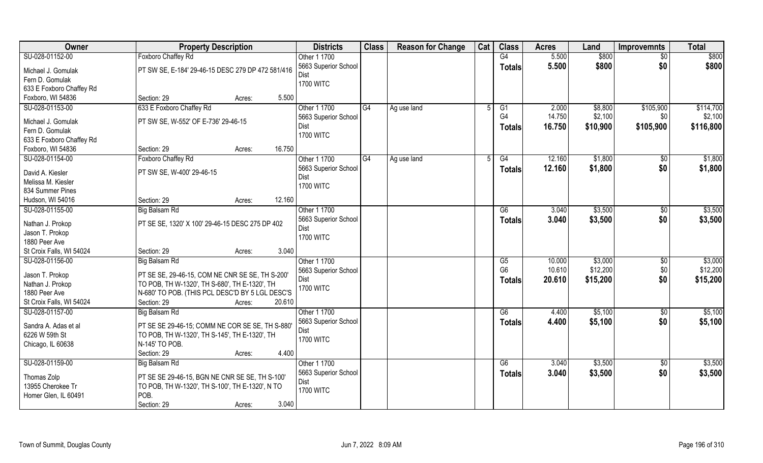| <b>Owner</b>             | <b>Property Description</b>                       | <b>Districts</b>             | <b>Class</b> | <b>Reason for Change</b> | Cat | <b>Class</b>   | <b>Acres</b> | Land     | <b>Improvemnts</b> | <b>Total</b> |
|--------------------------|---------------------------------------------------|------------------------------|--------------|--------------------------|-----|----------------|--------------|----------|--------------------|--------------|
| SU-028-01152-00          | <b>Foxboro Chaffey Rd</b>                         | Other 1 1700                 |              |                          |     | G4             | 5.500        | \$800    | \$0                | \$800        |
| Michael J. Gomulak       | PT SW SE, E-184' 29-46-15 DESC 279 DP 472 581/416 | 5663 Superior School<br>Dist |              |                          |     | <b>Totals</b>  | 5.500        | \$800    | \$0                | \$800        |
| Fern D. Gomulak          |                                                   | <b>1700 WITC</b>             |              |                          |     |                |              |          |                    |              |
| 633 E Foxboro Chaffey Rd |                                                   |                              |              |                          |     |                |              |          |                    |              |
| Foxboro, WI 54836        | 5.500<br>Section: 29<br>Acres:                    |                              |              |                          |     |                |              |          |                    |              |
| SU-028-01153-00          | 633 E Foxboro Chaffey Rd                          | Other 1 1700                 | G4           | Ag use land              |     | G <sub>1</sub> | 2.000        | \$8,800  | \$105,900          | \$114,700    |
| Michael J. Gomulak       | PT SW SE, W-552' OF E-736' 29-46-15               | 5663 Superior School         |              |                          |     | G <sub>4</sub> | 14.750       | \$2,100  | \$0                | \$2,100      |
| Fern D. Gomulak          |                                                   | Dist<br><b>1700 WITC</b>     |              |                          |     | <b>Totals</b>  | 16.750       | \$10,900 | \$105,900          | \$116,800    |
| 633 E Foxboro Chaffey Rd |                                                   |                              |              |                          |     |                |              |          |                    |              |
| Foxboro, WI 54836        | 16.750<br>Section: 29<br>Acres:                   |                              |              |                          |     |                |              |          |                    |              |
| SU-028-01154-00          | Foxboro Chaffey Rd                                | Other 1 1700                 | G4           | Ag use land              | 5   | G4             | 12.160       | \$1,800  | \$0                | \$1,800      |
| David A. Kiesler         | PT SW SE, W-400' 29-46-15                         | 5663 Superior School<br>Dist |              |                          |     | <b>Totals</b>  | 12.160       | \$1,800  | \$0                | \$1,800      |
| Melissa M. Kiesler       |                                                   | <b>1700 WITC</b>             |              |                          |     |                |              |          |                    |              |
| 834 Summer Pines         |                                                   |                              |              |                          |     |                |              |          |                    |              |
| Hudson, WI 54016         | 12.160<br>Section: 29<br>Acres:                   |                              |              |                          |     |                |              |          |                    |              |
| SU-028-01155-00          | <b>Big Balsam Rd</b>                              | Other 1 1700                 |              |                          |     | G6             | 3.040        | \$3,500  | $\sqrt[6]{3}$      | \$3,500      |
| Nathan J. Prokop         | PT SE SE, 1320' X 100' 29-46-15 DESC 275 DP 402   | 5663 Superior School         |              |                          |     | <b>Totals</b>  | 3.040        | \$3,500  | \$0                | \$3,500      |
| Jason T. Prokop          |                                                   | Dist                         |              |                          |     |                |              |          |                    |              |
| 1880 Peer Ave            |                                                   | <b>1700 WITC</b>             |              |                          |     |                |              |          |                    |              |
| St Croix Falls, WI 54024 | 3.040<br>Section: 29<br>Acres:                    |                              |              |                          |     |                |              |          |                    |              |
| SU-028-01156-00          | <b>Big Balsam Rd</b>                              | Other 1 1700                 |              |                          |     | G5             | 10.000       | \$3,000  | $\overline{60}$    | \$3,000      |
| Jason T. Prokop          | PT SE SE, 29-46-15, COM NE CNR SE SE, TH S-200'   | 5663 Superior School         |              |                          |     | G <sub>6</sub> | 10.610       | \$12,200 | \$0                | \$12,200     |
| Nathan J. Prokop         | TO POB, TH W-1320', TH S-680', TH E-1320', TH     | Dist                         |              |                          |     | <b>Totals</b>  | 20.610       | \$15,200 | \$0                | \$15,200     |
| 1880 Peer Ave            | N-680' TO POB. (THIS PCL DESC'D BY 5 LGL DESC'S   | <b>1700 WITC</b>             |              |                          |     |                |              |          |                    |              |
| St Croix Falls, WI 54024 | 20.610<br>Section: 29<br>Acres:                   |                              |              |                          |     |                |              |          |                    |              |
| SU-028-01157-00          | Big Balsam Rd                                     | Other 1 1700                 |              |                          |     | G6             | 4.400        | \$5,100  | \$0                | \$5,100      |
| Sandra A. Adas et al     | PT SE SE 29-46-15; COMM NE COR SE SE, TH S-880'   | 5663 Superior School         |              |                          |     | <b>Totals</b>  | 4.400        | \$5,100  | \$0                | \$5,100      |
| 6226 W 59th St           | TO POB, TH W-1320', TH S-145', TH E-1320', TH     | Dist                         |              |                          |     |                |              |          |                    |              |
| Chicago, IL 60638        | N-145' TO POB.                                    | <b>1700 WITC</b>             |              |                          |     |                |              |          |                    |              |
|                          | 4.400<br>Section: 29<br>Acres:                    |                              |              |                          |     |                |              |          |                    |              |
| SU-028-01159-00          | <b>Big Balsam Rd</b>                              | Other 1 1700                 |              |                          |     | G6             | 3.040        | \$3,500  | \$0                | \$3,500      |
|                          |                                                   | 5663 Superior School         |              |                          |     | Totals         | 3.040        | \$3,500  | \$0                | \$3,500      |
| Thomas Zolp              | PT SE SE 29-46-15, BGN NE CNR SE SE, TH S-100'    | Dist                         |              |                          |     |                |              |          |                    |              |
| 13955 Cherokee Tr        | TO POB, TH W-1320', TH S-100', TH E-1320', N TO   | <b>1700 WITC</b>             |              |                          |     |                |              |          |                    |              |
| Homer Glen, IL 60491     | POB.                                              |                              |              |                          |     |                |              |          |                    |              |
|                          | Section: 29<br>3.040<br>Acres:                    |                              |              |                          |     |                |              |          |                    |              |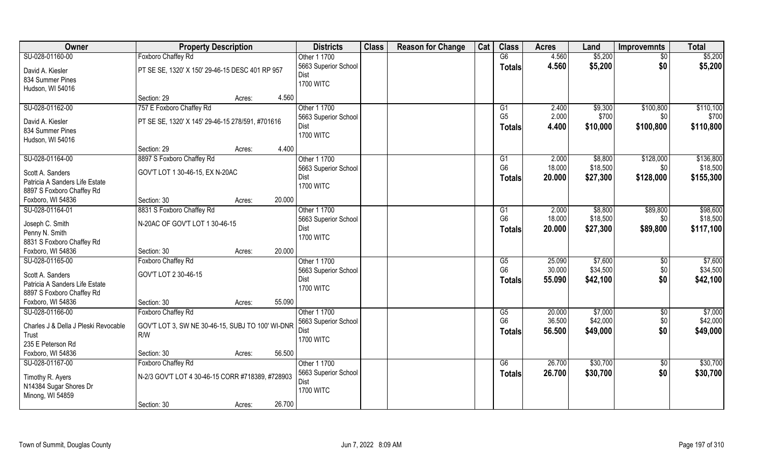| Owner                                | <b>Property Description</b>                      |        |        | <b>Districts</b>             | <b>Class</b> | <b>Reason for Change</b> | Cat | <b>Class</b>   | <b>Acres</b> | Land     | <b>Improvemnts</b> | <b>Total</b> |
|--------------------------------------|--------------------------------------------------|--------|--------|------------------------------|--------------|--------------------------|-----|----------------|--------------|----------|--------------------|--------------|
| SU-028-01160-00                      | <b>Foxboro Chaffey Rd</b>                        |        |        | Other 1 1700                 |              |                          |     | G6             | 4.560        | \$5,200  | \$0                | \$5,200      |
| David A. Kiesler                     | PT SE SE, 1320' X 150' 29-46-15 DESC 401 RP 957  |        |        | 5663 Superior School         |              |                          |     | <b>Totals</b>  | 4.560        | \$5,200  | \$0                | \$5,200      |
| 834 Summer Pines                     |                                                  |        |        | Dist                         |              |                          |     |                |              |          |                    |              |
| Hudson, WI 54016                     |                                                  |        |        | <b>1700 WITC</b>             |              |                          |     |                |              |          |                    |              |
|                                      | Section: 29                                      | Acres: | 4.560  |                              |              |                          |     |                |              |          |                    |              |
| SU-028-01162-00                      | 757 E Foxboro Chaffey Rd                         |        |        | Other 1 1700                 |              |                          |     | G1             | 2.400        | \$9,300  | \$100,800          | \$110,100    |
| David A. Kiesler                     | PT SE SE, 1320' X 145' 29-46-15 278/591, #701616 |        |        | 5663 Superior School         |              |                          |     | G <sub>5</sub> | 2.000        | \$700    | \$0                | \$700        |
| 834 Summer Pines                     |                                                  |        |        | Dist                         |              |                          |     | <b>Totals</b>  | 4.400        | \$10,000 | \$100,800          | \$110,800    |
| Hudson, WI 54016                     |                                                  |        |        | <b>1700 WITC</b>             |              |                          |     |                |              |          |                    |              |
|                                      | Section: 29                                      | Acres: | 4.400  |                              |              |                          |     |                |              |          |                    |              |
| SU-028-01164-00                      | 8897 S Foxboro Chaffey Rd                        |        |        | Other 1 1700                 |              |                          |     | G <sub>1</sub> | 2.000        | \$8,800  | \$128,000          | \$136,800    |
| Scott A. Sanders                     | GOV'T LOT 1 30-46-15, EX N-20AC                  |        |        | 5663 Superior School         |              |                          |     | G <sub>6</sub> | 18.000       | \$18,500 | \$0                | \$18,500     |
| Patricia A Sanders Life Estate       |                                                  |        |        | Dist                         |              |                          |     | Totals         | 20.000       | \$27,300 | \$128,000          | \$155,300    |
| 8897 S Foxboro Chaffey Rd            |                                                  |        |        | <b>1700 WITC</b>             |              |                          |     |                |              |          |                    |              |
| Foxboro, WI 54836                    | Section: 30                                      | Acres: | 20.000 |                              |              |                          |     |                |              |          |                    |              |
| SU-028-01164-01                      | 8831 S Foxboro Chaffey Rd                        |        |        | Other 1 1700                 |              |                          |     | G1             | 2.000        | \$8,800  | \$89,800           | \$98,600     |
|                                      |                                                  |        |        | 5663 Superior School         |              |                          |     | G <sub>6</sub> | 18.000       | \$18,500 | \$0                | \$18,500     |
| Joseph C. Smith                      | N-20AC OF GOV'T LOT 1 30-46-15                   |        |        | Dist                         |              |                          |     | <b>Totals</b>  | 20.000       | \$27,300 | \$89,800           | \$117,100    |
| Penny N. Smith                       |                                                  |        |        | <b>1700 WITC</b>             |              |                          |     |                |              |          |                    |              |
| 8831 S Foxboro Chaffey Rd            |                                                  |        | 20.000 |                              |              |                          |     |                |              |          |                    |              |
| Foxboro, WI 54836<br>SU-028-01165-00 | Section: 30<br>Foxboro Chaffey Rd                | Acres: |        | Other 1 1700                 |              |                          |     | G5             | 25.090       | \$7,600  |                    | \$7,600      |
|                                      |                                                  |        |        |                              |              |                          |     | G <sub>6</sub> | 30.000       | \$34,500 | \$0<br>\$0         | \$34,500     |
| Scott A. Sanders                     | GOV'T LOT 2 30-46-15                             |        |        | 5663 Superior School<br>Dist |              |                          |     |                | 55.090       | \$42,100 | \$0                | \$42,100     |
| Patricia A Sanders Life Estate       |                                                  |        |        | <b>1700 WITC</b>             |              |                          |     | <b>Totals</b>  |              |          |                    |              |
| 8897 S Foxboro Chaffey Rd            |                                                  |        |        |                              |              |                          |     |                |              |          |                    |              |
| Foxboro, WI 54836                    | Section: 30                                      | Acres: | 55.090 |                              |              |                          |     |                |              |          |                    |              |
| SU-028-01166-00                      | Foxboro Chaffey Rd                               |        |        | Other 1 1700                 |              |                          |     | G5             | 20.000       | \$7,000  | \$0                | \$7,000      |
| Charles J & Della J Pleski Revocable | GOV'T LOT 3, SW NE 30-46-15, SUBJ TO 100' WI-DNR |        |        | 5663 Superior School         |              |                          |     | G <sub>6</sub> | 36.500       | \$42,000 | \$0                | \$42,000     |
| Trust                                | R/W                                              |        |        | Dist                         |              |                          |     | Totals         | 56.500       | \$49,000 | \$0                | \$49,000     |
| 235 E Peterson Rd                    |                                                  |        |        | <b>1700 WITC</b>             |              |                          |     |                |              |          |                    |              |
| Foxboro, WI 54836                    | Section: 30                                      | Acres: | 56.500 |                              |              |                          |     |                |              |          |                    |              |
| SU-028-01167-00                      | Foxboro Chaffey Rd                               |        |        | Other 1 1700                 |              |                          |     | G6             | 26.700       | \$30,700 | \$0                | \$30,700     |
| Timothy R. Ayers                     | N-2/3 GOV'T LOT 4 30-46-15 CORR #718389, #728903 |        |        | 5663 Superior School         |              |                          |     | Totals         | 26.700       | \$30,700 | \$0                | \$30,700     |
| N14384 Sugar Shores Dr               |                                                  |        |        | Dist                         |              |                          |     |                |              |          |                    |              |
| Minong, WI 54859                     |                                                  |        |        | <b>1700 WITC</b>             |              |                          |     |                |              |          |                    |              |
|                                      | Section: 30                                      | Acres: | 26.700 |                              |              |                          |     |                |              |          |                    |              |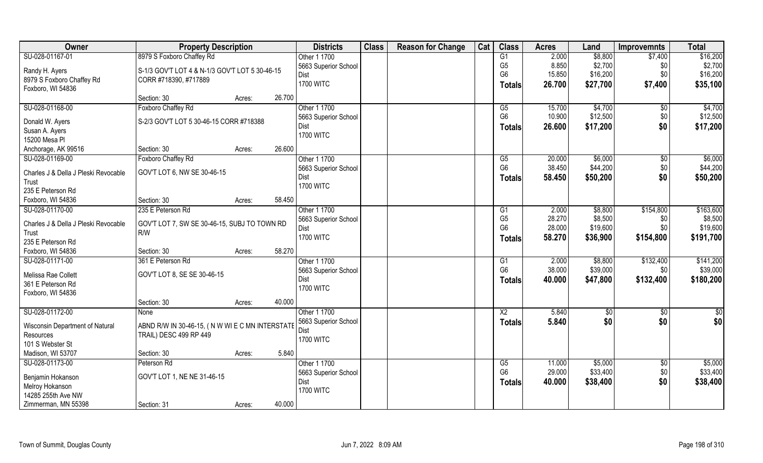| Owner                                | <b>Property Description</b>                     |        |        | <b>Districts</b>                    | <b>Class</b> | <b>Reason for Change</b> | Cat | <b>Class</b>           | <b>Acres</b>    | Land                | <b>Improvemnts</b> | <b>Total</b>          |
|--------------------------------------|-------------------------------------------------|--------|--------|-------------------------------------|--------------|--------------------------|-----|------------------------|-----------------|---------------------|--------------------|-----------------------|
| SU-028-01167-01                      | 8979 S Foxboro Chaffey Rd                       |        |        | Other 1 1700                        |              |                          |     | G1                     | 2.000           | \$8,800             | \$7,400            | \$16,200              |
| Randy H. Ayers                       | S-1/3 GOV'T LOT 4 & N-1/3 GOV'T LOT 5 30-46-15  |        |        | 5663 Superior School                |              |                          |     | G <sub>5</sub>         | 8.850           | \$2,700             | \$0                | \$2,700               |
| 8979 S Foxboro Chaffey Rd            | CORR #718390, #717889                           |        |        | <b>Dist</b>                         |              |                          |     | G <sub>6</sub>         | 15.850          | \$16,200            | \$0                | \$16,200              |
| Foxboro, WI 54836                    |                                                 |        |        | <b>1700 WITC</b>                    |              |                          |     | Totals                 | 26.700          | \$27,700            | \$7,400            | \$35,100              |
|                                      | Section: 30                                     | Acres: | 26.700 |                                     |              |                          |     |                        |                 |                     |                    |                       |
| SU-028-01168-00                      | Foxboro Chaffey Rd                              |        |        | Other 1 1700                        |              |                          |     | G5                     | 15.700          | \$4,700             | $\sqrt{$0}$        | \$4,700               |
| Donald W. Ayers                      | S-2/3 GOV'T LOT 5 30-46-15 CORR #718388         |        |        | 5663 Superior School                |              |                          |     | G <sub>6</sub>         | 10.900          | \$12,500            | \$0                | \$12,500              |
| Susan A. Ayers                       |                                                 |        |        | Dist                                |              |                          |     | <b>Totals</b>          | 26.600          | \$17,200            | \$0                | \$17,200              |
| 15200 Mesa Pl                        |                                                 |        |        | <b>1700 WITC</b>                    |              |                          |     |                        |                 |                     |                    |                       |
| Anchorage, AK 99516                  | Section: 30                                     | Acres: | 26.600 |                                     |              |                          |     |                        |                 |                     |                    |                       |
| SU-028-01169-00                      | Foxboro Chaffey Rd                              |        |        | Other 1 1700                        |              |                          |     | G5                     | 20.000          | \$6,000             | $\sqrt[6]{3}$      | \$6,000               |
| Charles J & Della J Pleski Revocable | GOV'T LOT 6, NW SE 30-46-15                     |        |        | 5663 Superior School                |              |                          |     | G <sub>6</sub>         | 38.450          | \$44,200            | \$0                | \$44,200              |
| Trust                                |                                                 |        |        | Dist                                |              |                          |     | <b>Totals</b>          | 58.450          | \$50,200            | \$0                | \$50,200              |
| 235 E Peterson Rd                    |                                                 |        |        | <b>1700 WITC</b>                    |              |                          |     |                        |                 |                     |                    |                       |
| Foxboro, WI 54836                    | Section: 30                                     | Acres: | 58.450 |                                     |              |                          |     |                        |                 |                     |                    |                       |
| SU-028-01170-00                      | 235 E Peterson Rd                               |        |        | Other 1 1700                        |              |                          |     | G1                     | 2.000           | \$8,800             | \$154,800          | \$163,600             |
|                                      |                                                 |        |        | 5663 Superior School                |              |                          |     | G <sub>5</sub>         | 28.270          | \$8,500             | \$0                | \$8,500               |
| Charles J & Della J Pleski Revocable | GOV'T LOT 7, SW SE 30-46-15, SUBJ TO TOWN RD    |        |        | Dist                                |              |                          |     | G <sub>6</sub>         | 28.000          | \$19,600            | \$0                | \$19,600              |
| Trust                                | R/W                                             |        |        | <b>1700 WITC</b>                    |              |                          |     | <b>Totals</b>          | 58.270          | \$36,900            | \$154,800          | \$191,700             |
| 235 E Peterson Rd                    |                                                 |        |        |                                     |              |                          |     |                        |                 |                     |                    |                       |
| Foxboro, WI 54836                    | Section: 30                                     | Acres: | 58.270 |                                     |              |                          |     |                        |                 |                     |                    |                       |
| SU-028-01171-00                      | 361 E Peterson Rd                               |        |        | Other 1 1700                        |              |                          |     | G1<br>G <sub>6</sub>   | 2.000<br>38.000 | \$8,800<br>\$39,000 | \$132,400<br>\$0   | \$141,200<br>\$39,000 |
| Melissa Rae Collett                  | GOV'T LOT 8, SE SE 30-46-15                     |        |        | 5663 Superior School<br><b>Dist</b> |              |                          |     |                        |                 |                     |                    |                       |
| 361 E Peterson Rd                    |                                                 |        |        | <b>1700 WITC</b>                    |              |                          |     | <b>Totals</b>          | 40.000          | \$47,800            | \$132,400          | \$180,200             |
| Foxboro, WI 54836                    |                                                 |        |        |                                     |              |                          |     |                        |                 |                     |                    |                       |
|                                      | Section: 30                                     | Acres: | 40.000 |                                     |              |                          |     |                        |                 |                     |                    |                       |
| SU-028-01172-00                      | None                                            |        |        | Other 1 1700                        |              |                          |     | $\overline{\text{X2}}$ | 5.840           | \$0                 | $\sqrt{6}$         | \$0                   |
| Wisconsin Department of Natural      | ABND R/W IN 30-46-15, (N W WI E C MN INTERSTATE |        |        | 5663 Superior School                |              |                          |     | <b>Totals</b>          | 5.840           | \$0                 | \$0                | \$0                   |
| Resources                            | TRAIL) DESC 499 RP 449                          |        |        | Dist                                |              |                          |     |                        |                 |                     |                    |                       |
| 101 S Webster St                     |                                                 |        |        | <b>1700 WITC</b>                    |              |                          |     |                        |                 |                     |                    |                       |
| Madison, WI 53707                    | Section: 30                                     | Acres: | 5.840  |                                     |              |                          |     |                        |                 |                     |                    |                       |
| SU-028-01173-00                      | Peterson Rd                                     |        |        | Other 1 1700                        |              |                          |     | G5                     | 11.000          | \$5,000             | $\sqrt{6}$         | \$5,000               |
|                                      |                                                 |        |        | 5663 Superior School                |              |                          |     | G <sub>6</sub>         | 29.000          | \$33,400            | \$0                | \$33,400              |
| Benjamin Hokanson<br>Melroy Hokanson | GOV'T LOT 1, NE NE 31-46-15                     |        |        | Dist                                |              |                          |     | <b>Totals</b>          | 40.000          | \$38,400            | \$0                | \$38,400              |
| 14285 255th Ave NW                   |                                                 |        |        | <b>1700 WITC</b>                    |              |                          |     |                        |                 |                     |                    |                       |
| Zimmerman, MN 55398                  | Section: 31                                     | Acres: | 40.000 |                                     |              |                          |     |                        |                 |                     |                    |                       |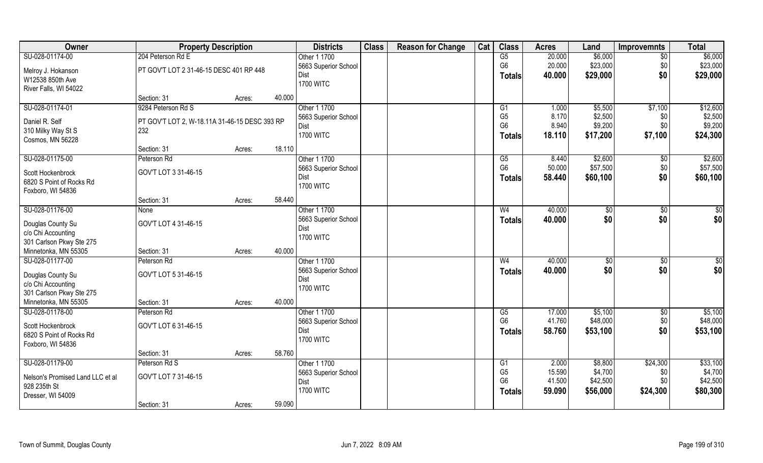| Owner                            | <b>Property Description</b>                   |        |        | <b>Districts</b>     | <b>Class</b> | <b>Reason for Change</b> | Cat | <b>Class</b>    | <b>Acres</b> | Land           | <b>Improvemnts</b> | <b>Total</b>    |
|----------------------------------|-----------------------------------------------|--------|--------|----------------------|--------------|--------------------------|-----|-----------------|--------------|----------------|--------------------|-----------------|
| SU-028-01174-00                  | 204 Peterson Rd E                             |        |        | Other 1 1700         |              |                          |     | $\overline{G5}$ | 20.000       | \$6,000        | \$0                | \$6,000         |
| Melroy J. Hokanson               | PT GOV'T LOT 2 31-46-15 DESC 401 RP 448       |        |        | 5663 Superior School |              |                          |     | G <sub>6</sub>  | 20.000       | \$23,000       | \$0                | \$23,000        |
| W12538 850th Ave                 |                                               |        |        | Dist                 |              |                          |     | <b>Totals</b>   | 40.000       | \$29,000       | \$0                | \$29,000        |
| River Falls, WI 54022            |                                               |        |        | <b>1700 WITC</b>     |              |                          |     |                 |              |                |                    |                 |
|                                  | Section: 31                                   | Acres: | 40.000 |                      |              |                          |     |                 |              |                |                    |                 |
| SU-028-01174-01                  | 9284 Peterson Rd S                            |        |        | Other 1 1700         |              |                          |     | G1              | 1.000        | \$5,500        | \$7,100            | \$12,600        |
| Daniel R. Self                   | PT GOV'T LOT 2, W-18.11A 31-46-15 DESC 393 RP |        |        | 5663 Superior School |              |                          |     | G <sub>5</sub>  | 8.170        | \$2,500        | \$0                | \$2,500         |
| 310 Milky Way St S               | 232                                           |        |        | Dist                 |              |                          |     | G <sub>6</sub>  | 8.940        | \$9,200        | \$0                | \$9,200         |
| Cosmos, MN 56228                 |                                               |        |        | <b>1700 WITC</b>     |              |                          |     | <b>Totals</b>   | 18.110       | \$17,200       | \$7,100            | \$24,300        |
|                                  | Section: 31                                   | Acres: | 18.110 |                      |              |                          |     |                 |              |                |                    |                 |
| SU-028-01175-00                  | Peterson Rd                                   |        |        | Other 1 1700         |              |                          |     | G5              | 8.440        | \$2,600        | \$0                | \$2,600         |
| Scott Hockenbrock                | GOV'T LOT 3 31-46-15                          |        |        | 5663 Superior School |              |                          |     | G <sub>6</sub>  | 50.000       | \$57,500       | \$0                | \$57,500        |
| 6820 S Point of Rocks Rd         |                                               |        |        | Dist                 |              |                          |     | <b>Totals</b>   | 58.440       | \$60,100       | \$0                | \$60,100        |
| Foxboro, WI 54836                |                                               |        |        | <b>1700 WITC</b>     |              |                          |     |                 |              |                |                    |                 |
|                                  | Section: 31                                   | Acres: | 58.440 |                      |              |                          |     |                 |              |                |                    |                 |
| SU-028-01176-00                  | None                                          |        |        | Other 1 1700         |              |                          |     | W <sub>4</sub>  | 40.000       | $\frac{1}{20}$ | $\sqrt[6]{3}$      | \$              |
| Douglas County Su                | GOV'T LOT 4 31-46-15                          |        |        | 5663 Superior School |              |                          |     | <b>Totals</b>   | 40.000       | \$0            | \$0                | \$0             |
| c/o Chi Accounting               |                                               |        |        | Dist                 |              |                          |     |                 |              |                |                    |                 |
| 301 Carlson Pkwy Ste 275         |                                               |        |        | <b>1700 WITC</b>     |              |                          |     |                 |              |                |                    |                 |
| Minnetonka, MN 55305             | Section: 31                                   | Acres: | 40.000 |                      |              |                          |     |                 |              |                |                    |                 |
| SU-028-01177-00                  | Peterson Rd                                   |        |        | Other 1 1700         |              |                          |     | W <sub>4</sub>  | 40.000       | \$0            | $\sqrt[6]{30}$     | $\overline{50}$ |
| Douglas County Su                | GOV'T LOT 5 31-46-15                          |        |        | 5663 Superior School |              |                          |     | <b>Totals</b>   | 40.000       | \$0            | \$0                | \$0             |
| c/o Chi Accounting               |                                               |        |        | Dist                 |              |                          |     |                 |              |                |                    |                 |
| 301 Carlson Pkwy Ste 275         |                                               |        |        | <b>1700 WITC</b>     |              |                          |     |                 |              |                |                    |                 |
| Minnetonka, MN 55305             | Section: 31                                   | Acres: | 40.000 |                      |              |                          |     |                 |              |                |                    |                 |
| SU-028-01178-00                  | Peterson Rd                                   |        |        | Other 1 1700         |              |                          |     | G5              | 17.000       | \$5,100        | $\sqrt{$0}$        | \$5,100         |
| Scott Hockenbrock                | GOV'T LOT 6 31-46-15                          |        |        | 5663 Superior School |              |                          |     | G <sub>6</sub>  | 41.760       | \$48,000       | \$0                | \$48,000        |
| 6820 S Point of Rocks Rd         |                                               |        |        | Dist                 |              |                          |     | <b>Totals</b>   | 58.760       | \$53,100       | \$0                | \$53,100        |
| Foxboro, WI 54836                |                                               |        |        | <b>1700 WITC</b>     |              |                          |     |                 |              |                |                    |                 |
|                                  | Section: 31                                   | Acres: | 58.760 |                      |              |                          |     |                 |              |                |                    |                 |
| SU-028-01179-00                  | Peterson Rd S                                 |        |        | Other 1 1700         |              |                          |     | G1              | 2.000        | \$8,800        | \$24,300           | \$33,100        |
| Nelson's Promised Land LLC et al | GOV'T LOT 7 31-46-15                          |        |        | 5663 Superior School |              |                          |     | G <sub>5</sub>  | 15.590       | \$4,700        | \$0                | \$4,700         |
| 928 235th St                     |                                               |        |        | Dist                 |              |                          |     | G <sub>6</sub>  | 41.500       | \$42,500       | \$0                | \$42,500        |
| Dresser, WI 54009                |                                               |        |        | <b>1700 WITC</b>     |              |                          |     | <b>Totals</b>   | 59.090       | \$56,000       | \$24,300           | \$80,300        |
|                                  | Section: 31                                   | Acres: | 59.090 |                      |              |                          |     |                 |              |                |                    |                 |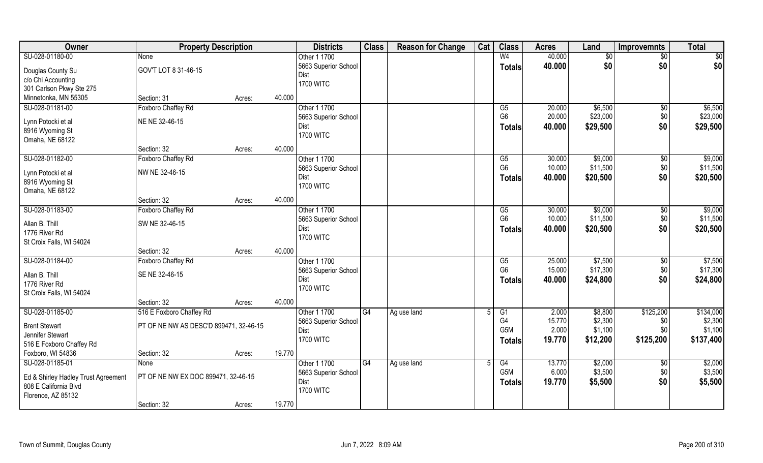| Owner                                     | <b>Property Description</b>            |        |        | <b>Districts</b>             | <b>Class</b> | <b>Reason for Change</b> | Cat | <b>Class</b>           | <b>Acres</b> | Land     | <b>Improvemnts</b> | <b>Total</b>    |
|-------------------------------------------|----------------------------------------|--------|--------|------------------------------|--------------|--------------------------|-----|------------------------|--------------|----------|--------------------|-----------------|
| SU-028-01180-00                           | None                                   |        |        | Other 1 1700                 |              |                          |     | W <sub>4</sub>         | 40.000       | \$0      | $\sqrt{$0}$        | $\overline{50}$ |
| Douglas County Su                         | GOV'T LOT 8 31-46-15                   |        |        | 5663 Superior School         |              |                          |     | <b>Totals</b>          | 40.000       | \$0      | \$0                | \$0             |
| c/o Chi Accounting                        |                                        |        |        | Dist                         |              |                          |     |                        |              |          |                    |                 |
| 301 Carlson Pkwy Ste 275                  |                                        |        |        | <b>1700 WITC</b>             |              |                          |     |                        |              |          |                    |                 |
| Minnetonka, MN 55305                      | Section: 31                            | Acres: | 40.000 |                              |              |                          |     |                        |              |          |                    |                 |
| SU-028-01181-00                           | Foxboro Chaffey Rd                     |        |        | Other 1 1700                 |              |                          |     | G5                     | 20.000       | \$6,500  | \$0                | \$6,500         |
|                                           |                                        |        |        | 5663 Superior School         |              |                          |     | G <sub>6</sub>         | 20.000       | \$23,000 | \$0                | \$23,000        |
| Lynn Potocki et al                        | NE NE 32-46-15                         |        |        | Dist                         |              |                          |     | <b>Totals</b>          | 40.000       | \$29,500 | \$0                | \$29,500        |
| 8916 Wyoming St                           |                                        |        |        | <b>1700 WITC</b>             |              |                          |     |                        |              |          |                    |                 |
| Omaha, NE 68122                           |                                        |        |        |                              |              |                          |     |                        |              |          |                    |                 |
|                                           | Section: 32                            | Acres: | 40.000 |                              |              |                          |     |                        |              |          |                    |                 |
| SU-028-01182-00                           | Foxboro Chaffey Rd                     |        |        | Other 1 1700                 |              |                          |     | G5                     | 30.000       | \$9,000  | $\sqrt[6]{3}$      | \$9,000         |
| Lynn Potocki et al                        | NW NE 32-46-15                         |        |        | 5663 Superior School         |              |                          |     | G <sub>6</sub>         | 10.000       | \$11,500 | \$0                | \$11,500        |
| 8916 Wyoming St                           |                                        |        |        | Dist                         |              |                          |     | <b>Totals</b>          | 40.000       | \$20,500 | \$0                | \$20,500        |
| Omaha, NE 68122                           |                                        |        |        | <b>1700 WITC</b>             |              |                          |     |                        |              |          |                    |                 |
|                                           | Section: 32                            | Acres: | 40.000 |                              |              |                          |     |                        |              |          |                    |                 |
| SU-028-01183-00                           | Foxboro Chaffey Rd                     |        |        | Other 1 1700                 |              |                          |     | G5                     | 30.000       | \$9,000  | \$0                | \$9,000         |
|                                           |                                        |        |        | 5663 Superior School         |              |                          |     | G <sub>6</sub>         | 10.000       | \$11,500 | \$0                | \$11,500        |
| Allan B. Thill                            | SW NE 32-46-15                         |        |        | Dist                         |              |                          |     | <b>Totals</b>          | 40.000       | \$20,500 | \$0                | \$20,500        |
| 1776 River Rd<br>St Croix Falls, WI 54024 |                                        |        |        | <b>1700 WITC</b>             |              |                          |     |                        |              |          |                    |                 |
|                                           | Section: 32                            | Acres: | 40.000 |                              |              |                          |     |                        |              |          |                    |                 |
| SU-028-01184-00                           | Foxboro Chaffey Rd                     |        |        | Other 1 1700                 |              |                          |     | $\overline{\text{G5}}$ | 25.000       | \$7,500  | \$0                | \$7,500         |
|                                           |                                        |        |        |                              |              |                          |     | G <sub>6</sub>         | 15.000       | \$17,300 | \$0                | \$17,300        |
| Allan B. Thill                            | SE NE 32-46-15                         |        |        | 5663 Superior School<br>Dist |              |                          |     |                        | 40.000       | \$24,800 | \$0                | \$24,800        |
| 1776 River Rd                             |                                        |        |        | <b>1700 WITC</b>             |              |                          |     | Totals                 |              |          |                    |                 |
| St Croix Falls, WI 54024                  |                                        |        |        |                              |              |                          |     |                        |              |          |                    |                 |
|                                           | Section: 32                            | Acres: | 40.000 |                              |              |                          |     |                        |              |          |                    |                 |
| SU-028-01185-00                           | 516 E Foxboro Chaffey Rd               |        |        | Other 1 1700                 | G4           | Ag use land              |     | G1                     | 2.000        | \$8,800  | \$125,200          | \$134,000       |
| <b>Brent Stewart</b>                      | PT OF NE NW AS DESC'D 899471, 32-46-15 |        |        | 5663 Superior School         |              |                          |     | G4                     | 15.770       | \$2,300  | \$0                | \$2,300         |
| Jennifer Stewart                          |                                        |        |        | Dist                         |              |                          |     | G <sub>5</sub> M       | 2.000        | \$1,100  | \$0                | \$1,100         |
| 516 E Foxboro Chaffey Rd                  |                                        |        |        | <b>1700 WITC</b>             |              |                          |     | <b>Totals</b>          | 19.770       | \$12,200 | \$125,200          | \$137,400       |
| Foxboro, WI 54836                         | Section: 32                            | Acres: | 19.770 |                              |              |                          |     |                        |              |          |                    |                 |
| SU-028-01185-01                           | <b>None</b>                            |        |        | Other 1 1700                 | G4           | Ag use land              |     | G4                     | 13.770       | \$2,000  | $\sqrt{$0}$        | \$2,000         |
|                                           |                                        |        |        | 5663 Superior School         |              |                          |     | G <sub>5</sub> M       | 6.000        | \$3,500  | \$0                | \$3,500         |
| Ed & Shirley Hadley Trust Agreement       | PT OF NE NW EX DOC 899471, 32-46-15    |        |        | Dist                         |              |                          |     | <b>Totals</b>          | 19.770       | \$5,500  | \$0                | \$5,500         |
| 808 E California Blvd                     |                                        |        |        | <b>1700 WITC</b>             |              |                          |     |                        |              |          |                    |                 |
| Florence, AZ 85132                        |                                        |        |        |                              |              |                          |     |                        |              |          |                    |                 |
|                                           | Section: 32                            | Acres: | 19.770 |                              |              |                          |     |                        |              |          |                    |                 |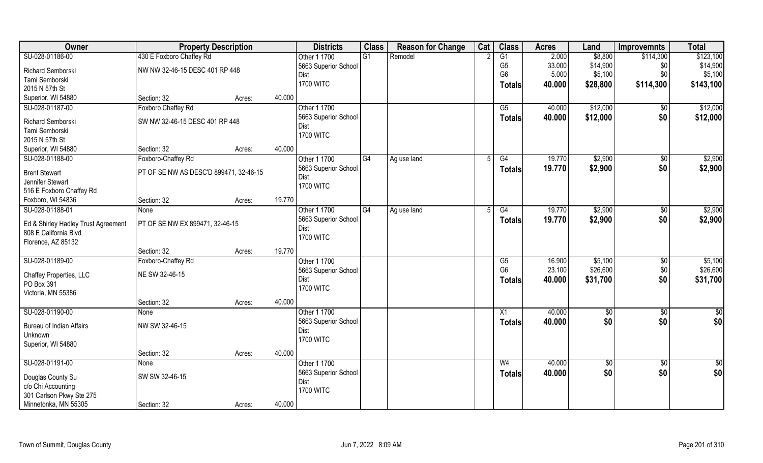| SU-028-01186-00<br>430 E Foxboro Chaffey Rd<br>$\overline{G1}$<br>G1<br>2.000<br>\$8,800<br>\$123,100<br>Remodel<br>\$114,300<br>Other 1 1700<br>G <sub>5</sub><br>33.000<br>\$14,900<br>\$14,900<br>5663 Superior School<br>\$0<br>NW NW 32-46-15 DESC 401 RP 448<br>Richard Semborski<br>G <sub>6</sub><br>5.000<br>\$5,100<br>\$0<br>\$5,100<br>Dist<br>Tami Semborski<br><b>1700 WITC</b><br>40.000<br>\$28,800<br>\$114,300<br>\$143,100<br><b>Totals</b><br>2015 N 57th St<br>Superior, WI 54880<br>40.000<br>Section: 32<br>Acres:<br>\$12,000<br>SU-028-01187-00<br>Foxboro Chaffey Rd<br>Other 1 1700<br>\$12,000<br>G5<br>40.000<br>\$0<br>\$0<br>5663 Superior School<br>40.000<br>\$12,000<br>\$12,000<br>Totals<br>SW NW 32-46-15 DESC 401 RP 448<br>Richard Semborski<br>Dist<br>Tami Semborski<br><b>1700 WITC</b><br>2015 N 57th St<br>40.000<br>Superior, WI 54880<br>Section: 32<br>Acres:<br>Foxboro-Chaffey Rd<br>Other 1 1700<br>\$2,900<br>\$2,900<br>SU-028-01188-00<br>G4<br>G4<br>19.770<br>$\sqrt[6]{30}$<br>Ag use land<br>.5<br>\$0<br>5663 Superior School<br>\$2,900<br>\$2,900<br>19.770<br><b>Totals</b><br>PT OF SE NW AS DESC'D 899471, 32-46-15<br><b>Brent Stewart</b><br>Dist<br>Jennifer Stewart<br><b>1700 WITC</b><br>516 E Foxboro Chaffey Rd<br>19.770<br>Foxboro, WI 54836<br>Section: 32<br>Acres:<br>\$2,900<br>SU-028-01188-01<br>Other 1 1700<br>\$2,900<br>G4<br>G4<br>19.770<br>Ag use land<br>\$0<br>None<br>5<br>5663 Superior School<br>19.770<br>\$0<br>\$2,900<br>\$2,900<br><b>Totals</b><br>PT OF SE NW EX 899471, 32-46-15<br>Ed & Shirley Hadley Trust Agreement<br>Dist<br>808 E California Blvd<br><b>1700 WITC</b><br>Florence, AZ 85132<br>19.770<br>Section: 32<br>Acres: | Owner | <b>Property Description</b> |  | <b>Districts</b> | <b>Class</b> | <b>Reason for Change</b> | Cat | <b>Class</b> | <b>Acres</b> | Land | <b>Improvemnts</b> | <b>Total</b> |
|------------------------------------------------------------------------------------------------------------------------------------------------------------------------------------------------------------------------------------------------------------------------------------------------------------------------------------------------------------------------------------------------------------------------------------------------------------------------------------------------------------------------------------------------------------------------------------------------------------------------------------------------------------------------------------------------------------------------------------------------------------------------------------------------------------------------------------------------------------------------------------------------------------------------------------------------------------------------------------------------------------------------------------------------------------------------------------------------------------------------------------------------------------------------------------------------------------------------------------------------------------------------------------------------------------------------------------------------------------------------------------------------------------------------------------------------------------------------------------------------------------------------------------------------------------------------------------------------------------------------------------------------------------------------------------------------------------------------------------------|-------|-----------------------------|--|------------------|--------------|--------------------------|-----|--------------|--------------|------|--------------------|--------------|
|                                                                                                                                                                                                                                                                                                                                                                                                                                                                                                                                                                                                                                                                                                                                                                                                                                                                                                                                                                                                                                                                                                                                                                                                                                                                                                                                                                                                                                                                                                                                                                                                                                                                                                                                          |       |                             |  |                  |              |                          |     |              |              |      |                    |              |
|                                                                                                                                                                                                                                                                                                                                                                                                                                                                                                                                                                                                                                                                                                                                                                                                                                                                                                                                                                                                                                                                                                                                                                                                                                                                                                                                                                                                                                                                                                                                                                                                                                                                                                                                          |       |                             |  |                  |              |                          |     |              |              |      |                    |              |
|                                                                                                                                                                                                                                                                                                                                                                                                                                                                                                                                                                                                                                                                                                                                                                                                                                                                                                                                                                                                                                                                                                                                                                                                                                                                                                                                                                                                                                                                                                                                                                                                                                                                                                                                          |       |                             |  |                  |              |                          |     |              |              |      |                    |              |
|                                                                                                                                                                                                                                                                                                                                                                                                                                                                                                                                                                                                                                                                                                                                                                                                                                                                                                                                                                                                                                                                                                                                                                                                                                                                                                                                                                                                                                                                                                                                                                                                                                                                                                                                          |       |                             |  |                  |              |                          |     |              |              |      |                    |              |
|                                                                                                                                                                                                                                                                                                                                                                                                                                                                                                                                                                                                                                                                                                                                                                                                                                                                                                                                                                                                                                                                                                                                                                                                                                                                                                                                                                                                                                                                                                                                                                                                                                                                                                                                          |       |                             |  |                  |              |                          |     |              |              |      |                    |              |
|                                                                                                                                                                                                                                                                                                                                                                                                                                                                                                                                                                                                                                                                                                                                                                                                                                                                                                                                                                                                                                                                                                                                                                                                                                                                                                                                                                                                                                                                                                                                                                                                                                                                                                                                          |       |                             |  |                  |              |                          |     |              |              |      |                    |              |
|                                                                                                                                                                                                                                                                                                                                                                                                                                                                                                                                                                                                                                                                                                                                                                                                                                                                                                                                                                                                                                                                                                                                                                                                                                                                                                                                                                                                                                                                                                                                                                                                                                                                                                                                          |       |                             |  |                  |              |                          |     |              |              |      |                    |              |
|                                                                                                                                                                                                                                                                                                                                                                                                                                                                                                                                                                                                                                                                                                                                                                                                                                                                                                                                                                                                                                                                                                                                                                                                                                                                                                                                                                                                                                                                                                                                                                                                                                                                                                                                          |       |                             |  |                  |              |                          |     |              |              |      |                    |              |
|                                                                                                                                                                                                                                                                                                                                                                                                                                                                                                                                                                                                                                                                                                                                                                                                                                                                                                                                                                                                                                                                                                                                                                                                                                                                                                                                                                                                                                                                                                                                                                                                                                                                                                                                          |       |                             |  |                  |              |                          |     |              |              |      |                    |              |
|                                                                                                                                                                                                                                                                                                                                                                                                                                                                                                                                                                                                                                                                                                                                                                                                                                                                                                                                                                                                                                                                                                                                                                                                                                                                                                                                                                                                                                                                                                                                                                                                                                                                                                                                          |       |                             |  |                  |              |                          |     |              |              |      |                    |              |
|                                                                                                                                                                                                                                                                                                                                                                                                                                                                                                                                                                                                                                                                                                                                                                                                                                                                                                                                                                                                                                                                                                                                                                                                                                                                                                                                                                                                                                                                                                                                                                                                                                                                                                                                          |       |                             |  |                  |              |                          |     |              |              |      |                    |              |
|                                                                                                                                                                                                                                                                                                                                                                                                                                                                                                                                                                                                                                                                                                                                                                                                                                                                                                                                                                                                                                                                                                                                                                                                                                                                                                                                                                                                                                                                                                                                                                                                                                                                                                                                          |       |                             |  |                  |              |                          |     |              |              |      |                    |              |
|                                                                                                                                                                                                                                                                                                                                                                                                                                                                                                                                                                                                                                                                                                                                                                                                                                                                                                                                                                                                                                                                                                                                                                                                                                                                                                                                                                                                                                                                                                                                                                                                                                                                                                                                          |       |                             |  |                  |              |                          |     |              |              |      |                    |              |
|                                                                                                                                                                                                                                                                                                                                                                                                                                                                                                                                                                                                                                                                                                                                                                                                                                                                                                                                                                                                                                                                                                                                                                                                                                                                                                                                                                                                                                                                                                                                                                                                                                                                                                                                          |       |                             |  |                  |              |                          |     |              |              |      |                    |              |
|                                                                                                                                                                                                                                                                                                                                                                                                                                                                                                                                                                                                                                                                                                                                                                                                                                                                                                                                                                                                                                                                                                                                                                                                                                                                                                                                                                                                                                                                                                                                                                                                                                                                                                                                          |       |                             |  |                  |              |                          |     |              |              |      |                    |              |
|                                                                                                                                                                                                                                                                                                                                                                                                                                                                                                                                                                                                                                                                                                                                                                                                                                                                                                                                                                                                                                                                                                                                                                                                                                                                                                                                                                                                                                                                                                                                                                                                                                                                                                                                          |       |                             |  |                  |              |                          |     |              |              |      |                    |              |
|                                                                                                                                                                                                                                                                                                                                                                                                                                                                                                                                                                                                                                                                                                                                                                                                                                                                                                                                                                                                                                                                                                                                                                                                                                                                                                                                                                                                                                                                                                                                                                                                                                                                                                                                          |       |                             |  |                  |              |                          |     |              |              |      |                    |              |
|                                                                                                                                                                                                                                                                                                                                                                                                                                                                                                                                                                                                                                                                                                                                                                                                                                                                                                                                                                                                                                                                                                                                                                                                                                                                                                                                                                                                                                                                                                                                                                                                                                                                                                                                          |       |                             |  |                  |              |                          |     |              |              |      |                    |              |
|                                                                                                                                                                                                                                                                                                                                                                                                                                                                                                                                                                                                                                                                                                                                                                                                                                                                                                                                                                                                                                                                                                                                                                                                                                                                                                                                                                                                                                                                                                                                                                                                                                                                                                                                          |       |                             |  |                  |              |                          |     |              |              |      |                    |              |
|                                                                                                                                                                                                                                                                                                                                                                                                                                                                                                                                                                                                                                                                                                                                                                                                                                                                                                                                                                                                                                                                                                                                                                                                                                                                                                                                                                                                                                                                                                                                                                                                                                                                                                                                          |       |                             |  |                  |              |                          |     |              |              |      |                    |              |
|                                                                                                                                                                                                                                                                                                                                                                                                                                                                                                                                                                                                                                                                                                                                                                                                                                                                                                                                                                                                                                                                                                                                                                                                                                                                                                                                                                                                                                                                                                                                                                                                                                                                                                                                          |       |                             |  |                  |              |                          |     |              |              |      |                    |              |
| SU-028-01189-00<br>\$5,100<br>Foxboro-Chaffey Rd<br>Other 1 1700<br>16.900<br>\$5,100<br>\$0<br>G5                                                                                                                                                                                                                                                                                                                                                                                                                                                                                                                                                                                                                                                                                                                                                                                                                                                                                                                                                                                                                                                                                                                                                                                                                                                                                                                                                                                                                                                                                                                                                                                                                                       |       |                             |  |                  |              |                          |     |              |              |      |                    |              |
| \$26,600<br>G <sub>6</sub><br>23.100<br>\$0<br>\$26,600<br>5663 Superior School<br>NE SW 32-46-15<br>Chaffey Properties, LLC                                                                                                                                                                                                                                                                                                                                                                                                                                                                                                                                                                                                                                                                                                                                                                                                                                                                                                                                                                                                                                                                                                                                                                                                                                                                                                                                                                                                                                                                                                                                                                                                             |       |                             |  |                  |              |                          |     |              |              |      |                    |              |
| \$0<br>\$31,700<br>40.000<br>\$31,700<br>Dist<br><b>Totals</b><br>PO Box 391                                                                                                                                                                                                                                                                                                                                                                                                                                                                                                                                                                                                                                                                                                                                                                                                                                                                                                                                                                                                                                                                                                                                                                                                                                                                                                                                                                                                                                                                                                                                                                                                                                                             |       |                             |  |                  |              |                          |     |              |              |      |                    |              |
| <b>1700 WITC</b><br>Victoria, MN 55386                                                                                                                                                                                                                                                                                                                                                                                                                                                                                                                                                                                                                                                                                                                                                                                                                                                                                                                                                                                                                                                                                                                                                                                                                                                                                                                                                                                                                                                                                                                                                                                                                                                                                                   |       |                             |  |                  |              |                          |     |              |              |      |                    |              |
| 40.000<br>Section: 32<br>Acres:                                                                                                                                                                                                                                                                                                                                                                                                                                                                                                                                                                                                                                                                                                                                                                                                                                                                                                                                                                                                                                                                                                                                                                                                                                                                                                                                                                                                                                                                                                                                                                                                                                                                                                          |       |                             |  |                  |              |                          |     |              |              |      |                    |              |
| SU-028-01190-00<br>Other 1 1700<br>40.000<br>$\frac{6}{3}$<br>X1<br>\$0<br>\$0<br>None                                                                                                                                                                                                                                                                                                                                                                                                                                                                                                                                                                                                                                                                                                                                                                                                                                                                                                                                                                                                                                                                                                                                                                                                                                                                                                                                                                                                                                                                                                                                                                                                                                                   |       |                             |  |                  |              |                          |     |              |              |      |                    |              |
| \$0<br>\$0<br>\$0<br>40.000<br>5663 Superior School<br><b>Totals</b><br>NW SW 32-46-15<br><b>Bureau of Indian Affairs</b>                                                                                                                                                                                                                                                                                                                                                                                                                                                                                                                                                                                                                                                                                                                                                                                                                                                                                                                                                                                                                                                                                                                                                                                                                                                                                                                                                                                                                                                                                                                                                                                                                |       |                             |  |                  |              |                          |     |              |              |      |                    |              |
| <b>Dist</b><br>Unknown                                                                                                                                                                                                                                                                                                                                                                                                                                                                                                                                                                                                                                                                                                                                                                                                                                                                                                                                                                                                                                                                                                                                                                                                                                                                                                                                                                                                                                                                                                                                                                                                                                                                                                                   |       |                             |  |                  |              |                          |     |              |              |      |                    |              |
| <b>1700 WITC</b><br>Superior, WI 54880                                                                                                                                                                                                                                                                                                                                                                                                                                                                                                                                                                                                                                                                                                                                                                                                                                                                                                                                                                                                                                                                                                                                                                                                                                                                                                                                                                                                                                                                                                                                                                                                                                                                                                   |       |                             |  |                  |              |                          |     |              |              |      |                    |              |
| 40.000<br>Section: 32<br>Acres:                                                                                                                                                                                                                                                                                                                                                                                                                                                                                                                                                                                                                                                                                                                                                                                                                                                                                                                                                                                                                                                                                                                                                                                                                                                                                                                                                                                                                                                                                                                                                                                                                                                                                                          |       |                             |  |                  |              |                          |     |              |              |      |                    |              |
| SU-028-01191-00<br>Other 1 1700<br>40.000<br>$\sqrt{$0}$<br>\$0<br>W <sub>4</sub><br>$\overline{50}$<br>None                                                                                                                                                                                                                                                                                                                                                                                                                                                                                                                                                                                                                                                                                                                                                                                                                                                                                                                                                                                                                                                                                                                                                                                                                                                                                                                                                                                                                                                                                                                                                                                                                             |       |                             |  |                  |              |                          |     |              |              |      |                    |              |
| \$0<br>\$0<br>40.000<br>\$0<br>5663 Superior School<br><b>Totals</b><br>SW SW 32-46-15                                                                                                                                                                                                                                                                                                                                                                                                                                                                                                                                                                                                                                                                                                                                                                                                                                                                                                                                                                                                                                                                                                                                                                                                                                                                                                                                                                                                                                                                                                                                                                                                                                                   |       |                             |  |                  |              |                          |     |              |              |      |                    |              |
| Douglas County Su<br>Dist<br>c/o Chi Accounting                                                                                                                                                                                                                                                                                                                                                                                                                                                                                                                                                                                                                                                                                                                                                                                                                                                                                                                                                                                                                                                                                                                                                                                                                                                                                                                                                                                                                                                                                                                                                                                                                                                                                          |       |                             |  |                  |              |                          |     |              |              |      |                    |              |
| <b>1700 WITC</b><br>301 Carlson Pkwy Ste 275                                                                                                                                                                                                                                                                                                                                                                                                                                                                                                                                                                                                                                                                                                                                                                                                                                                                                                                                                                                                                                                                                                                                                                                                                                                                                                                                                                                                                                                                                                                                                                                                                                                                                             |       |                             |  |                  |              |                          |     |              |              |      |                    |              |
| Minnetonka, MN 55305<br>40.000<br>Section: 32<br>Acres:                                                                                                                                                                                                                                                                                                                                                                                                                                                                                                                                                                                                                                                                                                                                                                                                                                                                                                                                                                                                                                                                                                                                                                                                                                                                                                                                                                                                                                                                                                                                                                                                                                                                                  |       |                             |  |                  |              |                          |     |              |              |      |                    |              |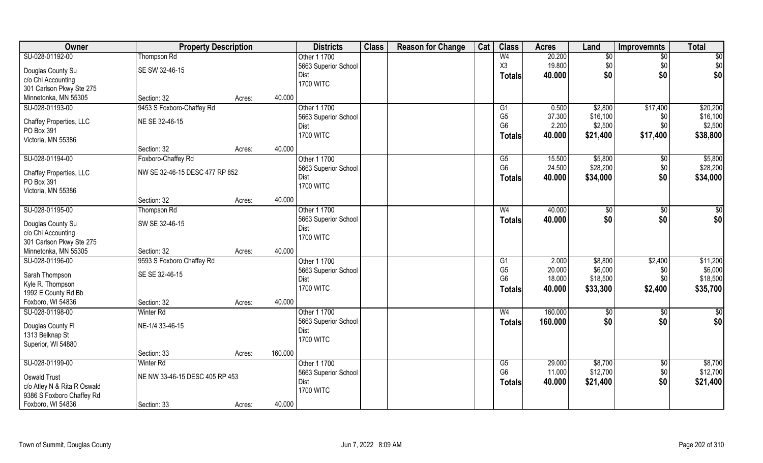| SU-028-01192-00<br>W <sub>4</sub><br>20.200<br>$\sqrt{50}$<br><b>Thompson Rd</b><br>\$0<br>$\sqrt{$0}$<br>Other 1 1700<br>19.800<br>X3<br>\$0<br>\$0<br>\$0<br>5663 Superior School<br>SE SW 32-46-15<br>Douglas County Su<br>\$0<br>\$0<br>\$0 <br>Dist<br>40.000<br><b>Totals</b><br>c/o Chi Accounting<br><b>1700 WITC</b><br>301 Carlson Pkwy Ste 275<br>Minnetonka, MN 55305<br>40.000<br>Section: 32<br>Acres:<br>SU-028-01193-00<br>9453 S Foxboro-Chaffey Rd<br>Other 1 1700<br>\$2,800<br>\$17,400<br>G1<br>0.500<br>G <sub>5</sub><br>\$16,100<br>37.300<br>5663 Superior School<br>\$0<br>NE SE 32-46-15<br>Chaffey Properties, LLC<br>G <sub>6</sub><br>2.200<br>\$2,500<br>\$0<br>Dist<br>PO Box 391<br><b>1700 WITC</b><br>\$17,400<br>40.000<br>\$21,400<br><b>Totals</b><br>Victoria, MN 55386<br>40.000<br>Section: 32<br>Acres:<br>SU-028-01194-00<br>Other 1 1700<br>\$5,800<br>Foxboro-Chaffey Rd<br>15.500<br>$\sqrt[6]{30}$<br>G5<br>G <sub>6</sub><br>\$28,200<br>\$0<br>24.500<br>5663 Superior School<br>NW SE 32-46-15 DESC 477 RP 852<br>Chaffey Properties, LLC<br>40.000<br>\$34,000<br>\$0<br>Dist<br><b>Totals</b><br>PO Box 391<br><b>1700 WITC</b><br>Victoria, MN 55386<br>40.000<br>Section: 32<br>Acres:<br>SU-028-01195-00<br>Other 1 1700<br>W <sub>4</sub><br>40.000<br>Thompson Rd<br>\$0<br>\$0<br>5663 Superior School<br>40.000<br>\$0<br>\$0<br><b>Totals</b><br>SW SE 32-46-15<br>Douglas County Su<br>Dist<br>c/o Chi Accounting<br><b>1700 WITC</b><br>301 Carlson Pkwy Ste 275<br>40.000<br>Minnetonka, MN 55305<br>Section: 32<br>Acres:<br>\$2,400<br>SU-028-01196-00<br>9593 S Foxboro Chaffey Rd<br>Other 1 1700<br>2.000<br>\$8,800<br>G1<br>G <sub>5</sub><br>20.000<br>\$6,000<br>\$0<br>5663 Superior School<br>Sarah Thompson<br>SE SE 32-46-15<br>G <sub>6</sub><br>18.000<br>\$18,500<br>\$0\$<br>Dist<br>Kyle R. Thompson<br><b>1700 WITC</b><br>40.000<br>\$2,400<br>\$35,700<br>\$33,300<br><b>Totals</b><br>1992 E County Rd Bb<br>Foxboro, WI 54836<br>40.000<br>Section: 32<br>Acres:<br>SU-028-01198-00<br>Other 1 1700<br>160.000<br><b>Winter Rd</b><br>W <sub>4</sub><br>\$0<br>\$0<br>\$0<br>\$0<br>5663 Superior School<br>160.000<br><b>Totals</b><br>NE-1/4 33-46-15<br>Douglas County Fl<br>Dist<br>1313 Belknap St<br><b>1700 WITC</b><br>Superior, WI 54880<br>160.000<br>Section: 33<br>Acres:<br>SU-028-01199-00<br>Other 1 1700<br>\$8,700<br>$\sqrt{$0}$<br><b>Winter Rd</b><br>G5<br>29.000<br>G <sub>6</sub><br>11.000<br>\$12,700<br>\$0<br>5663 Superior School<br>NE NW 33-46-15 DESC 405 RP 453<br>Oswald Trust<br>\$0<br>\$21,400<br>Dist<br>40.000<br>\$21,400<br><b>Totals</b><br>c/o Atley N & Rita R Oswald<br><b>1700 WITC</b><br>9386 S Foxboro Chaffey Rd | Owner             | <b>Property Description</b> | <b>Districts</b> | <b>Class</b> | <b>Reason for Change</b> | Cat | <b>Class</b> | <b>Acres</b> | Land | <b>Improvemnts</b> | <b>Total</b> |
|---------------------------------------------------------------------------------------------------------------------------------------------------------------------------------------------------------------------------------------------------------------------------------------------------------------------------------------------------------------------------------------------------------------------------------------------------------------------------------------------------------------------------------------------------------------------------------------------------------------------------------------------------------------------------------------------------------------------------------------------------------------------------------------------------------------------------------------------------------------------------------------------------------------------------------------------------------------------------------------------------------------------------------------------------------------------------------------------------------------------------------------------------------------------------------------------------------------------------------------------------------------------------------------------------------------------------------------------------------------------------------------------------------------------------------------------------------------------------------------------------------------------------------------------------------------------------------------------------------------------------------------------------------------------------------------------------------------------------------------------------------------------------------------------------------------------------------------------------------------------------------------------------------------------------------------------------------------------------------------------------------------------------------------------------------------------------------------------------------------------------------------------------------------------------------------------------------------------------------------------------------------------------------------------------------------------------------------------------------------------------------------------------------------------------------------------------------------------------------------------------------------------------------------------------------------------------------------------------------------------------------------------------------------------------------------------------------------------------------------------------------|-------------------|-----------------------------|------------------|--------------|--------------------------|-----|--------------|--------------|------|--------------------|--------------|
|                                                                                                                                                                                                                                                                                                                                                                                                                                                                                                                                                                                                                                                                                                                                                                                                                                                                                                                                                                                                                                                                                                                                                                                                                                                                                                                                                                                                                                                                                                                                                                                                                                                                                                                                                                                                                                                                                                                                                                                                                                                                                                                                                                                                                                                                                                                                                                                                                                                                                                                                                                                                                                                                                                                                                         |                   |                             |                  |              |                          |     |              |              |      |                    |              |
| \$20,200<br>\$16,100<br>\$2,500<br>\$38,800<br>\$5,800<br>\$28,200<br>\$34,000<br>$\sqrt{50}$<br>\$0 <br>\$11,200<br>\$6,000<br>\$18,500<br>\$0<br> \$0 <br>\$8,700<br>\$12,700                                                                                                                                                                                                                                                                                                                                                                                                                                                                                                                                                                                                                                                                                                                                                                                                                                                                                                                                                                                                                                                                                                                                                                                                                                                                                                                                                                                                                                                                                                                                                                                                                                                                                                                                                                                                                                                                                                                                                                                                                                                                                                                                                                                                                                                                                                                                                                                                                                                                                                                                                                         |                   |                             |                  |              |                          |     |              |              |      |                    |              |
|                                                                                                                                                                                                                                                                                                                                                                                                                                                                                                                                                                                                                                                                                                                                                                                                                                                                                                                                                                                                                                                                                                                                                                                                                                                                                                                                                                                                                                                                                                                                                                                                                                                                                                                                                                                                                                                                                                                                                                                                                                                                                                                                                                                                                                                                                                                                                                                                                                                                                                                                                                                                                                                                                                                                                         |                   |                             |                  |              |                          |     |              |              |      |                    |              |
|                                                                                                                                                                                                                                                                                                                                                                                                                                                                                                                                                                                                                                                                                                                                                                                                                                                                                                                                                                                                                                                                                                                                                                                                                                                                                                                                                                                                                                                                                                                                                                                                                                                                                                                                                                                                                                                                                                                                                                                                                                                                                                                                                                                                                                                                                                                                                                                                                                                                                                                                                                                                                                                                                                                                                         |                   |                             |                  |              |                          |     |              |              |      |                    |              |
|                                                                                                                                                                                                                                                                                                                                                                                                                                                                                                                                                                                                                                                                                                                                                                                                                                                                                                                                                                                                                                                                                                                                                                                                                                                                                                                                                                                                                                                                                                                                                                                                                                                                                                                                                                                                                                                                                                                                                                                                                                                                                                                                                                                                                                                                                                                                                                                                                                                                                                                                                                                                                                                                                                                                                         |                   |                             |                  |              |                          |     |              |              |      |                    |              |
|                                                                                                                                                                                                                                                                                                                                                                                                                                                                                                                                                                                                                                                                                                                                                                                                                                                                                                                                                                                                                                                                                                                                                                                                                                                                                                                                                                                                                                                                                                                                                                                                                                                                                                                                                                                                                                                                                                                                                                                                                                                                                                                                                                                                                                                                                                                                                                                                                                                                                                                                                                                                                                                                                                                                                         |                   |                             |                  |              |                          |     |              |              |      |                    |              |
|                                                                                                                                                                                                                                                                                                                                                                                                                                                                                                                                                                                                                                                                                                                                                                                                                                                                                                                                                                                                                                                                                                                                                                                                                                                                                                                                                                                                                                                                                                                                                                                                                                                                                                                                                                                                                                                                                                                                                                                                                                                                                                                                                                                                                                                                                                                                                                                                                                                                                                                                                                                                                                                                                                                                                         |                   |                             |                  |              |                          |     |              |              |      |                    |              |
|                                                                                                                                                                                                                                                                                                                                                                                                                                                                                                                                                                                                                                                                                                                                                                                                                                                                                                                                                                                                                                                                                                                                                                                                                                                                                                                                                                                                                                                                                                                                                                                                                                                                                                                                                                                                                                                                                                                                                                                                                                                                                                                                                                                                                                                                                                                                                                                                                                                                                                                                                                                                                                                                                                                                                         |                   |                             |                  |              |                          |     |              |              |      |                    |              |
|                                                                                                                                                                                                                                                                                                                                                                                                                                                                                                                                                                                                                                                                                                                                                                                                                                                                                                                                                                                                                                                                                                                                                                                                                                                                                                                                                                                                                                                                                                                                                                                                                                                                                                                                                                                                                                                                                                                                                                                                                                                                                                                                                                                                                                                                                                                                                                                                                                                                                                                                                                                                                                                                                                                                                         |                   |                             |                  |              |                          |     |              |              |      |                    |              |
|                                                                                                                                                                                                                                                                                                                                                                                                                                                                                                                                                                                                                                                                                                                                                                                                                                                                                                                                                                                                                                                                                                                                                                                                                                                                                                                                                                                                                                                                                                                                                                                                                                                                                                                                                                                                                                                                                                                                                                                                                                                                                                                                                                                                                                                                                                                                                                                                                                                                                                                                                                                                                                                                                                                                                         |                   |                             |                  |              |                          |     |              |              |      |                    |              |
|                                                                                                                                                                                                                                                                                                                                                                                                                                                                                                                                                                                                                                                                                                                                                                                                                                                                                                                                                                                                                                                                                                                                                                                                                                                                                                                                                                                                                                                                                                                                                                                                                                                                                                                                                                                                                                                                                                                                                                                                                                                                                                                                                                                                                                                                                                                                                                                                                                                                                                                                                                                                                                                                                                                                                         |                   |                             |                  |              |                          |     |              |              |      |                    |              |
|                                                                                                                                                                                                                                                                                                                                                                                                                                                                                                                                                                                                                                                                                                                                                                                                                                                                                                                                                                                                                                                                                                                                                                                                                                                                                                                                                                                                                                                                                                                                                                                                                                                                                                                                                                                                                                                                                                                                                                                                                                                                                                                                                                                                                                                                                                                                                                                                                                                                                                                                                                                                                                                                                                                                                         |                   |                             |                  |              |                          |     |              |              |      |                    |              |
|                                                                                                                                                                                                                                                                                                                                                                                                                                                                                                                                                                                                                                                                                                                                                                                                                                                                                                                                                                                                                                                                                                                                                                                                                                                                                                                                                                                                                                                                                                                                                                                                                                                                                                                                                                                                                                                                                                                                                                                                                                                                                                                                                                                                                                                                                                                                                                                                                                                                                                                                                                                                                                                                                                                                                         |                   |                             |                  |              |                          |     |              |              |      |                    |              |
|                                                                                                                                                                                                                                                                                                                                                                                                                                                                                                                                                                                                                                                                                                                                                                                                                                                                                                                                                                                                                                                                                                                                                                                                                                                                                                                                                                                                                                                                                                                                                                                                                                                                                                                                                                                                                                                                                                                                                                                                                                                                                                                                                                                                                                                                                                                                                                                                                                                                                                                                                                                                                                                                                                                                                         |                   |                             |                  |              |                          |     |              |              |      |                    |              |
|                                                                                                                                                                                                                                                                                                                                                                                                                                                                                                                                                                                                                                                                                                                                                                                                                                                                                                                                                                                                                                                                                                                                                                                                                                                                                                                                                                                                                                                                                                                                                                                                                                                                                                                                                                                                                                                                                                                                                                                                                                                                                                                                                                                                                                                                                                                                                                                                                                                                                                                                                                                                                                                                                                                                                         |                   |                             |                  |              |                          |     |              |              |      |                    |              |
|                                                                                                                                                                                                                                                                                                                                                                                                                                                                                                                                                                                                                                                                                                                                                                                                                                                                                                                                                                                                                                                                                                                                                                                                                                                                                                                                                                                                                                                                                                                                                                                                                                                                                                                                                                                                                                                                                                                                                                                                                                                                                                                                                                                                                                                                                                                                                                                                                                                                                                                                                                                                                                                                                                                                                         |                   |                             |                  |              |                          |     |              |              |      |                    |              |
|                                                                                                                                                                                                                                                                                                                                                                                                                                                                                                                                                                                                                                                                                                                                                                                                                                                                                                                                                                                                                                                                                                                                                                                                                                                                                                                                                                                                                                                                                                                                                                                                                                                                                                                                                                                                                                                                                                                                                                                                                                                                                                                                                                                                                                                                                                                                                                                                                                                                                                                                                                                                                                                                                                                                                         |                   |                             |                  |              |                          |     |              |              |      |                    |              |
|                                                                                                                                                                                                                                                                                                                                                                                                                                                                                                                                                                                                                                                                                                                                                                                                                                                                                                                                                                                                                                                                                                                                                                                                                                                                                                                                                                                                                                                                                                                                                                                                                                                                                                                                                                                                                                                                                                                                                                                                                                                                                                                                                                                                                                                                                                                                                                                                                                                                                                                                                                                                                                                                                                                                                         |                   |                             |                  |              |                          |     |              |              |      |                    |              |
|                                                                                                                                                                                                                                                                                                                                                                                                                                                                                                                                                                                                                                                                                                                                                                                                                                                                                                                                                                                                                                                                                                                                                                                                                                                                                                                                                                                                                                                                                                                                                                                                                                                                                                                                                                                                                                                                                                                                                                                                                                                                                                                                                                                                                                                                                                                                                                                                                                                                                                                                                                                                                                                                                                                                                         |                   |                             |                  |              |                          |     |              |              |      |                    |              |
|                                                                                                                                                                                                                                                                                                                                                                                                                                                                                                                                                                                                                                                                                                                                                                                                                                                                                                                                                                                                                                                                                                                                                                                                                                                                                                                                                                                                                                                                                                                                                                                                                                                                                                                                                                                                                                                                                                                                                                                                                                                                                                                                                                                                                                                                                                                                                                                                                                                                                                                                                                                                                                                                                                                                                         |                   |                             |                  |              |                          |     |              |              |      |                    |              |
|                                                                                                                                                                                                                                                                                                                                                                                                                                                                                                                                                                                                                                                                                                                                                                                                                                                                                                                                                                                                                                                                                                                                                                                                                                                                                                                                                                                                                                                                                                                                                                                                                                                                                                                                                                                                                                                                                                                                                                                                                                                                                                                                                                                                                                                                                                                                                                                                                                                                                                                                                                                                                                                                                                                                                         |                   |                             |                  |              |                          |     |              |              |      |                    |              |
|                                                                                                                                                                                                                                                                                                                                                                                                                                                                                                                                                                                                                                                                                                                                                                                                                                                                                                                                                                                                                                                                                                                                                                                                                                                                                                                                                                                                                                                                                                                                                                                                                                                                                                                                                                                                                                                                                                                                                                                                                                                                                                                                                                                                                                                                                                                                                                                                                                                                                                                                                                                                                                                                                                                                                         |                   |                             |                  |              |                          |     |              |              |      |                    |              |
|                                                                                                                                                                                                                                                                                                                                                                                                                                                                                                                                                                                                                                                                                                                                                                                                                                                                                                                                                                                                                                                                                                                                                                                                                                                                                                                                                                                                                                                                                                                                                                                                                                                                                                                                                                                                                                                                                                                                                                                                                                                                                                                                                                                                                                                                                                                                                                                                                                                                                                                                                                                                                                                                                                                                                         |                   |                             |                  |              |                          |     |              |              |      |                    |              |
|                                                                                                                                                                                                                                                                                                                                                                                                                                                                                                                                                                                                                                                                                                                                                                                                                                                                                                                                                                                                                                                                                                                                                                                                                                                                                                                                                                                                                                                                                                                                                                                                                                                                                                                                                                                                                                                                                                                                                                                                                                                                                                                                                                                                                                                                                                                                                                                                                                                                                                                                                                                                                                                                                                                                                         |                   |                             |                  |              |                          |     |              |              |      |                    |              |
|                                                                                                                                                                                                                                                                                                                                                                                                                                                                                                                                                                                                                                                                                                                                                                                                                                                                                                                                                                                                                                                                                                                                                                                                                                                                                                                                                                                                                                                                                                                                                                                                                                                                                                                                                                                                                                                                                                                                                                                                                                                                                                                                                                                                                                                                                                                                                                                                                                                                                                                                                                                                                                                                                                                                                         |                   |                             |                  |              |                          |     |              |              |      |                    |              |
|                                                                                                                                                                                                                                                                                                                                                                                                                                                                                                                                                                                                                                                                                                                                                                                                                                                                                                                                                                                                                                                                                                                                                                                                                                                                                                                                                                                                                                                                                                                                                                                                                                                                                                                                                                                                                                                                                                                                                                                                                                                                                                                                                                                                                                                                                                                                                                                                                                                                                                                                                                                                                                                                                                                                                         |                   |                             |                  |              |                          |     |              |              |      |                    |              |
|                                                                                                                                                                                                                                                                                                                                                                                                                                                                                                                                                                                                                                                                                                                                                                                                                                                                                                                                                                                                                                                                                                                                                                                                                                                                                                                                                                                                                                                                                                                                                                                                                                                                                                                                                                                                                                                                                                                                                                                                                                                                                                                                                                                                                                                                                                                                                                                                                                                                                                                                                                                                                                                                                                                                                         |                   |                             |                  |              |                          |     |              |              |      |                    |              |
|                                                                                                                                                                                                                                                                                                                                                                                                                                                                                                                                                                                                                                                                                                                                                                                                                                                                                                                                                                                                                                                                                                                                                                                                                                                                                                                                                                                                                                                                                                                                                                                                                                                                                                                                                                                                                                                                                                                                                                                                                                                                                                                                                                                                                                                                                                                                                                                                                                                                                                                                                                                                                                                                                                                                                         |                   |                             |                  |              |                          |     |              |              |      |                    |              |
|                                                                                                                                                                                                                                                                                                                                                                                                                                                                                                                                                                                                                                                                                                                                                                                                                                                                                                                                                                                                                                                                                                                                                                                                                                                                                                                                                                                                                                                                                                                                                                                                                                                                                                                                                                                                                                                                                                                                                                                                                                                                                                                                                                                                                                                                                                                                                                                                                                                                                                                                                                                                                                                                                                                                                         |                   |                             |                  |              |                          |     |              |              |      |                    |              |
|                                                                                                                                                                                                                                                                                                                                                                                                                                                                                                                                                                                                                                                                                                                                                                                                                                                                                                                                                                                                                                                                                                                                                                                                                                                                                                                                                                                                                                                                                                                                                                                                                                                                                                                                                                                                                                                                                                                                                                                                                                                                                                                                                                                                                                                                                                                                                                                                                                                                                                                                                                                                                                                                                                                                                         |                   |                             |                  |              |                          |     |              |              |      |                    |              |
|                                                                                                                                                                                                                                                                                                                                                                                                                                                                                                                                                                                                                                                                                                                                                                                                                                                                                                                                                                                                                                                                                                                                                                                                                                                                                                                                                                                                                                                                                                                                                                                                                                                                                                                                                                                                                                                                                                                                                                                                                                                                                                                                                                                                                                                                                                                                                                                                                                                                                                                                                                                                                                                                                                                                                         |                   |                             |                  |              |                          |     |              |              |      |                    |              |
|                                                                                                                                                                                                                                                                                                                                                                                                                                                                                                                                                                                                                                                                                                                                                                                                                                                                                                                                                                                                                                                                                                                                                                                                                                                                                                                                                                                                                                                                                                                                                                                                                                                                                                                                                                                                                                                                                                                                                                                                                                                                                                                                                                                                                                                                                                                                                                                                                                                                                                                                                                                                                                                                                                                                                         |                   |                             |                  |              |                          |     |              |              |      |                    |              |
|                                                                                                                                                                                                                                                                                                                                                                                                                                                                                                                                                                                                                                                                                                                                                                                                                                                                                                                                                                                                                                                                                                                                                                                                                                                                                                                                                                                                                                                                                                                                                                                                                                                                                                                                                                                                                                                                                                                                                                                                                                                                                                                                                                                                                                                                                                                                                                                                                                                                                                                                                                                                                                                                                                                                                         |                   |                             |                  |              |                          |     |              |              |      |                    |              |
|                                                                                                                                                                                                                                                                                                                                                                                                                                                                                                                                                                                                                                                                                                                                                                                                                                                                                                                                                                                                                                                                                                                                                                                                                                                                                                                                                                                                                                                                                                                                                                                                                                                                                                                                                                                                                                                                                                                                                                                                                                                                                                                                                                                                                                                                                                                                                                                                                                                                                                                                                                                                                                                                                                                                                         |                   |                             |                  |              |                          |     |              |              |      |                    |              |
|                                                                                                                                                                                                                                                                                                                                                                                                                                                                                                                                                                                                                                                                                                                                                                                                                                                                                                                                                                                                                                                                                                                                                                                                                                                                                                                                                                                                                                                                                                                                                                                                                                                                                                                                                                                                                                                                                                                                                                                                                                                                                                                                                                                                                                                                                                                                                                                                                                                                                                                                                                                                                                                                                                                                                         |                   |                             |                  |              |                          |     |              |              |      |                    |              |
|                                                                                                                                                                                                                                                                                                                                                                                                                                                                                                                                                                                                                                                                                                                                                                                                                                                                                                                                                                                                                                                                                                                                                                                                                                                                                                                                                                                                                                                                                                                                                                                                                                                                                                                                                                                                                                                                                                                                                                                                                                                                                                                                                                                                                                                                                                                                                                                                                                                                                                                                                                                                                                                                                                                                                         |                   |                             |                  |              |                          |     |              |              |      |                    |              |
| 40.000<br>Section: 33<br>Acres:                                                                                                                                                                                                                                                                                                                                                                                                                                                                                                                                                                                                                                                                                                                                                                                                                                                                                                                                                                                                                                                                                                                                                                                                                                                                                                                                                                                                                                                                                                                                                                                                                                                                                                                                                                                                                                                                                                                                                                                                                                                                                                                                                                                                                                                                                                                                                                                                                                                                                                                                                                                                                                                                                                                         | Foxboro, WI 54836 |                             |                  |              |                          |     |              |              |      |                    |              |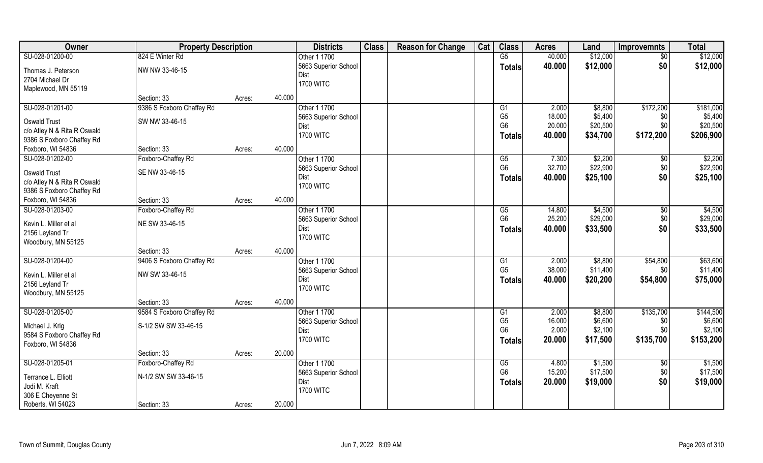| 824 E Winter Rd<br>\$12,000<br>SU-028-01200-00<br>$\overline{G5}$<br>40.000<br>Other 1 1700<br>$\overline{50}$<br>\$12,000<br>\$0<br>5663 Superior School<br>40.000<br><b>Totals</b> | \$12,000<br>\$12,000 |
|--------------------------------------------------------------------------------------------------------------------------------------------------------------------------------------|----------------------|
|                                                                                                                                                                                      |                      |
| NW NW 33-46-15<br>Thomas J. Peterson                                                                                                                                                 |                      |
| Dist<br>2704 Michael Dr                                                                                                                                                              |                      |
| <b>1700 WITC</b><br>Maplewood, MN 55119                                                                                                                                              |                      |
| 40.000<br>Section: 33<br>Acres:                                                                                                                                                      |                      |
| SU-028-01201-00<br>9386 S Foxboro Chaffey Rd<br>Other 1 1700<br>\$172,200<br>2.000<br>\$8,800<br>G1                                                                                  | \$181,000            |
| G <sub>5</sub><br>\$5,400<br>18.000<br>5663 Superior School<br>\$0<br>SW NW 33-46-15<br><b>Oswald Trust</b>                                                                          | \$5,400              |
| G <sub>6</sub><br>20.000<br>\$20,500<br>\$0<br>Dist<br>c/o Atley N & Rita R Oswald                                                                                                   | \$20,500             |
| <b>1700 WITC</b><br>40.000<br>\$34,700<br>\$172,200<br><b>Totals</b><br>9386 S Foxboro Chaffey Rd                                                                                    | \$206,900            |
| 40.000<br>Foxboro, WI 54836<br>Section: 33<br>Acres:                                                                                                                                 |                      |
| \$2,200<br>SU-028-01202-00<br>Foxboro-Chaffey Rd<br>Other 1 1700<br>G5<br>7.300<br>$\sqrt[6]{30}$                                                                                    | \$2,200              |
| G <sub>6</sub><br>32.700<br>\$22,900<br>\$0<br>5663 Superior School                                                                                                                  | \$22,900             |
| <b>Oswald Trust</b><br>SE NW 33-46-15<br>\$25,100<br>\$0<br>40.000<br>Dist<br><b>Totals</b>                                                                                          | \$25,100             |
| c/o Atley N & Rita R Oswald<br><b>1700 WITC</b>                                                                                                                                      |                      |
| 9386 S Foxboro Chaffey Rd                                                                                                                                                            |                      |
| Foxboro, WI 54836<br>40.000<br>Section: 33<br>Acres:                                                                                                                                 |                      |
| Other 1 1700<br>\$4,500<br>SU-028-01203-00<br>Foxboro-Chaffey Rd<br>14.800<br>G5<br>\$0                                                                                              | \$4,500              |
| G <sub>6</sub><br>25.200<br>\$29,000<br>\$0<br>5663 Superior School<br>NE SW 33-46-15<br>Kevin L. Miller et al                                                                       | \$29,000             |
| \$0<br>40.000<br>\$33,500<br>Dist<br><b>Totals</b><br>2156 Leyland Tr                                                                                                                | \$33,500             |
| <b>1700 WITC</b><br>Woodbury, MN 55125                                                                                                                                               |                      |
| 40.000<br>Section: 33<br>Acres:                                                                                                                                                      |                      |
| SU-028-01204-00<br>9406 S Foxboro Chaffey Rd<br>2.000<br>\$8,800<br>\$54,800<br>Other 1 1700<br>G1                                                                                   | \$63,600             |
| G <sub>5</sub><br>\$11,400<br>38.000<br>\$0<br>5663 Superior School<br>NW SW 33-46-15<br>Kevin L. Miller et al                                                                       | \$11,400             |
| \$20,200<br>\$54,800<br>Dist<br>40.000<br>Totals<br>2156 Leyland Tr                                                                                                                  | \$75,000             |
| <b>1700 WITC</b><br>Woodbury, MN 55125                                                                                                                                               |                      |
| 40.000<br>Section: 33<br>Acres:                                                                                                                                                      |                      |
| SU-028-01205-00<br>9584 S Foxboro Chaffey Rd<br>Other 1 1700<br>\$135,700<br>G1<br>2.000<br>\$8,800                                                                                  | \$144,500            |
| G <sub>5</sub><br>16.000<br>\$6,600<br>\$0<br>5663 Superior School<br>S-1/2 SW SW 33-46-15<br>Michael J. Krig                                                                        | \$6,600              |
| G <sub>6</sub><br>2.000<br>\$2,100<br>\$0<br>Dist<br>9584 S Foxboro Chaffey Rd                                                                                                       | \$2,100              |
| <b>1700 WITC</b><br>\$17,500<br>\$135,700<br>20.000<br><b>Totals</b><br>Foxboro, WI 54836                                                                                            | \$153,200            |
| 20.000<br>Section: 33<br>Acres:                                                                                                                                                      |                      |
| SU-028-01205-01<br>Other 1 1700<br>\$1,500<br>Foxboro-Chaffey Rd<br>G5<br>4.800<br>$\sqrt{6}$                                                                                        | \$1,500              |
| G <sub>6</sub><br>\$17,500<br>15.200<br>\$0<br>5663 Superior School<br>N-1/2 SW SW 33-46-15<br>Terrance L. Elliott                                                                   | \$17,500             |
| \$0<br>20.000<br>Dist<br>\$19,000<br><b>Totals</b><br>Jodi M. Kraft                                                                                                                  | \$19,000             |
| <b>1700 WITC</b><br>306 E Cheyenne St                                                                                                                                                |                      |
| Roberts, WI 54023<br>20.000<br>Section: 33<br>Acres:                                                                                                                                 |                      |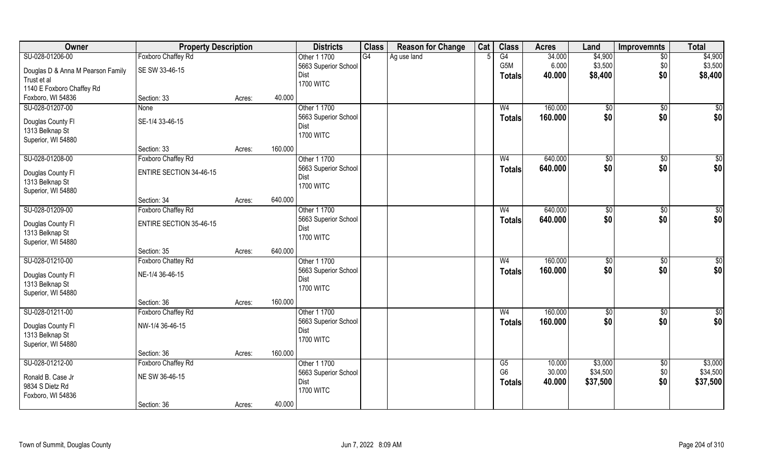| Owner                                 | <b>Property Description</b>    |        |         | <b>Districts</b>     | <b>Class</b> | <b>Reason for Change</b> | Cat | <b>Class</b>   | <b>Acres</b> | Land          | <b>Improvemnts</b> | <b>Total</b>  |
|---------------------------------------|--------------------------------|--------|---------|----------------------|--------------|--------------------------|-----|----------------|--------------|---------------|--------------------|---------------|
| SU-028-01206-00                       | Foxboro Chaffey Rd             |        |         | Other 1 1700         | G4           | Ag use land              |     | G4             | 34.000       | \$4,900       | $\overline{50}$    | \$4,900       |
| Douglas D & Anna M Pearson Family     | SE SW 33-46-15                 |        |         | 5663 Superior School |              |                          |     | G5M            | 6.000        | \$3,500       | \$0                | \$3,500       |
| Trust et al                           |                                |        |         | Dist                 |              |                          |     | <b>Totals</b>  | 40.000       | \$8,400       | \$0                | \$8,400       |
| 1140 E Foxboro Chaffey Rd             |                                |        |         | <b>1700 WITC</b>     |              |                          |     |                |              |               |                    |               |
| Foxboro, WI 54836                     | Section: 33                    | Acres: | 40.000  |                      |              |                          |     |                |              |               |                    |               |
| SU-028-01207-00                       | None                           |        |         | Other 1 1700         |              |                          |     | W <sub>4</sub> | 160.000      | \$0           | $\sqrt{$0}$        | \$0           |
|                                       | SE-1/4 33-46-15                |        |         | 5663 Superior School |              |                          |     | <b>Totals</b>  | 160.000      | \$0           | \$0                | \$0           |
| Douglas County Fl                     |                                |        |         | Dist                 |              |                          |     |                |              |               |                    |               |
| 1313 Belknap St<br>Superior, WI 54880 |                                |        |         | <b>1700 WITC</b>     |              |                          |     |                |              |               |                    |               |
|                                       | Section: 33                    | Acres: | 160.000 |                      |              |                          |     |                |              |               |                    |               |
| SU-028-01208-00                       | Foxboro Chaffey Rd             |        |         | Other 1 1700         |              |                          |     | W <sub>4</sub> | 640.000      | \$0           | \$0                | \$0           |
|                                       |                                |        |         | 5663 Superior School |              |                          |     |                | 640.000      | \$0           | \$0                | \$0           |
| Douglas County FI                     | <b>ENTIRE SECTION 34-46-15</b> |        |         | Dist                 |              |                          |     | <b>Totals</b>  |              |               |                    |               |
| 1313 Belknap St                       |                                |        |         | <b>1700 WITC</b>     |              |                          |     |                |              |               |                    |               |
| Superior, WI 54880                    |                                |        |         |                      |              |                          |     |                |              |               |                    |               |
|                                       | Section: 34                    | Acres: | 640.000 |                      |              |                          |     |                |              |               |                    |               |
| SU-028-01209-00                       | Foxboro Chaffey Rd             |        |         | Other 1 1700         |              |                          |     | W <sub>4</sub> | 640.000      | \$0           | \$0                | \$0           |
| Douglas County FI                     | <b>ENTIRE SECTION 35-46-15</b> |        |         | 5663 Superior School |              |                          |     | <b>Totals</b>  | 640.000      | \$0           | \$0                | \$0           |
| 1313 Belknap St                       |                                |        |         | Dist                 |              |                          |     |                |              |               |                    |               |
| Superior, WI 54880                    |                                |        |         | <b>1700 WITC</b>     |              |                          |     |                |              |               |                    |               |
|                                       | Section: 35                    | Acres: | 640.000 |                      |              |                          |     |                |              |               |                    |               |
| SU-028-01210-00                       | Foxboro Chattey Rd             |        |         | Other 1 1700         |              |                          |     | W <sub>4</sub> | 160.000      | $\sqrt[6]{3}$ | \$0                | \$0           |
|                                       |                                |        |         | 5663 Superior School |              |                          |     | <b>Totals</b>  | 160.000      | \$0           | \$0                | \$0           |
| Douglas County FI                     | NE-1/4 36-46-15                |        |         | Dist                 |              |                          |     |                |              |               |                    |               |
| 1313 Belknap St                       |                                |        |         | <b>1700 WITC</b>     |              |                          |     |                |              |               |                    |               |
| Superior, WI 54880                    |                                |        |         |                      |              |                          |     |                |              |               |                    |               |
|                                       | Section: 36                    | Acres: | 160.000 |                      |              |                          |     |                |              |               |                    |               |
| SU-028-01211-00                       | Foxboro Chaffey Rd             |        |         | Other 1 1700         |              |                          |     | W <sub>4</sub> | 160.000      | \$0           | \$0                | $\frac{1}{6}$ |
| Douglas County FI                     | NW-1/4 36-46-15                |        |         | 5663 Superior School |              |                          |     | <b>Totals</b>  | 160.000      | \$0           | \$0                | \$0           |
| 1313 Belknap St                       |                                |        |         | Dist                 |              |                          |     |                |              |               |                    |               |
| Superior, WI 54880                    |                                |        |         | <b>1700 WITC</b>     |              |                          |     |                |              |               |                    |               |
|                                       | Section: 36                    | Acres: | 160.000 |                      |              |                          |     |                |              |               |                    |               |
| SU-028-01212-00                       | Foxboro Chaffey Rd             |        |         | Other 1 1700         |              |                          |     | G5             | 10.000       | \$3,000       | \$0                | \$3,000       |
|                                       | NE SW 36-46-15                 |        |         | 5663 Superior School |              |                          |     | G <sub>6</sub> | 30.000       | \$34,500      | \$0                | \$34,500      |
| Ronald B. Case Jr<br>9834 S Dietz Rd  |                                |        |         | Dist                 |              |                          |     | <b>Totals</b>  | 40.000       | \$37,500      | \$0                | \$37,500      |
|                                       |                                |        |         | <b>1700 WITC</b>     |              |                          |     |                |              |               |                    |               |
| Foxboro, WI 54836                     | Section: 36                    |        | 40.000  |                      |              |                          |     |                |              |               |                    |               |
|                                       |                                | Acres: |         |                      |              |                          |     |                |              |               |                    |               |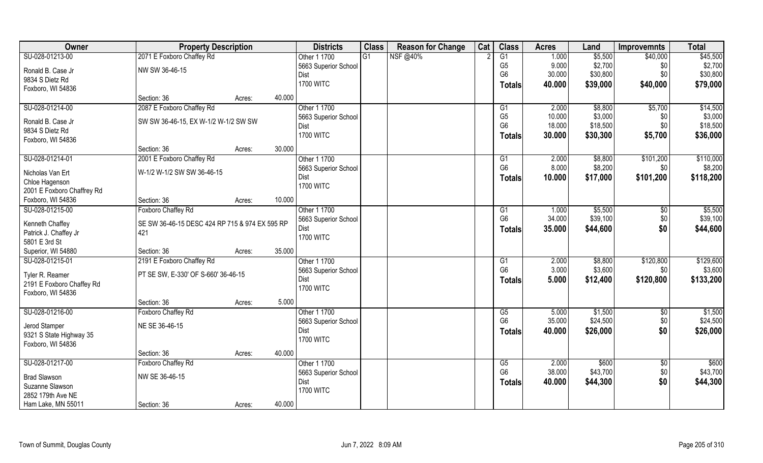| Owner                                  | <b>Property Description</b>                    |        |        | <b>Districts</b>     | <b>Class</b>    | <b>Reason for Change</b> | Cat | <b>Class</b>    | <b>Acres</b> | Land     | <b>Improvemnts</b> | <b>Total</b> |
|----------------------------------------|------------------------------------------------|--------|--------|----------------------|-----------------|--------------------------|-----|-----------------|--------------|----------|--------------------|--------------|
| SU-028-01213-00                        | 2071 E Foxboro Chaffey Rd                      |        |        | Other 1 1700         | $\overline{G1}$ | NSF @40%                 |     | $\overline{G1}$ | 1.000        | \$5,500  | \$40,000           | \$45,500     |
| Ronald B. Case Jr                      | NW SW 36-46-15                                 |        |        | 5663 Superior School |                 |                          |     | G <sub>5</sub>  | 9.000        | \$2,700  | \$0                | \$2,700      |
| 9834 S Dietz Rd                        |                                                |        |        | Dist                 |                 |                          |     | G <sub>6</sub>  | 30.000       | \$30,800 | \$0                | \$30,800     |
| Foxboro, WI 54836                      |                                                |        |        | <b>1700 WITC</b>     |                 |                          |     | <b>Totals</b>   | 40.000       | \$39,000 | \$40,000           | \$79,000     |
|                                        | Section: 36                                    | Acres: | 40.000 |                      |                 |                          |     |                 |              |          |                    |              |
| SU-028-01214-00                        | 2087 E Foxboro Chaffey Rd                      |        |        | Other 1 1700         |                 |                          |     | G1              | 2.000        | \$8,800  | \$5,700            | \$14,500     |
| Ronald B. Case Jr                      | SW SW 36-46-15, EX W-1/2 W-1/2 SW SW           |        |        | 5663 Superior School |                 |                          |     | G <sub>5</sub>  | 10.000       | \$3,000  | \$0                | \$3,000      |
| 9834 S Dietz Rd                        |                                                |        |        | Dist                 |                 |                          |     | G <sub>6</sub>  | 18.000       | \$18,500 | \$0                | \$18,500     |
| Foxboro, WI 54836                      |                                                |        |        | <b>1700 WITC</b>     |                 |                          |     | <b>Totals</b>   | 30.000       | \$30,300 | \$5,700            | \$36,000     |
|                                        | Section: 36                                    | Acres: | 30.000 |                      |                 |                          |     |                 |              |          |                    |              |
| SU-028-01214-01                        | 2001 E Foxboro Chaffey Rd                      |        |        | Other 1 1700         |                 |                          |     | G1              | 2.000        | \$8,800  | \$101,200          | \$110,000    |
| Nicholas Van Ert                       | W-1/2 W-1/2 SW SW 36-46-15                     |        |        | 5663 Superior School |                 |                          |     | G <sub>6</sub>  | 8.000        | \$8,200  | \$0                | \$8,200      |
| Chloe Hagenson                         |                                                |        |        | Dist                 |                 |                          |     | <b>Totals</b>   | 10.000       | \$17,000 | \$101,200          | \$118,200    |
| 2001 E Foxboro Chaffrey Rd             |                                                |        |        | <b>1700 WITC</b>     |                 |                          |     |                 |              |          |                    |              |
| Foxboro, WI 54836                      | Section: 36                                    | Acres: | 10.000 |                      |                 |                          |     |                 |              |          |                    |              |
| SU-028-01215-00                        | Foxboro Chaffey Rd                             |        |        | Other 1 1700         |                 |                          |     | G1              | 1.000        | \$5,500  | \$0                | \$5,500      |
|                                        |                                                |        |        | 5663 Superior School |                 |                          |     | G <sub>6</sub>  | 34.000       | \$39,100 | \$0                | \$39,100     |
| Kenneth Chaffey                        | SE SW 36-46-15 DESC 424 RP 715 & 974 EX 595 RP |        |        | Dist                 |                 |                          |     | <b>Totals</b>   | 35.000       | \$44,600 | \$0                | \$44,600     |
| Patrick J. Chaffey Jr<br>5801 E 3rd St | 421                                            |        |        | <b>1700 WITC</b>     |                 |                          |     |                 |              |          |                    |              |
| Superior, WI 54880                     | Section: 36                                    |        | 35.000 |                      |                 |                          |     |                 |              |          |                    |              |
| SU-028-01215-01                        | 2191 E Foxboro Chaffey Rd                      | Acres: |        | Other 1 1700         |                 |                          |     | G1              | 2.000        | \$8,800  | \$120,800          | \$129,600    |
|                                        |                                                |        |        | 5663 Superior School |                 |                          |     | G <sub>6</sub>  | 3.000        | \$3,600  | \$0                | \$3,600      |
| Tyler R. Reamer                        | PT SE SW, E-330' OF S-660' 36-46-15            |        |        | Dist                 |                 |                          |     |                 | 5.000        | \$12,400 | \$120,800          | \$133,200    |
| 2191 E Foxboro Chaffey Rd              |                                                |        |        | <b>1700 WITC</b>     |                 |                          |     | Totals          |              |          |                    |              |
| Foxboro, WI 54836                      |                                                |        |        |                      |                 |                          |     |                 |              |          |                    |              |
|                                        | Section: 36                                    | Acres: | 5.000  |                      |                 |                          |     |                 |              |          |                    |              |
| SU-028-01216-00                        | Foxboro Chaffey Rd                             |        |        | Other 1 1700         |                 |                          |     | G5              | 5.000        | \$1,500  | \$0                | \$1,500      |
| Jerod Stamper                          | NE SE 36-46-15                                 |        |        | 5663 Superior School |                 |                          |     | G <sub>6</sub>  | 35.000       | \$24,500 | \$0                | \$24,500     |
| 9321 S State Highway 35                |                                                |        |        | Dist                 |                 |                          |     | <b>Totals</b>   | 40.000       | \$26,000 | \$0                | \$26,000     |
| Foxboro, WI 54836                      |                                                |        |        | <b>1700 WITC</b>     |                 |                          |     |                 |              |          |                    |              |
|                                        | Section: 36                                    | Acres: | 40.000 |                      |                 |                          |     |                 |              |          |                    |              |
| SU-028-01217-00                        | Foxboro Chaffey Rd                             |        |        | Other 1 1700         |                 |                          |     | G5              | 2.000        | \$600    | \$0                | \$600        |
| <b>Brad Slawson</b>                    | NW SE 36-46-15                                 |        |        | 5663 Superior School |                 |                          |     | G <sub>6</sub>  | 38.000       | \$43,700 | \$0                | \$43,700     |
| Suzanne Slawson                        |                                                |        |        | Dist                 |                 |                          |     | <b>Totals</b>   | 40.000       | \$44,300 | \$0                | \$44,300     |
| 2852 179th Ave NE                      |                                                |        |        | <b>1700 WITC</b>     |                 |                          |     |                 |              |          |                    |              |
| Ham Lake, MN 55011                     | Section: 36                                    | Acres: | 40.000 |                      |                 |                          |     |                 |              |          |                    |              |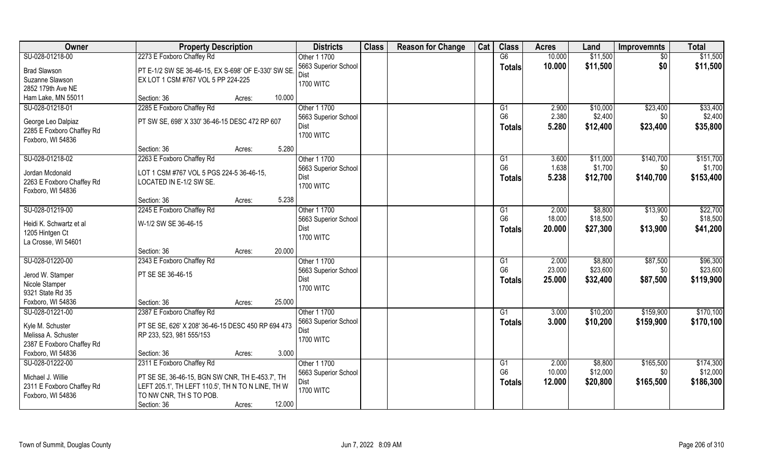| <b>Owner</b>                            | <b>Property Description</b>                        |                  | <b>Districts</b>     | <b>Class</b> | <b>Reason for Change</b> | Cat | <b>Class</b>   | <b>Acres</b> | Land     | <b>Improvemnts</b> | <b>Total</b> |
|-----------------------------------------|----------------------------------------------------|------------------|----------------------|--------------|--------------------------|-----|----------------|--------------|----------|--------------------|--------------|
| SU-028-01218-00                         | 2273 E Foxboro Chaffey Rd                          |                  | Other 1 1700         |              |                          |     | G6             | 10.000       | \$11,500 | $\overline{30}$    | \$11,500     |
| <b>Brad Slawson</b>                     | PT E-1/2 SW SE 36-46-15, EX S-698' OF E-330' SW SE |                  | 5663 Superior School |              |                          |     | <b>Totals</b>  | 10.000       | \$11,500 | \$0                | \$11,500     |
| Suzanne Slawson                         | EX LOT 1 CSM #767 VOL 5 PP 224-225                 |                  | Dist                 |              |                          |     |                |              |          |                    |              |
| 2852 179th Ave NE                       |                                                    |                  | <b>1700 WITC</b>     |              |                          |     |                |              |          |                    |              |
| Ham Lake, MN 55011                      | Section: 36<br>Acres:                              | 10.000           |                      |              |                          |     |                |              |          |                    |              |
| SU-028-01218-01                         | 2285 E Foxboro Chaffey Rd                          |                  | Other 1 1700         |              |                          |     | G <sub>1</sub> | 2.900        | \$10,000 | \$23,400           | \$33,400     |
| George Leo Dalpiaz                      | PT SW SE, 698' X 330' 36-46-15 DESC 472 RP 607     |                  | 5663 Superior School |              |                          |     | G <sub>6</sub> | 2.380        | \$2,400  | \$0                | \$2,400      |
| 2285 E Foxboro Chaffey Rd               |                                                    |                  | Dist                 |              |                          |     | <b>Totals</b>  | 5.280        | \$12,400 | \$23,400           | \$35,800     |
| Foxboro, WI 54836                       |                                                    |                  | <b>1700 WITC</b>     |              |                          |     |                |              |          |                    |              |
|                                         | Section: 36<br>Acres:                              | 5.280            |                      |              |                          |     |                |              |          |                    |              |
| SU-028-01218-02                         | 2263 E Foxboro Chaffey Rd                          |                  | Other 1 1700         |              |                          |     | G1             | 3.600        | \$11,000 | \$140,700          | \$151,700    |
| Jordan Mcdonald                         | LOT 1 CSM #767 VOL 5 PGS 224-5 36-46-15,           |                  | 5663 Superior School |              |                          |     | G <sub>6</sub> | 1.638        | \$1,700  | \$0                | \$1,700      |
| 2263 E Foxboro Chaffey Rd               | LOCATED IN E-1/2 SW SE.                            |                  | Dist                 |              |                          |     | <b>Totals</b>  | 5.238        | \$12,700 | \$140,700          | \$153,400    |
| Foxboro, WI 54836                       |                                                    |                  | <b>1700 WITC</b>     |              |                          |     |                |              |          |                    |              |
|                                         | Section: 36<br>Acres:                              | 5.238            |                      |              |                          |     |                |              |          |                    |              |
| SU-028-01219-00                         | 2245 E Foxboro Chaffey Rd                          |                  | Other 1 1700         |              |                          |     | G <sub>1</sub> | 2.000        | \$8,800  | \$13,900           | \$22,700     |
| Heidi K. Schwartz et al                 | W-1/2 SW SE 36-46-15                               |                  | 5663 Superior School |              |                          |     | G <sub>6</sub> | 18.000       | \$18,500 | \$0                | \$18,500     |
| 1205 Hintgen Ct                         |                                                    |                  | Dist                 |              |                          |     | <b>Totals</b>  | 20.000       | \$27,300 | \$13,900           | \$41,200     |
| La Crosse, WI 54601                     |                                                    |                  | <b>1700 WITC</b>     |              |                          |     |                |              |          |                    |              |
|                                         | Section: 36<br>Acres:                              | 20.000           |                      |              |                          |     |                |              |          |                    |              |
| SU-028-01220-00                         | 2343 E Foxboro Chaffey Rd                          |                  | Other 1 1700         |              |                          |     | G1             | 2.000        | \$8,800  | \$87,500           | \$96,300     |
| Jerod W. Stamper                        | PT SE SE 36-46-15                                  |                  | 5663 Superior School |              |                          |     | G <sub>6</sub> | 23.000       | \$23,600 | \$0                | \$23,600     |
| Nicole Stamper                          |                                                    |                  | Dist                 |              |                          |     | <b>Totals</b>  | 25.000       | \$32,400 | \$87,500           | \$119,900    |
| 9321 State Rd 35                        |                                                    |                  | <b>1700 WITC</b>     |              |                          |     |                |              |          |                    |              |
| Foxboro, WI 54836                       | Section: 36<br>Acres:                              | 25.000           |                      |              |                          |     |                |              |          |                    |              |
| SU-028-01221-00                         | 2387 E Foxboro Chaffey Rd                          |                  | Other 1 1700         |              |                          |     | G <sub>1</sub> | 3.000        | \$10,200 | \$159,900          | \$170,100    |
|                                         |                                                    |                  | 5663 Superior School |              |                          |     | <b>Totals</b>  | 3.000        | \$10,200 | \$159,900          | \$170,100    |
| Kyle M. Schuster<br>Melissa A. Schuster | PT SE SE, 626' X 208' 36-46-15 DESC 450 RP 694 473 |                  | Dist                 |              |                          |     |                |              |          |                    |              |
| 2387 E Foxboro Chaffey Rd               | RP 233, 523, 981 555/153                           |                  | <b>1700 WITC</b>     |              |                          |     |                |              |          |                    |              |
| Foxboro, WI 54836                       | Section: 36<br>Acres:                              | 3.000            |                      |              |                          |     |                |              |          |                    |              |
| SU-028-01222-00                         | 2311 E Foxboro Chaffey Rd                          |                  | Other 1 1700         |              |                          |     | G <sub>1</sub> | 2.000        | \$8,800  | \$165,500          | \$174,300    |
|                                         |                                                    |                  | 5663 Superior School |              |                          |     | G <sub>6</sub> | 10.000       | \$12,000 | \$0                | \$12,000     |
| Michael J. Willie                       | PT SE SE, 36-46-15, BGN SW CNR, TH E-453.7', TH    |                  | Dist                 |              |                          |     | <b>Totals</b>  | 12.000       | \$20,800 | \$165,500          | \$186,300    |
| 2311 E Foxboro Chaffey Rd               | LEFT 205.1', TH LEFT 110.5', TH N TO N LINE, TH W  |                  | <b>1700 WITC</b>     |              |                          |     |                |              |          |                    |              |
| Foxboro, WI 54836                       | TO NW CNR, TH S TO POB.                            |                  |                      |              |                          |     |                |              |          |                    |              |
|                                         | Section: 36                                        | 12.000<br>Acres: |                      |              |                          |     |                |              |          |                    |              |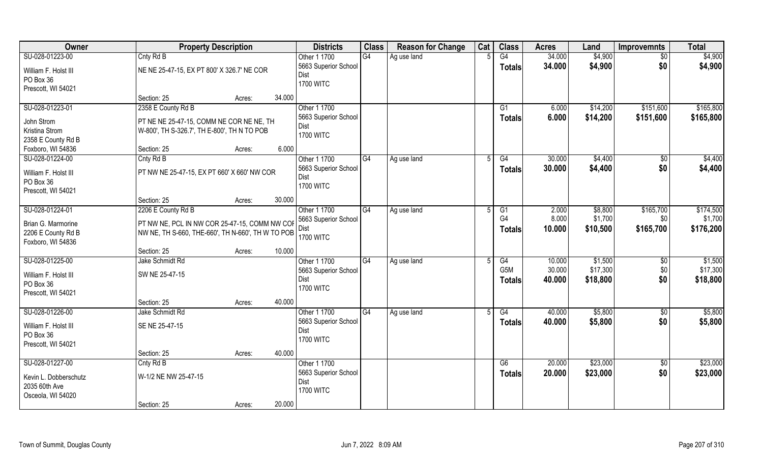| Owner                 | <b>Property Description</b>                       |        |        | <b>Districts</b>     | <b>Class</b>    | <b>Reason for Change</b> | Cat | <b>Class</b>    | <b>Acres</b> | Land     | <b>Improvemnts</b> | <b>Total</b> |
|-----------------------|---------------------------------------------------|--------|--------|----------------------|-----------------|--------------------------|-----|-----------------|--------------|----------|--------------------|--------------|
| SU-028-01223-00       | Cnty Rd B                                         |        |        | Other 1 1700         | G4              | Ag use land              |     | G4              | 34.000       | \$4,900  | $\sqrt{$0}$        | \$4,900      |
| William F. Holst III  | NE NE 25-47-15, EX PT 800' X 326.7' NE COR        |        |        | 5663 Superior School |                 |                          |     | <b>Totals</b>   | 34.000       | \$4,900  | \$0                | \$4,900      |
| PO Box 36             |                                                   |        |        | <b>Dist</b>          |                 |                          |     |                 |              |          |                    |              |
| Prescott, WI 54021    |                                                   |        |        | <b>1700 WITC</b>     |                 |                          |     |                 |              |          |                    |              |
|                       | Section: 25                                       | Acres: | 34.000 |                      |                 |                          |     |                 |              |          |                    |              |
| SU-028-01223-01       | 2358 E County Rd B                                |        |        | Other 1 1700         |                 |                          |     | $\overline{G1}$ | 6.000        | \$14,200 | \$151,600          | \$165,800    |
| John Strom            | PT NE NE 25-47-15, COMM NE COR NE NE, TH          |        |        | 5663 Superior School |                 |                          |     | Totals          | 6.000        | \$14,200 | \$151,600          | \$165,800    |
| Kristina Strom        | W-800', TH S-326.7', TH E-800', TH N TO POB       |        |        | Dist                 |                 |                          |     |                 |              |          |                    |              |
| 2358 E County Rd B    |                                                   |        |        | <b>1700 WITC</b>     |                 |                          |     |                 |              |          |                    |              |
| Foxboro, WI 54836     | Section: 25                                       | Acres: | 6.000  |                      |                 |                          |     |                 |              |          |                    |              |
| SU-028-01224-00       | Cnty Rd B                                         |        |        | Other 1 1700         | G4              | Ag use land              |     | G4              | 30.000       | \$4,400  | \$0                | \$4,400      |
| William F. Holst III  | PT NW NE 25-47-15, EX PT 660' X 660' NW COR       |        |        | 5663 Superior School |                 |                          |     | <b>Totals</b>   | 30.000       | \$4,400  | \$0                | \$4,400      |
| PO Box 36             |                                                   |        |        | Dist                 |                 |                          |     |                 |              |          |                    |              |
| Prescott, WI 54021    |                                                   |        |        | <b>1700 WITC</b>     |                 |                          |     |                 |              |          |                    |              |
|                       | Section: 25                                       | Acres: | 30.000 |                      |                 |                          |     |                 |              |          |                    |              |
| SU-028-01224-01       | 2206 E County Rd B                                |        |        | Other 1 1700         | G4              | Ag use land              |     | G1              | 2.000        | \$8,800  | \$165,700          | \$174,500    |
| Brian G. Marmorine    | PT NW NE, PCL IN NW COR 25-47-15, COMM NW COF     |        |        | 5663 Superior School |                 |                          |     | G4              | 8.000        | \$1,700  | \$0                | \$1,700      |
| 2206 E County Rd B    | NW NE, TH S-660, THE-660', TH N-660', TH W TO POB |        |        | Dist                 |                 |                          |     | Totals          | 10.000       | \$10,500 | \$165,700          | \$176,200    |
| Foxboro, WI 54836     |                                                   |        |        | <b>1700 WITC</b>     |                 |                          |     |                 |              |          |                    |              |
|                       | Section: 25                                       | Acres: | 10.000 |                      |                 |                          |     |                 |              |          |                    |              |
| SU-028-01225-00       | Jake Schmidt Rd                                   |        |        | Other 1 1700         | $\overline{G4}$ | Ag use land              |     | G4              | 10.000       | \$1,500  | $\sqrt[6]{30}$     | \$1,500      |
| William F. Holst III  | SW NE 25-47-15                                    |        |        | 5663 Superior School |                 |                          |     | G5M             | 30.000       | \$17,300 | \$0                | \$17,300     |
| PO Box 36             |                                                   |        |        | Dist                 |                 |                          |     | <b>Totals</b>   | 40.000       | \$18,800 | \$0                | \$18,800     |
| Prescott, WI 54021    |                                                   |        |        | <b>1700 WITC</b>     |                 |                          |     |                 |              |          |                    |              |
|                       | Section: 25                                       | Acres: | 40.000 |                      |                 |                          |     |                 |              |          |                    |              |
| SU-028-01226-00       | Jake Schmidt Rd                                   |        |        | Other 1 1700         | G4              | Ag use land              |     | G4              | 40.000       | \$5,800  | $\overline{30}$    | \$5,800      |
| William F. Holst III  | SE NE 25-47-15                                    |        |        | 5663 Superior School |                 |                          |     | <b>Totals</b>   | 40.000       | \$5,800  | \$0                | \$5,800      |
| PO Box 36             |                                                   |        |        | Dist                 |                 |                          |     |                 |              |          |                    |              |
| Prescott, WI 54021    |                                                   |        |        | <b>1700 WITC</b>     |                 |                          |     |                 |              |          |                    |              |
|                       | Section: 25                                       | Acres: | 40.000 |                      |                 |                          |     |                 |              |          |                    |              |
| SU-028-01227-00       | Cnty Rd B                                         |        |        | Other 1 1700         |                 |                          |     | G6              | 20.000       | \$23,000 | $\sqrt[6]{}$       | \$23,000     |
| Kevin L. Dobberschutz | W-1/2 NE NW 25-47-15                              |        |        | 5663 Superior School |                 |                          |     | <b>Totals</b>   | 20.000       | \$23,000 | \$0                | \$23,000     |
| 2035 60th Ave         |                                                   |        |        | Dist                 |                 |                          |     |                 |              |          |                    |              |
| Osceola, WI 54020     |                                                   |        |        | <b>1700 WITC</b>     |                 |                          |     |                 |              |          |                    |              |
|                       | Section: 25                                       | Acres: | 20.000 |                      |                 |                          |     |                 |              |          |                    |              |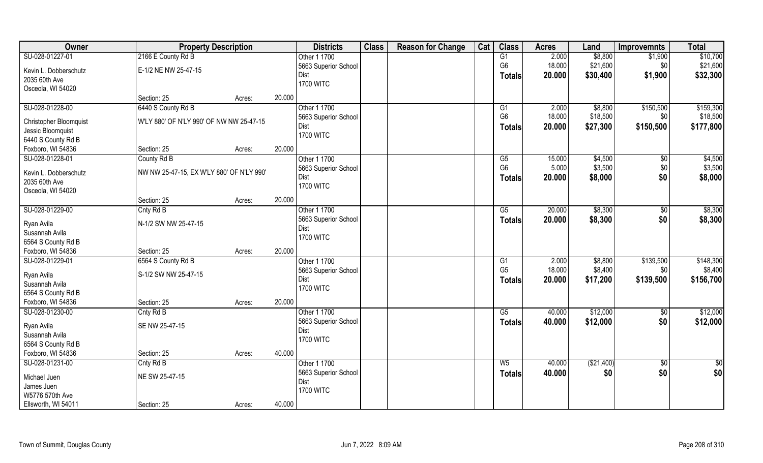| Owner                                | <b>Property Description</b>               |        |        | <b>Districts</b>     | <b>Class</b> | <b>Reason for Change</b> | Cat | <b>Class</b>    | <b>Acres</b> | Land       | <b>Improvemnts</b> | <b>Total</b>    |
|--------------------------------------|-------------------------------------------|--------|--------|----------------------|--------------|--------------------------|-----|-----------------|--------------|------------|--------------------|-----------------|
| SU-028-01227-01                      | 2166 E County Rd B                        |        |        | Other 1 1700         |              |                          |     | G1              | 2.000        | \$8,800    | \$1,900            | \$10,700        |
| Kevin L. Dobberschutz                | E-1/2 NE NW 25-47-15                      |        |        | 5663 Superior School |              |                          |     | G <sub>6</sub>  | 18.000       | \$21,600   | \$0                | \$21,600        |
| 2035 60th Ave                        |                                           |        |        | Dist                 |              |                          |     | <b>Totals</b>   | 20.000       | \$30,400   | \$1,900            | \$32,300        |
| Osceola, WI 54020                    |                                           |        |        | <b>1700 WITC</b>     |              |                          |     |                 |              |            |                    |                 |
|                                      | Section: 25                               | Acres: | 20.000 |                      |              |                          |     |                 |              |            |                    |                 |
| SU-028-01228-00                      | 6440 S County Rd B                        |        |        | Other 1 1700         |              |                          |     | G1              | 2.000        | \$8,800    | \$150,500          | \$159,300       |
| <b>Christopher Bloomquist</b>        | W'LY 880' OF N'LY 990' OF NW NW 25-47-15  |        |        | 5663 Superior School |              |                          |     | G <sub>6</sub>  | 18.000       | \$18,500   | \$0                | \$18,500        |
| Jessic Bloomquist                    |                                           |        |        | Dist                 |              |                          |     | <b>Totals</b>   | 20.000       | \$27,300   | \$150,500          | \$177,800       |
| 6440 S County Rd B                   |                                           |        |        | <b>1700 WITC</b>     |              |                          |     |                 |              |            |                    |                 |
| Foxboro, WI 54836                    | Section: 25                               | Acres: | 20.000 |                      |              |                          |     |                 |              |            |                    |                 |
| SU-028-01228-01                      | County Rd B                               |        |        | Other 1 1700         |              |                          |     | G5              | 15.000       | \$4,500    | $\sqrt[6]{3}$      | \$4,500         |
|                                      |                                           |        |        | 5663 Superior School |              |                          |     | G <sub>6</sub>  | 5.000        | \$3,500    | \$0                | \$3,500         |
| Kevin L. Dobberschutz                | NW NW 25-47-15, EX W'LY 880' OF N'LY 990' |        |        | Dist                 |              |                          |     | Totals          | 20.000       | \$8,000    | \$0                | \$8,000         |
| 2035 60th Ave                        |                                           |        |        | <b>1700 WITC</b>     |              |                          |     |                 |              |            |                    |                 |
| Osceola, WI 54020                    |                                           |        |        |                      |              |                          |     |                 |              |            |                    |                 |
|                                      | Section: 25                               | Acres: | 20.000 |                      |              |                          |     |                 |              |            |                    |                 |
| SU-028-01229-00                      | Cnty Rd B                                 |        |        | Other 1 1700         |              |                          |     | G5              | 20.000       | \$8,300    | \$0                | \$8,300         |
| Ryan Avila                           | N-1/2 SW NW 25-47-15                      |        |        | 5663 Superior School |              |                          |     | <b>Totals</b>   | 20.000       | \$8,300    | \$0                | \$8,300         |
| Susannah Avila                       |                                           |        |        | Dist                 |              |                          |     |                 |              |            |                    |                 |
| 6564 S County Rd B                   |                                           |        |        | <b>1700 WITC</b>     |              |                          |     |                 |              |            |                    |                 |
| Foxboro, WI 54836                    | Section: 25                               | Acres: | 20.000 |                      |              |                          |     |                 |              |            |                    |                 |
| SU-028-01229-01                      | 6564 S County Rd B                        |        |        | Other 1 1700         |              |                          |     | $\overline{G1}$ | 2.000        | \$8,800    | \$139,500          | \$148,300       |
|                                      |                                           |        |        | 5663 Superior School |              |                          |     | G <sub>5</sub>  | 18.000       | \$8,400    | \$0                | \$8,400         |
| Ryan Avila                           | S-1/2 SW NW 25-47-15                      |        |        | Dist                 |              |                          |     | <b>Totals</b>   | 20.000       | \$17,200   | \$139,500          | \$156,700       |
| Susannah Avila<br>6564 S County Rd B |                                           |        |        | <b>1700 WITC</b>     |              |                          |     |                 |              |            |                    |                 |
| Foxboro, WI 54836                    | Section: 25                               |        | 20.000 |                      |              |                          |     |                 |              |            |                    |                 |
| SU-028-01230-00                      |                                           | Acres: |        | Other 1 1700         |              |                          |     | G5              | 40.000       | \$12,000   |                    | \$12,000        |
|                                      | Cnty Rd B                                 |        |        | 5663 Superior School |              |                          |     |                 |              |            | \$0                |                 |
| Ryan Avila                           | SE NW 25-47-15                            |        |        | Dist                 |              |                          |     | <b>Totals</b>   | 40.000       | \$12,000   | \$0                | \$12,000        |
| Susannah Avila                       |                                           |        |        | <b>1700 WITC</b>     |              |                          |     |                 |              |            |                    |                 |
| 6564 S County Rd B                   |                                           |        |        |                      |              |                          |     |                 |              |            |                    |                 |
| Foxboro, WI 54836                    | Section: 25                               | Acres: | 40.000 |                      |              |                          |     |                 |              |            |                    |                 |
| SU-028-01231-00                      | Cnty Rd B                                 |        |        | Other 1 1700         |              |                          |     | $W_5$           | 40.000       | (\$21,400) | $\overline{60}$    | $\overline{50}$ |
| Michael Juen                         | NE SW 25-47-15                            |        |        | 5663 Superior School |              |                          |     | <b>Totals</b>   | 40.000       | \$0        | \$0                | \$0             |
| James Juen                           |                                           |        |        | Dist                 |              |                          |     |                 |              |            |                    |                 |
| W5776 570th Ave                      |                                           |        |        | <b>1700 WITC</b>     |              |                          |     |                 |              |            |                    |                 |
| Ellsworth, WI 54011                  | Section: 25                               | Acres: | 40.000 |                      |              |                          |     |                 |              |            |                    |                 |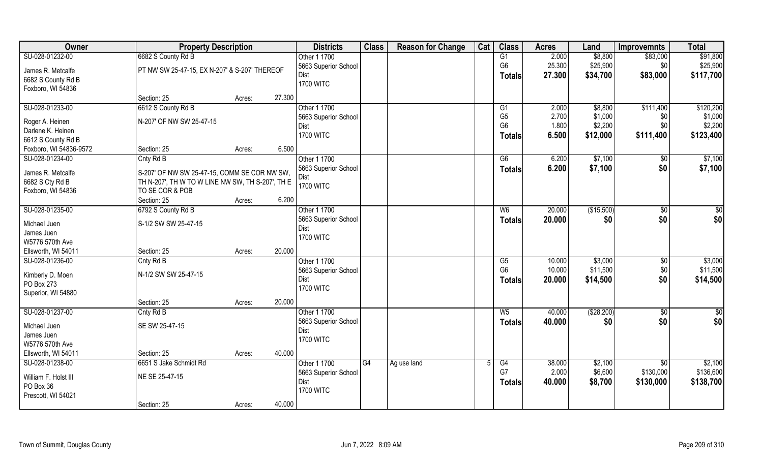| <b>Owner</b>                      | <b>Property Description</b>                      |        |        | <b>Districts</b>             | <b>Class</b> | <b>Reason for Change</b> | Cat | <b>Class</b>   | <b>Acres</b> | Land         | <b>Improvemnts</b> | <b>Total</b> |
|-----------------------------------|--------------------------------------------------|--------|--------|------------------------------|--------------|--------------------------|-----|----------------|--------------|--------------|--------------------|--------------|
| SU-028-01232-00                   | 6682 S County Rd B                               |        |        | Other 1 1700                 |              |                          |     | G1             | 2.000        | \$8,800      | \$83,000           | \$91,800     |
| James R. Metcalfe                 | PT NW SW 25-47-15, EX N-207' & S-207' THEREOF    |        |        | 5663 Superior School         |              |                          |     | G <sub>6</sub> | 25.300       | \$25,900     | \$0                | \$25,900     |
| 6682 S County Rd B                |                                                  |        |        | Dist                         |              |                          |     | <b>Totals</b>  | 27.300       | \$34,700     | \$83,000           | \$117,700    |
| Foxboro, WI 54836                 |                                                  |        |        | <b>1700 WITC</b>             |              |                          |     |                |              |              |                    |              |
|                                   | Section: 25                                      | Acres: | 27.300 |                              |              |                          |     |                |              |              |                    |              |
| SU-028-01233-00                   | 6612 S County Rd B                               |        |        | Other 1 1700                 |              |                          |     | G1             | 2.000        | \$8,800      | \$111,400          | \$120,200    |
| Roger A. Heinen                   | N-207' OF NW SW 25-47-15                         |        |        | 5663 Superior School         |              |                          |     | G <sub>5</sub> | 2.700        | \$1,000      | \$0                | \$1,000      |
| Darlene K. Heinen                 |                                                  |        |        | Dist                         |              |                          |     | G <sub>6</sub> | 1.800        | \$2,200      | \$0                | \$2,200      |
| 6612 S County Rd B                |                                                  |        |        | <b>1700 WITC</b>             |              |                          |     | <b>Totals</b>  | 6.500        | \$12,000     | \$111,400          | \$123,400    |
| Foxboro, WI 54836-9572            | Section: 25                                      | Acres: | 6.500  |                              |              |                          |     |                |              |              |                    |              |
| SU-028-01234-00                   | Cnty Rd B                                        |        |        | Other 1 1700                 |              |                          |     | G6             | 6.200        | \$7,100      | \$0                | \$7,100      |
|                                   |                                                  |        |        | 5663 Superior School         |              |                          |     | <b>Totals</b>  | 6.200        | \$7,100      | \$0                | \$7,100      |
| James R. Metcalfe                 | S-207' OF NW SW 25-47-15, COMM SE COR NW SW,     |        |        | Dist                         |              |                          |     |                |              |              |                    |              |
| 6682 S Cty Rd B                   | TH N-207', TH W TO W LINE NW SW, TH S-207', TH E |        |        | <b>1700 WITC</b>             |              |                          |     |                |              |              |                    |              |
| Foxboro, WI 54836                 | TO SE COR & POB                                  |        |        |                              |              |                          |     |                |              |              |                    |              |
|                                   | Section: 25                                      | Acres: | 6.200  |                              |              |                          |     |                |              |              |                    |              |
| SU-028-01235-00                   | 6792 S County Rd B                               |        |        | Other 1 1700                 |              |                          |     | W <sub>6</sub> | 20.000       | (\$15,500)   | \$0                | \$           |
| Michael Juen                      | S-1/2 SW SW 25-47-15                             |        |        | 5663 Superior School<br>Dist |              |                          |     | <b>Totals</b>  | 20.000       | \$0          | \$0                | \$0          |
| James Juen                        |                                                  |        |        | <b>1700 WITC</b>             |              |                          |     |                |              |              |                    |              |
| W5776 570th Ave                   |                                                  |        |        |                              |              |                          |     |                |              |              |                    |              |
| Ellsworth, WI 54011               | Section: 25                                      | Acres: | 20,000 |                              |              |                          |     |                |              |              |                    |              |
| SU-028-01236-00                   | Cnty Rd B                                        |        |        | Other 1 1700                 |              |                          |     | G5             | 10.000       | \$3,000      | $\overline{60}$    | \$3,000      |
| Kimberly D. Moen                  | N-1/2 SW SW 25-47-15                             |        |        | 5663 Superior School         |              |                          |     | G <sub>6</sub> | 10.000       | \$11,500     | \$0                | \$11,500     |
| PO Box 273                        |                                                  |        |        | Dist                         |              |                          |     | <b>Totals</b>  | 20.000       | \$14,500     | \$0                | \$14,500     |
| Superior, WI 54880                |                                                  |        |        | <b>1700 WITC</b>             |              |                          |     |                |              |              |                    |              |
|                                   | Section: 25                                      | Acres: | 20.000 |                              |              |                          |     |                |              |              |                    |              |
| SU-028-01237-00                   | Cnty Rd B                                        |        |        | Other 1 1700                 |              |                          |     | $W_5$          | 40.000       | ( \$28, 200) | \$0                | \$0          |
| Michael Juen                      | SE SW 25-47-15                                   |        |        | 5663 Superior School         |              |                          |     | <b>Totals</b>  | 40.000       | \$0          | \$0                | \$0          |
| James Juen                        |                                                  |        |        | Dist                         |              |                          |     |                |              |              |                    |              |
| W5776 570th Ave                   |                                                  |        |        | <b>1700 WITC</b>             |              |                          |     |                |              |              |                    |              |
| Ellsworth, WI 54011               | Section: 25                                      | Acres: | 40.000 |                              |              |                          |     |                |              |              |                    |              |
| SU-028-01238-00                   | 6651 S Jake Schmidt Rd                           |        |        | Other 1 1700                 | G4           | Ag use land              |     | G4             | 38.000       | \$2,100      | $\overline{50}$    | \$2,100      |
|                                   |                                                  |        |        | 5663 Superior School         |              |                          |     | G7             | 2.000        | \$6,600      | \$130,000          | \$136,600    |
| William F. Holst III<br>PO Box 36 | NE SE 25-47-15                                   |        |        | Dist                         |              |                          |     | <b>Totals</b>  | 40.000       | \$8,700      | \$130,000          | \$138,700    |
|                                   |                                                  |        |        | <b>1700 WITC</b>             |              |                          |     |                |              |              |                    |              |
| Prescott, WI 54021                | Section: 25                                      |        | 40.000 |                              |              |                          |     |                |              |              |                    |              |
|                                   |                                                  | Acres: |        |                              |              |                          |     |                |              |              |                    |              |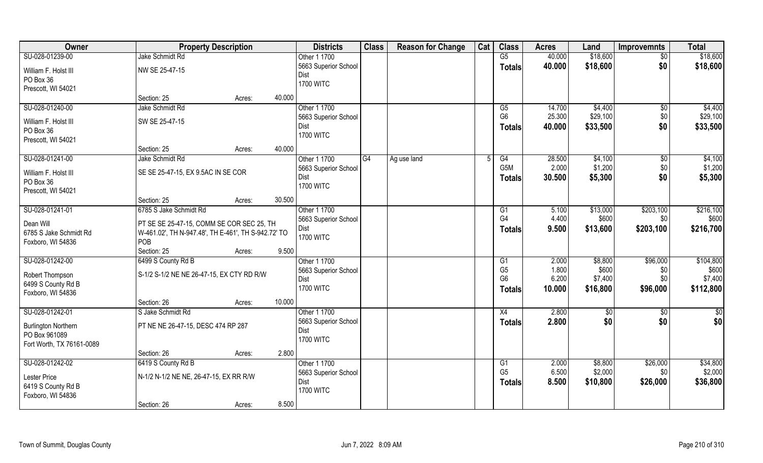| Owner                      | <b>Property Description</b>                         |        |        | <b>Districts</b>     | <b>Class</b> | <b>Reason for Change</b> | Cat | <b>Class</b>           | <b>Acres</b> | Land     | <b>Improvemnts</b> | <b>Total</b> |
|----------------------------|-----------------------------------------------------|--------|--------|----------------------|--------------|--------------------------|-----|------------------------|--------------|----------|--------------------|--------------|
| SU-028-01239-00            | Jake Schmidt Rd                                     |        |        | Other 1 1700         |              |                          |     | $\overline{\text{G5}}$ | 40.000       | \$18,600 | $\sqrt{$0}$        | \$18,600     |
| William F. Holst III       | NW SE 25-47-15                                      |        |        | 5663 Superior School |              |                          |     | <b>Totals</b>          | 40.000       | \$18,600 | \$0                | \$18,600     |
| PO Box 36                  |                                                     |        |        | Dist                 |              |                          |     |                        |              |          |                    |              |
| Prescott, WI 54021         |                                                     |        |        | <b>1700 WITC</b>     |              |                          |     |                        |              |          |                    |              |
|                            | Section: 25                                         | Acres: | 40.000 |                      |              |                          |     |                        |              |          |                    |              |
| SU-028-01240-00            | Jake Schmidt Rd                                     |        |        | Other 1 1700         |              |                          |     | G5                     | 14.700       | \$4,400  | \$0                | \$4,400      |
| William F. Holst III       | SW SE 25-47-15                                      |        |        | 5663 Superior School |              |                          |     | G <sub>6</sub>         | 25.300       | \$29,100 | \$0                | \$29,100     |
| PO Box 36                  |                                                     |        |        | Dist                 |              |                          |     | <b>Totals</b>          | 40.000       | \$33,500 | \$0                | \$33,500     |
| Prescott, WI 54021         |                                                     |        |        | <b>1700 WITC</b>     |              |                          |     |                        |              |          |                    |              |
|                            | Section: 25                                         | Acres: | 40.000 |                      |              |                          |     |                        |              |          |                    |              |
| SU-028-01241-00            | Jake Schmidt Rd                                     |        |        | Other 1 1700         | G4           | Ag use land              |     | G4                     | 28.500       | \$4,100  | $\sqrt[6]{3}$      | \$4,100      |
| William F. Holst III       | SE SE 25-47-15, EX 9.5AC IN SE COR                  |        |        | 5663 Superior School |              |                          |     | G <sub>5</sub> M       | 2.000        | \$1,200  | \$0                | \$1,200      |
| PO Box 36                  |                                                     |        |        | Dist                 |              |                          |     | <b>Totals</b>          | 30.500       | \$5,300  | \$0                | \$5,300      |
| Prescott, WI 54021         |                                                     |        |        | <b>1700 WITC</b>     |              |                          |     |                        |              |          |                    |              |
|                            | Section: 25                                         | Acres: | 30.500 |                      |              |                          |     |                        |              |          |                    |              |
| SU-028-01241-01            | 6785 S Jake Schmidt Rd                              |        |        | Other 1 1700         |              |                          |     | G <sub>1</sub>         | 5.100        | \$13,000 | \$203,100          | \$216,100    |
| Dean Will                  | PT SE SE 25-47-15, COMM SE COR SEC 25, TH           |        |        | 5663 Superior School |              |                          |     | G <sub>4</sub>         | 4.400        | \$600    | \$0                | \$600        |
| 6785 S Jake Schmidt Rd     | W-461.02', TH N-947.48', TH E-461', TH S-942.72' TO |        |        | Dist                 |              |                          |     | <b>Totals</b>          | 9.500        | \$13,600 | \$203,100          | \$216,700    |
| Foxboro, WI 54836          | POB                                                 |        |        | <b>1700 WITC</b>     |              |                          |     |                        |              |          |                    |              |
|                            | Section: 25                                         | Acres: | 9.500  |                      |              |                          |     |                        |              |          |                    |              |
| SU-028-01242-00            | 6499 S County Rd B                                  |        |        | Other 1 1700         |              |                          |     | $\overline{G1}$        | 2.000        | \$8,800  | \$96,000           | \$104,800    |
| Robert Thompson            | S-1/2 S-1/2 NE NE 26-47-15, EX CTY RD R/W           |        |        | 5663 Superior School |              |                          |     | G <sub>5</sub>         | 1.800        | \$600    | \$0                | \$600        |
| 6499 S County Rd B         |                                                     |        |        | Dist                 |              |                          |     | G <sub>6</sub>         | 6.200        | \$7,400  | \$0                | \$7,400      |
| Foxboro, WI 54836          |                                                     |        |        | <b>1700 WITC</b>     |              |                          |     | <b>Totals</b>          | 10.000       | \$16,800 | \$96,000           | \$112,800    |
|                            | Section: 26                                         | Acres: | 10.000 |                      |              |                          |     |                        |              |          |                    |              |
| SU-028-01242-01            | S Jake Schmidt Rd                                   |        |        | Other 1 1700         |              |                          |     | X4                     | 2.800        | \$0      | \$0                | \$0          |
| <b>Burlington Northern</b> | PT NE NE 26-47-15, DESC 474 RP 287                  |        |        | 5663 Superior School |              |                          |     | <b>Totals</b>          | 2.800        | \$0      | \$0                | \$0          |
| PO Box 961089              |                                                     |        |        | Dist                 |              |                          |     |                        |              |          |                    |              |
| Fort Worth, TX 76161-0089  |                                                     |        |        | <b>1700 WITC</b>     |              |                          |     |                        |              |          |                    |              |
|                            | Section: 26                                         | Acres: | 2.800  |                      |              |                          |     |                        |              |          |                    |              |
| SU-028-01242-02            | 6419 S County Rd B                                  |        |        | Other 1 1700         |              |                          |     | G1                     | 2.000        | \$8,800  | \$26,000           | \$34,800     |
| Lester Price               | N-1/2 N-1/2 NE NE, 26-47-15, EX RR R/W              |        |        | 5663 Superior School |              |                          |     | G <sub>5</sub>         | 6.500        | \$2,000  | \$0                | \$2,000      |
| 6419 S County Rd B         |                                                     |        |        | Dist                 |              |                          |     | <b>Totals</b>          | 8.500        | \$10,800 | \$26,000           | \$36,800     |
| Foxboro, WI 54836          |                                                     |        |        | <b>1700 WITC</b>     |              |                          |     |                        |              |          |                    |              |
|                            | Section: 26                                         | Acres: | 8.500  |                      |              |                          |     |                        |              |          |                    |              |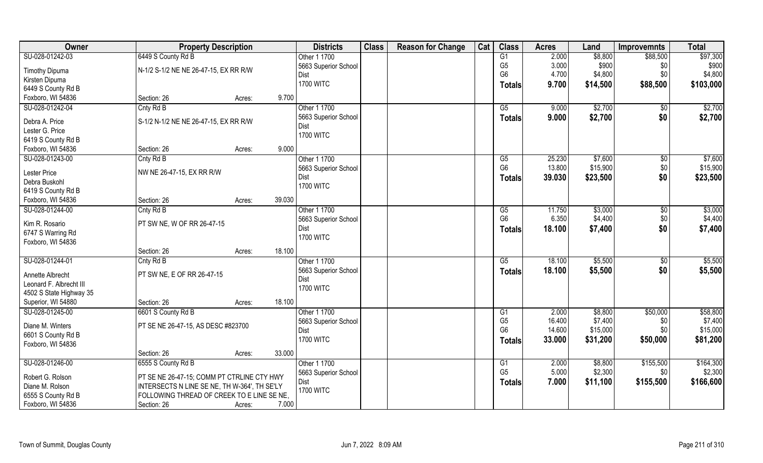| Owner                   | <b>Property Description</b>                                                                |        |        | <b>Districts</b>         | <b>Class</b> | <b>Reason for Change</b> | Cat | <b>Class</b>           | <b>Acres</b> | Land     | <b>Improvemnts</b> | <b>Total</b> |
|-------------------------|--------------------------------------------------------------------------------------------|--------|--------|--------------------------|--------------|--------------------------|-----|------------------------|--------------|----------|--------------------|--------------|
| SU-028-01242-03         | 6449 S County Rd B                                                                         |        |        | Other 1 1700             |              |                          |     | G1                     | 2.000        | \$8,800  | \$88,500           | \$97,300     |
| <b>Timothy Dipuma</b>   | N-1/2 S-1/2 NE NE 26-47-15, EX RR R/W                                                      |        |        | 5663 Superior School     |              |                          |     | G <sub>5</sub>         | 3.000        | \$900    | \$0                | \$900        |
| Kirsten Dipuma          |                                                                                            |        |        | Dist                     |              |                          |     | G <sub>6</sub>         | 4.700        | \$4,800  | \$0                | \$4,800      |
| 6449 S County Rd B      |                                                                                            |        |        | <b>1700 WITC</b>         |              |                          |     | <b>Totals</b>          | 9.700        | \$14,500 | \$88,500           | \$103,000    |
| Foxboro, WI 54836       | Section: 26                                                                                | Acres: | 9.700  |                          |              |                          |     |                        |              |          |                    |              |
| SU-028-01242-04         | Cnty Rd B                                                                                  |        |        | Other 1 1700             |              |                          |     | G5                     | 9.000        | \$2,700  | $\sqrt{6}$         | \$2,700      |
|                         |                                                                                            |        |        | 5663 Superior School     |              |                          |     | <b>Totals</b>          | 9.000        | \$2,700  | \$0                | \$2,700      |
| Debra A. Price          | S-1/2 N-1/2 NE NE 26-47-15, EX RR R/W                                                      |        |        | Dist                     |              |                          |     |                        |              |          |                    |              |
| Lester G. Price         |                                                                                            |        |        | <b>1700 WITC</b>         |              |                          |     |                        |              |          |                    |              |
| 6419 S County Rd B      |                                                                                            |        |        |                          |              |                          |     |                        |              |          |                    |              |
| Foxboro, WI 54836       | Section: 26                                                                                | Acres: | 9.000  |                          |              |                          |     |                        |              |          |                    |              |
| SU-028-01243-00         | Cnty Rd B                                                                                  |        |        | Other 1 1700             |              |                          |     | G5<br>G <sub>6</sub>   | 25.230       | \$7,600  | \$0                | \$7,600      |
| Lester Price            | NW NE 26-47-15, EX RR R/W                                                                  |        |        | 5663 Superior School     |              |                          |     |                        | 13.800       | \$15,900 | \$0                | \$15,900     |
| Debra Buskohl           |                                                                                            |        |        | Dist<br><b>1700 WITC</b> |              |                          |     | <b>Totals</b>          | 39.030       | \$23,500 | \$0                | \$23,500     |
| 6419 S County Rd B      |                                                                                            |        |        |                          |              |                          |     |                        |              |          |                    |              |
| Foxboro, WI 54836       | Section: 26                                                                                | Acres: | 39.030 |                          |              |                          |     |                        |              |          |                    |              |
| SU-028-01244-00         | Cnty Rd B                                                                                  |        |        | Other 1 1700             |              |                          |     | G5                     | 11.750       | \$3,000  | $\frac{1}{20}$     | \$3,000      |
| Kim R. Rosario          | PT SW NE, W OF RR 26-47-15                                                                 |        |        | 5663 Superior School     |              |                          |     | G <sub>6</sub>         | 6.350        | \$4,400  | \$0                | \$4,400      |
| 6747 S Warring Rd       |                                                                                            |        |        | Dist                     |              |                          |     | <b>Totals</b>          | 18.100       | \$7,400  | \$0                | \$7,400      |
| Foxboro, WI 54836       |                                                                                            |        |        | <b>1700 WITC</b>         |              |                          |     |                        |              |          |                    |              |
|                         | Section: 26                                                                                | Acres: | 18.100 |                          |              |                          |     |                        |              |          |                    |              |
| SU-028-01244-01         | Cnty Rd B                                                                                  |        |        | Other 1 1700             |              |                          |     | $\overline{\text{G5}}$ | 18.100       | \$5,500  | $\overline{50}$    | \$5,500      |
|                         |                                                                                            |        |        | 5663 Superior School     |              |                          |     | <b>Totals</b>          | 18.100       | \$5,500  | \$0                | \$5,500      |
| Annette Albrecht        | PT SW NE, E OF RR 26-47-15                                                                 |        |        | Dist                     |              |                          |     |                        |              |          |                    |              |
| Leonard F. Albrecht III |                                                                                            |        |        | <b>1700 WITC</b>         |              |                          |     |                        |              |          |                    |              |
| 4502 S State Highway 35 |                                                                                            |        |        |                          |              |                          |     |                        |              |          |                    |              |
| Superior, WI 54880      | Section: 26                                                                                | Acres: | 18.100 |                          |              |                          |     |                        |              |          |                    |              |
| SU-028-01245-00         | 6601 S County Rd B                                                                         |        |        | Other 1 1700             |              |                          |     | G1                     | 2.000        | \$8,800  | \$50,000           | \$58,800     |
| Diane M. Winters        | PT SE NE 26-47-15, AS DESC #823700                                                         |        |        | 5663 Superior School     |              |                          |     | G <sub>5</sub>         | 16.400       | \$7,400  | \$0                | \$7,400      |
| 6601 S County Rd B      |                                                                                            |        |        | Dist                     |              |                          |     | G <sub>6</sub>         | 14.600       | \$15,000 | \$0                | \$15,000     |
| Foxboro, WI 54836       |                                                                                            |        |        | <b>1700 WITC</b>         |              |                          |     | Totals                 | 33.000       | \$31,200 | \$50,000           | \$81,200     |
|                         | Section: 26                                                                                | Acres: | 33.000 |                          |              |                          |     |                        |              |          |                    |              |
| SU-028-01246-00         | 6555 S County Rd B                                                                         |        |        | Other 1 1700             |              |                          |     | G <sub>1</sub>         | 2.000        | \$8,800  | \$155,500          | \$164,300    |
| Robert G. Rolson        |                                                                                            |        |        | 5663 Superior School     |              |                          |     | G <sub>5</sub>         | 5.000        | \$2,300  | \$0                | \$2,300      |
| Diane M. Rolson         | PT SE NE 26-47-15; COMM PT CTRLINE CTY HWY<br>INTERSECTS N LINE SE NE, TH W-364', TH SE'LY |        |        | Dist                     |              |                          |     | <b>Totals</b>          | 7.000        | \$11,100 | \$155,500          | \$166,600    |
| 6555 S County Rd B      | FOLLOWING THREAD OF CREEK TO E LINE SE NE,                                                 |        |        | <b>1700 WITC</b>         |              |                          |     |                        |              |          |                    |              |
| Foxboro, WI 54836       | Section: 26                                                                                | Acres: | 7.000  |                          |              |                          |     |                        |              |          |                    |              |
|                         |                                                                                            |        |        |                          |              |                          |     |                        |              |          |                    |              |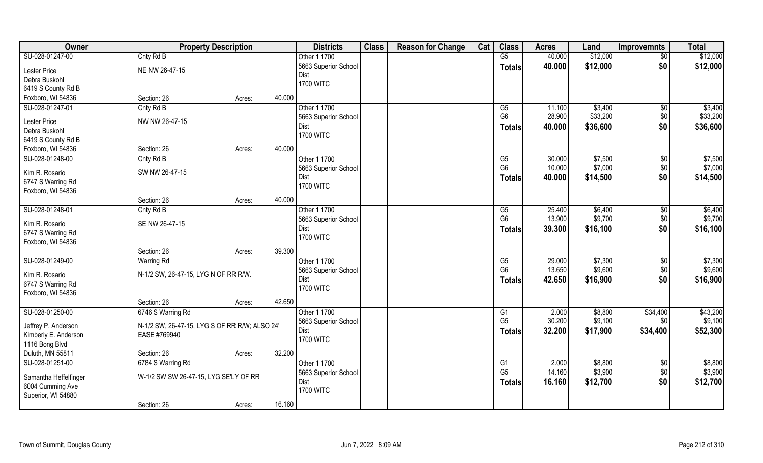| SU-028-01247-00<br>Cnty Rd B<br>G5<br>40.000<br>Other 1 1700<br>$\overline{50}$<br>\$12,000<br>\$0<br>\$12,000<br>5663 Superior School<br>40.000<br><b>Totals</b><br>NE NW 26-47-15<br>Lester Price<br>Dist<br>Debra Buskohl<br><b>1700 WITC</b><br>6419 S County Rd B<br>40.000<br>Section: 26<br>Acres:<br>Cnty Rd B<br>Other 1 1700<br>\$3,400<br>11.100<br>\$0<br>\$3,400<br>G5<br>\$33,200<br>G <sub>6</sub><br>\$0<br>\$33,200<br>28.900<br>5663 Superior School<br>NW NW 26-47-15<br>Lester Price<br>\$0<br>40.000<br>\$36,600<br>\$36,600<br>Dist<br><b>Totals</b><br>Debra Buskohl<br><b>1700 WITC</b><br>6419 S County Rd B<br>40.000<br>Foxboro, WI 54836<br>Section: 26<br>Acres:<br>SU-028-01248-00<br>\$7,500<br>\$7,500<br>Cnty Rd B<br>Other 1 1700<br>G5<br>30.000<br>$\sqrt[6]{3}$<br>G <sub>6</sub><br>\$7,000<br>\$0<br>\$7,000<br>10.000<br>5663 Superior School<br>Kim R. Rosario<br>SW NW 26-47-15<br>\$14,500<br>\$0<br>\$14,500<br>Dist<br>40.000<br><b>Totals</b><br>6747 S Warring Rd<br><b>1700 WITC</b><br>Foxboro, WI 54836<br>40.000<br>Section: 26<br>Acres:<br>SU-028-01248-01<br>Other 1 1700<br>\$6,400<br>\$6,400<br>Cnty Rd B<br>25.400<br>G5<br>\$0<br>\$9,700<br>G <sub>6</sub><br>13.900<br>\$9,700<br>\$0<br>5663 Superior School<br>SE NW 26-47-15<br>Kim R. Rosario<br>\$0<br>\$16,100<br>39.300<br>\$16,100<br>Dist<br><b>Totals</b><br>6747 S Warring Rd<br><b>1700 WITC</b><br>Foxboro, WI 54836<br>39.300<br>Section: 26<br>Acres:<br>29.000<br>\$7,300<br>SU-028-01249-00<br>\$7,300<br><b>Warring Rd</b><br>Other 1 1700<br>G5<br>$\sqrt[6]{30}$<br>G <sub>6</sub><br>\$9,600<br>\$9,600<br>13.650<br>\$0<br>5663 Superior School<br>Kim R. Rosario<br>N-1/2 SW, 26-47-15, LYG N OF RR R/W.<br>\$0<br>\$16,900<br>42.650<br>\$16,900<br>Dist<br>Totals<br><b>1700 WITC</b><br>Foxboro, WI 54836<br>42.650<br>Section: 26<br>Acres:<br>SU-028-01250-00<br>Other 1 1700<br>\$8,800<br>\$43,200<br>6746 S Warring Rd<br>2.000<br>\$34,400<br>G1<br>G <sub>5</sub><br>30.200<br>\$9,100<br>\$0<br>5663 Superior School<br>Jeffrey P. Anderson<br>N-1/2 SW, 26-47-15, LYG S OF RR R/W; ALSO 24'<br>\$34,400<br>32.200<br>\$17,900<br>\$52,300<br>Dist<br><b>Totals</b><br>Kimberly E. Anderson<br>EASE #769940<br><b>1700 WITC</b><br>1116 Bong Blvd<br>32.200<br>Duluth, MN 55811<br>Section: 26<br>Acres:<br>SU-028-01251-00<br>6784 S Warring Rd<br>Other 1 1700<br>\$8,800<br>\$8,800<br>G1<br>2.000<br>$\sqrt{$0}$<br>G <sub>5</sub><br>\$3,900<br>14.160<br>\$3,900<br>\$0<br>5663 Superior School<br>W-1/2 SW SW 26-47-15, LYG SE'LY OF RR<br>Samantha Heffelfinger<br>\$0<br>\$12,700<br>Dist<br>16.160<br>\$12,700<br><b>Totals</b><br>6004 Cumming Ave<br><b>1700 WITC</b><br>Superior, WI 54880 | Owner             | <b>Property Description</b> |        |        | <b>Districts</b> | <b>Class</b> | <b>Reason for Change</b> | Cat | <b>Class</b> | <b>Acres</b> | Land     | <b>Improvemnts</b> | <b>Total</b> |
|--------------------------------------------------------------------------------------------------------------------------------------------------------------------------------------------------------------------------------------------------------------------------------------------------------------------------------------------------------------------------------------------------------------------------------------------------------------------------------------------------------------------------------------------------------------------------------------------------------------------------------------------------------------------------------------------------------------------------------------------------------------------------------------------------------------------------------------------------------------------------------------------------------------------------------------------------------------------------------------------------------------------------------------------------------------------------------------------------------------------------------------------------------------------------------------------------------------------------------------------------------------------------------------------------------------------------------------------------------------------------------------------------------------------------------------------------------------------------------------------------------------------------------------------------------------------------------------------------------------------------------------------------------------------------------------------------------------------------------------------------------------------------------------------------------------------------------------------------------------------------------------------------------------------------------------------------------------------------------------------------------------------------------------------------------------------------------------------------------------------------------------------------------------------------------------------------------------------------------------------------------------------------------------------------------------------------------------------------------------------------------------------------------------------------------------------------------------------------------------------------------------------------------------------------------------------------------------------------------------------------------------------------------------------------------------------------------------------------------------------------------|-------------------|-----------------------------|--------|--------|------------------|--------------|--------------------------|-----|--------------|--------------|----------|--------------------|--------------|
|                                                                                                                                                                                                                                                                                                                                                                                                                                                                                                                                                                                                                                                                                                                                                                                                                                                                                                                                                                                                                                                                                                                                                                                                                                                                                                                                                                                                                                                                                                                                                                                                                                                                                                                                                                                                                                                                                                                                                                                                                                                                                                                                                                                                                                                                                                                                                                                                                                                                                                                                                                                                                                                                                                                                                        |                   |                             |        |        |                  |              |                          |     |              |              | \$12,000 |                    | \$12,000     |
| \$9,100                                                                                                                                                                                                                                                                                                                                                                                                                                                                                                                                                                                                                                                                                                                                                                                                                                                                                                                                                                                                                                                                                                                                                                                                                                                                                                                                                                                                                                                                                                                                                                                                                                                                                                                                                                                                                                                                                                                                                                                                                                                                                                                                                                                                                                                                                                                                                                                                                                                                                                                                                                                                                                                                                                                                                |                   |                             |        |        |                  |              |                          |     |              |              |          |                    |              |
|                                                                                                                                                                                                                                                                                                                                                                                                                                                                                                                                                                                                                                                                                                                                                                                                                                                                                                                                                                                                                                                                                                                                                                                                                                                                                                                                                                                                                                                                                                                                                                                                                                                                                                                                                                                                                                                                                                                                                                                                                                                                                                                                                                                                                                                                                                                                                                                                                                                                                                                                                                                                                                                                                                                                                        |                   |                             |        |        |                  |              |                          |     |              |              |          |                    |              |
|                                                                                                                                                                                                                                                                                                                                                                                                                                                                                                                                                                                                                                                                                                                                                                                                                                                                                                                                                                                                                                                                                                                                                                                                                                                                                                                                                                                                                                                                                                                                                                                                                                                                                                                                                                                                                                                                                                                                                                                                                                                                                                                                                                                                                                                                                                                                                                                                                                                                                                                                                                                                                                                                                                                                                        |                   |                             |        |        |                  |              |                          |     |              |              |          |                    |              |
|                                                                                                                                                                                                                                                                                                                                                                                                                                                                                                                                                                                                                                                                                                                                                                                                                                                                                                                                                                                                                                                                                                                                                                                                                                                                                                                                                                                                                                                                                                                                                                                                                                                                                                                                                                                                                                                                                                                                                                                                                                                                                                                                                                                                                                                                                                                                                                                                                                                                                                                                                                                                                                                                                                                                                        | Foxboro, WI 54836 |                             |        |        |                  |              |                          |     |              |              |          |                    |              |
|                                                                                                                                                                                                                                                                                                                                                                                                                                                                                                                                                                                                                                                                                                                                                                                                                                                                                                                                                                                                                                                                                                                                                                                                                                                                                                                                                                                                                                                                                                                                                                                                                                                                                                                                                                                                                                                                                                                                                                                                                                                                                                                                                                                                                                                                                                                                                                                                                                                                                                                                                                                                                                                                                                                                                        | SU-028-01247-01   |                             |        |        |                  |              |                          |     |              |              |          |                    |              |
|                                                                                                                                                                                                                                                                                                                                                                                                                                                                                                                                                                                                                                                                                                                                                                                                                                                                                                                                                                                                                                                                                                                                                                                                                                                                                                                                                                                                                                                                                                                                                                                                                                                                                                                                                                                                                                                                                                                                                                                                                                                                                                                                                                                                                                                                                                                                                                                                                                                                                                                                                                                                                                                                                                                                                        |                   |                             |        |        |                  |              |                          |     |              |              |          |                    |              |
|                                                                                                                                                                                                                                                                                                                                                                                                                                                                                                                                                                                                                                                                                                                                                                                                                                                                                                                                                                                                                                                                                                                                                                                                                                                                                                                                                                                                                                                                                                                                                                                                                                                                                                                                                                                                                                                                                                                                                                                                                                                                                                                                                                                                                                                                                                                                                                                                                                                                                                                                                                                                                                                                                                                                                        |                   |                             |        |        |                  |              |                          |     |              |              |          |                    |              |
|                                                                                                                                                                                                                                                                                                                                                                                                                                                                                                                                                                                                                                                                                                                                                                                                                                                                                                                                                                                                                                                                                                                                                                                                                                                                                                                                                                                                                                                                                                                                                                                                                                                                                                                                                                                                                                                                                                                                                                                                                                                                                                                                                                                                                                                                                                                                                                                                                                                                                                                                                                                                                                                                                                                                                        |                   |                             |        |        |                  |              |                          |     |              |              |          |                    |              |
|                                                                                                                                                                                                                                                                                                                                                                                                                                                                                                                                                                                                                                                                                                                                                                                                                                                                                                                                                                                                                                                                                                                                                                                                                                                                                                                                                                                                                                                                                                                                                                                                                                                                                                                                                                                                                                                                                                                                                                                                                                                                                                                                                                                                                                                                                                                                                                                                                                                                                                                                                                                                                                                                                                                                                        |                   |                             |        |        |                  |              |                          |     |              |              |          |                    |              |
|                                                                                                                                                                                                                                                                                                                                                                                                                                                                                                                                                                                                                                                                                                                                                                                                                                                                                                                                                                                                                                                                                                                                                                                                                                                                                                                                                                                                                                                                                                                                                                                                                                                                                                                                                                                                                                                                                                                                                                                                                                                                                                                                                                                                                                                                                                                                                                                                                                                                                                                                                                                                                                                                                                                                                        |                   |                             |        |        |                  |              |                          |     |              |              |          |                    |              |
|                                                                                                                                                                                                                                                                                                                                                                                                                                                                                                                                                                                                                                                                                                                                                                                                                                                                                                                                                                                                                                                                                                                                                                                                                                                                                                                                                                                                                                                                                                                                                                                                                                                                                                                                                                                                                                                                                                                                                                                                                                                                                                                                                                                                                                                                                                                                                                                                                                                                                                                                                                                                                                                                                                                                                        |                   |                             |        |        |                  |              |                          |     |              |              |          |                    |              |
|                                                                                                                                                                                                                                                                                                                                                                                                                                                                                                                                                                                                                                                                                                                                                                                                                                                                                                                                                                                                                                                                                                                                                                                                                                                                                                                                                                                                                                                                                                                                                                                                                                                                                                                                                                                                                                                                                                                                                                                                                                                                                                                                                                                                                                                                                                                                                                                                                                                                                                                                                                                                                                                                                                                                                        |                   |                             |        |        |                  |              |                          |     |              |              |          |                    |              |
|                                                                                                                                                                                                                                                                                                                                                                                                                                                                                                                                                                                                                                                                                                                                                                                                                                                                                                                                                                                                                                                                                                                                                                                                                                                                                                                                                                                                                                                                                                                                                                                                                                                                                                                                                                                                                                                                                                                                                                                                                                                                                                                                                                                                                                                                                                                                                                                                                                                                                                                                                                                                                                                                                                                                                        |                   |                             |        |        |                  |              |                          |     |              |              |          |                    |              |
|                                                                                                                                                                                                                                                                                                                                                                                                                                                                                                                                                                                                                                                                                                                                                                                                                                                                                                                                                                                                                                                                                                                                                                                                                                                                                                                                                                                                                                                                                                                                                                                                                                                                                                                                                                                                                                                                                                                                                                                                                                                                                                                                                                                                                                                                                                                                                                                                                                                                                                                                                                                                                                                                                                                                                        |                   |                             |        |        |                  |              |                          |     |              |              |          |                    |              |
|                                                                                                                                                                                                                                                                                                                                                                                                                                                                                                                                                                                                                                                                                                                                                                                                                                                                                                                                                                                                                                                                                                                                                                                                                                                                                                                                                                                                                                                                                                                                                                                                                                                                                                                                                                                                                                                                                                                                                                                                                                                                                                                                                                                                                                                                                                                                                                                                                                                                                                                                                                                                                                                                                                                                                        |                   |                             |        |        |                  |              |                          |     |              |              |          |                    |              |
|                                                                                                                                                                                                                                                                                                                                                                                                                                                                                                                                                                                                                                                                                                                                                                                                                                                                                                                                                                                                                                                                                                                                                                                                                                                                                                                                                                                                                                                                                                                                                                                                                                                                                                                                                                                                                                                                                                                                                                                                                                                                                                                                                                                                                                                                                                                                                                                                                                                                                                                                                                                                                                                                                                                                                        |                   |                             |        |        |                  |              |                          |     |              |              |          |                    |              |
|                                                                                                                                                                                                                                                                                                                                                                                                                                                                                                                                                                                                                                                                                                                                                                                                                                                                                                                                                                                                                                                                                                                                                                                                                                                                                                                                                                                                                                                                                                                                                                                                                                                                                                                                                                                                                                                                                                                                                                                                                                                                                                                                                                                                                                                                                                                                                                                                                                                                                                                                                                                                                                                                                                                                                        |                   |                             |        |        |                  |              |                          |     |              |              |          |                    |              |
|                                                                                                                                                                                                                                                                                                                                                                                                                                                                                                                                                                                                                                                                                                                                                                                                                                                                                                                                                                                                                                                                                                                                                                                                                                                                                                                                                                                                                                                                                                                                                                                                                                                                                                                                                                                                                                                                                                                                                                                                                                                                                                                                                                                                                                                                                                                                                                                                                                                                                                                                                                                                                                                                                                                                                        |                   |                             |        |        |                  |              |                          |     |              |              |          |                    |              |
|                                                                                                                                                                                                                                                                                                                                                                                                                                                                                                                                                                                                                                                                                                                                                                                                                                                                                                                                                                                                                                                                                                                                                                                                                                                                                                                                                                                                                                                                                                                                                                                                                                                                                                                                                                                                                                                                                                                                                                                                                                                                                                                                                                                                                                                                                                                                                                                                                                                                                                                                                                                                                                                                                                                                                        |                   |                             |        |        |                  |              |                          |     |              |              |          |                    |              |
|                                                                                                                                                                                                                                                                                                                                                                                                                                                                                                                                                                                                                                                                                                                                                                                                                                                                                                                                                                                                                                                                                                                                                                                                                                                                                                                                                                                                                                                                                                                                                                                                                                                                                                                                                                                                                                                                                                                                                                                                                                                                                                                                                                                                                                                                                                                                                                                                                                                                                                                                                                                                                                                                                                                                                        |                   |                             |        |        |                  |              |                          |     |              |              |          |                    |              |
|                                                                                                                                                                                                                                                                                                                                                                                                                                                                                                                                                                                                                                                                                                                                                                                                                                                                                                                                                                                                                                                                                                                                                                                                                                                                                                                                                                                                                                                                                                                                                                                                                                                                                                                                                                                                                                                                                                                                                                                                                                                                                                                                                                                                                                                                                                                                                                                                                                                                                                                                                                                                                                                                                                                                                        |                   |                             |        |        |                  |              |                          |     |              |              |          |                    |              |
|                                                                                                                                                                                                                                                                                                                                                                                                                                                                                                                                                                                                                                                                                                                                                                                                                                                                                                                                                                                                                                                                                                                                                                                                                                                                                                                                                                                                                                                                                                                                                                                                                                                                                                                                                                                                                                                                                                                                                                                                                                                                                                                                                                                                                                                                                                                                                                                                                                                                                                                                                                                                                                                                                                                                                        |                   |                             |        |        |                  |              |                          |     |              |              |          |                    |              |
|                                                                                                                                                                                                                                                                                                                                                                                                                                                                                                                                                                                                                                                                                                                                                                                                                                                                                                                                                                                                                                                                                                                                                                                                                                                                                                                                                                                                                                                                                                                                                                                                                                                                                                                                                                                                                                                                                                                                                                                                                                                                                                                                                                                                                                                                                                                                                                                                                                                                                                                                                                                                                                                                                                                                                        | 6747 S Warring Rd |                             |        |        |                  |              |                          |     |              |              |          |                    |              |
|                                                                                                                                                                                                                                                                                                                                                                                                                                                                                                                                                                                                                                                                                                                                                                                                                                                                                                                                                                                                                                                                                                                                                                                                                                                                                                                                                                                                                                                                                                                                                                                                                                                                                                                                                                                                                                                                                                                                                                                                                                                                                                                                                                                                                                                                                                                                                                                                                                                                                                                                                                                                                                                                                                                                                        |                   |                             |        |        |                  |              |                          |     |              |              |          |                    |              |
|                                                                                                                                                                                                                                                                                                                                                                                                                                                                                                                                                                                                                                                                                                                                                                                                                                                                                                                                                                                                                                                                                                                                                                                                                                                                                                                                                                                                                                                                                                                                                                                                                                                                                                                                                                                                                                                                                                                                                                                                                                                                                                                                                                                                                                                                                                                                                                                                                                                                                                                                                                                                                                                                                                                                                        |                   |                             |        |        |                  |              |                          |     |              |              |          |                    |              |
|                                                                                                                                                                                                                                                                                                                                                                                                                                                                                                                                                                                                                                                                                                                                                                                                                                                                                                                                                                                                                                                                                                                                                                                                                                                                                                                                                                                                                                                                                                                                                                                                                                                                                                                                                                                                                                                                                                                                                                                                                                                                                                                                                                                                                                                                                                                                                                                                                                                                                                                                                                                                                                                                                                                                                        |                   |                             |        |        |                  |              |                          |     |              |              |          |                    |              |
|                                                                                                                                                                                                                                                                                                                                                                                                                                                                                                                                                                                                                                                                                                                                                                                                                                                                                                                                                                                                                                                                                                                                                                                                                                                                                                                                                                                                                                                                                                                                                                                                                                                                                                                                                                                                                                                                                                                                                                                                                                                                                                                                                                                                                                                                                                                                                                                                                                                                                                                                                                                                                                                                                                                                                        |                   |                             |        |        |                  |              |                          |     |              |              |          |                    |              |
|                                                                                                                                                                                                                                                                                                                                                                                                                                                                                                                                                                                                                                                                                                                                                                                                                                                                                                                                                                                                                                                                                                                                                                                                                                                                                                                                                                                                                                                                                                                                                                                                                                                                                                                                                                                                                                                                                                                                                                                                                                                                                                                                                                                                                                                                                                                                                                                                                                                                                                                                                                                                                                                                                                                                                        |                   |                             |        |        |                  |              |                          |     |              |              |          |                    |              |
|                                                                                                                                                                                                                                                                                                                                                                                                                                                                                                                                                                                                                                                                                                                                                                                                                                                                                                                                                                                                                                                                                                                                                                                                                                                                                                                                                                                                                                                                                                                                                                                                                                                                                                                                                                                                                                                                                                                                                                                                                                                                                                                                                                                                                                                                                                                                                                                                                                                                                                                                                                                                                                                                                                                                                        |                   |                             |        |        |                  |              |                          |     |              |              |          |                    |              |
|                                                                                                                                                                                                                                                                                                                                                                                                                                                                                                                                                                                                                                                                                                                                                                                                                                                                                                                                                                                                                                                                                                                                                                                                                                                                                                                                                                                                                                                                                                                                                                                                                                                                                                                                                                                                                                                                                                                                                                                                                                                                                                                                                                                                                                                                                                                                                                                                                                                                                                                                                                                                                                                                                                                                                        |                   |                             |        |        |                  |              |                          |     |              |              |          |                    |              |
|                                                                                                                                                                                                                                                                                                                                                                                                                                                                                                                                                                                                                                                                                                                                                                                                                                                                                                                                                                                                                                                                                                                                                                                                                                                                                                                                                                                                                                                                                                                                                                                                                                                                                                                                                                                                                                                                                                                                                                                                                                                                                                                                                                                                                                                                                                                                                                                                                                                                                                                                                                                                                                                                                                                                                        |                   |                             |        |        |                  |              |                          |     |              |              |          |                    |              |
|                                                                                                                                                                                                                                                                                                                                                                                                                                                                                                                                                                                                                                                                                                                                                                                                                                                                                                                                                                                                                                                                                                                                                                                                                                                                                                                                                                                                                                                                                                                                                                                                                                                                                                                                                                                                                                                                                                                                                                                                                                                                                                                                                                                                                                                                                                                                                                                                                                                                                                                                                                                                                                                                                                                                                        |                   |                             |        |        |                  |              |                          |     |              |              |          |                    |              |
|                                                                                                                                                                                                                                                                                                                                                                                                                                                                                                                                                                                                                                                                                                                                                                                                                                                                                                                                                                                                                                                                                                                                                                                                                                                                                                                                                                                                                                                                                                                                                                                                                                                                                                                                                                                                                                                                                                                                                                                                                                                                                                                                                                                                                                                                                                                                                                                                                                                                                                                                                                                                                                                                                                                                                        |                   |                             |        |        |                  |              |                          |     |              |              |          |                    |              |
|                                                                                                                                                                                                                                                                                                                                                                                                                                                                                                                                                                                                                                                                                                                                                                                                                                                                                                                                                                                                                                                                                                                                                                                                                                                                                                                                                                                                                                                                                                                                                                                                                                                                                                                                                                                                                                                                                                                                                                                                                                                                                                                                                                                                                                                                                                                                                                                                                                                                                                                                                                                                                                                                                                                                                        |                   |                             |        |        |                  |              |                          |     |              |              |          |                    |              |
|                                                                                                                                                                                                                                                                                                                                                                                                                                                                                                                                                                                                                                                                                                                                                                                                                                                                                                                                                                                                                                                                                                                                                                                                                                                                                                                                                                                                                                                                                                                                                                                                                                                                                                                                                                                                                                                                                                                                                                                                                                                                                                                                                                                                                                                                                                                                                                                                                                                                                                                                                                                                                                                                                                                                                        |                   | Section: 26                 | Acres: | 16.160 |                  |              |                          |     |              |              |          |                    |              |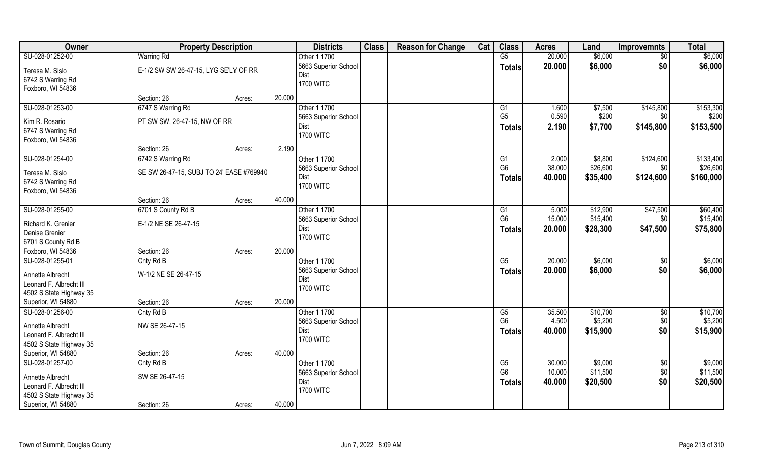| Owner                                         | <b>Property Description</b>              |        |        | <b>Districts</b>         | <b>Class</b> | <b>Reason for Change</b> | Cat | <b>Class</b>           | <b>Acres</b> | Land     | <b>Improvemnts</b> | <b>Total</b> |
|-----------------------------------------------|------------------------------------------|--------|--------|--------------------------|--------------|--------------------------|-----|------------------------|--------------|----------|--------------------|--------------|
| SU-028-01252-00                               | <b>Warring Rd</b>                        |        |        | Other 1 1700             |              |                          |     | $\overline{\text{G5}}$ | 20.000       | \$6,000  | $\sqrt{$0}$        | \$6,000      |
| Teresa M. Sislo                               | E-1/2 SW SW 26-47-15, LYG SE'LY OF RR    |        |        | 5663 Superior School     |              |                          |     | Totals                 | 20.000       | \$6,000  | \$0                | \$6,000      |
| 6742 S Warring Rd                             |                                          |        |        | Dist                     |              |                          |     |                        |              |          |                    |              |
| Foxboro, WI 54836                             |                                          |        |        | <b>1700 WITC</b>         |              |                          |     |                        |              |          |                    |              |
|                                               | Section: 26                              | Acres: | 20.000 |                          |              |                          |     |                        |              |          |                    |              |
| SU-028-01253-00                               | 6747 S Warring Rd                        |        |        | Other 1 1700             |              |                          |     | G1                     | 1.600        | \$7,500  | \$145,800          | \$153,300    |
| Kim R. Rosario                                | PT SW SW, 26-47-15, NW OF RR             |        |        | 5663 Superior School     |              |                          |     | G <sub>5</sub>         | 0.590        | \$200    | \$0                | \$200        |
| 6747 S Warring Rd                             |                                          |        |        | Dist                     |              |                          |     | Totals                 | 2.190        | \$7,700  | \$145,800          | \$153,500    |
| Foxboro, WI 54836                             |                                          |        |        | <b>1700 WITC</b>         |              |                          |     |                        |              |          |                    |              |
|                                               | Section: 26                              | Acres: | 2.190  |                          |              |                          |     |                        |              |          |                    |              |
| SU-028-01254-00                               | 6742 S Warring Rd                        |        |        | Other 1 1700             |              |                          |     | G1                     | 2.000        | \$8,800  | \$124,600          | \$133,400    |
|                                               |                                          |        |        | 5663 Superior School     |              |                          |     | G <sub>6</sub>         | 38.000       | \$26,600 | \$0                | \$26,600     |
| Teresa M. Sislo                               | SE SW 26-47-15, SUBJ TO 24' EASE #769940 |        |        | Dist                     |              |                          |     | <b>Totals</b>          | 40.000       | \$35,400 | \$124,600          | \$160,000    |
| 6742 S Warring Rd                             |                                          |        |        | <b>1700 WITC</b>         |              |                          |     |                        |              |          |                    |              |
| Foxboro, WI 54836                             |                                          |        |        |                          |              |                          |     |                        |              |          |                    |              |
|                                               | Section: 26                              | Acres: | 40.000 |                          |              |                          |     |                        |              |          |                    |              |
| SU-028-01255-00                               | 6701 S County Rd B                       |        |        | Other 1 1700             |              |                          |     | G1                     | 5.000        | \$12,900 | \$47,500           | \$60,400     |
| Richard K. Grenier                            | E-1/2 NE SE 26-47-15                     |        |        | 5663 Superior School     |              |                          |     | G <sub>6</sub>         | 15.000       | \$15,400 | \$0                | \$15,400     |
| Denise Grenier                                |                                          |        |        | Dist<br><b>1700 WITC</b> |              |                          |     | <b>Totals</b>          | 20.000       | \$28,300 | \$47,500           | \$75,800     |
| 6701 S County Rd B                            |                                          |        |        |                          |              |                          |     |                        |              |          |                    |              |
| Foxboro, WI 54836                             | Section: 26                              | Acres: | 20.000 |                          |              |                          |     |                        |              |          |                    |              |
| SU-028-01255-01                               | Cnty Rd B                                |        |        | Other 1 1700             |              |                          |     | $\overline{\text{G5}}$ | 20.000       | \$6,000  | $\sqrt[6]{3}$      | \$6,000      |
| Annette Albrecht                              | W-1/2 NE SE 26-47-15                     |        |        | 5663 Superior School     |              |                          |     | Totals                 | 20,000       | \$6,000  | \$0                | \$6,000      |
| Leonard F. Albrecht III                       |                                          |        |        | Dist                     |              |                          |     |                        |              |          |                    |              |
| 4502 S State Highway 35                       |                                          |        |        | <b>1700 WITC</b>         |              |                          |     |                        |              |          |                    |              |
| Superior, WI 54880                            | Section: 26                              | Acres: | 20.000 |                          |              |                          |     |                        |              |          |                    |              |
| SU-028-01256-00                               | Cnty Rd B                                |        |        | Other 1 1700             |              |                          |     | G5                     | 35.500       | \$10,700 | $\sqrt{$0}$        | \$10,700     |
|                                               |                                          |        |        | 5663 Superior School     |              |                          |     | G <sub>6</sub>         | 4.500        | \$5,200  | \$0                | \$5,200      |
| Annette Albrecht                              | NW SE 26-47-15                           |        |        | Dist                     |              |                          |     | <b>Totals</b>          | 40.000       | \$15,900 | \$0                | \$15,900     |
| Leonard F. Albrecht III                       |                                          |        |        | <b>1700 WITC</b>         |              |                          |     |                        |              |          |                    |              |
| 4502 S State Highway 35<br>Superior, WI 54880 | Section: 26                              | Acres: | 40.000 |                          |              |                          |     |                        |              |          |                    |              |
| SU-028-01257-00                               | Cnty Rd B                                |        |        | Other 1 1700             |              |                          |     | G5                     | 30.000       | \$9,000  | $\sqrt{$0}$        | \$9,000      |
|                                               |                                          |        |        | 5663 Superior School     |              |                          |     | G <sub>6</sub>         | 10.000       | \$11,500 | \$0                | \$11,500     |
| Annette Albrecht                              | SW SE 26-47-15                           |        |        | Dist                     |              |                          |     | <b>Totals</b>          | 40.000       | \$20,500 | \$0                | \$20,500     |
| Leonard F. Albrecht III                       |                                          |        |        | <b>1700 WITC</b>         |              |                          |     |                        |              |          |                    |              |
| 4502 S State Highway 35                       |                                          |        |        |                          |              |                          |     |                        |              |          |                    |              |
| Superior, WI 54880                            | Section: 26                              | Acres: | 40.000 |                          |              |                          |     |                        |              |          |                    |              |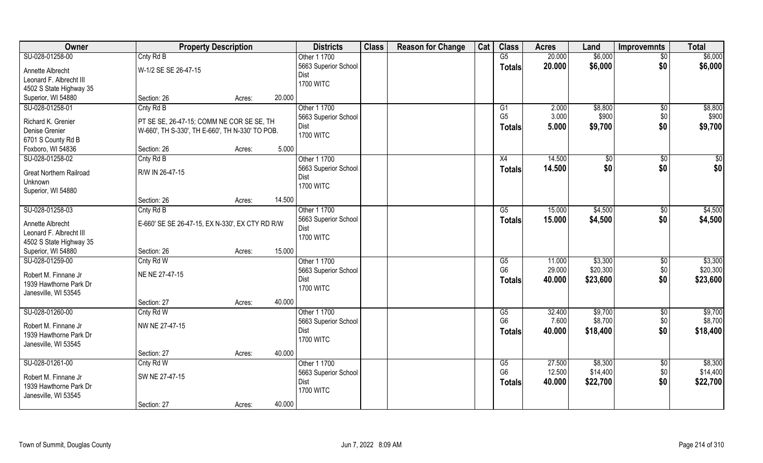| Owner                          | <b>Property Description</b>                     |                  | <b>Districts</b>     | <b>Class</b> | <b>Reason for Change</b> | Cat | <b>Class</b>           | <b>Acres</b> | Land          | <b>Improvemnts</b> | <b>Total</b> |
|--------------------------------|-------------------------------------------------|------------------|----------------------|--------------|--------------------------|-----|------------------------|--------------|---------------|--------------------|--------------|
| SU-028-01258-00                | Cnty Rd B                                       |                  | Other 1 1700         |              |                          |     | G5                     | 20.000       | \$6,000       | $\overline{50}$    | \$6,000      |
| Annette Albrecht               | W-1/2 SE SE 26-47-15                            |                  | 5663 Superior School |              |                          |     | <b>Totals</b>          | 20.000       | \$6,000       | \$0                | \$6,000      |
| Leonard F. Albrecht III        |                                                 |                  | Dist                 |              |                          |     |                        |              |               |                    |              |
| 4502 S State Highway 35        |                                                 |                  | <b>1700 WITC</b>     |              |                          |     |                        |              |               |                    |              |
| Superior, WI 54880             | Section: 26                                     | 20.000<br>Acres: |                      |              |                          |     |                        |              |               |                    |              |
| SU-028-01258-01                | Cnty Rd B                                       |                  | Other 1 1700         |              |                          |     | G1                     | 2.000        | \$8,800       | \$0                | \$8,800      |
|                                |                                                 |                  | 5663 Superior School |              |                          |     | G <sub>5</sub>         | 3.000        | \$900         | \$0                | \$900        |
| Richard K. Grenier             | PT SE SE, 26-47-15; COMM NE COR SE SE, TH       |                  | Dist                 |              |                          |     | Totals                 | 5.000        | \$9,700       | \$0                | \$9,700      |
| Denise Grenier                 | W-660', TH S-330', TH E-660', TH N-330' TO POB. |                  | <b>1700 WITC</b>     |              |                          |     |                        |              |               |                    |              |
| 6701 S County Rd B             |                                                 |                  |                      |              |                          |     |                        |              |               |                    |              |
| Foxboro, WI 54836              | Section: 26                                     | 5.000<br>Acres:  |                      |              |                          |     |                        |              |               |                    |              |
| SU-028-01258-02                | Cnty Rd B                                       |                  | Other 1 1700         |              |                          |     | X4                     | 14.500       | $\sqrt[6]{3}$ | $\sqrt[6]{30}$     | \$0          |
| <b>Great Northern Railroad</b> | R/W IN 26-47-15                                 |                  | 5663 Superior School |              |                          |     | <b>Totals</b>          | 14.500       | \$0           | \$0                | \$0          |
| Unknown                        |                                                 |                  | Dist                 |              |                          |     |                        |              |               |                    |              |
| Superior, WI 54880             |                                                 |                  | <b>1700 WITC</b>     |              |                          |     |                        |              |               |                    |              |
|                                | Section: 26                                     | 14.500<br>Acres: |                      |              |                          |     |                        |              |               |                    |              |
| SU-028-01258-03                | Cnty Rd B                                       |                  | Other 1 1700         |              |                          |     | G5                     | 15.000       | \$4,500       | \$0                | \$4,500      |
|                                |                                                 |                  | 5663 Superior School |              |                          |     | <b>Totals</b>          | 15.000       | \$4,500       | \$0                | \$4,500      |
| Annette Albrecht               | E-660' SE SE 26-47-15, EX N-330', EX CTY RD R/W |                  | Dist                 |              |                          |     |                        |              |               |                    |              |
| Leonard F. Albrecht III        |                                                 |                  | <b>1700 WITC</b>     |              |                          |     |                        |              |               |                    |              |
| 4502 S State Highway 35        |                                                 |                  |                      |              |                          |     |                        |              |               |                    |              |
| Superior, WI 54880             | Section: 26                                     | 15.000<br>Acres: |                      |              |                          |     |                        |              |               |                    |              |
| SU-028-01259-00                | Cnty Rd W                                       |                  | Other 1 1700         |              |                          |     | $\overline{\text{G5}}$ | 11.000       | \$3,300       | \$0                | \$3,300      |
| Robert M. Finnane Jr           | NE NE 27-47-15                                  |                  | 5663 Superior School |              |                          |     | G <sub>6</sub>         | 29.000       | \$20,300      | \$0                | \$20,300     |
| 1939 Hawthorne Park Dr         |                                                 |                  | Dist                 |              |                          |     | <b>Totals</b>          | 40.000       | \$23,600      | \$0                | \$23,600     |
| Janesville, WI 53545           |                                                 |                  | <b>1700 WITC</b>     |              |                          |     |                        |              |               |                    |              |
|                                | Section: 27                                     | 40.000<br>Acres: |                      |              |                          |     |                        |              |               |                    |              |
| SU-028-01260-00                | Cnty Rd W                                       |                  | Other 1 1700         |              |                          |     | G5                     | 32.400       | \$9,700       | \$0                | \$9,700      |
| Robert M. Finnane Jr           | NW NE 27-47-15                                  |                  | 5663 Superior School |              |                          |     | G <sub>6</sub>         | 7.600        | \$8,700       | \$0                | \$8,700      |
| 1939 Hawthorne Park Dr         |                                                 |                  | Dist                 |              |                          |     | <b>Totals</b>          | 40.000       | \$18,400      | \$0                | \$18,400     |
| Janesville, WI 53545           |                                                 |                  | <b>1700 WITC</b>     |              |                          |     |                        |              |               |                    |              |
|                                | Section: 27                                     | 40.000<br>Acres: |                      |              |                          |     |                        |              |               |                    |              |
| SU-028-01261-00                | Cnty Rd W                                       |                  | Other 1 1700         |              |                          |     | G5                     | 27.500       | \$8,300       | $\sqrt{$0}$        | \$8,300      |
|                                |                                                 |                  | 5663 Superior School |              |                          |     | G <sub>6</sub>         | 12.500       | \$14,400      | \$0                | \$14,400     |
| Robert M. Finnane Jr           | SW NE 27-47-15                                  |                  | Dist                 |              |                          |     |                        | 40.000       | \$22,700      | \$0                | \$22,700     |
| 1939 Hawthorne Park Dr         |                                                 |                  | <b>1700 WITC</b>     |              |                          |     | <b>Totals</b>          |              |               |                    |              |
| Janesville, WI 53545           |                                                 |                  |                      |              |                          |     |                        |              |               |                    |              |
|                                | Section: 27                                     | 40.000<br>Acres: |                      |              |                          |     |                        |              |               |                    |              |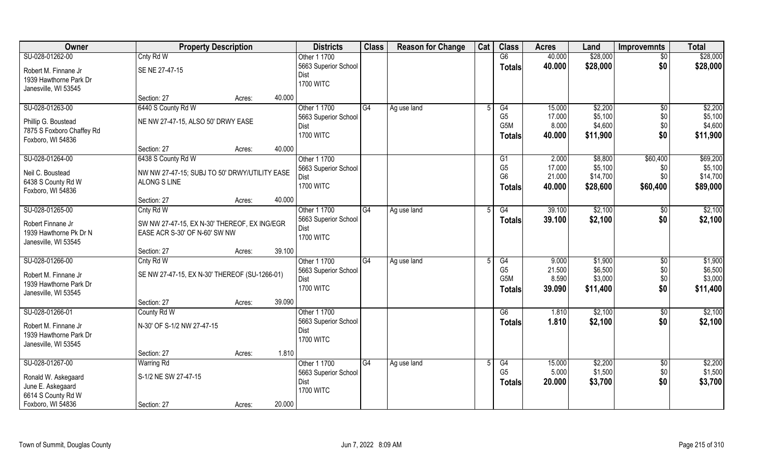| Owner                                                                                                  | <b>Property Description</b>                                                                               |                  | <b>Districts</b>                                                 | <b>Class</b>    | <b>Reason for Change</b> | Cat            | <b>Class</b>                                     | <b>Acres</b>                        | Land                                       | <b>Improvemnts</b>                   | <b>Total</b>                                |
|--------------------------------------------------------------------------------------------------------|-----------------------------------------------------------------------------------------------------------|------------------|------------------------------------------------------------------|-----------------|--------------------------|----------------|--------------------------------------------------|-------------------------------------|--------------------------------------------|--------------------------------------|---------------------------------------------|
| SU-028-01262-00                                                                                        | Cnty Rd W                                                                                                 |                  | Other 1 1700                                                     |                 |                          |                | G6                                               | 40.000                              | \$28,000                                   | $\overline{50}$                      | \$28,000                                    |
| Robert M. Finnane Jr<br>1939 Hawthorne Park Dr<br>Janesville, WI 53545                                 | SE NE 27-47-15                                                                                            |                  | 5663 Superior School<br>Dist<br><b>1700 WITC</b>                 |                 |                          |                | <b>Totals</b>                                    | 40.000                              | \$28,000                                   | \$0                                  | \$28,000                                    |
|                                                                                                        | Section: 27                                                                                               | 40.000<br>Acres: |                                                                  |                 |                          |                |                                                  |                                     |                                            |                                      |                                             |
| SU-028-01263-00<br>Phillip G. Boustead<br>7875 S Foxboro Chaffey Rd<br>Foxboro, WI 54836               | 6440 S County Rd W<br>NE NW 27-47-15, ALSO 50' DRWY EASE                                                  |                  | Other 1 1700<br>5663 Superior School<br>Dist<br><b>1700 WITC</b> | G4              | Ag use land              | $\overline{5}$ | G4<br>G <sub>5</sub><br>G5M<br><b>Totals</b>     | 15.000<br>17.000<br>8.000<br>40.000 | \$2,200<br>\$5,100<br>\$4,600<br>\$11,900  | \$0<br>\$0<br>\$0<br>\$0             | \$2,200<br>\$5,100<br>\$4,600<br>\$11,900   |
|                                                                                                        | Section: 27                                                                                               | 40.000<br>Acres: |                                                                  |                 |                          |                |                                                  |                                     |                                            |                                      |                                             |
| SU-028-01264-00<br>Neil C. Boustead<br>6438 S County Rd W<br>Foxboro, WI 54836                         | 6438 S County Rd W<br>NW NW 27-47-15; SUBJ TO 50' DRWY/UTILITY EASE<br><b>ALONG S LINE</b><br>Section: 27 | 40.000<br>Acres: | Other 1 1700<br>5663 Superior School<br>Dist<br><b>1700 WITC</b> |                 |                          |                | G1<br>G <sub>5</sub><br>G <sub>6</sub><br>Totals | 2.000<br>17.000<br>21.000<br>40.000 | \$8,800<br>\$5,100<br>\$14,700<br>\$28,600 | \$60,400<br>\$0<br>\$0<br>\$60,400   | \$69,200<br>\$5,100<br>\$14,700<br>\$89,000 |
| SU-028-01265-00                                                                                        | Cnty Rd W                                                                                                 |                  | Other 1 1700                                                     | G4              | Ag use land              | 5              | G4                                               | 39.100                              | \$2,100                                    | $\sqrt{50}$                          | \$2,100                                     |
| Robert Finnane Jr<br>1939 Hawthorne Pk Dr N<br>Janesville, WI 53545                                    | SW NW 27-47-15, EX N-30' THEREOF, EX ING/EGR<br>EASE ACR S-30' OF N-60' SW NW                             |                  | 5663 Superior School<br>Dist<br><b>1700 WITC</b>                 |                 |                          |                | <b>Totals</b>                                    | 39.100                              | \$2,100                                    | \$0                                  | \$2,100                                     |
|                                                                                                        | Section: 27                                                                                               | 39.100<br>Acres: |                                                                  |                 |                          |                |                                                  |                                     |                                            |                                      |                                             |
| SU-028-01266-00<br>Robert M. Finnane Jr<br>1939 Hawthorne Park Dr<br>Janesville, WI 53545              | Cnty Rd W<br>SE NW 27-47-15, EX N-30' THEREOF (SU-1266-01)                                                |                  | Other 1 1700<br>5663 Superior School<br>Dist<br><b>1700 WITC</b> | $\overline{G4}$ | Ag use land              | 5              | G4<br>G <sub>5</sub><br>G5M<br>Totals            | 9.000<br>21.500<br>8.590<br>39.090  | \$1,900<br>\$6,500<br>\$3,000<br>\$11,400  | $\overline{50}$<br>\$0<br>\$0<br>\$0 | \$1,900<br>\$6,500<br>\$3,000<br>\$11,400   |
|                                                                                                        | Section: 27                                                                                               | 39.090<br>Acres: |                                                                  |                 |                          |                |                                                  |                                     |                                            |                                      |                                             |
| SU-028-01266-01<br>Robert M. Finnane Jr<br>1939 Hawthorne Park Dr<br>Janesville, WI 53545              | County Rd W<br>N-30' OF S-1/2 NW 27-47-15                                                                 |                  | Other 1 1700<br>5663 Superior School<br>Dist<br><b>1700 WITC</b> |                 |                          |                | G6<br><b>Totals</b>                              | 1.810<br>1.810                      | \$2,100<br>\$2,100                         | \$0<br>\$0                           | \$2,100<br>\$2,100                          |
|                                                                                                        | Section: 27                                                                                               | 1.810<br>Acres:  |                                                                  |                 |                          |                |                                                  |                                     |                                            |                                      |                                             |
| SU-028-01267-00<br>Ronald W. Askegaard<br>June E. Askegaard<br>6614 S County Rd W<br>Foxboro, WI 54836 | <b>Warring Rd</b><br>S-1/2 NE SW 27-47-15<br>Section: 27                                                  | 20.000<br>Acres: | Other 1 1700<br>5663 Superior School<br>Dist<br><b>1700 WITC</b> | G4              | Ag use land              |                | G4<br>G <sub>5</sub><br><b>Totals</b>            | 15.000<br>5.000<br>20.000           | \$2,200<br>\$1,500<br>\$3,700              | \$0<br>\$0<br>\$0                    | \$2,200<br>\$1,500<br>\$3,700               |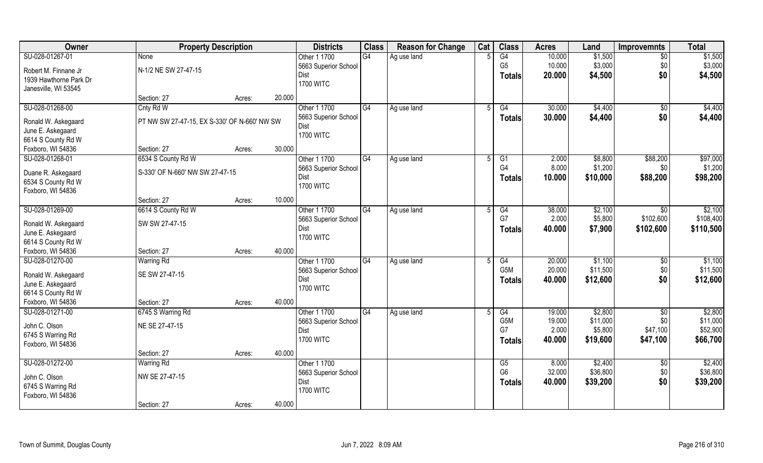| Owner                                    | <b>Property Description</b>                  |                  | <b>Districts</b>     | <b>Class</b>    | <b>Reason for Change</b> | Cat | <b>Class</b>     | <b>Acres</b> | Land     | <b>Improvemnts</b> | <b>Total</b> |
|------------------------------------------|----------------------------------------------|------------------|----------------------|-----------------|--------------------------|-----|------------------|--------------|----------|--------------------|--------------|
| SU-028-01267-01                          | None                                         |                  | Other 1 1700         | G4              | Ag use land              |     | G4               | 10.000       | \$1,500  | $\overline{50}$    | \$1,500      |
| Robert M. Finnane Jr                     | N-1/2 NE SW 27-47-15                         |                  | 5663 Superior School |                 |                          |     | G <sub>5</sub>   | 10.000       | \$3,000  | \$0                | \$3,000      |
| 1939 Hawthorne Park Dr                   |                                              |                  | Dist                 |                 |                          |     | <b>Totals</b>    | 20.000       | \$4,500  | \$0                | \$4,500      |
| Janesville, WI 53545                     |                                              |                  | <b>1700 WITC</b>     |                 |                          |     |                  |              |          |                    |              |
|                                          | Section: 27                                  | 20.000<br>Acres: |                      |                 |                          |     |                  |              |          |                    |              |
| SU-028-01268-00                          | Cnty Rd W                                    |                  | Other 1 1700         | G4              | Ag use land              |     | G4               | 30.000       | \$4,400  | $\sqrt{$0}$        | \$4,400      |
|                                          | PT NW SW 27-47-15, EX S-330' OF N-660' NW SW |                  | 5663 Superior School |                 |                          |     | <b>Totals</b>    | 30.000       | \$4,400  | \$0                | \$4,400      |
| Ronald W. Askegaard<br>June E. Askegaard |                                              |                  | Dist                 |                 |                          |     |                  |              |          |                    |              |
| 6614 S County Rd W                       |                                              |                  | <b>1700 WITC</b>     |                 |                          |     |                  |              |          |                    |              |
| Foxboro, WI 54836                        | Section: 27                                  | 30.000<br>Acres: |                      |                 |                          |     |                  |              |          |                    |              |
| SU-028-01268-01                          | 6534 S County Rd W                           |                  | Other 1 1700         | G4              | Ag use land              | .5  | G <sub>1</sub>   | 2.000        | \$8,800  | \$88,200           | \$97,000     |
|                                          |                                              |                  | 5663 Superior School |                 |                          |     | G4               | 8.000        | \$1,200  | \$0                | \$1,200      |
| Duane R. Askegaard                       | S-330' OF N-660' NW SW 27-47-15              |                  | Dist                 |                 |                          |     | <b>Totals</b>    | 10.000       | \$10,000 | \$88,200           | \$98,200     |
| 6534 S County Rd W                       |                                              |                  | <b>1700 WITC</b>     |                 |                          |     |                  |              |          |                    |              |
| Foxboro, WI 54836                        |                                              |                  |                      |                 |                          |     |                  |              |          |                    |              |
|                                          | Section: 27                                  | 10.000<br>Acres: |                      |                 |                          |     |                  |              |          |                    |              |
| SU-028-01269-00                          | 6614 S County Rd W                           |                  | Other 1 1700         | G4              | Ag use land              |     | G4               | 38.000       | \$2,100  | \$0                | \$2,100      |
| Ronald W. Askegaard                      | SW SW 27-47-15                               |                  | 5663 Superior School |                 |                          |     | G7               | 2.000        | \$5,800  | \$102,600          | \$108,400    |
| June E. Askegaard                        |                                              |                  | Dist                 |                 |                          |     | <b>Totals</b>    | 40.000       | \$7,900  | \$102,600          | \$110,500    |
| 6614 S County Rd W                       |                                              |                  | <b>1700 WITC</b>     |                 |                          |     |                  |              |          |                    |              |
| Foxboro, WI 54836                        | Section: 27                                  | 40.000<br>Acres: |                      |                 |                          |     |                  |              |          |                    |              |
| SU-028-01270-00                          | <b>Warring Rd</b>                            |                  | Other 1 1700         | $\overline{G4}$ | Ag use land              |     | $\overline{G4}$  | 20.000       | \$1,100  | $\overline{60}$    | \$1,100      |
| Ronald W. Askegaard                      | SE SW 27-47-15                               |                  | 5663 Superior School |                 |                          |     | G <sub>5</sub> M | 20.000       | \$11,500 | \$0                | \$11,500     |
| June E. Askegaard                        |                                              |                  | Dist                 |                 |                          |     | <b>Totals</b>    | 40.000       | \$12,600 | \$0                | \$12,600     |
| 6614 S County Rd W                       |                                              |                  | <b>1700 WITC</b>     |                 |                          |     |                  |              |          |                    |              |
| Foxboro, WI 54836                        | Section: 27                                  | 40.000<br>Acres: |                      |                 |                          |     |                  |              |          |                    |              |
| SU-028-01271-00                          | 6745 S Warring Rd                            |                  | Other 1 1700         | $\overline{G4}$ | Ag use land              |     | G4               | 19.000       | \$2,800  | \$0                | \$2,800      |
|                                          |                                              |                  | 5663 Superior School |                 |                          |     | G5M              | 19.000       | \$11,000 | \$0                | \$11,000     |
| John C. Olson                            | NE SE 27-47-15                               |                  | Dist                 |                 |                          |     | G7               | 2.000        | \$5,800  | \$47,100           | \$52,900     |
| 6745 S Warring Rd                        |                                              |                  | <b>1700 WITC</b>     |                 |                          |     | <b>Totals</b>    | 40.000       | \$19,600 | \$47,100           | \$66,700     |
| Foxboro, WI 54836                        |                                              |                  |                      |                 |                          |     |                  |              |          |                    |              |
|                                          | Section: 27                                  | 40.000<br>Acres: |                      |                 |                          |     |                  |              |          |                    |              |
| SU-028-01272-00                          | <b>Warring Rd</b>                            |                  | Other 1 1700         |                 |                          |     | G5               | 8.000        | \$2,400  | $\sqrt{6}$         | \$2,400      |
| John C. Olson                            | NW SE 27-47-15                               |                  | 5663 Superior School |                 |                          |     | G <sub>6</sub>   | 32.000       | \$36,800 | \$0                | \$36,800     |
| 6745 S Warring Rd                        |                                              |                  | Dist                 |                 |                          |     | <b>Totals</b>    | 40.000       | \$39,200 | \$0                | \$39,200     |
| Foxboro, WI 54836                        |                                              |                  | <b>1700 WITC</b>     |                 |                          |     |                  |              |          |                    |              |
|                                          | Section: 27                                  | 40.000<br>Acres: |                      |                 |                          |     |                  |              |          |                    |              |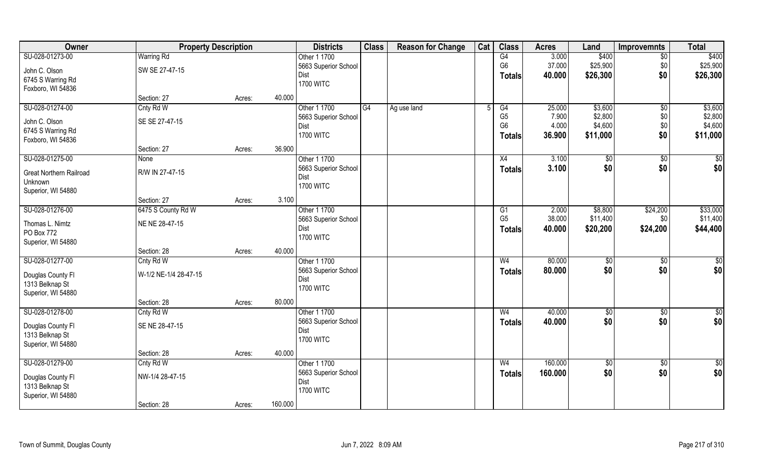| Owner                          | <b>Property Description</b> |        |         | <b>Districts</b>     | <b>Class</b> | <b>Reason for Change</b> | Cat | <b>Class</b>   | <b>Acres</b> | Land            | Improvemnts     | <b>Total</b>    |
|--------------------------------|-----------------------------|--------|---------|----------------------|--------------|--------------------------|-----|----------------|--------------|-----------------|-----------------|-----------------|
| SU-028-01273-00                | <b>Warring Rd</b>           |        |         | Other 1 1700         |              |                          |     | G4             | 3.000        | \$400           | $\overline{50}$ | \$400           |
| John C. Olson                  | SW SE 27-47-15              |        |         | 5663 Superior School |              |                          |     | G <sub>6</sub> | 37.000       | \$25,900        | \$0             | \$25,900        |
| 6745 S Warring Rd              |                             |        |         | Dist                 |              |                          |     | <b>Totals</b>  | 40.000       | \$26,300        | \$0             | \$26,300        |
| Foxboro, WI 54836              |                             |        |         | <b>1700 WITC</b>     |              |                          |     |                |              |                 |                 |                 |
|                                | Section: 27                 | Acres: | 40.000  |                      |              |                          |     |                |              |                 |                 |                 |
| SU-028-01274-00                | Cnty Rd W                   |        |         | Other 1 1700         | G4           | Ag use land              |     | G4             | 25.000       | \$3,600         | \$0             | \$3,600         |
| John C. Olson                  | SE SE 27-47-15              |        |         | 5663 Superior School |              |                          |     | G <sub>5</sub> | 7.900        | \$2,800         | \$0             | \$2,800         |
| 6745 S Warring Rd              |                             |        |         | Dist                 |              |                          |     | G <sub>6</sub> | 4.000        | \$4,600         | \$0             | \$4,600         |
| Foxboro, WI 54836              |                             |        |         | <b>1700 WITC</b>     |              |                          |     | Totals         | 36.900       | \$11,000        | \$0             | \$11,000        |
|                                | Section: 27                 | Acres: | 36.900  |                      |              |                          |     |                |              |                 |                 |                 |
| SU-028-01275-00                | None                        |        |         | Other 1 1700         |              |                          |     | X4             | 3.100        | \$0             | $\sqrt[6]{3}$   | \$0             |
| <b>Great Northern Railroad</b> | R/W IN 27-47-15             |        |         | 5663 Superior School |              |                          |     | <b>Totals</b>  | 3.100        | \$0             | \$0             | \$0             |
| Unknown                        |                             |        |         | Dist                 |              |                          |     |                |              |                 |                 |                 |
| Superior, WI 54880             |                             |        |         | <b>1700 WITC</b>     |              |                          |     |                |              |                 |                 |                 |
|                                | Section: 27                 | Acres: | 3.100   |                      |              |                          |     |                |              |                 |                 |                 |
| SU-028-01276-00                | 6475 S County Rd W          |        |         | Other 1 1700         |              |                          |     | G <sub>1</sub> | 2.000        | \$8,800         | \$24,200        | \$33,000        |
| Thomas L. Nimtz                | NE NE 28-47-15              |        |         | 5663 Superior School |              |                          |     | G <sub>5</sub> | 38.000       | \$11,400        | \$0             | \$11,400        |
| PO Box 772                     |                             |        |         | Dist                 |              |                          |     | <b>Totals</b>  | 40.000       | \$20,200        | \$24,200        | \$44,400        |
| Superior, WI 54880             |                             |        |         | <b>1700 WITC</b>     |              |                          |     |                |              |                 |                 |                 |
|                                | Section: 28                 | Acres: | 40.000  |                      |              |                          |     |                |              |                 |                 |                 |
| SU-028-01277-00                | Cnty Rd W                   |        |         | Other 1 1700         |              |                          |     | W <sub>4</sub> | 80.000       | \$0             | \$0             | \$0             |
| Douglas County Fl              | W-1/2 NE-1/4 28-47-15       |        |         | 5663 Superior School |              |                          |     | <b>Totals</b>  | 80.000       | \$0             | \$0             | \$0             |
| 1313 Belknap St                |                             |        |         | Dist                 |              |                          |     |                |              |                 |                 |                 |
| Superior, WI 54880             |                             |        |         | <b>1700 WITC</b>     |              |                          |     |                |              |                 |                 |                 |
|                                | Section: 28                 | Acres: | 80.000  |                      |              |                          |     |                |              |                 |                 |                 |
| SU-028-01278-00                | Cnty Rd W                   |        |         | Other 1 1700         |              |                          |     | W <sub>4</sub> | 40.000       | $\sqrt{6}$      | \$0             | $\overline{50}$ |
| Douglas County Fl              | SE NE 28-47-15              |        |         | 5663 Superior School |              |                          |     | <b>Totals</b>  | 40.000       | \$0             | \$0             | \$0             |
| 1313 Belknap St                |                             |        |         | Dist                 |              |                          |     |                |              |                 |                 |                 |
| Superior, WI 54880             |                             |        |         | <b>1700 WITC</b>     |              |                          |     |                |              |                 |                 |                 |
|                                | Section: 28                 | Acres: | 40.000  |                      |              |                          |     |                |              |                 |                 |                 |
| SU-028-01279-00                | Cnty Rd W                   |        |         | Other 1 1700         |              |                          |     | W <sub>4</sub> | 160.000      | $\overline{50}$ | $\sqrt{$0}$     | \$0             |
|                                |                             |        |         | 5663 Superior School |              |                          |     | <b>Totals</b>  | 160.000      | \$0             | \$0             | \$0             |
| Douglas County Fl              | NW-1/4 28-47-15             |        |         | Dist                 |              |                          |     |                |              |                 |                 |                 |
| 1313 Belknap St                |                             |        |         | <b>1700 WITC</b>     |              |                          |     |                |              |                 |                 |                 |
| Superior, WI 54880             | Section: 28                 |        | 160.000 |                      |              |                          |     |                |              |                 |                 |                 |
|                                |                             | Acres: |         |                      |              |                          |     |                |              |                 |                 |                 |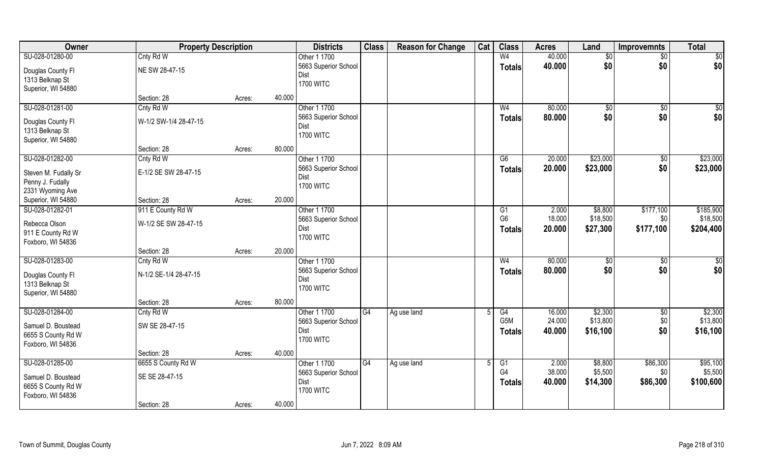| Owner                                                         | <b>Property Description</b>   |        |                                    | <b>Districts</b>                     | <b>Class</b> | <b>Reason for Change</b> | Cat | <b>Class</b>                    | <b>Acres</b>     | Land                 | <b>Improvemnts</b> | <b>Total</b>          |
|---------------------------------------------------------------|-------------------------------|--------|------------------------------------|--------------------------------------|--------------|--------------------------|-----|---------------------------------|------------------|----------------------|--------------------|-----------------------|
| SU-028-01280-00                                               | Cnty Rd W                     |        |                                    | Other 1 1700                         |              |                          |     | W <sub>4</sub>                  | 40.000           | $\sqrt[6]{}$         | $\overline{50}$    | \$0                   |
| Douglas County Fl<br>1313 Belknap St<br>Superior, WI 54880    | NE SW 28-47-15                |        | Dist<br><b>1700 WITC</b>           | 5663 Superior School                 |              |                          |     | <b>Totals</b>                   | 40.000           | \$0                  | \$0                | \$0                   |
|                                                               | Section: 28                   | Acres: | 40.000                             |                                      |              |                          |     |                                 |                  |                      |                    |                       |
| SU-028-01281-00                                               | Cnty Rd W                     |        |                                    | Other 1 1700<br>5663 Superior School |              |                          |     | W <sub>4</sub><br><b>Totals</b> | 80.000<br>80.000 | \$0<br>\$0           | \$0<br>\$0         | $\sqrt{50}$<br>\$0    |
| Douglas County Fl<br>1313 Belknap St<br>Superior, WI 54880    | W-1/2 SW-1/4 28-47-15         |        | Dist<br><b>1700 WITC</b>           |                                      |              |                          |     |                                 |                  |                      |                    |                       |
|                                                               | Section: 28                   | Acres: | 80.000                             |                                      |              |                          |     |                                 |                  |                      |                    |                       |
| SU-028-01282-00                                               | Cnty Rd W                     |        |                                    | Other 1 1700                         |              |                          |     | G6                              | 20.000           | \$23,000             | \$0                | \$23,000              |
| Steven M. Fudally Sr<br>Penny J. Fudally<br>2331 Wyoming Ave  | E-1/2 SE SW 28-47-15          |        | Dist<br><b>1700 WITC</b>           | 5663 Superior School                 |              |                          |     | <b>Totals</b>                   | 20.000           | \$23,000             | \$0                | \$23,000              |
| Superior, WI 54880                                            | Section: 28                   | Acres: | 20.000                             |                                      |              |                          |     |                                 |                  |                      |                    |                       |
| SU-028-01282-01                                               | 911 E County Rd W             |        |                                    | Other 1 1700                         |              |                          |     | G <sub>1</sub>                  | 2.000            | \$8,800              | \$177,100          | \$185,900             |
| Rebecca Olson<br>911 E County Rd W<br>Foxboro, WI 54836       | W-1/2 SE SW 28-47-15          |        | Dist<br><b>1700 WITC</b>           | 5663 Superior School                 |              |                          |     | G <sub>6</sub><br><b>Totals</b> | 18.000<br>20.000 | \$18,500<br>\$27,300 | \$0<br>\$177,100   | \$18,500<br>\$204,400 |
|                                                               | Section: 28                   | Acres: | 20.000                             |                                      |              |                          |     |                                 |                  |                      |                    |                       |
| SU-028-01283-00                                               | Cnty Rd W                     |        |                                    | Other 1 1700                         |              |                          |     | W <sub>4</sub>                  | 80.000           | \$0                  | \$0                | \$0                   |
| Douglas County Fl<br>1313 Belknap St<br>Superior, WI 54880    | N-1/2 SE-1/4 28-47-15         |        | Dist<br><b>1700 WITC</b>           | 5663 Superior School                 |              |                          |     | <b>Totals</b>                   | 80.000           | \$0                  | \$0                | \$0                   |
|                                                               | Section: 28                   | Acres: | 80.000                             |                                      |              |                          |     |                                 |                  |                      |                    |                       |
| SU-028-01284-00                                               | Cnty Rd W                     |        |                                    | Other 1 1700                         | G4           | Ag use land              |     | G4                              | 16.000           | \$2,300              | \$0                | \$2,300               |
| Samuel D. Boustead<br>6655 S County Rd W<br>Foxboro, WI 54836 | SW SE 28-47-15                |        | Dist<br><b>1700 WITC</b>           | 5663 Superior School                 |              |                          |     | G5M<br><b>Totals</b>            | 24.000<br>40.000 | \$13,800<br>\$16,100 | \$0<br>\$0         | \$13,800<br>\$16,100  |
|                                                               | Section: 28                   | Acres: | 40.000                             |                                      |              |                          |     |                                 |                  |                      |                    |                       |
| SU-028-01285-00                                               | 6655 S County Rd W            |        |                                    | Other 1 1700                         | G4           | Ag use land              |     | G1                              | 2.000            | \$8,800              | \$86,300           | \$95,100              |
| Samuel D. Boustead<br>6655 S County Rd W<br>Foxboro, WI 54836 | SE SE 28-47-15<br>Section: 28 | Acres: | Dist<br><b>1700 WITC</b><br>40.000 | 5663 Superior School                 |              |                          |     | G4<br><b>Totals</b>             | 38.000<br>40.000 | \$5,500<br>\$14,300  | \$0<br>\$86,300    | \$5,500<br>\$100,600  |
|                                                               |                               |        |                                    |                                      |              |                          |     |                                 |                  |                      |                    |                       |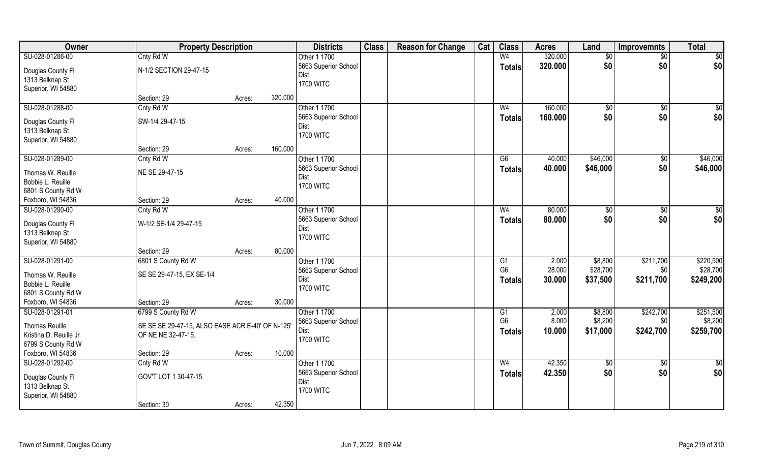| Owner                                  | <b>Property Description</b>                      |        |         | <b>Districts</b>     | <b>Class</b> | <b>Reason for Change</b> | Cat | <b>Class</b>   | <b>Acres</b> | Land        | <b>Improvemnts</b> | <b>Total</b>  |
|----------------------------------------|--------------------------------------------------|--------|---------|----------------------|--------------|--------------------------|-----|----------------|--------------|-------------|--------------------|---------------|
| SU-028-01286-00                        | Cnty Rd W                                        |        |         | Other 1 1700         |              |                          |     | W <sub>4</sub> | 320.000      | \$0         | $\overline{50}$    | \$0           |
| Douglas County Fl                      | N-1/2 SECTION 29-47-15                           |        |         | 5663 Superior School |              |                          |     | <b>Totals</b>  | 320.000      | \$0         | \$0                | \$0           |
| 1313 Belknap St                        |                                                  |        |         | Dist                 |              |                          |     |                |              |             |                    |               |
| Superior, WI 54880                     |                                                  |        |         | <b>1700 WITC</b>     |              |                          |     |                |              |             |                    |               |
|                                        | Section: 29                                      | Acres: | 320.000 |                      |              |                          |     |                |              |             |                    |               |
| SU-028-01288-00                        | Cnty Rd W                                        |        |         | Other 1 1700         |              |                          |     | W <sub>4</sub> | 160.000      | $\sqrt{$0}$ | $\sqrt{6}$         | \$0           |
| Douglas County Fl                      | SW-1/4 29-47-15                                  |        |         | 5663 Superior School |              |                          |     | Totals         | 160.000      | \$0         | \$0                | \$0           |
| 1313 Belknap St                        |                                                  |        |         | Dist                 |              |                          |     |                |              |             |                    |               |
| Superior, WI 54880                     |                                                  |        |         | <b>1700 WITC</b>     |              |                          |     |                |              |             |                    |               |
|                                        | Section: 29                                      | Acres: | 160.000 |                      |              |                          |     |                |              |             |                    |               |
| SU-028-01289-00                        | Cnty Rd W                                        |        |         | Other 1 1700         |              |                          |     | G6             | 40.000       | \$46,000    | $\overline{50}$    | \$46,000      |
|                                        | NE SE 29-47-15                                   |        |         | 5663 Superior School |              |                          |     | <b>Totals</b>  | 40.000       | \$46,000    | \$0                | \$46,000      |
| Thomas W. Reuille<br>Bobbie L. Reuille |                                                  |        |         | Dist                 |              |                          |     |                |              |             |                    |               |
| 6801 S County Rd W                     |                                                  |        |         | <b>1700 WITC</b>     |              |                          |     |                |              |             |                    |               |
| Foxboro, WI 54836                      | Section: 29                                      | Acres: | 40.000  |                      |              |                          |     |                |              |             |                    |               |
| SU-028-01290-00                        | Cnty Rd W                                        |        |         | Other 1 1700         |              |                          |     | W <sub>4</sub> | 80.000       | \$0         | \$0                | \$0           |
|                                        |                                                  |        |         | 5663 Superior School |              |                          |     | <b>Totals</b>  | 80.000       | \$0         | \$0                | \$0           |
| Douglas County Fl                      | W-1/2 SE-1/4 29-47-15                            |        |         | Dist                 |              |                          |     |                |              |             |                    |               |
| 1313 Belknap St                        |                                                  |        |         | <b>1700 WITC</b>     |              |                          |     |                |              |             |                    |               |
| Superior, WI 54880                     |                                                  |        |         |                      |              |                          |     |                |              |             |                    |               |
|                                        | Section: 29                                      | Acres: | 80.000  |                      |              |                          |     |                |              |             |                    |               |
| SU-028-01291-00                        | 6801 S County Rd W                               |        |         | Other 1 1700         |              |                          |     | G1             | 2.000        | \$8,800     | \$211,700          | \$220,500     |
| Thomas W. Reuille                      | SE SE 29-47-15, EX SE-1/4                        |        |         | 5663 Superior School |              |                          |     | G <sub>6</sub> | 28.000       | \$28,700    | \$0                | \$28,700      |
| Bobbie L. Reuille                      |                                                  |        |         | Dist                 |              |                          |     | <b>Totals</b>  | 30.000       | \$37,500    | \$211,700          | \$249,200     |
| 6801 S County Rd W                     |                                                  |        |         | <b>1700 WITC</b>     |              |                          |     |                |              |             |                    |               |
| Foxboro, WI 54836                      | Section: 29                                      | Acres: | 30.000  |                      |              |                          |     |                |              |             |                    |               |
| SU-028-01291-01                        | 6799 S County Rd W                               |        |         | Other 1 1700         |              |                          |     | G1             | 2.000        | \$8,800     | \$242,700          | \$251,500     |
| <b>Thomas Reuille</b>                  | SE SE SE 29-47-15, ALSO EASE ACR E-40' OF N-125' |        |         | 5663 Superior School |              |                          |     | G <sub>6</sub> | 8.000        | \$8,200     | \$0                | \$8,200       |
| Kristina D. Reuille Jr                 | OF NE NE 32-47-15.                               |        |         | Dist                 |              |                          |     | <b>Totals</b>  | 10.000       | \$17,000    | \$242,700          | \$259,700     |
| 6799 S County Rd W                     |                                                  |        |         | <b>1700 WITC</b>     |              |                          |     |                |              |             |                    |               |
| Foxboro, WI 54836                      | Section: 29                                      | Acres: | 10.000  |                      |              |                          |     |                |              |             |                    |               |
| SU-028-01292-00                        | Cnty Rd W                                        |        |         | Other 1 1700         |              |                          |     | W <sub>4</sub> | 42.350       | $\sqrt{6}$  | $\overline{50}$    | $\frac{1}{2}$ |
|                                        |                                                  |        |         | 5663 Superior School |              |                          |     | <b>Totals</b>  | 42.350       | \$0         | \$0                | \$0           |
| Douglas County Fl                      | GOV'T LOT 1 30-47-15                             |        |         | Dist                 |              |                          |     |                |              |             |                    |               |
| 1313 Belknap St                        |                                                  |        |         | <b>1700 WITC</b>     |              |                          |     |                |              |             |                    |               |
| Superior, WI 54880                     |                                                  |        |         |                      |              |                          |     |                |              |             |                    |               |
|                                        | Section: 30                                      | Acres: | 42.350  |                      |              |                          |     |                |              |             |                    |               |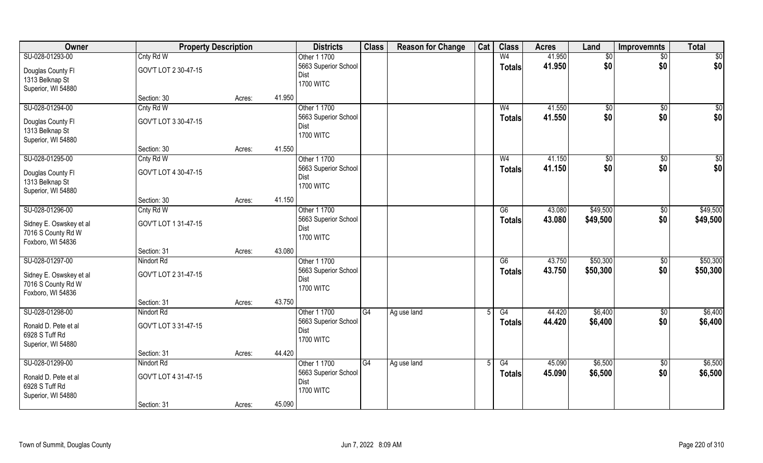| Owner                   | <b>Property Description</b> |        |        | <b>Districts</b>             | <b>Class</b> | <b>Reason for Change</b> | Cat | <b>Class</b>    | <b>Acres</b> | Land     | <b>Improvemnts</b> | <b>Total</b>    |
|-------------------------|-----------------------------|--------|--------|------------------------------|--------------|--------------------------|-----|-----------------|--------------|----------|--------------------|-----------------|
| SU-028-01293-00         | Cnty Rd W                   |        |        | Other 1 1700                 |              |                          |     | W <sub>4</sub>  | 41.950       | \$0      | \$0                | \$0             |
| Douglas County Fl       | GOV'T LOT 2 30-47-15        |        |        | 5663 Superior School         |              |                          |     | <b>Totals</b>   | 41.950       | \$0      | \$0                | \$0             |
| 1313 Belknap St         |                             |        |        | Dist                         |              |                          |     |                 |              |          |                    |                 |
| Superior, WI 54880      |                             |        |        | <b>1700 WITC</b>             |              |                          |     |                 |              |          |                    |                 |
|                         | Section: 30                 | Acres: | 41.950 |                              |              |                          |     |                 |              |          |                    |                 |
| SU-028-01294-00         | Cnty Rd W                   |        |        | Other 1 1700                 |              |                          |     | W <sub>4</sub>  | 41.550       | \$0      | \$0                | $\sqrt{50}$     |
| Douglas County Fl       | GOV'T LOT 3 30-47-15        |        |        | 5663 Superior School         |              |                          |     | Totals          | 41.550       | \$0      | \$0                | \$0             |
| 1313 Belknap St         |                             |        |        | Dist                         |              |                          |     |                 |              |          |                    |                 |
| Superior, WI 54880      |                             |        |        | <b>1700 WITC</b>             |              |                          |     |                 |              |          |                    |                 |
|                         | Section: 30                 | Acres: | 41.550 |                              |              |                          |     |                 |              |          |                    |                 |
| SU-028-01295-00         | Cnty Rd W                   |        |        | Other 1 1700                 |              |                          |     | W <sub>4</sub>  | 41.150       | \$0      | \$0                | $\overline{50}$ |
|                         |                             |        |        | 5663 Superior School         |              |                          |     | <b>Totals</b>   | 41.150       | \$0      | \$0                | \$0             |
| Douglas County Fl       | GOV'T LOT 4 30-47-15        |        |        | Dist                         |              |                          |     |                 |              |          |                    |                 |
| 1313 Belknap St         |                             |        |        | <b>1700 WITC</b>             |              |                          |     |                 |              |          |                    |                 |
| Superior, WI 54880      |                             |        |        |                              |              |                          |     |                 |              |          |                    |                 |
|                         | Section: 30                 | Acres: | 41.150 |                              |              |                          |     |                 |              |          |                    |                 |
| SU-028-01296-00         | Cnty Rd W                   |        |        | Other 1 1700                 |              |                          |     | $\overline{G6}$ | 43.080       | \$49,500 | $\sqrt[6]{3}$      | \$49,500        |
| Sidney E. Oswskey et al | GOV'T LOT 1 31-47-15        |        |        | 5663 Superior School<br>Dist |              |                          |     | <b>Totals</b>   | 43.080       | \$49,500 | \$0                | \$49,500        |
| 7016 S County Rd W      |                             |        |        | <b>1700 WITC</b>             |              |                          |     |                 |              |          |                    |                 |
| Foxboro, WI 54836       |                             |        |        |                              |              |                          |     |                 |              |          |                    |                 |
|                         | Section: 31                 | Acres: | 43.080 |                              |              |                          |     |                 |              |          |                    |                 |
| SU-028-01297-00         | Nindort Rd                  |        |        | Other 1 1700                 |              |                          |     | $\overline{G6}$ | 43.750       | \$50,300 | $\sqrt[6]{30}$     | \$50,300        |
| Sidney E. Oswskey et al | GOV'T LOT 2 31-47-15        |        |        | 5663 Superior School         |              |                          |     | <b>Totals</b>   | 43.750       | \$50,300 | \$0                | \$50,300        |
| 7016 S County Rd W      |                             |        |        | Dist                         |              |                          |     |                 |              |          |                    |                 |
| Foxboro, WI 54836       |                             |        |        | <b>1700 WITC</b>             |              |                          |     |                 |              |          |                    |                 |
|                         | Section: 31                 | Acres: | 43.750 |                              |              |                          |     |                 |              |          |                    |                 |
| SU-028-01298-00         | Nindort Rd                  |        |        | Other 1 1700                 | G4           | Ag use land              |     | G4              | 44.420       | \$6,400  | $\sqrt{6}$         | \$6,400         |
| Ronald D. Pete et al    | GOV'T LOT 3 31-47-15        |        |        | 5663 Superior School         |              |                          |     | <b>Totals</b>   | 44.420       | \$6,400  | \$0                | \$6,400         |
| 6928 S Tuff Rd          |                             |        |        | Dist                         |              |                          |     |                 |              |          |                    |                 |
| Superior, WI 54880      |                             |        |        | <b>1700 WITC</b>             |              |                          |     |                 |              |          |                    |                 |
|                         | Section: 31                 | Acres: | 44.420 |                              |              |                          |     |                 |              |          |                    |                 |
| SU-028-01299-00         | Nindort Rd                  |        |        | Other 1 1700                 | G4           | Ag use land              |     | G4              | 45.090       | \$6,500  | \$0                | \$6,500         |
|                         |                             |        |        | 5663 Superior School         |              |                          |     | <b>Totals</b>   | 45.090       | \$6,500  | \$0                | \$6,500         |
| Ronald D. Pete et al    | GOV'T LOT 4 31-47-15        |        |        | Dist                         |              |                          |     |                 |              |          |                    |                 |
| 6928 S Tuff Rd          |                             |        |        | <b>1700 WITC</b>             |              |                          |     |                 |              |          |                    |                 |
| Superior, WI 54880      | Section: 31                 |        | 45.090 |                              |              |                          |     |                 |              |          |                    |                 |
|                         |                             | Acres: |        |                              |              |                          |     |                 |              |          |                    |                 |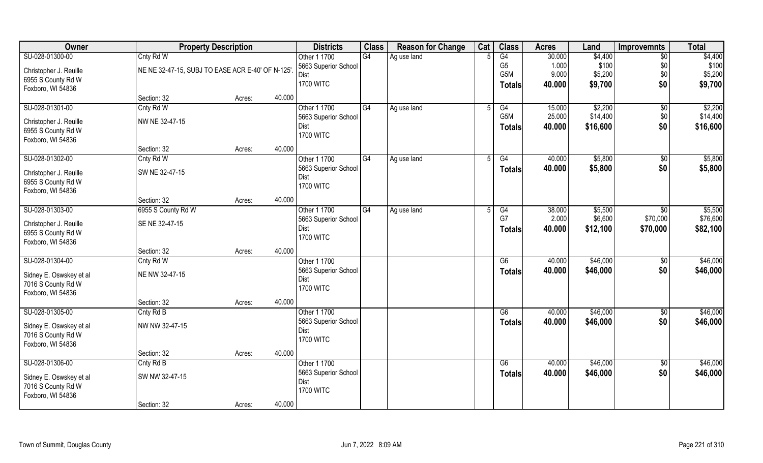| Owner                                         | <b>Property Description</b>                      |                  | <b>Districts</b>     | <b>Class</b> | <b>Reason for Change</b> | Cat | <b>Class</b>    | <b>Acres</b> | Land     | <b>Improvemnts</b> | <b>Total</b> |
|-----------------------------------------------|--------------------------------------------------|------------------|----------------------|--------------|--------------------------|-----|-----------------|--------------|----------|--------------------|--------------|
| SU-028-01300-00                               | Cnty Rd W                                        |                  | Other 1 1700         | G4           | Ag use land              |     | G4              | 30.000       | \$4,400  | \$0                | \$4,400      |
| Christopher J. Reuille                        | NE NE 32-47-15, SUBJ TO EASE ACR E-40' OF N-125' |                  | 5663 Superior School |              |                          |     | G <sub>5</sub>  | 1.000        | \$100    | \$0                | \$100        |
| 6955 S County Rd W                            |                                                  |                  | Dist                 |              |                          |     | G5M             | 9.000        | \$5,200  | \$0                | \$5,200      |
| Foxboro, WI 54836                             |                                                  |                  | <b>1700 WITC</b>     |              |                          |     | <b>Totals</b>   | 40.000       | \$9,700  | \$0                | \$9,700      |
|                                               | Section: 32                                      | 40.000<br>Acres: |                      |              |                          |     |                 |              |          |                    |              |
| SU-028-01301-00                               | Cnty Rd W                                        |                  | Other 1 1700         | G4           | Ag use land              |     | G4              | 15.000       | \$2,200  | $\sqrt{$0}$        | \$2,200      |
| Christopher J. Reuille                        | NW NE 32-47-15                                   |                  | 5663 Superior School |              |                          |     | G5M             | 25.000       | \$14,400 | \$0                | \$14,400     |
| 6955 S County Rd W                            |                                                  |                  | Dist                 |              |                          |     | <b>Totals</b>   | 40.000       | \$16,600 | \$0                | \$16,600     |
| Foxboro, WI 54836                             |                                                  |                  | <b>1700 WITC</b>     |              |                          |     |                 |              |          |                    |              |
|                                               | Section: 32                                      | 40.000<br>Acres: |                      |              |                          |     |                 |              |          |                    |              |
| SU-028-01302-00                               | Cnty Rd W                                        |                  | Other 1 1700         | G4           | Ag use land              | .5  | G4              | 40.000       | \$5,800  | $\sqrt[6]{30}$     | \$5,800      |
| Christopher J. Reuille                        | SW NE 32-47-15                                   |                  | 5663 Superior School |              |                          |     | <b>Totals</b>   | 40.000       | \$5,800  | \$0                | \$5,800      |
| 6955 S County Rd W                            |                                                  |                  | Dist                 |              |                          |     |                 |              |          |                    |              |
| Foxboro, WI 54836                             |                                                  |                  | <b>1700 WITC</b>     |              |                          |     |                 |              |          |                    |              |
|                                               | Section: 32                                      | 40.000<br>Acres: |                      |              |                          |     |                 |              |          |                    |              |
| SU-028-01303-00                               | 6955 S County Rd W                               |                  | Other 1 1700         | G4           | Ag use land              |     | G4              | 38.000       | \$5,500  | \$0                | \$5,500      |
| Christopher J. Reuille                        | SE NE 32-47-15                                   |                  | 5663 Superior School |              |                          |     | G7              | 2.000        | \$6,600  | \$70,000           | \$76,600     |
| 6955 S County Rd W                            |                                                  |                  | Dist                 |              |                          |     | <b>Totals</b>   | 40.000       | \$12,100 | \$70,000           | \$82,100     |
| Foxboro, WI 54836                             |                                                  |                  | <b>1700 WITC</b>     |              |                          |     |                 |              |          |                    |              |
|                                               | Section: 32                                      | 40.000<br>Acres: |                      |              |                          |     |                 |              |          |                    |              |
| SU-028-01304-00                               | Cnty Rd W                                        |                  | Other 1 1700         |              |                          |     | $\overline{G6}$ | 40.000       | \$46,000 | $\overline{60}$    | \$46,000     |
|                                               |                                                  |                  | 5663 Superior School |              |                          |     | <b>Totals</b>   | 40.000       | \$46,000 | \$0                | \$46,000     |
| Sidney E. Oswskey et al<br>7016 S County Rd W | NE NW 32-47-15                                   |                  | Dist                 |              |                          |     |                 |              |          |                    |              |
| Foxboro, WI 54836                             |                                                  |                  | <b>1700 WITC</b>     |              |                          |     |                 |              |          |                    |              |
|                                               | Section: 32                                      | 40.000<br>Acres: |                      |              |                          |     |                 |              |          |                    |              |
| SU-028-01305-00                               | Cnty Rd B                                        |                  | Other 1 1700         |              |                          |     | G6              | 40.000       | \$46,000 | \$0                | \$46,000     |
|                                               |                                                  |                  | 5663 Superior School |              |                          |     | <b>Totals</b>   | 40.000       | \$46,000 | \$0                | \$46,000     |
| Sidney E. Oswskey et al                       | NW NW 32-47-15                                   |                  | Dist                 |              |                          |     |                 |              |          |                    |              |
| 7016 S County Rd W                            |                                                  |                  | <b>1700 WITC</b>     |              |                          |     |                 |              |          |                    |              |
| Foxboro, WI 54836                             | Section: 32                                      | 40.000<br>Acres: |                      |              |                          |     |                 |              |          |                    |              |
| SU-028-01306-00                               | Cnty Rd B                                        |                  | Other 1 1700         |              |                          |     | G6              | 40.000       | \$46,000 | $\sqrt{$0}$        | \$46,000     |
|                                               |                                                  |                  | 5663 Superior School |              |                          |     | <b>Totals</b>   | 40.000       | \$46,000 | \$0                | \$46,000     |
| Sidney E. Oswskey et al                       | SW NW 32-47-15                                   |                  | Dist                 |              |                          |     |                 |              |          |                    |              |
| 7016 S County Rd W                            |                                                  |                  | <b>1700 WITC</b>     |              |                          |     |                 |              |          |                    |              |
| Foxboro, WI 54836                             |                                                  |                  |                      |              |                          |     |                 |              |          |                    |              |
|                                               | Section: 32                                      | 40.000<br>Acres: |                      |              |                          |     |                 |              |          |                    |              |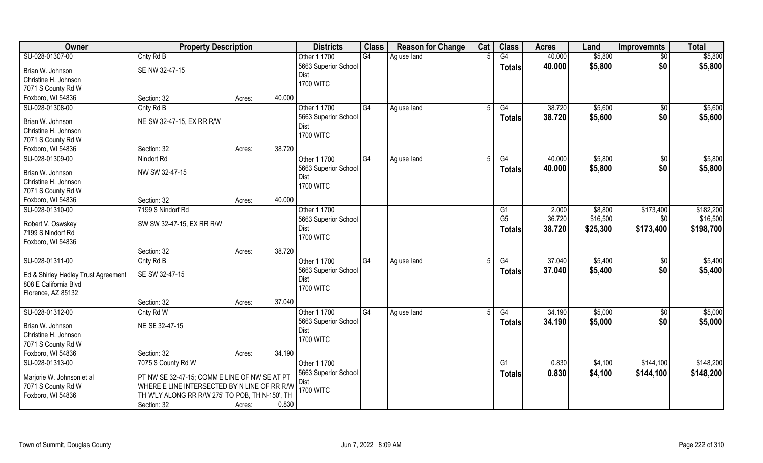| Owner                               | <b>Property Description</b>                     |                  | <b>Districts</b>             | <b>Class</b>    | <b>Reason for Change</b> | Cat | <b>Class</b>    | <b>Acres</b> | Land     | <b>Improvemnts</b> | <b>Total</b> |
|-------------------------------------|-------------------------------------------------|------------------|------------------------------|-----------------|--------------------------|-----|-----------------|--------------|----------|--------------------|--------------|
| SU-028-01307-00                     | Cnty Rd B                                       |                  | Other 1 1700                 | G4              | Ag use land              |     | $\overline{G4}$ | 40.000       | \$5,800  | $\overline{50}$    | \$5,800      |
| Brian W. Johnson                    | SE NW 32-47-15                                  |                  | 5663 Superior School<br>Dist |                 |                          |     | <b>Totals</b>   | 40.000       | \$5,800  | \$0                | \$5,800      |
| Christine H. Johnson                |                                                 |                  | <b>1700 WITC</b>             |                 |                          |     |                 |              |          |                    |              |
| 7071 S County Rd W                  |                                                 |                  |                              |                 |                          |     |                 |              |          |                    |              |
| Foxboro, WI 54836                   | Section: 32                                     | 40.000<br>Acres: |                              |                 |                          |     |                 |              |          |                    |              |
| SU-028-01308-00                     | Cnty Rd B                                       |                  | Other 1 1700                 | G4              | Ag use land              |     | G4              | 38.720       | \$5,600  | $\overline{50}$    | \$5,600      |
| Brian W. Johnson                    | NE SW 32-47-15, EX RR R/W                       |                  | 5663 Superior School         |                 |                          |     | <b>Totals</b>   | 38.720       | \$5,600  | \$0                | \$5,600      |
| Christine H. Johnson                |                                                 |                  | Dist                         |                 |                          |     |                 |              |          |                    |              |
| 7071 S County Rd W                  |                                                 |                  | <b>1700 WITC</b>             |                 |                          |     |                 |              |          |                    |              |
| Foxboro, WI 54836                   | Section: 32                                     | 38.720<br>Acres: |                              |                 |                          |     |                 |              |          |                    |              |
| SU-028-01309-00                     | Nindort Rd                                      |                  | Other 1 1700                 | G4              | Ag use land              | .5  | G4              | 40.000       | \$5,800  | \$0                | \$5,800      |
|                                     |                                                 |                  | 5663 Superior School         |                 |                          |     |                 | 40.000       | \$5,800  | \$0                | \$5,800      |
| Brian W. Johnson                    | NW SW 32-47-15                                  |                  | Dist                         |                 |                          |     | <b>Totals</b>   |              |          |                    |              |
| Christine H. Johnson                |                                                 |                  | <b>1700 WITC</b>             |                 |                          |     |                 |              |          |                    |              |
| 7071 S County Rd W                  |                                                 |                  |                              |                 |                          |     |                 |              |          |                    |              |
| Foxboro, WI 54836                   | Section: 32                                     | 40.000<br>Acres: |                              |                 |                          |     |                 |              |          |                    |              |
| SU-028-01310-00                     | 7199 S Nindorf Rd                               |                  | Other 1 1700                 |                 |                          |     | G1              | 2.000        | \$8,800  | \$173,400          | \$182,200    |
| Robert V. Oswskey                   | SW SW 32-47-15, EX RR R/W                       |                  | 5663 Superior School         |                 |                          |     | G <sub>5</sub>  | 36.720       | \$16,500 | \$0                | \$16,500     |
| 7199 S Nindorf Rd                   |                                                 |                  | Dist                         |                 |                          |     | <b>Totals</b>   | 38.720       | \$25,300 | \$173,400          | \$198,700    |
| Foxboro, WI 54836                   |                                                 |                  | <b>1700 WITC</b>             |                 |                          |     |                 |              |          |                    |              |
|                                     | Section: 32                                     | 38.720<br>Acres: |                              |                 |                          |     |                 |              |          |                    |              |
| SU-028-01311-00                     | Cnty Rd B                                       |                  | Other 1 1700                 | $\overline{G4}$ | Ag use land              |     | G4              | 37.040       | \$5,400  | \$0                | \$5,400      |
|                                     |                                                 |                  | 5663 Superior School         |                 |                          |     | <b>Totals</b>   | 37.040       | \$5,400  | \$0                | \$5,400      |
| Ed & Shirley Hadley Trust Agreement | SE SW 32-47-15                                  |                  | Dist                         |                 |                          |     |                 |              |          |                    |              |
| 808 E California Blvd               |                                                 |                  | <b>1700 WITC</b>             |                 |                          |     |                 |              |          |                    |              |
| Florence, AZ 85132                  |                                                 |                  |                              |                 |                          |     |                 |              |          |                    |              |
|                                     | Section: 32                                     | 37.040<br>Acres: |                              |                 |                          |     |                 |              |          |                    |              |
| SU-028-01312-00                     | Cnty Rd W                                       |                  | Other 1 1700                 | G4              | Ag use land              |     | G4              | 34.190       | \$5,000  | \$0                | \$5,000      |
| Brian W. Johnson                    | NE SE 32-47-15                                  |                  | 5663 Superior School         |                 |                          |     | <b>Totals</b>   | 34.190       | \$5,000  | \$0                | \$5,000      |
| Christine H. Johnson                |                                                 |                  | Dist                         |                 |                          |     |                 |              |          |                    |              |
| 7071 S County Rd W                  |                                                 |                  | <b>1700 WITC</b>             |                 |                          |     |                 |              |          |                    |              |
| Foxboro, WI 54836                   | Section: 32                                     | 34.190<br>Acres: |                              |                 |                          |     |                 |              |          |                    |              |
| SU-028-01313-00                     | 7075 S County Rd W                              |                  | Other 1 1700                 |                 |                          |     | G1              | 0.830        | \$4,100  | \$144,100          | \$148,200    |
|                                     |                                                 |                  | 5663 Superior School         |                 |                          |     | <b>Totals</b>   | 0.830        | \$4,100  | \$144,100          | \$148,200    |
| Marjorie W. Johnson et al           | PT NW SE 32-47-15; COMM E LINE OF NW SE AT PT   |                  | Dist                         |                 |                          |     |                 |              |          |                    |              |
| 7071 S County Rd W                  | WHERE E LINE INTERSECTED BY N LINE OF RR R/W    |                  | <b>1700 WITC</b>             |                 |                          |     |                 |              |          |                    |              |
| Foxboro, WI 54836                   | TH W'LY ALONG RR R/W 275' TO POB, TH N-150', TH |                  |                              |                 |                          |     |                 |              |          |                    |              |
|                                     | Section: 32                                     | 0.830<br>Acres:  |                              |                 |                          |     |                 |              |          |                    |              |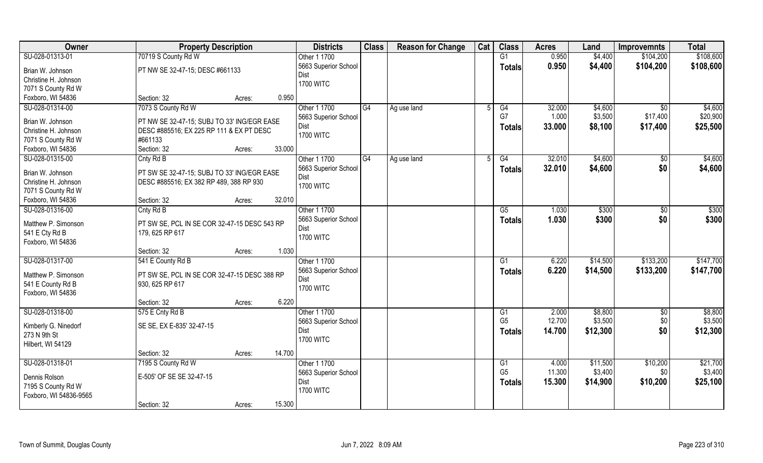| Owner                  | <b>Property Description</b>                  |        |        | <b>Districts</b>         | <b>Class</b> | <b>Reason for Change</b> | Cat | <b>Class</b>         | <b>Acres</b> | Land               | <b>Improvemnts</b> | <b>Total</b>       |
|------------------------|----------------------------------------------|--------|--------|--------------------------|--------------|--------------------------|-----|----------------------|--------------|--------------------|--------------------|--------------------|
| SU-028-01313-01        | 70719 S County Rd W                          |        |        | Other 1 1700             |              |                          |     | G1                   | 0.950        | \$4,400            | \$104,200          | \$108,600          |
| Brian W. Johnson       | PT NW SE 32-47-15; DESC #661133              |        |        | 5663 Superior School     |              |                          |     | <b>Totals</b>        | 0.950        | \$4,400            | \$104,200          | \$108,600          |
| Christine H. Johnson   |                                              |        |        | Dist                     |              |                          |     |                      |              |                    |                    |                    |
| 7071 S County Rd W     |                                              |        |        | <b>1700 WITC</b>         |              |                          |     |                      |              |                    |                    |                    |
| Foxboro, WI 54836      | Section: 32                                  | Acres: | 0.950  |                          |              |                          |     |                      |              |                    |                    |                    |
| SU-028-01314-00        | 7073 S County Rd W                           |        |        | Other 1 1700             | G4           | Ag use land              |     | G4                   | 32.000       | \$4,600            | $\overline{50}$    | \$4,600            |
|                        |                                              |        |        | 5663 Superior School     |              |                          |     | G7                   | 1.000        | \$3,500            | \$17,400           | \$20,900           |
| Brian W. Johnson       | PT NW SE 32-47-15; SUBJ TO 33' ING/EGR EASE  |        |        | Dist                     |              |                          |     | <b>Totals</b>        | 33.000       | \$8,100            | \$17,400           | \$25,500           |
| Christine H. Johnson   | DESC #885516; EX 225 RP 111 & EX PT DESC     |        |        | <b>1700 WITC</b>         |              |                          |     |                      |              |                    |                    |                    |
| 7071 S County Rd W     | #661133                                      |        |        |                          |              |                          |     |                      |              |                    |                    |                    |
| Foxboro, WI 54836      | Section: 32                                  | Acres: | 33.000 |                          |              |                          |     |                      |              |                    |                    |                    |
| SU-028-01315-00        | Cnty Rd B                                    |        |        | Other 1 1700             | G4           | Ag use land              | 5   | G4                   | 32.010       | \$4,600            | \$0                | \$4,600            |
| Brian W. Johnson       | PT SW SE 32-47-15; SUBJ TO 33' ING/EGR EASE  |        |        | 5663 Superior School     |              |                          |     | <b>Totals</b>        | 32.010       | \$4,600            | \$0                | \$4,600            |
| Christine H. Johnson   | DESC #885516; EX 382 RP 489, 388 RP 930      |        |        | Dist                     |              |                          |     |                      |              |                    |                    |                    |
| 7071 S County Rd W     |                                              |        |        | <b>1700 WITC</b>         |              |                          |     |                      |              |                    |                    |                    |
| Foxboro, WI 54836      | Section: 32                                  | Acres: | 32.010 |                          |              |                          |     |                      |              |                    |                    |                    |
| SU-028-01316-00        | Cnty Rd B                                    |        |        | Other 1 1700             |              |                          |     | G5                   | 1.030        | \$300              | $\sqrt{50}$        | \$300              |
|                        |                                              |        |        |                          |              |                          |     |                      |              |                    |                    |                    |
| Matthew P. Simonson    | PT SW SE, PCL IN SE COR 32-47-15 DESC 543 RP |        |        | 5663 Superior School     |              |                          |     | <b>Totals</b>        | 1.030        | \$300              | \$0                | \$300              |
| 541 E Cty Rd B         | 179, 625 RP 617                              |        |        | Dist<br><b>1700 WITC</b> |              |                          |     |                      |              |                    |                    |                    |
| Foxboro, WI 54836      |                                              |        |        |                          |              |                          |     |                      |              |                    |                    |                    |
|                        | Section: 32                                  | Acres: | 1.030  |                          |              |                          |     |                      |              |                    |                    |                    |
| SU-028-01317-00        | 541 E County Rd B                            |        |        | Other 1 1700             |              |                          |     | $\overline{G1}$      | 6.220        | \$14,500           | \$133,200          | \$147,700          |
|                        |                                              |        |        | 5663 Superior School     |              |                          |     | <b>Totals</b>        | 6.220        | \$14,500           | \$133,200          | \$147,700          |
| Matthew P. Simonson    | PT SW SE, PCL IN SE COR 32-47-15 DESC 388 RP |        |        | Dist                     |              |                          |     |                      |              |                    |                    |                    |
| 541 E County Rd B      | 930, 625 RP 617                              |        |        | <b>1700 WITC</b>         |              |                          |     |                      |              |                    |                    |                    |
| Foxboro, WI 54836      |                                              |        | 6.220  |                          |              |                          |     |                      |              |                    |                    |                    |
|                        | Section: 32                                  | Acres: |        |                          |              |                          |     |                      |              |                    |                    |                    |
| SU-028-01318-00        | 575 E Cnty Rd B                              |        |        | Other 1 1700             |              |                          |     | G1<br>G <sub>5</sub> | 2.000        | \$8,800<br>\$3,500 | $\overline{50}$    | \$8,800<br>\$3,500 |
| Kimberly G. Ninedorf   | SE SE, EX E-835' 32-47-15                    |        |        | 5663 Superior School     |              |                          |     |                      | 12.700       |                    | \$0                |                    |
| 273 N 9th St           |                                              |        |        | Dist                     |              |                          |     | <b>Totals</b>        | 14.700       | \$12,300           | \$0                | \$12,300           |
| Hilbert, WI 54129      |                                              |        |        | <b>1700 WITC</b>         |              |                          |     |                      |              |                    |                    |                    |
|                        | Section: 32                                  | Acres: | 14.700 |                          |              |                          |     |                      |              |                    |                    |                    |
| SU-028-01318-01        | 7195 S County Rd W                           |        |        | Other 1 1700             |              |                          |     | G1                   | 4.000        | \$11,500           | \$10,200           | \$21,700           |
|                        |                                              |        |        | 5663 Superior School     |              |                          |     | G <sub>5</sub>       | 11.300       | \$3,400            | \$0                | \$3,400            |
| Dennis Rolson          | E-505' OF SE SE 32-47-15                     |        |        | Dist                     |              |                          |     | <b>Totals</b>        | 15.300       | \$14,900           | \$10,200           | \$25,100           |
| 7195 S County Rd W     |                                              |        |        | <b>1700 WITC</b>         |              |                          |     |                      |              |                    |                    |                    |
| Foxboro, WI 54836-9565 |                                              |        |        |                          |              |                          |     |                      |              |                    |                    |                    |
|                        | Section: 32                                  | Acres: | 15.300 |                          |              |                          |     |                      |              |                    |                    |                    |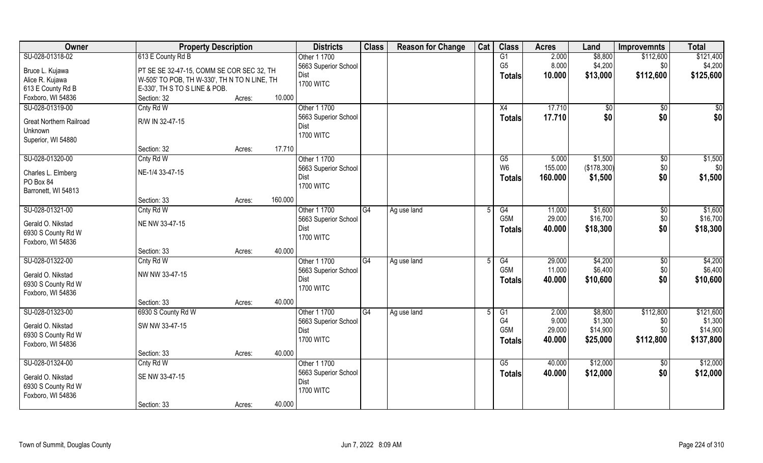| Owner                          | <b>Property Description</b>                  |        |         | <b>Districts</b>     | <b>Class</b> | <b>Reason for Change</b> | Cat | <b>Class</b>     | <b>Acres</b> | Land        | <b>Improvemnts</b> | <b>Total</b>        |
|--------------------------------|----------------------------------------------|--------|---------|----------------------|--------------|--------------------------|-----|------------------|--------------|-------------|--------------------|---------------------|
| SU-028-01318-02                | 613 E County Rd B                            |        |         | Other 1 1700         |              |                          |     | G1               | 2.000        | \$8,800     | \$112,600          | \$121,400           |
| Bruce L. Kujawa                | PT SE SE 32-47-15, COMM SE COR SEC 32, TH    |        |         | 5663 Superior School |              |                          |     | G <sub>5</sub>   | 8.000        | \$4,200     | \$0                | \$4,200             |
| Alice R. Kujawa                | W-505' TO POB, TH W-330', TH N TO N LINE, TH |        |         | Dist                 |              |                          |     | <b>Totals</b>    | 10.000       | \$13,000    | \$112,600          | \$125,600           |
| 613 E County Rd B              | E-330', TH S TO S LINE & POB.                |        |         | <b>1700 WITC</b>     |              |                          |     |                  |              |             |                    |                     |
| Foxboro, WI 54836              | Section: 32                                  | Acres: | 10.000  |                      |              |                          |     |                  |              |             |                    |                     |
| SU-028-01319-00                | Cnty Rd W                                    |        |         | Other 1 1700         |              |                          |     | X4               | 17.710       | \$0         | \$0                | \$0                 |
|                                |                                              |        |         | 5663 Superior School |              |                          |     |                  | 17.710       | \$0         | \$0                | \$0                 |
| <b>Great Northern Railroad</b> | R/W IN 32-47-15                              |        |         | Dist                 |              |                          |     | <b>Totals</b>    |              |             |                    |                     |
| Unknown                        |                                              |        |         | <b>1700 WITC</b>     |              |                          |     |                  |              |             |                    |                     |
| Superior, WI 54880             |                                              |        |         |                      |              |                          |     |                  |              |             |                    |                     |
|                                | Section: 32                                  | Acres: | 17.710  |                      |              |                          |     |                  |              |             |                    |                     |
| SU-028-01320-00                | Cnty Rd W                                    |        |         | Other 1 1700         |              |                          |     | G5               | 5.000        | \$1,500     | $\sqrt[6]{3}$      | \$1,500             |
|                                | NE-1/4 33-47-15                              |        |         | 5663 Superior School |              |                          |     | W <sub>6</sub>   | 155.000      | (\$178,300) | \$0                | \$0]                |
| Charles L. Elmberg             |                                              |        |         | Dist                 |              |                          |     | <b>Totals</b>    | 160.000      | \$1,500     | \$0                | \$1,500             |
| PO Box 84                      |                                              |        |         | <b>1700 WITC</b>     |              |                          |     |                  |              |             |                    |                     |
| Barronett, WI 54813            | Section: 33                                  |        | 160.000 |                      |              |                          |     |                  |              |             |                    |                     |
|                                |                                              | Acres: |         |                      |              |                          |     |                  |              |             |                    |                     |
| SU-028-01321-00                | Cnty Rd W                                    |        |         | Other 1 1700         | G4           | Ag use land              |     | G4<br>G5M        | 11.000       | \$1,600     | \$0                | \$1,600<br>\$16,700 |
| Gerald O. Nikstad              | NE NW 33-47-15                               |        |         | 5663 Superior School |              |                          |     |                  | 29.000       | \$16,700    | \$0                |                     |
| 6930 S County Rd W             |                                              |        |         | Dist                 |              |                          |     | <b>Totals</b>    | 40.000       | \$18,300    | \$0                | \$18,300            |
| Foxboro, WI 54836              |                                              |        |         | <b>1700 WITC</b>     |              |                          |     |                  |              |             |                    |                     |
|                                | Section: 33                                  | Acres: | 40.000  |                      |              |                          |     |                  |              |             |                    |                     |
| SU-028-01322-00                | Cnty Rd W                                    |        |         | Other 1 1700         | G4           | Ag use land              |     | $\overline{G4}$  | 29.000       | \$4,200     | $\sqrt[6]{30}$     | \$4,200             |
| Gerald O. Nikstad              | NW NW 33-47-15                               |        |         | 5663 Superior School |              |                          |     | G <sub>5</sub> M | 11.000       | \$6,400     | \$0                | \$6,400             |
| 6930 S County Rd W             |                                              |        |         | Dist                 |              |                          |     | Totals           | 40.000       | \$10,600    | \$0                | \$10,600            |
| Foxboro, WI 54836              |                                              |        |         | <b>1700 WITC</b>     |              |                          |     |                  |              |             |                    |                     |
|                                | Section: 33                                  | Acres: | 40.000  |                      |              |                          |     |                  |              |             |                    |                     |
| SU-028-01323-00                | 6930 S County Rd W                           |        |         | Other 1 1700         | G4           | Ag use land              |     | G1               | 2.000        | \$8,800     | \$112,800          | \$121,600           |
|                                |                                              |        |         | 5663 Superior School |              |                          |     | G4               | 9.000        | \$1,300     | \$0                | \$1,300             |
| Gerald O. Nikstad              | SW NW 33-47-15                               |        |         | Dist                 |              |                          |     | G <sub>5</sub> M | 29.000       | \$14,900    | \$0                | \$14,900            |
| 6930 S County Rd W             |                                              |        |         | <b>1700 WITC</b>     |              |                          |     |                  | 40.000       | \$25,000    | \$112,800          | \$137,800           |
| Foxboro, WI 54836              |                                              |        |         |                      |              |                          |     | <b>Totals</b>    |              |             |                    |                     |
|                                | Section: 33                                  | Acres: | 40.000  |                      |              |                          |     |                  |              |             |                    |                     |
| SU-028-01324-00                | Cnty Rd W                                    |        |         | Other 1 1700         |              |                          |     | G5               | 40.000       | \$12,000    | $\overline{50}$    | \$12,000            |
| Gerald O. Nikstad              | SE NW 33-47-15                               |        |         | 5663 Superior School |              |                          |     | <b>Totals</b>    | 40.000       | \$12,000    | \$0                | \$12,000            |
| 6930 S County Rd W             |                                              |        |         | Dist                 |              |                          |     |                  |              |             |                    |                     |
| Foxboro, WI 54836              |                                              |        |         | <b>1700 WITC</b>     |              |                          |     |                  |              |             |                    |                     |
|                                | Section: 33                                  |        | 40.000  |                      |              |                          |     |                  |              |             |                    |                     |
|                                |                                              | Acres: |         |                      |              |                          |     |                  |              |             |                    |                     |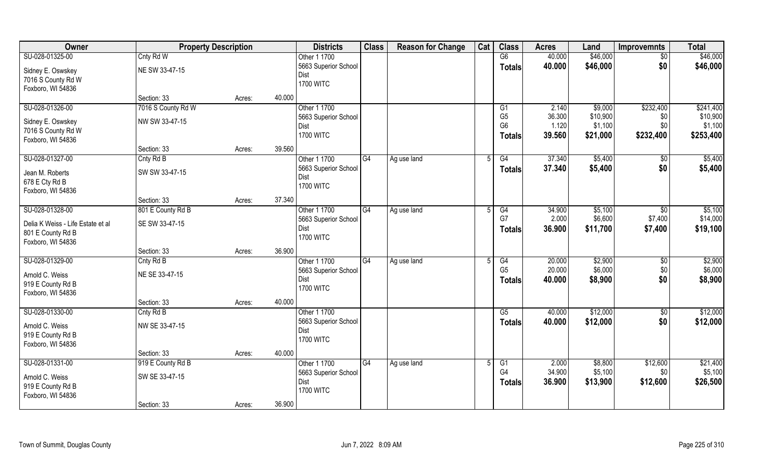| Owner                             | <b>Property Description</b> |        | <b>Districts</b>     | <b>Class</b>    | <b>Reason for Change</b> | Cat | <b>Class</b>    | <b>Acres</b> | Land     | <b>Improvemnts</b> | <b>Total</b> |
|-----------------------------------|-----------------------------|--------|----------------------|-----------------|--------------------------|-----|-----------------|--------------|----------|--------------------|--------------|
| SU-028-01325-00                   | Cnty Rd W                   |        | Other 1 1700         |                 |                          |     | $\overline{G6}$ | 40.000       | \$46,000 | $\overline{50}$    | \$46,000     |
| Sidney E. Oswskey                 | NE SW 33-47-15              |        | 5663 Superior School |                 |                          |     | <b>Totals</b>   | 40.000       | \$46,000 | \$0                | \$46,000     |
| 7016 S County Rd W                |                             |        | Dist                 |                 |                          |     |                 |              |          |                    |              |
| Foxboro, WI 54836                 |                             |        | <b>1700 WITC</b>     |                 |                          |     |                 |              |          |                    |              |
|                                   | Section: 33                 | Acres: | 40.000               |                 |                          |     |                 |              |          |                    |              |
| SU-028-01326-00                   | 7016 S County Rd W          |        | Other 1 1700         |                 |                          |     | G1              | 2.140        | \$9,000  | \$232,400          | \$241,400    |
| Sidney E. Oswskey                 | NW SW 33-47-15              |        | 5663 Superior School |                 |                          |     | G <sub>5</sub>  | 36.300       | \$10,900 | \$0                | \$10,900     |
| 7016 S County Rd W                |                             |        | Dist                 |                 |                          |     | G <sub>6</sub>  | 1.120        | \$1,100  | \$0                | \$1,100      |
| Foxboro, WI 54836                 |                             |        | <b>1700 WITC</b>     |                 |                          |     | <b>Totals</b>   | 39.560       | \$21,000 | \$232,400          | \$253,400    |
|                                   | Section: 33                 | Acres: | 39.560               |                 |                          |     |                 |              |          |                    |              |
| SU-028-01327-00                   | Cnty Rd B                   |        | Other 1 1700         | G4              | Ag use land              | 5   | G4              | 37.340       | \$5,400  | $\sqrt[6]{30}$     | \$5,400      |
| Jean M. Roberts                   | SW SW 33-47-15              |        | 5663 Superior School |                 |                          |     | <b>Totals</b>   | 37.340       | \$5,400  | \$0                | \$5,400      |
| 678 E Cty Rd B                    |                             |        | Dist                 |                 |                          |     |                 |              |          |                    |              |
| Foxboro, WI 54836                 |                             |        | <b>1700 WITC</b>     |                 |                          |     |                 |              |          |                    |              |
|                                   | Section: 33                 | Acres: | 37.340               |                 |                          |     |                 |              |          |                    |              |
| SU-028-01328-00                   | 801 E County Rd B           |        | Other 1 1700         | G4              | Ag use land              |     | G4              | 34.900       | \$5,100  | $\overline{50}$    | \$5,100      |
| Delia K Weiss - Life Estate et al | SE SW 33-47-15              |        | 5663 Superior School |                 |                          |     | G7              | 2.000        | \$6,600  | \$7,400            | \$14,000     |
| 801 E County Rd B                 |                             |        | Dist                 |                 |                          |     | <b>Totals</b>   | 36.900       | \$11,700 | \$7,400            | \$19,100     |
| Foxboro, WI 54836                 |                             |        | <b>1700 WITC</b>     |                 |                          |     |                 |              |          |                    |              |
|                                   | Section: 33                 | Acres: | 36.900               |                 |                          |     |                 |              |          |                    |              |
| SU-028-01329-00                   | Cnty Rd B                   |        | Other 1 1700         | $\overline{G4}$ | Ag use land              |     | $\overline{G4}$ | 20.000       | \$2,900  | \$0                | \$2,900      |
| Arnold C. Weiss                   | NE SE 33-47-15              |        | 5663 Superior School |                 |                          |     | G <sub>5</sub>  | 20.000       | \$6,000  | \$0                | \$6,000      |
| 919 E County Rd B                 |                             |        | Dist                 |                 |                          |     | <b>Totals</b>   | 40.000       | \$8,900  | \$0                | \$8,900      |
| Foxboro, WI 54836                 |                             |        | <b>1700 WITC</b>     |                 |                          |     |                 |              |          |                    |              |
|                                   | Section: 33                 | Acres: | 40.000               |                 |                          |     |                 |              |          |                    |              |
| SU-028-01330-00                   | Cnty Rd B                   |        | Other 1 1700         |                 |                          |     | G5              | 40.000       | \$12,000 | \$0                | \$12,000     |
| Arnold C. Weiss                   | NW SE 33-47-15              |        | 5663 Superior School |                 |                          |     | <b>Totals</b>   | 40.000       | \$12,000 | \$0                | \$12,000     |
| 919 E County Rd B                 |                             |        | Dist                 |                 |                          |     |                 |              |          |                    |              |
| Foxboro, WI 54836                 |                             |        | <b>1700 WITC</b>     |                 |                          |     |                 |              |          |                    |              |
|                                   | Section: 33                 | Acres: | 40.000               |                 |                          |     |                 |              |          |                    |              |
| SU-028-01331-00                   | 919 E County Rd B           |        | Other 1 1700         | G4              | Ag use land              |     | G1              | 2.000        | \$8,800  | \$12,600           | \$21,400     |
| Arnold C. Weiss                   | SW SE 33-47-15              |        | 5663 Superior School |                 |                          |     | G <sub>4</sub>  | 34.900       | \$5,100  | \$0                | \$5,100      |
| 919 E County Rd B                 |                             |        | Dist                 |                 |                          |     | <b>Totals</b>   | 36.900       | \$13,900 | \$12,600           | \$26,500     |
| Foxboro, WI 54836                 |                             |        | <b>1700 WITC</b>     |                 |                          |     |                 |              |          |                    |              |
|                                   | Section: 33                 | Acres: | 36.900               |                 |                          |     |                 |              |          |                    |              |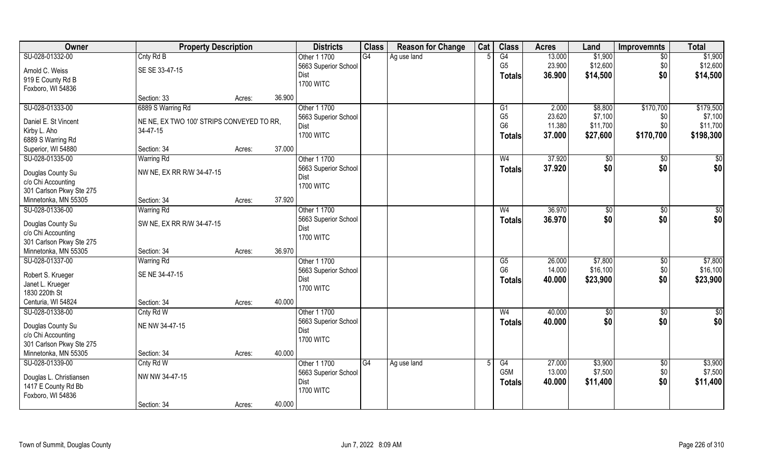| Owner                                 | <b>Property Description</b>               |        |        | <b>Districts</b>     | <b>Class</b> | <b>Reason for Change</b> | Cat | <b>Class</b>     | <b>Acres</b> | Land           | <b>Improvemnts</b> | <b>Total</b>  |
|---------------------------------------|-------------------------------------------|--------|--------|----------------------|--------------|--------------------------|-----|------------------|--------------|----------------|--------------------|---------------|
| SU-028-01332-00                       | Cnty Rd B                                 |        |        | Other 1 1700         | G4           | Ag use land              |     | G4               | 13.000       | \$1,900        | $\overline{50}$    | \$1,900       |
| Arnold C. Weiss                       | SE SE 33-47-15                            |        |        | 5663 Superior School |              |                          |     | G <sub>5</sub>   | 23.900       | \$12,600       | \$0                | \$12,600      |
| 919 E County Rd B                     |                                           |        |        | Dist                 |              |                          |     | <b>Totals</b>    | 36.900       | \$14,500       | \$0                | \$14,500      |
| Foxboro, WI 54836                     |                                           |        |        | <b>1700 WITC</b>     |              |                          |     |                  |              |                |                    |               |
|                                       | Section: 33                               | Acres: | 36.900 |                      |              |                          |     |                  |              |                |                    |               |
| SU-028-01333-00                       | 6889 S Warring Rd                         |        |        | Other 1 1700         |              |                          |     | G1               | 2.000        | \$8,800        | \$170,700          | \$179,500     |
| Daniel E. St Vincent                  | NE NE, EX TWO 100' STRIPS CONVEYED TO RR, |        |        | 5663 Superior School |              |                          |     | G <sub>5</sub>   | 23.620       | \$7,100        | \$0                | \$7,100       |
| Kirby L. Aho                          | 34-47-15                                  |        |        | Dist                 |              |                          |     | G <sub>6</sub>   | 11.380       | \$11,700       | \$0                | \$11,700      |
| 6889 S Warring Rd                     |                                           |        |        | <b>1700 WITC</b>     |              |                          |     | <b>Totals</b>    | 37.000       | \$27,600       | \$170,700          | \$198,300     |
| Superior, WI 54880                    | Section: 34                               | Acres: | 37.000 |                      |              |                          |     |                  |              |                |                    |               |
| SU-028-01335-00                       | <b>Warring Rd</b>                         |        |        | Other 1 1700         |              |                          |     | W <sub>4</sub>   | 37.920       | $\sqrt[6]{3}$  | $\sqrt[6]{3}$      | \$0           |
|                                       |                                           |        |        | 5663 Superior School |              |                          |     | <b>Totals</b>    | 37.920       | \$0            | \$0                | \$0           |
| Douglas County Su                     | NW NE, EX RR R/W 34-47-15                 |        |        | Dist                 |              |                          |     |                  |              |                |                    |               |
| c/o Chi Accounting                    |                                           |        |        | <b>1700 WITC</b>     |              |                          |     |                  |              |                |                    |               |
| 301 Carlson Pkwy Ste 275              |                                           |        |        |                      |              |                          |     |                  |              |                |                    |               |
| Minnetonka, MN 55305                  | Section: 34                               | Acres: | 37.920 |                      |              |                          |     |                  |              |                |                    |               |
| SU-028-01336-00                       | <b>Warring Rd</b>                         |        |        | Other 1 1700         |              |                          |     | W <sub>4</sub>   | 36.970       | $\frac{1}{20}$ | \$0                | \$0           |
| Douglas County Su                     | SW NE, EX RR R/W 34-47-15                 |        |        | 5663 Superior School |              |                          |     | <b>Totals</b>    | 36.970       | \$0            | \$0                | \$0           |
| c/o Chi Accounting                    |                                           |        |        | Dist                 |              |                          |     |                  |              |                |                    |               |
| 301 Carlson Pkwy Ste 275              |                                           |        |        | <b>1700 WITC</b>     |              |                          |     |                  |              |                |                    |               |
| Minnetonka, MN 55305                  | Section: 34                               | Acres: | 36.970 |                      |              |                          |     |                  |              |                |                    |               |
| SU-028-01337-00                       | <b>Warring Rd</b>                         |        |        | Other 1 1700         |              |                          |     | G5               | 26.000       | \$7,800        | $\sqrt[6]{30}$     | \$7,800       |
|                                       |                                           |        |        | 5663 Superior School |              |                          |     | G <sub>6</sub>   | 14.000       | \$16,100       | \$0                | \$16,100      |
| Robert S. Krueger<br>Janet L. Krueger | SE NE 34-47-15                            |        |        | Dist                 |              |                          |     | <b>Totals</b>    | 40.000       | \$23,900       | \$0                | \$23,900      |
| 1830 220th St                         |                                           |        |        | <b>1700 WITC</b>     |              |                          |     |                  |              |                |                    |               |
| Centuria, WI 54824                    | Section: 34                               | Acres: | 40.000 |                      |              |                          |     |                  |              |                |                    |               |
| SU-028-01338-00                       | Cnty Rd W                                 |        |        | Other 1 1700         |              |                          |     | W <sub>4</sub>   | 40.000       | \$0            | \$0                | $\frac{6}{3}$ |
|                                       |                                           |        |        | 5663 Superior School |              |                          |     |                  | 40.000       | \$0            | \$0                | \$0           |
| Douglas County Su                     | NE NW 34-47-15                            |        |        | <b>Dist</b>          |              |                          |     | <b>Totals</b>    |              |                |                    |               |
| c/o Chi Accounting                    |                                           |        |        | <b>1700 WITC</b>     |              |                          |     |                  |              |                |                    |               |
| 301 Carlson Pkwy Ste 275              |                                           |        |        |                      |              |                          |     |                  |              |                |                    |               |
| Minnetonka, MN 55305                  | Section: 34                               | Acres: | 40.000 |                      |              |                          |     |                  |              |                |                    |               |
| SU-028-01339-00                       | Cnty Rd W                                 |        |        | Other 1 1700         | G4           | Ag use land              |     | G4               | 27.000       | \$3,900        | $\sqrt{$0}$        | \$3,900       |
| Douglas L. Christiansen               | NW NW 34-47-15                            |        |        | 5663 Superior School |              |                          |     | G <sub>5</sub> M | 13.000       | \$7,500        | \$0                | \$7,500       |
| 1417 E County Rd Bb                   |                                           |        |        | Dist                 |              |                          |     | <b>Totals</b>    | 40.000       | \$11,400       | \$0                | \$11,400      |
| Foxboro, WI 54836                     |                                           |        |        | <b>1700 WITC</b>     |              |                          |     |                  |              |                |                    |               |
|                                       | Section: 34                               | Acres: | 40.000 |                      |              |                          |     |                  |              |                |                    |               |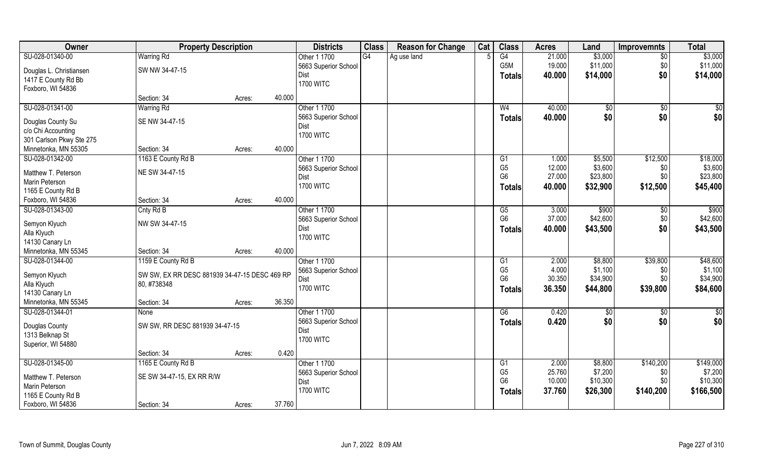| Owner                                   | <b>Property Description</b>                   |                  | <b>Districts</b>     | <b>Class</b> | <b>Reason for Change</b> | Cat | <b>Class</b>    | <b>Acres</b> | Land     | <b>Improvemnts</b> | <b>Total</b>  |
|-----------------------------------------|-----------------------------------------------|------------------|----------------------|--------------|--------------------------|-----|-----------------|--------------|----------|--------------------|---------------|
| SU-028-01340-00                         | <b>Warring Rd</b>                             |                  | Other 1 1700         | G4           | Ag use land              |     | $\overline{G4}$ | 21.000       | \$3,000  | $\overline{50}$    | \$3,000       |
| Douglas L. Christiansen                 | SW NW 34-47-15                                |                  | 5663 Superior School |              |                          |     | G5M             | 19.000       | \$11,000 | \$0                | \$11,000      |
| 1417 E County Rd Bb                     |                                               |                  | Dist                 |              |                          |     | <b>Totals</b>   | 40.000       | \$14,000 | \$0                | \$14,000      |
| Foxboro, WI 54836                       |                                               |                  | <b>1700 WITC</b>     |              |                          |     |                 |              |          |                    |               |
|                                         | Section: 34                                   | 40.000<br>Acres: |                      |              |                          |     |                 |              |          |                    |               |
| SU-028-01341-00                         | <b>Warring Rd</b>                             |                  | Other 1 1700         |              |                          |     | W <sub>4</sub>  | 40.000       | \$0      | $\sqrt{6}$         | $\sqrt{50}$   |
|                                         | SE NW 34-47-15                                |                  | 5663 Superior School |              |                          |     | Totals          | 40.000       | \$0      | \$0                | \$0           |
| Douglas County Su<br>c/o Chi Accounting |                                               |                  | Dist                 |              |                          |     |                 |              |          |                    |               |
| 301 Carlson Pkwy Ste 275                |                                               |                  | <b>1700 WITC</b>     |              |                          |     |                 |              |          |                    |               |
| Minnetonka, MN 55305                    | Section: 34                                   | 40.000<br>Acres: |                      |              |                          |     |                 |              |          |                    |               |
| SU-028-01342-00                         | 1163 E County Rd B                            |                  | Other 1 1700         |              |                          |     | G <sub>1</sub>  | 1.000        | \$5,500  | \$12,500           | \$18,000      |
|                                         |                                               |                  | 5663 Superior School |              |                          |     | G <sub>5</sub>  | 12.000       | \$3,600  | \$0                | \$3,600       |
| Matthew T. Peterson                     | NE SW 34-47-15                                |                  | Dist                 |              |                          |     | G <sub>6</sub>  | 27.000       | \$23,800 | \$0                | \$23,800      |
| <b>Marin Peterson</b>                   |                                               |                  | <b>1700 WITC</b>     |              |                          |     | Totals          | 40.000       | \$32,900 | \$12,500           | \$45,400      |
| 1165 E County Rd B                      |                                               |                  |                      |              |                          |     |                 |              |          |                    |               |
| Foxboro, WI 54836                       | Section: 34                                   | 40.000<br>Acres: |                      |              |                          |     |                 |              |          |                    |               |
| SU-028-01343-00                         | Cnty Rd B                                     |                  | Other 1 1700         |              |                          |     | G5              | 3.000        | \$900    | \$0                | \$900         |
| Semyon Klyuch                           | NW SW 34-47-15                                |                  | 5663 Superior School |              |                          |     | G <sub>6</sub>  | 37.000       | \$42,600 | \$0                | \$42,600      |
| Alla Klyuch                             |                                               |                  | Dist                 |              |                          |     | <b>Totals</b>   | 40.000       | \$43,500 | \$0                | \$43,500      |
| 14130 Canary Ln                         |                                               |                  | <b>1700 WITC</b>     |              |                          |     |                 |              |          |                    |               |
| Minnetonka, MN 55345                    | Section: 34                                   | 40.000<br>Acres: |                      |              |                          |     |                 |              |          |                    |               |
| SU-028-01344-00                         | 1159 E County Rd B                            |                  | Other 1 1700         |              |                          |     | G1              | 2.000        | \$8,800  | \$39,800           | \$48,600      |
|                                         |                                               |                  | 5663 Superior School |              |                          |     | G <sub>5</sub>  | 4.000        | \$1,100  | \$0                | \$1,100       |
| Semyon Klyuch                           | SW SW, EX RR DESC 881939 34-47-15 DESC 469 RP |                  | Dist                 |              |                          |     | G <sub>6</sub>  | 30.350       | \$34,900 | \$0                | \$34,900      |
| Alla Klyuch                             | 80, #738348                                   |                  | <b>1700 WITC</b>     |              |                          |     | <b>Totals</b>   | 36.350       | \$44,800 | \$39,800           | \$84,600      |
| 14130 Canary Ln                         |                                               |                  |                      |              |                          |     |                 |              |          |                    |               |
| Minnetonka, MN 55345                    | Section: 34                                   | 36.350<br>Acres: |                      |              |                          |     |                 |              |          |                    |               |
| SU-028-01344-01                         | None                                          |                  | Other 1 1700         |              |                          |     | G6              | 0.420        | \$0      | \$0                | $\frac{6}{3}$ |
| Douglas County                          | SW SW, RR DESC 881939 34-47-15                |                  | 5663 Superior School |              |                          |     | <b>Totals</b>   | 0.420        | \$0      | \$0                | \$0           |
| 1313 Belknap St                         |                                               |                  | Dist                 |              |                          |     |                 |              |          |                    |               |
| Superior, WI 54880                      |                                               |                  | <b>1700 WITC</b>     |              |                          |     |                 |              |          |                    |               |
|                                         | Section: 34                                   | 0.420<br>Acres:  |                      |              |                          |     |                 |              |          |                    |               |
| SU-028-01345-00                         | 1165 E County Rd B                            |                  | Other 1 1700         |              |                          |     | G1              | 2.000        | \$8,800  | \$140,200          | \$149,000     |
|                                         |                                               |                  | 5663 Superior School |              |                          |     | G <sub>5</sub>  | 25.760       | \$7,200  | \$0                | \$7,200       |
| Matthew T. Peterson                     | SE SW 34-47-15, EX RR R/W                     |                  | Dist                 |              |                          |     | G <sub>6</sub>  | 10.000       | \$10,300 | \$0                | \$10,300      |
| Marin Peterson                          |                                               |                  | <b>1700 WITC</b>     |              |                          |     | <b>Totals</b>   | 37.760       | \$26,300 | \$140,200          | \$166,500     |
| 1165 E County Rd B                      |                                               |                  |                      |              |                          |     |                 |              |          |                    |               |
| Foxboro, WI 54836                       | Section: 34                                   | 37.760<br>Acres: |                      |              |                          |     |                 |              |          |                    |               |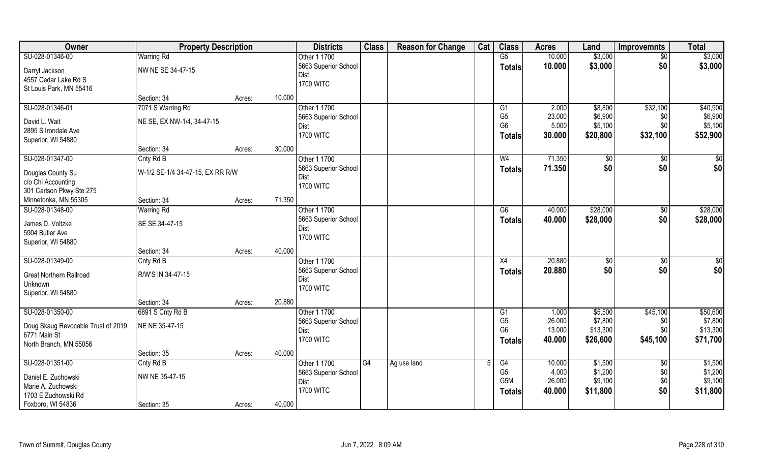| Owner                              | <b>Property Description</b>      |        |        | <b>Districts</b>         | <b>Class</b> | <b>Reason for Change</b> | Cat | <b>Class</b>   | <b>Acres</b> | Land     | <b>Improvemnts</b> | <b>Total</b>    |
|------------------------------------|----------------------------------|--------|--------|--------------------------|--------------|--------------------------|-----|----------------|--------------|----------|--------------------|-----------------|
| SU-028-01346-00                    | <b>Warring Rd</b>                |        |        | Other 1 1700             |              |                          |     | G5             | 10.000       | \$3,000  | $\overline{50}$    | \$3,000         |
| Darryl Jackson                     | NW NE SE 34-47-15                |        |        | 5663 Superior School     |              |                          |     | <b>Totals</b>  | 10.000       | \$3,000  | \$0                | \$3,000         |
| 4557 Cedar Lake Rd S               |                                  |        |        | Dist                     |              |                          |     |                |              |          |                    |                 |
| St Louis Park, MN 55416            |                                  |        |        | <b>1700 WITC</b>         |              |                          |     |                |              |          |                    |                 |
|                                    | Section: 34                      | Acres: | 10.000 |                          |              |                          |     |                |              |          |                    |                 |
| SU-028-01346-01                    | 7071 S Warring Rd                |        |        | Other 1 1700             |              |                          |     | G1             | 2.000        | \$8,800  | \$32,100           | \$40,900        |
| David L. Wait                      | NE SE, EX NW-1/4, 34-47-15       |        |        | 5663 Superior School     |              |                          |     | G <sub>5</sub> | 23.000       | \$6,900  | \$0                | \$6,900         |
| 2895 S Irondale Ave                |                                  |        |        | Dist                     |              |                          |     | G <sub>6</sub> | 5.000        | \$5,100  | \$0                | \$5,100         |
| Superior, WI 54880                 |                                  |        |        | <b>1700 WITC</b>         |              |                          |     | <b>Totals</b>  | 30.000       | \$20,800 | \$32,100           | \$52,900        |
|                                    | Section: 34                      | Acres: | 30.000 |                          |              |                          |     |                |              |          |                    |                 |
| SU-028-01347-00                    | Cnty Rd B                        |        |        | Other 1 1700             |              |                          |     | W <sub>4</sub> | 71.350       | \$0      | \$0                | \$0             |
|                                    |                                  |        |        | 5663 Superior School     |              |                          |     | <b>Totals</b>  | 71.350       | \$0      | \$0                | \$0             |
| Douglas County Su                  | W-1/2 SE-1/4 34-47-15, EX RR R/W |        |        | Dist                     |              |                          |     |                |              |          |                    |                 |
| c/o Chi Accounting                 |                                  |        |        | <b>1700 WITC</b>         |              |                          |     |                |              |          |                    |                 |
| 301 Carlson Pkwy Ste 275           |                                  |        |        |                          |              |                          |     |                |              |          |                    |                 |
| Minnetonka, MN 55305               | Section: 34                      | Acres: | 71.350 |                          |              |                          |     |                |              |          |                    |                 |
| SU-028-01348-00                    | <b>Warring Rd</b>                |        |        | Other 1 1700             |              |                          |     | G6             | 40.000       | \$28,000 | $\sqrt[6]{3}$      | \$28,000        |
| James D. Voltzke                   | SE SE 34-47-15                   |        |        | 5663 Superior School     |              |                          |     | <b>Totals</b>  | 40.000       | \$28,000 | \$0                | \$28,000        |
| 5904 Butler Ave                    |                                  |        |        | Dist<br><b>1700 WITC</b> |              |                          |     |                |              |          |                    |                 |
| Superior, WI 54880                 |                                  |        |        |                          |              |                          |     |                |              |          |                    |                 |
|                                    | Section: 34                      | Acres: | 40.000 |                          |              |                          |     |                |              |          |                    |                 |
| SU-028-01349-00                    | Cnty Rd B                        |        |        | Other 1 1700             |              |                          |     | X4             | 20.880       | \$0      | $\overline{50}$    | $\overline{50}$ |
| <b>Great Northern Railroad</b>     | R/W'S IN 34-47-15                |        |        | 5663 Superior School     |              |                          |     | <b>Totals</b>  | 20.880       | \$0      | \$0                | \$0             |
| Unknown                            |                                  |        |        | Dist                     |              |                          |     |                |              |          |                    |                 |
| Superior, WI 54880                 |                                  |        |        | <b>1700 WITC</b>         |              |                          |     |                |              |          |                    |                 |
|                                    | Section: 34                      | Acres: | 20.880 |                          |              |                          |     |                |              |          |                    |                 |
| SU-028-01350-00                    | 6891 S Cnty Rd B                 |        |        | Other 1 1700             |              |                          |     | G1             | 1.000        | \$5,500  | \$45,100           | \$50,600        |
| Doug Skaug Revocable Trust of 2019 | NE NE 35-47-15                   |        |        | 5663 Superior School     |              |                          |     | G <sub>5</sub> | 26.000       | \$7,800  | \$0                | \$7,800         |
| 6771 Main St                       |                                  |        |        | Dist                     |              |                          |     | G <sub>6</sub> | 13.000       | \$13,300 | \$0                | \$13,300        |
| North Branch, MN 55056             |                                  |        |        | <b>1700 WITC</b>         |              |                          |     | <b>Totals</b>  | 40.000       | \$26,600 | \$45,100           | \$71,700        |
|                                    | Section: 35                      | Acres: | 40.000 |                          |              |                          |     |                |              |          |                    |                 |
| SU-028-01351-00                    | Cnty Rd B                        |        |        | Other 1 1700             | G4           | Ag use land              |     | G4             | 10.000       | \$1,500  | $\overline{50}$    | \$1,500         |
| Daniel E. Zuchowski                | NW NE 35-47-15                   |        |        | 5663 Superior School     |              |                          |     | G <sub>5</sub> | 4.000        | \$1,200  | \$0                | \$1,200         |
| Marie A. Zuchowski                 |                                  |        |        | Dist                     |              |                          |     | G5M            | 26.000       | \$9,100  | \$0                | \$9,100         |
| 1703 E Zuchowski Rd                |                                  |        |        | <b>1700 WITC</b>         |              |                          |     | <b>Totals</b>  | 40.000       | \$11,800 | \$0                | \$11,800        |
| Foxboro, WI 54836                  | Section: 35                      | Acres: | 40.000 |                          |              |                          |     |                |              |          |                    |                 |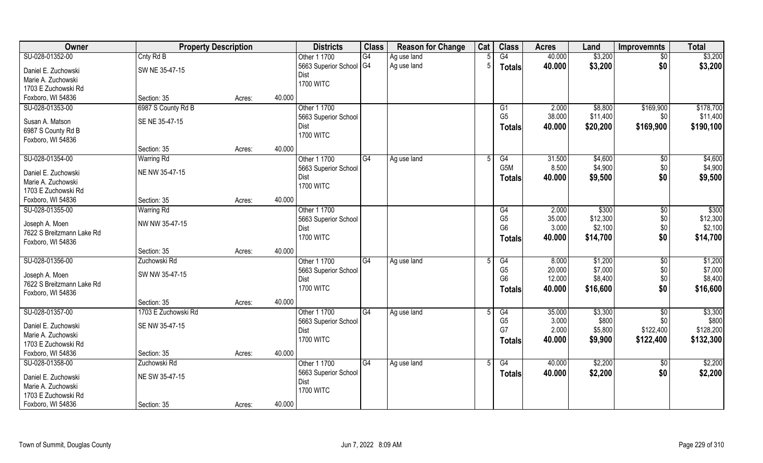| Owner                     | <b>Property Description</b> |                  | <b>Districts</b>             | <b>Class</b> | <b>Reason for Change</b> | Cat            | <b>Class</b>    | <b>Acres</b>    | Land               | <b>Improvemnts</b> | <b>Total</b>       |
|---------------------------|-----------------------------|------------------|------------------------------|--------------|--------------------------|----------------|-----------------|-----------------|--------------------|--------------------|--------------------|
| SU-028-01352-00           | Cnty Rd B                   |                  | Other 1 1700                 | G4           | Ag use land              |                | G4              | 40.000          | \$3,200            | $\overline{50}$    | \$3,200            |
| Daniel E. Zuchowski       | SW NE 35-47-15              |                  | 5663 Superior School G4      |              | Ag use land              | $\overline{5}$ | <b>Totals</b>   | 40.000          | \$3,200            | \$0                | \$3,200            |
| Marie A. Zuchowski        |                             |                  | Dist                         |              |                          |                |                 |                 |                    |                    |                    |
| 1703 E Zuchowski Rd       |                             |                  | <b>1700 WITC</b>             |              |                          |                |                 |                 |                    |                    |                    |
| Foxboro, WI 54836         | Section: 35                 | 40.000<br>Acres: |                              |              |                          |                |                 |                 |                    |                    |                    |
| SU-028-01353-00           | 6987 S County Rd B          |                  | Other 1 1700                 |              |                          |                | G1              | 2.000           | \$8,800            | \$169,900          | \$178,700          |
|                           |                             |                  | 5663 Superior School         |              |                          |                | G <sub>5</sub>  | 38.000          | \$11,400           | \$0                | \$11,400           |
| Susan A. Matson           | SE NE 35-47-15              |                  | Dist                         |              |                          |                | <b>Totals</b>   | 40.000          | \$20,200           | \$169,900          | \$190,100          |
| 6987 S County Rd B        |                             |                  | <b>1700 WITC</b>             |              |                          |                |                 |                 |                    |                    |                    |
| Foxboro, WI 54836         | Section: 35                 | 40.000           |                              |              |                          |                |                 |                 |                    |                    |                    |
|                           |                             | Acres:           |                              |              |                          |                |                 |                 |                    |                    |                    |
| SU-028-01354-00           | <b>Warring Rd</b>           |                  | Other 1 1700                 | IG4          | Ag use land              | .5             | G4<br>G5M       | 31.500<br>8.500 | \$4,600<br>\$4,900 | \$0<br>\$0         | \$4,600<br>\$4,900 |
| Daniel E. Zuchowski       | NE NW 35-47-15              |                  | 5663 Superior School<br>Dist |              |                          |                |                 |                 |                    |                    |                    |
| Marie A. Zuchowski        |                             |                  | <b>1700 WITC</b>             |              |                          |                | <b>Totals</b>   | 40.000          | \$9,500            | \$0                | \$9,500            |
| 1703 E Zuchowski Rd       |                             |                  |                              |              |                          |                |                 |                 |                    |                    |                    |
| Foxboro, WI 54836         | Section: 35                 | 40.000<br>Acres: |                              |              |                          |                |                 |                 |                    |                    |                    |
| SU-028-01355-00           | <b>Warring Rd</b>           |                  | Other 1 1700                 |              |                          |                | G4              | 2.000           | \$300              | \$0                | $\overline{$300}$  |
| Joseph A. Moen            | NW NW 35-47-15              |                  | 5663 Superior School         |              |                          |                | G <sub>5</sub>  | 35.000          | \$12,300           | \$0\$              | \$12,300           |
| 7622 S Breitzmann Lake Rd |                             |                  | Dist                         |              |                          |                | G <sub>6</sub>  | 3.000           | \$2,100            | \$0                | \$2,100            |
| Foxboro, WI 54836         |                             |                  | <b>1700 WITC</b>             |              |                          |                | <b>Totals</b>   | 40.000          | \$14,700           | \$0                | \$14,700           |
|                           | Section: 35                 | 40.000<br>Acres: |                              |              |                          |                |                 |                 |                    |                    |                    |
| SU-028-01356-00           | Zuchowski Rd                |                  | Other 1 1700                 | G4           | Ag use land              | .5             | $\overline{G4}$ | 8.000           | \$1,200            | \$0                | \$1,200            |
|                           |                             |                  | 5663 Superior School         |              |                          |                | G <sub>5</sub>  | 20.000          | \$7,000            | \$0                | \$7,000            |
| Joseph A. Moen            | SW NW 35-47-15              |                  | Dist                         |              |                          |                | G <sub>6</sub>  | 12.000          | \$8,400            | \$0                | \$8,400            |
| 7622 S Breitzmann Lake Rd |                             |                  | <b>1700 WITC</b>             |              |                          |                | <b>Totals</b>   | 40.000          | \$16,600           | \$0                | \$16,600           |
| Foxboro, WI 54836         |                             |                  |                              |              |                          |                |                 |                 |                    |                    |                    |
|                           | Section: 35                 | 40.000<br>Acres: |                              |              |                          |                |                 |                 |                    |                    |                    |
| SU-028-01357-00           | 1703 E Zuchowski Rd         |                  | Other 1 1700                 | G4           | Ag use land              |                | G4              | 35.000          | \$3,300            | \$0                | \$3,300            |
| Daniel E. Zuchowski       | SE NW 35-47-15              |                  | 5663 Superior School         |              |                          |                | G <sub>5</sub>  | 3.000           | \$800              | \$0                | \$800              |
| Marie A. Zuchowski        |                             |                  | Dist                         |              |                          |                | G7              | 2.000           | \$5,800            | \$122,400          | \$128,200          |
| 1703 E Zuchowski Rd       |                             |                  | <b>1700 WITC</b>             |              |                          |                | <b>Totals</b>   | 40.000          | \$9,900            | \$122,400          | \$132,300          |
| Foxboro, WI 54836         | Section: 35                 | 40.000<br>Acres: |                              |              |                          |                |                 |                 |                    |                    |                    |
| SU-028-01358-00           | Zuchowski Rd                |                  | Other 1 1700                 | G4           | Ag use land              |                | G4              | 40.000          | \$2,200            | $\overline{50}$    | \$2,200            |
| Daniel E. Zuchowski       | NE SW 35-47-15              |                  | 5663 Superior School         |              |                          |                | <b>Totals</b>   | 40.000          | \$2,200            | \$0                | \$2,200            |
| Marie A. Zuchowski        |                             |                  | Dist                         |              |                          |                |                 |                 |                    |                    |                    |
| 1703 E Zuchowski Rd       |                             |                  | <b>1700 WITC</b>             |              |                          |                |                 |                 |                    |                    |                    |
| Foxboro, WI 54836         | Section: 35                 | 40.000<br>Acres: |                              |              |                          |                |                 |                 |                    |                    |                    |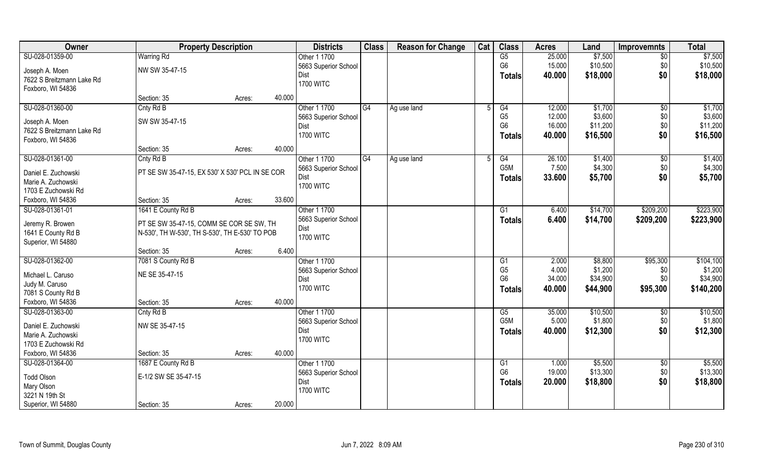| Owner                                       | <b>Property Description</b>                     |                  | <b>Districts</b>     | <b>Class</b> | <b>Reason for Change</b> | Cat | <b>Class</b>     | <b>Acres</b> | Land     | <b>Improvemnts</b> | <b>Total</b> |
|---------------------------------------------|-------------------------------------------------|------------------|----------------------|--------------|--------------------------|-----|------------------|--------------|----------|--------------------|--------------|
| SU-028-01359-00                             | <b>Warring Rd</b>                               |                  | Other 1 1700         |              |                          |     | G5               | 25.000       | \$7,500  | $\overline{30}$    | \$7,500      |
| Joseph A. Moen                              | NW SW 35-47-15                                  |                  | 5663 Superior School |              |                          |     | G <sub>6</sub>   | 15.000       | \$10,500 | \$0                | \$10,500     |
| 7622 S Breitzmann Lake Rd                   |                                                 |                  | Dist                 |              |                          |     | <b>Totals</b>    | 40.000       | \$18,000 | \$0                | \$18,000     |
| Foxboro, WI 54836                           |                                                 |                  | <b>1700 WITC</b>     |              |                          |     |                  |              |          |                    |              |
|                                             | Section: 35                                     | 40.000<br>Acres: |                      |              |                          |     |                  |              |          |                    |              |
| SU-028-01360-00                             | Cnty Rd B                                       |                  | Other 1 1700         | G4           | Ag use land              |     | G4               | 12.000       | \$1,700  | $\overline{50}$    | \$1,700      |
|                                             | SW SW 35-47-15                                  |                  | 5663 Superior School |              |                          |     | G <sub>5</sub>   | 12.000       | \$3,600  | \$0                | \$3,600      |
| Joseph A. Moen<br>7622 S Breitzmann Lake Rd |                                                 |                  | Dist                 |              |                          |     | G <sub>6</sub>   | 16.000       | \$11,200 | \$0                | \$11,200     |
| Foxboro, WI 54836                           |                                                 |                  | <b>1700 WITC</b>     |              |                          |     | <b>Totals</b>    | 40.000       | \$16,500 | \$0                | \$16,500     |
|                                             | Section: 35                                     | 40.000<br>Acres: |                      |              |                          |     |                  |              |          |                    |              |
| SU-028-01361-00                             | Cnty Rd B                                       |                  | Other 1 1700         | G4           | Ag use land              | .5  | G4               | 26.100       | \$1,400  | $\sqrt[6]{30}$     | \$1,400      |
|                                             |                                                 |                  | 5663 Superior School |              |                          |     | G <sub>5</sub> M | 7.500        | \$4,300  | \$0                | \$4,300      |
| Daniel E. Zuchowski                         | PT SE SW 35-47-15, EX 530' X 530' PCL IN SE COR |                  | Dist                 |              |                          |     | <b>Totals</b>    | 33.600       | \$5,700  | \$0                | \$5,700      |
| Marie A. Zuchowski                          |                                                 |                  | <b>1700 WITC</b>     |              |                          |     |                  |              |          |                    |              |
| 1703 E Zuchowski Rd                         |                                                 |                  |                      |              |                          |     |                  |              |          |                    |              |
| Foxboro, WI 54836                           | Section: 35                                     | 33.600<br>Acres: |                      |              |                          |     |                  |              |          |                    |              |
| SU-028-01361-01                             | 1641 E County Rd B                              |                  | Other 1 1700         |              |                          |     | G1               | 6.400        | \$14,700 | \$209,200          | \$223,900    |
| Jeremy R. Browen                            | PT SE SW 35-47-15, COMM SE COR SE SW, TH        |                  | 5663 Superior School |              |                          |     | <b>Totals</b>    | 6.400        | \$14,700 | \$209,200          | \$223,900    |
| 1641 E County Rd B                          | N-530', TH W-530', TH S-530', TH E-530' TO POB  |                  | <b>Dist</b>          |              |                          |     |                  |              |          |                    |              |
| Superior, WI 54880                          |                                                 |                  | <b>1700 WITC</b>     |              |                          |     |                  |              |          |                    |              |
|                                             | Section: 35                                     | 6.400<br>Acres:  |                      |              |                          |     |                  |              |          |                    |              |
| SU-028-01362-00                             | 7081 S County Rd B                              |                  | Other 1 1700         |              |                          |     | G1               | 2.000        | \$8,800  | \$95,300           | \$104,100    |
| Michael L. Caruso                           | NE SE 35-47-15                                  |                  | 5663 Superior School |              |                          |     | G <sub>5</sub>   | 4.000        | \$1,200  | \$0                | \$1,200      |
| Judy M. Caruso                              |                                                 |                  | Dist                 |              |                          |     | G <sub>6</sub>   | 34.000       | \$34,900 | \$0                | \$34,900     |
| 7081 S County Rd B                          |                                                 |                  | <b>1700 WITC</b>     |              |                          |     | <b>Totals</b>    | 40.000       | \$44,900 | \$95,300           | \$140,200    |
| Foxboro, WI 54836                           | Section: 35                                     | 40.000<br>Acres: |                      |              |                          |     |                  |              |          |                    |              |
| SU-028-01363-00                             | Cnty Rd B                                       |                  | Other 1 1700         |              |                          |     | G5               | 35.000       | \$10,500 | \$0                | \$10,500     |
|                                             |                                                 |                  | 5663 Superior School |              |                          |     | G5M              | 5.000        | \$1,800  | \$0                | \$1,800      |
| Daniel E. Zuchowski                         | NW SE 35-47-15                                  |                  | Dist                 |              |                          |     | <b>Totals</b>    | 40.000       | \$12,300 | \$0                | \$12,300     |
| Marie A. Zuchowski                          |                                                 |                  | <b>1700 WITC</b>     |              |                          |     |                  |              |          |                    |              |
| 1703 E Zuchowski Rd                         |                                                 |                  |                      |              |                          |     |                  |              |          |                    |              |
| Foxboro, WI 54836                           | Section: 35                                     | 40.000<br>Acres: |                      |              |                          |     |                  |              |          |                    |              |
| SU-028-01364-00                             | 1687 E County Rd B                              |                  | Other 1 1700         |              |                          |     | G1               | 1.000        | \$5,500  | $\sqrt{6}$         | \$5,500      |
| <b>Todd Olson</b>                           | E-1/2 SW SE 35-47-15                            |                  | 5663 Superior School |              |                          |     | G <sub>6</sub>   | 19.000       | \$13,300 | \$0                | \$13,300     |
| Mary Olson                                  |                                                 |                  | Dist                 |              |                          |     | <b>Totals</b>    | 20.000       | \$18,800 | \$0                | \$18,800     |
| 3221 N 19th St                              |                                                 |                  | <b>1700 WITC</b>     |              |                          |     |                  |              |          |                    |              |
| Superior, WI 54880                          | Section: 35                                     | 20.000<br>Acres: |                      |              |                          |     |                  |              |          |                    |              |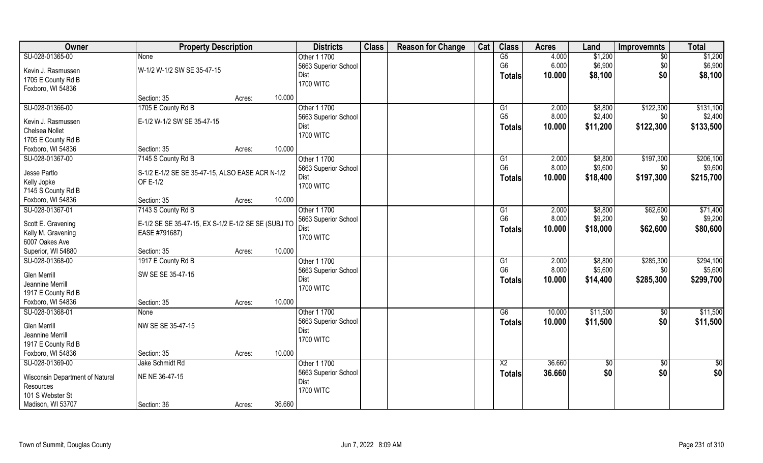| Owner                                 | <b>Property Description</b>                         |                  | <b>Districts</b>         | <b>Class</b> | <b>Reason for Change</b> | Cat | <b>Class</b>         | <b>Acres</b> | Land       | <b>Improvemnts</b> | <b>Total</b> |
|---------------------------------------|-----------------------------------------------------|------------------|--------------------------|--------------|--------------------------|-----|----------------------|--------------|------------|--------------------|--------------|
| SU-028-01365-00                       | <b>None</b>                                         |                  | Other 1 1700             |              |                          |     | $\overline{G5}$      | 4.000        | \$1,200    | $\overline{50}$    | \$1,200      |
| Kevin J. Rasmussen                    | W-1/2 W-1/2 SW SE 35-47-15                          |                  | 5663 Superior School     |              |                          |     | G <sub>6</sub>       | 6.000        | \$6,900    | \$0                | \$6,900      |
| 1705 E County Rd B                    |                                                     |                  | Dist                     |              |                          |     | Totals               | 10.000       | \$8,100    | \$0                | \$8,100      |
| Foxboro, WI 54836                     |                                                     |                  | <b>1700 WITC</b>         |              |                          |     |                      |              |            |                    |              |
|                                       | Section: 35                                         | 10.000<br>Acres: |                          |              |                          |     |                      |              |            |                    |              |
| SU-028-01366-00                       | 1705 E County Rd B                                  |                  | Other 1 1700             |              |                          |     | $\overline{G1}$      | 2.000        | \$8,800    | \$122,300          | \$131,100    |
|                                       | E-1/2 W-1/2 SW SE 35-47-15                          |                  | 5663 Superior School     |              |                          |     | G <sub>5</sub>       | 8.000        | \$2,400    | \$0                | \$2,400      |
| Kevin J. Rasmussen<br>Chelsea Nollet  |                                                     |                  | Dist                     |              |                          |     | <b>Totals</b>        | 10.000       | \$11,200   | \$122,300          | \$133,500    |
| 1705 E County Rd B                    |                                                     |                  | <b>1700 WITC</b>         |              |                          |     |                      |              |            |                    |              |
| Foxboro, WI 54836                     | Section: 35                                         | 10.000           |                          |              |                          |     |                      |              |            |                    |              |
| SU-028-01367-00                       |                                                     | Acres:           | Other 1 1700             |              |                          |     |                      | 2.000        | \$8,800    | \$197,300          | \$206,100    |
|                                       | 7145 S County Rd B                                  |                  |                          |              |                          |     | G1<br>G <sub>6</sub> |              |            |                    |              |
| Jesse Partlo                          | S-1/2 E-1/2 SE SE 35-47-15, ALSO EASE ACR N-1/2     |                  | 5663 Superior School     |              |                          |     |                      | 8.000        | \$9,600    | \$0                | \$9,600      |
| Kelly Jopke                           | OF E-1/2                                            |                  | Dist<br><b>1700 WITC</b> |              |                          |     | <b>Totals</b>        | 10.000       | \$18,400   | \$197,300          | \$215,700    |
| 7145 S County Rd B                    |                                                     |                  |                          |              |                          |     |                      |              |            |                    |              |
| Foxboro, WI 54836                     | Section: 35                                         | 10.000<br>Acres: |                          |              |                          |     |                      |              |            |                    |              |
| SU-028-01367-01                       | 7143 S County Rd B                                  |                  | Other 1 1700             |              |                          |     | G1                   | 2.000        | \$8,800    | \$62,600           | \$71,400     |
|                                       |                                                     |                  | 5663 Superior School     |              |                          |     | G <sub>6</sub>       | 8.000        | \$9,200    | \$0                | \$9,200      |
| Scott E. Gravening                    | E-1/2 SE SE 35-47-15, EX S-1/2 E-1/2 SE SE (SUBJ TO |                  | Dist                     |              |                          |     | <b>Totals</b>        | 10.000       | \$18,000   | \$62,600           | \$80,600     |
| Kelly M. Gravening<br>6007 Oakes Ave  | EASE #791687)                                       |                  | <b>1700 WITC</b>         |              |                          |     |                      |              |            |                    |              |
|                                       | Section: 35                                         | 10.000           |                          |              |                          |     |                      |              |            |                    |              |
| Superior, WI 54880<br>SU-028-01368-00 | 1917 E County Rd B                                  | Acres:           |                          |              |                          |     | $\overline{G1}$      | 2.000        | \$8,800    | \$285,300          | \$294,100    |
|                                       |                                                     |                  | Other 1 1700             |              |                          |     | G <sub>6</sub>       |              |            |                    |              |
| <b>Glen Merrill</b>                   | SW SE SE 35-47-15                                   |                  | 5663 Superior School     |              |                          |     |                      | 8.000        | \$5,600    | \$0                | \$5,600      |
| Jeannine Merrill                      |                                                     |                  | Dist<br><b>1700 WITC</b> |              |                          |     | <b>Totals</b>        | 10.000       | \$14,400   | \$285,300          | \$299,700    |
| 1917 E County Rd B                    |                                                     |                  |                          |              |                          |     |                      |              |            |                    |              |
| Foxboro, WI 54836                     | Section: 35                                         | 10.000<br>Acres: |                          |              |                          |     |                      |              |            |                    |              |
| SU-028-01368-01                       | None                                                |                  | Other 1 1700             |              |                          |     | G6                   | 10.000       | \$11,500   | $\sqrt{6}$         | \$11,500     |
| Glen Merrill                          | NW SE SE 35-47-15                                   |                  | 5663 Superior School     |              |                          |     | <b>Totals</b>        | 10.000       | \$11,500   | \$0                | \$11,500     |
| Jeannine Merrill                      |                                                     |                  | Dist                     |              |                          |     |                      |              |            |                    |              |
| 1917 E County Rd B                    |                                                     |                  | <b>1700 WITC</b>         |              |                          |     |                      |              |            |                    |              |
| Foxboro, WI 54836                     | Section: 35                                         | 10.000<br>Acres: |                          |              |                          |     |                      |              |            |                    |              |
| SU-028-01369-00                       | Jake Schmidt Rd                                     |                  | Other 1 1700             |              |                          |     | $\overline{X2}$      | 36.660       |            |                    |              |
|                                       |                                                     |                  | 5663 Superior School     |              |                          |     |                      | 36.660       | \$0<br>\$0 | \$0<br>\$0         | \$0          |
| Wisconsin Department of Natural       | NE NE 36-47-15                                      |                  | Dist                     |              |                          |     | <b>Totals</b>        |              |            |                    | \$0          |
| Resources                             |                                                     |                  | <b>1700 WITC</b>         |              |                          |     |                      |              |            |                    |              |
| 101 S Webster St                      |                                                     |                  |                          |              |                          |     |                      |              |            |                    |              |
| Madison, WI 53707                     | Section: 36                                         | 36.660<br>Acres: |                          |              |                          |     |                      |              |            |                    |              |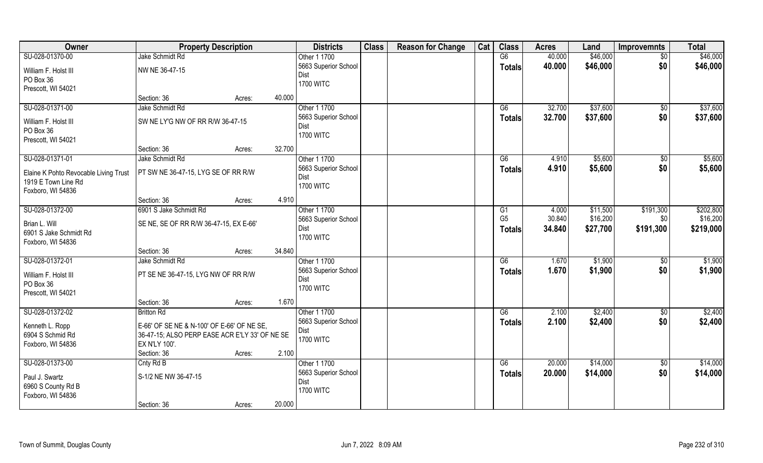| Owner                                 | <b>Property Description</b>                    |        | <b>Districts</b>     | <b>Class</b> | <b>Reason for Change</b> | Cat | <b>Class</b>                     | <b>Acres</b> | Land     | <b>Improvemnts</b> | <b>Total</b> |
|---------------------------------------|------------------------------------------------|--------|----------------------|--------------|--------------------------|-----|----------------------------------|--------------|----------|--------------------|--------------|
| SU-028-01370-00                       | Jake Schmidt Rd                                |        | Other 1 1700         |              |                          |     | G6                               | 40.000       | \$46,000 | $\overline{50}$    | \$46,000     |
| William F. Holst III                  | NW NE 36-47-15                                 |        | 5663 Superior School |              |                          |     | <b>Totals</b>                    | 40.000       | \$46,000 | \$0                | \$46,000     |
| PO Box 36                             |                                                |        | Dist                 |              |                          |     |                                  |              |          |                    |              |
| Prescott, WI 54021                    |                                                |        | <b>1700 WITC</b>     |              |                          |     |                                  |              |          |                    |              |
|                                       | Section: 36                                    | Acres: | 40.000               |              |                          |     |                                  |              |          |                    |              |
| SU-028-01371-00                       | Jake Schmidt Rd                                |        | Other 1 1700         |              |                          |     | G6                               | 32.700       | \$37,600 | $\overline{50}$    | \$37,600     |
| William F. Holst III                  | SW NE LY'G NW OF RR R/W 36-47-15               |        | 5663 Superior School |              |                          |     | <b>Totals</b>                    | 32.700       | \$37,600 | \$0                | \$37,600     |
| PO Box 36                             |                                                |        | Dist                 |              |                          |     |                                  |              |          |                    |              |
| Prescott, WI 54021                    |                                                |        | <b>1700 WITC</b>     |              |                          |     |                                  |              |          |                    |              |
|                                       | Section: 36                                    | Acres: | 32.700               |              |                          |     |                                  |              |          |                    |              |
| SU-028-01371-01                       | Jake Schmidt Rd                                |        | Other 1 1700         |              |                          |     | G6                               | 4.910        | \$5,600  | $\sqrt[6]{30}$     | \$5,600      |
|                                       |                                                |        | 5663 Superior School |              |                          |     | <b>Totals</b>                    | 4.910        | \$5,600  | \$0                | \$5,600      |
| Elaine K Pohto Revocable Living Trust | PT SW NE 36-47-15, LYG SE OF RR R/W            |        | Dist                 |              |                          |     |                                  |              |          |                    |              |
| 1919 E Town Line Rd                   |                                                |        | <b>1700 WITC</b>     |              |                          |     |                                  |              |          |                    |              |
| Foxboro, WI 54836                     | Section: 36                                    |        | 4.910                |              |                          |     |                                  |              |          |                    |              |
| SU-028-01372-00                       | 6901 S Jake Schmidt Rd                         | Acres: | Other 1 1700         |              |                          |     |                                  | 4.000        | \$11,500 | \$191,300          | \$202,800    |
|                                       |                                                |        | 5663 Superior School |              |                          |     | G <sub>1</sub><br>G <sub>5</sub> | 30.840       | \$16,200 | \$0                | \$16,200     |
| Brian L. Will                         | SE NE, SE OF RR R/W 36-47-15, EX E-66'         |        | Dist                 |              |                          |     |                                  | 34.840       | \$27,700 | \$191,300          | \$219,000    |
| 6901 S Jake Schmidt Rd                |                                                |        | <b>1700 WITC</b>     |              |                          |     | <b>Totals</b>                    |              |          |                    |              |
| Foxboro, WI 54836                     |                                                |        |                      |              |                          |     |                                  |              |          |                    |              |
|                                       | Section: 36                                    | Acres: | 34.840               |              |                          |     |                                  |              |          |                    |              |
| SU-028-01372-01                       | Jake Schmidt Rd                                |        | Other 1 1700         |              |                          |     | G6                               | 1.670        | \$1,900  | \$0                | \$1,900      |
| William F. Holst III                  | PT SE NE 36-47-15, LYG NW OF RR R/W            |        | 5663 Superior School |              |                          |     | <b>Totals</b>                    | 1.670        | \$1,900  | \$0                | \$1,900      |
| PO Box 36                             |                                                |        | Dist                 |              |                          |     |                                  |              |          |                    |              |
| Prescott, WI 54021                    |                                                |        | <b>1700 WITC</b>     |              |                          |     |                                  |              |          |                    |              |
|                                       | Section: 36                                    | Acres: | 1.670                |              |                          |     |                                  |              |          |                    |              |
| SU-028-01372-02                       | <b>Britton Rd</b>                              |        | Other 1 1700         |              |                          |     | G6                               | 2.100        | \$2,400  | \$0                | \$2,400      |
| Kenneth L. Ropp                       | E-66' OF SE NE & N-100' OF E-66' OF NE SE,     |        | 5663 Superior School |              |                          |     | <b>Totals</b>                    | 2.100        | \$2,400  | \$0                | \$2,400      |
| 6904 S Schmid Rd                      | 36-47-15; ALSO PERP EASE ACR E'LY 33' OF NE SE |        | Dist                 |              |                          |     |                                  |              |          |                    |              |
| Foxboro, WI 54836                     | EX N'LY 100'.                                  |        | <b>1700 WITC</b>     |              |                          |     |                                  |              |          |                    |              |
|                                       | Section: 36                                    | Acres: | 2.100                |              |                          |     |                                  |              |          |                    |              |
| SU-028-01373-00                       | Cnty Rd B                                      |        | Other 1 1700         |              |                          |     | G6                               | 20.000       | \$14,000 | $\sqrt{$0}$        | \$14,000     |
| Paul J. Swartz                        | S-1/2 NE NW 36-47-15                           |        | 5663 Superior School |              |                          |     | <b>Totals</b>                    | 20.000       | \$14,000 | \$0                | \$14,000     |
| 6960 S County Rd B                    |                                                |        | Dist                 |              |                          |     |                                  |              |          |                    |              |
| Foxboro, WI 54836                     |                                                |        | <b>1700 WITC</b>     |              |                          |     |                                  |              |          |                    |              |
|                                       | Section: 36                                    | Acres: | 20.000               |              |                          |     |                                  |              |          |                    |              |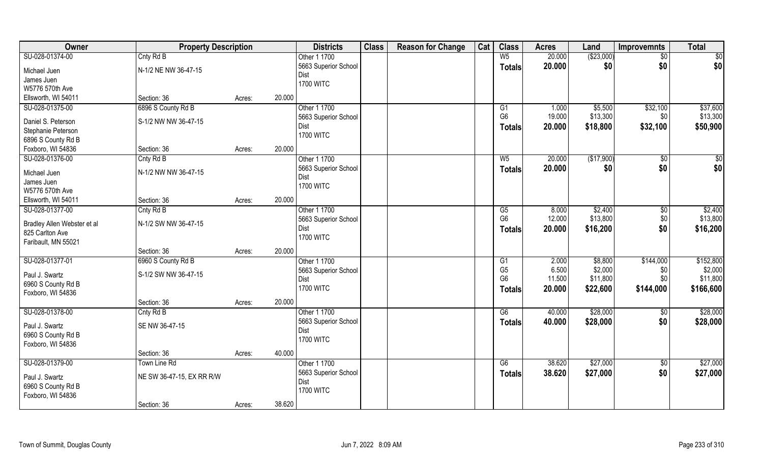| Owner                                  | <b>Property Description</b> |        |        | <b>Districts</b>                     | <b>Class</b> | <b>Reason for Change</b> | Cat | <b>Class</b>                    | <b>Acres</b>     | Land                 | <b>Improvemnts</b> | <b>Total</b>         |
|----------------------------------------|-----------------------------|--------|--------|--------------------------------------|--------------|--------------------------|-----|---------------------------------|------------------|----------------------|--------------------|----------------------|
| SU-028-01374-00                        | Cnty Rd B                   |        |        | Other 1 1700                         |              |                          |     | W <sub>5</sub>                  | 20.000           | ( \$23,000)          | $\sqrt{$0}$        | \$0                  |
| Michael Juen                           | N-1/2 NE NW 36-47-15        |        |        | 5663 Superior School<br><b>Dist</b>  |              |                          |     | <b>Totals</b>                   | 20.000           | \$0                  | \$0                | \$0                  |
| James Juen                             |                             |        |        | <b>1700 WITC</b>                     |              |                          |     |                                 |                  |                      |                    |                      |
| W5776 570th Ave                        |                             |        |        |                                      |              |                          |     |                                 |                  |                      |                    |                      |
| Ellsworth, WI 54011                    | Section: 36                 | Acres: | 20.000 |                                      |              |                          |     |                                 |                  |                      |                    |                      |
| SU-028-01375-00                        | 6896 S County Rd B          |        |        | Other 1 1700<br>5663 Superior School |              |                          |     | G1<br>G <sub>6</sub>            | 1.000<br>19.000  | \$5,500<br>\$13,300  | \$32,100<br>\$0    | \$37,600<br>\$13,300 |
| Daniel S. Peterson                     | S-1/2 NW NW 36-47-15        |        |        | Dist                                 |              |                          |     |                                 |                  |                      |                    |                      |
| Stephanie Peterson                     |                             |        |        | <b>1700 WITC</b>                     |              |                          |     | <b>Totals</b>                   | 20.000           | \$18,800             | \$32,100           | \$50,900             |
| 6896 S County Rd B                     |                             |        |        |                                      |              |                          |     |                                 |                  |                      |                    |                      |
| Foxboro, WI 54836                      | Section: 36                 | Acres: | 20.000 |                                      |              |                          |     |                                 |                  |                      |                    |                      |
| SU-028-01376-00                        | Cnty Rd B                   |        |        | Other 1 1700                         |              |                          |     | $W_5$                           | 20.000           | (\$17,900)           | $\overline{50}$    | $\sqrt{50}$          |
| Michael Juen                           | N-1/2 NW NW 36-47-15        |        |        | 5663 Superior School<br>Dist         |              |                          |     | <b>Totals</b>                   | 20.000           | \$0                  | \$0                | \$0                  |
| James Juen                             |                             |        |        | <b>1700 WITC</b>                     |              |                          |     |                                 |                  |                      |                    |                      |
| W5776 570th Ave                        |                             |        |        |                                      |              |                          |     |                                 |                  |                      |                    |                      |
| Ellsworth, WI 54011                    | Section: 36                 | Acres: | 20.000 |                                      |              |                          |     |                                 |                  |                      |                    |                      |
| SU-028-01377-00                        | Cnty Rd B                   |        |        | Other 1 1700                         |              |                          |     | G5                              | 8.000            | \$2,400              | $\sqrt[6]{3}$      | \$2,400              |
| Bradley Allen Webster et al            | N-1/2 SW NW 36-47-15        |        |        | 5663 Superior School<br>Dist         |              |                          |     | G <sub>6</sub><br><b>Totals</b> | 12.000<br>20.000 | \$13,800<br>\$16,200 | \$0<br>\$0         | \$13,800<br>\$16,200 |
| 825 Carlton Ave<br>Faribault, MN 55021 |                             |        |        | <b>1700 WITC</b>                     |              |                          |     |                                 |                  |                      |                    |                      |
|                                        | Section: 36                 | Acres: | 20.000 |                                      |              |                          |     |                                 |                  |                      |                    |                      |
| SU-028-01377-01                        | 6960 S County Rd B          |        |        | Other 1 1700                         |              |                          |     | G1                              | 2.000            | \$8,800              | \$144,000          | \$152,800            |
| Paul J. Swartz                         | S-1/2 SW NW 36-47-15        |        |        | 5663 Superior School                 |              |                          |     | G <sub>5</sub>                  | 6.500            | \$2,000              | \$0                | \$2,000              |
| 6960 S County Rd B                     |                             |        |        | Dist                                 |              |                          |     | G <sub>6</sub>                  | 11.500           | \$11,800             | \$0                | \$11,800             |
| Foxboro, WI 54836                      |                             |        |        | <b>1700 WITC</b>                     |              |                          |     | <b>Totals</b>                   | 20.000           | \$22,600             | \$144,000          | \$166,600            |
|                                        | Section: 36                 | Acres: | 20.000 |                                      |              |                          |     |                                 |                  |                      |                    |                      |
| SU-028-01378-00                        | Cnty Rd B                   |        |        | Other 1 1700                         |              |                          |     | G6                              | 40.000           | \$28,000             | \$0                | \$28,000             |
| Paul J. Swartz                         | SE NW 36-47-15              |        |        | 5663 Superior School                 |              |                          |     | <b>Totals</b>                   | 40.000           | \$28,000             | \$0                | \$28,000             |
| 6960 S County Rd B                     |                             |        |        | <b>Dist</b>                          |              |                          |     |                                 |                  |                      |                    |                      |
| Foxboro, WI 54836                      |                             |        |        | <b>1700 WITC</b>                     |              |                          |     |                                 |                  |                      |                    |                      |
|                                        | Section: 36                 | Acres: | 40.000 |                                      |              |                          |     |                                 |                  |                      |                    |                      |
| SU-028-01379-00                        | Town Line Rd                |        |        | Other 1 1700                         |              |                          |     | G6                              | 38.620           | \$27,000             | $\overline{60}$    | \$27,000             |
| Paul J. Swartz                         | NE SW 36-47-15, EX RR R/W   |        |        | 5663 Superior School                 |              |                          |     | <b>Totals</b>                   | 38.620           | \$27,000             | \$0                | \$27,000             |
| 6960 S County Rd B                     |                             |        |        | Dist                                 |              |                          |     |                                 |                  |                      |                    |                      |
| Foxboro, WI 54836                      |                             |        |        | <b>1700 WITC</b>                     |              |                          |     |                                 |                  |                      |                    |                      |
|                                        | Section: 36                 | Acres: | 38.620 |                                      |              |                          |     |                                 |                  |                      |                    |                      |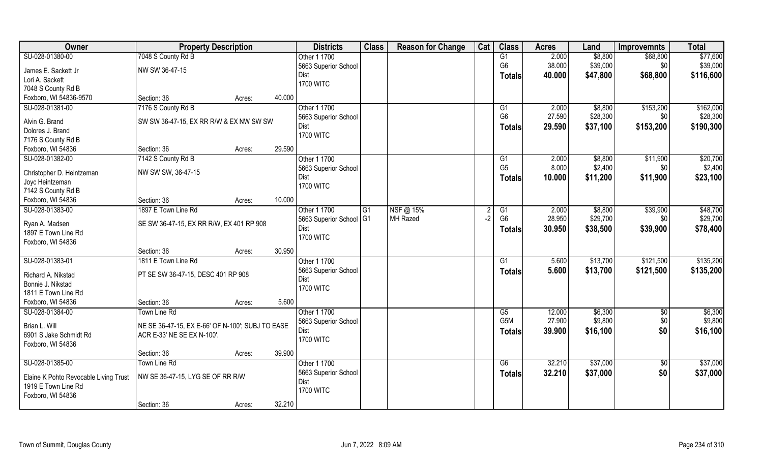| Owner                                 | <b>Property Description</b>                      |        | <b>Districts</b>        | <b>Class</b> | <b>Reason for Change</b> | Cat  | <b>Class</b>                      | <b>Acres</b> | Land     | <b>Improvemnts</b> | <b>Total</b> |
|---------------------------------------|--------------------------------------------------|--------|-------------------------|--------------|--------------------------|------|-----------------------------------|--------------|----------|--------------------|--------------|
| SU-028-01380-00                       | 7048 S County Rd B                               |        | Other 1 1700            |              |                          |      | G1                                | 2.000        | \$8,800  | \$68,800           | \$77,600     |
| James E. Sackett Jr                   | NW SW 36-47-15                                   |        | 5663 Superior School    |              |                          |      | G <sub>6</sub>                    | 38.000       | \$39,000 | \$0                | \$39,000     |
| Lori A. Sackett                       |                                                  |        | Dist                    |              |                          |      | Totals                            | 40.000       | \$47,800 | \$68,800           | \$116,600    |
| 7048 S County Rd B                    |                                                  |        | <b>1700 WITC</b>        |              |                          |      |                                   |              |          |                    |              |
| Foxboro, WI 54836-9570                | Section: 36                                      |        | 40.000                  |              |                          |      |                                   |              |          |                    |              |
|                                       |                                                  | Acres: |                         |              |                          |      |                                   |              |          |                    |              |
| SU-028-01381-00                       | 7176 S County Rd B                               |        | Other 1 1700            |              |                          |      | $\overline{G1}$<br>G <sub>6</sub> | 2.000        | \$8,800  | \$153,200          | \$162,000    |
| Alvin G. Brand                        | SW SW 36-47-15, EX RR R/W & EX NW SW SW          |        | 5663 Superior School    |              |                          |      |                                   | 27.590       | \$28,300 | \$0 <sub>1</sub>   | \$28,300     |
| Dolores J. Brand                      |                                                  |        | Dist                    |              |                          |      | Totals                            | 29.590       | \$37,100 | \$153,200          | \$190,300    |
| 7176 S County Rd B                    |                                                  |        | <b>1700 WITC</b>        |              |                          |      |                                   |              |          |                    |              |
| Foxboro, WI 54836                     | Section: 36                                      | Acres: | 29.590                  |              |                          |      |                                   |              |          |                    |              |
| SU-028-01382-00                       | 7142 S County Rd B                               |        | Other 1 1700            |              |                          |      | G1                                | 2.000        | \$8,800  | \$11,900           | \$20,700     |
|                                       | NW SW SW, 36-47-15                               |        | 5663 Superior School    |              |                          |      | G <sub>5</sub>                    | 8.000        | \$2,400  | \$0                | \$2,400      |
| Christopher D. Heintzeman             |                                                  |        | Dist                    |              |                          |      | Totals                            | 10.000       | \$11,200 | \$11,900           | \$23,100     |
| Joyc Heintzeman<br>7142 S County Rd B |                                                  |        | <b>1700 WITC</b>        |              |                          |      |                                   |              |          |                    |              |
|                                       | Section: 36                                      |        | 10.000                  |              |                          |      |                                   |              |          |                    |              |
| Foxboro, WI 54836                     |                                                  | Acres: |                         |              |                          |      |                                   |              |          |                    |              |
| SU-028-01383-00                       | 1897 E Town Line Rd                              |        | Other 1 1700            | G1           | NSF@ 15%                 |      | G1                                | 2.000        | \$8,800  | \$39,900           | \$48,700     |
| Ryan A. Madsen                        | SE SW 36-47-15, EX RR R/W, EX 401 RP 908         |        | 5663 Superior School G1 |              | MH Razed                 | $-2$ | G <sub>6</sub>                    | 28.950       | \$29,700 | \$0                | \$29,700     |
| 1897 E Town Line Rd                   |                                                  |        | Dist                    |              |                          |      | <b>Totals</b>                     | 30.950       | \$38,500 | \$39,900           | \$78,400     |
| Foxboro, WI 54836                     |                                                  |        | <b>1700 WITC</b>        |              |                          |      |                                   |              |          |                    |              |
|                                       | Section: 36                                      | Acres: | 30.950                  |              |                          |      |                                   |              |          |                    |              |
| SU-028-01383-01                       | 1811 E Town Line Rd                              |        | Other 1 1700            |              |                          |      | $\overline{G1}$                   | 5.600        | \$13,700 | \$121,500          | \$135,200    |
|                                       |                                                  |        | 5663 Superior School    |              |                          |      | Totals                            | 5.600        | \$13,700 | \$121,500          | \$135,200    |
| Richard A. Nikstad                    | PT SE SW 36-47-15, DESC 401 RP 908               |        | Dist                    |              |                          |      |                                   |              |          |                    |              |
| Bonnie J. Nikstad                     |                                                  |        | <b>1700 WITC</b>        |              |                          |      |                                   |              |          |                    |              |
| 1811 E Town Line Rd                   |                                                  |        |                         |              |                          |      |                                   |              |          |                    |              |
| Foxboro, WI 54836                     | Section: 36                                      | Acres: | 5.600                   |              |                          |      |                                   |              |          |                    |              |
| SU-028-01384-00                       | Town Line Rd                                     |        | Other 1 1700            |              |                          |      | G5                                | 12.000       | \$6,300  | \$0                | \$6,300      |
| Brian L. Will                         | NE SE 36-47-15, EX E-66' OF N-100'; SUBJ TO EASE |        | 5663 Superior School    |              |                          |      | G5M                               | 27.900       | \$9,800  | \$0                | \$9,800      |
| 6901 S Jake Schmidt Rd                | ACR E-33' NE SE EX N-100'.                       |        | Dist                    |              |                          |      | <b>Totals</b>                     | 39.900       | \$16,100 | \$0                | \$16,100     |
| Foxboro, WI 54836                     |                                                  |        | <b>1700 WITC</b>        |              |                          |      |                                   |              |          |                    |              |
|                                       | Section: 36                                      | Acres: | 39.900                  |              |                          |      |                                   |              |          |                    |              |
| SU-028-01385-00                       | Town Line Rd                                     |        | Other 1 1700            |              |                          |      | G6                                | 32.210       | \$37,000 | $\sqrt{$0}$        | \$37,000     |
|                                       |                                                  |        | 5663 Superior School    |              |                          |      | Totals                            | 32.210       | \$37,000 | \$0                | \$37,000     |
| Elaine K Pohto Revocable Living Trust | NW SE 36-47-15, LYG SE OF RR R/W                 |        | Dist                    |              |                          |      |                                   |              |          |                    |              |
| 1919 E Town Line Rd                   |                                                  |        | <b>1700 WITC</b>        |              |                          |      |                                   |              |          |                    |              |
| Foxboro, WI 54836                     |                                                  |        |                         |              |                          |      |                                   |              |          |                    |              |
|                                       | Section: 36                                      | Acres: | 32.210                  |              |                          |      |                                   |              |          |                    |              |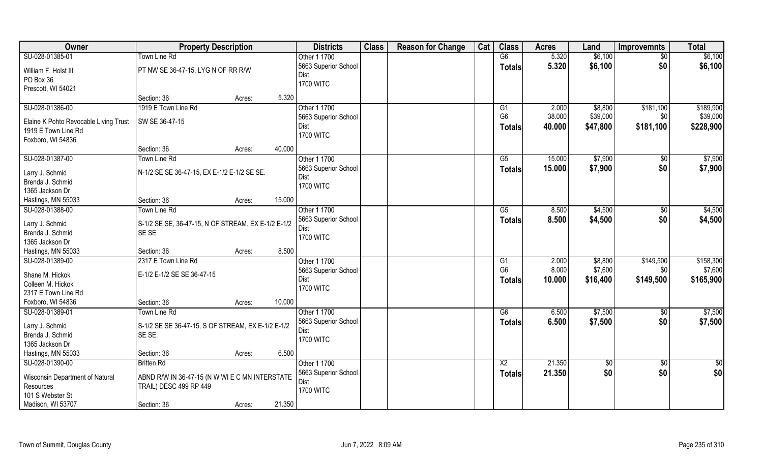| Owner                                 | <b>Property Description</b>                        |        |        | <b>Districts</b>     | <b>Class</b> | <b>Reason for Change</b> | Cat | <b>Class</b>   | <b>Acres</b> | Land          | <b>Improvemnts</b> | <b>Total</b> |
|---------------------------------------|----------------------------------------------------|--------|--------|----------------------|--------------|--------------------------|-----|----------------|--------------|---------------|--------------------|--------------|
| SU-028-01385-01                       | <b>Town Line Rd</b>                                |        |        | Other 1 1700         |              |                          |     | G6             | 5.320        | \$6,100       | \$0                | \$6,100      |
| William F. Holst III                  | PT NW SE 36-47-15, LYG N OF RR R/W                 |        |        | 5663 Superior School |              |                          |     | <b>Totals</b>  | 5.320        | \$6,100       | \$0                | \$6,100      |
| PO Box 36                             |                                                    |        |        | Dist                 |              |                          |     |                |              |               |                    |              |
| Prescott, WI 54021                    |                                                    |        |        | <b>1700 WITC</b>     |              |                          |     |                |              |               |                    |              |
|                                       | Section: 36                                        | Acres: | 5.320  |                      |              |                          |     |                |              |               |                    |              |
| SU-028-01386-00                       | 1919 E Town Line Rd                                |        |        | Other 1 1700         |              |                          |     | G1             | 2.000        | \$8,800       | \$181,100          | \$189,900    |
| Elaine K Pohto Revocable Living Trust | SW SE 36-47-15                                     |        |        | 5663 Superior School |              |                          |     | G <sub>6</sub> | 38.000       | \$39,000      | \$0                | \$39,000     |
| 1919 E Town Line Rd                   |                                                    |        |        | Dist                 |              |                          |     | <b>Totals</b>  | 40.000       | \$47,800      | \$181,100          | \$228,900    |
| Foxboro, WI 54836                     |                                                    |        |        | <b>1700 WITC</b>     |              |                          |     |                |              |               |                    |              |
|                                       | Section: 36                                        | Acres: | 40.000 |                      |              |                          |     |                |              |               |                    |              |
| SU-028-01387-00                       | <b>Town Line Rd</b>                                |        |        | Other 1 1700         |              |                          |     | G5             | 15.000       | \$7,900       | \$0                | \$7,900      |
|                                       |                                                    |        |        | 5663 Superior School |              |                          |     | <b>Totals</b>  | 15.000       | \$7,900       | \$0                | \$7,900      |
| Larry J. Schmid<br>Brenda J. Schmid   | N-1/2 SE SE 36-47-15, EX E-1/2 E-1/2 SE SE.        |        |        | Dist                 |              |                          |     |                |              |               |                    |              |
| 1365 Jackson Dr                       |                                                    |        |        | <b>1700 WITC</b>     |              |                          |     |                |              |               |                    |              |
| Hastings, MN 55033                    | Section: 36                                        | Acres: | 15.000 |                      |              |                          |     |                |              |               |                    |              |
| SU-028-01388-00                       | Town Line Rd                                       |        |        | Other 1 1700         |              |                          |     | G5             | 8.500        | \$4,500       | $\sqrt[6]{3}$      | \$4,500      |
|                                       |                                                    |        |        | 5663 Superior School |              |                          |     | <b>Totals</b>  | 8.500        | \$4,500       | \$0                | \$4,500      |
| Larry J. Schmid                       | S-1/2 SE SE, 36-47-15, N OF STREAM, EX E-1/2 E-1/2 |        |        | Dist                 |              |                          |     |                |              |               |                    |              |
| Brenda J. Schmid                      | SE SE                                              |        |        | <b>1700 WITC</b>     |              |                          |     |                |              |               |                    |              |
| 1365 Jackson Dr                       |                                                    |        |        |                      |              |                          |     |                |              |               |                    |              |
| Hastings, MN 55033                    | Section: 36                                        | Acres: | 8.500  |                      |              |                          |     |                |              |               |                    |              |
| SU-028-01389-00                       | 2317 E Town Line Rd                                |        |        | Other 1 1700         |              |                          |     | G <sub>1</sub> | 2.000        | \$8,800       | \$149,500          | \$158,300    |
| Shane M. Hickok                       | E-1/2 E-1/2 SE SE 36-47-15                         |        |        | 5663 Superior School |              |                          |     | G <sub>6</sub> | 8.000        | \$7,600       | \$0                | \$7,600      |
| Colleen M. Hickok                     |                                                    |        |        | Dist                 |              |                          |     | <b>Totals</b>  | 10.000       | \$16,400      | \$149,500          | \$165,900    |
| 2317 E Town Line Rd                   |                                                    |        |        | <b>1700 WITC</b>     |              |                          |     |                |              |               |                    |              |
| Foxboro, WI 54836                     | Section: 36                                        | Acres: | 10.000 |                      |              |                          |     |                |              |               |                    |              |
| SU-028-01389-01                       | Town Line Rd                                       |        |        | Other 1 1700         |              |                          |     | G6             | 6.500        | \$7,500       | \$0                | \$7,500      |
| Larry J. Schmid                       | S-1/2 SE SE 36-47-15, S OF STREAM, EX E-1/2 E-1/2  |        |        | 5663 Superior School |              |                          |     | <b>Totals</b>  | 6.500        | \$7,500       | \$0                | \$7,500      |
| Brenda J. Schmid                      | SE SE.                                             |        |        | Dist                 |              |                          |     |                |              |               |                    |              |
| 1365 Jackson Dr                       |                                                    |        |        | <b>1700 WITC</b>     |              |                          |     |                |              |               |                    |              |
| Hastings, MN 55033                    | Section: 36                                        | Acres: | 6.500  |                      |              |                          |     |                |              |               |                    |              |
| SU-028-01390-00                       | <b>Britten Rd</b>                                  |        |        | Other 1 1700         |              |                          |     | X2             | 21.350       | $\sqrt[6]{9}$ | \$0                | \$0          |
|                                       |                                                    |        |        | 5663 Superior School |              |                          |     | <b>Totals</b>  | 21.350       | \$0           | \$0                | \$0          |
| Wisconsin Department of Natural       | ABND R/W IN 36-47-15 (N W WI E C MN INTERSTATE     |        |        | <b>Dist</b>          |              |                          |     |                |              |               |                    |              |
| Resources                             | TRAIL) DESC 499 RP 449                             |        |        | <b>1700 WITC</b>     |              |                          |     |                |              |               |                    |              |
| 101 S Webster St                      |                                                    |        |        |                      |              |                          |     |                |              |               |                    |              |
| Madison, WI 53707                     | Section: 36                                        | Acres: | 21.350 |                      |              |                          |     |                |              |               |                    |              |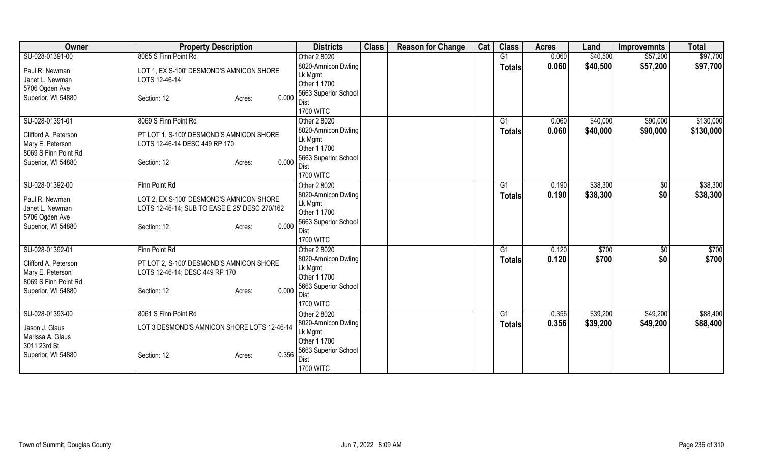| <b>Owner</b>                             | <b>Property Description</b>                   | <b>Districts</b>             | <b>Class</b> | <b>Reason for Change</b> | Cat | <b>Class</b>   | <b>Acres</b> | Land     | <b>Improvemnts</b> | <b>Total</b> |
|------------------------------------------|-----------------------------------------------|------------------------------|--------------|--------------------------|-----|----------------|--------------|----------|--------------------|--------------|
| SU-028-01391-00                          | 8065 S Finn Point Rd                          | Other 2 8020                 |              |                          |     | G <sub>1</sub> | 0.060        | \$40,500 | \$57,200           | \$97,700     |
| Paul R. Newman                           | LOT 1, EX S-100' DESMOND'S AMNICON SHORE      | 8020-Amnicon Dwling          |              |                          |     | <b>Totals</b>  | 0.060        | \$40,500 | \$57,200           | \$97,700     |
| Janet L. Newman                          | LOTS 12-46-14                                 | Lk Mgmt                      |              |                          |     |                |              |          |                    |              |
| 5706 Ogden Ave                           |                                               | Other 1 1700                 |              |                          |     |                |              |          |                    |              |
| Superior, WI 54880                       | 0.000<br>Section: 12<br>Acres:                | 5663 Superior School         |              |                          |     |                |              |          |                    |              |
|                                          |                                               | Dist<br><b>1700 WITC</b>     |              |                          |     |                |              |          |                    |              |
| SU-028-01391-01                          | 8069 S Finn Point Rd                          | Other 2 8020                 |              |                          |     | G1             | 0.060        | \$40,000 | \$90,000           | \$130,000    |
|                                          |                                               | 8020-Amnicon Dwling          |              |                          |     | <b>Totals</b>  | 0.060        | \$40,000 | \$90,000           | \$130,000    |
| Clifford A. Peterson                     | PT LOT 1, S-100' DESMOND'S AMNICON SHORE      | Lk Mgmt                      |              |                          |     |                |              |          |                    |              |
| Mary E. Peterson                         | LOTS 12-46-14 DESC 449 RP 170                 | Other 1 1700                 |              |                          |     |                |              |          |                    |              |
| 8069 S Finn Point Rd                     |                                               | 5663 Superior School         |              |                          |     |                |              |          |                    |              |
| Superior, WI 54880                       | 0.000<br>Section: 12<br>Acres:                | Dist                         |              |                          |     |                |              |          |                    |              |
|                                          |                                               | <b>1700 WITC</b>             |              |                          |     |                |              |          |                    |              |
| SU-028-01392-00                          | Finn Point Rd                                 | Other 2 8020                 |              |                          |     | G <sub>1</sub> | 0.190        | \$38,300 | \$0                | \$38,300     |
| Paul R. Newman                           | LOT 2, EX S-100' DESMOND'S AMNICON SHORE      | 8020-Amnicon Dwling          |              |                          |     | Totals         | 0.190        | \$38,300 | \$0                | \$38,300     |
| Janet L. Newman                          | LOTS 12-46-14; SUB TO EASE E 25' DESC 270/162 | Lk Mgmt                      |              |                          |     |                |              |          |                    |              |
| 5706 Ogden Ave                           |                                               | Other 1 1700                 |              |                          |     |                |              |          |                    |              |
| Superior, WI 54880                       | 0.000<br>Section: 12<br>Acres:                | 5663 Superior School<br>Dist |              |                          |     |                |              |          |                    |              |
|                                          |                                               | <b>1700 WITC</b>             |              |                          |     |                |              |          |                    |              |
| SU-028-01392-01                          | Finn Point Rd                                 | Other 2 8020                 |              |                          |     | G1             | 0.120        | \$700    | \$0                | \$700        |
|                                          |                                               | 8020-Amnicon Dwling          |              |                          |     | <b>Totals</b>  | 0.120        | \$700    | \$0                | \$700        |
| Clifford A. Peterson                     | PT LOT 2, S-100' DESMOND'S AMNICON SHORE      | Lk Mgmt                      |              |                          |     |                |              |          |                    |              |
| Mary E. Peterson<br>8069 S Finn Point Rd | LOTS 12-46-14; DESC 449 RP 170                | Other 1 1700                 |              |                          |     |                |              |          |                    |              |
| Superior, WI 54880                       | 0.000<br>Section: 12<br>Acres:                | 5663 Superior School         |              |                          |     |                |              |          |                    |              |
|                                          |                                               | Dist                         |              |                          |     |                |              |          |                    |              |
|                                          |                                               | <b>1700 WITC</b>             |              |                          |     |                |              |          |                    |              |
| SU-028-01393-00                          | 8061 S Finn Point Rd                          | Other 2 8020                 |              |                          |     | G1             | 0.356        | \$39,200 | \$49,200           | \$88,400     |
| Jason J. Glaus                           | LOT 3 DESMOND'S AMNICON SHORE LOTS 12-46-14   | 8020-Amnicon Dwling          |              |                          |     | <b>Totals</b>  | 0.356        | \$39,200 | \$49,200           | \$88,400     |
| Marissa A. Glaus                         |                                               | Lk Mgmt<br>Other 1 1700      |              |                          |     |                |              |          |                    |              |
| 3011 23rd St                             |                                               | 5663 Superior School         |              |                          |     |                |              |          |                    |              |
| Superior, WI 54880                       | 0.356<br>Section: 12<br>Acres:                | Dist                         |              |                          |     |                |              |          |                    |              |
|                                          |                                               | <b>1700 WITC</b>             |              |                          |     |                |              |          |                    |              |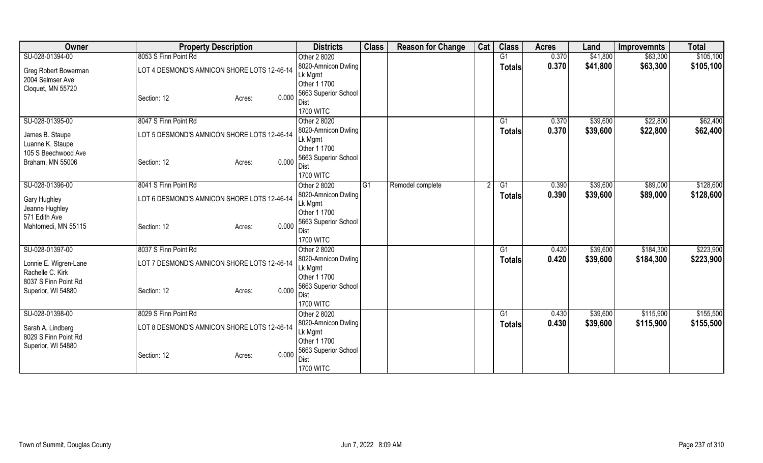| Owner                 | <b>Property Description</b>                 | <b>Districts</b>         | <b>Class</b>   | <b>Reason for Change</b> | Cat | <b>Class</b>  | <b>Acres</b> | Land     | <b>Improvemnts</b> | <b>Total</b> |
|-----------------------|---------------------------------------------|--------------------------|----------------|--------------------------|-----|---------------|--------------|----------|--------------------|--------------|
| SU-028-01394-00       | 8053 S Finn Point Rd                        | Other 2 8020             |                |                          |     | G1            | 0.370        | \$41,800 | \$63,300           | \$105,100    |
| Greg Robert Bowerman  | LOT 4 DESMOND'S AMNICON SHORE LOTS 12-46-14 | 8020-Amnicon Dwling      |                |                          |     | <b>Totals</b> | 0.370        | \$41,800 | \$63,300           | \$105,100    |
| 2004 Selmser Ave      |                                             | Lk Mgmt                  |                |                          |     |               |              |          |                    |              |
| Cloquet, MN 55720     |                                             | Other 1 1700             |                |                          |     |               |              |          |                    |              |
|                       | 0.000<br>Section: 12<br>Acres:              | 5663 Superior School     |                |                          |     |               |              |          |                    |              |
|                       |                                             | Dist<br><b>1700 WITC</b> |                |                          |     |               |              |          |                    |              |
| SU-028-01395-00       | 8047 S Finn Point Rd                        | Other 2 8020             |                |                          |     | G1            | 0.370        | \$39,600 | \$22,800           | \$62,400     |
|                       |                                             | 8020-Amnicon Dwling      |                |                          |     | <b>Totals</b> | 0.370        | \$39,600 | \$22,800           | \$62,400     |
| James B. Staupe       | LOT 5 DESMOND'S AMNICON SHORE LOTS 12-46-14 | Lk Mgmt                  |                |                          |     |               |              |          |                    |              |
| Luanne K. Staupe      |                                             | Other 1 1700             |                |                          |     |               |              |          |                    |              |
| 105 S Beechwood Ave   |                                             | 5663 Superior School     |                |                          |     |               |              |          |                    |              |
| Braham, MN 55006      | 0.000<br>Section: 12<br>Acres:              | Dist                     |                |                          |     |               |              |          |                    |              |
|                       |                                             | <b>1700 WITC</b>         |                |                          |     |               |              |          |                    |              |
| SU-028-01396-00       | 8041 S Finn Point Rd                        | Other 2 8020             | G <sub>1</sub> | Remodel complete         |     | G1            | 0.390        | \$39,600 | \$89,000           | \$128,600    |
| <b>Gary Hughley</b>   | LOT 6 DESMOND'S AMNICON SHORE LOTS 12-46-14 | 8020-Amnicon Dwling      |                |                          |     | Totals        | 0.390        | \$39,600 | \$89,000           | \$128,600    |
| Jeanne Hughley        |                                             | Lk Mgmt                  |                |                          |     |               |              |          |                    |              |
| 571 Edith Ave         |                                             | Other 1 1700             |                |                          |     |               |              |          |                    |              |
| Mahtomedi, MN 55115   | 0.000<br>Section: 12<br>Acres:              | 5663 Superior School     |                |                          |     |               |              |          |                    |              |
|                       |                                             | Dist                     |                |                          |     |               |              |          |                    |              |
|                       |                                             | <b>1700 WITC</b>         |                |                          |     |               |              |          |                    |              |
| SU-028-01397-00       | 8037 S Finn Point Rd                        | Other 2 8020             |                |                          |     | G1            | 0.420        | \$39,600 | \$184,300          | \$223,900    |
| Lonnie E. Wigren-Lane | LOT 7 DESMOND'S AMNICON SHORE LOTS 12-46-14 | 8020-Amnicon Dwling      |                |                          |     | <b>Totals</b> | 0.420        | \$39,600 | \$184,300          | \$223,900    |
| Rachelle C. Kirk      |                                             | Lk Mgmt<br>Other 1 1700  |                |                          |     |               |              |          |                    |              |
| 8037 S Finn Point Rd  |                                             | 5663 Superior School     |                |                          |     |               |              |          |                    |              |
| Superior, WI 54880    | 0.000<br>Section: 12<br>Acres:              | Dist                     |                |                          |     |               |              |          |                    |              |
|                       |                                             | <b>1700 WITC</b>         |                |                          |     |               |              |          |                    |              |
| SU-028-01398-00       | 8029 S Finn Point Rd                        | Other 2 8020             |                |                          |     | G1            | 0.430        | \$39,600 | \$115,900          | \$155,500    |
|                       |                                             | 8020-Amnicon Dwling      |                |                          |     | <b>Totals</b> | 0.430        | \$39,600 | \$115,900          | \$155,500    |
| Sarah A. Lindberg     | LOT 8 DESMOND'S AMNICON SHORE LOTS 12-46-14 | Lk Mgmt                  |                |                          |     |               |              |          |                    |              |
| 8029 S Finn Point Rd  |                                             | Other 1 1700             |                |                          |     |               |              |          |                    |              |
| Superior, WI 54880    | 0.000<br>Section: 12<br>Acres:              | 5663 Superior School     |                |                          |     |               |              |          |                    |              |
|                       |                                             | Dist                     |                |                          |     |               |              |          |                    |              |
|                       |                                             | <b>1700 WITC</b>         |                |                          |     |               |              |          |                    |              |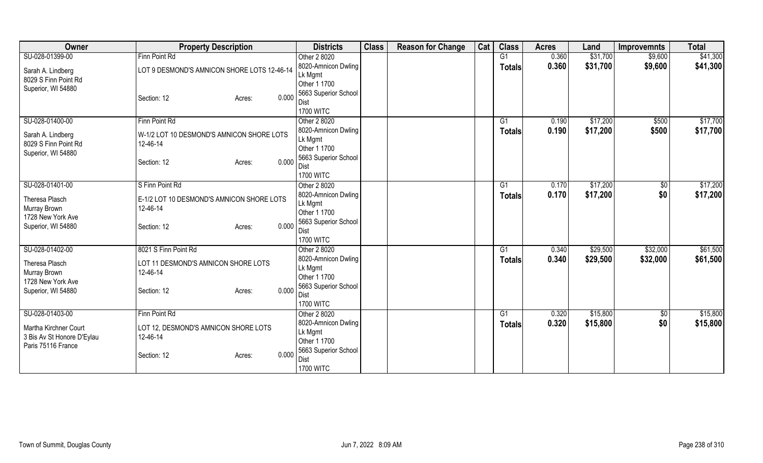| <b>Owner</b>                                                              | <b>Property Description</b>                           | <b>Districts</b>                                                       | <b>Class</b> | <b>Reason for Change</b> | Cat | <b>Class</b>  | <b>Acres</b> | Land     | <b>Improvemnts</b> | <b>Total</b> |
|---------------------------------------------------------------------------|-------------------------------------------------------|------------------------------------------------------------------------|--------------|--------------------------|-----|---------------|--------------|----------|--------------------|--------------|
| SU-028-01399-00                                                           | Finn Point Rd                                         | Other 2 8020                                                           |              |                          |     | G1            | 0.360        | \$31,700 | \$9,600            | \$41,300     |
| Sarah A. Lindberg<br>8029 S Finn Point Rd                                 | LOT 9 DESMOND'S AMNICON SHORE LOTS 12-46-14           | 8020-Amnicon Dwling<br>Lk Mgmt                                         |              |                          |     | <b>Totals</b> | 0.360        | \$31,700 | \$9,600            | \$41,300     |
| Superior, WI 54880                                                        | 0.000<br>Section: 12<br>Acres:                        | Other 1 1700<br>5663 Superior School<br>Dist<br><b>1700 WITC</b>       |              |                          |     |               |              |          |                    |              |
| SU-028-01400-00                                                           | Finn Point Rd                                         | Other 2 8020                                                           |              |                          |     | G1            | 0.190        | \$17,200 | \$500              | \$17,700     |
| Sarah A. Lindberg<br>8029 S Finn Point Rd<br>Superior, WI 54880           | W-1/2 LOT 10 DESMOND'S AMNICON SHORE LOTS<br>12-46-14 | 8020-Amnicon Dwling<br>Lk Mgmt<br>Other 1 1700<br>5663 Superior School |              |                          |     | <b>Totals</b> | 0.190        | \$17,200 | \$500              | \$17,700     |
|                                                                           | 0.000<br>Section: 12<br>Acres:                        | Dist<br><b>1700 WITC</b>                                               |              |                          |     |               |              |          |                    |              |
| SU-028-01401-00                                                           | S Finn Point Rd                                       | Other 2 8020                                                           |              |                          |     | G1            | 0.170        | \$17,200 | \$0                | \$17,200     |
| Theresa Plasch<br>Murray Brown<br>1728 New York Ave                       | E-1/2 LOT 10 DESMOND'S AMNICON SHORE LOTS<br>12-46-14 | 8020-Amnicon Dwling<br>Lk Mgmt<br>Other 1 1700                         |              |                          |     | <b>Totals</b> | 0.170        | \$17,200 | \$0                | \$17,200     |
| Superior, WI 54880                                                        | 0.000<br>Section: 12<br>Acres:                        | 5663 Superior School<br>Dist<br><b>1700 WITC</b>                       |              |                          |     |               |              |          |                    |              |
| SU-028-01402-00                                                           | 8021 S Finn Point Rd                                  | Other 2 8020                                                           |              |                          |     | G1            | 0.340        | \$29,500 | \$32,000           | \$61,500     |
| Theresa Plasch<br>Murray Brown<br>1728 New York Ave                       | LOT 11 DESMOND'S AMNICON SHORE LOTS<br>12-46-14       | 8020-Amnicon Dwling<br>Lk Mgmt<br>Other 1 1700                         |              |                          |     | <b>Totals</b> | 0.340        | \$29,500 | \$32,000           | \$61,500     |
| Superior, WI 54880                                                        | 0.000<br>Section: 12<br>Acres:                        | 5663 Superior School<br>Dist<br><b>1700 WITC</b>                       |              |                          |     |               |              |          |                    |              |
| SU-028-01403-00                                                           | Finn Point Rd                                         | Other 2 8020                                                           |              |                          |     | G1            | 0.320        | \$15,800 | \$0                | \$15,800     |
| Martha Kirchner Court<br>3 Bis Av St Honore D'Eylau<br>Paris 75116 France | LOT 12, DESMOND'S AMNICON SHORE LOTS<br>12-46-14      | 8020-Amnicon Dwling<br>Lk Mgmt<br>Other 1 1700<br>5663 Superior School |              |                          |     | <b>Totals</b> | 0.320        | \$15,800 | \$0                | \$15,800     |
|                                                                           | 0.000<br>Section: 12<br>Acres:                        | Dist<br><b>1700 WITC</b>                                               |              |                          |     |               |              |          |                    |              |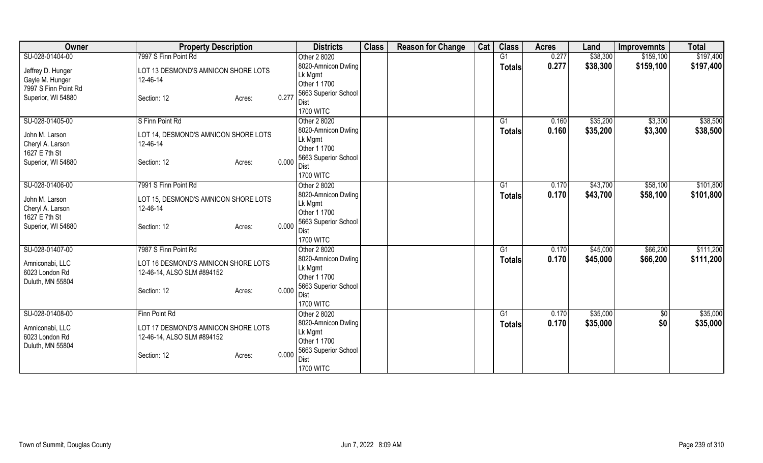| Owner                               | <b>Property Description</b>          |       | <b>Districts</b>                    | <b>Class</b> | <b>Reason for Change</b> | Cat | <b>Class</b>  | <b>Acres</b>   | Land     | <b>Improvemnts</b> | <b>Total</b> |
|-------------------------------------|--------------------------------------|-------|-------------------------------------|--------------|--------------------------|-----|---------------|----------------|----------|--------------------|--------------|
| SU-028-01404-00                     | 7997 S Finn Point Rd                 |       | Other 2 8020                        |              |                          |     | G1            | 0.277          | \$38,300 | \$159,100          | \$197,400    |
| Jeffrey D. Hunger                   | LOT 13 DESMOND'S AMNICON SHORE LOTS  |       | 8020-Amnicon Dwling                 |              |                          |     | <b>Totals</b> | 0.277          | \$38,300 | \$159,100          | \$197,400    |
| Gayle M. Hunger                     | 12-46-14                             |       | Lk Mgmt                             |              |                          |     |               |                |          |                    |              |
| 7997 S Finn Point Rd                |                                      |       | Other 1 1700                        |              |                          |     |               |                |          |                    |              |
| Superior, WI 54880                  | Section: 12<br>Acres:                | 0.277 | 5663 Superior School                |              |                          |     |               |                |          |                    |              |
|                                     |                                      |       | Dist<br><b>1700 WITC</b>            |              |                          |     |               |                |          |                    |              |
| SU-028-01405-00                     | S Finn Point Rd                      |       | Other 2 8020                        |              |                          |     | G1            | 0.160          | \$35,200 | \$3,300            | \$38,500     |
|                                     |                                      |       | 8020-Amnicon Dwling                 |              |                          |     | <b>Totals</b> | 0.160          | \$35,200 | \$3,300            | \$38,500     |
| John M. Larson                      | LOT 14, DESMOND'S AMNICON SHORE LOTS |       | Lk Mgmt                             |              |                          |     |               |                |          |                    |              |
| Cheryl A. Larson                    | 12-46-14                             |       | Other 1 1700                        |              |                          |     |               |                |          |                    |              |
| 1627 E 7th St<br>Superior, WI 54880 | Section: 12                          | 0.000 | 5663 Superior School                |              |                          |     |               |                |          |                    |              |
|                                     | Acres:                               |       | Dist                                |              |                          |     |               |                |          |                    |              |
|                                     |                                      |       | <b>1700 WITC</b>                    |              |                          |     |               |                |          |                    |              |
| SU-028-01406-00                     | 7991 S Finn Point Rd                 |       | Other 2 8020                        |              |                          |     | G1            | 0.170          | \$43,700 | \$58,100           | \$101,800    |
| John M. Larson                      | LOT 15, DESMOND'S AMNICON SHORE LOTS |       | 8020-Amnicon Dwling                 |              |                          |     | Totals        | 0.170          | \$43,700 | \$58,100           | \$101,800    |
| Cheryl A. Larson                    | 12-46-14                             |       | Lk Mgmt<br>Other 1 1700             |              |                          |     |               |                |          |                    |              |
| 1627 E 7th St                       |                                      |       | 5663 Superior School                |              |                          |     |               |                |          |                    |              |
| Superior, WI 54880                  | Section: 12<br>Acres:                | 0.000 | Dist                                |              |                          |     |               |                |          |                    |              |
|                                     |                                      |       | <b>1700 WITC</b>                    |              |                          |     |               |                |          |                    |              |
| SU-028-01407-00                     | 7987 S Finn Point Rd                 |       | Other 2 8020                        |              |                          |     | G1            | 0.170          | \$45,000 | \$66,200           | \$111,200    |
|                                     | LOT 16 DESMOND'S AMNICON SHORE LOTS  |       | 8020-Amnicon Dwling                 |              |                          |     | <b>Totals</b> | 0.170          | \$45,000 | \$66,200           | \$111,200    |
| Amniconabi, LLC<br>6023 London Rd   | 12-46-14, ALSO SLM #894152           |       | Lk Mgmt                             |              |                          |     |               |                |          |                    |              |
| Duluth, MN 55804                    |                                      |       | Other 1 1700                        |              |                          |     |               |                |          |                    |              |
|                                     | Section: 12<br>Acres:                | 0.000 | 5663 Superior School                |              |                          |     |               |                |          |                    |              |
|                                     |                                      |       | Dist                                |              |                          |     |               |                |          |                    |              |
| SU-028-01408-00                     | Finn Point Rd                        |       | <b>1700 WITC</b>                    |              |                          |     | G1            |                | \$35,000 |                    | \$35,000     |
|                                     |                                      |       | Other 2 8020<br>8020-Amnicon Dwling |              |                          |     |               | 0.170<br>0.170 | \$35,000 | \$0<br>\$0         | \$35,000     |
| Amniconabi, LLC                     | LOT 17 DESMOND'S AMNICON SHORE LOTS  |       | Lk Mgmt                             |              |                          |     | <b>Totals</b> |                |          |                    |              |
| 6023 London Rd                      | 12-46-14, ALSO SLM #894152           |       | Other 1 1700                        |              |                          |     |               |                |          |                    |              |
| Duluth, MN 55804                    |                                      |       | 5663 Superior School                |              |                          |     |               |                |          |                    |              |
|                                     | Section: 12<br>Acres:                | 0.000 | Dist                                |              |                          |     |               |                |          |                    |              |
|                                     |                                      |       | <b>1700 WITC</b>                    |              |                          |     |               |                |          |                    |              |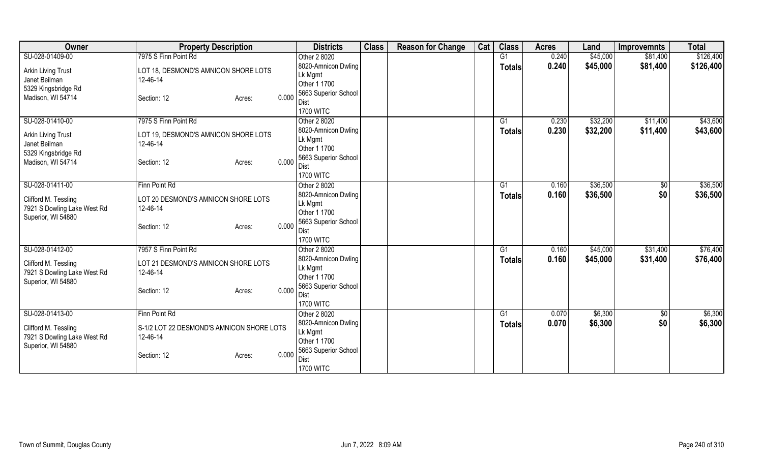| Owner                                               | <b>Property Description</b>               |       | <b>Districts</b>               | <b>Class</b> | <b>Reason for Change</b> | Cat | <b>Class</b>  | <b>Acres</b> | Land     | <b>Improvemnts</b> | <b>Total</b> |
|-----------------------------------------------------|-------------------------------------------|-------|--------------------------------|--------------|--------------------------|-----|---------------|--------------|----------|--------------------|--------------|
| SU-028-01409-00                                     | 7975 S Finn Point Rd                      |       | Other 2 8020                   |              |                          |     | G1            | 0.240        | \$45,000 | \$81,400           | \$126,400    |
| Arkin Living Trust                                  | LOT 18, DESMOND'S AMNICON SHORE LOTS      |       | 8020-Amnicon Dwling            |              |                          |     | <b>Totals</b> | 0.240        | \$45,000 | \$81,400           | \$126,400    |
| Janet Beilman                                       | 12-46-14                                  |       | Lk Mgmt                        |              |                          |     |               |              |          |                    |              |
| 5329 Kingsbridge Rd                                 |                                           |       | Other 1 1700                   |              |                          |     |               |              |          |                    |              |
| Madison, WI 54714                                   | Section: 12<br>Acres:                     | 0.000 | 5663 Superior School<br>Dist   |              |                          |     |               |              |          |                    |              |
|                                                     |                                           |       | <b>1700 WITC</b>               |              |                          |     |               |              |          |                    |              |
| SU-028-01410-00                                     | 7975 S Finn Point Rd                      |       | Other 2 8020                   |              |                          |     | G1            | 0.230        | \$32,200 | \$11,400           | \$43,600     |
|                                                     |                                           |       | 8020-Amnicon Dwling            |              |                          |     | <b>Totals</b> | 0.230        | \$32,200 | \$11,400           | \$43,600     |
| <b>Arkin Living Trust</b>                           | LOT 19, DESMOND'S AMNICON SHORE LOTS      |       | Lk Mgmt                        |              |                          |     |               |              |          |                    |              |
| Janet Beilman                                       | 12-46-14                                  |       | Other 1 1700                   |              |                          |     |               |              |          |                    |              |
| 5329 Kingsbridge Rd<br>Madison, WI 54714            |                                           | 0.000 | 5663 Superior School           |              |                          |     |               |              |          |                    |              |
|                                                     | Section: 12<br>Acres:                     |       | Dist                           |              |                          |     |               |              |          |                    |              |
|                                                     |                                           |       | <b>1700 WITC</b>               |              |                          |     |               |              |          |                    |              |
| SU-028-01411-00                                     | Finn Point Rd                             |       | Other 2 8020                   |              |                          |     | G1            | 0.160        | \$36,500 | $\sqrt[6]{30}$     | \$36,500     |
| Clifford M. Tessling                                | LOT 20 DESMOND'S AMNICON SHORE LOTS       |       | 8020-Amnicon Dwling            |              |                          |     | Totals        | 0.160        | \$36,500 | \$0                | \$36,500     |
| 7921 S Dowling Lake West Rd                         | 12-46-14                                  |       | Lk Mgmt<br>Other 1 1700        |              |                          |     |               |              |          |                    |              |
| Superior, WI 54880                                  |                                           |       | 5663 Superior School           |              |                          |     |               |              |          |                    |              |
|                                                     | Section: 12<br>Acres:                     | 0.000 | Dist                           |              |                          |     |               |              |          |                    |              |
|                                                     |                                           |       | <b>1700 WITC</b>               |              |                          |     |               |              |          |                    |              |
| SU-028-01412-00                                     | 7957 S Finn Point Rd                      |       | Other 2 8020                   |              |                          |     | G1            | 0.160        | \$45,000 | \$31,400           | \$76,400     |
|                                                     | LOT 21 DESMOND'S AMNICON SHORE LOTS       |       | 8020-Amnicon Dwling            |              |                          |     | <b>Totals</b> | 0.160        | \$45,000 | \$31,400           | \$76,400     |
| Clifford M. Tessling<br>7921 S Dowling Lake West Rd | 12-46-14                                  |       | Lk Mgmt                        |              |                          |     |               |              |          |                    |              |
| Superior, WI 54880                                  |                                           |       | Other 1 1700                   |              |                          |     |               |              |          |                    |              |
|                                                     | Section: 12<br>Acres:                     | 0.000 | 5663 Superior School           |              |                          |     |               |              |          |                    |              |
|                                                     |                                           |       | Dist                           |              |                          |     |               |              |          |                    |              |
|                                                     |                                           |       | <b>1700 WITC</b>               |              |                          |     |               |              |          |                    |              |
| SU-028-01413-00                                     | Finn Point Rd                             |       | Other 2 8020                   |              |                          |     | G1            | 0.070        | \$6,300  | \$0                | \$6,300      |
| Clifford M. Tessling                                | S-1/2 LOT 22 DESMOND'S AMNICON SHORE LOTS |       | 8020-Amnicon Dwling<br>Lk Mgmt |              |                          |     | <b>Totals</b> | 0.070        | \$6,300  | \$0                | \$6,300      |
| 7921 S Dowling Lake West Rd                         | 12-46-14                                  |       | Other 1 1700                   |              |                          |     |               |              |          |                    |              |
| Superior, WI 54880                                  |                                           |       | 5663 Superior School           |              |                          |     |               |              |          |                    |              |
|                                                     | Section: 12<br>Acres:                     | 0.000 | Dist                           |              |                          |     |               |              |          |                    |              |
|                                                     |                                           |       | <b>1700 WITC</b>               |              |                          |     |               |              |          |                    |              |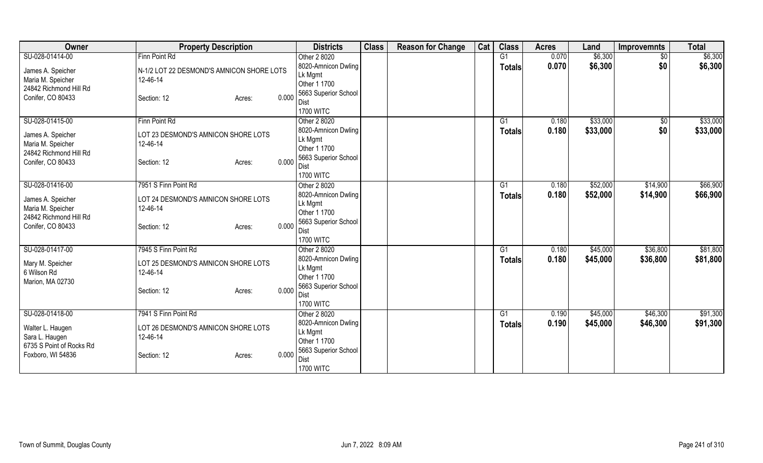| Owner                              | <b>Property Description</b>                     |       | <b>Districts</b>             | <b>Class</b> | <b>Reason for Change</b> | Cat | <b>Class</b>  | <b>Acres</b> | Land     | <b>Improvemnts</b> | <b>Total</b> |
|------------------------------------|-------------------------------------------------|-------|------------------------------|--------------|--------------------------|-----|---------------|--------------|----------|--------------------|--------------|
| SU-028-01414-00                    | Finn Point Rd                                   |       | Other 2 8020                 |              |                          |     | G1            | 0.070        | \$6,300  | $\sqrt{$0}$        | \$6,300      |
| James A. Speicher                  | N-1/2 LOT 22 DESMOND'S AMNICON SHORE LOTS       |       | 8020-Amnicon Dwling          |              |                          |     | <b>Totals</b> | 0.070        | \$6,300  | \$0                | \$6,300      |
| Maria M. Speicher                  | 12-46-14                                        |       | Lk Mgmt                      |              |                          |     |               |              |          |                    |              |
| 24842 Richmond Hill Rd             |                                                 |       | Other 1 1700                 |              |                          |     |               |              |          |                    |              |
| Conifer, CO 80433                  | Section: 12<br>Acres:                           | 0.000 | 5663 Superior School         |              |                          |     |               |              |          |                    |              |
|                                    |                                                 |       | Dist                         |              |                          |     |               |              |          |                    |              |
|                                    |                                                 |       | <b>1700 WITC</b>             |              |                          |     |               |              |          |                    |              |
| SU-028-01415-00                    | Finn Point Rd                                   |       | Other 2 8020                 |              |                          |     | G1            | 0.180        | \$33,000 | $\sqrt{$0}$        | \$33,000     |
| James A. Speicher                  | LOT 23 DESMOND'S AMNICON SHORE LOTS             |       | 8020-Amnicon Dwling          |              |                          |     | <b>Totals</b> | 0.180        | \$33,000 | \$0                | \$33,000     |
| Maria M. Speicher                  | 12-46-14                                        |       | Lk Mgmt                      |              |                          |     |               |              |          |                    |              |
| 24842 Richmond Hill Rd             |                                                 |       | Other 1 1700                 |              |                          |     |               |              |          |                    |              |
| Conifer, CO 80433                  | Section: 12<br>Acres:                           | 0.000 | 5663 Superior School<br>Dist |              |                          |     |               |              |          |                    |              |
|                                    |                                                 |       | <b>1700 WITC</b>             |              |                          |     |               |              |          |                    |              |
| SU-028-01416-00                    | 7951 S Finn Point Rd                            |       | Other 2 8020                 |              |                          |     | G1            | 0.180        | \$52,000 | \$14,900           | \$66,900     |
|                                    |                                                 |       | 8020-Amnicon Dwling          |              |                          |     |               | 0.180        | \$52,000 | \$14,900           | \$66,900     |
| James A. Speicher                  | LOT 24 DESMOND'S AMNICON SHORE LOTS             |       | Lk Mgmt                      |              |                          |     | Totals        |              |          |                    |              |
| Maria M. Speicher                  | 12-46-14                                        |       | Other 1 1700                 |              |                          |     |               |              |          |                    |              |
| 24842 Richmond Hill Rd             |                                                 |       | 5663 Superior School         |              |                          |     |               |              |          |                    |              |
| Conifer, CO 80433                  | Section: 12<br>Acres:                           | 0.000 | Dist                         |              |                          |     |               |              |          |                    |              |
|                                    |                                                 |       | <b>1700 WITC</b>             |              |                          |     |               |              |          |                    |              |
| SU-028-01417-00                    | 7945 S Finn Point Rd                            |       | Other 2 8020                 |              |                          |     | G1            | 0.180        | \$45,000 | \$36,800           | \$81,800     |
|                                    |                                                 |       | 8020-Amnicon Dwling          |              |                          |     | <b>Totals</b> | 0.180        | \$45,000 | \$36,800           | \$81,800     |
| Mary M. Speicher                   | LOT 25 DESMOND'S AMNICON SHORE LOTS             |       | Lk Mgmt                      |              |                          |     |               |              |          |                    |              |
| 6 Wilson Rd                        | 12-46-14                                        |       | Other 1 1700                 |              |                          |     |               |              |          |                    |              |
| Marion, MA 02730                   |                                                 |       | 5663 Superior School         |              |                          |     |               |              |          |                    |              |
|                                    | Section: 12<br>Acres:                           | 0.000 | Dist                         |              |                          |     |               |              |          |                    |              |
|                                    |                                                 |       | <b>1700 WITC</b>             |              |                          |     |               |              |          |                    |              |
| SU-028-01418-00                    | 7941 S Finn Point Rd                            |       | Other 2 8020                 |              |                          |     | G1            | 0.190        | \$45,000 | \$46,300           | \$91,300     |
|                                    |                                                 |       | 8020-Amnicon Dwling          |              |                          |     | <b>Totals</b> | 0.190        | \$45,000 | \$46,300           | \$91,300     |
| Walter L. Haugen<br>Sara L. Haugen | LOT 26 DESMOND'S AMNICON SHORE LOTS<br>12-46-14 |       | Lk Mgmt                      |              |                          |     |               |              |          |                    |              |
| 6735 S Point of Rocks Rd           |                                                 |       | Other 1 1700                 |              |                          |     |               |              |          |                    |              |
| Foxboro, WI 54836                  | Section: 12<br>Acres:                           | 0.000 | 5663 Superior School         |              |                          |     |               |              |          |                    |              |
|                                    |                                                 |       | Dist                         |              |                          |     |               |              |          |                    |              |
|                                    |                                                 |       | <b>1700 WITC</b>             |              |                          |     |               |              |          |                    |              |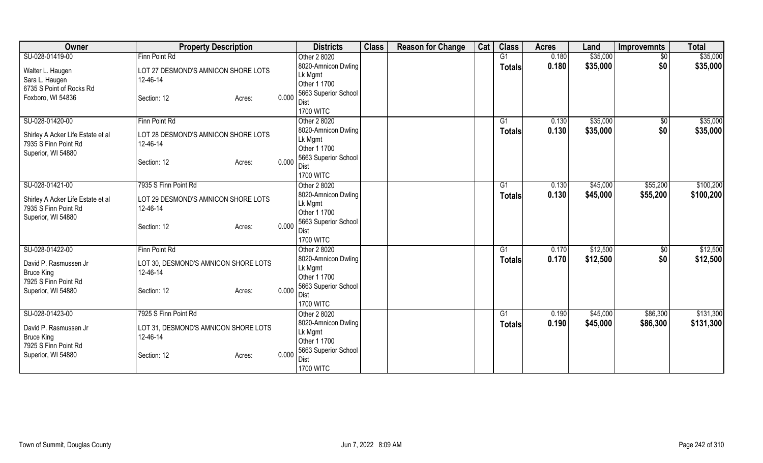| Owner                             | <b>Property Description</b>          |       | <b>Districts</b>                | <b>Class</b> | <b>Reason for Change</b> | Cat | <b>Class</b>    | <b>Acres</b> | Land     | <b>Improvemnts</b> | <b>Total</b> |
|-----------------------------------|--------------------------------------|-------|---------------------------------|--------------|--------------------------|-----|-----------------|--------------|----------|--------------------|--------------|
| SU-028-01419-00                   | Finn Point Rd                        |       | Other 2 8020                    |              |                          |     | $\overline{G1}$ | 0.180        | \$35,000 | $\overline{50}$    | \$35,000     |
| Walter L. Haugen                  | LOT 27 DESMOND'S AMNICON SHORE LOTS  |       | 8020-Amnicon Dwling             |              |                          |     | <b>Totals</b>   | 0.180        | \$35,000 | \$0                | \$35,000     |
| Sara L. Haugen                    | 12-46-14                             |       | Lk Mgmt                         |              |                          |     |                 |              |          |                    |              |
| 6735 S Point of Rocks Rd          |                                      |       | Other 1 1700                    |              |                          |     |                 |              |          |                    |              |
| Foxboro, WI 54836                 | Section: 12<br>Acres:                | 0.000 | 5663 Superior School            |              |                          |     |                 |              |          |                    |              |
|                                   |                                      |       | <b>Dist</b>                     |              |                          |     |                 |              |          |                    |              |
|                                   |                                      |       | <b>1700 WITC</b>                |              |                          |     |                 |              |          |                    |              |
| SU-028-01420-00                   | Finn Point Rd                        |       | Other 2 8020                    |              |                          |     | G1              | 0.130        | \$35,000 | \$0                | \$35,000     |
| Shirley A Acker Life Estate et al | LOT 28 DESMOND'S AMNICON SHORE LOTS  |       | 8020-Amnicon Dwling             |              |                          |     | Totals          | 0.130        | \$35,000 | \$0                | \$35,000     |
| 7935 S Finn Point Rd              | 12-46-14                             |       | Lk Mgmt                         |              |                          |     |                 |              |          |                    |              |
| Superior, WI 54880                |                                      |       | Other 1 1700                    |              |                          |     |                 |              |          |                    |              |
|                                   | Section: 12<br>Acres:                | 0.000 | 5663 Superior School            |              |                          |     |                 |              |          |                    |              |
|                                   |                                      |       | Dist                            |              |                          |     |                 |              |          |                    |              |
|                                   |                                      |       | <b>1700 WITC</b>                |              |                          |     |                 |              |          |                    |              |
| SU-028-01421-00                   | 7935 S Finn Point Rd                 |       | Other 2 8020                    |              |                          |     | G1              | 0.130        | \$45,000 | \$55,200           | \$100,200    |
| Shirley A Acker Life Estate et al | LOT 29 DESMOND'S AMNICON SHORE LOTS  |       | 8020-Amnicon Dwling             |              |                          |     | <b>Totals</b>   | 0.130        | \$45,000 | \$55,200           | \$100,200    |
| 7935 S Finn Point Rd              | 12-46-14                             |       | Lk Mgmt                         |              |                          |     |                 |              |          |                    |              |
| Superior, WI 54880                |                                      |       | Other 1 1700                    |              |                          |     |                 |              |          |                    |              |
|                                   | Section: 12<br>Acres:                | 0.000 | 5663 Superior School            |              |                          |     |                 |              |          |                    |              |
|                                   |                                      |       | <b>Dist</b><br><b>1700 WITC</b> |              |                          |     |                 |              |          |                    |              |
| SU-028-01422-00                   | Finn Point Rd                        |       |                                 |              |                          |     | G1              | 0.170        | \$12,500 |                    | \$12,500     |
|                                   |                                      |       | Other 2 8020                    |              |                          |     |                 |              |          | $\overline{50}$    |              |
| David P. Rasmussen Jr             | LOT 30, DESMOND'S AMNICON SHORE LOTS |       | 8020-Amnicon Dwling<br>Lk Mgmt  |              |                          |     | <b>Totals</b>   | 0.170        | \$12,500 | \$0                | \$12,500     |
| <b>Bruce King</b>                 | 12-46-14                             |       | Other 1 1700                    |              |                          |     |                 |              |          |                    |              |
| 7925 S Finn Point Rd              |                                      |       | 5663 Superior School            |              |                          |     |                 |              |          |                    |              |
| Superior, WI 54880                | Section: 12<br>Acres:                | 0.000 | Dist                            |              |                          |     |                 |              |          |                    |              |
|                                   |                                      |       | <b>1700 WITC</b>                |              |                          |     |                 |              |          |                    |              |
| SU-028-01423-00                   | 7925 S Finn Point Rd                 |       | Other 2 8020                    |              |                          |     | G1              | 0.190        | \$45,000 | \$86,300           | \$131,300    |
|                                   |                                      |       | 8020-Amnicon Dwling             |              |                          |     |                 | 0.190        | \$45,000 | \$86,300           | \$131,300    |
| David P. Rasmussen Jr             | LOT 31, DESMOND'S AMNICON SHORE LOTS |       | Lk Mgmt                         |              |                          |     | <b>Totals</b>   |              |          |                    |              |
| <b>Bruce King</b>                 | 12-46-14                             |       | Other 1 1700                    |              |                          |     |                 |              |          |                    |              |
| 7925 S Finn Point Rd              |                                      |       | 5663 Superior School            |              |                          |     |                 |              |          |                    |              |
| Superior, WI 54880                | Section: 12<br>Acres:                | 0.000 | <b>Dist</b>                     |              |                          |     |                 |              |          |                    |              |
|                                   |                                      |       | <b>1700 WITC</b>                |              |                          |     |                 |              |          |                    |              |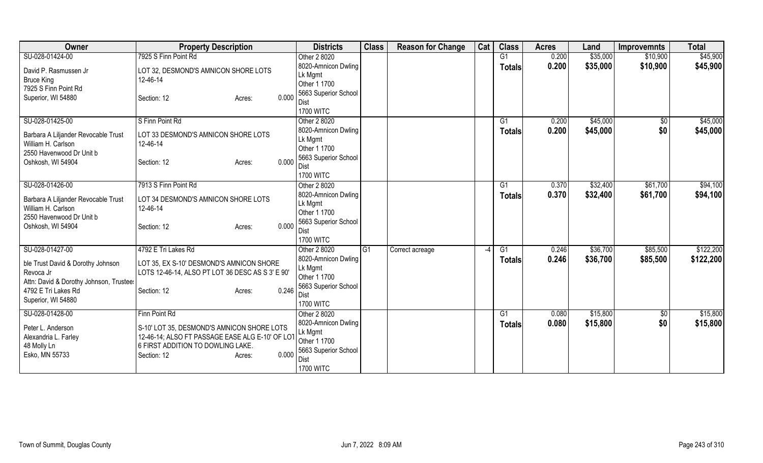| Owner                                          | <b>Property Description</b>                                                          |        |       | <b>Districts</b>                    | <b>Class</b> | <b>Reason for Change</b> | Cat | <b>Class</b>    | <b>Acres</b> | Land     | <b>Improvemnts</b> | <b>Total</b> |
|------------------------------------------------|--------------------------------------------------------------------------------------|--------|-------|-------------------------------------|--------------|--------------------------|-----|-----------------|--------------|----------|--------------------|--------------|
| SU-028-01424-00                                | 7925 S Finn Point Rd                                                                 |        |       | Other 2 8020                        |              |                          |     | G <sub>1</sub>  | 0.200        | \$35,000 | \$10,900           | \$45,900     |
| David P. Rasmussen Jr                          | LOT 32, DESMOND'S AMNICON SHORE LOTS                                                 |        |       | 8020-Amnicon Dwling                 |              |                          |     | <b>Totals</b>   | 0.200        | \$35,000 | \$10,900           | \$45,900     |
| <b>Bruce King</b>                              | 12-46-14                                                                             |        |       | Lk Mgmt                             |              |                          |     |                 |              |          |                    |              |
| 7925 S Finn Point Rd                           |                                                                                      |        |       | Other 1 1700                        |              |                          |     |                 |              |          |                    |              |
| Superior, WI 54880                             | Section: 12                                                                          | Acres: | 0.000 | 5663 Superior School<br><b>Dist</b> |              |                          |     |                 |              |          |                    |              |
|                                                |                                                                                      |        |       | <b>1700 WITC</b>                    |              |                          |     |                 |              |          |                    |              |
| SU-028-01425-00                                | S Finn Point Rd                                                                      |        |       | Other 2 8020                        |              |                          |     | G1              | 0.200        | \$45,000 | \$0                | \$45,000     |
|                                                |                                                                                      |        |       | 8020-Amnicon Dwling                 |              |                          |     | <b>Totals</b>   | 0.200        | \$45,000 | \$0                | \$45,000     |
| Barbara A Liljander Revocable Trust            | LOT 33 DESMOND'S AMNICON SHORE LOTS                                                  |        |       | Lk Mgmt                             |              |                          |     |                 |              |          |                    |              |
| William H. Carlson<br>2550 Havenwood Dr Unit b | 12-46-14                                                                             |        |       | Other 1 1700                        |              |                          |     |                 |              |          |                    |              |
| Oshkosh, WI 54904                              | Section: 12                                                                          | Acres: | 0.000 | 5663 Superior School                |              |                          |     |                 |              |          |                    |              |
|                                                |                                                                                      |        |       | <b>Dist</b>                         |              |                          |     |                 |              |          |                    |              |
|                                                |                                                                                      |        |       | <b>1700 WITC</b>                    |              |                          |     |                 |              |          |                    |              |
| SU-028-01426-00                                | 7913 S Finn Point Rd                                                                 |        |       | Other 2 8020                        |              |                          |     | G1              | 0.370        | \$32,400 | \$61,700           | \$94,100     |
| Barbara A Liljander Revocable Trust            | LOT 34 DESMOND'S AMNICON SHORE LOTS                                                  |        |       | 8020-Amnicon Dwling<br>Lk Mgmt      |              |                          |     | <b>Totals</b>   | 0.370        | \$32,400 | \$61,700           | \$94,100     |
| William H. Carlson                             | 12-46-14                                                                             |        |       | Other 1 1700                        |              |                          |     |                 |              |          |                    |              |
| 2550 Havenwood Dr Unit b                       |                                                                                      |        |       | 5663 Superior School                |              |                          |     |                 |              |          |                    |              |
| Oshkosh, WI 54904                              | Section: 12                                                                          | Acres: | 0.000 | <b>Dist</b>                         |              |                          |     |                 |              |          |                    |              |
|                                                |                                                                                      |        |       | <b>1700 WITC</b>                    |              |                          |     |                 |              |          |                    |              |
| SU-028-01427-00                                | 4792 E Tri Lakes Rd                                                                  |        |       | Other 2 8020                        | G1           | Correct acreage          |     | $\overline{G1}$ | 0.246        | \$36,700 | \$85,500           | \$122,200    |
| ble Trust David & Dorothy Johnson              | LOT 35, EX S-10' DESMOND'S AMNICON SHORE                                             |        |       | 8020-Amnicon Dwling                 |              |                          |     | <b>Totals</b>   | 0.246        | \$36,700 | \$85,500           | \$122,200    |
| Revoca Jr                                      | LOTS 12-46-14, ALSO PT LOT 36 DESC AS S 3' E 90'                                     |        |       | Lk Mgmt                             |              |                          |     |                 |              |          |                    |              |
| Attn: David & Dorothy Johnson, Trustee:        |                                                                                      |        |       | Other 1 1700                        |              |                          |     |                 |              |          |                    |              |
| 4792 E Tri Lakes Rd                            | Section: 12                                                                          | Acres: | 0.246 | 5663 Superior School<br><b>Dist</b> |              |                          |     |                 |              |          |                    |              |
| Superior, WI 54880                             |                                                                                      |        |       | <b>1700 WITC</b>                    |              |                          |     |                 |              |          |                    |              |
| SU-028-01428-00                                | Finn Point Rd                                                                        |        |       | Other 2 8020                        |              |                          |     | G <sub>1</sub>  | 0.080        | \$15,800 | \$0                | \$15,800     |
|                                                |                                                                                      |        |       | 8020-Amnicon Dwling                 |              |                          |     | <b>Totals</b>   | 0.080        | \$15,800 | \$0                | \$15,800     |
| Peter L. Anderson                              | S-10' LOT 35, DESMOND'S AMNICON SHORE LOTS                                           |        |       | Lk Mgmt                             |              |                          |     |                 |              |          |                    |              |
| Alexandria L. Farley<br>48 Molly Ln            | 12-46-14; ALSO FT PASSAGE EASE ALG E-10' OF LOT<br>6 FIRST ADDITION TO DOWLING LAKE. |        |       | Other 1 1700                        |              |                          |     |                 |              |          |                    |              |
| Esko, MN 55733                                 | Section: 12                                                                          | Acres: | 0.000 | 5663 Superior School                |              |                          |     |                 |              |          |                    |              |
|                                                |                                                                                      |        |       | <b>Dist</b>                         |              |                          |     |                 |              |          |                    |              |
|                                                |                                                                                      |        |       | <b>1700 WITC</b>                    |              |                          |     |                 |              |          |                    |              |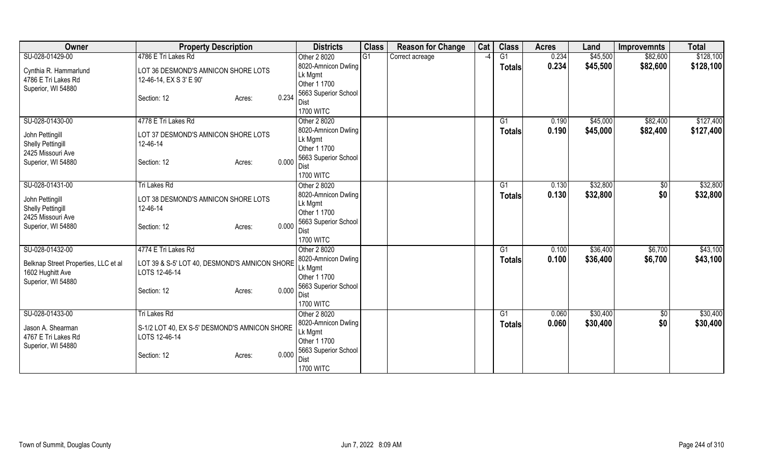| Owner                                                    | <b>Property Description</b>                   |       | <b>Districts</b>               | <b>Class</b> | <b>Reason for Change</b> | Cat           | <b>Class</b>  | <b>Acres</b> | Land     | <b>Improvemnts</b> | <b>Total</b> |
|----------------------------------------------------------|-----------------------------------------------|-------|--------------------------------|--------------|--------------------------|---------------|---------------|--------------|----------|--------------------|--------------|
| SU-028-01429-00                                          | 4786 E Tri Lakes Rd                           |       | Other 2 8020                   | G1           | Correct acreage          | $\mathcal{L}$ | G1            | 0.234        | \$45,500 | \$82,600           | \$128,100    |
| Cynthia R. Hammarlund                                    | LOT 36 DESMOND'S AMNICON SHORE LOTS           |       | 8020-Amnicon Dwling            |              |                          |               | <b>Totals</b> | 0.234        | \$45,500 | \$82,600           | \$128,100    |
| 4786 E Tri Lakes Rd                                      | 12-46-14, EX S 3' E 90'                       |       | Lk Mgmt                        |              |                          |               |               |              |          |                    |              |
| Superior, WI 54880                                       |                                               |       | Other 1 1700                   |              |                          |               |               |              |          |                    |              |
|                                                          | Section: 12<br>Acres:                         | 0.234 | 5663 Superior School<br>Dist   |              |                          |               |               |              |          |                    |              |
|                                                          |                                               |       | <b>1700 WITC</b>               |              |                          |               |               |              |          |                    |              |
| SU-028-01430-00                                          | 4778 E Tri Lakes Rd                           |       | Other 2 8020                   |              |                          |               | G1            | 0.190        | \$45,000 | \$82,400           | \$127,400    |
|                                                          |                                               |       | 8020-Amnicon Dwling            |              |                          |               | <b>Totals</b> | 0.190        | \$45,000 | \$82,400           | \$127,400    |
| John Pettingill                                          | LOT 37 DESMOND'S AMNICON SHORE LOTS           |       | Lk Mgmt                        |              |                          |               |               |              |          |                    |              |
| <b>Shelly Pettingill</b><br>2425 Missouri Ave            | 12-46-14                                      |       | Other 1 1700                   |              |                          |               |               |              |          |                    |              |
| Superior, WI 54880                                       | Section: 12<br>Acres:                         | 0.000 | 5663 Superior School           |              |                          |               |               |              |          |                    |              |
|                                                          |                                               |       | Dist                           |              |                          |               |               |              |          |                    |              |
|                                                          |                                               |       | <b>1700 WITC</b>               |              |                          |               |               |              |          |                    |              |
| SU-028-01431-00                                          | Tri Lakes Rd                                  |       | Other 2 8020                   |              |                          |               | G1            | 0.130        | \$32,800 | $\sqrt[6]{30}$     | \$32,800     |
| John Pettingill                                          | LOT 38 DESMOND'S AMNICON SHORE LOTS           |       | 8020-Amnicon Dwling            |              |                          |               | Totals        | 0.130        | \$32,800 | \$0                | \$32,800     |
| <b>Shelly Pettingill</b>                                 | 12-46-14                                      |       | Lk Mgmt<br>Other 1 1700        |              |                          |               |               |              |          |                    |              |
| 2425 Missouri Ave                                        |                                               |       | 5663 Superior School           |              |                          |               |               |              |          |                    |              |
| Superior, WI 54880                                       | Section: 12<br>Acres:                         | 0.000 | Dist                           |              |                          |               |               |              |          |                    |              |
|                                                          |                                               |       | <b>1700 WITC</b>               |              |                          |               |               |              |          |                    |              |
| SU-028-01432-00                                          | 4774 E Tri Lakes Rd                           |       | Other 2 8020                   |              |                          |               | G1            | 0.100        | \$36,400 | \$6,700            | \$43,100     |
|                                                          | LOT 39 & S-5' LOT 40, DESMOND'S AMNICON SHORE |       | 8020-Amnicon Dwling            |              |                          |               | <b>Totals</b> | 0.100        | \$36,400 | \$6,700            | \$43,100     |
| Belknap Street Properties, LLC et al<br>1602 Hughitt Ave | LOTS 12-46-14                                 |       | Lk Mgmt                        |              |                          |               |               |              |          |                    |              |
| Superior, WI 54880                                       |                                               |       | Other 1 1700                   |              |                          |               |               |              |          |                    |              |
|                                                          | Section: 12<br>Acres:                         | 0.000 | 5663 Superior School           |              |                          |               |               |              |          |                    |              |
|                                                          |                                               |       | Dist                           |              |                          |               |               |              |          |                    |              |
|                                                          |                                               |       | <b>1700 WITC</b>               |              |                          |               |               |              |          |                    |              |
| SU-028-01433-00                                          | Tri Lakes Rd                                  |       | Other 2 8020                   |              |                          |               | G1            | 0.060        | \$30,400 | \$0                | \$30,400     |
| Jason A. Shearman                                        | S-1/2 LOT 40, EX S-5' DESMOND'S AMNICON SHORE |       | 8020-Amnicon Dwling<br>Lk Mgmt |              |                          |               | <b>Totals</b> | 0.060        | \$30,400 | \$0                | \$30,400     |
| 4767 E Tri Lakes Rd                                      | LOTS 12-46-14                                 |       | Other 1 1700                   |              |                          |               |               |              |          |                    |              |
| Superior, WI 54880                                       |                                               |       | 5663 Superior School           |              |                          |               |               |              |          |                    |              |
|                                                          | Section: 12<br>Acres:                         | 0.000 | Dist                           |              |                          |               |               |              |          |                    |              |
|                                                          |                                               |       | <b>1700 WITC</b>               |              |                          |               |               |              |          |                    |              |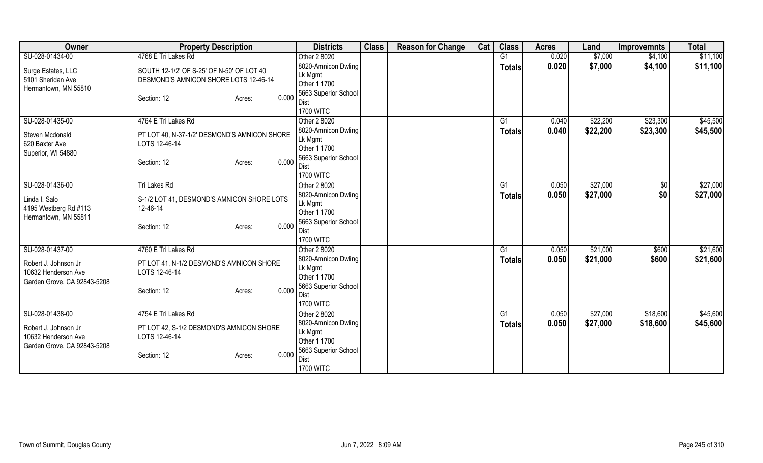| Owner                                                                      | <b>Property Description</b>                                                        | <b>Districts</b>                                                       | <b>Class</b> | <b>Reason for Change</b> | Cat | <b>Class</b>   | <b>Acres</b> | Land     | <b>Improvemnts</b> | <b>Total</b> |
|----------------------------------------------------------------------------|------------------------------------------------------------------------------------|------------------------------------------------------------------------|--------------|--------------------------|-----|----------------|--------------|----------|--------------------|--------------|
| SU-028-01434-00                                                            | 4768 E Tri Lakes Rd                                                                | Other 2 8020                                                           |              |                          |     | G <sub>1</sub> | 0.020        | \$7,000  | \$4,100            | \$11,100     |
| Surge Estates, LLC<br>5101 Sheridan Ave                                    | SOUTH 12-1/2' OF S-25' OF N-50' OF LOT 40<br>DESMOND'S AMNICON SHORE LOTS 12-46-14 | 8020-Amnicon Dwling<br>Lk Mgmt<br>Other 1 1700                         |              |                          |     | <b>Totals</b>  | 0.020        | \$7,000  | \$4,100            | \$11,100     |
| Hermantown, MN 55810                                                       | 0.000<br>Section: 12<br>Acres:                                                     | 5663 Superior School<br>Dist<br><b>1700 WITC</b>                       |              |                          |     |                |              |          |                    |              |
| SU-028-01435-00                                                            | 4764 E Tri Lakes Rd                                                                | Other 2 8020                                                           |              |                          |     | G1             | 0.040        | \$22,200 | \$23,300           | \$45,500     |
| Steven Mcdonald<br>620 Baxter Ave<br>Superior, WI 54880                    | PT LOT 40, N-37-1/2' DESMOND'S AMNICON SHORE<br>LOTS 12-46-14                      | 8020-Amnicon Dwling<br>Lk Mgmt<br>Other 1 1700<br>5663 Superior School |              |                          |     | <b>Totals</b>  | 0.040        | \$22,200 | \$23,300           | \$45,500     |
|                                                                            | 0.000<br>Section: 12<br>Acres:                                                     | Dist<br><b>1700 WITC</b>                                               |              |                          |     |                |              |          |                    |              |
| SU-028-01436-00                                                            | Tri Lakes Rd                                                                       | Other 2 8020                                                           |              |                          |     | G <sub>1</sub> | 0.050        | \$27,000 | \$0                | \$27,000     |
| Linda I. Salo<br>4195 Westberg Rd #113<br>Hermantown, MN 55811             | S-1/2 LOT 41, DESMOND'S AMNICON SHORE LOTS<br>12-46-14                             | 8020-Amnicon Dwling<br>Lk Mgmt<br>Other 1 1700                         |              |                          |     | Totals         | 0.050        | \$27,000 | \$0                | \$27,000     |
|                                                                            | 0.000<br>Section: 12<br>Acres:                                                     | 5663 Superior School<br>Dist<br><b>1700 WITC</b>                       |              |                          |     |                |              |          |                    |              |
| SU-028-01437-00                                                            | 4760 E Tri Lakes Rd                                                                | Other 2 8020                                                           |              |                          |     | G1             | 0.050        | \$21,000 | \$600              | \$21,600     |
| Robert J. Johnson Jr<br>10632 Henderson Ave<br>Garden Grove, CA 92843-5208 | PT LOT 41, N-1/2 DESMOND'S AMNICON SHORE<br>LOTS 12-46-14                          | 8020-Amnicon Dwling<br>Lk Mgmt<br>Other 1 1700                         |              |                          |     | <b>Totals</b>  | 0.050        | \$21,000 | \$600              | \$21,600     |
|                                                                            | 0.000<br>Section: 12<br>Acres:                                                     | 5663 Superior School<br>Dist<br><b>1700 WITC</b>                       |              |                          |     |                |              |          |                    |              |
| SU-028-01438-00                                                            | 4754 E Tri Lakes Rd                                                                | Other 2 8020                                                           |              |                          |     | G1             | 0.050        | \$27,000 | \$18,600           | \$45,600     |
| Robert J. Johnson Jr<br>10632 Henderson Ave<br>Garden Grove, CA 92843-5208 | PT LOT 42, S-1/2 DESMOND'S AMNICON SHORE<br>LOTS 12-46-14                          | 8020-Amnicon Dwling<br>Lk Mgmt<br>Other 1 1700<br>5663 Superior School |              |                          |     | <b>Totals</b>  | 0.050        | \$27,000 | \$18,600           | \$45,600     |
|                                                                            | 0.000<br>Section: 12<br>Acres:                                                     | Dist<br><b>1700 WITC</b>                                               |              |                          |     |                |              |          |                    |              |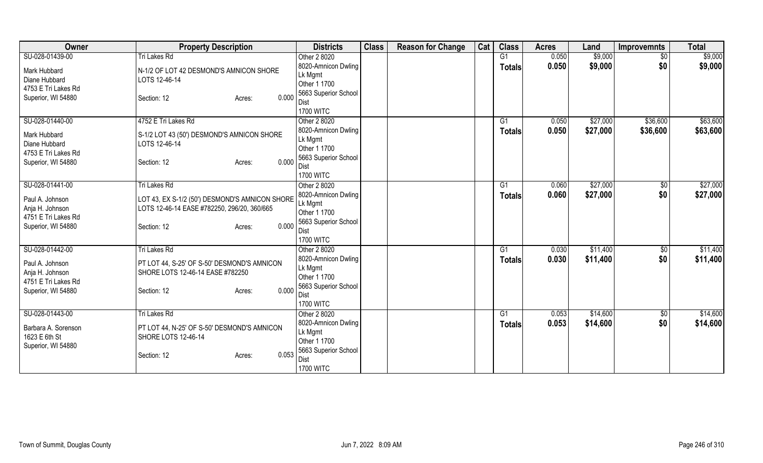| <b>Owner</b>                                                               | <b>Property Description</b>                                                                   | <b>Districts</b>                                                               | <b>Class</b> | <b>Reason for Change</b> | Cat | <b>Class</b>  | <b>Acres</b> | Land     | <b>Improvemnts</b> | <b>Total</b> |
|----------------------------------------------------------------------------|-----------------------------------------------------------------------------------------------|--------------------------------------------------------------------------------|--------------|--------------------------|-----|---------------|--------------|----------|--------------------|--------------|
| SU-028-01439-00                                                            | <b>Tri Lakes Rd</b>                                                                           | Other 2 8020                                                                   |              |                          |     | G1            | 0.050        | \$9,000  | $\sqrt{$0}$        | \$9,000      |
| Mark Hubbard<br>Diane Hubbard<br>4753 E Tri Lakes Rd                       | N-1/2 OF LOT 42 DESMOND'S AMNICON SHORE<br>LOTS 12-46-14                                      | 8020-Amnicon Dwling<br>Lk Mgmt<br>Other 1 1700                                 |              |                          |     | <b>Totals</b> | 0.050        | \$9,000  | \$0                | \$9,000      |
| Superior, WI 54880                                                         | 0.000<br>Section: 12<br>Acres:                                                                | 5663 Superior School<br>Dist<br><b>1700 WITC</b>                               |              |                          |     |               |              |          |                    |              |
| SU-028-01440-00                                                            | 4752 E Tri Lakes Rd                                                                           | Other 2 8020                                                                   |              |                          |     | G1            | 0.050        | \$27,000 | \$36,600           | \$63,600     |
| Mark Hubbard<br>Diane Hubbard<br>4753 E Tri Lakes Rd<br>Superior, WI 54880 | S-1/2 LOT 43 (50') DESMOND'S AMNICON SHORE<br>LOTS 12-46-14<br>0.000<br>Section: 12<br>Acres: | 8020-Amnicon Dwling<br>Lk Mgmt<br>Other 1 1700<br>5663 Superior School<br>Dist |              |                          |     | <b>Totals</b> | 0.050        | \$27,000 | \$36,600           | \$63,600     |
|                                                                            |                                                                                               | <b>1700 WITC</b>                                                               |              |                          |     |               |              |          |                    |              |
| SU-028-01441-00                                                            | Tri Lakes Rd                                                                                  | Other 2 8020                                                                   |              |                          |     | G1            | 0.060        | \$27,000 | $\sqrt[6]{3}$      | \$27,000     |
| Paul A. Johnson<br>Anja H. Johnson<br>4751 E Tri Lakes Rd                  | LOT 43, EX S-1/2 (50') DESMOND'S AMNICON SHORE<br>LOTS 12-46-14 EASE #782250, 296/20, 360/665 | 8020-Amnicon Dwling<br>Lk Mgmt<br>Other 1 1700                                 |              |                          |     | <b>Totals</b> | 0.060        | \$27,000 | \$0                | \$27,000     |
| Superior, WI 54880                                                         | 0.000<br>Section: 12<br>Acres:                                                                | 5663 Superior School<br>Dist<br><b>1700 WITC</b>                               |              |                          |     |               |              |          |                    |              |
| SU-028-01442-00                                                            | Tri Lakes Rd                                                                                  | Other 2 8020                                                                   |              |                          |     | G1            | 0.030        | \$11,400 | $\sqrt{6}$         | \$11,400     |
| Paul A. Johnson<br>Anja H. Johnson<br>4751 E Tri Lakes Rd                  | PT LOT 44, S-25' OF S-50' DESMOND'S AMNICON<br>SHORE LOTS 12-46-14 EASE #782250               | 8020-Amnicon Dwling<br>Lk Mgmt<br>Other 1 1700<br>5663 Superior School         |              |                          |     | <b>Totals</b> | 0.030        | \$11,400 | \$0                | \$11,400     |
| Superior, WI 54880                                                         | 0.000<br>Section: 12<br>Acres:                                                                | Dist<br><b>1700 WITC</b>                                                       |              |                          |     |               |              |          |                    |              |
| SU-028-01443-00                                                            | Tri Lakes Rd                                                                                  | Other 2 8020                                                                   |              |                          |     | G1            | 0.053        | \$14,600 | \$0                | \$14,600     |
| Barbara A. Sorenson<br>1623 E 6th St<br>Superior, WI 54880                 | PT LOT 44, N-25' OF S-50' DESMOND'S AMNICON<br><b>SHORE LOTS 12-46-14</b>                     | 8020-Amnicon Dwling<br>Lk Mgmt<br>Other 1 1700<br>5663 Superior School         |              |                          |     | <b>Totals</b> | 0.053        | \$14,600 | \$0                | \$14,600     |
|                                                                            | 0.053<br>Section: 12<br>Acres:                                                                | Dist<br><b>1700 WITC</b>                                                       |              |                          |     |               |              |          |                    |              |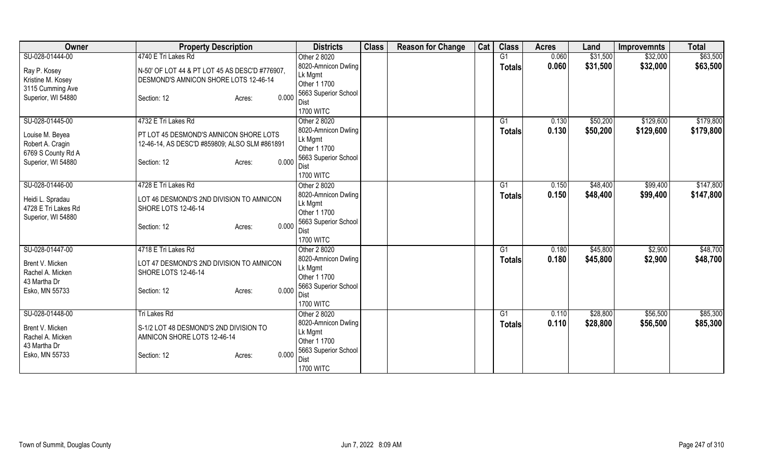| Owner                                                                           | <b>Property Description</b>                                                                                               | <b>Districts</b>                                                                                   | <b>Class</b> | <b>Reason for Change</b> | Cat | <b>Class</b>        | <b>Acres</b>   | Land                 | <b>Improvemnts</b> | <b>Total</b> |
|---------------------------------------------------------------------------------|---------------------------------------------------------------------------------------------------------------------------|----------------------------------------------------------------------------------------------------|--------------|--------------------------|-----|---------------------|----------------|----------------------|--------------------|--------------|
| SU-028-01444-00                                                                 | 4740 E Tri Lakes Rd                                                                                                       | Other 2 8020                                                                                       |              |                          |     | G1                  | 0.060          | \$31,500             | \$32,000           | \$63,500     |
| Ray P. Kosey<br>Kristine M. Kosey                                               | N-50' OF LOT 44 & PT LOT 45 AS DESC'D #776907.<br>DESMOND'S AMNICON SHORE LOTS 12-46-14                                   | 8020-Amnicon Dwling<br>Lk Mgmt<br>Other 1 1700                                                     |              |                          |     | <b>Totals</b>       | 0.060          | \$31,500             | \$32,000           | \$63,500     |
| 3115 Cumming Ave<br>Superior, WI 54880                                          | 0.000<br>Section: 12<br>Acres:                                                                                            | 5663 Superior School<br>Dist<br><b>1700 WITC</b>                                                   |              |                          |     |                     |                |                      |                    |              |
| SU-028-01445-00                                                                 | 4732 E Tri Lakes Rd                                                                                                       | Other 2 8020                                                                                       |              |                          |     | G1                  | 0.130          | \$50,200             | \$129,600          | \$179,800    |
| Louise M. Beyea<br>Robert A. Cragin<br>6769 S County Rd A<br>Superior, WI 54880 | PT LOT 45 DESMOND'S AMNICON SHORE LOTS<br>12-46-14, AS DESC'D #859809; ALSO SLM #861891<br>0.000<br>Section: 12<br>Acres: | 8020-Amnicon Dwling<br>Lk Mgmt<br>Other 1 1700<br>5663 Superior School<br>Dist<br><b>1700 WITC</b> |              |                          |     | <b>Totals</b>       | 0.130          | \$50,200             | \$129,600          | \$179,800    |
| SU-028-01446-00                                                                 | 4728 E Tri Lakes Rd                                                                                                       | Other 2 8020                                                                                       |              |                          |     | G1                  | 0.150          | \$48,400             | \$99,400           | \$147,800    |
| Heidi L. Spradau<br>4728 E Tri Lakes Rd<br>Superior, WI 54880                   | LOT 46 DESMOND'S 2ND DIVISION TO AMNICON<br>SHORE LOTS 12-46-14<br>0.000<br>Section: 12<br>Acres:                         | 8020-Amnicon Dwling<br>Lk Mgmt<br>Other 1 1700<br>5663 Superior School                             |              |                          |     | Totals              | 0.150          | \$48,400             | \$99,400           | \$147,800    |
|                                                                                 |                                                                                                                           | Dist                                                                                               |              |                          |     |                     |                |                      |                    |              |
| SU-028-01447-00                                                                 | 4718 E Tri Lakes Rd                                                                                                       | <b>1700 WITC</b>                                                                                   |              |                          |     |                     |                |                      |                    | \$48,700     |
| Brent V. Micken<br>Rachel A. Micken<br>43 Martha Dr<br>Esko, MN 55733           | LOT 47 DESMOND'S 2ND DIVISION TO AMNICON<br><b>SHORE LOTS 12-46-14</b><br>0.000                                           | Other 2 8020<br>8020-Amnicon Dwling<br>Lk Mgmt<br>Other 1 1700<br>5663 Superior School             |              |                          |     | G1<br><b>Totals</b> | 0.180<br>0.180 | \$45,800<br>\$45,800 | \$2,900<br>\$2,900 | \$48,700     |
|                                                                                 | Section: 12<br>Acres:                                                                                                     | Dist<br><b>1700 WITC</b>                                                                           |              |                          |     |                     |                |                      |                    |              |
| SU-028-01448-00                                                                 | <b>Tri Lakes Rd</b>                                                                                                       | Other 2 8020                                                                                       |              |                          |     | G1                  | 0.110          | \$28,800             | \$56,500           | \$85,300     |
| Brent V. Micken<br>Rachel A. Micken<br>43 Martha Dr<br>Esko, MN 55733           | S-1/2 LOT 48 DESMOND'S 2ND DIVISION TO<br>AMNICON SHORE LOTS 12-46-14<br>0.000<br>Section: 12<br>Acres:                   | 8020-Amnicon Dwling<br>Lk Mgmt<br>Other 1 1700<br>5663 Superior School<br>Dist                     |              |                          |     | <b>Totals</b>       | 0.110          | \$28,800             | \$56,500           | \$85,300     |
|                                                                                 |                                                                                                                           | <b>1700 WITC</b>                                                                                   |              |                          |     |                     |                |                      |                    |              |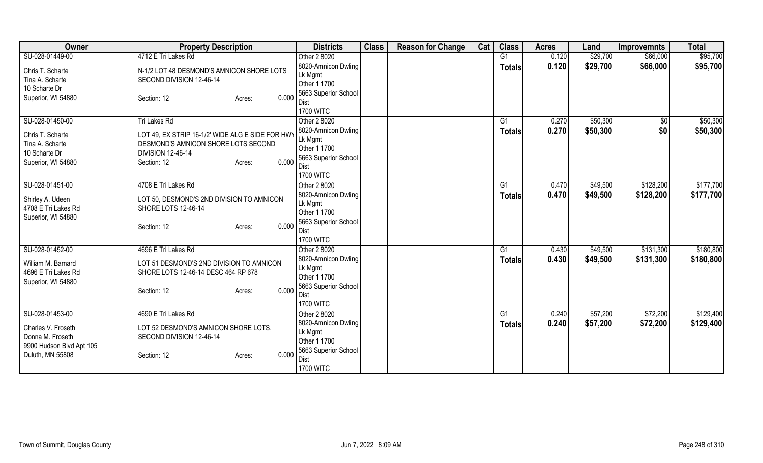| Owner                    | <b>Property Description</b>                      | <b>Districts</b>                | <b>Class</b> | <b>Reason for Change</b> | Cat | <b>Class</b>   | <b>Acres</b> | Land     | <b>Improvemnts</b> | <b>Total</b> |
|--------------------------|--------------------------------------------------|---------------------------------|--------------|--------------------------|-----|----------------|--------------|----------|--------------------|--------------|
| SU-028-01449-00          | 4712 E Tri Lakes Rd                              | Other 2 8020                    |              |                          |     | G <sub>1</sub> | 0.120        | \$29,700 | \$66,000           | \$95,700     |
| Chris T. Scharte         | N-1/2 LOT 48 DESMOND'S AMNICON SHORE LOTS        | 8020-Amnicon Dwling             |              |                          |     | <b>Totals</b>  | 0.120        | \$29,700 | \$66,000           | \$95,700     |
| Tina A. Scharte          | SECOND DIVISION 12-46-14                         | Lk Mgmt                         |              |                          |     |                |              |          |                    |              |
| 10 Scharte Dr            |                                                  | Other 1 1700                    |              |                          |     |                |              |          |                    |              |
| Superior, WI 54880       | 0.000<br>Section: 12<br>Acres:                   | 5663 Superior School            |              |                          |     |                |              |          |                    |              |
|                          |                                                  | Dist                            |              |                          |     |                |              |          |                    |              |
|                          |                                                  | <b>1700 WITC</b>                |              |                          |     |                |              |          |                    |              |
| SU-028-01450-00          | Tri Lakes Rd                                     | Other 2 8020                    |              |                          |     | G1             | 0.270        | \$50,300 | \$0                | \$50,300     |
| Chris T. Scharte         | LOT 49, EX STRIP 16-1/2' WIDE ALG E SIDE FOR HWY | 8020-Amnicon Dwling             |              |                          |     | <b>Totals</b>  | 0.270        | \$50,300 | \$0                | \$50,300     |
| Tina A. Scharte          | DESMOND'S AMNICON SHORE LOTS SECOND              | Lk Mgmt                         |              |                          |     |                |              |          |                    |              |
| 10 Scharte Dr            | <b>DIVISION 12-46-14</b>                         | Other 1 1700                    |              |                          |     |                |              |          |                    |              |
| Superior, WI 54880       | 0.000<br>Section: 12<br>Acres:                   | 5663 Superior School            |              |                          |     |                |              |          |                    |              |
|                          |                                                  | <b>Dist</b><br><b>1700 WITC</b> |              |                          |     |                |              |          |                    |              |
| SU-028-01451-00          | 4708 E Tri Lakes Rd                              | Other 2 8020                    |              |                          |     | G1             | 0.470        | \$49,500 | \$128,200          | \$177,700    |
|                          |                                                  | 8020-Amnicon Dwling             |              |                          |     |                |              |          |                    |              |
| Shirley A. Udeen         | LOT 50, DESMOND'S 2ND DIVISION TO AMNICON        | Lk Mgmt                         |              |                          |     | <b>Totals</b>  | 0.470        | \$49,500 | \$128,200          | \$177,700    |
| 4708 E Tri Lakes Rd      | SHORE LOTS 12-46-14                              | Other 1 1700                    |              |                          |     |                |              |          |                    |              |
| Superior, WI 54880       |                                                  | 5663 Superior School            |              |                          |     |                |              |          |                    |              |
|                          | 0.000<br>Section: 12<br>Acres:                   | Dist                            |              |                          |     |                |              |          |                    |              |
|                          |                                                  | <b>1700 WITC</b>                |              |                          |     |                |              |          |                    |              |
| SU-028-01452-00          | 4696 E Tri Lakes Rd                              | Other 2 8020                    |              |                          |     | G1             | 0.430        | \$49,500 | \$131,300          | \$180,800    |
|                          |                                                  | 8020-Amnicon Dwling             |              |                          |     | Totals         | 0.430        | \$49,500 | \$131,300          | \$180,800    |
| William M. Barnard       | LOT 51 DESMOND'S 2ND DIVISION TO AMNICON         | Lk Mgmt                         |              |                          |     |                |              |          |                    |              |
| 4696 E Tri Lakes Rd      | SHORE LOTS 12-46-14 DESC 464 RP 678              | Other 1 1700                    |              |                          |     |                |              |          |                    |              |
| Superior, WI 54880       |                                                  | 5663 Superior School            |              |                          |     |                |              |          |                    |              |
|                          | 0.000<br>Section: 12<br>Acres:                   | Dist                            |              |                          |     |                |              |          |                    |              |
|                          |                                                  | <b>1700 WITC</b>                |              |                          |     |                |              |          |                    |              |
| SU-028-01453-00          | 4690 E Tri Lakes Rd                              | Other 2 8020                    |              |                          |     | G1             | 0.240        | \$57,200 | \$72,200           | \$129,400    |
|                          |                                                  | 8020-Amnicon Dwling             |              |                          |     | <b>Totals</b>  | 0.240        | \$57,200 | \$72,200           | \$129,400    |
| Charles V. Froseth       | LOT 52 DESMOND'S AMNICON SHORE LOTS,             | Lk Mgmt                         |              |                          |     |                |              |          |                    |              |
| Donna M. Froseth         | SECOND DIVISION 12-46-14                         | Other 1 1700                    |              |                          |     |                |              |          |                    |              |
| 9900 Hudson Blvd Apt 105 | 0.000                                            | 5663 Superior School            |              |                          |     |                |              |          |                    |              |
| Duluth, MN 55808         | Section: 12<br>Acres:                            | Dist                            |              |                          |     |                |              |          |                    |              |
|                          |                                                  | <b>1700 WITC</b>                |              |                          |     |                |              |          |                    |              |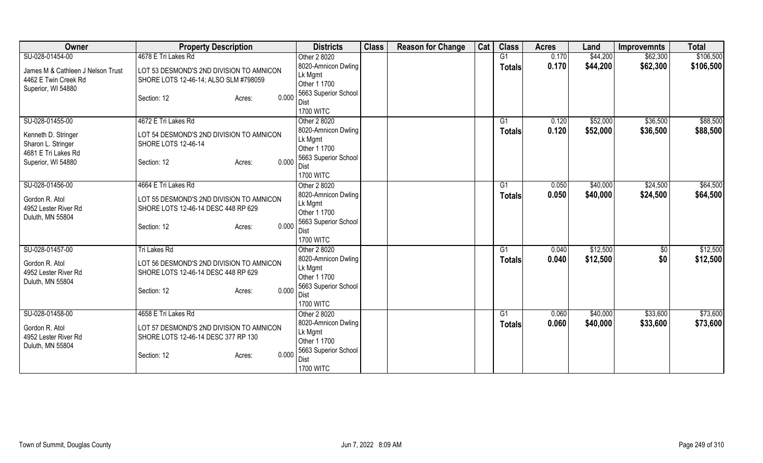| 4678 E Tri Lakes Rd<br>SU-028-01454-00<br>$\overline{G1}$<br>\$44,200<br>\$62,300<br>Other 2 8020<br>0.170<br>8020-Amnicon Dwling<br>0.170<br>\$44,200<br>\$62,300<br><b>Totals</b><br>James M & Cathleen J Nelson Trust<br>LOT 53 DESMOND'S 2ND DIVISION TO AMNICON | \$106,500<br>\$106,500 |
|----------------------------------------------------------------------------------------------------------------------------------------------------------------------------------------------------------------------------------------------------------------------|------------------------|
|                                                                                                                                                                                                                                                                      |                        |
|                                                                                                                                                                                                                                                                      |                        |
| Lk Mgmt<br>4462 E Twin Creek Rd<br>SHORE LOTS 12-46-14; ALSO SLM #798059                                                                                                                                                                                             |                        |
| Other 1 1700<br>Superior, WI 54880                                                                                                                                                                                                                                   |                        |
| 5663 Superior School<br>0.000<br>Section: 12<br>Acres:                                                                                                                                                                                                               |                        |
| Dist<br><b>1700 WITC</b>                                                                                                                                                                                                                                             |                        |
| SU-028-01455-00<br>4672 E Tri Lakes Rd<br>G1<br>\$52,000<br>\$36,500<br>Other 2 8020<br>0.120                                                                                                                                                                        | \$88,500               |
| 0.120<br>\$52,000<br>\$36,500<br>8020-Amnicon Dwling<br>Totals                                                                                                                                                                                                       | \$88,500               |
| LOT 54 DESMOND'S 2ND DIVISION TO AMNICON<br>Kenneth D. Stringer<br>Lk Mgmt                                                                                                                                                                                           |                        |
| Sharon L. Stringer<br><b>SHORE LOTS 12-46-14</b><br>Other 1 1700                                                                                                                                                                                                     |                        |
| 4681 E Tri Lakes Rd<br>5663 Superior School                                                                                                                                                                                                                          |                        |
| 0.000<br>Superior, WI 54880<br>Section: 12<br>Acres:<br>Dist                                                                                                                                                                                                         |                        |
| <b>1700 WITC</b>                                                                                                                                                                                                                                                     |                        |
| SU-028-01456-00<br>\$40,000<br>4664 E Tri Lakes Rd<br>G1<br>0.050<br>\$24,500<br>Other 2 8020                                                                                                                                                                        | \$64,500               |
| \$40,000<br>8020-Amnicon Dwling<br>0.050<br>\$24,500<br>Totals<br>Gordon R. Atol<br>LOT 55 DESMOND'S 2ND DIVISION TO AMNICON                                                                                                                                         | \$64,500               |
| Lk Mgmt<br>4952 Lester River Rd<br>SHORE LOTS 12-46-14 DESC 448 RP 629                                                                                                                                                                                               |                        |
| Other 1 1700<br>Duluth, MN 55804                                                                                                                                                                                                                                     |                        |
| 5663 Superior School<br>0.000<br>Section: 12<br>Acres:<br>Dist                                                                                                                                                                                                       |                        |
| <b>1700 WITC</b>                                                                                                                                                                                                                                                     |                        |
| SU-028-01457-00<br>G1<br>\$12,500<br>$\sqrt{$0}$<br>Tri Lakes Rd<br>0.040<br>Other 2 8020                                                                                                                                                                            | \$12,500               |
| \$0<br>8020-Amnicon Dwling<br>0.040<br>\$12,500<br><b>Totals</b>                                                                                                                                                                                                     | \$12,500               |
| Gordon R. Atol<br>LOT 56 DESMOND'S 2ND DIVISION TO AMNICON<br>Lk Mgmt                                                                                                                                                                                                |                        |
| 4952 Lester River Rd<br>SHORE LOTS 12-46-14 DESC 448 RP 629<br>Other 1 1700                                                                                                                                                                                          |                        |
| Duluth, MN 55804<br>5663 Superior School<br>0.000                                                                                                                                                                                                                    |                        |
| Section: 12<br>Acres:<br>Dist                                                                                                                                                                                                                                        |                        |
| <b>1700 WITC</b>                                                                                                                                                                                                                                                     |                        |
| SU-028-01458-00<br>4658 E Tri Lakes Rd<br>\$40,000<br>\$33,600<br>Other 2 8020<br>G1<br>0.060                                                                                                                                                                        | \$73,600               |
| 0.060<br>\$40,000<br>\$33,600<br>8020-Amnicon Dwling<br><b>Totals</b><br>Gordon R. Atol<br>LOT 57 DESMOND'S 2ND DIVISION TO AMNICON                                                                                                                                  | \$73,600               |
| Lk Mgmt<br>4952 Lester River Rd<br>SHORE LOTS 12-46-14 DESC 377 RP 130                                                                                                                                                                                               |                        |
| Other 1 1700<br>Duluth, MN 55804                                                                                                                                                                                                                                     |                        |
| 5663 Superior School<br>0.000<br>Section: 12<br>Acres:<br>Dist                                                                                                                                                                                                       |                        |
| <b>1700 WITC</b>                                                                                                                                                                                                                                                     |                        |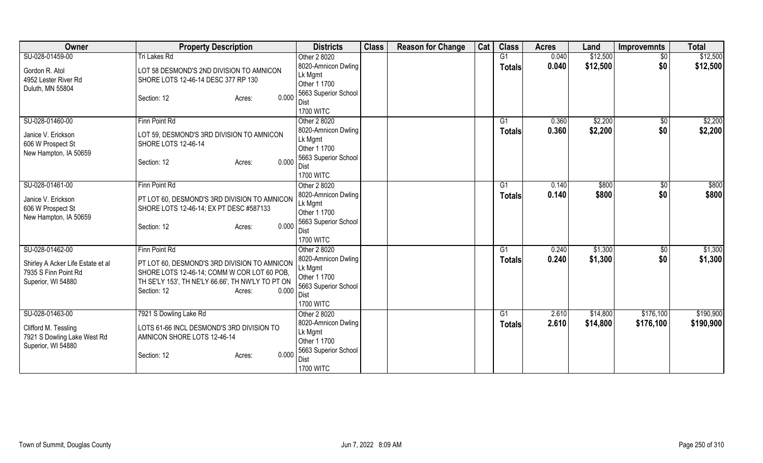| <b>Owner</b>                                              | <b>Property Description</b>                                                                 | <b>Districts</b>               | <b>Class</b> | <b>Reason for Change</b> | Cat | <b>Class</b>   | <b>Acres</b> | Land     | <b>Improvemnts</b> | <b>Total</b> |
|-----------------------------------------------------------|---------------------------------------------------------------------------------------------|--------------------------------|--------------|--------------------------|-----|----------------|--------------|----------|--------------------|--------------|
| SU-028-01459-00                                           | <b>Tri Lakes Rd</b>                                                                         | Other 2 8020                   |              |                          |     | G <sub>1</sub> | 0.040        | \$12,500 | $\overline{50}$    | \$12,500     |
| Gordon R. Atol                                            | LOT 58 DESMOND'S 2ND DIVISION TO AMNICON                                                    | 8020-Amnicon Dwling            |              |                          |     | <b>Totals</b>  | 0.040        | \$12,500 | \$0                | \$12,500     |
| 4952 Lester River Rd                                      | SHORE LOTS 12-46-14 DESC 377 RP 130                                                         | Lk Mgmt                        |              |                          |     |                |              |          |                    |              |
| Duluth, MN 55804                                          |                                                                                             | Other 1 1700                   |              |                          |     |                |              |          |                    |              |
|                                                           | 0.000<br>Section: 12<br>Acres:                                                              | 5663 Superior School           |              |                          |     |                |              |          |                    |              |
|                                                           |                                                                                             | Dist<br><b>1700 WITC</b>       |              |                          |     |                |              |          |                    |              |
| SU-028-01460-00                                           | Finn Point Rd                                                                               | Other 2 8020                   |              |                          |     | G1             | 0.360        | \$2,200  | \$0                | \$2,200      |
|                                                           |                                                                                             | 8020-Amnicon Dwling            |              |                          |     | <b>Totals</b>  | 0.360        | \$2,200  | \$0                | \$2,200      |
| Janice V. Erickson                                        | LOT 59, DESMOND'S 3RD DIVISION TO AMNICON                                                   | Lk Mgmt                        |              |                          |     |                |              |          |                    |              |
| 606 W Prospect St                                         | <b>SHORE LOTS 12-46-14</b>                                                                  | Other 1 1700                   |              |                          |     |                |              |          |                    |              |
| New Hampton, IA 50659                                     | 0.000                                                                                       | 5663 Superior School           |              |                          |     |                |              |          |                    |              |
|                                                           | Section: 12<br>Acres:                                                                       | Dist                           |              |                          |     |                |              |          |                    |              |
|                                                           |                                                                                             | <b>1700 WITC</b>               |              |                          |     |                |              |          |                    |              |
| SU-028-01461-00                                           | Finn Point Rd                                                                               | Other 2 8020                   |              |                          |     | G1             | 0.140        | \$800    | \$0                | \$800        |
| Janice V. Erickson                                        | PT LOT 60, DESMOND'S 3RD DIVISION TO AMNICON                                                | 8020-Amnicon Dwling            |              |                          |     | <b>Totals</b>  | 0.140        | \$800    | \$0                | \$800        |
| 606 W Prospect St                                         | SHORE LOTS 12-46-14; EX PT DESC #587133                                                     | Lk Mgmt                        |              |                          |     |                |              |          |                    |              |
| New Hampton, IA 50659                                     |                                                                                             | Other 1 1700                   |              |                          |     |                |              |          |                    |              |
|                                                           | 0.000<br>Section: 12<br>Acres:                                                              | 5663 Superior School<br>Dist   |              |                          |     |                |              |          |                    |              |
|                                                           |                                                                                             | <b>1700 WITC</b>               |              |                          |     |                |              |          |                    |              |
| SU-028-01462-00                                           | Finn Point Rd                                                                               | Other 2 8020                   |              |                          |     | G1             | 0.240        | \$1,300  | $\sqrt{$0}$        | \$1,300      |
|                                                           |                                                                                             | 8020-Amnicon Dwling            |              |                          |     | <b>Totals</b>  | 0.240        | \$1,300  | \$0                | \$1,300      |
| Shirley A Acker Life Estate et al<br>7935 S Finn Point Rd | PT LOT 60, DESMOND'S 3RD DIVISION TO AMNICON<br>SHORE LOTS 12-46-14; COMM W COR LOT 60 POB, | Lk Mgmt                        |              |                          |     |                |              |          |                    |              |
| Superior, WI 54880                                        | TH SE'LY 153', TH NE'LY 66.66', TH NW'LY TO PT ON                                           | Other 1 1700                   |              |                          |     |                |              |          |                    |              |
|                                                           | 0.000<br>Section: 12<br>Acres:                                                              | 5663 Superior School           |              |                          |     |                |              |          |                    |              |
|                                                           |                                                                                             | Dist                           |              |                          |     |                |              |          |                    |              |
|                                                           |                                                                                             | <b>1700 WITC</b>               |              |                          |     |                |              |          |                    |              |
| SU-028-01463-00                                           | 7921 S Dowling Lake Rd                                                                      | Other 2 8020                   |              |                          |     | G1             | 2.610        | \$14,800 | \$176,100          | \$190,900    |
| Clifford M. Tessling                                      | LOTS 61-66 INCL DESMOND'S 3RD DIVISION TO                                                   | 8020-Amnicon Dwling<br>Lk Mgmt |              |                          |     | <b>Totals</b>  | 2.610        | \$14,800 | \$176,100          | \$190,900    |
| 7921 S Dowling Lake West Rd                               | AMNICON SHORE LOTS 12-46-14                                                                 | Other 1 1700                   |              |                          |     |                |              |          |                    |              |
| Superior, WI 54880                                        |                                                                                             | 5663 Superior School           |              |                          |     |                |              |          |                    |              |
|                                                           | 0.000<br>Section: 12<br>Acres:                                                              | Dist                           |              |                          |     |                |              |          |                    |              |
|                                                           |                                                                                             | <b>1700 WITC</b>               |              |                          |     |                |              |          |                    |              |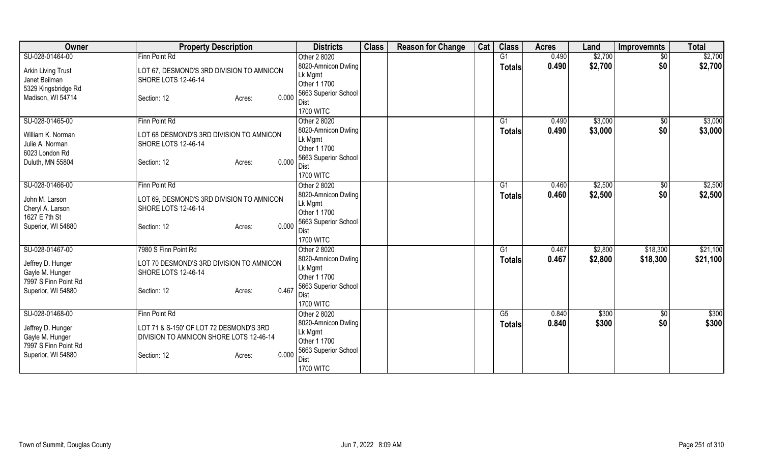| Owner                                | <b>Property Description</b>               | <b>Districts</b>         | <b>Class</b> | <b>Reason for Change</b> | Cat | <b>Class</b>  | <b>Acres</b> | Land    | <b>Improvemnts</b> | <b>Total</b> |
|--------------------------------------|-------------------------------------------|--------------------------|--------------|--------------------------|-----|---------------|--------------|---------|--------------------|--------------|
| SU-028-01464-00                      | Finn Point Rd                             | Other 2 8020             |              |                          |     | G1            | 0.490        | \$2,700 | $\sqrt{$0}$        | \$2,700      |
| <b>Arkin Living Trust</b>            | LOT 67, DESMOND'S 3RD DIVISION TO AMNICON | 8020-Amnicon Dwling      |              |                          |     | <b>Totals</b> | 0.490        | \$2,700 | \$0                | \$2,700      |
| Janet Beilman                        | <b>SHORE LOTS 12-46-14</b>                | Lk Mgmt                  |              |                          |     |               |              |         |                    |              |
| 5329 Kingsbridge Rd                  |                                           | Other 1 1700             |              |                          |     |               |              |         |                    |              |
| Madison, WI 54714                    | 0.000<br>Section: 12<br>Acres:            | 5663 Superior School     |              |                          |     |               |              |         |                    |              |
|                                      |                                           | Dist                     |              |                          |     |               |              |         |                    |              |
|                                      |                                           | <b>1700 WITC</b>         |              |                          |     |               |              |         |                    |              |
| SU-028-01465-00                      | Finn Point Rd                             | Other 2 8020             |              |                          |     | G1            | 0.490        | \$3,000 | \$0                | \$3,000      |
| William K. Norman                    | LOT 68 DESMOND'S 3RD DIVISION TO AMNICON  | 8020-Amnicon Dwling      |              |                          |     | <b>Totals</b> | 0.490        | \$3,000 | \$0                | \$3,000      |
| Julie A. Norman                      | SHORE LOTS 12-46-14                       | Lk Mgmt                  |              |                          |     |               |              |         |                    |              |
| 6023 London Rd                       |                                           | Other 1 1700             |              |                          |     |               |              |         |                    |              |
| Duluth, MN 55804                     | 0.000<br>Section: 12<br>Acres:            | 5663 Superior School     |              |                          |     |               |              |         |                    |              |
|                                      |                                           | Dist<br><b>1700 WITC</b> |              |                          |     |               |              |         |                    |              |
| SU-028-01466-00                      | Finn Point Rd                             | Other 2 8020             |              |                          |     | G1            | 0.460        | \$2,500 | $\sqrt[6]{3}$      | \$2,500      |
|                                      |                                           | 8020-Amnicon Dwling      |              |                          |     |               | 0.460        |         | \$0                |              |
| John M. Larson                       | LOT 69, DESMOND'S 3RD DIVISION TO AMNICON | Lk Mgmt                  |              |                          |     | Totals        |              | \$2,500 |                    | \$2,500      |
| Cheryl A. Larson                     | SHORE LOTS 12-46-14                       | Other 1 1700             |              |                          |     |               |              |         |                    |              |
| 1627 E 7th St                        |                                           | 5663 Superior School     |              |                          |     |               |              |         |                    |              |
| Superior, WI 54880                   | 0.000<br>Section: 12<br>Acres:            | Dist                     |              |                          |     |               |              |         |                    |              |
|                                      |                                           | <b>1700 WITC</b>         |              |                          |     |               |              |         |                    |              |
| SU-028-01467-00                      | 7980 S Finn Point Rd                      | Other 2 8020             |              |                          |     | G1            | 0.467        | \$2,800 | \$18,300           | \$21,100     |
|                                      |                                           | 8020-Amnicon Dwling      |              |                          |     | Totals        | 0.467        | \$2,800 | \$18,300           | \$21,100     |
| Jeffrey D. Hunger                    | LOT 70 DESMOND'S 3RD DIVISION TO AMNICON  | Lk Mgmt                  |              |                          |     |               |              |         |                    |              |
| Gayle M. Hunger                      | <b>SHORE LOTS 12-46-14</b>                | Other 1 1700             |              |                          |     |               |              |         |                    |              |
| 7997 S Finn Point Rd                 |                                           | 5663 Superior School     |              |                          |     |               |              |         |                    |              |
| Superior, WI 54880                   | 0.467<br>Section: 12<br>Acres:            | <b>Dist</b>              |              |                          |     |               |              |         |                    |              |
|                                      |                                           | <b>1700 WITC</b>         |              |                          |     |               |              |         |                    |              |
| SU-028-01468-00                      | Finn Point Rd                             | Other 2 8020             |              |                          |     | G5            | 0.840        | \$300   | \$0                | \$300        |
|                                      | LOT 71 & S-150' OF LOT 72 DESMOND'S 3RD   | 8020-Amnicon Dwling      |              |                          |     | <b>Totals</b> | 0.840        | \$300   | \$0                | \$300        |
| Jeffrey D. Hunger<br>Gayle M. Hunger | DIVISION TO AMNICON SHORE LOTS 12-46-14   | Lk Mgmt                  |              |                          |     |               |              |         |                    |              |
| 7997 S Finn Point Rd                 |                                           | Other 1 1700             |              |                          |     |               |              |         |                    |              |
| Superior, WI 54880                   | 0.000<br>Section: 12<br>Acres:            | 5663 Superior School     |              |                          |     |               |              |         |                    |              |
|                                      |                                           | Dist                     |              |                          |     |               |              |         |                    |              |
|                                      |                                           | <b>1700 WITC</b>         |              |                          |     |               |              |         |                    |              |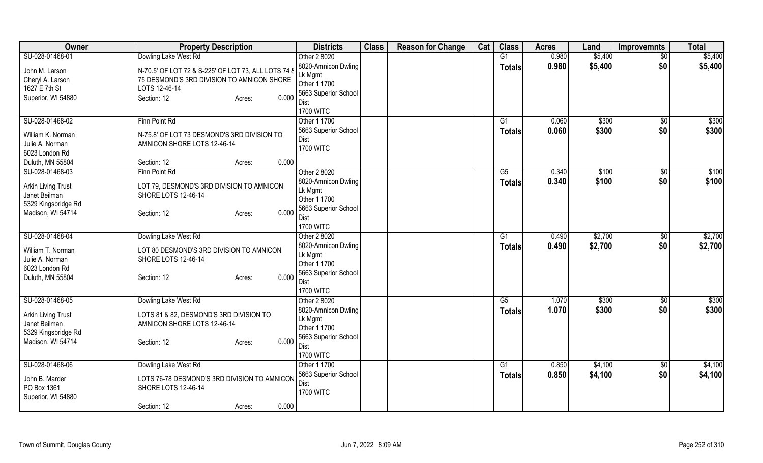| Owner                     | <b>Property Description</b>                         | <b>Districts</b>     | <b>Class</b> | <b>Reason for Change</b> | Cat | <b>Class</b>    | <b>Acres</b> | Land    | <b>Improvemnts</b> | <b>Total</b> |
|---------------------------|-----------------------------------------------------|----------------------|--------------|--------------------------|-----|-----------------|--------------|---------|--------------------|--------------|
| SU-028-01468-01           | Dowling Lake West Rd                                | Other 2 8020         |              |                          |     | G1              | 0.980        | \$5,400 | $\overline{50}$    | \$5,400      |
| John M. Larson            | N-70.5' OF LOT 72 & S-225' OF LOT 73, ALL LOTS 74 & | 8020-Amnicon Dwling  |              |                          |     | <b>Totals</b>   | 0.980        | \$5,400 | \$0                | \$5,400      |
| Cheryl A. Larson          | 75 DESMOND'S 3RD DIVISION TO AMNICON SHORE          | Lk Mgmt              |              |                          |     |                 |              |         |                    |              |
| 1627 E 7th St             | LOTS 12-46-14                                       | Other 1 1700         |              |                          |     |                 |              |         |                    |              |
| Superior, WI 54880        | 0.000<br>Section: 12<br>Acres:                      | 5663 Superior School |              |                          |     |                 |              |         |                    |              |
|                           |                                                     | Dist                 |              |                          |     |                 |              |         |                    |              |
|                           |                                                     | <b>1700 WITC</b>     |              |                          |     |                 |              |         |                    |              |
| SU-028-01468-02           | Finn Point Rd                                       | Other 1 1700         |              |                          |     | G <sub>1</sub>  | 0.060        | \$300   | \$0                | \$300        |
| William K. Norman         | N-75.8' OF LOT 73 DESMOND'S 3RD DIVISION TO         | 5663 Superior School |              |                          |     | <b>Totals</b>   | 0.060        | \$300   | \$0                | \$300        |
| Julie A. Norman           | AMNICON SHORE LOTS 12-46-14                         | Dist                 |              |                          |     |                 |              |         |                    |              |
| 6023 London Rd            |                                                     | <b>1700 WITC</b>     |              |                          |     |                 |              |         |                    |              |
| Duluth, MN 55804          | 0.000<br>Section: 12                                |                      |              |                          |     |                 |              |         |                    |              |
|                           | Acres:                                              |                      |              |                          |     |                 |              |         |                    |              |
| SU-028-01468-03           | Finn Point Rd                                       | Other 2 8020         |              |                          |     | G5              | 0.340        | \$100   | $\overline{50}$    | \$100        |
| <b>Arkin Living Trust</b> | LOT 79, DESMOND'S 3RD DIVISION TO AMNICON           | 8020-Amnicon Dwling  |              |                          |     | <b>Totals</b>   | 0.340        | \$100   | \$0                | \$100        |
| Janet Beilman             | <b>SHORE LOTS 12-46-14</b>                          | Lk Mgmt              |              |                          |     |                 |              |         |                    |              |
| 5329 Kingsbridge Rd       |                                                     | Other 1 1700         |              |                          |     |                 |              |         |                    |              |
| Madison, WI 54714         | 0.000<br>Section: 12<br>Acres:                      | 5663 Superior School |              |                          |     |                 |              |         |                    |              |
|                           |                                                     | Dist                 |              |                          |     |                 |              |         |                    |              |
|                           |                                                     | <b>1700 WITC</b>     |              |                          |     |                 |              |         |                    |              |
| SU-028-01468-04           | Dowling Lake West Rd                                | Other 2 8020         |              |                          |     | G1              | 0.490        | \$2,700 | $\sqrt{6}$         | \$2,700      |
| William T. Norman         | LOT 80 DESMOND'S 3RD DIVISION TO AMNICON            | 8020-Amnicon Dwling  |              |                          |     | <b>Totals</b>   | 0.490        | \$2,700 | \$0                | \$2,700      |
| Julie A. Norman           | <b>SHORE LOTS 12-46-14</b>                          | Lk Mgmt              |              |                          |     |                 |              |         |                    |              |
| 6023 London Rd            |                                                     | Other 1 1700         |              |                          |     |                 |              |         |                    |              |
| Duluth, MN 55804          | 0.000<br>Section: 12<br>Acres:                      | 5663 Superior School |              |                          |     |                 |              |         |                    |              |
|                           |                                                     | Dist                 |              |                          |     |                 |              |         |                    |              |
|                           |                                                     | <b>1700 WITC</b>     |              |                          |     |                 |              |         |                    |              |
| SU-028-01468-05           | Dowling Lake West Rd                                | Other 2 8020         |              |                          |     | $\overline{G5}$ | 1.070        | \$300   | $\sqrt{$0}$        | \$300        |
| <b>Arkin Living Trust</b> | LOTS 81 & 82, DESMOND'S 3RD DIVISION TO             | 8020-Amnicon Dwling  |              |                          |     | <b>Totals</b>   | 1.070        | \$300   | \$0                | \$300        |
| Janet Beilman             | AMNICON SHORE LOTS 12-46-14                         | Lk Mgmt              |              |                          |     |                 |              |         |                    |              |
|                           |                                                     | Other 1 1700         |              |                          |     |                 |              |         |                    |              |
| 5329 Kingsbridge Rd       | 0.000                                               | 5663 Superior School |              |                          |     |                 |              |         |                    |              |
| Madison, WI 54714         | Section: 12<br>Acres:                               | Dist                 |              |                          |     |                 |              |         |                    |              |
|                           |                                                     | <b>1700 WITC</b>     |              |                          |     |                 |              |         |                    |              |
| SU-028-01468-06           | Dowling Lake West Rd                                | Other 1 1700         |              |                          |     | G1              | 0.850        | \$4,100 | $\overline{50}$    | \$4,100      |
|                           |                                                     | 5663 Superior School |              |                          |     | <b>Totals</b>   | 0.850        | \$4,100 | \$0                | \$4,100      |
| John B. Marder            | LOTS 76-78 DESMOND'S 3RD DIVISION TO AMNICON        | Dist                 |              |                          |     |                 |              |         |                    |              |
| PO Box 1361               | <b>SHORE LOTS 12-46-14</b>                          | <b>1700 WITC</b>     |              |                          |     |                 |              |         |                    |              |
| Superior, WI 54880        |                                                     |                      |              |                          |     |                 |              |         |                    |              |
|                           | 0.000<br>Section: 12<br>Acres:                      |                      |              |                          |     |                 |              |         |                    |              |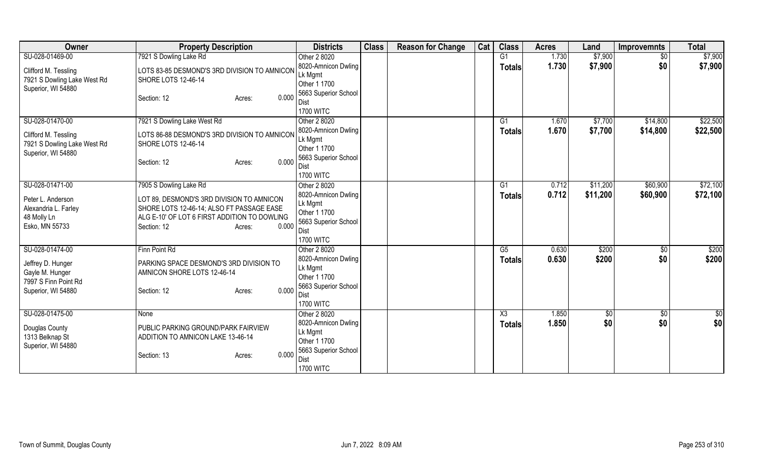| Owner                                | <b>Property Description</b>                  | <b>Districts</b>                    | <b>Class</b> | <b>Reason for Change</b> | Cat | <b>Class</b>   | <b>Acres</b> | Land     | <b>Improvemnts</b> | <b>Total</b> |
|--------------------------------------|----------------------------------------------|-------------------------------------|--------------|--------------------------|-----|----------------|--------------|----------|--------------------|--------------|
| SU-028-01469-00                      | 7921 S Dowling Lake Rd                       | Other 2 8020                        |              |                          |     | G1             | 1.730        | \$7,900  | $\overline{50}$    | \$7,900      |
| Clifford M. Tessling                 | LOTS 83-85 DESMOND'S 3RD DIVISION TO AMNICON | 8020-Amnicon Dwling                 |              |                          |     | <b>Totals</b>  | 1.730        | \$7,900  | \$0                | \$7,900      |
| 7921 S Dowling Lake West Rd          | SHORE LOTS 12-46-14                          | Lk Mgmt                             |              |                          |     |                |              |          |                    |              |
| Superior, WI 54880                   |                                              | Other 1 1700                        |              |                          |     |                |              |          |                    |              |
|                                      | 0.000<br>Section: 12<br>Acres:               | 5663 Superior School                |              |                          |     |                |              |          |                    |              |
|                                      |                                              | Dist<br><b>1700 WITC</b>            |              |                          |     |                |              |          |                    |              |
| SU-028-01470-00                      | 7921 S Dowling Lake West Rd                  | Other 2 8020                        |              |                          |     | G1             | 1.670        | \$7,700  | \$14,800           | \$22,500     |
|                                      |                                              | 8020-Amnicon Dwling                 |              |                          |     | <b>Totals</b>  | 1.670        | \$7,700  | \$14,800           | \$22,500     |
| Clifford M. Tessling                 | LOTS 86-88 DESMOND'S 3RD DIVISION TO AMNICON | Lk Mgmt                             |              |                          |     |                |              |          |                    |              |
| 7921 S Dowling Lake West Rd          | <b>SHORE LOTS 12-46-14</b>                   | Other 1 1700                        |              |                          |     |                |              |          |                    |              |
| Superior, WI 54880                   | 0.000                                        | 5663 Superior School                |              |                          |     |                |              |          |                    |              |
|                                      | Section: 12<br>Acres:                        | Dist                                |              |                          |     |                |              |          |                    |              |
|                                      |                                              | <b>1700 WITC</b>                    |              |                          |     |                |              |          |                    |              |
| SU-028-01471-00                      | 7905 S Dowling Lake Rd                       | Other 2 8020                        |              |                          |     | G <sub>1</sub> | 0.712        | \$11,200 | \$60,900           | \$72,100     |
| Peter L. Anderson                    | LOT 89, DESMOND'S 3RD DIVISION TO AMNICON    | 8020-Amnicon Dwling                 |              |                          |     | <b>Totals</b>  | 0.712        | \$11,200 | \$60,900           | \$72,100     |
| Alexandria L. Farley                 | SHORE LOTS 12-46-14; ALSO FT PASSAGE EASE    | Lk Mgmt<br>Other 1 1700             |              |                          |     |                |              |          |                    |              |
| 48 Molly Ln                          | ALG E-10' OF LOT 6 FIRST ADDITION TO DOWLING | 5663 Superior School                |              |                          |     |                |              |          |                    |              |
| Esko, MN 55733                       | 0.000<br>Section: 12<br>Acres:               | Dist                                |              |                          |     |                |              |          |                    |              |
|                                      |                                              | <b>1700 WITC</b>                    |              |                          |     |                |              |          |                    |              |
| SU-028-01474-00                      | Finn Point Rd                                | Other 2 8020                        |              |                          |     | G5             | 0.630        | \$200    | $\sqrt{$0}$        | \$200        |
|                                      | PARKING SPACE DESMOND'S 3RD DIVISION TO      | 8020-Amnicon Dwling                 |              |                          |     | <b>Totals</b>  | 0.630        | \$200    | \$0                | \$200        |
| Jeffrey D. Hunger<br>Gayle M. Hunger | AMNICON SHORE LOTS 12-46-14                  | Lk Mgmt                             |              |                          |     |                |              |          |                    |              |
| 7997 S Finn Point Rd                 |                                              | Other 1 1700                        |              |                          |     |                |              |          |                    |              |
| Superior, WI 54880                   | 0.000<br>Section: 12<br>Acres:               | 5663 Superior School                |              |                          |     |                |              |          |                    |              |
|                                      |                                              | Dist                                |              |                          |     |                |              |          |                    |              |
|                                      |                                              | <b>1700 WITC</b>                    |              |                          |     |                |              |          |                    |              |
| SU-028-01475-00                      | None                                         | Other 2 8020<br>8020-Amnicon Dwling |              |                          |     | X3             | 1.850        | \$0      | \$0                | \$0          |
| Douglas County                       | PUBLIC PARKING GROUND/PARK FAIRVIEW          | Lk Mgmt                             |              |                          |     | <b>Totals</b>  | 1.850        | \$0      | \$0                | \$0          |
| 1313 Belknap St                      | ADDITION TO AMNICON LAKE 13-46-14            | Other 1 1700                        |              |                          |     |                |              |          |                    |              |
| Superior, WI 54880                   |                                              | 5663 Superior School                |              |                          |     |                |              |          |                    |              |
|                                      | 0.000<br>Section: 13<br>Acres:               | Dist                                |              |                          |     |                |              |          |                    |              |
|                                      |                                              | <b>1700 WITC</b>                    |              |                          |     |                |              |          |                    |              |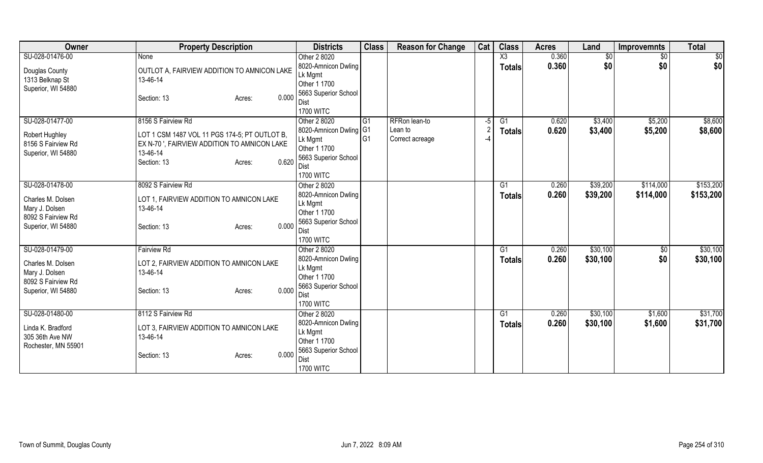| Owner                                | <b>Property Description</b>                          | <b>Districts</b>         | <b>Class</b>   | <b>Reason for Change</b> | Cat  | <b>Class</b>           | <b>Acres</b> | Land            | <b>Improvemnts</b> | <b>Total</b> |
|--------------------------------------|------------------------------------------------------|--------------------------|----------------|--------------------------|------|------------------------|--------------|-----------------|--------------------|--------------|
| SU-028-01476-00                      | None                                                 | Other 2 8020             |                |                          |      | $\overline{\text{X3}}$ | 0.360        | $\overline{50}$ | $\sqrt{6}$         | \$0          |
| Douglas County                       | OUTLOT A, FAIRVIEW ADDITION TO AMNICON LAKE          | 8020-Amnicon Dwling      |                |                          |      | <b>Totals</b>          | 0.360        | \$0             | \$0                | \$0          |
| 1313 Belknap St                      | 13-46-14                                             | Lk Mgmt                  |                |                          |      |                        |              |                 |                    |              |
| Superior, WI 54880                   |                                                      | Other 1 1700             |                |                          |      |                        |              |                 |                    |              |
|                                      | 0.000<br>Section: 13<br>Acres:                       | 5663 Superior School     |                |                          |      |                        |              |                 |                    |              |
|                                      |                                                      | Dist<br><b>1700 WITC</b> |                |                          |      |                        |              |                 |                    |              |
| SU-028-01477-00                      | 8156 S Fairview Rd                                   | Other 2 8020             | G <sub>1</sub> | RFRon lean-to            | $-5$ | G1                     | 0.620        | \$3,400         | \$5,200            | \$8,600      |
|                                      |                                                      | 8020-Amnicon Dwling   G1 |                | Lean to                  |      |                        | 0.620        | \$3,400         | \$5,200            | \$8,600      |
| Robert Hughley                       | LOT 1 CSM 1487 VOL 11 PGS 174-5; PT OUTLOT B,        | Lk Mgmt                  | IG1            | Correct acreage          | -4   | <b>Totals</b>          |              |                 |                    |              |
| 8156 S Fairview Rd                   | EX N-70 ', FAIRVIEW ADDITION TO AMNICON LAKE         | Other 1 1700             |                |                          |      |                        |              |                 |                    |              |
| Superior, WI 54880                   | 13-46-14                                             | 5663 Superior School     |                |                          |      |                        |              |                 |                    |              |
|                                      | 0.620<br>Section: 13<br>Acres:                       | Dist                     |                |                          |      |                        |              |                 |                    |              |
|                                      |                                                      | <b>1700 WITC</b>         |                |                          |      |                        |              |                 |                    |              |
| SU-028-01478-00                      | 8092 S Fairview Rd                                   | Other 2 8020             |                |                          |      | G1                     | 0.260        | \$39,200        | \$114,000          | \$153,200    |
| Charles M. Dolsen                    | LOT 1, FAIRVIEW ADDITION TO AMNICON LAKE             | 8020-Amnicon Dwling      |                |                          |      | <b>Totals</b>          | 0.260        | \$39,200        | \$114,000          | \$153,200    |
| Mary J. Dolsen                       | 13-46-14                                             | Lk Mgmt                  |                |                          |      |                        |              |                 |                    |              |
| 8092 S Fairview Rd                   |                                                      | Other 1 1700             |                |                          |      |                        |              |                 |                    |              |
| Superior, WI 54880                   | 0.000<br>Section: 13<br>Acres:                       | 5663 Superior School     |                |                          |      |                        |              |                 |                    |              |
|                                      |                                                      | <b>Dist</b>              |                |                          |      |                        |              |                 |                    |              |
|                                      |                                                      | <b>1700 WITC</b>         |                |                          |      |                        |              |                 |                    |              |
| SU-028-01479-00                      | <b>Fairview Rd</b>                                   | Other 2 8020             |                |                          |      | G1                     | 0.260        | \$30,100        | $\overline{50}$    | \$30,100     |
| Charles M. Dolsen                    | LOT 2, FAIRVIEW ADDITION TO AMNICON LAKE             | 8020-Amnicon Dwling      |                |                          |      | <b>Totals</b>          | 0.260        | \$30,100        | \$0                | \$30,100     |
| Mary J. Dolsen                       | 13-46-14                                             | Lk Mgmt<br>Other 1 1700  |                |                          |      |                        |              |                 |                    |              |
| 8092 S Fairview Rd                   |                                                      | 5663 Superior School     |                |                          |      |                        |              |                 |                    |              |
| Superior, WI 54880                   | 0.000<br>Section: 13<br>Acres:                       | Dist                     |                |                          |      |                        |              |                 |                    |              |
|                                      |                                                      | <b>1700 WITC</b>         |                |                          |      |                        |              |                 |                    |              |
| SU-028-01480-00                      | 8112 S Fairview Rd                                   | Other 2 8020             |                |                          |      | G1                     | 0.260        | \$30,100        | \$1,600            | \$31,700     |
|                                      |                                                      | 8020-Amnicon Dwling      |                |                          |      | <b>Totals</b>          | 0.260        | \$30,100        | \$1,600            | \$31,700     |
| Linda K. Bradford<br>305 36th Ave NW | LOT 3, FAIRVIEW ADDITION TO AMNICON LAKE<br>13-46-14 | Lk Mgmt                  |                |                          |      |                        |              |                 |                    |              |
| Rochester, MN 55901                  |                                                      | Other 1 1700             |                |                          |      |                        |              |                 |                    |              |
|                                      | 0.000<br>Section: 13<br>Acres:                       | 5663 Superior School     |                |                          |      |                        |              |                 |                    |              |
|                                      |                                                      | Dist                     |                |                          |      |                        |              |                 |                    |              |
|                                      |                                                      | <b>1700 WITC</b>         |                |                          |      |                        |              |                 |                    |              |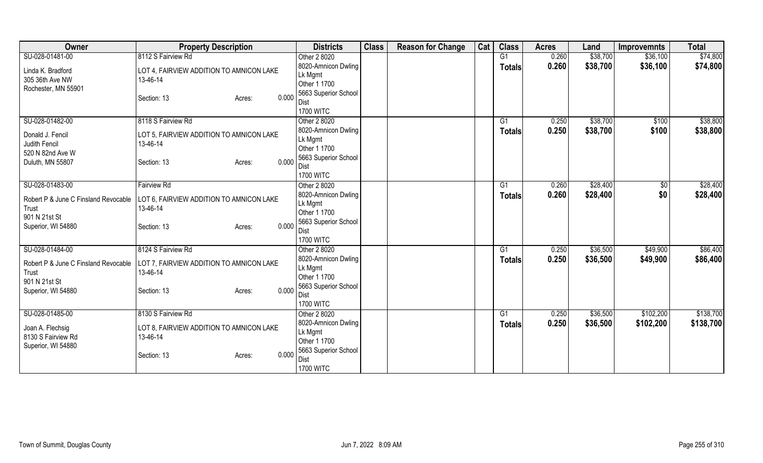| Owner                                | <b>Property Description</b>              | <b>Districts</b>        | <b>Class</b> | <b>Reason for Change</b> | Cat | <b>Class</b>   | <b>Acres</b> | Land     | <b>Improvemnts</b> | <b>Total</b> |
|--------------------------------------|------------------------------------------|-------------------------|--------------|--------------------------|-----|----------------|--------------|----------|--------------------|--------------|
| SU-028-01481-00                      | 8112 S Fairview Rd                       | Other 2 8020            |              |                          |     | G1             | 0.260        | \$38,700 | \$36,100           | \$74,800     |
| Linda K. Bradford                    | LOT 4, FAIRVIEW ADDITION TO AMNICON LAKE | 8020-Amnicon Dwling     |              |                          |     | <b>Totals</b>  | 0.260        | \$38,700 | \$36,100           | \$74,800     |
| 305 36th Ave NW                      | 13-46-14                                 | Lk Mgmt                 |              |                          |     |                |              |          |                    |              |
| Rochester, MN 55901                  |                                          | Other 1 1700            |              |                          |     |                |              |          |                    |              |
|                                      | 0.000<br>Section: 13<br>Acres:           | 5663 Superior School    |              |                          |     |                |              |          |                    |              |
|                                      |                                          | Dist                    |              |                          |     |                |              |          |                    |              |
|                                      |                                          | <b>1700 WITC</b>        |              |                          |     |                |              |          |                    |              |
| SU-028-01482-00                      | 8118 S Fairview Rd                       | Other 2 8020            |              |                          |     | G1             | 0.250        | \$38,700 | \$100              | \$38,800     |
| Donald J. Fencil                     | LOT 5, FAIRVIEW ADDITION TO AMNICON LAKE | 8020-Amnicon Dwling     |              |                          |     | <b>Totals</b>  | 0.250        | \$38,700 | \$100              | \$38,800     |
| Judith Fencil                        | 13-46-14                                 | Lk Mgmt<br>Other 1 1700 |              |                          |     |                |              |          |                    |              |
| 520 N 82nd Ave W                     |                                          | 5663 Superior School    |              |                          |     |                |              |          |                    |              |
| Duluth, MN 55807                     | 0.000<br>Section: 13<br>Acres:           | Dist                    |              |                          |     |                |              |          |                    |              |
|                                      |                                          | <b>1700 WITC</b>        |              |                          |     |                |              |          |                    |              |
| SU-028-01483-00                      | <b>Fairview Rd</b>                       | Other 2 8020            |              |                          |     | G <sub>1</sub> | 0.260        | \$28,400 | \$0                | \$28,400     |
|                                      |                                          | 8020-Amnicon Dwling     |              |                          |     | <b>Totals</b>  | 0.260        | \$28,400 | \$0                | \$28,400     |
| Robert P & June C Finsland Revocable | LOT 6, FAIRVIEW ADDITION TO AMNICON LAKE | Lk Mgmt                 |              |                          |     |                |              |          |                    |              |
| Trust                                | 13-46-14                                 | Other 1 1700            |              |                          |     |                |              |          |                    |              |
| 901 N 21st St                        |                                          | 5663 Superior School    |              |                          |     |                |              |          |                    |              |
| Superior, WI 54880                   | 0.000<br>Section: 13<br>Acres:           | Dist                    |              |                          |     |                |              |          |                    |              |
|                                      |                                          | <b>1700 WITC</b>        |              |                          |     |                |              |          |                    |              |
| SU-028-01484-00                      | 8124 S Fairview Rd                       | Other 2 8020            |              |                          |     | G1             | 0.250        | \$36,500 | \$49,900           | \$86,400     |
| Robert P & June C Finsland Revocable | LOT 7, FAIRVIEW ADDITION TO AMNICON LAKE | 8020-Amnicon Dwling     |              |                          |     | <b>Totals</b>  | 0.250        | \$36,500 | \$49,900           | \$86,400     |
| Trust                                | 13-46-14                                 | Lk Mgmt                 |              |                          |     |                |              |          |                    |              |
| 901 N 21st St                        |                                          | Other 1 1700            |              |                          |     |                |              |          |                    |              |
| Superior, WI 54880                   | 0.000<br>Section: 13<br>Acres:           | 5663 Superior School    |              |                          |     |                |              |          |                    |              |
|                                      |                                          | Dist                    |              |                          |     |                |              |          |                    |              |
|                                      |                                          | <b>1700 WITC</b>        |              |                          |     |                |              |          |                    |              |
| SU-028-01485-00                      | 8130 S Fairview Rd                       | Other 2 8020            |              |                          |     | G1             | 0.250        | \$36,500 | \$102,200          | \$138,700    |
| Joan A. Flechsig                     | LOT 8, FAIRVIEW ADDITION TO AMNICON LAKE | 8020-Amnicon Dwling     |              |                          |     | <b>Totals</b>  | 0.250        | \$36,500 | \$102,200          | \$138,700    |
| 8130 S Fairview Rd                   | 13-46-14                                 | Lk Mgmt                 |              |                          |     |                |              |          |                    |              |
| Superior, WI 54880                   |                                          | Other 1 1700            |              |                          |     |                |              |          |                    |              |
|                                      | 0.000<br>Section: 13<br>Acres:           | 5663 Superior School    |              |                          |     |                |              |          |                    |              |
|                                      |                                          | Dist                    |              |                          |     |                |              |          |                    |              |
|                                      |                                          | <b>1700 WITC</b>        |              |                          |     |                |              |          |                    |              |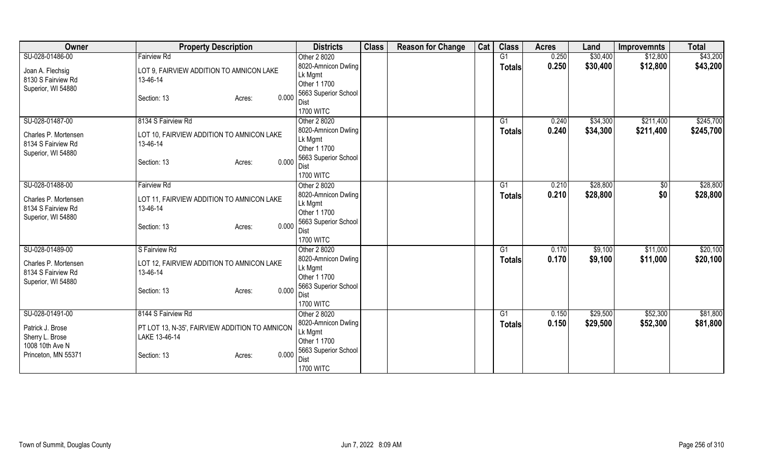| Owner                | <b>Property Description</b>                    | <b>Districts</b>                    | <b>Class</b> | <b>Reason for Change</b> | Cat | <b>Class</b>  | <b>Acres</b> | Land     | <b>Improvemnts</b> | <b>Total</b> |
|----------------------|------------------------------------------------|-------------------------------------|--------------|--------------------------|-----|---------------|--------------|----------|--------------------|--------------|
| SU-028-01486-00      | <b>Fairview Rd</b>                             | Other 2 8020                        |              |                          |     | G1            | 0.250        | \$30,400 | \$12,800           | \$43,200     |
| Joan A. Flechsig     | LOT 9, FAIRVIEW ADDITION TO AMNICON LAKE       | 8020-Amnicon Dwling                 |              |                          |     | <b>Totals</b> | 0.250        | \$30,400 | \$12,800           | \$43,200     |
| 8130 S Fairview Rd   | 13-46-14                                       | Lk Mgmt                             |              |                          |     |               |              |          |                    |              |
| Superior, WI 54880   |                                                | Other 1 1700                        |              |                          |     |               |              |          |                    |              |
|                      | 0.000<br>Section: 13<br>Acres:                 | 5663 Superior School                |              |                          |     |               |              |          |                    |              |
|                      |                                                | Dist                                |              |                          |     |               |              |          |                    |              |
|                      | 8134 S Fairview Rd                             | <b>1700 WITC</b>                    |              |                          |     |               |              |          |                    | \$245,700    |
| SU-028-01487-00      |                                                | Other 2 8020<br>8020-Amnicon Dwling |              |                          |     | G1            | 0.240        | \$34,300 | \$211,400          |              |
| Charles P. Mortensen | LOT 10, FAIRVIEW ADDITION TO AMNICON LAKE      | Lk Mgmt                             |              |                          |     | <b>Totals</b> | 0.240        | \$34,300 | \$211,400          | \$245,700    |
| 8134 S Fairview Rd   | 13-46-14                                       | Other 1 1700                        |              |                          |     |               |              |          |                    |              |
| Superior, WI 54880   |                                                | 5663 Superior School                |              |                          |     |               |              |          |                    |              |
|                      | 0.000<br>Section: 13<br>Acres:                 | Dist                                |              |                          |     |               |              |          |                    |              |
|                      |                                                | <b>1700 WITC</b>                    |              |                          |     |               |              |          |                    |              |
| SU-028-01488-00      | <b>Fairview Rd</b>                             | Other 2 8020                        |              |                          |     | G1            | 0.210        | \$28,800 | $\sqrt[6]{3}$      | \$28,800     |
|                      |                                                | 8020-Amnicon Dwling                 |              |                          |     | Totals        | 0.210        | \$28,800 | \$0                | \$28,800     |
| Charles P. Mortensen | LOT 11, FAIRVIEW ADDITION TO AMNICON LAKE      | Lk Mgmt                             |              |                          |     |               |              |          |                    |              |
| 8134 S Fairview Rd   | 13-46-14                                       | Other 1 1700                        |              |                          |     |               |              |          |                    |              |
| Superior, WI 54880   | 0.000                                          | 5663 Superior School                |              |                          |     |               |              |          |                    |              |
|                      | Section: 13<br>Acres:                          | Dist                                |              |                          |     |               |              |          |                    |              |
|                      |                                                | <b>1700 WITC</b>                    |              |                          |     |               |              |          |                    |              |
| SU-028-01489-00      | S Fairview Rd                                  | Other 2 8020                        |              |                          |     | G1            | 0.170        | \$9,100  | \$11,000           | \$20,100     |
| Charles P. Mortensen | LOT 12, FAIRVIEW ADDITION TO AMNICON LAKE      | 8020-Amnicon Dwling                 |              |                          |     | <b>Totals</b> | 0.170        | \$9,100  | \$11,000           | \$20,100     |
| 8134 S Fairview Rd   | 13-46-14                                       | Lk Mgmt                             |              |                          |     |               |              |          |                    |              |
| Superior, WI 54880   |                                                | Other 1 1700                        |              |                          |     |               |              |          |                    |              |
|                      | 0.000<br>Section: 13<br>Acres:                 | 5663 Superior School                |              |                          |     |               |              |          |                    |              |
|                      |                                                | Dist<br><b>1700 WITC</b>            |              |                          |     |               |              |          |                    |              |
| SU-028-01491-00      | 8144 S Fairview Rd                             | Other 2 8020                        |              |                          |     | G1            | 0.150        | \$29,500 | \$52,300           | \$81,800     |
|                      |                                                | 8020-Amnicon Dwling                 |              |                          |     |               |              |          |                    |              |
| Patrick J. Brose     | PT LOT 13, N-35', FAIRVIEW ADDITION TO AMNICON | Lk Mgmt                             |              |                          |     | <b>Totals</b> | 0.150        | \$29,500 | \$52,300           | \$81,800     |
| Sherry L. Brose      | LAKE 13-46-14                                  | Other 1 1700                        |              |                          |     |               |              |          |                    |              |
| 1008 10th Ave N      |                                                | 5663 Superior School                |              |                          |     |               |              |          |                    |              |
| Princeton, MN 55371  | 0.000<br>Section: 13<br>Acres:                 | Dist                                |              |                          |     |               |              |          |                    |              |
|                      |                                                | <b>1700 WITC</b>                    |              |                          |     |               |              |          |                    |              |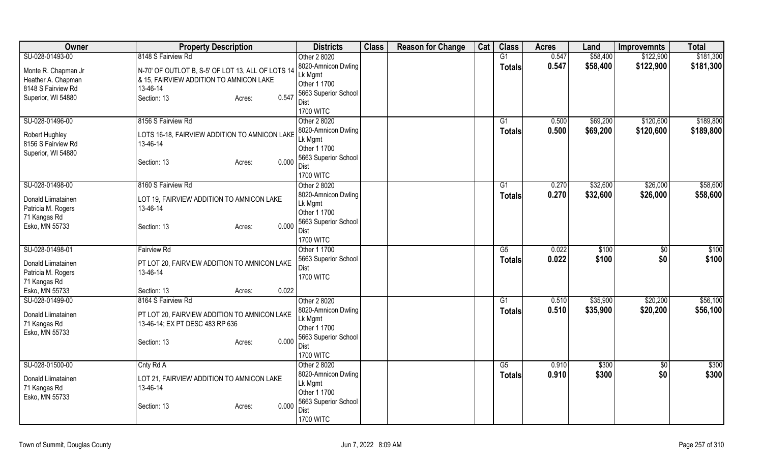| Owner                 | <b>Property Description</b>                           | <b>Districts</b>               | <b>Class</b> | <b>Reason for Change</b> | Cat | <b>Class</b>    | <b>Acres</b> | Land     | <b>Improvemnts</b> | <b>Total</b> |
|-----------------------|-------------------------------------------------------|--------------------------------|--------------|--------------------------|-----|-----------------|--------------|----------|--------------------|--------------|
| SU-028-01493-00       | 8148 S Fairview Rd                                    | Other 2 8020                   |              |                          |     | $\overline{G1}$ | 0.547        | \$58,400 | \$122,900          | \$181,300    |
| Monte R. Chapman Jr   | N-70' OF OUTLOT B, S-5' OF LOT 13, ALL OF LOTS 14     | 8020-Amnicon Dwling            |              |                          |     | <b>Totals</b>   | 0.547        | \$58,400 | \$122,900          | \$181,300    |
| Heather A. Chapman    | & 15, FAIRVIEW ADDITION TO AMNICON LAKE               | Lk Mgmt                        |              |                          |     |                 |              |          |                    |              |
| 8148 S Fairview Rd    | 13-46-14                                              | Other 1 1700                   |              |                          |     |                 |              |          |                    |              |
| Superior, WI 54880    | 0.547<br>Section: 13<br>Acres:                        | 5663 Superior School           |              |                          |     |                 |              |          |                    |              |
|                       |                                                       | Dist<br><b>1700 WITC</b>       |              |                          |     |                 |              |          |                    |              |
| SU-028-01496-00       | 8156 S Fairview Rd                                    | Other 2 8020                   |              |                          |     | G1              | 0.500        | \$69,200 | \$120,600          | \$189,800    |
|                       |                                                       | 8020-Amnicon Dwling            |              |                          |     |                 | 0.500        | \$69,200 | \$120,600          | \$189,800    |
| <b>Robert Hughley</b> | LOTS 16-18, FAIRVIEW ADDITION TO AMNICON LAKE         | Lk Mgmt                        |              |                          |     | <b>Totals</b>   |              |          |                    |              |
| 8156 S Fairview Rd    | 13-46-14                                              | Other 1 1700                   |              |                          |     |                 |              |          |                    |              |
| Superior, WI 54880    |                                                       | 5663 Superior School           |              |                          |     |                 |              |          |                    |              |
|                       | 0.000<br>Section: 13<br>Acres:                        | <b>Dist</b>                    |              |                          |     |                 |              |          |                    |              |
|                       |                                                       | <b>1700 WITC</b>               |              |                          |     |                 |              |          |                    |              |
| SU-028-01498-00       | 8160 S Fairview Rd                                    | Other 2 8020                   |              |                          |     | G1              | 0.270        | \$32,600 | \$26,000           | \$58,600     |
| Donald Liimatainen    | LOT 19, FAIRVIEW ADDITION TO AMNICON LAKE             | 8020-Amnicon Dwling            |              |                          |     | <b>Totals</b>   | 0.270        | \$32,600 | \$26,000           | \$58,600     |
| Patricia M. Rogers    | 13-46-14                                              | Lk Mgmt                        |              |                          |     |                 |              |          |                    |              |
| 71 Kangas Rd          |                                                       | Other 1 1700                   |              |                          |     |                 |              |          |                    |              |
| Esko, MN 55733        | 0.000<br>Section: 13<br>Acres:                        | 5663 Superior School           |              |                          |     |                 |              |          |                    |              |
|                       |                                                       | Dist<br><b>1700 WITC</b>       |              |                          |     |                 |              |          |                    |              |
| SU-028-01498-01       | <b>Fairview Rd</b>                                    | Other 1 1700                   |              |                          |     | G5              | 0.022        | \$100    | $\overline{50}$    | \$100        |
|                       |                                                       | 5663 Superior School           |              |                          |     | <b>Totals</b>   | 0.022        | \$100    | \$0                | \$100        |
| Donald Liimatainen    | PT LOT 20, FAIRVIEW ADDITION TO AMNICON LAKE          | Dist                           |              |                          |     |                 |              |          |                    |              |
| Patricia M. Rogers    | 13-46-14                                              | <b>1700 WITC</b>               |              |                          |     |                 |              |          |                    |              |
| 71 Kangas Rd          |                                                       |                                |              |                          |     |                 |              |          |                    |              |
| Esko, MN 55733        | 0.022<br>Section: 13<br>Acres:                        |                                |              |                          |     |                 |              |          |                    |              |
| SU-028-01499-00       | 8164 S Fairview Rd                                    | Other 2 8020                   |              |                          |     | $\overline{G1}$ | 0.510        | \$35,900 | \$20,200           | \$56,100     |
| Donald Liimatainen    | PT LOT 20, FAIRVIEW ADDITION TO AMNICON LAKE          | 8020-Amnicon Dwling<br>Lk Mgmt |              |                          |     | <b>Totals</b>   | 0.510        | \$35,900 | \$20,200           | \$56,100     |
| 71 Kangas Rd          | 13-46-14; EX PT DESC 483 RP 636                       | Other 1 1700                   |              |                          |     |                 |              |          |                    |              |
| Esko, MN 55733        |                                                       | 5663 Superior School           |              |                          |     |                 |              |          |                    |              |
|                       | 0.000<br>Section: 13<br>Acres:                        | <b>Dist</b>                    |              |                          |     |                 |              |          |                    |              |
|                       |                                                       | <b>1700 WITC</b>               |              |                          |     |                 |              |          |                    |              |
| SU-028-01500-00       | Cnty Rd A                                             | Other 2 8020                   |              |                          |     | G5              | 0.910        | \$300    | $\overline{50}$    | \$300        |
| Donald Liimatainen    |                                                       | 8020-Amnicon Dwling            |              |                          |     | <b>Totals</b>   | 0.910        | \$300    | \$0                | \$300        |
| 71 Kangas Rd          | LOT 21, FAIRVIEW ADDITION TO AMNICON LAKE<br>13-46-14 | Lk Mgmt                        |              |                          |     |                 |              |          |                    |              |
| Esko, MN 55733        |                                                       | Other 1 1700                   |              |                          |     |                 |              |          |                    |              |
|                       | 0.000<br>Section: 13<br>Acres:                        | 5663 Superior School           |              |                          |     |                 |              |          |                    |              |
|                       |                                                       | Dist                           |              |                          |     |                 |              |          |                    |              |
|                       |                                                       | <b>1700 WITC</b>               |              |                          |     |                 |              |          |                    |              |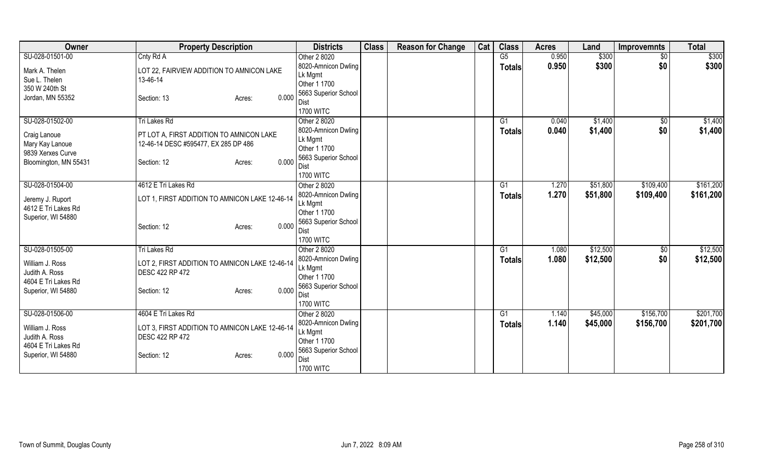| Owner                                     | <b>Property Description</b>                    | <b>Districts</b>               | <b>Class</b> | <b>Reason for Change</b> | Cat | <b>Class</b>  | <b>Acres</b> | Land     | <b>Improvemnts</b> | <b>Total</b> |
|-------------------------------------------|------------------------------------------------|--------------------------------|--------------|--------------------------|-----|---------------|--------------|----------|--------------------|--------------|
| SU-028-01501-00                           | Cnty Rd A                                      | Other 2 8020                   |              |                          |     | G5            | 0.950        | \$300    | $\sqrt{$0}$        | \$300        |
| Mark A. Thelen                            | LOT 22, FAIRVIEW ADDITION TO AMNICON LAKE      | 8020-Amnicon Dwling            |              |                          |     | <b>Totals</b> | 0.950        | \$300    | \$0                | \$300        |
| Sue L. Thelen                             | 13-46-14                                       | Lk Mgmt                        |              |                          |     |               |              |          |                    |              |
| 350 W 240th St                            |                                                | Other 1 1700                   |              |                          |     |               |              |          |                    |              |
| Jordan, MN 55352                          | 0.000<br>Section: 13<br>Acres:                 | 5663 Superior School           |              |                          |     |               |              |          |                    |              |
|                                           |                                                | Dist                           |              |                          |     |               |              |          |                    |              |
|                                           |                                                | <b>1700 WITC</b>               |              |                          |     |               |              |          |                    |              |
| SU-028-01502-00                           | Tri Lakes Rd                                   | Other 2 8020                   |              |                          |     | G1            | 0.040        | \$1,400  | \$0                | \$1,400      |
| Craig Lanoue                              | PT LOT A, FIRST ADDITION TO AMNICON LAKE       | 8020-Amnicon Dwling<br>Lk Mgmt |              |                          |     | <b>Totals</b> | 0.040        | \$1,400  | \$0                | \$1,400      |
| Mary Kay Lanoue                           | 12-46-14 DESC #595477, EX 285 DP 486           | Other 1 1700                   |              |                          |     |               |              |          |                    |              |
| 9839 Xerxes Curve                         |                                                | 5663 Superior School           |              |                          |     |               |              |          |                    |              |
| Bloomington, MN 55431                     | 0.000<br>Section: 12<br>Acres:                 | Dist                           |              |                          |     |               |              |          |                    |              |
|                                           |                                                | <b>1700 WITC</b>               |              |                          |     |               |              |          |                    |              |
| SU-028-01504-00                           | 4612 E Tri Lakes Rd                            | Other 2 8020                   |              |                          |     | G1            | 1.270        | \$51,800 | \$109,400          | \$161,200    |
|                                           |                                                | 8020-Amnicon Dwling            |              |                          |     | Totals        | 1.270        | \$51,800 | \$109,400          | \$161,200    |
| Jeremy J. Ruport                          | LOT 1, FIRST ADDITION TO AMNICON LAKE 12-46-14 | Lk Mgmt                        |              |                          |     |               |              |          |                    |              |
| 4612 E Tri Lakes Rd<br>Superior, WI 54880 |                                                | Other 1 1700                   |              |                          |     |               |              |          |                    |              |
|                                           | 0.000<br>Section: 12<br>Acres:                 | 5663 Superior School           |              |                          |     |               |              |          |                    |              |
|                                           |                                                | Dist                           |              |                          |     |               |              |          |                    |              |
|                                           |                                                | <b>1700 WITC</b>               |              |                          |     |               |              |          |                    |              |
| SU-028-01505-00                           | <b>Tri Lakes Rd</b>                            | Other 2 8020                   |              |                          |     | G1            | 1.080        | \$12,500 | $\sqrt{6}$         | \$12,500     |
| William J. Ross                           | LOT 2, FIRST ADDITION TO AMNICON LAKE 12-46-14 | 8020-Amnicon Dwling            |              |                          |     | <b>Totals</b> | 1.080        | \$12,500 | \$0                | \$12,500     |
| Judith A. Ross                            | DESC 422 RP 472                                | Lk Mgmt                        |              |                          |     |               |              |          |                    |              |
| 4604 E Tri Lakes Rd                       |                                                | Other 1 1700                   |              |                          |     |               |              |          |                    |              |
| Superior, WI 54880                        | 0.000<br>Section: 12<br>Acres:                 | 5663 Superior School<br>Dist   |              |                          |     |               |              |          |                    |              |
|                                           |                                                | <b>1700 WITC</b>               |              |                          |     |               |              |          |                    |              |
| SU-028-01506-00                           | 4604 E Tri Lakes Rd                            | Other 2 8020                   |              |                          |     | G1            | 1.140        | \$45,000 | \$156,700          | \$201,700    |
|                                           |                                                | 8020-Amnicon Dwling            |              |                          |     | <b>Totals</b> | 1.140        | \$45,000 | \$156,700          | \$201,700    |
| William J. Ross                           | LOT 3, FIRST ADDITION TO AMNICON LAKE 12-46-14 | Lk Mgmt                        |              |                          |     |               |              |          |                    |              |
| Judith A. Ross                            | DESC 422 RP 472                                | Other 1 1700                   |              |                          |     |               |              |          |                    |              |
| 4604 E Tri Lakes Rd                       |                                                | 5663 Superior School           |              |                          |     |               |              |          |                    |              |
| Superior, WI 54880                        | 0.000<br>Section: 12<br>Acres:                 | Dist                           |              |                          |     |               |              |          |                    |              |
|                                           |                                                | <b>1700 WITC</b>               |              |                          |     |               |              |          |                    |              |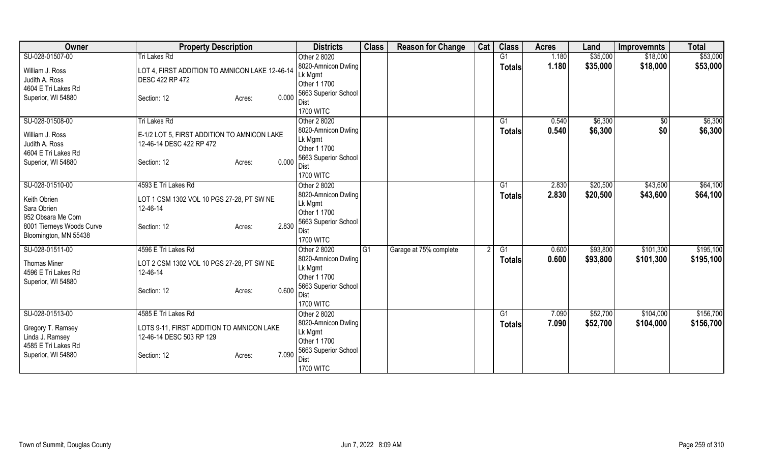| Owner                                | <b>Property Description</b>                                           | <b>Districts</b>                 | <b>Class</b>    | <b>Reason for Change</b> | Cat | <b>Class</b>   | <b>Acres</b> | Land     | <b>Improvemnts</b> | <b>Total</b> |
|--------------------------------------|-----------------------------------------------------------------------|----------------------------------|-----------------|--------------------------|-----|----------------|--------------|----------|--------------------|--------------|
| SU-028-01507-00                      | Tri Lakes Rd                                                          | Other 2 8020                     |                 |                          |     | G <sub>1</sub> | 1.180        | \$35,000 | \$18,000           | \$53,000     |
| William J. Ross                      | LOT 4, FIRST ADDITION TO AMNICON LAKE 12-46-14                        | 8020-Amnicon Dwling              |                 |                          |     | <b>Totals</b>  | 1.180        | \$35,000 | \$18,000           | \$53,000     |
| Judith A. Ross                       | <b>DESC 422 RP 472</b>                                                | Lk Mgmt                          |                 |                          |     |                |              |          |                    |              |
| 4604 E Tri Lakes Rd                  |                                                                       | Other 1 1700                     |                 |                          |     |                |              |          |                    |              |
| Superior, WI 54880                   | 0.000<br>Section: 12<br>Acres:                                        | 5663 Superior School             |                 |                          |     |                |              |          |                    |              |
|                                      |                                                                       | Dist                             |                 |                          |     |                |              |          |                    |              |
| SU-028-01508-00                      | <b>Tri Lakes Rd</b>                                                   | <b>1700 WITC</b><br>Other 2 8020 |                 |                          |     | G1             | 0.540        | \$6,300  |                    | \$6,300      |
|                                      |                                                                       | 8020-Amnicon Dwling              |                 |                          |     |                | 0.540        | \$6,300  | \$0<br>\$0         |              |
| William J. Ross                      | E-1/2 LOT 5, FIRST ADDITION TO AMNICON LAKE                           | Lk Mgmt                          |                 |                          |     | Totals         |              |          |                    | \$6,300      |
| Judith A. Ross                       | 12-46-14 DESC 422 RP 472                                              | Other 1 1700                     |                 |                          |     |                |              |          |                    |              |
| 4604 E Tri Lakes Rd                  |                                                                       | 5663 Superior School             |                 |                          |     |                |              |          |                    |              |
| Superior, WI 54880                   | 0.000<br>Section: 12<br>Acres:                                        | Dist                             |                 |                          |     |                |              |          |                    |              |
|                                      |                                                                       | <b>1700 WITC</b>                 |                 |                          |     |                |              |          |                    |              |
| SU-028-01510-00                      | 4593 E Tri Lakes Rd                                                   | Other 2 8020                     |                 |                          |     | G1             | 2.830        | \$20,500 | \$43,600           | \$64,100     |
| Keith Obrien                         |                                                                       | 8020-Amnicon Dwling              |                 |                          |     | <b>Totals</b>  | 2.830        | \$20,500 | \$43,600           | \$64,100     |
| Sara Obrien                          | LOT 1 CSM 1302 VOL 10 PGS 27-28, PT SW NE<br>12-46-14                 | Lk Mgmt                          |                 |                          |     |                |              |          |                    |              |
| 952 Obsara Me Com                    |                                                                       | Other 1 1700                     |                 |                          |     |                |              |          |                    |              |
| 8001 Tierneys Woods Curve            | 2.830<br>Section: 12<br>Acres:                                        | 5663 Superior School             |                 |                          |     |                |              |          |                    |              |
| Bloomington, MN 55438                |                                                                       | Dist                             |                 |                          |     |                |              |          |                    |              |
|                                      |                                                                       | <b>1700 WITC</b>                 |                 |                          |     |                |              |          |                    |              |
| SU-028-01511-00                      | 4596 E Tri Lakes Rd                                                   | Other 2 8020                     | $\overline{G1}$ | Garage at 75% complete   |     | G1             | 0.600        | \$93,800 | \$101,300          | \$195,100    |
| <b>Thomas Miner</b>                  | LOT 2 CSM 1302 VOL 10 PGS 27-28, PT SW NE                             | 8020-Amnicon Dwling<br>Lk Mgmt   |                 |                          |     | <b>Totals</b>  | 0.600        | \$93,800 | \$101,300          | \$195,100    |
| 4596 E Tri Lakes Rd                  | 12-46-14                                                              | Other 1 1700                     |                 |                          |     |                |              |          |                    |              |
| Superior, WI 54880                   |                                                                       | 5663 Superior School             |                 |                          |     |                |              |          |                    |              |
|                                      | 0.600<br>Section: 12<br>Acres:                                        | Dist                             |                 |                          |     |                |              |          |                    |              |
|                                      |                                                                       | <b>1700 WITC</b>                 |                 |                          |     |                |              |          |                    |              |
| SU-028-01513-00                      | 4585 E Tri Lakes Rd                                                   | Other 2 8020                     |                 |                          |     | G1             | 7.090        | \$52,700 | \$104,000          | \$156,700    |
|                                      |                                                                       | 8020-Amnicon Dwling              |                 |                          |     | <b>Totals</b>  | 7.090        | \$52,700 | \$104,000          | \$156,700    |
| Gregory T. Ramsey<br>Linda J. Ramsey | LOTS 9-11, FIRST ADDITION TO AMNICON LAKE<br>12-46-14 DESC 503 RP 129 | Lk Mgmt                          |                 |                          |     |                |              |          |                    |              |
| 4585 E Tri Lakes Rd                  |                                                                       | Other 1 1700                     |                 |                          |     |                |              |          |                    |              |
| Superior, WI 54880                   | 7.090<br>Section: 12<br>Acres:                                        | 5663 Superior School             |                 |                          |     |                |              |          |                    |              |
|                                      |                                                                       | Dist                             |                 |                          |     |                |              |          |                    |              |
|                                      |                                                                       | <b>1700 WITC</b>                 |                 |                          |     |                |              |          |                    |              |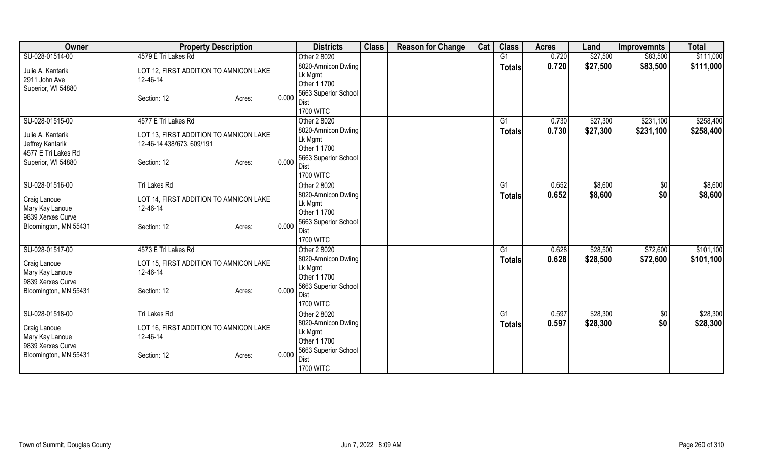| <b>Owner</b>                                                                       | <b>Property Description</b>                                                                  |       | <b>Districts</b>                                                                      | <b>Class</b> | <b>Reason for Change</b> | Cat | <b>Class</b>  | <b>Acres</b> | Land     | <b>Improvemnts</b> | <b>Total</b> |
|------------------------------------------------------------------------------------|----------------------------------------------------------------------------------------------|-------|---------------------------------------------------------------------------------------|--------------|--------------------------|-----|---------------|--------------|----------|--------------------|--------------|
| SU-028-01514-00                                                                    | 4579 E Tri Lakes Rd                                                                          |       | Other 2 8020                                                                          |              |                          |     | G1            | 0.720        | \$27,500 | \$83,500           | \$111,000    |
| Julie A. Kantarik<br>2911 John Ave                                                 | LOT 12, FIRST ADDITION TO AMNICON LAKE<br>12-46-14                                           |       | 8020-Amnicon Dwling<br>Lk Mgmt<br>Other 1 1700                                        |              |                          |     | <b>Totals</b> | 0.720        | \$27,500 | \$83,500           | \$111,000    |
| Superior, WI 54880                                                                 | Section: 12<br>Acres:                                                                        | 0.000 | 5663 Superior School<br>Dist<br><b>1700 WITC</b>                                      |              |                          |     |               |              |          |                    |              |
| SU-028-01515-00                                                                    | 4577 E Tri Lakes Rd                                                                          |       | Other 2 8020                                                                          |              |                          |     | G1            | 0.730        | \$27,300 | \$231,100          | \$258,400    |
| Julie A. Kantarik<br>Jeffrey Kantarik<br>4577 E Tri Lakes Rd<br>Superior, WI 54880 | LOT 13, FIRST ADDITION TO AMNICON LAKE<br>12-46-14 438/673, 609/191<br>Section: 12<br>Acres: | 0.000 | 8020-Amnicon Dwling<br>Lk Mgmt<br>Other 1 1700<br>5663 Superior School<br><b>Dist</b> |              |                          |     | <b>Totals</b> | 0.730        | \$27,300 | \$231,100          | \$258,400    |
|                                                                                    |                                                                                              |       | <b>1700 WITC</b>                                                                      |              |                          |     |               |              |          |                    |              |
| SU-028-01516-00                                                                    | Tri Lakes Rd                                                                                 |       | Other 2 8020                                                                          |              |                          |     | G1            | 0.652        | \$8,600  | $\sqrt[6]{3}$      | \$8,600      |
| Craig Lanoue<br>Mary Kay Lanoue<br>9839 Xerxes Curve                               | LOT 14, FIRST ADDITION TO AMNICON LAKE<br>12-46-14                                           |       | 8020-Amnicon Dwling<br>Lk Mgmt<br>Other 1 1700                                        |              |                          |     | <b>Totals</b> | 0.652        | \$8,600  | \$0                | \$8,600      |
| Bloomington, MN 55431                                                              | Section: 12<br>Acres:                                                                        | 0.000 | 5663 Superior School<br>Dist<br><b>1700 WITC</b>                                      |              |                          |     |               |              |          |                    |              |
| SU-028-01517-00                                                                    | 4573 E Tri Lakes Rd                                                                          |       | Other 2 8020                                                                          |              |                          |     | G1            | 0.628        | \$28,500 | \$72,600           | \$101,100    |
| Craig Lanoue<br>Mary Kay Lanoue<br>9839 Xerxes Curve                               | LOT 15, FIRST ADDITION TO AMNICON LAKE<br>12-46-14                                           |       | 8020-Amnicon Dwling<br>Lk Mgmt<br>Other 1 1700                                        |              |                          |     | <b>Totals</b> | 0.628        | \$28,500 | \$72,600           | \$101,100    |
| Bloomington, MN 55431                                                              | Section: 12<br>Acres:                                                                        | 0.000 | 5663 Superior School<br>Dist<br><b>1700 WITC</b>                                      |              |                          |     |               |              |          |                    |              |
| SU-028-01518-00                                                                    | Tri Lakes Rd                                                                                 |       | Other 2 8020                                                                          |              |                          |     | G1            | 0.597        | \$28,300 | \$0                | \$28,300     |
| Craig Lanoue<br>Mary Kay Lanoue<br>9839 Xerxes Curve<br>Bloomington, MN 55431      | LOT 16, FIRST ADDITION TO AMNICON LAKE<br>12-46-14<br>Section: 12<br>Acres:                  | 0.000 | 8020-Amnicon Dwling<br>Lk Mgmt<br>Other 1 1700<br>5663 Superior School                |              |                          |     | <b>Totals</b> | 0.597        | \$28,300 | \$0                | \$28,300     |
|                                                                                    |                                                                                              |       | Dist<br><b>1700 WITC</b>                                                              |              |                          |     |               |              |          |                    |              |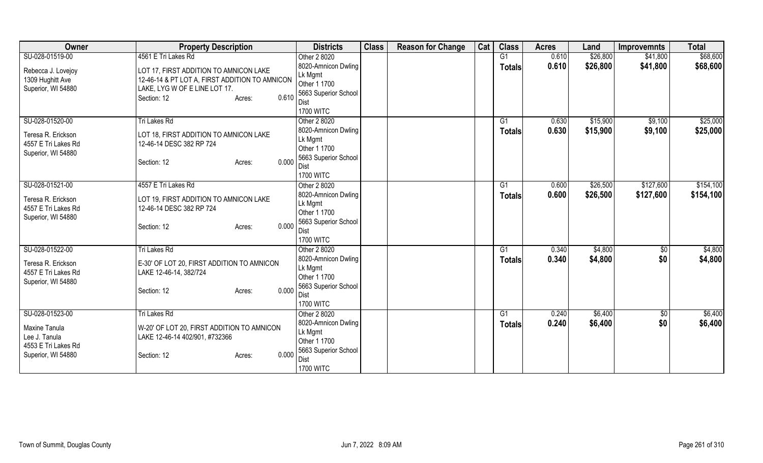| Owner               | <b>Property Description</b>                    | <b>Districts</b>        | <b>Class</b> | <b>Reason for Change</b> | Cat | <b>Class</b>    | <b>Acres</b> | Land     | <b>Improvemnts</b> | <b>Total</b> |
|---------------------|------------------------------------------------|-------------------------|--------------|--------------------------|-----|-----------------|--------------|----------|--------------------|--------------|
| SU-028-01519-00     | 4561 E Tri Lakes Rd                            | Other 2 8020            |              |                          |     | $\overline{G1}$ | 0.610        | \$26,800 | \$41,800           | \$68,600     |
| Rebecca J. Lovejoy  | LOT 17, FIRST ADDITION TO AMNICON LAKE         | 8020-Amnicon Dwling     |              |                          |     | <b>Totals</b>   | 0.610        | \$26,800 | \$41,800           | \$68,600     |
| 1309 Hughitt Ave    | 12-46-14 & PT LOT A, FIRST ADDITION TO AMNICON | Lk Mgmt                 |              |                          |     |                 |              |          |                    |              |
| Superior, WI 54880  | LAKE, LYG W OF E LINE LOT 17.                  | Other 1 1700            |              |                          |     |                 |              |          |                    |              |
|                     | 0.610<br>Section: 12<br>Acres:                 | 5663 Superior School    |              |                          |     |                 |              |          |                    |              |
|                     |                                                | Dist                    |              |                          |     |                 |              |          |                    |              |
|                     |                                                | <b>1700 WITC</b>        |              |                          |     |                 |              |          |                    |              |
| SU-028-01520-00     | Tri Lakes Rd                                   | Other 2 8020            |              |                          |     | G1              | 0.630        | \$15,900 | \$9,100            | \$25,000     |
| Teresa R. Erickson  | LOT 18, FIRST ADDITION TO AMNICON LAKE         | 8020-Amnicon Dwling     |              |                          |     | <b>Totals</b>   | 0.630        | \$15,900 | \$9,100            | \$25,000     |
| 4557 E Tri Lakes Rd | 12-46-14 DESC 382 RP 724                       | Lk Mgmt                 |              |                          |     |                 |              |          |                    |              |
| Superior, WI 54880  |                                                | Other 1 1700            |              |                          |     |                 |              |          |                    |              |
|                     | 0.000<br>Section: 12<br>Acres:                 | 5663 Superior School    |              |                          |     |                 |              |          |                    |              |
|                     |                                                | Dist                    |              |                          |     |                 |              |          |                    |              |
|                     |                                                | <b>1700 WITC</b>        |              |                          |     |                 |              |          |                    |              |
| SU-028-01521-00     | 4557 E Tri Lakes Rd                            | Other 2 8020            |              |                          |     | G1              | 0.600        | \$26,500 | \$127,600          | \$154,100    |
| Teresa R. Erickson  | LOT 19, FIRST ADDITION TO AMNICON LAKE         | 8020-Amnicon Dwling     |              |                          |     | <b>Totals</b>   | 0.600        | \$26,500 | \$127,600          | \$154,100    |
| 4557 E Tri Lakes Rd | 12-46-14 DESC 382 RP 724                       | Lk Mgmt<br>Other 1 1700 |              |                          |     |                 |              |          |                    |              |
| Superior, WI 54880  |                                                | 5663 Superior School    |              |                          |     |                 |              |          |                    |              |
|                     | 0.000<br>Section: 12<br>Acres:                 | Dist                    |              |                          |     |                 |              |          |                    |              |
|                     |                                                | <b>1700 WITC</b>        |              |                          |     |                 |              |          |                    |              |
| SU-028-01522-00     | Tri Lakes Rd                                   | Other 2 8020            |              |                          |     | G1              | 0.340        | \$4,800  | $\sqrt{$0}$        | \$4,800      |
|                     |                                                | 8020-Amnicon Dwling     |              |                          |     | Totals          | 0.340        | \$4,800  | \$0                | \$4,800      |
| Teresa R. Erickson  | E-30' OF LOT 20, FIRST ADDITION TO AMNICON     | Lk Mgmt                 |              |                          |     |                 |              |          |                    |              |
| 4557 E Tri Lakes Rd | LAKE 12-46-14, 382/724                         | Other 1 1700            |              |                          |     |                 |              |          |                    |              |
| Superior, WI 54880  |                                                | 5663 Superior School    |              |                          |     |                 |              |          |                    |              |
|                     | 0.000<br>Section: 12<br>Acres:                 | Dist                    |              |                          |     |                 |              |          |                    |              |
|                     |                                                | <b>1700 WITC</b>        |              |                          |     |                 |              |          |                    |              |
| SU-028-01523-00     | Tri Lakes Rd                                   | Other 2 8020            |              |                          |     | G1              | 0.240        | \$6,400  | \$0                | \$6,400      |
|                     |                                                | 8020-Amnicon Dwling     |              |                          |     | <b>Totals</b>   | 0.240        | \$6,400  | \$0                | \$6,400      |
| Maxine Tanula       | W-20' OF LOT 20, FIRST ADDITION TO AMNICON     | Lk Mgmt                 |              |                          |     |                 |              |          |                    |              |
| Lee J. Tanula       | LAKE 12-46-14 402/901, #732366                 | Other 1 1700            |              |                          |     |                 |              |          |                    |              |
| 4553 E Tri Lakes Rd |                                                | 5663 Superior School    |              |                          |     |                 |              |          |                    |              |
| Superior, WI 54880  | 0.000<br>Section: 12<br>Acres:                 | <b>Dist</b>             |              |                          |     |                 |              |          |                    |              |
|                     |                                                | <b>1700 WITC</b>        |              |                          |     |                 |              |          |                    |              |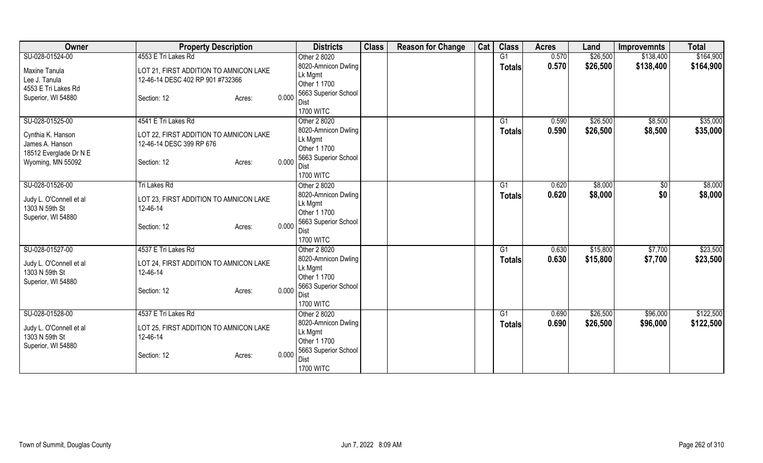| Owner                   | <b>Property Description</b>            | <b>Districts</b>                     | <b>Class</b> | <b>Reason for Change</b> | Cat | <b>Class</b>  | <b>Acres</b> | Land     | <b>Improvemnts</b> | <b>Total</b> |
|-------------------------|----------------------------------------|--------------------------------------|--------------|--------------------------|-----|---------------|--------------|----------|--------------------|--------------|
| SU-028-01524-00         | 4553 E Tri Lakes Rd                    | Other 2 8020                         |              |                          |     | G1            | 0.570        | \$26,500 | \$138,400          | \$164,900    |
| Maxine Tanula           | LOT 21, FIRST ADDITION TO AMNICON LAKE | 8020-Amnicon Dwling                  |              |                          |     | <b>Totals</b> | 0.570        | \$26,500 | \$138,400          | \$164,900    |
| Lee J. Tanula           | 12-46-14 DESC 402 RP 901 #732366       | Lk Mgmt                              |              |                          |     |               |              |          |                    |              |
| 4553 E Tri Lakes Rd     |                                        | Other 1 1700                         |              |                          |     |               |              |          |                    |              |
| Superior, WI 54880      | Section: 12<br>Acres:                  | 5663 Superior School<br>0.000        |              |                          |     |               |              |          |                    |              |
|                         |                                        | Dist                                 |              |                          |     |               |              |          |                    |              |
|                         |                                        | <b>1700 WITC</b>                     |              |                          |     |               |              |          |                    |              |
| SU-028-01525-00         | 4541 E Tri Lakes Rd                    | Other 2 8020                         |              |                          |     | G1            | 0.590        | \$26,500 | \$8,500            | \$35,000     |
| Cynthia K. Hanson       | LOT 22, FIRST ADDITION TO AMNICON LAKE | 8020-Amnicon Dwling                  |              |                          |     | <b>Totals</b> | 0.590        | \$26,500 | \$8,500            | \$35,000     |
| James A. Hanson         | 12-46-14 DESC 399 RP 676               | Lk Mgmt<br>Other 1 1700              |              |                          |     |               |              |          |                    |              |
| 18512 Everglade Dr N E  |                                        | 5663 Superior School                 |              |                          |     |               |              |          |                    |              |
| Wyoming, MN 55092       | Section: 12<br>Acres:                  | 0.000<br>Dist                        |              |                          |     |               |              |          |                    |              |
|                         |                                        | <b>1700 WITC</b>                     |              |                          |     |               |              |          |                    |              |
| SU-028-01526-00         | Tri Lakes Rd                           | Other 2 8020                         |              |                          |     | G1            | 0.620        | \$8,000  | $\sqrt[6]{3}$      | \$8,000      |
|                         |                                        | 8020-Amnicon Dwling                  |              |                          |     | Totals        | 0.620        | \$8,000  | \$0                | \$8,000      |
| Judy L. O'Connell et al | LOT 23, FIRST ADDITION TO AMNICON LAKE | Lk Mgmt                              |              |                          |     |               |              |          |                    |              |
| 1303 N 59th St          | 12-46-14                               | Other 1 1700                         |              |                          |     |               |              |          |                    |              |
| Superior, WI 54880      | Section: 12<br>Acres:                  | 5663 Superior School<br>0.000        |              |                          |     |               |              |          |                    |              |
|                         |                                        | Dist                                 |              |                          |     |               |              |          |                    |              |
|                         |                                        | <b>1700 WITC</b>                     |              |                          |     |               |              |          |                    |              |
| SU-028-01527-00         | 4537 E Tri Lakes Rd                    | Other 2 8020                         |              |                          |     | G1            | 0.630        | \$15,800 | \$7,700            | \$23,500     |
| Judy L. O'Connell et al | LOT 24, FIRST ADDITION TO AMNICON LAKE | 8020-Amnicon Dwling                  |              |                          |     | Totals        | 0.630        | \$15,800 | \$7,700            | \$23,500     |
| 1303 N 59th St          | 12-46-14                               | Lk Mgmt                              |              |                          |     |               |              |          |                    |              |
| Superior, WI 54880      |                                        | Other 1 1700<br>5663 Superior School |              |                          |     |               |              |          |                    |              |
|                         | Section: 12<br>Acres:                  | 0.000<br>Dist                        |              |                          |     |               |              |          |                    |              |
|                         |                                        | <b>1700 WITC</b>                     |              |                          |     |               |              |          |                    |              |
| SU-028-01528-00         | 4537 E Tri Lakes Rd                    | Other 2 8020                         |              |                          |     | G1            | 0.690        | \$26,500 | \$96,000           | \$122,500    |
|                         |                                        | 8020-Amnicon Dwling                  |              |                          |     | <b>Totals</b> | 0.690        | \$26,500 | \$96,000           | \$122,500    |
| Judy L. O'Connell et al | LOT 25, FIRST ADDITION TO AMNICON LAKE | Lk Mgmt                              |              |                          |     |               |              |          |                    |              |
| 1303 N 59th St          | 12-46-14                               | Other 1 1700                         |              |                          |     |               |              |          |                    |              |
| Superior, WI 54880      |                                        | 5663 Superior School                 |              |                          |     |               |              |          |                    |              |
|                         | Section: 12<br>Acres:                  | 0.000<br>Dist                        |              |                          |     |               |              |          |                    |              |
|                         |                                        | <b>1700 WITC</b>                     |              |                          |     |               |              |          |                    |              |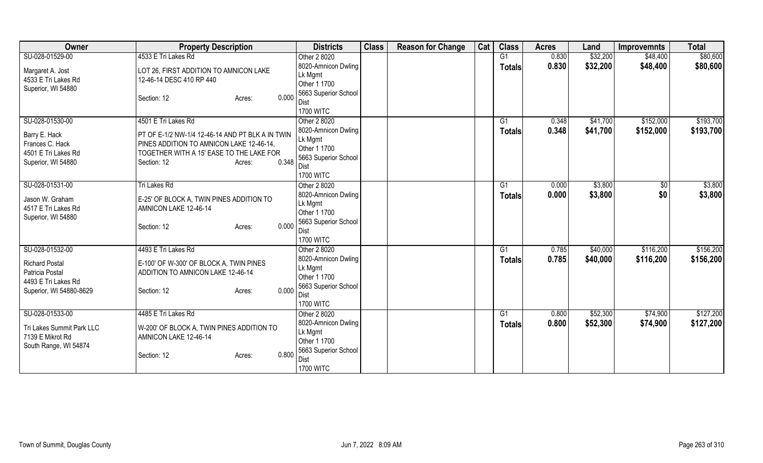| Owner                     | <b>Property Description</b>                      | <b>Districts</b>             | <b>Class</b> | <b>Reason for Change</b> | Cat | <b>Class</b>  | <b>Acres</b> | Land     | <b>Improvemnts</b> | <b>Total</b> |
|---------------------------|--------------------------------------------------|------------------------------|--------------|--------------------------|-----|---------------|--------------|----------|--------------------|--------------|
| SU-028-01529-00           | 4533 E Tri Lakes Rd                              | Other 2 8020                 |              |                          |     | G1            | 0.830        | \$32,200 | \$48,400           | \$80,600     |
| Margaret A. Jost          | LOT 26, FIRST ADDITION TO AMNICON LAKE           | 8020-Amnicon Dwling          |              |                          |     | <b>Totals</b> | 0.830        | \$32,200 | \$48,400           | \$80,600     |
| 4533 E Tri Lakes Rd       | 12-46-14 DESC 410 RP 440                         | Lk Mgmt                      |              |                          |     |               |              |          |                    |              |
| Superior, WI 54880        |                                                  | Other 1 1700                 |              |                          |     |               |              |          |                    |              |
|                           | 0.000<br>Section: 12<br>Acres:                   | 5663 Superior School         |              |                          |     |               |              |          |                    |              |
|                           |                                                  | Dist                         |              |                          |     |               |              |          |                    |              |
|                           |                                                  | <b>1700 WITC</b>             |              |                          |     |               |              |          |                    |              |
| SU-028-01530-00           | 4501 E Tri Lakes Rd                              | Other 2 8020                 |              |                          |     | G1            | 0.348        | \$41,700 | \$152,000          | \$193,700    |
| Barry E. Hack             | PT OF E-1/2 NW-1/4 12-46-14 AND PT BLK A IN TWIN | 8020-Amnicon Dwling          |              |                          |     | <b>Totals</b> | 0.348        | \$41,700 | \$152,000          | \$193,700    |
| Frances C. Hack           | PINES ADDITION TO AMNICON LAKE 12-46-14,         | Lk Mgmt                      |              |                          |     |               |              |          |                    |              |
| 4501 E Tri Lakes Rd       | TOGETHER WITH A 15' EASE TO THE LAKE FOR         | Other 1 1700                 |              |                          |     |               |              |          |                    |              |
| Superior, WI 54880        | 0.348<br>Section: 12<br>Acres:                   | 5663 Superior School<br>Dist |              |                          |     |               |              |          |                    |              |
|                           |                                                  | <b>1700 WITC</b>             |              |                          |     |               |              |          |                    |              |
| SU-028-01531-00           | Tri Lakes Rd                                     | Other 2 8020                 |              |                          |     | G1            | 0.000        | \$3,800  | $\sqrt[6]{3}$      | \$3,800      |
|                           |                                                  | 8020-Amnicon Dwling          |              |                          |     |               | 0.000        | \$3,800  | \$0                | \$3,800      |
| Jason W. Graham           | E-25' OF BLOCK A, TWIN PINES ADDITION TO         | Lk Mgmt                      |              |                          |     | Totals        |              |          |                    |              |
| 4517 E Tri Lakes Rd       | AMNICON LAKE 12-46-14                            | Other 1 1700                 |              |                          |     |               |              |          |                    |              |
| Superior, WI 54880        |                                                  | 5663 Superior School         |              |                          |     |               |              |          |                    |              |
|                           | 0.000<br>Section: 12<br>Acres:                   | Dist                         |              |                          |     |               |              |          |                    |              |
|                           |                                                  | <b>1700 WITC</b>             |              |                          |     |               |              |          |                    |              |
| SU-028-01532-00           | 4493 E Tri Lakes Rd                              | Other 2 8020                 |              |                          |     | G1            | 0.785        | \$40,000 | \$116,200          | \$156,200    |
|                           |                                                  | 8020-Amnicon Dwling          |              |                          |     | <b>Totals</b> | 0.785        | \$40,000 | \$116,200          | \$156,200    |
| <b>Richard Postal</b>     | E-100' OF W-300' OF BLOCK A, TWIN PINES          | Lk Mgmt                      |              |                          |     |               |              |          |                    |              |
| Patricia Postal           | ADDITION TO AMNICON LAKE 12-46-14                | Other 1 1700                 |              |                          |     |               |              |          |                    |              |
| 4493 E Tri Lakes Rd       |                                                  | 5663 Superior School         |              |                          |     |               |              |          |                    |              |
| Superior, WI 54880-8629   | 0.000<br>Section: 12<br>Acres:                   | Dist                         |              |                          |     |               |              |          |                    |              |
|                           |                                                  | <b>1700 WITC</b>             |              |                          |     |               |              |          |                    |              |
| SU-028-01533-00           | 4485 E Tri Lakes Rd                              | Other 2 8020                 |              |                          |     | G1            | 0.800        | \$52,300 | \$74,900           | \$127,200    |
| Tri Lakes Summit Park LLC | W-200' OF BLOCK A, TWIN PINES ADDITION TO        | 8020-Amnicon Dwling          |              |                          |     | <b>Totals</b> | 0.800        | \$52,300 | \$74,900           | \$127,200    |
| 7139 E Mikrot Rd          | AMNICON LAKE 12-46-14                            | Lk Mgmt                      |              |                          |     |               |              |          |                    |              |
| South Range, WI 54874     |                                                  | Other 1 1700                 |              |                          |     |               |              |          |                    |              |
|                           | 0.800<br>Section: 12<br>Acres:                   | 5663 Superior School         |              |                          |     |               |              |          |                    |              |
|                           |                                                  | Dist                         |              |                          |     |               |              |          |                    |              |
|                           |                                                  | <b>1700 WITC</b>             |              |                          |     |               |              |          |                    |              |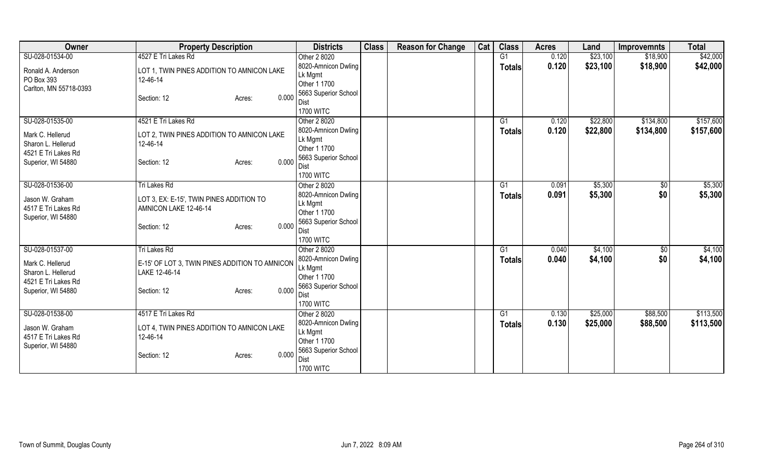| Owner                  | <b>Property Description</b>                    | <b>Districts</b>        | <b>Class</b> | <b>Reason for Change</b> | Cat | <b>Class</b>   | <b>Acres</b> | Land     | <b>Improvemnts</b> | <b>Total</b> |
|------------------------|------------------------------------------------|-------------------------|--------------|--------------------------|-----|----------------|--------------|----------|--------------------|--------------|
| SU-028-01534-00        | 4527 E Tri Lakes Rd                            | Other 2 8020            |              |                          |     | G1             | 0.120        | \$23,100 | \$18,900           | \$42,000     |
| Ronald A. Anderson     | LOT 1, TWIN PINES ADDITION TO AMNICON LAKE     | 8020-Amnicon Dwling     |              |                          |     | <b>Totals</b>  | 0.120        | \$23,100 | \$18,900           | \$42,000     |
| PO Box 393             | 12-46-14                                       | Lk Mgmt                 |              |                          |     |                |              |          |                    |              |
| Carlton, MN 55718-0393 |                                                | Other 1 1700            |              |                          |     |                |              |          |                    |              |
|                        | 0.000<br>Section: 12<br>Acres:                 | 5663 Superior School    |              |                          |     |                |              |          |                    |              |
|                        |                                                | Dist                    |              |                          |     |                |              |          |                    |              |
|                        |                                                | <b>1700 WITC</b>        |              |                          |     |                |              |          |                    |              |
| SU-028-01535-00        | 4521 E Tri Lakes Rd                            | Other 2 8020            |              |                          |     | G1             | 0.120        | \$22,800 | \$134,800          | \$157,600    |
| Mark C. Hellerud       | LOT 2, TWIN PINES ADDITION TO AMNICON LAKE     | 8020-Amnicon Dwling     |              |                          |     | <b>Totals</b>  | 0.120        | \$22,800 | \$134,800          | \$157,600    |
| Sharon L. Hellerud     | 12-46-14                                       | Lk Mgmt                 |              |                          |     |                |              |          |                    |              |
| 4521 E Tri Lakes Rd    |                                                | Other 1 1700            |              |                          |     |                |              |          |                    |              |
| Superior, WI 54880     | 0.000<br>Section: 12<br>Acres:                 | 5663 Superior School    |              |                          |     |                |              |          |                    |              |
|                        |                                                | Dist                    |              |                          |     |                |              |          |                    |              |
|                        |                                                | <b>1700 WITC</b>        |              |                          |     |                |              |          |                    |              |
| SU-028-01536-00        | Tri Lakes Rd                                   | Other 2 8020            |              |                          |     | G <sub>1</sub> | 0.091        | \$5,300  | \$0                | \$5,300      |
| Jason W. Graham        | LOT 3, EX: E-15', TWIN PINES ADDITION TO       | 8020-Amnicon Dwling     |              |                          |     | <b>Totals</b>  | 0.091        | \$5,300  | \$0                | \$5,300      |
| 4517 E Tri Lakes Rd    | AMNICON LAKE 12-46-14                          | Lk Mgmt<br>Other 1 1700 |              |                          |     |                |              |          |                    |              |
| Superior, WI 54880     |                                                | 5663 Superior School    |              |                          |     |                |              |          |                    |              |
|                        | 0.000<br>Section: 12<br>Acres:                 | Dist                    |              |                          |     |                |              |          |                    |              |
|                        |                                                | <b>1700 WITC</b>        |              |                          |     |                |              |          |                    |              |
| SU-028-01537-00        | Tri Lakes Rd                                   | Other 2 8020            |              |                          |     | G1             | 0.040        | \$4,100  | $\sqrt{6}$         | \$4,100      |
|                        |                                                | 8020-Amnicon Dwling     |              |                          |     |                | 0.040        | \$4,100  | \$0                | \$4,100      |
| Mark C. Hellerud       | E-15' OF LOT 3, TWIN PINES ADDITION TO AMNICON | Lk Mgmt                 |              |                          |     | <b>Totals</b>  |              |          |                    |              |
| Sharon L. Hellerud     | LAKE 12-46-14                                  | Other 1 1700            |              |                          |     |                |              |          |                    |              |
| 4521 E Tri Lakes Rd    |                                                | 5663 Superior School    |              |                          |     |                |              |          |                    |              |
| Superior, WI 54880     | 0.000<br>Section: 12<br>Acres:                 | Dist                    |              |                          |     |                |              |          |                    |              |
|                        |                                                | <b>1700 WITC</b>        |              |                          |     |                |              |          |                    |              |
| SU-028-01538-00        | 4517 E Tri Lakes Rd                            | Other 2 8020            |              |                          |     | G1             | 0.130        | \$25,000 | \$88,500           | \$113,500    |
|                        |                                                | 8020-Amnicon Dwling     |              |                          |     | <b>Totals</b>  | 0.130        | \$25,000 | \$88,500           | \$113,500    |
| Jason W. Graham        | LOT 4, TWIN PINES ADDITION TO AMNICON LAKE     | Lk Mgmt                 |              |                          |     |                |              |          |                    |              |
| 4517 E Tri Lakes Rd    | 12-46-14                                       | Other 1 1700            |              |                          |     |                |              |          |                    |              |
| Superior, WI 54880     |                                                | 5663 Superior School    |              |                          |     |                |              |          |                    |              |
|                        | 0.000<br>Section: 12<br>Acres:                 | Dist                    |              |                          |     |                |              |          |                    |              |
|                        |                                                | <b>1700 WITC</b>        |              |                          |     |                |              |          |                    |              |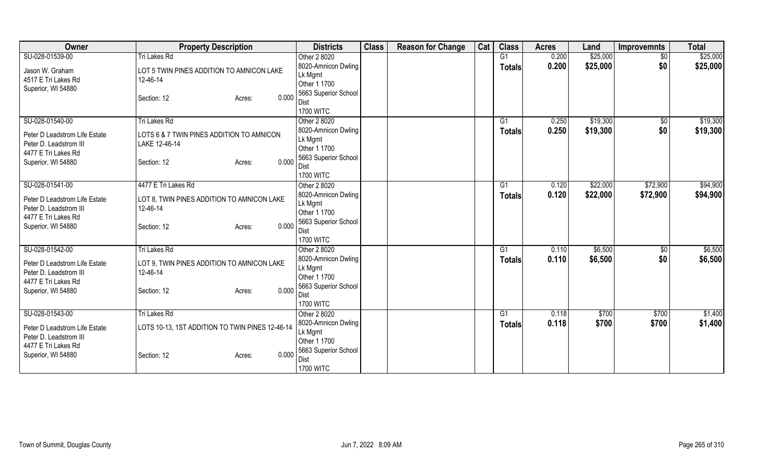| Owner                         | <b>Property Description</b>                     | <b>Districts</b>        | <b>Class</b> | <b>Reason for Change</b> | Cat | <b>Class</b>   | <b>Acres</b> | Land     | <b>Improvemnts</b> | <b>Total</b> |
|-------------------------------|-------------------------------------------------|-------------------------|--------------|--------------------------|-----|----------------|--------------|----------|--------------------|--------------|
| SU-028-01539-00               | <b>Tri Lakes Rd</b>                             | Other 2 8020            |              |                          |     | G <sub>1</sub> | 0.200        | \$25,000 | $\overline{50}$    | \$25,000     |
| Jason W. Graham               | LOT 5 TWIN PINES ADDITION TO AMNICON LAKE       | 8020-Amnicon Dwling     |              |                          |     | <b>Totals</b>  | 0.200        | \$25,000 | \$0                | \$25,000     |
| 4517 E Tri Lakes Rd           | 12-46-14                                        | Lk Mgmt                 |              |                          |     |                |              |          |                    |              |
| Superior, WI 54880            |                                                 | Other 1 1700            |              |                          |     |                |              |          |                    |              |
|                               | 0.000<br>Section: 12<br>Acres:                  | 5663 Superior School    |              |                          |     |                |              |          |                    |              |
|                               |                                                 | <b>Dist</b>             |              |                          |     |                |              |          |                    |              |
|                               |                                                 | <b>1700 WITC</b>        |              |                          |     |                |              |          |                    |              |
| SU-028-01540-00               | <b>Tri Lakes Rd</b>                             | Other 2 8020            |              |                          |     | G1             | 0.250        | \$19,300 | \$0                | \$19,300     |
| Peter D Leadstrom Life Estate | LOTS 6 & 7 TWIN PINES ADDITION TO AMNICON       | 8020-Amnicon Dwling     |              |                          |     | Totals         | 0.250        | \$19,300 | \$0                | \$19,300     |
| Peter D. Leadstrom III        | LAKE 12-46-14                                   | Lk Mgmt                 |              |                          |     |                |              |          |                    |              |
| 4477 E Tri Lakes Rd           |                                                 | Other 1 1700            |              |                          |     |                |              |          |                    |              |
| Superior, WI 54880            | 0.000<br>Section: 12<br>Acres:                  | 5663 Superior School    |              |                          |     |                |              |          |                    |              |
|                               |                                                 | Dist                    |              |                          |     |                |              |          |                    |              |
|                               | 4477 E Tri Lakes Rd                             | <b>1700 WITC</b>        |              |                          |     |                |              |          |                    |              |
| SU-028-01541-00               |                                                 | Other 2 8020            |              |                          |     | G1             | 0.120        | \$22,000 | \$72,900           | \$94,900     |
| Peter D Leadstrom Life Estate | LOT 8, TWIN PINES ADDITION TO AMNICON LAKE      | 8020-Amnicon Dwling     |              |                          |     | <b>Totals</b>  | 0.120        | \$22,000 | \$72,900           | \$94,900     |
| Peter D. Leadstrom III        | 12-46-14                                        | Lk Mgmt<br>Other 1 1700 |              |                          |     |                |              |          |                    |              |
| 4477 E Tri Lakes Rd           |                                                 | 5663 Superior School    |              |                          |     |                |              |          |                    |              |
| Superior, WI 54880            | 0.000<br>Section: 12<br>Acres:                  | <b>Dist</b>             |              |                          |     |                |              |          |                    |              |
|                               |                                                 | <b>1700 WITC</b>        |              |                          |     |                |              |          |                    |              |
| SU-028-01542-00               | Tri Lakes Rd                                    | Other 2 8020            |              |                          |     | G1             | 0.110        | \$6,500  | $\overline{50}$    | \$6,500      |
|                               |                                                 | 8020-Amnicon Dwling     |              |                          |     | <b>Totals</b>  | 0.110        | \$6,500  | \$0                | \$6,500      |
| Peter D Leadstrom Life Estate | LOT 9, TWIN PINES ADDITION TO AMNICON LAKE      | Lk Mgmt                 |              |                          |     |                |              |          |                    |              |
| Peter D. Leadstrom III        | 12-46-14                                        | Other 1 1700            |              |                          |     |                |              |          |                    |              |
| 4477 E Tri Lakes Rd           |                                                 | 5663 Superior School    |              |                          |     |                |              |          |                    |              |
| Superior, WI 54880            | 0.000<br>Section: 12<br>Acres:                  | Dist                    |              |                          |     |                |              |          |                    |              |
|                               |                                                 | <b>1700 WITC</b>        |              |                          |     |                |              |          |                    |              |
| SU-028-01543-00               | <b>Tri Lakes Rd</b>                             | Other 2 8020            |              |                          |     | G1             | 0.118        | \$700    | \$700              | \$1,400      |
|                               |                                                 | 8020-Amnicon Dwling     |              |                          |     | <b>Totals</b>  | 0.118        | \$700    | \$700              | \$1,400      |
| Peter D Leadstrom Life Estate | LOTS 10-13, 1ST ADDITION TO TWIN PINES 12-46-14 | Lk Mgmt                 |              |                          |     |                |              |          |                    |              |
| Peter D. Leadstrom III        |                                                 | Other 1 1700            |              |                          |     |                |              |          |                    |              |
| 4477 E Tri Lakes Rd           |                                                 | 5663 Superior School    |              |                          |     |                |              |          |                    |              |
| Superior, WI 54880            | 0.000<br>Section: 12<br>Acres:                  | <b>Dist</b>             |              |                          |     |                |              |          |                    |              |
|                               |                                                 | <b>1700 WITC</b>        |              |                          |     |                |              |          |                    |              |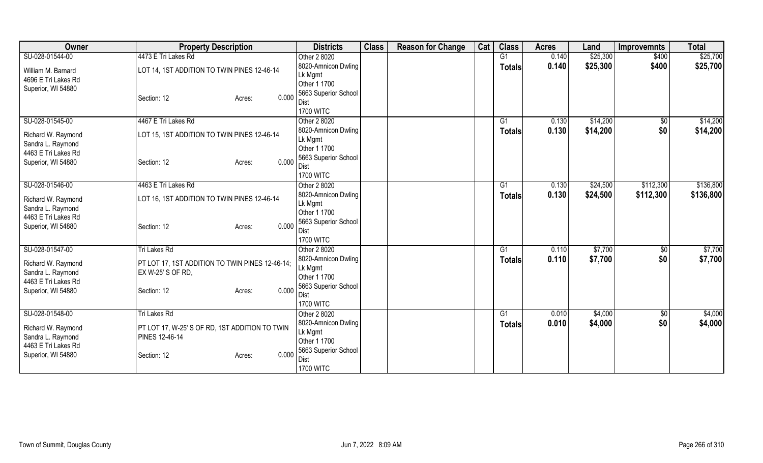| <b>Owner</b>                             | <b>Property Description</b>                     | <b>Districts</b>                | <b>Class</b> | <b>Reason for Change</b> | Cat | <b>Class</b>   | <b>Acres</b> | Land     | Improvemnts | <b>Total</b> |
|------------------------------------------|-------------------------------------------------|---------------------------------|--------------|--------------------------|-----|----------------|--------------|----------|-------------|--------------|
| SU-028-01544-00                          | 4473 E Tri Lakes Rd                             | Other 2 8020                    |              |                          |     | G <sub>1</sub> | 0.140        | \$25,300 | \$400       | \$25,700     |
| William M. Barnard                       | LOT 14, 1ST ADDITION TO TWIN PINES 12-46-14     | 8020-Amnicon Dwling             |              |                          |     | <b>Totals</b>  | 0.140        | \$25,300 | \$400       | \$25,700     |
| 4696 E Tri Lakes Rd                      |                                                 | Lk Mgmt                         |              |                          |     |                |              |          |             |              |
| Superior, WI 54880                       |                                                 | Other 1 1700                    |              |                          |     |                |              |          |             |              |
|                                          | 0.000<br>Section: 12<br>Acres:                  | 5663 Superior School            |              |                          |     |                |              |          |             |              |
|                                          |                                                 | Dist<br><b>1700 WITC</b>        |              |                          |     |                |              |          |             |              |
| SU-028-01545-00                          | 4467 E Tri Lakes Rd                             | Other 2 8020                    |              |                          |     | G1             | 0.130        | \$14,200 | \$0         | \$14,200     |
|                                          |                                                 | 8020-Amnicon Dwling             |              |                          |     | <b>Totals</b>  | 0.130        | \$14,200 | \$0         | \$14,200     |
| Richard W. Raymond                       | LOT 15, 1ST ADDITION TO TWIN PINES 12-46-14     | Lk Mgmt                         |              |                          |     |                |              |          |             |              |
| Sandra L. Raymond<br>4463 E Tri Lakes Rd |                                                 | Other 1 1700                    |              |                          |     |                |              |          |             |              |
| Superior, WI 54880                       | 0.000<br>Section: 12<br>Acres:                  | 5663 Superior School            |              |                          |     |                |              |          |             |              |
|                                          |                                                 | <b>Dist</b>                     |              |                          |     |                |              |          |             |              |
|                                          |                                                 | <b>1700 WITC</b>                |              |                          |     |                |              |          |             |              |
| SU-028-01546-00                          | 4463 E Tri Lakes Rd                             | Other 2 8020                    |              |                          |     | G1             | 0.130        | \$24,500 | \$112,300   | \$136,800    |
| Richard W. Raymond                       | LOT 16, 1ST ADDITION TO TWIN PINES 12-46-14     | 8020-Amnicon Dwling             |              |                          |     | <b>Totals</b>  | 0.130        | \$24,500 | \$112,300   | \$136,800    |
| Sandra L. Raymond                        |                                                 | Lk Mgmt<br>Other 1 1700         |              |                          |     |                |              |          |             |              |
| 4463 E Tri Lakes Rd                      |                                                 | 5663 Superior School            |              |                          |     |                |              |          |             |              |
| Superior, WI 54880                       | 0.000<br>Section: 12<br>Acres:                  | Dist                            |              |                          |     |                |              |          |             |              |
|                                          |                                                 | <b>1700 WITC</b>                |              |                          |     |                |              |          |             |              |
| SU-028-01547-00                          | Tri Lakes Rd                                    | Other 2 8020                    |              |                          |     | G1             | 0.110        | \$7,700  | $\sqrt{6}$  | \$7,700      |
| Richard W. Raymond                       | PT LOT 17, 1ST ADDITION TO TWIN PINES 12-46-14; | 8020-Amnicon Dwling             |              |                          |     | <b>Totals</b>  | 0.110        | \$7,700  | \$0         | \$7,700      |
| Sandra L. Raymond                        | EX W-25' S OF RD.                               | Lk Mgmt                         |              |                          |     |                |              |          |             |              |
| 4463 E Tri Lakes Rd                      |                                                 | Other 1 1700                    |              |                          |     |                |              |          |             |              |
| Superior, WI 54880                       | 0.000<br>Section: 12<br>Acres:                  | 5663 Superior School            |              |                          |     |                |              |          |             |              |
|                                          |                                                 | <b>Dist</b><br><b>1700 WITC</b> |              |                          |     |                |              |          |             |              |
| SU-028-01548-00                          | Tri Lakes Rd                                    | Other 2 8020                    |              |                          |     | G1             | 0.010        | \$4,000  | \$0         | \$4,000      |
|                                          |                                                 | 8020-Amnicon Dwling             |              |                          |     |                | 0.010        | \$4,000  | \$0         | \$4,000      |
| Richard W. Raymond                       | PT LOT 17, W-25' S OF RD, 1ST ADDITION TO TWIN  | Lk Mgmt                         |              |                          |     | <b>Totals</b>  |              |          |             |              |
| Sandra L. Raymond                        | <b>PINES 12-46-14</b>                           | Other 1 1700                    |              |                          |     |                |              |          |             |              |
| 4463 E Tri Lakes Rd                      |                                                 | 5663 Superior School            |              |                          |     |                |              |          |             |              |
| Superior, WI 54880                       | 0.000<br>Section: 12<br>Acres:                  | Dist                            |              |                          |     |                |              |          |             |              |
|                                          |                                                 | <b>1700 WITC</b>                |              |                          |     |                |              |          |             |              |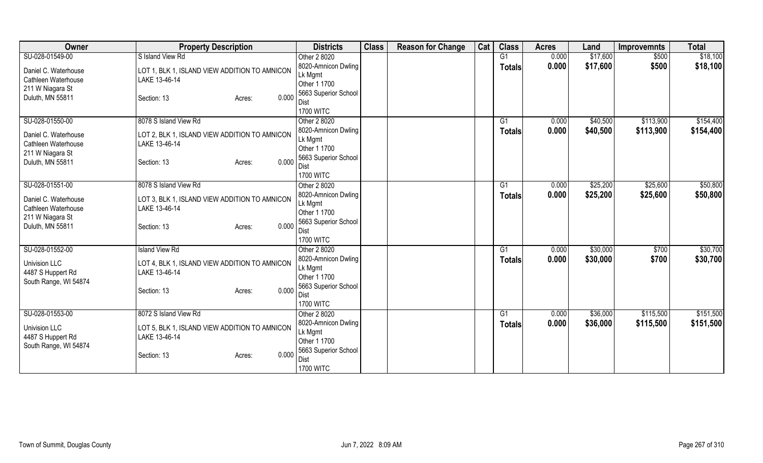| Owner                                | <b>Property Description</b>                   | <b>Districts</b>                 | <b>Class</b> | <b>Reason for Change</b> | Cat | <b>Class</b>   | <b>Acres</b>   | Land     | <b>Improvemnts</b> | <b>Total</b> |
|--------------------------------------|-----------------------------------------------|----------------------------------|--------------|--------------------------|-----|----------------|----------------|----------|--------------------|--------------|
| SU-028-01549-00                      | S Island View Rd                              | Other 2 8020                     |              |                          |     | G1             | 0.000          | \$17,600 | \$500              | \$18,100     |
| Daniel C. Waterhouse                 | LOT 1, BLK 1, ISLAND VIEW ADDITION TO AMNICON | 8020-Amnicon Dwling              |              |                          |     | <b>Totals</b>  | 0.000          | \$17,600 | \$500              | \$18,100     |
| Cathleen Waterhouse                  | LAKE 13-46-14                                 | Lk Mgmt                          |              |                          |     |                |                |          |                    |              |
| 211 W Niagara St                     |                                               | Other 1 1700                     |              |                          |     |                |                |          |                    |              |
| Duluth, MN 55811                     | 0.000<br>Section: 13<br>Acres:                | 5663 Superior School             |              |                          |     |                |                |          |                    |              |
|                                      |                                               | Dist<br><b>1700 WITC</b>         |              |                          |     |                |                |          |                    |              |
| SU-028-01550-00                      | 8078 S Island View Rd                         | Other 2 8020                     |              |                          |     | G1             | 0.000          | \$40,500 | \$113,900          | \$154,400    |
|                                      |                                               | 8020-Amnicon Dwling              |              |                          |     | <b>Totals</b>  | 0.000          | \$40,500 | \$113,900          | \$154,400    |
| Daniel C. Waterhouse                 | LOT 2, BLK 1, ISLAND VIEW ADDITION TO AMNICON | Lk Mgmt                          |              |                          |     |                |                |          |                    |              |
| Cathleen Waterhouse                  | LAKE 13-46-14                                 | Other 1 1700                     |              |                          |     |                |                |          |                    |              |
| 211 W Niagara St<br>Duluth, MN 55811 | 0.000                                         | 5663 Superior School             |              |                          |     |                |                |          |                    |              |
|                                      | Section: 13<br>Acres:                         | Dist                             |              |                          |     |                |                |          |                    |              |
|                                      |                                               | <b>1700 WITC</b>                 |              |                          |     |                |                |          |                    |              |
| SU-028-01551-00                      | 8078 S Island View Rd                         | Other 2 8020                     |              |                          |     | G <sub>1</sub> | 0.000          | \$25,200 | \$25,600           | \$50,800     |
| Daniel C. Waterhouse                 | LOT 3, BLK 1, ISLAND VIEW ADDITION TO AMNICON | 8020-Amnicon Dwling              |              |                          |     | <b>Totals</b>  | 0.000          | \$25,200 | \$25,600           | \$50,800     |
| Cathleen Waterhouse                  | LAKE 13-46-14                                 | Lk Mgmt<br>Other 1 1700          |              |                          |     |                |                |          |                    |              |
| 211 W Niagara St                     |                                               | 5663 Superior School             |              |                          |     |                |                |          |                    |              |
| Duluth, MN 55811                     | 0.000<br>Section: 13<br>Acres:                | Dist                             |              |                          |     |                |                |          |                    |              |
|                                      |                                               | <b>1700 WITC</b>                 |              |                          |     |                |                |          |                    |              |
| SU-028-01552-00                      | <b>Island View Rd</b>                         | Other 2 8020                     |              |                          |     | G1             | 0.000          | \$30,000 | \$700              | \$30,700     |
| <b>Univision LLC</b>                 | LOT 4, BLK 1, ISLAND VIEW ADDITION TO AMNICON | 8020-Amnicon Dwling              |              |                          |     | <b>Totals</b>  | 0.000          | \$30,000 | \$700              | \$30,700     |
| 4487 S Huppert Rd                    | LAKE 13-46-14                                 | Lk Mgmt                          |              |                          |     |                |                |          |                    |              |
| South Range, WI 54874                |                                               | Other 1 1700                     |              |                          |     |                |                |          |                    |              |
|                                      | 0.000<br>Section: 13<br>Acres:                | 5663 Superior School             |              |                          |     |                |                |          |                    |              |
|                                      |                                               | Dist                             |              |                          |     |                |                |          |                    |              |
| SU-028-01553-00                      | 8072 S Island View Rd                         | <b>1700 WITC</b><br>Other 2 8020 |              |                          |     |                |                | \$36,000 | \$115,500          | \$151,500    |
|                                      |                                               | 8020-Amnicon Dwling              |              |                          |     | G1             | 0.000<br>0.000 | \$36,000 | \$115,500          |              |
| Univision LLC                        | LOT 5, BLK 1, ISLAND VIEW ADDITION TO AMNICON | Lk Mgmt                          |              |                          |     | <b>Totals</b>  |                |          |                    | \$151,500    |
| 4487 S Huppert Rd                    | LAKE 13-46-14                                 | Other 1 1700                     |              |                          |     |                |                |          |                    |              |
| South Range, WI 54874                |                                               | 5663 Superior School             |              |                          |     |                |                |          |                    |              |
|                                      | 0.000<br>Section: 13<br>Acres:                | Dist                             |              |                          |     |                |                |          |                    |              |
|                                      |                                               | <b>1700 WITC</b>                 |              |                          |     |                |                |          |                    |              |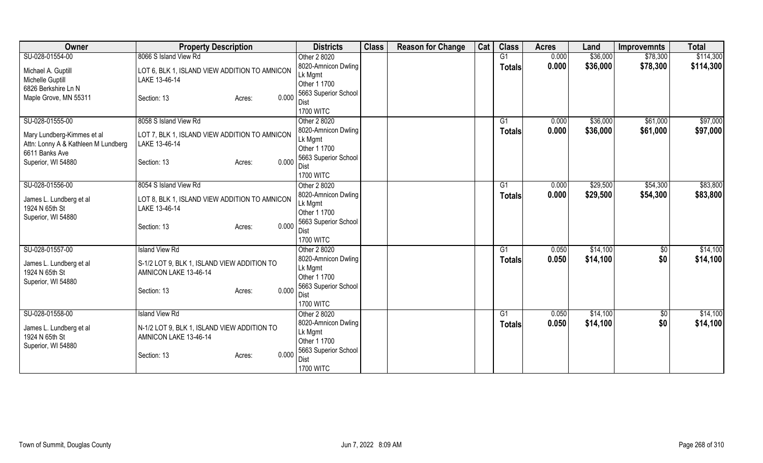| Owner                                                             | <b>Property Description</b>                   | <b>Districts</b>                     | <b>Class</b> | <b>Reason for Change</b> | Cat | <b>Class</b>  | <b>Acres</b> | Land     | <b>Improvemnts</b> | <b>Total</b> |
|-------------------------------------------------------------------|-----------------------------------------------|--------------------------------------|--------------|--------------------------|-----|---------------|--------------|----------|--------------------|--------------|
| SU-028-01554-00                                                   | 8066 S Island View Rd                         | Other 2 8020                         |              |                          |     | G1            | 0.000        | \$36,000 | \$78,300           | \$114,300    |
| Michael A. Guptill                                                | LOT 6, BLK 1, ISLAND VIEW ADDITION TO AMNICON | 8020-Amnicon Dwling                  |              |                          |     | <b>Totals</b> | 0.000        | \$36,000 | \$78,300           | \$114,300    |
| Michelle Guptill                                                  | LAKE 13-46-14                                 | Lk Mgmt                              |              |                          |     |               |              |          |                    |              |
| 6826 Berkshire Ln N                                               |                                               | Other 1 1700<br>5663 Superior School |              |                          |     |               |              |          |                    |              |
| Maple Grove, MN 55311                                             | 0.000<br>Section: 13<br>Acres:                | Dist                                 |              |                          |     |               |              |          |                    |              |
|                                                                   |                                               | <b>1700 WITC</b>                     |              |                          |     |               |              |          |                    |              |
| SU-028-01555-00                                                   | 8058 S Island View Rd                         | Other 2 8020                         |              |                          |     | G1            | 0.000        | \$36,000 | \$61,000           | \$97,000     |
|                                                                   | LOT 7, BLK 1, ISLAND VIEW ADDITION TO AMNICON | 8020-Amnicon Dwling                  |              |                          |     | <b>Totals</b> | 0.000        | \$36,000 | \$61,000           | \$97,000     |
| Mary Lundberg-Kimmes et al<br>Attn: Lonny A & Kathleen M Lundberg | LAKE 13-46-14                                 | Lk Mgmt                              |              |                          |     |               |              |          |                    |              |
| 6611 Banks Ave                                                    |                                               | Other 1 1700                         |              |                          |     |               |              |          |                    |              |
| Superior, WI 54880                                                | 0.000<br>Section: 13<br>Acres:                | 5663 Superior School                 |              |                          |     |               |              |          |                    |              |
|                                                                   |                                               | Dist<br><b>1700 WITC</b>             |              |                          |     |               |              |          |                    |              |
| SU-028-01556-00                                                   | 8054 S Island View Rd                         | Other 2 8020                         |              |                          |     | G1            | 0.000        | \$29,500 | \$54,300           | \$83,800     |
|                                                                   |                                               | 8020-Amnicon Dwling                  |              |                          |     | Totals        | 0.000        | \$29,500 | \$54,300           | \$83,800     |
| James L. Lundberg et al                                           | LOT 8, BLK 1, ISLAND VIEW ADDITION TO AMNICON | Lk Mgmt                              |              |                          |     |               |              |          |                    |              |
| 1924 N 65th St                                                    | LAKE 13-46-14                                 | Other 1 1700                         |              |                          |     |               |              |          |                    |              |
| Superior, WI 54880                                                | 0.000<br>Section: 13<br>Acres:                | 5663 Superior School                 |              |                          |     |               |              |          |                    |              |
|                                                                   |                                               | Dist                                 |              |                          |     |               |              |          |                    |              |
|                                                                   |                                               | <b>1700 WITC</b>                     |              |                          |     |               |              |          |                    |              |
| SU-028-01557-00                                                   | <b>Island View Rd</b>                         | Other 2 8020                         |              |                          |     | G1            | 0.050        | \$14,100 | \$0                | \$14,100     |
| James L. Lundberg et al                                           | S-1/2 LOT 9, BLK 1, ISLAND VIEW ADDITION TO   | 8020-Amnicon Dwling<br>Lk Mgmt       |              |                          |     | <b>Totals</b> | 0.050        | \$14,100 | \$0                | \$14,100     |
| 1924 N 65th St                                                    | AMNICON LAKE 13-46-14                         | Other 1 1700                         |              |                          |     |               |              |          |                    |              |
| Superior, WI 54880                                                |                                               | 5663 Superior School                 |              |                          |     |               |              |          |                    |              |
|                                                                   | 0.000<br>Section: 13<br>Acres:                | Dist                                 |              |                          |     |               |              |          |                    |              |
|                                                                   |                                               | <b>1700 WITC</b>                     |              |                          |     |               |              |          |                    |              |
| SU-028-01558-00                                                   | <b>Island View Rd</b>                         | Other 2 8020                         |              |                          |     | G1            | 0.050        | \$14,100 | \$0                | \$14,100     |
| James L. Lundberg et al                                           | N-1/2 LOT 9, BLK 1, ISLAND VIEW ADDITION TO   | 8020-Amnicon Dwling                  |              |                          |     | <b>Totals</b> | 0.050        | \$14,100 | \$0                | \$14,100     |
| 1924 N 65th St                                                    | AMNICON LAKE 13-46-14                         | Lk Mgmt                              |              |                          |     |               |              |          |                    |              |
| Superior, WI 54880                                                |                                               | Other 1 1700<br>5663 Superior School |              |                          |     |               |              |          |                    |              |
|                                                                   | 0.000<br>Section: 13<br>Acres:                | Dist                                 |              |                          |     |               |              |          |                    |              |
|                                                                   |                                               | <b>1700 WITC</b>                     |              |                          |     |               |              |          |                    |              |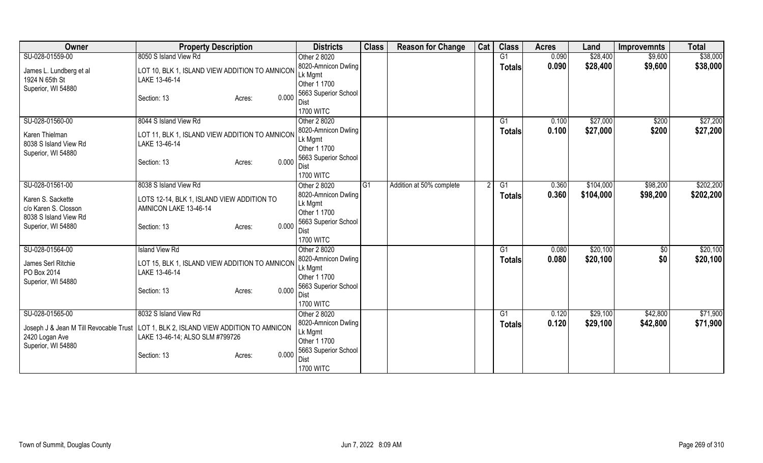| Owner                                  | <b>Property Description</b>                                     | <b>Districts</b>                     | <b>Class</b>    | <b>Reason for Change</b> | Cat | <b>Class</b>  | <b>Acres</b> | Land      | <b>Improvemnts</b> | <b>Total</b> |
|----------------------------------------|-----------------------------------------------------------------|--------------------------------------|-----------------|--------------------------|-----|---------------|--------------|-----------|--------------------|--------------|
| SU-028-01559-00                        | 8050 S Island View Rd                                           | Other 2 8020                         |                 |                          |     | G1            | 0.090        | \$28,400  | \$9,600            | \$38,000     |
| James L. Lundberg et al                | LOT 10, BLK 1, ISLAND VIEW ADDITION TO AMNICON                  | 8020-Amnicon Dwling                  |                 |                          |     | <b>Totals</b> | 0.090        | \$28,400  | \$9,600            | \$38,000     |
| 1924 N 65th St                         | LAKE 13-46-14                                                   | Lk Mgmt                              |                 |                          |     |               |              |           |                    |              |
| Superior, WI 54880                     |                                                                 | Other 1 1700                         |                 |                          |     |               |              |           |                    |              |
|                                        | 0.000<br>Section: 13<br>Acres:                                  | 5663 Superior School                 |                 |                          |     |               |              |           |                    |              |
|                                        |                                                                 | Dist                                 |                 |                          |     |               |              |           |                    |              |
|                                        |                                                                 | <b>1700 WITC</b>                     |                 |                          |     |               |              |           |                    |              |
| SU-028-01560-00                        | 8044 S Island View Rd                                           | Other 2 8020                         |                 |                          |     | G1            | 0.100        | \$27,000  | \$200              | \$27,200     |
| Karen Thielman                         | LOT 11, BLK 1, ISLAND VIEW ADDITION TO AMNICON                  | 8020-Amnicon Dwling                  |                 |                          |     | <b>Totals</b> | 0.100        | \$27,000  | \$200              | \$27,200     |
| 8038 S Island View Rd                  | LAKE 13-46-14                                                   | Lk Mgmt                              |                 |                          |     |               |              |           |                    |              |
| Superior, WI 54880                     |                                                                 | Other 1 1700<br>5663 Superior School |                 |                          |     |               |              |           |                    |              |
|                                        | 0.000<br>Section: 13<br>Acres:                                  | Dist                                 |                 |                          |     |               |              |           |                    |              |
|                                        |                                                                 | <b>1700 WITC</b>                     |                 |                          |     |               |              |           |                    |              |
| SU-028-01561-00                        | 8038 S Island View Rd                                           | Other 2 8020                         | IG <sub>1</sub> | Addition at 50% complete |     | G1            | 0.360        | \$104,000 | \$98,200           | \$202,200    |
|                                        |                                                                 | 8020-Amnicon Dwling                  |                 |                          |     | <b>Totals</b> | 0.360        | \$104,000 | \$98,200           | \$202,200    |
| Karen S. Sackette                      | LOTS 12-14, BLK 1, ISLAND VIEW ADDITION TO                      | Lk Mgmt                              |                 |                          |     |               |              |           |                    |              |
| c/o Karen S. Closson                   | AMNICON LAKE 13-46-14                                           | Other 1 1700                         |                 |                          |     |               |              |           |                    |              |
| 8038 S Island View Rd                  |                                                                 | 5663 Superior School                 |                 |                          |     |               |              |           |                    |              |
| Superior, WI 54880                     | 0.000<br>Section: 13<br>Acres:                                  | Dist                                 |                 |                          |     |               |              |           |                    |              |
|                                        |                                                                 | <b>1700 WITC</b>                     |                 |                          |     |               |              |           |                    |              |
| SU-028-01564-00                        | <b>Island View Rd</b>                                           | Other 2 8020                         |                 |                          |     | G1            | 0.080        | \$20,100  | $\overline{50}$    | \$20,100     |
|                                        |                                                                 | 8020-Amnicon Dwling                  |                 |                          |     | <b>Totals</b> | 0.080        | \$20,100  | \$0                | \$20,100     |
| James Serl Ritchie<br>PO Box 2014      | LOT 15, BLK 1, ISLAND VIEW ADDITION TO AMNICON<br>LAKE 13-46-14 | Lk Mgmt                              |                 |                          |     |               |              |           |                    |              |
| Superior, WI 54880                     |                                                                 | Other 1 1700                         |                 |                          |     |               |              |           |                    |              |
|                                        | 0.000<br>Section: 13<br>Acres:                                  | 5663 Superior School                 |                 |                          |     |               |              |           |                    |              |
|                                        |                                                                 | Dist                                 |                 |                          |     |               |              |           |                    |              |
|                                        |                                                                 | <b>1700 WITC</b>                     |                 |                          |     |               |              |           |                    |              |
| SU-028-01565-00                        | 8032 S Island View Rd                                           | Other 2 8020                         |                 |                          |     | G1            | 0.120        | \$29,100  | \$42,800           | \$71,900     |
| Joseph J & Jean M Till Revocable Trust | LOT 1, BLK 2, ISLAND VIEW ADDITION TO AMNICON                   | 8020-Amnicon Dwling                  |                 |                          |     | <b>Totals</b> | 0.120        | \$29,100  | \$42,800           | \$71,900     |
| 2420 Logan Ave                         | LAKE 13-46-14; ALSO SLM #799726                                 | Lk Mgmt                              |                 |                          |     |               |              |           |                    |              |
| Superior, WI 54880                     |                                                                 | Other 1 1700                         |                 |                          |     |               |              |           |                    |              |
|                                        | 0.000<br>Section: 13<br>Acres:                                  | 5663 Superior School                 |                 |                          |     |               |              |           |                    |              |
|                                        |                                                                 | Dist                                 |                 |                          |     |               |              |           |                    |              |
|                                        |                                                                 | <b>1700 WITC</b>                     |                 |                          |     |               |              |           |                    |              |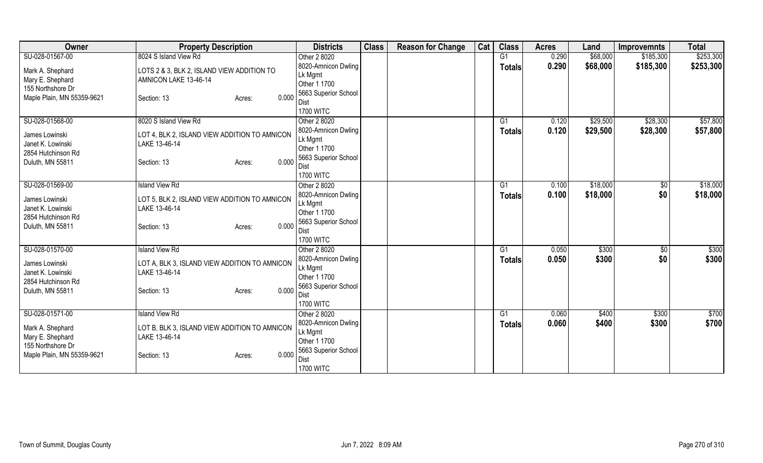| <b>Owner</b>                                                                            | <b>Property Description</b>                                                                      | <b>Districts</b>                                                               | <b>Class</b> | <b>Reason for Change</b> | Cat | <b>Class</b>  | <b>Acres</b> | Land     | <b>Improvemnts</b> | <b>Total</b> |
|-----------------------------------------------------------------------------------------|--------------------------------------------------------------------------------------------------|--------------------------------------------------------------------------------|--------------|--------------------------|-----|---------------|--------------|----------|--------------------|--------------|
| SU-028-01567-00                                                                         | 8024 S Island View Rd                                                                            | Other 2 8020                                                                   |              |                          |     | G1            | 0.290        | \$68,000 | \$185,300          | \$253,300    |
| Mark A. Shephard<br>Mary E. Shephard                                                    | LOTS 2 & 3, BLK 2, ISLAND VIEW ADDITION TO<br>AMNICON LAKE 13-46-14                              | 8020-Amnicon Dwling<br>Lk Mgmt<br>Other 1 1700                                 |              |                          |     | <b>Totals</b> | 0.290        | \$68,000 | \$185,300          | \$253,300    |
| 155 Northshore Dr<br>Maple Plain, MN 55359-9621                                         | 0.000<br>Section: 13<br>Acres:                                                                   | 5663 Superior School<br>Dist<br><b>1700 WITC</b>                               |              |                          |     |               |              |          |                    |              |
| SU-028-01568-00                                                                         | 8020 S Island View Rd                                                                            | Other 2 8020                                                                   |              |                          |     | G1            | 0.120        | \$29,500 | \$28,300           | \$57,800     |
| James Lowinski<br>Janet K. Lowinski<br>2854 Hutchinson Rd<br>Duluth, MN 55811           | LOT 4, BLK 2, ISLAND VIEW ADDITION TO AMNICON<br>LAKE 13-46-14<br>0.000<br>Section: 13<br>Acres: | 8020-Amnicon Dwling<br>Lk Mgmt<br>Other 1 1700<br>5663 Superior School<br>Dist |              |                          |     | <b>Totals</b> | 0.120        | \$29,500 | \$28,300           | \$57,800     |
|                                                                                         |                                                                                                  | <b>1700 WITC</b>                                                               |              |                          |     |               |              |          |                    |              |
| SU-028-01569-00                                                                         | <b>Island View Rd</b>                                                                            | Other 2 8020                                                                   |              |                          |     | G1            | 0.100        | \$18,000 | $\sqrt[6]{30}$     | \$18,000     |
| James Lowinski<br>Janet K. Lowinski<br>2854 Hutchinson Rd                               | LOT 5, BLK 2, ISLAND VIEW ADDITION TO AMNICON<br>LAKE 13-46-14                                   | 8020-Amnicon Dwling<br>Lk Mgmt<br>Other 1 1700                                 |              |                          |     | <b>Totals</b> | 0.100        | \$18,000 | \$0                | \$18,000     |
| Duluth, MN 55811                                                                        | 0.000<br>Section: 13<br>Acres:                                                                   | 5663 Superior School<br>Dist<br><b>1700 WITC</b>                               |              |                          |     |               |              |          |                    |              |
| SU-028-01570-00                                                                         | <b>Island View Rd</b>                                                                            | Other 2 8020                                                                   |              |                          |     | G1            | 0.050        | \$300    | $\sqrt{50}$        | \$300        |
| James Lowinski<br>Janet K. Lowinski<br>2854 Hutchinson Rd                               | LOT A, BLK 3, ISLAND VIEW ADDITION TO AMNICON<br>LAKE 13-46-14                                   | 8020-Amnicon Dwling<br>Lk Mgmt<br>Other 1 1700                                 |              |                          |     | <b>Totals</b> | 0.050        | \$300    | \$0                | \$300        |
| Duluth, MN 55811                                                                        | 0.000<br>Section: 13<br>Acres:                                                                   | 5663 Superior School<br>Dist<br><b>1700 WITC</b>                               |              |                          |     |               |              |          |                    |              |
| SU-028-01571-00                                                                         | <b>Island View Rd</b>                                                                            | Other 2 8020                                                                   |              |                          |     | G1            | 0.060        | \$400    | \$300              | \$700        |
| Mark A. Shephard<br>Mary E. Shephard<br>155 Northshore Dr<br>Maple Plain, MN 55359-9621 | LOT B, BLK 3, ISLAND VIEW ADDITION TO AMNICON<br>LAKE 13-46-14<br>0.000<br>Section: 13<br>Acres: | 8020-Amnicon Dwling<br>Lk Mgmt<br>Other 1 1700<br>5663 Superior School         |              |                          |     | <b>Totals</b> | 0.060        | \$400    | \$300              | \$700        |
|                                                                                         |                                                                                                  | Dist<br><b>1700 WITC</b>                                                       |              |                          |     |               |              |          |                    |              |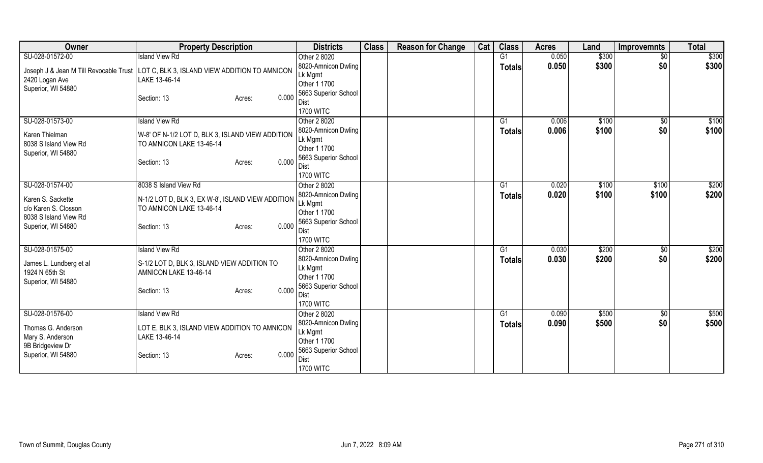| Owner                                         | <b>Property Description</b>                       | <b>Districts</b>             | <b>Class</b> | <b>Reason for Change</b> | Cat | <b>Class</b>    | <b>Acres</b> | Land  | <b>Improvemnts</b> | <b>Total</b> |
|-----------------------------------------------|---------------------------------------------------|------------------------------|--------------|--------------------------|-----|-----------------|--------------|-------|--------------------|--------------|
| SU-028-01572-00                               | <b>Island View Rd</b>                             | Other 2 8020                 |              |                          |     | $\overline{G1}$ | 0.050        | \$300 | $\sqrt{$0}$        | \$300        |
| Joseph J & Jean M Till Revocable Trust        | LOT C, BLK 3, ISLAND VIEW ADDITION TO AMNICON     | 8020-Amnicon Dwling          |              |                          |     | <b>Totals</b>   | 0.050        | \$300 | \$0                | \$300        |
| 2420 Logan Ave                                | LAKE 13-46-14                                     | Lk Mgmt                      |              |                          |     |                 |              |       |                    |              |
| Superior, WI 54880                            |                                                   | Other 1 1700                 |              |                          |     |                 |              |       |                    |              |
|                                               | 0.000<br>Section: 13<br>Acres:                    | 5663 Superior School         |              |                          |     |                 |              |       |                    |              |
|                                               |                                                   | Dist                         |              |                          |     |                 |              |       |                    |              |
|                                               |                                                   | <b>1700 WITC</b>             |              |                          |     |                 |              |       |                    |              |
| SU-028-01573-00                               | <b>Island View Rd</b>                             | Other 2 8020                 |              |                          |     | G1              | 0.006        | \$100 | \$0                | \$100        |
| Karen Thielman                                | W-8' OF N-1/2 LOT D, BLK 3, ISLAND VIEW ADDITION  | 8020-Amnicon Dwling          |              |                          |     | Totals          | 0.006        | \$100 | \$0                | \$100        |
| 8038 S Island View Rd                         | TO AMNICON LAKE 13-46-14                          | Lk Mgmt<br>Other 1 1700      |              |                          |     |                 |              |       |                    |              |
| Superior, WI 54880                            |                                                   | 5663 Superior School         |              |                          |     |                 |              |       |                    |              |
|                                               | 0.000<br>Section: 13<br>Acres:                    | Dist                         |              |                          |     |                 |              |       |                    |              |
|                                               |                                                   | <b>1700 WITC</b>             |              |                          |     |                 |              |       |                    |              |
| SU-028-01574-00                               | 8038 S Island View Rd                             | Other 2 8020                 |              |                          |     | G1              | 0.020        | \$100 | \$100              | \$200        |
|                                               |                                                   | 8020-Amnicon Dwling          |              |                          |     | <b>Totals</b>   | 0.020        | \$100 | \$100              | \$200        |
| Karen S. Sackette                             | N-1/2 LOT D, BLK 3, EX W-8', ISLAND VIEW ADDITION | Lk Mgmt                      |              |                          |     |                 |              |       |                    |              |
| c/o Karen S. Closson<br>8038 S Island View Rd | TO AMNICON LAKE 13-46-14                          | Other 1 1700                 |              |                          |     |                 |              |       |                    |              |
| Superior, WI 54880                            | 0.000<br>Section: 13<br>Acres:                    | 5663 Superior School         |              |                          |     |                 |              |       |                    |              |
|                                               |                                                   | Dist                         |              |                          |     |                 |              |       |                    |              |
|                                               |                                                   | <b>1700 WITC</b>             |              |                          |     |                 |              |       |                    |              |
| SU-028-01575-00                               | <b>Island View Rd</b>                             | Other 2 8020                 |              |                          |     | G1              | 0.030        | \$200 | $\sqrt{$0}$        | \$200        |
| James L. Lundberg et al                       | S-1/2 LOT D, BLK 3, ISLAND VIEW ADDITION TO       | 8020-Amnicon Dwling          |              |                          |     | <b>Totals</b>   | 0.030        | \$200 | \$0                | \$200        |
| 1924 N 65th St                                | AMNICON LAKE 13-46-14                             | Lk Mgmt                      |              |                          |     |                 |              |       |                    |              |
| Superior, WI 54880                            |                                                   | Other 1 1700                 |              |                          |     |                 |              |       |                    |              |
|                                               | 0.000<br>Section: 13<br>Acres:                    | 5663 Superior School<br>Dist |              |                          |     |                 |              |       |                    |              |
|                                               |                                                   | <b>1700 WITC</b>             |              |                          |     |                 |              |       |                    |              |
| SU-028-01576-00                               | <b>Island View Rd</b>                             | Other 2 8020                 |              |                          |     | G1              | 0.090        | \$500 | $\sqrt{$0}$        | \$500        |
|                                               |                                                   | 8020-Amnicon Dwling          |              |                          |     | <b>Totals</b>   | 0.090        | \$500 | \$0                | \$500        |
| Thomas G. Anderson                            | LOT E, BLK 3, ISLAND VIEW ADDITION TO AMNICON     | Lk Mgmt                      |              |                          |     |                 |              |       |                    |              |
| Mary S. Anderson                              | LAKE 13-46-14                                     | Other 1 1700                 |              |                          |     |                 |              |       |                    |              |
| 9B Bridgeview Dr                              |                                                   | 5663 Superior School         |              |                          |     |                 |              |       |                    |              |
| Superior, WI 54880                            | 0.000<br>Section: 13<br>Acres:                    | Dist                         |              |                          |     |                 |              |       |                    |              |
|                                               |                                                   | <b>1700 WITC</b>             |              |                          |     |                 |              |       |                    |              |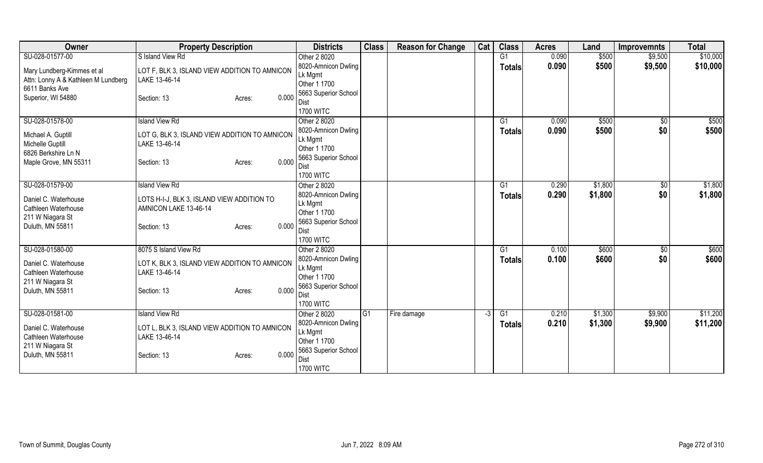| Owner                                   | <b>Property Description</b>                   | <b>Districts</b>             | <b>Class</b> | <b>Reason for Change</b> | Cat  | <b>Class</b>  | <b>Acres</b> | Land    | <b>Improvemnts</b> | <b>Total</b> |
|-----------------------------------------|-----------------------------------------------|------------------------------|--------------|--------------------------|------|---------------|--------------|---------|--------------------|--------------|
| SU-028-01577-00                         | S Island View Rd                              | Other 2 8020                 |              |                          |      | G1            | 0.090        | \$500   | \$9,500            | \$10,000     |
| Mary Lundberg-Kimmes et al              | LOT F, BLK 3, ISLAND VIEW ADDITION TO AMNICON | 8020-Amnicon Dwling          |              |                          |      | <b>Totals</b> | 0.090        | \$500   | \$9,500            | \$10,000     |
| Attn: Lonny A & Kathleen M Lundberg     | LAKE 13-46-14                                 | Lk Mgmt                      |              |                          |      |               |              |         |                    |              |
| 6611 Banks Ave                          |                                               | Other 1 1700                 |              |                          |      |               |              |         |                    |              |
| Superior, WI 54880                      | 0.000<br>Section: 13<br>Acres:                | 5663 Superior School         |              |                          |      |               |              |         |                    |              |
|                                         |                                               | Dist<br><b>1700 WITC</b>     |              |                          |      |               |              |         |                    |              |
| SU-028-01578-00                         | <b>Island View Rd</b>                         | Other 2 8020                 |              |                          |      | G1            | 0.090        | \$500   | $\sqrt{6}$         | \$500        |
|                                         |                                               | 8020-Amnicon Dwling          |              |                          |      | <b>Totals</b> | 0.090        | \$500   | \$0                | \$500        |
| Michael A. Guptill                      | LOT G, BLK 3, ISLAND VIEW ADDITION TO AMNICON | Lk Mgmt                      |              |                          |      |               |              |         |                    |              |
| Michelle Guptill                        | LAKE 13-46-14                                 | Other 1 1700                 |              |                          |      |               |              |         |                    |              |
| 6826 Berkshire Ln N                     |                                               | 5663 Superior School         |              |                          |      |               |              |         |                    |              |
| Maple Grove, MN 55311                   | 0.000<br>Section: 13<br>Acres:                | Dist                         |              |                          |      |               |              |         |                    |              |
|                                         |                                               | <b>1700 WITC</b>             |              |                          |      |               |              |         |                    |              |
| SU-028-01579-00                         | <b>Island View Rd</b>                         | Other 2 8020                 |              |                          |      | G1            | 0.290        | \$1,800 | $\sqrt[6]{3}$      | \$1,800      |
| Daniel C. Waterhouse                    | LOTS H-I-J, BLK 3, ISLAND VIEW ADDITION TO    | 8020-Amnicon Dwling          |              |                          |      | Totals        | 0.290        | \$1,800 | \$0                | \$1,800      |
| Cathleen Waterhouse                     | AMNICON LAKE 13-46-14                         | Lk Mgmt                      |              |                          |      |               |              |         |                    |              |
| 211 W Niagara St                        |                                               | Other 1 1700                 |              |                          |      |               |              |         |                    |              |
| Duluth, MN 55811                        | 0.000<br>Section: 13<br>Acres:                | 5663 Superior School<br>Dist |              |                          |      |               |              |         |                    |              |
|                                         |                                               | <b>1700 WITC</b>             |              |                          |      |               |              |         |                    |              |
| SU-028-01580-00                         | 8075 S Island View Rd                         | Other 2 8020                 |              |                          |      | G1            | 0.100        | \$600   | $\sqrt{6}$         | \$600        |
|                                         |                                               | 8020-Amnicon Dwling          |              |                          |      | <b>Totals</b> | 0.100        | \$600   | \$0                | \$600        |
| Daniel C. Waterhouse                    | LOT K, BLK 3, ISLAND VIEW ADDITION TO AMNICON | Lk Mgmt                      |              |                          |      |               |              |         |                    |              |
| Cathleen Waterhouse<br>211 W Niagara St | LAKE 13-46-14                                 | Other 1 1700                 |              |                          |      |               |              |         |                    |              |
| Duluth, MN 55811                        | 0.000<br>Section: 13<br>Acres:                | 5663 Superior School         |              |                          |      |               |              |         |                    |              |
|                                         |                                               | Dist                         |              |                          |      |               |              |         |                    |              |
|                                         |                                               | <b>1700 WITC</b>             |              |                          |      |               |              |         |                    |              |
| SU-028-01581-00                         | <b>Island View Rd</b>                         | Other 2 8020                 | IG1          | Fire damage              | $-3$ | G1            | 0.210        | \$1,300 | \$9,900            | \$11,200     |
| Daniel C. Waterhouse                    | LOT L, BLK 3, ISLAND VIEW ADDITION TO AMNICON | 8020-Amnicon Dwling          |              |                          |      | <b>Totals</b> | 0.210        | \$1,300 | \$9,900            | \$11,200     |
| Cathleen Waterhouse                     | LAKE 13-46-14                                 | Lk Mgmt<br>Other 1 1700      |              |                          |      |               |              |         |                    |              |
| 211 W Niagara St                        |                                               | 5663 Superior School         |              |                          |      |               |              |         |                    |              |
| Duluth, MN 55811                        | 0.000<br>Section: 13<br>Acres:                | Dist                         |              |                          |      |               |              |         |                    |              |
|                                         |                                               | <b>1700 WITC</b>             |              |                          |      |               |              |         |                    |              |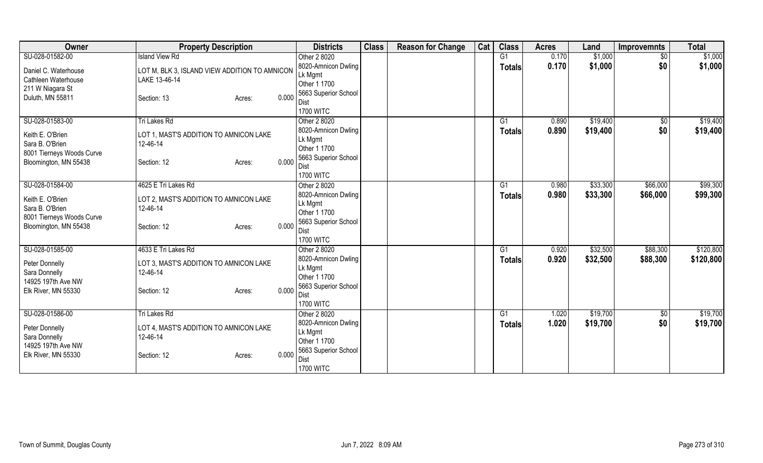| Owner                           | <b>Property Description</b>                        | <b>Districts</b>                    | <b>Class</b> | <b>Reason for Change</b> | Cat | <b>Class</b>  | <b>Acres</b> | Land     | <b>Improvemnts</b> | <b>Total</b> |
|---------------------------------|----------------------------------------------------|-------------------------------------|--------------|--------------------------|-----|---------------|--------------|----------|--------------------|--------------|
| SU-028-01582-00                 | <b>Island View Rd</b>                              | Other 2 8020                        |              |                          |     | G1            | 0.170        | \$1,000  | $\sqrt{$0}$        | \$1,000      |
| Daniel C. Waterhouse            | LOT M, BLK 3, ISLAND VIEW ADDITION TO AMNICON      | 8020-Amnicon Dwling                 |              |                          |     | <b>Totals</b> | 0.170        | \$1,000  | \$0                | \$1,000      |
| Cathleen Waterhouse             | LAKE 13-46-14                                      | Lk Mgmt                             |              |                          |     |               |              |          |                    |              |
| 211 W Niagara St                |                                                    | Other 1 1700                        |              |                          |     |               |              |          |                    |              |
| Duluth, MN 55811                | 0.000<br>Section: 13<br>Acres:                     | 5663 Superior School                |              |                          |     |               |              |          |                    |              |
|                                 |                                                    | <b>Dist</b>                         |              |                          |     |               |              |          |                    |              |
|                                 |                                                    | <b>1700 WITC</b>                    |              |                          |     |               | 0.890        |          |                    | \$19,400     |
| SU-028-01583-00                 | Tri Lakes Rd                                       | Other 2 8020<br>8020-Amnicon Dwling |              |                          |     | G1            | 0.890        | \$19,400 | \$0<br>\$0         |              |
| Keith E. O'Brien                | LOT 1, MAST'S ADDITION TO AMNICON LAKE             | Lk Mgmt                             |              |                          |     | <b>Totals</b> |              | \$19,400 |                    | \$19,400     |
| Sara B. O'Brien                 | 12-46-14                                           | Other 1 1700                        |              |                          |     |               |              |          |                    |              |
| 8001 Tierneys Woods Curve       |                                                    | 5663 Superior School                |              |                          |     |               |              |          |                    |              |
| Bloomington, MN 55438           | 0.000<br>Section: 12<br>Acres:                     | Dist                                |              |                          |     |               |              |          |                    |              |
|                                 |                                                    | <b>1700 WITC</b>                    |              |                          |     |               |              |          |                    |              |
| SU-028-01584-00                 | 4625 E Tri Lakes Rd                                | Other 2 8020                        |              |                          |     | G1            | 0.980        | \$33,300 | \$66,000           | \$99,300     |
| Keith E. O'Brien                | LOT 2, MAST'S ADDITION TO AMNICON LAKE             | 8020-Amnicon Dwling                 |              |                          |     | <b>Totals</b> | 0.980        | \$33,300 | \$66,000           | \$99,300     |
| Sara B. O'Brien                 | 12-46-14                                           | Lk Mgmt                             |              |                          |     |               |              |          |                    |              |
| 8001 Tierneys Woods Curve       |                                                    | Other 1 1700                        |              |                          |     |               |              |          |                    |              |
| Bloomington, MN 55438           | 0.000<br>Section: 12<br>Acres:                     | 5663 Superior School                |              |                          |     |               |              |          |                    |              |
|                                 |                                                    | <b>Dist</b>                         |              |                          |     |               |              |          |                    |              |
|                                 |                                                    | <b>1700 WITC</b>                    |              |                          |     |               |              |          |                    |              |
| SU-028-01585-00                 | 4633 E Tri Lakes Rd                                | Other 2 8020                        |              |                          |     | G1            | 0.920        | \$32,500 | \$88,300           | \$120,800    |
| Peter Donnelly                  | LOT 3, MAST'S ADDITION TO AMNICON LAKE             | 8020-Amnicon Dwling                 |              |                          |     | Totals        | 0.920        | \$32,500 | \$88,300           | \$120,800    |
| Sara Donnelly                   | 12-46-14                                           | Lk Mgmt<br>Other 1 1700             |              |                          |     |               |              |          |                    |              |
| 14925 197th Ave NW              |                                                    | 5663 Superior School                |              |                          |     |               |              |          |                    |              |
| Elk River, MN 55330             | 0.000<br>Section: 12<br>Acres:                     | Dist                                |              |                          |     |               |              |          |                    |              |
|                                 |                                                    | <b>1700 WITC</b>                    |              |                          |     |               |              |          |                    |              |
| SU-028-01586-00                 | <b>Tri Lakes Rd</b>                                | Other 2 8020                        |              |                          |     | G1            | 1.020        | \$19,700 | \$0                | \$19,700     |
|                                 |                                                    | 8020-Amnicon Dwling                 |              |                          |     | <b>Totals</b> | 1.020        | \$19,700 | \$0                | \$19,700     |
| Peter Donnelly<br>Sara Donnelly | LOT 4, MAST'S ADDITION TO AMNICON LAKE<br>12-46-14 | Lk Mgmt                             |              |                          |     |               |              |          |                    |              |
| 14925 197th Ave NW              |                                                    | Other 1 1700                        |              |                          |     |               |              |          |                    |              |
| Elk River, MN 55330             | 0.000<br>Section: 12<br>Acres:                     | 5663 Superior School                |              |                          |     |               |              |          |                    |              |
|                                 |                                                    | Dist                                |              |                          |     |               |              |          |                    |              |
|                                 |                                                    | <b>1700 WITC</b>                    |              |                          |     |               |              |          |                    |              |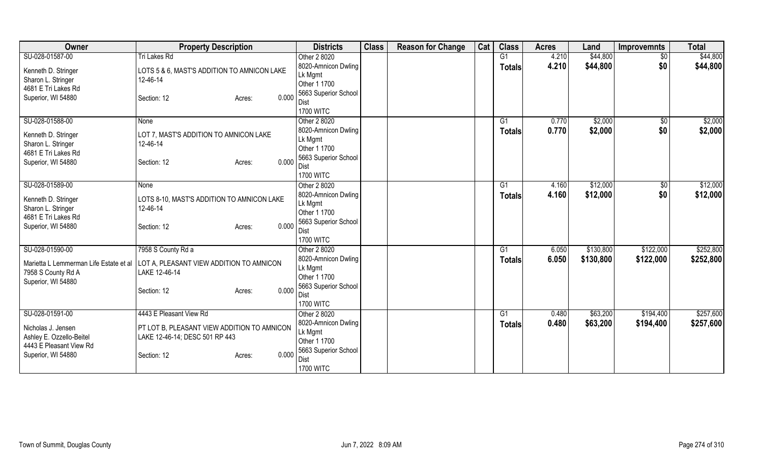| Owner                                  | <b>Property Description</b>                 | <b>Districts</b>        | <b>Class</b> | <b>Reason for Change</b> | Cat | <b>Class</b>  | <b>Acres</b> | Land      | <b>Improvemnts</b> | <b>Total</b> |
|----------------------------------------|---------------------------------------------|-------------------------|--------------|--------------------------|-----|---------------|--------------|-----------|--------------------|--------------|
| SU-028-01587-00                        | Tri Lakes Rd                                | Other 2 8020            |              |                          |     | G1            | 4.210        | \$44,800  | $\overline{50}$    | \$44,800     |
| Kenneth D. Stringer                    | LOTS 5 & 6, MAST'S ADDITION TO AMNICON LAKE | 8020-Amnicon Dwling     |              |                          |     | <b>Totals</b> | 4.210        | \$44,800  | \$0                | \$44,800     |
| Sharon L. Stringer                     | 12-46-14                                    | Lk Mgmt                 |              |                          |     |               |              |           |                    |              |
| 4681 E Tri Lakes Rd                    |                                             | Other 1 1700            |              |                          |     |               |              |           |                    |              |
| Superior, WI 54880                     | 0.000<br>Section: 12<br>Acres:              | 5663 Superior School    |              |                          |     |               |              |           |                    |              |
|                                        |                                             | Dist                    |              |                          |     |               |              |           |                    |              |
|                                        |                                             | <b>1700 WITC</b>        |              |                          |     |               |              |           |                    |              |
| SU-028-01588-00                        | None                                        | Other 2 8020            |              |                          |     | G1            | 0.770        | \$2,000   | \$0                | \$2,000      |
| Kenneth D. Stringer                    | LOT 7, MAST'S ADDITION TO AMNICON LAKE      | 8020-Amnicon Dwling     |              |                          |     | <b>Totals</b> | 0.770        | \$2,000   | \$0                | \$2,000      |
| Sharon L. Stringer                     | 12-46-14                                    | Lk Mgmt                 |              |                          |     |               |              |           |                    |              |
| 4681 E Tri Lakes Rd                    |                                             | Other 1 1700            |              |                          |     |               |              |           |                    |              |
| Superior, WI 54880                     | 0.000<br>Section: 12<br>Acres:              | 5663 Superior School    |              |                          |     |               |              |           |                    |              |
|                                        |                                             | Dist                    |              |                          |     |               |              |           |                    |              |
|                                        |                                             | <b>1700 WITC</b>        |              |                          |     |               |              |           |                    |              |
| SU-028-01589-00                        | None                                        | Other 2 8020            |              |                          |     | G1            | 4.160        | \$12,000  | \$0                | \$12,000     |
| Kenneth D. Stringer                    | LOTS 8-10, MAST'S ADDITION TO AMNICON LAKE  | 8020-Amnicon Dwling     |              |                          |     | <b>Totals</b> | 4.160        | \$12,000  | \$0                | \$12,000     |
| Sharon L. Stringer                     | 12-46-14                                    | Lk Mgmt<br>Other 1 1700 |              |                          |     |               |              |           |                    |              |
| 4681 E Tri Lakes Rd                    |                                             | 5663 Superior School    |              |                          |     |               |              |           |                    |              |
| Superior, WI 54880                     | 0.000<br>Section: 12<br>Acres:              | Dist                    |              |                          |     |               |              |           |                    |              |
|                                        |                                             | <b>1700 WITC</b>        |              |                          |     |               |              |           |                    |              |
| SU-028-01590-00                        | 7958 S County Rd a                          | Other 2 8020            |              |                          |     | G1            | 6.050        | \$130,800 | \$122,000          | \$252,800    |
|                                        |                                             | 8020-Amnicon Dwling     |              |                          |     | <b>Totals</b> | 6.050        | \$130,800 | \$122,000          | \$252,800    |
| Marietta L Lemmerman Life Estate et al | LOT A, PLEASANT VIEW ADDITION TO AMNICON    | Lk Mgmt                 |              |                          |     |               |              |           |                    |              |
| 7958 S County Rd A                     | LAKE 12-46-14                               | Other 1 1700            |              |                          |     |               |              |           |                    |              |
| Superior, WI 54880                     |                                             | 5663 Superior School    |              |                          |     |               |              |           |                    |              |
|                                        | 0.000<br>Section: 12<br>Acres:              | Dist                    |              |                          |     |               |              |           |                    |              |
|                                        |                                             | <b>1700 WITC</b>        |              |                          |     |               |              |           |                    |              |
| SU-028-01591-00                        | 4443 E Pleasant View Rd                     | Other 2 8020            |              |                          |     | G1            | 0.480        | \$63,200  | \$194,400          | \$257,600    |
|                                        |                                             | 8020-Amnicon Dwling     |              |                          |     | <b>Totals</b> | 0.480        | \$63,200  | \$194,400          | \$257,600    |
| Nicholas J. Jensen                     | PT LOT B, PLEASANT VIEW ADDITION TO AMNICON | Lk Mgmt                 |              |                          |     |               |              |           |                    |              |
| Ashley E. Ozzello-Beitel               | LAKE 12-46-14; DESC 501 RP 443              | Other 1 1700            |              |                          |     |               |              |           |                    |              |
| 4443 E Pleasant View Rd                |                                             | 5663 Superior School    |              |                          |     |               |              |           |                    |              |
| Superior, WI 54880                     | 0.000<br>Section: 12<br>Acres:              | Dist                    |              |                          |     |               |              |           |                    |              |
|                                        |                                             | <b>1700 WITC</b>        |              |                          |     |               |              |           |                    |              |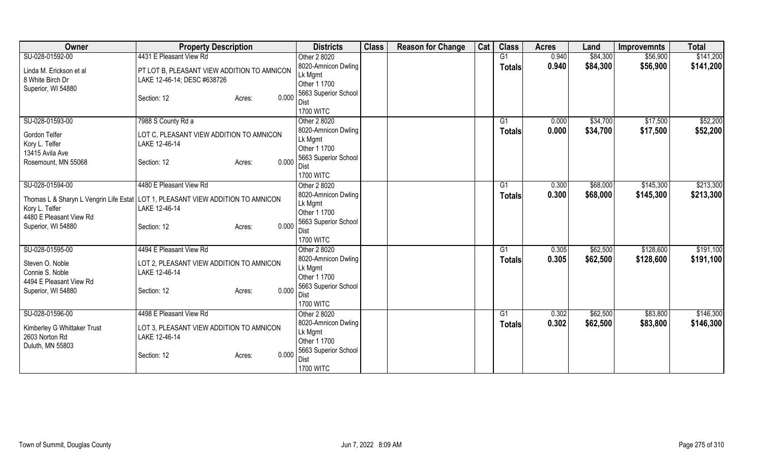| Owner                             | <b>Property Description</b>                                                       | <b>Districts</b>                    | <b>Class</b> | <b>Reason for Change</b> | Cat | <b>Class</b>  | <b>Acres</b>   | Land     | <b>Improvemnts</b> | <b>Total</b> |
|-----------------------------------|-----------------------------------------------------------------------------------|-------------------------------------|--------------|--------------------------|-----|---------------|----------------|----------|--------------------|--------------|
| SU-028-01592-00                   | 4431 E Pleasant View Rd                                                           | Other 2 8020                        |              |                          |     | G1            | 0.940          | \$84,300 | \$56,900           | \$141,200    |
| Linda M. Erickson et al           | PT LOT B, PLEASANT VIEW ADDITION TO AMNICON                                       | 8020-Amnicon Dwling                 |              |                          |     | <b>Totals</b> | 0.940          | \$84,300 | \$56,900           | \$141,200    |
| 8 White Birch Dr                  | LAKE 12-46-14; DESC #638726                                                       | Lk Mgmt                             |              |                          |     |               |                |          |                    |              |
| Superior, WI 54880                |                                                                                   | Other 1 1700                        |              |                          |     |               |                |          |                    |              |
|                                   | 0.000<br>Section: 12<br>Acres:                                                    | 5663 Superior School<br>Dist        |              |                          |     |               |                |          |                    |              |
|                                   |                                                                                   | <b>1700 WITC</b>                    |              |                          |     |               |                |          |                    |              |
| SU-028-01593-00                   | 7988 S County Rd a                                                                | Other 2 8020                        |              |                          |     | G1            | 0.000          | \$34,700 | \$17,500           | \$52,200     |
|                                   |                                                                                   | 8020-Amnicon Dwling                 |              |                          |     | <b>Totals</b> | 0.000          | \$34,700 | \$17,500           | \$52,200     |
| Gordon Telfer                     | LOT C, PLEASANT VIEW ADDITION TO AMNICON                                          | Lk Mgmt                             |              |                          |     |               |                |          |                    |              |
| Kory L. Telfer<br>13415 Avila Ave | LAKE 12-46-14                                                                     | Other 1 1700                        |              |                          |     |               |                |          |                    |              |
| Rosemount, MN 55068               | 0.000<br>Section: 12<br>Acres:                                                    | 5663 Superior School                |              |                          |     |               |                |          |                    |              |
|                                   |                                                                                   | Dist                                |              |                          |     |               |                |          |                    |              |
|                                   |                                                                                   | <b>1700 WITC</b>                    |              |                          |     |               |                |          |                    |              |
| SU-028-01594-00                   | 4480 E Pleasant View Rd                                                           | Other 2 8020                        |              |                          |     | G1            | 0.300          | \$68,000 | \$145,300          | \$213,300    |
|                                   | Thomas L & Sharyn L Vengrin Life Estat   LOT 1, PLEASANT VIEW ADDITION TO AMNICON | 8020-Amnicon Dwling                 |              |                          |     | <b>Totals</b> | 0.300          | \$68,000 | \$145,300          | \$213,300    |
| Kory L. Telfer                    | LAKE 12-46-14                                                                     | Lk Mgmt<br>Other 1 1700             |              |                          |     |               |                |          |                    |              |
| 4480 E Pleasant View Rd           |                                                                                   | 5663 Superior School                |              |                          |     |               |                |          |                    |              |
| Superior, WI 54880                | 0.000<br>Section: 12<br>Acres:                                                    | Dist                                |              |                          |     |               |                |          |                    |              |
|                                   |                                                                                   | <b>1700 WITC</b>                    |              |                          |     |               |                |          |                    |              |
| SU-028-01595-00                   | 4494 E Pleasant View Rd                                                           | Other 2 8020                        |              |                          |     | G1            | 0.305          | \$62,500 | \$128,600          | \$191,100    |
| Steven O. Noble                   | LOT 2, PLEASANT VIEW ADDITION TO AMNICON                                          | 8020-Amnicon Dwling                 |              |                          |     | <b>Totals</b> | 0.305          | \$62,500 | \$128,600          | \$191,100    |
| Connie S. Noble                   | LAKE 12-46-14                                                                     | Lk Mgmt                             |              |                          |     |               |                |          |                    |              |
| 4494 E Pleasant View Rd           |                                                                                   | Other 1 1700                        |              |                          |     |               |                |          |                    |              |
| Superior, WI 54880                | 0.000<br>Section: 12<br>Acres:                                                    | 5663 Superior School                |              |                          |     |               |                |          |                    |              |
|                                   |                                                                                   | Dist                                |              |                          |     |               |                |          |                    |              |
| SU-028-01596-00                   | 4498 E Pleasant View Rd                                                           | <b>1700 WITC</b>                    |              |                          |     |               |                | \$62,500 | \$83,800           | \$146,300    |
|                                   |                                                                                   | Other 2 8020<br>8020-Amnicon Dwling |              |                          |     | G1            | 0.302<br>0.302 |          |                    |              |
| Kimberley G Whittaker Trust       | LOT 3, PLEASANT VIEW ADDITION TO AMNICON                                          | Lk Mgmt                             |              |                          |     | <b>Totals</b> |                | \$62,500 | \$83,800           | \$146,300    |
| 2603 Norton Rd                    | LAKE 12-46-14                                                                     | Other 1 1700                        |              |                          |     |               |                |          |                    |              |
| Duluth, MN 55803                  |                                                                                   | 5663 Superior School                |              |                          |     |               |                |          |                    |              |
|                                   | 0.000<br>Section: 12<br>Acres:                                                    | Dist                                |              |                          |     |               |                |          |                    |              |
|                                   |                                                                                   | <b>1700 WITC</b>                    |              |                          |     |               |                |          |                    |              |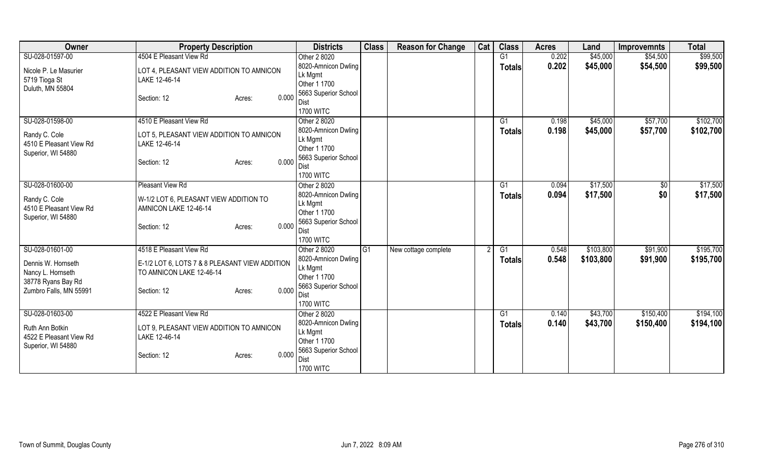| Owner                                   | <b>Property Description</b>                    | <b>Districts</b>             | <b>Class</b> | <b>Reason for Change</b> | Cat | <b>Class</b>  | <b>Acres</b> | Land      | <b>Improvemnts</b> | <b>Total</b> |
|-----------------------------------------|------------------------------------------------|------------------------------|--------------|--------------------------|-----|---------------|--------------|-----------|--------------------|--------------|
| SU-028-01597-00                         | 4504 E Pleasant View Rd                        | Other 2 8020                 |              |                          |     | G1            | 0.202        | \$45,000  | \$54,500           | \$99,500     |
| Nicole P. Le Masurier                   | LOT 4, PLEASANT VIEW ADDITION TO AMNICON       | 8020-Amnicon Dwling          |              |                          |     | <b>Totals</b> | 0.202        | \$45,000  | \$54,500           | \$99,500     |
| 5719 Tioga St                           | LAKE 12-46-14                                  | Lk Mgmt                      |              |                          |     |               |              |           |                    |              |
| Duluth, MN 55804                        |                                                | Other 1 1700                 |              |                          |     |               |              |           |                    |              |
|                                         | 0.000<br>Section: 12<br>Acres:                 | 5663 Superior School         |              |                          |     |               |              |           |                    |              |
|                                         |                                                | Dist<br><b>1700 WITC</b>     |              |                          |     |               |              |           |                    |              |
| SU-028-01598-00                         | 4510 E Pleasant View Rd                        | Other 2 8020                 |              |                          |     | G1            | 0.198        | \$45,000  | \$57,700           | \$102,700    |
|                                         |                                                | 8020-Amnicon Dwling          |              |                          |     | <b>Totals</b> | 0.198        | \$45,000  | \$57,700           | \$102,700    |
| Randy C. Cole                           | LOT 5, PLEASANT VIEW ADDITION TO AMNICON       | Lk Mgmt                      |              |                          |     |               |              |           |                    |              |
| 4510 E Pleasant View Rd                 | LAKE 12-46-14                                  | Other 1 1700                 |              |                          |     |               |              |           |                    |              |
| Superior, WI 54880                      |                                                | 5663 Superior School         |              |                          |     |               |              |           |                    |              |
|                                         | 0.000<br>Section: 12<br>Acres:                 | Dist                         |              |                          |     |               |              |           |                    |              |
|                                         |                                                | <b>1700 WITC</b>             |              |                          |     |               |              |           |                    |              |
| SU-028-01600-00                         | Pleasant View Rd                               | Other 2 8020                 |              |                          |     | G1            | 0.094        | \$17,500  | $\sqrt[6]{30}$     | \$17,500     |
| Randy C. Cole                           | W-1/2 LOT 6, PLEASANT VIEW ADDITION TO         | 8020-Amnicon Dwling          |              |                          |     | Totals        | 0.094        | \$17,500  | \$0                | \$17,500     |
| 4510 E Pleasant View Rd                 | AMNICON LAKE 12-46-14                          | Lk Mgmt                      |              |                          |     |               |              |           |                    |              |
| Superior, WI 54880                      |                                                | Other 1 1700                 |              |                          |     |               |              |           |                    |              |
|                                         | 0.000<br>Section: 12<br>Acres:                 | 5663 Superior School<br>Dist |              |                          |     |               |              |           |                    |              |
|                                         |                                                | <b>1700 WITC</b>             |              |                          |     |               |              |           |                    |              |
| SU-028-01601-00                         | 4518 E Pleasant View Rd                        | Other 2 8020                 | IG1          | New cottage complete     |     | G1            | 0.548        | \$103,800 | \$91,900           | \$195,700    |
|                                         |                                                | 8020-Amnicon Dwling          |              |                          |     | <b>Totals</b> | 0.548        | \$103,800 | \$91,900           | \$195,700    |
| Dennis W. Hornseth                      | E-1/2 LOT 6, LOTS 7 & 8 PLEASANT VIEW ADDITION | Lk Mgmt                      |              |                          |     |               |              |           |                    |              |
| Nancy L. Hornseth<br>38778 Ryans Bay Rd | TO AMNICON LAKE 12-46-14                       | Other 1 1700                 |              |                          |     |               |              |           |                    |              |
| Zumbro Falls, MN 55991                  | 0.000<br>Section: 12<br>Acres:                 | 5663 Superior School         |              |                          |     |               |              |           |                    |              |
|                                         |                                                | <b>Dist</b>                  |              |                          |     |               |              |           |                    |              |
|                                         |                                                | <b>1700 WITC</b>             |              |                          |     |               |              |           |                    |              |
| SU-028-01603-00                         | 4522 E Pleasant View Rd                        | Other 2 8020                 |              |                          |     | G1            | 0.140        | \$43,700  | \$150,400          | \$194,100    |
| Ruth Ann Botkin                         | LOT 9, PLEASANT VIEW ADDITION TO AMNICON       | 8020-Amnicon Dwling          |              |                          |     | <b>Totals</b> | 0.140        | \$43,700  | \$150,400          | \$194,100    |
| 4522 E Pleasant View Rd                 | LAKE 12-46-14                                  | Lk Mgmt<br>Other 1 1700      |              |                          |     |               |              |           |                    |              |
| Superior, WI 54880                      |                                                | 5663 Superior School         |              |                          |     |               |              |           |                    |              |
|                                         | 0.000<br>Section: 12<br>Acres:                 | Dist                         |              |                          |     |               |              |           |                    |              |
|                                         |                                                | <b>1700 WITC</b>             |              |                          |     |               |              |           |                    |              |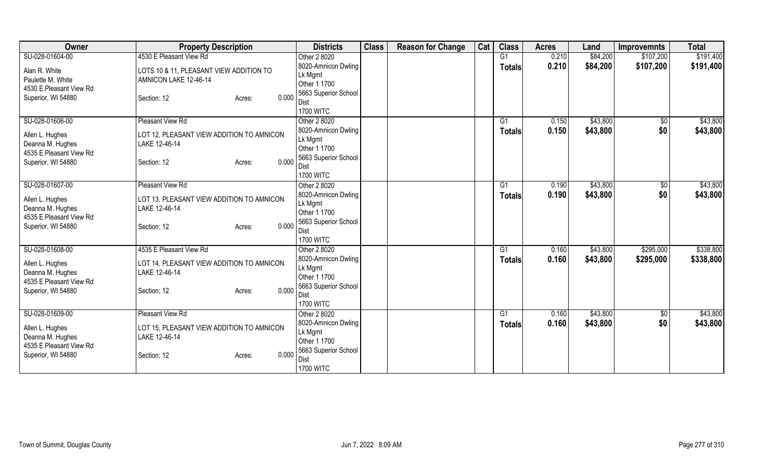| Owner                               | <b>Property Description</b>                                | <b>Districts</b>         | <b>Class</b> | <b>Reason for Change</b> | Cat | <b>Class</b>  | <b>Acres</b> | Land     | <b>Improvemnts</b> | <b>Total</b> |
|-------------------------------------|------------------------------------------------------------|--------------------------|--------------|--------------------------|-----|---------------|--------------|----------|--------------------|--------------|
| SU-028-01604-00                     | 4530 E Pleasant View Rd                                    | Other 2 8020             |              |                          |     | G1            | 0.210        | \$84,200 | \$107,200          | \$191,400    |
| Alan R. White                       | LOTS 10 & 11, PLEASANT VIEW ADDITION TO                    | 8020-Amnicon Dwling      |              |                          |     | <b>Totals</b> | 0.210        | \$84,200 | \$107,200          | \$191,400    |
| Paulette M. White                   | AMNICON LAKE 12-46-14                                      | Lk Mgmt                  |              |                          |     |               |              |          |                    |              |
| 4530 E Pleasant View Rd             |                                                            | Other 1 1700             |              |                          |     |               |              |          |                    |              |
| Superior, WI 54880                  | 0.000<br>Section: 12<br>Acres:                             | 5663 Superior School     |              |                          |     |               |              |          |                    |              |
|                                     |                                                            | Dist<br><b>1700 WITC</b> |              |                          |     |               |              |          |                    |              |
| SU-028-01606-00                     | Pleasant View Rd                                           | Other 2 8020             |              |                          |     | G1            | 0.150        | \$43,800 | $\sqrt{6}$         | \$43,800     |
|                                     |                                                            | 8020-Amnicon Dwling      |              |                          |     |               | 0.150        | \$43,800 | \$0                | \$43,800     |
| Allen L. Hughes                     | LOT 12, PLEASANT VIEW ADDITION TO AMNICON                  | Lk Mgmt                  |              |                          |     | <b>Totals</b> |              |          |                    |              |
| Deanna M. Hughes                    | LAKE 12-46-14                                              | Other 1 1700             |              |                          |     |               |              |          |                    |              |
| 4535 E Pleasant View Rd             |                                                            | 5663 Superior School     |              |                          |     |               |              |          |                    |              |
| Superior, WI 54880                  | 0.000<br>Section: 12<br>Acres:                             | Dist                     |              |                          |     |               |              |          |                    |              |
|                                     |                                                            | <b>1700 WITC</b>         |              |                          |     |               |              |          |                    |              |
| SU-028-01607-00                     | Pleasant View Rd                                           | Other 2 8020             |              |                          |     | G1            | 0.190        | \$43,800 | $\sqrt[6]{3}$      | \$43,800     |
|                                     |                                                            | 8020-Amnicon Dwling      |              |                          |     | <b>Totals</b> | 0.190        | \$43,800 | \$0                | \$43,800     |
| Allen L. Hughes<br>Deanna M. Hughes | LOT 13, PLEASANT VIEW ADDITION TO AMNICON<br>LAKE 12-46-14 | Lk Mgmt                  |              |                          |     |               |              |          |                    |              |
| 4535 E Pleasant View Rd             |                                                            | Other 1 1700             |              |                          |     |               |              |          |                    |              |
| Superior, WI 54880                  | 0.000<br>Section: 12<br>Acres:                             | 5663 Superior School     |              |                          |     |               |              |          |                    |              |
|                                     |                                                            | <b>Dist</b>              |              |                          |     |               |              |          |                    |              |
|                                     |                                                            | <b>1700 WITC</b>         |              |                          |     |               |              |          |                    |              |
| SU-028-01608-00                     | 4535 E Pleasant View Rd                                    | Other 2 8020             |              |                          |     | G1            | 0.160        | \$43,800 | \$295,000          | \$338,800    |
| Allen L. Hughes                     | LOT 14, PLEASANT VIEW ADDITION TO AMNICON                  | 8020-Amnicon Dwling      |              |                          |     | <b>Totals</b> | 0.160        | \$43,800 | \$295,000          | \$338,800    |
| Deanna M. Hughes                    | LAKE 12-46-14                                              | Lk Mgmt<br>Other 1 1700  |              |                          |     |               |              |          |                    |              |
| 4535 E Pleasant View Rd             |                                                            | 5663 Superior School     |              |                          |     |               |              |          |                    |              |
| Superior, WI 54880                  | 0.000<br>Section: 12<br>Acres:                             | Dist                     |              |                          |     |               |              |          |                    |              |
|                                     |                                                            | <b>1700 WITC</b>         |              |                          |     |               |              |          |                    |              |
| SU-028-01609-00                     | Pleasant View Rd                                           | Other 2 8020             |              |                          |     | G1            | 0.160        | \$43,800 | \$0                | \$43,800     |
|                                     |                                                            | 8020-Amnicon Dwling      |              |                          |     | Totals        | 0.160        | \$43,800 | \$0                | \$43,800     |
| Allen L. Hughes                     | LOT 15, PLEASANT VIEW ADDITION TO AMNICON                  | Lk Mgmt                  |              |                          |     |               |              |          |                    |              |
| Deanna M. Hughes                    | LAKE 12-46-14                                              | Other 1 1700             |              |                          |     |               |              |          |                    |              |
| 4535 E Pleasant View Rd             |                                                            | 5663 Superior School     |              |                          |     |               |              |          |                    |              |
| Superior, WI 54880                  | 0.000<br>Section: 12<br>Acres:                             | <b>Dist</b>              |              |                          |     |               |              |          |                    |              |
|                                     |                                                            | <b>1700 WITC</b>         |              |                          |     |               |              |          |                    |              |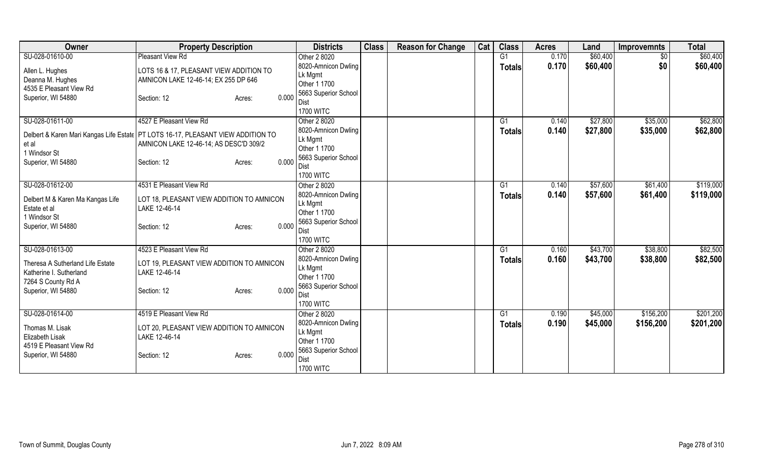| Owner                            | <b>Property Description</b>                                                        | <b>Districts</b>        | <b>Class</b> | <b>Reason for Change</b> | Cat | <b>Class</b>   | <b>Acres</b> | Land     | <b>Improvemnts</b> | <b>Total</b> |
|----------------------------------|------------------------------------------------------------------------------------|-------------------------|--------------|--------------------------|-----|----------------|--------------|----------|--------------------|--------------|
| SU-028-01610-00                  | Pleasant View Rd                                                                   | Other 2 8020            |              |                          |     | G <sub>1</sub> | 0.170        | \$60,400 | $\overline{50}$    | \$60,400     |
| Allen L. Hughes                  | LOTS 16 & 17, PLEASANT VIEW ADDITION TO                                            | 8020-Amnicon Dwling     |              |                          |     | <b>Totals</b>  | 0.170        | \$60,400 | \$0                | \$60,400     |
| Deanna M. Hughes                 | AMNICON LAKE 12-46-14; EX 255 DP 646                                               | Lk Mgmt                 |              |                          |     |                |              |          |                    |              |
| 4535 E Pleasant View Rd          |                                                                                    | Other 1 1700            |              |                          |     |                |              |          |                    |              |
| Superior, WI 54880               | 0.000<br>Section: 12<br>Acres:                                                     | 5663 Superior School    |              |                          |     |                |              |          |                    |              |
|                                  |                                                                                    | Dist                    |              |                          |     |                |              |          |                    |              |
|                                  |                                                                                    | <b>1700 WITC</b>        |              |                          |     |                |              |          |                    |              |
| SU-028-01611-00                  | 4527 E Pleasant View Rd                                                            | Other 2 8020            |              |                          |     | G1             | 0.140        | \$27,800 | \$35,000           | \$62,800     |
|                                  | Delbert & Karen Mari Kangas Life Estate   PT LOTS 16-17, PLEASANT VIEW ADDITION TO | 8020-Amnicon Dwling     |              |                          |     | <b>Totals</b>  | 0.140        | \$27,800 | \$35,000           | \$62,800     |
| et al                            | AMNICON LAKE 12-46-14; AS DESC'D 309/2                                             | Lk Mgmt<br>Other 1 1700 |              |                          |     |                |              |          |                    |              |
| 1 Windsor St                     |                                                                                    | 5663 Superior School    |              |                          |     |                |              |          |                    |              |
| Superior, WI 54880               | 0.000<br>Section: 12<br>Acres:                                                     | <b>Dist</b>             |              |                          |     |                |              |          |                    |              |
|                                  |                                                                                    | <b>1700 WITC</b>        |              |                          |     |                |              |          |                    |              |
| SU-028-01612-00                  | 4531 E Pleasant View Rd                                                            | Other 2 8020            |              |                          |     | G <sub>1</sub> | 0.140        | \$57,600 | \$61,400           | \$119,000    |
|                                  |                                                                                    | 8020-Amnicon Dwling     |              |                          |     | Totals         | 0.140        | \$57,600 | \$61,400           | \$119,000    |
| Delbert M & Karen Ma Kangas Life | LOT 18, PLEASANT VIEW ADDITION TO AMNICON                                          | Lk Mgmt                 |              |                          |     |                |              |          |                    |              |
| Estate et al                     | LAKE 12-46-14                                                                      | Other 1 1700            |              |                          |     |                |              |          |                    |              |
| 1 Windsor St                     |                                                                                    | 5663 Superior School    |              |                          |     |                |              |          |                    |              |
| Superior, WI 54880               | 0.000<br>Section: 12<br>Acres:                                                     | Dist                    |              |                          |     |                |              |          |                    |              |
|                                  |                                                                                    | <b>1700 WITC</b>        |              |                          |     |                |              |          |                    |              |
| SU-028-01613-00                  | 4523 E Pleasant View Rd                                                            | Other 2 8020            |              |                          |     | G1             | 0.160        | \$43,700 | \$38,800           | \$82,500     |
| Theresa A Sutherland Life Estate | LOT 19, PLEASANT VIEW ADDITION TO AMNICON                                          | 8020-Amnicon Dwling     |              |                          |     | <b>Totals</b>  | 0.160        | \$43,700 | \$38,800           | \$82,500     |
| Katherine I. Sutherland          | LAKE 12-46-14                                                                      | Lk Mgmt                 |              |                          |     |                |              |          |                    |              |
| 7264 S County Rd A               |                                                                                    | Other 1 1700            |              |                          |     |                |              |          |                    |              |
| Superior, WI 54880               | 0.000<br>Section: 12<br>Acres:                                                     | 5663 Superior School    |              |                          |     |                |              |          |                    |              |
|                                  |                                                                                    | Dist                    |              |                          |     |                |              |          |                    |              |
|                                  |                                                                                    | <b>1700 WITC</b>        |              |                          |     |                |              |          |                    |              |
| SU-028-01614-00                  | 4519 E Pleasant View Rd                                                            | Other 2 8020            |              |                          |     | G1             | 0.190        | \$45,000 | \$156,200          | \$201,200    |
| Thomas M. Lisak                  | LOT 20, PLEASANT VIEW ADDITION TO AMNICON                                          | 8020-Amnicon Dwling     |              |                          |     | <b>Totals</b>  | 0.190        | \$45,000 | \$156,200          | \$201,200    |
| <b>Elizabeth Lisak</b>           | LAKE 12-46-14                                                                      | Lk Mgmt                 |              |                          |     |                |              |          |                    |              |
| 4519 E Pleasant View Rd          |                                                                                    | Other 1 1700            |              |                          |     |                |              |          |                    |              |
| Superior, WI 54880               | 0.000<br>Section: 12<br>Acres:                                                     | 5663 Superior School    |              |                          |     |                |              |          |                    |              |
|                                  |                                                                                    | Dist                    |              |                          |     |                |              |          |                    |              |
|                                  |                                                                                    | <b>1700 WITC</b>        |              |                          |     |                |              |          |                    |              |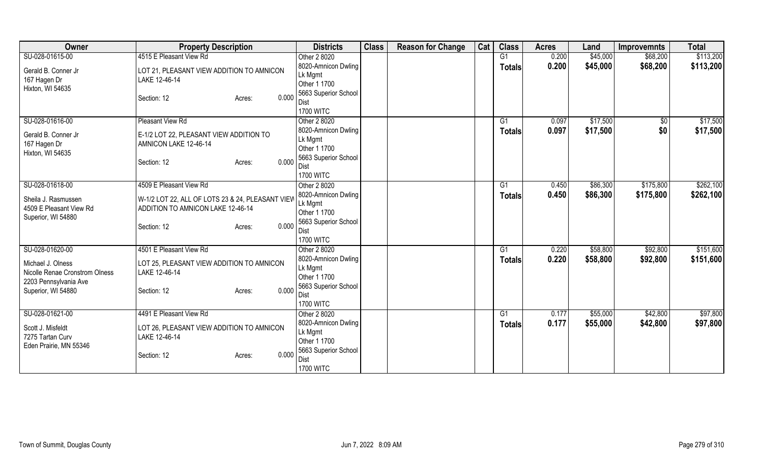| Owner                                                                        | <b>Property Description</b>                                                           | <b>Districts</b>                                                       | <b>Class</b> | <b>Reason for Change</b> | Cat | <b>Class</b>        | <b>Acres</b>   | Land                 | <b>Improvemnts</b>   | <b>Total</b>           |
|------------------------------------------------------------------------------|---------------------------------------------------------------------------------------|------------------------------------------------------------------------|--------------|--------------------------|-----|---------------------|----------------|----------------------|----------------------|------------------------|
| SU-028-01615-00                                                              | 4515 E Pleasant View Rd                                                               | Other 2 8020<br>8020-Amnicon Dwling                                    |              |                          |     | G1<br><b>Totals</b> | 0.200<br>0.200 | \$45,000<br>\$45,000 | \$68,200<br>\$68,200 | \$113,200<br>\$113,200 |
| Gerald B. Conner Jr<br>167 Hagen Dr<br>Hixton, WI 54635                      | LOT 21, PLEASANT VIEW ADDITION TO AMNICON<br>LAKE 12-46-14                            | Lk Mgmt<br>Other 1 1700                                                |              |                          |     |                     |                |                      |                      |                        |
|                                                                              | 0.000<br>Section: 12<br>Acres:                                                        | 5663 Superior School<br>Dist<br><b>1700 WITC</b>                       |              |                          |     |                     |                |                      |                      |                        |
| SU-028-01616-00                                                              | Pleasant View Rd                                                                      | Other 2 8020                                                           |              |                          |     | G1                  | 0.097          | \$17,500             | \$0                  | \$17,500               |
| Gerald B. Conner Jr<br>167 Hagen Dr<br>Hixton, WI 54635                      | E-1/2 LOT 22, PLEASANT VIEW ADDITION TO<br>AMNICON LAKE 12-46-14                      | 8020-Amnicon Dwling<br>Lk Mgmt<br>Other 1 1700<br>5663 Superior School |              |                          |     | <b>Totals</b>       | 0.097          | \$17,500             | \$0                  | \$17,500               |
|                                                                              | 0.000<br>Section: 12<br>Acres:                                                        | Dist<br><b>1700 WITC</b>                                               |              |                          |     |                     |                |                      |                      |                        |
| SU-028-01618-00                                                              | 4509 E Pleasant View Rd                                                               | Other 2 8020                                                           |              |                          |     | G1                  | 0.450          | \$86,300             | \$175,800            | \$262,100              |
| Sheila J. Rasmussen<br>4509 E Pleasant View Rd<br>Superior, WI 54880         | W-1/2 LOT 22, ALL OF LOTS 23 & 24, PLEASANT VIEV<br>ADDITION TO AMNICON LAKE 12-46-14 | 8020-Amnicon Dwling<br>Lk Mgmt<br>Other 1 1700                         |              |                          |     | Totals              | 0.450          | \$86,300             | \$175,800            | \$262,100              |
|                                                                              | 0.000<br>Section: 12<br>Acres:                                                        | 5663 Superior School<br>Dist<br><b>1700 WITC</b>                       |              |                          |     |                     |                |                      |                      |                        |
| SU-028-01620-00                                                              | 4501 E Pleasant View Rd                                                               | Other 2 8020                                                           |              |                          |     | G1                  | 0.220          | \$58,800             | \$92,800             | \$151,600              |
| Michael J. Olness<br>Nicolle Renae Cronstrom Olness<br>2203 Pennsylvania Ave | LOT 25, PLEASANT VIEW ADDITION TO AMNICON<br>LAKE 12-46-14                            | 8020-Amnicon Dwling<br>Lk Mgmt<br>Other 1 1700                         |              |                          |     | <b>Totals</b>       | 0.220          | \$58,800             | \$92,800             | \$151,600              |
| Superior, WI 54880                                                           | 0.000<br>Section: 12<br>Acres:                                                        | 5663 Superior School<br>Dist<br><b>1700 WITC</b>                       |              |                          |     |                     |                |                      |                      |                        |
| SU-028-01621-00                                                              | 4491 E Pleasant View Rd                                                               | Other 2 8020                                                           |              |                          |     | G1                  | 0.177          | \$55,000             | \$42,800             | \$97,800               |
| Scott J. Misfeldt<br>7275 Tartan Curv<br>Eden Prairie, MN 55346              | LOT 26, PLEASANT VIEW ADDITION TO AMNICON<br>LAKE 12-46-14                            | 8020-Amnicon Dwling<br>Lk Mgmt<br>Other 1 1700<br>5663 Superior School |              |                          |     | <b>Totals</b>       | 0.177          | \$55,000             | \$42,800             | \$97,800               |
|                                                                              | 0.000<br>Section: 12<br>Acres:                                                        | Dist<br><b>1700 WITC</b>                                               |              |                          |     |                     |                |                      |                      |                        |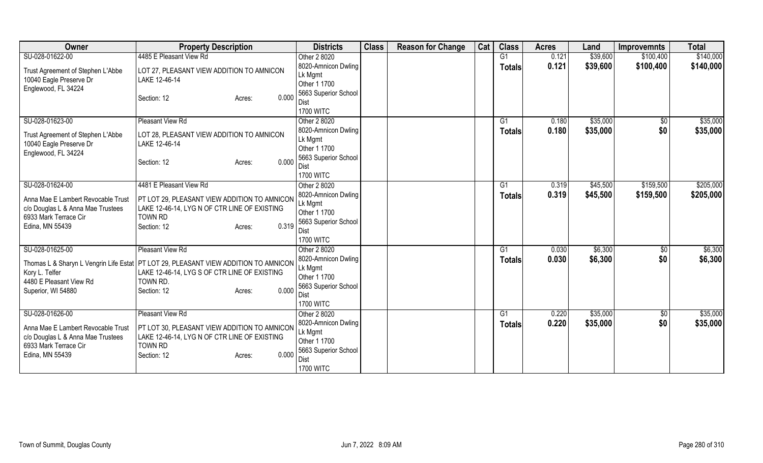| Owner                                                                                                                                  | <b>Property Description</b>                                                                                                                                                                             | <b>Districts</b>                                                                                                   | <b>Class</b> | <b>Reason for Change</b> | Cat | <b>Class</b>                    | <b>Acres</b>   | Land                 | <b>Improvemnts</b>     | <b>Total</b>           |
|----------------------------------------------------------------------------------------------------------------------------------------|---------------------------------------------------------------------------------------------------------------------------------------------------------------------------------------------------------|--------------------------------------------------------------------------------------------------------------------|--------------|--------------------------|-----|---------------------------------|----------------|----------------------|------------------------|------------------------|
| SU-028-01622-00<br>Trust Agreement of Stephen L'Abbe<br>10040 Eagle Preserve Dr<br>Englewood, FL 34224                                 | 4485 E Pleasant View Rd<br>LOT 27, PLEASANT VIEW ADDITION TO AMNICON<br>LAKE 12-46-14<br>0.000<br>Section: 12<br>Acres:                                                                                 | Other 2 8020<br>8020-Amnicon Dwling<br>Lk Mgmt<br>Other 1 1700<br>5663 Superior School<br>Dist<br><b>1700 WITC</b> |              |                          |     | G <sub>1</sub><br><b>Totals</b> | 0.121<br>0.121 | \$39,600<br>\$39,600 | \$100,400<br>\$100,400 | \$140,000<br>\$140,000 |
| SU-028-01623-00<br>Trust Agreement of Stephen L'Abbe<br>10040 Eagle Preserve Dr<br>Englewood, FL 34224                                 | Pleasant View Rd<br>LOT 28, PLEASANT VIEW ADDITION TO AMNICON<br>LAKE 12-46-14<br>0.000<br>Section: 12<br>Acres:                                                                                        | Other 2 8020<br>8020-Amnicon Dwling<br>Lk Mgmt<br>Other 1 1700<br>5663 Superior School<br>Dist<br><b>1700 WITC</b> |              |                          |     | G1<br><b>Totals</b>             | 0.180<br>0.180 | \$35,000<br>\$35,000 | \$0<br>\$0             | \$35,000<br>\$35,000   |
| SU-028-01624-00<br>Anna Mae E Lambert Revocable Trust<br>c/o Douglas L & Anna Mae Trustees<br>6933 Mark Terrace Cir<br>Edina, MN 55439 | 4481 E Pleasant View Rd<br>PT LOT 29, PLEASANT VIEW ADDITION TO AMNICON<br>LAKE 12-46-14, LYG N OF CTR LINE OF EXISTING<br><b>TOWN RD</b><br>0.319<br>Section: 12<br>Acres:                             | Other 2 8020<br>8020-Amnicon Dwling<br>Lk Mgmt<br>Other 1 1700<br>5663 Superior School<br>Dist<br><b>1700 WITC</b> |              |                          |     | G1<br><b>Totals</b>             | 0.319<br>0.319 | \$45,500<br>\$45,500 | \$159,500<br>\$159,500 | \$205,000<br>\$205,000 |
| SU-028-01625-00<br>Kory L. Telfer<br>4480 E Pleasant View Rd<br>Superior, WI 54880                                                     | Pleasant View Rd<br>Thomas L & Sharyn L Vengrin Life Estat   PT LOT 29, PLEASANT VIEW ADDITION TO AMNICON<br>LAKE 12-46-14, LYG S OF CTR LINE OF EXISTING<br>TOWN RD.<br>0.000<br>Section: 12<br>Acres: | Other 2 8020<br>8020-Amnicon Dwling<br>Lk Mgmt<br>Other 1 1700<br>5663 Superior School<br>Dist<br><b>1700 WITC</b> |              |                          |     | G1<br><b>Totals</b>             | 0.030<br>0.030 | \$6,300<br>\$6,300   | $\sqrt{6}$<br>\$0      | \$6,300<br>\$6,300     |
| SU-028-01626-00<br>Anna Mae E Lambert Revocable Trust<br>c/o Douglas L & Anna Mae Trustees<br>6933 Mark Terrace Cir<br>Edina, MN 55439 | Pleasant View Rd<br>PT LOT 30, PLEASANT VIEW ADDITION TO AMNICON<br>LAKE 12-46-14, LYG N OF CTR LINE OF EXISTING<br><b>TOWN RD</b><br>0.000<br>Section: 12<br>Acres:                                    | Other 2 8020<br>8020-Amnicon Dwling<br>Lk Mgmt<br>Other 1 1700<br>5663 Superior School<br>Dist<br><b>1700 WITC</b> |              |                          |     | G1<br><b>Totals</b>             | 0.220<br>0.220 | \$35,000<br>\$35,000 | \$0<br>\$0             | \$35,000<br>\$35,000   |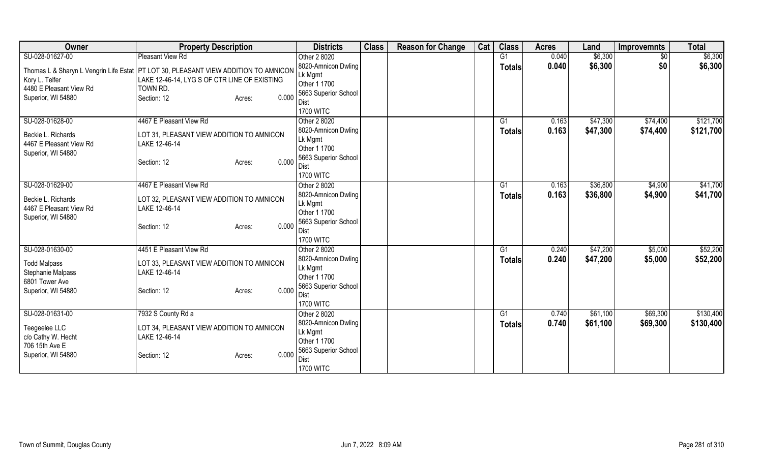| Owner                                                                                 | <b>Property Description</b>                  | <b>Districts</b>                    | <b>Class</b> | <b>Reason for Change</b> | Cat | <b>Class</b>   | <b>Acres</b> | Land     | <b>Improvemnts</b> | <b>Total</b> |
|---------------------------------------------------------------------------------------|----------------------------------------------|-------------------------------------|--------------|--------------------------|-----|----------------|--------------|----------|--------------------|--------------|
| SU-028-01627-00                                                                       | Pleasant View Rd                             | Other 2 8020                        |              |                          |     | G <sub>1</sub> | 0.040        | \$6,300  | $\overline{50}$    | \$6,300      |
| Thomas L & Sharyn L Vengrin Life Estat   PT LOT 30, PLEASANT VIEW ADDITION TO AMNICON |                                              | 8020-Amnicon Dwling                 |              |                          |     | <b>Totals</b>  | 0.040        | \$6,300  | \$0                | \$6,300      |
| Kory L. Telfer                                                                        | LAKE 12-46-14, LYG S OF CTR LINE OF EXISTING | Lk Mgmt                             |              |                          |     |                |              |          |                    |              |
| 4480 E Pleasant View Rd<br>TOWN RD.                                                   |                                              | Other 1 1700                        |              |                          |     |                |              |          |                    |              |
| Superior, WI 54880<br>Section: 12                                                     | 0.000<br>Acres:                              | 5663 Superior School                |              |                          |     |                |              |          |                    |              |
|                                                                                       |                                              | <b>Dist</b><br><b>1700 WITC</b>     |              |                          |     |                |              |          |                    |              |
| SU-028-01628-00                                                                       | 4467 E Pleasant View Rd                      | Other 2 8020                        |              |                          |     | G1             | 0.163        | \$47,300 | \$74,400           | \$121,700    |
|                                                                                       |                                              | 8020-Amnicon Dwling                 |              |                          |     | <b>Totals</b>  | 0.163        | \$47,300 | \$74,400           | \$121,700    |
| Beckie L. Richards                                                                    | LOT 31, PLEASANT VIEW ADDITION TO AMNICON    | Lk Mgmt                             |              |                          |     |                |              |          |                    |              |
| 4467 E Pleasant View Rd<br>LAKE 12-46-14                                              |                                              | Other 1 1700                        |              |                          |     |                |              |          |                    |              |
| Superior, WI 54880                                                                    |                                              | 5663 Superior School                |              |                          |     |                |              |          |                    |              |
| Section: 12                                                                           | 0.000<br>Acres:                              | Dist                                |              |                          |     |                |              |          |                    |              |
|                                                                                       |                                              | <b>1700 WITC</b>                    |              |                          |     |                |              |          |                    |              |
| SU-028-01629-00                                                                       | 4467 E Pleasant View Rd                      | Other 2 8020                        |              |                          |     | G <sub>1</sub> | 0.163        | \$36,800 | \$4,900            | \$41,700     |
| Beckie L. Richards                                                                    | LOT 32, PLEASANT VIEW ADDITION TO AMNICON    | 8020-Amnicon Dwling                 |              |                          |     | Totals         | 0.163        | \$36,800 | \$4,900            | \$41,700     |
| 4467 E Pleasant View Rd<br>LAKE 12-46-14                                              |                                              | Lk Mgmt                             |              |                          |     |                |              |          |                    |              |
| Superior, WI 54880                                                                    |                                              | Other 1 1700                        |              |                          |     |                |              |          |                    |              |
| Section: 12                                                                           | 0.000<br>Acres:                              | 5663 Superior School<br><b>Dist</b> |              |                          |     |                |              |          |                    |              |
|                                                                                       |                                              | <b>1700 WITC</b>                    |              |                          |     |                |              |          |                    |              |
| SU-028-01630-00                                                                       | 4451 E Pleasant View Rd                      | Other 2 8020                        |              |                          |     | G1             | 0.240        | \$47,200 | \$5,000            | \$52,200     |
|                                                                                       |                                              | 8020-Amnicon Dwling                 |              |                          |     | Totals         | 0.240        | \$47,200 | \$5,000            | \$52,200     |
| <b>Todd Malpass</b>                                                                   | LOT 33, PLEASANT VIEW ADDITION TO AMNICON    | Lk Mgmt                             |              |                          |     |                |              |          |                    |              |
| Stephanie Malpass<br>LAKE 12-46-14                                                    |                                              | Other 1 1700                        |              |                          |     |                |              |          |                    |              |
| 6801 Tower Ave<br>Superior, WI 54880<br>Section: 12                                   | 0.000                                        | 5663 Superior School                |              |                          |     |                |              |          |                    |              |
|                                                                                       | Acres:                                       | Dist                                |              |                          |     |                |              |          |                    |              |
|                                                                                       |                                              | <b>1700 WITC</b>                    |              |                          |     |                |              |          |                    |              |
| SU-028-01631-00                                                                       | 7932 S County Rd a                           | Other 2 8020                        |              |                          |     | G1             | 0.740        | \$61,100 | \$69,300           | \$130,400    |
| Teegeelee LLC                                                                         | LOT 34, PLEASANT VIEW ADDITION TO AMNICON    | 8020-Amnicon Dwling                 |              |                          |     | <b>Totals</b>  | 0.740        | \$61,100 | \$69,300           | \$130,400    |
| c/o Cathy W. Hecht<br>LAKE 12-46-14                                                   |                                              | Lk Mgmt                             |              |                          |     |                |              |          |                    |              |
| 706 15th Ave E                                                                        |                                              | Other 1 1700                        |              |                          |     |                |              |          |                    |              |
| Superior, WI 54880<br>Section: 12                                                     | 0.000<br>Acres:                              | 5663 Superior School<br>Dist        |              |                          |     |                |              |          |                    |              |
|                                                                                       |                                              | <b>1700 WITC</b>                    |              |                          |     |                |              |          |                    |              |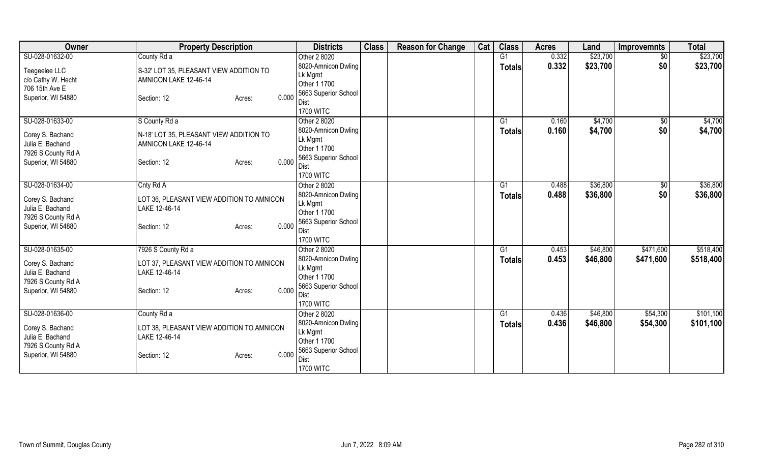| <b>Owner</b>                                                                                        | <b>Property Description</b>                                                                                 | <b>Districts</b>                                                                                          | <b>Class</b> | <b>Reason for Change</b> | Cat | <b>Class</b>        | <b>Acres</b>   | Land                 | <b>Improvemnts</b>   | <b>Total</b>           |
|-----------------------------------------------------------------------------------------------------|-------------------------------------------------------------------------------------------------------------|-----------------------------------------------------------------------------------------------------------|--------------|--------------------------|-----|---------------------|----------------|----------------------|----------------------|------------------------|
| SU-028-01632-00                                                                                     | County Rd a                                                                                                 | Other 2 8020                                                                                              |              |                          |     | G1                  | 0.332          | \$23,700             | $\sqrt{$0}$          | \$23,700               |
| Teegeelee LLC<br>c/o Cathy W. Hecht                                                                 | S-32' LOT 35, PLEASANT VIEW ADDITION TO<br>AMNICON LAKE 12-46-14                                            | 8020-Amnicon Dwling<br>Lk Mgmt<br>Other 1 1700                                                            |              |                          |     | <b>Totals</b>       | 0.332          | \$23,700             | \$0                  | \$23,700               |
| 706 15th Ave E<br>Superior, WI 54880                                                                | 0.000<br>Section: 12<br>Acres:                                                                              | 5663 Superior School<br>Dist<br><b>1700 WITC</b>                                                          |              |                          |     |                     |                |                      |                      |                        |
| SU-028-01633-00                                                                                     | S County Rd a                                                                                               | Other 2 8020                                                                                              |              |                          |     | G1                  | 0.160          | \$4,700              | \$0                  | \$4,700                |
| Corey S. Bachand<br>Julia E. Bachand<br>7926 S County Rd A<br>Superior, WI 54880                    | N-18' LOT 35, PLEASANT VIEW ADDITION TO<br>AMNICON LAKE 12-46-14<br>0.000<br>Section: 12<br>Acres:          | 8020-Amnicon Dwling<br>Lk Mgmt<br>Other 1 1700<br>5663 Superior School<br><b>Dist</b><br><b>1700 WITC</b> |              |                          |     | <b>Totals</b>       | 0.160          | \$4,700              | \$0                  | \$4,700                |
| SU-028-01634-00                                                                                     | Cnty Rd A                                                                                                   | Other 2 8020                                                                                              |              |                          |     | G1                  | 0.488          | \$36,800             | $\sqrt[6]{3}$        | \$36,800               |
| Corey S. Bachand<br>Julia E. Bachand<br>7926 S County Rd A<br>Superior, WI 54880                    | LOT 36, PLEASANT VIEW ADDITION TO AMNICON<br>LAKE 12-46-14<br>0.000<br>Section: 12<br>Acres:                | 8020-Amnicon Dwling<br>Lk Mgmt<br>Other 1 1700<br>5663 Superior School<br>Dist                            |              |                          |     | Totals              | 0.488          | \$36,800             | \$0                  | \$36,800               |
|                                                                                                     |                                                                                                             | <b>1700 WITC</b>                                                                                          |              |                          |     |                     |                |                      |                      |                        |
| SU-028-01635-00                                                                                     | 7926 S County Rd a                                                                                          | Other 2 8020                                                                                              |              |                          |     | G1                  | 0.453          | \$46,800             | \$471,600            | \$518,400              |
| Corey S. Bachand<br>Julia E. Bachand<br>7926 S County Rd A                                          | LOT 37, PLEASANT VIEW ADDITION TO AMNICON<br>LAKE 12-46-14                                                  | 8020-Amnicon Dwling<br>Lk Mgmt<br>Other 1 1700<br>5663 Superior School                                    |              |                          |     | <b>Totals</b>       | 0.453          | \$46,800             | \$471,600            | \$518,400              |
| Superior, WI 54880                                                                                  | 0.000<br>Section: 12<br>Acres:                                                                              | Dist<br><b>1700 WITC</b>                                                                                  |              |                          |     |                     |                |                      |                      |                        |
| SU-028-01636-00<br>Corey S. Bachand<br>Julia E. Bachand<br>7926 S County Rd A<br>Superior, WI 54880 | County Rd a<br>LOT 38, PLEASANT VIEW ADDITION TO AMNICON<br>LAKE 12-46-14<br>0.000<br>Section: 12<br>Acres: | Other 2 8020<br>8020-Amnicon Dwling<br>Lk Mgmt<br>Other 1 1700<br>5663 Superior School<br>Dist            |              |                          |     | G1<br><b>Totals</b> | 0.436<br>0.436 | \$46,800<br>\$46,800 | \$54,300<br>\$54,300 | \$101,100<br>\$101,100 |
|                                                                                                     |                                                                                                             | <b>1700 WITC</b>                                                                                          |              |                          |     |                     |                |                      |                      |                        |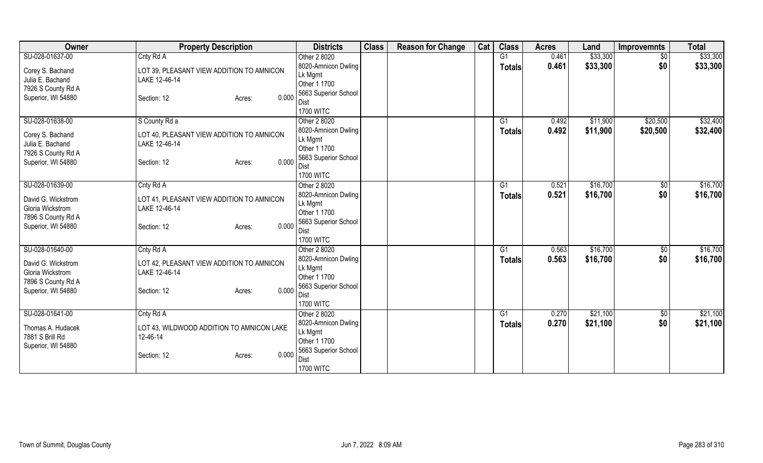| Owner              | <b>Property Description</b>               | <b>Districts</b>         | <b>Class</b> | <b>Reason for Change</b> | Cat | <b>Class</b>  | <b>Acres</b> | Land     | <b>Improvemnts</b> | <b>Total</b> |
|--------------------|-------------------------------------------|--------------------------|--------------|--------------------------|-----|---------------|--------------|----------|--------------------|--------------|
| SU-028-01637-00    | Cnty Rd A                                 | Other 2 8020             |              |                          |     | G1            | 0.461        | \$33,300 | $\sqrt{$0}$        | \$33,300     |
| Corey S. Bachand   | LOT 39, PLEASANT VIEW ADDITION TO AMNICON | 8020-Amnicon Dwling      |              |                          |     | <b>Totals</b> | 0.461        | \$33,300 | \$0                | \$33,300     |
| Julia E. Bachand   | LAKE 12-46-14                             | Lk Mgmt                  |              |                          |     |               |              |          |                    |              |
| 7926 S County Rd A |                                           | Other 1 1700             |              |                          |     |               |              |          |                    |              |
| Superior, WI 54880 | 0.000<br>Section: 12<br>Acres:            | 5663 Superior School     |              |                          |     |               |              |          |                    |              |
|                    |                                           | Dist                     |              |                          |     |               |              |          |                    |              |
|                    |                                           | <b>1700 WITC</b>         |              |                          |     |               |              |          |                    |              |
| SU-028-01638-00    | S County Rd a                             | Other 2 8020             |              |                          |     | G1            | 0.492        | \$11,900 | \$20,500           | \$32,400     |
| Corey S. Bachand   | LOT 40, PLEASANT VIEW ADDITION TO AMNICON | 8020-Amnicon Dwling      |              |                          |     | <b>Totals</b> | 0.492        | \$11,900 | \$20,500           | \$32,400     |
| Julia E. Bachand   | LAKE 12-46-14                             | Lk Mgmt<br>Other 1 1700  |              |                          |     |               |              |          |                    |              |
| 7926 S County Rd A |                                           | 5663 Superior School     |              |                          |     |               |              |          |                    |              |
| Superior, WI 54880 | 0.000<br>Section: 12<br>Acres:            | Dist                     |              |                          |     |               |              |          |                    |              |
|                    |                                           | <b>1700 WITC</b>         |              |                          |     |               |              |          |                    |              |
| SU-028-01639-00    | Cnty Rd A                                 | Other 2 8020             |              |                          |     | G1            | 0.521        | \$16,700 | $\sqrt[6]{3}$      | \$16,700     |
|                    |                                           | 8020-Amnicon Dwling      |              |                          |     | Totals        | 0.521        | \$16,700 | \$0                | \$16,700     |
| David G. Wickstrom | LOT 41, PLEASANT VIEW ADDITION TO AMNICON | Lk Mgmt                  |              |                          |     |               |              |          |                    |              |
| Gloria Wickstrom   | LAKE 12-46-14                             | Other 1 1700             |              |                          |     |               |              |          |                    |              |
| 7896 S County Rd A | 0.000                                     | 5663 Superior School     |              |                          |     |               |              |          |                    |              |
| Superior, WI 54880 | Section: 12<br>Acres:                     | Dist                     |              |                          |     |               |              |          |                    |              |
|                    |                                           | <b>1700 WITC</b>         |              |                          |     |               |              |          |                    |              |
| SU-028-01640-00    | Cnty Rd A                                 | Other 2 8020             |              |                          |     | G1            | 0.563        | \$16,700 | $\sqrt{6}$         | \$16,700     |
| David G. Wickstrom | LOT 42, PLEASANT VIEW ADDITION TO AMNICON | 8020-Amnicon Dwling      |              |                          |     | <b>Totals</b> | 0.563        | \$16,700 | \$0                | \$16,700     |
| Gloria Wickstrom   | LAKE 12-46-14                             | Lk Mgmt                  |              |                          |     |               |              |          |                    |              |
| 7896 S County Rd A |                                           | Other 1 1700             |              |                          |     |               |              |          |                    |              |
| Superior, WI 54880 | 0.000<br>Section: 12<br>Acres:            | 5663 Superior School     |              |                          |     |               |              |          |                    |              |
|                    |                                           | Dist<br><b>1700 WITC</b> |              |                          |     |               |              |          |                    |              |
| SU-028-01641-00    | Cnty Rd A                                 | Other 2 8020             |              |                          |     | G1            | 0.270        | \$21,100 |                    | \$21,100     |
|                    |                                           | 8020-Amnicon Dwling      |              |                          |     |               |              |          | \$0                |              |
| Thomas A. Hudacek  | LOT 43, WILDWOOD ADDITION TO AMNICON LAKE | Lk Mgmt                  |              |                          |     | <b>Totals</b> | 0.270        | \$21,100 | \$0                | \$21,100     |
| 7881 S Brill Rd    | 12-46-14                                  | Other 1 1700             |              |                          |     |               |              |          |                    |              |
| Superior, WI 54880 |                                           | 5663 Superior School     |              |                          |     |               |              |          |                    |              |
|                    | 0.000<br>Section: 12<br>Acres:            | Dist                     |              |                          |     |               |              |          |                    |              |
|                    |                                           | <b>1700 WITC</b>         |              |                          |     |               |              |          |                    |              |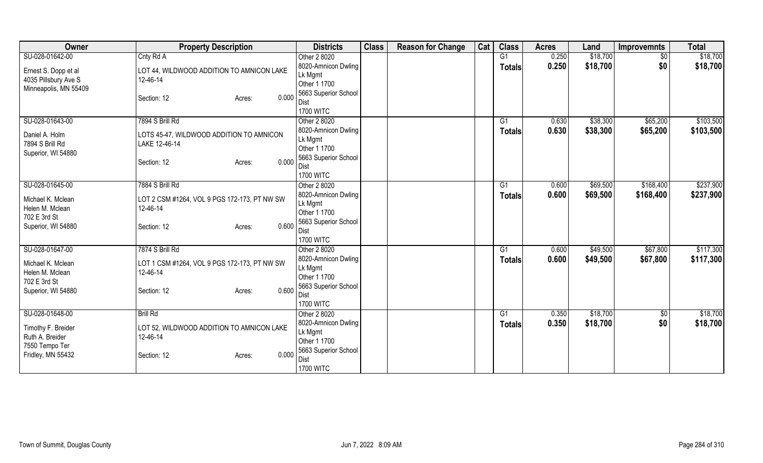| Owner                 | <b>Property Description</b>                  | <b>Districts</b>        | <b>Class</b> | <b>Reason for Change</b> | Cat | <b>Class</b>  | <b>Acres</b> | Land     | <b>Improvemnts</b> | <b>Total</b> |
|-----------------------|----------------------------------------------|-------------------------|--------------|--------------------------|-----|---------------|--------------|----------|--------------------|--------------|
| SU-028-01642-00       | Cnty Rd A                                    | Other 2 8020            |              |                          |     | G1            | 0.250        | \$18,700 | $\sqrt{$0}$        | \$18,700     |
| Ernest S. Dopp et al  | LOT 44, WILDWOOD ADDITION TO AMNICON LAKE    | 8020-Amnicon Dwling     |              |                          |     | <b>Totals</b> | 0.250        | \$18,700 | \$0                | \$18,700     |
| 4035 Pillsbury Ave S  | 12-46-14                                     | Lk Mgmt                 |              |                          |     |               |              |          |                    |              |
| Minneapolis, MN 55409 |                                              | Other 1 1700            |              |                          |     |               |              |          |                    |              |
|                       | 0.000<br>Section: 12<br>Acres:               | 5663 Superior School    |              |                          |     |               |              |          |                    |              |
|                       |                                              | Dist                    |              |                          |     |               |              |          |                    |              |
|                       |                                              | <b>1700 WITC</b>        |              |                          |     |               |              |          |                    |              |
| SU-028-01643-00       | 7894 S Brill Rd                              | Other 2 8020            |              |                          |     | G1            | 0.630        | \$38,300 | \$65,200           | \$103,500    |
| Daniel A. Holm        | LOTS 45-47, WILDWOOD ADDITION TO AMNICON     | 8020-Amnicon Dwling     |              |                          |     | <b>Totals</b> | 0.630        | \$38,300 | \$65,200           | \$103,500    |
| 7894 S Brill Rd       | LAKE 12-46-14                                | Lk Mgmt                 |              |                          |     |               |              |          |                    |              |
| Superior, WI 54880    |                                              | Other 1 1700            |              |                          |     |               |              |          |                    |              |
|                       | 0.000<br>Section: 12<br>Acres:               | 5663 Superior School    |              |                          |     |               |              |          |                    |              |
|                       |                                              | Dist                    |              |                          |     |               |              |          |                    |              |
|                       |                                              | <b>1700 WITC</b>        |              |                          |     |               |              |          |                    |              |
| SU-028-01645-00       | 7884 S Brill Rd                              | Other 2 8020            |              |                          |     | G1            | 0.600        | \$69,500 | \$168,400          | \$237,900    |
| Michael K. Mclean     | LOT 2 CSM #1264, VOL 9 PGS 172-173, PT NW SW | 8020-Amnicon Dwling     |              |                          |     | <b>Totals</b> | 0.600        | \$69,500 | \$168,400          | \$237,900    |
| Helen M. Mclean       | 12-46-14                                     | Lk Mgmt<br>Other 1 1700 |              |                          |     |               |              |          |                    |              |
| 702 E 3rd St          |                                              | 5663 Superior School    |              |                          |     |               |              |          |                    |              |
| Superior, WI 54880    | 0.600<br>Section: 12<br>Acres:               | Dist                    |              |                          |     |               |              |          |                    |              |
|                       |                                              | <b>1700 WITC</b>        |              |                          |     |               |              |          |                    |              |
| SU-028-01647-00       | 7874 S Brill Rd                              | Other 2 8020            |              |                          |     | G1            | 0.600        | \$49,500 | \$67,800           | \$117,300    |
|                       |                                              | 8020-Amnicon Dwling     |              |                          |     |               | 0.600        | \$49,500 | \$67,800           | \$117,300    |
| Michael K. Mclean     | LOT 1 CSM #1264, VOL 9 PGS 172-173, PT NW SW | Lk Mgmt                 |              |                          |     | <b>Totals</b> |              |          |                    |              |
| Helen M. Mclean       | 12-46-14                                     | Other 1 1700            |              |                          |     |               |              |          |                    |              |
| 702 E 3rd St          |                                              | 5663 Superior School    |              |                          |     |               |              |          |                    |              |
| Superior, WI 54880    | 0.600<br>Section: 12<br>Acres:               | Dist                    |              |                          |     |               |              |          |                    |              |
|                       |                                              | <b>1700 WITC</b>        |              |                          |     |               |              |          |                    |              |
| SU-028-01648-00       | <b>Brill Rd</b>                              | Other 2 8020            |              |                          |     | G1            | 0.350        | \$18,700 | \$0                | \$18,700     |
|                       |                                              | 8020-Amnicon Dwling     |              |                          |     | <b>Totals</b> | 0.350        | \$18,700 | \$0                | \$18,700     |
| Timothy F. Breider    | LOT 52, WILDWOOD ADDITION TO AMNICON LAKE    | Lk Mgmt                 |              |                          |     |               |              |          |                    |              |
| Ruth A. Breider       | 12-46-14                                     | Other 1 1700            |              |                          |     |               |              |          |                    |              |
| 7550 Tempo Ter        |                                              | 5663 Superior School    |              |                          |     |               |              |          |                    |              |
| Fridley, MN 55432     | 0.000<br>Section: 12<br>Acres:               | Dist                    |              |                          |     |               |              |          |                    |              |
|                       |                                              | <b>1700 WITC</b>        |              |                          |     |               |              |          |                    |              |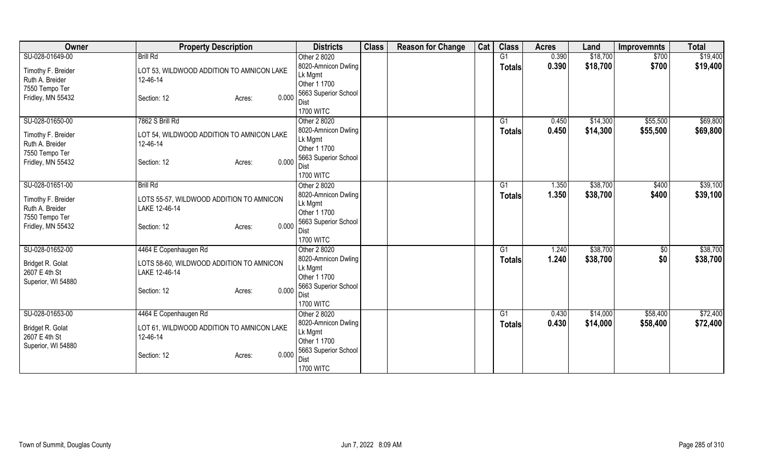| Owner                             | <b>Property Description</b>               | <b>Districts</b>        | <b>Class</b> | <b>Reason for Change</b> | Cat | <b>Class</b>   | <b>Acres</b> | Land     | <b>Improvemnts</b> | <b>Total</b> |
|-----------------------------------|-------------------------------------------|-------------------------|--------------|--------------------------|-----|----------------|--------------|----------|--------------------|--------------|
| SU-028-01649-00                   | <b>Brill Rd</b>                           | Other 2 8020            |              |                          |     | G1             | 0.390        | \$18,700 | \$700              | \$19,400     |
| Timothy F. Breider                | LOT 53, WILDWOOD ADDITION TO AMNICON LAKE | 8020-Amnicon Dwling     |              |                          |     | <b>Totals</b>  | 0.390        | \$18,700 | \$700              | \$19,400     |
| Ruth A. Breider                   | 12-46-14                                  | Lk Mgmt                 |              |                          |     |                |              |          |                    |              |
| 7550 Tempo Ter                    |                                           | Other 1 1700            |              |                          |     |                |              |          |                    |              |
| Fridley, MN 55432                 | 0.000<br>Section: 12<br>Acres:            | 5663 Superior School    |              |                          |     |                |              |          |                    |              |
|                                   |                                           | Dist                    |              |                          |     |                |              |          |                    |              |
|                                   |                                           | <b>1700 WITC</b>        |              |                          |     |                |              |          |                    |              |
| SU-028-01650-00                   | 7862 S Brill Rd                           | Other 2 8020            |              |                          |     | G1             | 0.450        | \$14,300 | \$55,500           | \$69,800     |
| Timothy F. Breider                | LOT 54, WILDWOOD ADDITION TO AMNICON LAKE | 8020-Amnicon Dwling     |              |                          |     | <b>Totals</b>  | 0.450        | \$14,300 | \$55,500           | \$69,800     |
| Ruth A. Breider                   | 12-46-14                                  | Lk Mgmt<br>Other 1 1700 |              |                          |     |                |              |          |                    |              |
| 7550 Tempo Ter                    |                                           | 5663 Superior School    |              |                          |     |                |              |          |                    |              |
| Fridley, MN 55432                 | 0.000<br>Section: 12<br>Acres:            | Dist                    |              |                          |     |                |              |          |                    |              |
|                                   |                                           | <b>1700 WITC</b>        |              |                          |     |                |              |          |                    |              |
| SU-028-01651-00                   | <b>Brill Rd</b>                           | Other 2 8020            |              |                          |     | G <sub>1</sub> | 1.350        | \$38,700 | \$400              | \$39,100     |
|                                   |                                           | 8020-Amnicon Dwling     |              |                          |     | <b>Totals</b>  | 1.350        | \$38,700 | \$400              | \$39,100     |
| Timothy F. Breider                | LOTS 55-57, WILDWOOD ADDITION TO AMNICON  | Lk Mgmt                 |              |                          |     |                |              |          |                    |              |
| Ruth A. Breider                   | LAKE 12-46-14                             | Other 1 1700            |              |                          |     |                |              |          |                    |              |
| 7550 Tempo Ter                    |                                           | 5663 Superior School    |              |                          |     |                |              |          |                    |              |
| Fridley, MN 55432                 | 0.000<br>Section: 12<br>Acres:            | Dist                    |              |                          |     |                |              |          |                    |              |
|                                   |                                           | <b>1700 WITC</b>        |              |                          |     |                |              |          |                    |              |
| SU-028-01652-00                   | 4464 E Copenhaugen Rd                     | Other 2 8020            |              |                          |     | G1             | 1.240        | \$38,700 | $\sqrt{6}$         | \$38,700     |
|                                   | LOTS 58-60, WILDWOOD ADDITION TO AMNICON  | 8020-Amnicon Dwling     |              |                          |     | <b>Totals</b>  | 1.240        | \$38,700 | \$0                | \$38,700     |
| Bridget R. Golat<br>2607 E 4th St | LAKE 12-46-14                             | Lk Mgmt                 |              |                          |     |                |              |          |                    |              |
| Superior, WI 54880                |                                           | Other 1 1700            |              |                          |     |                |              |          |                    |              |
|                                   | 0.000<br>Section: 12<br>Acres:            | 5663 Superior School    |              |                          |     |                |              |          |                    |              |
|                                   |                                           | Dist                    |              |                          |     |                |              |          |                    |              |
|                                   |                                           | <b>1700 WITC</b>        |              |                          |     |                |              |          |                    |              |
| SU-028-01653-00                   | 4464 E Copenhaugen Rd                     | Other 2 8020            |              |                          |     | G1             | 0.430        | \$14,000 | \$58,400           | \$72,400     |
| Bridget R. Golat                  | LOT 61, WILDWOOD ADDITION TO AMNICON LAKE | 8020-Amnicon Dwling     |              |                          |     | <b>Totals</b>  | 0.430        | \$14,000 | \$58,400           | \$72,400     |
| 2607 E 4th St                     | 12-46-14                                  | Lk Mgmt                 |              |                          |     |                |              |          |                    |              |
| Superior, WI 54880                |                                           | Other 1 1700            |              |                          |     |                |              |          |                    |              |
|                                   | 0.000<br>Section: 12<br>Acres:            | 5663 Superior School    |              |                          |     |                |              |          |                    |              |
|                                   |                                           | Dist                    |              |                          |     |                |              |          |                    |              |
|                                   |                                           | <b>1700 WITC</b>        |              |                          |     |                |              |          |                    |              |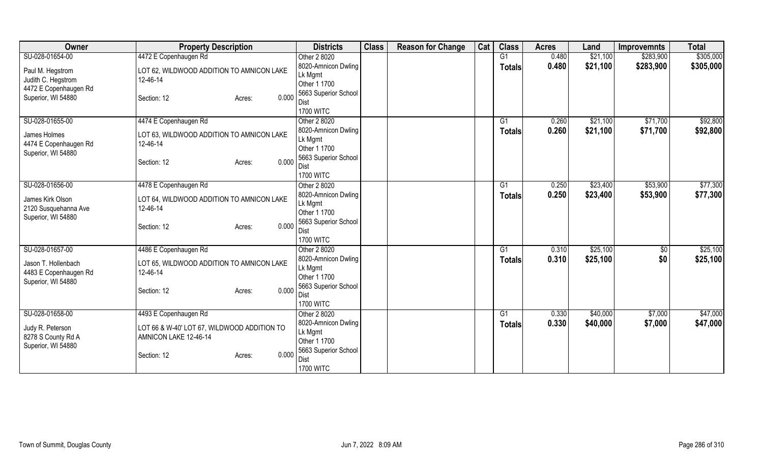| Owner                 | <b>Property Description</b>                 | <b>Districts</b>             | <b>Class</b> | <b>Reason for Change</b> | Cat | <b>Class</b>  | <b>Acres</b> | Land     | <b>Improvemnts</b> | <b>Total</b> |
|-----------------------|---------------------------------------------|------------------------------|--------------|--------------------------|-----|---------------|--------------|----------|--------------------|--------------|
| SU-028-01654-00       | 4472 E Copenhaugen Rd                       | Other 2 8020                 |              |                          |     | G1            | 0.480        | \$21,100 | \$283,900          | \$305,000    |
| Paul M. Hegstrom      | LOT 62, WILDWOOD ADDITION TO AMNICON LAKE   | 8020-Amnicon Dwling          |              |                          |     | <b>Totals</b> | 0.480        | \$21,100 | \$283,900          | \$305,000    |
| Judith C. Hegstrom    | 12-46-14                                    | Lk Mgmt                      |              |                          |     |               |              |          |                    |              |
| 4472 E Copenhaugen Rd |                                             | Other 1 1700                 |              |                          |     |               |              |          |                    |              |
| Superior, WI 54880    | 0.000<br>Section: 12<br>Acres:              | 5663 Superior School         |              |                          |     |               |              |          |                    |              |
|                       |                                             | <b>Dist</b>                  |              |                          |     |               |              |          |                    |              |
|                       |                                             | <b>1700 WITC</b>             |              |                          |     |               |              |          |                    |              |
| SU-028-01655-00       | 4474 E Copenhaugen Rd                       | Other 2 8020                 |              |                          |     | G1            | 0.260        | \$21,100 | \$71,700           | \$92,800     |
| James Holmes          | LOT 63, WILDWOOD ADDITION TO AMNICON LAKE   | 8020-Amnicon Dwling          |              |                          |     | <b>Totals</b> | 0.260        | \$21,100 | \$71,700           | \$92,800     |
| 4474 E Copenhaugen Rd | 12-46-14                                    | Lk Mgmt<br>Other 1 1700      |              |                          |     |               |              |          |                    |              |
| Superior, WI 54880    |                                             | 5663 Superior School         |              |                          |     |               |              |          |                    |              |
|                       | 0.000<br>Section: 12<br>Acres:              | Dist                         |              |                          |     |               |              |          |                    |              |
|                       |                                             | <b>1700 WITC</b>             |              |                          |     |               |              |          |                    |              |
| SU-028-01656-00       | 4478 E Copenhaugen Rd                       | Other 2 8020                 |              |                          |     | G1            | 0.250        | \$23,400 | \$53,900           | \$77,300     |
|                       |                                             | 8020-Amnicon Dwling          |              |                          |     | <b>Totals</b> | 0.250        | \$23,400 | \$53,900           | \$77,300     |
| James Kirk Olson      | LOT 64, WILDWOOD ADDITION TO AMNICON LAKE   | Lk Mgmt                      |              |                          |     |               |              |          |                    |              |
| 2120 Susquehanna Ave  | 12-46-14                                    | Other 1 1700                 |              |                          |     |               |              |          |                    |              |
| Superior, WI 54880    | 0.000<br>Section: 12                        | 5663 Superior School         |              |                          |     |               |              |          |                    |              |
|                       | Acres:                                      | <b>Dist</b>                  |              |                          |     |               |              |          |                    |              |
|                       |                                             | <b>1700 WITC</b>             |              |                          |     |               |              |          |                    |              |
| SU-028-01657-00       | 4486 E Copenhaugen Rd                       | Other 2 8020                 |              |                          |     | G1            | 0.310        | \$25,100 | $\sqrt{6}$         | \$25,100     |
| Jason T. Hollenbach   | LOT 65, WILDWOOD ADDITION TO AMNICON LAKE   | 8020-Amnicon Dwling          |              |                          |     | Totals        | 0.310        | \$25,100 | \$0                | \$25,100     |
| 4483 E Copenhaugen Rd | 12-46-14                                    | Lk Mgmt                      |              |                          |     |               |              |          |                    |              |
| Superior, WI 54880    |                                             | Other 1 1700                 |              |                          |     |               |              |          |                    |              |
|                       | 0.000<br>Section: 12<br>Acres:              | 5663 Superior School<br>Dist |              |                          |     |               |              |          |                    |              |
|                       |                                             | <b>1700 WITC</b>             |              |                          |     |               |              |          |                    |              |
| SU-028-01658-00       | 4493 E Copenhaugen Rd                       | Other 2 8020                 |              |                          |     | G1            | 0.330        | \$40,000 | \$7,000            | \$47,000     |
|                       |                                             | 8020-Amnicon Dwling          |              |                          |     | <b>Totals</b> | 0.330        | \$40,000 | \$7,000            | \$47,000     |
| Judy R. Peterson      | LOT 66 & W-40' LOT 67, WILDWOOD ADDITION TO | Lk Mgmt                      |              |                          |     |               |              |          |                    |              |
| 8278 S County Rd A    | AMNICON LAKE 12-46-14                       | Other 1 1700                 |              |                          |     |               |              |          |                    |              |
| Superior, WI 54880    |                                             | 5663 Superior School         |              |                          |     |               |              |          |                    |              |
|                       | 0.000<br>Section: 12<br>Acres:              | Dist                         |              |                          |     |               |              |          |                    |              |
|                       |                                             | <b>1700 WITC</b>             |              |                          |     |               |              |          |                    |              |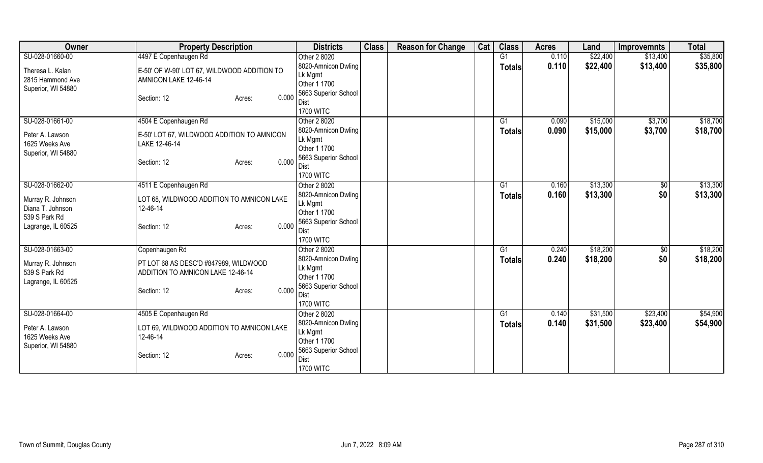| Owner              | <b>Property Description</b>                 | <b>Districts</b>             | <b>Class</b> | <b>Reason for Change</b> | Cat | <b>Class</b>  | <b>Acres</b> | Land     | <b>Improvemnts</b> | <b>Total</b> |
|--------------------|---------------------------------------------|------------------------------|--------------|--------------------------|-----|---------------|--------------|----------|--------------------|--------------|
| SU-028-01660-00    | 4497 E Copenhaugen Rd                       | Other 2 8020                 |              |                          |     | G1            | 0.110        | \$22,400 | \$13,400           | \$35,800     |
| Theresa L. Kalan   | E-50' OF W-90' LOT 67, WILDWOOD ADDITION TO | 8020-Amnicon Dwling          |              |                          |     | <b>Totals</b> | 0.110        | \$22,400 | \$13,400           | \$35,800     |
| 2815 Hammond Ave   | AMNICON LAKE 12-46-14                       | Lk Mgmt                      |              |                          |     |               |              |          |                    |              |
| Superior, WI 54880 |                                             | Other 1 1700                 |              |                          |     |               |              |          |                    |              |
|                    | 0.000<br>Section: 12<br>Acres:              | 5663 Superior School         |              |                          |     |               |              |          |                    |              |
|                    |                                             | Dist<br><b>1700 WITC</b>     |              |                          |     |               |              |          |                    |              |
| SU-028-01661-00    | 4504 E Copenhaugen Rd                       | Other 2 8020                 |              |                          |     | G1            | 0.090        | \$15,000 | \$3,700            | \$18,700     |
|                    |                                             | 8020-Amnicon Dwling          |              |                          |     | <b>Totals</b> | 0.090        | \$15,000 | \$3,700            | \$18,700     |
| Peter A. Lawson    | E-50' LOT 67, WILDWOOD ADDITION TO AMNICON  | Lk Mgmt                      |              |                          |     |               |              |          |                    |              |
| 1625 Weeks Ave     | LAKE 12-46-14                               | Other 1 1700                 |              |                          |     |               |              |          |                    |              |
| Superior, WI 54880 | 0.000                                       | 5663 Superior School         |              |                          |     |               |              |          |                    |              |
|                    | Section: 12<br>Acres:                       | Dist                         |              |                          |     |               |              |          |                    |              |
|                    |                                             | <b>1700 WITC</b>             |              |                          |     |               |              |          |                    |              |
| SU-028-01662-00    | 4511 E Copenhaugen Rd                       | Other 2 8020                 |              |                          |     | G1            | 0.160        | \$13,300 | $\sqrt[6]{30}$     | \$13,300     |
| Murray R. Johnson  | LOT 68, WILDWOOD ADDITION TO AMNICON LAKE   | 8020-Amnicon Dwling          |              |                          |     | Totals        | 0.160        | \$13,300 | \$0                | \$13,300     |
| Diana T. Johnson   | 12-46-14                                    | Lk Mgmt                      |              |                          |     |               |              |          |                    |              |
| 539 S Park Rd      |                                             | Other 1 1700                 |              |                          |     |               |              |          |                    |              |
| Lagrange, IL 60525 | 0.000<br>Section: 12<br>Acres:              | 5663 Superior School<br>Dist |              |                          |     |               |              |          |                    |              |
|                    |                                             | <b>1700 WITC</b>             |              |                          |     |               |              |          |                    |              |
| SU-028-01663-00    | Copenhaugen Rd                              | Other 2 8020                 |              |                          |     | G1            | 0.240        | \$18,200 | \$0                | \$18,200     |
|                    |                                             | 8020-Amnicon Dwling          |              |                          |     | <b>Totals</b> | 0.240        | \$18,200 | \$0                | \$18,200     |
| Murray R. Johnson  | PT LOT 68 AS DESC'D #847989, WILDWOOD       | Lk Mgmt                      |              |                          |     |               |              |          |                    |              |
| 539 S Park Rd      | ADDITION TO AMNICON LAKE 12-46-14           | Other 1 1700                 |              |                          |     |               |              |          |                    |              |
| Lagrange, IL 60525 | 0.000<br>Section: 12<br>Acres:              | 5663 Superior School         |              |                          |     |               |              |          |                    |              |
|                    |                                             | Dist                         |              |                          |     |               |              |          |                    |              |
|                    |                                             | <b>1700 WITC</b>             |              |                          |     |               |              |          |                    |              |
| SU-028-01664-00    | 4505 E Copenhaugen Rd                       | Other 2 8020                 |              |                          |     | G1            | 0.140        | \$31,500 | \$23,400           | \$54,900     |
| Peter A. Lawson    | LOT 69, WILDWOOD ADDITION TO AMNICON LAKE   | 8020-Amnicon Dwling          |              |                          |     | <b>Totals</b> | 0.140        | \$31,500 | \$23,400           | \$54,900     |
| 1625 Weeks Ave     | 12-46-14                                    | Lk Mgmt                      |              |                          |     |               |              |          |                    |              |
| Superior, WI 54880 |                                             | Other 1 1700                 |              |                          |     |               |              |          |                    |              |
|                    | 0.000<br>Section: 12<br>Acres:              | 5663 Superior School<br>Dist |              |                          |     |               |              |          |                    |              |
|                    |                                             | <b>1700 WITC</b>             |              |                          |     |               |              |          |                    |              |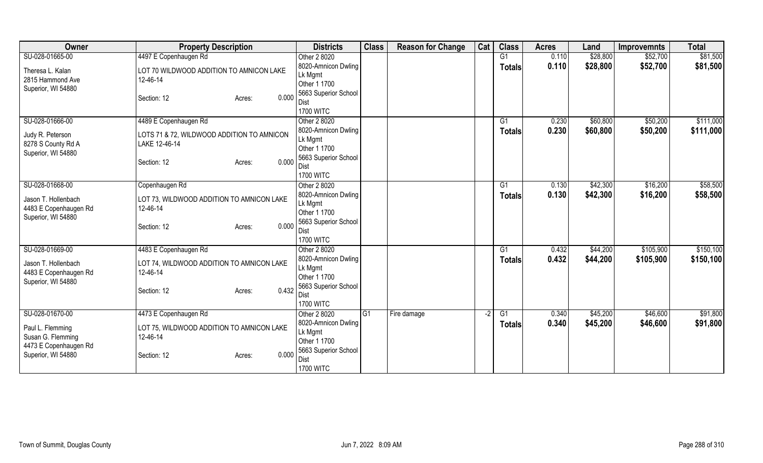| Owner                 | <b>Property Description</b>                | <b>Districts</b>                | <b>Class</b> | <b>Reason for Change</b> | Cat  | <b>Class</b>   | <b>Acres</b> | Land     | <b>Improvemnts</b> | <b>Total</b> |
|-----------------------|--------------------------------------------|---------------------------------|--------------|--------------------------|------|----------------|--------------|----------|--------------------|--------------|
| SU-028-01665-00       | 4497 E Copenhaugen Rd                      | Other 2 8020                    |              |                          |      | G <sub>1</sub> | 0.110        | \$28,800 | \$52,700           | \$81,500     |
| Theresa L. Kalan      | LOT 70 WILDWOOD ADDITION TO AMNICON LAKE   | 8020-Amnicon Dwling             |              |                          |      | <b>Totals</b>  | 0.110        | \$28,800 | \$52,700           | \$81,500     |
| 2815 Hammond Ave      | 12-46-14                                   | Lk Mgmt                         |              |                          |      |                |              |          |                    |              |
| Superior, WI 54880    |                                            | Other 1 1700                    |              |                          |      |                |              |          |                    |              |
|                       | 0.000<br>Section: 12<br>Acres:             | 5663 Superior School            |              |                          |      |                |              |          |                    |              |
|                       |                                            | Dist<br><b>1700 WITC</b>        |              |                          |      |                |              |          |                    |              |
| SU-028-01666-00       | 4489 E Copenhaugen Rd                      | Other 2 8020                    |              |                          |      | G1             | 0.230        | \$60,800 | \$50,200           | \$111,000    |
|                       |                                            | 8020-Amnicon Dwling             |              |                          |      | <b>Totals</b>  | 0.230        | \$60,800 | \$50,200           | \$111,000    |
| Judy R. Peterson      | LOTS 71 & 72, WILDWOOD ADDITION TO AMNICON | Lk Mgmt                         |              |                          |      |                |              |          |                    |              |
| 8278 S County Rd A    | LAKE 12-46-14                              | Other 1 1700                    |              |                          |      |                |              |          |                    |              |
| Superior, WI 54880    |                                            | 5663 Superior School            |              |                          |      |                |              |          |                    |              |
|                       | 0.000<br>Section: 12<br>Acres:             | <b>Dist</b>                     |              |                          |      |                |              |          |                    |              |
|                       |                                            | <b>1700 WITC</b>                |              |                          |      |                |              |          |                    |              |
| SU-028-01668-00       | Copenhaugen Rd                             | Other 2 8020                    |              |                          |      | G1             | 0.130        | \$42,300 | \$16,200           | \$58,500     |
| Jason T. Hollenbach   | LOT 73, WILDWOOD ADDITION TO AMNICON LAKE  | 8020-Amnicon Dwling             |              |                          |      | <b>Totals</b>  | 0.130        | \$42,300 | \$16,200           | \$58,500     |
| 4483 E Copenhaugen Rd | 12-46-14                                   | Lk Mgmt                         |              |                          |      |                |              |          |                    |              |
| Superior, WI 54880    |                                            | Other 1 1700                    |              |                          |      |                |              |          |                    |              |
|                       | 0.000<br>Section: 12<br>Acres:             | 5663 Superior School            |              |                          |      |                |              |          |                    |              |
|                       |                                            | <b>Dist</b><br><b>1700 WITC</b> |              |                          |      |                |              |          |                    |              |
| SU-028-01669-00       | 4483 E Copenhaugen Rd                      | Other 2 8020                    |              |                          |      | G1             | 0.432        | \$44,200 | \$105,900          | \$150,100    |
|                       |                                            | 8020-Amnicon Dwling             |              |                          |      |                | 0.432        | \$44,200 | \$105,900          | \$150,100    |
| Jason T. Hollenbach   | LOT 74, WILDWOOD ADDITION TO AMNICON LAKE  | Lk Mgmt                         |              |                          |      | <b>Totals</b>  |              |          |                    |              |
| 4483 E Copenhaugen Rd | 12-46-14                                   | Other 1 1700                    |              |                          |      |                |              |          |                    |              |
| Superior, WI 54880    |                                            | 5663 Superior School            |              |                          |      |                |              |          |                    |              |
|                       | 0.432<br>Section: 12<br>Acres:             | <b>Dist</b>                     |              |                          |      |                |              |          |                    |              |
|                       |                                            | <b>1700 WITC</b>                |              |                          |      |                |              |          |                    |              |
| SU-028-01670-00       | 4473 E Copenhaugen Rd                      | Other 2 8020                    | IG1          | Fire damage              | $-2$ | G1             | 0.340        | \$45,200 | \$46,600           | \$91,800     |
| Paul L. Flemming      | LOT 75, WILDWOOD ADDITION TO AMNICON LAKE  | 8020-Amnicon Dwling             |              |                          |      | <b>Totals</b>  | 0.340        | \$45,200 | \$46,600           | \$91,800     |
| Susan G. Flemming     | 12-46-14                                   | Lk Mgmt                         |              |                          |      |                |              |          |                    |              |
| 4473 E Copenhaugen Rd |                                            | Other 1 1700                    |              |                          |      |                |              |          |                    |              |
| Superior, WI 54880    | 0.000<br>Section: 12<br>Acres:             | 5663 Superior School            |              |                          |      |                |              |          |                    |              |
|                       |                                            | Dist                            |              |                          |      |                |              |          |                    |              |
|                       |                                            | <b>1700 WITC</b>                |              |                          |      |                |              |          |                    |              |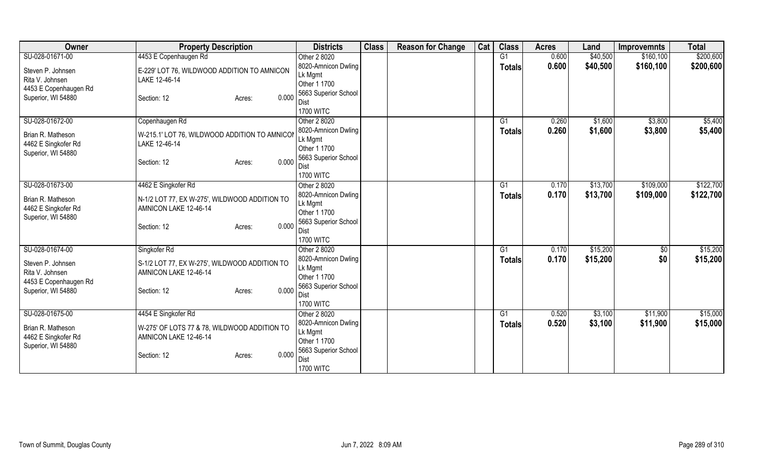| Owner                 | <b>Property Description</b>                   | <b>Districts</b>               | <b>Class</b> | <b>Reason for Change</b> | Cat | <b>Class</b>   | <b>Acres</b> | Land     | <b>Improvemnts</b> | <b>Total</b> |
|-----------------------|-----------------------------------------------|--------------------------------|--------------|--------------------------|-----|----------------|--------------|----------|--------------------|--------------|
| SU-028-01671-00       | 4453 E Copenhaugen Rd                         | Other 2 8020                   |              |                          |     | G <sub>1</sub> | 0.600        | \$40,500 | \$160, 100         | \$200,600    |
| Steven P. Johnsen     | E-229' LOT 76, WILDWOOD ADDITION TO AMNICON   | 8020-Amnicon Dwling            |              |                          |     | <b>Totals</b>  | 0.600        | \$40,500 | \$160,100          | \$200,600    |
| Rita V. Johnsen       | LAKE 12-46-14                                 | Lk Mgmt                        |              |                          |     |                |              |          |                    |              |
| 4453 E Copenhaugen Rd |                                               | Other 1 1700                   |              |                          |     |                |              |          |                    |              |
| Superior, WI 54880    | 0.000<br>Section: 12<br>Acres:                | 5663 Superior School           |              |                          |     |                |              |          |                    |              |
|                       |                                               | Dist                           |              |                          |     |                |              |          |                    |              |
|                       |                                               | <b>1700 WITC</b>               |              |                          |     |                |              |          |                    |              |
| SU-028-01672-00       | Copenhaugen Rd                                | Other 2 8020                   |              |                          |     | G1             | 0.260        | \$1,600  | \$3,800            | \$5,400      |
| Brian R. Matheson     | W-215.1' LOT 76, WILDWOOD ADDITION TO AMNICOM | 8020-Amnicon Dwling<br>Lk Mgmt |              |                          |     | <b>Totals</b>  | 0.260        | \$1,600  | \$3,800            | \$5,400      |
| 4462 E Singkofer Rd   | LAKE 12-46-14                                 | Other 1 1700                   |              |                          |     |                |              |          |                    |              |
| Superior, WI 54880    |                                               | 5663 Superior School           |              |                          |     |                |              |          |                    |              |
|                       | 0.000<br>Section: 12<br>Acres:                | <b>Dist</b>                    |              |                          |     |                |              |          |                    |              |
|                       |                                               | <b>1700 WITC</b>               |              |                          |     |                |              |          |                    |              |
| SU-028-01673-00       | 4462 E Singkofer Rd                           | Other 2 8020                   |              |                          |     | G1             | 0.170        | \$13,700 | \$109,000          | \$122,700    |
|                       |                                               | 8020-Amnicon Dwling            |              |                          |     | <b>Totals</b>  | 0.170        | \$13,700 | \$109,000          | \$122,700    |
| Brian R. Matheson     | N-1/2 LOT 77, EX W-275', WILDWOOD ADDITION TO | Lk Mgmt                        |              |                          |     |                |              |          |                    |              |
| 4462 E Singkofer Rd   | AMNICON LAKE 12-46-14                         | Other 1 1700                   |              |                          |     |                |              |          |                    |              |
| Superior, WI 54880    | 0.000<br>Section: 12<br>Acres:                | 5663 Superior School           |              |                          |     |                |              |          |                    |              |
|                       |                                               | Dist                           |              |                          |     |                |              |          |                    |              |
|                       |                                               | <b>1700 WITC</b>               |              |                          |     |                |              |          |                    |              |
| SU-028-01674-00       | Singkofer Rd                                  | Other 2 8020                   |              |                          |     | G1             | 0.170        | \$15,200 | $\sqrt{6}$         | \$15,200     |
| Steven P. Johnsen     | S-1/2 LOT 77, EX W-275', WILDWOOD ADDITION TO | 8020-Amnicon Dwling            |              |                          |     | Totals         | 0.170        | \$15,200 | \$0                | \$15,200     |
| Rita V. Johnsen       | AMNICON LAKE 12-46-14                         | Lk Mgmt                        |              |                          |     |                |              |          |                    |              |
| 4453 E Copenhaugen Rd |                                               | Other 1 1700                   |              |                          |     |                |              |          |                    |              |
| Superior, WI 54880    | 0.000<br>Section: 12<br>Acres:                | 5663 Superior School<br>Dist   |              |                          |     |                |              |          |                    |              |
|                       |                                               | <b>1700 WITC</b>               |              |                          |     |                |              |          |                    |              |
| SU-028-01675-00       | 4454 E Singkofer Rd                           | Other 2 8020                   |              |                          |     | G1             | 0.520        | \$3,100  | \$11,900           | \$15,000     |
|                       |                                               | 8020-Amnicon Dwling            |              |                          |     | <b>Totals</b>  | 0.520        | \$3,100  | \$11,900           | \$15,000     |
| Brian R. Matheson     | W-275' OF LOTS 77 & 78, WILDWOOD ADDITION TO  | Lk Mgmt                        |              |                          |     |                |              |          |                    |              |
| 4462 E Singkofer Rd   | AMNICON LAKE 12-46-14                         | Other 1 1700                   |              |                          |     |                |              |          |                    |              |
| Superior, WI 54880    |                                               | 5663 Superior School           |              |                          |     |                |              |          |                    |              |
|                       | 0.000<br>Section: 12<br>Acres:                | Dist                           |              |                          |     |                |              |          |                    |              |
|                       |                                               | <b>1700 WITC</b>               |              |                          |     |                |              |          |                    |              |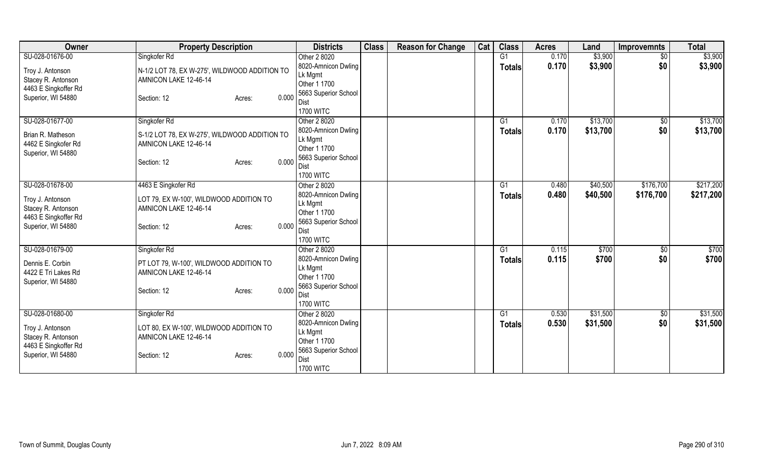| Owner                                                                                | <b>Property Description</b>                                                                              | <b>Districts</b>                                                               | <b>Class</b> | <b>Reason for Change</b> | Cat | <b>Class</b>  | <b>Acres</b> | Land     | <b>Improvemnts</b> | <b>Total</b> |
|--------------------------------------------------------------------------------------|----------------------------------------------------------------------------------------------------------|--------------------------------------------------------------------------------|--------------|--------------------------|-----|---------------|--------------|----------|--------------------|--------------|
| SU-028-01676-00                                                                      | Singkofer Rd                                                                                             | Other 2 8020                                                                   |              |                          |     | G1            | 0.170        | \$3,900  | $\sqrt{$0}$        | \$3,900      |
| Troy J. Antonson<br>Stacey R. Antonson                                               | N-1/2 LOT 78, EX W-275', WILDWOOD ADDITION TO<br>AMNICON LAKE 12-46-14                                   | 8020-Amnicon Dwling<br>Lk Mgmt<br>Other 1 1700                                 |              |                          |     | <b>Totals</b> | 0.170        | \$3,900  | \$0                | \$3,900      |
| 4463 E Singkoffer Rd<br>Superior, WI 54880                                           | 0.000<br>Section: 12<br>Acres:                                                                           | 5663 Superior School<br>Dist<br><b>1700 WITC</b>                               |              |                          |     |               |              |          |                    |              |
| SU-028-01677-00                                                                      | Singkofer Rd                                                                                             | Other 2 8020                                                                   |              |                          |     | G1            | 0.170        | \$13,700 | \$0                | \$13,700     |
| Brian R. Matheson<br>4462 E Singkofer Rd<br>Superior, WI 54880                       | S-1/2 LOT 78, EX W-275', WILDWOOD ADDITION TO<br>AMNICON LAKE 12-46-14<br>0.000<br>Section: 12<br>Acres: | 8020-Amnicon Dwling<br>Lk Mgmt<br>Other 1 1700<br>5663 Superior School<br>Dist |              |                          |     | <b>Totals</b> | 0.170        | \$13,700 | \$0                | \$13,700     |
|                                                                                      |                                                                                                          | <b>1700 WITC</b>                                                               |              |                          |     |               |              |          |                    |              |
| SU-028-01678-00                                                                      | 4463 E Singkofer Rd                                                                                      | Other 2 8020                                                                   |              |                          |     | G1            | 0.480        | \$40,500 | \$176,700          | \$217,200    |
| Troy J. Antonson<br>Stacey R. Antonson<br>4463 E Singkoffer Rd                       | LOT 79, EX W-100', WILDWOOD ADDITION TO<br>AMNICON LAKE 12-46-14                                         | 8020-Amnicon Dwling<br>Lk Mgmt<br>Other 1 1700                                 |              |                          |     | Totals        | 0.480        | \$40,500 | \$176,700          | \$217,200    |
| Superior, WI 54880                                                                   | 0.000<br>Section: 12<br>Acres:                                                                           | 5663 Superior School<br>Dist<br><b>1700 WITC</b>                               |              |                          |     |               |              |          |                    |              |
| SU-028-01679-00                                                                      | Singkofer Rd                                                                                             | Other 2 8020                                                                   |              |                          |     | G1            | 0.115        | \$700    | $\overline{50}$    | \$700        |
| Dennis E. Corbin<br>4422 E Tri Lakes Rd<br>Superior, WI 54880                        | PT LOT 79, W-100', WILDWOOD ADDITION TO<br>AMNICON LAKE 12-46-14                                         | 8020-Amnicon Dwling<br>Lk Mgmt<br>Other 1 1700                                 |              |                          |     | <b>Totals</b> | 0.115        | \$700    | \$0                | \$700        |
|                                                                                      | 0.000<br>Section: 12<br>Acres:                                                                           | 5663 Superior School<br>Dist<br><b>1700 WITC</b>                               |              |                          |     |               |              |          |                    |              |
| SU-028-01680-00                                                                      | Singkofer Rd                                                                                             | Other 2 8020                                                                   |              |                          |     | G1            | 0.530        | \$31,500 | \$0                | \$31,500     |
| Troy J. Antonson<br>Stacey R. Antonson<br>4463 E Singkoffer Rd<br>Superior, WI 54880 | LOT 80, EX W-100', WILDWOOD ADDITION TO<br>AMNICON LAKE 12-46-14<br>0.000<br>Section: 12<br>Acres:       | 8020-Amnicon Dwling<br>Lk Mgmt<br>Other 1 1700<br>5663 Superior School<br>Dist |              |                          |     | <b>Totals</b> | 0.530        | \$31,500 | \$0                | \$31,500     |
|                                                                                      |                                                                                                          | <b>1700 WITC</b>                                                               |              |                          |     |               |              |          |                    |              |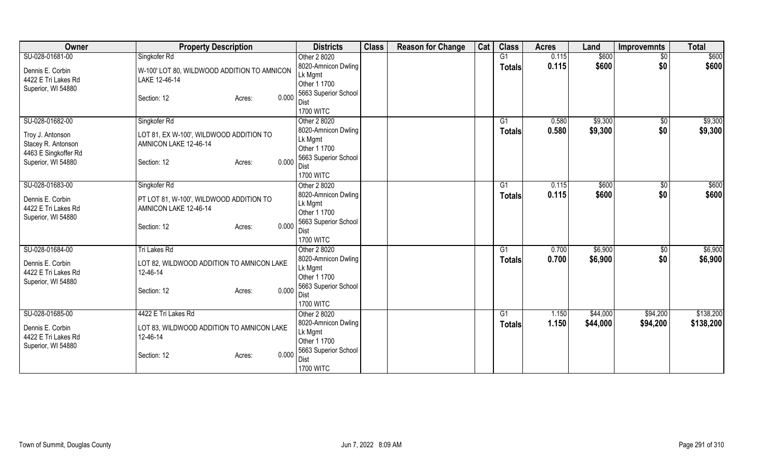| <b>Owner</b>                                                                         | <b>Property Description</b>                                                                        | <b>Districts</b>                                                       | <b>Class</b> | <b>Reason for Change</b> | Cat | <b>Class</b>  | <b>Acres</b> | Land     | Improvemnts     | <b>Total</b> |
|--------------------------------------------------------------------------------------|----------------------------------------------------------------------------------------------------|------------------------------------------------------------------------|--------------|--------------------------|-----|---------------|--------------|----------|-----------------|--------------|
| SU-028-01681-00                                                                      | Singkofer Rd                                                                                       | Other 2 8020                                                           |              |                          |     | G1            | 0.115        | \$600    | $\overline{50}$ | \$600        |
| Dennis E. Corbin<br>4422 E Tri Lakes Rd<br>Superior, WI 54880                        | W-100' LOT 80, WILDWOOD ADDITION TO AMNICON<br>LAKE 12-46-14                                       | 8020-Amnicon Dwling<br>Lk Mgmt<br>Other 1 1700                         |              |                          |     | <b>Totals</b> | 0.115        | \$600    | \$0             | \$600        |
|                                                                                      | 0.000<br>Section: 12<br>Acres:                                                                     | 5663 Superior School<br>Dist<br><b>1700 WITC</b>                       |              |                          |     |               |              |          |                 |              |
| SU-028-01682-00                                                                      | Singkofer Rd                                                                                       | Other 2 8020                                                           |              |                          |     | G1            | 0.580        | \$9,300  | \$0             | \$9,300      |
| Troy J. Antonson<br>Stacey R. Antonson<br>4463 E Singkoffer Rd<br>Superior, WI 54880 | LOT 81, EX W-100', WILDWOOD ADDITION TO<br>AMNICON LAKE 12-46-14<br>0.000<br>Section: 12<br>Acres: | 8020-Amnicon Dwling<br>Lk Mgmt<br>Other 1 1700<br>5663 Superior School |              |                          |     | <b>Totals</b> | 0.580        | \$9,300  | \$0             | \$9,300      |
|                                                                                      |                                                                                                    | <b>Dist</b><br><b>1700 WITC</b>                                        |              |                          |     |               |              |          |                 |              |
| SU-028-01683-00                                                                      | Singkofer Rd                                                                                       | Other 2 8020                                                           |              |                          |     | G1            | 0.115        | \$600    | $\sqrt[6]{3}$   | \$600        |
| Dennis E. Corbin<br>4422 E Tri Lakes Rd<br>Superior, WI 54880                        | PT LOT 81, W-100', WILDWOOD ADDITION TO<br>AMNICON LAKE 12-46-14                                   | 8020-Amnicon Dwling<br>Lk Mgmt<br>Other 1 1700                         |              |                          |     | <b>Totals</b> | 0.115        | \$600    | \$0             | \$600        |
|                                                                                      | 0.000<br>Section: 12<br>Acres:                                                                     | 5663 Superior School<br>Dist<br><b>1700 WITC</b>                       |              |                          |     |               |              |          |                 |              |
| SU-028-01684-00                                                                      | Tri Lakes Rd                                                                                       | Other 2 8020                                                           |              |                          |     | G1            | 0.700        | \$6,900  | $\sqrt{6}$      | \$6,900      |
| Dennis E. Corbin<br>4422 E Tri Lakes Rd<br>Superior, WI 54880                        | LOT 82, WILDWOOD ADDITION TO AMNICON LAKE<br>12-46-14                                              | 8020-Amnicon Dwling<br>Lk Mgmt<br>Other 1 1700                         |              |                          |     | <b>Totals</b> | 0.700        | \$6,900  | \$0             | \$6,900      |
|                                                                                      | 0.000<br>Section: 12<br>Acres:                                                                     | 5663 Superior School<br><b>Dist</b><br><b>1700 WITC</b>                |              |                          |     |               |              |          |                 |              |
| SU-028-01685-00                                                                      | 4422 E Tri Lakes Rd                                                                                | Other 2 8020                                                           |              |                          |     | G1            | 1.150        | \$44,000 | \$94,200        | \$138,200    |
| Dennis E. Corbin<br>4422 E Tri Lakes Rd<br>Superior, WI 54880                        | LOT 83, WILDWOOD ADDITION TO AMNICON LAKE<br>12-46-14                                              | 8020-Amnicon Dwling<br>Lk Mgmt<br>Other 1 1700                         |              |                          |     | <b>Totals</b> | 1.150        | \$44,000 | \$94,200        | \$138,200    |
|                                                                                      | 0.000<br>Section: 12<br>Acres:                                                                     | 5663 Superior School<br>Dist<br><b>1700 WITC</b>                       |              |                          |     |               |              |          |                 |              |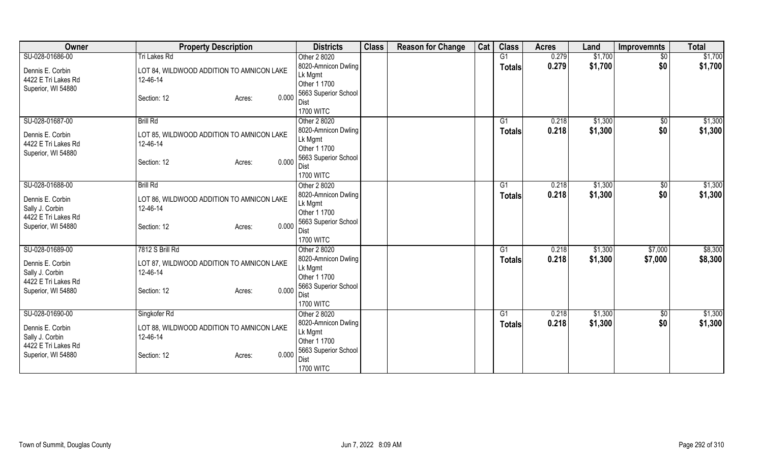| Owner                                  | <b>Property Description</b>                           | <b>Districts</b>        | <b>Class</b> | <b>Reason for Change</b> | Cat | <b>Class</b>   | <b>Acres</b> | Land    | <b>Improvemnts</b> | <b>Total</b> |
|----------------------------------------|-------------------------------------------------------|-------------------------|--------------|--------------------------|-----|----------------|--------------|---------|--------------------|--------------|
| SU-028-01686-00                        | Tri Lakes Rd                                          | Other 2 8020            |              |                          |     | G1             | 0.279        | \$1,700 | $\overline{50}$    | \$1,700      |
| Dennis E. Corbin                       | LOT 84, WILDWOOD ADDITION TO AMNICON LAKE             | 8020-Amnicon Dwling     |              |                          |     | <b>Totals</b>  | 0.279        | \$1,700 | \$0                | \$1,700      |
| 4422 E Tri Lakes Rd                    | 12-46-14                                              | Lk Mgmt                 |              |                          |     |                |              |         |                    |              |
| Superior, WI 54880                     |                                                       | Other 1 1700            |              |                          |     |                |              |         |                    |              |
|                                        | 0.000<br>Section: 12<br>Acres:                        | 5663 Superior School    |              |                          |     |                |              |         |                    |              |
|                                        |                                                       | Dist                    |              |                          |     |                |              |         |                    |              |
|                                        |                                                       | <b>1700 WITC</b>        |              |                          |     |                |              |         |                    |              |
| SU-028-01687-00                        | <b>Brill Rd</b>                                       | Other 2 8020            |              |                          |     | G1             | 0.218        | \$1,300 | \$0                | \$1,300      |
| Dennis E. Corbin                       | LOT 85, WILDWOOD ADDITION TO AMNICON LAKE             | 8020-Amnicon Dwling     |              |                          |     | <b>Totals</b>  | 0.218        | \$1,300 | \$0                | \$1,300      |
| 4422 E Tri Lakes Rd                    | 12-46-14                                              | Lk Mgmt<br>Other 1 1700 |              |                          |     |                |              |         |                    |              |
| Superior, WI 54880                     |                                                       | 5663 Superior School    |              |                          |     |                |              |         |                    |              |
|                                        | 0.000<br>Section: 12<br>Acres:                        | Dist                    |              |                          |     |                |              |         |                    |              |
|                                        |                                                       | <b>1700 WITC</b>        |              |                          |     |                |              |         |                    |              |
| SU-028-01688-00                        | <b>Brill Rd</b>                                       | Other 2 8020            |              |                          |     | G <sub>1</sub> | 0.218        | \$1,300 | \$0                | \$1,300      |
|                                        |                                                       | 8020-Amnicon Dwling     |              |                          |     | <b>Totals</b>  | 0.218        | \$1,300 | \$0                | \$1,300      |
| Dennis E. Corbin                       | LOT 86, WILDWOOD ADDITION TO AMNICON LAKE             | Lk Mgmt                 |              |                          |     |                |              |         |                    |              |
| Sally J. Corbin                        | 12-46-14                                              | Other 1 1700            |              |                          |     |                |              |         |                    |              |
| 4422 E Tri Lakes Rd                    |                                                       | 5663 Superior School    |              |                          |     |                |              |         |                    |              |
| Superior, WI 54880                     | 0.000<br>Section: 12<br>Acres:                        | Dist                    |              |                          |     |                |              |         |                    |              |
|                                        |                                                       | <b>1700 WITC</b>        |              |                          |     |                |              |         |                    |              |
| SU-028-01689-00                        | 7812 S Brill Rd                                       | Other 2 8020            |              |                          |     | G1             | 0.218        | \$1,300 | \$7,000            | \$8,300      |
|                                        |                                                       | 8020-Amnicon Dwling     |              |                          |     | <b>Totals</b>  | 0.218        | \$1,300 | \$7,000            | \$8,300      |
| Dennis E. Corbin                       | LOT 87, WILDWOOD ADDITION TO AMNICON LAKE<br>12-46-14 | Lk Mgmt                 |              |                          |     |                |              |         |                    |              |
| Sally J. Corbin<br>4422 E Tri Lakes Rd |                                                       | Other 1 1700            |              |                          |     |                |              |         |                    |              |
| Superior, WI 54880                     | 0.000<br>Section: 12<br>Acres:                        | 5663 Superior School    |              |                          |     |                |              |         |                    |              |
|                                        |                                                       | Dist                    |              |                          |     |                |              |         |                    |              |
|                                        |                                                       | <b>1700 WITC</b>        |              |                          |     |                |              |         |                    |              |
| SU-028-01690-00                        | Singkofer Rd                                          | Other 2 8020            |              |                          |     | G1             | 0.218        | \$1,300 | \$0                | \$1,300      |
| Dennis E. Corbin                       | LOT 88, WILDWOOD ADDITION TO AMNICON LAKE             | 8020-Amnicon Dwling     |              |                          |     | <b>Totals</b>  | 0.218        | \$1,300 | \$0                | \$1,300      |
| Sally J. Corbin                        | 12-46-14                                              | Lk Mgmt                 |              |                          |     |                |              |         |                    |              |
| 4422 E Tri Lakes Rd                    |                                                       | Other 1 1700            |              |                          |     |                |              |         |                    |              |
| Superior, WI 54880                     | 0.000<br>Section: 12<br>Acres:                        | 5663 Superior School    |              |                          |     |                |              |         |                    |              |
|                                        |                                                       | Dist                    |              |                          |     |                |              |         |                    |              |
|                                        |                                                       | <b>1700 WITC</b>        |              |                          |     |                |              |         |                    |              |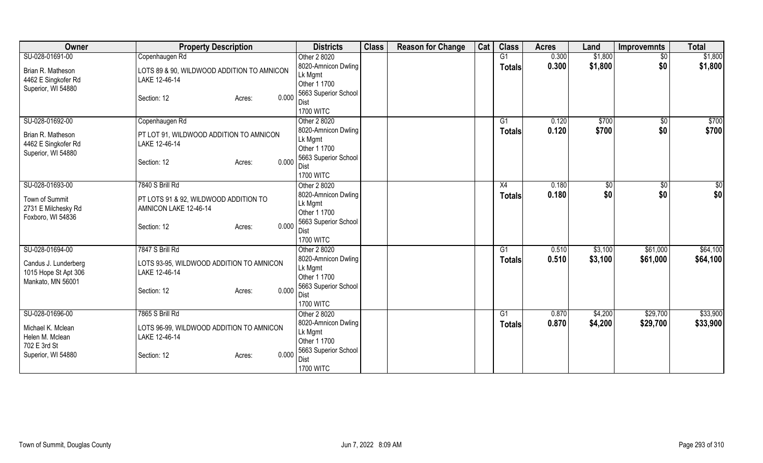| Owner                                 | <b>Property Description</b>                                    | <b>Districts</b>               | <b>Class</b> | <b>Reason for Change</b> | Cat | <b>Class</b>  | <b>Acres</b> | Land           | <b>Improvemnts</b> | <b>Total</b> |
|---------------------------------------|----------------------------------------------------------------|--------------------------------|--------------|--------------------------|-----|---------------|--------------|----------------|--------------------|--------------|
| SU-028-01691-00                       | Copenhaugen Rd                                                 | Other 2 8020                   |              |                          |     | G1            | 0.300        | \$1,800        | $\sqrt{$0}$        | \$1,800      |
| Brian R. Matheson                     | LOTS 89 & 90, WILDWOOD ADDITION TO AMNICON                     | 8020-Amnicon Dwling            |              |                          |     | <b>Totals</b> | 0.300        | \$1,800        | \$0                | \$1,800      |
| 4462 E Singkofer Rd                   | LAKE 12-46-14                                                  | Lk Mgmt                        |              |                          |     |               |              |                |                    |              |
| Superior, WI 54880                    |                                                                | Other 1 1700                   |              |                          |     |               |              |                |                    |              |
|                                       | 0.000<br>Section: 12<br>Acres:                                 | 5663 Superior School           |              |                          |     |               |              |                |                    |              |
|                                       |                                                                | Dist                           |              |                          |     |               |              |                |                    |              |
|                                       |                                                                | <b>1700 WITC</b>               |              |                          |     |               |              |                |                    |              |
| SU-028-01692-00                       | Copenhaugen Rd                                                 | Other 2 8020                   |              |                          |     | G1            | 0.120        | \$700<br>\$700 | \$0                | \$700        |
| Brian R. Matheson                     | PT LOT 91, WILDWOOD ADDITION TO AMNICON                        | 8020-Amnicon Dwling<br>Lk Mgmt |              |                          |     | <b>Totals</b> | 0.120        |                | \$0                | \$700        |
| 4462 E Singkofer Rd                   | LAKE 12-46-14                                                  | Other 1 1700                   |              |                          |     |               |              |                |                    |              |
| Superior, WI 54880                    |                                                                | 5663 Superior School           |              |                          |     |               |              |                |                    |              |
|                                       | 0.000<br>Section: 12<br>Acres:                                 | Dist                           |              |                          |     |               |              |                |                    |              |
|                                       |                                                                | <b>1700 WITC</b>               |              |                          |     |               |              |                |                    |              |
| SU-028-01693-00                       | 7840 S Brill Rd                                                | Other 2 8020                   |              |                          |     | X4            | 0.180        | \$0            | $\sqrt[6]{3}$      | \$0          |
|                                       |                                                                | 8020-Amnicon Dwling            |              |                          |     | Totals        | 0.180        | \$0            | \$0                | \$0          |
| Town of Summit<br>2731 E Milchesky Rd | PT LOTS 91 & 92, WILDWOOD ADDITION TO<br>AMNICON LAKE 12-46-14 | Lk Mgmt                        |              |                          |     |               |              |                |                    |              |
| Foxboro, WI 54836                     |                                                                | Other 1 1700                   |              |                          |     |               |              |                |                    |              |
|                                       | 0.000<br>Section: 12<br>Acres:                                 | 5663 Superior School           |              |                          |     |               |              |                |                    |              |
|                                       |                                                                | Dist                           |              |                          |     |               |              |                |                    |              |
|                                       |                                                                | <b>1700 WITC</b>               |              |                          |     |               |              |                |                    |              |
| SU-028-01694-00                       | 7847 S Brill Rd                                                | Other 2 8020                   |              |                          |     | G1            | 0.510        | \$3,100        | \$61,000           | \$64,100     |
| Candus J. Lunderberg                  | LOTS 93-95, WILDWOOD ADDITION TO AMNICON                       | 8020-Amnicon Dwling            |              |                          |     | Totals        | 0.510        | \$3,100        | \$61,000           | \$64,100     |
| 1015 Hope St Apt 306                  | LAKE 12-46-14                                                  | Lk Mgmt<br>Other 1 1700        |              |                          |     |               |              |                |                    |              |
| Mankato, MN 56001                     |                                                                | 5663 Superior School           |              |                          |     |               |              |                |                    |              |
|                                       | 0.000<br>Section: 12<br>Acres:                                 | Dist                           |              |                          |     |               |              |                |                    |              |
|                                       |                                                                | <b>1700 WITC</b>               |              |                          |     |               |              |                |                    |              |
| SU-028-01696-00                       | 7865 S Brill Rd                                                | Other 2 8020                   |              |                          |     | G1            | 0.870        | \$4,200        | \$29,700           | \$33,900     |
|                                       |                                                                | 8020-Amnicon Dwling            |              |                          |     | <b>Totals</b> | 0.870        | \$4,200        | \$29,700           | \$33,900     |
| Michael K. Mclean                     | LOTS 96-99, WILDWOOD ADDITION TO AMNICON                       | Lk Mgmt                        |              |                          |     |               |              |                |                    |              |
| Helen M. Mclean                       | LAKE 12-46-14                                                  | Other 1 1700                   |              |                          |     |               |              |                |                    |              |
| 702 E 3rd St                          | 0.000                                                          | 5663 Superior School           |              |                          |     |               |              |                |                    |              |
| Superior, WI 54880                    | Section: 12<br>Acres:                                          | Dist                           |              |                          |     |               |              |                |                    |              |
|                                       |                                                                | <b>1700 WITC</b>               |              |                          |     |               |              |                |                    |              |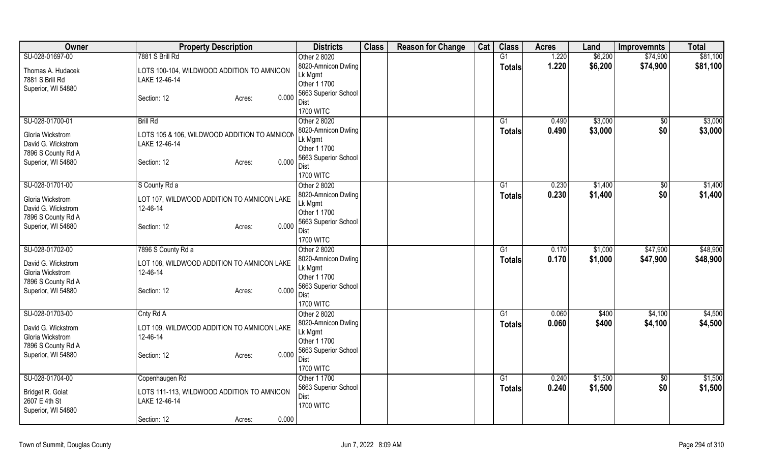| Owner                                                               | <b>Property Description</b>                                   |       | <b>Districts</b>                                                       | <b>Class</b> | <b>Reason for Change</b> | Cat | <b>Class</b>  | <b>Acres</b> | Land    | <b>Improvemnts</b> | <b>Total</b> |
|---------------------------------------------------------------------|---------------------------------------------------------------|-------|------------------------------------------------------------------------|--------------|--------------------------|-----|---------------|--------------|---------|--------------------|--------------|
| SU-028-01697-00                                                     | 7881 S Brill Rd                                               |       | Other 2 8020                                                           |              |                          |     | G1            | 1.220        | \$6,200 | \$74,900           | \$81,100     |
| Thomas A. Hudacek<br>7881 S Brill Rd<br>Superior, WI 54880          | LOTS 100-104, WILDWOOD ADDITION TO AMNICON<br>LAKE 12-46-14   |       | 8020-Amnicon Dwling<br>Lk Mgmt<br>Other 1 1700<br>5663 Superior School |              |                          |     | <b>Totals</b> | 1.220        | \$6,200 | \$74,900           | \$81,100     |
|                                                                     | Section: 12<br>Acres:                                         | 0.000 | Dist<br><b>1700 WITC</b>                                               |              |                          |     |               |              |         |                    |              |
| SU-028-01700-01                                                     | <b>Brill Rd</b>                                               |       | Other 2 8020                                                           |              |                          |     | G1            | 0.490        | \$3,000 | \$0                | \$3,000      |
| Gloria Wickstrom<br>David G. Wickstrom<br>7896 S County Rd A        | LOTS 105 & 106, WILDWOOD ADDITION TO AMNICON<br>LAKE 12-46-14 |       | 8020-Amnicon Dwling<br>Lk Mgmt<br>Other 1 1700                         |              |                          |     | <b>Totals</b> | 0.490        | \$3,000 | \$0                | \$3,000      |
| Superior, WI 54880                                                  | Section: 12<br>Acres:                                         | 0.000 | 5663 Superior School<br>Dist<br><b>1700 WITC</b>                       |              |                          |     |               |              |         |                    |              |
| SU-028-01701-00                                                     | S County Rd a                                                 |       | Other 2 8020                                                           |              |                          |     | G1            | 0.230        | \$1,400 | \$0                | \$1,400      |
| Gloria Wickstrom<br>David G. Wickstrom<br>7896 S County Rd A        | LOT 107, WILDWOOD ADDITION TO AMNICON LAKE<br>12-46-14        |       | 8020-Amnicon Dwling<br>Lk Mgmt<br>Other 1 1700                         |              |                          |     | <b>Totals</b> | 0.230        | \$1,400 | \$0                | \$1,400      |
| Superior, WI 54880                                                  | Section: 12<br>Acres:                                         | 0.000 | 5663 Superior School<br>Dist<br><b>1700 WITC</b>                       |              |                          |     |               |              |         |                    |              |
| SU-028-01702-00                                                     | 7896 S County Rd a                                            |       | Other 2 8020                                                           |              |                          |     | G1            | 0.170        | \$1,000 | \$47,900           | \$48,900     |
| David G. Wickstrom<br><b>Gloria Wickstrom</b><br>7896 S County Rd A | LOT 108, WILDWOOD ADDITION TO AMNICON LAKE<br>12-46-14        |       | 8020-Amnicon Dwling<br>Lk Mgmt<br>Other 1 1700                         |              |                          |     | <b>Totals</b> | 0.170        | \$1,000 | \$47,900           | \$48,900     |
| Superior, WI 54880                                                  | Section: 12<br>Acres:                                         | 0.000 | 5663 Superior School<br>Dist<br><b>1700 WITC</b>                       |              |                          |     |               |              |         |                    |              |
| SU-028-01703-00                                                     | Cnty Rd A                                                     |       | Other 2 8020                                                           |              |                          |     | G1            | 0.060        | \$400   | \$4,100            | \$4,500      |
| David G. Wickstrom<br>Gloria Wickstrom<br>7896 S County Rd A        | LOT 109, WILDWOOD ADDITION TO AMNICON LAKE<br>12-46-14        |       | 8020-Amnicon Dwling<br>Lk Mgmt<br>Other 1 1700                         |              |                          |     | <b>Totals</b> | 0.060        | \$400   | \$4,100            | \$4,500      |
| Superior, WI 54880                                                  | Section: 12<br>Acres:                                         | 0.000 | 5663 Superior School<br>Dist<br><b>1700 WITC</b>                       |              |                          |     |               |              |         |                    |              |
| SU-028-01704-00                                                     | Copenhaugen Rd                                                |       | Other 1 1700                                                           |              |                          |     | G1            | 0.240        | \$1,500 | \$0                | \$1,500      |
| Bridget R. Golat<br>2607 E 4th St<br>Superior, WI 54880             | LOTS 111-113, WILDWOOD ADDITION TO AMNICON<br>LAKE 12-46-14   |       | 5663 Superior School<br>Dist<br><b>1700 WITC</b>                       |              |                          |     | <b>Totals</b> | 0.240        | \$1,500 | \$0                | \$1,500      |
|                                                                     | Section: 12<br>Acres:                                         | 0.000 |                                                                        |              |                          |     |               |              |         |                    |              |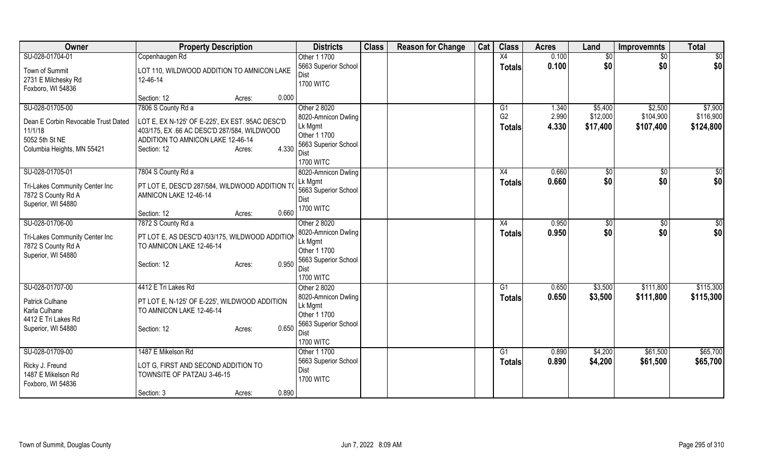| Owner                                                                                                             | <b>Property Description</b>                                                                                                                                                                | <b>Districts</b>                                                                                                          | <b>Class</b> | <b>Reason for Change</b> | Cat | <b>Class</b>                                      | <b>Acres</b>            | Land                            | <b>Improvemnts</b>                | <b>Total</b>                      |
|-------------------------------------------------------------------------------------------------------------------|--------------------------------------------------------------------------------------------------------------------------------------------------------------------------------------------|---------------------------------------------------------------------------------------------------------------------------|--------------|--------------------------|-----|---------------------------------------------------|-------------------------|---------------------------------|-----------------------------------|-----------------------------------|
| SU-028-01704-01                                                                                                   | Copenhaugen Rd                                                                                                                                                                             | Other 1 1700                                                                                                              |              |                          |     | $\overline{X4}$                                   | 0.100                   | $\sqrt{$0}$                     | $\overline{50}$                   | \$0                               |
| Town of Summit<br>2731 E Milchesky Rd<br>Foxboro, WI 54836                                                        | LOT 110, WILDWOOD ADDITION TO AMNICON LAKE<br>12-46-14                                                                                                                                     | 5663 Superior School<br><b>Dist</b><br><b>1700 WITC</b>                                                                   |              |                          |     | <b>Totals</b>                                     | 0.100                   | \$0                             | \$0                               | \$0                               |
|                                                                                                                   | 0.000<br>Section: 12<br>Acres:                                                                                                                                                             |                                                                                                                           |              |                          |     |                                                   |                         |                                 |                                   |                                   |
| SU-028-01705-00<br>Dean E Corbin Revocable Trust Dated<br>11/1/18<br>5052 5th St NE<br>Columbia Heights, MN 55421 | 7806 S County Rd a<br>LOT E, EX N-125' OF E-225', EX EST. 95AC DESC'D<br>403/175, EX.66 AC DESC'D 287/584, WILDWOOD<br>ADDITION TO AMNICON LAKE 12-46-14<br>4.330<br>Section: 12<br>Acres: | Other 2 8020<br>8020-Amnicon Dwling<br>Lk Mgmt<br>Other 1 1700<br>5663 Superior School<br>Dist<br><b>1700 WITC</b>        |              |                          |     | G <sub>1</sub><br>G <sub>2</sub><br><b>Totals</b> | 1.340<br>2.990<br>4.330 | \$5,400<br>\$12,000<br>\$17,400 | \$2,500<br>\$104,900<br>\$107,400 | \$7,900<br>\$116,900<br>\$124,800 |
| SU-028-01705-01<br>Tri-Lakes Community Center Inc<br>7872 S County Rd A<br>Superior, WI 54880                     | 7804 S County Rd a<br>PT LOT E, DESC'D 287/584, WILDWOOD ADDITION TO<br>AMNICON LAKE 12-46-14                                                                                              | 8020-Amnicon Dwling<br>Lk Mgmt<br>5663 Superior School<br>Dist<br><b>1700 WITC</b>                                        |              |                          |     | X4<br><b>Totals</b>                               | 0.660<br>0.660          | $\sqrt{6}$<br>\$0               | $\overline{50}$<br>\$0            | \$0<br>\$0                        |
|                                                                                                                   | 0.660<br>Section: 12<br>Acres:                                                                                                                                                             |                                                                                                                           |              |                          |     |                                                   |                         |                                 |                                   |                                   |
| SU-028-01706-00<br>Tri-Lakes Community Center Inc<br>7872 S County Rd A<br>Superior, WI 54880                     | 7872 S County Rd a<br>PT LOT E, AS DESC'D 403/175, WILDWOOD ADDITION<br>TO AMNICON LAKE 12-46-14<br>0.950<br>Section: 12<br>Acres:                                                         | Other 2 8020<br>8020-Amnicon Dwling<br>Lk Mgmt<br>Other 1 1700<br>5663 Superior School<br>Dist<br><b>1700 WITC</b>        |              |                          |     | X4<br><b>Totals</b>                               | 0.950<br>0.950          | $\sqrt{$0}$<br>\$0              | \$0<br>\$0                        | \$0<br>\$0                        |
| SU-028-01707-00<br>Patrick Culhane<br>Karla Culhane<br>4412 E Tri Lakes Rd<br>Superior, WI 54880                  | 4412 E Tri Lakes Rd<br>PT LOT E, N-125' OF E-225', WILDWOOD ADDITION<br>TO AMNICON LAKE 12-46-14<br>0.650<br>Section: 12<br>Acres:                                                         | Other 2 8020<br>8020-Amnicon Dwling<br>Lk Mgmt<br>Other 1 1700<br>5663 Superior School<br><b>Dist</b><br><b>1700 WITC</b> |              |                          |     | G <sub>1</sub><br><b>Totals</b>                   | 0.650<br>0.650          | \$3,500<br>\$3,500              | \$111,800<br>\$111,800            | \$115,300<br>\$115,300            |
| SU-028-01709-00<br>Ricky J. Freund<br>1487 E Mikelson Rd<br>Foxboro, WI 54836                                     | 1487 E Mikelson Rd<br>LOT G. FIRST AND SECOND ADDITION TO<br>TOWNSITE OF PATZAU 3-46-15<br>0.890<br>Section: 3<br>Acres:                                                                   | Other 1 1700<br>5663 Superior School<br>Dist<br><b>1700 WITC</b>                                                          |              |                          |     | G1<br><b>Totals</b>                               | 0.890<br>0.890          | \$4,200<br>\$4,200              | \$61,500<br>\$61,500              | \$65,700<br>\$65,700              |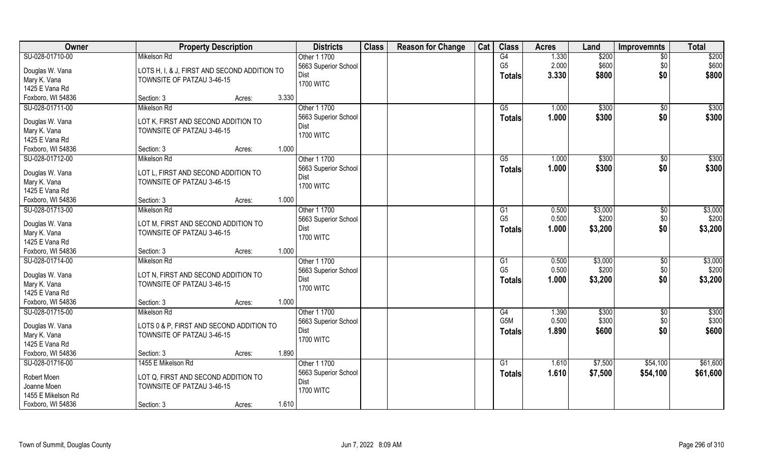| \$200<br>G4<br>1.330<br>Mikelson Rd<br>Other 1 1700<br>\$200<br>$\overline{50}$<br>G <sub>5</sub><br>2.000<br>\$600<br>\$0<br>\$600<br>5663 Superior School<br>Douglas W. Vana<br>LOTS H, I, & J, FIRST AND SECOND ADDITION TO<br>\$0<br>3.330<br>\$800<br>\$800<br><b>Dist</b><br><b>Totals</b><br>Mary K. Vana<br>TOWNSITE OF PATZAU 3-46-15<br><b>1700 WITC</b><br>1425 E Vana Rd<br>Foxboro, WI 54836<br>3.330<br>Section: 3<br>Acres:<br>SU-028-01711-00<br>Mikelson Rd<br>Other 1 1700<br>\$300<br>\$300<br>G5<br>1.000<br>$\sqrt{$0}$<br>5663 Superior School<br>1.000<br>\$300<br>\$0<br>\$300<br><b>Totals</b><br>Douglas W. Vana<br>LOT K, FIRST AND SECOND ADDITION TO<br>Dist<br>Mary K. Vana<br>TOWNSITE OF PATZAU 3-46-15<br><b>1700 WITC</b><br>1425 E Vana Rd<br>1.000<br>Foxboro, WI 54836<br>Section: 3<br>Acres:<br>\$300<br>SU-028-01712-00<br>Other 1 1700<br>Mikelson Rd<br>G5<br>1.000<br>\$300<br>$\sqrt[6]{30}$<br>\$0<br>\$300<br>5663 Superior School<br>1.000<br>\$300<br><b>Totals</b><br>LOT L, FIRST AND SECOND ADDITION TO<br>Douglas W. Vana<br>Dist<br>TOWNSITE OF PATZAU 3-46-15<br><b>1700 WITC</b><br>1425 E Vana Rd<br>1.000<br>Foxboro, WI 54836<br>Section: 3<br>Acres:<br>\$3,000<br>Mikelson Rd<br>Other 1 1700<br>0.500<br>\$3,000<br>G <sub>1</sub><br>\$0<br>\$200<br>G <sub>5</sub><br>0.500<br>\$200<br>\$0<br>5663 Superior School<br>Douglas W. Vana<br>LOT M, FIRST AND SECOND ADDITION TO<br>\$0<br>\$3,200<br>Dist<br>1.000<br>\$3,200<br><b>Totals</b><br>Mary K. Vana<br>TOWNSITE OF PATZAU 3-46-15<br><b>1700 WITC</b><br>1425 E Vana Rd<br>Foxboro, WI 54836<br>1.000<br>Section: 3<br>Acres:<br>SU-028-01714-00<br>\$3,000<br>Mikelson Rd<br>Other 1 1700<br>G1<br>0.500<br>\$3,000<br>\$0<br>G <sub>5</sub><br>\$200<br>\$0<br>\$200<br>0.500<br>5663 Superior School<br>Douglas W. Vana<br>LOT N, FIRST AND SECOND ADDITION TO<br>\$0<br>1.000<br>\$3,200<br><b>Dist</b><br>\$3,200<br><b>Totals</b><br>Mary K. Vana<br>TOWNSITE OF PATZAU 3-46-15<br><b>1700 WITC</b><br>1425 E Vana Rd<br>Foxboro, WI 54836<br>1.000<br>Section: 3<br>Acres:<br>SU-028-01715-00<br>Other 1 1700<br>G4<br>\$300<br>Mikelson Rd<br>1.390<br>\$300<br>\$0<br>G <sub>5</sub> M<br>0.500<br>\$300<br>\$0<br>5663 Superior School<br>Douglas W. Vana<br>LOTS 0 & P, FIRST AND SECOND ADDITION TO<br>\$0<br>1.890<br>\$600<br>\$600<br><b>Dist</b><br><b>Totals</b><br>Mary K. Vana<br>TOWNSITE OF PATZAU 3-46-15<br><b>1700 WITC</b><br>1425 E Vana Rd<br>1.890<br>Section: 3<br>Acres:<br>SU-028-01716-00<br>1455 E Mikelson Rd<br>Other 1 1700<br>\$7,500<br>\$61,600<br>G1<br>1.610<br>\$54,100<br>5663 Superior School<br>1.610<br>\$61,600<br>\$7,500<br>\$54,100<br><b>Totals</b><br>Robert Moen<br>LOT Q. FIRST AND SECOND ADDITION TO<br>Dist<br>Joanne Moen<br>TOWNSITE OF PATZAU 3-46-15<br><b>1700 WITC</b><br>1455 E Mikelson Rd | <b>Owner</b>      | <b>Property Description</b> | <b>Districts</b> | <b>Class</b> | <b>Reason for Change</b> | Cat | <b>Class</b> | <b>Acres</b> | Land | <b>Improvemnts</b> | <b>Total</b> |
|-------------------------------------------------------------------------------------------------------------------------------------------------------------------------------------------------------------------------------------------------------------------------------------------------------------------------------------------------------------------------------------------------------------------------------------------------------------------------------------------------------------------------------------------------------------------------------------------------------------------------------------------------------------------------------------------------------------------------------------------------------------------------------------------------------------------------------------------------------------------------------------------------------------------------------------------------------------------------------------------------------------------------------------------------------------------------------------------------------------------------------------------------------------------------------------------------------------------------------------------------------------------------------------------------------------------------------------------------------------------------------------------------------------------------------------------------------------------------------------------------------------------------------------------------------------------------------------------------------------------------------------------------------------------------------------------------------------------------------------------------------------------------------------------------------------------------------------------------------------------------------------------------------------------------------------------------------------------------------------------------------------------------------------------------------------------------------------------------------------------------------------------------------------------------------------------------------------------------------------------------------------------------------------------------------------------------------------------------------------------------------------------------------------------------------------------------------------------------------------------------------------------------------------------------------------------------------------------------------------------------------------------------------------------------------------------------------------------------------------------------------------------------------------------------------------------------------------------------------------------------------------|-------------------|-----------------------------|------------------|--------------|--------------------------|-----|--------------|--------------|------|--------------------|--------------|
|                                                                                                                                                                                                                                                                                                                                                                                                                                                                                                                                                                                                                                                                                                                                                                                                                                                                                                                                                                                                                                                                                                                                                                                                                                                                                                                                                                                                                                                                                                                                                                                                                                                                                                                                                                                                                                                                                                                                                                                                                                                                                                                                                                                                                                                                                                                                                                                                                                                                                                                                                                                                                                                                                                                                                                                                                                                                                     | SU-028-01710-00   |                             |                  |              |                          |     |              |              |      |                    |              |
|                                                                                                                                                                                                                                                                                                                                                                                                                                                                                                                                                                                                                                                                                                                                                                                                                                                                                                                                                                                                                                                                                                                                                                                                                                                                                                                                                                                                                                                                                                                                                                                                                                                                                                                                                                                                                                                                                                                                                                                                                                                                                                                                                                                                                                                                                                                                                                                                                                                                                                                                                                                                                                                                                                                                                                                                                                                                                     |                   |                             |                  |              |                          |     |              |              |      |                    |              |
|                                                                                                                                                                                                                                                                                                                                                                                                                                                                                                                                                                                                                                                                                                                                                                                                                                                                                                                                                                                                                                                                                                                                                                                                                                                                                                                                                                                                                                                                                                                                                                                                                                                                                                                                                                                                                                                                                                                                                                                                                                                                                                                                                                                                                                                                                                                                                                                                                                                                                                                                                                                                                                                                                                                                                                                                                                                                                     |                   |                             |                  |              |                          |     |              |              |      |                    |              |
|                                                                                                                                                                                                                                                                                                                                                                                                                                                                                                                                                                                                                                                                                                                                                                                                                                                                                                                                                                                                                                                                                                                                                                                                                                                                                                                                                                                                                                                                                                                                                                                                                                                                                                                                                                                                                                                                                                                                                                                                                                                                                                                                                                                                                                                                                                                                                                                                                                                                                                                                                                                                                                                                                                                                                                                                                                                                                     |                   |                             |                  |              |                          |     |              |              |      |                    |              |
|                                                                                                                                                                                                                                                                                                                                                                                                                                                                                                                                                                                                                                                                                                                                                                                                                                                                                                                                                                                                                                                                                                                                                                                                                                                                                                                                                                                                                                                                                                                                                                                                                                                                                                                                                                                                                                                                                                                                                                                                                                                                                                                                                                                                                                                                                                                                                                                                                                                                                                                                                                                                                                                                                                                                                                                                                                                                                     |                   |                             |                  |              |                          |     |              |              |      |                    |              |
| \$300                                                                                                                                                                                                                                                                                                                                                                                                                                                                                                                                                                                                                                                                                                                                                                                                                                                                                                                                                                                                                                                                                                                                                                                                                                                                                                                                                                                                                                                                                                                                                                                                                                                                                                                                                                                                                                                                                                                                                                                                                                                                                                                                                                                                                                                                                                                                                                                                                                                                                                                                                                                                                                                                                                                                                                                                                                                                               |                   |                             |                  |              |                          |     |              |              |      |                    |              |
|                                                                                                                                                                                                                                                                                                                                                                                                                                                                                                                                                                                                                                                                                                                                                                                                                                                                                                                                                                                                                                                                                                                                                                                                                                                                                                                                                                                                                                                                                                                                                                                                                                                                                                                                                                                                                                                                                                                                                                                                                                                                                                                                                                                                                                                                                                                                                                                                                                                                                                                                                                                                                                                                                                                                                                                                                                                                                     |                   |                             |                  |              |                          |     |              |              |      |                    |              |
|                                                                                                                                                                                                                                                                                                                                                                                                                                                                                                                                                                                                                                                                                                                                                                                                                                                                                                                                                                                                                                                                                                                                                                                                                                                                                                                                                                                                                                                                                                                                                                                                                                                                                                                                                                                                                                                                                                                                                                                                                                                                                                                                                                                                                                                                                                                                                                                                                                                                                                                                                                                                                                                                                                                                                                                                                                                                                     |                   |                             |                  |              |                          |     |              |              |      |                    |              |
|                                                                                                                                                                                                                                                                                                                                                                                                                                                                                                                                                                                                                                                                                                                                                                                                                                                                                                                                                                                                                                                                                                                                                                                                                                                                                                                                                                                                                                                                                                                                                                                                                                                                                                                                                                                                                                                                                                                                                                                                                                                                                                                                                                                                                                                                                                                                                                                                                                                                                                                                                                                                                                                                                                                                                                                                                                                                                     |                   |                             |                  |              |                          |     |              |              |      |                    |              |
|                                                                                                                                                                                                                                                                                                                                                                                                                                                                                                                                                                                                                                                                                                                                                                                                                                                                                                                                                                                                                                                                                                                                                                                                                                                                                                                                                                                                                                                                                                                                                                                                                                                                                                                                                                                                                                                                                                                                                                                                                                                                                                                                                                                                                                                                                                                                                                                                                                                                                                                                                                                                                                                                                                                                                                                                                                                                                     |                   |                             |                  |              |                          |     |              |              |      |                    |              |
|                                                                                                                                                                                                                                                                                                                                                                                                                                                                                                                                                                                                                                                                                                                                                                                                                                                                                                                                                                                                                                                                                                                                                                                                                                                                                                                                                                                                                                                                                                                                                                                                                                                                                                                                                                                                                                                                                                                                                                                                                                                                                                                                                                                                                                                                                                                                                                                                                                                                                                                                                                                                                                                                                                                                                                                                                                                                                     |                   |                             |                  |              |                          |     |              |              |      |                    |              |
|                                                                                                                                                                                                                                                                                                                                                                                                                                                                                                                                                                                                                                                                                                                                                                                                                                                                                                                                                                                                                                                                                                                                                                                                                                                                                                                                                                                                                                                                                                                                                                                                                                                                                                                                                                                                                                                                                                                                                                                                                                                                                                                                                                                                                                                                                                                                                                                                                                                                                                                                                                                                                                                                                                                                                                                                                                                                                     |                   |                             |                  |              |                          |     |              |              |      |                    |              |
|                                                                                                                                                                                                                                                                                                                                                                                                                                                                                                                                                                                                                                                                                                                                                                                                                                                                                                                                                                                                                                                                                                                                                                                                                                                                                                                                                                                                                                                                                                                                                                                                                                                                                                                                                                                                                                                                                                                                                                                                                                                                                                                                                                                                                                                                                                                                                                                                                                                                                                                                                                                                                                                                                                                                                                                                                                                                                     |                   |                             |                  |              |                          |     |              |              |      |                    |              |
|                                                                                                                                                                                                                                                                                                                                                                                                                                                                                                                                                                                                                                                                                                                                                                                                                                                                                                                                                                                                                                                                                                                                                                                                                                                                                                                                                                                                                                                                                                                                                                                                                                                                                                                                                                                                                                                                                                                                                                                                                                                                                                                                                                                                                                                                                                                                                                                                                                                                                                                                                                                                                                                                                                                                                                                                                                                                                     | Mary K. Vana      |                             |                  |              |                          |     |              |              |      |                    |              |
|                                                                                                                                                                                                                                                                                                                                                                                                                                                                                                                                                                                                                                                                                                                                                                                                                                                                                                                                                                                                                                                                                                                                                                                                                                                                                                                                                                                                                                                                                                                                                                                                                                                                                                                                                                                                                                                                                                                                                                                                                                                                                                                                                                                                                                                                                                                                                                                                                                                                                                                                                                                                                                                                                                                                                                                                                                                                                     |                   |                             |                  |              |                          |     |              |              |      |                    |              |
|                                                                                                                                                                                                                                                                                                                                                                                                                                                                                                                                                                                                                                                                                                                                                                                                                                                                                                                                                                                                                                                                                                                                                                                                                                                                                                                                                                                                                                                                                                                                                                                                                                                                                                                                                                                                                                                                                                                                                                                                                                                                                                                                                                                                                                                                                                                                                                                                                                                                                                                                                                                                                                                                                                                                                                                                                                                                                     |                   |                             |                  |              |                          |     |              |              |      |                    |              |
|                                                                                                                                                                                                                                                                                                                                                                                                                                                                                                                                                                                                                                                                                                                                                                                                                                                                                                                                                                                                                                                                                                                                                                                                                                                                                                                                                                                                                                                                                                                                                                                                                                                                                                                                                                                                                                                                                                                                                                                                                                                                                                                                                                                                                                                                                                                                                                                                                                                                                                                                                                                                                                                                                                                                                                                                                                                                                     | SU-028-01713-00   |                             |                  |              |                          |     |              |              |      |                    |              |
|                                                                                                                                                                                                                                                                                                                                                                                                                                                                                                                                                                                                                                                                                                                                                                                                                                                                                                                                                                                                                                                                                                                                                                                                                                                                                                                                                                                                                                                                                                                                                                                                                                                                                                                                                                                                                                                                                                                                                                                                                                                                                                                                                                                                                                                                                                                                                                                                                                                                                                                                                                                                                                                                                                                                                                                                                                                                                     |                   |                             |                  |              |                          |     |              |              |      |                    |              |
|                                                                                                                                                                                                                                                                                                                                                                                                                                                                                                                                                                                                                                                                                                                                                                                                                                                                                                                                                                                                                                                                                                                                                                                                                                                                                                                                                                                                                                                                                                                                                                                                                                                                                                                                                                                                                                                                                                                                                                                                                                                                                                                                                                                                                                                                                                                                                                                                                                                                                                                                                                                                                                                                                                                                                                                                                                                                                     |                   |                             |                  |              |                          |     |              |              |      |                    |              |
|                                                                                                                                                                                                                                                                                                                                                                                                                                                                                                                                                                                                                                                                                                                                                                                                                                                                                                                                                                                                                                                                                                                                                                                                                                                                                                                                                                                                                                                                                                                                                                                                                                                                                                                                                                                                                                                                                                                                                                                                                                                                                                                                                                                                                                                                                                                                                                                                                                                                                                                                                                                                                                                                                                                                                                                                                                                                                     |                   |                             |                  |              |                          |     |              |              |      |                    |              |
|                                                                                                                                                                                                                                                                                                                                                                                                                                                                                                                                                                                                                                                                                                                                                                                                                                                                                                                                                                                                                                                                                                                                                                                                                                                                                                                                                                                                                                                                                                                                                                                                                                                                                                                                                                                                                                                                                                                                                                                                                                                                                                                                                                                                                                                                                                                                                                                                                                                                                                                                                                                                                                                                                                                                                                                                                                                                                     |                   |                             |                  |              |                          |     |              |              |      |                    |              |
|                                                                                                                                                                                                                                                                                                                                                                                                                                                                                                                                                                                                                                                                                                                                                                                                                                                                                                                                                                                                                                                                                                                                                                                                                                                                                                                                                                                                                                                                                                                                                                                                                                                                                                                                                                                                                                                                                                                                                                                                                                                                                                                                                                                                                                                                                                                                                                                                                                                                                                                                                                                                                                                                                                                                                                                                                                                                                     |                   |                             |                  |              |                          |     |              |              |      |                    |              |
|                                                                                                                                                                                                                                                                                                                                                                                                                                                                                                                                                                                                                                                                                                                                                                                                                                                                                                                                                                                                                                                                                                                                                                                                                                                                                                                                                                                                                                                                                                                                                                                                                                                                                                                                                                                                                                                                                                                                                                                                                                                                                                                                                                                                                                                                                                                                                                                                                                                                                                                                                                                                                                                                                                                                                                                                                                                                                     |                   |                             |                  |              |                          |     |              |              |      |                    |              |
|                                                                                                                                                                                                                                                                                                                                                                                                                                                                                                                                                                                                                                                                                                                                                                                                                                                                                                                                                                                                                                                                                                                                                                                                                                                                                                                                                                                                                                                                                                                                                                                                                                                                                                                                                                                                                                                                                                                                                                                                                                                                                                                                                                                                                                                                                                                                                                                                                                                                                                                                                                                                                                                                                                                                                                                                                                                                                     |                   |                             |                  |              |                          |     |              |              |      |                    |              |
|                                                                                                                                                                                                                                                                                                                                                                                                                                                                                                                                                                                                                                                                                                                                                                                                                                                                                                                                                                                                                                                                                                                                                                                                                                                                                                                                                                                                                                                                                                                                                                                                                                                                                                                                                                                                                                                                                                                                                                                                                                                                                                                                                                                                                                                                                                                                                                                                                                                                                                                                                                                                                                                                                                                                                                                                                                                                                     |                   |                             |                  |              |                          |     |              |              |      |                    |              |
|                                                                                                                                                                                                                                                                                                                                                                                                                                                                                                                                                                                                                                                                                                                                                                                                                                                                                                                                                                                                                                                                                                                                                                                                                                                                                                                                                                                                                                                                                                                                                                                                                                                                                                                                                                                                                                                                                                                                                                                                                                                                                                                                                                                                                                                                                                                                                                                                                                                                                                                                                                                                                                                                                                                                                                                                                                                                                     |                   |                             |                  |              |                          |     |              |              |      |                    |              |
|                                                                                                                                                                                                                                                                                                                                                                                                                                                                                                                                                                                                                                                                                                                                                                                                                                                                                                                                                                                                                                                                                                                                                                                                                                                                                                                                                                                                                                                                                                                                                                                                                                                                                                                                                                                                                                                                                                                                                                                                                                                                                                                                                                                                                                                                                                                                                                                                                                                                                                                                                                                                                                                                                                                                                                                                                                                                                     |                   |                             |                  |              |                          |     |              |              |      |                    |              |
|                                                                                                                                                                                                                                                                                                                                                                                                                                                                                                                                                                                                                                                                                                                                                                                                                                                                                                                                                                                                                                                                                                                                                                                                                                                                                                                                                                                                                                                                                                                                                                                                                                                                                                                                                                                                                                                                                                                                                                                                                                                                                                                                                                                                                                                                                                                                                                                                                                                                                                                                                                                                                                                                                                                                                                                                                                                                                     |                   |                             |                  |              |                          |     |              |              |      |                    |              |
|                                                                                                                                                                                                                                                                                                                                                                                                                                                                                                                                                                                                                                                                                                                                                                                                                                                                                                                                                                                                                                                                                                                                                                                                                                                                                                                                                                                                                                                                                                                                                                                                                                                                                                                                                                                                                                                                                                                                                                                                                                                                                                                                                                                                                                                                                                                                                                                                                                                                                                                                                                                                                                                                                                                                                                                                                                                                                     |                   |                             |                  |              |                          |     |              |              |      |                    |              |
|                                                                                                                                                                                                                                                                                                                                                                                                                                                                                                                                                                                                                                                                                                                                                                                                                                                                                                                                                                                                                                                                                                                                                                                                                                                                                                                                                                                                                                                                                                                                                                                                                                                                                                                                                                                                                                                                                                                                                                                                                                                                                                                                                                                                                                                                                                                                                                                                                                                                                                                                                                                                                                                                                                                                                                                                                                                                                     |                   |                             |                  |              |                          |     |              |              |      |                    |              |
|                                                                                                                                                                                                                                                                                                                                                                                                                                                                                                                                                                                                                                                                                                                                                                                                                                                                                                                                                                                                                                                                                                                                                                                                                                                                                                                                                                                                                                                                                                                                                                                                                                                                                                                                                                                                                                                                                                                                                                                                                                                                                                                                                                                                                                                                                                                                                                                                                                                                                                                                                                                                                                                                                                                                                                                                                                                                                     |                   |                             |                  |              |                          |     |              |              |      |                    |              |
|                                                                                                                                                                                                                                                                                                                                                                                                                                                                                                                                                                                                                                                                                                                                                                                                                                                                                                                                                                                                                                                                                                                                                                                                                                                                                                                                                                                                                                                                                                                                                                                                                                                                                                                                                                                                                                                                                                                                                                                                                                                                                                                                                                                                                                                                                                                                                                                                                                                                                                                                                                                                                                                                                                                                                                                                                                                                                     | Foxboro, WI 54836 |                             |                  |              |                          |     |              |              |      |                    |              |
|                                                                                                                                                                                                                                                                                                                                                                                                                                                                                                                                                                                                                                                                                                                                                                                                                                                                                                                                                                                                                                                                                                                                                                                                                                                                                                                                                                                                                                                                                                                                                                                                                                                                                                                                                                                                                                                                                                                                                                                                                                                                                                                                                                                                                                                                                                                                                                                                                                                                                                                                                                                                                                                                                                                                                                                                                                                                                     |                   |                             |                  |              |                          |     |              |              |      |                    |              |
|                                                                                                                                                                                                                                                                                                                                                                                                                                                                                                                                                                                                                                                                                                                                                                                                                                                                                                                                                                                                                                                                                                                                                                                                                                                                                                                                                                                                                                                                                                                                                                                                                                                                                                                                                                                                                                                                                                                                                                                                                                                                                                                                                                                                                                                                                                                                                                                                                                                                                                                                                                                                                                                                                                                                                                                                                                                                                     |                   |                             |                  |              |                          |     |              |              |      |                    |              |
|                                                                                                                                                                                                                                                                                                                                                                                                                                                                                                                                                                                                                                                                                                                                                                                                                                                                                                                                                                                                                                                                                                                                                                                                                                                                                                                                                                                                                                                                                                                                                                                                                                                                                                                                                                                                                                                                                                                                                                                                                                                                                                                                                                                                                                                                                                                                                                                                                                                                                                                                                                                                                                                                                                                                                                                                                                                                                     |                   |                             |                  |              |                          |     |              |              |      |                    |              |
|                                                                                                                                                                                                                                                                                                                                                                                                                                                                                                                                                                                                                                                                                                                                                                                                                                                                                                                                                                                                                                                                                                                                                                                                                                                                                                                                                                                                                                                                                                                                                                                                                                                                                                                                                                                                                                                                                                                                                                                                                                                                                                                                                                                                                                                                                                                                                                                                                                                                                                                                                                                                                                                                                                                                                                                                                                                                                     |                   |                             |                  |              |                          |     |              |              |      |                    |              |
| 1.610<br>Section: 3<br>Acres:                                                                                                                                                                                                                                                                                                                                                                                                                                                                                                                                                                                                                                                                                                                                                                                                                                                                                                                                                                                                                                                                                                                                                                                                                                                                                                                                                                                                                                                                                                                                                                                                                                                                                                                                                                                                                                                                                                                                                                                                                                                                                                                                                                                                                                                                                                                                                                                                                                                                                                                                                                                                                                                                                                                                                                                                                                                       | Foxboro, WI 54836 |                             |                  |              |                          |     |              |              |      |                    |              |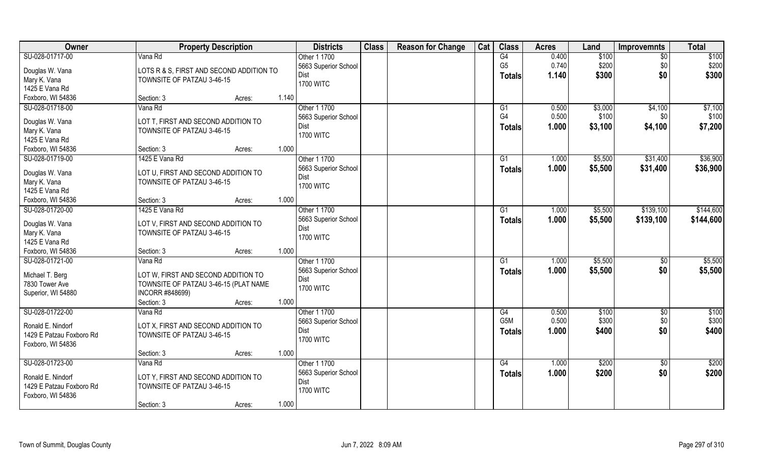| Owner                          | <b>Property Description</b>              |       | <b>Districts</b>             | <b>Class</b> | <b>Reason for Change</b> | Cat | <b>Class</b>     | <b>Acres</b> | Land    | Improvemnts     | <b>Total</b> |
|--------------------------------|------------------------------------------|-------|------------------------------|--------------|--------------------------|-----|------------------|--------------|---------|-----------------|--------------|
| SU-028-01717-00                | Vana Rd                                  |       | Other 1 1700                 |              |                          |     | G4               | 0.400        | \$100   | $\overline{50}$ | \$100        |
| Douglas W. Vana                | LOTS R & S, FIRST AND SECOND ADDITION TO |       | 5663 Superior School         |              |                          |     | G <sub>5</sub>   | 0.740        | \$200   | \$0             | \$200        |
| Mary K. Vana                   | TOWNSITE OF PATZAU 3-46-15               |       | Dist                         |              |                          |     | <b>Totals</b>    | 1.140        | \$300   | \$0             | \$300        |
| 1425 E Vana Rd                 |                                          |       | <b>1700 WITC</b>             |              |                          |     |                  |              |         |                 |              |
| Foxboro, WI 54836              | Section: 3<br>Acres:                     | 1.140 |                              |              |                          |     |                  |              |         |                 |              |
| SU-028-01718-00                | Vana Rd                                  |       | Other 1 1700                 |              |                          |     | G1               | 0.500        | \$3,000 | \$4,100         | \$7,100      |
|                                |                                          |       | 5663 Superior School         |              |                          |     | G <sub>4</sub>   | 0.500        | \$100   | \$0             | \$100        |
| Douglas W. Vana                | LOT T, FIRST AND SECOND ADDITION TO      |       | <b>Dist</b>                  |              |                          |     | <b>Totals</b>    | 1.000        | \$3,100 | \$4,100         | \$7,200      |
| Mary K. Vana<br>1425 E Vana Rd | TOWNSITE OF PATZAU 3-46-15               |       | <b>1700 WITC</b>             |              |                          |     |                  |              |         |                 |              |
| Foxboro, WI 54836              | Section: 3<br>Acres:                     | 1.000 |                              |              |                          |     |                  |              |         |                 |              |
| SU-028-01719-00                | 1425 E Vana Rd                           |       | Other 1 1700                 |              |                          |     | G1               | 1.000        | \$5,500 | \$31,400        | \$36,900     |
|                                |                                          |       |                              |              |                          |     |                  |              |         |                 |              |
| Douglas W. Vana                | LOT U, FIRST AND SECOND ADDITION TO      |       | 5663 Superior School<br>Dist |              |                          |     | <b>Totals</b>    | 1.000        | \$5,500 | \$31,400        | \$36,900     |
| Mary K. Vana                   | TOWNSITE OF PATZAU 3-46-15               |       | <b>1700 WITC</b>             |              |                          |     |                  |              |         |                 |              |
| 1425 E Vana Rd                 |                                          |       |                              |              |                          |     |                  |              |         |                 |              |
| Foxboro, WI 54836              | Section: 3<br>Acres:                     | 1.000 |                              |              |                          |     |                  |              |         |                 |              |
| SU-028-01720-00                | 1425 E Vana Rd                           |       | Other 1 1700                 |              |                          |     | G1               | 1.000        | \$5,500 | \$139,100       | \$144,600    |
|                                |                                          |       | 5663 Superior School         |              |                          |     | <b>Totals</b>    | 1.000        | \$5,500 | \$139,100       | \$144,600    |
| Douglas W. Vana                | LOT V, FIRST AND SECOND ADDITION TO      |       | Dist                         |              |                          |     |                  |              |         |                 |              |
| Mary K. Vana<br>1425 E Vana Rd | TOWNSITE OF PATZAU 3-46-15               |       | <b>1700 WITC</b>             |              |                          |     |                  |              |         |                 |              |
| Foxboro, WI 54836              | Section: 3                               | 1.000 |                              |              |                          |     |                  |              |         |                 |              |
| SU-028-01721-00                | Acres:<br>Vana Rd                        |       | Other 1 1700                 |              |                          |     | $\overline{G1}$  | 1.000        | \$5,500 |                 | \$5,500      |
|                                |                                          |       |                              |              |                          |     |                  |              |         | \$0             |              |
| Michael T. Berg                | LOT W, FIRST AND SECOND ADDITION TO      |       | 5663 Superior School<br>Dist |              |                          |     | <b>Totals</b>    | 1.000        | \$5,500 | \$0             | \$5,500      |
| 7830 Tower Ave                 | TOWNSITE OF PATZAU 3-46-15 (PLAT NAME    |       | <b>1700 WITC</b>             |              |                          |     |                  |              |         |                 |              |
| Superior, WI 54880             | INCORR #848699)                          |       |                              |              |                          |     |                  |              |         |                 |              |
|                                | Section: 3<br>Acres:                     | 1.000 |                              |              |                          |     |                  |              |         |                 |              |
| SU-028-01722-00                | Vana Rd                                  |       | Other 1 1700                 |              |                          |     | G4               | 0.500        | \$100   | $\overline{50}$ | \$100        |
| Ronald E. Nindorf              | LOT X, FIRST AND SECOND ADDITION TO      |       | 5663 Superior School         |              |                          |     | G <sub>5</sub> M | 0.500        | \$300   | \$0             | \$300        |
| 1429 E Patzau Foxboro Rd       | TOWNSITE OF PATZAU 3-46-15               |       | Dist                         |              |                          |     | <b>Totals</b>    | 1.000        | \$400   | \$0             | \$400        |
| Foxboro, WI 54836              |                                          |       | <b>1700 WITC</b>             |              |                          |     |                  |              |         |                 |              |
|                                | Section: 3<br>Acres:                     | 1.000 |                              |              |                          |     |                  |              |         |                 |              |
| SU-028-01723-00                | Vana Rd                                  |       | Other 1 1700                 |              |                          |     | G4               | 1.000        | \$200   | $\sqrt[6]{}$    | \$200        |
|                                |                                          |       | 5663 Superior School         |              |                          |     |                  | 1.000        | \$200   | \$0             | \$200        |
| Ronald E. Nindorf              | LOT Y, FIRST AND SECOND ADDITION TO      |       | Dist                         |              |                          |     | <b>Totals</b>    |              |         |                 |              |
| 1429 E Patzau Foxboro Rd       | TOWNSITE OF PATZAU 3-46-15               |       | <b>1700 WITC</b>             |              |                          |     |                  |              |         |                 |              |
| Foxboro, WI 54836              |                                          |       |                              |              |                          |     |                  |              |         |                 |              |
|                                | Section: 3<br>Acres:                     | 1.000 |                              |              |                          |     |                  |              |         |                 |              |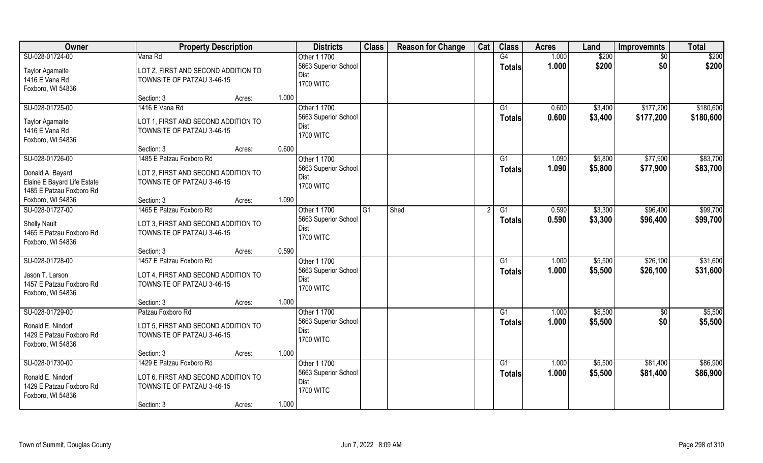| <b>Owner</b>                | <b>Property Description</b>         |        |                          | <b>Districts</b>     | <b>Class</b> | <b>Reason for Change</b> | Cat | <b>Class</b>    | <b>Acres</b> | Land    | <b>Improvemnts</b> | <b>Total</b> |
|-----------------------------|-------------------------------------|--------|--------------------------|----------------------|--------------|--------------------------|-----|-----------------|--------------|---------|--------------------|--------------|
| SU-028-01724-00             | Vana Rd                             |        | Other 1 1700             |                      |              |                          |     | G4              | 1.000        | \$200   | $\sqrt{$0}$        | \$200        |
| <b>Taylor Agamaite</b>      | LOT Z, FIRST AND SECOND ADDITION TO |        |                          | 5663 Superior School |              |                          |     | <b>Totals</b>   | 1.000        | \$200   | \$0                | \$200        |
| 1416 E Vana Rd              | TOWNSITE OF PATZAU 3-46-15          |        | Dist<br><b>1700 WITC</b> |                      |              |                          |     |                 |              |         |                    |              |
| Foxboro, WI 54836           |                                     |        |                          |                      |              |                          |     |                 |              |         |                    |              |
|                             | Section: 3                          | Acres: | 1.000                    |                      |              |                          |     |                 |              |         |                    |              |
| SU-028-01725-00             | 1416 E Vana Rd                      |        | Other 1 1700             |                      |              |                          |     | $\overline{G1}$ | 0.600        | \$3,400 | \$177,200          | \$180,600    |
| <b>Taylor Agamaite</b>      | LOT 1, FIRST AND SECOND ADDITION TO |        |                          | 5663 Superior School |              |                          |     | Totals          | 0.600        | \$3,400 | \$177,200          | \$180,600    |
| 1416 E Vana Rd              | TOWNSITE OF PATZAU 3-46-15          |        | Dist<br><b>1700 WITC</b> |                      |              |                          |     |                 |              |         |                    |              |
| Foxboro, WI 54836           |                                     |        |                          |                      |              |                          |     |                 |              |         |                    |              |
|                             | Section: 3                          | Acres: | 0.600                    |                      |              |                          |     |                 |              |         |                    |              |
| SU-028-01726-00             | 1485 E Patzau Foxboro Rd            |        | Other 1 1700             |                      |              |                          |     | G1              | 1.090        | \$5,800 | \$77,900           | \$83,700     |
| Donald A. Bayard            | LOT 2, FIRST AND SECOND ADDITION TO |        |                          | 5663 Superior School |              |                          |     | <b>Totals</b>   | 1.090        | \$5,800 | \$77,900           | \$83,700     |
| Elaine E Bayard Life Estate | TOWNSITE OF PATZAU 3-46-15          |        | Dist                     |                      |              |                          |     |                 |              |         |                    |              |
| 1485 E Patzau Foxboro Rd    |                                     |        | <b>1700 WITC</b>         |                      |              |                          |     |                 |              |         |                    |              |
| Foxboro, WI 54836           | Section: 3                          | Acres: | 1.090                    |                      |              |                          |     |                 |              |         |                    |              |
| SU-028-01727-00             | 1465 E Patzau Foxboro Rd            |        | Other 1 1700             |                      | G1           | Shed                     |     | G1              | 0.590        | \$3,300 | \$96,400           | \$99,700     |
| <b>Shelly Nault</b>         | LOT 3, FIRST AND SECOND ADDITION TO |        |                          | 5663 Superior School |              |                          |     | <b>Totals</b>   | 0.590        | \$3,300 | \$96,400           | \$99,700     |
| 1465 E Patzau Foxboro Rd    | TOWNSITE OF PATZAU 3-46-15          |        | Dist                     |                      |              |                          |     |                 |              |         |                    |              |
| Foxboro, WI 54836           |                                     |        | <b>1700 WITC</b>         |                      |              |                          |     |                 |              |         |                    |              |
|                             | Section: 3                          | Acres: | 0.590                    |                      |              |                          |     |                 |              |         |                    |              |
| SU-028-01728-00             | 1457 E Patzau Foxboro Rd            |        | Other 1 1700             |                      |              |                          |     | $\overline{G1}$ | 1.000        | \$5,500 | \$26,100           | \$31,600     |
| Jason T. Larson             | LOT 4, FIRST AND SECOND ADDITION TO |        |                          | 5663 Superior School |              |                          |     | Totals          | 1.000        | \$5,500 | \$26,100           | \$31,600     |
| 1457 E Patzau Foxboro Rd    | TOWNSITE OF PATZAU 3-46-15          |        | Dist                     |                      |              |                          |     |                 |              |         |                    |              |
| Foxboro, WI 54836           |                                     |        | <b>1700 WITC</b>         |                      |              |                          |     |                 |              |         |                    |              |
|                             | Section: 3                          | Acres: | 1.000                    |                      |              |                          |     |                 |              |         |                    |              |
| SU-028-01729-00             | Patzau Foxboro Rd                   |        | Other 1 1700             |                      |              |                          |     | G1              | 1.000        | \$5,500 | $\sqrt{6}$         | \$5,500      |
| Ronald E. Nindorf           | LOT 5, FIRST AND SECOND ADDITION TO |        |                          | 5663 Superior School |              |                          |     | <b>Totals</b>   | 1.000        | \$5,500 | \$0                | \$5,500      |
| 1429 E Patzau Foxboro Rd    | TOWNSITE OF PATZAU 3-46-15          |        | Dist                     |                      |              |                          |     |                 |              |         |                    |              |
| Foxboro, WI 54836           |                                     |        | <b>1700 WITC</b>         |                      |              |                          |     |                 |              |         |                    |              |
|                             | Section: 3                          | Acres: | 1.000                    |                      |              |                          |     |                 |              |         |                    |              |
| SU-028-01730-00             | 1429 E Patzau Foxboro Rd            |        | Other 1 1700             |                      |              |                          |     | G1              | 1.000        | \$5,500 | \$81,400           | \$86,900     |
| Ronald E. Nindorf           | LOT 6, FIRST AND SECOND ADDITION TO |        |                          | 5663 Superior School |              |                          |     | <b>Totals</b>   | 1.000        | \$5,500 | \$81,400           | \$86,900     |
| 1429 E Patzau Foxboro Rd    | TOWNSITE OF PATZAU 3-46-15          |        | Dist                     |                      |              |                          |     |                 |              |         |                    |              |
| Foxboro, WI 54836           |                                     |        | <b>1700 WITC</b>         |                      |              |                          |     |                 |              |         |                    |              |
|                             | Section: 3                          | Acres: | 1.000                    |                      |              |                          |     |                 |              |         |                    |              |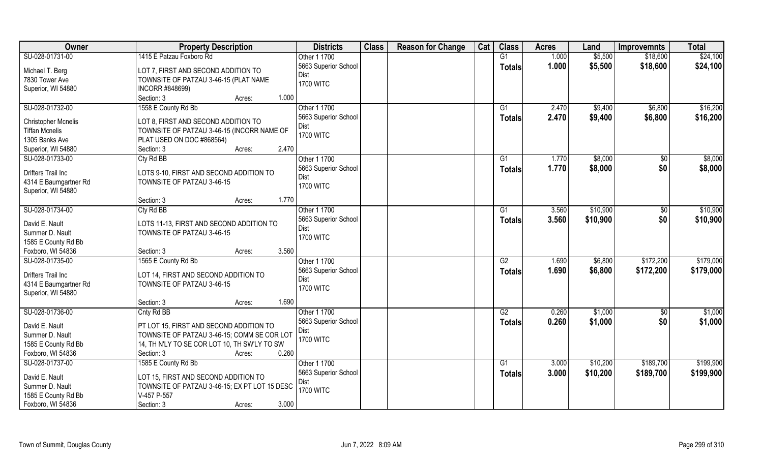| Owner                                               | <b>Property Description</b>                                                       | <b>Districts</b>     | <b>Class</b> | <b>Reason for Change</b> | Cat | <b>Class</b>    | <b>Acres</b> | Land     | <b>Improvemnts</b> | <b>Total</b> |
|-----------------------------------------------------|-----------------------------------------------------------------------------------|----------------------|--------------|--------------------------|-----|-----------------|--------------|----------|--------------------|--------------|
| SU-028-01731-00                                     | 1415 E Patzau Foxboro Rd                                                          | Other 1 1700         |              |                          |     | G1              | 1.000        | \$5,500  | \$18,600           | \$24,100     |
| Michael T. Berg                                     | LOT 7, FIRST AND SECOND ADDITION TO                                               | 5663 Superior School |              |                          |     | <b>Totals</b>   | 1.000        | \$5,500  | \$18,600           | \$24,100     |
| 7830 Tower Ave                                      | TOWNSITE OF PATZAU 3-46-15 (PLAT NAME                                             | Dist                 |              |                          |     |                 |              |          |                    |              |
| Superior, WI 54880                                  | INCORR #848699)                                                                   | <b>1700 WITC</b>     |              |                          |     |                 |              |          |                    |              |
|                                                     | Section: 3<br>1.000<br>Acres:                                                     |                      |              |                          |     |                 |              |          |                    |              |
| SU-028-01732-00                                     | 1558 E County Rd Bb                                                               | Other 1 1700         |              |                          |     | G1              | 2.470        | \$9,400  | \$6,800            | \$16,200     |
|                                                     |                                                                                   | 5663 Superior School |              |                          |     | <b>Totals</b>   | 2.470        | \$9,400  | \$6,800            | \$16,200     |
| <b>Christopher Mcnelis</b><br><b>Tiffan Mcnelis</b> | LOT 8, FIRST AND SECOND ADDITION TO<br>TOWNSITE OF PATZAU 3-46-15 (INCORR NAME OF | Dist                 |              |                          |     |                 |              |          |                    |              |
| 1305 Banks Ave                                      | PLAT USED ON DOC #868564)                                                         | <b>1700 WITC</b>     |              |                          |     |                 |              |          |                    |              |
| Superior, WI 54880                                  | 2.470<br>Section: 3<br>Acres:                                                     |                      |              |                          |     |                 |              |          |                    |              |
| SU-028-01733-00                                     | Cty Rd BB                                                                         | Other 1 1700         |              |                          |     | G1              | 1.770        | \$8,000  | $\sqrt{6}$         | \$8,000      |
|                                                     |                                                                                   | 5663 Superior School |              |                          |     |                 | 1.770        | \$8,000  | \$0                | \$8,000      |
| <b>Drifters Trail Inc</b>                           | LOTS 9-10, FIRST AND SECOND ADDITION TO                                           | Dist                 |              |                          |     | <b>Totals</b>   |              |          |                    |              |
| 4314 E Baumgartner Rd                               | TOWNSITE OF PATZAU 3-46-15                                                        | <b>1700 WITC</b>     |              |                          |     |                 |              |          |                    |              |
| Superior, WI 54880                                  |                                                                                   |                      |              |                          |     |                 |              |          |                    |              |
|                                                     | 1.770<br>Section: 3<br>Acres:                                                     |                      |              |                          |     |                 |              |          |                    |              |
| SU-028-01734-00                                     | Cty Rd BB                                                                         | Other 1 1700         |              |                          |     | G1              | 3.560        | \$10,900 | \$0                | \$10,900     |
| David E. Nault                                      | LOTS 11-13, FIRST AND SECOND ADDITION TO                                          | 5663 Superior School |              |                          |     | <b>Totals</b>   | 3.560        | \$10,900 | \$0                | \$10,900     |
| Summer D. Nault                                     | TOWNSITE OF PATZAU 3-46-15                                                        | Dist                 |              |                          |     |                 |              |          |                    |              |
| 1585 E County Rd Bb                                 |                                                                                   | <b>1700 WITC</b>     |              |                          |     |                 |              |          |                    |              |
| Foxboro, WI 54836                                   | 3.560<br>Section: 3<br>Acres:                                                     |                      |              |                          |     |                 |              |          |                    |              |
| SU-028-01735-00                                     | 1565 E County Rd Bb                                                               | Other 1 1700         |              |                          |     | $\overline{G2}$ | 1.690        | \$6,800  | \$172,200          | \$179,000    |
|                                                     |                                                                                   | 5663 Superior School |              |                          |     |                 | 1.690        | \$6,800  | \$172,200          | \$179,000    |
| Drifters Trail Inc                                  | LOT 14, FIRST AND SECOND ADDITION TO                                              | Dist                 |              |                          |     | <b>Totals</b>   |              |          |                    |              |
| 4314 E Baumgartner Rd                               | TOWNSITE OF PATZAU 3-46-15                                                        | <b>1700 WITC</b>     |              |                          |     |                 |              |          |                    |              |
| Superior, WI 54880                                  |                                                                                   |                      |              |                          |     |                 |              |          |                    |              |
|                                                     | Section: 3<br>1.690<br>Acres:                                                     |                      |              |                          |     |                 |              |          |                    |              |
| SU-028-01736-00                                     | Cnty Rd BB                                                                        | Other 1 1700         |              |                          |     | G2              | 0.260        | \$1,000  | \$0                | \$1,000      |
| David E. Nault                                      | PT LOT 15, FIRST AND SECOND ADDITION TO                                           | 5663 Superior School |              |                          |     | <b>Totals</b>   | 0.260        | \$1,000  | \$0                | \$1,000      |
| Summer D. Nault                                     | TOWNSITE OF PATZAU 3-46-15; COMM SE COR LOT                                       | Dist                 |              |                          |     |                 |              |          |                    |              |
| 1585 E County Rd Bb                                 | 14, TH N'LY TO SE COR LOT 10, TH SW'LY TO SW                                      | <b>1700 WITC</b>     |              |                          |     |                 |              |          |                    |              |
| Foxboro, WI 54836                                   | 0.260<br>Section: 3<br>Acres:                                                     |                      |              |                          |     |                 |              |          |                    |              |
| SU-028-01737-00                                     | 1585 E County Rd Bb                                                               | Other 1 1700         |              |                          |     | G1              | 3.000        | \$10,200 | \$189,700          | \$199,900    |
|                                                     |                                                                                   | 5663 Superior School |              |                          |     | Totals          | 3.000        | \$10,200 | \$189,700          | \$199,900    |
| David E. Nault                                      | LOT 15, FIRST AND SECOND ADDITION TO                                              | Dist                 |              |                          |     |                 |              |          |                    |              |
| Summer D. Nault                                     | TOWNSITE OF PATZAU 3-46-15; EX PT LOT 15 DESC                                     | <b>1700 WITC</b>     |              |                          |     |                 |              |          |                    |              |
| 1585 E County Rd Bb                                 | V-457 P-557                                                                       |                      |              |                          |     |                 |              |          |                    |              |
| Foxboro, WI 54836                                   | 3.000<br>Section: 3<br>Acres:                                                     |                      |              |                          |     |                 |              |          |                    |              |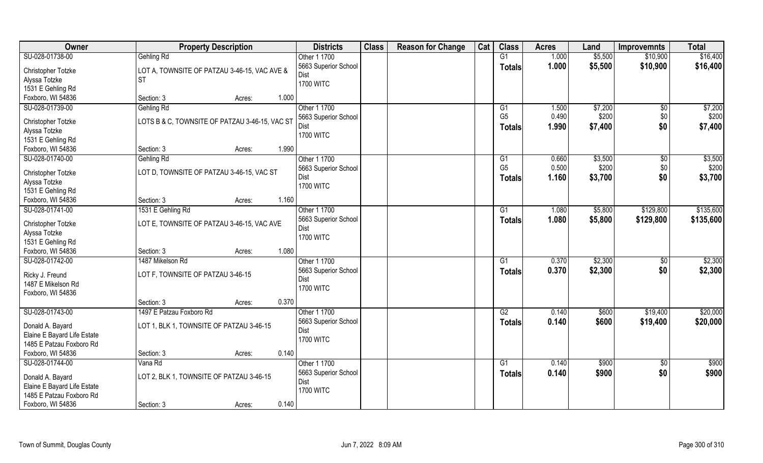| Owner                       | <b>Property Description</b>                      | <b>Districts</b>             | <b>Class</b> | <b>Reason for Change</b> | Cat | <b>Class</b>    | <b>Acres</b> | Land    | <b>Improvemnts</b> | <b>Total</b> |
|-----------------------------|--------------------------------------------------|------------------------------|--------------|--------------------------|-----|-----------------|--------------|---------|--------------------|--------------|
| SU-028-01738-00             | <b>Gehling Rd</b>                                | Other 1 1700                 |              |                          |     | G1              | 1.000        | \$5,500 | \$10,900           | \$16,400     |
| Christopher Totzke          | LOT A, TOWNSITE OF PATZAU 3-46-15, VAC AVE &     | 5663 Superior School         |              |                          |     | <b>Totals</b>   | 1.000        | \$5,500 | \$10,900           | \$16,400     |
| Alyssa Totzke               | ∣sт                                              | Dist                         |              |                          |     |                 |              |         |                    |              |
| 1531 E Gehling Rd           |                                                  | <b>1700 WITC</b>             |              |                          |     |                 |              |         |                    |              |
| Foxboro, WI 54836           | 1.000<br>Section: 3<br>Acres:                    |                              |              |                          |     |                 |              |         |                    |              |
| SU-028-01739-00             | Gehling Rd                                       | Other 1 1700                 |              |                          |     | $\overline{G1}$ | 1.500        | \$7,200 | $\sqrt{$0}$        | \$7,200      |
| Christopher Totzke          | LOTS B & C, TOWNSITE OF PATZAU 3-46-15, VAC ST   | 5663 Superior School         |              |                          |     | G <sub>5</sub>  | 0.490        | \$200   | \$0                | \$200        |
| Alyssa Totzke               |                                                  | Dist                         |              |                          |     | <b>Totals</b>   | 1.990        | \$7,400 | \$0                | \$7,400      |
| 1531 E Gehling Rd           |                                                  | <b>1700 WITC</b>             |              |                          |     |                 |              |         |                    |              |
| Foxboro, WI 54836           | 1.990<br>Section: 3<br>Acres:                    |                              |              |                          |     |                 |              |         |                    |              |
| SU-028-01740-00             | Gehling Rd                                       | Other 1 1700                 |              |                          |     | G <sub>1</sub>  | 0.660        | \$3,500 | \$0                | \$3,500      |
|                             |                                                  | 5663 Superior School         |              |                          |     | G <sub>5</sub>  | 0.500        | \$200   | \$0                | \$200        |
| Christopher Totzke          | LOT D, TOWNSITE OF PATZAU 3-46-15, VAC ST        | Dist                         |              |                          |     | <b>Totals</b>   | 1.160        | \$3,700 | \$0                | \$3,700      |
| Alyssa Totzke               |                                                  | <b>1700 WITC</b>             |              |                          |     |                 |              |         |                    |              |
| 1531 E Gehling Rd           |                                                  |                              |              |                          |     |                 |              |         |                    |              |
| Foxboro, WI 54836           | 1.160<br>Section: 3<br>Acres:                    |                              |              |                          |     |                 |              |         |                    |              |
| SU-028-01741-00             | 1531 E Gehling Rd                                | Other 1 1700                 |              |                          |     | G <sub>1</sub>  | 1.080        | \$5,800 | \$129,800          | \$135,600    |
| Christopher Totzke          | LOT E, TOWNSITE OF PATZAU 3-46-15, VAC AVE       | 5663 Superior School         |              |                          |     | <b>Totals</b>   | 1.080        | \$5,800 | \$129,800          | \$135,600    |
| Alyssa Totzke               |                                                  | Dist                         |              |                          |     |                 |              |         |                    |              |
| 1531 E Gehling Rd           |                                                  | <b>1700 WITC</b>             |              |                          |     |                 |              |         |                    |              |
| Foxboro, WI 54836           | 1.080<br>Section: 3<br>Acres:                    |                              |              |                          |     |                 |              |         |                    |              |
| SU-028-01742-00             | 1487 Mikelson Rd                                 | Other 1 1700                 |              |                          |     | G1              | 0.370        | \$2,300 | \$0                | \$2,300      |
|                             |                                                  | 5663 Superior School         |              |                          |     | <b>Totals</b>   | 0.370        | \$2,300 | \$0                | \$2,300      |
| Ricky J. Freund             | LOT F, TOWNSITE OF PATZAU 3-46-15                | Dist                         |              |                          |     |                 |              |         |                    |              |
| 1487 E Mikelson Rd          |                                                  | <b>1700 WITC</b>             |              |                          |     |                 |              |         |                    |              |
| Foxboro, WI 54836           | 0.370                                            |                              |              |                          |     |                 |              |         |                    |              |
|                             | Section: 3<br>Acres:<br>1497 E Patzau Foxboro Rd |                              |              |                          |     | G2              |              |         |                    |              |
| SU-028-01743-00             |                                                  | Other 1 1700                 |              |                          |     |                 | 0.140        | \$600   | \$19,400           | \$20,000     |
| Donald A. Bayard            | LOT 1, BLK 1, TOWNSITE OF PATZAU 3-46-15         | 5663 Superior School<br>Dist |              |                          |     | <b>Totals</b>   | 0.140        | \$600   | \$19,400           | \$20,000     |
| Elaine E Bayard Life Estate |                                                  | <b>1700 WITC</b>             |              |                          |     |                 |              |         |                    |              |
| 1485 E Patzau Foxboro Rd    |                                                  |                              |              |                          |     |                 |              |         |                    |              |
| Foxboro, WI 54836           | 0.140<br>Section: 3<br>Acres:                    |                              |              |                          |     |                 |              |         |                    |              |
| SU-028-01744-00             | Vana Rd                                          | Other 1 1700                 |              |                          |     | G1              | 0.140        | \$900   | $\sqrt[6]{}$       | \$900        |
| Donald A. Bayard            | LOT 2, BLK 1, TOWNSITE OF PATZAU 3-46-15         | 5663 Superior School         |              |                          |     | <b>Totals</b>   | 0.140        | \$900   | \$0                | \$900        |
| Elaine E Bayard Life Estate |                                                  | <b>Dist</b>                  |              |                          |     |                 |              |         |                    |              |
| 1485 E Patzau Foxboro Rd    |                                                  | <b>1700 WITC</b>             |              |                          |     |                 |              |         |                    |              |
| Foxboro, WI 54836           | 0.140<br>Section: 3<br>Acres:                    |                              |              |                          |     |                 |              |         |                    |              |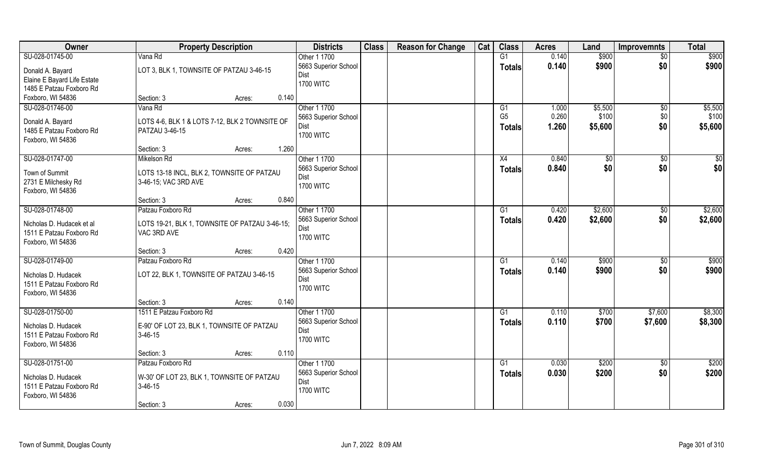| Owner                                         | <b>Property Description</b>                    | <b>Districts</b>             | <b>Class</b> | <b>Reason for Change</b> | Cat | <b>Class</b>    | <b>Acres</b> | Land    | <b>Improvemnts</b> | <b>Total</b>      |
|-----------------------------------------------|------------------------------------------------|------------------------------|--------------|--------------------------|-----|-----------------|--------------|---------|--------------------|-------------------|
| SU-028-01745-00                               | Vana Rd                                        | Other 1 1700                 |              |                          |     | G1              | 0.140        | \$900   | $\overline{50}$    | $\overline{$900}$ |
| Donald A. Bayard                              | LOT 3, BLK 1, TOWNSITE OF PATZAU 3-46-15       | 5663 Superior School         |              |                          |     | <b>Totals</b>   | 0.140        | \$900   | \$0                | \$900             |
| Elaine E Bayard Life Estate                   |                                                | Dist                         |              |                          |     |                 |              |         |                    |                   |
| 1485 E Patzau Foxboro Rd                      |                                                | <b>1700 WITC</b>             |              |                          |     |                 |              |         |                    |                   |
| Foxboro, WI 54836                             | 0.140<br>Section: 3<br>Acres:                  |                              |              |                          |     |                 |              |         |                    |                   |
| SU-028-01746-00                               | Vana Rd                                        | Other 1 1700                 |              |                          |     | G1              | 1.000        | \$5,500 | \$0                | \$5,500           |
|                                               |                                                | 5663 Superior School         |              |                          |     | G <sub>5</sub>  | 0.260        | \$100   | \$0                | \$100             |
| Donald A. Bayard                              | LOTS 4-6, BLK 1 & LOTS 7-12, BLK 2 TOWNSITE OF | Dist                         |              |                          |     | Totals          | 1.260        | \$5,600 | \$0                | \$5,600           |
| 1485 E Patzau Foxboro Rd                      | PATZAU 3-46-15                                 | <b>1700 WITC</b>             |              |                          |     |                 |              |         |                    |                   |
| Foxboro, WI 54836                             | 1.260                                          |                              |              |                          |     |                 |              |         |                    |                   |
|                                               | Section: 3<br>Acres:                           |                              |              |                          |     |                 |              |         |                    |                   |
| SU-028-01747-00                               | Mikelson Rd                                    | Other 1 1700                 |              |                          |     | X4              | 0.840        | \$0     | $\sqrt[6]{30}$     | \$0               |
| Town of Summit                                | LOTS 13-18 INCL, BLK 2, TOWNSITE OF PATZAU     | 5663 Superior School<br>Dist |              |                          |     | <b>Totals</b>   | 0.840        | \$0     | \$0                | \$0               |
| 2731 E Milchesky Rd                           | 3-46-15; VAC 3RD AVE                           | <b>1700 WITC</b>             |              |                          |     |                 |              |         |                    |                   |
| Foxboro, WI 54836                             |                                                |                              |              |                          |     |                 |              |         |                    |                   |
|                                               | 0.840<br>Section: 3<br>Acres:                  |                              |              |                          |     |                 |              |         |                    |                   |
| SU-028-01748-00                               | Patzau Foxboro Rd                              | Other 1 1700                 |              |                          |     | G1              | 0.420        | \$2,600 | $\sqrt[6]{}$       | \$2,600           |
| Nicholas D. Hudacek et al                     | LOTS 19-21, BLK 1, TOWNSITE OF PATZAU 3-46-15; | 5663 Superior School         |              |                          |     | <b>Totals</b>   | 0.420        | \$2,600 | \$0                | \$2,600           |
| 1511 E Patzau Foxboro Rd                      | VAC 3RD AVE                                    | Dist                         |              |                          |     |                 |              |         |                    |                   |
| Foxboro, WI 54836                             |                                                | <b>1700 WITC</b>             |              |                          |     |                 |              |         |                    |                   |
|                                               | 0.420<br>Section: 3<br>Acres:                  |                              |              |                          |     |                 |              |         |                    |                   |
| SU-028-01749-00                               | Patzau Foxboro Rd                              | Other 1 1700                 |              |                          |     | $\overline{G1}$ | 0.140        | \$900   | \$0                | \$900             |
|                                               |                                                | 5663 Superior School         |              |                          |     | Totals          | 0.140        | \$900   | \$0                | \$900             |
| Nicholas D. Hudacek                           | LOT 22, BLK 1, TOWNSITE OF PATZAU 3-46-15      | Dist                         |              |                          |     |                 |              |         |                    |                   |
| 1511 E Patzau Foxboro Rd<br>Foxboro, WI 54836 |                                                | <b>1700 WITC</b>             |              |                          |     |                 |              |         |                    |                   |
|                                               | 0.140<br>Section: 3<br>Acres:                  |                              |              |                          |     |                 |              |         |                    |                   |
| SU-028-01750-00                               | 1511 E Patzau Foxboro Rd                       | Other 1 1700                 |              |                          |     | G1              | 0.110        | \$700   | \$7,600            | \$8,300           |
|                                               |                                                | 5663 Superior School         |              |                          |     | <b>Totals</b>   | 0.110        | \$700   | \$7,600            | \$8,300           |
| Nicholas D. Hudacek                           | E-90' OF LOT 23, BLK 1, TOWNSITE OF PATZAU     | Dist                         |              |                          |     |                 |              |         |                    |                   |
| 1511 E Patzau Foxboro Rd                      | $3-46-15$                                      | <b>1700 WITC</b>             |              |                          |     |                 |              |         |                    |                   |
| Foxboro, WI 54836                             |                                                |                              |              |                          |     |                 |              |         |                    |                   |
|                                               | 0.110<br>Section: 3<br>Acres:                  |                              |              |                          |     |                 |              |         |                    |                   |
| SU-028-01751-00                               | Patzau Foxboro Rd                              | Other 1 1700                 |              |                          |     | G1              | 0.030        | \$200   | $\overline{50}$    | \$200             |
| Nicholas D. Hudacek                           | W-30' OF LOT 23, BLK 1, TOWNSITE OF PATZAU     | 5663 Superior School         |              |                          |     | Totals          | 0.030        | \$200   | \$0                | \$200             |
| 1511 E Patzau Foxboro Rd                      | $3-46-15$                                      | Dist                         |              |                          |     |                 |              |         |                    |                   |
| Foxboro, WI 54836                             |                                                | <b>1700 WITC</b>             |              |                          |     |                 |              |         |                    |                   |
|                                               | 0.030<br>Section: 3<br>Acres:                  |                              |              |                          |     |                 |              |         |                    |                   |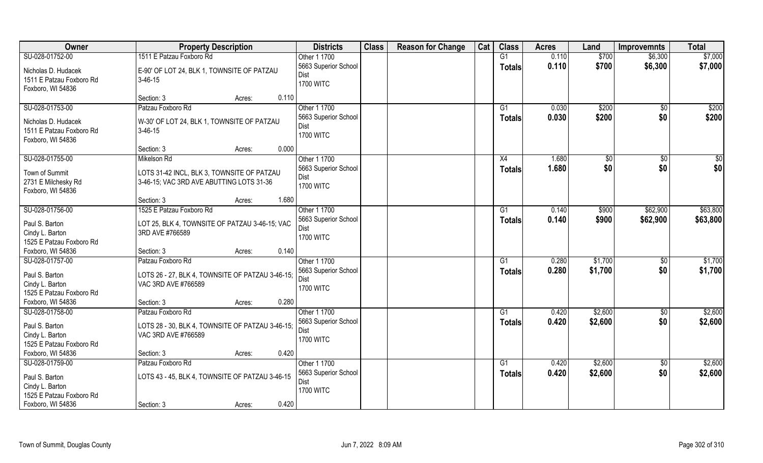| <b>Owner</b>                                | <b>Property Description</b>                      |                 | <b>Districts</b>             | <b>Class</b> | <b>Reason for Change</b> | Cat | <b>Class</b>    | <b>Acres</b> | Land          | <b>Improvemnts</b> | <b>Total</b> |
|---------------------------------------------|--------------------------------------------------|-----------------|------------------------------|--------------|--------------------------|-----|-----------------|--------------|---------------|--------------------|--------------|
| SU-028-01752-00                             | 1511 E Patzau Foxboro Rd                         |                 | Other 1 1700                 |              |                          |     | G1              | 0.110        | \$700         | \$6,300            | \$7,000      |
| Nicholas D. Hudacek                         | E-90' OF LOT 24, BLK 1, TOWNSITE OF PATZAU       |                 | 5663 Superior School         |              |                          |     | <b>Totals</b>   | 0.110        | \$700         | \$6,300            | \$7,000      |
| 1511 E Patzau Foxboro Rd                    | $3-46-15$                                        |                 | <b>Dist</b>                  |              |                          |     |                 |              |               |                    |              |
| Foxboro, WI 54836                           |                                                  |                 | <b>1700 WITC</b>             |              |                          |     |                 |              |               |                    |              |
|                                             | Section: 3                                       | 0.110<br>Acres: |                              |              |                          |     |                 |              |               |                    |              |
| SU-028-01753-00                             | Patzau Foxboro Rd                                |                 | Other 1 1700                 |              |                          |     | G1              | 0.030        | \$200         | $\overline{50}$    | \$200        |
| Nicholas D. Hudacek                         | W-30' OF LOT 24, BLK 1, TOWNSITE OF PATZAU       |                 | 5663 Superior School         |              |                          |     | <b>Totals</b>   | 0.030        | \$200         | \$0                | \$200        |
| 1511 E Patzau Foxboro Rd                    | $3-46-15$                                        |                 | Dist                         |              |                          |     |                 |              |               |                    |              |
| Foxboro, WI 54836                           |                                                  |                 | <b>1700 WITC</b>             |              |                          |     |                 |              |               |                    |              |
|                                             | Section: 3                                       | 0.000<br>Acres: |                              |              |                          |     |                 |              |               |                    |              |
| SU-028-01755-00                             | Mikelson Rd                                      |                 | Other 1 1700                 |              |                          |     | X4              | 1.680        | $\sqrt[6]{3}$ | $\sqrt{6}$         | \$0          |
| Town of Summit                              | LOTS 31-42 INCL, BLK 3, TOWNSITE OF PATZAU       |                 | 5663 Superior School         |              |                          |     | <b>Totals</b>   | 1.680        | \$0           | \$0                | \$0          |
| 2731 E Milchesky Rd                         | 3-46-15; VAC 3RD AVE ABUTTING LOTS 31-36         |                 | Dist                         |              |                          |     |                 |              |               |                    |              |
| Foxboro, WI 54836                           |                                                  |                 | <b>1700 WITC</b>             |              |                          |     |                 |              |               |                    |              |
|                                             | Section: 3                                       | 1.680<br>Acres: |                              |              |                          |     |                 |              |               |                    |              |
| SU-028-01756-00                             | 1525 E Patzau Foxboro Rd                         |                 | Other 1 1700                 |              |                          |     | G1              | 0.140        | \$900         | \$62,900           | \$63,800     |
| Paul S. Barton                              | LOT 25, BLK 4, TOWNSITE OF PATZAU 3-46-15; VAC   |                 | 5663 Superior School         |              |                          |     | <b>Totals</b>   | 0.140        | \$900         | \$62,900           | \$63,800     |
| Cindy L. Barton                             | 3RD AVE #766589                                  |                 | Dist                         |              |                          |     |                 |              |               |                    |              |
| 1525 E Patzau Foxboro Rd                    |                                                  |                 | <b>1700 WITC</b>             |              |                          |     |                 |              |               |                    |              |
| Foxboro, WI 54836                           | Section: 3                                       | 0.140<br>Acres: |                              |              |                          |     |                 |              |               |                    |              |
| SU-028-01757-00                             | Patzau Foxboro Rd                                |                 | Other 1 1700                 |              |                          |     | G1              | 0.280        | \$1,700       | \$0                | \$1,700      |
|                                             |                                                  |                 | 5663 Superior School         |              |                          |     | <b>Totals</b>   | 0.280        | \$1,700       | \$0                | \$1,700      |
| Paul S. Barton                              | LOTS 26 - 27, BLK 4, TOWNSITE OF PATZAU 3-46-15; |                 | Dist                         |              |                          |     |                 |              |               |                    |              |
| Cindy L. Barton<br>1525 E Patzau Foxboro Rd | VAC 3RD AVE #766589                              |                 | <b>1700 WITC</b>             |              |                          |     |                 |              |               |                    |              |
| Foxboro, WI 54836                           | Section: 3                                       | 0.280<br>Acres: |                              |              |                          |     |                 |              |               |                    |              |
| SU-028-01758-00                             | Patzau Foxboro Rd                                |                 | Other 1 1700                 |              |                          |     | G1              | 0.420        | \$2,600       | \$0                | \$2,600      |
|                                             |                                                  |                 | 5663 Superior School         |              |                          |     | <b>Totals</b>   | 0.420        | \$2,600       | \$0                | \$2,600      |
| Paul S. Barton                              | LOTS 28 - 30, BLK 4, TOWNSITE OF PATZAU 3-46-15; |                 | Dist                         |              |                          |     |                 |              |               |                    |              |
| Cindy L. Barton                             | VAC 3RD AVE #766589                              |                 | <b>1700 WITC</b>             |              |                          |     |                 |              |               |                    |              |
| 1525 E Patzau Foxboro Rd                    |                                                  |                 |                              |              |                          |     |                 |              |               |                    |              |
| Foxboro, WI 54836                           | Section: 3                                       | 0.420<br>Acres: |                              |              |                          |     |                 |              |               |                    |              |
| SU-028-01759-00                             | Patzau Foxboro Rd                                |                 | Other 1 1700                 |              |                          |     | $\overline{G1}$ | 0.420        | \$2,600       | $\overline{50}$    | \$2,600      |
| Paul S. Barton                              | LOTS 43 - 45, BLK 4, TOWNSITE OF PATZAU 3-46-15  |                 | 5663 Superior School<br>Dist |              |                          |     | <b>Totals</b>   | 0.420        | \$2,600       | \$0                | \$2,600      |
| Cindy L. Barton                             |                                                  |                 | <b>1700 WITC</b>             |              |                          |     |                 |              |               |                    |              |
| 1525 E Patzau Foxboro Rd                    |                                                  |                 |                              |              |                          |     |                 |              |               |                    |              |
| Foxboro, WI 54836                           | Section: 3                                       | 0.420<br>Acres: |                              |              |                          |     |                 |              |               |                    |              |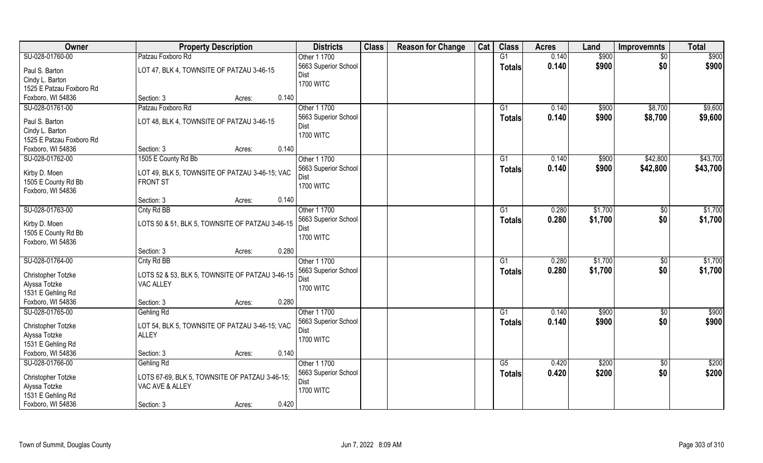| Owner                               | <b>Property Description</b>                                       |                 | <b>Districts</b>     | <b>Class</b> | <b>Reason for Change</b> | Cat | <b>Class</b>    | <b>Acres</b> | Land    | <b>Improvemnts</b> | <b>Total</b>      |
|-------------------------------------|-------------------------------------------------------------------|-----------------|----------------------|--------------|--------------------------|-----|-----------------|--------------|---------|--------------------|-------------------|
| SU-028-01760-00                     | Patzau Foxboro Rd                                                 |                 | Other 1 1700         |              |                          |     | G1              | 0.140        | \$900   | $\sqrt{$0}$        | \$900             |
| Paul S. Barton                      | LOT 47, BLK 4, TOWNSITE OF PATZAU 3-46-15                         |                 | 5663 Superior School |              |                          |     | <b>Totals</b>   | 0.140        | \$900   | \$0                | \$900             |
| Cindy L. Barton                     |                                                                   |                 | Dist                 |              |                          |     |                 |              |         |                    |                   |
| 1525 E Patzau Foxboro Rd            |                                                                   |                 | <b>1700 WITC</b>     |              |                          |     |                 |              |         |                    |                   |
| Foxboro, WI 54836                   | Section: 3                                                        | 0.140<br>Acres: |                      |              |                          |     |                 |              |         |                    |                   |
| SU-028-01761-00                     | Patzau Foxboro Rd                                                 |                 | Other 1 1700         |              |                          |     | $\overline{G1}$ | 0.140        | \$900   | \$8,700            | \$9,600           |
| Paul S. Barton                      | LOT 48, BLK 4, TOWNSITE OF PATZAU 3-46-15                         |                 | 5663 Superior School |              |                          |     | Totals          | 0.140        | \$900   | \$8,700            | \$9,600           |
| Cindy L. Barton                     |                                                                   |                 | Dist                 |              |                          |     |                 |              |         |                    |                   |
| 1525 E Patzau Foxboro Rd            |                                                                   |                 | <b>1700 WITC</b>     |              |                          |     |                 |              |         |                    |                   |
| Foxboro, WI 54836                   | Section: 3                                                        | 0.140<br>Acres: |                      |              |                          |     |                 |              |         |                    |                   |
| SU-028-01762-00                     | 1505 E County Rd Bb                                               |                 | Other 1 1700         |              |                          |     | G1              | 0.140        | \$900   | \$42,800           | \$43,700          |
| Kirby D. Moen                       | LOT 49, BLK 5, TOWNSITE OF PATZAU 3-46-15; VAC                    |                 | 5663 Superior School |              |                          |     | <b>Totals</b>   | 0.140        | \$900   | \$42,800           | \$43,700          |
| 1505 E County Rd Bb                 | <b>FRONT ST</b>                                                   |                 | Dist                 |              |                          |     |                 |              |         |                    |                   |
| Foxboro, WI 54836                   |                                                                   |                 | <b>1700 WITC</b>     |              |                          |     |                 |              |         |                    |                   |
|                                     | Section: 3                                                        | 0.140<br>Acres: |                      |              |                          |     |                 |              |         |                    |                   |
| SU-028-01763-00                     | Cnty Rd BB                                                        |                 | Other 1 1700         |              |                          |     | G1              | 0.280        | \$1,700 | $\sqrt[6]{3}$      | \$1,700           |
| Kirby D. Moen                       | LOTS 50 & 51, BLK 5, TOWNSITE OF PATZAU 3-46-15                   |                 | 5663 Superior School |              |                          |     | <b>Totals</b>   | 0.280        | \$1,700 | \$0                | \$1,700           |
| 1505 E County Rd Bb                 |                                                                   |                 | Dist                 |              |                          |     |                 |              |         |                    |                   |
| Foxboro, WI 54836                   |                                                                   |                 | <b>1700 WITC</b>     |              |                          |     |                 |              |         |                    |                   |
|                                     | Section: 3                                                        | 0.280<br>Acres: |                      |              |                          |     |                 |              |         |                    |                   |
| SU-028-01764-00                     | Cnty Rd BB                                                        |                 | Other 1 1700         |              |                          |     | G1              | 0.280        | \$1,700 | $\sqrt[6]{3}$      | \$1,700           |
| Christopher Totzke                  | LOTS 52 & 53, BLK 5, TOWNSITE OF PATZAU 3-46-15                   |                 | 5663 Superior School |              |                          |     | Totals          | 0.280        | \$1,700 | \$0                | \$1,700           |
| Alyssa Totzke                       | VAC ALLEY                                                         |                 | Dist                 |              |                          |     |                 |              |         |                    |                   |
| 1531 E Gehling Rd                   |                                                                   |                 | <b>1700 WITC</b>     |              |                          |     |                 |              |         |                    |                   |
| Foxboro, WI 54836                   | Section: 3                                                        | 0.280<br>Acres: |                      |              |                          |     |                 |              |         |                    |                   |
| SU-028-01765-00                     | Gehling Rd                                                        |                 | Other 1 1700         |              |                          |     | G1              | 0.140        | \$900   | $\overline{30}$    | $\sqrt{$900}$     |
|                                     | LOT 54, BLK 5, TOWNSITE OF PATZAU 3-46-15; VAC                    |                 | 5663 Superior School |              |                          |     | <b>Totals</b>   | 0.140        | \$900   | \$0                | \$900             |
| Christopher Totzke<br>Alyssa Totzke | <b>ALLEY</b>                                                      |                 | Dist                 |              |                          |     |                 |              |         |                    |                   |
| 1531 E Gehling Rd                   |                                                                   |                 | <b>1700 WITC</b>     |              |                          |     |                 |              |         |                    |                   |
| Foxboro, WI 54836                   | Section: 3                                                        | 0.140<br>Acres: |                      |              |                          |     |                 |              |         |                    |                   |
| SU-028-01766-00                     | Gehling Rd                                                        |                 | Other 1 1700         |              |                          |     | G5              | 0.420        | \$200   | $\sqrt[6]{}$       | $\overline{$200}$ |
|                                     |                                                                   |                 | 5663 Superior School |              |                          |     | <b>Totals</b>   | 0.420        | \$200   | \$0                | \$200             |
| Christopher Totzke<br>Alyssa Totzke | LOTS 67-69, BLK 5, TOWNSITE OF PATZAU 3-46-15;<br>VAC AVE & ALLEY |                 | Dist                 |              |                          |     |                 |              |         |                    |                   |
| 1531 E Gehling Rd                   |                                                                   |                 | <b>1700 WITC</b>     |              |                          |     |                 |              |         |                    |                   |
| Foxboro, WI 54836                   | Section: 3                                                        | 0.420<br>Acres: |                      |              |                          |     |                 |              |         |                    |                   |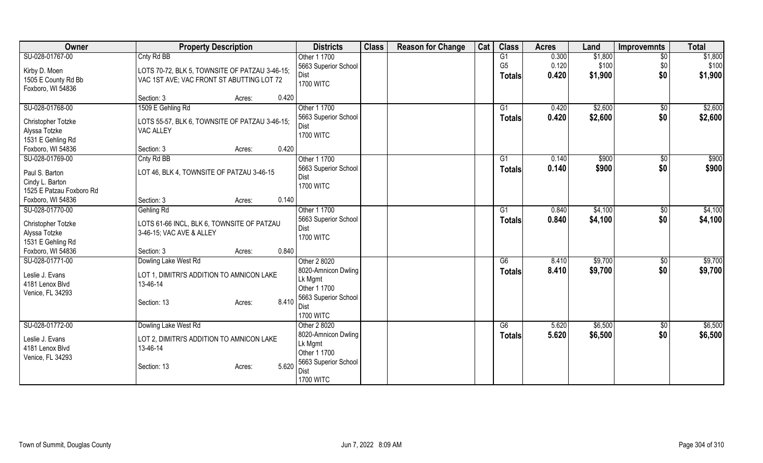| Owner                               | <b>Property Description</b>                                            | <b>Districts</b>             | <b>Class</b> | <b>Reason for Change</b> | Cat | <b>Class</b>   | <b>Acres</b> | Land    | <b>Improvemnts</b> | <b>Total</b> |
|-------------------------------------|------------------------------------------------------------------------|------------------------------|--------------|--------------------------|-----|----------------|--------------|---------|--------------------|--------------|
| SU-028-01767-00                     | Cnty Rd BB                                                             | Other 1 1700                 |              |                          |     | G <sub>1</sub> | 0.300        | \$1,800 | $\overline{50}$    | \$1,800      |
| Kirby D. Moen                       | LOTS 70-72, BLK 5, TOWNSITE OF PATZAU 3-46-15;                         | 5663 Superior School         |              |                          |     | G <sub>5</sub> | 0.120        | \$100   | \$0                | \$100        |
| 1505 E County Rd Bb                 | VAC 1ST AVE; VAC FRONT ST ABUTTING LOT 72                              | Dist                         |              |                          |     | <b>Totals</b>  | 0.420        | \$1,900 | \$0                | \$1,900      |
| Foxboro, WI 54836                   |                                                                        | <b>1700 WITC</b>             |              |                          |     |                |              |         |                    |              |
|                                     | 0.420<br>Section: 3<br>Acres:                                          |                              |              |                          |     |                |              |         |                    |              |
| SU-028-01768-00                     | 1509 E Gehling Rd                                                      | Other 1 1700                 |              |                          |     | G1             | 0.420        | \$2,600 | $\sqrt{$0}$        | \$2,600      |
| Christopher Totzke                  | LOTS 55-57, BLK 6, TOWNSITE OF PATZAU 3-46-15;                         | 5663 Superior School<br>Dist |              |                          |     | <b>Totals</b>  | 0.420        | \$2,600 | \$0                | \$2,600      |
| Alyssa Totzke                       | VAC ALLEY                                                              | <b>1700 WITC</b>             |              |                          |     |                |              |         |                    |              |
| 1531 E Gehling Rd                   |                                                                        |                              |              |                          |     |                |              |         |                    |              |
| Foxboro, WI 54836                   | 0.420<br>Section: 3<br>Acres:                                          |                              |              |                          |     |                |              |         |                    |              |
| SU-028-01769-00                     | Cnty Rd BB                                                             | Other 1 1700                 |              |                          |     | G <sub>1</sub> | 0.140        | \$900   | \$0                | \$900        |
| Paul S. Barton                      | LOT 46, BLK 4, TOWNSITE OF PATZAU 3-46-15                              | 5663 Superior School         |              |                          |     | <b>Totals</b>  | 0.140        | \$900   | \$0                | \$900        |
| Cindy L. Barton                     |                                                                        | Dist                         |              |                          |     |                |              |         |                    |              |
| 1525 E Patzau Foxboro Rd            |                                                                        | <b>1700 WITC</b>             |              |                          |     |                |              |         |                    |              |
| Foxboro, WI 54836                   | 0.140<br>Section: 3<br>Acres:                                          |                              |              |                          |     |                |              |         |                    |              |
| SU-028-01770-00                     | Gehling Rd                                                             | Other 1 1700                 |              |                          |     | G1             | 0.840        | \$4,100 | $\sqrt[6]{3}$      | \$4,100      |
|                                     |                                                                        | 5663 Superior School         |              |                          |     | <b>Totals</b>  | 0.840        | \$4,100 | \$0                | \$4,100      |
| Christopher Totzke<br>Alyssa Totzke | LOTS 61-66 INCL, BLK 6, TOWNSITE OF PATZAU<br>3-46-15; VAC AVE & ALLEY | Dist                         |              |                          |     |                |              |         |                    |              |
| 1531 E Gehling Rd                   |                                                                        | <b>1700 WITC</b>             |              |                          |     |                |              |         |                    |              |
| Foxboro, WI 54836                   | 0.840<br>Section: 3<br>Acres:                                          |                              |              |                          |     |                |              |         |                    |              |
| SU-028-01771-00                     | Dowling Lake West Rd                                                   | Other 2 8020                 |              |                          |     | G6             | 8.410        | \$9,700 | $\sqrt[6]{30}$     | \$9,700      |
|                                     |                                                                        | 8020-Amnicon Dwling          |              |                          |     | <b>Totals</b>  | 8.410        | \$9,700 | \$0                | \$9,700      |
| Leslie J. Evans                     | LOT 1, DIMITRI'S ADDITION TO AMNICON LAKE                              | Lk Mgmt                      |              |                          |     |                |              |         |                    |              |
| 4181 Lenox Blvd                     | 13-46-14                                                               | Other 1 1700                 |              |                          |     |                |              |         |                    |              |
| Venice, FL 34293                    |                                                                        | 5663 Superior School         |              |                          |     |                |              |         |                    |              |
|                                     | 8.410<br>Section: 13<br>Acres:                                         | Dist                         |              |                          |     |                |              |         |                    |              |
|                                     |                                                                        | <b>1700 WITC</b>             |              |                          |     |                |              |         |                    |              |
| SU-028-01772-00                     | Dowling Lake West Rd                                                   | Other 2 8020                 |              |                          |     | G6             | 5.620        | \$6,500 | $\sqrt[6]{}$       | \$6,500      |
| Leslie J. Evans                     | LOT 2, DIMITRI'S ADDITION TO AMNICON LAKE                              | 8020-Amnicon Dwling          |              |                          |     | <b>Totals</b>  | 5.620        | \$6,500 | \$0                | \$6,500      |
| 4181 Lenox Blvd                     | 13-46-14                                                               | Lk Mgmt                      |              |                          |     |                |              |         |                    |              |
| Venice, FL 34293                    |                                                                        | Other 1 1700                 |              |                          |     |                |              |         |                    |              |
|                                     | 5.620<br>Section: 13<br>Acres:                                         | 5663 Superior School         |              |                          |     |                |              |         |                    |              |
|                                     |                                                                        | Dist                         |              |                          |     |                |              |         |                    |              |
|                                     |                                                                        | <b>1700 WITC</b>             |              |                          |     |                |              |         |                    |              |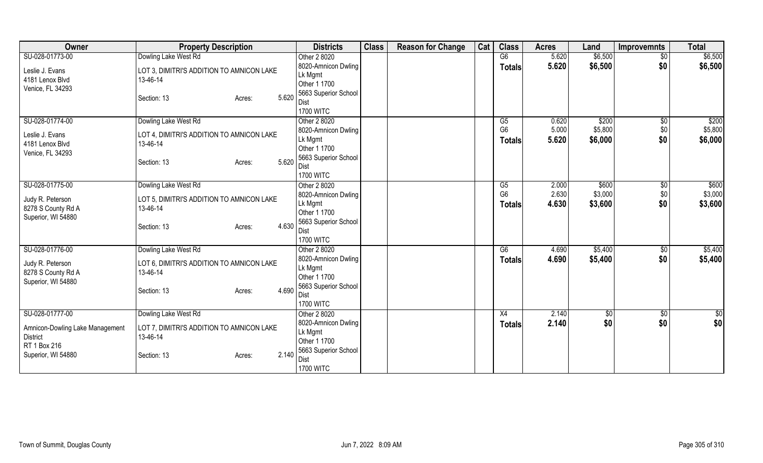| Owner                           | <b>Property Description</b>               | <b>Districts</b>        | <b>Class</b> | <b>Reason for Change</b> | Cat | <b>Class</b>         | <b>Acres</b>   | Land             | <b>Improvemnts</b> | <b>Total</b> |
|---------------------------------|-------------------------------------------|-------------------------|--------------|--------------------------|-----|----------------------|----------------|------------------|--------------------|--------------|
| SU-028-01773-00                 | Dowling Lake West Rd                      | Other 2 8020            |              |                          |     | G6                   | 5.620          | \$6,500          | $\overline{50}$    | \$6,500      |
| Leslie J. Evans                 | LOT 3, DIMITRI'S ADDITION TO AMNICON LAKE | 8020-Amnicon Dwling     |              |                          |     | <b>Totals</b>        | 5.620          | \$6,500          | \$0                | \$6,500      |
| 4181 Lenox Blvd                 | 13-46-14                                  | Lk Mgmt                 |              |                          |     |                      |                |                  |                    |              |
| Venice, FL 34293                |                                           | Other 1 1700            |              |                          |     |                      |                |                  |                    |              |
|                                 | 5.620<br>Section: 13<br>Acres:            | 5663 Superior School    |              |                          |     |                      |                |                  |                    |              |
|                                 |                                           | Dist                    |              |                          |     |                      |                |                  |                    |              |
|                                 |                                           | <b>1700 WITC</b>        |              |                          |     |                      |                |                  |                    |              |
| SU-028-01774-00                 | Dowling Lake West Rd                      | Other 2 8020            |              |                          |     | G5                   | 0.620          | \$200            | \$0                | \$200        |
| Leslie J. Evans                 | LOT 4, DIMITRI'S ADDITION TO AMNICON LAKE | 8020-Amnicon Dwling     |              |                          |     | G <sub>6</sub>       | 5.000          | \$5,800          | \$0                | \$5,800      |
| 4181 Lenox Blvd                 | 13-46-14                                  | Lk Mgmt                 |              |                          |     | Totals               | 5.620          | \$6,000          | \$0                | \$6,000      |
| Venice, FL 34293                |                                           | Other 1 1700            |              |                          |     |                      |                |                  |                    |              |
|                                 | 5.620<br>Section: 13<br>Acres:            | 5663 Superior School    |              |                          |     |                      |                |                  |                    |              |
|                                 |                                           | Dist                    |              |                          |     |                      |                |                  |                    |              |
|                                 |                                           | <b>1700 WITC</b>        |              |                          |     |                      |                |                  |                    |              |
| SU-028-01775-00                 | Dowling Lake West Rd                      | Other 2 8020            |              |                          |     | G5<br>G <sub>6</sub> | 2.000<br>2.630 | \$600<br>\$3,000 | $\sqrt[6]{3}$      | \$600        |
| Judy R. Peterson                | LOT 5, DIMITRI'S ADDITION TO AMNICON LAKE | 8020-Amnicon Dwling     |              |                          |     |                      |                |                  | \$0                | \$3,000      |
| 8278 S County Rd A              | 13-46-14                                  | Lk Mgmt<br>Other 1 1700 |              |                          |     | <b>Totals</b>        | 4.630          | \$3,600          | \$0                | \$3,600      |
| Superior, WI 54880              |                                           | 5663 Superior School    |              |                          |     |                      |                |                  |                    |              |
|                                 | 4.630<br>Section: 13<br>Acres:            | Dist                    |              |                          |     |                      |                |                  |                    |              |
|                                 |                                           | <b>1700 WITC</b>        |              |                          |     |                      |                |                  |                    |              |
| SU-028-01776-00                 | Dowling Lake West Rd                      | Other 2 8020            |              |                          |     | G6                   | 4.690          | \$5,400          | $\sqrt{$0}$        | \$5,400      |
|                                 |                                           | 8020-Amnicon Dwling     |              |                          |     | <b>Totals</b>        | 4.690          | \$5,400          | \$0                | \$5,400      |
| Judy R. Peterson                | LOT 6, DIMITRI'S ADDITION TO AMNICON LAKE | Lk Mgmt                 |              |                          |     |                      |                |                  |                    |              |
| 8278 S County Rd A              | 13-46-14                                  | Other 1 1700            |              |                          |     |                      |                |                  |                    |              |
| Superior, WI 54880              |                                           | 5663 Superior School    |              |                          |     |                      |                |                  |                    |              |
|                                 | 4.690<br>Section: 13<br>Acres:            | Dist                    |              |                          |     |                      |                |                  |                    |              |
|                                 |                                           | <b>1700 WITC</b>        |              |                          |     |                      |                |                  |                    |              |
| SU-028-01777-00                 | Dowling Lake West Rd                      | Other 2 8020            |              |                          |     | X4                   | 2.140          | $\overline{50}$  | $\sqrt{$0}$        | \$0          |
|                                 |                                           | 8020-Amnicon Dwling     |              |                          |     | Totals               | 2.140          | \$0              | \$0                | \$0          |
| Amnicon-Dowling Lake Management | LOT 7, DIMITRI'S ADDITION TO AMNICON LAKE | Lk Mgmt                 |              |                          |     |                      |                |                  |                    |              |
| <b>District</b>                 | 13-46-14                                  | Other 1 1700            |              |                          |     |                      |                |                  |                    |              |
| RT 1 Box 216                    |                                           | 5663 Superior School    |              |                          |     |                      |                |                  |                    |              |
| Superior, WI 54880              | 2.140<br>Section: 13<br>Acres:            | Dist                    |              |                          |     |                      |                |                  |                    |              |
|                                 |                                           | <b>1700 WITC</b>        |              |                          |     |                      |                |                  |                    |              |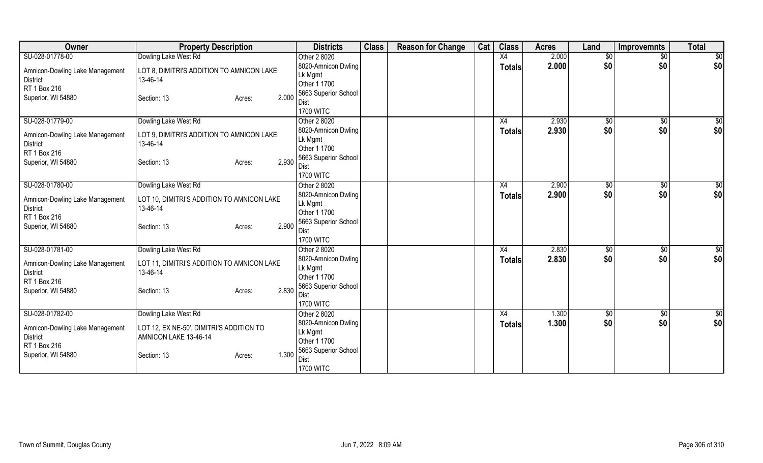| Owner                                              | <b>Property Description</b>                            |       | <b>Districts</b>             | <b>Class</b> | <b>Reason for Change</b> | Cat | <b>Class</b>  | <b>Acres</b> | Land         | <b>Improvemnts</b> | <b>Total</b>    |
|----------------------------------------------------|--------------------------------------------------------|-------|------------------------------|--------------|--------------------------|-----|---------------|--------------|--------------|--------------------|-----------------|
| SU-028-01778-00                                    | Dowling Lake West Rd                                   |       | Other 2 8020                 |              |                          |     | X4            | 2.000        | \$0          | $\sqrt{$0}$        | $\overline{50}$ |
| Amnicon-Dowling Lake Management                    | LOT 8, DIMITRI'S ADDITION TO AMNICON LAKE              |       | 8020-Amnicon Dwling          |              |                          |     | <b>Totals</b> | 2.000        | \$0          | \$0                | \$0             |
| <b>District</b>                                    | 13-46-14                                               |       | Lk Mgmt                      |              |                          |     |               |              |              |                    |                 |
| RT 1 Box 216                                       |                                                        |       | Other 1 1700                 |              |                          |     |               |              |              |                    |                 |
| Superior, WI 54880                                 | Section: 13<br>Acres:                                  | 2.000 | 5663 Superior School         |              |                          |     |               |              |              |                    |                 |
|                                                    |                                                        |       | Dist<br><b>1700 WITC</b>     |              |                          |     |               |              |              |                    |                 |
| SU-028-01779-00                                    | Dowling Lake West Rd                                   |       | Other 2 8020                 |              |                          |     | X4            | 2.930        | \$0          | $\overline{30}$    | \$0             |
|                                                    |                                                        |       | 8020-Amnicon Dwling          |              |                          |     | <b>Totals</b> | 2.930        | \$0          | \$0                | \$0             |
| Amnicon-Dowling Lake Management                    | LOT 9, DIMITRI'S ADDITION TO AMNICON LAKE              |       | Lk Mgmt                      |              |                          |     |               |              |              |                    |                 |
| <b>District</b>                                    | 13-46-14                                               |       | Other 1 1700                 |              |                          |     |               |              |              |                    |                 |
| RT 1 Box 216                                       |                                                        |       | 5663 Superior School         |              |                          |     |               |              |              |                    |                 |
| Superior, WI 54880                                 | Section: 13<br>Acres:                                  | 2.930 | Dist                         |              |                          |     |               |              |              |                    |                 |
|                                                    |                                                        |       | <b>1700 WITC</b>             |              |                          |     |               |              |              |                    |                 |
| SU-028-01780-00                                    | Dowling Lake West Rd                                   |       | Other 2 8020                 |              |                          |     | X4            | 2.900        | $\sqrt[6]{}$ | $\sqrt[6]{3}$      | \$0             |
| Amnicon-Dowling Lake Management                    | LOT 10, DIMITRI'S ADDITION TO AMNICON LAKE             |       | 8020-Amnicon Dwling          |              |                          |     | <b>Totals</b> | 2.900        | \$0          | \$0                | \$0             |
| <b>District</b>                                    | 13-46-14                                               |       | Lk Mgmt                      |              |                          |     |               |              |              |                    |                 |
| RT 1 Box 216                                       |                                                        |       | Other 1 1700                 |              |                          |     |               |              |              |                    |                 |
| Superior, WI 54880                                 | Section: 13<br>Acres:                                  | 2.900 | 5663 Superior School<br>Dist |              |                          |     |               |              |              |                    |                 |
|                                                    |                                                        |       | <b>1700 WITC</b>             |              |                          |     |               |              |              |                    |                 |
| SU-028-01781-00                                    | Dowling Lake West Rd                                   |       | Other 2 8020                 |              |                          |     | X4            | 2.830        | $\sqrt{$0}$  | \$0                | \$0             |
|                                                    |                                                        |       | 8020-Amnicon Dwling          |              |                          |     | <b>Totals</b> | 2.830        | \$0          | \$0                | \$0             |
| Amnicon-Dowling Lake Management<br><b>District</b> | LOT 11, DIMITRI'S ADDITION TO AMNICON LAKE<br>13-46-14 |       | Lk Mgmt                      |              |                          |     |               |              |              |                    |                 |
| RT 1 Box 216                                       |                                                        |       | Other 1 1700                 |              |                          |     |               |              |              |                    |                 |
| Superior, WI 54880                                 | Section: 13<br>Acres:                                  | 2.830 | 5663 Superior School         |              |                          |     |               |              |              |                    |                 |
|                                                    |                                                        |       | <b>Dist</b>                  |              |                          |     |               |              |              |                    |                 |
|                                                    |                                                        |       | <b>1700 WITC</b>             |              |                          |     |               |              |              |                    |                 |
| SU-028-01782-00                                    | Dowling Lake West Rd                                   |       | Other 2 8020                 |              |                          |     | X4            | 1.300        | \$0          | \$0                | \$0             |
| Amnicon-Dowling Lake Management                    | LOT 12, EX NE-50', DIMITRI'S ADDITION TO               |       | 8020-Amnicon Dwling          |              |                          |     | <b>Totals</b> | 1.300        | \$0          | \$0                | \$0             |
| <b>District</b>                                    | AMNICON LAKE 13-46-14                                  |       | Lk Mgmt<br>Other 1 1700      |              |                          |     |               |              |              |                    |                 |
| RT 1 Box 216                                       |                                                        |       | 5663 Superior School         |              |                          |     |               |              |              |                    |                 |
| Superior, WI 54880                                 | Section: 13<br>Acres:                                  | 1.300 | Dist                         |              |                          |     |               |              |              |                    |                 |
|                                                    |                                                        |       | <b>1700 WITC</b>             |              |                          |     |               |              |              |                    |                 |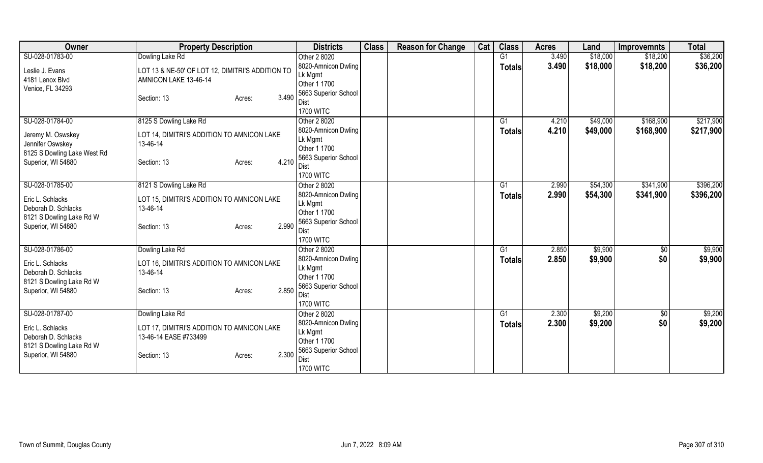| Owner                                           | <b>Property Description</b>                      | <b>Districts</b>                     | <b>Class</b> | <b>Reason for Change</b> | Cat | <b>Class</b>  | <b>Acres</b> | Land     | <b>Improvemnts</b> | <b>Total</b> |
|-------------------------------------------------|--------------------------------------------------|--------------------------------------|--------------|--------------------------|-----|---------------|--------------|----------|--------------------|--------------|
| SU-028-01783-00                                 | Dowling Lake Rd                                  | Other 2 8020                         |              |                          |     | G1            | 3.490        | \$18,000 | \$18,200           | \$36,200     |
| Leslie J. Evans                                 | LOT 13 & NE-50' OF LOT 12, DIMITRI'S ADDITION TO | 8020-Amnicon Dwling                  |              |                          |     | <b>Totals</b> | 3.490        | \$18,000 | \$18,200           | \$36,200     |
| 4181 Lenox Blvd                                 | AMNICON LAKE 13-46-14                            | Lk Mgmt                              |              |                          |     |               |              |          |                    |              |
| Venice, FL 34293                                |                                                  | Other 1 1700                         |              |                          |     |               |              |          |                    |              |
|                                                 | 3.490<br>Section: 13<br>Acres:                   | 5663 Superior School                 |              |                          |     |               |              |          |                    |              |
|                                                 |                                                  | Dist<br><b>1700 WITC</b>             |              |                          |     |               |              |          |                    |              |
| SU-028-01784-00                                 | 8125 S Dowling Lake Rd                           | Other 2 8020                         |              |                          |     | G1            | 4.210        | \$49,000 | \$168,900          | \$217,900    |
|                                                 |                                                  | 8020-Amnicon Dwling                  |              |                          |     | <b>Totals</b> | 4.210        | \$49,000 | \$168,900          | \$217,900    |
| Jeremy M. Oswskey                               | LOT 14, DIMITRI'S ADDITION TO AMNICON LAKE       | Lk Mgmt                              |              |                          |     |               |              |          |                    |              |
| Jennifer Oswskey                                | 13-46-14                                         | Other 1 1700                         |              |                          |     |               |              |          |                    |              |
| 8125 S Dowling Lake West Rd                     | 4.210                                            | 5663 Superior School                 |              |                          |     |               |              |          |                    |              |
| Superior, WI 54880                              | Section: 13<br>Acres:                            | <b>Dist</b>                          |              |                          |     |               |              |          |                    |              |
|                                                 |                                                  | <b>1700 WITC</b>                     |              |                          |     |               |              |          |                    |              |
| SU-028-01785-00                                 | 8121 S Dowling Lake Rd                           | Other 2 8020                         |              |                          |     | G1            | 2.990        | \$54,300 | \$341,900          | \$396,200    |
| Eric L. Schlacks                                | LOT 15, DIMITRI'S ADDITION TO AMNICON LAKE       | 8020-Amnicon Dwling                  |              |                          |     | <b>Totals</b> | 2.990        | \$54,300 | \$341,900          | \$396,200    |
| Deborah D. Schlacks                             | 13-46-14                                         | Lk Mgmt                              |              |                          |     |               |              |          |                    |              |
| 8121 S Dowling Lake Rd W                        |                                                  | Other 1 1700                         |              |                          |     |               |              |          |                    |              |
| Superior, WI 54880                              | 2.990<br>Section: 13<br>Acres:                   | 5663 Superior School<br>Dist         |              |                          |     |               |              |          |                    |              |
|                                                 |                                                  | <b>1700 WITC</b>                     |              |                          |     |               |              |          |                    |              |
| SU-028-01786-00                                 | Dowling Lake Rd                                  | Other 2 8020                         |              |                          |     | G1            | 2.850        | \$9,900  | $\sqrt{$0}$        | \$9,900      |
|                                                 |                                                  | 8020-Amnicon Dwling                  |              |                          |     | Totals        | 2.850        | \$9,900  | \$0                | \$9,900      |
| Eric L. Schlacks                                | LOT 16, DIMITRI'S ADDITION TO AMNICON LAKE       | Lk Mgmt                              |              |                          |     |               |              |          |                    |              |
| Deborah D. Schlacks<br>8121 S Dowling Lake Rd W | 13-46-14                                         | Other 1 1700                         |              |                          |     |               |              |          |                    |              |
| Superior, WI 54880                              | 2.850<br>Section: 13<br>Acres:                   | 5663 Superior School                 |              |                          |     |               |              |          |                    |              |
|                                                 |                                                  | Dist                                 |              |                          |     |               |              |          |                    |              |
|                                                 |                                                  | <b>1700 WITC</b>                     |              |                          |     |               |              |          |                    |              |
| SU-028-01787-00                                 | Dowling Lake Rd                                  | Other 2 8020                         |              |                          |     | G1            | 2.300        | \$9,200  | \$0                | \$9,200      |
| Eric L. Schlacks                                | LOT 17, DIMITRI'S ADDITION TO AMNICON LAKE       | 8020-Amnicon Dwling                  |              |                          |     | <b>Totals</b> | 2.300        | \$9,200  | \$0                | \$9,200      |
| Deborah D. Schlacks                             | 13-46-14 EASE #733499                            | Lk Mgmt                              |              |                          |     |               |              |          |                    |              |
| 8121 S Dowling Lake Rd W                        |                                                  | Other 1 1700<br>5663 Superior School |              |                          |     |               |              |          |                    |              |
| Superior, WI 54880                              | 2.300<br>Section: 13<br>Acres:                   | <b>Dist</b>                          |              |                          |     |               |              |          |                    |              |
|                                                 |                                                  | <b>1700 WITC</b>                     |              |                          |     |               |              |          |                    |              |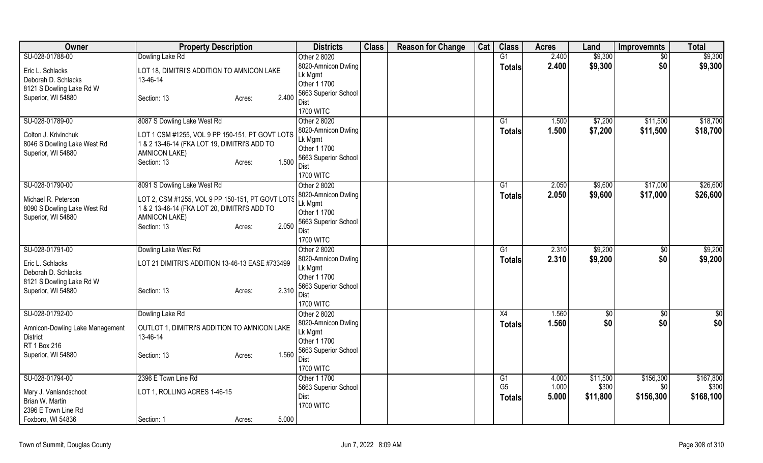| Owner                                           | <b>Property Description</b>                      | <b>Districts</b>             | <b>Class</b> | <b>Reason for Change</b> | Cat | <b>Class</b>    | <b>Acres</b> | Land     | <b>Improvemnts</b> | <b>Total</b> |
|-------------------------------------------------|--------------------------------------------------|------------------------------|--------------|--------------------------|-----|-----------------|--------------|----------|--------------------|--------------|
| SU-028-01788-00                                 | Dowling Lake Rd                                  | Other 2 8020                 |              |                          |     | G1              | 2.400        | \$9,300  | \$0                | \$9,300      |
| Eric L. Schlacks                                | LOT 18, DIMITRI'S ADDITION TO AMNICON LAKE       | 8020-Amnicon Dwling          |              |                          |     | <b>Totals</b>   | 2.400        | \$9,300  | \$0                | \$9,300      |
| Deborah D. Schlacks                             | 13-46-14                                         | Lk Mgmt                      |              |                          |     |                 |              |          |                    |              |
| 8121 S Dowling Lake Rd W                        |                                                  | Other 1 1700                 |              |                          |     |                 |              |          |                    |              |
| Superior, WI 54880                              | 2.400<br>Section: 13<br>Acres:                   | 5663 Superior School         |              |                          |     |                 |              |          |                    |              |
|                                                 |                                                  | Dist<br><b>1700 WITC</b>     |              |                          |     |                 |              |          |                    |              |
| SU-028-01789-00                                 | 8087 S Dowling Lake West Rd                      | Other 2 8020                 |              |                          |     | $\overline{G1}$ | 1.500        | \$7,200  | \$11,500           | \$18,700     |
|                                                 |                                                  | 8020-Amnicon Dwling          |              |                          |     | <b>Totals</b>   | 1.500        | \$7,200  | \$11,500           | \$18,700     |
| Colton J. Krivinchuk                            | LOT 1 CSM #1255, VOL 9 PP 150-151, PT GOVT LOTS  | Lk Mgmt                      |              |                          |     |                 |              |          |                    |              |
| 8046 S Dowling Lake West Rd                     | 1 & 2 13-46-14 (FKA LOT 19, DIMITRI'S ADD TO     | Other 1 1700                 |              |                          |     |                 |              |          |                    |              |
| Superior, WI 54880                              | <b>AMNICON LAKE)</b>                             | 5663 Superior School         |              |                          |     |                 |              |          |                    |              |
|                                                 | 1.500<br>Section: 13<br>Acres:                   | Dist                         |              |                          |     |                 |              |          |                    |              |
|                                                 |                                                  | <b>1700 WITC</b>             |              |                          |     |                 |              |          |                    |              |
| SU-028-01790-00                                 | 8091 S Dowling Lake West Rd                      | Other 2 8020                 |              |                          |     | G1              | 2.050        | \$9,600  | \$17,000           | \$26,600     |
| Michael R. Peterson                             | LOT 2, CSM #1255, VOL 9 PP 150-151, PT GOVT LOTS | 8020-Amnicon Dwling          |              |                          |     | <b>Totals</b>   | 2.050        | \$9,600  | \$17,000           | \$26,600     |
| 8090 S Dowling Lake West Rd                     | 1 & 2 13-46-14 (FKA LOT 20, DIMITRI'S ADD TO     | Lk Mgmt                      |              |                          |     |                 |              |          |                    |              |
| Superior, WI 54880                              | <b>AMNICON LAKE)</b>                             | Other 1 1700                 |              |                          |     |                 |              |          |                    |              |
|                                                 | 2.050<br>Section: 13<br>Acres:                   | 5663 Superior School<br>Dist |              |                          |     |                 |              |          |                    |              |
|                                                 |                                                  | <b>1700 WITC</b>             |              |                          |     |                 |              |          |                    |              |
| SU-028-01791-00                                 | Dowling Lake West Rd                             | Other 2 8020                 |              |                          |     | G1              | 2.310        | \$9,200  | $\overline{30}$    | \$9,200      |
|                                                 |                                                  | 8020-Amnicon Dwling          |              |                          |     | <b>Totals</b>   | 2.310        | \$9,200  | \$0                | \$9,200      |
| Eric L. Schlacks                                | LOT 21 DIMITRI'S ADDITION 13-46-13 EASE #733499  | Lk Mgmt                      |              |                          |     |                 |              |          |                    |              |
| Deborah D. Schlacks<br>8121 S Dowling Lake Rd W |                                                  | Other 1 1700                 |              |                          |     |                 |              |          |                    |              |
| Superior, WI 54880                              | 2.310<br>Section: 13<br>Acres:                   | 5663 Superior School         |              |                          |     |                 |              |          |                    |              |
|                                                 |                                                  | Dist                         |              |                          |     |                 |              |          |                    |              |
|                                                 |                                                  | <b>1700 WITC</b>             |              |                          |     |                 |              |          |                    |              |
| SU-028-01792-00                                 | Dowling Lake Rd                                  | Other 2 8020                 |              |                          |     | X4              | 1.560        | \$0      | \$0                | \$0          |
| Amnicon-Dowling Lake Management                 | OUTLOT 1, DIMITRI'S ADDITION TO AMNICON LAKE     | 8020-Amnicon Dwling          |              |                          |     | <b>Totals</b>   | 1.560        | \$0      | \$0                | \$0          |
| <b>District</b>                                 | 13-46-14                                         | Lk Mgmt<br>Other 1 1700      |              |                          |     |                 |              |          |                    |              |
| RT 1 Box 216                                    |                                                  | 5663 Superior School         |              |                          |     |                 |              |          |                    |              |
| Superior, WI 54880                              | 1.560<br>Section: 13<br>Acres:                   | Dist                         |              |                          |     |                 |              |          |                    |              |
|                                                 |                                                  | <b>1700 WITC</b>             |              |                          |     |                 |              |          |                    |              |
| SU-028-01794-00                                 | 2396 E Town Line Rd                              | Other 1 1700                 |              |                          |     | G1              | 4.000        | \$11,500 | \$156,300          | \$167,800    |
|                                                 | LOT 1, ROLLING ACRES 1-46-15                     | 5663 Superior School         |              |                          |     | G <sub>5</sub>  | 1.000        | \$300    | \$0                | \$300        |
| Mary J. Vanlandschoot<br>Brian W. Martin        |                                                  | Dist                         |              |                          |     | <b>Totals</b>   | 5.000        | \$11,800 | \$156,300          | \$168,100    |
| 2396 E Town Line Rd                             |                                                  | <b>1700 WITC</b>             |              |                          |     |                 |              |          |                    |              |
| Foxboro, WI 54836                               | 5.000<br>Section: 1<br>Acres:                    |                              |              |                          |     |                 |              |          |                    |              |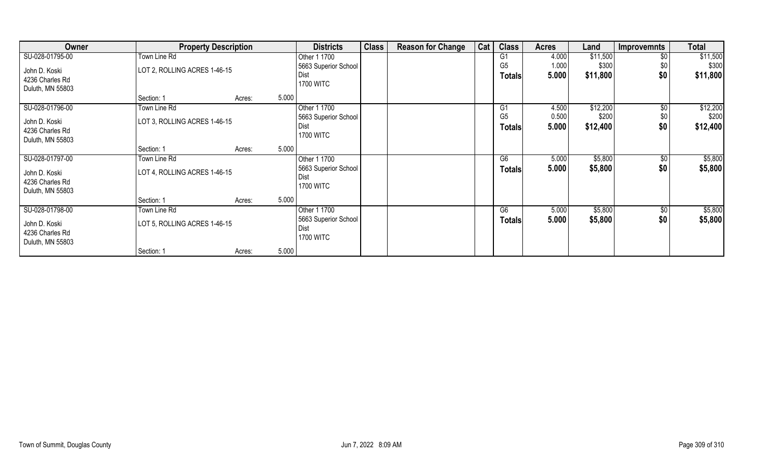| Owner                            | <b>Property Description</b>  |                 | <b>Districts</b>     | <b>Class</b> | <b>Reason for Change</b> | Cat | <b>Class</b>   | <b>Acres</b> | Land     | <b>Improvemnts</b> | <b>Total</b> |
|----------------------------------|------------------------------|-----------------|----------------------|--------------|--------------------------|-----|----------------|--------------|----------|--------------------|--------------|
| SU-028-01795-00                  | Town Line Rd                 |                 | Other 1 1700         |              |                          |     | G <sub>1</sub> | 4.000        | \$11,500 | \$0                | \$11,500     |
| John D. Koski                    | LOT 2, ROLLING ACRES 1-46-15 |                 | 5663 Superior School |              |                          |     | G <sub>5</sub> | 1.000        | \$300    | \$0                | \$300        |
| 4236 Charles Rd                  |                              |                 | Dist                 |              |                          |     | <b>Totals</b>  | 5.000        | \$11,800 | \$0                | \$11,800     |
| Duluth, MN 55803                 |                              |                 | <b>1700 WITC</b>     |              |                          |     |                |              |          |                    |              |
|                                  | Section: 1                   | 5.000<br>Acres: |                      |              |                          |     |                |              |          |                    |              |
| SU-028-01796-00                  | Town Line Rd                 |                 | Other 1 1700         |              |                          |     | G <sub>1</sub> | 4.500        | \$12,200 | $\sqrt[6]{}$       | \$12,200     |
|                                  | LOT 3, ROLLING ACRES 1-46-15 |                 | 5663 Superior School |              |                          |     | G <sub>5</sub> | 0.500        | \$200    | \$0                | \$200        |
| John D. Koski<br>4236 Charles Rd |                              |                 | Dist                 |              |                          |     | <b>Totals</b>  | 5.000        | \$12,400 | \$0                | \$12,400     |
| Duluth, MN 55803                 |                              |                 | <b>1700 WITC</b>     |              |                          |     |                |              |          |                    |              |
|                                  | Section: 1                   | 5.000<br>Acres: |                      |              |                          |     |                |              |          |                    |              |
|                                  |                              |                 |                      |              |                          |     | G6             |              |          |                    |              |
| SU-028-01797-00                  | Town Line Rd                 |                 | Other 1 1700         |              |                          |     |                | 5.000        | \$5,800  | $\sqrt[6]{30}$     | \$5,800      |
| John D. Koski                    | LOT 4, ROLLING ACRES 1-46-15 |                 | 5663 Superior School |              |                          |     | <b>Totals</b>  | 5.000        | \$5,800  | \$0                | \$5,800      |
| 4236 Charles Rd                  |                              |                 | Dist                 |              |                          |     |                |              |          |                    |              |
| Duluth, MN 55803                 |                              |                 | <b>1700 WITC</b>     |              |                          |     |                |              |          |                    |              |
|                                  | Section: 1                   | 5.000<br>Acres: |                      |              |                          |     |                |              |          |                    |              |
| SU-028-01798-00                  | Town Line Rd                 |                 | Other 1 1700         |              |                          |     | G6             | 5.000        | \$5,800  | $\sqrt[6]{3}$      | \$5,800      |
|                                  | LOT 5, ROLLING ACRES 1-46-15 |                 | 5663 Superior School |              |                          |     | Totals         | 5.000        | \$5,800  | \$0                | \$5,800      |
| John D. Koski                    |                              |                 | Dist                 |              |                          |     |                |              |          |                    |              |
| 4236 Charles Rd                  |                              |                 | <b>1700 WITC</b>     |              |                          |     |                |              |          |                    |              |
| Duluth, MN 55803                 |                              |                 |                      |              |                          |     |                |              |          |                    |              |
|                                  | Section: 1                   | 5.000<br>Acres: |                      |              |                          |     |                |              |          |                    |              |